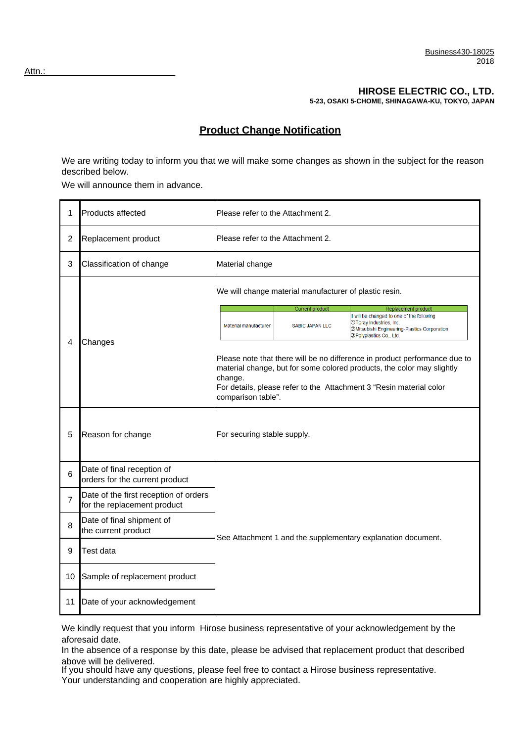## **HIROSE ELECTRIC CO., LTD.**

**5-23, OSAKI 5-CHOME, SHINAGAWA-KU, TOKYO, JAPAN**

## **Product Change Notification**

We are writing today to inform you that we will make some changes as shown in the subject for the reason described below.

We will announce them in advance.

| 1              | Products affected                                                    | Please refer to the Attachment 2.                                                                                                                                                                                                                            |  |  |  |  |
|----------------|----------------------------------------------------------------------|--------------------------------------------------------------------------------------------------------------------------------------------------------------------------------------------------------------------------------------------------------------|--|--|--|--|
| $\overline{c}$ | Replacement product                                                  | Please refer to the Attachment 2.                                                                                                                                                                                                                            |  |  |  |  |
| 3              | Classification of change                                             | Material change                                                                                                                                                                                                                                              |  |  |  |  |
|                |                                                                      | We will change material manufacturer of plastic resin.                                                                                                                                                                                                       |  |  |  |  |
|                |                                                                      | Current product<br>Replacement product<br>It will be changed to one of the following                                                                                                                                                                         |  |  |  |  |
| 4              |                                                                      | 10 Toray Industries, Inc.<br>Material manufacturer<br><b>SABIC JAPAN LLC</b><br>@Mitsubishi Engineering-Plastics Corporation<br><b>OPolyplastics Co., Ltd.</b>                                                                                               |  |  |  |  |
|                | Changes                                                              | Please note that there will be no difference in product performance due to<br>material change, but for some colored products, the color may slightly<br>change.<br>For details, please refer to the Attachment 3 "Resin material color<br>comparison table". |  |  |  |  |
| 5              | Reason for change                                                    | For securing stable supply.                                                                                                                                                                                                                                  |  |  |  |  |
| 6              | Date of final reception of<br>orders for the current product         |                                                                                                                                                                                                                                                              |  |  |  |  |
| $\overline{7}$ | Date of the first reception of orders<br>for the replacement product |                                                                                                                                                                                                                                                              |  |  |  |  |
| 8              | Date of final shipment of<br>the current product                     |                                                                                                                                                                                                                                                              |  |  |  |  |
| 9              | Test data                                                            | See Attachment 1 and the supplementary explanation document.                                                                                                                                                                                                 |  |  |  |  |
| 10             | Sample of replacement product                                        |                                                                                                                                                                                                                                                              |  |  |  |  |
| 11             | Date of your acknowledgement                                         |                                                                                                                                                                                                                                                              |  |  |  |  |

We kindly request that you inform Hirose business representative of your acknowledgement by the aforesaid date.

In the absence of a response by this date, please be advised that replacement product that described above will be delivered.

If you should have any questions, please feel free to contact a Hirose business representative. Your understanding and cooperation are highly appreciated.

Attn.: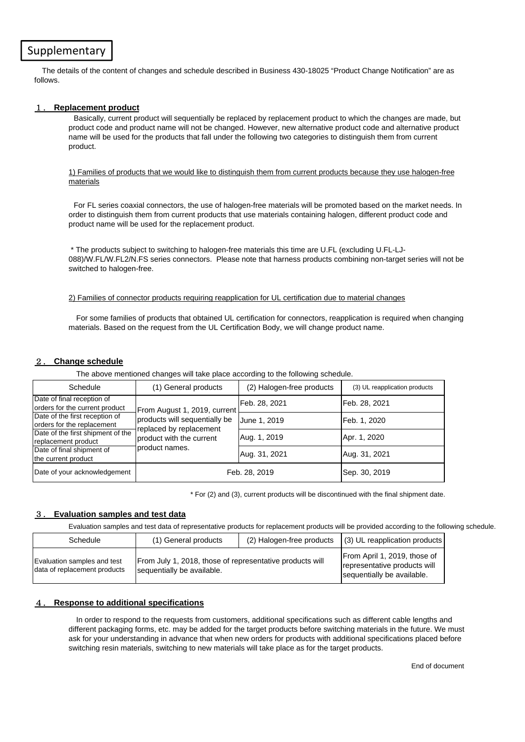## Supplementary

The details of the content of changes and schedule described in Business 430-18025 "Product Change Notification" are as follows.

#### 1. **Replacement product**

Basically, current product will sequentially be replaced by replacement product to which the changes are made, but product code and product name will not be changed. However, new alternative product code and alternative product name will be used for the products that fall under the following two categories to distinguish them from current product.

#### 1) Families of products that we would like to distinguish them from current products because they use halogen-free materials

For FL series coaxial connectors, the use of halogen-free materials will be promoted based on the market needs. In order to distinguish them from current products that use materials containing halogen, different product code and product name will be used for the replacement product.

 \* The products subject to switching to halogen-free materials this time are U.FL (excluding U.FL-LJ-088)/W.FL/W.FL2/N.FS series connectors. Please note that harness products combining non-target series will not be switched to halogen-free.

#### 2) Families of connector products requiring reapplication for UL certification due to material changes

For some families of products that obtained UL certification for connectors, reapplication is required when changing materials. Based on the request from the UL Certification Body, we will change product name.

#### 2. **Change schedule**

The above mentioned changes will take place according to the following schedule.

| Schedule                                                     | (1) General products                                                                                       | (2) Halogen-free products | (3) UL reapplication products |
|--------------------------------------------------------------|------------------------------------------------------------------------------------------------------------|---------------------------|-------------------------------|
| Date of final reception of<br>orders for the current product | From August 1, 2019, current<br>products will sequentially be<br>replaced by replacement<br>product names. | Feb. 28, 2021             | Feb. 28, 2021                 |
| Date of the first reception of<br>orders for the replacement |                                                                                                            | June 1, 2019              | Feb. 1, 2020                  |
| Date of the first shipment of the<br>replacement product     | product with the current                                                                                   | Aug. 1, 2019              | Apr. 1, 2020                  |
| Date of final shipment of<br>the current product             |                                                                                                            | Aug. 31, 2021             | Aug. 31, 2021                 |
| Date of your acknowledgement                                 |                                                                                                            | Feb. 28, 2019             | Sep. 30, 2019                 |

\* For (2) and (3), current products will be discontinued with the final shipment date.

#### 3. **Evaluation samples and test data**

Evaluation samples and test data of representative products for replacement products will be provided according to the following schedule.

| Schedule                                                    | (1) General products                                                                   | $(2)$ Halogen-free products $(3)$ UL reapplication products                                |  |
|-------------------------------------------------------------|----------------------------------------------------------------------------------------|--------------------------------------------------------------------------------------------|--|
| Evaluation samples and test<br>data of replacement products | From July 1, 2018, those of representative products will<br>sequentially be available. | From April 1, 2019, those of<br>representative products will<br>sequentially be available. |  |

#### 4. **Response to additional specifications**

In order to respond to the requests from customers, additional specifications such as different cable lengths and different packaging forms, etc. may be added for the target products before switching materials in the future. We must ask for your understanding in advance that when new orders for products with additional specifications placed before switching resin materials, switching to new materials will take place as for the target products.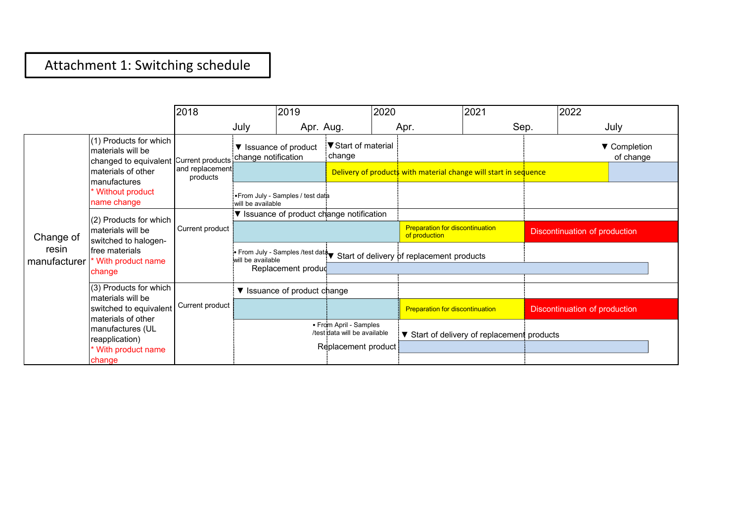## Attachment 1: Switching schedule

|                       |                                                                                       | 2018                        |                                                                                                                     | 2019                            |                                                                               | 2020                                                    |                                                                  | 2021                                        | 2022                          |                           |  |
|-----------------------|---------------------------------------------------------------------------------------|-----------------------------|---------------------------------------------------------------------------------------------------------------------|---------------------------------|-------------------------------------------------------------------------------|---------------------------------------------------------|------------------------------------------------------------------|---------------------------------------------|-------------------------------|---------------------------|--|
|                       |                                                                                       |                             | July                                                                                                                | Apr. Aug.                       |                                                                               |                                                         | Apr.                                                             | Sep.                                        |                               | July                      |  |
|                       | (1) Products for which<br>materials will be<br>changed to equivalent Current products |                             | change notification                                                                                                 | ▼ Issuance of product           | V Start of material<br>change                                                 |                                                         |                                                                  |                                             |                               | ▼ Completion<br>of change |  |
| Change of             | materials of other                                                                    | and replacement<br>products |                                                                                                                     |                                 |                                                                               |                                                         | Delivery of products with material change will start in sequence |                                             |                               |                           |  |
|                       | manufactures<br>* Without product<br>name change                                      |                             | will be available                                                                                                   | From July - Samples / test data |                                                                               |                                                         |                                                                  |                                             |                               |                           |  |
|                       | (2) Products for which                                                                | Current product             | ▼ Issuance of product change notification                                                                           |                                 |                                                                               |                                                         |                                                                  |                                             |                               |                           |  |
|                       | materials will be<br>switched to halogen-<br>free materials<br>* With product name    |                             |                                                                                                                     |                                 |                                                                               | <b>Preparation for discontinuation</b><br>of production |                                                                  | <b>Discontinuation of production</b>        |                               |                           |  |
| resin<br>manufacturer |                                                                                       |                             | From July - Samples /test data Start of delivery of replacement products<br>will be available<br>Replacement produc |                                 |                                                                               |                                                         |                                                                  |                                             |                               |                           |  |
|                       | change                                                                                |                             |                                                                                                                     |                                 |                                                                               |                                                         |                                                                  |                                             |                               |                           |  |
|                       | (3) Products for which<br>materials will be                                           |                             |                                                                                                                     | ▼ Issuance of product change    |                                                                               |                                                         |                                                                  |                                             |                               |                           |  |
|                       | switched to equivalent                                                                | Current product             |                                                                                                                     |                                 |                                                                               |                                                         | <b>Preparation for discontinuation</b>                           |                                             | Discontinuation of production |                           |  |
|                       | materials of other<br>manufactures (UL<br>reapplication)<br>* With product name       |                             |                                                                                                                     |                                 | • From April - Samples<br>/test data will be available<br>Replacement product |                                                         |                                                                  | ▼ Start of delivery of replacement products |                               |                           |  |
|                       | change                                                                                |                             |                                                                                                                     |                                 |                                                                               |                                                         |                                                                  |                                             |                               |                           |  |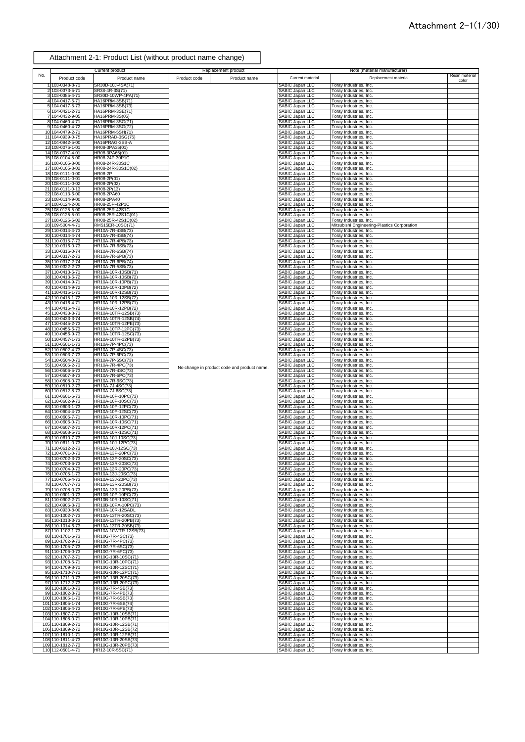|     |                                        | Current product                            | Replacement product                         |                                                       | Note (material manufacturer)                                          |                         |
|-----|----------------------------------------|--------------------------------------------|---------------------------------------------|-------------------------------------------------------|-----------------------------------------------------------------------|-------------------------|
| No. | Product code                           | Product name                               | Product code<br>Product name                | Current material                                      | Replacement material                                                  | Resin material<br>color |
|     | 1 103-0348-8-71                        | SR30D-10J-4SA(71)                          |                                             | SABIC Japan LLC                                       | Toray Industries, Inc.                                                |                         |
|     | 2 103-0373-5-71                        | SR38-4R-3S(71)<br>SR30D-10WP-4PA(71)       |                                             | SABIC Japan LLC<br>SABIC Japan LLC                    | Toray Industries, Inc.                                                |                         |
|     | 3 103-0385-4-71<br>4 104-0417-5-71     | HA16PRM-3SB(71)                            |                                             | SABIC Japan LLC                                       | Toray Industries, Inc.<br>Toray Industries, Inc.                      |                         |
|     | 5 104-0417-5-73                        | HA16PRM-3SB(73)                            |                                             | SABIC Japan LLC                                       | Toray Industries, Inc.                                                |                         |
|     | 6 104-0421-2-71<br>7 104-0432-9-05     | HA16PRM-3SE(71)<br>HA16PRM-3S(05)          |                                             | SABIC Japan LLC<br>SABIC Japan LLC                    | Toray Industries, Inc.<br>Toray Industries, Inc.                      |                         |
|     | 8 104-0460-4-71                        | HA16PRM-3SG(71)                            |                                             | SABIC Japan LLC                                       | Toray Industries, Inc.                                                |                         |
|     | 9 104-0460-4-72<br>10 104-0479-2-71    | HA16PRM-3SG(72)<br>HA16PRM-5SH(71)         |                                             | <b>SABIC Japan LLC</b><br><b>SABIC Japan LLC</b>      | Toray Industries, Inc.<br>Toray Industries, Inc.                      |                         |
|     | 11 104-0939-0-75                       | HA16PRAD-3SG(75)                           |                                             | <b>SABIC Japan LLC</b>                                | Toray Industries, Inc.                                                |                         |
|     | 12 104-0942-5-00<br>13 108-0076-1-01   | HA16PRAG-3SB-A<br>HR08-3PA35(01)           |                                             | <b>SABIC Japan LLC</b><br>SABIC Japan LLC             | Toray Industries, Inc.<br>Toray Industries, Inc.                      |                         |
|     | 14 108-0077-4-01                       | HR08-3PA65(01)                             |                                             | SABIC Japan LLC                                       | Toray Industries, Inc.                                                |                         |
|     | 15 108-0104-5-00<br>16 108-0105-8-00   | HR08-24P-30P1C<br>HR08-24R-30S1C           |                                             | SABIC Japan LLC<br>SABIC Japan LLC                    | Toray Industries, Inc.<br>Toray Industries, Inc.                      |                         |
|     | 17 108-0105-8-02                       | HR08-24R-30S1C(02)                         |                                             | SABIC Japan LLC                                       | Toray Industries, Inc.                                                |                         |
|     | 18 108-0111-0-00<br>19 108-0111-0-01   | HR08-2P<br>HR08-2P(01)                     |                                             | SABIC Japan LLC<br>SABIC Japan LLC                    | Toray Industries, Inc.<br>Toray Industries, Inc.                      |                         |
|     | 20 108-0111-0-02                       | HR08-2P(02)                                |                                             | SABIC Japan LLC                                       | Toray Industries, Inc.                                                |                         |
|     | 21 108-0111-0-13<br>22 108-0113-6-00   | HR08-2P(13)<br>HR08-2PA60                  |                                             | SABIC Japan LLC<br>SABIC Japan LLC                    | Toray Industries, Inc.<br>Toray Industries, Inc.                      |                         |
|     | 23 108-0114-9-00                       | HR08-2PA40                                 |                                             | SABIC Japan LLC                                       | Toray Industries, Inc.                                                |                         |
|     | 24 108-0124-2-00<br>25 108-0125-5-00   | HR08-25P-42P1C<br>HR08-25R-42S1C           |                                             | SABIC Japan LLC<br>SABIC Japan LLC                    | Toray Industries, Inc.<br>Toray Industries, Inc.                      |                         |
|     | 26 108-0125-5-01                       | HR08-25R-42S1C(01)                         |                                             | SABIC Japan LLC<br>SABIC Japan LLC                    | Toray Industries, Inc.                                                |                         |
|     | 27 108-0125-5-02<br>28 109-5004-4-71   | HR08-25R-42S1C(02)<br>RM515ER-10SC(71)     |                                             | SABIC Japan LLC                                       | Toray Industries, Inc.<br>Mitsubishi Engineering-Plastics Corporation |                         |
|     | 29 110-0314-4-73                       | HR10A-7R-4SB(73)<br>HR10A-7R-4SB(74)       |                                             | SABIC Japan LLC<br>SABIC Japan LLC                    | Toray Industries, Inc.                                                |                         |
|     | 30 110-0314-4-74<br>31 110-0315-7-73   | HR10A-7R-4PB(73)                           |                                             | SABIC Japan LLC                                       | Toray Industries, Inc.<br>Toray Industries, Inc.                      |                         |
|     | 32 110-0316-0-73<br>33 110-0316-0-74   | HR10A-7R-6SB(73)<br>HR10A-7R-6SB(74)       |                                             | SABIC Japan LLC<br>SABIC Japan LLC                    | Toray Industries, Inc.                                                |                         |
|     | 34 110-0317-2-73                       | HR10A-7R-6PB(73)                           |                                             | SABIC Japan LLC                                       | Toray Industries, Inc.<br>Toray Industries, Inc.                      |                         |
|     | 35 110-0317-2-74                       | HR10A-7R-6PB(74)                           |                                             | SABIC Japan LLC<br>SABIC Japan LLC                    | Toray Industries, Inc.                                                |                         |
|     | 36 110-0322-2-73<br>37 110-0413-6-71   | HR10A-7R-5SB(73)<br>HR10A-10R-10SB(71)     |                                             | SABIC Japan LLC                                       | Toray Industries, Inc.<br>Toray Industries, Inc.                      |                         |
|     | 38 110-0413-6-72<br>39 110-0414-9-71   | HR10A-10R-10SB(72)<br>HR10A-10R-10PB(71)   |                                             | SABIC Japan LLC<br>SABIC Japan LLC                    | Toray Industries, Inc.<br>Toray Industries, Inc.                      |                         |
|     | 40 110-0414-9-72                       | HR10A-10R-10PB(72)                         |                                             | SABIC Japan LLC                                       | Toray Industries, Inc.                                                |                         |
|     | 41 110-0415-1-71<br>42 110-0415-1-72   | HR10A-10R-12SB(71)<br>HR10A-10R-12SB(72)   |                                             | SABIC Japan LLC<br>SABIC Japan LLC                    | Toray Industries, Inc.<br>Toray Industries, Inc.                      |                         |
|     | 43 110-0416-4-71                       | HR10A-10R-12PB(71)                         |                                             | SABIC Japan LLC                                       | Toray Industries, Inc.                                                |                         |
|     | 44 110-0416-4-72<br>45 110-0433-3-73   | HR10A-10R-12PB(72)<br>HR10A-10TR-12SB(73)  |                                             | SABIC Japan LLC                                       | Toray Industries, Inc.<br>Toray Industries, Inc.                      |                         |
|     | 46 110-0433-3-74                       | HR10A-10TR-12SB(74)                        |                                             | SABIC Japan LLC<br>SABIC Japan LLC                    | Toray Industries, Inc.                                                |                         |
|     | 47 110-0445-2-73<br>48 110-0455-6-73   | HR10A-10TR-12PE(73)<br>HR10A-10TP-12PC(73) |                                             | SABIC Japan LLC<br>SABIC Japan LLC                    | Toray Industries, Inc.<br>Toray Industries, Inc.                      |                         |
|     | 49 110-0456-9-73                       | HR10A-10TR-12SC(73)                        |                                             | SABIC Japan LLC                                       | Toray Industries, Inc.                                                |                         |
|     | 50 110-0457-1-73<br>51 110-0501-1-73   | HR10A-10TR-12PB(73)<br>HR10A-7P-4PC(73)    |                                             | SABIC Japan LLC                                       | Toray Industries, Inc.<br>Toray Industries, Inc.                      |                         |
|     | 52 110-0502-4-73                       | HR10A-7P-4SC(73)                           |                                             | SABIC Japan LLC<br>SABIC Japan LLC                    | Toray Industries, Inc.                                                |                         |
|     | 53 110-0503-7-73<br>54 110-0504-0-73   | HR10A-7P-6PC(73)<br>HR10A-7P-6SC(73)       |                                             | SABIC Japan LLC                                       | Toray Industries, Inc.<br>Toray Industries, Inc.                      |                         |
|     | 55 110-0505-2-73                       | HR10A-7R-4PC(73)<br>HR10A-7R-4SC(73)       | No change in product code and product name. | SABIC Japan LLC<br>SABIC Japan LLC<br>SABIC Japan LLC | Toray Industries, Inc.                                                |                         |
|     | 56 110-0506-5-73<br>57 110-0507-8-73   | HR10A-7R-6PC(73)                           |                                             | SABIC Japan LLC                                       | Toray Industries, Inc.<br>Toray Industries, Inc.                      |                         |
|     | 58 110-0508-0-73                       | HR10A-7R-6SC(73)                           |                                             | SABIC Japan LLC                                       | Toray Industries, Inc.                                                |                         |
|     | 59 110-0510-2-73<br>60 110-0512-8-73   | HR10A-7J-4SC(73)<br>HR10A-7J-6SC(73)       |                                             | SABIC Japan LLC<br><b>SABIC Japan LLC</b>             | Toray Industries, Inc.<br>Toray Industries, Inc.                      |                         |
| 61  | 110-0601-6-73                          | HR10A-10P-10PC(73)                         |                                             | SABIC Japan LLC                                       | Toray Industries, Inc.                                                |                         |
|     | 62 110-0602-9-73<br>63 110-0603-1-73   | HR10A-10P-10SC(73)<br>HR10A-10P-12PC(73)   |                                             | <b>SABIC Japan LLC</b><br><b>SABIC Japan LLC</b>      | Toray Industries, Inc.<br>Toray Industries, Inc.                      |                         |
|     | 64 110-0604-4-73                       | HR10A-10P-12SC(73)                         |                                             | SABIC Japan LLC                                       | Toray Industries, Inc.                                                |                         |
|     | 65 110-0605-7-71<br>66 110-0606-0-71   | HR10A-10R-10PC(71)<br>HR10A-10R-10SC(71)   |                                             | SABIC Japan LLC<br>SABIC Japan LLC                    | Toray Industries, Inc.<br>Toray Industries, Inc.                      |                         |
|     | 67 110-0607-2-71                       | HR10A-10R-12PC(71)                         |                                             | SABIC Japan LLC                                       | Toray Industries, Inc.                                                |                         |
|     | 68 110-0608-5-71<br>69 110-0610-7-73   | HR10A-10R-12SC(71)<br>HR10A-10J-10SC(73)   |                                             | SABIC Japan LLC<br>SABIC Japan LLC                    | Toray Industries, Inc.<br>Toray Industries, Inc.                      |                         |
|     | 70 110-0611-0-73<br>71 110-0612-2-73   | HR10A-10J-12PC(73)                         |                                             | SABIC Japan LLC                                       | Toray Industries, Inc.                                                |                         |
|     | 72 110-0701-0-73                       | HR10A-10J-12SC(73)<br>HR10A-13P-20PC(73)   |                                             | SABIC Japan LLC<br>SABIC Japan LLC                    | Toray Industries, Inc.<br>Toray Industries, Inc.                      |                         |
|     | 73 110-0702-3-73<br>74 110-0703-6-73   | HR10A-13P-20SC(73)<br>HR10A-13R-20SC(73)   |                                             | SABIC Japan LLC<br><b>SABIC Japan LLC</b>             | Toray Industries, Inc.<br>Toray Industries, Inc.                      |                         |
|     | 75 110-0704-9-73                       | HR10A-13R-20PC(73)                         |                                             | SABIC Japan LLC                                       | Toray Industries, Inc.                                                |                         |
|     | 76 110-0705-1-73<br>77 110-0706-4-73   | HR10A-13J-20SC(73)<br>HR10A-13J-20PC(73)   |                                             | SABIC Japan LLC<br>SABIC Japan LLC                    | Toray Industries, Inc.<br>Toray Industries, Inc.                      |                         |
|     | 78 110-0707-7-73                       | HR10A-13R-20SB(73)                         |                                             | SABIC Japan LLC                                       | Toray Industries, Inc.                                                |                         |
|     | 79 110-0708-0-73<br>80 110-0901-0-73   | HR10A-13R-20PB(73)<br>HR10B-10P-10PC(73)   |                                             | SABIC Japan LLC                                       | Toray Industries, Inc.<br>Toray Industries, Inc.                      |                         |
|     | 81 110-0902-2-71                       | HR10B-10R-10SC(71)                         |                                             | SABIC Japan LLC<br>SABIC Japan LLC                    | Toray Industries, Inc.                                                |                         |
|     | 82 110-0906-3-73<br>83 110-0930-8-00   | HR10B-10PA-10PC(73)<br>HR10A-10R-12SADL    |                                             | SABIC Japan LLC<br>SABIC Japan LLC                    | Toray Industries, Inc.<br>Toray Industries, Inc.                      |                         |
|     | 84 110-1002-7-73                       | HR10A-13TR-20SC(73)                        |                                             | SABIC Japan LLC                                       | Toray Industries, Inc.                                                |                         |
|     | 85 110-1013-3-73<br>86 110-1014-6-73   | HR10A-13TR-20PB(73)<br>HR10A-13TR-20SB(73) |                                             | SABIC Japan LLC<br>SABIC Japan LLC                    | Toray Industries, Inc.<br>Toray Industries, Inc.                      |                         |
|     | 87 110-1102-1-73                       | HR10A-10WTR-12SB(73)                       |                                             | SABIC Japan LLC                                       | Toray Industries, Inc.                                                |                         |
|     | 88 110-1701-6-73<br>89 110-1702-9-73   | HR10G-7R-4SC(73)<br>HR10G-7R-4PC(73)       |                                             | <b>SABIC Japan LLC</b><br>SABIC Japan LLC             | Toray Industries, Inc.<br>Toray Industries, Inc.                      |                         |
|     | 90 110-1705-7-73                       | HR10G-7R-6SC(73)                           |                                             | SABIC Japan LLC                                       | Toray Industries, Inc.                                                |                         |
|     | 91 110-1706-0-73<br>92 110-1707-2-71   | HR10G-7R-6PC(73)<br>HR10G-10R-10SC(71)     |                                             | SABIC Japan LLC<br>SABIC Japan LLC                    | Toray Industries, Inc.<br>Toray Industries, Inc.                      |                         |
|     | 93 110-1708-5-71                       | HR10G-10R-10PC(71)                         |                                             | SABIC Japan LLC                                       | Toray Industries, Inc.                                                |                         |
|     | 94 110-1709-8-71<br>95 110-1710-7-71   | HR10G-10R-12SC(71)<br>HR10G-10R-12PC(71)   |                                             | SABIC Japan LLC<br>SABIC Japan LLC                    | Toray Industries, Inc.<br>Toray Industries, Inc.                      |                         |
|     | 96 110-1711-0-73                       | HR10G-13R-20SC(73)                         |                                             | SABIC Japan LLC                                       | Toray Industries, Inc.                                                |                         |
|     | 97 110-1712-2-73<br>98 110-1801-0-73   | HR10G-13R-20PC(73)<br>HR10G-7R-4SB(73)     |                                             | SABIC Japan LLC<br>SABIC Japan LLC                    | Toray Industries, Inc.<br>Toray Industries, Inc.                      |                         |
|     | 99 110-1802-3-73                       | HR10G-7R-4PB(73)                           |                                             | SABIC Japan LLC                                       | Toray Industries, Inc.                                                |                         |
|     | 100 110-1805-1-73<br>101 110-1805-1-74 | HR10G-7R-6SB(73)<br>HR10G-7R-6SB(74)       |                                             | SABIC Japan LLC<br>SABIC Japan LLC                    | Toray Industries, Inc.<br>Toray Industries, Inc.                      |                         |
|     | 102 110-1806-4-73                      | HR10G-7R-6PB(73)                           |                                             | SABIC Japan LLC                                       | Toray Industries, Inc.                                                |                         |
|     | 103 110-1807-7-71<br>104 110-1808-0-71 | HR10G-10R-10SB(71)<br>HR10G-10R-10PB(71)   |                                             | SABIC Japan LLC<br>SABIC Japan LLC                    | Toray Industries, Inc.<br>Toray Industries, Inc.                      |                         |
|     | 105 110-1809-2-71                      | HR10G-10R-12SB(71)                         |                                             | SABIC Japan LLC                                       | Toray Industries, Inc.                                                |                         |
|     | 106 110-1809-2-72<br>107 110-1810-1-71 | HR10G-10R-12SB(72)<br>HR10G-10R-12PB(71)   |                                             | SABIC Japan LLC<br>SABIC Japan LLC                    | Toray Industries, Inc.<br>Toray Industries, Inc.                      |                         |
|     | 108 110-1811-4-73                      | HR10G-13R-20SB(73)                         |                                             | SABIC Japan LLC                                       | Toray Industries, Inc.                                                |                         |
|     | 109 110-1812-7-73<br>110 112-0501-4-71 | HR10G-13R-20PB(73)<br>HR12-10R-5SC(71)     |                                             | SABIC Japan LLC<br>SABIC Japan LLC                    | Toray Industries, Inc.<br>Toray Industries, Inc.                      |                         |
|     |                                        |                                            |                                             |                                                       |                                                                       |                         |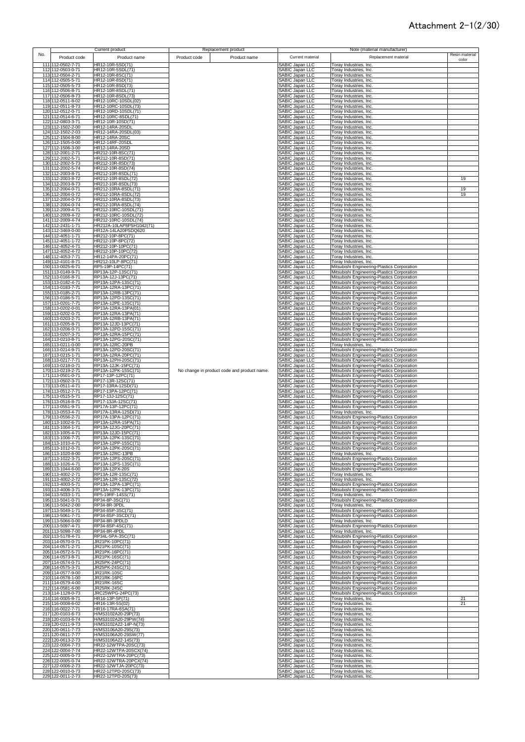|     |                                        | Current product                               |              | Replacement product                         |                                           | Note (material manufacturer)                                                               |                         |
|-----|----------------------------------------|-----------------------------------------------|--------------|---------------------------------------------|-------------------------------------------|--------------------------------------------------------------------------------------------|-------------------------|
| No. | Product code                           | Product name                                  | Product code | Product name                                | Current material                          | Replacement material                                                                       | Resin material<br>color |
|     | 111 112-0502-7-71                      | HR12-10R-5SD(71)                              |              |                                             | SABIC Japan LLC                           | Toray Industries, Inc.                                                                     |                         |
|     | 112 112-0503-0-71                      | HR12-10R-5SDL(71)                             |              |                                             | SABIC Japan LLC                           | Toray Industries, Inc.                                                                     |                         |
|     | 113 112-0504-2-71                      | HR12-10R-8SC(71)                              |              |                                             | SABIC Japan LLC                           | Toray Industries, Inc.                                                                     |                         |
|     | 114 112-0505-5-71                      | HR12-10R-8SD(71)                              |              |                                             | SABIC Japan LLC                           | Toray Industries, Inc.                                                                     |                         |
|     | 115 112-0505-5-73                      | HR12-10R-8SD(73)                              |              |                                             | SABIC Japan LLC                           | Toray Industries, Inc.                                                                     |                         |
|     | 116 112-0506-8-71                      | HR12-10R-8SDL(71)                             |              |                                             | SABIC Japan LLC                           | Toray Industries, Inc.                                                                     |                         |
|     | 117 112-0506-8-73                      | HR12-10R-8SDL(73)                             |              |                                             | SABIC Japan LLC                           | Toray Industries, Inc.                                                                     |                         |
|     | 118 112-0511-8-02                      | HR12-10RC-10SDL(02)                           |              |                                             | SABIC Japan LLC                           | <b>Toray Industries, Inc.</b>                                                              |                         |
|     | 119 112-0511-8-73                      | HR12-10RC-10SDL(73)                           |              |                                             | SABIC Japan LLC                           | Toray Industries, Inc.                                                                     |                         |
|     | 120 112-0512-0-71                      | HR12-10RD-10SDL(71)                           |              |                                             | SABIC Japan LLC                           | Toray Industries, Inc.                                                                     |                         |
|     | 121 112-0514-6-71                      | HR12-10RC-8SDL(71)                            |              |                                             | SABIC Japan LLC                           | Toray Industries, Inc.                                                                     |                         |
|     | 122 112-0803-3-71                      | HR12-10R-10SD(71)                             |              |                                             | SABIC Japan LLC                           | Toray Industries, Inc.                                                                     |                         |
|     | 123 112-1502-2-00                      | HR12-14RA-20SDL                               |              |                                             | SABIC Japan LLC<br>SABIC Japan LLC        | <b>Toray Industries, Inc.</b>                                                              |                         |
|     | 124 112-1502-2-03<br>125 112-1504-8-00 | HR12-14RA-20SDL(03)<br>HR12-14RA-20SC         |              |                                             | SABIC Japan LLC                           | Toray Industries, Inc.<br>Toray Industries, Inc.                                           |                         |
|     | 126 112-1505-0-00                      | HR12-14RF-20SDL                               |              |                                             | SABIC Japan LLC                           | Toray Industries, Inc.                                                                     |                         |
|     | 127 112-1506-3-00                      | HR12-14RA-20SD                                |              |                                             | SABIC Japan LLC                           | Toray Industries, Inc.                                                                     |                         |
|     | 128 112-2001-2-71                      | HR212-10R-8SC(71)                             |              |                                             | SABIC Japan LLC                           | Toray Industries, Inc.                                                                     |                         |
|     | 129 112-2002-5-71                      | HR212-10R-8SD(71)                             |              |                                             | SABIC Japan LLC                           | Toray Industries, Inc.                                                                     |                         |
|     | 130 112-2002-5-73                      | HR212-10R-8SD(73)                             |              |                                             | SABIC Japan LLC                           | Toray Industries, Inc.                                                                     |                         |
|     | 131 112-2002-5-74                      | HR212-10R-8SD(74)                             |              |                                             | SABIC Japan LLC                           | Toray Industries, Inc.                                                                     |                         |
|     | 132 112-2003-8-71                      | HR212-10R-8SDL(71)                            |              |                                             | SABIC Japan LLC                           | Toray Industries, Inc.                                                                     |                         |
|     | 133 112-2003-8-72                      | HR212-10R-8SDL(72)                            |              |                                             | SABIC Japan LLC                           | Toray Industries, Inc.                                                                     | 19                      |
|     | 134 112-2003-8-73                      | HR212-10R-8SDL(73)                            |              |                                             | SABIC Japan LLC                           | Toray Industries, Inc.                                                                     |                         |
|     | 135 112-2004-0-71                      | HR212-10RA-8SDL(71)                           |              |                                             | SABIC Japan LLC                           | Toray Industries, Inc.                                                                     | 19                      |
|     | 136 112-2004-0-72                      | HR212-10RA-8SDL(72)                           |              |                                             | SABIC Japan LLC                           | Toray Industries, Inc.                                                                     | 19                      |
|     | 137 112-2004-0-73<br>138 112-2004-0-74 | HR212-10RA-8SDL(73)<br>HR212-10RA-8SDL(74)    |              |                                             | SABIC Japan LLC<br>SABIC Japan LLC        | Toray Industries, Inc.<br>Toray Industries, Inc.                                           |                         |
|     | 139 112-2009-4-71                      | HR212-10RC-10SDL(71)                          |              |                                             | SABIC Japan LLC                           | Toray Industries, Inc.                                                                     |                         |
|     | 140 112-2009-4-72                      | HR212-10RC-10SDL(72)                          |              |                                             | SABIC Japan LLC                           | Toray Industries, Inc.                                                                     |                         |
|     | 141 112-2009-4-74                      | HR212-10RC-10SDL(74)                          |              |                                             | SABIC Japan LLC                           | Toray Industries, Inc.                                                                     |                         |
|     | 142 112-2431-1-71                      | HR212A-10LAP8PSH1042(71)                      |              |                                             | SABIC Japan LLC                           | Toray Industries, Inc.                                                                     |                         |
|     | 143 112-3469-0-00                      | HR12A-14LA20PSDQ620                           |              |                                             | SABIC Japan LLC                           | Toray Industries, Inc.                                                                     |                         |
|     | 144 112-4051-1-71                      | HR212-10P-8PC(71)                             |              |                                             | SABIC Japan LLC                           | Toray Industries, Inc.                                                                     |                         |
|     | 145 112-4051-1-72                      | HR212-10P-8PC(72)                             |              |                                             | SABIC Japan LLC                           | Toray Industries, Inc.                                                                     |                         |
|     | 146 112-4052-4-71                      | HR212-10P-10PC(71)                            |              |                                             | SABIC Japan LLC                           | Toray Industries, Inc.                                                                     |                         |
|     | 147 112-4052-4-72                      | HR212-10P-10PC(72)                            |              |                                             | SABIC Japan LLC                           | <b>Toray Industries, Inc.</b>                                                              |                         |
|     | 148 112-4053-7-71                      | HR12-14PA-20PC(71)                            |              |                                             | SABIC Japan LLC                           | Toray Industries, Inc.                                                                     |                         |
|     | 149 112-4101-8-71                      | HR212-10LP-8PC(71)                            |              |                                             | SABIC Japan LLC                           | Toray Industries, Inc.                                                                     |                         |
|     | 150 113-0025-6-71<br>151 113-0149-9-71 | RP5-19P-14PC(71)<br>RP13A-12P-13SC(71)        |              |                                             | SABIC Japan LLC<br><b>SABIC Japan LLC</b> | Mitsubishi Engineering-Plastics Corporation<br>Mitsubishi Engineering-Plastics Corporation |                         |
|     | 152 113-0166-8-71                      | RP13A-12J-13PC(71)                            |              |                                             | SABIC Japan LLC                           | Mitsubishi Engineering-Plastics Corporation                                                |                         |
|     | 153 113-0182-4-71                      | RP13A-12PA-13SC(71)                           |              |                                             | SABIC Japan LLC                           | Mitsubishi Engineering-Plastics Corporation                                                |                         |
|     | 154 113-0183-7-71                      | RP13A-12RA-13PC(71)                           |              |                                             | SABIC Japan LLC                           | Mitsubishi Engineering-Plastics Corporation                                                |                         |
|     | 155 113-0185-2-71                      | RP13A-12RB-13PC(71)                           |              |                                             | SABIC Japan LLC                           | Mitsubishi Engineering-Plastics Corporation                                                |                         |
|     | 156 113-0186-5-71                      | RP13A-12PD-13SC(71)                           |              |                                             | SABIC Japan LLC                           | Mitsubishi Engineering-Plastics Corporation                                                |                         |
|     | 157 113-0201-7-71                      | RP13A-12PE-13SC(71)                           |              |                                             | SABIC Japan LLC                           | Mitsubishi Engineering-Plastics Corporation                                                |                         |
|     | 158 113-0202-0-01                      | RP13A-12RA-13PA(01)                           |              |                                             | SABIC Japan LLC                           | Mitsubishi Engineering-Plastics Corporation                                                |                         |
|     | 159 113-0202-0-71                      | RP13A-12RA-13PA(71)                           |              |                                             | SABIC Japan LLC                           | Mitsubishi Engineering-Plastics Corporation                                                |                         |
|     | 160 113-0203-2-71                      | RP13A-12RB-13PA(71)                           |              |                                             | SABIC Japan LLC                           | Mitsubishi Engineering-Plastics Corporation                                                |                         |
|     | 161 113-0205-8-71                      | RP13A-12JD-13PC(71)                           |              |                                             | SABIC Japan LLC                           | Mitsubishi Engineering-Plastics Corporation                                                |                         |
|     | 162 113-0206-0-71                      | RP13A-12PD-15SC(71)                           |              |                                             | SABIC Japan LLC                           | Mitsubishi Engineering-Plastics Corporation                                                |                         |
|     | 163 113-0207-3-71                      | RP13A-12RA-15PC(71)                           |              |                                             | SABIC Japan LLC                           | Mitsubishi Engineering-Plastics Corporation                                                |                         |
|     | 164 113-0210-8-71<br>165 113-0211-0-00 | RP13A-12PG-20SC(71)<br>RP13A-12RC-20PB        |              |                                             | SABIC Japan LLC                           | Mitsubishi Engineering-Plastics Corporation                                                |                         |
|     | 166 113-0214-9-71                      | RP13A-12PD-20SC(71)                           |              |                                             | SABIC Japan LLC<br>SABIC Japan LLC        | Toray Industries, Inc.<br>Mitsubishi Engineering-Plastics Corporation                      |                         |
|     | 167 113-0215-1-71                      | RP13A-12RA-20PC(71)                           |              |                                             | SABIC Japan LLC                           | Mitsubishi Engineering-Plastics Corporation                                                |                         |
|     | 168 113-0217-7-71                      | RP13A-12PH-20SC(71)                           |              |                                             | SABIC Japan LLC                           | Mitsubishi Engineering-Plastics Corporation                                                |                         |
|     | 169 113-0218-0-71                      | RP13A-12JK-15PC(71)                           |              |                                             | SABIC Japan LLC                           | Mitsubishi Engineering-Plastics Corporation                                                |                         |
|     | 170 113-0219-2-71                      | RP13A-12PK-15SC(71)                           |              | No change in product code and product name. | SABIC Japan LLC                           | Mitsubishi Engineering-Plastics Corporation                                                |                         |
|     | 171 113-0501-0-71                      | RP17-13P-12PC(71)                             |              |                                             | SABIC Japan LLC                           | Mitsubishi Engineering-Plastics Corporation                                                |                         |
|     | 172 113-0502-3-71                      | RP17-13R-12SC(71)                             |              |                                             | SABIC Japan LLC                           | Mitsubishi Engineering-Plastics Corporation                                                |                         |
|     | 173 113-0511-4-71                      | RP17-13RA-12SD(71)                            |              |                                             | SABIC Japan LLC                           | Mitsubishi Engineering-Plastics Corporation                                                |                         |
|     | 174 113-0512-7-71                      | RP17-13PA-12PC(71)                            |              |                                             | SABIC Japan LLC                           | Mitsubishi Engineering-Plastics Corporation                                                |                         |
|     | 175 113-0515-5-71                      | RP17-13J-12SC(71)                             |              |                                             | SABIC Japan LLC                           | Mitsubishi Engineering-Plastics Corporation                                                |                         |
|     | 176 113-0516-8-71                      | RP17-13JA-12SC(71)                            |              |                                             | <b>SABIC Japan LLC</b>                    | Mitsubishi Engineering-Plastics Corporation                                                |                         |
|     | 177 113-0551-9-71                      | RP17A-13P-12PC(71)                            |              |                                             | SABIC Japan LLC                           | Mitsubishi Engineering-Plastics Corporation                                                |                         |
|     | 178 113-0553-4-71<br>179 113-0556-2-71 | RP17A-13RA-12SD(71)<br>RP17A-13PA-12PC(71)    |              |                                             | SABIC Japan LLC<br>SABIC Japan LLC        | Toray Industries, Inc.<br>Mitsubishi Engineering-Plastics Corporation                      |                         |
| 180 | 113-1002-6-71                          | RP13A-12RA-15PA(71)                           |              |                                             | SABIC Japan LLC                           | Mitsubishi Engineering-Plastics Corporation                                                |                         |
| 181 | 113-1004-1-71                          | RP13A-12JG-20PC(71)                           |              |                                             | SABIC Japan LLC                           | Mitsubishi Engineering-Plastics Corporation                                                |                         |
| 182 | 113-1005-4-71                          | RP13A-12JD-15PC(71)                           |              |                                             | SABIC Japan LLC                           | Mitsubishi Engineering-Plastics Corporation                                                |                         |
|     | 183 113-1006-7-71                      | RP13A-12PK-13SC(71)                           |              |                                             | SABIC Japan LLC                           | Mitsubishi Engineering-Plastics Corporation                                                |                         |
|     | 184 113-1010-4-71                      | RP13A-12PP-15SC(71)                           |              |                                             | SABIC Japan LLC                           | Mitsubishi Engineering-Plastics Corporation                                                |                         |
|     | 185 113-1012-0-71                      | RP13A-12PK-20SC(71)                           |              |                                             | SABIC Japan LLC                           | Mitsubishi Engineering-Plastics Corporation                                                |                         |
|     | 186 113-1020-8-00                      | RP13A-12RC-13PB                               |              |                                             | SABIC Japan LLC                           | Toray Industries, Inc.                                                                     |                         |
|     | 187 113-1022-3-71                      | RP13A-12PS-20SC(71)                           |              |                                             | SABIC Japan LLC                           | Mitsubishi Engineering-Plastics Corporation                                                |                         |
|     | 188 113-1026-4-71                      | RP13A-12PS-13SC(71)                           |              |                                             | SABIC Japan LLC                           | Mitsubishi Engineering-Plastics Corporation                                                |                         |
|     | 189 113-1044-6-00                      | RP13A-12PX-20S                                |              |                                             | SABIC Japan LLC                           | Mitsubishi Engineering-Plastics Corporation                                                |                         |
|     | 190 113-4002-2-71                      | RP13A-12R-13SC(71)                            |              |                                             | SABIC Japan LLC                           | Toray Industries, Inc.                                                                     |                         |
|     | 191 113-4002-2-72<br>192 113-4003-5-71 | RP13A-12R-13SC(72)<br>RP13A-12PA-13PC(71)     |              |                                             | SABIC Japan LLC                           | Toray Industries, Inc.                                                                     |                         |
|     | 193 113-4006-3-71                      | RP13A-12PK-13PC(71)                           |              |                                             | SABIC Japan LLC<br>SABIC Japan LLC        | Mitsubishi Engineering-Plastics Corporation<br>Mitsubishi Engineering-Plastics Corporation |                         |
|     | 194 113-5033-1-71                      | RP5-19RF-14SS(71)                             |              |                                             | SABIC Japan LLC                           | Toray Industries, Inc.                                                                     |                         |
|     | 195 113-5041-0-71                      | RP34-8P-3SC(71)                               |              |                                             | SABIC Japan LLC                           | Mitsubishi Engineering-Plastics Corporation                                                |                         |
|     | 196 113-5042-2-00                      | RP34-8R-3PDL                                  |              |                                             | SABIC Japan LLC                           | Toray Industries, Inc.                                                                     |                         |
|     | 197 113-5049-1-71                      | RP34-8SP-3SC(71)                              |              |                                             | SABIC Japan LLC                           | Mitsubishi Engineering-Plastics Corporation                                                |                         |
|     | 198 113-5061-7-71                      | RP34-8SP-3SCD(71)                             |              |                                             | SABIC Japan LLC                           | Mitsubishi Engineering-Plastics Corporation                                                |                         |
|     | 199 113-5066-0-00                      | RP34-8R-3PDLD                                 |              |                                             | SABIC Japan LLC<br>SABIC Japan LLC        | Toray Industries, Inc.                                                                     |                         |
|     | 200 113-5097-4-71                      | RP34-8SP-4SC(71)                              |              |                                             |                                           | Mitsubishi Engineering-Plastics Corporation                                                |                         |
|     | 201 113-5098-7-00                      | RP34-8R-4PDL                                  |              |                                             | SABIC Japan LLC                           | Toray Industries, Inc.                                                                     |                         |
|     | 202 113-5178-4-71<br>203 114-0570-0-71 | RP34L-5PA-3SC(71)<br>JR21PK-10PC(71)          |              |                                             | SABIC Japan LLC<br>SABIC Japan LLC        | Mitsubishi Engineering-Plastics Corporation<br>Mitsubishi Engineering-Plastics Corporation |                         |
|     | 204 114-0571-2-71                      | JR21PK-10SC(71)                               |              |                                             | SABIC Japan LLC                           | Mitsubishi Engineering-Plastics Corporation                                                |                         |
|     | 205 114-0572-5-71                      | JR21PK-16PC(71)                               |              |                                             | SABIC Japan LLC                           | Mitsubishi Engineering-Plastics Corporation                                                |                         |
|     | 206 114-0573-8-71                      | JR21PK-16SC(71)                               |              |                                             | SABIC Japan LLC                           | Mitsubishi Engineering-Plastics Corporation                                                |                         |
|     | 207 114-0574-0-71                      | JR25PK-24PC(71)                               |              |                                             | SABIC Japan LLC                           | Mitsubishi Engineering-Plastics Corporation                                                |                         |
|     | 208 114-0575-3-71                      | JR25PK-24SC(71)                               |              |                                             | SABIC Japan LLC                           | Mitsubishi Engineering-Plastics Corporation                                                |                         |
|     | 209 114-0577-9-00                      | <b>JR21RK-10SC</b>                            |              |                                             | SABIC Japan LLC                           | Mitsubishi Engineering-Plastics Corporation                                                |                         |
|     | 210 114-0578-1-00                      | JR21RK-16PC                                   |              |                                             | SABIC Japan LLC                           | Mitsubishi Engineering-Plastics Corporation                                                |                         |
|     | 211 114-0579-4-00                      | <b>JR21RK-16SC</b>                            |              |                                             | SABIC Japan LLC                           | Mitsubishi Engineering-Plastics Corporation                                                |                         |
|     | 212 114-0581-6-00                      | JR25RK-24SC                                   |              |                                             | SABIC Japan LLC                           | Mitsubishi Engineering-Plastics Corporation                                                |                         |
|     | 213 114-1128-0-73                      | JRC25WPG-24PC(73)                             |              |                                             | SABIC Japan LLC                           | Mitsubishi Engineering-Plastics Corporation                                                |                         |
|     | 214 116-0005-8-71                      | HR16-13P-5P(71)                               |              |                                             | SABIC Japan LLC                           | Toray Industries, Inc.                                                                     | 21                      |
|     | 215 116-0008-6-02                      | HR16-13R-5S(02)                               |              |                                             | SABIC Japan LLC                           | Toray Industries, Inc.                                                                     | 21                      |
|     | 216 116-0022-7-71                      | HR16-17RA-6SA(71)                             |              |                                             | SABIC Japan LLC                           | Toray Industries, Inc.                                                                     |                         |
|     | 217 120-0103-6-73                      | H/MS3102A20-29P(73)                           |              |                                             | SABIC Japan LLC                           | Toray Industries, Inc.                                                                     |                         |
|     | 218 120-0103-6-74<br>219 120-0211-9-73 | H/MS3102A20-29PW(74)<br>H/MS3102A22-14P-N(73) |              |                                             | SABIC Japan LLC<br>SABIC Japan LLC        | Toray Industries, Inc.<br>Toray Industries, Inc.                                           |                         |
|     | 220 120-0611-7-73                      | H/MS3106A20-29S(73)                           |              |                                             | SABIC Japan LLC                           | Toray Industries, Inc.                                                                     |                         |
|     | 221 120-0611-7-77                      | H/MS3106A20-29SW(77)                          |              |                                             | SABIC Japan LLC                           | Toray Industries, Inc.                                                                     |                         |
|     | 222 120-0613-2-73                      | H/MS3106A22-14S(73)                           |              |                                             | SABIC Japan LLC                           | Toray Industries, Inc.                                                                     |                         |
|     | 223 122-0004-7-73                      | HR22-12WTPA-20SC(73)                          |              |                                             | SABIC Japan LLC                           | Toray Industries, Inc.                                                                     |                         |
|     | 224 122-0004-7-74                      | HR22-12WTPA-20SCX(74)                         |              |                                             | SABIC Japan LLC                           | Toray Industries, Inc.                                                                     |                         |
|     | 225 122-0005-0-73                      | HR22-12WTRA-20PC(73)                          |              |                                             | SABIC Japan LLC                           | Foray Industries, Inc.                                                                     |                         |
|     | 226 122-0005-0-74                      | HR22-12WTRA-20PCX(74)                         |              |                                             | SABIC Japan LLC                           | Toray Industries, Inc.                                                                     |                         |
|     | 227 122-0006-2-73                      | HR22-12WTJA-20PC(73)<br>HR22-12TPD-20SC(73)   |              |                                             | SABIC Japan LLC                           | Toray Industries, Inc.                                                                     |                         |
|     | 228 122-0010-0-73                      |                                               |              |                                             | SABIC Japan LLC                           | Toray Industries, Inc.                                                                     |                         |
|     | 229 122-0011-2-73                      | HR22-12TPD-20S(73)                            |              |                                             | SABIC Japan LLC                           | Toray Industries, Inc.                                                                     |                         |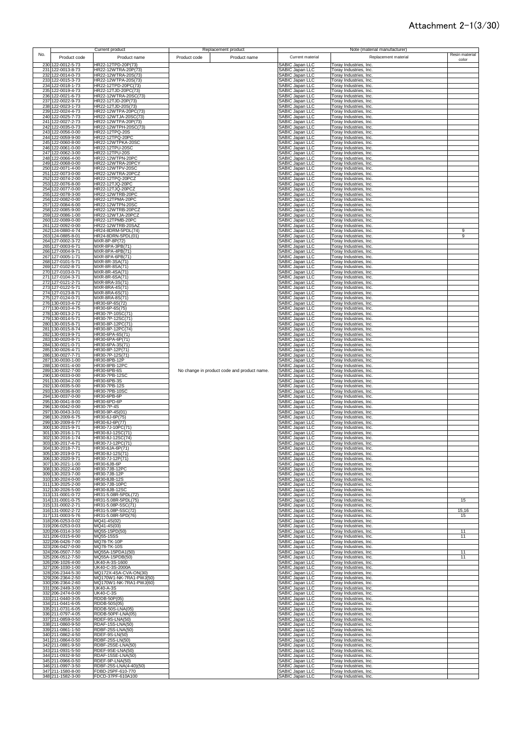|     |                                        | Current product                             |              | Replacement product                         |                                           |                                                  | Note (material manufacturer) |                         |
|-----|----------------------------------------|---------------------------------------------|--------------|---------------------------------------------|-------------------------------------------|--------------------------------------------------|------------------------------|-------------------------|
| No. | Product code                           | Product name                                | Product code | Product name                                | Current material                          |                                                  | Replacement material         | Resin material<br>color |
|     | 230 122-0012-5-73                      | HR22-12TPD-20P(73)                          |              |                                             | SABIC Japan LLC                           | Toray Industries, Inc.                           |                              |                         |
|     | 231 122-0013-8-73<br>232 122-0014-0-73 | HR22-12WTRA-20P(73)<br>HR22-12WTRA-20S(73)  |              |                                             | SABIC Japan LLC<br>SABIC Japan LLC        | Toray Industries, Inc.<br>Toray Industries, Inc. |                              |                         |
|     | 233 122-0015-3-73                      | HR22-12WTPA-20S(73)                         |              |                                             | SABIC Japan LLC                           | Toray Industries, Inc.                           |                              |                         |
|     | 234 122-0018-1-73                      | HR22-12TPD-20PC(73)                         |              |                                             | SABIC Japan LLC                           | Toray Industries, Inc.                           |                              |                         |
|     | 235 122-0019-4-73<br>236 122-0021-6-73 | HR22-12TJD-20PC(73)<br>HR22-12WTRA-20SC(73) |              |                                             | SABIC Japan LLC<br>SABIC Japan LLC        | Toray Industries, Inc.<br>Toray Industries, Inc. |                              |                         |
|     | 237 122-0022-9-73                      | HR22-12TJD-20P(73)                          |              |                                             | SABIC Japan LLC                           | Toray Industries, Inc.                           |                              |                         |
|     | 238 122-0023-1-73<br>239 122-0024-4-73 | HR22-12TJD-20S(73)<br>HR22-12WTPA-20PC(73)  |              |                                             | SABIC Japan LLC<br>SABIC Japan LLC        | Toray Industries, Inc.<br>Toray Industries, Inc. |                              |                         |
|     | 240 122-0025-7-73                      | HR22-12WTJA-20SC(73)                        |              |                                             | SABIC Japan LLC                           | Toray Industries, Inc.                           |                              |                         |
|     | 241 122-0027-2-73<br>242 122-0035-0-73 | HR22-12WTPA-20P(73)<br>HR22-12WTPH-20SC(73) |              |                                             | SABIC Japan LLC                           | Toray Industries, Inc.<br>Toray Industries, Inc. |                              |                         |
|     | 243 122-0056-0-00                      | HR22-12TPQ-20S                              |              |                                             | SABIC Japan LLC<br>SABIC Japan LLC        | Toray Industries, Inc.                           |                              |                         |
|     | 244 122-0059-9-00                      | HR22-12TPQ-20PC                             |              |                                             | SABIC Japan LLC                           | Toray Industries, Inc.                           |                              |                         |
|     | 245 122-0060-8-00<br>246 122-0061-0-00 | HR22-12WTPKA-20S<br>HR22-12TPU-20SC         |              |                                             | SABIC Japan LLC<br>SABIC Japan LLC        | Toray Industries, Inc.<br>Toray Industries, Inc. |                              |                         |
|     | 247 122-0062-3-00                      | HR22-12TPU-20S                              |              |                                             | SABIC Japan LLC                           | Toray Industries, Inc.                           |                              |                         |
|     | 248 122-0066-4-00<br>249 122-0068-0-00 | HR22-12WTPN-20PC<br>HR22-12WTRA-20PCY       |              |                                             | SABIC Japan LLC<br>SABIC Japan LLC        | Toray Industries, Inc.<br>Toray Industries, Inc. |                              |                         |
|     | 250 122-0071-4-00                      | HR22-12WTPV-20SC                            |              |                                             | SABIC Japan LLC                           | Toray Industries, Inc.                           |                              |                         |
|     | 251 122-0073-0-00<br>252 122-0074-2-00 | HR22-12WTRA-20PCZ<br>HR22-12TPQ-20PCZ       |              |                                             | SABIC Japan LLC<br>SABIC Japan LLC        | Toray Industries, Inc.<br>Toray Industries, Inc. |                              |                         |
|     | 253 122-0076-8-00                      | HR22-12TJQ-20PC                             |              |                                             | SABIC Japan LLC                           | Toray Industries, Inc.                           |                              |                         |
|     | 254 122-0077-0-00                      | HR22-12TJQ-20PCZ                            |              |                                             | SABIC Japan LLC                           | Toray Industries, Inc.                           |                              |                         |
|     | 255 122-0078-3-00<br>256 122-0082-0-00 | HR22-12WTRB-20PC<br>HR22-12TPMA-20PC        |              |                                             | SABIC Japan LLC<br>SABIC Japan LLC        | Toray Industries, Inc.<br>Toray Industries, Inc. |                              |                         |
|     | 257 122-0084-6-00                      | <b>HR22-12WTPN-20SC</b>                     |              |                                             | SABIC Japan LLC                           | Toray Industries, Inc.                           |                              |                         |
|     | 258 122-0085-9-00<br>259 122-0086-1-00 | HR22-12WTRB-20PCZ<br>HR22-12WTJA-20PCZ      |              |                                             | SABIC Japan LLC<br>SABIC Japan LLC        | Toray Industries, Inc.<br>Toray Industries, Inc. |                              |                         |
|     | 260 122-0089-0-00                      | HR22-12TPMB-20PC                            |              |                                             | SABIC Japan LLC                           | Toray Industries, Inc.                           |                              |                         |
|     | 261 122-0092-0-00<br>262 124-0880-4-74 | HR22-12WTRB-20SAZ<br>HR24-8DRM-5PDL(74)     |              |                                             | SABIC Japan LLC<br>SABIC Japan LLC        | Toray Industries, Inc.<br>Toray Industries, Inc. |                              | 9                       |
|     | 263 124-0885-8-01                      | HR24-8DRN-5PDL(01)                          |              |                                             | SABIC Japan LLC                           | Toray Industries, Inc.                           |                              | 9                       |
|     | 264 127-0002-3-72<br>265 127-0003-6-71 | MXR-8P-8P(72)<br>MXR-8PA-3PB(71)            |              |                                             | SABIC Japan LLC<br>SABIC Japan LLC        | Toray Industries, Inc.<br>Toray Industries, Inc. |                              |                         |
|     | 266 127-0004-9-71                      | MXR-8PA-4PB(71)                             |              |                                             | SABIC Japan LLC                           | Toray Industries, Inc.                           |                              |                         |
|     | 267 127-0005-1-71                      | MXR-8PA-6PB(71)                             |              |                                             | SABIC Japan LLC                           | Toray Industries, Inc.                           |                              |                         |
|     | 268 127-0101-5-71<br>269 127-0102-8-71 | MXR-8R-3SA(71)<br>MXR-8R-8SA(71)            |              |                                             | SABIC Japan LLC<br>SABIC Japan LLC        | Toray Industries, Inc.<br>Toray Industries, Inc. |                              |                         |
|     | 270 127-0103-0-71                      | MXR-8R-4SA(71)                              |              |                                             | SABIC Japan LLC<br>SABIC Japan LLC        | Toray Industries, Inc.                           |                              |                         |
|     | 271 127-0104-3-71<br>272 127-0121-2-71 | MXR-8R-6SA(71)<br>MXR-8RA-3S(71)            |              |                                             | SABIC Japan LLC                           | Toray Industries, Inc.<br>Toray Industries, Inc. |                              |                         |
|     | 273 127-0122-5-71                      | MXR-8RA-4S(71)                              |              |                                             | SABIC Japan LLC                           | Toray Industries, Inc.                           |                              |                         |
|     | 274 127-0123-8-71<br>275 127-0124-0-71 | MXR-8RA-6S(71)<br>MXR-8RA-8S(71)            |              |                                             | SABIC Japan LLC<br>SABIC Japan LLC        | Toray Industries, Inc.<br>Toray Industries, Inc. |                              |                         |
|     | 276 130-0010-4-72                      | HR30-6P-6S(72)                              |              |                                             | SABIC Japan LLC                           | Toray Industries, Inc.                           |                              |                         |
|     | 277 130-0010-4-75                      | HR30-6P-6S(75)                              |              |                                             | SABIC Japan LLC                           | Toray Industries, Inc.                           |                              |                         |
|     | 278 130-0013-2-71<br>279 130-0014-5-71 | HR30-7P-10SC(71<br>HR30-7P-12SC(71)         |              |                                             | SABIC Japan LLC<br>SABIC Japan LLC        | Toray Industries, Inc.<br>Toray Industries, Inc. |                              |                         |
|     | 280 130-0015-8-71                      | HR30-8P-12PC(71)                            |              |                                             | SABIC Japan LLC                           | Toray Industries, Inc.                           |                              |                         |
|     | 281 130-0015-8-74<br>282 130-0019-9-71 | HR30-8P-12PC(74)<br>HR30-6PA-6S(71)         |              |                                             | SABIC Japan LLC<br>SABIC Japan LLC        | Toray Industries, Inc.<br>Toray Industries, Inc. |                              |                         |
|     | 283 130-0020-8-71                      | HR30-6PA-6P(71)                             |              |                                             | SABIC Japan LLC                           | Toray Industries, Inc.                           |                              |                         |
|     | 284 130-0021-0-71<br>285 130-0026-4-71 | HR30-6PA-3S(71)<br>HR30-8P-12P(71)          |              |                                             | SABIC Japan LLC<br>SABIC Japan LLC        | Toray Industries, Inc.<br>Toray Industries, Inc. |                              |                         |
|     | 286 130-0027-7-71                      | HR30-7P-12S(71)                             |              |                                             | SABIC Japan LLC                           | Toray Industries, Inc.                           |                              |                         |
|     | 287 130-0030-1-00                      | HR30-8PB-12P                                |              |                                             | SABIC Japan LLC                           | Toray Industries, Inc.                           |                              |                         |
|     | 288 130-0031-4-00<br>289 130-0032-7-00 | HR30-8PB-12PC<br>HR30-6PB-6S                |              | No change in product code and product name. | SABIC Japan LLC<br>SABIC Japan LLC        | Toray Industries, Inc.<br>Toray Industries, Inc. |                              |                         |
|     | 290 130-0033-0-00                      | HR30-7PB-12SC                               |              |                                             | SABIC Japan LLC                           | Toray Industries, Inc.                           |                              |                         |
|     | 291 130-0034-2-00<br>292 130-0035-5-00 | HR30-6PB-3S<br>HR30-7PB-12S                 |              |                                             | SABIC Japan LLC                           | Toray Industries, Inc.<br>Toray Industries, Inc. |                              |                         |
|     | 293 130-0036-8-00                      | HR30-7PB-10SC                               |              |                                             | SABIC Japan LLC<br>SABIC Japan LLC        | Toray Industries, Inc.                           |                              |                         |
|     | 294 130-0037-0-00<br>295 130-0041-8-00 | HR30-6PB-6P<br>HR30-6PD-6P                  |              |                                             | SABIC Japan LLC<br>SABIC Japan LLC        | Toray Industries, Inc.<br>Toray Industries, Inc. |                              |                         |
|     | 296 130-0042-0-00                      | <b>HR30-7P-4S</b>                           |              |                                             | SABIC Japan LLC                           | Toray Industries, Inc.                           |                              |                         |
|     | 297 130-0043-3-01                      | HR30-9P-4S(01)<br>HR30-6J-6P(75)            |              |                                             | <b>SABIC Japan LLC</b>                    | Toray Industries, Inc.                           |                              |                         |
|     | 298 130-2009-6-75<br>299 130-2009-6-77 | HR30-6J-6P(77)                              |              |                                             | SABIC Japan LLC<br>SABIC Japan LLC        | Toray Industries, Inc.<br>Toray Industries, Inc. |                              |                         |
|     | 300 130-2015-9-71                      | HR30-7J-10PC(71)                            |              |                                             | SABIC Japan LLC                           | Toray Industries, Inc.                           |                              |                         |
|     | 301 130-2016-1-71<br>302 130-2016-1-74 | HR30-8J-12SC(71)<br>HR30-8J-12SC(74)        |              |                                             | SABIC Japan LLC<br>SABIC Japan LLC        | Toray Industries, Inc.<br>Toray Industries, Inc. |                              |                         |
|     | 303 130-2017-4-71                      | HR30-7J-12PC(71)                            |              |                                             | SABIC Japan LLC                           | Toray Industries, Inc.                           |                              |                         |
|     | 304 130-2018-7-71<br>305 130-2019-0-71 | HR30-6JA-6P(71)<br>HR30-8J-12S(71)          |              |                                             | SABIC Japan LLC<br>SABIC Japan LLC        | Toray Industries, Inc.<br>Toray Industries, Inc. |                              |                         |
|     | 306 130-2020-9-71                      | HR30-7J-12P(71)                             |              |                                             | SABIC Japan LLC                           | Toray Industries, Inc.                           |                              |                         |
|     | 307 130-2021-1-00<br>308 130-2022-4-00 | HR30-6JB-6P<br><b>HR30-7JB-12PC</b>         |              |                                             | SABIC Japan LLC                           | Toray Industries, Inc.                           |                              |                         |
|     | 309 130-2023-7-00                      | HR30-7JB-12P                                |              |                                             | SABIC Japan LLC<br>SABIC Japan LLC        | Toray Industries, Inc.<br>Toray Industries, Inc. |                              |                         |
|     | 310 130-2024-0-00                      | HR30-8JB-12S<br><b>HR30-7JB-10PC</b>        |              |                                             | SABIC Japan LLC                           | Toray Industries, Inc.                           |                              |                         |
|     | 311 130-2025-2-00<br>312 130-2026-5-00 | <b>HR30-8JB-12SC</b>                        |              |                                             | SABIC Japan LLC<br>SABIC Japan LLC        | Toray Industries, Inc.<br>Toray Industries, Inc. |                              |                         |
|     | 313 131-0001-0-72                      | HR31-5.08R-5PDL(72)                         |              |                                             | SABIC Japan LLC                           | Toray Industries, Inc.                           |                              |                         |
|     | 314 131-0001-0-75<br>315 131-0002-2-71 | HR31-5.08R-5PDL(75)<br>HR31-5.08P-5SC(71)   |              |                                             | SABIC Japan LLC<br>SABIC Japan LLC        | Toray Industries, Inc.<br>Toray Industries, Inc. |                              | 15                      |
|     | 316 131-0002-2-72                      | HR31-5.08P-5SC(72)                          |              |                                             | SABIC Japan LLC                           | Toray Industries, Inc.                           |                              | 15,16                   |
|     | 317 131-0003-5-76<br>318 206-0253-0-02 | HR31-5.08R-5PD(76)<br>MQ41-4S(02)           |              |                                             | SABIC Japan LLC                           | Toray Industries, Inc.<br>Toray Industries, Inc. |                              | 15                      |
|     | 319 206-0253-0-03                      | MQ41-4S(03)                                 |              |                                             | SABIC Japan LLC<br>SABIC Japan LLC        | Toray Industries, Inc.                           |                              |                         |
|     | 320 206-0314-3-50                      | MQ55-15PD(50)                               |              |                                             | SABIC Japan LLC                           | Toray Industries, Inc.                           |                              | 11                      |
|     | 321 206-0315-6-00<br>322 206-0426-7-00 | MQ55-15SS<br>MQ78-TK-10P                    |              |                                             | SABIC Japan LLC<br>SABIC Japan LLC        | Toray Industries, Inc.<br>Toray Industries, Inc. |                              | 11                      |
|     | 323 206-0427-0-00                      | MQ78-TK-10S                                 |              |                                             | SABIC Japan LLC                           | Toray Industries, Inc.                           |                              |                         |
|     | 324 206-0507-7-50<br>325 206-0512-7-50 | MQ55A-15PDA1(50)<br>MQ55A-15PDB(50)         |              |                                             | SABIC Japan LLC<br><b>SABIC Japan LLC</b> | Toray Industries, Inc.<br>Toray Industries, Inc. |                              | 11<br>11                |
|     | 326 206-1026-4-00                      | UK40-A-3S-1600                              |              |                                             | SABIC Japan LLC                           | Toray Industries, Inc.                           |                              |                         |
|     | 327 206-1030-1-00<br>328 206-2344-5-30 | UK40-C-3S-2000A<br>MQ172X-4SA-CVA-ON(30)    |              |                                             | SABIC Japan LLC<br>SABIC Japan LLC        | Toray Industries, Inc.<br>Toray Industries, Inc. |                              |                         |
|     | 329 206-2364-2-50                      | MQ170W1-NK-7RA1-PWJ(50)                     |              |                                             | SABIC Japan LLC                           | Toray Industries, Inc.                           |                              |                         |
|     | 330 206-2364-2-60                      | MQ170W1-NK-7RA1-PWJ(60)                     |              |                                             | SABIC Japan LLC                           | Toray Industries, Inc.                           |                              |                         |
|     | 331 206-2449-3-00<br>332 206-2474-0-00 | UK40-A-3S<br><b>UK40-C-3S</b>               |              |                                             | SABIC Japan LLC<br>SABIC Japan LLC        | Toray Industries, Inc.<br>Toray Industries, Inc. |                              |                         |
|     | 333 211-0440-3-05                      | RDDB-50P(05)                                |              |                                             | SABIC Japan LLC                           | Toray Industries, Inc.                           |                              |                         |
|     | 334 211-0441-6-05<br>335 211-0731-6-05 | RDDB-50S(05)<br>RDDB-50S-LNA(05)            |              |                                             | SABIC Japan LLC<br>SABIC Japan LLC        | Toray Industries, Inc.<br>Toray Industries, Inc. |                              |                         |
|     | 336 211-0797-4-05                      | RDDB-50PF-LNA(05)                           |              |                                             | SABIC Japan LLC                           | Toray Industries, Inc.                           |                              |                         |
|     | 337 211-0859-0-50                      | RDEF-9S-LNA(50)                             |              |                                             | SABIC Japan LLC                           | Toray Industries, Inc.                           |                              |                         |
|     | 338 211-0860-9-50<br>339 211-0861-1-50 | RDAF-15S-LNA(50)<br>RDBF-25S-LNA(50)        |              |                                             | SABIC Japan LLC<br>SABIC Japan LLC        | Toray Industries, Inc.<br>Toray Industries, Inc. |                              |                         |
|     | 340 211-0862-4-50                      | <b>RDEF-9S-LN(50)</b>                       |              |                                             | SABIC Japan LLC                           | Toray Industries, Inc.                           |                              |                         |
|     | 341 211-0864-0-50<br>342 211-0881-9-50 | RDBF-25S-LN(50)<br>RDBF-25SE-LNA(50)        |              |                                             | SABIC Japan LLC<br>SABIC Japan LLC        | Toray Industries, Inc.<br>Toray Industries, Inc. |                              |                         |
|     | 343 211-0931-5-50                      | RDEF-9SE-LNA(50)                            |              |                                             | SABIC Japan LLC                           | Toray Industries, Inc.                           |                              |                         |
|     | 344 211-0932-8-50<br>345 211-0966-0-50 | RDAF-15SE-LNA(50)<br>RDEF-9P-LNA(50)        |              |                                             | SABIC Japan LLC<br>SABIC Japan LLC        | Toray Industries, Inc.<br>Toray Industries, Inc. |                              |                         |
|     | 346 211-0997-3-50                      | RDBF-25S-LNA(4-40)(50)                      |              |                                             | SABIC Japan LLC                           | Toray Industries, Inc.                           |                              |                         |
|     | 347 211-1580-8-00                      | FDBD-25PF-610-770                           |              |                                             | SABIC Japan LLC                           | Toray Industries, Inc.                           |                              |                         |
|     | 348 211-1582-3-00                      | FDCD-37PF-610A100                           |              |                                             | SABIC Japan LLC                           | Toray Industries, Inc.                           |                              |                         |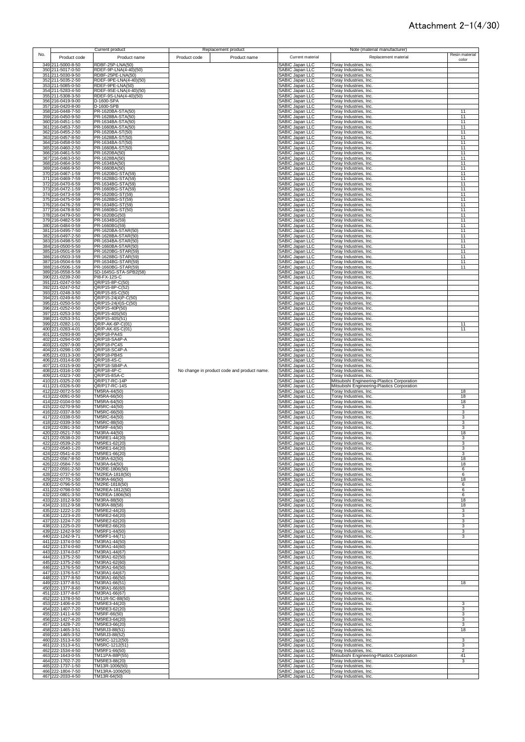|     |                                        | Current product                             |              | Replacement product                         |                                           |                                                  | Note (material manufacturer)                                                               |                         |  |
|-----|----------------------------------------|---------------------------------------------|--------------|---------------------------------------------|-------------------------------------------|--------------------------------------------------|--------------------------------------------------------------------------------------------|-------------------------|--|
| No. | Product code                           | Product name                                | Product code | Product name                                | Current material                          |                                                  | Replacement material                                                                       | Resin material<br>color |  |
|     | 349 211-5000-8-50                      | RDBF-25P-LNA(50)                            |              |                                             | SABIC Japan LLC                           | Toray Industries, Inc.                           |                                                                                            |                         |  |
|     | 350 211-5017-0-50                      | RDEF-9P-LNA(4-40)(50)                       |              |                                             | SABIC Japan LLC                           | Toray Industries, Inc.                           |                                                                                            |                         |  |
|     | 351 211-5030-9-50<br>352 211-5035-2-50 | RDBF-25PE-LNA(50)<br>RDEF-9PE-LNA(4-40)(50) |              |                                             | SABIC Japan LLC<br>SABIC Japan LLC        | Toray Industries, Inc.<br>Toray Industries, Inc. |                                                                                            |                         |  |
|     | 353 211-5085-0-50                      | RDEF-9PE-LNA(50)                            |              |                                             | SABIC Japan LLC                           | Toray Industries, Inc.                           |                                                                                            |                         |  |
|     | 354 211-5283-4-50                      | RDEF-9SE-LNA(4-40)(50)                      |              |                                             | SABIC Japan LLC                           | Toray Industries, Inc.                           |                                                                                            |                         |  |
|     | 355 211-5308-3-50<br>356 216-0419-9-00 | RDEF-9S-LNA(4-40)(50)<br>D-1600-SPA         |              |                                             | SABIC Japan LLC<br>SABIC Japan LLC        | Toray Industries, Inc.<br>Toray Industries, Inc. |                                                                                            |                         |  |
|     | 357 216-0420-8-00                      | D-1600-SPB                                  |              |                                             | SABIC Japan LLC                           | Toray Industries, Inc.                           |                                                                                            |                         |  |
|     | 358 216-0448-7-50<br>359 216-0450-9-50 | PR-1620BA-STA(50)<br>PR-1628BA-STA(50)      |              |                                             | SABIC Japan LLC<br><b>SABIC Japan LLC</b> | Toray Industries, Inc.<br>Toray Industries, Inc. |                                                                                            | 11<br>11                |  |
|     | 360 216-0451-1-50                      | PR-1634BA-STA(50)                           |              |                                             | SABIC Japan LLC                           | Toray Industries, Inc.                           |                                                                                            | 11                      |  |
|     | 361 216-0453-7-50                      | PR-1660BA-STA(50)                           |              |                                             | SABIC Japan LLC                           | Toray Industries, Inc.                           |                                                                                            | 11                      |  |
|     | 362 216-0455-2-50<br>363 216-0457-8-50 | PR-1620BA-ST(50)<br>PR-1628BA-ST(50)        |              |                                             | SABIC Japan LLC<br>SABIC Japan LLC        | Toray Industries, Inc.<br>Toray Industries, Inc. |                                                                                            | 11<br>11                |  |
|     | 364 216-0458-0-50                      | PR-1634BA-ST(50)                            |              |                                             | <b>SABIC Japan LLC</b>                    | Toray Industries, Inc.                           |                                                                                            | 11                      |  |
|     | 365 216-0460-2-50<br>366 216-0461-5-50 | PR-1660BA-ST(50)<br>PR-1620BA(50)           |              |                                             | SABIC Japan LLC<br><b>SABIC Japan LLC</b> | Toray Industries, Inc.<br>Toray Industries, Inc. |                                                                                            | 11<br>11                |  |
|     | 367 216-0463-0-50                      | PR-1628BA(50)                               |              |                                             | <b>SABIC Japan LLC</b>                    | Toray Industries, Inc.                           |                                                                                            | 11                      |  |
|     | 368 216-0464-3-50<br>369 216-0466-9-50 | PR-1634BA(50)<br>PR-1660BA(50)              |              |                                             | <b>SABIC Japan LLC</b><br>SABIC Japan LLC | Toray Industries, Inc.<br>Toray Industries, Inc. |                                                                                            | 11<br>11                |  |
|     | 370 216-0467-1-59                      | PR-1620BG-STA(59)                           |              |                                             | SABIC Japan LLC                           | Toray Industries, Inc.                           |                                                                                            | 11                      |  |
|     | 371 216-0469-7-59                      | PR-1628BG-STA(59)                           |              |                                             | SABIC Japan LLC                           | Toray Industries, Inc.                           |                                                                                            | 11                      |  |
|     | 372 216-0470-6-59<br>373 216-0472-1-59 | PR-1634BG-STA(59)<br>PR-1660BG-STA(59)      |              |                                             | SABIC Japan LLC<br>SABIC Japan LLC        | Toray Industries, Inc.<br>Toray Industries, Inc. |                                                                                            | 11<br>11                |  |
|     | 374 216-0473-4-59                      | PR-1620BG-ST(59)                            |              |                                             | SABIC Japan LLC                           | Toray Industries, Inc.                           |                                                                                            | 11                      |  |
|     | 375 216-0475-0-59<br>376 216-0476-2-59 | PR-1628BG-ST(59)<br>PR-1634BG-ST(59)        |              |                                             | SABIC Japan LLC<br>SABIC Japan LLC        | Toray Industries, Inc.<br>Toray Industries, Inc. |                                                                                            | 11<br>11                |  |
|     | 377 216-0478-8-50                      | PR-1660BG-ST(50)                            |              |                                             | SABIC Japan LLC                           | Toray Industries, Inc.                           |                                                                                            | 11                      |  |
|     | 378 216-0479-0-50<br>379 216-0482-5-59 | PR-1620BG(50)<br>PR-1634BG(59)              |              |                                             | SABIC Japan LLC<br>SABIC Japan LLC        | Toray Industries, Inc.<br>Toray Industries, Inc. |                                                                                            | 11<br>11                |  |
|     | 380 216-0484-0-59                      | PR-1660BG(59)                               |              |                                             | SABIC Japan LLC                           | Toray Industries, Inc.                           |                                                                                            | 11                      |  |
|     | 381 216-0495-7-50                      | PR-1620BA-STAR(50)                          |              |                                             | SABIC Japan LLC                           | Toray Industries, Inc.                           |                                                                                            | 11                      |  |
|     | 382 216-0497-2-50<br>383 216-0498-5-50 | PR-1628BA-STAR(50)<br>PR-1634BA-STAR(50)    |              |                                             | SABIC Japan LLC<br>SABIC Japan LLC        | Toray Industries, Inc.<br>Toray Industries, Inc. |                                                                                            | 11<br>11                |  |
|     | 384 216-0500-5-50                      | PR-1660BA-STAR(50)                          |              |                                             | SABIC Japan LLC                           | Toray Industries, Inc.                           |                                                                                            | 11                      |  |
|     | 385 216-0501-8-59<br>386 216-0503-3-59 | PR-1620BG-STAR(59)<br>PR-1628BG-STAR(59)    |              |                                             | SABIC Japan LLC<br>SABIC Japan LLC        | Toray Industries, Inc.<br>Toray Industries, Inc. |                                                                                            | 11<br>11                |  |
|     | 387 216-0504-6-59                      | PR-1634BG-STAR(59)                          |              |                                             | SABIC Japan LLC                           | Toray Industries, Inc.                           |                                                                                            | 11                      |  |
|     | 388 216-0506-1-59<br>389 216-0558-5-58 | PR-1660BG-STAR(59)<br>SD-1645G-STA-SPB2(58) |              |                                             | SABIC Japan LLC<br>SABIC Japan LLC        | Toray Industries, Inc.<br>Toray Industries, Inc. |                                                                                            | 11                      |  |
|     | 390 221-0239-2-00                      | PI8-FX-12S-C                                |              |                                             | <b>SABIC Japan LLC</b>                    | Toray Industries, Inc.                           |                                                                                            |                         |  |
|     | 391 221-0247-0-50<br>392 221-0247-0-52 | QR/P15-8P-C(50)<br>QR/P15-8P-C(52)          |              |                                             | SABIC Japan LLC<br>SABIC Japan LLC        | Toray Industries, Inc.<br>Toray Industries, Inc. |                                                                                            |                         |  |
|     | 393 221-0248-3-50                      | QR/P15-8S-C(50)                             |              |                                             | <b>SABIC Japan LLC</b>                    | Toray Industries, Inc.                           |                                                                                            |                         |  |
|     | 394 221-0249-6-50                      | QR/P15-24(4)P-C(50)                         |              |                                             | SABIC Japan LLC                           | Toray Industries, Inc.                           |                                                                                            |                         |  |
|     | 395 221-0250-5-50<br>396 221-0252-0-50 | QR/P15-24(4)S-C(50)<br>QR/P15-40P(50)       |              |                                             | SABIC Japan LLC<br>SABIC Japan LLC        | Toray Industries, Inc.<br>Toray Industries, Inc. |                                                                                            |                         |  |
|     | 397 221-0253-3-50                      | QR/P15-40S(50)                              |              |                                             | SABIC Japan LLC                           | Toray Industries, Inc.                           |                                                                                            |                         |  |
|     | 398 221-0253-3-51<br>399 221-0282-1-01 | QR/P15-40S(51)<br>QR/P-AK-6P-C(01)          |              |                                             | SABIC Japan LLC<br>SABIC Japan LLC        | Toray Industries, Inc.<br>Toray Industries, Inc. |                                                                                            | 11                      |  |
|     | 400 221-0283-4-01                      | QR/P-AK-6S-C(01)                            |              |                                             | SABIC Japan LLC                           | Toray Industries, Inc.                           |                                                                                            | 11                      |  |
|     | 401 221-0293-8-00<br>402 221-0294-0-00 | QR/P18-PA4S<br>QR/P18-SA4P-A                |              |                                             | SABIC Japan LLC<br>SABIC Japan LLC        | Toray Industries, Inc.<br>Toray Industries, Inc. |                                                                                            |                         |  |
|     | 403 221-0297-9-00                      | QR/P18-PC4S                                 |              |                                             | SABIC Japan LLC                           | Toray Industries, Inc.                           |                                                                                            |                         |  |
|     | 404 221-0298-1-00<br>405 221-0313-3-00 | QR/P18-SC4P-A<br>QR/P18-PB4S                |              |                                             | SABIC Japan LLC<br>SABIC Japan LLC        | Toray Industries, Inc.<br>Toray Industries, Inc. |                                                                                            |                         |  |
|     | 406 221-0314-6-00                      | QR/P18-4S-C                                 |              |                                             | SABIC Japan LLC                           | Toray Industries, Inc.                           |                                                                                            |                         |  |
|     | 407 221-0315-9-00<br>408 221-0316-1-00 | QR/P18-SB4P-A<br>QR/P18-4P-C                |              | No change in product code and product name. | SABIC Japan LLC<br>SABIC Japan LLC        | Toray Industries, Inc.<br>Toray Industries, Inc. |                                                                                            |                         |  |
|     | 409 221-0323-7-00                      | QR/P15-8SA-C                                |              |                                             | <b>SABIC Japan LLC</b>                    | Toray Industries, Inc.                           |                                                                                            |                         |  |
|     | 410 221-0325-2-00<br>411 221-0326-5-00 | QR/P17-RC-14P<br>QR/P17-RC-14S              |              |                                             | SABIC Japan LLC<br>SABIC Japan LLC        |                                                  | Mitsubishi Engineering-Plastics Corporation<br>Mitsubishi Engineering-Plastics Corporation |                         |  |
|     | 412 222-0072-5-50                      | TM5RA-44(50)                                |              |                                             | SABIC Japan LLC                           | Toray Industries, Inc.                           |                                                                                            | 18                      |  |
|     | 413 222-0091-0-50<br>414 222-0104-0-50 | TM5RA-66(50)<br>TM5RA-64(50)                |              |                                             | SABIC Japan LLC<br>SABIC Japan LLC        | Toray Industries, Inc.<br>Toray Industries, Inc. |                                                                                            | 18<br>18                |  |
|     | 415 222-0270-9-50                      | TM5RC-44(50)                                |              |                                             | <b>SABIC Japan LLC</b>                    | Toray Industries, Inc.                           |                                                                                            | 3                       |  |
|     | 416 222-0337-8-50<br>417 222-0338-0-50 | TM5RC-66(50)<br>TM5RC-64(50)                |              |                                             | SABIC Japan LLC<br><b>SABIC Japan LLC</b> | Toray Industries, Inc.<br>Toray Industries, Inc. |                                                                                            | 3<br>3                  |  |
|     | 418 222-0339-3-50                      | TM5RC-88(50)                                |              |                                             | SABIC Japan LLC                           | Toray Industries, Inc.                           |                                                                                            | 3                       |  |
|     | 419 222-0391-3-50<br>420 222-0521-7-50 | TM5RF-44(50)<br>TM3RA-44(50)                |              |                                             | SABIC Japan LLC<br>SABIC Japan LLC        | Toray Industries, Inc.<br>Toray Industries, Inc. |                                                                                            | 3<br>18                 |  |
|     | 421 222-0538-0-20                      | TM5RE1-44(20)                               |              |                                             | SABIC Japan LLC                           | Toray Industries, Inc.                           |                                                                                            | 3                       |  |
|     | 422 222-0539-2-20<br>423 222-0540-1-20 | TM5RE1-62(20)<br>TM5RE1-64(20)              |              |                                             | SABIC Japan LLC<br>SABIC Japan LLC        | Toray Industries, Inc.<br>Toray Industries, Inc. |                                                                                            | 3                       |  |
|     | 424 222-0541-4-20                      | TM5RE1-66(20)                               |              |                                             | SABIC Japan LLC                           | Toray Industries, Inc.                           |                                                                                            | 3                       |  |
|     | 425 222-0567-8-50<br>426 222-0584-7-50 | TM3RA-62(50)<br>TM3RA-64(50)                |              |                                             | SABIC Japan LLC<br>SABIC Japan LLC        | Toray Industries, Inc.<br>Toray Industries, Inc. |                                                                                            | 18<br>18                |  |
|     | 427 222-0591-2-50                      | TM2RE-1806(50)                              |              |                                             | SABIC Japan LLC                           | Toray Industries, Inc.                           |                                                                                            | 6                       |  |
|     | 428 222-0737-6-50                      | TM2REA-1818(50)                             |              |                                             | SABIC Japan LLC                           | Toray Industries, Inc.                           |                                                                                            | 6                       |  |
|     | 429 222-0770-1-50<br>430 222-0796-5-50 | TM3RA-66(50)<br>TM2RE-1818(50)              |              |                                             | SABIC Japan LLC<br>SABIC Japan LLC        | Toray Industries, Inc.<br>Toray Industries, Inc. |                                                                                            | 18<br>6                 |  |
|     | 431 222-0798-0-50                      | TM2REA-1812(50)                             |              |                                             | SABIC Japan LLC                           | Toray Industries, Inc.                           |                                                                                            | 6                       |  |
|     | 432 222-0801-3-50<br>433 222-1012-9-50 | TM2REA-1806(50)<br>TM3RA-88(50)             |              |                                             | SABIC Japan LLC<br>SABIC Japan LLC        | Toray Industries, Inc.<br>Toray Industries, Inc. |                                                                                            | 6<br>18                 |  |
|     | 434 222-1012-9-58                      | TM3RA-88(58)                                |              |                                             | SABIC Japan LLC                           | Toray Industries, Inc.                           |                                                                                            | 18                      |  |
|     | 435 222-1222-1-20<br>436 222-1223-4-20 | TM5RE2-44(20)<br>TM5RE2-64(20)              |              |                                             | SABIC Japan LLC<br>SABIC Japan LLC        | Toray Industries, Inc.<br>Toray Industries, Inc. |                                                                                            | 3<br>3                  |  |
|     | 437 222-1224-7-20                      | TM5RE2-62(20)                               |              |                                             | SABIC Japan LLC                           | Toray Industries, Inc.                           |                                                                                            | 3                       |  |
|     | 438 222-1225-0-20<br>439 222-1242-9-50 | TM5RE2-66(20)<br>TM5RF1-44(50)              |              |                                             | SABIC Japan LLC<br>SABIC Japan LLC        | Toray Industries, Inc.<br>Toray Industries, Inc. |                                                                                            | 3<br>3                  |  |
|     | 440 222-1242-9-71                      | TM5RF1-44(71)                               |              |                                             | SABIC Japan LLC                           | Toray Industries, Inc.                           |                                                                                            | 3                       |  |
|     | 441 222-1374-0-50<br>442 222-1374-0-60 | TM3RA1-44(50)<br>TM3RA1-44(60)              |              |                                             | <b>SABIC Japan LLC</b><br>SABIC Japan LLC | Toray Industries, Inc.<br>Toray Industries, Inc. |                                                                                            |                         |  |
|     | 443 222-1374-0-67                      | TM3RA1-44(67)                               |              |                                             | SABIC Japan LLC                           | Toray Industries, Inc.                           |                                                                                            |                         |  |
|     | 444 222-1375-2-50<br>445 222-1375-2-60 | TM3RA1-62(50)<br>TM3RA1-62(60)              |              |                                             | SABIC Japan LLC<br>SABIC Japan LLC        | Toray Industries, Inc.<br>Toray Industries, Inc. |                                                                                            |                         |  |
|     | 446 222-1376-5-50                      | TM3RA1-64(50)                               |              |                                             | SABIC Japan LLC                           | Toray Industries, Inc.                           |                                                                                            |                         |  |
|     | 447 222-1376-5-67<br>448 222-1377-8-50 | TM3RA1-64(67)<br>TM3RA1-66(50)              |              |                                             | SABIC Japan LLC<br>SABIC Japan LLC        | Toray Industries, Inc.<br>Toray Industries, Inc. |                                                                                            |                         |  |
|     | 449 222-1377-8-51                      | TM3RA1-66(51)                               |              |                                             | SABIC Japan LLC                           | Toray Industries, Inc.                           |                                                                                            | 18                      |  |
|     | 450 222-1377-8-60<br>451 222-1377-8-67 | TM3RA1-66(60)<br>TM3RA1-66(67)              |              |                                             | SABIC Japan LLC<br>SABIC Japan LLC        | Toray Industries, Inc.<br>Toray Industries, Inc. |                                                                                            |                         |  |
|     | 452 222-1378-0-50                      | TM11R-5C-88(50)                             |              |                                             | SABIC Japan LLC                           | Toray Industries, Inc.                           |                                                                                            |                         |  |
|     | 453 222-1406-4-20<br>454 222-1407-7-20 | TM5RE3-44(20)<br>TM5RE3-62(20)              |              |                                             | SABIC Japan LLC<br>SABIC Japan LLC        | Toray Industries, Inc.<br>Toray Industries, Inc. |                                                                                            | з<br>3                  |  |
|     | 455 222-1411-4-50                      | TM5RF-66(50)                                |              |                                             | SABIC Japan LLC                           | Toray Industries, Inc.                           |                                                                                            | 3                       |  |
|     | 456 222-1427-4-20                      | TM5RE3-64(20)                               |              |                                             | SABIC Japan LLC                           | Toray Industries, Inc.                           |                                                                                            | 3                       |  |
|     | 457 222-1428-7-20<br>458 222-1465-3-51 | TM5RE3-66(20)<br>TM5RJ3-88(51)              |              |                                             | SABIC Japan LLC<br>SABIC Japan LLC        | Toray Industries, Inc.<br>Toray Industries, Inc. |                                                                                            | 3<br>18                 |  |
|     | 459 222-1465-3-52                      | TM5RJ3-88(52)<br>TM5RC-1212(50)             |              |                                             | SABIC Japan LLC                           | Toray Industries, Inc.                           |                                                                                            |                         |  |
|     | 460 222-1513-4-50<br>461 222-1513-4-51 | TM5RC-1212(51)                              |              |                                             | SABIC Japan LLC<br>SABIC Japan LLC        | Toray Industries, Inc.<br>Toray Industries, Inc. |                                                                                            | 3<br>3                  |  |
|     | 462 222-1534-4-50                      | TM5RF1-66(50)                               |              |                                             | SABIC Japan LLC                           | Toray Industries, Inc.                           |                                                                                            | $\overline{2}$          |  |
|     | 463 222-1643-0-55<br>464 222-1702-7-20 | TM11PA-88P(55)<br>TM5RE3-88(20)             |              |                                             | SABIC Japan LLC<br>SABIC Japan LLC        | Toray Industries, Inc.                           | Mitsubishi Engineering-Plastics Corporation                                                | 41<br>3                 |  |
|     | 465 222-1737-1-50                      | TM13R-1006(50)                              |              |                                             | SABIC Japan LLC                           | Toray Industries, Inc.                           |                                                                                            |                         |  |
|     | 466 222-1804-7-50<br>467 222-2033-4-50 | TM13RA-1006(50)<br>TM13R-64(50)             |              |                                             | SABIC Japan LLC<br>SABIC Japan LLC        | Toray Industries, Inc.<br>Toray Industries, Inc. |                                                                                            |                         |  |
|     |                                        |                                             |              |                                             |                                           |                                                  |                                                                                            |                         |  |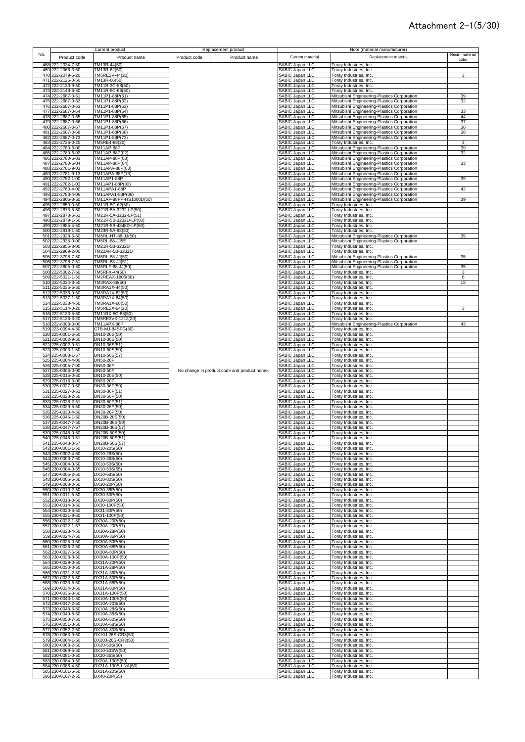|     |                                        | Current product                               |              | Replacement product                         |                                                  | Note (material manufacturer)                                                               |                |
|-----|----------------------------------------|-----------------------------------------------|--------------|---------------------------------------------|--------------------------------------------------|--------------------------------------------------------------------------------------------|----------------|
| No. | Product code                           | Product name                                  | Product code | Product name                                | Current material                                 | Replacement material                                                                       | Resin material |
|     | 468 222-2034-7-50                      | TM13R-44(50)                                  |              |                                             | <b>ABIC Japan LLC</b>                            | Toray Industries, Inc.                                                                     | color          |
|     | 469 222-2066-3-50                      | TM13R-62(50)                                  |              |                                             | <b>SABIC Japan LLC</b>                           | Toray Industries, Inc.                                                                     |                |
|     | 470 222-2079-5-20<br>471 222-2125-0-50 | TM5RE2V-44(20)<br>TM13R-66(50)                |              |                                             | <b>SABIC Japan LLC</b><br>SABIC Japan LLC        | Toray Industries, Inc.<br><b>Toray Industries, Inc.</b>                                    | 3              |
|     | 472 222-2133-9-50                      | TM11R-3C-88(50)                               |              |                                             | SABIC Japan LLC                                  | <b>Toray Industries, Inc.</b>                                                              |                |
|     | 473 222-2148-6-50                      | TM11R-5C-66(50)                               |              |                                             | SABIC Japan LLC<br>SABIC Japan LLC               | Foray Industries, Inc.                                                                     |                |
|     | 474 222-2687-0-61<br>475 222-2687-0-62 | TM11P1-88P(61)<br>TM11P1-88P(62)              |              |                                             | <b>SABIC Japan LLC</b>                           | Mitsubishi Engineering-Plastics Corporation<br>Mitsubishi Engineering-Plastics Corporation | 39<br>32       |
|     | 476 222-2687-0-63                      | TM11P1-88P(63)                                |              |                                             | <b>SABIC Japan LLC</b>                           | Mitsubishi Engineering-Plastics Corporation                                                |                |
|     | 477 222-2687-0-64<br>478 222-2687-0-65 | TM11P1-88P(64)<br>TM11P1-88P(65)              |              |                                             | SABIC Japan LLC<br><b>SABIC Japan LLC</b>        | Mitsubishi Engineering-Plastics Corporation<br>Mitsubishi Engineering-Plastics Corporation | 33<br>44       |
|     | 479 222-2687-0-66                      | TM11P1-88P(66)                                |              |                                             | SABIC Japan LLC                                  | Mitsubishi Engineering-Plastics Corporation                                                | 37             |
|     | 480 222-2687-0-67                      | TM11P1-88P(67)                                |              |                                             | ABIC Japan LLC<br><b>SABIC Japan LLC</b>         | Mitsubishi Engineering-Plastics Corporation                                                | 36             |
|     | 481 222-2687-0-68<br>482 222-2687-0-73 | TM11P1-88P(68)<br>TM11P1-88P(73)              |              |                                             | <b>SABIC Japan LLC</b>                           | Mitsubishi Engineering-Plastics Corporation<br>Mitsubishi Engineering-Plastics Corporation | 38             |
|     | 483 222-2726-0-20                      | TM5RE4-88(20)                                 |              |                                             | <b>SABIC Japan LLC</b>                           | Toray Industries, Inc.                                                                     | 3              |
|     | 484 222-2780-6-00<br>485 222-2780-6-02 | TM11AP-88P<br>TM11AP-88P(02)                  |              |                                             | <b>SABIC Japan LLC</b><br><b>SABIC Japan LLC</b> | Mitsubishi Engineering-Plastics Corporation<br>Mitsubishi Engineering-Plastics Corporation | 39<br>32       |
|     | 486 222-2780-6-03                      | TM11AP-88P(03)                                |              |                                             | <b>SABIC Japan LLC</b>                           | Mitsubishi Engineering-Plastics Corporation                                                |                |
|     | 487 222-2780-6-04<br>488 222-2781-9-03 | TM11AP-88P(04)<br>TM11APA-88P(03)             |              |                                             | <b>SABIC Japan LLC</b><br><b>SABIC Japan LLC</b> | Mitsubishi Engineering-Plastics Corporation<br>Mitsubishi Engineering-Plastics Corporation | 33             |
|     | 489 222-2781-9-13                      | TM11APA-88P(13)                               |              |                                             | <b>SABIC Japan LLC</b>                           | Mitsubishi Engineering-Plastics Corporation                                                |                |
|     | 490 222-2782-1-00                      | TM11AP1-88P                                   |              |                                             | <b>SABIC Japan LLC</b>                           | Mitsubishi Engineering-Plastics Corporation                                                | 39             |
|     | 491 222-2782-1-03<br>492 222-2783-4-00 | TM11AP1-88P(03)<br><b>TM11APA1-88P</b>        |              |                                             | SABIC Japan LLC<br>SABIC Japan LLC               | Mitsubishi Engineering-Plastics Corporation<br>Mitsubishi Engineering-Plastics Corporation | 42             |
|     | 493 222-2783-4-06                      | TM11APA1-88P(06)                              |              |                                             | SABIC Japan LLC                                  | Mitsubishi Engineering-Plastics Corporation                                                |                |
|     | 494 222-2806-8-50<br>495 222-2850-0-50 | TM11AP-88PP-HS1000D(50)<br>TM11R-5C-62(50)    |              |                                             | SABIC Japan LLC<br>SABIC Japan LLC               | Mitsubishi Engineering-Plastics Corporation<br>Toray Industries, Inc.                      | 39             |
|     | 496 222-2873-5-50                      | TM21R-5A-3232-LP(50)                          |              |                                             | SABIC Japan LLC                                  | Toray Industries, Inc.                                                                     |                |
|     | 497 222-2873-5-51<br>498 222-2879-1-50 | TM21R-5A-3232-LP(51)<br>TM21R-5B-3232D-LP(50) |              |                                             | SABIC Japan LLC<br>SABIC Japan LLC               | Toray Industries, Inc.<br>Toray Industries, Inc.                                           |                |
|     | 499 222-2885-4-50                      | TM21R-5B-4848D-LP(50)                         |              |                                             | SABIC Japan LLC                                  | Toray Industries, Inc.                                                                     |                |
|     | 500 222-2918-1-50                      | TM23R-5A-88(50)                               |              |                                             | SABIC Japan LLC                                  | Toray Industries, Inc.                                                                     |                |
|     | 501 222-2928-5-50<br>502 222-2935-0-00 | TM5RL-HT-88-JJ(50)<br>TM5RL-88-JJ5E           |              |                                             | SABIC Japan LLC<br>SABIC Japan LLC               | Mitsubishi Engineering-Plastics Corporation<br>Mitsubishi Engineering-Plastics Corporation | 35             |
|     | 503 222-2955-8-00                      | TM21R-5B-3232D                                |              |                                             | SABIC Japan LLC                                  | Toray Industries, Inc.                                                                     |                |
|     | 504 222-2969-2-00<br>505 222-3798-7-50 | TM22AR-5B-3232D<br>TM5RL-88-JJ(50)            |              |                                             | SABIC Japan LLC<br>SABIC Japan LLC               | Toray Industries, Inc.<br>Mitsubishi Engineering-Plastics Corporation                      | 35             |
|     | 506 222-3798-7-51                      | TM5RL-88-JJ(51)                               |              |                                             | <b>SABIC Japan LLC</b>                           | Mitsubishi Engineering-Plastics Corporation                                                |                |
|     | 507 222-3805-0-50<br>508 222-5002-7-50 | TM5RLF-88-JJ(50)<br>TM5RFX-44(50)             |              |                                             | SABIC Japan LLC<br>SABIC Japan LLC               | Mitsubishi Engineering-Plastics Corporation<br>Toray Industries, Inc.                      | 35<br>3        |
|     | 509 222-5021-1-50                      | TM2REAX-1806(50)                              |              |                                             | <b>SABIC Japan LLC</b>                           | Toray Industries, Inc.                                                                     | 6              |
|     | 510 222-5034-3-50<br>511 222-5035-6-50 | TM3RAX-88(50)<br>TM3RA1X-44(50)               |              |                                             | SABIC Japan LLC<br><b>SABIC Japan LLC</b>        | Toray Industries, Inc.<br>Toray Industries, Inc.                                           | 18             |
|     | 512 222-5036-9-50                      | TM3RA1X-62(50)                                |              |                                             | <b>SABIC Japan LLC</b>                           | <b>Toray Industries, Inc.</b>                                                              |                |
|     | 513 222-5037-1-50                      | TM3RA1X-64(50)                                |              |                                             | <b>SABIC Japan LLC</b>                           | Toray Industries, Inc.                                                                     |                |
|     | 514 222-5038-4-50<br>515 222-5114-0-20 | TM3RA1X-66(50)<br>TM5RE2X-64(20)              |              |                                             | SABIC Japan LLC<br><b>SABIC Japan LLC</b>        | Toray Industries, Inc.<br>Toray Industries, Inc.                                           | 3              |
|     | 516 222-5133-5-50                      | TM11RX-5C-88(50)                              |              |                                             | SABIC Japan LLC                                  | Toray Industries, Inc.                                                                     |                |
|     | 517 222-5136-3-20<br>518 222-8008-0-00 | TM5RE3VX-1212(20)<br>TM11APX-88P              |              |                                             | SABIC Japan LLC<br>SABIC Japan LLC               | Toray Industries, Inc.<br>Mitsubishi Engineering-Plastics Corporation                      | 43             |
|     | 519 223-0094-4-30                      | CTB-MJ-84SFG(30)                              |              |                                             | <b>SABIC Japan LLC</b>                           | Toray Industries, Inc.                                                                     |                |
|     | 520 225-0001-6-50<br>521 225-0002-9-50 | DN10-26S(50)<br>DN10-36S(50)                  |              |                                             | SABIC Japan LLC<br>SABIC Japan LLC               | Toray Industries, Inc.<br>Toray Industries, Inc.                                           |                |
|     | 522 225-0002-9-51                      | DN10-36S(51)                                  |              |                                             | SABIC Japan LLC                                  | Toray Industries, Inc.                                                                     |                |
|     | 523 225-0003-1-50<br>524 225-0003-1-57 | DN10-50S(50)<br>DN10-50S(57)                  |              |                                             | SABIC Japan LLC<br>SABIC Japan LLC               | Toray Industries, Inc.<br><b>Toray Industries, Inc.</b>                                    |                |
|     | 525 225-0004-4-00                      | <b>DN50-26P</b>                               |              |                                             | <b>SABIC Japan LLC</b>                           | Toray Industries, Inc.                                                                     |                |
|     | 526 225-0005-7-00                      | DN50-36P                                      |              |                                             | SABIC Japan LLC                                  | <b>Toray Industries, Inc.</b>                                                              |                |
|     | 527 225-0006-0-00<br>528 225-0015-0-50 | DN50-50P<br>DN10-20S(50)                      |              | No change in product code and product name. | SABIC Japan LLC<br><b>SABIC Japan LLC</b>        | Toray Industries, Inc.<br>Toray Industries, Inc.                                           |                |
|     | 529 225-0016-3-00                      | DN50-20P                                      |              |                                             | <b>SABIC Japan LLC</b>                           | Toray Industries, Inc.                                                                     |                |
|     | 530 225-0027-0-50<br>531 225-0027-0-51 | DN30-36P(50)<br>DN30-36P(51)                  |              |                                             | <b>SABIC Japan LLC</b><br><b>ABIC Japan LLC</b>  | Toray Industries, Inc.<br>Foray Industries, Inc.                                           |                |
|     | 532 225-0028-2-50                      | DN30-50P(50)                                  |              |                                             | <b>ABIC Japan LLC</b>                            | Toray Industries, Inc.                                                                     |                |
|     | 533 225-0028-2-51<br>534 225-0029-5-50 | DN30-50P(51)<br>DN30-26P(50)                  |              |                                             | <b>SABIC Japan LLC</b><br><b>SABIC Japan LLC</b> | Toray Industries, Inc.<br>Toray Industries, Inc.                                           |                |
|     | 535 225-0030-4-50                      | DN30-20P(50)                                  |              |                                             | <b>SABIC Japan LLC</b>                           | Toray Industries, Inc.                                                                     |                |
|     | 536 225-0045-1-50<br>537 225-0047-7-50 | DN20B-20S(50)<br>DN20B-36S(50)                |              |                                             | <b>SABIC Japan LLC</b><br><b>SABIC Japan LLC</b> | Toray Industries, Inc.<br>Toray Industries, Inc.                                           |                |
|     | 538 225-0047-7-57                      | DN20B-36S(57)                                 |              |                                             | ABIC Japan LLC                                   | Toray Industries, Inc.                                                                     |                |
|     | 539 225-0048-0-50<br>540 225-0048-0-51 | DN20B-50S(50)<br>DN20B-50S(51)                |              |                                             | ABIC Japan LLC<br><b>SABIC Japan LLC</b>         | Toray Industries, Inc.<br>Toray Industries, Inc.                                           |                |
|     | 541 225-0048-0-57                      | DN20B-50S(57)                                 |              |                                             | ABIC. Janan I I C                                | Toray Industries, Inc.                                                                     |                |
|     | 542 230-0001-1-50<br>543 230-0002-4-50 | DX10-20S(50)<br>DX10-28S(50)                  |              |                                             | SABIC Japan LLC<br>SABIC Japan LLC               | Toray Industries, Inc.<br>Toray Industries, Inc.                                           |                |
|     | 544 230-0003-7-50                      | DX10-36S(50)                                  |              |                                             | <b>SABIC Japan LLC</b>                           | Toray Industries, Inc.                                                                     |                |
|     | 545 230-0004-0-50                      | DX10-50S(50)                                  |              |                                             | <b>SABIC Japan LLC</b>                           | Toray Industries, Inc.                                                                     |                |
|     | 546 230-0004-0-55<br>547 230-0005-2-50 | DX10-50S(55)<br>DX10-68S(50)                  |              |                                             | SABIC Japan LLC<br>SABIC Japan LLC               | Toray Industries, Inc.<br>Toray Industries, Inc.                                           |                |
|     | 548 230-0006-5-50                      | DX10-80S(50)                                  |              |                                             | SABIC Japan LLC                                  | Foray Industries, Inc.                                                                     |                |
|     | 549 230-0008-0-50<br>550 230-0010-2-50 | DX30-20P(50)<br>DX30-36P(50)                  |              |                                             | SABIC Japan LLC<br>SABIC Japan LLC               | Foray Industries, Inc.<br><b>Toray Industries, Inc.</b>                                    |                |
|     | 551 230-0011-5-50                      | DX30-50P(50)                                  |              |                                             | SABIC Japan LLC                                  | Toray Industries, Inc.                                                                     |                |
|     | 552 230-0013-0-50<br>553 230-0014-3-50 | DX30-80P(50)<br>DX30-100P(50)                 |              |                                             | SABIC Japan LLC<br>SABIC Japan LLC               | <b>Toray Industries, Inc.</b><br>Toray Industries, Inc.                                    |                |
|     | 554 230-0020-6-50                      | DX31-80P(50)                                  |              |                                             | SABIC Japan LLC                                  | Toray Industries, Inc.                                                                     |                |
|     | 555 230-0021-9-50<br>556 230-0022-1-50 | DX31-100P(50)<br>DX30A-20P(50)                |              |                                             | SABIC Japan LLC                                  | Toray Industries, Inc.<br>Toray Industries, Inc.                                           |                |
|     | 557 230-0022-1-57                      | DX30A-20P(57)                                 |              |                                             | SABIC Japan LLC<br>SABIC Japan LLC               | Toray Industries, Inc.                                                                     |                |
|     | 558 230-0023-4-50                      | DX30A-28P(50)                                 |              |                                             | <b>SABIC Japan LLC</b><br><b>SABIC Japan LLC</b> | Toray Industries, Inc.                                                                     |                |
|     | 559 230-0024-7-50<br>560 230-0025-0-50 | DX30A-36P(50)<br>DX30A-50P(50)                |              |                                             | SABIC Japan LLC                                  | <b>Toray Industries, Inc.</b><br>Foray Industries, Inc.                                    |                |
|     | 561 230-0026-2-50                      | DX30A-68P(50)                                 |              |                                             | SABIC Japan LLC                                  | Toray Industries, Inc.                                                                     |                |
|     | 562 230-0027-5-50<br>563 230-0028-8-50 | DX30A-80P(50)<br>DX30A-100P(50)               |              |                                             | SABIC Japan LLC<br>SABIC Japan LLC               | Toray Industries, Inc.<br>Toray Industries, Inc.                                           |                |
|     | 564 230-0029-0-50                      | DX31A-20P(50)                                 |              |                                             | <b>SABIC Japan LLC</b>                           | Toray Industries, Inc.                                                                     |                |
|     | 565 230-0030-0-50<br>566 230-0031-2-50 | DX31A-28P(50)<br>DX31A-36P(50)                |              |                                             | <b>SABIC Japan LLC</b><br><b>SABIC Japan LLC</b> | Toray Industries, Inc.<br>Toray Industries, Inc.                                           |                |
|     | 567 230-0032-5-50                      | DX31A-50P(50)                                 |              |                                             | SABIC Japan LLC                                  | Toray Industries, Inc.                                                                     |                |
|     | 568 230-0033-8-50<br>569 230-0034-0-50 | DX31A-68P(50)<br>DX31A-80P(50)                |              |                                             | SABIC Japan LLC<br><b>SABIC Japan LLC</b>        | Toray Industries, Inc.<br>Toray Industries, Inc.                                           |                |
|     | 570 230-0035-3-50                      | DX31A-100P(50)                                |              |                                             | SABIC Japan LLC                                  | Toray Industries, Inc.                                                                     |                |
|     | 571 230-0043-1-50<br>572 230-0047-2-50 | DX10A-100S(50)<br>DX10A-20S(50)               |              |                                             | SABIC Japan LLC<br>SABIC Japan LLC               | Toray Industries, Inc.<br>Toray Industries, Inc.                                           |                |
|     | 573 230-0048-5-50                      | DX10A-28S(50)                                 |              |                                             | SABIC Japan LLC                                  | Toray Industries, Inc.                                                                     |                |
|     | 574 230-0049-8-50                      | DX10A-36S(50)                                 |              |                                             | SABIC Japan LLC                                  | Toray Industries, Inc.                                                                     |                |
|     | 575 230-0050-7-50<br>576 230-0051-0-50 | DX10A-50S(50)<br>DX10A-68S(50)                |              |                                             | SABIC Japan LLC<br>SABIC Japan LLC               | Toray Industries, Inc.<br>Toray Industries, Inc.                                           |                |
|     | 577 230-0052-2-50                      | DX10A-80S(50)                                 |              |                                             | SABIC Japan LLC                                  | Toray Industries, Inc.                                                                     |                |
|     | 578 230-0063-9-50<br>579 230-0064-1-50 | DX10J-26S-CR3(50)<br>DX20J-26S-CR3(50)        |              |                                             | SABIC Japan LLC<br><b>SABIC Japan LLC</b>        | Toray Industries, Inc.<br>Toray Industries, Inc.                                           |                |
|     | 580 230-0068-2-50                      | DX20-50S(50)                                  |              |                                             | SABIC Japan LLC                                  | Toray Industries, Inc.                                                                     |                |
|     | 581 230-0069-5-50<br>582 230-0081-0-50 | DX10-50SW(50)<br>DX20-36S(50)                 |              |                                             | SABIC Japan LLC<br><b>SABIC Japan LLC</b>        | Toray Industries, Inc.<br>Toray Industries, Inc.                                           |                |
|     | 583 230-0084-9-50                      | DX20A-100S(50)                                |              |                                             | SABIC Japan LLC                                  | Toray Industries, Inc.                                                                     |                |
|     | 584 230-0086-4-50<br>585 230-0101-6-50 | DX31A-100S-LNA(50)                            |              |                                             | SABIC Japan LLC<br><b>SABIC Japan LLC</b>        | Toray Industries, Inc.                                                                     |                |
|     | 586 230-0107-2-55                      | DX31A-20S(50)<br>DX40-20P(55)                 |              |                                             | SABIC Japan LLC                                  | Toray Industries, Inc.<br>Toray Industries, Inc.                                           |                |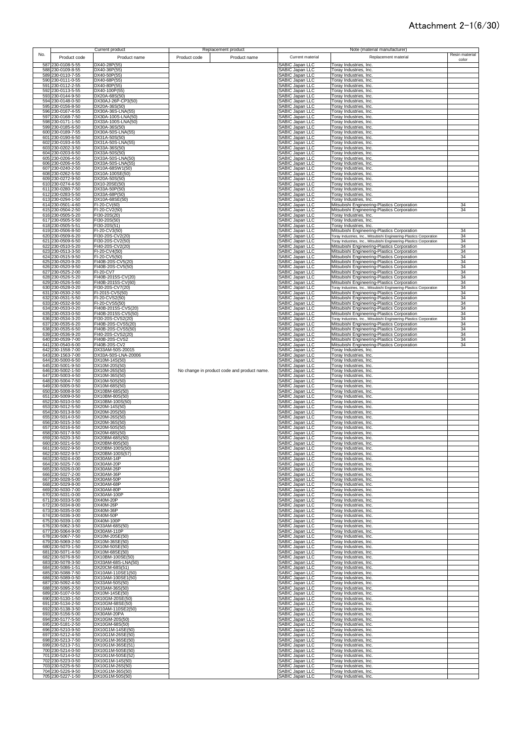|     |                                        | Current product                            |              | Replacement product                         |                                                  | Note (material manufacturer)                                                                                       |                |
|-----|----------------------------------------|--------------------------------------------|--------------|---------------------------------------------|--------------------------------------------------|--------------------------------------------------------------------------------------------------------------------|----------------|
| No. | Product code                           | Product name                               | Product code | Product name                                | Current material                                 | Replacement material                                                                                               | Resin material |
|     | 587 230-0108-5-55                      | DX40-28P(55)                               |              |                                             | <b>ABIC Japan LLC</b>                            | Toray Industries, Inc.                                                                                             | color          |
|     | 588 230-0109-8-55                      | DX40-36P(55)                               |              |                                             | <b>ABIC Japan LLC</b>                            | Toray Industries, Inc.                                                                                             |                |
|     | 589 230-0110-7-55                      | DX40-50P(55)                               |              |                                             | <b>SABIC Japan LLC</b>                           | Toray Industries, Inc.                                                                                             |                |
|     | 590 230-0111-0-55                      | DX40-68P(55)                               |              |                                             | SABIC Japan LLC                                  | Foray Industries, Inc.                                                                                             |                |
|     | 591 230-0112-2-55                      | DX40-80P(55)                               |              |                                             | SABIC Japan LLC                                  | <b>Toray Industries, Inc.</b>                                                                                      |                |
|     | 592 230-0113-5-55<br>593 230-0144-9-50 | DX40-100P(55)<br>DX20A-68S(50)             |              |                                             | SABIC Japan LLC<br>SABIC Japan LLC               | <b>Toray Industries, Inc.</b><br><b>Toray Industries, Inc.</b>                                                     |                |
|     | 594 230-0148-0-50                      | DX30AJ-26P-CP3(50)                         |              |                                             | <b>SABIC Japan LLC</b>                           | <b>Toray Industries, Inc.</b>                                                                                      |                |
|     | 595 230-0156-8-50                      | DX20A-36S(50)                              |              |                                             | <b>SABIC Japan LLC</b>                           | <b>Toray Industries, Inc.</b>                                                                                      |                |
|     | 596 230-0167-4-55                      | DX30A-36S-LNA(55)                          |              |                                             | <b>ABIC Japan LLC</b>                            | Toray Industries, Inc.                                                                                             |                |
|     | 597 230-0168-7-50<br>598 230-0171-1-50 | DX30A-100S-LNA(50)<br>DX33A-100S-LNA(50)   |              |                                             | <b>SABIC Japan LLC</b><br>SABIC Japan LLC        | Toray Industries, Inc.<br>Toray Industries, Inc.                                                                   |                |
|     | 599 230-0185-6-50                      | DX30A-36S(50)                              |              |                                             | <b>SABIC Japan LLC</b>                           | <b>Toray Industries, Inc.</b>                                                                                      |                |
|     | 600 230-0189-7-55                      | DX30A-50S-LNA(55)                          |              |                                             | <b>SABIC Japan LLC</b>                           | Foray Industries, Inc.                                                                                             |                |
|     | 601 230-0190-6-50                      | DX31A-50S(50)                              |              |                                             | <b>SABIC Japan LLC</b>                           | Toray Industries, Inc.                                                                                             |                |
|     | 602 230-0193-4-55                      | DX31A-50S-LNA(55)                          |              |                                             | <b>SABIC Japan LLC</b>                           | Toray Industries, Inc.                                                                                             |                |
|     | 603 230-0202-3-50<br>604 230-0203-6-50 | DX33A-36S(50)<br>DX33A-50S(50)             |              |                                             | <b>SABIC Japan LLC</b><br><b>SABIC Japan LLC</b> | Toray Industries, Inc.<br>Toray Industries, Inc.                                                                   |                |
|     | 605 230-0206-4-50                      | DX33A-50S-LNA(50)                          |              |                                             | <b>SABIC Japan LLC</b>                           | Toray Industries, Inc.                                                                                             |                |
|     | 606 230-0206-4-55                      | DX33A-50S-LNA(55)                          |              |                                             | <b>SABIC Japan LLC</b>                           | Toray Industries, Inc.                                                                                             |                |
|     | 607 230-0240-2-50                      | DX10A-68SW1(50)                            |              |                                             | <b>SABIC Japan LLC</b>                           | Toray Industries, Inc.                                                                                             |                |
|     | 608 230-0262-5-50<br>609 230-0272-9-50 | DX10A-100SE(50)<br>DX20A-50S(50)           |              |                                             | <b>SABIC Japan LLC</b><br><b>SABIC Japan LLC</b> | Toray Industries, Inc.<br>Toray Industries, Inc.                                                                   |                |
|     | 610 230-0274-4-50                      | DX10-20SE(50)                              |              |                                             | SABIC Japan LLC                                  | Toray Industries, Inc.                                                                                             |                |
|     | 611 230-0280-7-50                      | DX33A-50P(50)                              |              |                                             | SABIC Japan LLC                                  | Toray Industries, Inc.                                                                                             |                |
|     | 612 230-0283-5-50                      | DX33A-68P(50)                              |              |                                             | <b>SABIC Japan LLC</b>                           | Toray Industries, Inc.                                                                                             |                |
|     | 613 230-0294-1-50<br>614 230-0501-4-60 | DX10A-68SE(50)<br>FI-20-CV(60)             |              |                                             | SABIC Japan LLC<br>SABIC Japan LLC               | Toray Industries, Inc.<br>Mitsubishi Engineering-Plastics Corporation                                              | 34             |
|     | 615 230-0504-2-50                      | FI-20-CV2(50)                              |              |                                             | SABIC Japan LLC                                  | Mitsubishi Engineering-Plastics Corporation                                                                        | 34             |
|     | 616 230-0505-5-20                      | FI30-20S(20)                               |              |                                             | SABIC Japan LLC                                  | Toray Industries, Inc.                                                                                             |                |
|     | 617 230-0505-5-50                      | FI30-20S(50)                               |              |                                             | SABIC Japan LLC                                  | Toray Industries, Inc.                                                                                             |                |
|     | 618 230-0505-5-51<br>619 230-0506-8-50 | FI30-20S(51)<br>FI-20-CV3(50)              |              |                                             | SABIC Japan LLC<br>SABIC Japan LLC               | Toray Industries, Inc.<br>Mitsubishi Engineering-Plastics Corporation                                              | 34             |
|     | 620 230-0509-6-20                      | FI30-20S-CV2(20)                           |              |                                             | SABIC Japan LLC                                  | Toray Industries, Inc., Mitsubishi Engineering-Plastics Corporation                                                | 34             |
|     | 621 230-0509-6-50                      | FI30-20S-CV2(50)                           |              |                                             | SABIC Japan LLC                                  | Toray Industries, Inc., Mitsubishi Engineering-Plastics Corporation                                                | 34             |
|     | 622 230-0510-5-20                      | FI40-20S-CV2(20)                           |              |                                             | SABIC Japan LLC                                  | Mitsubishi Engineering-Plastics Corporation                                                                        | 34             |
|     | 623 230-0513-3-50                      | FI-20-CV4(50)<br>FI-20-CV5(50)             |              |                                             | SABIC Japan LLC                                  | Mitsubishi Engineering-Plastics Corporation                                                                        | 34             |
|     | 624 230-0515-9-50<br>625 230-0520-9-20 | FI40B-20S-CV5(20)                          |              |                                             | SABIC Japan LLC<br><b>SABIC Japan LLC</b>        | Mitsubishi Engineering-Plastics Corporation<br>Mitsubishi Engineering-Plastics Corporation                         | 34<br>34       |
|     | 626 230-0520-9-50                      | FI40B-20S-CV5(50)                          |              |                                             | SABIC Japan LLC                                  | Mitsubishi Engineering-Plastics Corporation                                                                        | 34             |
|     | 627 230-0525-2-00                      | FI-20-CV7                                  |              |                                             | <b>SABIC Japan LLC</b>                           | Mitsubishi Engineering-Plastics Corporation                                                                        | 34             |
|     | 628 230-0526-5-20                      | FI40B-2015S-CV(20)                         |              |                                             | SABIC Japan LLC                                  | Mitsubishi Engineering-Plastics Corporation                                                                        | 34             |
|     | 629 230-0526-5-60<br>630 230-0528-0-20 | FI40B-2015S-CV(60)<br>FI30-20S-CV7(20)     |              |                                             | <b>SABIC Japan LLC</b><br><b>SABIC Japan LLC</b> | Mitsubishi Engineering-Plastics Corporation<br>Toray Industries, Inc., Mitsubishi Engineering-Plastics Corporation | 34<br>34       |
|     | 631 230-0530-2-50                      | FI-2015-CVS(50)                            |              |                                             | ABIC Japan LLC                                   | Mitsubishi Engineering-Plastics Corporation                                                                        | 34             |
|     | 632 230-0531-5-50                      | FI-20-CVS2(50)                             |              |                                             | <b>SABIC Japan LLC</b>                           | Mitsubishi Engineering-Plastics Corporation                                                                        | 34             |
|     | 633 230-0532-8-50                      | FI-20-CVS5(50)                             |              |                                             | <b>SABIC Japan LLC</b>                           | Mitsubishi Engineering-Plastics Corporation                                                                        | 34             |
|     | 634 230-0533-0-20<br>635 230-0533-0-50 | FI40B-2015S-CVS(20)<br>FI40B-2015S-CVS(50) |              |                                             | <b>SABIC Japan LLC</b><br>SABIC Japan LLC        | Mitsubishi Engineering-Plastics Corporation<br>Mitsubishi Engineering-Plastics Corporation                         | 34<br>34       |
|     | 636 230-0534-3-20                      | FI30-20S-CVS2(20)                          |              |                                             | SABIC Japan LLC                                  | Toray Industries, Inc., Mitsubishi Engineering-Plastics Corporation                                                | 34             |
|     | 637 230-0535-6-20                      | FI40B-20S-CVS5(20)                         |              |                                             | <b>SABIC Japan LLC</b>                           | Mitsubishi Engineering-Plastics Corporation                                                                        | 34             |
|     | 638 230-0535-6-50                      | FI40B-20S-CVS5(50)                         |              |                                             | <b>SABIC Japan LLC</b>                           | Mitsubishi Engineering-Plastics Corporation                                                                        | 34             |
|     | 639 230-0536-9-20                      | FI40-20S-CVS2(20)                          |              |                                             | <b>SABIC Japan LLC</b>                           | Mitsubishi Engineering-Plastics Corporation                                                                        | 34             |
|     | 640 230-0539-7-00<br>641 230-0540-6-00 | FI40B-20S-CVS2<br>FI40B-20S-CV2            |              |                                             | SABIC Japan LLC<br>SABIC Japan LLC               | Mitsubishi Engineering-Plastics Corporation<br>Mitsubishi Engineering-Plastics Corporation                         | 34<br>34       |
|     | 642 230-1558-7-00                      | DX33AM-50S-20015                           |              |                                             | SABIC Japan LLC                                  | Toray Industries, Inc.                                                                                             |                |
|     | 643 230-1563-7-00                      | DX33A-50S-LNA-20006                        |              |                                             | SABIC Japan LLC                                  | Toray Industries, Inc.                                                                                             |                |
|     | 644 230-5000-6-50<br>645 230-5001-9-50 | DX10M-14S(50)<br>DX10M-20S(50)             |              |                                             | <b>SABIC Japan LLC</b><br>SABIC Japan LLC        | <b>Toray Industries, Inc.</b><br><b>Toray Industries, Inc.</b>                                                     |                |
|     | 646 230-5002-1-50                      | DX10M-26S(50)                              |              | No change in product code and product name. | SABIC Japan LLC                                  | <b>Toray Industries, Inc.</b>                                                                                      |                |
|     | 647 230-5003-4-50                      | DX10M-36S(50)                              |              |                                             | <b>SABIC Japan LLC</b>                           | Toray Industries, Inc.                                                                                             |                |
|     | 648 230-5004-7-50                      | DX10M-50S(50)                              |              |                                             | <b>SABIC Japan LLC</b>                           | Toray Industries, Inc.                                                                                             |                |
|     | 649 230-5005-0-50<br>650 230-5008-8-50 | DX10M-68S(50)<br>DX10BM-68S(50)            |              |                                             | <b>SABIC Japan LLC</b><br><b>ABIC Japan LLC</b>  | Toray Industries, Inc.<br>Foray Industries, Inc.                                                                   |                |
|     | 651 230-5009-0-50                      | DX10BM-80S(50)                             |              |                                             | <b>ABIC Japan LLC</b>                            | Toray Industries, Inc.                                                                                             |                |
|     | 652 230-5010-0-50                      | DX10BM-100S(50)                            |              |                                             | <b>ABIC Japan LLC</b>                            | Toray Industries, Inc.                                                                                             |                |
|     | 653 230-5012-5-50                      | DX20M-14S(50)                              |              |                                             | <b>SABIC Japan LLC</b>                           | Toray Industries, Inc.                                                                                             |                |
|     | 654 230-5013-8-50<br>655 230-5014-0-50 | DX20M-20S(50)<br>DX20M-26S(50)             |              |                                             | <b>SABIC Japan LLC</b><br><b>SABIC Japan LLC</b> | Toray Industries, Inc.<br>Toray Industries, Inc.                                                                   |                |
|     | 656 230-5015-3-50                      | DX20M-36S(50)                              |              |                                             | ABIC Japan LLC                                   | Toray Industries, Inc.                                                                                             |                |
| 657 | 230-5016-6-50                          | DX20M-50S(50)                              |              |                                             | ABIC Japan LLC                                   | Foray Industries, Inc.                                                                                             |                |
|     | 658 230-5017-9-50                      | DX20M-68S(50)                              |              |                                             | ABIC Japan LLC                                   | Toray Industries, Inc.                                                                                             |                |
|     | 659 230-5020-3-50<br>660 230-5021-6-50 | DX20BM-68S(50)<br>DX20BM-80S(50)           |              |                                             | <b>SABIC Japan LLC</b><br>ABIC. Janan I I C      | Toray Industries, Inc.<br>Toray Industries, Inc.                                                                   |                |
|     | 661 230-5022-9-50                      | DX20BM-100S(50)                            |              |                                             | SABIC Japan LLC                                  | Toray Industries, Inc.                                                                                             |                |
|     | 662 230-5022-9-57                      | DX20BM-100S(57)                            |              |                                             | SABIC Japan LLC                                  | Toray Industries, Inc.                                                                                             |                |
|     | 663 230-5024-4-00                      | DX30AM-14P                                 |              |                                             | <b>SABIC Japan LLC</b>                           | Toray Industries, Inc.                                                                                             |                |
|     | 664 230-5025-7-00<br>665 230-5026-0-00 | DX30AM-20P<br>DX30AM-26P                   |              |                                             | <b>SABIC Japan LLC</b><br>SABIC Japan LLC        | Toray Industries, Inc.<br>Toray Industries, Inc.                                                                   |                |
|     | 666 230-5027-2-00                      | DX30AM-36P                                 |              |                                             | SABIC Japan LLC                                  | Toray Industries, Inc.                                                                                             |                |
|     | 667 230-5028-5-00                      | DX30AM-50P                                 |              |                                             | SABIC Japan LLC                                  | <b>Toray Industries, Inc.</b>                                                                                      |                |
|     | 668 230-5029-8-00                      | DX30AM-68P                                 |              |                                             | SABIC Japan LLC                                  | <b>Toray Industries, Inc.</b><br><b>Toray Industries, Inc.</b>                                                     |                |
|     | 669 230-5030-7-00<br>670 230-5031-0-00 | DX30AM-80P<br>DX30AM-100P                  |              |                                             | SABIC Japan LLC<br>SABIC Japan LLC               | <b>Toray Industries, Inc.</b>                                                                                      |                |
|     | 671 230-5033-5-00                      | DX40M-20P                                  |              |                                             | SABIC Japan LLC                                  | <b>Toray Industries, Inc.</b>                                                                                      |                |
|     | 672 230-5034-8-00                      | DX40M-26P                                  |              |                                             | SABIC Japan LLC                                  | Toray Industries, Inc.                                                                                             |                |
|     | 673 230-5035-0-00<br>674 230-5036-3-00 | DX40M-36P<br>DX40M-50P                     |              |                                             | SABIC Japan LLC<br>SABIC Japan LLC               | Toray Industries, Inc.<br>Torav Industries, Inc.                                                                   |                |
|     | 675 230-5039-1-00                      | DX40M-100P                                 |              |                                             |                                                  | Toray Industries, Inc.                                                                                             |                |
|     | 676 230-5062-3-50                      | DX33AM-68S(50)                             |              |                                             | SABIC Japan LLC<br>SABIC Japan LLC               | Toray Industries, Inc.                                                                                             |                |
|     | 677 230-5064-9-00                      | DX30AM-110P                                |              |                                             | <b>SABIC Japan LLC</b>                           | Toray Industries, Inc.                                                                                             |                |
|     | 678 230-5067-7-50<br>679 230-5069-2-50 | DX10M-20SE(50)<br>DX10M-36SE(50)           |              |                                             | <b>SABIC Japan LLC</b><br>SABIC Japan LLC        | <b>Toray Industries, Inc.</b><br>Foray Industries, Inc.                                                            |                |
|     | 680 230-5070-1-50                      | DX10M-50SE(50)                             |              |                                             | SABIC Japan LLC                                  | Toray Industries, Inc.                                                                                             |                |
|     | 681 230-5071-4-50                      | DX10M-68SE(50)                             |              |                                             | SABIC Japan LLC                                  | Toray Industries, Inc.                                                                                             |                |
|     | 682 230-5076-8-50                      | DX10BM-100SE(50)                           |              |                                             | SABIC Japan LLC                                  | Toray Industries, Inc.                                                                                             |                |
|     | 683 230-5078-3-50<br>684 230-5086-1-51 | DX33AM-68S-LNA(50)<br>DX20CM-68S(51)       |              |                                             | SABIC Japan LLC<br>SABIC Japan LLC               | Toray Industries, Inc.<br>Toray Industries, Inc.                                                                   |                |
|     | 685 230-5088-7-50                      | DX10AM-110SE1(50)                          |              |                                             | <b>SABIC Japan LLC</b>                           | Toray Industries, Inc.                                                                                             |                |
|     | 686 230-5089-0-50                      | DX10AM-100SE1(50)                          |              |                                             | SABIC Japan LLC                                  | Toray Industries, Inc.                                                                                             |                |
|     | 687 230-5092-4-50                      | DX33AM-50S(50)                             |              |                                             | SABIC Japan LLC                                  | Toray Industries, Inc.                                                                                             |                |
|     | 688 230-5095-2-50<br>689 230-5107-0-50 | DX33AM-36S(50)                             |              |                                             | <b>SABIC Japan LLC</b><br>SABIC Japan LLC        | Toray Industries, Inc.                                                                                             |                |
|     | 690 230-5130-1-50                      | DX10M-14SE(50)<br>DX10GM-20SE(50)          |              |                                             | SABIC Japan LLC                                  | Toray Industries, Inc.<br>Toray Industries, Inc.                                                                   |                |
|     | 691 230-5134-2-50                      | DX10GM-68SE(50)                            |              |                                             | SABIC Japan LLC                                  | Toray Industries, Inc.                                                                                             |                |
|     | 692 230-5138-3-50                      | DX10AM-110SE2(50)                          |              |                                             | SABIC Japan LLC                                  | Toray Industries, Inc.                                                                                             |                |
|     | 693 230-5156-5-00                      | DX30AM-20PA                                |              |                                             | SABIC Japan LLC                                  | Toray Industries, Inc.                                                                                             |                |
|     | 694 230-5177-5-50<br>695 230-5181-2-50 | DX10GM-20S(50)<br>DX10GM-68S(50)           |              |                                             | SABIC Japan LLC<br>SABIC Japan LLC               | Toray Industries, Inc.<br>Toray Industries, Inc.                                                                   |                |
|     | 696 230-5210-9-50                      | DX10G1M-14SE(50)                           |              |                                             | SABIC Japan LLC                                  | Toray Industries, Inc.                                                                                             |                |
|     | 697 230-5212-4-50                      | DX10G1M-26SE(50)                           |              |                                             | SABIC Japan LLC                                  | Toray Industries, Inc.                                                                                             |                |
|     | 698 230-5213-7-50                      | DX10G1M-36SE(50)<br>DX10G1M-36SE(51)       |              |                                             | SABIC Japan LLC<br>SABIC Japan LLC               | Toray Industries, Inc.                                                                                             |                |
|     | 699 230-5213-7-51<br>700 230-5214-0-50 | DX10G1M-50SE(50)                           |              |                                             | SABIC Japan LLC                                  | Toray Industries, Inc.<br>Toray Industries, Inc.                                                                   |                |
|     | 701 230-5214-0-52                      | DX10G1M-50SE(52)                           |              |                                             | <b>SABIC Japan LLC</b>                           | Toray Industries, Inc.                                                                                             |                |
|     | 702 230-5223-0-50                      | DX10G1M-14S(50)                            |              |                                             | SABIC Japan LLC                                  | Toray Industries, Inc.                                                                                             |                |
|     | 703 230-5225-6-50                      | DX10G1M-26S(50)                            |              |                                             | SABIC Japan LLC                                  | Toray Industries, Inc.                                                                                             |                |
|     | 704 230-5226-9-50                      | DX10G1M-36S(50)                            |              |                                             | <b>SABIC Japan LLC</b>                           | Toray Industries, Inc.                                                                                             |                |
|     | 705 230-5227-1-50                      | DX10G1M-50S(50)                            |              |                                             | SABIC Japan LLC                                  | Toray Industries, Inc.                                                                                             |                |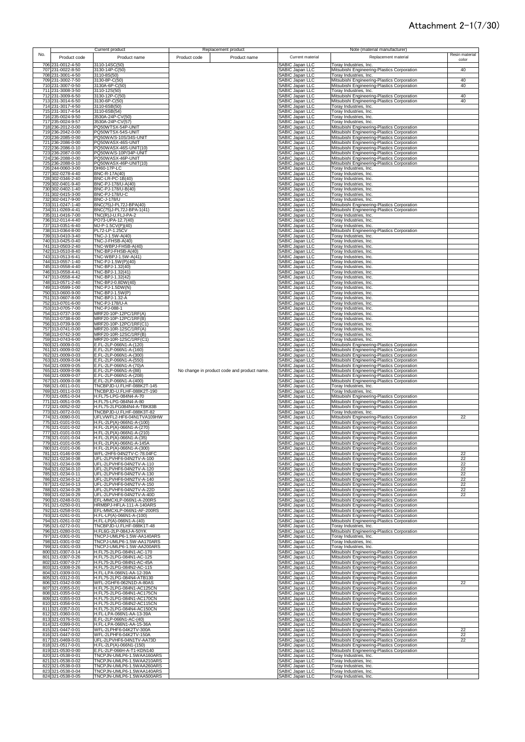| Resin material<br>No.<br>Current material<br>Replacement material<br>Product code<br>Product name<br>Product code<br>Product name<br>color<br>706 231-0012-4-50<br>3110-14SC(50)<br>SABIC Japan LLC<br>Toray Industries, Inc.<br>707 231-0022-8-50<br>3130-14P-C(50)<br>SABIC Japan LLC<br>Mitsubishi Engineering-Plastics Corporation<br>40<br>SABIC Japan LLC<br>708 231-3001-4-50<br>3110-8S(50)<br>Toray Industries, Inc.<br>709 231-3002-7-50<br>3130-8P-C(50)<br>SABIC Japan LLC<br>Mitsubishi Engineering-Plastics Corporation<br>40<br>710 231-3007-0-50<br>40<br>3130A-6P-C(50)<br>SABIC Japan LLC<br>Mitsubishi Engineering-Plastics Corporation<br>SABIC Japan LLC<br>711 231-3008-3-50<br>3110-12S(50)<br>Toray Industries, Inc.<br><b>SABIC Japan LLC</b><br>712 231-3009-6-50<br>3130-12P-C(50)<br>Mitsubishi Engineering-Plastics Corporation<br>40<br><b>SABIC Japan LLC</b><br>713 231-3014-6-50<br>3130-6P-C(50)<br>Mitsubishi Engineering-Plastics Corporation<br>40<br><b>SABIC Japan LLC</b><br>714 231-3017-4-50<br>3110-6SB(50)<br>Toray Industries, Inc.<br>715 231-3017-4-54<br>SABIC Japan LLC<br>3110-6SB(54)<br>Toray Industries, Inc.<br>716 235-0024-9-50<br>3530A-24P-CV(50)<br><b>SABIC Japan LLC</b><br>Toray Industries, Inc.<br>717 235-0024-9-57<br>3530A-24P-CV(57)<br>SABIC Japan LLC<br>Toray Industries, Inc.<br>718 236-2012-0-00<br>PQ50WTSX-54P-UNIT<br><b>SABIC Japan LLC</b><br>Mitsubishi Engineering-Plastics Corporation<br>PQ50WTSX-54S-UNIT<br>719 236-2042-0-00<br>SABIC Japan LLC<br>Mitsubishi Engineering-Plastics Corporation<br>SABIC Japan LLC<br>720 236-2085-0-00<br>PQ50WA/S-10S/34S-UNIT<br>Mitsubishi Engineering-Plastics Corporation<br>SABIC Japan LLC<br>PQ50WASX-46S-UNIT<br>721 236-2086-0-00<br>Mitsubishi Engineering-Plastics Corporation<br>PQ50WASX-46S-UNIT(10)<br>SABIC Japan LLC<br>722 236-2086-0-10<br>Mitsubishi Engineering-Plastics Corporation<br>PQ50WA/S-10P/34P-UNIT<br>723 236-2087-0-00<br>SABIC Japan LLC<br>Mitsubishi Engineering-Plastics Corporation<br>724 236-2088-0-00<br>PQ50WASX-46P-UNIT<br>SABIC Japan LLC<br>Mitsubishi Engineering-Plastics Corporation<br>PQ50WASX-46P-UNIT(10)<br>725 236-2088-0-10<br><b>SABIC Japan LLC</b><br>Mitsubishi Engineering-Plastics Corporation<br>726 244-0060-3-00<br>DH60-17P-LC<br>SABIC Japan LLC<br>Toray Industries, Inc.<br>727 302-0278-4-40<br>BNC-R-17A(40)<br><b>SABIC Japan LLC</b><br>Toray Industries, Inc.<br>728 302-0346-2-40<br>BNC-LR-PC-1B(40)<br>SABIC Japan LLC<br>Toray Industries, Inc.<br>729 302-0401-9-40<br>BNC-PJ-178/U-A(40)<br>SABIC Japan LLC<br>Toray Industries, Inc.<br>730 302-0402-1-40<br>BNC-PJ-178/U-B(40)<br>SABIC Japan LLC<br>Toray Industries, Inc.<br>731 302-0415-3-00<br>BNC-PJ-178/U-C<br>SABIC Japan LLC<br>Toray Industries, Inc.<br>732 302-0417-9-00<br>BNC-J-178/U<br>SABIC Japan LLC<br>Toray Industries, Inc.<br>BNC(75)J-PL72J-BPA(40)<br>SABIC Japan LLC<br>733 311-0247-1-40<br>Mitsubishi Engineering-Plastics Corporation<br>734 311-0269-4-41<br>BNC(75)J-PL72J-BPA-1(41)<br>SABIC Japan LLC<br>Mitsubishi Engineering-Plastics Corporation<br>735 311-0416-7-00<br>TNC(R)J-U.FLJ-PA-2<br>SABIC Japan LLC<br>Toray Industries, Inc.<br>736 312-0114-4-40<br>PO73-UPA-12.7(40)<br>SABIC Japan LLC<br>Toray Industries, Inc.<br>737 313-0351-6-40<br>MJ-P-1.5CV(P)(40)<br>SABIC Japan LLC<br>Toray Industries, Inc.<br>738 313-0364-8-00<br>PL72-LP-1.25CV<br>SABIC Japan LLC<br>Mitsubishi Engineering-Plastics Corporation<br>739 313-0410-3-40<br>TNC-J-1.5W-A(40)<br>SABIC Japan LLC<br>Toray Industries, Inc.<br>740 313-0425-0-40<br>SABIC Japan LLC<br>TNC-J-FHSB-A(40)<br>Toray Industries, Inc.<br>741 313-0503-2-40<br>TNC-WBPJ-FHSB-A(40)<br>SABIC Japan LLC<br>Toray Industries, Inc.<br>742 313-0510-8-40<br>TNC-BPJ-FHSB-A(40)<br>SABIC Japan LLC<br>Toray Industries, Inc.<br>743 313-0513-6-41<br>TNC-WBPJ-1.5W-A(41)<br>SABIC Japan LLC<br>Toray Industries, Inc.<br>744 313-0557-1-40<br>TNC-PJ-1.5W(P)(40)<br>SABIC Japan LLC<br>Toray Industries, Inc.<br>TNC-BPJ-1.32(40)<br>745 313-0558-4-40<br>SABIC Japan LLC<br>Toray Industries, Inc.<br>TNC-BPJ-1.32(41)<br>SABIC Japan LLC<br>746 313-0558-4-41<br>Toray Industries, Inc.<br>TNC-BPJ-1.32(42)<br>SABIC Japan LLC<br>747 313-0558-4-42<br>Toray Industries, Inc.<br>748 313-0571-2-40<br>TNC-BPJ-0.8DW(40)<br>SABIC Japan LLC<br>Toray Industries, Inc.<br>749 313-0599-1-00<br>TNC-PJ-1.5DW(N)<br>SABIC Japan LLC<br>Toray Industries, Inc.<br>750 313-0600-9-00<br>TNC-BPJ-1.5W(P)<br><b>SABIC Japan LLC</b><br>Toray Industries, Inc.<br>751 313-0607-8-00<br>TNC-BPJ-1.32-A<br>SABIC Japan LLC<br>Toray Industries, Inc.<br>752 313-0701-6-00<br>TNC-PJ-178/U-A<br>SABIC Japan LLC<br>Toray Industries, Inc.<br><b>TNC-PJ-088-1</b><br>SABIC Japan LLC<br>753 313-0705-7-00<br>Toray Industries, Inc.<br>754 313-0737-3-00<br>MRF20-10P-12PC/1RF(A)<br>SABIC Japan LLC<br>Toray Industries, Inc.<br>755 313-0738-6-00<br>MRF20-10P-12PC/1RF(B)<br>SABIC Japan LLC<br>Toray Industries, Inc.<br>756 313-0739-9-00<br>MRF20-10P-12PC/1RF(C1)<br>SABIC Japan LLC<br>Toray Industries, Inc.<br>757 313-0741-0-00<br>MRF20-10R-12SC/1RF(A)<br>SABIC Japan LLC<br>Toray Industries, Inc.<br>758 313-0742-3-00<br>MRF20-10R-12SC/1RF(B)<br>SABIC Japan LLC<br>Toray Industries, Inc.<br>759 313-0743-6-00<br>MRF20-10R-12SC/1RF(C1)<br>SABIC Japan LLC<br>Toray Industries, Inc.<br>760 321-0009-0-01<br>E.FL-2LP-066N1-A-(120)<br>SABIC Japan LLC<br>Mitsubishi Engineering-Plastics Corporation<br>761 321-0009-0-02<br>E.FL-2LP-066N1-A-(160)<br>SABIC Japan LLC<br>Mitsubishi Engineering-Plastics Corporation<br>762 321-0009-0-03<br>E.FL-2LP-066N1-A-(300)<br>SABIC Japan LLC<br>Mitsubishi Engineering-Plastics Corporation<br><b>SABIC Japan LLC</b><br>763 321-0009-0-04<br>E.FL-2LP-066N1-A-(550)<br>Mitsubishi Engineering-Plastics Corporation<br>SABIC Japan LLC<br>764 321-0009-0-05<br>E.FL-2LP-066N1-A-(70)A<br>Mitsubishi Engineering-Plastics Corporation<br>765 321-0009-0-06<br>SABIC Japan LLC<br>E.FL-2LP-066N1-A-(88)<br>No change in product code and product name.<br>Mitsubishi Engineering-Plastics Corporation<br>766 321-0009-0-07<br>E.FL-2LP-066N1-A-(208)<br>SABIC Japan LLC<br>Mitsubishi Engineering-Plastics Corporation<br>767 321-0009-0-08<br>E.FL-2LP-066N1-A-(400)<br>SABIC Japan LLC<br>Mitsubishi Engineering-Plastics Corporation<br>768 321-0011-0-01<br>TNCBPJD-U.FLHF-088K2T-145<br>SABIC Japan LLC<br>Toray Industries, Inc.<br>SABIC Japan LLC<br>769 321-0011-0-03<br>TNCBPJD-U.FLHF-088K2T-190<br>Toray Industries, Inc.<br>H.FL75-LPG-084N4-A-70<br>SABIC Japan LLC<br>Mitsubishi Engineering-Plastics Corporation<br>770 321-0051-0-04<br>H.FL75-LPG-084N4-A-80<br>SABIC Japan LLC<br>771 321-0051-0-05<br>Mitsubishi Engineering-Plastics Corporation<br><b>SABIC Japan LLC</b><br>H.FL75-2LPG084N4-A-TBK83B<br>772 321-0052-0-02<br>Mitsubishi Engineering-Plastics Corporation<br><b>SABIC Japan LLC</b><br>773 321-0072-0-01<br>TNCBPJD-U.FLHF-088K3T-82<br>Toray Industries, Inc.<br>774 321-0090-0-01<br>Mitsubishi Engineering-Plastics Corporation<br>UFLVWFL2-HF6-04N1TVA109HW<br>SABIC Japan LLC<br>22<br>775 321-0101-0-01<br>H.FL-2LP(A)-066N1-A-(100)<br>SABIC Japan LLC<br>Mitsubishi Engineering-Plastics Corporation<br>776 321-0101-0-02<br>H.FL-2LP(A)-066N1-A-(270)<br>SABIC Japan LLC<br>Mitsubishi Engineering-Plastics Corporation<br>777 321-0101-0-03<br>H.FL-2LP(A)-066N1-A-(210)<br>SABIC Japan LLC<br>Mitsubishi Engineering-Plastics Corporation<br>778 321-0101-0-04<br>H.FL-2LP(A)-066N1-A-(35)<br>SABIC Japan LLC<br>Mitsubishi Engineering-Plastics Corporation<br>779 321-0101-0-05<br>H.FL-2LP(A)-066N1-A-145A<br><b>ABIC Japan LLC</b><br>Mitsubishi Engineering-Plastics Corporation<br>780 321-0101-0-06<br>H.FL-2LP(A)-066N1-A-(300)<br>SABIC Japan LLC<br>Mitsubishi Engineering-Plastics Corporation<br>781 321-0146-0-00<br>WFL-2HF6-04N2TV-C-78.04FC<br>SABIC Japan LLC<br>Mitsubishi Engineering-Plastics Corporation<br>22<br>782 321-0234-0-08<br>UFL-2LPVHF6-04N2TV-A-100<br>SABIC Japan LLC<br>Mitsubishi Engineering-Plastics Corporation<br>22<br>22<br>783 321-0234-0-09<br>UFL-2LPVHF6-04N2TV-A-110<br>SABIC Japan LLC<br>Mitsubishi Engineering-Plastics Corporation<br>784 321-0234-0-10<br>UFL-2LPVHF6-04N2TV-A-120<br>SABIC Japan LLC<br>Mitsubishi Engineering-Plastics Corporation<br>22<br>785 321-0234-0-11<br>UFL-2LPVHF6-04N2TV-A-130<br>SABIC Japan LLC<br>Mitsubishi Engineering-Plastics Corporation<br>22<br>786 321-0234-0-12<br>22<br>UFL-2LPVHF6-04N2TV-A-140<br>SABIC Japan LLC<br>Mitsubishi Engineering-Plastics Corporation<br>787 321-0234-0-13<br>UFL-2LPVHF6-04N2TV-A-150<br>SABIC Japan LLC<br>22<br>Mitsubishi Engineering-Plastics Corporation<br>SABIC Japan LLC<br>22<br>788 321-0234-0-28<br>UFL-2LPVHF6-04N2TV-A-22D<br>Mitsubishi Engineering-Plastics Corporation<br>SABIC Japan LLC<br>22<br>789 321-0234-0-29<br>UFL-2LPVHF6-04N2TV-A-40D<br>Mitsubishi Engineering-Plastics Corporation<br>SABIC Japan LLC<br>790 321-0248-0-01<br>EFL-MMCXLP-066N1-A-200RS<br>Mitsubishi Engineering-Plastics Corporation<br>791 321-0250-0-01<br>HRMBPJ-HFLA-111-A-140ARS<br>SABIC Japan LLC<br>Mitsubishi Engineering-Plastics Corporation<br>792 321-0258-0-01<br>EFL-MMCXLP-066N1-AF-200RS<br>SABIC Japan LLC<br>Mitsubishi Engineering-Plastics Corporation<br>793 321-0261-0-01<br>H.FL-LP(A)-066N1-A-(100)<br>SABIC Japan LLC<br>Mitsubishi Engineering-Plastics Corporation<br>794 321-0261-0-02<br>H.FL-LP(A)-066N1-A-(40)<br>SABIC Japan LLC<br>Mitsubishi Engineering-Plastics Corporation<br>TNCBPJD-U.FLHF-088K1T-48<br>SABIC Japan LLC<br>795 321-0272-0-01<br>Toray Industries, Inc.<br>Mitsubishi Engineering-Plastics Corporation<br>796 321-0280-0-01<br>H.FL6G-2LP-084J-A-50YK<br>SABIC Japan LLC<br>SABIC Japan LLC<br>TNCPJ-UMLP6-1.5W-AA140ARS<br>797 321-0301-0-01<br>Toray Industries, Inc.<br>798 321-0301-0-02<br>SABIC Japan LLC<br>TNCPJ-UMLP6-1.5W-AA170ARS<br>Toray Industries, Inc.<br>TNCPJ-UMLP6-1.5W-AA200ARS<br>799 321-0301-0-03<br>SABIC Japan LLC<br>Toray Industries, Inc.<br>800 321-0307-0-14<br>H.FL75-2LPG-084N1-AC-170<br>SABIC Japan LLC<br>Mitsubishi Engineering-Plastics Corporation<br>801 321-0307-0-26<br>H.FL75-2LPG-084N1-AC-125<br><b>SABIC Japan LLC</b><br>Mitsubishi Engineering-Plastics Corporation<br>802 321-0307-0-27<br>H.FL75-2LPG-084N1-AC-45A<br><b>SABIC Japan LLC</b><br>Mitsubishi Engineering-Plastics Corporation<br>803 321-0308-0-26<br>H.FL75-2LPG-084N2-AC-115<br>SABIC Japan LLC<br>Mitsubishi Engineering-Plastics Corporation<br>804 321-0309-0-01<br>H.FL-LPA-066N1-AA-12-39A<br><b>SABIC Japan LLC</b><br>Mitsubishi Engineering-Plastics Corporation<br>805 321-0312-0-01<br>H.FL75-2LPG-084N4-ATB130<br>SABIC Japan LLC<br>Mitsubishi Engineering-Plastics Corporation<br>806 321-0342-0-00<br>WFL-2GHF6-062N1D-A-80AS<br>SABIC Japan LLC<br>Mitsubishi Engineering-Plastics Corporation<br>22<br>807 321-0355-0-01<br>H.FL75-2LPG-084N1-AC125CN<br>SABIC Japan LLC<br>Mitsubishi Engineering-Plastics Corporation<br>H.FL75-2LPG-084N1-AC175CN<br>SABIC Japan LLC<br>808 321-0355-0-02<br>Mitsubishi Engineering-Plastics Corporation<br>809 321-0355-0-03<br>H.FL75-2LPG-084N1-AC170CN<br>SABIC Japan LLC<br>Mitsubishi Engineering-Plastics Corporation<br>H.FL75-2LPG-084N2-AC115CN<br>SABIC Japan LLC<br>810 321-0356-0-01<br>Mitsubishi Engineering-Plastics Corporation<br>SABIC Japan LLC<br>811 321-0357-0-01<br>H.FL75-2LPG-084N4-AC150CN<br>Mitsubishi Engineering-Plastics Corporation<br>812 321-0360-0-01<br>H.FL-LPA-066N1-AA-13-39A<br>SABIC Japan LLC<br>Mitsubishi Engineering-Plastics Corporation<br>813 321-0376-0-01<br>SABIC Japan LLC<br>E.FL-2LP-066N1-AC-(40)<br>Mitsubishi Engineering-Plastics Corporation<br>814 321-0399-0-01<br>H.FL-LPA-066N1-AA-15-36A<br>SABIC Japan LLC<br>Mitsubishi Engineering-Plastics Corporation<br>815 321-0447-0-01<br>WFL-2LPHF6-04K2TV-300A<br>SABIC Japan LLC<br>Mitsubishi Engineering-Plastics Corporation<br>22<br>816 321-0447-0-02<br>WFL-2LPHF6-04K2TV-150A<br>SABIC Japan LLC<br>22<br>Mitsubishi Engineering-Plastics Corporation<br>SABIC Japan LLC<br>817 321-0469-0-01<br>UFL-2LPVHF6-04N1TV-AA73D<br>Mitsubishi Engineering-Plastics Corporation<br>22<br>SABIC Japan LLC<br>818 321-0517-0-01<br>H.FL-2LP(A)-066N1-(150)<br>Mitsubishi Engineering-Plastics Corporation<br>SABIC Japan LLC<br>819 321-0530-0-00<br>E.FL-2LP-066H-A-T1-KDN140<br>Mitsubishi Engineering-Plastics Corporation<br><b>SABIC Japan LLC</b><br>TNCPJN-UMLP6-1.5WAA160ARS<br>820 321-0538-0-01<br>Toray Industries, Inc.<br>SABIC Japan LLC<br>TNCPJN-UMLP6-1.5WAA210ARS<br>821 321-0538-0-02<br>Toray Industries, Inc.<br>SABIC Japan LLC<br>TNCPJN-UMLP6-1.5WAA260ARS<br>822 321-0538-0-03<br>Toray Industries, Inc.<br>TNCPJN-UMLP6-1.5WAA140ARS<br>SABIC Japan LLC<br>823 321-0538-0-04<br>Toray Industries, Inc. |                   | Current product           | Replacement product |                 | Note (material manufacturer) |  |
|-------------------------------------------------------------------------------------------------------------------------------------------------------------------------------------------------------------------------------------------------------------------------------------------------------------------------------------------------------------------------------------------------------------------------------------------------------------------------------------------------------------------------------------------------------------------------------------------------------------------------------------------------------------------------------------------------------------------------------------------------------------------------------------------------------------------------------------------------------------------------------------------------------------------------------------------------------------------------------------------------------------------------------------------------------------------------------------------------------------------------------------------------------------------------------------------------------------------------------------------------------------------------------------------------------------------------------------------------------------------------------------------------------------------------------------------------------------------------------------------------------------------------------------------------------------------------------------------------------------------------------------------------------------------------------------------------------------------------------------------------------------------------------------------------------------------------------------------------------------------------------------------------------------------------------------------------------------------------------------------------------------------------------------------------------------------------------------------------------------------------------------------------------------------------------------------------------------------------------------------------------------------------------------------------------------------------------------------------------------------------------------------------------------------------------------------------------------------------------------------------------------------------------------------------------------------------------------------------------------------------------------------------------------------------------------------------------------------------------------------------------------------------------------------------------------------------------------------------------------------------------------------------------------------------------------------------------------------------------------------------------------------------------------------------------------------------------------------------------------------------------------------------------------------------------------------------------------------------------------------------------------------------------------------------------------------------------------------------------------------------------------------------------------------------------------------------------------------------------------------------------------------------------------------------------------------------------------------------------------------------------------------------------------------------------------------------------------------------------------------------------------------------------------------------------------------------------------------------------------------------------------------------------------------------------------------------------------------------------------------------------------------------------------------------------------------------------------------------------------------------------------------------------------------------------------------------------------------------------------------------------------------------------------------------------------------------------------------------------------------------------------------------------------------------------------------------------------------------------------------------------------------------------------------------------------------------------------------------------------------------------------------------------------------------------------------------------------------------------------------------------------------------------------------------------------------------------------------------------------------------------------------------------------------------------------------------------------------------------------------------------------------------------------------------------------------------------------------------------------------------------------------------------------------------------------------------------------------------------------------------------------------------------------------------------------------------------------------------------------------------------------------------------------------------------------------------------------------------------------------------------------------------------------------------------------------------------------------------------------------------------------------------------------------------------------------------------------------------------------------------------------------------------------------------------------------------------------------------------------------------------------------------------------------------------------------------------------------------------------------------------------------------------------------------------------------------------------------------------------------------------------------------------------------------------------------------------------------------------------------------------------------------------------------------------------------------------------------------------------------------------------------------------------------------------------------------------------------------------------------------------------------------------------------------------------------------------------------------------------------------------------------------------------------------------------------------------------------------------------------------------------------------------------------------------------------------------------------------------------------------------------------------------------------------------------------------------------------------------------------------------------------------------------------------------------------------------------------------------------------------------------------------------------------------------------------------------------------------------------------------------------------------------------------------------------------------------------------------------------------------------------------------------------------------------------------------------------------------------------------------------------------------------------------------------------------------------------------------------------------------------------------------------------------------------------------------------------------------------------------------------------------------------------------------------------------------------------------------------------------------------------------------------------------------------------------------------------------------------------------------------------------------------------------------------------------------------------------------------------------------------------------------------------------------------------------------------------------------------------------------------------------------------------------------------------------------------------------------------------------------------------------------------------------------------------------------------------------------------------------------------------------------------------------------------------------------------------------------------------------------------------------------------------------------------------------------------------------------------------------------------------------------------------------------------------------------------------------------------------------------------------------------------------------------------------------------------------------------------------------------------------------------------------------------------------------------------------------------------------------------------------------------------------------------------------------------------------------------------------------------------------------------------------------------------------------------------------------------------------------------------------------------------------------------------------------------------------------------------------------------------------------------------------------------------------------------------------------------------------------------------------------------------------------------------------------------------------------------------------------------------------------------------------------------------------------------------------------------------------------------------------------------------------------------------------------------------------------------------------------------------------------------------------------------------------------------------------------------------------------------------------------------------------------------------------------------------------------------------------------------------------------------------------------------------------------------------------------------------------------------------------------------------------------------------------------------------------------------------------------------------------------------------------------------------------------------------------------------------------------------------------------------------------------------------------------------------------------------------------------------------------------------------------------------------------------------------------------------------------------------------------------------------------------------------------------------------------------------------------------------------------------------------------------------------------------------------------------------------------------------------------------------------------------------------------------------------------------------------------------------------------------------------------------------------------------------------------------------------------------------------------------------------------------------------------------------------------------------------------------------------------------------------------------------------------------------------------------------------------------------------------------------------------------------------------------------------------------------------------------------------------------------------------------------------------------------------------------------------------------------------------------------------------------------------------------------------------------------------------------------------------------------------------------------------------------------------------------------------------------------------------------------------------------------------------------------------------------------------------------------------------------------------------------------------------------------------------------------------------------------------------------------------------------------------------------------------------------------------------------------------------------------------------------------------------------------------------------------------------------------------------------------------------------------------------------------------------------------------------------------------------------------------------------------------------------------------------------------------------------------------------------------------------------------------------------------------------------------------------------------------------------------------------------------------------------|-------------------|---------------------------|---------------------|-----------------|------------------------------|--|
|                                                                                                                                                                                                                                                                                                                                                                                                                                                                                                                                                                                                                                                                                                                                                                                                                                                                                                                                                                                                                                                                                                                                                                                                                                                                                                                                                                                                                                                                                                                                                                                                                                                                                                                                                                                                                                                                                                                                                                                                                                                                                                                                                                                                                                                                                                                                                                                                                                                                                                                                                                                                                                                                                                                                                                                                                                                                                                                                                                                                                                                                                                                                                                                                                                                                                                                                                                                                                                                                                                                                                                                                                                                                                                                                                                                                                                                                                                                                                                                                                                                                                                                                                                                                                                                                                                                                                                                                                                                                                                                                                                                                                                                                                                                                                                                                                                                                                                                                                                                                                                                                                                                                                                                                                                                                                                                                                                                                                                                                                                                                                                                                                                                                                                                                                                                                                                                                                                                                                                                                                                                                                                                                                                                                                                                                                                                                                                                                                                                                                                                                                                                                                                                                                                                                                                                                                                                                                                                                                                                                                                                                                                                                                                                                                                                                                                                                                                                                                                                                                                                                                                                                                                                                                                                                                                                                                                                                                                                                                                                                                                                                                                                                                                                                                                                                                                                                                                                                                                                                                                                                                                                                                                                                                                                                                                                                                                                                                                                                                                                                                                                                                                                                                                                                                                                                                                                                                                                                                                                                                                                                                                                                                                                                                                                                                                                                                                                                                                                                                                                                                                                                                                                                                                                                                                                                                                                                                                                                                                                                                                                                                                                                                                                                                                                                                                                                                                                                                                                                                                                                                                                                                                                                                                                                                                                                                                                                                                                                                                                                                                                                                                                                                                                                                                                                                                                                                                                                                                                                                                                                                                                                                                                                                                                                                                                                                                                                                                                                                                                                                                                                                                                                                                                                                                                                                                                                                                                                                                                                                                                                                                                                   |                   |                           |                     |                 |                              |  |
|                                                                                                                                                                                                                                                                                                                                                                                                                                                                                                                                                                                                                                                                                                                                                                                                                                                                                                                                                                                                                                                                                                                                                                                                                                                                                                                                                                                                                                                                                                                                                                                                                                                                                                                                                                                                                                                                                                                                                                                                                                                                                                                                                                                                                                                                                                                                                                                                                                                                                                                                                                                                                                                                                                                                                                                                                                                                                                                                                                                                                                                                                                                                                                                                                                                                                                                                                                                                                                                                                                                                                                                                                                                                                                                                                                                                                                                                                                                                                                                                                                                                                                                                                                                                                                                                                                                                                                                                                                                                                                                                                                                                                                                                                                                                                                                                                                                                                                                                                                                                                                                                                                                                                                                                                                                                                                                                                                                                                                                                                                                                                                                                                                                                                                                                                                                                                                                                                                                                                                                                                                                                                                                                                                                                                                                                                                                                                                                                                                                                                                                                                                                                                                                                                                                                                                                                                                                                                                                                                                                                                                                                                                                                                                                                                                                                                                                                                                                                                                                                                                                                                                                                                                                                                                                                                                                                                                                                                                                                                                                                                                                                                                                                                                                                                                                                                                                                                                                                                                                                                                                                                                                                                                                                                                                                                                                                                                                                                                                                                                                                                                                                                                                                                                                                                                                                                                                                                                                                                                                                                                                                                                                                                                                                                                                                                                                                                                                                                                                                                                                                                                                                                                                                                                                                                                                                                                                                                                                                                                                                                                                                                                                                                                                                                                                                                                                                                                                                                                                                                                                                                                                                                                                                                                                                                                                                                                                                                                                                                                                                                                                                                                                                                                                                                                                                                                                                                                                                                                                                                                                                                                                                                                                                                                                                                                                                                                                                                                                                                                                                                                                                                                                                                                                                                                                                                                                                                                                                                                                                                                                                                                                                   |                   |                           |                     |                 |                              |  |
|                                                                                                                                                                                                                                                                                                                                                                                                                                                                                                                                                                                                                                                                                                                                                                                                                                                                                                                                                                                                                                                                                                                                                                                                                                                                                                                                                                                                                                                                                                                                                                                                                                                                                                                                                                                                                                                                                                                                                                                                                                                                                                                                                                                                                                                                                                                                                                                                                                                                                                                                                                                                                                                                                                                                                                                                                                                                                                                                                                                                                                                                                                                                                                                                                                                                                                                                                                                                                                                                                                                                                                                                                                                                                                                                                                                                                                                                                                                                                                                                                                                                                                                                                                                                                                                                                                                                                                                                                                                                                                                                                                                                                                                                                                                                                                                                                                                                                                                                                                                                                                                                                                                                                                                                                                                                                                                                                                                                                                                                                                                                                                                                                                                                                                                                                                                                                                                                                                                                                                                                                                                                                                                                                                                                                                                                                                                                                                                                                                                                                                                                                                                                                                                                                                                                                                                                                                                                                                                                                                                                                                                                                                                                                                                                                                                                                                                                                                                                                                                                                                                                                                                                                                                                                                                                                                                                                                                                                                                                                                                                                                                                                                                                                                                                                                                                                                                                                                                                                                                                                                                                                                                                                                                                                                                                                                                                                                                                                                                                                                                                                                                                                                                                                                                                                                                                                                                                                                                                                                                                                                                                                                                                                                                                                                                                                                                                                                                                                                                                                                                                                                                                                                                                                                                                                                                                                                                                                                                                                                                                                                                                                                                                                                                                                                                                                                                                                                                                                                                                                                                                                                                                                                                                                                                                                                                                                                                                                                                                                                                                                                                                                                                                                                                                                                                                                                                                                                                                                                                                                                                                                                                                                                                                                                                                                                                                                                                                                                                                                                                                                                                                                                                                                                                                                                                                                                                                                                                                                                                                                                                                                                                                   |                   |                           |                     |                 |                              |  |
|                                                                                                                                                                                                                                                                                                                                                                                                                                                                                                                                                                                                                                                                                                                                                                                                                                                                                                                                                                                                                                                                                                                                                                                                                                                                                                                                                                                                                                                                                                                                                                                                                                                                                                                                                                                                                                                                                                                                                                                                                                                                                                                                                                                                                                                                                                                                                                                                                                                                                                                                                                                                                                                                                                                                                                                                                                                                                                                                                                                                                                                                                                                                                                                                                                                                                                                                                                                                                                                                                                                                                                                                                                                                                                                                                                                                                                                                                                                                                                                                                                                                                                                                                                                                                                                                                                                                                                                                                                                                                                                                                                                                                                                                                                                                                                                                                                                                                                                                                                                                                                                                                                                                                                                                                                                                                                                                                                                                                                                                                                                                                                                                                                                                                                                                                                                                                                                                                                                                                                                                                                                                                                                                                                                                                                                                                                                                                                                                                                                                                                                                                                                                                                                                                                                                                                                                                                                                                                                                                                                                                                                                                                                                                                                                                                                                                                                                                                                                                                                                                                                                                                                                                                                                                                                                                                                                                                                                                                                                                                                                                                                                                                                                                                                                                                                                                                                                                                                                                                                                                                                                                                                                                                                                                                                                                                                                                                                                                                                                                                                                                                                                                                                                                                                                                                                                                                                                                                                                                                                                                                                                                                                                                                                                                                                                                                                                                                                                                                                                                                                                                                                                                                                                                                                                                                                                                                                                                                                                                                                                                                                                                                                                                                                                                                                                                                                                                                                                                                                                                                                                                                                                                                                                                                                                                                                                                                                                                                                                                                                                                                                                                                                                                                                                                                                                                                                                                                                                                                                                                                                                                                                                                                                                                                                                                                                                                                                                                                                                                                                                                                                                                                                                                                                                                                                                                                                                                                                                                                                                                                                                                                                                   |                   |                           |                     |                 |                              |  |
|                                                                                                                                                                                                                                                                                                                                                                                                                                                                                                                                                                                                                                                                                                                                                                                                                                                                                                                                                                                                                                                                                                                                                                                                                                                                                                                                                                                                                                                                                                                                                                                                                                                                                                                                                                                                                                                                                                                                                                                                                                                                                                                                                                                                                                                                                                                                                                                                                                                                                                                                                                                                                                                                                                                                                                                                                                                                                                                                                                                                                                                                                                                                                                                                                                                                                                                                                                                                                                                                                                                                                                                                                                                                                                                                                                                                                                                                                                                                                                                                                                                                                                                                                                                                                                                                                                                                                                                                                                                                                                                                                                                                                                                                                                                                                                                                                                                                                                                                                                                                                                                                                                                                                                                                                                                                                                                                                                                                                                                                                                                                                                                                                                                                                                                                                                                                                                                                                                                                                                                                                                                                                                                                                                                                                                                                                                                                                                                                                                                                                                                                                                                                                                                                                                                                                                                                                                                                                                                                                                                                                                                                                                                                                                                                                                                                                                                                                                                                                                                                                                                                                                                                                                                                                                                                                                                                                                                                                                                                                                                                                                                                                                                                                                                                                                                                                                                                                                                                                                                                                                                                                                                                                                                                                                                                                                                                                                                                                                                                                                                                                                                                                                                                                                                                                                                                                                                                                                                                                                                                                                                                                                                                                                                                                                                                                                                                                                                                                                                                                                                                                                                                                                                                                                                                                                                                                                                                                                                                                                                                                                                                                                                                                                                                                                                                                                                                                                                                                                                                                                                                                                                                                                                                                                                                                                                                                                                                                                                                                                                                                                                                                                                                                                                                                                                                                                                                                                                                                                                                                                                                                                                                                                                                                                                                                                                                                                                                                                                                                                                                                                                                                                                                                                                                                                                                                                                                                                                                                                                                                                                                                                                                   |                   |                           |                     |                 |                              |  |
|                                                                                                                                                                                                                                                                                                                                                                                                                                                                                                                                                                                                                                                                                                                                                                                                                                                                                                                                                                                                                                                                                                                                                                                                                                                                                                                                                                                                                                                                                                                                                                                                                                                                                                                                                                                                                                                                                                                                                                                                                                                                                                                                                                                                                                                                                                                                                                                                                                                                                                                                                                                                                                                                                                                                                                                                                                                                                                                                                                                                                                                                                                                                                                                                                                                                                                                                                                                                                                                                                                                                                                                                                                                                                                                                                                                                                                                                                                                                                                                                                                                                                                                                                                                                                                                                                                                                                                                                                                                                                                                                                                                                                                                                                                                                                                                                                                                                                                                                                                                                                                                                                                                                                                                                                                                                                                                                                                                                                                                                                                                                                                                                                                                                                                                                                                                                                                                                                                                                                                                                                                                                                                                                                                                                                                                                                                                                                                                                                                                                                                                                                                                                                                                                                                                                                                                                                                                                                                                                                                                                                                                                                                                                                                                                                                                                                                                                                                                                                                                                                                                                                                                                                                                                                                                                                                                                                                                                                                                                                                                                                                                                                                                                                                                                                                                                                                                                                                                                                                                                                                                                                                                                                                                                                                                                                                                                                                                                                                                                                                                                                                                                                                                                                                                                                                                                                                                                                                                                                                                                                                                                                                                                                                                                                                                                                                                                                                                                                                                                                                                                                                                                                                                                                                                                                                                                                                                                                                                                                                                                                                                                                                                                                                                                                                                                                                                                                                                                                                                                                                                                                                                                                                                                                                                                                                                                                                                                                                                                                                                                                                                                                                                                                                                                                                                                                                                                                                                                                                                                                                                                                                                                                                                                                                                                                                                                                                                                                                                                                                                                                                                                                                                                                                                                                                                                                                                                                                                                                                                                                                                                                                                                   |                   |                           |                     |                 |                              |  |
|                                                                                                                                                                                                                                                                                                                                                                                                                                                                                                                                                                                                                                                                                                                                                                                                                                                                                                                                                                                                                                                                                                                                                                                                                                                                                                                                                                                                                                                                                                                                                                                                                                                                                                                                                                                                                                                                                                                                                                                                                                                                                                                                                                                                                                                                                                                                                                                                                                                                                                                                                                                                                                                                                                                                                                                                                                                                                                                                                                                                                                                                                                                                                                                                                                                                                                                                                                                                                                                                                                                                                                                                                                                                                                                                                                                                                                                                                                                                                                                                                                                                                                                                                                                                                                                                                                                                                                                                                                                                                                                                                                                                                                                                                                                                                                                                                                                                                                                                                                                                                                                                                                                                                                                                                                                                                                                                                                                                                                                                                                                                                                                                                                                                                                                                                                                                                                                                                                                                                                                                                                                                                                                                                                                                                                                                                                                                                                                                                                                                                                                                                                                                                                                                                                                                                                                                                                                                                                                                                                                                                                                                                                                                                                                                                                                                                                                                                                                                                                                                                                                                                                                                                                                                                                                                                                                                                                                                                                                                                                                                                                                                                                                                                                                                                                                                                                                                                                                                                                                                                                                                                                                                                                                                                                                                                                                                                                                                                                                                                                                                                                                                                                                                                                                                                                                                                                                                                                                                                                                                                                                                                                                                                                                                                                                                                                                                                                                                                                                                                                                                                                                                                                                                                                                                                                                                                                                                                                                                                                                                                                                                                                                                                                                                                                                                                                                                                                                                                                                                                                                                                                                                                                                                                                                                                                                                                                                                                                                                                                                                                                                                                                                                                                                                                                                                                                                                                                                                                                                                                                                                                                                                                                                                                                                                                                                                                                                                                                                                                                                                                                                                                                                                                                                                                                                                                                                                                                                                                                                                                                                                                                                                   |                   |                           |                     |                 |                              |  |
|                                                                                                                                                                                                                                                                                                                                                                                                                                                                                                                                                                                                                                                                                                                                                                                                                                                                                                                                                                                                                                                                                                                                                                                                                                                                                                                                                                                                                                                                                                                                                                                                                                                                                                                                                                                                                                                                                                                                                                                                                                                                                                                                                                                                                                                                                                                                                                                                                                                                                                                                                                                                                                                                                                                                                                                                                                                                                                                                                                                                                                                                                                                                                                                                                                                                                                                                                                                                                                                                                                                                                                                                                                                                                                                                                                                                                                                                                                                                                                                                                                                                                                                                                                                                                                                                                                                                                                                                                                                                                                                                                                                                                                                                                                                                                                                                                                                                                                                                                                                                                                                                                                                                                                                                                                                                                                                                                                                                                                                                                                                                                                                                                                                                                                                                                                                                                                                                                                                                                                                                                                                                                                                                                                                                                                                                                                                                                                                                                                                                                                                                                                                                                                                                                                                                                                                                                                                                                                                                                                                                                                                                                                                                                                                                                                                                                                                                                                                                                                                                                                                                                                                                                                                                                                                                                                                                                                                                                                                                                                                                                                                                                                                                                                                                                                                                                                                                                                                                                                                                                                                                                                                                                                                                                                                                                                                                                                                                                                                                                                                                                                                                                                                                                                                                                                                                                                                                                                                                                                                                                                                                                                                                                                                                                                                                                                                                                                                                                                                                                                                                                                                                                                                                                                                                                                                                                                                                                                                                                                                                                                                                                                                                                                                                                                                                                                                                                                                                                                                                                                                                                                                                                                                                                                                                                                                                                                                                                                                                                                                                                                                                                                                                                                                                                                                                                                                                                                                                                                                                                                                                                                                                                                                                                                                                                                                                                                                                                                                                                                                                                                                                                                                                                                                                                                                                                                                                                                                                                                                                                                                                                                                                   |                   |                           |                     |                 |                              |  |
|                                                                                                                                                                                                                                                                                                                                                                                                                                                                                                                                                                                                                                                                                                                                                                                                                                                                                                                                                                                                                                                                                                                                                                                                                                                                                                                                                                                                                                                                                                                                                                                                                                                                                                                                                                                                                                                                                                                                                                                                                                                                                                                                                                                                                                                                                                                                                                                                                                                                                                                                                                                                                                                                                                                                                                                                                                                                                                                                                                                                                                                                                                                                                                                                                                                                                                                                                                                                                                                                                                                                                                                                                                                                                                                                                                                                                                                                                                                                                                                                                                                                                                                                                                                                                                                                                                                                                                                                                                                                                                                                                                                                                                                                                                                                                                                                                                                                                                                                                                                                                                                                                                                                                                                                                                                                                                                                                                                                                                                                                                                                                                                                                                                                                                                                                                                                                                                                                                                                                                                                                                                                                                                                                                                                                                                                                                                                                                                                                                                                                                                                                                                                                                                                                                                                                                                                                                                                                                                                                                                                                                                                                                                                                                                                                                                                                                                                                                                                                                                                                                                                                                                                                                                                                                                                                                                                                                                                                                                                                                                                                                                                                                                                                                                                                                                                                                                                                                                                                                                                                                                                                                                                                                                                                                                                                                                                                                                                                                                                                                                                                                                                                                                                                                                                                                                                                                                                                                                                                                                                                                                                                                                                                                                                                                                                                                                                                                                                                                                                                                                                                                                                                                                                                                                                                                                                                                                                                                                                                                                                                                                                                                                                                                                                                                                                                                                                                                                                                                                                                                                                                                                                                                                                                                                                                                                                                                                                                                                                                                                                                                                                                                                                                                                                                                                                                                                                                                                                                                                                                                                                                                                                                                                                                                                                                                                                                                                                                                                                                                                                                                                                                                                                                                                                                                                                                                                                                                                                                                                                                                                                                                                                   |                   |                           |                     |                 |                              |  |
|                                                                                                                                                                                                                                                                                                                                                                                                                                                                                                                                                                                                                                                                                                                                                                                                                                                                                                                                                                                                                                                                                                                                                                                                                                                                                                                                                                                                                                                                                                                                                                                                                                                                                                                                                                                                                                                                                                                                                                                                                                                                                                                                                                                                                                                                                                                                                                                                                                                                                                                                                                                                                                                                                                                                                                                                                                                                                                                                                                                                                                                                                                                                                                                                                                                                                                                                                                                                                                                                                                                                                                                                                                                                                                                                                                                                                                                                                                                                                                                                                                                                                                                                                                                                                                                                                                                                                                                                                                                                                                                                                                                                                                                                                                                                                                                                                                                                                                                                                                                                                                                                                                                                                                                                                                                                                                                                                                                                                                                                                                                                                                                                                                                                                                                                                                                                                                                                                                                                                                                                                                                                                                                                                                                                                                                                                                                                                                                                                                                                                                                                                                                                                                                                                                                                                                                                                                                                                                                                                                                                                                                                                                                                                                                                                                                                                                                                                                                                                                                                                                                                                                                                                                                                                                                                                                                                                                                                                                                                                                                                                                                                                                                                                                                                                                                                                                                                                                                                                                                                                                                                                                                                                                                                                                                                                                                                                                                                                                                                                                                                                                                                                                                                                                                                                                                                                                                                                                                                                                                                                                                                                                                                                                                                                                                                                                                                                                                                                                                                                                                                                                                                                                                                                                                                                                                                                                                                                                                                                                                                                                                                                                                                                                                                                                                                                                                                                                                                                                                                                                                                                                                                                                                                                                                                                                                                                                                                                                                                                                                                                                                                                                                                                                                                                                                                                                                                                                                                                                                                                                                                                                                                                                                                                                                                                                                                                                                                                                                                                                                                                                                                                                                                                                                                                                                                                                                                                                                                                                                                                                                                                                                                   |                   |                           |                     |                 |                              |  |
|                                                                                                                                                                                                                                                                                                                                                                                                                                                                                                                                                                                                                                                                                                                                                                                                                                                                                                                                                                                                                                                                                                                                                                                                                                                                                                                                                                                                                                                                                                                                                                                                                                                                                                                                                                                                                                                                                                                                                                                                                                                                                                                                                                                                                                                                                                                                                                                                                                                                                                                                                                                                                                                                                                                                                                                                                                                                                                                                                                                                                                                                                                                                                                                                                                                                                                                                                                                                                                                                                                                                                                                                                                                                                                                                                                                                                                                                                                                                                                                                                                                                                                                                                                                                                                                                                                                                                                                                                                                                                                                                                                                                                                                                                                                                                                                                                                                                                                                                                                                                                                                                                                                                                                                                                                                                                                                                                                                                                                                                                                                                                                                                                                                                                                                                                                                                                                                                                                                                                                                                                                                                                                                                                                                                                                                                                                                                                                                                                                                                                                                                                                                                                                                                                                                                                                                                                                                                                                                                                                                                                                                                                                                                                                                                                                                                                                                                                                                                                                                                                                                                                                                                                                                                                                                                                                                                                                                                                                                                                                                                                                                                                                                                                                                                                                                                                                                                                                                                                                                                                                                                                                                                                                                                                                                                                                                                                                                                                                                                                                                                                                                                                                                                                                                                                                                                                                                                                                                                                                                                                                                                                                                                                                                                                                                                                                                                                                                                                                                                                                                                                                                                                                                                                                                                                                                                                                                                                                                                                                                                                                                                                                                                                                                                                                                                                                                                                                                                                                                                                                                                                                                                                                                                                                                                                                                                                                                                                                                                                                                                                                                                                                                                                                                                                                                                                                                                                                                                                                                                                                                                                                                                                                                                                                                                                                                                                                                                                                                                                                                                                                                                                                                                                                                                                                                                                                                                                                                                                                                                                                                                                                                                   |                   |                           |                     |                 |                              |  |
|                                                                                                                                                                                                                                                                                                                                                                                                                                                                                                                                                                                                                                                                                                                                                                                                                                                                                                                                                                                                                                                                                                                                                                                                                                                                                                                                                                                                                                                                                                                                                                                                                                                                                                                                                                                                                                                                                                                                                                                                                                                                                                                                                                                                                                                                                                                                                                                                                                                                                                                                                                                                                                                                                                                                                                                                                                                                                                                                                                                                                                                                                                                                                                                                                                                                                                                                                                                                                                                                                                                                                                                                                                                                                                                                                                                                                                                                                                                                                                                                                                                                                                                                                                                                                                                                                                                                                                                                                                                                                                                                                                                                                                                                                                                                                                                                                                                                                                                                                                                                                                                                                                                                                                                                                                                                                                                                                                                                                                                                                                                                                                                                                                                                                                                                                                                                                                                                                                                                                                                                                                                                                                                                                                                                                                                                                                                                                                                                                                                                                                                                                                                                                                                                                                                                                                                                                                                                                                                                                                                                                                                                                                                                                                                                                                                                                                                                                                                                                                                                                                                                                                                                                                                                                                                                                                                                                                                                                                                                                                                                                                                                                                                                                                                                                                                                                                                                                                                                                                                                                                                                                                                                                                                                                                                                                                                                                                                                                                                                                                                                                                                                                                                                                                                                                                                                                                                                                                                                                                                                                                                                                                                                                                                                                                                                                                                                                                                                                                                                                                                                                                                                                                                                                                                                                                                                                                                                                                                                                                                                                                                                                                                                                                                                                                                                                                                                                                                                                                                                                                                                                                                                                                                                                                                                                                                                                                                                                                                                                                                                                                                                                                                                                                                                                                                                                                                                                                                                                                                                                                                                                                                                                                                                                                                                                                                                                                                                                                                                                                                                                                                                                                                                                                                                                                                                                                                                                                                                                                                                                                                                                                                                   |                   |                           |                     |                 |                              |  |
|                                                                                                                                                                                                                                                                                                                                                                                                                                                                                                                                                                                                                                                                                                                                                                                                                                                                                                                                                                                                                                                                                                                                                                                                                                                                                                                                                                                                                                                                                                                                                                                                                                                                                                                                                                                                                                                                                                                                                                                                                                                                                                                                                                                                                                                                                                                                                                                                                                                                                                                                                                                                                                                                                                                                                                                                                                                                                                                                                                                                                                                                                                                                                                                                                                                                                                                                                                                                                                                                                                                                                                                                                                                                                                                                                                                                                                                                                                                                                                                                                                                                                                                                                                                                                                                                                                                                                                                                                                                                                                                                                                                                                                                                                                                                                                                                                                                                                                                                                                                                                                                                                                                                                                                                                                                                                                                                                                                                                                                                                                                                                                                                                                                                                                                                                                                                                                                                                                                                                                                                                                                                                                                                                                                                                                                                                                                                                                                                                                                                                                                                                                                                                                                                                                                                                                                                                                                                                                                                                                                                                                                                                                                                                                                                                                                                                                                                                                                                                                                                                                                                                                                                                                                                                                                                                                                                                                                                                                                                                                                                                                                                                                                                                                                                                                                                                                                                                                                                                                                                                                                                                                                                                                                                                                                                                                                                                                                                                                                                                                                                                                                                                                                                                                                                                                                                                                                                                                                                                                                                                                                                                                                                                                                                                                                                                                                                                                                                                                                                                                                                                                                                                                                                                                                                                                                                                                                                                                                                                                                                                                                                                                                                                                                                                                                                                                                                                                                                                                                                                                                                                                                                                                                                                                                                                                                                                                                                                                                                                                                                                                                                                                                                                                                                                                                                                                                                                                                                                                                                                                                                                                                                                                                                                                                                                                                                                                                                                                                                                                                                                                                                                                                                                                                                                                                                                                                                                                                                                                                                                                                                                                                                   |                   |                           |                     |                 |                              |  |
|                                                                                                                                                                                                                                                                                                                                                                                                                                                                                                                                                                                                                                                                                                                                                                                                                                                                                                                                                                                                                                                                                                                                                                                                                                                                                                                                                                                                                                                                                                                                                                                                                                                                                                                                                                                                                                                                                                                                                                                                                                                                                                                                                                                                                                                                                                                                                                                                                                                                                                                                                                                                                                                                                                                                                                                                                                                                                                                                                                                                                                                                                                                                                                                                                                                                                                                                                                                                                                                                                                                                                                                                                                                                                                                                                                                                                                                                                                                                                                                                                                                                                                                                                                                                                                                                                                                                                                                                                                                                                                                                                                                                                                                                                                                                                                                                                                                                                                                                                                                                                                                                                                                                                                                                                                                                                                                                                                                                                                                                                                                                                                                                                                                                                                                                                                                                                                                                                                                                                                                                                                                                                                                                                                                                                                                                                                                                                                                                                                                                                                                                                                                                                                                                                                                                                                                                                                                                                                                                                                                                                                                                                                                                                                                                                                                                                                                                                                                                                                                                                                                                                                                                                                                                                                                                                                                                                                                                                                                                                                                                                                                                                                                                                                                                                                                                                                                                                                                                                                                                                                                                                                                                                                                                                                                                                                                                                                                                                                                                                                                                                                                                                                                                                                                                                                                                                                                                                                                                                                                                                                                                                                                                                                                                                                                                                                                                                                                                                                                                                                                                                                                                                                                                                                                                                                                                                                                                                                                                                                                                                                                                                                                                                                                                                                                                                                                                                                                                                                                                                                                                                                                                                                                                                                                                                                                                                                                                                                                                                                                                                                                                                                                                                                                                                                                                                                                                                                                                                                                                                                                                                                                                                                                                                                                                                                                                                                                                                                                                                                                                                                                                                                                                                                                                                                                                                                                                                                                                                                                                                                                                                                                                   |                   |                           |                     |                 |                              |  |
|                                                                                                                                                                                                                                                                                                                                                                                                                                                                                                                                                                                                                                                                                                                                                                                                                                                                                                                                                                                                                                                                                                                                                                                                                                                                                                                                                                                                                                                                                                                                                                                                                                                                                                                                                                                                                                                                                                                                                                                                                                                                                                                                                                                                                                                                                                                                                                                                                                                                                                                                                                                                                                                                                                                                                                                                                                                                                                                                                                                                                                                                                                                                                                                                                                                                                                                                                                                                                                                                                                                                                                                                                                                                                                                                                                                                                                                                                                                                                                                                                                                                                                                                                                                                                                                                                                                                                                                                                                                                                                                                                                                                                                                                                                                                                                                                                                                                                                                                                                                                                                                                                                                                                                                                                                                                                                                                                                                                                                                                                                                                                                                                                                                                                                                                                                                                                                                                                                                                                                                                                                                                                                                                                                                                                                                                                                                                                                                                                                                                                                                                                                                                                                                                                                                                                                                                                                                                                                                                                                                                                                                                                                                                                                                                                                                                                                                                                                                                                                                                                                                                                                                                                                                                                                                                                                                                                                                                                                                                                                                                                                                                                                                                                                                                                                                                                                                                                                                                                                                                                                                                                                                                                                                                                                                                                                                                                                                                                                                                                                                                                                                                                                                                                                                                                                                                                                                                                                                                                                                                                                                                                                                                                                                                                                                                                                                                                                                                                                                                                                                                                                                                                                                                                                                                                                                                                                                                                                                                                                                                                                                                                                                                                                                                                                                                                                                                                                                                                                                                                                                                                                                                                                                                                                                                                                                                                                                                                                                                                                                                                                                                                                                                                                                                                                                                                                                                                                                                                                                                                                                                                                                                                                                                                                                                                                                                                                                                                                                                                                                                                                                                                                                                                                                                                                                                                                                                                                                                                                                                                                                                                                                                   |                   |                           |                     |                 |                              |  |
|                                                                                                                                                                                                                                                                                                                                                                                                                                                                                                                                                                                                                                                                                                                                                                                                                                                                                                                                                                                                                                                                                                                                                                                                                                                                                                                                                                                                                                                                                                                                                                                                                                                                                                                                                                                                                                                                                                                                                                                                                                                                                                                                                                                                                                                                                                                                                                                                                                                                                                                                                                                                                                                                                                                                                                                                                                                                                                                                                                                                                                                                                                                                                                                                                                                                                                                                                                                                                                                                                                                                                                                                                                                                                                                                                                                                                                                                                                                                                                                                                                                                                                                                                                                                                                                                                                                                                                                                                                                                                                                                                                                                                                                                                                                                                                                                                                                                                                                                                                                                                                                                                                                                                                                                                                                                                                                                                                                                                                                                                                                                                                                                                                                                                                                                                                                                                                                                                                                                                                                                                                                                                                                                                                                                                                                                                                                                                                                                                                                                                                                                                                                                                                                                                                                                                                                                                                                                                                                                                                                                                                                                                                                                                                                                                                                                                                                                                                                                                                                                                                                                                                                                                                                                                                                                                                                                                                                                                                                                                                                                                                                                                                                                                                                                                                                                                                                                                                                                                                                                                                                                                                                                                                                                                                                                                                                                                                                                                                                                                                                                                                                                                                                                                                                                                                                                                                                                                                                                                                                                                                                                                                                                                                                                                                                                                                                                                                                                                                                                                                                                                                                                                                                                                                                                                                                                                                                                                                                                                                                                                                                                                                                                                                                                                                                                                                                                                                                                                                                                                                                                                                                                                                                                                                                                                                                                                                                                                                                                                                                                                                                                                                                                                                                                                                                                                                                                                                                                                                                                                                                                                                                                                                                                                                                                                                                                                                                                                                                                                                                                                                                                                                                                                                                                                                                                                                                                                                                                                                                                                                                                                                                                   |                   |                           |                     |                 |                              |  |
|                                                                                                                                                                                                                                                                                                                                                                                                                                                                                                                                                                                                                                                                                                                                                                                                                                                                                                                                                                                                                                                                                                                                                                                                                                                                                                                                                                                                                                                                                                                                                                                                                                                                                                                                                                                                                                                                                                                                                                                                                                                                                                                                                                                                                                                                                                                                                                                                                                                                                                                                                                                                                                                                                                                                                                                                                                                                                                                                                                                                                                                                                                                                                                                                                                                                                                                                                                                                                                                                                                                                                                                                                                                                                                                                                                                                                                                                                                                                                                                                                                                                                                                                                                                                                                                                                                                                                                                                                                                                                                                                                                                                                                                                                                                                                                                                                                                                                                                                                                                                                                                                                                                                                                                                                                                                                                                                                                                                                                                                                                                                                                                                                                                                                                                                                                                                                                                                                                                                                                                                                                                                                                                                                                                                                                                                                                                                                                                                                                                                                                                                                                                                                                                                                                                                                                                                                                                                                                                                                                                                                                                                                                                                                                                                                                                                                                                                                                                                                                                                                                                                                                                                                                                                                                                                                                                                                                                                                                                                                                                                                                                                                                                                                                                                                                                                                                                                                                                                                                                                                                                                                                                                                                                                                                                                                                                                                                                                                                                                                                                                                                                                                                                                                                                                                                                                                                                                                                                                                                                                                                                                                                                                                                                                                                                                                                                                                                                                                                                                                                                                                                                                                                                                                                                                                                                                                                                                                                                                                                                                                                                                                                                                                                                                                                                                                                                                                                                                                                                                                                                                                                                                                                                                                                                                                                                                                                                                                                                                                                                                                                                                                                                                                                                                                                                                                                                                                                                                                                                                                                                                                                                                                                                                                                                                                                                                                                                                                                                                                                                                                                                                                                                                                                                                                                                                                                                                                                                                                                                                                                                                                                                                   |                   |                           |                     |                 |                              |  |
|                                                                                                                                                                                                                                                                                                                                                                                                                                                                                                                                                                                                                                                                                                                                                                                                                                                                                                                                                                                                                                                                                                                                                                                                                                                                                                                                                                                                                                                                                                                                                                                                                                                                                                                                                                                                                                                                                                                                                                                                                                                                                                                                                                                                                                                                                                                                                                                                                                                                                                                                                                                                                                                                                                                                                                                                                                                                                                                                                                                                                                                                                                                                                                                                                                                                                                                                                                                                                                                                                                                                                                                                                                                                                                                                                                                                                                                                                                                                                                                                                                                                                                                                                                                                                                                                                                                                                                                                                                                                                                                                                                                                                                                                                                                                                                                                                                                                                                                                                                                                                                                                                                                                                                                                                                                                                                                                                                                                                                                                                                                                                                                                                                                                                                                                                                                                                                                                                                                                                                                                                                                                                                                                                                                                                                                                                                                                                                                                                                                                                                                                                                                                                                                                                                                                                                                                                                                                                                                                                                                                                                                                                                                                                                                                                                                                                                                                                                                                                                                                                                                                                                                                                                                                                                                                                                                                                                                                                                                                                                                                                                                                                                                                                                                                                                                                                                                                                                                                                                                                                                                                                                                                                                                                                                                                                                                                                                                                                                                                                                                                                                                                                                                                                                                                                                                                                                                                                                                                                                                                                                                                                                                                                                                                                                                                                                                                                                                                                                                                                                                                                                                                                                                                                                                                                                                                                                                                                                                                                                                                                                                                                                                                                                                                                                                                                                                                                                                                                                                                                                                                                                                                                                                                                                                                                                                                                                                                                                                                                                                                                                                                                                                                                                                                                                                                                                                                                                                                                                                                                                                                                                                                                                                                                                                                                                                                                                                                                                                                                                                                                                                                                                                                                                                                                                                                                                                                                                                                                                                                                                                                                                                                   |                   |                           |                     |                 |                              |  |
|                                                                                                                                                                                                                                                                                                                                                                                                                                                                                                                                                                                                                                                                                                                                                                                                                                                                                                                                                                                                                                                                                                                                                                                                                                                                                                                                                                                                                                                                                                                                                                                                                                                                                                                                                                                                                                                                                                                                                                                                                                                                                                                                                                                                                                                                                                                                                                                                                                                                                                                                                                                                                                                                                                                                                                                                                                                                                                                                                                                                                                                                                                                                                                                                                                                                                                                                                                                                                                                                                                                                                                                                                                                                                                                                                                                                                                                                                                                                                                                                                                                                                                                                                                                                                                                                                                                                                                                                                                                                                                                                                                                                                                                                                                                                                                                                                                                                                                                                                                                                                                                                                                                                                                                                                                                                                                                                                                                                                                                                                                                                                                                                                                                                                                                                                                                                                                                                                                                                                                                                                                                                                                                                                                                                                                                                                                                                                                                                                                                                                                                                                                                                                                                                                                                                                                                                                                                                                                                                                                                                                                                                                                                                                                                                                                                                                                                                                                                                                                                                                                                                                                                                                                                                                                                                                                                                                                                                                                                                                                                                                                                                                                                                                                                                                                                                                                                                                                                                                                                                                                                                                                                                                                                                                                                                                                                                                                                                                                                                                                                                                                                                                                                                                                                                                                                                                                                                                                                                                                                                                                                                                                                                                                                                                                                                                                                                                                                                                                                                                                                                                                                                                                                                                                                                                                                                                                                                                                                                                                                                                                                                                                                                                                                                                                                                                                                                                                                                                                                                                                                                                                                                                                                                                                                                                                                                                                                                                                                                                                                                                                                                                                                                                                                                                                                                                                                                                                                                                                                                                                                                                                                                                                                                                                                                                                                                                                                                                                                                                                                                                                                                                                                                                                                                                                                                                                                                                                                                                                                                                                                                                                                                   |                   |                           |                     |                 |                              |  |
|                                                                                                                                                                                                                                                                                                                                                                                                                                                                                                                                                                                                                                                                                                                                                                                                                                                                                                                                                                                                                                                                                                                                                                                                                                                                                                                                                                                                                                                                                                                                                                                                                                                                                                                                                                                                                                                                                                                                                                                                                                                                                                                                                                                                                                                                                                                                                                                                                                                                                                                                                                                                                                                                                                                                                                                                                                                                                                                                                                                                                                                                                                                                                                                                                                                                                                                                                                                                                                                                                                                                                                                                                                                                                                                                                                                                                                                                                                                                                                                                                                                                                                                                                                                                                                                                                                                                                                                                                                                                                                                                                                                                                                                                                                                                                                                                                                                                                                                                                                                                                                                                                                                                                                                                                                                                                                                                                                                                                                                                                                                                                                                                                                                                                                                                                                                                                                                                                                                                                                                                                                                                                                                                                                                                                                                                                                                                                                                                                                                                                                                                                                                                                                                                                                                                                                                                                                                                                                                                                                                                                                                                                                                                                                                                                                                                                                                                                                                                                                                                                                                                                                                                                                                                                                                                                                                                                                                                                                                                                                                                                                                                                                                                                                                                                                                                                                                                                                                                                                                                                                                                                                                                                                                                                                                                                                                                                                                                                                                                                                                                                                                                                                                                                                                                                                                                                                                                                                                                                                                                                                                                                                                                                                                                                                                                                                                                                                                                                                                                                                                                                                                                                                                                                                                                                                                                                                                                                                                                                                                                                                                                                                                                                                                                                                                                                                                                                                                                                                                                                                                                                                                                                                                                                                                                                                                                                                                                                                                                                                                                                                                                                                                                                                                                                                                                                                                                                                                                                                                                                                                                                                                                                                                                                                                                                                                                                                                                                                                                                                                                                                                                                                                                                                                                                                                                                                                                                                                                                                                                                                                                                                                                   |                   |                           |                     |                 |                              |  |
|                                                                                                                                                                                                                                                                                                                                                                                                                                                                                                                                                                                                                                                                                                                                                                                                                                                                                                                                                                                                                                                                                                                                                                                                                                                                                                                                                                                                                                                                                                                                                                                                                                                                                                                                                                                                                                                                                                                                                                                                                                                                                                                                                                                                                                                                                                                                                                                                                                                                                                                                                                                                                                                                                                                                                                                                                                                                                                                                                                                                                                                                                                                                                                                                                                                                                                                                                                                                                                                                                                                                                                                                                                                                                                                                                                                                                                                                                                                                                                                                                                                                                                                                                                                                                                                                                                                                                                                                                                                                                                                                                                                                                                                                                                                                                                                                                                                                                                                                                                                                                                                                                                                                                                                                                                                                                                                                                                                                                                                                                                                                                                                                                                                                                                                                                                                                                                                                                                                                                                                                                                                                                                                                                                                                                                                                                                                                                                                                                                                                                                                                                                                                                                                                                                                                                                                                                                                                                                                                                                                                                                                                                                                                                                                                                                                                                                                                                                                                                                                                                                                                                                                                                                                                                                                                                                                                                                                                                                                                                                                                                                                                                                                                                                                                                                                                                                                                                                                                                                                                                                                                                                                                                                                                                                                                                                                                                                                                                                                                                                                                                                                                                                                                                                                                                                                                                                                                                                                                                                                                                                                                                                                                                                                                                                                                                                                                                                                                                                                                                                                                                                                                                                                                                                                                                                                                                                                                                                                                                                                                                                                                                                                                                                                                                                                                                                                                                                                                                                                                                                                                                                                                                                                                                                                                                                                                                                                                                                                                                                                                                                                                                                                                                                                                                                                                                                                                                                                                                                                                                                                                                                                                                                                                                                                                                                                                                                                                                                                                                                                                                                                                                                                                                                                                                                                                                                                                                                                                                                                                                                                                                                                                   |                   |                           |                     |                 |                              |  |
|                                                                                                                                                                                                                                                                                                                                                                                                                                                                                                                                                                                                                                                                                                                                                                                                                                                                                                                                                                                                                                                                                                                                                                                                                                                                                                                                                                                                                                                                                                                                                                                                                                                                                                                                                                                                                                                                                                                                                                                                                                                                                                                                                                                                                                                                                                                                                                                                                                                                                                                                                                                                                                                                                                                                                                                                                                                                                                                                                                                                                                                                                                                                                                                                                                                                                                                                                                                                                                                                                                                                                                                                                                                                                                                                                                                                                                                                                                                                                                                                                                                                                                                                                                                                                                                                                                                                                                                                                                                                                                                                                                                                                                                                                                                                                                                                                                                                                                                                                                                                                                                                                                                                                                                                                                                                                                                                                                                                                                                                                                                                                                                                                                                                                                                                                                                                                                                                                                                                                                                                                                                                                                                                                                                                                                                                                                                                                                                                                                                                                                                                                                                                                                                                                                                                                                                                                                                                                                                                                                                                                                                                                                                                                                                                                                                                                                                                                                                                                                                                                                                                                                                                                                                                                                                                                                                                                                                                                                                                                                                                                                                                                                                                                                                                                                                                                                                                                                                                                                                                                                                                                                                                                                                                                                                                                                                                                                                                                                                                                                                                                                                                                                                                                                                                                                                                                                                                                                                                                                                                                                                                                                                                                                                                                                                                                                                                                                                                                                                                                                                                                                                                                                                                                                                                                                                                                                                                                                                                                                                                                                                                                                                                                                                                                                                                                                                                                                                                                                                                                                                                                                                                                                                                                                                                                                                                                                                                                                                                                                                                                                                                                                                                                                                                                                                                                                                                                                                                                                                                                                                                                                                                                                                                                                                                                                                                                                                                                                                                                                                                                                                                                                                                                                                                                                                                                                                                                                                                                                                                                                                                                                                                   |                   |                           |                     |                 |                              |  |
|                                                                                                                                                                                                                                                                                                                                                                                                                                                                                                                                                                                                                                                                                                                                                                                                                                                                                                                                                                                                                                                                                                                                                                                                                                                                                                                                                                                                                                                                                                                                                                                                                                                                                                                                                                                                                                                                                                                                                                                                                                                                                                                                                                                                                                                                                                                                                                                                                                                                                                                                                                                                                                                                                                                                                                                                                                                                                                                                                                                                                                                                                                                                                                                                                                                                                                                                                                                                                                                                                                                                                                                                                                                                                                                                                                                                                                                                                                                                                                                                                                                                                                                                                                                                                                                                                                                                                                                                                                                                                                                                                                                                                                                                                                                                                                                                                                                                                                                                                                                                                                                                                                                                                                                                                                                                                                                                                                                                                                                                                                                                                                                                                                                                                                                                                                                                                                                                                                                                                                                                                                                                                                                                                                                                                                                                                                                                                                                                                                                                                                                                                                                                                                                                                                                                                                                                                                                                                                                                                                                                                                                                                                                                                                                                                                                                                                                                                                                                                                                                                                                                                                                                                                                                                                                                                                                                                                                                                                                                                                                                                                                                                                                                                                                                                                                                                                                                                                                                                                                                                                                                                                                                                                                                                                                                                                                                                                                                                                                                                                                                                                                                                                                                                                                                                                                                                                                                                                                                                                                                                                                                                                                                                                                                                                                                                                                                                                                                                                                                                                                                                                                                                                                                                                                                                                                                                                                                                                                                                                                                                                                                                                                                                                                                                                                                                                                                                                                                                                                                                                                                                                                                                                                                                                                                                                                                                                                                                                                                                                                                                                                                                                                                                                                                                                                                                                                                                                                                                                                                                                                                                                                                                                                                                                                                                                                                                                                                                                                                                                                                                                                                                                                                                                                                                                                                                                                                                                                                                                                                                                                                                                                                   |                   |                           |                     |                 |                              |  |
|                                                                                                                                                                                                                                                                                                                                                                                                                                                                                                                                                                                                                                                                                                                                                                                                                                                                                                                                                                                                                                                                                                                                                                                                                                                                                                                                                                                                                                                                                                                                                                                                                                                                                                                                                                                                                                                                                                                                                                                                                                                                                                                                                                                                                                                                                                                                                                                                                                                                                                                                                                                                                                                                                                                                                                                                                                                                                                                                                                                                                                                                                                                                                                                                                                                                                                                                                                                                                                                                                                                                                                                                                                                                                                                                                                                                                                                                                                                                                                                                                                                                                                                                                                                                                                                                                                                                                                                                                                                                                                                                                                                                                                                                                                                                                                                                                                                                                                                                                                                                                                                                                                                                                                                                                                                                                                                                                                                                                                                                                                                                                                                                                                                                                                                                                                                                                                                                                                                                                                                                                                                                                                                                                                                                                                                                                                                                                                                                                                                                                                                                                                                                                                                                                                                                                                                                                                                                                                                                                                                                                                                                                                                                                                                                                                                                                                                                                                                                                                                                                                                                                                                                                                                                                                                                                                                                                                                                                                                                                                                                                                                                                                                                                                                                                                                                                                                                                                                                                                                                                                                                                                                                                                                                                                                                                                                                                                                                                                                                                                                                                                                                                                                                                                                                                                                                                                                                                                                                                                                                                                                                                                                                                                                                                                                                                                                                                                                                                                                                                                                                                                                                                                                                                                                                                                                                                                                                                                                                                                                                                                                                                                                                                                                                                                                                                                                                                                                                                                                                                                                                                                                                                                                                                                                                                                                                                                                                                                                                                                                                                                                                                                                                                                                                                                                                                                                                                                                                                                                                                                                                                                                                                                                                                                                                                                                                                                                                                                                                                                                                                                                                                                                                                                                                                                                                                                                                                                                                                                                                                                                                                                                                   |                   |                           |                     |                 |                              |  |
|                                                                                                                                                                                                                                                                                                                                                                                                                                                                                                                                                                                                                                                                                                                                                                                                                                                                                                                                                                                                                                                                                                                                                                                                                                                                                                                                                                                                                                                                                                                                                                                                                                                                                                                                                                                                                                                                                                                                                                                                                                                                                                                                                                                                                                                                                                                                                                                                                                                                                                                                                                                                                                                                                                                                                                                                                                                                                                                                                                                                                                                                                                                                                                                                                                                                                                                                                                                                                                                                                                                                                                                                                                                                                                                                                                                                                                                                                                                                                                                                                                                                                                                                                                                                                                                                                                                                                                                                                                                                                                                                                                                                                                                                                                                                                                                                                                                                                                                                                                                                                                                                                                                                                                                                                                                                                                                                                                                                                                                                                                                                                                                                                                                                                                                                                                                                                                                                                                                                                                                                                                                                                                                                                                                                                                                                                                                                                                                                                                                                                                                                                                                                                                                                                                                                                                                                                                                                                                                                                                                                                                                                                                                                                                                                                                                                                                                                                                                                                                                                                                                                                                                                                                                                                                                                                                                                                                                                                                                                                                                                                                                                                                                                                                                                                                                                                                                                                                                                                                                                                                                                                                                                                                                                                                                                                                                                                                                                                                                                                                                                                                                                                                                                                                                                                                                                                                                                                                                                                                                                                                                                                                                                                                                                                                                                                                                                                                                                                                                                                                                                                                                                                                                                                                                                                                                                                                                                                                                                                                                                                                                                                                                                                                                                                                                                                                                                                                                                                                                                                                                                                                                                                                                                                                                                                                                                                                                                                                                                                                                                                                                                                                                                                                                                                                                                                                                                                                                                                                                                                                                                                                                                                                                                                                                                                                                                                                                                                                                                                                                                                                                                                                                                                                                                                                                                                                                                                                                                                                                                                                                                                                                                   |                   |                           |                     |                 |                              |  |
|                                                                                                                                                                                                                                                                                                                                                                                                                                                                                                                                                                                                                                                                                                                                                                                                                                                                                                                                                                                                                                                                                                                                                                                                                                                                                                                                                                                                                                                                                                                                                                                                                                                                                                                                                                                                                                                                                                                                                                                                                                                                                                                                                                                                                                                                                                                                                                                                                                                                                                                                                                                                                                                                                                                                                                                                                                                                                                                                                                                                                                                                                                                                                                                                                                                                                                                                                                                                                                                                                                                                                                                                                                                                                                                                                                                                                                                                                                                                                                                                                                                                                                                                                                                                                                                                                                                                                                                                                                                                                                                                                                                                                                                                                                                                                                                                                                                                                                                                                                                                                                                                                                                                                                                                                                                                                                                                                                                                                                                                                                                                                                                                                                                                                                                                                                                                                                                                                                                                                                                                                                                                                                                                                                                                                                                                                                                                                                                                                                                                                                                                                                                                                                                                                                                                                                                                                                                                                                                                                                                                                                                                                                                                                                                                                                                                                                                                                                                                                                                                                                                                                                                                                                                                                                                                                                                                                                                                                                                                                                                                                                                                                                                                                                                                                                                                                                                                                                                                                                                                                                                                                                                                                                                                                                                                                                                                                                                                                                                                                                                                                                                                                                                                                                                                                                                                                                                                                                                                                                                                                                                                                                                                                                                                                                                                                                                                                                                                                                                                                                                                                                                                                                                                                                                                                                                                                                                                                                                                                                                                                                                                                                                                                                                                                                                                                                                                                                                                                                                                                                                                                                                                                                                                                                                                                                                                                                                                                                                                                                                                                                                                                                                                                                                                                                                                                                                                                                                                                                                                                                                                                                                                                                                                                                                                                                                                                                                                                                                                                                                                                                                                                                                                                                                                                                                                                                                                                                                                                                                                                                                                                                                                   |                   |                           |                     |                 |                              |  |
|                                                                                                                                                                                                                                                                                                                                                                                                                                                                                                                                                                                                                                                                                                                                                                                                                                                                                                                                                                                                                                                                                                                                                                                                                                                                                                                                                                                                                                                                                                                                                                                                                                                                                                                                                                                                                                                                                                                                                                                                                                                                                                                                                                                                                                                                                                                                                                                                                                                                                                                                                                                                                                                                                                                                                                                                                                                                                                                                                                                                                                                                                                                                                                                                                                                                                                                                                                                                                                                                                                                                                                                                                                                                                                                                                                                                                                                                                                                                                                                                                                                                                                                                                                                                                                                                                                                                                                                                                                                                                                                                                                                                                                                                                                                                                                                                                                                                                                                                                                                                                                                                                                                                                                                                                                                                                                                                                                                                                                                                                                                                                                                                                                                                                                                                                                                                                                                                                                                                                                                                                                                                                                                                                                                                                                                                                                                                                                                                                                                                                                                                                                                                                                                                                                                                                                                                                                                                                                                                                                                                                                                                                                                                                                                                                                                                                                                                                                                                                                                                                                                                                                                                                                                                                                                                                                                                                                                                                                                                                                                                                                                                                                                                                                                                                                                                                                                                                                                                                                                                                                                                                                                                                                                                                                                                                                                                                                                                                                                                                                                                                                                                                                                                                                                                                                                                                                                                                                                                                                                                                                                                                                                                                                                                                                                                                                                                                                                                                                                                                                                                                                                                                                                                                                                                                                                                                                                                                                                                                                                                                                                                                                                                                                                                                                                                                                                                                                                                                                                                                                                                                                                                                                                                                                                                                                                                                                                                                                                                                                                                                                                                                                                                                                                                                                                                                                                                                                                                                                                                                                                                                                                                                                                                                                                                                                                                                                                                                                                                                                                                                                                                                                                                                                                                                                                                                                                                                                                                                                                                                                                                                                                                   |                   |                           |                     |                 |                              |  |
|                                                                                                                                                                                                                                                                                                                                                                                                                                                                                                                                                                                                                                                                                                                                                                                                                                                                                                                                                                                                                                                                                                                                                                                                                                                                                                                                                                                                                                                                                                                                                                                                                                                                                                                                                                                                                                                                                                                                                                                                                                                                                                                                                                                                                                                                                                                                                                                                                                                                                                                                                                                                                                                                                                                                                                                                                                                                                                                                                                                                                                                                                                                                                                                                                                                                                                                                                                                                                                                                                                                                                                                                                                                                                                                                                                                                                                                                                                                                                                                                                                                                                                                                                                                                                                                                                                                                                                                                                                                                                                                                                                                                                                                                                                                                                                                                                                                                                                                                                                                                                                                                                                                                                                                                                                                                                                                                                                                                                                                                                                                                                                                                                                                                                                                                                                                                                                                                                                                                                                                                                                                                                                                                                                                                                                                                                                                                                                                                                                                                                                                                                                                                                                                                                                                                                                                                                                                                                                                                                                                                                                                                                                                                                                                                                                                                                                                                                                                                                                                                                                                                                                                                                                                                                                                                                                                                                                                                                                                                                                                                                                                                                                                                                                                                                                                                                                                                                                                                                                                                                                                                                                                                                                                                                                                                                                                                                                                                                                                                                                                                                                                                                                                                                                                                                                                                                                                                                                                                                                                                                                                                                                                                                                                                                                                                                                                                                                                                                                                                                                                                                                                                                                                                                                                                                                                                                                                                                                                                                                                                                                                                                                                                                                                                                                                                                                                                                                                                                                                                                                                                                                                                                                                                                                                                                                                                                                                                                                                                                                                                                                                                                                                                                                                                                                                                                                                                                                                                                                                                                                                                                                                                                                                                                                                                                                                                                                                                                                                                                                                                                                                                                                                                                                                                                                                                                                                                                                                                                                                                                                                                                                                                   |                   |                           |                     |                 |                              |  |
|                                                                                                                                                                                                                                                                                                                                                                                                                                                                                                                                                                                                                                                                                                                                                                                                                                                                                                                                                                                                                                                                                                                                                                                                                                                                                                                                                                                                                                                                                                                                                                                                                                                                                                                                                                                                                                                                                                                                                                                                                                                                                                                                                                                                                                                                                                                                                                                                                                                                                                                                                                                                                                                                                                                                                                                                                                                                                                                                                                                                                                                                                                                                                                                                                                                                                                                                                                                                                                                                                                                                                                                                                                                                                                                                                                                                                                                                                                                                                                                                                                                                                                                                                                                                                                                                                                                                                                                                                                                                                                                                                                                                                                                                                                                                                                                                                                                                                                                                                                                                                                                                                                                                                                                                                                                                                                                                                                                                                                                                                                                                                                                                                                                                                                                                                                                                                                                                                                                                                                                                                                                                                                                                                                                                                                                                                                                                                                                                                                                                                                                                                                                                                                                                                                                                                                                                                                                                                                                                                                                                                                                                                                                                                                                                                                                                                                                                                                                                                                                                                                                                                                                                                                                                                                                                                                                                                                                                                                                                                                                                                                                                                                                                                                                                                                                                                                                                                                                                                                                                                                                                                                                                                                                                                                                                                                                                                                                                                                                                                                                                                                                                                                                                                                                                                                                                                                                                                                                                                                                                                                                                                                                                                                                                                                                                                                                                                                                                                                                                                                                                                                                                                                                                                                                                                                                                                                                                                                                                                                                                                                                                                                                                                                                                                                                                                                                                                                                                                                                                                                                                                                                                                                                                                                                                                                                                                                                                                                                                                                                                                                                                                                                                                                                                                                                                                                                                                                                                                                                                                                                                                                                                                                                                                                                                                                                                                                                                                                                                                                                                                                                                                                                                                                                                                                                                                                                                                                                                                                                                                                                                                                                                   |                   |                           |                     |                 |                              |  |
|                                                                                                                                                                                                                                                                                                                                                                                                                                                                                                                                                                                                                                                                                                                                                                                                                                                                                                                                                                                                                                                                                                                                                                                                                                                                                                                                                                                                                                                                                                                                                                                                                                                                                                                                                                                                                                                                                                                                                                                                                                                                                                                                                                                                                                                                                                                                                                                                                                                                                                                                                                                                                                                                                                                                                                                                                                                                                                                                                                                                                                                                                                                                                                                                                                                                                                                                                                                                                                                                                                                                                                                                                                                                                                                                                                                                                                                                                                                                                                                                                                                                                                                                                                                                                                                                                                                                                                                                                                                                                                                                                                                                                                                                                                                                                                                                                                                                                                                                                                                                                                                                                                                                                                                                                                                                                                                                                                                                                                                                                                                                                                                                                                                                                                                                                                                                                                                                                                                                                                                                                                                                                                                                                                                                                                                                                                                                                                                                                                                                                                                                                                                                                                                                                                                                                                                                                                                                                                                                                                                                                                                                                                                                                                                                                                                                                                                                                                                                                                                                                                                                                                                                                                                                                                                                                                                                                                                                                                                                                                                                                                                                                                                                                                                                                                                                                                                                                                                                                                                                                                                                                                                                                                                                                                                                                                                                                                                                                                                                                                                                                                                                                                                                                                                                                                                                                                                                                                                                                                                                                                                                                                                                                                                                                                                                                                                                                                                                                                                                                                                                                                                                                                                                                                                                                                                                                                                                                                                                                                                                                                                                                                                                                                                                                                                                                                                                                                                                                                                                                                                                                                                                                                                                                                                                                                                                                                                                                                                                                                                                                                                                                                                                                                                                                                                                                                                                                                                                                                                                                                                                                                                                                                                                                                                                                                                                                                                                                                                                                                                                                                                                                                                                                                                                                                                                                                                                                                                                                                                                                                                                                                                                   |                   |                           |                     |                 |                              |  |
|                                                                                                                                                                                                                                                                                                                                                                                                                                                                                                                                                                                                                                                                                                                                                                                                                                                                                                                                                                                                                                                                                                                                                                                                                                                                                                                                                                                                                                                                                                                                                                                                                                                                                                                                                                                                                                                                                                                                                                                                                                                                                                                                                                                                                                                                                                                                                                                                                                                                                                                                                                                                                                                                                                                                                                                                                                                                                                                                                                                                                                                                                                                                                                                                                                                                                                                                                                                                                                                                                                                                                                                                                                                                                                                                                                                                                                                                                                                                                                                                                                                                                                                                                                                                                                                                                                                                                                                                                                                                                                                                                                                                                                                                                                                                                                                                                                                                                                                                                                                                                                                                                                                                                                                                                                                                                                                                                                                                                                                                                                                                                                                                                                                                                                                                                                                                                                                                                                                                                                                                                                                                                                                                                                                                                                                                                                                                                                                                                                                                                                                                                                                                                                                                                                                                                                                                                                                                                                                                                                                                                                                                                                                                                                                                                                                                                                                                                                                                                                                                                                                                                                                                                                                                                                                                                                                                                                                                                                                                                                                                                                                                                                                                                                                                                                                                                                                                                                                                                                                                                                                                                                                                                                                                                                                                                                                                                                                                                                                                                                                                                                                                                                                                                                                                                                                                                                                                                                                                                                                                                                                                                                                                                                                                                                                                                                                                                                                                                                                                                                                                                                                                                                                                                                                                                                                                                                                                                                                                                                                                                                                                                                                                                                                                                                                                                                                                                                                                                                                                                                                                                                                                                                                                                                                                                                                                                                                                                                                                                                                                                                                                                                                                                                                                                                                                                                                                                                                                                                                                                                                                                                                                                                                                                                                                                                                                                                                                                                                                                                                                                                                                                                                                                                                                                                                                                                                                                                                                                                                                                                                                                                                                   |                   |                           |                     |                 |                              |  |
|                                                                                                                                                                                                                                                                                                                                                                                                                                                                                                                                                                                                                                                                                                                                                                                                                                                                                                                                                                                                                                                                                                                                                                                                                                                                                                                                                                                                                                                                                                                                                                                                                                                                                                                                                                                                                                                                                                                                                                                                                                                                                                                                                                                                                                                                                                                                                                                                                                                                                                                                                                                                                                                                                                                                                                                                                                                                                                                                                                                                                                                                                                                                                                                                                                                                                                                                                                                                                                                                                                                                                                                                                                                                                                                                                                                                                                                                                                                                                                                                                                                                                                                                                                                                                                                                                                                                                                                                                                                                                                                                                                                                                                                                                                                                                                                                                                                                                                                                                                                                                                                                                                                                                                                                                                                                                                                                                                                                                                                                                                                                                                                                                                                                                                                                                                                                                                                                                                                                                                                                                                                                                                                                                                                                                                                                                                                                                                                                                                                                                                                                                                                                                                                                                                                                                                                                                                                                                                                                                                                                                                                                                                                                                                                                                                                                                                                                                                                                                                                                                                                                                                                                                                                                                                                                                                                                                                                                                                                                                                                                                                                                                                                                                                                                                                                                                                                                                                                                                                                                                                                                                                                                                                                                                                                                                                                                                                                                                                                                                                                                                                                                                                                                                                                                                                                                                                                                                                                                                                                                                                                                                                                                                                                                                                                                                                                                                                                                                                                                                                                                                                                                                                                                                                                                                                                                                                                                                                                                                                                                                                                                                                                                                                                                                                                                                                                                                                                                                                                                                                                                                                                                                                                                                                                                                                                                                                                                                                                                                                                                                                                                                                                                                                                                                                                                                                                                                                                                                                                                                                                                                                                                                                                                                                                                                                                                                                                                                                                                                                                                                                                                                                                                                                                                                                                                                                                                                                                                                                                                                                                                                                                                   |                   |                           |                     |                 |                              |  |
|                                                                                                                                                                                                                                                                                                                                                                                                                                                                                                                                                                                                                                                                                                                                                                                                                                                                                                                                                                                                                                                                                                                                                                                                                                                                                                                                                                                                                                                                                                                                                                                                                                                                                                                                                                                                                                                                                                                                                                                                                                                                                                                                                                                                                                                                                                                                                                                                                                                                                                                                                                                                                                                                                                                                                                                                                                                                                                                                                                                                                                                                                                                                                                                                                                                                                                                                                                                                                                                                                                                                                                                                                                                                                                                                                                                                                                                                                                                                                                                                                                                                                                                                                                                                                                                                                                                                                                                                                                                                                                                                                                                                                                                                                                                                                                                                                                                                                                                                                                                                                                                                                                                                                                                                                                                                                                                                                                                                                                                                                                                                                                                                                                                                                                                                                                                                                                                                                                                                                                                                                                                                                                                                                                                                                                                                                                                                                                                                                                                                                                                                                                                                                                                                                                                                                                                                                                                                                                                                                                                                                                                                                                                                                                                                                                                                                                                                                                                                                                                                                                                                                                                                                                                                                                                                                                                                                                                                                                                                                                                                                                                                                                                                                                                                                                                                                                                                                                                                                                                                                                                                                                                                                                                                                                                                                                                                                                                                                                                                                                                                                                                                                                                                                                                                                                                                                                                                                                                                                                                                                                                                                                                                                                                                                                                                                                                                                                                                                                                                                                                                                                                                                                                                                                                                                                                                                                                                                                                                                                                                                                                                                                                                                                                                                                                                                                                                                                                                                                                                                                                                                                                                                                                                                                                                                                                                                                                                                                                                                                                                                                                                                                                                                                                                                                                                                                                                                                                                                                                                                                                                                                                                                                                                                                                                                                                                                                                                                                                                                                                                                                                                                                                                                                                                                                                                                                                                                                                                                                                                                                                                                                                                   |                   |                           |                     |                 |                              |  |
|                                                                                                                                                                                                                                                                                                                                                                                                                                                                                                                                                                                                                                                                                                                                                                                                                                                                                                                                                                                                                                                                                                                                                                                                                                                                                                                                                                                                                                                                                                                                                                                                                                                                                                                                                                                                                                                                                                                                                                                                                                                                                                                                                                                                                                                                                                                                                                                                                                                                                                                                                                                                                                                                                                                                                                                                                                                                                                                                                                                                                                                                                                                                                                                                                                                                                                                                                                                                                                                                                                                                                                                                                                                                                                                                                                                                                                                                                                                                                                                                                                                                                                                                                                                                                                                                                                                                                                                                                                                                                                                                                                                                                                                                                                                                                                                                                                                                                                                                                                                                                                                                                                                                                                                                                                                                                                                                                                                                                                                                                                                                                                                                                                                                                                                                                                                                                                                                                                                                                                                                                                                                                                                                                                                                                                                                                                                                                                                                                                                                                                                                                                                                                                                                                                                                                                                                                                                                                                                                                                                                                                                                                                                                                                                                                                                                                                                                                                                                                                                                                                                                                                                                                                                                                                                                                                                                                                                                                                                                                                                                                                                                                                                                                                                                                                                                                                                                                                                                                                                                                                                                                                                                                                                                                                                                                                                                                                                                                                                                                                                                                                                                                                                                                                                                                                                                                                                                                                                                                                                                                                                                                                                                                                                                                                                                                                                                                                                                                                                                                                                                                                                                                                                                                                                                                                                                                                                                                                                                                                                                                                                                                                                                                                                                                                                                                                                                                                                                                                                                                                                                                                                                                                                                                                                                                                                                                                                                                                                                                                                                                                                                                                                                                                                                                                                                                                                                                                                                                                                                                                                                                                                                                                                                                                                                                                                                                                                                                                                                                                                                                                                                                                                                                                                                                                                                                                                                                                                                                                                                                                                                                                                                   |                   |                           |                     |                 |                              |  |
|                                                                                                                                                                                                                                                                                                                                                                                                                                                                                                                                                                                                                                                                                                                                                                                                                                                                                                                                                                                                                                                                                                                                                                                                                                                                                                                                                                                                                                                                                                                                                                                                                                                                                                                                                                                                                                                                                                                                                                                                                                                                                                                                                                                                                                                                                                                                                                                                                                                                                                                                                                                                                                                                                                                                                                                                                                                                                                                                                                                                                                                                                                                                                                                                                                                                                                                                                                                                                                                                                                                                                                                                                                                                                                                                                                                                                                                                                                                                                                                                                                                                                                                                                                                                                                                                                                                                                                                                                                                                                                                                                                                                                                                                                                                                                                                                                                                                                                                                                                                                                                                                                                                                                                                                                                                                                                                                                                                                                                                                                                                                                                                                                                                                                                                                                                                                                                                                                                                                                                                                                                                                                                                                                                                                                                                                                                                                                                                                                                                                                                                                                                                                                                                                                                                                                                                                                                                                                                                                                                                                                                                                                                                                                                                                                                                                                                                                                                                                                                                                                                                                                                                                                                                                                                                                                                                                                                                                                                                                                                                                                                                                                                                                                                                                                                                                                                                                                                                                                                                                                                                                                                                                                                                                                                                                                                                                                                                                                                                                                                                                                                                                                                                                                                                                                                                                                                                                                                                                                                                                                                                                                                                                                                                                                                                                                                                                                                                                                                                                                                                                                                                                                                                                                                                                                                                                                                                                                                                                                                                                                                                                                                                                                                                                                                                                                                                                                                                                                                                                                                                                                                                                                                                                                                                                                                                                                                                                                                                                                                                                                                                                                                                                                                                                                                                                                                                                                                                                                                                                                                                                                                                                                                                                                                                                                                                                                                                                                                                                                                                                                                                                                                                                                                                                                                                                                                                                                                                                                                                                                                                                                                                                   |                   |                           |                     |                 |                              |  |
|                                                                                                                                                                                                                                                                                                                                                                                                                                                                                                                                                                                                                                                                                                                                                                                                                                                                                                                                                                                                                                                                                                                                                                                                                                                                                                                                                                                                                                                                                                                                                                                                                                                                                                                                                                                                                                                                                                                                                                                                                                                                                                                                                                                                                                                                                                                                                                                                                                                                                                                                                                                                                                                                                                                                                                                                                                                                                                                                                                                                                                                                                                                                                                                                                                                                                                                                                                                                                                                                                                                                                                                                                                                                                                                                                                                                                                                                                                                                                                                                                                                                                                                                                                                                                                                                                                                                                                                                                                                                                                                                                                                                                                                                                                                                                                                                                                                                                                                                                                                                                                                                                                                                                                                                                                                                                                                                                                                                                                                                                                                                                                                                                                                                                                                                                                                                                                                                                                                                                                                                                                                                                                                                                                                                                                                                                                                                                                                                                                                                                                                                                                                                                                                                                                                                                                                                                                                                                                                                                                                                                                                                                                                                                                                                                                                                                                                                                                                                                                                                                                                                                                                                                                                                                                                                                                                                                                                                                                                                                                                                                                                                                                                                                                                                                                                                                                                                                                                                                                                                                                                                                                                                                                                                                                                                                                                                                                                                                                                                                                                                                                                                                                                                                                                                                                                                                                                                                                                                                                                                                                                                                                                                                                                                                                                                                                                                                                                                                                                                                                                                                                                                                                                                                                                                                                                                                                                                                                                                                                                                                                                                                                                                                                                                                                                                                                                                                                                                                                                                                                                                                                                                                                                                                                                                                                                                                                                                                                                                                                                                                                                                                                                                                                                                                                                                                                                                                                                                                                                                                                                                                                                                                                                                                                                                                                                                                                                                                                                                                                                                                                                                                                                                                                                                                                                                                                                                                                                                                                                                                                                                                                                                   |                   |                           |                     |                 |                              |  |
|                                                                                                                                                                                                                                                                                                                                                                                                                                                                                                                                                                                                                                                                                                                                                                                                                                                                                                                                                                                                                                                                                                                                                                                                                                                                                                                                                                                                                                                                                                                                                                                                                                                                                                                                                                                                                                                                                                                                                                                                                                                                                                                                                                                                                                                                                                                                                                                                                                                                                                                                                                                                                                                                                                                                                                                                                                                                                                                                                                                                                                                                                                                                                                                                                                                                                                                                                                                                                                                                                                                                                                                                                                                                                                                                                                                                                                                                                                                                                                                                                                                                                                                                                                                                                                                                                                                                                                                                                                                                                                                                                                                                                                                                                                                                                                                                                                                                                                                                                                                                                                                                                                                                                                                                                                                                                                                                                                                                                                                                                                                                                                                                                                                                                                                                                                                                                                                                                                                                                                                                                                                                                                                                                                                                                                                                                                                                                                                                                                                                                                                                                                                                                                                                                                                                                                                                                                                                                                                                                                                                                                                                                                                                                                                                                                                                                                                                                                                                                                                                                                                                                                                                                                                                                                                                                                                                                                                                                                                                                                                                                                                                                                                                                                                                                                                                                                                                                                                                                                                                                                                                                                                                                                                                                                                                                                                                                                                                                                                                                                                                                                                                                                                                                                                                                                                                                                                                                                                                                                                                                                                                                                                                                                                                                                                                                                                                                                                                                                                                                                                                                                                                                                                                                                                                                                                                                                                                                                                                                                                                                                                                                                                                                                                                                                                                                                                                                                                                                                                                                                                                                                                                                                                                                                                                                                                                                                                                                                                                                                                                                                                                                                                                                                                                                                                                                                                                                                                                                                                                                                                                                                                                                                                                                                                                                                                                                                                                                                                                                                                                                                                                                                                                                                                                                                                                                                                                                                                                                                                                                                                                                                                                   |                   |                           |                     |                 |                              |  |
|                                                                                                                                                                                                                                                                                                                                                                                                                                                                                                                                                                                                                                                                                                                                                                                                                                                                                                                                                                                                                                                                                                                                                                                                                                                                                                                                                                                                                                                                                                                                                                                                                                                                                                                                                                                                                                                                                                                                                                                                                                                                                                                                                                                                                                                                                                                                                                                                                                                                                                                                                                                                                                                                                                                                                                                                                                                                                                                                                                                                                                                                                                                                                                                                                                                                                                                                                                                                                                                                                                                                                                                                                                                                                                                                                                                                                                                                                                                                                                                                                                                                                                                                                                                                                                                                                                                                                                                                                                                                                                                                                                                                                                                                                                                                                                                                                                                                                                                                                                                                                                                                                                                                                                                                                                                                                                                                                                                                                                                                                                                                                                                                                                                                                                                                                                                                                                                                                                                                                                                                                                                                                                                                                                                                                                                                                                                                                                                                                                                                                                                                                                                                                                                                                                                                                                                                                                                                                                                                                                                                                                                                                                                                                                                                                                                                                                                                                                                                                                                                                                                                                                                                                                                                                                                                                                                                                                                                                                                                                                                                                                                                                                                                                                                                                                                                                                                                                                                                                                                                                                                                                                                                                                                                                                                                                                                                                                                                                                                                                                                                                                                                                                                                                                                                                                                                                                                                                                                                                                                                                                                                                                                                                                                                                                                                                                                                                                                                                                                                                                                                                                                                                                                                                                                                                                                                                                                                                                                                                                                                                                                                                                                                                                                                                                                                                                                                                                                                                                                                                                                                                                                                                                                                                                                                                                                                                                                                                                                                                                                                                                                                                                                                                                                                                                                                                                                                                                                                                                                                                                                                                                                                                                                                                                                                                                                                                                                                                                                                                                                                                                                                                                                                                                                                                                                                                                                                                                                                                                                                                                                                                                                                   |                   |                           |                     |                 |                              |  |
|                                                                                                                                                                                                                                                                                                                                                                                                                                                                                                                                                                                                                                                                                                                                                                                                                                                                                                                                                                                                                                                                                                                                                                                                                                                                                                                                                                                                                                                                                                                                                                                                                                                                                                                                                                                                                                                                                                                                                                                                                                                                                                                                                                                                                                                                                                                                                                                                                                                                                                                                                                                                                                                                                                                                                                                                                                                                                                                                                                                                                                                                                                                                                                                                                                                                                                                                                                                                                                                                                                                                                                                                                                                                                                                                                                                                                                                                                                                                                                                                                                                                                                                                                                                                                                                                                                                                                                                                                                                                                                                                                                                                                                                                                                                                                                                                                                                                                                                                                                                                                                                                                                                                                                                                                                                                                                                                                                                                                                                                                                                                                                                                                                                                                                                                                                                                                                                                                                                                                                                                                                                                                                                                                                                                                                                                                                                                                                                                                                                                                                                                                                                                                                                                                                                                                                                                                                                                                                                                                                                                                                                                                                                                                                                                                                                                                                                                                                                                                                                                                                                                                                                                                                                                                                                                                                                                                                                                                                                                                                                                                                                                                                                                                                                                                                                                                                                                                                                                                                                                                                                                                                                                                                                                                                                                                                                                                                                                                                                                                                                                                                                                                                                                                                                                                                                                                                                                                                                                                                                                                                                                                                                                                                                                                                                                                                                                                                                                                                                                                                                                                                                                                                                                                                                                                                                                                                                                                                                                                                                                                                                                                                                                                                                                                                                                                                                                                                                                                                                                                                                                                                                                                                                                                                                                                                                                                                                                                                                                                                                                                                                                                                                                                                                                                                                                                                                                                                                                                                                                                                                                                                                                                                                                                                                                                                                                                                                                                                                                                                                                                                                                                                                                                                                                                                                                                                                                                                                                                                                                                                                                                                                                   |                   |                           |                     |                 |                              |  |
|                                                                                                                                                                                                                                                                                                                                                                                                                                                                                                                                                                                                                                                                                                                                                                                                                                                                                                                                                                                                                                                                                                                                                                                                                                                                                                                                                                                                                                                                                                                                                                                                                                                                                                                                                                                                                                                                                                                                                                                                                                                                                                                                                                                                                                                                                                                                                                                                                                                                                                                                                                                                                                                                                                                                                                                                                                                                                                                                                                                                                                                                                                                                                                                                                                                                                                                                                                                                                                                                                                                                                                                                                                                                                                                                                                                                                                                                                                                                                                                                                                                                                                                                                                                                                                                                                                                                                                                                                                                                                                                                                                                                                                                                                                                                                                                                                                                                                                                                                                                                                                                                                                                                                                                                                                                                                                                                                                                                                                                                                                                                                                                                                                                                                                                                                                                                                                                                                                                                                                                                                                                                                                                                                                                                                                                                                                                                                                                                                                                                                                                                                                                                                                                                                                                                                                                                                                                                                                                                                                                                                                                                                                                                                                                                                                                                                                                                                                                                                                                                                                                                                                                                                                                                                                                                                                                                                                                                                                                                                                                                                                                                                                                                                                                                                                                                                                                                                                                                                                                                                                                                                                                                                                                                                                                                                                                                                                                                                                                                                                                                                                                                                                                                                                                                                                                                                                                                                                                                                                                                                                                                                                                                                                                                                                                                                                                                                                                                                                                                                                                                                                                                                                                                                                                                                                                                                                                                                                                                                                                                                                                                                                                                                                                                                                                                                                                                                                                                                                                                                                                                                                                                                                                                                                                                                                                                                                                                                                                                                                                                                                                                                                                                                                                                                                                                                                                                                                                                                                                                                                                                                                                                                                                                                                                                                                                                                                                                                                                                                                                                                                                                                                                                                                                                                                                                                                                                                                                                                                                                                                                                                                                                   |                   |                           |                     |                 |                              |  |
|                                                                                                                                                                                                                                                                                                                                                                                                                                                                                                                                                                                                                                                                                                                                                                                                                                                                                                                                                                                                                                                                                                                                                                                                                                                                                                                                                                                                                                                                                                                                                                                                                                                                                                                                                                                                                                                                                                                                                                                                                                                                                                                                                                                                                                                                                                                                                                                                                                                                                                                                                                                                                                                                                                                                                                                                                                                                                                                                                                                                                                                                                                                                                                                                                                                                                                                                                                                                                                                                                                                                                                                                                                                                                                                                                                                                                                                                                                                                                                                                                                                                                                                                                                                                                                                                                                                                                                                                                                                                                                                                                                                                                                                                                                                                                                                                                                                                                                                                                                                                                                                                                                                                                                                                                                                                                                                                                                                                                                                                                                                                                                                                                                                                                                                                                                                                                                                                                                                                                                                                                                                                                                                                                                                                                                                                                                                                                                                                                                                                                                                                                                                                                                                                                                                                                                                                                                                                                                                                                                                                                                                                                                                                                                                                                                                                                                                                                                                                                                                                                                                                                                                                                                                                                                                                                                                                                                                                                                                                                                                                                                                                                                                                                                                                                                                                                                                                                                                                                                                                                                                                                                                                                                                                                                                                                                                                                                                                                                                                                                                                                                                                                                                                                                                                                                                                                                                                                                                                                                                                                                                                                                                                                                                                                                                                                                                                                                                                                                                                                                                                                                                                                                                                                                                                                                                                                                                                                                                                                                                                                                                                                                                                                                                                                                                                                                                                                                                                                                                                                                                                                                                                                                                                                                                                                                                                                                                                                                                                                                                                                                                                                                                                                                                                                                                                                                                                                                                                                                                                                                                                                                                                                                                                                                                                                                                                                                                                                                                                                                                                                                                                                                                                                                                                                                                                                                                                                                                                                                                                                                                                                                                                   |                   |                           |                     |                 |                              |  |
|                                                                                                                                                                                                                                                                                                                                                                                                                                                                                                                                                                                                                                                                                                                                                                                                                                                                                                                                                                                                                                                                                                                                                                                                                                                                                                                                                                                                                                                                                                                                                                                                                                                                                                                                                                                                                                                                                                                                                                                                                                                                                                                                                                                                                                                                                                                                                                                                                                                                                                                                                                                                                                                                                                                                                                                                                                                                                                                                                                                                                                                                                                                                                                                                                                                                                                                                                                                                                                                                                                                                                                                                                                                                                                                                                                                                                                                                                                                                                                                                                                                                                                                                                                                                                                                                                                                                                                                                                                                                                                                                                                                                                                                                                                                                                                                                                                                                                                                                                                                                                                                                                                                                                                                                                                                                                                                                                                                                                                                                                                                                                                                                                                                                                                                                                                                                                                                                                                                                                                                                                                                                                                                                                                                                                                                                                                                                                                                                                                                                                                                                                                                                                                                                                                                                                                                                                                                                                                                                                                                                                                                                                                                                                                                                                                                                                                                                                                                                                                                                                                                                                                                                                                                                                                                                                                                                                                                                                                                                                                                                                                                                                                                                                                                                                                                                                                                                                                                                                                                                                                                                                                                                                                                                                                                                                                                                                                                                                                                                                                                                                                                                                                                                                                                                                                                                                                                                                                                                                                                                                                                                                                                                                                                                                                                                                                                                                                                                                                                                                                                                                                                                                                                                                                                                                                                                                                                                                                                                                                                                                                                                                                                                                                                                                                                                                                                                                                                                                                                                                                                                                                                                                                                                                                                                                                                                                                                                                                                                                                                                                                                                                                                                                                                                                                                                                                                                                                                                                                                                                                                                                                                                                                                                                                                                                                                                                                                                                                                                                                                                                                                                                                                                                                                                                                                                                                                                                                                                                                                                                                                                                                                                   |                   |                           |                     |                 |                              |  |
|                                                                                                                                                                                                                                                                                                                                                                                                                                                                                                                                                                                                                                                                                                                                                                                                                                                                                                                                                                                                                                                                                                                                                                                                                                                                                                                                                                                                                                                                                                                                                                                                                                                                                                                                                                                                                                                                                                                                                                                                                                                                                                                                                                                                                                                                                                                                                                                                                                                                                                                                                                                                                                                                                                                                                                                                                                                                                                                                                                                                                                                                                                                                                                                                                                                                                                                                                                                                                                                                                                                                                                                                                                                                                                                                                                                                                                                                                                                                                                                                                                                                                                                                                                                                                                                                                                                                                                                                                                                                                                                                                                                                                                                                                                                                                                                                                                                                                                                                                                                                                                                                                                                                                                                                                                                                                                                                                                                                                                                                                                                                                                                                                                                                                                                                                                                                                                                                                                                                                                                                                                                                                                                                                                                                                                                                                                                                                                                                                                                                                                                                                                                                                                                                                                                                                                                                                                                                                                                                                                                                                                                                                                                                                                                                                                                                                                                                                                                                                                                                                                                                                                                                                                                                                                                                                                                                                                                                                                                                                                                                                                                                                                                                                                                                                                                                                                                                                                                                                                                                                                                                                                                                                                                                                                                                                                                                                                                                                                                                                                                                                                                                                                                                                                                                                                                                                                                                                                                                                                                                                                                                                                                                                                                                                                                                                                                                                                                                                                                                                                                                                                                                                                                                                                                                                                                                                                                                                                                                                                                                                                                                                                                                                                                                                                                                                                                                                                                                                                                                                                                                                                                                                                                                                                                                                                                                                                                                                                                                                                                                                                                                                                                                                                                                                                                                                                                                                                                                                                                                                                                                                                                                                                                                                                                                                                                                                                                                                                                                                                                                                                                                                                                                                                                                                                                                                                                                                                                                                                                                                                                                                                                                   |                   |                           |                     |                 |                              |  |
|                                                                                                                                                                                                                                                                                                                                                                                                                                                                                                                                                                                                                                                                                                                                                                                                                                                                                                                                                                                                                                                                                                                                                                                                                                                                                                                                                                                                                                                                                                                                                                                                                                                                                                                                                                                                                                                                                                                                                                                                                                                                                                                                                                                                                                                                                                                                                                                                                                                                                                                                                                                                                                                                                                                                                                                                                                                                                                                                                                                                                                                                                                                                                                                                                                                                                                                                                                                                                                                                                                                                                                                                                                                                                                                                                                                                                                                                                                                                                                                                                                                                                                                                                                                                                                                                                                                                                                                                                                                                                                                                                                                                                                                                                                                                                                                                                                                                                                                                                                                                                                                                                                                                                                                                                                                                                                                                                                                                                                                                                                                                                                                                                                                                                                                                                                                                                                                                                                                                                                                                                                                                                                                                                                                                                                                                                                                                                                                                                                                                                                                                                                                                                                                                                                                                                                                                                                                                                                                                                                                                                                                                                                                                                                                                                                                                                                                                                                                                                                                                                                                                                                                                                                                                                                                                                                                                                                                                                                                                                                                                                                                                                                                                                                                                                                                                                                                                                                                                                                                                                                                                                                                                                                                                                                                                                                                                                                                                                                                                                                                                                                                                                                                                                                                                                                                                                                                                                                                                                                                                                                                                                                                                                                                                                                                                                                                                                                                                                                                                                                                                                                                                                                                                                                                                                                                                                                                                                                                                                                                                                                                                                                                                                                                                                                                                                                                                                                                                                                                                                                                                                                                                                                                                                                                                                                                                                                                                                                                                                                                                                                                                                                                                                                                                                                                                                                                                                                                                                                                                                                                                                                                                                                                                                                                                                                                                                                                                                                                                                                                                                                                                                                                                                                                                                                                                                                                                                                                                                                                                                                                                                                                                   |                   |                           |                     |                 |                              |  |
|                                                                                                                                                                                                                                                                                                                                                                                                                                                                                                                                                                                                                                                                                                                                                                                                                                                                                                                                                                                                                                                                                                                                                                                                                                                                                                                                                                                                                                                                                                                                                                                                                                                                                                                                                                                                                                                                                                                                                                                                                                                                                                                                                                                                                                                                                                                                                                                                                                                                                                                                                                                                                                                                                                                                                                                                                                                                                                                                                                                                                                                                                                                                                                                                                                                                                                                                                                                                                                                                                                                                                                                                                                                                                                                                                                                                                                                                                                                                                                                                                                                                                                                                                                                                                                                                                                                                                                                                                                                                                                                                                                                                                                                                                                                                                                                                                                                                                                                                                                                                                                                                                                                                                                                                                                                                                                                                                                                                                                                                                                                                                                                                                                                                                                                                                                                                                                                                                                                                                                                                                                                                                                                                                                                                                                                                                                                                                                                                                                                                                                                                                                                                                                                                                                                                                                                                                                                                                                                                                                                                                                                                                                                                                                                                                                                                                                                                                                                                                                                                                                                                                                                                                                                                                                                                                                                                                                                                                                                                                                                                                                                                                                                                                                                                                                                                                                                                                                                                                                                                                                                                                                                                                                                                                                                                                                                                                                                                                                                                                                                                                                                                                                                                                                                                                                                                                                                                                                                                                                                                                                                                                                                                                                                                                                                                                                                                                                                                                                                                                                                                                                                                                                                                                                                                                                                                                                                                                                                                                                                                                                                                                                                                                                                                                                                                                                                                                                                                                                                                                                                                                                                                                                                                                                                                                                                                                                                                                                                                                                                                                                                                                                                                                                                                                                                                                                                                                                                                                                                                                                                                                                                                                                                                                                                                                                                                                                                                                                                                                                                                                                                                                                                                                                                                                                                                                                                                                                                                                                                                                                                                                                                                   |                   |                           |                     |                 |                              |  |
|                                                                                                                                                                                                                                                                                                                                                                                                                                                                                                                                                                                                                                                                                                                                                                                                                                                                                                                                                                                                                                                                                                                                                                                                                                                                                                                                                                                                                                                                                                                                                                                                                                                                                                                                                                                                                                                                                                                                                                                                                                                                                                                                                                                                                                                                                                                                                                                                                                                                                                                                                                                                                                                                                                                                                                                                                                                                                                                                                                                                                                                                                                                                                                                                                                                                                                                                                                                                                                                                                                                                                                                                                                                                                                                                                                                                                                                                                                                                                                                                                                                                                                                                                                                                                                                                                                                                                                                                                                                                                                                                                                                                                                                                                                                                                                                                                                                                                                                                                                                                                                                                                                                                                                                                                                                                                                                                                                                                                                                                                                                                                                                                                                                                                                                                                                                                                                                                                                                                                                                                                                                                                                                                                                                                                                                                                                                                                                                                                                                                                                                                                                                                                                                                                                                                                                                                                                                                                                                                                                                                                                                                                                                                                                                                                                                                                                                                                                                                                                                                                                                                                                                                                                                                                                                                                                                                                                                                                                                                                                                                                                                                                                                                                                                                                                                                                                                                                                                                                                                                                                                                                                                                                                                                                                                                                                                                                                                                                                                                                                                                                                                                                                                                                                                                                                                                                                                                                                                                                                                                                                                                                                                                                                                                                                                                                                                                                                                                                                                                                                                                                                                                                                                                                                                                                                                                                                                                                                                                                                                                                                                                                                                                                                                                                                                                                                                                                                                                                                                                                                                                                                                                                                                                                                                                                                                                                                                                                                                                                                                                                                                                                                                                                                                                                                                                                                                                                                                                                                                                                                                                                                                                                                                                                                                                                                                                                                                                                                                                                                                                                                                                                                                                                                                                                                                                                                                                                                                                                                                                                                                                                                                                   |                   |                           |                     |                 |                              |  |
|                                                                                                                                                                                                                                                                                                                                                                                                                                                                                                                                                                                                                                                                                                                                                                                                                                                                                                                                                                                                                                                                                                                                                                                                                                                                                                                                                                                                                                                                                                                                                                                                                                                                                                                                                                                                                                                                                                                                                                                                                                                                                                                                                                                                                                                                                                                                                                                                                                                                                                                                                                                                                                                                                                                                                                                                                                                                                                                                                                                                                                                                                                                                                                                                                                                                                                                                                                                                                                                                                                                                                                                                                                                                                                                                                                                                                                                                                                                                                                                                                                                                                                                                                                                                                                                                                                                                                                                                                                                                                                                                                                                                                                                                                                                                                                                                                                                                                                                                                                                                                                                                                                                                                                                                                                                                                                                                                                                                                                                                                                                                                                                                                                                                                                                                                                                                                                                                                                                                                                                                                                                                                                                                                                                                                                                                                                                                                                                                                                                                                                                                                                                                                                                                                                                                                                                                                                                                                                                                                                                                                                                                                                                                                                                                                                                                                                                                                                                                                                                                                                                                                                                                                                                                                                                                                                                                                                                                                                                                                                                                                                                                                                                                                                                                                                                                                                                                                                                                                                                                                                                                                                                                                                                                                                                                                                                                                                                                                                                                                                                                                                                                                                                                                                                                                                                                                                                                                                                                                                                                                                                                                                                                                                                                                                                                                                                                                                                                                                                                                                                                                                                                                                                                                                                                                                                                                                                                                                                                                                                                                                                                                                                                                                                                                                                                                                                                                                                                                                                                                                                                                                                                                                                                                                                                                                                                                                                                                                                                                                                                                                                                                                                                                                                                                                                                                                                                                                                                                                                                                                                                                                                                                                                                                                                                                                                                                                                                                                                                                                                                                                                                                                                                                                                                                                                                                                                                                                                                                                                                                                                                                                                                   |                   |                           |                     |                 |                              |  |
|                                                                                                                                                                                                                                                                                                                                                                                                                                                                                                                                                                                                                                                                                                                                                                                                                                                                                                                                                                                                                                                                                                                                                                                                                                                                                                                                                                                                                                                                                                                                                                                                                                                                                                                                                                                                                                                                                                                                                                                                                                                                                                                                                                                                                                                                                                                                                                                                                                                                                                                                                                                                                                                                                                                                                                                                                                                                                                                                                                                                                                                                                                                                                                                                                                                                                                                                                                                                                                                                                                                                                                                                                                                                                                                                                                                                                                                                                                                                                                                                                                                                                                                                                                                                                                                                                                                                                                                                                                                                                                                                                                                                                                                                                                                                                                                                                                                                                                                                                                                                                                                                                                                                                                                                                                                                                                                                                                                                                                                                                                                                                                                                                                                                                                                                                                                                                                                                                                                                                                                                                                                                                                                                                                                                                                                                                                                                                                                                                                                                                                                                                                                                                                                                                                                                                                                                                                                                                                                                                                                                                                                                                                                                                                                                                                                                                                                                                                                                                                                                                                                                                                                                                                                                                                                                                                                                                                                                                                                                                                                                                                                                                                                                                                                                                                                                                                                                                                                                                                                                                                                                                                                                                                                                                                                                                                                                                                                                                                                                                                                                                                                                                                                                                                                                                                                                                                                                                                                                                                                                                                                                                                                                                                                                                                                                                                                                                                                                                                                                                                                                                                                                                                                                                                                                                                                                                                                                                                                                                                                                                                                                                                                                                                                                                                                                                                                                                                                                                                                                                                                                                                                                                                                                                                                                                                                                                                                                                                                                                                                                                                                                                                                                                                                                                                                                                                                                                                                                                                                                                                                                                                                                                                                                                                                                                                                                                                                                                                                                                                                                                                                                                                                                                                                                                                                                                                                                                                                                                                                                                                                                                                                                   |                   |                           |                     |                 |                              |  |
|                                                                                                                                                                                                                                                                                                                                                                                                                                                                                                                                                                                                                                                                                                                                                                                                                                                                                                                                                                                                                                                                                                                                                                                                                                                                                                                                                                                                                                                                                                                                                                                                                                                                                                                                                                                                                                                                                                                                                                                                                                                                                                                                                                                                                                                                                                                                                                                                                                                                                                                                                                                                                                                                                                                                                                                                                                                                                                                                                                                                                                                                                                                                                                                                                                                                                                                                                                                                                                                                                                                                                                                                                                                                                                                                                                                                                                                                                                                                                                                                                                                                                                                                                                                                                                                                                                                                                                                                                                                                                                                                                                                                                                                                                                                                                                                                                                                                                                                                                                                                                                                                                                                                                                                                                                                                                                                                                                                                                                                                                                                                                                                                                                                                                                                                                                                                                                                                                                                                                                                                                                                                                                                                                                                                                                                                                                                                                                                                                                                                                                                                                                                                                                                                                                                                                                                                                                                                                                                                                                                                                                                                                                                                                                                                                                                                                                                                                                                                                                                                                                                                                                                                                                                                                                                                                                                                                                                                                                                                                                                                                                                                                                                                                                                                                                                                                                                                                                                                                                                                                                                                                                                                                                                                                                                                                                                                                                                                                                                                                                                                                                                                                                                                                                                                                                                                                                                                                                                                                                                                                                                                                                                                                                                                                                                                                                                                                                                                                                                                                                                                                                                                                                                                                                                                                                                                                                                                                                                                                                                                                                                                                                                                                                                                                                                                                                                                                                                                                                                                                                                                                                                                                                                                                                                                                                                                                                                                                                                                                                                                                                                                                                                                                                                                                                                                                                                                                                                                                                                                                                                                                                                                                                                                                                                                                                                                                                                                                                                                                                                                                                                                                                                                                                                                                                                                                                                                                                                                                                                                                                                                                                                                   |                   |                           |                     |                 |                              |  |
|                                                                                                                                                                                                                                                                                                                                                                                                                                                                                                                                                                                                                                                                                                                                                                                                                                                                                                                                                                                                                                                                                                                                                                                                                                                                                                                                                                                                                                                                                                                                                                                                                                                                                                                                                                                                                                                                                                                                                                                                                                                                                                                                                                                                                                                                                                                                                                                                                                                                                                                                                                                                                                                                                                                                                                                                                                                                                                                                                                                                                                                                                                                                                                                                                                                                                                                                                                                                                                                                                                                                                                                                                                                                                                                                                                                                                                                                                                                                                                                                                                                                                                                                                                                                                                                                                                                                                                                                                                                                                                                                                                                                                                                                                                                                                                                                                                                                                                                                                                                                                                                                                                                                                                                                                                                                                                                                                                                                                                                                                                                                                                                                                                                                                                                                                                                                                                                                                                                                                                                                                                                                                                                                                                                                                                                                                                                                                                                                                                                                                                                                                                                                                                                                                                                                                                                                                                                                                                                                                                                                                                                                                                                                                                                                                                                                                                                                                                                                                                                                                                                                                                                                                                                                                                                                                                                                                                                                                                                                                                                                                                                                                                                                                                                                                                                                                                                                                                                                                                                                                                                                                                                                                                                                                                                                                                                                                                                                                                                                                                                                                                                                                                                                                                                                                                                                                                                                                                                                                                                                                                                                                                                                                                                                                                                                                                                                                                                                                                                                                                                                                                                                                                                                                                                                                                                                                                                                                                                                                                                                                                                                                                                                                                                                                                                                                                                                                                                                                                                                                                                                                                                                                                                                                                                                                                                                                                                                                                                                                                                                                                                                                                                                                                                                                                                                                                                                                                                                                                                                                                                                                                                                                                                                                                                                                                                                                                                                                                                                                                                                                                                                                                                                                                                                                                                                                                                                                                                                                                                                                                                                                                                                   |                   |                           |                     |                 |                              |  |
|                                                                                                                                                                                                                                                                                                                                                                                                                                                                                                                                                                                                                                                                                                                                                                                                                                                                                                                                                                                                                                                                                                                                                                                                                                                                                                                                                                                                                                                                                                                                                                                                                                                                                                                                                                                                                                                                                                                                                                                                                                                                                                                                                                                                                                                                                                                                                                                                                                                                                                                                                                                                                                                                                                                                                                                                                                                                                                                                                                                                                                                                                                                                                                                                                                                                                                                                                                                                                                                                                                                                                                                                                                                                                                                                                                                                                                                                                                                                                                                                                                                                                                                                                                                                                                                                                                                                                                                                                                                                                                                                                                                                                                                                                                                                                                                                                                                                                                                                                                                                                                                                                                                                                                                                                                                                                                                                                                                                                                                                                                                                                                                                                                                                                                                                                                                                                                                                                                                                                                                                                                                                                                                                                                                                                                                                                                                                                                                                                                                                                                                                                                                                                                                                                                                                                                                                                                                                                                                                                                                                                                                                                                                                                                                                                                                                                                                                                                                                                                                                                                                                                                                                                                                                                                                                                                                                                                                                                                                                                                                                                                                                                                                                                                                                                                                                                                                                                                                                                                                                                                                                                                                                                                                                                                                                                                                                                                                                                                                                                                                                                                                                                                                                                                                                                                                                                                                                                                                                                                                                                                                                                                                                                                                                                                                                                                                                                                                                                                                                                                                                                                                                                                                                                                                                                                                                                                                                                                                                                                                                                                                                                                                                                                                                                                                                                                                                                                                                                                                                                                                                                                                                                                                                                                                                                                                                                                                                                                                                                                                                                                                                                                                                                                                                                                                                                                                                                                                                                                                                                                                                                                                                                                                                                                                                                                                                                                                                                                                                                                                                                                                                                                                                                                                                                                                                                                                                                                                                                                                                                                                                                                                                   |                   |                           |                     |                 |                              |  |
|                                                                                                                                                                                                                                                                                                                                                                                                                                                                                                                                                                                                                                                                                                                                                                                                                                                                                                                                                                                                                                                                                                                                                                                                                                                                                                                                                                                                                                                                                                                                                                                                                                                                                                                                                                                                                                                                                                                                                                                                                                                                                                                                                                                                                                                                                                                                                                                                                                                                                                                                                                                                                                                                                                                                                                                                                                                                                                                                                                                                                                                                                                                                                                                                                                                                                                                                                                                                                                                                                                                                                                                                                                                                                                                                                                                                                                                                                                                                                                                                                                                                                                                                                                                                                                                                                                                                                                                                                                                                                                                                                                                                                                                                                                                                                                                                                                                                                                                                                                                                                                                                                                                                                                                                                                                                                                                                                                                                                                                                                                                                                                                                                                                                                                                                                                                                                                                                                                                                                                                                                                                                                                                                                                                                                                                                                                                                                                                                                                                                                                                                                                                                                                                                                                                                                                                                                                                                                                                                                                                                                                                                                                                                                                                                                                                                                                                                                                                                                                                                                                                                                                                                                                                                                                                                                                                                                                                                                                                                                                                                                                                                                                                                                                                                                                                                                                                                                                                                                                                                                                                                                                                                                                                                                                                                                                                                                                                                                                                                                                                                                                                                                                                                                                                                                                                                                                                                                                                                                                                                                                                                                                                                                                                                                                                                                                                                                                                                                                                                                                                                                                                                                                                                                                                                                                                                                                                                                                                                                                                                                                                                                                                                                                                                                                                                                                                                                                                                                                                                                                                                                                                                                                                                                                                                                                                                                                                                                                                                                                                                                                                                                                                                                                                                                                                                                                                                                                                                                                                                                                                                                                                                                                                                                                                                                                                                                                                                                                                                                                                                                                                                                                                                                                                                                                                                                                                                                                                                                                                                                                                                                                                                   |                   |                           |                     |                 |                              |  |
|                                                                                                                                                                                                                                                                                                                                                                                                                                                                                                                                                                                                                                                                                                                                                                                                                                                                                                                                                                                                                                                                                                                                                                                                                                                                                                                                                                                                                                                                                                                                                                                                                                                                                                                                                                                                                                                                                                                                                                                                                                                                                                                                                                                                                                                                                                                                                                                                                                                                                                                                                                                                                                                                                                                                                                                                                                                                                                                                                                                                                                                                                                                                                                                                                                                                                                                                                                                                                                                                                                                                                                                                                                                                                                                                                                                                                                                                                                                                                                                                                                                                                                                                                                                                                                                                                                                                                                                                                                                                                                                                                                                                                                                                                                                                                                                                                                                                                                                                                                                                                                                                                                                                                                                                                                                                                                                                                                                                                                                                                                                                                                                                                                                                                                                                                                                                                                                                                                                                                                                                                                                                                                                                                                                                                                                                                                                                                                                                                                                                                                                                                                                                                                                                                                                                                                                                                                                                                                                                                                                                                                                                                                                                                                                                                                                                                                                                                                                                                                                                                                                                                                                                                                                                                                                                                                                                                                                                                                                                                                                                                                                                                                                                                                                                                                                                                                                                                                                                                                                                                                                                                                                                                                                                                                                                                                                                                                                                                                                                                                                                                                                                                                                                                                                                                                                                                                                                                                                                                                                                                                                                                                                                                                                                                                                                                                                                                                                                                                                                                                                                                                                                                                                                                                                                                                                                                                                                                                                                                                                                                                                                                                                                                                                                                                                                                                                                                                                                                                                                                                                                                                                                                                                                                                                                                                                                                                                                                                                                                                                                                                                                                                                                                                                                                                                                                                                                                                                                                                                                                                                                                                                                                                                                                                                                                                                                                                                                                                                                                                                                                                                                                                                                                                                                                                                                                                                                                                                                                                                                                                                                                                                                   |                   |                           |                     |                 |                              |  |
|                                                                                                                                                                                                                                                                                                                                                                                                                                                                                                                                                                                                                                                                                                                                                                                                                                                                                                                                                                                                                                                                                                                                                                                                                                                                                                                                                                                                                                                                                                                                                                                                                                                                                                                                                                                                                                                                                                                                                                                                                                                                                                                                                                                                                                                                                                                                                                                                                                                                                                                                                                                                                                                                                                                                                                                                                                                                                                                                                                                                                                                                                                                                                                                                                                                                                                                                                                                                                                                                                                                                                                                                                                                                                                                                                                                                                                                                                                                                                                                                                                                                                                                                                                                                                                                                                                                                                                                                                                                                                                                                                                                                                                                                                                                                                                                                                                                                                                                                                                                                                                                                                                                                                                                                                                                                                                                                                                                                                                                                                                                                                                                                                                                                                                                                                                                                                                                                                                                                                                                                                                                                                                                                                                                                                                                                                                                                                                                                                                                                                                                                                                                                                                                                                                                                                                                                                                                                                                                                                                                                                                                                                                                                                                                                                                                                                                                                                                                                                                                                                                                                                                                                                                                                                                                                                                                                                                                                                                                                                                                                                                                                                                                                                                                                                                                                                                                                                                                                                                                                                                                                                                                                                                                                                                                                                                                                                                                                                                                                                                                                                                                                                                                                                                                                                                                                                                                                                                                                                                                                                                                                                                                                                                                                                                                                                                                                                                                                                                                                                                                                                                                                                                                                                                                                                                                                                                                                                                                                                                                                                                                                                                                                                                                                                                                                                                                                                                                                                                                                                                                                                                                                                                                                                                                                                                                                                                                                                                                                                                                                                                                                                                                                                                                                                                                                                                                                                                                                                                                                                                                                                                                                                                                                                                                                                                                                                                                                                                                                                                                                                                                                                                                                                                                                                                                                                                                                                                                                                                                                                                                                                                                                   |                   |                           |                     |                 |                              |  |
|                                                                                                                                                                                                                                                                                                                                                                                                                                                                                                                                                                                                                                                                                                                                                                                                                                                                                                                                                                                                                                                                                                                                                                                                                                                                                                                                                                                                                                                                                                                                                                                                                                                                                                                                                                                                                                                                                                                                                                                                                                                                                                                                                                                                                                                                                                                                                                                                                                                                                                                                                                                                                                                                                                                                                                                                                                                                                                                                                                                                                                                                                                                                                                                                                                                                                                                                                                                                                                                                                                                                                                                                                                                                                                                                                                                                                                                                                                                                                                                                                                                                                                                                                                                                                                                                                                                                                                                                                                                                                                                                                                                                                                                                                                                                                                                                                                                                                                                                                                                                                                                                                                                                                                                                                                                                                                                                                                                                                                                                                                                                                                                                                                                                                                                                                                                                                                                                                                                                                                                                                                                                                                                                                                                                                                                                                                                                                                                                                                                                                                                                                                                                                                                                                                                                                                                                                                                                                                                                                                                                                                                                                                                                                                                                                                                                                                                                                                                                                                                                                                                                                                                                                                                                                                                                                                                                                                                                                                                                                                                                                                                                                                                                                                                                                                                                                                                                                                                                                                                                                                                                                                                                                                                                                                                                                                                                                                                                                                                                                                                                                                                                                                                                                                                                                                                                                                                                                                                                                                                                                                                                                                                                                                                                                                                                                                                                                                                                                                                                                                                                                                                                                                                                                                                                                                                                                                                                                                                                                                                                                                                                                                                                                                                                                                                                                                                                                                                                                                                                                                                                                                                                                                                                                                                                                                                                                                                                                                                                                                                                                                                                                                                                                                                                                                                                                                                                                                                                                                                                                                                                                                                                                                                                                                                                                                                                                                                                                                                                                                                                                                                                                                                                                                                                                                                                                                                                                                                                                                                                                                                                                                                                   |                   |                           |                     |                 |                              |  |
|                                                                                                                                                                                                                                                                                                                                                                                                                                                                                                                                                                                                                                                                                                                                                                                                                                                                                                                                                                                                                                                                                                                                                                                                                                                                                                                                                                                                                                                                                                                                                                                                                                                                                                                                                                                                                                                                                                                                                                                                                                                                                                                                                                                                                                                                                                                                                                                                                                                                                                                                                                                                                                                                                                                                                                                                                                                                                                                                                                                                                                                                                                                                                                                                                                                                                                                                                                                                                                                                                                                                                                                                                                                                                                                                                                                                                                                                                                                                                                                                                                                                                                                                                                                                                                                                                                                                                                                                                                                                                                                                                                                                                                                                                                                                                                                                                                                                                                                                                                                                                                                                                                                                                                                                                                                                                                                                                                                                                                                                                                                                                                                                                                                                                                                                                                                                                                                                                                                                                                                                                                                                                                                                                                                                                                                                                                                                                                                                                                                                                                                                                                                                                                                                                                                                                                                                                                                                                                                                                                                                                                                                                                                                                                                                                                                                                                                                                                                                                                                                                                                                                                                                                                                                                                                                                                                                                                                                                                                                                                                                                                                                                                                                                                                                                                                                                                                                                                                                                                                                                                                                                                                                                                                                                                                                                                                                                                                                                                                                                                                                                                                                                                                                                                                                                                                                                                                                                                                                                                                                                                                                                                                                                                                                                                                                                                                                                                                                                                                                                                                                                                                                                                                                                                                                                                                                                                                                                                                                                                                                                                                                                                                                                                                                                                                                                                                                                                                                                                                                                                                                                                                                                                                                                                                                                                                                                                                                                                                                                                                                                                                                                                                                                                                                                                                                                                                                                                                                                                                                                                                                                                                                                                                                                                                                                                                                                                                                                                                                                                                                                                                                                                                                                                                                                                                                                                                                                                                                                                                                                                                                                                                                   |                   |                           |                     |                 |                              |  |
|                                                                                                                                                                                                                                                                                                                                                                                                                                                                                                                                                                                                                                                                                                                                                                                                                                                                                                                                                                                                                                                                                                                                                                                                                                                                                                                                                                                                                                                                                                                                                                                                                                                                                                                                                                                                                                                                                                                                                                                                                                                                                                                                                                                                                                                                                                                                                                                                                                                                                                                                                                                                                                                                                                                                                                                                                                                                                                                                                                                                                                                                                                                                                                                                                                                                                                                                                                                                                                                                                                                                                                                                                                                                                                                                                                                                                                                                                                                                                                                                                                                                                                                                                                                                                                                                                                                                                                                                                                                                                                                                                                                                                                                                                                                                                                                                                                                                                                                                                                                                                                                                                                                                                                                                                                                                                                                                                                                                                                                                                                                                                                                                                                                                                                                                                                                                                                                                                                                                                                                                                                                                                                                                                                                                                                                                                                                                                                                                                                                                                                                                                                                                                                                                                                                                                                                                                                                                                                                                                                                                                                                                                                                                                                                                                                                                                                                                                                                                                                                                                                                                                                                                                                                                                                                                                                                                                                                                                                                                                                                                                                                                                                                                                                                                                                                                                                                                                                                                                                                                                                                                                                                                                                                                                                                                                                                                                                                                                                                                                                                                                                                                                                                                                                                                                                                                                                                                                                                                                                                                                                                                                                                                                                                                                                                                                                                                                                                                                                                                                                                                                                                                                                                                                                                                                                                                                                                                                                                                                                                                                                                                                                                                                                                                                                                                                                                                                                                                                                                                                                                                                                                                                                                                                                                                                                                                                                                                                                                                                                                                                                                                                                                                                                                                                                                                                                                                                                                                                                                                                                                                                                                                                                                                                                                                                                                                                                                                                                                                                                                                                                                                                                                                                                                                                                                                                                                                                                                                                                                                                                                                                                                                   |                   |                           |                     |                 |                              |  |
|                                                                                                                                                                                                                                                                                                                                                                                                                                                                                                                                                                                                                                                                                                                                                                                                                                                                                                                                                                                                                                                                                                                                                                                                                                                                                                                                                                                                                                                                                                                                                                                                                                                                                                                                                                                                                                                                                                                                                                                                                                                                                                                                                                                                                                                                                                                                                                                                                                                                                                                                                                                                                                                                                                                                                                                                                                                                                                                                                                                                                                                                                                                                                                                                                                                                                                                                                                                                                                                                                                                                                                                                                                                                                                                                                                                                                                                                                                                                                                                                                                                                                                                                                                                                                                                                                                                                                                                                                                                                                                                                                                                                                                                                                                                                                                                                                                                                                                                                                                                                                                                                                                                                                                                                                                                                                                                                                                                                                                                                                                                                                                                                                                                                                                                                                                                                                                                                                                                                                                                                                                                                                                                                                                                                                                                                                                                                                                                                                                                                                                                                                                                                                                                                                                                                                                                                                                                                                                                                                                                                                                                                                                                                                                                                                                                                                                                                                                                                                                                                                                                                                                                                                                                                                                                                                                                                                                                                                                                                                                                                                                                                                                                                                                                                                                                                                                                                                                                                                                                                                                                                                                                                                                                                                                                                                                                                                                                                                                                                                                                                                                                                                                                                                                                                                                                                                                                                                                                                                                                                                                                                                                                                                                                                                                                                                                                                                                                                                                                                                                                                                                                                                                                                                                                                                                                                                                                                                                                                                                                                                                                                                                                                                                                                                                                                                                                                                                                                                                                                                                                                                                                                                                                                                                                                                                                                                                                                                                                                                                                                                                                                                                                                                                                                                                                                                                                                                                                                                                                                                                                                                                                                                                                                                                                                                                                                                                                                                                                                                                                                                                                                                                                                                                                                                                                                                                                                                                                                                                                                                                                                                                                                   |                   |                           |                     |                 |                              |  |
|                                                                                                                                                                                                                                                                                                                                                                                                                                                                                                                                                                                                                                                                                                                                                                                                                                                                                                                                                                                                                                                                                                                                                                                                                                                                                                                                                                                                                                                                                                                                                                                                                                                                                                                                                                                                                                                                                                                                                                                                                                                                                                                                                                                                                                                                                                                                                                                                                                                                                                                                                                                                                                                                                                                                                                                                                                                                                                                                                                                                                                                                                                                                                                                                                                                                                                                                                                                                                                                                                                                                                                                                                                                                                                                                                                                                                                                                                                                                                                                                                                                                                                                                                                                                                                                                                                                                                                                                                                                                                                                                                                                                                                                                                                                                                                                                                                                                                                                                                                                                                                                                                                                                                                                                                                                                                                                                                                                                                                                                                                                                                                                                                                                                                                                                                                                                                                                                                                                                                                                                                                                                                                                                                                                                                                                                                                                                                                                                                                                                                                                                                                                                                                                                                                                                                                                                                                                                                                                                                                                                                                                                                                                                                                                                                                                                                                                                                                                                                                                                                                                                                                                                                                                                                                                                                                                                                                                                                                                                                                                                                                                                                                                                                                                                                                                                                                                                                                                                                                                                                                                                                                                                                                                                                                                                                                                                                                                                                                                                                                                                                                                                                                                                                                                                                                                                                                                                                                                                                                                                                                                                                                                                                                                                                                                                                                                                                                                                                                                                                                                                                                                                                                                                                                                                                                                                                                                                                                                                                                                                                                                                                                                                                                                                                                                                                                                                                                                                                                                                                                                                                                                                                                                                                                                                                                                                                                                                                                                                                                                                                                                                                                                                                                                                                                                                                                                                                                                                                                                                                                                                                                                                                                                                                                                                                                                                                                                                                                                                                                                                                                                                                                                                                                                                                                                                                                                                                                                                                                                                                                                                                                                                   |                   |                           |                     |                 |                              |  |
|                                                                                                                                                                                                                                                                                                                                                                                                                                                                                                                                                                                                                                                                                                                                                                                                                                                                                                                                                                                                                                                                                                                                                                                                                                                                                                                                                                                                                                                                                                                                                                                                                                                                                                                                                                                                                                                                                                                                                                                                                                                                                                                                                                                                                                                                                                                                                                                                                                                                                                                                                                                                                                                                                                                                                                                                                                                                                                                                                                                                                                                                                                                                                                                                                                                                                                                                                                                                                                                                                                                                                                                                                                                                                                                                                                                                                                                                                                                                                                                                                                                                                                                                                                                                                                                                                                                                                                                                                                                                                                                                                                                                                                                                                                                                                                                                                                                                                                                                                                                                                                                                                                                                                                                                                                                                                                                                                                                                                                                                                                                                                                                                                                                                                                                                                                                                                                                                                                                                                                                                                                                                                                                                                                                                                                                                                                                                                                                                                                                                                                                                                                                                                                                                                                                                                                                                                                                                                                                                                                                                                                                                                                                                                                                                                                                                                                                                                                                                                                                                                                                                                                                                                                                                                                                                                                                                                                                                                                                                                                                                                                                                                                                                                                                                                                                                                                                                                                                                                                                                                                                                                                                                                                                                                                                                                                                                                                                                                                                                                                                                                                                                                                                                                                                                                                                                                                                                                                                                                                                                                                                                                                                                                                                                                                                                                                                                                                                                                                                                                                                                                                                                                                                                                                                                                                                                                                                                                                                                                                                                                                                                                                                                                                                                                                                                                                                                                                                                                                                                                                                                                                                                                                                                                                                                                                                                                                                                                                                                                                                                                                                                                                                                                                                                                                                                                                                                                                                                                                                                                                                                                                                                                                                                                                                                                                                                                                                                                                                                                                                                                                                                                                                                                                                                                                                                                                                                                                                                                                                                                                                                                                                                   |                   |                           |                     |                 |                              |  |
|                                                                                                                                                                                                                                                                                                                                                                                                                                                                                                                                                                                                                                                                                                                                                                                                                                                                                                                                                                                                                                                                                                                                                                                                                                                                                                                                                                                                                                                                                                                                                                                                                                                                                                                                                                                                                                                                                                                                                                                                                                                                                                                                                                                                                                                                                                                                                                                                                                                                                                                                                                                                                                                                                                                                                                                                                                                                                                                                                                                                                                                                                                                                                                                                                                                                                                                                                                                                                                                                                                                                                                                                                                                                                                                                                                                                                                                                                                                                                                                                                                                                                                                                                                                                                                                                                                                                                                                                                                                                                                                                                                                                                                                                                                                                                                                                                                                                                                                                                                                                                                                                                                                                                                                                                                                                                                                                                                                                                                                                                                                                                                                                                                                                                                                                                                                                                                                                                                                                                                                                                                                                                                                                                                                                                                                                                                                                                                                                                                                                                                                                                                                                                                                                                                                                                                                                                                                                                                                                                                                                                                                                                                                                                                                                                                                                                                                                                                                                                                                                                                                                                                                                                                                                                                                                                                                                                                                                                                                                                                                                                                                                                                                                                                                                                                                                                                                                                                                                                                                                                                                                                                                                                                                                                                                                                                                                                                                                                                                                                                                                                                                                                                                                                                                                                                                                                                                                                                                                                                                                                                                                                                                                                                                                                                                                                                                                                                                                                                                                                                                                                                                                                                                                                                                                                                                                                                                                                                                                                                                                                                                                                                                                                                                                                                                                                                                                                                                                                                                                                                                                                                                                                                                                                                                                                                                                                                                                                                                                                                                                                                                                                                                                                                                                                                                                                                                                                                                                                                                                                                                                                                                                                                                                                                                                                                                                                                                                                                                                                                                                                                                                                                                                                                                                                                                                                                                                                                                                                                                                                                                                                                                                   |                   |                           |                     |                 |                              |  |
|                                                                                                                                                                                                                                                                                                                                                                                                                                                                                                                                                                                                                                                                                                                                                                                                                                                                                                                                                                                                                                                                                                                                                                                                                                                                                                                                                                                                                                                                                                                                                                                                                                                                                                                                                                                                                                                                                                                                                                                                                                                                                                                                                                                                                                                                                                                                                                                                                                                                                                                                                                                                                                                                                                                                                                                                                                                                                                                                                                                                                                                                                                                                                                                                                                                                                                                                                                                                                                                                                                                                                                                                                                                                                                                                                                                                                                                                                                                                                                                                                                                                                                                                                                                                                                                                                                                                                                                                                                                                                                                                                                                                                                                                                                                                                                                                                                                                                                                                                                                                                                                                                                                                                                                                                                                                                                                                                                                                                                                                                                                                                                                                                                                                                                                                                                                                                                                                                                                                                                                                                                                                                                                                                                                                                                                                                                                                                                                                                                                                                                                                                                                                                                                                                                                                                                                                                                                                                                                                                                                                                                                                                                                                                                                                                                                                                                                                                                                                                                                                                                                                                                                                                                                                                                                                                                                                                                                                                                                                                                                                                                                                                                                                                                                                                                                                                                                                                                                                                                                                                                                                                                                                                                                                                                                                                                                                                                                                                                                                                                                                                                                                                                                                                                                                                                                                                                                                                                                                                                                                                                                                                                                                                                                                                                                                                                                                                                                                                                                                                                                                                                                                                                                                                                                                                                                                                                                                                                                                                                                                                                                                                                                                                                                                                                                                                                                                                                                                                                                                                                                                                                                                                                                                                                                                                                                                                                                                                                                                                                                                                                                                                                                                                                                                                                                                                                                                                                                                                                                                                                                                                                                                                                                                                                                                                                                                                                                                                                                                                                                                                                                                                                                                                                                                                                                                                                                                                                                                                                                                                                                                                                                                   |                   |                           |                     |                 |                              |  |
|                                                                                                                                                                                                                                                                                                                                                                                                                                                                                                                                                                                                                                                                                                                                                                                                                                                                                                                                                                                                                                                                                                                                                                                                                                                                                                                                                                                                                                                                                                                                                                                                                                                                                                                                                                                                                                                                                                                                                                                                                                                                                                                                                                                                                                                                                                                                                                                                                                                                                                                                                                                                                                                                                                                                                                                                                                                                                                                                                                                                                                                                                                                                                                                                                                                                                                                                                                                                                                                                                                                                                                                                                                                                                                                                                                                                                                                                                                                                                                                                                                                                                                                                                                                                                                                                                                                                                                                                                                                                                                                                                                                                                                                                                                                                                                                                                                                                                                                                                                                                                                                                                                                                                                                                                                                                                                                                                                                                                                                                                                                                                                                                                                                                                                                                                                                                                                                                                                                                                                                                                                                                                                                                                                                                                                                                                                                                                                                                                                                                                                                                                                                                                                                                                                                                                                                                                                                                                                                                                                                                                                                                                                                                                                                                                                                                                                                                                                                                                                                                                                                                                                                                                                                                                                                                                                                                                                                                                                                                                                                                                                                                                                                                                                                                                                                                                                                                                                                                                                                                                                                                                                                                                                                                                                                                                                                                                                                                                                                                                                                                                                                                                                                                                                                                                                                                                                                                                                                                                                                                                                                                                                                                                                                                                                                                                                                                                                                                                                                                                                                                                                                                                                                                                                                                                                                                                                                                                                                                                                                                                                                                                                                                                                                                                                                                                                                                                                                                                                                                                                                                                                                                                                                                                                                                                                                                                                                                                                                                                                                                                                                                                                                                                                                                                                                                                                                                                                                                                                                                                                                                                                                                                                                                                                                                                                                                                                                                                                                                                                                                                                                                                                                                                                                                                                                                                                                                                                                                                                                                                                                                                                                                   |                   |                           |                     |                 |                              |  |
|                                                                                                                                                                                                                                                                                                                                                                                                                                                                                                                                                                                                                                                                                                                                                                                                                                                                                                                                                                                                                                                                                                                                                                                                                                                                                                                                                                                                                                                                                                                                                                                                                                                                                                                                                                                                                                                                                                                                                                                                                                                                                                                                                                                                                                                                                                                                                                                                                                                                                                                                                                                                                                                                                                                                                                                                                                                                                                                                                                                                                                                                                                                                                                                                                                                                                                                                                                                                                                                                                                                                                                                                                                                                                                                                                                                                                                                                                                                                                                                                                                                                                                                                                                                                                                                                                                                                                                                                                                                                                                                                                                                                                                                                                                                                                                                                                                                                                                                                                                                                                                                                                                                                                                                                                                                                                                                                                                                                                                                                                                                                                                                                                                                                                                                                                                                                                                                                                                                                                                                                                                                                                                                                                                                                                                                                                                                                                                                                                                                                                                                                                                                                                                                                                                                                                                                                                                                                                                                                                                                                                                                                                                                                                                                                                                                                                                                                                                                                                                                                                                                                                                                                                                                                                                                                                                                                                                                                                                                                                                                                                                                                                                                                                                                                                                                                                                                                                                                                                                                                                                                                                                                                                                                                                                                                                                                                                                                                                                                                                                                                                                                                                                                                                                                                                                                                                                                                                                                                                                                                                                                                                                                                                                                                                                                                                                                                                                                                                                                                                                                                                                                                                                                                                                                                                                                                                                                                                                                                                                                                                                                                                                                                                                                                                                                                                                                                                                                                                                                                                                                                                                                                                                                                                                                                                                                                                                                                                                                                                                                                                                                                                                                                                                                                                                                                                                                                                                                                                                                                                                                                                                                                                                                                                                                                                                                                                                                                                                                                                                                                                                                                                                                                                                                                                                                                                                                                                                                                                                                                                                                                                                                                   |                   |                           |                     |                 |                              |  |
|                                                                                                                                                                                                                                                                                                                                                                                                                                                                                                                                                                                                                                                                                                                                                                                                                                                                                                                                                                                                                                                                                                                                                                                                                                                                                                                                                                                                                                                                                                                                                                                                                                                                                                                                                                                                                                                                                                                                                                                                                                                                                                                                                                                                                                                                                                                                                                                                                                                                                                                                                                                                                                                                                                                                                                                                                                                                                                                                                                                                                                                                                                                                                                                                                                                                                                                                                                                                                                                                                                                                                                                                                                                                                                                                                                                                                                                                                                                                                                                                                                                                                                                                                                                                                                                                                                                                                                                                                                                                                                                                                                                                                                                                                                                                                                                                                                                                                                                                                                                                                                                                                                                                                                                                                                                                                                                                                                                                                                                                                                                                                                                                                                                                                                                                                                                                                                                                                                                                                                                                                                                                                                                                                                                                                                                                                                                                                                                                                                                                                                                                                                                                                                                                                                                                                                                                                                                                                                                                                                                                                                                                                                                                                                                                                                                                                                                                                                                                                                                                                                                                                                                                                                                                                                                                                                                                                                                                                                                                                                                                                                                                                                                                                                                                                                                                                                                                                                                                                                                                                                                                                                                                                                                                                                                                                                                                                                                                                                                                                                                                                                                                                                                                                                                                                                                                                                                                                                                                                                                                                                                                                                                                                                                                                                                                                                                                                                                                                                                                                                                                                                                                                                                                                                                                                                                                                                                                                                                                                                                                                                                                                                                                                                                                                                                                                                                                                                                                                                                                                                                                                                                                                                                                                                                                                                                                                                                                                                                                                                                                                                                                                                                                                                                                                                                                                                                                                                                                                                                                                                                                                                                                                                                                                                                                                                                                                                                                                                                                                                                                                                                                                                                                                                                                                                                                                                                                                                                                                                                                                                                                                                                                   |                   |                           |                     |                 |                              |  |
|                                                                                                                                                                                                                                                                                                                                                                                                                                                                                                                                                                                                                                                                                                                                                                                                                                                                                                                                                                                                                                                                                                                                                                                                                                                                                                                                                                                                                                                                                                                                                                                                                                                                                                                                                                                                                                                                                                                                                                                                                                                                                                                                                                                                                                                                                                                                                                                                                                                                                                                                                                                                                                                                                                                                                                                                                                                                                                                                                                                                                                                                                                                                                                                                                                                                                                                                                                                                                                                                                                                                                                                                                                                                                                                                                                                                                                                                                                                                                                                                                                                                                                                                                                                                                                                                                                                                                                                                                                                                                                                                                                                                                                                                                                                                                                                                                                                                                                                                                                                                                                                                                                                                                                                                                                                                                                                                                                                                                                                                                                                                                                                                                                                                                                                                                                                                                                                                                                                                                                                                                                                                                                                                                                                                                                                                                                                                                                                                                                                                                                                                                                                                                                                                                                                                                                                                                                                                                                                                                                                                                                                                                                                                                                                                                                                                                                                                                                                                                                                                                                                                                                                                                                                                                                                                                                                                                                                                                                                                                                                                                                                                                                                                                                                                                                                                                                                                                                                                                                                                                                                                                                                                                                                                                                                                                                                                                                                                                                                                                                                                                                                                                                                                                                                                                                                                                                                                                                                                                                                                                                                                                                                                                                                                                                                                                                                                                                                                                                                                                                                                                                                                                                                                                                                                                                                                                                                                                                                                                                                                                                                                                                                                                                                                                                                                                                                                                                                                                                                                                                                                                                                                                                                                                                                                                                                                                                                                                                                                                                                                                                                                                                                                                                                                                                                                                                                                                                                                                                                                                                                                                                                                                                                                                                                                                                                                                                                                                                                                                                                                                                                                                                                                                                                                                                                                                                                                                                                                                                                                                                                                                                                                   |                   |                           |                     |                 |                              |  |
|                                                                                                                                                                                                                                                                                                                                                                                                                                                                                                                                                                                                                                                                                                                                                                                                                                                                                                                                                                                                                                                                                                                                                                                                                                                                                                                                                                                                                                                                                                                                                                                                                                                                                                                                                                                                                                                                                                                                                                                                                                                                                                                                                                                                                                                                                                                                                                                                                                                                                                                                                                                                                                                                                                                                                                                                                                                                                                                                                                                                                                                                                                                                                                                                                                                                                                                                                                                                                                                                                                                                                                                                                                                                                                                                                                                                                                                                                                                                                                                                                                                                                                                                                                                                                                                                                                                                                                                                                                                                                                                                                                                                                                                                                                                                                                                                                                                                                                                                                                                                                                                                                                                                                                                                                                                                                                                                                                                                                                                                                                                                                                                                                                                                                                                                                                                                                                                                                                                                                                                                                                                                                                                                                                                                                                                                                                                                                                                                                                                                                                                                                                                                                                                                                                                                                                                                                                                                                                                                                                                                                                                                                                                                                                                                                                                                                                                                                                                                                                                                                                                                                                                                                                                                                                                                                                                                                                                                                                                                                                                                                                                                                                                                                                                                                                                                                                                                                                                                                                                                                                                                                                                                                                                                                                                                                                                                                                                                                                                                                                                                                                                                                                                                                                                                                                                                                                                                                                                                                                                                                                                                                                                                                                                                                                                                                                                                                                                                                                                                                                                                                                                                                                                                                                                                                                                                                                                                                                                                                                                                                                                                                                                                                                                                                                                                                                                                                                                                                                                                                                                                                                                                                                                                                                                                                                                                                                                                                                                                                                                                                                                                                                                                                                                                                                                                                                                                                                                                                                                                                                                                                                                                                                                                                                                                                                                                                                                                                                                                                                                                                                                                                                                                                                                                                                                                                                                                                                                                                                                                                                                                                                                                   |                   |                           |                     |                 |                              |  |
|                                                                                                                                                                                                                                                                                                                                                                                                                                                                                                                                                                                                                                                                                                                                                                                                                                                                                                                                                                                                                                                                                                                                                                                                                                                                                                                                                                                                                                                                                                                                                                                                                                                                                                                                                                                                                                                                                                                                                                                                                                                                                                                                                                                                                                                                                                                                                                                                                                                                                                                                                                                                                                                                                                                                                                                                                                                                                                                                                                                                                                                                                                                                                                                                                                                                                                                                                                                                                                                                                                                                                                                                                                                                                                                                                                                                                                                                                                                                                                                                                                                                                                                                                                                                                                                                                                                                                                                                                                                                                                                                                                                                                                                                                                                                                                                                                                                                                                                                                                                                                                                                                                                                                                                                                                                                                                                                                                                                                                                                                                                                                                                                                                                                                                                                                                                                                                                                                                                                                                                                                                                                                                                                                                                                                                                                                                                                                                                                                                                                                                                                                                                                                                                                                                                                                                                                                                                                                                                                                                                                                                                                                                                                                                                                                                                                                                                                                                                                                                                                                                                                                                                                                                                                                                                                                                                                                                                                                                                                                                                                                                                                                                                                                                                                                                                                                                                                                                                                                                                                                                                                                                                                                                                                                                                                                                                                                                                                                                                                                                                                                                                                                                                                                                                                                                                                                                                                                                                                                                                                                                                                                                                                                                                                                                                                                                                                                                                                                                                                                                                                                                                                                                                                                                                                                                                                                                                                                                                                                                                                                                                                                                                                                                                                                                                                                                                                                                                                                                                                                                                                                                                                                                                                                                                                                                                                                                                                                                                                                                                                                                                                                                                                                                                                                                                                                                                                                                                                                                                                                                                                                                                                                                                                                                                                                                                                                                                                                                                                                                                                                                                                                                                                                                                                                                                                                                                                                                                                                                                                                                                                                                                                   |                   |                           |                     |                 |                              |  |
|                                                                                                                                                                                                                                                                                                                                                                                                                                                                                                                                                                                                                                                                                                                                                                                                                                                                                                                                                                                                                                                                                                                                                                                                                                                                                                                                                                                                                                                                                                                                                                                                                                                                                                                                                                                                                                                                                                                                                                                                                                                                                                                                                                                                                                                                                                                                                                                                                                                                                                                                                                                                                                                                                                                                                                                                                                                                                                                                                                                                                                                                                                                                                                                                                                                                                                                                                                                                                                                                                                                                                                                                                                                                                                                                                                                                                                                                                                                                                                                                                                                                                                                                                                                                                                                                                                                                                                                                                                                                                                                                                                                                                                                                                                                                                                                                                                                                                                                                                                                                                                                                                                                                                                                                                                                                                                                                                                                                                                                                                                                                                                                                                                                                                                                                                                                                                                                                                                                                                                                                                                                                                                                                                                                                                                                                                                                                                                                                                                                                                                                                                                                                                                                                                                                                                                                                                                                                                                                                                                                                                                                                                                                                                                                                                                                                                                                                                                                                                                                                                                                                                                                                                                                                                                                                                                                                                                                                                                                                                                                                                                                                                                                                                                                                                                                                                                                                                                                                                                                                                                                                                                                                                                                                                                                                                                                                                                                                                                                                                                                                                                                                                                                                                                                                                                                                                                                                                                                                                                                                                                                                                                                                                                                                                                                                                                                                                                                                                                                                                                                                                                                                                                                                                                                                                                                                                                                                                                                                                                                                                                                                                                                                                                                                                                                                                                                                                                                                                                                                                                                                                                                                                                                                                                                                                                                                                                                                                                                                                                                                                                                                                                                                                                                                                                                                                                                                                                                                                                                                                                                                                                                                                                                                                                                                                                                                                                                                                                                                                                                                                                                                                                                                                                                                                                                                                                                                                                                                                                                                                                                                                                                                   |                   |                           |                     |                 |                              |  |
|                                                                                                                                                                                                                                                                                                                                                                                                                                                                                                                                                                                                                                                                                                                                                                                                                                                                                                                                                                                                                                                                                                                                                                                                                                                                                                                                                                                                                                                                                                                                                                                                                                                                                                                                                                                                                                                                                                                                                                                                                                                                                                                                                                                                                                                                                                                                                                                                                                                                                                                                                                                                                                                                                                                                                                                                                                                                                                                                                                                                                                                                                                                                                                                                                                                                                                                                                                                                                                                                                                                                                                                                                                                                                                                                                                                                                                                                                                                                                                                                                                                                                                                                                                                                                                                                                                                                                                                                                                                                                                                                                                                                                                                                                                                                                                                                                                                                                                                                                                                                                                                                                                                                                                                                                                                                                                                                                                                                                                                                                                                                                                                                                                                                                                                                                                                                                                                                                                                                                                                                                                                                                                                                                                                                                                                                                                                                                                                                                                                                                                                                                                                                                                                                                                                                                                                                                                                                                                                                                                                                                                                                                                                                                                                                                                                                                                                                                                                                                                                                                                                                                                                                                                                                                                                                                                                                                                                                                                                                                                                                                                                                                                                                                                                                                                                                                                                                                                                                                                                                                                                                                                                                                                                                                                                                                                                                                                                                                                                                                                                                                                                                                                                                                                                                                                                                                                                                                                                                                                                                                                                                                                                                                                                                                                                                                                                                                                                                                                                                                                                                                                                                                                                                                                                                                                                                                                                                                                                                                                                                                                                                                                                                                                                                                                                                                                                                                                                                                                                                                                                                                                                                                                                                                                                                                                                                                                                                                                                                                                                                                                                                                                                                                                                                                                                                                                                                                                                                                                                                                                                                                                                                                                                                                                                                                                                                                                                                                                                                                                                                                                                                                                                                                                                                                                                                                                                                                                                                                                                                                                                                                                                                   |                   |                           |                     |                 |                              |  |
|                                                                                                                                                                                                                                                                                                                                                                                                                                                                                                                                                                                                                                                                                                                                                                                                                                                                                                                                                                                                                                                                                                                                                                                                                                                                                                                                                                                                                                                                                                                                                                                                                                                                                                                                                                                                                                                                                                                                                                                                                                                                                                                                                                                                                                                                                                                                                                                                                                                                                                                                                                                                                                                                                                                                                                                                                                                                                                                                                                                                                                                                                                                                                                                                                                                                                                                                                                                                                                                                                                                                                                                                                                                                                                                                                                                                                                                                                                                                                                                                                                                                                                                                                                                                                                                                                                                                                                                                                                                                                                                                                                                                                                                                                                                                                                                                                                                                                                                                                                                                                                                                                                                                                                                                                                                                                                                                                                                                                                                                                                                                                                                                                                                                                                                                                                                                                                                                                                                                                                                                                                                                                                                                                                                                                                                                                                                                                                                                                                                                                                                                                                                                                                                                                                                                                                                                                                                                                                                                                                                                                                                                                                                                                                                                                                                                                                                                                                                                                                                                                                                                                                                                                                                                                                                                                                                                                                                                                                                                                                                                                                                                                                                                                                                                                                                                                                                                                                                                                                                                                                                                                                                                                                                                                                                                                                                                                                                                                                                                                                                                                                                                                                                                                                                                                                                                                                                                                                                                                                                                                                                                                                                                                                                                                                                                                                                                                                                                                                                                                                                                                                                                                                                                                                                                                                                                                                                                                                                                                                                                                                                                                                                                                                                                                                                                                                                                                                                                                                                                                                                                                                                                                                                                                                                                                                                                                                                                                                                                                                                                                                                                                                                                                                                                                                                                                                                                                                                                                                                                                                                                                                                                                                                                                                                                                                                                                                                                                                                                                                                                                                                                                                                                                                                                                                                                                                                                                                                                                                                                                                                                                                                                   |                   |                           |                     |                 |                              |  |
|                                                                                                                                                                                                                                                                                                                                                                                                                                                                                                                                                                                                                                                                                                                                                                                                                                                                                                                                                                                                                                                                                                                                                                                                                                                                                                                                                                                                                                                                                                                                                                                                                                                                                                                                                                                                                                                                                                                                                                                                                                                                                                                                                                                                                                                                                                                                                                                                                                                                                                                                                                                                                                                                                                                                                                                                                                                                                                                                                                                                                                                                                                                                                                                                                                                                                                                                                                                                                                                                                                                                                                                                                                                                                                                                                                                                                                                                                                                                                                                                                                                                                                                                                                                                                                                                                                                                                                                                                                                                                                                                                                                                                                                                                                                                                                                                                                                                                                                                                                                                                                                                                                                                                                                                                                                                                                                                                                                                                                                                                                                                                                                                                                                                                                                                                                                                                                                                                                                                                                                                                                                                                                                                                                                                                                                                                                                                                                                                                                                                                                                                                                                                                                                                                                                                                                                                                                                                                                                                                                                                                                                                                                                                                                                                                                                                                                                                                                                                                                                                                                                                                                                                                                                                                                                                                                                                                                                                                                                                                                                                                                                                                                                                                                                                                                                                                                                                                                                                                                                                                                                                                                                                                                                                                                                                                                                                                                                                                                                                                                                                                                                                                                                                                                                                                                                                                                                                                                                                                                                                                                                                                                                                                                                                                                                                                                                                                                                                                                                                                                                                                                                                                                                                                                                                                                                                                                                                                                                                                                                                                                                                                                                                                                                                                                                                                                                                                                                                                                                                                                                                                                                                                                                                                                                                                                                                                                                                                                                                                                                                                                                                                                                                                                                                                                                                                                                                                                                                                                                                                                                                                                                                                                                                                                                                                                                                                                                                                                                                                                                                                                                                                                                                                                                                                                                                                                                                                                                                                                                                                                                                                                                                   |                   |                           |                     |                 |                              |  |
|                                                                                                                                                                                                                                                                                                                                                                                                                                                                                                                                                                                                                                                                                                                                                                                                                                                                                                                                                                                                                                                                                                                                                                                                                                                                                                                                                                                                                                                                                                                                                                                                                                                                                                                                                                                                                                                                                                                                                                                                                                                                                                                                                                                                                                                                                                                                                                                                                                                                                                                                                                                                                                                                                                                                                                                                                                                                                                                                                                                                                                                                                                                                                                                                                                                                                                                                                                                                                                                                                                                                                                                                                                                                                                                                                                                                                                                                                                                                                                                                                                                                                                                                                                                                                                                                                                                                                                                                                                                                                                                                                                                                                                                                                                                                                                                                                                                                                                                                                                                                                                                                                                                                                                                                                                                                                                                                                                                                                                                                                                                                                                                                                                                                                                                                                                                                                                                                                                                                                                                                                                                                                                                                                                                                                                                                                                                                                                                                                                                                                                                                                                                                                                                                                                                                                                                                                                                                                                                                                                                                                                                                                                                                                                                                                                                                                                                                                                                                                                                                                                                                                                                                                                                                                                                                                                                                                                                                                                                                                                                                                                                                                                                                                                                                                                                                                                                                                                                                                                                                                                                                                                                                                                                                                                                                                                                                                                                                                                                                                                                                                                                                                                                                                                                                                                                                                                                                                                                                                                                                                                                                                                                                                                                                                                                                                                                                                                                                                                                                                                                                                                                                                                                                                                                                                                                                                                                                                                                                                                                                                                                                                                                                                                                                                                                                                                                                                                                                                                                                                                                                                                                                                                                                                                                                                                                                                                                                                                                                                                                                                                                                                                                                                                                                                                                                                                                                                                                                                                                                                                                                                                                                                                                                                                                                                                                                                                                                                                                                                                                                                                                                                                                                                                                                                                                                                                                                                                                                                                                                                                                                                                                                   |                   |                           |                     |                 |                              |  |
|                                                                                                                                                                                                                                                                                                                                                                                                                                                                                                                                                                                                                                                                                                                                                                                                                                                                                                                                                                                                                                                                                                                                                                                                                                                                                                                                                                                                                                                                                                                                                                                                                                                                                                                                                                                                                                                                                                                                                                                                                                                                                                                                                                                                                                                                                                                                                                                                                                                                                                                                                                                                                                                                                                                                                                                                                                                                                                                                                                                                                                                                                                                                                                                                                                                                                                                                                                                                                                                                                                                                                                                                                                                                                                                                                                                                                                                                                                                                                                                                                                                                                                                                                                                                                                                                                                                                                                                                                                                                                                                                                                                                                                                                                                                                                                                                                                                                                                                                                                                                                                                                                                                                                                                                                                                                                                                                                                                                                                                                                                                                                                                                                                                                                                                                                                                                                                                                                                                                                                                                                                                                                                                                                                                                                                                                                                                                                                                                                                                                                                                                                                                                                                                                                                                                                                                                                                                                                                                                                                                                                                                                                                                                                                                                                                                                                                                                                                                                                                                                                                                                                                                                                                                                                                                                                                                                                                                                                                                                                                                                                                                                                                                                                                                                                                                                                                                                                                                                                                                                                                                                                                                                                                                                                                                                                                                                                                                                                                                                                                                                                                                                                                                                                                                                                                                                                                                                                                                                                                                                                                                                                                                                                                                                                                                                                                                                                                                                                                                                                                                                                                                                                                                                                                                                                                                                                                                                                                                                                                                                                                                                                                                                                                                                                                                                                                                                                                                                                                                                                                                                                                                                                                                                                                                                                                                                                                                                                                                                                                                                                                                                                                                                                                                                                                                                                                                                                                                                                                                                                                                                                                                                                                                                                                                                                                                                                                                                                                                                                                                                                                                                                                                                                                                                                                                                                                                                                                                                                                                                                                                                                                                                   |                   |                           |                     |                 |                              |  |
|                                                                                                                                                                                                                                                                                                                                                                                                                                                                                                                                                                                                                                                                                                                                                                                                                                                                                                                                                                                                                                                                                                                                                                                                                                                                                                                                                                                                                                                                                                                                                                                                                                                                                                                                                                                                                                                                                                                                                                                                                                                                                                                                                                                                                                                                                                                                                                                                                                                                                                                                                                                                                                                                                                                                                                                                                                                                                                                                                                                                                                                                                                                                                                                                                                                                                                                                                                                                                                                                                                                                                                                                                                                                                                                                                                                                                                                                                                                                                                                                                                                                                                                                                                                                                                                                                                                                                                                                                                                                                                                                                                                                                                                                                                                                                                                                                                                                                                                                                                                                                                                                                                                                                                                                                                                                                                                                                                                                                                                                                                                                                                                                                                                                                                                                                                                                                                                                                                                                                                                                                                                                                                                                                                                                                                                                                                                                                                                                                                                                                                                                                                                                                                                                                                                                                                                                                                                                                                                                                                                                                                                                                                                                                                                                                                                                                                                                                                                                                                                                                                                                                                                                                                                                                                                                                                                                                                                                                                                                                                                                                                                                                                                                                                                                                                                                                                                                                                                                                                                                                                                                                                                                                                                                                                                                                                                                                                                                                                                                                                                                                                                                                                                                                                                                                                                                                                                                                                                                                                                                                                                                                                                                                                                                                                                                                                                                                                                                                                                                                                                                                                                                                                                                                                                                                                                                                                                                                                                                                                                                                                                                                                                                                                                                                                                                                                                                                                                                                                                                                                                                                                                                                                                                                                                                                                                                                                                                                                                                                                                                                                                                                                                                                                                                                                                                                                                                                                                                                                                                                                                                                                                                                                                                                                                                                                                                                                                                                                                                                                                                                                                                                                                                                                                                                                                                                                                                                                                                                                                                                                                                                                                                   |                   |                           |                     |                 |                              |  |
|                                                                                                                                                                                                                                                                                                                                                                                                                                                                                                                                                                                                                                                                                                                                                                                                                                                                                                                                                                                                                                                                                                                                                                                                                                                                                                                                                                                                                                                                                                                                                                                                                                                                                                                                                                                                                                                                                                                                                                                                                                                                                                                                                                                                                                                                                                                                                                                                                                                                                                                                                                                                                                                                                                                                                                                                                                                                                                                                                                                                                                                                                                                                                                                                                                                                                                                                                                                                                                                                                                                                                                                                                                                                                                                                                                                                                                                                                                                                                                                                                                                                                                                                                                                                                                                                                                                                                                                                                                                                                                                                                                                                                                                                                                                                                                                                                                                                                                                                                                                                                                                                                                                                                                                                                                                                                                                                                                                                                                                                                                                                                                                                                                                                                                                                                                                                                                                                                                                                                                                                                                                                                                                                                                                                                                                                                                                                                                                                                                                                                                                                                                                                                                                                                                                                                                                                                                                                                                                                                                                                                                                                                                                                                                                                                                                                                                                                                                                                                                                                                                                                                                                                                                                                                                                                                                                                                                                                                                                                                                                                                                                                                                                                                                                                                                                                                                                                                                                                                                                                                                                                                                                                                                                                                                                                                                                                                                                                                                                                                                                                                                                                                                                                                                                                                                                                                                                                                                                                                                                                                                                                                                                                                                                                                                                                                                                                                                                                                                                                                                                                                                                                                                                                                                                                                                                                                                                                                                                                                                                                                                                                                                                                                                                                                                                                                                                                                                                                                                                                                                                                                                                                                                                                                                                                                                                                                                                                                                                                                                                                                                                                                                                                                                                                                                                                                                                                                                                                                                                                                                                                                                                                                                                                                                                                                                                                                                                                                                                                                                                                                                                                                                                                                                                                                                                                                                                                                                                                                                                                                                                                                                                                   |                   |                           |                     |                 |                              |  |
|                                                                                                                                                                                                                                                                                                                                                                                                                                                                                                                                                                                                                                                                                                                                                                                                                                                                                                                                                                                                                                                                                                                                                                                                                                                                                                                                                                                                                                                                                                                                                                                                                                                                                                                                                                                                                                                                                                                                                                                                                                                                                                                                                                                                                                                                                                                                                                                                                                                                                                                                                                                                                                                                                                                                                                                                                                                                                                                                                                                                                                                                                                                                                                                                                                                                                                                                                                                                                                                                                                                                                                                                                                                                                                                                                                                                                                                                                                                                                                                                                                                                                                                                                                                                                                                                                                                                                                                                                                                                                                                                                                                                                                                                                                                                                                                                                                                                                                                                                                                                                                                                                                                                                                                                                                                                                                                                                                                                                                                                                                                                                                                                                                                                                                                                                                                                                                                                                                                                                                                                                                                                                                                                                                                                                                                                                                                                                                                                                                                                                                                                                                                                                                                                                                                                                                                                                                                                                                                                                                                                                                                                                                                                                                                                                                                                                                                                                                                                                                                                                                                                                                                                                                                                                                                                                                                                                                                                                                                                                                                                                                                                                                                                                                                                                                                                                                                                                                                                                                                                                                                                                                                                                                                                                                                                                                                                                                                                                                                                                                                                                                                                                                                                                                                                                                                                                                                                                                                                                                                                                                                                                                                                                                                                                                                                                                                                                                                                                                                                                                                                                                                                                                                                                                                                                                                                                                                                                                                                                                                                                                                                                                                                                                                                                                                                                                                                                                                                                                                                                                                                                                                                                                                                                                                                                                                                                                                                                                                                                                                                                                                                                                                                                                                                                                                                                                                                                                                                                                                                                                                                                                                                                                                                                                                                                                                                                                                                                                                                                                                                                                                                                                                                                                                                                                                                                                                                                                                                                                                                                                                                                                                                   |                   |                           |                     |                 |                              |  |
|                                                                                                                                                                                                                                                                                                                                                                                                                                                                                                                                                                                                                                                                                                                                                                                                                                                                                                                                                                                                                                                                                                                                                                                                                                                                                                                                                                                                                                                                                                                                                                                                                                                                                                                                                                                                                                                                                                                                                                                                                                                                                                                                                                                                                                                                                                                                                                                                                                                                                                                                                                                                                                                                                                                                                                                                                                                                                                                                                                                                                                                                                                                                                                                                                                                                                                                                                                                                                                                                                                                                                                                                                                                                                                                                                                                                                                                                                                                                                                                                                                                                                                                                                                                                                                                                                                                                                                                                                                                                                                                                                                                                                                                                                                                                                                                                                                                                                                                                                                                                                                                                                                                                                                                                                                                                                                                                                                                                                                                                                                                                                                                                                                                                                                                                                                                                                                                                                                                                                                                                                                                                                                                                                                                                                                                                                                                                                                                                                                                                                                                                                                                                                                                                                                                                                                                                                                                                                                                                                                                                                                                                                                                                                                                                                                                                                                                                                                                                                                                                                                                                                                                                                                                                                                                                                                                                                                                                                                                                                                                                                                                                                                                                                                                                                                                                                                                                                                                                                                                                                                                                                                                                                                                                                                                                                                                                                                                                                                                                                                                                                                                                                                                                                                                                                                                                                                                                                                                                                                                                                                                                                                                                                                                                                                                                                                                                                                                                                                                                                                                                                                                                                                                                                                                                                                                                                                                                                                                                                                                                                                                                                                                                                                                                                                                                                                                                                                                                                                                                                                                                                                                                                                                                                                                                                                                                                                                                                                                                                                                                                                                                                                                                                                                                                                                                                                                                                                                                                                                                                                                                                                                                                                                                                                                                                                                                                                                                                                                                                                                                                                                                                                                                                                                                                                                                                                                                                                                                                                                                                                                                                                                                   |                   |                           |                     |                 |                              |  |
|                                                                                                                                                                                                                                                                                                                                                                                                                                                                                                                                                                                                                                                                                                                                                                                                                                                                                                                                                                                                                                                                                                                                                                                                                                                                                                                                                                                                                                                                                                                                                                                                                                                                                                                                                                                                                                                                                                                                                                                                                                                                                                                                                                                                                                                                                                                                                                                                                                                                                                                                                                                                                                                                                                                                                                                                                                                                                                                                                                                                                                                                                                                                                                                                                                                                                                                                                                                                                                                                                                                                                                                                                                                                                                                                                                                                                                                                                                                                                                                                                                                                                                                                                                                                                                                                                                                                                                                                                                                                                                                                                                                                                                                                                                                                                                                                                                                                                                                                                                                                                                                                                                                                                                                                                                                                                                                                                                                                                                                                                                                                                                                                                                                                                                                                                                                                                                                                                                                                                                                                                                                                                                                                                                                                                                                                                                                                                                                                                                                                                                                                                                                                                                                                                                                                                                                                                                                                                                                                                                                                                                                                                                                                                                                                                                                                                                                                                                                                                                                                                                                                                                                                                                                                                                                                                                                                                                                                                                                                                                                                                                                                                                                                                                                                                                                                                                                                                                                                                                                                                                                                                                                                                                                                                                                                                                                                                                                                                                                                                                                                                                                                                                                                                                                                                                                                                                                                                                                                                                                                                                                                                                                                                                                                                                                                                                                                                                                                                                                                                                                                                                                                                                                                                                                                                                                                                                                                                                                                                                                                                                                                                                                                                                                                                                                                                                                                                                                                                                                                                                                                                                                                                                                                                                                                                                                                                                                                                                                                                                                                                                                                                                                                                                                                                                                                                                                                                                                                                                                                                                                                                                                                                                                                                                                                                                                                                                                                                                                                                                                                                                                                                                                                                                                                                                                                                                                                                                                                                                                                                                                                                                                                   |                   |                           |                     |                 |                              |  |
|                                                                                                                                                                                                                                                                                                                                                                                                                                                                                                                                                                                                                                                                                                                                                                                                                                                                                                                                                                                                                                                                                                                                                                                                                                                                                                                                                                                                                                                                                                                                                                                                                                                                                                                                                                                                                                                                                                                                                                                                                                                                                                                                                                                                                                                                                                                                                                                                                                                                                                                                                                                                                                                                                                                                                                                                                                                                                                                                                                                                                                                                                                                                                                                                                                                                                                                                                                                                                                                                                                                                                                                                                                                                                                                                                                                                                                                                                                                                                                                                                                                                                                                                                                                                                                                                                                                                                                                                                                                                                                                                                                                                                                                                                                                                                                                                                                                                                                                                                                                                                                                                                                                                                                                                                                                                                                                                                                                                                                                                                                                                                                                                                                                                                                                                                                                                                                                                                                                                                                                                                                                                                                                                                                                                                                                                                                                                                                                                                                                                                                                                                                                                                                                                                                                                                                                                                                                                                                                                                                                                                                                                                                                                                                                                                                                                                                                                                                                                                                                                                                                                                                                                                                                                                                                                                                                                                                                                                                                                                                                                                                                                                                                                                                                                                                                                                                                                                                                                                                                                                                                                                                                                                                                                                                                                                                                                                                                                                                                                                                                                                                                                                                                                                                                                                                                                                                                                                                                                                                                                                                                                                                                                                                                                                                                                                                                                                                                                                                                                                                                                                                                                                                                                                                                                                                                                                                                                                                                                                                                                                                                                                                                                                                                                                                                                                                                                                                                                                                                                                                                                                                                                                                                                                                                                                                                                                                                                                                                                                                                                                                                                                                                                                                                                                                                                                                                                                                                                                                                                                                                                                                                                                                                                                                                                                                                                                                                                                                                                                                                                                                                                                                                                                                                                                                                                                                                                                                                                                                                                                                                                                                                                   |                   |                           |                     |                 |                              |  |
|                                                                                                                                                                                                                                                                                                                                                                                                                                                                                                                                                                                                                                                                                                                                                                                                                                                                                                                                                                                                                                                                                                                                                                                                                                                                                                                                                                                                                                                                                                                                                                                                                                                                                                                                                                                                                                                                                                                                                                                                                                                                                                                                                                                                                                                                                                                                                                                                                                                                                                                                                                                                                                                                                                                                                                                                                                                                                                                                                                                                                                                                                                                                                                                                                                                                                                                                                                                                                                                                                                                                                                                                                                                                                                                                                                                                                                                                                                                                                                                                                                                                                                                                                                                                                                                                                                                                                                                                                                                                                                                                                                                                                                                                                                                                                                                                                                                                                                                                                                                                                                                                                                                                                                                                                                                                                                                                                                                                                                                                                                                                                                                                                                                                                                                                                                                                                                                                                                                                                                                                                                                                                                                                                                                                                                                                                                                                                                                                                                                                                                                                                                                                                                                                                                                                                                                                                                                                                                                                                                                                                                                                                                                                                                                                                                                                                                                                                                                                                                                                                                                                                                                                                                                                                                                                                                                                                                                                                                                                                                                                                                                                                                                                                                                                                                                                                                                                                                                                                                                                                                                                                                                                                                                                                                                                                                                                                                                                                                                                                                                                                                                                                                                                                                                                                                                                                                                                                                                                                                                                                                                                                                                                                                                                                                                                                                                                                                                                                                                                                                                                                                                                                                                                                                                                                                                                                                                                                                                                                                                                                                                                                                                                                                                                                                                                                                                                                                                                                                                                                                                                                                                                                                                                                                                                                                                                                                                                                                                                                                                                                                                                                                                                                                                                                                                                                                                                                                                                                                                                                                                                                                                                                                                                                                                                                                                                                                                                                                                                                                                                                                                                                                                                                                                                                                                                                                                                                                                                                                                                                                                                                                                                   |                   |                           |                     |                 |                              |  |
|                                                                                                                                                                                                                                                                                                                                                                                                                                                                                                                                                                                                                                                                                                                                                                                                                                                                                                                                                                                                                                                                                                                                                                                                                                                                                                                                                                                                                                                                                                                                                                                                                                                                                                                                                                                                                                                                                                                                                                                                                                                                                                                                                                                                                                                                                                                                                                                                                                                                                                                                                                                                                                                                                                                                                                                                                                                                                                                                                                                                                                                                                                                                                                                                                                                                                                                                                                                                                                                                                                                                                                                                                                                                                                                                                                                                                                                                                                                                                                                                                                                                                                                                                                                                                                                                                                                                                                                                                                                                                                                                                                                                                                                                                                                                                                                                                                                                                                                                                                                                                                                                                                                                                                                                                                                                                                                                                                                                                                                                                                                                                                                                                                                                                                                                                                                                                                                                                                                                                                                                                                                                                                                                                                                                                                                                                                                                                                                                                                                                                                                                                                                                                                                                                                                                                                                                                                                                                                                                                                                                                                                                                                                                                                                                                                                                                                                                                                                                                                                                                                                                                                                                                                                                                                                                                                                                                                                                                                                                                                                                                                                                                                                                                                                                                                                                                                                                                                                                                                                                                                                                                                                                                                                                                                                                                                                                                                                                                                                                                                                                                                                                                                                                                                                                                                                                                                                                                                                                                                                                                                                                                                                                                                                                                                                                                                                                                                                                                                                                                                                                                                                                                                                                                                                                                                                                                                                                                                                                                                                                                                                                                                                                                                                                                                                                                                                                                                                                                                                                                                                                                                                                                                                                                                                                                                                                                                                                                                                                                                                                                                                                                                                                                                                                                                                                                                                                                                                                                                                                                                                                                                                                                                                                                                                                                                                                                                                                                                                                                                                                                                                                                                                                                                                                                                                                                                                                                                                                                                                                                                                                                                                                   |                   |                           |                     |                 |                              |  |
|                                                                                                                                                                                                                                                                                                                                                                                                                                                                                                                                                                                                                                                                                                                                                                                                                                                                                                                                                                                                                                                                                                                                                                                                                                                                                                                                                                                                                                                                                                                                                                                                                                                                                                                                                                                                                                                                                                                                                                                                                                                                                                                                                                                                                                                                                                                                                                                                                                                                                                                                                                                                                                                                                                                                                                                                                                                                                                                                                                                                                                                                                                                                                                                                                                                                                                                                                                                                                                                                                                                                                                                                                                                                                                                                                                                                                                                                                                                                                                                                                                                                                                                                                                                                                                                                                                                                                                                                                                                                                                                                                                                                                                                                                                                                                                                                                                                                                                                                                                                                                                                                                                                                                                                                                                                                                                                                                                                                                                                                                                                                                                                                                                                                                                                                                                                                                                                                                                                                                                                                                                                                                                                                                                                                                                                                                                                                                                                                                                                                                                                                                                                                                                                                                                                                                                                                                                                                                                                                                                                                                                                                                                                                                                                                                                                                                                                                                                                                                                                                                                                                                                                                                                                                                                                                                                                                                                                                                                                                                                                                                                                                                                                                                                                                                                                                                                                                                                                                                                                                                                                                                                                                                                                                                                                                                                                                                                                                                                                                                                                                                                                                                                                                                                                                                                                                                                                                                                                                                                                                                                                                                                                                                                                                                                                                                                                                                                                                                                                                                                                                                                                                                                                                                                                                                                                                                                                                                                                                                                                                                                                                                                                                                                                                                                                                                                                                                                                                                                                                                                                                                                                                                                                                                                                                                                                                                                                                                                                                                                                                                                                                                                                                                                                                                                                                                                                                                                                                                                                                                                                                                                                                                                                                                                                                                                                                                                                                                                                                                                                                                                                                                                                                                                                                                                                                                                                                                                                                                                                                                                                                                                                                   |                   |                           |                     |                 |                              |  |
|                                                                                                                                                                                                                                                                                                                                                                                                                                                                                                                                                                                                                                                                                                                                                                                                                                                                                                                                                                                                                                                                                                                                                                                                                                                                                                                                                                                                                                                                                                                                                                                                                                                                                                                                                                                                                                                                                                                                                                                                                                                                                                                                                                                                                                                                                                                                                                                                                                                                                                                                                                                                                                                                                                                                                                                                                                                                                                                                                                                                                                                                                                                                                                                                                                                                                                                                                                                                                                                                                                                                                                                                                                                                                                                                                                                                                                                                                                                                                                                                                                                                                                                                                                                                                                                                                                                                                                                                                                                                                                                                                                                                                                                                                                                                                                                                                                                                                                                                                                                                                                                                                                                                                                                                                                                                                                                                                                                                                                                                                                                                                                                                                                                                                                                                                                                                                                                                                                                                                                                                                                                                                                                                                                                                                                                                                                                                                                                                                                                                                                                                                                                                                                                                                                                                                                                                                                                                                                                                                                                                                                                                                                                                                                                                                                                                                                                                                                                                                                                                                                                                                                                                                                                                                                                                                                                                                                                                                                                                                                                                                                                                                                                                                                                                                                                                                                                                                                                                                                                                                                                                                                                                                                                                                                                                                                                                                                                                                                                                                                                                                                                                                                                                                                                                                                                                                                                                                                                                                                                                                                                                                                                                                                                                                                                                                                                                                                                                                                                                                                                                                                                                                                                                                                                                                                                                                                                                                                                                                                                                                                                                                                                                                                                                                                                                                                                                                                                                                                                                                                                                                                                                                                                                                                                                                                                                                                                                                                                                                                                                                                                                                                                                                                                                                                                                                                                                                                                                                                                                                                                                                                                                                                                                                                                                                                                                                                                                                                                                                                                                                                                                                                                                                                                                                                                                                                                                                                                                                                                                                                                                                                                                   |                   |                           |                     |                 |                              |  |
|                                                                                                                                                                                                                                                                                                                                                                                                                                                                                                                                                                                                                                                                                                                                                                                                                                                                                                                                                                                                                                                                                                                                                                                                                                                                                                                                                                                                                                                                                                                                                                                                                                                                                                                                                                                                                                                                                                                                                                                                                                                                                                                                                                                                                                                                                                                                                                                                                                                                                                                                                                                                                                                                                                                                                                                                                                                                                                                                                                                                                                                                                                                                                                                                                                                                                                                                                                                                                                                                                                                                                                                                                                                                                                                                                                                                                                                                                                                                                                                                                                                                                                                                                                                                                                                                                                                                                                                                                                                                                                                                                                                                                                                                                                                                                                                                                                                                                                                                                                                                                                                                                                                                                                                                                                                                                                                                                                                                                                                                                                                                                                                                                                                                                                                                                                                                                                                                                                                                                                                                                                                                                                                                                                                                                                                                                                                                                                                                                                                                                                                                                                                                                                                                                                                                                                                                                                                                                                                                                                                                                                                                                                                                                                                                                                                                                                                                                                                                                                                                                                                                                                                                                                                                                                                                                                                                                                                                                                                                                                                                                                                                                                                                                                                                                                                                                                                                                                                                                                                                                                                                                                                                                                                                                                                                                                                                                                                                                                                                                                                                                                                                                                                                                                                                                                                                                                                                                                                                                                                                                                                                                                                                                                                                                                                                                                                                                                                                                                                                                                                                                                                                                                                                                                                                                                                                                                                                                                                                                                                                                                                                                                                                                                                                                                                                                                                                                                                                                                                                                                                                                                                                                                                                                                                                                                                                                                                                                                                                                                                                                                                                                                                                                                                                                                                                                                                                                                                                                                                                                                                                                                                                                                                                                                                                                                                                                                                                                                                                                                                                                                                                                                                                                                                                                                                                                                                                                                                                                                                                                                                                                                                                   |                   |                           |                     |                 |                              |  |
|                                                                                                                                                                                                                                                                                                                                                                                                                                                                                                                                                                                                                                                                                                                                                                                                                                                                                                                                                                                                                                                                                                                                                                                                                                                                                                                                                                                                                                                                                                                                                                                                                                                                                                                                                                                                                                                                                                                                                                                                                                                                                                                                                                                                                                                                                                                                                                                                                                                                                                                                                                                                                                                                                                                                                                                                                                                                                                                                                                                                                                                                                                                                                                                                                                                                                                                                                                                                                                                                                                                                                                                                                                                                                                                                                                                                                                                                                                                                                                                                                                                                                                                                                                                                                                                                                                                                                                                                                                                                                                                                                                                                                                                                                                                                                                                                                                                                                                                                                                                                                                                                                                                                                                                                                                                                                                                                                                                                                                                                                                                                                                                                                                                                                                                                                                                                                                                                                                                                                                                                                                                                                                                                                                                                                                                                                                                                                                                                                                                                                                                                                                                                                                                                                                                                                                                                                                                                                                                                                                                                                                                                                                                                                                                                                                                                                                                                                                                                                                                                                                                                                                                                                                                                                                                                                                                                                                                                                                                                                                                                                                                                                                                                                                                                                                                                                                                                                                                                                                                                                                                                                                                                                                                                                                                                                                                                                                                                                                                                                                                                                                                                                                                                                                                                                                                                                                                                                                                                                                                                                                                                                                                                                                                                                                                                                                                                                                                                                                                                                                                                                                                                                                                                                                                                                                                                                                                                                                                                                                                                                                                                                                                                                                                                                                                                                                                                                                                                                                                                                                                                                                                                                                                                                                                                                                                                                                                                                                                                                                                                                                                                                                                                                                                                                                                                                                                                                                                                                                                                                                                                                                                                                                                                                                                                                                                                                                                                                                                                                                                                                                                                                                                                                                                                                                                                                                                                                                                                                                                                                                                                                                                                   |                   |                           |                     |                 |                              |  |
|                                                                                                                                                                                                                                                                                                                                                                                                                                                                                                                                                                                                                                                                                                                                                                                                                                                                                                                                                                                                                                                                                                                                                                                                                                                                                                                                                                                                                                                                                                                                                                                                                                                                                                                                                                                                                                                                                                                                                                                                                                                                                                                                                                                                                                                                                                                                                                                                                                                                                                                                                                                                                                                                                                                                                                                                                                                                                                                                                                                                                                                                                                                                                                                                                                                                                                                                                                                                                                                                                                                                                                                                                                                                                                                                                                                                                                                                                                                                                                                                                                                                                                                                                                                                                                                                                                                                                                                                                                                                                                                                                                                                                                                                                                                                                                                                                                                                                                                                                                                                                                                                                                                                                                                                                                                                                                                                                                                                                                                                                                                                                                                                                                                                                                                                                                                                                                                                                                                                                                                                                                                                                                                                                                                                                                                                                                                                                                                                                                                                                                                                                                                                                                                                                                                                                                                                                                                                                                                                                                                                                                                                                                                                                                                                                                                                                                                                                                                                                                                                                                                                                                                                                                                                                                                                                                                                                                                                                                                                                                                                                                                                                                                                                                                                                                                                                                                                                                                                                                                                                                                                                                                                                                                                                                                                                                                                                                                                                                                                                                                                                                                                                                                                                                                                                                                                                                                                                                                                                                                                                                                                                                                                                                                                                                                                                                                                                                                                                                                                                                                                                                                                                                                                                                                                                                                                                                                                                                                                                                                                                                                                                                                                                                                                                                                                                                                                                                                                                                                                                                                                                                                                                                                                                                                                                                                                                                                                                                                                                                                                                                                                                                                                                                                                                                                                                                                                                                                                                                                                                                                                                                                                                                                                                                                                                                                                                                                                                                                                                                                                                                                                                                                                                                                                                                                                                                                                                                                                                                                                                                                                                                                                   |                   |                           |                     |                 |                              |  |
|                                                                                                                                                                                                                                                                                                                                                                                                                                                                                                                                                                                                                                                                                                                                                                                                                                                                                                                                                                                                                                                                                                                                                                                                                                                                                                                                                                                                                                                                                                                                                                                                                                                                                                                                                                                                                                                                                                                                                                                                                                                                                                                                                                                                                                                                                                                                                                                                                                                                                                                                                                                                                                                                                                                                                                                                                                                                                                                                                                                                                                                                                                                                                                                                                                                                                                                                                                                                                                                                                                                                                                                                                                                                                                                                                                                                                                                                                                                                                                                                                                                                                                                                                                                                                                                                                                                                                                                                                                                                                                                                                                                                                                                                                                                                                                                                                                                                                                                                                                                                                                                                                                                                                                                                                                                                                                                                                                                                                                                                                                                                                                                                                                                                                                                                                                                                                                                                                                                                                                                                                                                                                                                                                                                                                                                                                                                                                                                                                                                                                                                                                                                                                                                                                                                                                                                                                                                                                                                                                                                                                                                                                                                                                                                                                                                                                                                                                                                                                                                                                                                                                                                                                                                                                                                                                                                                                                                                                                                                                                                                                                                                                                                                                                                                                                                                                                                                                                                                                                                                                                                                                                                                                                                                                                                                                                                                                                                                                                                                                                                                                                                                                                                                                                                                                                                                                                                                                                                                                                                                                                                                                                                                                                                                                                                                                                                                                                                                                                                                                                                                                                                                                                                                                                                                                                                                                                                                                                                                                                                                                                                                                                                                                                                                                                                                                                                                                                                                                                                                                                                                                                                                                                                                                                                                                                                                                                                                                                                                                                                                                                                                                                                                                                                                                                                                                                                                                                                                                                                                                                                                                                                                                                                                                                                                                                                                                                                                                                                                                                                                                                                                                                                                                                                                                                                                                                                                                                                                                                                                                                                                                                                                   |                   |                           |                     |                 |                              |  |
|                                                                                                                                                                                                                                                                                                                                                                                                                                                                                                                                                                                                                                                                                                                                                                                                                                                                                                                                                                                                                                                                                                                                                                                                                                                                                                                                                                                                                                                                                                                                                                                                                                                                                                                                                                                                                                                                                                                                                                                                                                                                                                                                                                                                                                                                                                                                                                                                                                                                                                                                                                                                                                                                                                                                                                                                                                                                                                                                                                                                                                                                                                                                                                                                                                                                                                                                                                                                                                                                                                                                                                                                                                                                                                                                                                                                                                                                                                                                                                                                                                                                                                                                                                                                                                                                                                                                                                                                                                                                                                                                                                                                                                                                                                                                                                                                                                                                                                                                                                                                                                                                                                                                                                                                                                                                                                                                                                                                                                                                                                                                                                                                                                                                                                                                                                                                                                                                                                                                                                                                                                                                                                                                                                                                                                                                                                                                                                                                                                                                                                                                                                                                                                                                                                                                                                                                                                                                                                                                                                                                                                                                                                                                                                                                                                                                                                                                                                                                                                                                                                                                                                                                                                                                                                                                                                                                                                                                                                                                                                                                                                                                                                                                                                                                                                                                                                                                                                                                                                                                                                                                                                                                                                                                                                                                                                                                                                                                                                                                                                                                                                                                                                                                                                                                                                                                                                                                                                                                                                                                                                                                                                                                                                                                                                                                                                                                                                                                                                                                                                                                                                                                                                                                                                                                                                                                                                                                                                                                                                                                                                                                                                                                                                                                                                                                                                                                                                                                                                                                                                                                                                                                                                                                                                                                                                                                                                                                                                                                                                                                                                                                                                                                                                                                                                                                                                                                                                                                                                                                                                                                                                                                                                                                                                                                                                                                                                                                                                                                                                                                                                                                                                                                                                                                                                                                                                                                                                                                                                                                                                                                                                                                   |                   |                           |                     |                 |                              |  |
|                                                                                                                                                                                                                                                                                                                                                                                                                                                                                                                                                                                                                                                                                                                                                                                                                                                                                                                                                                                                                                                                                                                                                                                                                                                                                                                                                                                                                                                                                                                                                                                                                                                                                                                                                                                                                                                                                                                                                                                                                                                                                                                                                                                                                                                                                                                                                                                                                                                                                                                                                                                                                                                                                                                                                                                                                                                                                                                                                                                                                                                                                                                                                                                                                                                                                                                                                                                                                                                                                                                                                                                                                                                                                                                                                                                                                                                                                                                                                                                                                                                                                                                                                                                                                                                                                                                                                                                                                                                                                                                                                                                                                                                                                                                                                                                                                                                                                                                                                                                                                                                                                                                                                                                                                                                                                                                                                                                                                                                                                                                                                                                                                                                                                                                                                                                                                                                                                                                                                                                                                                                                                                                                                                                                                                                                                                                                                                                                                                                                                                                                                                                                                                                                                                                                                                                                                                                                                                                                                                                                                                                                                                                                                                                                                                                                                                                                                                                                                                                                                                                                                                                                                                                                                                                                                                                                                                                                                                                                                                                                                                                                                                                                                                                                                                                                                                                                                                                                                                                                                                                                                                                                                                                                                                                                                                                                                                                                                                                                                                                                                                                                                                                                                                                                                                                                                                                                                                                                                                                                                                                                                                                                                                                                                                                                                                                                                                                                                                                                                                                                                                                                                                                                                                                                                                                                                                                                                                                                                                                                                                                                                                                                                                                                                                                                                                                                                                                                                                                                                                                                                                                                                                                                                                                                                                                                                                                                                                                                                                                                                                                                                                                                                                                                                                                                                                                                                                                                                                                                                                                                                                                                                                                                                                                                                                                                                                                                                                                                                                                                                                                                                                                                                                                                                                                                                                                                                                                                                                                                                                                                                                                                   |                   |                           |                     |                 |                              |  |
|                                                                                                                                                                                                                                                                                                                                                                                                                                                                                                                                                                                                                                                                                                                                                                                                                                                                                                                                                                                                                                                                                                                                                                                                                                                                                                                                                                                                                                                                                                                                                                                                                                                                                                                                                                                                                                                                                                                                                                                                                                                                                                                                                                                                                                                                                                                                                                                                                                                                                                                                                                                                                                                                                                                                                                                                                                                                                                                                                                                                                                                                                                                                                                                                                                                                                                                                                                                                                                                                                                                                                                                                                                                                                                                                                                                                                                                                                                                                                                                                                                                                                                                                                                                                                                                                                                                                                                                                                                                                                                                                                                                                                                                                                                                                                                                                                                                                                                                                                                                                                                                                                                                                                                                                                                                                                                                                                                                                                                                                                                                                                                                                                                                                                                                                                                                                                                                                                                                                                                                                                                                                                                                                                                                                                                                                                                                                                                                                                                                                                                                                                                                                                                                                                                                                                                                                                                                                                                                                                                                                                                                                                                                                                                                                                                                                                                                                                                                                                                                                                                                                                                                                                                                                                                                                                                                                                                                                                                                                                                                                                                                                                                                                                                                                                                                                                                                                                                                                                                                                                                                                                                                                                                                                                                                                                                                                                                                                                                                                                                                                                                                                                                                                                                                                                                                                                                                                                                                                                                                                                                                                                                                                                                                                                                                                                                                                                                                                                                                                                                                                                                                                                                                                                                                                                                                                                                                                                                                                                                                                                                                                                                                                                                                                                                                                                                                                                                                                                                                                                                                                                                                                                                                                                                                                                                                                                                                                                                                                                                                                                                                                                                                                                                                                                                                                                                                                                                                                                                                                                                                                                                                                                                                                                                                                                                                                                                                                                                                                                                                                                                                                                                                                                                                                                                                                                                                                                                                                                                                                                                                                                                                                   |                   |                           |                     |                 |                              |  |
|                                                                                                                                                                                                                                                                                                                                                                                                                                                                                                                                                                                                                                                                                                                                                                                                                                                                                                                                                                                                                                                                                                                                                                                                                                                                                                                                                                                                                                                                                                                                                                                                                                                                                                                                                                                                                                                                                                                                                                                                                                                                                                                                                                                                                                                                                                                                                                                                                                                                                                                                                                                                                                                                                                                                                                                                                                                                                                                                                                                                                                                                                                                                                                                                                                                                                                                                                                                                                                                                                                                                                                                                                                                                                                                                                                                                                                                                                                                                                                                                                                                                                                                                                                                                                                                                                                                                                                                                                                                                                                                                                                                                                                                                                                                                                                                                                                                                                                                                                                                                                                                                                                                                                                                                                                                                                                                                                                                                                                                                                                                                                                                                                                                                                                                                                                                                                                                                                                                                                                                                                                                                                                                                                                                                                                                                                                                                                                                                                                                                                                                                                                                                                                                                                                                                                                                                                                                                                                                                                                                                                                                                                                                                                                                                                                                                                                                                                                                                                                                                                                                                                                                                                                                                                                                                                                                                                                                                                                                                                                                                                                                                                                                                                                                                                                                                                                                                                                                                                                                                                                                                                                                                                                                                                                                                                                                                                                                                                                                                                                                                                                                                                                                                                                                                                                                                                                                                                                                                                                                                                                                                                                                                                                                                                                                                                                                                                                                                                                                                                                                                                                                                                                                                                                                                                                                                                                                                                                                                                                                                                                                                                                                                                                                                                                                                                                                                                                                                                                                                                                                                                                                                                                                                                                                                                                                                                                                                                                                                                                                                                                                                                                                                                                                                                                                                                                                                                                                                                                                                                                                                                                                                                                                                                                                                                                                                                                                                                                                                                                                                                                                                                                                                                                                                                                                                                                                                                                                                                                                                                                                                                                                                   |                   |                           |                     |                 |                              |  |
|                                                                                                                                                                                                                                                                                                                                                                                                                                                                                                                                                                                                                                                                                                                                                                                                                                                                                                                                                                                                                                                                                                                                                                                                                                                                                                                                                                                                                                                                                                                                                                                                                                                                                                                                                                                                                                                                                                                                                                                                                                                                                                                                                                                                                                                                                                                                                                                                                                                                                                                                                                                                                                                                                                                                                                                                                                                                                                                                                                                                                                                                                                                                                                                                                                                                                                                                                                                                                                                                                                                                                                                                                                                                                                                                                                                                                                                                                                                                                                                                                                                                                                                                                                                                                                                                                                                                                                                                                                                                                                                                                                                                                                                                                                                                                                                                                                                                                                                                                                                                                                                                                                                                                                                                                                                                                                                                                                                                                                                                                                                                                                                                                                                                                                                                                                                                                                                                                                                                                                                                                                                                                                                                                                                                                                                                                                                                                                                                                                                                                                                                                                                                                                                                                                                                                                                                                                                                                                                                                                                                                                                                                                                                                                                                                                                                                                                                                                                                                                                                                                                                                                                                                                                                                                                                                                                                                                                                                                                                                                                                                                                                                                                                                                                                                                                                                                                                                                                                                                                                                                                                                                                                                                                                                                                                                                                                                                                                                                                                                                                                                                                                                                                                                                                                                                                                                                                                                                                                                                                                                                                                                                                                                                                                                                                                                                                                                                                                                                                                                                                                                                                                                                                                                                                                                                                                                                                                                                                                                                                                                                                                                                                                                                                                                                                                                                                                                                                                                                                                                                                                                                                                                                                                                                                                                                                                                                                                                                                                                                                                                                                                                                                                                                                                                                                                                                                                                                                                                                                                                                                                                                                                                                                                                                                                                                                                                                                                                                                                                                                                                                                                                                                                                                                                                                                                                                                                                                                                                                                                                                                                                                                                   |                   |                           |                     |                 |                              |  |
|                                                                                                                                                                                                                                                                                                                                                                                                                                                                                                                                                                                                                                                                                                                                                                                                                                                                                                                                                                                                                                                                                                                                                                                                                                                                                                                                                                                                                                                                                                                                                                                                                                                                                                                                                                                                                                                                                                                                                                                                                                                                                                                                                                                                                                                                                                                                                                                                                                                                                                                                                                                                                                                                                                                                                                                                                                                                                                                                                                                                                                                                                                                                                                                                                                                                                                                                                                                                                                                                                                                                                                                                                                                                                                                                                                                                                                                                                                                                                                                                                                                                                                                                                                                                                                                                                                                                                                                                                                                                                                                                                                                                                                                                                                                                                                                                                                                                                                                                                                                                                                                                                                                                                                                                                                                                                                                                                                                                                                                                                                                                                                                                                                                                                                                                                                                                                                                                                                                                                                                                                                                                                                                                                                                                                                                                                                                                                                                                                                                                                                                                                                                                                                                                                                                                                                                                                                                                                                                                                                                                                                                                                                                                                                                                                                                                                                                                                                                                                                                                                                                                                                                                                                                                                                                                                                                                                                                                                                                                                                                                                                                                                                                                                                                                                                                                                                                                                                                                                                                                                                                                                                                                                                                                                                                                                                                                                                                                                                                                                                                                                                                                                                                                                                                                                                                                                                                                                                                                                                                                                                                                                                                                                                                                                                                                                                                                                                                                                                                                                                                                                                                                                                                                                                                                                                                                                                                                                                                                                                                                                                                                                                                                                                                                                                                                                                                                                                                                                                                                                                                                                                                                                                                                                                                                                                                                                                                                                                                                                                                                                                                                                                                                                                                                                                                                                                                                                                                                                                                                                                                                                                                                                                                                                                                                                                                                                                                                                                                                                                                                                                                                                                                                                                                                                                                                                                                                                                                                                                                                                                                                                                                                   |                   |                           |                     |                 |                              |  |
|                                                                                                                                                                                                                                                                                                                                                                                                                                                                                                                                                                                                                                                                                                                                                                                                                                                                                                                                                                                                                                                                                                                                                                                                                                                                                                                                                                                                                                                                                                                                                                                                                                                                                                                                                                                                                                                                                                                                                                                                                                                                                                                                                                                                                                                                                                                                                                                                                                                                                                                                                                                                                                                                                                                                                                                                                                                                                                                                                                                                                                                                                                                                                                                                                                                                                                                                                                                                                                                                                                                                                                                                                                                                                                                                                                                                                                                                                                                                                                                                                                                                                                                                                                                                                                                                                                                                                                                                                                                                                                                                                                                                                                                                                                                                                                                                                                                                                                                                                                                                                                                                                                                                                                                                                                                                                                                                                                                                                                                                                                                                                                                                                                                                                                                                                                                                                                                                                                                                                                                                                                                                                                                                                                                                                                                                                                                                                                                                                                                                                                                                                                                                                                                                                                                                                                                                                                                                                                                                                                                                                                                                                                                                                                                                                                                                                                                                                                                                                                                                                                                                                                                                                                                                                                                                                                                                                                                                                                                                                                                                                                                                                                                                                                                                                                                                                                                                                                                                                                                                                                                                                                                                                                                                                                                                                                                                                                                                                                                                                                                                                                                                                                                                                                                                                                                                                                                                                                                                                                                                                                                                                                                                                                                                                                                                                                                                                                                                                                                                                                                                                                                                                                                                                                                                                                                                                                                                                                                                                                                                                                                                                                                                                                                                                                                                                                                                                                                                                                                                                                                                                                                                                                                                                                                                                                                                                                                                                                                                                                                                                                                                                                                                                                                                                                                                                                                                                                                                                                                                                                                                                                                                                                                                                                                                                                                                                                                                                                                                                                                                                                                                                                                                                                                                                                                                                                                                                                                                                                                                                                                                                                                                   |                   |                           |                     |                 |                              |  |
|                                                                                                                                                                                                                                                                                                                                                                                                                                                                                                                                                                                                                                                                                                                                                                                                                                                                                                                                                                                                                                                                                                                                                                                                                                                                                                                                                                                                                                                                                                                                                                                                                                                                                                                                                                                                                                                                                                                                                                                                                                                                                                                                                                                                                                                                                                                                                                                                                                                                                                                                                                                                                                                                                                                                                                                                                                                                                                                                                                                                                                                                                                                                                                                                                                                                                                                                                                                                                                                                                                                                                                                                                                                                                                                                                                                                                                                                                                                                                                                                                                                                                                                                                                                                                                                                                                                                                                                                                                                                                                                                                                                                                                                                                                                                                                                                                                                                                                                                                                                                                                                                                                                                                                                                                                                                                                                                                                                                                                                                                                                                                                                                                                                                                                                                                                                                                                                                                                                                                                                                                                                                                                                                                                                                                                                                                                                                                                                                                                                                                                                                                                                                                                                                                                                                                                                                                                                                                                                                                                                                                                                                                                                                                                                                                                                                                                                                                                                                                                                                                                                                                                                                                                                                                                                                                                                                                                                                                                                                                                                                                                                                                                                                                                                                                                                                                                                                                                                                                                                                                                                                                                                                                                                                                                                                                                                                                                                                                                                                                                                                                                                                                                                                                                                                                                                                                                                                                                                                                                                                                                                                                                                                                                                                                                                                                                                                                                                                                                                                                                                                                                                                                                                                                                                                                                                                                                                                                                                                                                                                                                                                                                                                                                                                                                                                                                                                                                                                                                                                                                                                                                                                                                                                                                                                                                                                                                                                                                                                                                                                                                                                                                                                                                                                                                                                                                                                                                                                                                                                                                                                                                                                                                                                                                                                                                                                                                                                                                                                                                                                                                                                                                                                                                                                                                                                                                                                                                                                                                                                                                                                                                                                   |                   |                           |                     |                 |                              |  |
|                                                                                                                                                                                                                                                                                                                                                                                                                                                                                                                                                                                                                                                                                                                                                                                                                                                                                                                                                                                                                                                                                                                                                                                                                                                                                                                                                                                                                                                                                                                                                                                                                                                                                                                                                                                                                                                                                                                                                                                                                                                                                                                                                                                                                                                                                                                                                                                                                                                                                                                                                                                                                                                                                                                                                                                                                                                                                                                                                                                                                                                                                                                                                                                                                                                                                                                                                                                                                                                                                                                                                                                                                                                                                                                                                                                                                                                                                                                                                                                                                                                                                                                                                                                                                                                                                                                                                                                                                                                                                                                                                                                                                                                                                                                                                                                                                                                                                                                                                                                                                                                                                                                                                                                                                                                                                                                                                                                                                                                                                                                                                                                                                                                                                                                                                                                                                                                                                                                                                                                                                                                                                                                                                                                                                                                                                                                                                                                                                                                                                                                                                                                                                                                                                                                                                                                                                                                                                                                                                                                                                                                                                                                                                                                                                                                                                                                                                                                                                                                                                                                                                                                                                                                                                                                                                                                                                                                                                                                                                                                                                                                                                                                                                                                                                                                                                                                                                                                                                                                                                                                                                                                                                                                                                                                                                                                                                                                                                                                                                                                                                                                                                                                                                                                                                                                                                                                                                                                                                                                                                                                                                                                                                                                                                                                                                                                                                                                                                                                                                                                                                                                                                                                                                                                                                                                                                                                                                                                                                                                                                                                                                                                                                                                                                                                                                                                                                                                                                                                                                                                                                                                                                                                                                                                                                                                                                                                                                                                                                                                                                                                                                                                                                                                                                                                                                                                                                                                                                                                                                                                                                                                                                                                                                                                                                                                                                                                                                                                                                                                                                                                                                                                                                                                                                                                                                                                                                                                                                                                                                                                                                                                                   | 824 321-0538-0-05 | TNCPJN-UMLP6-1.5WAA500ARS |                     | SABIC Japan LLC | Toray Industries, Inc.       |  |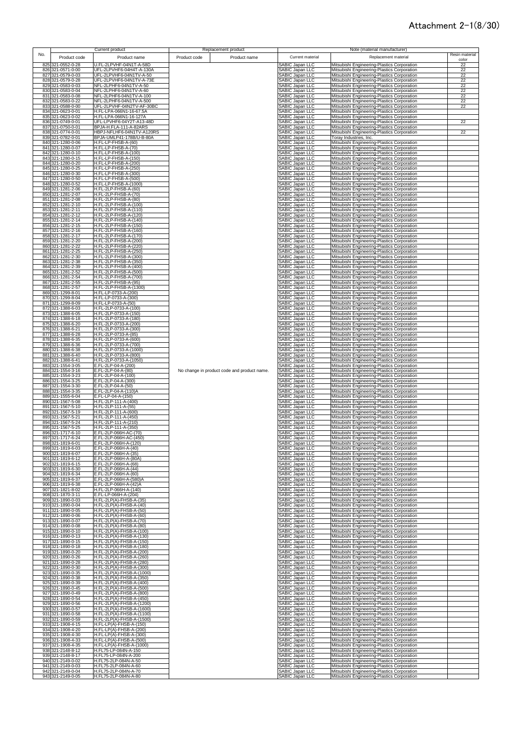|     |                                        | Current product                                      |              | Replacement product                         |                                    | Note (material manufacturer)                                                               |                |
|-----|----------------------------------------|------------------------------------------------------|--------------|---------------------------------------------|------------------------------------|--------------------------------------------------------------------------------------------|----------------|
| No. | Product code                           | Product name                                         | Product code | Product name                                | Current material                   | Replacement material                                                                       | Resin material |
|     | 825 321-0552-0-28                      | J.FL-2LPVHF-04N1T-A-58D                              |              |                                             |                                    | Mitsubishi Engineering-Plastics Corporation                                                | color          |
|     | 826 321-0571-0-00                      | UFL-2LPVHF6-04H4T-A-130A                             |              |                                             | SABIC Japan LLC<br>SABIC Japan LLC | Mitsubishi Engineering-Plastics Corporation                                                | 22<br>22       |
|     | 827 321-0579-0-03                      | UFL-2LPVHF6-04N1TV-A-50                              |              |                                             | SABIC Japan LLC                    | Mitsubishi Engineering-Plastics Corporation                                                | 22             |
|     | 828 321-0579-0-28                      | UFL-2LPVHF6-04N1TV-A-73E                             |              |                                             | SABIC Japan LLC                    | Mitsubishi Engineering-Plastics Corporation                                                | 22             |
|     | 829 321-0583-0-03                      | NFL-2LPHF6-04N1TV-A-50                               |              |                                             | SABIC Japan LLC                    | Mitsubishi Engineering-Plastics Corporation                                                | 22             |
|     | 830 321-0583-0-04                      | NFL-2LPHF6-04N1TV-A-60                               |              |                                             | SABIC Japan LLC                    | Mitsubishi Engineering-Plastics Corporation                                                | 22             |
| 831 | 321-0583-0-08                          | NFL-2LPHF6-04N1TV-A-100                              |              |                                             | SABIC Japan LLC                    | Mitsubishi Engineering-Plastics Corporation                                                | 22             |
| 832 | 321-0583-0-22                          | NFL-2LPHF6-04N1TV-A-500                              |              |                                             | SABIC Japan LLC                    | Mitsubishi Engineering-Plastics Corporation                                                | 22             |
|     | 833 321-0588-0-00                      | UFL-2LPVHF-04N2TV-AF-30BC                            |              |                                             | SABIC Japan LLC                    | Mitsubishi Engineering-Plastics Corporation                                                | 22             |
|     | 834 321-0623-0-01                      | H.FL-LPA-066N1-16-67.5A                              |              |                                             | SABIC Japan LLC                    | Mitsubishi Engineering-Plastics Corporation                                                |                |
|     | 835 321-0623-0-02                      | H.FL-LPA-066N1-16-127A                               |              |                                             | SABIC Japan LLC                    | Mitsubishi Engineering-Plastics Corporation                                                |                |
| 837 | 836 321-0749-0-01<br>321-0750-0-01     | UFL-LPVHF6-04Y2T-A13-48D<br>BPJA-H.FLA-111-A-82ARS   |              |                                             | SABIC Japan LLC                    | Mitsubishi Engineering-Plastics Corporation<br>Mitsubishi Engineering-Plastics Corporation | 22             |
| 838 | 321-0774-0-01                          | HBPJ-NFLHF6-04N1TV-A120RS                            |              |                                             | SABIC Japan LLC<br>SABIC Japan LLC | Mitsubishi Engineering-Plastics Corporation                                                | 22             |
|     | 839 321-0782-0-01                      | BPJA-UMLP41-178B/U-B-80A                             |              |                                             | SABIC Japan LLC                    | Toray Industries, Inc.                                                                     |                |
|     | 840 321-1280-0-06                      | H.FL-LP-FHSB-A-(60)                                  |              |                                             | SABIC Japan LLC                    | Mitsubishi Engineering-Plastics Corporation                                                |                |
|     | 841 321-1280-0-07                      | H.FL-LP-FHSB-A-(70)                                  |              |                                             | SABIC Japan LLC                    | Mitsubishi Engineering-Plastics Corporation                                                |                |
| 842 | 321-1280-0-10                          | H.FL-LP-FHSB-A-(100)                                 |              |                                             | SABIC Japan LLC                    | Mitsubishi Engineering-Plastics Corporation                                                |                |
| 843 | 321-1280-0-15                          | H.FL-LP-FHSB-A-(150)                                 |              |                                             | SABIC Japan LLC                    | Mitsubishi Engineering-Plastics Corporation                                                |                |
| 844 | 321-1280-0-20                          | H.FL-LP-FHSB-A-(200)                                 |              |                                             | SABIC Japan LLC                    | Mitsubishi Engineering-Plastics Corporation                                                |                |
| 845 | 321-1280-0-25                          | H.FL-LP-FHSB-A-(250)                                 |              |                                             | SABIC Japan LLC                    | Mitsubishi Engineering-Plastics Corporation                                                |                |
|     | 846 321-1280-0-30<br>847 321-1280-0-50 | H.FL-LP-FHSB-A-(300)<br>H.FL-LP-FHSB-A-(500)         |              |                                             | SABIC Japan LLC<br>SABIC Japan LLC | Mitsubishi Engineering-Plastics Corporation                                                |                |
|     | 848 321-1280-0-52                      | H.FL-LP-FHSB-A-(1000)                                |              |                                             | SABIC Japan LLC                    | Mitsubishi Engineering-Plastics Corporation<br>Mitsubishi Engineering-Plastics Corporation |                |
|     | 849 321-1281-2-06                      | H.FL-2LP-FHSB-A-(60)                                 |              |                                             | SABIC Japan LLC                    | Mitsubishi Engineering-Plastics Corporation                                                |                |
|     | 850 321-1281-2-07                      | H.FL-2LP-FHSB-A-(70)                                 |              |                                             | SABIC Japan LLC                    | Mitsubishi Engineering-Plastics Corporation                                                |                |
|     | 851 321-1281-2-08                      | H.FL-2LP-FHSB-A-(80)                                 |              |                                             | SABIC Japan LLC                    | Mitsubishi Engineering-Plastics Corporation                                                |                |
|     | 852 321-1281-2-10                      | H.FL-2LP-FHSB-A-(100)                                |              |                                             | SABIC Japan LLC                    | Mitsubishi Engineering-Plastics Corporation                                                |                |
|     | 853 321-1281-2-11                      | H.FL-2LP-FHSB-A-(110)                                |              |                                             | SABIC Japan LLC                    | Mitsubishi Engineering-Plastics Corporation                                                |                |
|     | 854 321-1281-2-12                      | H.FL-2LP-FHSB-A-(120)                                |              |                                             | SABIC Japan LLC                    | Mitsubishi Engineering-Plastics Corporation                                                |                |
|     | 855 321-1281-2-14                      | H.FL-2LP-FHSB-A-(140)                                |              |                                             | SABIC Japan LLC                    | Mitsubishi Engineering-Plastics Corporation                                                |                |
|     | 856 321-1281-2-15                      | H.FL-2LP-FHSB-A-(150)                                |              |                                             | SABIC Japan LLC                    | Mitsubishi Engineering-Plastics Corporation                                                |                |
|     | 857 321-1281-2-16<br>858 321-1281-2-17 | H.FL-2LP-FHSB-A-(160)<br>H.FL-2LP-FHSB-A-(170)       |              |                                             | SABIC Japan LLC<br>SABIC Japan LLC | Mitsubishi Engineering-Plastics Corporation<br>Mitsubishi Engineering-Plastics Corporation |                |
|     | 859 321-1281-2-20                      | H.FL-2LP-FHSB-A-(200)                                |              |                                             | SABIC Japan LLC                    | Mitsubishi Engineering-Plastics Corporation                                                |                |
|     | 860 321-1281-2-22                      | H.FL-2LP-FHSB-A-(220)                                |              |                                             | SABIC Japan LLC                    | Mitsubishi Engineering-Plastics Corporation                                                |                |
|     | 861 321-1281-2-25                      | H.FL-2LP-FHSB-A-(250)                                |              |                                             | SABIC Japan LLC                    | Mitsubishi Engineering-Plastics Corporation                                                |                |
|     | 862 321-1281-2-30                      | H.FL-2LP-FHSB-A-(300)                                |              |                                             | SABIC Japan LLC                    | Mitsubishi Engineering-Plastics Corporation                                                |                |
| 863 | 321-1281-2-38                          | H.FL-2LP-FHSB-A-(350)                                |              |                                             | SABIC Japan LLC                    | Mitsubishi Engineering-Plastics Corporation                                                |                |
|     | 864 321-1281-2-39                      | H.FL-2LP-FHSB-A-(400)                                |              |                                             | SABIC Japan LLC                    | Mitsubishi Engineering-Plastics Corporation                                                |                |
|     | 865 321-1281-2-52                      | H.FL-2LP-FHSB-A-(500)                                |              |                                             | <b>SABIC Japan LLC</b>             | Mitsubishi Engineering-Plastics Corporation                                                |                |
|     | 866 321-1281-2-54                      | H.FL-2LP-FHSB-A-(700)                                |              |                                             | SABIC Japan LLC                    | Mitsubishi Engineering-Plastics Corporation                                                |                |
|     | 867 321-1281-2-55<br>868 321-1281-2-57 | H.FL-2LP-FHSB-A-(95)<br>H.FL-2LP-FHSB-A-(1300)       |              |                                             | SABIC Japan LLC<br>SABIC Japan LLC | Mitsubishi Engineering-Plastics Corporation<br>Mitsubishi Engineering-Plastics Corporation |                |
|     | 869 321-1299-8-01                      | H.FL-LP-0733-A-(200)                                 |              |                                             | SABIC Japan LLC                    | Mitsubishi Engineering-Plastics Corporation                                                |                |
|     | 870 321-1299-8-04                      | H.FL-LP-0733-A-(300)                                 |              |                                             | SABIC Japan LLC                    | Mitsubishi Engineering-Plastics Corporation                                                |                |
| 871 | 321-1299-8-09                          | H.FL-LP-0733-A-(50)                                  |              |                                             | SABIC Japan LLC                    | Mitsubishi Engineering-Plastics Corporation                                                |                |
| 872 | 321-1388-6-03                          | H.FL-2LP-0733-A-(100)                                |              |                                             | SABIC Japan LLC                    | Mitsubishi Engineering-Plastics Corporation                                                |                |
|     | 873 321-1388-6-05                      | H.FL-2LP-0733-A-(150)                                |              |                                             | SABIC Japan LLC                    | Mitsubishi Engineering-Plastics Corporation                                                |                |
|     | 874 321-1388-6-18                      | H.FL-2LP-0733-A-(180)                                |              |                                             | SABIC Japan LLC                    | Mitsubishi Engineering-Plastics Corporation                                                |                |
|     | 875 321-1388-6-20                      | H.FL-2LP-0733-A-(200)                                |              |                                             | SABIC Japan LLC                    | Mitsubishi Engineering-Plastics Corporation                                                |                |
|     | 876 321-1388-6-21                      | H.FL-2LP-0733-A-(300)                                |              |                                             | SABIC Japan LLC                    | Mitsubishi Engineering-Plastics Corporation                                                |                |
|     | 877 321-1388-6-28                      | H.FL-2LP-0733-A-(85)                                 |              |                                             | SABIC Japan LLC                    | Mitsubishi Engineering-Plastics Corporation                                                |                |
|     | 878 321-1388-6-35                      | H.FL-2LP-0733-A-(600)                                |              |                                             | SABIC Japan LLC                    | Mitsubishi Engineering-Plastics Corporation                                                |                |
|     | 879 321-1388-6-36                      | H.FL-2LP-0733-A-(700)                                |              |                                             | SABIC Japan LLC                    | Mitsubishi Engineering-Plastics Corporation                                                |                |
|     | 880 321-1388-6-38<br>881 321-1388-6-40 | H.FL-2LP-0733-A-(1000)<br>H.FL-2LP-0733-A-(800)      |              |                                             | SABIC Japan LLC                    | Mitsubishi Engineering-Plastics Corporation                                                |                |
| 882 | 321-1388-6-41                          | H.FL-2LP-0733-A-(1050)                               |              |                                             | SABIC Japan LLC<br>SABIC Japan LLC | Mitsubishi Engineering-Plastics Corporation<br>Mitsubishi Engineering-Plastics Corporation |                |
|     | 883 321-1554-3-05                      | E.FL-2LP-04-A-(200)                                  |              |                                             | SABIC Japan LLC                    | Mitsubishi Engineering-Plastics Corporation                                                |                |
|     | 884 321-1554-3-16                      | E.FL-2LP-04-A-(80)                                   |              | No change in product code and product name. | SABIC Japan LLC                    | Mitsubishi Engineering-Plastics Corporation                                                |                |
|     | 885 321-1554-3-23                      | E.FL-2LP-04-A-(100)                                  |              |                                             | SABIC Japan LLC                    | Mitsubishi Engineering-Plastics Corporation                                                |                |
|     | 886 321-1554-3-25                      | E.FL-2LP-04-A-(300)                                  |              |                                             | SABIC Japan LLC                    | Mitsubishi Engineering-Plastics Corporation                                                |                |
|     | 887 321-1554-3-30                      | E.FL-2LP-04-A-(50)                                   |              |                                             | SABIC Japan LLC                    | Mitsubishi Engineering-Plastics Corporation                                                |                |
| 888 | 321-1554-3-35                          | E.FL-2LP-04-A-(110)A                                 |              |                                             | SABIC Japan LLC                    | Mitsubishi Engineering-Plastics Corporation                                                |                |
|     | 889 321-1555-6-04                      | E.FL-LP-04-A-(150)                                   |              |                                             | SABIC Japan LLC                    | Mitsubishi Engineering-Plastics Corporation                                                |                |
|     | 890 321-1567-5-08                      | H.FL-2LP-111-A-(400)                                 |              |                                             | SABIC Japan LLC<br>SABIC Japan LLC | Mitsubishi Engineering-Plastics Corporation                                                |                |
|     | 891 321-1567-5-10<br>892 321-1567-5-19 | H.FL-2LP-111-A-(55)<br>H.FL-2LP-111-A-(600)          |              |                                             | SABIC Japan LLC                    | Mitsubishi Engineering-Plastics Corporation<br>Mitsubishi Engineering-Plastics Corporation |                |
| 893 | 321-1567-5-21                          | H.FL-2LP-111-A-(450)                                 |              |                                             | SABIC Japan LLC                    | Mitsubishi Engineering-Plastics Corporation                                                |                |
| 894 | 321-1567-5-24                          | H.FL-2LP-111-A-(210)                                 |              |                                             | SABIC Japan LLC                    | Mitsubishi Engineering-Plastics Corporation                                                |                |
| 895 | 321-1567-5-25                          | H.FL-2LP-111-A-(350)                                 |              |                                             | SABIC Japan LLC                    | Mitsubishi Engineering-Plastics Corporation                                                |                |
| 896 | 321-1717-6-10                          | E.FL-2LP-066H-AC-(70)                                |              |                                             | SABIC Japan LLC                    | Mitsubishi Engineering-Plastics Corporation                                                |                |
|     | 897 321-1717-6-24                      | E.FL-2LP-066H-AC-(450)                               |              |                                             | SABIC Japan LLC                    | Mitsubishi Engineering-Plastics Corporation                                                |                |
|     | 898 321-1819-6-01                      | E.FL-2LP-066H-A-(120)                                |              |                                             | ARIC Janan LLC                     | Mitsubishi Engineering-Plastics Corporation                                                |                |
|     | 899 321-1819-6-03                      | E.FL-2LP-066H-A-(40)                                 |              |                                             | SABIC Japan LLC                    | Mitsubishi Engineering-Plastics Corporation                                                |                |
|     | 900 321-1819-6-07<br>901 321-1819-6-12 | E.FL-2LP-066H-A-(35)<br>E.FL-2LP-066H-A-(80A)        |              |                                             | SABIC Japan LLC<br>SABIC Japan LLC | Mitsubishi Engineering-Plastics Corporation<br>Mitsubishi Engineering-Plastics Corporation |                |
|     | 902 321-1819-6-15                      | E.FL-2LP-066H-A-(68)                                 |              |                                             | SABIC Japan LLC                    | Mitsubishi Engineering-Plastics Corporation                                                |                |
|     | 903 321-1819-6-30                      | E.FL-2LP-066H-A-(44)                                 |              |                                             | SABIC Japan LLC                    | Mitsubishi Engineering-Plastics Corporation                                                |                |
|     | 904 321-1819-6-34                      | E.FL-2LP-066H-A-(60)                                 |              |                                             | <b>SABIC Japan LLC</b>             | Mitsubishi Engineering-Plastics Corporation                                                |                |
|     | 905 321-1819-6-37                      | E.FL-2LP-066H-A-(580)A                               |              |                                             | SABIC Japan LLC                    | Mitsubishi Engineering-Plastics Corporation                                                |                |
|     | 906 321-1819-6-38                      | E.FL-2LP-066H-A-(42)A                                |              |                                             | SABIC Japan LLC                    | Mitsubishi Engineering-Plastics Corporation                                                |                |
|     | 907 321-1821-8-02                      | H.FL-2LP-066H-A-(140)<br>E.FL-LP-066H-A-(204)        |              |                                             | SABIC Japan LLC                    | Mitsubishi Engineering-Plastics Corporation                                                |                |
|     | 908 321-1870-3-11<br>909 321-1890-0-03 | H.FL-2LP(A)-FHSB-A-(35)                              |              |                                             | SABIC Japan LLC<br>SABIC Japan LLC | Mitsubishi Engineering-Plastics Corporation<br>Mitsubishi Engineering-Plastics Corporation |                |
|     | 910 321-1890-0-04                      | H.FL-2LP(A)-FHSB-A-(40)                              |              |                                             | SABIC Japan LLC                    | Mitsubishi Engineering-Plastics Corporation                                                |                |
|     | 911 321-1890-0-05                      | H.FL-2LP(A)-FHSB-A-(50)                              |              |                                             | SABIC Japan LLC                    | Mitsubishi Engineering-Plastics Corporation                                                |                |
|     | 912 321-1890-0-06                      | H.FL-2LP(A)-FHSB-A-(60)                              |              |                                             | SABIC Japan LLC                    | Mitsubishi Engineering-Plastics Corporation                                                |                |
|     | 913 321-1890-0-07                      | H.FL-2LP(A)-FHSB-A-(70)                              |              |                                             | SABIC Japan LLC<br>SABIC Japan LLC | Mitsubishi Engineering-Plastics Corporation                                                |                |
|     | 914 321-1890-0-08                      | H.FL-2LP(A)-FHSB-A-(80)                              |              |                                             |                                    | Mitsubishi Engineering-Plastics Corporation                                                |                |
|     | 915 321-1890-0-10                      | H.FL-2LP(A)-FHSB-A-(100)                             |              |                                             | SABIC Japan LLC                    | Mitsubishi Engineering-Plastics Corporation                                                |                |
|     | 916 321-1890-0-13<br>917 321-1890-0-15 | H.FL-2LP(A)-FHSB-A-(130)<br>H.FL-2LP(A)-FHSB-A-(150) |              |                                             | SABIC Japan LLC<br>SABIC Japan LLC | Mitsubishi Engineering-Plastics Corporation                                                |                |
|     | 918 321-1890-0-18                      | H.FL-2LP(A)-FHSB-A-(180)                             |              |                                             | SABIC Japan LLC                    | Mitsubishi Engineering-Plastics Corporation<br>Mitsubishi Engineering-Plastics Corporation |                |
|     | 919 321-1890-0-20                      | H.FL-2LP(A)-FHSB-A-(200)                             |              |                                             | SABIC Japan LLC                    | Mitsubishi Engineering-Plastics Corporation                                                |                |
|     | 920 321-1890-0-26                      | H.FL-2LP(A)-FHSB-A-(260)                             |              |                                             | SABIC Japan LLC                    | Mitsubishi Engineering-Plastics Corporation                                                |                |
|     | 921 321-1890-0-28                      | H.FL-2LP(A)-FHSB-A-(280)                             |              |                                             | SABIC Japan LLC                    | Mitsubishi Engineering-Plastics Corporation                                                |                |
|     | 922 321-1890-0-30                      | H.FL-2LP(A)-FHSB-A-(300)                             |              |                                             | SABIC Japan LLC                    | Mitsubishi Engineering-Plastics Corporation                                                |                |
|     | 923 321-1890-0-35                      | H.FL-2LP(A)-FHSB-A-(1000)                            |              |                                             | SABIC Japan LLC                    | Mitsubishi Engineering-Plastics Corporation                                                |                |
|     | 924 321-1890-0-38                      | H.FL-2LP(A)-FHSB-A-(350)                             |              |                                             | SABIC Japan LLC                    | Mitsubishi Engineering-Plastics Corporation                                                |                |
|     | 925 321-1890-0-39                      | H.FL-2LP(A)-FHSB-A-(400)                             |              |                                             | SABIC Japan LLC                    | Mitsubishi Engineering-Plastics Corporation                                                |                |
|     | 926 321-1890-0-45                      | H.FL-2LP(A)-FHSB-A-(500)                             |              |                                             | SABIC Japan LLC                    | Mitsubishi Engineering-Plastics Corporation                                                |                |
|     | 927 321-1890-0-49<br>928 321-1890-0-54 | H.FL-2LP(A)-FHSB-A-(800)<br>H.FL-2LP(A)-FHSB-A-(450) |              |                                             | SABIC Japan LLC<br>SABIC Japan LLC | Mitsubishi Engineering-Plastics Corporation<br>Mitsubishi Engineering-Plastics Corporation |                |
|     | 929 321-1890-0-56                      | H.FL-2LP(A)-FHSB-A-(1200)                            |              |                                             | SABIC Japan LLC                    | Mitsubishi Engineering-Plastics Corporation                                                |                |
|     | 930 321-1890-0-57                      | H.FL-2LP(A)-FHSB-A-(1600)                            |              |                                             | SABIC Japan LLC                    | Mitsubishi Engineering-Plastics Corporation                                                |                |
|     | 931 321-1890-0-58                      | H.FL-2LP(A)-FHSB-A-(1100)                            |              |                                             | SABIC Japan LLC                    | Mitsubishi Engineering-Plastics Corporation                                                |                |
| 932 | 321-1890-0-59                          | H.FL-2LP(A)-FHSB-A-(1500)                            |              |                                             | SABIC Japan LLC                    | Mitsubishi Engineering-Plastics Corporation                                                |                |
| 933 | 321-1908-4-15                          | H.FL-LP(A)-FHSB-A-(150)                              |              |                                             | SABIC Japan LLC                    | Mitsubishi Engineering-Plastics Corporation                                                |                |
|     | 934 321-1908-4-20                      | H.FL-LP(A)-FHSB-A-(200)                              |              |                                             | SABIC Japan LLC                    | Mitsubishi Engineering-Plastics Corporation                                                |                |
|     | 935 321-1908-4-30                      | H.FL-LP(A)-FHSB-A-(300)                              |              |                                             | SABIC Japan LLC<br>SABIC Japan LLC | Mitsubishi Engineering-Plastics Corporation                                                |                |
|     | 936 321-1908-4-33                      | H.FL-LP(A)-FHSB-A-(500)                              |              |                                             |                                    | Mitsubishi Engineering-Plastics Corporation                                                |                |
|     | 937 321-1908-4-35                      | H.FL-LP(A)-FHSB-A-(1000)                             |              |                                             | SABIC Japan LLC                    | Mitsubishi Engineering-Plastics Corporation                                                |                |
| 939 | 938 321-2148-8-12<br>321-2148-8-17     | H.FL75-LP-084N-A-150<br>H.FL75-LP-084N-A-200         |              |                                             | SABIC Japan LLC<br>SABIC Japan LLC | Mitsubishi Engineering-Plastics Corporation<br>Mitsubishi Engineering-Plastics Corporation |                |
|     | 940 321-2149-0-02                      | H.FL75-2LP-084N-A-50                                 |              |                                             | SABIC Japan LLC                    | Mitsubishi Engineering-Plastics Corporation                                                |                |
|     | 941 321-2149-0-03                      | H.FL75-2LP-084N-A-60                                 |              |                                             | SABIC Japan LLC                    | Mitsubishi Engineering-Plastics Corporation                                                |                |
|     | 942 321-2149-0-04                      | H.FL75-2LP-084N-A-70                                 |              |                                             | SABIC Japan LLC                    | Mitsubishi Engineering-Plastics Corporation                                                |                |
|     | 943 321-2149-0-05                      | H.FL75-2LP-084N-A-80                                 |              |                                             | SABIC Japan LLC                    | Mitsubishi Engineering-Plastics Corporation                                                |                |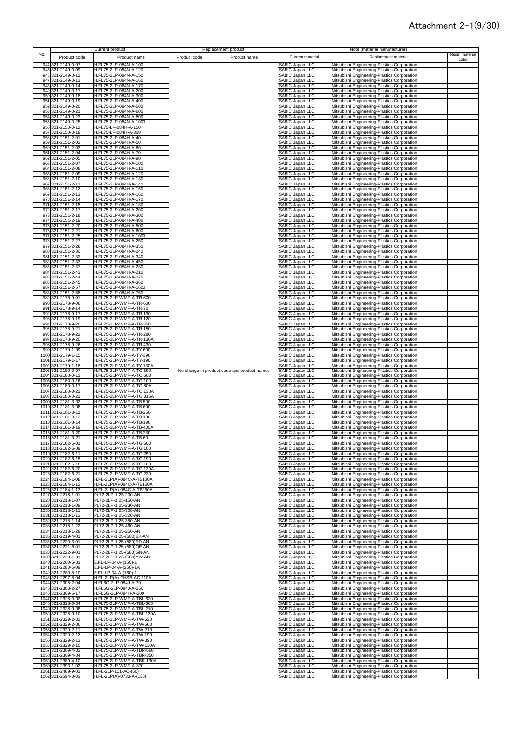|              |                                          | Current product                                       |              | Replacement product                         |                                           | Note (material manufacturer)                                                               |                         |
|--------------|------------------------------------------|-------------------------------------------------------|--------------|---------------------------------------------|-------------------------------------------|--------------------------------------------------------------------------------------------|-------------------------|
| No.          | Product code                             | Product name                                          | Product code | Product name                                | Current material                          | Replacement material                                                                       | Resin material<br>color |
|              | 944 321-2149-0-07                        | H.FL75-2LP-084N-A-100                                 |              |                                             | SABIC Japan LLC                           | Mitsubishi Engineering-Plastics Corporation                                                |                         |
|              | 945 321-2149-0-09                        | H.FL75-2LP-084N-A-120                                 |              |                                             | SABIC Japan LLC                           | Mitsubishi Engineering-Plastics Corporation                                                |                         |
|              | 946 321-2149-0-12<br>947 321-2149-0-13   | H.FL75-2LP-084N-A-150<br>H.FL75-2LP-084N-A-160        |              |                                             | SABIC Japan LLC<br>SABIC Japan LLC        | Mitsubishi Engineering-Plastics Corporation<br>Mitsubishi Engineering-Plastics Corporation |                         |
|              | 948 321-2149-0-14                        | H.FL75-2LP-084N-A-170                                 |              |                                             | SABIC Japan LLC                           | Mitsubishi Engineering-Plastics Corporation                                                |                         |
|              | 949 321-2149-0-17                        | H.FL75-2LP-084N-A-200                                 |              |                                             | SABIC Japan LLC                           | Mitsubishi Engineering-Plastics Corporation                                                |                         |
| 951          | 950 321-2149-0-18<br>321-2149-0-19       | H.FL75-2LP-084N-A-300<br>H.FL75-2LP-084N-A-400        |              |                                             | SABIC Japan LLC<br>SABIC Japan LLC        | Mitsubishi Engineering-Plastics Corporation<br>Mitsubishi Engineering-Plastics Corporation |                         |
| 952          | 321-2149-0-20                            | H.FL75-2LP-084N-A-500                                 |              |                                             | <b>SABIC Japan LLC</b>                    | Mitsubishi Engineering-Plastics Corporation                                                |                         |
| 953          | 321-2149-0-21<br>954 321-2149-0-23       | H.FL75-2LP-084N-A-600<br>H.FL75-2LP-084N-A-800        |              |                                             | SABIC Japan LLC<br><b>SABIC Japan LLC</b> | Mitsubishi Engineering-Plastics Corporation                                                |                         |
|              | 955 321-2149-0-25                        | H.FL75-2LP-084N-A-1000                                |              |                                             | <b>SABIC Japan LLC</b>                    | Mitsubishi Engineering-Plastics Corporation<br>Mitsubishi Engineering-Plastics Corporation |                         |
| 956          | 321-2150-0-12                            | H.FL75-LP-084H-A-150                                  |              |                                             | SABIC Japan LLC                           | Mitsubishi Engineering-Plastics Corporation                                                |                         |
| 957:         | 321-2150-0-18<br>958 321-2151-2-01       | H.FL75-LP-084H-A-300<br>H.FL75-2LP-084H-A-40          |              |                                             | SABIC Japan LLC                           | Mitsubishi Engineering-Plastics Corporation<br>Mitsubishi Engineering-Plastics Corporation |                         |
|              | 959 321-2151-2-02                        | H.FL75-2LP-084H-A-50                                  |              |                                             | SABIC Japan LLC<br>SABIC Japan LLC        | Mitsubishi Engineering-Plastics Corporation                                                |                         |
|              | 960 321-2151-2-03                        | H.FL75-2LP-084H-A-60<br>H.FL75-2LP-084H-A-70          |              |                                             | SABIC Japan LLC                           | Mitsubishi Engineering-Plastics Corporation                                                |                         |
| 961<br>962   | 321-2151-2-04<br>321-2151-2-05           | H.FL75-2LP-084H-A-80                                  |              |                                             | SABIC Japan LLC<br><b>SABIC Japan LLC</b> | Mitsubishi Engineering-Plastics Corporation<br>Mitsubishi Engineering-Plastics Corporation |                         |
| 963          | 321-2151-2-07                            | H.FL75-2LP-084H-A-100                                 |              |                                             | SABIC Japan LLC                           | Mitsubishi Engineering-Plastics Corporation                                                |                         |
| 964<br>965   | 321-2151-2-08<br>321-2151-2-09           | H.FL75-2LP-084H-A-110<br>H.FL75-2LP-084H-A-120        |              |                                             | SABIC Japan LLC<br>SABIC Japan LLC        | Mitsubishi Engineering-Plastics Corporation<br>Mitsubishi Engineering-Plastics Corporation |                         |
| 966          | 321-2151-2-10                            | H.FL75-2LP-084H-A-130                                 |              |                                             | SABIC Japan LLC                           | Mitsubishi Engineering-Plastics Corporation                                                |                         |
|              | 967 321-2151-2-11<br>968 321-2151-2-12   | H.FL75-2LP-084H-A-140<br>H.FL75-2LP-084H-A-150        |              |                                             | SABIC Japan LLC<br>SABIC Japan LLC        | Mitsubishi Engineering-Plastics Corporation                                                |                         |
| 969          | 321-2151-2-13                            | H.FL75-2LP-084H-A-160                                 |              |                                             | SABIC Japan LLC                           | Mitsubishi Engineering-Plastics Corporation<br>Mitsubishi Engineering-Plastics Corporation |                         |
|              | 970 321-2151-2-14                        | H.FL75-2LP-084H-A-170                                 |              |                                             | SABIC Japan LLC                           | Mitsubishi Engineering-Plastics Corporation                                                |                         |
|              | 971 321-2151-2-15<br>972 321-2151-2-17   | H.FL75-2LP-084H-A-180<br>H.FL75-2LP-084H-A-200        |              |                                             | SABIC Japan LLC<br>SABIC Japan LLC        | Mitsubishi Engineering-Plastics Corporation<br>Mitsubishi Engineering-Plastics Corporation |                         |
|              | 973 321-2151-2-18                        | H.FL75-2LP-084H-A-300                                 |              |                                             | SABIC Japan LLC                           | Mitsubishi Engineering-Plastics Corporation                                                |                         |
|              | 974 321-2151-2-19<br>975 321-2151-2-20   | H.FL75-2LP-084H-A-400<br>H.FL75-2LP-084H-A-500        |              |                                             | SABIC Japan LLC                           | Mitsubishi Engineering-Plastics Corporation<br>Mitsubishi Engineering-Plastics Corporation |                         |
|              | 976 321-2151-2-21                        | H.FL75-2LP-084H-A-600                                 |              |                                             | SABIC Japan LLC<br>SABIC Japan LLC        | Mitsubishi Engineering-Plastics Corporation                                                |                         |
|              | 977 321-2151-2-25                        | H.FL75-2LP-084H-A-1000                                |              |                                             | SABIC Japan LLC                           | Mitsubishi Engineering-Plastics Corporation                                                |                         |
|              | 978 321-2151-2-27<br>979 321-2151-2-28   | H.FL75-2LP-084H-A-250<br>H.FL75-2LP-084H-A-350        |              |                                             | SABIC Japan LLC<br>SABIC Japan LLC        | Mitsubishi Engineering-Plastics Corporation<br>Mitsubishi Engineering-Plastics Corporation |                         |
|              | 980 321-2151-2-30                        | H.FL75-2LP-084H-A-240                                 |              |                                             | SABIC Japan LLC                           | Mitsubishi Engineering-Plastics Corporation                                                |                         |
|              | 981 321-2151-2-32<br>982 321-2151-2-33   | H.FL75-2LP-084H-A-340<br>H.FL75-2LP-084H-A-450        |              |                                             | SABIC Japan LLC<br>SABIC Japan LLC        | Mitsubishi Engineering-Plastics Corporation<br>Mitsubishi Engineering-Plastics Corporation |                         |
|              | 983 321-2151-2-37                        | H.FL75-2LP-084H-A-230                                 |              |                                             | SABIC Japan LLC                           | Mitsubishi Engineering-Plastics Corporation                                                |                         |
|              | 984 321-2151-2-43<br>985 321-2151-2-44   | H.FL75-2LP-084H-A-210<br>H.FL75-2LP-084H-A-270        |              |                                             | SABIC Japan LLC<br>SABIC Japan LLC        | Mitsubishi Engineering-Plastics Corporation<br>Mitsubishi Engineering-Plastics Corporation |                         |
|              | 986 321-2151-2-45                        | H.FL75-2LP-084H-A-360                                 |              |                                             | SABIC Japan LLC                           | Mitsubishi Engineering-Plastics Corporation                                                |                         |
| 988          | 987 321-2151-2-57<br>321-2151-2-58       | H.FL75-2LP-084H-A-1600<br>H.FL75-2LP-084H-A-750       |              |                                             | SABIC Japan LLC<br>SABIC Japan LLC        | Mitsubishi Engineering-Plastics Corporation<br>Mitsubishi Engineering-Plastics Corporation |                         |
|              | 989 321-2178-9-01                        | H.FL75-2LP-WMF-A-TR-600                               |              |                                             | SABIC Japan LLC                           | Mitsubishi Engineering-Plastics Corporation                                                |                         |
|              | 990 321-2178-9-06                        | H.FL75-2LP-WMF-A-TR-630                               |              |                                             | SABIC Japan LLC                           | Mitsubishi Engineering-Plastics Corporation                                                |                         |
|              | 991 321-2178-9-14<br>992 321-2178-9-17   | H.FL75-2LP-WMF-A-TR-70<br>H.FL75-2LP-WMF-A-TR-190     |              |                                             | SABIC Japan LLC<br>SABIC Japan LLC        | Mitsubishi Engineering-Plastics Corporation<br>Mitsubishi Engineering-Plastics Corporation |                         |
|              | 993 321-2178-9-19                        | H.FL75-2LP-WMF-A-TR-120                               |              |                                             | SABIC Japan LLC                           | Mitsubishi Engineering-Plastics Corporation                                                |                         |
|              | 994 321-2178-9-20<br>995 321-2178-9-21   | H.FL75-2LP-WMF-A-TR-350<br>H.FL75-2LP-WMF-A-TR-150    |              |                                             | SABIC Japan LLC<br>SABIC Japan LLC        | Mitsubishi Engineering-Plastics Corporation<br>Mitsubishi Engineering-Plastics Corporation |                         |
|              | 996 321-2178-9-22                        | H.FL75-2LP-WMF-A-TR-280                               |              |                                             | SABIC Japan LLC                           | Mitsubishi Engineering-Plastics Corporation                                                |                         |
|              | 997 321-2178-9-25<br>998 321-2178-9-26   | H.FL75-2LP-WMF-A-TR-130A<br>H.FL75-2LP-WMF-A-TR-430   |              |                                             | SABIC Japan LLC<br>SABIC Japan LLC        | Mitsubishi Engineering-Plastics Corporation<br>Mitsubishi Engineering-Plastics Corporation |                         |
|              | 999 321-2179-1-09                        | H.FL75-2LP-WMF-A-TY-600                               |              |                                             | SABIC Japan LLC                           | Mitsubishi Engineering-Plastics Corporation                                                |                         |
| 1001         | 1000 321-2179-1-15<br>321-2179-1-17      | H.FL75-2LP-WMF-A-TY-390<br>H.FL75-2LP-WMF-A-TY-190    |              |                                             | SABIC Japan LLC<br>SABIC Japan LLC        | Mitsubishi Engineering-Plastics Corporation<br>Mitsubishi Engineering-Plastics Corporation |                         |
| 1002         | 321-2179-1-18                            | H.FL75-2LP-WMF-A-TY-130A                              |              |                                             | SABIC Japan LLC                           | Mitsubishi Engineering-Plastics Corporation                                                |                         |
|              | 1003 321-2180-0-07                       | H.FL75-2LP-WMF-A-TO-590                               |              | No change in product code and product name. | SABIC Japan LLC                           | Mitsubishi Engineering-Plastics Corporation                                                |                         |
|              | 1004 321-2180-0-11<br>1005 321-2180-0-16 | H.FL75-2LP-WMF-A-TO-600<br>H.FL75-2LP-WMF-A-TO-100    |              |                                             | SABIC Japan LLC<br>SABIC Japan LLC        | Mitsubishi Engineering-Plastics Corporation<br>Mitsubishi Engineering-Plastics Corporation |                         |
|              | 1006 321-2180-0-17                       | H.FL75-2LP-WMF-A-TO-80A                               |              |                                             | SABIC Japan LLC                           | Mitsubishi Engineering-Plastics Corporation                                                |                         |
| 1007<br>1008 | 321-2180-0-22<br>321-2180-0-23           | H.FL75-2LP-WMF-A-TO-130A<br>H.FL75-2LP-WMF-A-TO-315A  |              |                                             | SABIC Japan LLC<br>SABIC Japan LLC        | Mitsubishi Engineering-Plastics Corporation<br>Mitsubishi Engineering-Plastics Corporation |                         |
|              | 1009 321-2181-3-02                       | H.FL75-2LP-WMF-A-TB-590                               |              |                                             | SABIC Japan LLC                           | Mitsubishi Engineering-Plastics Corporation                                                |                         |
|              | 1010 321-2181-3-06<br>1011 321-2181-3-11 | H.FL75-2LP-WMF-A-TB-600<br>H.FL75-2LP-WMF-A-TB-250    |              |                                             | SABIC Japan LLC<br>SABIC Japan LLC        | Mitsubishi Engineering-Plastics Corporation<br>Mitsubishi Engineering-Plastics Corporation |                         |
|              | 1012 321-2181-3-13                       | H.FL75-2LP-WMF-A-TB-130                               |              |                                             | SABIC Japan LLC                           | Mitsubishi Engineering-Plastics Corporation                                                |                         |
| 1013<br>1014 | 321-2181-3-14<br>321-2181-3-19           | H.FL75-2LP-WMF-A-TB-190<br>H.FL75-2LP-WMF-A-TB-400A   |              |                                             | SABIC Japan LLC<br><b>SABIC Japan LLC</b> | Mitsubishi Engineering-Plastics Corporation<br>Mitsubishi Engineering-Plastics Corporation |                         |
| 1015         | 321-2181-3-20                            | H.FL75-2LP-WMF-A-TB-230                               |              |                                             | <b>SABIC Japan LLC</b>                    | Mitsubishi Engineering-Plastics Corporation                                                |                         |
|              | 1016 321-2181-3-21<br>1017 321-2182-6-03 | H.FL75-2LP-WMF-A-TB-60<br>H.FL75-2LP-WMF-A-TG-600     |              |                                             | SABIC Japan LLC<br>SABIC Japan LLC        | Mitsubishi Engineering-Plastics Corporation<br>Mitsubishi Engineering-Plastics Corporation |                         |
|              | 1018 321-2182-6-09                       | H.FL75-2LP-WMF-A-TG-100                               |              |                                             | SABIC Japan LLC                           | Mitsubishi Engineering-Plastics Corporation                                                |                         |
|              | 1019 321-2182-6-11<br>1020 321-2182-6-15 | H.FL75-2LP-WMF-A-TG-250<br>H.FL75-2LP-WMF-A-TG-190    |              |                                             | SABIC Japan LLC                           | Mitsubishi Engineering-Plastics Corporation                                                |                         |
|              | 1021 321-2182-6-18                       | H.FL75-2LP-WMF-A-TG-160                               |              |                                             | SABIC Japan LLC<br>SABIC Japan LLC        | Mitsubishi Engineering-Plastics Corporation<br>Mitsubishi Engineering-Plastics Corporation |                         |
|              | 1022 321-2182-6-20                       | H.FL75-2LP-WMF-A-TG-130A                              |              |                                             | SABIC Japan LLC                           | Mitsubishi Engineering-Plastics Corporation                                                |                         |
|              | 1023 321-2182-6-21<br>1024 321-2184-1-08 | H.FL75-2LP-WMF-A-TG-230<br>H.FL-2LP(A)-084C-A-TB100A  |              |                                             | SABIC Japan LLC<br>SABIC Japan LLC        | Mitsubishi Engineering-Plastics Corporation<br>Mitsubishi Engineering-Plastics Corporation |                         |
|              | 1025 321-2184-1-12                       | H.FL-2LP(A)-084C-A-TB150A                             |              |                                             | SABIC Japan LLC                           | Mitsubishi Engineering-Plastics Corporation                                                |                         |
|              | 1026 321-2184-1-13<br>1027 321-2218-1-01 | H.FL-2LP(A)-084C-A-TB250A<br>PL72-2LP-1.25-200-AN     |              |                                             | SABIC Japan LLC<br>SABIC Japan LLC        | Mitsubishi Engineering-Plastics Corporation<br>Mitsubishi Engineering-Plastics Corporation |                         |
|              | 1028 321-2218-1-07                       | PL72-2LP-1.25-150-AN                                  |              |                                             | SABIC Japan LLC                           | Mitsubishi Engineering-Plastics Corporation                                                |                         |
|              | 1029 321-2218-1-09<br>1030 321-2218-1-11 | PL72-2LP-1.25-230-AN<br>PL72-2LP-1.25-300-AN          |              |                                             | SABIC Japan LLC<br>SABIC Japan LLC        | Mitsubishi Engineering-Plastics Corporation<br>Mitsubishi Engineering-Plastics Corporation |                         |
|              | 1031 321-2218-1-12                       | PL72-2LP-1.25-320-AN                                  |              |                                             | SABIC Japan LLC                           | Mitsubishi Engineering-Plastics Corporation                                                |                         |
|              | 1032 321-2218-1-14<br>1033 321-2218-1-22 | PL72-2LP-1.25-350-AN<br>PL72-2LP-1.25-460-AN          |              |                                             | SABIC Japan LLC<br>SABIC Japan LLC        | Mitsubishi Engineering-Plastics Corporation<br>Mitsubishi Engineering-Plastics Corporation |                         |
|              | 1034 321-2218-1-28                       | PL72-2LP-1.25-250-AN                                  |              |                                             | SABIC Japan LLC                           | Mitsubishi Engineering-Plastics Corporation                                                |                         |
|              | 1035 321-2219-4-01<br>1036 321-2220-3-01 | PL72-2LP-1.25-(580)BK-AN<br>PL72-2LP-1.25-(580)RD-AN  |              |                                             | SABIC Japan LLC<br>SABIC Japan LLC        | Mitsubishi Engineering-Plastics Corporation                                                |                         |
|              | 1037 321-2221-6-01                       | PL72-2LP-1.25-(580)OE-AN                              |              |                                             | SABIC Japan LLC                           | Mitsubishi Engineering-Plastics Corporation<br>Mitsubishi Engineering-Plastics Corporation |                         |
|              | 1038 321-2222-9-01                       | PL72-2LP-1.25-(580)GN-AN                              |              |                                             | SABIC Japan LLC                           | Mitsubishi Engineering-Plastics Corporation                                                |                         |
|              | 1039 321-2223-1-01<br>1040 321-2280-5-01 | PL72-2LP-1.25-(580)YW-AN<br>E.FL-LP-04-A-(150)-1      |              |                                             | SABIC Japan LLC<br>SABIC Japan LLC        | Mitsubishi Engineering-Plastics Corporation<br>Mitsubishi Engineering-Plastics Corporation |                         |
|              | 1041 321-2280-5-09                       | E.FL-LP-04-A-(250)-1A                                 |              |                                             | SABIC Japan LLC                           | Mitsubishi Engineering-Plastics Corporation                                                |                         |
|              | 1042 321-2280-5-10<br>1043 321-2297-8-04 | E.FL-LP-04-A-(160)-1<br>H.FL-2LP(A)-FHSB-AC-110A      |              |                                             | SABIC Japan LLC<br>SABIC Japan LLC        | Mitsubishi Engineering-Plastics Corporation<br>Mitsubishi Engineering-Plastics Corporation |                         |
|              | 1044 321-2308-2-04                       | H.FL6G-2LP-084J-A-70                                  |              |                                             | SABIC Japan LLC                           | Mitsubishi Engineering-Plastics Corporation                                                |                         |
|              | 1045 321-2308-2-27<br>1046 321-2309-5-17 | H.FL6G-2LP-084J-A-250<br>H.FL6G-2LP-084H-A-200        |              |                                             | SABIC Japan LLC<br>SABIC Japan LLC        | Mitsubishi Engineering-Plastics Corporation<br>Mitsubishi Engineering-Plastics Corporation |                         |
|              | 1047 321-2328-0-02                       | H.FL75-2LP-WMF-A-TBL-620                              |              |                                             | SABIC Japan LLC                           | Mitsubishi Engineering-Plastics Corporation                                                |                         |
|              | 1048 321-2328-0-04                       | H.FL75-2LP-WMF-A-TBL-660                              |              |                                             | SABIC Japan LLC                           | Mitsubishi Engineering-Plastics Corporation                                                |                         |
|              | 1049 321-2328-0-08<br>1050 321-2328-0-10 | H.FL75-2LP-WMF-A-TBL-210<br>H.FL75-2LP-WMF-A-TBL-130A |              |                                             | SABIC Japan LLC<br>SABIC Japan LLC        | Mitsubishi Engineering-Plastics Corporation<br>Mitsubishi Engineering-Plastics Corporation |                         |
|              | 1051 321-2329-2-02                       | H.FL75-2LP-WMF-A-TW-620                               |              |                                             | SABIC Japan LLC                           | Mitsubishi Engineering-Plastics Corporation                                                |                         |
|              | 1052 321-2329-2-06<br>1053 321-2329-2-11 | H.FL75-2LP-WMF-A-TW-660<br>H.FL75-2LP-WMF-A-TW-210    |              |                                             | SABIC Japan LLC<br>SABIC Japan LLC        | Mitsubishi Engineering-Plastics Corporation<br>Mitsubishi Engineering-Plastics Corporation |                         |
|              | 1054 321-2329-2-12                       | H.FL75-2LP-WMF-A-TW-190                               |              |                                             | SABIC Japan LLC                           | Mitsubishi Engineering-Plastics Corporation                                                |                         |
|              | 1055 321-2329-2-13<br>1056 321-2329-2-15 | H.FL75-2LP-WMF-A-TW-390<br>H.FL75-2LP-WMF-A-TW-130A   |              |                                             | SABIC Japan LLC<br>SABIC Japan LLC        | Mitsubishi Engineering-Plastics Corporation<br>Mitsubishi Engineering-Plastics Corporation |                         |
|              | 1057 321-2389-4-02                       | H.FL75-2LP-WMF-A-TBR-660                              |              |                                             | SABIC Japan LLC                           | Mitsubishi Engineering-Plastics Corporation                                                |                         |
|              | 1058 321-2389-4-04                       | H.FL75-2LP-WMF-A-TBR-350                              |              |                                             | SABIC Japan LLC<br>SABIC Japan LLC        | Mitsubishi Engineering-Plastics Corporation                                                |                         |
|              | 1059 321-2389-4-10<br>1060 321-2393-1-02 | H.FL75-2LP-WMF-A-TBR-130A<br>H.FL75-2LP-WMF-A-370     |              |                                             | SABIC Japan LLC                           | Mitsubishi Engineering-Plastics Corporation<br>Mitsubishi Engineering-Plastics Corporation |                         |
|              | 1061 321-2489-9-01                       | H.FL-2LP-111-AC-(50)                                  |              |                                             | <b>SABIC Japan LLC</b>                    | Mitsubishi Engineering-Plastics Corporation                                                |                         |
|              | 1062 321-2594-3-03                       | H.FL-2LP(A)-0733-A-(130)                              |              |                                             | SABIC Japan LLC                           | Mitsubishi Engineering-Plastics Corporation                                                |                         |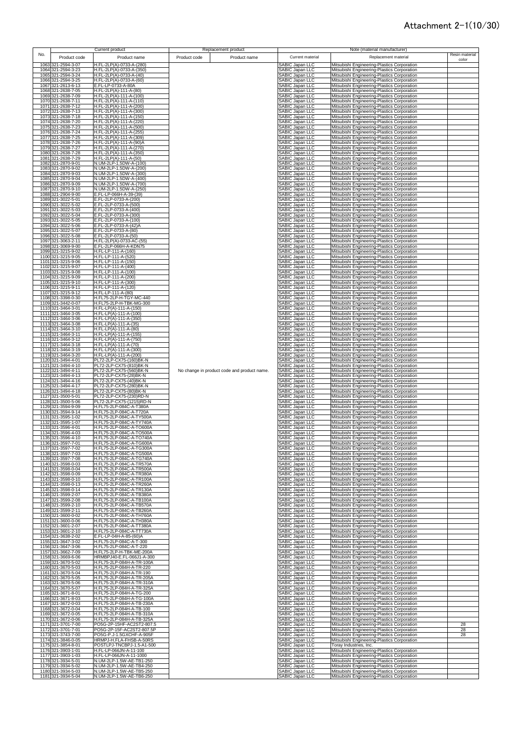|      |                                                |              | <b>Current product</b>                                 |              | Replacement product                         |                                    |                        | Note (material manufacturer)                                                               |                         |
|------|------------------------------------------------|--------------|--------------------------------------------------------|--------------|---------------------------------------------|------------------------------------|------------------------|--------------------------------------------------------------------------------------------|-------------------------|
| No.  |                                                | Product code | Product name                                           | Product code | Product name                                | Current material                   |                        | Replacement material                                                                       | Resin material<br>color |
|      | 1063 321-2594-3-07                             |              | H.FL-2LP(A)-0733-A-(280)                               |              |                                             | SABIC Japan LLC                    |                        | Mitsubishi Engineering-Plastics Corporation                                                |                         |
|      | 1064<br>321-2594-3-23                          |              | H.FL-2LP(A)-0733-A-(350)                               |              |                                             | SABIC Japan LLC                    |                        | Mitsubishi Engineering-Plastics Corporation                                                |                         |
|      | 321-2594-3-24<br>1065                          |              | H.FL-2LP(A)-0733-A-(40)<br>H.FL-2LP(A)-0733-A-(60)     |              |                                             | SABIC Japan LLC                    |                        | Mitsubishi Engineering-Plastics Corporation                                                |                         |
|      | 1066 321-2594-3-25<br>1067 321-2613-6-13       |              | E.FL-LP-0733-A-80A                                     |              |                                             | SABIC Japan LLC<br>SABIC Japan LLC |                        | Mitsubishi Engineering-Plastics Corporation<br>Mitsubishi Engineering-Plastics Corporation |                         |
|      | 1068 321-2638-7-05                             |              | H.FL-2LP(A)-111-A-(80)                                 |              |                                             | SABIC Japan LLC                    |                        | Mitsubishi Engineering-Plastics Corporation                                                |                         |
|      | 1069 321-2638-7-09                             |              | H.FL-2LP(A)-111-A-(100)                                |              |                                             | SABIC Japan LLC                    |                        | Mitsubishi Engineering-Plastics Corporation                                                |                         |
|      | 1070 321-2638-7-11<br>1071 321-2638-7-12       |              | H.FL-2LP(A)-111-A-(110)<br>H.FL-2LP(A)-111-A-(200)     |              |                                             | SABIC Japan LLC                    |                        | Mitsubishi Engineering-Plastics Corporation                                                |                         |
|      | 1072 321-2638-7-13                             |              | H.FL-2LP(A)-111-A-(300)                                |              |                                             | SABIC Japan LLC<br>SABIC Japan LLC |                        | Mitsubishi Engineering-Plastics Corporation<br>Mitsubishi Engineering-Plastics Corporation |                         |
|      | 1073 321-2638-7-18                             |              | H.FL-2LP(A)-111-A-(150)                                |              |                                             | SABIC Japan LLC                    |                        | Mitsubishi Engineering-Plastics Corporation                                                |                         |
|      | 1074 321-2638-7-20                             |              | H.FL-2LP(A)-111-A-(220)                                |              |                                             | SABIC Japan LLC                    |                        | Mitsubishi Engineering-Plastics Corporation                                                |                         |
|      | 1075 321-2638-7-23<br>1076 321-2638-7-24       |              | H.FL-2LP(A)-111-A-(500)<br>H.FL-2LP(A)-111-A-(255)     |              |                                             | SABIC Japan LLC<br>SABIC Japan LLC |                        | Mitsubishi Engineering-Plastics Corporation<br>Mitsubishi Engineering-Plastics Corporation |                         |
|      | 1077 321-2638-7-25                             |              | H.FL-2LP(A)-111-A-(309)                                |              |                                             | SABIC Japan LLC                    |                        | Mitsubishi Engineering-Plastics Corporation                                                |                         |
|      | 1078 321-2638-7-26                             |              | H.FL-2LP(A)-111-A-(90)A                                |              |                                             | SABIC Japan LLC                    |                        | Mitsubishi Engineering-Plastics Corporation                                                |                         |
|      | 1079 321-2638-7-27<br>1080 321-2638-7-28       |              | H.FL-2LP(A)-111-A-(270)                                |              |                                             | SABIC Japan LLC                    |                        | Mitsubishi Engineering-Plastics Corporation                                                |                         |
|      | 1081 321-2638-7-29                             |              | H.FL-2LP(A)-111-A-(350)<br>H.FL-2LP(A)-111-A-(50)      |              |                                             | SABIC Japan LLC                    |                        | Mitsubishi Engineering-Plastics Corporation<br>Mitsubishi Engineering-Plastics Corporation |                         |
|      | 1082<br>321-2870-9-01                          |              | N.UM-2LP-1.5DW-A-(100)                                 |              |                                             | SABIC Japan LLC<br>SABIC Japan LLC |                        | Mitsubishi Engineering-Plastics Corporation                                                |                         |
|      | 1083 321-2870-9-02                             |              | N.UM-2LP-1.5DW-A-(200)<br>N.UM-2LP-1.5DW-A-(300)       |              |                                             | <b>SABIC Japan LLC</b>             |                        | Mitsubishi Engineering-Plastics Corporation                                                |                         |
|      | 1084 321-2870-9-03<br>1085 321-2870-9-04       |              | N.UM-2LP-1.5DW-A-(400)                                 |              |                                             | SABIC Japan LLC<br>SABIC Japan LLC |                        | Mitsubishi Engineering-Plastics Corporation<br>Mitsubishi Engineering-Plastics Corporation |                         |
|      | 1086 321-2870-9-09                             |              | N.UM-2LP-1.5DW-A-(700)                                 |              |                                             | SABIC Japan LLC                    |                        | Mitsubishi Engineering-Plastics Corporation                                                |                         |
|      | 1087 321-2870-9-10                             |              | N.UM-2LP-1.5DW-A-(250)                                 |              |                                             | SABIC Japan LLC                    |                        | Mitsubishi Engineering-Plastics Corporation                                                |                         |
| 1088 | 321-2904-9-00<br>1089<br>321-3022-5-01         |              | E.FL-LP-066H-A-39-(39)<br>E.FL-2LP-0733-A-(200)        |              |                                             | SABIC Japan LLC<br>SABIC Japan LLC |                        | Mitsubishi Engineering-Plastics Corporation<br>Mitsubishi Engineering-Plastics Corporation |                         |
|      | 1090<br>321-3022-5-02                          |              | E.FL-2LP-0733-A-(500)                                  |              |                                             | SABIC Japan LLC                    |                        | Mitsubishi Engineering-Plastics Corporation                                                |                         |
|      | 1091<br>321-3022-5-03                          |              | E.FL-2LP-0733-A-(400)                                  |              |                                             | SABIC Japan LLC                    |                        | Mitsubishi Engineering-Plastics Corporation                                                |                         |
|      | 1092 321-3022-5-04                             |              | E.FL-2LP-0733-A-(300)                                  |              |                                             | SABIC Japan LLC                    |                        | Mitsubishi Engineering-Plastics Corporation                                                |                         |
|      | 1093 321-3022-5-05<br>1094 321-3022-5-06       |              | E.FL-2LP-0733-A-(100)<br>E.FL-2LP-0733-A-(42)A         |              |                                             | SABIC Japan LLC<br>SABIC Japan LLC |                        | Mitsubishi Engineering-Plastics Corporation<br>Mitsubishi Engineering-Plastics Corporation |                         |
|      | 1095 321-3022-5-07                             |              | E.FL-2LP-0733-A-(80)                                   |              |                                             | SABIC Japan LLC                    |                        | Mitsubishi Engineering-Plastics Corporation                                                |                         |
|      | 1096 321-3022-5-08                             |              | E.FL-2LP-0733-A-(50)                                   |              |                                             | SABIC Japan LLC                    |                        | Mitsubishi Engineering-Plastics Corporation                                                |                         |
|      | 1097 321-3063-2-11<br>1098 321-3069-9-00       |              | H.FL-2LP(A)-0733-AC-(55)<br>E.FL-2LP-066H-A-KDN75      |              |                                             | SABIC Japan LLC<br>SABIC Japan LLC |                        | Mitsubishi Engineering-Plastics Corporation<br>Mitsubishi Engineering-Plastics Corporation |                         |
|      | 1099 321-3215-9-02                             |              | H.FL-LP-111-A-(160)                                    |              |                                             | SABIC Japan LLC                    |                        | Mitsubishi Engineering-Plastics Corporation                                                |                         |
|      | 1100 321-3215-9-05                             |              | H.FL-LP-111-A-(520)                                    |              |                                             | SABIC Japan LLC                    |                        | Mitsubishi Engineering-Plastics Corporation                                                |                         |
|      | 1101 321-3215-9-06<br>1102                     |              | H.FL-LP-111-A-(150)<br>H.FL-LP-111-A-(400)             |              |                                             | SABIC Japan LLC                    |                        | Mitsubishi Engineering-Plastics Corporation                                                |                         |
|      | 321-3215-9-07<br>1103 321-3215-9-08            |              | H.FL-LP-111-A-(100)                                    |              |                                             | SABIC Japan LLC<br>SABIC Japan LLC |                        | Mitsubishi Engineering-Plastics Corporation<br>Mitsubishi Engineering-Plastics Corporation |                         |
|      | 1104 321-3215-9-09                             |              | H.FL-LP-111-A-(200)                                    |              |                                             | SABIC Japan LLC                    |                        | Mitsubishi Engineering-Plastics Corporation                                                |                         |
|      | 1105 321-3215-9-10                             |              | H.FL-LP-111-A-(300)                                    |              |                                             | SABIC Japan LLC                    |                        | Mitsubishi Engineering-Plastics Corporation                                                |                         |
|      | 1106 321-3215-9-11<br>1107 321-3215-9-12       |              | H.FL-LP-111-A-(120)<br>H.FL-LP-111-A-(80)              |              |                                             | SABIC Japan LLC<br>SABIC Japan LLC |                        | Mitsubishi Engineering-Plastics Corporation<br>Mitsubishi Engineering-Plastics Corporation |                         |
|      | 1108 321-3398-0-30                             |              | H.FL75-2LP-H-TGY-MC-440                                |              |                                             | SABIC Japan LLC                    |                        | Mitsubishi Engineering-Plastics Corporation                                                |                         |
|      | 1109 321-3442-0-07                             |              | H.FL75-2LP-H-TBK-MG-300                                |              |                                             | SABIC Japan LLC                    |                        | Mitsubishi Engineering-Plastics Corporation                                                |                         |
|      | 1110 321-3464-3-01                             |              | H.FL-LP(A)-111-A-(150)                                 |              |                                             | SABIC Japan LLC                    |                        | Mitsubishi Engineering-Plastics Corporation                                                |                         |
|      | 1111 321-3464-3-05<br>1112 321-3464-3-06       |              | H.FL-LP(A)-111-A-(100)<br>H.FL-LP(A)-111-A-(350)       |              |                                             | SABIC Japan LLC<br>SABIC Japan LLC |                        | Mitsubishi Engineering-Plastics Corporation<br>Mitsubishi Engineering-Plastics Corporation |                         |
|      | 1113 321-3464-3-08                             |              | H.FL-LP(A)-111-A-(35)                                  |              |                                             | <b>SABIC Japan LLC</b>             |                        | Mitsubishi Engineering-Plastics Corporation                                                |                         |
|      | 1114 321-3464-3-10                             |              | H.FL-LP(A)-111-A-(80)                                  |              |                                             | SABIC Japan LLC                    |                        | Mitsubishi Engineering-Plastics Corporation                                                |                         |
|      | 1115 321-3464-3-11<br>1116 321-3464-3-12       |              | H.FL-LP(A)-111-A-(155)<br>H.FL-LP(A)-111-A-(750)       |              |                                             | SABIC Japan LLC<br>SABIC Japan LLC |                        | Mitsubishi Engineering-Plastics Corporation<br>Mitsubishi Engineering-Plastics Corporation |                         |
|      | 1117 321-3464-3-18                             |              | H.FL-LP(A)-111-A-(70)                                  |              |                                             | SABIC Japan LLC                    |                        | Mitsubishi Engineering-Plastics Corporation                                                |                         |
|      | 1118 321-3464-3-19                             |              | H.FL-LP(A)-111-A-(300)                                 |              |                                             | SABIC Japan LLC                    |                        | Mitsubishi Engineering-Plastics Corporation                                                |                         |
|      | 1119 321-3464-3-20                             |              | H.FL-LP(A)-111-A-(200)                                 |              |                                             | SABIC Japan LLC                    |                        | Mitsubishi Engineering-Plastics Corporation                                                |                         |
|      | 1120 321-3494-4-01<br>1121 321-3494-4-10       |              | PL72-2LP-CX75-(160)BK-N<br>PL72-2LP-CX75-(810)BK-N     |              |                                             | SABIC Japan LLC<br>SABIC Japan LLC |                        | Mitsubishi Engineering-Plastics Corporation<br>Mitsubishi Engineering-Plastics Corporation |                         |
|      | 1122 321-3494-4-11                             |              | PL72-2LP-CX75-(560)BK-N                                |              | No change in product code and product name. | SABIC Japan LLC                    |                        | Mitsubishi Engineering-Plastics Corporation                                                |                         |
|      | 1123 321-3494-4-13                             |              | PL72-2LP-CX75-(28)BK-N                                 |              |                                             | SABIC Japan LLC                    |                        | Mitsubishi Engineering-Plastics Corporation                                                |                         |
|      | 1124 321-3494-4-16<br>1125 321-3494-4-17       |              | PL72-2LP-CX75-(40)BK-N<br>PL72-2LP-CX75-(280)BK-N      |              |                                             | SABIC Japan LLC<br>SABIC Japan LLC |                        | Mitsubishi Engineering-Plastics Corporation<br>Mitsubishi Engineering-Plastics Corporation |                         |
|      | 1126 321-3494-4-18                             |              | PL72-2LP-CX75-(80)BK-N                                 |              |                                             | SABIC Japan LLC                    |                        | Mitsubishi Engineering-Plastics Corporation                                                |                         |
|      | 1127 321-3500-5-01                             |              | PL72-2LP-CX75-(230)RD-N                                |              |                                             | SABIC Japan LLC                    |                        | Mitsubishi Engineering-Plastics Corporation                                                |                         |
|      | 1128 321-3500-5-06<br>1129 321-3594-9-09       |              | PL72-2LP-CX75-(1215)RD-N<br>H.FL75-2LP-084C-A-T380A    |              |                                             | SABIC Japan LLC<br>SABIC Japan LLC |                        | Mitsubishi Engineering-Plastics Corporation<br>Mitsubishi Engineering-Plastics Corporation |                         |
|      | 1130 321-3594-9-14                             |              | H.FL75-2LP-084C-A-T720A                                |              |                                             | <b>SABIC Japan LLC</b>             |                        | Mitsubishi Engineering-Plastics Corporation                                                |                         |
|      | 1131 321-3595-1-02                             |              | H.FL75-2LP-084C-A-TY500A                               |              |                                             | SABIC Japan LLC                    |                        | Mitsubishi Engineering-Plastics Corporation                                                |                         |
|      | 321-3595-1-07<br>1132<br>1133<br>321-3596-4-01 |              | H.FL75-2LP-084C-A-TY740A<br>H.FL75-2LP-084C-A-TO600A   |              |                                             | SABIC Japan LLC<br>SABIC Japan LLC |                        | Mitsubishi Engineering-Plastics Corporation<br>Mitsubishi Engineering-Plastics Corporation |                         |
|      | 1134 321-3596-4-03                             |              | H.FL75-2LP-084C-A-TO500A                               |              |                                             | SABIC Japan LLC                    |                        | Mitsubishi Engineering-Plastics Corporation                                                |                         |
|      | 1135 321-3596-4-10                             |              | H.FL75-2LP-084C-A-TO740A                               |              |                                             | SABIC Japan LLC                    |                        | Mitsubishi Engineering-Plastics Corporation                                                |                         |
|      | 1136 321-3597-7-01<br>1137 321-3597-7-02       |              | H.FL75-2LP-084C-A-TG600A<br>H.FL75-2LP-084C-A-TG300A   |              |                                             | ABIC Japan LLC<br>SABIC Japan LLC  |                        | Mitsubishi Engineering-Plastics Corporation<br>Mitsubishi Engineering-Plastics Corporation |                         |
|      | 1138 321-3597-7-03                             |              | H.FL75-2LP-084C-A-TG500A                               |              |                                             | SABIC Japan LLC                    |                        | Mitsubishi Engineering-Plastics Corporation                                                |                         |
|      | 1139 321-3597-7-08                             |              | H.FL75-2LP-084C-A-TG740A                               |              |                                             | SABIC Japan LLC                    |                        | Mitsubishi Engineering-Plastics Corporation                                                |                         |
|      | 1140 321-3598-0-03<br>1141 321-3598-0-04       |              | H.FL75-2LP-084C-A-TR570A<br>H.FL75-2LP-084C-A-TR500A   |              |                                             | SABIC Japan LLC<br>SABIC Japan LLC |                        | Mitsubishi Engineering-Plastics Corporation<br>Mitsubishi Engineering-Plastics Corporation |                         |
|      | 1142 321-3598-0-09                             |              | H.FL75-2LP-084C-A-TR380A                               |              |                                             | SABIC Japan LLC                    |                        | Mitsubishi Engineering-Plastics Corporation                                                |                         |
|      | 1143 321-3598-0-10                             |              | H.FL75-2LP-084C-A-TR100A                               |              |                                             | SABIC Japan LLC                    |                        | Mitsubishi Engineering-Plastics Corporation                                                |                         |
|      | 1144 321-3598-0-13<br>1145 321-3598-0-14       |              | H.FL75-2LP-084C-A-TR260A<br>H.FL75-2LP-084C-A-TR130A   |              |                                             | SABIC Japan LLC<br>SABIC Japan LLC |                        | Mitsubishi Engineering-Plastics Corporation<br>Mitsubishi Engineering-Plastics Corporation |                         |
|      | 1146 321-3599-2-07                             |              | H.FL75-2LP-084C-A-TB380A                               |              |                                             | SABIC Japan LLC                    |                        | Mitsubishi Engineering-Plastics Corporation                                                |                         |
|      | 1147 321-3599-2-08                             |              | H.FL75-2LP-084C-A-TB100A                               |              |                                             | SABIC Japan LLC                    |                        | Mitsubishi Engineering-Plastics Corporation                                                |                         |
|      | 1148 321-3599-2-10                             |              | H.FL75-2LP-084C-A-TB570A                               |              |                                             | SABIC Japan LLC<br>SABIC Japan LLC |                        | Mitsubishi Engineering-Plastics Corporation                                                |                         |
|      | 1149 321-3599-2-11<br>1150 321-3600-0-02       |              | H.FL75-2LP-084C-A-TB260A<br>H.FL75-2LP-084C-A-TH760A   |              |                                             | SABIC Japan LLC                    |                        | Mitsubishi Engineering-Plastics Corporation<br>Mitsubishi Engineering-Plastics Corporation |                         |
|      | 1151 321-3600-0-06                             |              | H.FL75-2LP-084C-A-TH380A                               |              |                                             | SABIC Japan LLC                    |                        | Mitsubishi Engineering-Plastics Corporation                                                |                         |
|      | 1152 321-3601-2-07                             |              | H.FL75-2LP-084C-A-TT380A                               |              |                                             | SABIC Japan LLC                    |                        | Mitsubishi Engineering-Plastics Corporation                                                |                         |
|      | 1153 321-3601-2-10<br>1154 321-3638-2-02       |              | H.FL75-2LP-084C-A-TT730A<br>E.FL-LP-04H-A-85-(60)A     |              |                                             | SABIC Japan LLC<br>SABIC Japan LLC |                        | Mitsubishi Engineering-Plastics Corporation<br>Mitsubishi Engineering-Plastics Corporation |                         |
|      | 1155 321-3647-3-02                             |              | H.FL75-2LP-084C-A-T-300                                |              |                                             | SABIC Japan LLC                    |                        | Mitsubishi Engineering-Plastics Corporation                                                |                         |
|      | 1156 321-3647-3-06                             |              | H.FL75-2LP-084C-A-T-220                                |              |                                             | SABIC Japan LLC                    |                        | Mitsubishi Engineering-Plastics Corporation                                                |                         |
|      | 1157 321-3662-7-09<br>1158 321-3669-6-06       |              | H.FL75-2LP-H-TBK-ME-200A<br>HRMBPJ40-E.FL-066J1-A-300  |              |                                             | SABIC Japan LLC<br>SABIC Japan LLC |                        | Mitsubishi Engineering-Plastics Corporation                                                |                         |
|      | 1159 321-3670-5-02                             |              | H.FL75-2LP-084H-A-TR-100A                              |              |                                             | SABIC Japan LLC                    |                        | Mitsubishi Engineering-Plastics Corporation<br>Mitsubishi Engineering-Plastics Corporation |                         |
|      | 1160 321-3670-5-03                             |              | H.FL75-2LP-084H-A-TR-220                               |              |                                             | SABIC Japan LLC                    |                        | Mitsubishi Engineering-Plastics Corporation                                                |                         |
|      | 1161 321-3670-5-04<br>1162 321-3670-5-05       |              | H.FL75-2LP-084H-A-TR-190<br>H.FL75-2LP-084H-A-TR-205A  |              |                                             | SABIC Japan LLC<br>SABIC Japan LLC |                        | Mitsubishi Engineering-Plastics Corporation<br>Mitsubishi Engineering-Plastics Corporation |                         |
|      | 1163 321-3670-5-06                             |              | H.FL75-2LP-084H-A-TR-310A                              |              |                                             | SABIC Japan LLC                    |                        | Mitsubishi Engineering-Plastics Corporation                                                |                         |
|      | 1164 321-3670-5-07                             |              | H.FL75-2LP-084H-A-TR-325A                              |              |                                             | SABIC Japan LLC                    |                        | Mitsubishi Engineering-Plastics Corporation                                                |                         |
|      | 321-3671-8-01<br>1165                          |              | H.FL75-2LP-084H-A-TG-200                               |              |                                             | SABIC Japan LLC<br>SABIC Japan LLC |                        | Mitsubishi Engineering-Plastics Corporation                                                |                         |
|      | 1166<br>321-3671-8-03<br>1167<br>321-3672-0-03 |              | H.FL75-2LP-084H-A-TG-100A<br>H.FL75-2LP-084H-A-TB-230A |              |                                             | SABIC Japan LLC                    |                        | Mitsubishi Engineering-Plastics Corporation<br>Mitsubishi Engineering-Plastics Corporation |                         |
|      | 1168 321-3672-0-04                             |              | H.FL75-2LP-084H-A-TB-100                               |              |                                             | SABIC Japan LLC                    |                        | Mitsubishi Engineering-Plastics Corporation                                                |                         |
|      | 1169 321-3672-0-05                             |              | H.FL75-2LP-084H-A-TB-310A                              |              |                                             | SABIC Japan LLC                    |                        | Mitsubishi Engineering-Plastics Corporation                                                |                         |
|      | 1170 321-3672-0-06<br>1171 321-3701-7-00       |              | H.FL75-2LP-084H-A-TB-325A<br>PO5G-2P-15HF-AC2ST2-807.5 |              |                                             | SABIC Japan LLC<br>SABIC Japan LLC |                        | Mitsubishi Engineering-Plastics Corporation<br>Mitsubishi Engineering-Plastics Corporation | 28                      |
|      | 1172 321-3701-7-01                             |              | PO5G-2P-15F-AC2ST2-807.5P                              |              |                                             | SABIC Japan LLC                    |                        | Mitsubishi Engineering-Plastics Corporation                                                | 28                      |
|      | 1173 321-3743-7-00                             |              | PO5G-P.J-1.5GXCHF-A-905F                               |              |                                             | SABIC Japan LLC                    |                        | Mitsubishi Engineering-Plastics Corporation                                                | 28                      |
|      | 1174 321-3846-0-05                             |              | HRMPJ-H.FLA-FHSB-A-50RS                                |              |                                             | SABIC Japan LLC                    |                        | Mitsubishi Engineering-Plastics Corporation                                                |                         |
|      | 1175 321-3854-8-01<br>1176 321-3903-1-01       |              | POSTLPJ-TNCBPJ-1.5-A1-500<br>H.FL-LP-066JN-A-11-100    |              |                                             | SABIC Japan LLC<br>SABIC Japan LLC | Toray Industries, Inc. | Mitsubishi Engineering-Plastics Corporation                                                |                         |
|      | 1177 321-3903-1-03                             |              | H.FL-LP-066JN-A-11-1000                                |              |                                             | SABIC Japan LLC                    |                        | Mitsubishi Engineering-Plastics Corporation                                                |                         |
|      | 1178 321-3934-5-01                             |              | N.UM-2LP-1.5W-AE-TB1-250                               |              |                                             | SABIC Japan LLC                    |                        | Mitsubishi Engineering-Plastics Corporation                                                |                         |
|      | 1179 321-3934-5-02<br>1180 321-3934-5-03       |              | N.UM-2LP-1.5W-AE-TB4-250<br>N.UM-2LP-1.5W-AE-TB5-250   |              |                                             | SABIC Japan LLC<br>SABIC Japan LLC |                        | Mitsubishi Engineering-Plastics Corporation<br>Mitsubishi Engineering-Plastics Corporation |                         |
|      | 1181 321-3934-5-04                             |              | N.UM-2LP-1.5W-AE-TB6-250                               |              |                                             | SABIC Japan LLC                    |                        | Mitsubishi Engineering-Plastics Corporation                                                |                         |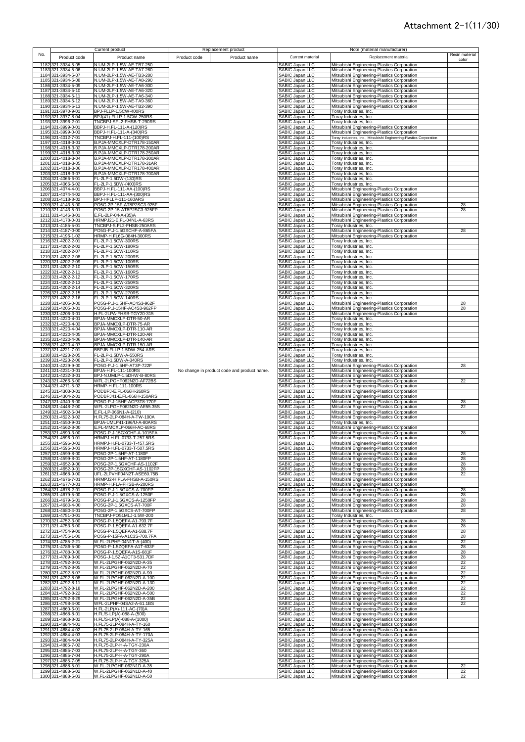|      |                                          | Current product                                        |              | Replacement product                         |                                                       | Note (material manufacturer)                                                               |                 |
|------|------------------------------------------|--------------------------------------------------------|--------------|---------------------------------------------|-------------------------------------------------------|--------------------------------------------------------------------------------------------|-----------------|
| No.  | Product code                             | Product name                                           | Product code | Product name                                | Current material                                      | Replacement material                                                                       | Resin material  |
|      |                                          |                                                        |              |                                             |                                                       |                                                                                            | color           |
|      | 1182 321-3934-5-05                       | N.UM-2LP-1.5W-AE-TB7-250                               |              |                                             | SABIC Japan LLC                                       | Mitsubishi Engineering-Plastics Corporation                                                |                 |
|      | 1183 321-3934-5-06                       | N.UM-2LP-1.5W-AE-TA7-260                               |              |                                             | SABIC Japan LLC                                       | Mitsubishi Engineering-Plastics Corporation                                                |                 |
|      | 1184 321-3934-5-07                       | N.UM-2LP-1.5W-AE-TB3-280                               |              |                                             | SABIC Japan LLC                                       | Mitsubishi Engineering-Plastics Corporation                                                |                 |
|      | 1185 321-3934-5-08                       | N.UM-2LP-1.5W-AE-TA8-290                               |              |                                             | SABIC Japan LLC                                       | Mitsubishi Engineering-Plastics Corporation                                                |                 |
|      | 1186 321-3934-5-09                       | N.UM-2LP-1.5W-AE-TA6-300                               |              |                                             | SABIC Japan LLC                                       | Mitsubishi Engineering-Plastics Corporation                                                |                 |
|      | 1187 321-3934-5-10                       | N.UM-2LP-1.5W-AE-TA6-320                               |              |                                             | SABIC Japan LLC                                       | Mitsubishi Engineering-Plastics Corporation                                                |                 |
|      | 1188 321-3934-5-11                       | N.UM-2LP-1.5W-AE-TA6-340                               |              |                                             | SABIC Japan LLC                                       | Mitsubishi Engineering-Plastics Corporation                                                |                 |
|      | 1189 321-3934-5-12                       | N.UM-2LP-1.5W-AE-TA9-360                               |              |                                             | SABIC Japan LLC                                       | Mitsubishi Engineering-Plastics Corporation                                                |                 |
|      | 1190 321-3934-5-13                       | N.UM-2LP-1.5W-AE-TB2-390                               |              |                                             | SABIC Japan LLC                                       | Mitsubishi Engineering-Plastics Corporation                                                |                 |
|      | 1191 321-3970-9-01                       | BPJ-FLLP-1.5CW-400RS                                   |              |                                             | SABIC Japan LLC                                       | Toray Industries, Inc.                                                                     |                 |
|      | 1192 321-3977-8-04                       | BPJ(41)-FLLP-1.5CW-250RS                               |              |                                             | SABIC Japan LLC                                       | Toray Industries, Inc.                                                                     |                 |
|      | 1193 321-3996-2-01                       | TNCBPJ-SFL2-FHSB-T-290RS                               |              |                                             | SABIC Japan LLC                                       | Toray Industries, Inc.                                                                     |                 |
|      | 1194 321-3999-0-01                       | BBPJ-H.FL-111-A-(120)RS                                |              |                                             | SABIC Japan LLC                                       | Mitsubishi Engineering-Plastics Corporation                                                |                 |
|      | 1195 321-3999-0-03                       | BBPJ-H.FL-111-A-(340)RS                                |              |                                             | SABIC Japan LLC                                       | Mitsubishi Engineering-Plastics Corporation                                                |                 |
|      | 1196 321-4012-7-01                       | TNCBPJ-H.FL-111-(100)RS                                |              |                                             | SABIC Japan LLC                                       | Toray Industries, Inc., Mitsubishi Engineering-Plastics Corporation                        |                 |
|      | 1197 321-4018-3-01                       | B.PJA-MMCXLP-DTR178-150AR                              |              |                                             | SABIC Japan LLC<br>SABIC Japan LLC<br>SABIC Japan LLC | Toray Industries, Inc.                                                                     |                 |
| 1198 | 321-4018-3-02                            | B.PJA-MMCXLP-DTR178-200AR                              |              |                                             |                                                       | <b>Toray Industries, Inc.</b>                                                              |                 |
|      | 1199 321-4018-3-03                       | B.PJA-MMCXLP-DTR178-250AR                              |              |                                             |                                                       | Toray Industries, Inc.                                                                     |                 |
|      | 1200 321-4018-3-04                       | B.PJA-MMCXLP-DTR178-300AR                              |              |                                             | SABIC Japan LLC                                       | Toray Industries, Inc.                                                                     |                 |
|      | 1201 321-4018-3-05                       | B.PJA-MMCXLP-DTR178-31AR                               |              |                                             | SABIC Japan LLC                                       | Toray Industries, Inc.                                                                     |                 |
|      | 1202 321-4018-3-06                       | B.PJA-MMCXLP-DTR178-400AR                              |              |                                             | SABIC Japan LLC                                       | Toray Industries, Inc.                                                                     |                 |
|      | 1203 321-4018-3-07                       | B.PJA-MMCXLP-DTR178-700AR                              |              |                                             | SABIC Japan LLC                                       | Toray Industries, Inc.                                                                     |                 |
|      | 1204 321-4066-6-01                       | FL-2LP-1.5DW-(130)RS                                   |              |                                             | SABIC Japan LLC                                       | Toray Industries, Inc.                                                                     |                 |
|      | 1205 321-4066-6-02                       | FL-2LP-1.5DW-(400)RS                                   |              |                                             | SABIC Japan LLC                                       | Toray Industries, Inc.                                                                     |                 |
|      | 1206 321-4074-4-01                       | BBPJ-H.FL-111-AA-(100)RS                               |              |                                             | SABIC Japan LLC                                       | Mitsubishi Engineering-Plastics Corporation                                                |                 |
|      | 1207 321-4074-4-02                       | BBPJ-H.FL-111-AA-(300)RS                               |              |                                             | SABIC Japan LLC                                       | Mitsubishi Engineering-Plastics Corporation                                                |                 |
|      | 1208 321-4118-8-02                       | BPJ-HFLLP-111-160ARS                                   |              |                                             | SABIC Japan LLC                                       | Mitsubishi Engineering-Plastics Corporation                                                |                 |
|      | 1209 321-4143-5-00                       | PO5G-2P-15F-AT8P2SC3-925F                              |              |                                             | SABIC Japan LLC                                       | Mitsubishi Engineering-Plastics Corporation                                                | 28              |
|      | 1210 321-4143-5-01                       | PO5G-2P-15-AT8P2SC3-925FP                              |              |                                             | SABIC Japan LLC                                       | Mitsubishi Engineering-Plastics Corporation                                                | 28              |
|      | 1211 321-4146-3-01                       | E.FL-2LP-04-A-(35)A                                    |              |                                             | SABIC Japan LLC                                       | Mitsubishi Engineering-Plastics Corporation                                                |                 |
|      | 1212 321-4178-0-01                       | HRMPJ21-E.FL-04N1-A-63RS                               |              |                                             | SABIC Japan LLC                                       | Mitsubishi Engineering-Plastics Corporation                                                |                 |
|      | 1213 321-4185-5-01                       | TNCBPJ-S.FL2-FHSB-250ARS                               |              |                                             | SABIC Japan LLC                                       | Toray Industries, Inc.                                                                     |                 |
|      | 1214 321-4187-0-00                       | PO5G-P.J-1.5GXCHF-A-865FA                              |              |                                             | SABIC Japan LLC                                       | Mitsubishi Engineering-Plastics Corporation                                                | 28              |
|      | 1215 321-4196-1-02                       | HRMP-H.FL6G-084H-300RS                                 |              |                                             | SABIC Japan LLC                                       | Mitsubishi Engineering-Plastics Corporation                                                |                 |
|      | 1216 321-4202-2-01<br>1217 321-4202-2-02 | FL-2LP-1.5CW-300RS                                     |              |                                             | SABIC Japan LLC                                       | Toray Industries, Inc.                                                                     |                 |
|      |                                          | FL-2LP-1.5CW-180RS                                     |              |                                             | SABIC Japan LLC                                       | Toray Industries, Inc.                                                                     |                 |
|      | 1218 321-4202-2-07                       | FL-2LP-1.5CW-110RS                                     |              |                                             | SABIC Japan LLC                                       | Toray Industries, Inc.                                                                     |                 |
|      | 1219 321-4202-2-08<br>1220 321-4202-2-09 | FL-2LP-1.5CW-200RS<br>FL-2LP-1.5CW-100RS               |              |                                             | SABIC Japan LLC<br>SABIC Japan LLC                    | Toray Industries, Inc.<br>Toray Industries, Inc.                                           |                 |
|      | 1221 321-4202-2-10                       | FL-2LP-1.5CW-150RS                                     |              |                                             |                                                       |                                                                                            |                 |
|      |                                          | FL-2LP-1.5CW-160RS                                     |              |                                             | SABIC Japan LLC<br>SABIC Japan LLC                    | Toray Industries, Inc.                                                                     |                 |
|      | 1222 321-4202-2-11<br>1223 321-4202-2-12 | FL-2LP-1.5CW-170RS                                     |              |                                             | SABIC Japan LLC                                       | Toray Industries, Inc.<br><b>Toray Industries, Inc.</b>                                    |                 |
|      | 1224 321-4202-2-13                       | FL-2LP-1.5CW-250RS                                     |              |                                             | SABIC Japan LLC                                       | <b>Toray Industries, Inc.</b>                                                              |                 |
|      | 1225 321-4202-2-14                       | FL-2LP-1.5CW-320RS                                     |              |                                             | SABIC Japan LLC                                       | Foray Industries, Inc.                                                                     |                 |
|      | 1226 321-4202-2-15                       | FL-2LP-1.5CW-270RS                                     |              |                                             | SABIC Japan LLC                                       | Toray Industries, Inc.                                                                     |                 |
|      | 1227 321-4202-2-16                       | FL-2LP-1.5CW-140RS                                     |              |                                             | SABIC Japan LLC                                       | Toray Industries, Inc.                                                                     |                 |
|      | 1228 321-4205-0-00                       | PO5G-P.J-1.5HF-AC4S3-962F                              |              |                                             | SABIC Japan LLC                                       | Mitsubishi Engineering-Plastics Corporation                                                | 28              |
|      | 1229 321-4205-0-01                       | PO5G-P.J-15HF-AC4S3-962FP                              |              |                                             | SABIC Japan LLC                                       | Mitsubishi Engineering-Plastics Corporation                                                | 28              |
|      | 1230 321-4206-3-01                       | H.FL-2LPA-FHSB-TGY20-315                               |              |                                             | SABIC Japan LLC                                       | Mitsubishi Engineering-Plastics Corporation                                                |                 |
|      | 1231 321-4220-4-01                       | BPJA-MMCXLP-DTR-50-AR                                  |              |                                             | SABIC Japan LLC                                       | Toray Industries, Inc.                                                                     |                 |
|      | 1232 321-4220-4-03                       | BPJA-MMCXLP-DTR-75-AR                                  |              |                                             | SABIC Japan LLC                                       | Toray Industries, Inc.                                                                     |                 |
|      | 1233 321-4220-4-04                       | BPJA-MMCXLP-DTR-110-AR                                 |              |                                             | SABIC Japan LLC                                       | Toray Industries, Inc.                                                                     |                 |
|      | 1234 321-4220-4-05                       | BPJA-MMCXLP-DTR-120-AR                                 |              |                                             | SABIC Japan LLC                                       | Toray Industries, Inc.                                                                     |                 |
|      | 1235 321-4220-4-06                       | BPJA-MMCXLP-DTR-140-AR                                 |              |                                             | SABIC Japan LLC                                       | Toray Industries, Inc.                                                                     |                 |
|      | 1236 321-4220-4-07                       | BPJA-MMCXLP-DTR-150-AR                                 |              |                                             | SABIC Japan LLC                                       | Toray Industries, Inc.                                                                     |                 |
|      | 1237 321-4221-7-01                       | BBPJB-FLLP-1.5DW-254-ARS                               |              |                                             | SABIC Japan LLC                                       | Toray Industries, Inc.                                                                     |                 |
|      | 1238 321-4223-2-05                       | FL-2LP-1.5DW-A-550RS                                   |              |                                             | SABIC Japan LLC                                       | Toray Industries, Inc.                                                                     |                 |
|      | 1239 321-4223-2-06                       | FL-2LP-1.5DW-A-340RS                                   |              |                                             | SABIC Japan LLC                                       | Toray Industries, Inc.                                                                     |                 |
|      | 1240 321-4229-9-00                       | PO5G-P.J-1.5HF-AT3P-722F                               |              |                                             | SABIC Japan LLC                                       | Mitsubishi Engineering-Plastics Corporation                                                | 28              |
|      | 1241 321-4231-0-01                       | BPJA-H.FL-111-100RS                                    |              | No change in product code and product name. | SABIC Japan LLC                                       | Mitsubishi Engineering-Plastics Corporation                                                |                 |
|      | 1242 321-4232-3-01                       | BPJ-N.UMLP-1.5DHW-B-80RS                               |              |                                             | SABIC Japan LLC                                       | Mitsubishi Engineering-Plastics Corporation                                                |                 |
|      | 1243 321-4266-5-00                       | WFL-2LPGHF062N2D-AF72BS                                |              |                                             | SABIC Japan LLC                                       | Mitsubishi Engineering-Plastics Corporation                                                | 22              |
|      | 1244 321-4271-5-02                       | HRMP-H.FL-111-100RS                                    |              |                                             | SABIC Japan LLC                                       | Mitsubishi Engineering-Plastics Corporation                                                |                 |
|      | 1245 321-4303-0-01                       | PODBPJ-E.FL-066H-260RS                                 |              |                                             | <b>SABIC Japan LLC</b>                                | Mitsubishi Engineering-Plastics Corporation                                                |                 |
|      | 1246 321-4304-2-01                       | PODBPJ41-E.FL-066H-150ARS                              |              | SABIC Japan LLC                             | Mitsubishi Engineering-Plastics Corporation           |                                                                                            |                 |
|      | 1247 321-4340-6-00                       | PO5G-P.J-15HF-ACP3T8-770F                              |              |                                             | SABIC Japan LLC                                       | Mitsubishi Engineering-Plastics Corporation                                                | 28              |
|      | 1248 321-4448-2-00                       | WFL-2LPGHF062N2D-AE55.35S                              |              |                                             | SABIC Japan LLC<br>SABIC Japan LLC                    | Mitsubishi Engineering-Plastics Corporation                                                | 22              |
|      | 1249 321-4502-6-04                       | E.FL-LP-066N1-A-(210)                                  |              |                                             | Mitsubishi Engineering-Plastics Corporation           |                                                                                            |                 |
|      | 1250 321-4522-3-02                       | H.FL75-2LP-084H-A-TW-100A                              |              |                                             | SABIC Japan LLC                                       | Mitsubishi Engineering-Plastics Corporation                                                |                 |
|      | 1251 321-4550-9-01<br>1252 321-4562-8-00 | BPJA-UMLP41-196/U-A-80ARS                              |              |                                             | SABIC Japan LLC                                       | Toray Industries, Inc.                                                                     |                 |
|      | 1253 321-4590-3-00                       | E.FL-MMCXLP-066H-AC-68RS<br>PO5G-P.J-15GXCHF-A-1015FA  |              |                                             | SABIC Japan LLC                                       | Mitsubishi Engineering-Plastics Corporation                                                | 28              |
|      |                                          |                                                        |              |                                             | SABIC Japan LLC                                       | Mitsubishi Engineering-Plastics Corporation                                                |                 |
|      | 1254 321-4596-0-01<br>1255 321-4596-0-02 | HRMPJ-H.FL-0733-T-257.5RS<br>HRMP LH EL-0733-T-457 5RS |              |                                             | SABIC Japan LLC<br>ARIC Janan LLC                     | Mitsubishi Engineering-Plastics Corporation<br>Mitsubishi Engineering-Plastics Corporation |                 |
|      | 1256 321-4596-0-03                       | HRMPJ-H.FL-0733-T-507.5RS                              |              |                                             | SABIC Japan LLC                                       | Mitsubishi Engineering-Plastics Corporation                                                |                 |
|      | 1257 321-4599-8-00                       | PO5G-2P-1.5HF-AT-1180F                                 |              |                                             | SABIC Japan LLC                                       | Mitsubishi Engineering-Plastics Corporation                                                | 28              |
|      | 1258 321-4599-8-01                       | PO5G-2P-1.5HF-AT-1180FP                                |              |                                             | SABIC Japan LLC                                       | Mitsubishi Engineering-Plastics Corporation                                                | 28              |
|      | 1259 321-4652-9-00                       | PO5G-2P-1.5GXCHF-AS-1102F                              |              |                                             | SABIC Japan LLC                                       | Mitsubishi Engineering-Plastics Corporation                                                | 28              |
|      | 1260 321-4652-9-01                       | PO5G-2P-15GXCHF-AS-1102FP                              |              |                                             | SABIC Japan LLC                                       | Mitsubishi Engineering-Plastics Corporation                                                | 28              |
|      | 1261 321-4668-9-00                       | UFL-2LPVHF04N2T-ASE60.75B                              |              |                                             | SABIC Japan LLC                                       | Mitsubishi Engineering-Plastics Corporation                                                | 22              |
|      | 1262 321-4676-7-01                       | HRMPJ2-H.FLA-FHSB-A-150RS                              |              |                                             | SABIC Japan LLC                                       | Mitsubishi Engineering-Plastics Corporation                                                |                 |
|      | 1263 321-4677-0-01                       | HRMP-H.FLA-FHSB-A-200RS                                |              |                                             | SABIC Japan LLC                                       | Mitsubishi Engineering-Plastics Corporation                                                |                 |
|      | 1264 321-4678-2-01                       | PO5G-P.J-1.5GXCS-A-700FP                               |              |                                             | SABIC Japan LLC                                       | Mitsubishi Engineering-Plastics Corporation                                                | 28              |
|      | 1265 321-4679-5-00                       | PO5G-P.J-1.5GXCS-A-1250F                               |              |                                             | SABIC Japan LLC                                       | Mitsubishi Engineering-Plastics Corporation                                                | 28              |
|      | 1266 321-4679-5-01                       | PO5G-P.J-1.5GXCS-A-1250FP                              |              |                                             | SABIC Japan LLC                                       | Mitsubishi Engineering-Plastics Corporation                                                | 28              |
|      | 1267 321-4680-4-00                       | PO5G-2P-1.5GXCS-AT-700F                                |              |                                             | SABIC Japan LLC                                       | Mitsubishi Engineering-Plastics Corporation                                                | 28              |
|      | 1268 321-4680-4-01                       | PO5G-2P-1.5GXCS-AT-700FP                               |              |                                             | SABIC Japan LLC                                       | Mitsubishi Engineering-Plastics Corporation                                                | 28              |
|      | 1269 321-4751-0-01                       | TNCBPJ-PO51MLJ-1.5W-200                                |              |                                             | SABIC Japan LLC                                       | Toray Industries, Inc.                                                                     |                 |
|      | 1270 321-4752-3-00                       | PO5G-P-1.5QEFA-A1-793.7F                               |              |                                             | SABIC Japan LLC                                       | Mitsubishi Engineering-Plastics Corporation                                                | 28              |
|      | 1271 321-4753-6-00                       | PO5G-P-1.5QEFA-A1-632.7F                               |              |                                             | SABIC Japan LLC                                       | Mitsubishi Engineering-Plastics Corporation                                                | 28              |
|      | 1272 321-4754-9-00                       | PO5G-P-1.5QEFA-A1-588.7F                               |              |                                             | SABIC Japan LLC                                       | Mitsubishi Engineering-Plastics Corporation                                                | 28              |
|      | 1273 321-4755-1-00<br>1274 321-4785-2-21 | PO5G-P-15FA-A1C3S-700.7FA<br>W.FL-2LPHF-04N1T-A-(400)  |              |                                             | SABIC Japan LLC<br>SABIC Japan LLC                    | Mitsubishi Engineering-Plastics Corporation                                                | 28              |
|      | 1275 321-4786-5-00                       | PO5G-P-1.5ZQEFA-A1T-633F                               |              |                                             | SABIC Japan LLC                                       | Mitsubishi Engineering-Plastics Corporation<br>Mitsubishi Engineering-Plastics Corporation | $\frac{22}{28}$ |
|      | 1276 321-4788-0-00                       | PO5G-P-1.5QEFA-A1S-681F                                |              |                                             | SABIC Japan LLC                                       | Mitsubishi Engineering-Plastics Corporation                                                | 28              |
|      | 1277 321-4789-3-00                       | PO5G-J-1.5Z-A1CT3-531.7DF                              |              |                                             | SABIC Japan LLC                                       | Mitsubishi Engineering-Plastics Corporation                                                | 28              |
|      | 1278 321-4792-8-01                       | W.FL-2LPGHF-062N2D-A-35                                |              |                                             | SABIC Japan LLC                                       | Mitsubishi Engineering-Plastics Corporation                                                | 22              |
|      | 1279 321-4792-8-05                       | W.FL-2LPGHF-062N2D-A-70                                |              |                                             | SABIC Japan LLC                                       | Mitsubishi Engineering-Plastics Corporation                                                | 22              |
|      | 1280 321-4792-8-07                       | W.FL-2LPGHF-062N2D-A-90                                |              |                                             | SABIC Japan LLC                                       | Mitsubishi Engineering-Plastics Corporation                                                | 22              |
|      | 1281 321-4792-8-08                       | W.FL-2LPGHF-062N2D-A-100                               |              |                                             | SABIC Japan LLC                                       | Mitsubishi Engineering-Plastics Corporation                                                | 22              |
|      | 1282 321-4792-8-11                       | W.FL-2LPGHF-062N2D-A-130                               |              |                                             | SABIC Japan LLC                                       | Mitsubishi Engineering-Plastics Corporation                                                | 22              |
|      | 1283 321-4792-8-18                       | W.FL-2LPGHF-062N2D-A-200                               |              |                                             | SABIC Japan LLC                                       | Mitsubishi Engineering-Plastics Corporation                                                | 22              |
|      | 1284 321-4792-8-22                       | W.FL-2LPGHF-062N2D-A-500                               |              |                                             | SABIC Japan LLC                                       | Mitsubishi Engineering-Plastics Corporation                                                | 22              |
|      | 1285 321-4792-8-29                       | W.FL-2LPGHF-062N2D-A-35B                               |              |                                             | SABIC Japan LLC                                       | Mitsubishi Engineering-Plastics Corporation                                                | 22              |
|      | 1286 321-4798-4-00                       | WFL-2LPHF-04SA2-A-61.1BS                               |              |                                             | SABIC Japan LLC                                       | Mitsubishi Engineering-Plastics Corporation                                                | 22              |
|      | 1287 321-4860-6-01                       | H.FL-2LP(A)-111-AC-(70)A                               |              |                                             | SABIC Japan LLC                                       | Mitsubishi Engineering-Plastics Corporation                                                |                 |
|      | 1288 321-4868-8-01                       | H.FL/S-LP(A)-088-A-(500)                               |              |                                             | SABIC Japan LLC                                       | Mitsubishi Engineering-Plastics Corporation                                                |                 |
|      | 1289 321-4868-8-02                       | H.FL/S-LP(A)-088-A-(1000)                              |              |                                             | SABIC Japan LLC                                       | Mitsubishi Engineering-Plastics Corporation                                                |                 |
|      | 1290 321-4884-4-01                       | H.FL75-2LP-084H-A-TY-160                               |              |                                             | SABIC Japan LLC                                       | Mitsubishi Engineering-Plastics Corporation                                                |                 |
|      | 1291 321-4884-4-02                       | H.FL75-2LP-084H-A-TY-165                               |              |                                             | SABIC Japan LLC                                       | Mitsubishi Engineering-Plastics Corporation                                                |                 |
|      | 1292 321-4884-4-03                       | H.FL75-2LP-084H-A-TY-170A                              |              |                                             | SABIC Japan LLC                                       | Mitsubishi Engineering-Plastics Corporation                                                |                 |
|      | 1293 321-4884-4-04                       | H.FL75-2LP-084H-A-TY-325A                              |              |                                             | SABIC Japan LLC                                       | Mitsubishi Engineering-Plastics Corporation                                                |                 |
|      | 1294 321-4885-7-02                       | H.FL75-2LP-H-A-TGY-230A                                |              |                                             | SABIC Japan LLC                                       | Mitsubishi Engineering-Plastics Corporation                                                |                 |
|      | 1295 321-4885-7-03                       | H.FL75-2LP-H-A-TGY-360                                 |              |                                             | SABIC Japan LLC                                       | Mitsubishi Engineering-Plastics Corporation                                                |                 |
|      | 1296 321-4885-7-04                       | H.FL75-2LP-H-A-TGY-290A                                |              |                                             | SABIC Japan LLC                                       | Mitsubishi Engineering-Plastics Corporation                                                |                 |
|      | 1297 321-4885-7-05                       | H.FL75-2LP-H-A-TGY-325A                                |              |                                             | SABIC Japan LLC                                       | Mitsubishi Engineering-Plastics Corporation                                                |                 |
|      | 1298 321-4888-5-01                       | W.FL-2LPGHF-062N1D-A-35                                |              |                                             | SABIC Japan LLC                                       | Mitsubishi Engineering-Plastics Corporation                                                | 22              |
|      | 1299 321-4888-5-02                       | W.FL-2LPGHF-062N1D-A-40                                |              |                                             | SABIC Japan LLC                                       | Mitsubishi Engineering-Plastics Corporation                                                | 22<br>22        |
|      | 1300 321-4888-5-03                       | W.FL-2LPGHF-062N1D-A-50                                |              |                                             | SABIC Japan LLC                                       | Mitsubishi Engineering-Plastics Corporation                                                |                 |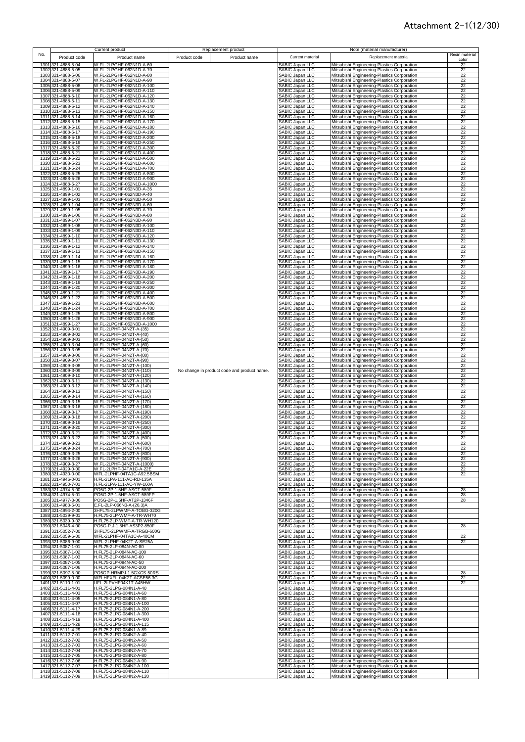|     |                                          | Current product                                      | Replacement product                         |                                                                                             | Note (material manufacturer)                                                               |                      |
|-----|------------------------------------------|------------------------------------------------------|---------------------------------------------|---------------------------------------------------------------------------------------------|--------------------------------------------------------------------------------------------|----------------------|
| No. | Product code                             |                                                      |                                             | Current material                                                                            | Replacement material                                                                       | Resin material       |
|     |                                          | Product name                                         | Product code<br>Product name                |                                                                                             |                                                                                            | color                |
|     | 1301 321-4888-5-04                       | W.FL-2LPGHF-062N1D-A-60                              |                                             | SABIC Japan LLC                                                                             | Mitsubishi Engineering-Plastics Corporation                                                | 22                   |
|     | 1302 321-4888-5-05                       | W.FL-2LPGHF-062N1D-A-70                              |                                             | SABIC Japan LLC                                                                             | Mitsubishi Engineering-Plastics Corporation                                                | 22                   |
|     | 1303 321-4888-5-06                       | W.FL-2LPGHF-062N1D-A-80                              |                                             | SABIC Japan LLC                                                                             | Mitsubishi Engineering-Plastics Corporation                                                | 22                   |
|     | 1304 321-4888-5-07                       | W.FL-2LPGHF-062N1D-A-90                              |                                             | SABIC Japan LLC                                                                             | Mitsubishi Engineering-Plastics Corporation                                                | 22                   |
|     | 1305 321-4888-5-08                       | W.FL-2LPGHF-062N1D-A-100                             |                                             | SABIC Japan LLC                                                                             | Mitsubishi Engineering-Plastics Corporation                                                | 22                   |
|     | 1306 321-4888-5-09                       | W.FL-2LPGHF-062N1D-A-110                             |                                             | SABIC Japan LLC                                                                             | Mitsubishi Engineering-Plastics Corporation                                                | 22                   |
|     | 1307 321-4888-5-10                       | W.FL-2LPGHF-062N1D-A-120                             |                                             | SABIC Japan LLC                                                                             | Mitsubishi Engineering-Plastics Corporation                                                | 22                   |
|     | 1308 321-4888-5-11                       | W.FL-2LPGHF-062N1D-A-130                             |                                             | SABIC Japan LLC                                                                             | Mitsubishi Engineering-Plastics Corporation                                                | 22                   |
|     | 1309 321-4888-5-12                       | W.FL-2LPGHF-062N1D-A-140                             |                                             | SABIC Japan LLC                                                                             | Mitsubishi Engineering-Plastics Corporation                                                | 22                   |
|     | 1310 321-4888-5-13                       | W.FL-2LPGHF-062N1D-A-150                             |                                             | SABIC Japan LLC                                                                             | Mitsubishi Engineering-Plastics Corporation                                                | 22                   |
|     | 1311 321-4888-5-14                       | W.FL-2LPGHF-062N1D-A-160                             |                                             | SABIC Japan LLC                                                                             | Mitsubishi Engineering-Plastics Corporation                                                | 22                   |
|     | 1312 321-4888-5-15                       | W.FL-2LPGHF-062N1D-A-170                             |                                             | SABIC Japan LLC                                                                             | Mitsubishi Engineering-Plastics Corporation                                                | 22                   |
|     | 1313 321-4888-5-16                       | W.FL-2LPGHF-062N1D-A-180                             |                                             | SABIC Japan LLC                                                                             | Mitsubishi Engineering-Plastics Corporation                                                | 22                   |
|     | 1314 321-4888-5-17                       | W.FL-2LPGHF-062N1D-A-190                             |                                             | SABIC Japan LLC                                                                             | Mitsubishi Engineering-Plastics Corporation                                                | 22                   |
|     | 1315 321-4888-5-18                       | W.FL-2LPGHF-062N1D-A-200                             |                                             | SABIC Japan LLC                                                                             | Mitsubishi Engineering-Plastics Corporation                                                | 22                   |
|     | 1316 321-4888-5-19                       | W.FL-2LPGHF-062N1D-A-250                             |                                             | SABIC Japan LLC                                                                             | Mitsubishi Engineering-Plastics Corporation                                                | 22                   |
|     | 1317 321-4888-5-20                       | W.FL-2LPGHF-062N1D-A-300                             |                                             | SABIC Japan LLC                                                                             | Mitsubishi Engineering-Plastics Corporation                                                | 22                   |
|     | 1318 321-4888-5-21                       | W.FL-2LPGHF-062N1D-A-400                             |                                             | SABIC Japan LLC                                                                             | Mitsubishi Engineering-Plastics Corporation                                                | 22                   |
|     | 1319 321-4888-5-22                       | W.FL-2LPGHF-062N1D-A-500                             |                                             | SABIC Japan LLC                                                                             | Mitsubishi Engineering-Plastics Corporation                                                | 22                   |
|     | 1320 321-4888-5-23                       | W.FL-2LPGHF-062N1D-A-600                             |                                             | <b>SABIC Japan LLC</b>                                                                      | Mitsubishi Engineering-Plastics Corporation                                                | 22                   |
|     | 1321 321-4888-5-24                       | W.FL-2LPGHF-062N1D-A-700                             |                                             | SABIC Japan LLC                                                                             | Mitsubishi Engineering-Plastics Corporation                                                | 22                   |
|     | 1322 321-4888-5-25                       | W.FL-2LPGHF-062N1D-A-800                             |                                             | SABIC Japan LLC                                                                             | Mitsubishi Engineering-Plastics Corporation                                                | 22                   |
|     | 1323 321-4888-5-26                       | W.FL-2LPGHF-062N1D-A-900                             |                                             | SABIC Japan LLC                                                                             | Mitsubishi Engineering-Plastics Corporation                                                | 22                   |
|     | 1324 321-4888-5-27                       | W.FL-2LPGHF-062N1D-A-1000                            |                                             | SABIC Japan LLC                                                                             | Mitsubishi Engineering-Plastics Corporation                                                | 22                   |
|     | 1325 321-4899-1-01                       | W.FL-2LPGHF-062N3D-A-35                              |                                             | SABIC Japan LLC                                                                             | Mitsubishi Engineering-Plastics Corporation                                                | 22                   |
|     | 1326 321-4899-1-02                       | W.FL-2LPGHF-062N3D-A-40                              |                                             | SABIC Japan LLC                                                                             | Mitsubishi Engineering-Plastics Corporation                                                | 22                   |
|     | 1327 321-4899-1-03                       | W.FL-2LPGHF-062N3D-A-50                              |                                             | SABIC Japan LLC                                                                             | Mitsubishi Engineering-Plastics Corporation                                                | 22                   |
|     | 1328 321-4899-1-04                       | W.FL-2LPGHF-062N3D-A-60                              |                                             | SABIC Japan LLC                                                                             | Mitsubishi Engineering-Plastics Corporation                                                | 22                   |
|     | 1329 321-4899-1-05                       | W.FL-2LPGHF-062N3D-A-70                              |                                             | SABIC Japan LLC                                                                             | Mitsubishi Engineering-Plastics Corporation                                                | 22                   |
|     | 1330 321-4899-1-06                       | W.FL-2LPGHF-062N3D-A-80                              |                                             | SABIC Japan LLC                                                                             | Mitsubishi Engineering-Plastics Corporation                                                | 22                   |
|     | 1331 321-4899-1-07                       | W.FL-2LPGHF-062N3D-A-90                              |                                             | SABIC Japan LLC                                                                             | Mitsubishi Engineering-Plastics Corporation                                                | 22                   |
|     | 1332 321-4899-1-08                       | W.FL-2LPGHF-062N3D-A-100                             |                                             | SABIC Japan LLC                                                                             | Mitsubishi Engineering-Plastics Corporation                                                | 22                   |
|     | 1333 321-4899-1-09                       | W.FL-2LPGHF-062N3D-A-110                             |                                             | SABIC Japan LLC                                                                             | Mitsubishi Engineering-Plastics Corporation                                                | 22                   |
|     | 1334 321-4899-1-10                       | W.FL-2LPGHF-062N3D-A-120<br>W.FL-2LPGHF-062N3D-A-130 |                                             | SABIC Japan LLC                                                                             | Mitsubishi Engineering-Plastics Corporation                                                | 22                   |
|     | 1335 321-4899-1-11                       | W.FL-2LPGHF-062N3D-A-140                             |                                             | SABIC Japan LLC                                                                             | Mitsubishi Engineering-Plastics Corporation                                                | 22                   |
|     | 1336 321-4899-1-12                       | W.FL-2LPGHF-062N3D-A-150                             |                                             | SABIC Japan LLC                                                                             | Mitsubishi Engineering-Plastics Corporation<br>Mitsubishi Engineering-Plastics Corporation | 22                   |
|     | 1337 321-4899-1-13                       |                                                      |                                             | SABIC Japan LLC                                                                             |                                                                                            | 22                   |
|     | 1338 321-4899-1-14                       | W.FL-2LPGHF-062N3D-A-160<br>W.FL-2LPGHF-062N3D-A-170 |                                             | SABIC Japan LLC                                                                             | Mitsubishi Engineering-Plastics Corporation                                                | 22                   |
|     | 1339 321-4899-1-15<br>1340 321-4899-1-16 | W.FL-2LPGHF-062N3D-A-180                             |                                             | SABIC Japan LLC                                                                             | Mitsubishi Engineering-Plastics Corporation                                                | 22<br>22             |
|     | 1341 321-4899-1-17                       |                                                      |                                             | SABIC Japan LLC                                                                             | Mitsubishi Engineering-Plastics Corporation                                                | 22                   |
|     | 1342 321-4899-1-18                       | W.FL-2LPGHF-062N3D-A-190<br>W.FL-2LPGHF-062N3D-A-200 |                                             | SABIC Japan LLC<br>SABIC Japan LLC                                                          | Mitsubishi Engineering-Plastics Corporation                                                |                      |
|     | 1343 321-4899-1-19                       | W.FL-2LPGHF-062N3D-A-250                             |                                             | SABIC Japan LLC                                                                             | Mitsubishi Engineering-Plastics Corporation<br>Mitsubishi Engineering-Plastics Corporation | $\frac{1}{22}$<br>22 |
|     | 1344 321-4899-1-20                       | W.FL-2LPGHF-062N3D-A-300                             |                                             |                                                                                             | Mitsubishi Engineering-Plastics Corporation                                                |                      |
|     | 1345 321-4899-1-21                       | W.FL-2LPGHF-062N3D-A-400                             |                                             | SABIC Japan LLC<br>SABIC Japan LLC                                                          | Mitsubishi Engineering-Plastics Corporation                                                | $\frac{22}{22}$      |
|     | 1346 321-4899-1-22                       | W.FL-2LPGHF-062N3D-A-500                             |                                             | SABIC Japan LLC                                                                             | Mitsubishi Engineering-Plastics Corporation                                                | 22                   |
|     | 1347 321-4899-1-23                       | W.FL-2LPGHF-062N3D-A-600                             |                                             | SABIC Japan LLC                                                                             | Mitsubishi Engineering-Plastics Corporation                                                | 22                   |
|     | 1348 321-4899-1-24                       | W.FL-2LPGHF-062N3D-A-700                             |                                             | SABIC Japan LLC                                                                             | Mitsubishi Engineering-Plastics Corporation                                                | 22                   |
|     | 1349 321-4899-1-25                       | W.FL-2LPGHF-062N3D-A-800                             |                                             | SABIC Japan LLC                                                                             | Mitsubishi Engineering-Plastics Corporation                                                | 22                   |
|     | 1350 321-4899-1-26                       | W.FL-2LPGHF-062N3D-A-900                             |                                             | SABIC Japan LLC                                                                             | Mitsubishi Engineering-Plastics Corporation                                                | 22                   |
|     | 1351 321-4899-1-27                       | W.FL-2LPGHF-062N3D-A-1000                            |                                             | SABIC Japan LLC                                                                             | Mitsubishi Engineering-Plastics Corporation                                                | 22                   |
|     | 1352 321-4909-3-01                       | W.FL-2LPHF-04N2T-A-(35)                              |                                             | SABIC Japan LLC                                                                             | Mitsubishi Engineering-Plastics Corporation                                                | 22                   |
|     | 1353 321-4909-3-02                       | W.FL-2LPHF-04N2T-A-(40)                              |                                             | SABIC Japan LLC                                                                             | Mitsubishi Engineering-Plastics Corporation                                                | 22                   |
|     | 1354 321-4909-3-03                       | W.FL-2LPHF-04N2T-A-(50)                              |                                             | SABIC Japan LLC                                                                             | Mitsubishi Engineering-Plastics Corporation                                                | 22                   |
|     | 1355 321-4909-3-04                       | W.FL-2LPHF-04N2T-A-(60)                              |                                             | SABIC Japan LLC                                                                             | Mitsubishi Engineering-Plastics Corporation                                                | 22                   |
|     | 1356 321-4909-3-05                       | W.FL-2LPHF-04N2T-A-(70)                              |                                             | SABIC Japan LLC                                                                             | Mitsubishi Engineering-Plastics Corporation                                                | 22                   |
|     | 1357 321-4909-3-06                       | W.FL-2LPHF-04N2T-A-(80)                              |                                             | SABIC Japan LLC                                                                             | Mitsubishi Engineering-Plastics Corporation                                                | 22                   |
|     | 1358 321-4909-3-07                       | W.FL-2LPHF-04N2T-A-(90)                              |                                             | SABIC Japan LLC                                                                             | Mitsubishi Engineering-Plastics Corporation                                                | 22                   |
|     | 1359 321-4909-3-08                       | W.FL-2LPHF-04N2T-A-(100)                             |                                             | SABIC Japan LLC                                                                             | Mitsubishi Engineering-Plastics Corporation                                                | 22                   |
|     | 1360 321-4909-3-09                       | W.FL-2LPHF-04N2T-A-(110)                             | No change in product code and product name. | SABIC Japan LLC                                                                             | Mitsubishi Engineering-Plastics Corporation                                                | 22                   |
|     | 1361 321-4909-3-10                       | W.FL-2LPHF-04N2T-A-(120)                             |                                             | SABIC Japan LLC                                                                             | Mitsubishi Engineering-Plastics Corporation                                                | 22                   |
|     | 1362 321-4909-3-11                       | W.FL-2LPHF-04N2T-A-(130)                             |                                             | SABIC Japan LLC                                                                             | Mitsubishi Engineering-Plastics Corporation                                                | 22                   |
|     | 1363 321-4909-3-12                       | W.FL-2LPHF-04N2T-A-(140)                             |                                             | SABIC Japan LLC                                                                             | Mitsubishi Engineering-Plastics Corporation                                                | 22                   |
|     | 1364 321-4909-3-13                       | W.FL-2LPHF-04N2T-A-(150)                             |                                             | SABIC Japan LLC                                                                             | Mitsubishi Engineering-Plastics Corporation                                                | 22                   |
|     | 1365 321-4909-3-14                       | W.FL-2LPHF-04N2T-A-(160)                             |                                             | SABIC Japan LLC                                                                             | Mitsubishi Engineering-Plastics Corporation                                                | 22                   |
|     | 1366 321-4909-3-15                       | W.FL-2LPHF-04N2T-A-(170)                             |                                             | SABIC Japan LLC                                                                             | Mitsubishi Engineering-Plastics Corporation                                                | 22                   |
|     | 1367 321-4909-3-16<br>1368 321-4909-3-17 | W.FL-2LPHF-04N2T-A-(180)<br>W.FL-2LPHF-04N2T-A-(190) |                                             | SABIC Japan LLC                                                                             | Mitsubishi Engineering-Plastics Corporation<br>Mitsubishi Engineering-Plastics Corporation | 22<br>22             |
|     | 1369 321-4909-3-18                       | W.FL-2LPHF-04N2T-A-(200)                             |                                             | SABIC Japan LLC<br>SABIC Japan LLC                                                          | Mitsubishi Engineering-Plastics Corporation                                                | 22                   |
|     | 1370 321-4909-3-19                       | W.FL-2LPHF-04N2T-A-(250)                             |                                             | SABIC Japan LLC                                                                             | Mitsubishi Engineering-Plastics Corporation                                                | 22                   |
|     | 1371 321-4909-3-20                       | W.FL-2LPHF-04N2T-A-(300)                             |                                             | SABIC Japan LLC                                                                             | Mitsubishi Engineering-Plastics Corporation                                                | 22                   |
|     | 1372 321-4909-3-21                       | W.FL-2LPHF-04N2T-A-(400)                             |                                             | SABIC Japan LLC                                                                             | Mitsubishi Engineering-Plastics Corporation                                                | 22                   |
|     | 1373 321-4909-3-22                       | W.FL-2LPHF-04N2T-A-(500)                             |                                             | SABIC Japan LLC                                                                             | Mitsubishi Engineering-Plastics Corporation                                                | 22                   |
|     | 1374 321-4909-3-23                       | W.FL-2LPHF-04N2T-A-(600)                             |                                             | SARIC: Janan LLC                                                                            | Mitsubishi Engineering Plastics Cornoration                                                | 22                   |
|     | 1375 321-4909-3-24                       | W.FL-2LPHF-04N2T-A-(700)                             |                                             | SABIC Japan LLC                                                                             | Mitsubishi Engineering-Plastics Corporation                                                | 22                   |
|     | 1376 321-4909-3-25                       | W.FL-2LPHF-04N2T-A-(800)                             |                                             | SABIC Japan LLC                                                                             | Mitsubishi Engineering-Plastics Corporation                                                | 22                   |
|     | 1377 321-4909-3-26                       | W.FL-2LPHF-04N2T-A-(900)                             |                                             | SABIC Japan LLC                                                                             | Mitsubishi Engineering-Plastics Corporation                                                | 22                   |
|     | 1378 321-4909-3-27                       | W.FL-2LPHF-04N2T-A-(1000)                            |                                             | SABIC Japan LLC                                                                             | Mitsubishi Engineering-Plastics Corporation                                                | 22                   |
|     | 1379 321-4929-0-00                       | W.FL-2LPHF-04TA1C-A-22E                              |                                             | SABIC Japan LLC                                                                             | Mitsubishi Engineering-Plastics Corporation                                                | 22                   |
|     | 1380 321-4930-0-00                       | WFL-2LPHF-04TA1C-A92.5BSM                            |                                             | SABIC Japan LLC                                                                             | Mitsubishi Engineering-Plastics Corporation                                                | 22                   |
|     | 1381 321-4946-0-01                       | H.FL-2LPA-111-AC-RD-135A                             |                                             | SABIC Japan LLC                                                                             | Mitsubishi Engineering-Plastics Corporation                                                |                      |
|     | 1382 321-4950-7-01                       | H.FL-2LPA-111-AC-YW-160A                             |                                             | SABIC Japan LLC                                                                             | Mitsubishi Engineering-Plastics Corporation                                                |                      |
|     | 1383 321-4974-5-00                       | PO5G-2P-1.5HF-ASCT-589F<br>PO5G-2P-1.5HF-ASCT-589FP  |                                             | SABIC Japan LLC<br>SABIC Japan LLC                                                          | Mitsubishi Engineering-Plastics Corporation                                                | 28<br>28             |
|     | 1384 321-4974-5-01<br>1385 321-4977-3-00 | PO5G-2P-1.5HF-AT2P-1346F                             |                                             | SABIC Japan LLC                                                                             | Mitsubishi Engineering-Plastics Corporation<br>Mitsubishi Engineering-Plastics Corporation | 28                   |
|     | 1386 321-4983-6-01                       | E.FL-2LP-066N3-A-(26.3)A                             |                                             | SABIC Japan LLC                                                                             | Mitsubishi Engineering-Plastics Corporation                                                |                      |
|     | 1387 321-4994-2-00                       | 3HFL75-2LPWMF-A-TOBG-320G                            |                                             | SABIC Japan LLC                                                                             | Mitsubishi Engineering-Plastics Corporation                                                |                      |
|     | 1388 321-5039-9-01                       | H.FL75-2LP-WMF-A-TR-WH70                             |                                             | SABIC Japan LLC                                                                             | Mitsubishi Engineering-Plastics Corporation                                                |                      |
|     | 1389 321-5039-9-02                       | H.FL75-2LP-WMF-A-TR-WH120                            |                                             | SABIC Japan LLC                                                                             | Mitsubishi Engineering-Plastics Corporation                                                |                      |
|     | 1390 321-5046-4-00                       | PO5G-P.J-1.5HF-AS3P2-850F                            |                                             | SABIC Japan LLC                                                                             | Mitsubishi Engineering-Plastics Corporation                                                | 28                   |
|     | 1391 321-5052-7-00                       | 3HFL75-2LPWMF-A-TRGB-600G                            |                                             | SABIC Japan LLC                                                                             | Mitsubishi Engineering-Plastics Corporation                                                |                      |
|     | 1392 321-5059-6-00                       | WFL-2LPHF-04TA1C-A-40CM                              |                                             |                                                                                             | Mitsubishi Engineering-Plastics Corporation                                                | 22                   |
|     | 1393 321-5086-9-00                       | WFL-2LPHF-04K2T-A-SE25A                              |                                             |                                                                                             | Mitsubishi Engineering-Plastics Corporation                                                | 22                   |
|     | 1394 321-5087-1-01                       | H.FL75-2LP-084N-AC-80                                |                                             |                                                                                             | Mitsubishi Engineering-Plastics Corporation                                                |                      |
|     | 1395 321-5087-1-02                       | H.FL75-2LP-084N-AC-100                               |                                             |                                                                                             | Mitsubishi Engineering-Plastics Corporation                                                |                      |
|     | 1396 321-5087-1-03                       | H.FL75-2LP-084N-AC-60                                |                                             | SABIC Japan LLC<br>SABIC Japan LLC<br>SABIC Japan LLC<br>SABIC Japan LLC<br>SABIC Japan LLC | Mitsubishi Engineering-Plastics Corporation                                                |                      |
|     | 1397 321-5087-1-05                       | H.FL75-2LP-084N-AC-50                                |                                             | SABIC Japan LLC                                                                             | Mitsubishi Engineering-Plastics Corporation                                                |                      |
|     | 1398 321-5087-1-06                       | H.FL75-2LP-084N-AC-200                               |                                             | SABIC Japan LLC                                                                             | Mitsubishi Engineering-Plastics Corporation                                                |                      |
|     | 1399 321-5097-5-00                       | PO5GP-HRMPJ-1.5GXCS-50RS                             |                                             | SABIC Japan LLC                                                                             | Mitsubishi Engineering-Plastics Corporation                                                | 28                   |
|     | 1400 321-5099-0-00                       | WFLHFXFL-04K2T-ACSE56.3G                             |                                             | SABIC Japan LLC                                                                             | Mitsubishi Engineering-Plastics Corporation                                                | 22                   |
|     | 1401 321-5110-1-01                       | UFL-2LPVHF04K1T-A45HW                                |                                             | SABIC Japan LLC                                                                             | Mitsubishi Engineering-Plastics Corporation                                                | 22                   |
|     | 1402 321-5111-4-01                       | H.FL75-2LPG-084N1-A-40                               |                                             | SABIC Japan LLC                                                                             | Mitsubishi Engineering-Plastics Corporation                                                |                      |
|     | 1403 321-5111-4-03                       | H.FL75-2LPG-084N1-A-60                               |                                             | SABIC Japan LLC                                                                             | Mitsubishi Engineering-Plastics Corporation                                                |                      |
|     | 1404 321-5111-4-05                       | H.FL75-2LPG-084N1-A-80                               |                                             | SABIC Japan LLC                                                                             | Mitsubishi Engineering-Plastics Corporation                                                |                      |
|     | 1405 321-5111-4-07                       | H.FL75-2LPG-084N1-A-100                              |                                             | SABIC Japan LLC                                                                             | Mitsubishi Engineering-Plastics Corporation                                                |                      |
|     | 1406 321-5111-4-17                       | H.FL75-2LPG-084N1-A-200                              |                                             | SABIC Japan LLC                                                                             | Mitsubishi Engineering-Plastics Corporation                                                |                      |
|     | 1407 321-5111-4-18                       | H.FL75-2LPG-084N1-A-300                              |                                             | SABIC Japan LLC                                                                             | Mitsubishi Engineering-Plastics Corporation                                                |                      |
|     | 1408 321-5111-4-19                       | H.FL75-2LPG-084N1-A-400                              |                                             | SABIC Japan LLC                                                                             | Mitsubishi Engineering-Plastics Corporation                                                |                      |
|     | 1409 321-5111-4-28<br>1410 321-5111-4-29 | H.FL75-2LPG-084N1-A-115<br>H.FL75-2LPG-084N1-A-89    |                                             | SABIC Japan LLC<br>SABIC Japan LLC                                                          | Mitsubishi Engineering-Plastics Corporation                                                |                      |
|     | 1411 321-5112-7-01                       | H.FL75-2LPG-084N2-A-40                               |                                             | SABIC Japan LLC                                                                             | Mitsubishi Engineering-Plastics Corporation<br>Mitsubishi Engineering-Plastics Corporation |                      |
|     | 1412 321-5112-7-02                       | H.FL75-2LPG-084N2-A-50                               |                                             | SABIC Japan LLC                                                                             | Mitsubishi Engineering-Plastics Corporation                                                |                      |
|     | 1413 321-5112-7-03                       | H.FL75-2LPG-084N2-A-60                               |                                             | SABIC Japan LLC                                                                             | Mitsubishi Engineering-Plastics Corporation                                                |                      |
|     | 1414 321-5112-7-04                       | H.FL75-2LPG-084N2-A-70                               |                                             | SABIC Japan LLC                                                                             | Mitsubishi Engineering-Plastics Corporation                                                |                      |
|     | 1415 321-5112-7-05                       | H.FL75-2LPG-084N2-A-80                               |                                             | SABIC Japan LLC                                                                             | Mitsubishi Engineering-Plastics Corporation                                                |                      |
|     | 1416 321-5112-7-06                       | H.FL75-2LPG-084N2-A-90                               |                                             | SABIC Japan LLC                                                                             | Mitsubishi Engineering-Plastics Corporation                                                |                      |
|     | 1417 321-5112-7-07                       | H.FL75-2LPG-084N2-A-100                              |                                             |                                                                                             | Mitsubishi Engineering-Plastics Corporation                                                |                      |
|     | 1418 321-5112-7-08                       | H.FL75-2LPG-084N2-A-110                              |                                             | SABIC Japan LLC<br>SABIC Japan LLC                                                          | Mitsubishi Engineering-Plastics Corporation                                                |                      |
|     | 1419 321-5112-7-09                       | H.FL75-2LPG-084N2-A-120                              |                                             | SABIC Japan LLC                                                                             | Mitsubishi Engineering-Plastics Corporation                                                |                      |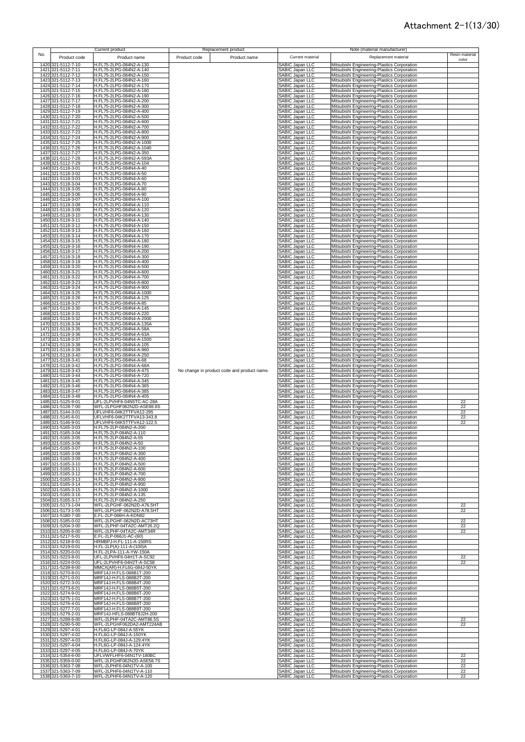|     |                                          | Current product                                        |              | Replacement product                         |                                                  | Note (material manufacturer)                                                               |                 |
|-----|------------------------------------------|--------------------------------------------------------|--------------|---------------------------------------------|--------------------------------------------------|--------------------------------------------------------------------------------------------|-----------------|
| No. | Product code                             | Product name                                           | Product code | Product name                                | Current material                                 | Replacement material                                                                       | Resin material  |
|     | 1420 321-5112-7-10                       | H.FL75-2LPG-084N2-A-130                                |              |                                             | SABIC Japan LLC                                  | Mitsubishi Engineering-Plastics Corporation                                                | color           |
|     | 1421 321-5112-7-11                       | H.FL75-2LPG-084N2-A-140                                |              |                                             | SABIC Japan LLC                                  | Mitsubishi Engineering-Plastics Corporation                                                |                 |
|     | 1422 321-5112-7-12                       | H.FL75-2LPG-084N2-A-150<br>H.FL75-2LPG-084N2-A-160     |              |                                             | SABIC Japan LLC                                  | Mitsubishi Engineering-Plastics Corporation                                                |                 |
|     | 1423 321-5112-7-13<br>1424 321-5112-7-14 | H.FL75-2LPG-084N2-A-170                                |              |                                             | SABIC Japan LLC<br>SABIC Japan LLC               | Mitsubishi Engineering-Plastics Corporation<br>Mitsubishi Engineering-Plastics Corporation |                 |
|     | 1425 321-5112-7-15                       | H.FL75-2LPG-084N2-A-180                                |              |                                             | SABIC Japan LLC                                  | Mitsubishi Engineering-Plastics Corporation                                                |                 |
|     | 1426 321-5112-7-16<br>1427 321-5112-7-17 | H.FL75-2LPG-084N2-A-190<br>H.FL75-2LPG-084N2-A-200     |              |                                             | SABIC Japan LLC<br>SABIC Japan LLC               | Mitsubishi Engineering-Plastics Corporation<br>Mitsubishi Engineering-Plastics Corporation |                 |
|     | 1428 321-5112-7-18                       | H.FL75-2LPG-084N2-A-300                                |              |                                             | SABIC Japan LLC                                  | Mitsubishi Engineering-Plastics Corporation                                                |                 |
|     | 1429 321-5112-7-19<br>1430 321-5112-7-20 | H.FL75-2LPG-084N2-A-400<br>H.FL75-2LPG-084N2-A-500     |              |                                             | SABIC Japan LLC<br>SABIC Japan LLC               | Mitsubishi Engineering-Plastics Corporation<br>Mitsubishi Engineering-Plastics Corporation |                 |
|     | 1431 321-5112-7-21                       | H.FL75-2LPG-084N2-A-600                                |              |                                             | SABIC Japan LLC                                  | Mitsubishi Engineering-Plastics Corporation                                                |                 |
|     | 1432 321-5112-7-22<br>1433 321-5112-7-23 | H.FL75-2LPG-084N2-A-700<br>H.FL75-2LPG-084N2-A-800     |              |                                             | SABIC Japan LLC<br><b>SABIC Japan LLC</b>        | Mitsubishi Engineering-Plastics Corporation<br>Mitsubishi Engineering-Plastics Corporation |                 |
|     | 1434 321-5112-7-24                       | H.FL75-2LPG-084N2-A-900                                |              |                                             | SABIC Japan LLC                                  | Mitsubishi Engineering-Plastics Corporation                                                |                 |
|     | 1435 321-5112-7-25<br>1436 321-5112-7-26 | H.FL75-2LPG-084N2-A-1000<br>H.FL75-2LPG-084N2-A-1040   |              |                                             | SABIC Japan LLC<br><b>SABIC Japan LLC</b>        | Mitsubishi Engineering-Plastics Corporation<br>Mitsubishi Engineering-Plastics Corporation |                 |
|     | 1437 321-5112-7-27                       | H.FL75-2LPG-084N2-A-350<br>H.FL75-2LPG-084N2-A-593A    |              |                                             | SABIC Japan LLC                                  | Mitsubishi Engineering-Plastics Corporation                                                |                 |
|     | 1438 321-5112-7-28<br>1439 321-5112-7-29 | H.FL75-2LPG-084N2-A-104                                |              |                                             | SABIC Japan LLC<br>SABIC Japan LLC               | Mitsubishi Engineering-Plastics Corporation<br>Mitsubishi Engineering-Plastics Corporation |                 |
|     | 1440 321-5118-3-01<br>1441 321-5118-3-02 | H.FL75-2LPG-084N4-A-40<br>H.FL75-2LPG-084N4-A-50       |              |                                             | SABIC Japan LLC<br>SABIC Japan LLC               | Mitsubishi Engineering-Plastics Corporation                                                |                 |
|     | 1442 321-5118-3-03                       | H.FL75-2LPG-084N4-A-60                                 |              |                                             | SABIC Japan LLC                                  | Mitsubishi Engineering-Plastics Corporation<br>Mitsubishi Engineering-Plastics Corporation |                 |
|     | 1443 321-5118-3-04<br>1444 321-5118-3-05 | H.FL75-2LPG-084N4-A-70<br>H.FL75-2LPG-084N4-A-80       |              |                                             | <b>SABIC Japan LLC</b><br><b>SABIC Japan LLC</b> | Mitsubishi Engineering-Plastics Corporation<br>Mitsubishi Engineering-Plastics Corporation |                 |
|     | 1445 321-5118-3-06                       | H.FL75-2LPG-084N4-A-90                                 |              |                                             | SABIC Japan LLC                                  | Mitsubishi Engineering-Plastics Corporation                                                |                 |
|     | 1446 321-5118-3-07<br>1447 321-5118-3-08 | H.FL75-2LPG-084N4-A-100<br>H.FL75-2LPG-084N4-A-110     |              |                                             | SABIC Japan LLC<br>SABIC Japan LLC               | Mitsubishi Engineering-Plastics Corporation<br>Mitsubishi Engineering-Plastics Corporation |                 |
|     | 1448 321-5118-3-09                       | H.FL75-2LPG-084N4-A-120                                |              |                                             | SABIC Japan LLC                                  | Mitsubishi Engineering-Plastics Corporation                                                |                 |
|     | 1449 321-5118-3-10<br>1450 321-5118-3-11 | H.FL75-2LPG-084N4-A-130<br>H.FL75-2LPG-084N4-A-140     |              |                                             | SABIC Japan LLC<br>SABIC Japan LLC               | Mitsubishi Engineering-Plastics Corporation<br>Mitsubishi Engineering-Plastics Corporation |                 |
|     | 1451 321-5118-3-12                       | H.FL75-2LPG-084N4-A-150                                |              |                                             | SABIC Japan LLC                                  | Mitsubishi Engineering-Plastics Corporation                                                |                 |
|     | 1452 321-5118-3-13<br>1453 321-5118-3-14 | H.FL75-2LPG-084N4-A-160<br>H.FL75-2LPG-084N4-A-170     |              |                                             | SABIC Japan LLC<br>SABIC Japan LLC               | Mitsubishi Engineering-Plastics Corporation<br>Mitsubishi Engineering-Plastics Corporation |                 |
|     | 1454 321-5118-3-15<br>1455 321-5118-3-16 | H.FL75-2LPG-084N4-A-180<br>H.FL75-2LPG-084N4-A-190     |              |                                             | SABIC Japan LLC                                  | Mitsubishi Engineering-Plastics Corporation<br>Mitsubishi Engineering-Plastics Corporation |                 |
|     | 1456 321-5118-3-17                       | H.FL75-2LPG-084N4-A-200                                |              |                                             | SABIC Japan LLC<br>SABIC Japan LLC               | Mitsubishi Engineering-Plastics Corporation                                                |                 |
|     | 1457 321-5118-3-18<br>1458 321-5118-3-19 | H.FL75-2LPG-084N4-A-300<br>H.FL75-2LPG-084N4-A-400     |              |                                             | SABIC Japan LLC<br>SABIC Japan LLC               | Mitsubishi Engineering-Plastics Corporation<br>Mitsubishi Engineering-Plastics Corporation |                 |
|     | 1459 321-5118-3-20                       | H.FL75-2LPG-084N4-A-500                                |              |                                             | SABIC Japan LLC                                  | Mitsubishi Engineering-Plastics Corporation                                                |                 |
|     | 1460 321-5118-3-21<br>1461 321-5118-3-22 | H.FL75-2LPG-084N4-A-600<br>H.FL75-2LPG-084N4-A-700     |              |                                             | SABIC Japan LLC<br>SABIC Japan LLC               | Mitsubishi Engineering-Plastics Corporation<br>Mitsubishi Engineering-Plastics Corporation |                 |
|     | 1462 321-5118-3-23<br>1463 321-5118-3-24 | H.FL75-2LPG-084N4-A-800<br>H.FL75-2LPG-084N4-A-900     |              |                                             | SABIC Japan LLC                                  | Mitsubishi Engineering-Plastics Corporation                                                |                 |
|     | 1464 321-5118-3-25                       | H.FL75-2LPG-084N4-A-1000                               |              |                                             | SABIC Japan LLC<br>SABIC Japan LLC               | Mitsubishi Engineering-Plastics Corporation<br>Mitsubishi Engineering-Plastics Corporation |                 |
|     | 1465 321-5118-3-26<br>1466 321-5118-3-27 | H.FL75-2LPG-084N4-A-125<br>H.FL75-2LPG-084N4-A-85      |              |                                             | SABIC Japan LLC<br>SABIC Japan LLC               | Mitsubishi Engineering-Plastics Corporation<br>Mitsubishi Engineering-Plastics Corporation |                 |
|     | 1467 321-5118-3-30                       | H.FL75-2LPG-084N4-A-145                                |              |                                             | SABIC Japan LLC                                  | Mitsubishi Engineering-Plastics Corporation                                                |                 |
|     | 1468 321-5118-3-31<br>1469 321-5118-3-32 | H.FL75-2LPG-084N4-A-220<br>H.FL75-2LPG-084N4-A-2000    |              |                                             | SABIC Japan LLC<br>SABIC Japan LLC               | Mitsubishi Engineering-Plastics Corporation<br>Mitsubishi Engineering-Plastics Corporation |                 |
|     | 1470 321-5118-3-34                       | H.FL75-2LPG-084N4-A-135A                               |              |                                             | SABIC Japan LLC                                  | Mitsubishi Engineering-Plastics Corporation                                                |                 |
|     | 1471 321-5118-3-35<br>1472 321-5118-3-36 | H.FL75-2LPG-084N4-A-58A<br>H.FL75-2LPG-084N4-A-63A     |              |                                             | SABIC Japan LLC<br>SABIC Japan LLC               | Mitsubishi Engineering-Plastics Corporation<br>Mitsubishi Engineering-Plastics Corporation |                 |
|     | 1473 321-5118-3-37<br>1474 321-5118-3-38 | H.FL75-2LPG-084N4-A-1500<br>H.FL75-2LPG-084N4-A-105    |              |                                             | SABIC Japan LLC<br>SABIC Japan LLC               | Mitsubishi Engineering-Plastics Corporation<br>Mitsubishi Engineering-Plastics Corporation |                 |
|     | 1475 321-5118-3-39                       | H.FL75-2LPG-084N4-A-960                                |              |                                             | SABIC Japan LLC                                  | Mitsubishi Engineering-Plastics Corporation                                                |                 |
|     | 1476 321-5118-3-40<br>1477 321-5118-3-41 | H.FL75-2LPG-084N4-A-250<br>H.FL75-2LPG-084N4-A-68      |              |                                             | SABIC Japan LLC<br>SABIC Japan LLC               | Mitsubishi Engineering-Plastics Corporation<br>Mitsubishi Engineering-Plastics Corporation |                 |
|     | 1478 321-5118-3-42<br>1479 321-5118-3-43 | H.FL75-2LPG-084N4-A-68A<br>H.FL75-2LPG-084N4-A-475     |              | No change in product code and product name. | SABIC Japan LLC<br>SABIC Japan LLC               | Mitsubishi Engineering-Plastics Corporation                                                |                 |
|     | 1480 321-5118-3-44                       | H.FL75-2LPG-084N4-A-720                                |              |                                             | SABIC Japan LLC                                  | Mitsubishi Engineering-Plastics Corporation<br>Mitsubishi Engineering-Plastics Corporation |                 |
|     | 1481 321-5118-3-45<br>1482 321-5118-3-46 | H.FL75-2LPG-084N4-A-345<br>H.FL75-2LPG-084N4-A-365     |              |                                             | SABIC Japan LLC<br>SABIC Japan LLC               | Mitsubishi Engineering-Plastics Corporation<br>Mitsubishi Engineering-Plastics Corporation |                 |
|     | 1483 321-5118-3-47                       | H.FL75-2LPG-084N4-A-385                                |              |                                             | <b>SABIC Japan LLC</b>                           | Mitsubishi Engineering-Plastics Corporation                                                |                 |
|     | 1484 321-5118-3-48<br>1485 321-5125-9-01 | H.FL75-2LPG-084N4-A-405<br>UFL-2LPVHF6-04N5TC-AC-28A   |              |                                             | SABIC Japan LLC<br>SABIC Japan LLC               | Mitsubishi Engineering-Plastics Corporation<br>Mitsubishi Engineering-Plastics Corporation | 22              |
|     | 1486 321-5128-7-00<br>1487 321-5144-3-01 | WFL-2LPGHF062N2D-ASE88.8S<br>UFLVHF6-04K2TTFVA12-295   |              |                                             | SABIC Japan LLC<br>SABIC Japan LLC               | Mitsubishi Engineering-Plastics Corporation<br>Mitsubishi Engineering-Plastics Corporation | 22<br>22        |
|     | 1488 321-5145-6-01                       | UFLVHF6-04K2TTFVA13-343.8                              |              |                                             | SABIC Japan LLC                                  | Mitsubishi Engineering-Plastics Corporation                                                | 22              |
|     | 1489 321-5146-9-01<br>1490 321-5165-3-03 | UFLVHF6-04K5TTFVA12-122.5<br>H.FL75-2LP-084N2-A-200    |              |                                             | SABIC Japan LLC<br>SABIC Japan LLC               | Mitsubishi Engineering-Plastics Corporation<br>Mitsubishi Engineering-Plastics Corporation | 22              |
|     | 1491 321-5165-3-04                       | H.FL75-2LP-084N2-A-110                                 |              |                                             | SABIC Japan LLC                                  | Mitsubishi Engineering-Plastics Corporation                                                |                 |
|     | 1492 321-5165-3-05<br>1493 321-5165-3-06 | H.FL75-2LP-084N2-A-55<br>H.FL75-2LP-084N2-A-50         |              |                                             | SABIC Japan LLC<br>SABIC Japan LLC               | Mitsubishi Engineering-Plastics Corporation<br>Mitsubishi Engineering-Plastics Corporatio  |                 |
|     | 1494 321-5165-3-07<br>1495 321-5165-3-08 | H.FL75-2LP-084N2-A-100<br>H.FL75-2LP-084N2-A-300       |              |                                             | SABIC Japan LLC<br><b>SABIC Japan LLC</b>        | Mitsubishi Engineering-Plastics Corporation                                                |                 |
|     | 1496 321-5165-3-09                       | H.FL75-2LP-084N2-A-400                                 |              |                                             | SABIC Japan LLC                                  | Mitsubishi Engineering-Plastics Corporation<br>Mitsubishi Engineering-Plastics Corporation |                 |
|     | 1497 321-5165-3-10<br>1498 321-5165-3-11 | H.FL75-2LP-084N2-A-500<br>H.FL75-2LP-084N2-A-600       |              |                                             | SABIC Japan LLC<br>SABIC Japan LLC               | Mitsubishi Engineering-Plastics Corporation<br>Mitsubishi Engineering-Plastics Corporation |                 |
|     | 1499 321-5165-3-12                       | H.FL75-2LP-084N2-A-700                                 |              |                                             | SABIC Japan LLC                                  | Mitsubishi Engineering-Plastics Corporation                                                |                 |
|     | 1500 321-5165-3-13<br>1501 321-5165-3-14 | H.FL75-2LP-084N2-A-800<br>H.FL75-2LP-084N2-A-900       |              |                                             | SABIC Japan LLC<br>SABIC Japan LLC               | Mitsubishi Engineering-Plastics Corporation<br>Mitsubishi Engineering-Plastics Corporation |                 |
|     | 1502 321-5165-3-15<br>1503 321-5165-3-16 | H.FL75-2LP-084N2-A-1000<br>H.FL75-2LP-084N2-A-135      |              |                                             | SABIC Japan LLC<br>SABIC Japan LLC               | Mitsubishi Engineering-Plastics Corporation<br>Mitsubishi Engineering-Plastics Corporation |                 |
|     | 1504 321-5165-3-17                       | H.FL75-2LP-084N2-A-250                                 |              |                                             | SABIC Japan LLC                                  | Mitsubishi Engineering-Plastics Corporation                                                |                 |
|     | 1505 321-5173-1-04<br>1506 321-5173-1-05 | WFL-2LPGHF-062N2D-A76.5HT<br>WFL-2LPGHF-062N2D-A78.5HT |              |                                             | SABIC Japan LLC<br>SABIC Japan LLC               | Mitsubishi Engineering-Plastics Corporation<br>Mitsubishi Engineering-Plastics Corporation | 22<br>22        |
|     | 1507 321-5180-7-00                       | E.FL-2LP-066H-A-KDN82                                  |              |                                             | SABIC Japan LLC                                  | Mitsubishi Engineering-Plastics Corporation                                                |                 |
|     | 1508 321-5185-0-02<br>1509 321-5204-3-00 | WFL-2LPGHF-062N2D-AC73HT<br>WFL-2LPHF-04TA2C-AMT26.2Q  |              |                                             | SABIC Japan LLC<br>SABIC Japan LLC               | Mitsubishi Engineering-Plastics Corporation<br>Mitsubishi Engineering-Plastics Corporation | 22<br>22        |
|     | 1510 321-5205-6-00                       | WFL-2LPHF-04TA2C-AMT34R<br>E.FL-2LP-066J1-AC-(60)      |              |                                             | SABIC Japan LLC<br>SABIC Japan LLC               | Mitsubishi Engineering-Plastics Corporation                                                | 22              |
|     | 1511 321-5217-5-01<br>1512 321-5218-8-01 | HRMBPJ-H.FL-111-A-150RS                                |              |                                             | SABIC Japan LLC                                  | Mitsubishi Engineering-Plastics Corporation<br>Mitsubishi Engineering-Plastics Corporation |                 |
|     | 1513 321-5219-0-01<br>1514 321-5220-0-01 | H.FL-2LP(A)-111-A-(100)A<br>H.FL-2LPA-111-A-YW-150A    |              |                                             | SABIC Japan LLC<br>SABIC Japan LLC               | Mitsubishi Engineering-Plastics Corporation<br>Mitsubishi Engineering-Plastics Corporation |                 |
|     | 1515 321-5223-8-01                       | UFL-2LPVHF6-04H1T-A-SC92                               |              |                                             | <b>SABIC Japan LLC</b>                           | Mitsubishi Engineering-Plastics Corporation                                                | $\frac{22}{22}$ |
|     | 1516 321-5224-0-01<br>1517 321-5239-8-00 | UFL-2LPVHF6-04H2T-A-SC58<br>MMCX(AR)-H.FL6G-084J-50YK  |              |                                             | SABIC Japan LLC<br>SABIC Japan LLC               | Mitsubishi Engineering-Plastics Corporation<br>Mitsubishi Engineering-Plastics Corporation |                 |
|     | 1518 321-5270-8-01                       | MRF14J-H.FLS-088B1T-200<br>MRF14J-H.FLS-088B2T-200     |              |                                             | SABIC Japan LLC<br>SABIC Japan LLC               | Mitsubishi Engineering-Plastics Corporation                                                |                 |
|     | 1519 321-5271-0-01<br>1520 321-5272-3-01 | MRF14J-H.FLS-088B4T-200                                |              |                                             | SABIC Japan LLC                                  | Mitsubishi Engineering-Plastics Corporation<br>Mitsubishi Engineering-Plastics Corporation |                 |
|     | 1521 321-5273-6-01<br>1522 321-5274-9-01 | MRF14J-H.FLS-088B5T-200<br>MRF14J-H.FLS-088B6T-200     |              |                                             | SABIC Japan LLC<br>SABIC Japan LLC               | Mitsubishi Engineering-Plastics Corporation<br>Mitsubishi Engineering-Plastics Corporation |                 |
|     | 1523 321-5275-1-01                       | MRF14J-H.FLS-088B7T-200                                |              |                                             | SABIC Japan LLC                                  | Mitsubishi Engineering-Plastics Corporation                                                |                 |
|     | 1524 321-5276-4-01<br>1525 321-5277-7-01 | MRF14J-H.FLS-088B8T-200<br>MRF14J-H.FLS-088B9T-200     |              |                                             | SABIC Japan LLC<br>SABIC Japan LLC               | Mitsubishi Engineering-Plastics Corporation<br>Mitsubishi Engineering-Plastics Corporation |                 |
|     | 1526 321-5279-2-01                       | MRF14J-HFLS-088BT8J2H-200                              |              |                                             | SABIC Japan LLC                                  | Mitsubishi Engineering-Plastics Corporation                                                |                 |
|     | 1527 321-5289-6-00<br>1528 321-5290-5-00 | WFL-2LPHF-04TA2C-AMT86.5S<br>WFL-2LPGHF062DA2-AMT224AB |              |                                             | SABIC Japan LLC<br>SABIC Japan LLC               | Mitsubishi Engineering-Plastics Corporation<br>Mitsubishi Engineering-Plastics Corporation | 22<br>22        |
|     | 1529 321-5297-4-01<br>1530 321-5297-4-02 | H.FL6G-LP-084J-A-55YK<br>H.FL6G-LP-084J-A-150YK        |              |                                             | SABIC Japan LLC<br>SABIC Japan LLC               | Mitsubishi Engineering-Plastics Corporation<br>Mitsubishi Engineering-Plastics Corporation |                 |
|     | 1531 321-5297-4-03                       | H.FL6G-LP-084J-A-129.4YK                               |              |                                             | SABIC Japan LLC                                  | Mitsubishi Engineering-Plastics Corporation                                                |                 |
|     | 1532 321-5297-4-04<br>1533 321-5297-4-05 | H.FL6G-LP-084J-A-124.4YK<br>H.FL6G-LP-084J-A-70YK      |              |                                             | SABIC Japan LLC<br>SABIC Japan LLC               | Mitsubishi Engineering-Plastics Corporation<br>Mitsubishi Engineering-Plastics Corporation |                 |
|     | 1534 321-5354-6-00                       | UFLVWFLHF6-04N1TV-180BC                                |              |                                             | <b>SABIC Japan LLC</b>                           | Mitsubishi Engineering-Plastics Corporation                                                | 22              |
|     | 1535 321-5359-0-00<br>1536 321-5363-7-08 | WFL-2LPGHF062N2D-ASE58.7S<br>WFL-2LPHF6-04N1TV-A-100   |              |                                             | SABIC Japan LLC<br>SABIC Japan LLC               | Mitsubishi Engineering-Plastics Corporation<br>Mitsubishi Engineering-Plastics Corporation | 22<br>22        |
|     | 1537 321-5363-7-09<br>1538 321-5363-7-10 | WFL-2LPHF6-04N1TV-A-110<br>WFL-2LPHF6-04N1TV-A-120     |              |                                             | SABIC Japan LLC<br>SABIC Japan LLC               | Mitsubishi Engineering-Plastics Corporation<br>Mitsubishi Engineering-Plastics Corporation | 22<br>22        |
|     |                                          |                                                        |              |                                             |                                                  |                                                                                            |                 |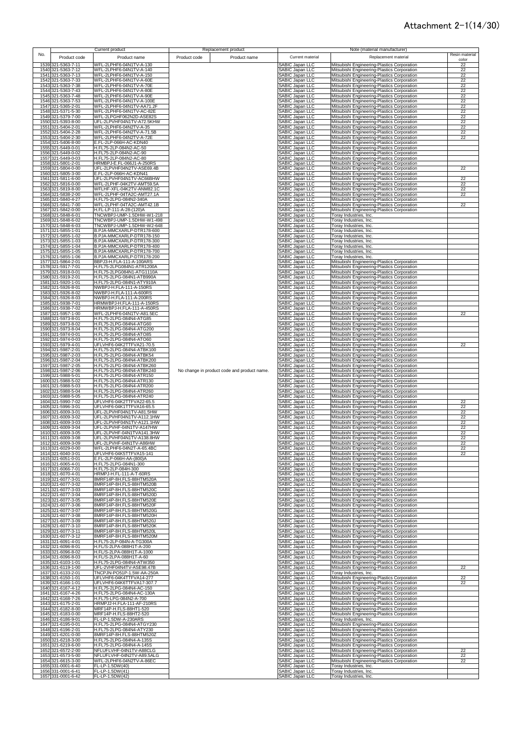|      |                                          | Current product                                        |              | Replacement product                         |                                                  | Note (material manufacturer)                                                               |                |
|------|------------------------------------------|--------------------------------------------------------|--------------|---------------------------------------------|--------------------------------------------------|--------------------------------------------------------------------------------------------|----------------|
| No.  | Product code                             | Product name                                           | Product code | Product name                                | Current material                                 | Replacement material                                                                       | Resin material |
|      | 1539 321-5363-7-11                       |                                                        |              |                                             |                                                  |                                                                                            | color          |
|      | 1540 321-5363-7-12                       | WFL-2LPHF6-04N1TV-A-130<br>WFL-2LPHF6-04N1TV-A-140     |              |                                             | <b>SABIC Japan LLC</b><br>SABIC Japan LLC        | Mitsubishi Engineering-Plastics Corporation<br>Mitsubishi Engineering-Plastics Corporation | 22<br>22       |
|      | 1541 321-5363-7-13                       | WFL-2LPHF6-04N1TV-A-150                                |              |                                             | SABIC Japan LLC                                  | Mitsubishi Engineering-Plastics Corporation                                                | 22             |
|      | 1542 321-5363-7-33                       | WFL-2LPHF6-04N1TV-A-60E                                |              |                                             | <b>ABIC Japan LLC</b>                            | Mitsubishi Engineering-Plastics Corporation                                                | 22             |
|      | 1543 321-5363-7-38                       | WFL-2LPHF6-04N1TV-A-70E                                |              |                                             | <b>ABIC Japan LLC</b>                            | Mitsubishi Engineering-Plastics Corporation                                                | 22             |
|      | 1544 321-5363-7-43                       | WFL-2LPHF6-04N1TV-A-80E                                |              |                                             | <b>ABIC Japan LLC</b>                            | Mitsubishi Engineering-Plastics Corporation                                                | 22             |
|      | 1545 321-5363-7-48                       | WFL-2LPHF6-04N1TV-A-90E                                |              |                                             | SABIC Japan LLC                                  | Mitsubishi Engineering-Plastics Corporation                                                | 22             |
|      | 1546 321-5363-7-53                       | WFL-2LPHF6-04N1TV-A-100E                               |              |                                             | SABIC Japan LLC                                  | Mitsubishi Engineering-Plastics Corporation                                                | 22             |
|      | 1547 321-5365-2-01                       | WFL-2LPHF6-04N1TV-AA71.2F                              |              |                                             | SABIC Japan LLC                                  | Mitsubishi Engineering-Plastics Corporation                                                | 22             |
|      | 1548 321-5371-5-30                       | WFL-2LPHF6-04N1TV-AC-82E                               |              |                                             | SABIC Japan LLC                                  | Mitsubishi Engineering-Plastics Corporation                                                | 22             |
|      | 1549 321-5379-7-00<br>1550 321-5393-8-00 | WFL-2LPGHF062N2D-ASE82S<br>UFL-2LPVHF04N1TV-A72.5KHW   |              |                                             | ABIC Japan LLC<br><b>SABIC Japan LLC</b>         | Mitsubishi Engineering-Plastics Corporation<br>Mitsubishi Engineering-Plastics Corporation | 22<br>22       |
|      | 1551 321-5404-2-01                       | WFL-2LPHF6-04N2TV-A-35                                 |              |                                             | <b>SABIC Japan LLC</b>                           | Mitsubishi Engineering-Plastics Corporation                                                | 22             |
|      | 1552 321-5404-2-28                       | WFL-2LPHF6-04N2TV-A-71.5B                              |              |                                             | <b>SABIC Japan LLC</b>                           | Mitsubishi Engineering-Plastics Corporation                                                | 22             |
|      | 1553 321-5404-2-30                       | WFL-2LPHF6-04N2TV-A-72E                                |              |                                             | <b>SABIC Japan LLC</b>                           | Mitsubishi Engineering-Plastics Corporation                                                | 22             |
|      | 1554 321-5406-8-00                       | E.FL-2LP-066H-AC-KDN40                                 |              |                                             | <b>SABIC Japan LLC</b>                           | Mitsubishi Engineering-Plastics Corporation                                                |                |
|      | 1555 321-5449-0-01                       | H.FL75-2LP-084N2-AC-50                                 |              |                                             | <b>SABIC Japan LLC</b>                           | Mitsubishi Engineering-Plastics Corporation                                                |                |
|      | 1556 321-5449-0-02                       | H.FL75-2LP-084N2-AC-90                                 |              |                                             | <b>SABIC Japan LLC</b>                           | Mitsubishi Engineering-Plastics Corporation                                                |                |
|      | 1557 321-5449-0-03                       | H.FL75-2LP-084N2-AC-80                                 |              |                                             | <b>ABIC Japan LLC</b>                            | Mitsubishi Engineering-Plastics Corporation                                                |                |
|      | 1558 321-5801-2-01                       | HRMBPJ-E.FL-066J1-A-250RS                              |              |                                             | SABIC Japan LLC                                  | Mitsubishi Engineering-Plastics Corporation                                                |                |
|      | 1559 321-5804-0-00<br>1560 321-5805-3-00 | UFL-2LPVHF04N2TV-ASE69.4B<br>E.FL-2LP-066H-AC-KDN41    |              |                                             | <b>SABIC Japan LLC</b><br><b>ABIC Japan LLC</b>  | Mitsubishi Engineering-Plastics Corporation                                                | 22             |
| 1561 | 321-5811-6-00                            | UFL-2LPVHF04N1TV-AC66BHW                               |              |                                             | <b>ABIC Japan LLC</b>                            | Mitsubishi Engineering-Plastics Corporation<br>Mitsubishi Engineering-Plastics Corporation | 22             |
| 1562 | 321-5816-0-00                            | WFL-2LPHF-04K2TV-AMT59.5A                              |              |                                             | <b>SABIC Japan LLC</b>                           | Mitsubishi Engineering-Plastics Corporation                                                | 22             |
|      | 1563 321-5819-8-00                       | WFLHF-XFL-04K2TV-ANM82.1C                              |              |                                             | SABIC Japan LLC                                  | Mitsubishi Engineering-Plastics Corporation                                                | 22             |
|      | 1564 321-5838-2-00                       | WFL-2LPHF-04TA2C-AMT27.1A                              |              |                                             | <b>SABIC Japan LLC</b>                           | Mitsubishi Engineering-Plastics Corporation                                                | 22             |
|      | 1565 321-5840-4-27                       | H.FL75-2LPG-084N2-340A                                 |              |                                             | SABIC Japan LLC                                  | Mitsubishi Engineering-Plastics Corporation                                                |                |
|      | 1566 321-5841-7-00                       | WFL-2LPHF-04TA2C-AMT42.1B                              |              |                                             | SABIC Japan LLC                                  | Mitsubishi Engineering-Plastics Corporation                                                | 22             |
|      | 1567 321-5842-0-00                       | H.FL-LP-111-A-28-(120)A                                |              |                                             | <b>ABIC Japan LLC</b>                            | Mitsubishi Engineering-Plastics Corporation                                                |                |
|      | 1568 321-5848-6-01                       | TNCWBPJ-UMP-1.5DHW-W1-218                              |              |                                             | <b>SABIC Japan LLC</b>                           | Toray Industries, Inc.                                                                     |                |
|      | 1569 321-5848-6-02<br>1570 321-5848-6-03 | TNCWBPJ-UMP-1.5DHW-W1-498<br>TNCWBPJ-UMP-1.5DHW-W2-648 |              |                                             | <b>SABIC Japan LLC</b><br><b>SABIC Japan LLC</b> | Toray Industries, Inc.<br>Toray Industries, Inc.                                           |                |
|      | 1571 321-5855-1-01                       | B.PJA-MMCXARLP-DTR178-600                              |              |                                             | SABIC Japan LLC                                  | Toray Industries, Inc.                                                                     |                |
|      | 1572 321-5855-1-02                       | B.PJA-MMCXARLP-DTR178-150                              |              |                                             | SABIC Japan LLC                                  | Toray Industries, Inc.                                                                     |                |
|      | 1573 321-5855-1-03                       | B.PJA-MMCXARLP-DTR178-300                              |              |                                             | SABIC Japan LLC                                  | <b>Toray Industries, Inc.</b>                                                              |                |
|      | 1574 321-5855-1-04                       | B.PJA-MMCXARLP-DTR178-400                              |              |                                             | <b>SABIC Japan LLC</b>                           | Toray Industries, Inc.                                                                     |                |
|      | 1575 321-5855-1-05                       | B.PJA-MMCXARLP-DTR178-700                              |              |                                             | <b>SABIC Japan LLC</b>                           | Toray Industries, Inc.                                                                     |                |
|      | 1576 321-5855-1-06                       | B.PJA-MMCXARLP-DTR178-200                              |              |                                             | SABIC Japan LLC                                  | Toray Industries, Inc.                                                                     |                |
|      | 1577 321-5864-2-01                       | BBPJ3-H.FLA-111-A-100ARS                               |              |                                             | SABIC Japan LLC                                  | Mitsubishi Engineering-Plastics Corporation                                                |                |
|      | 1578 321-5917-7-01<br>1579 321-5918-0-01 | H.FL75-2LPG084N1-ATR1200A<br>H.FL75-2LPG084N1-ATG1110A |              |                                             | SABIC Japan LLC<br>SABIC Japan LLC               | Mitsubishi Engineering-Plastics Corporation<br>Mitsubishi Engineering-Plastics Corporation |                |
|      | 1580 321-5919-2-01                       | H.FL75-2LPG-084N1-ATB990A                              |              |                                             | SABIC Japan LLC                                  | Mitsubishi Engineering-Plastics Corporation                                                |                |
|      | 1581 321-5920-1-01                       | H.FL75-2LPG-084N1-ATY910A                              |              |                                             | SABIC Japan LLC                                  | Mitsubishi Engineering-Plastics Corporation                                                |                |
|      | 1582 321-5926-8-01                       | NWBPJ-H.FLA-111-A-150RS                                |              |                                             | <b>ABIC Japan LLC</b>                            | Mitsubishi Engineering-Plastics Corporation                                                |                |
|      | 1583 321-5926-8-02                       | NWBPJ-H.FLA-111-A-600RS                                |              |                                             | <b>SABIC Japan LLC</b>                           | Mitsubishi Engineering-Plastics Corporation                                                |                |
|      | 1584 321-5926-8-03                       | NWBPJ-H.FLA-111-A-200RS                                |              |                                             | <b>SABIC Japan LLC</b>                           | Mitsubishi Engineering-Plastics Corporation                                                |                |
|      | 1585 321-5938-7-01                       | HRMWBPJ-H.FLA-111-A-150RS                              |              |                                             | <b>SABIC Japan LLC</b>                           | Mitsubishi Engineering-Plastics Corporation                                                |                |
|      | 1586 321-5938-7-02                       | HRMWBPJ-H.FLA-111-A-450RS                              |              |                                             | <b>ABIC Japan LLC</b>                            | Mitsubishi Engineering-Plastics Corporation                                                |                |
|      | 1587 321-5957-1-00<br>1588 321-5973-8-01 | WFL-2LPHF6-04N1TV-A81.5EC<br>H.FL75-2LPG-084N4-ATG85   |              |                                             | <b>ABIC Japan LLC</b><br><b>SABIC Japan LLC</b>  | Mitsubishi Engineering-Plastics Corporation<br>Mitsubishi Engineering-Plastics Corporation | 22             |
|      | 1589 321-5973-8-02                       | H.FL75-2LPG-084N4-ATG60                                |              |                                             | <b>SABIC Japan LLC</b>                           | Mitsubishi Engineering-Plastics Corporation                                                |                |
|      | 1590 321-5973-8-04                       | H.FL75-2LPG-084N4-ATG200                               |              |                                             | SABIC Japan LLC                                  | Mitsubishi Engineering-Plastics Corporation                                                |                |
|      | 1591 321-5974-0-01                       | H.FL75-2LPG-084N4-ATO85                                |              |                                             | SABIC Japan LLC                                  | Mitsubishi Engineering-Plastics Corporation                                                |                |
| 1592 | 321-5974-0-03                            | H.FL75-2LPG-084N4-ATO60                                |              |                                             | <b>ABIC Japan LLC</b>                            | Mitsubishi Engineering-Plastics Corporation                                                |                |
|      | 1593 321-5979-4-01                       | UFLVHF6-04K2TTFVA21-70.5                               |              |                                             | <b>SABIC Japan LLC</b>                           | Mitsubishi Engineering-Plastics Corporation                                                | 22             |
|      | 1594 321-5987-2-01                       | H.FL75-2LPG-084N4-ATBK100                              |              |                                             | <b>SABIC Japan LLC</b>                           | Mitsubishi Engineering-Plastics Corporation                                                |                |
|      | 1595 321-5987-2-03                       | H.FL75-2LPG-084N4-ATBK54                               |              |                                             | <b>SABIC Japan LLC</b>                           | Mitsubishi Engineering-Plastics Corporation                                                |                |
|      | 1596 321-5987-2-04                       | H.FL75-2LPG-084N4-ATBK200                              |              |                                             | SABIC Japan LLC                                  | Mitsubishi Engineering-Plastics Corporation                                                |                |
|      | 1597 321-5987-2-05<br>1598 321-5987-2-06 | H.FL75-2LPG-084N4-ATBK260<br>H.FL75-2LPG-084N4-ATBK240 |              | No change in product code and product name. | SABIC Japan LLC                                  | Mitsubishi Engineering-Plastics Corporation<br>Mitsubishi Engineering-Plastics Corporation |                |
|      | 1599 321-5988-5-01                       | H.FL75-2LPG-084N4-ATR150                               |              |                                             | SABIC Japan LLC<br>SABIC Japan LLC               | Mitsubishi Engineering-Plastics Corporation                                                |                |
|      | 1600 321-5988-5-02                       | H.FL75-2LPG-084N4-ATR130                               |              |                                             | SABIC Japan LLC                                  | Mitsubishi Engineering-Plastics Corporation                                                |                |
|      | 1601 321-5988-5-03                       | H.FL75-2LPG-084N4-ATR200                               |              |                                             | SABIC Japan LLC                                  | Mitsubishi Engineering-Plastics Corporation                                                |                |
|      | 1602 321-5988-5-04                       | H.FL75-2LPG-084N4-ATR260                               |              |                                             | SABIC Japan LLC                                  | Mitsubishi Engineering-Plastics Corporation                                                |                |
|      | 1603 321-5988-5-05                       | H.FL75-2LPG-084N4-ATR240                               |              |                                             | SABIC Japan LLC                                  | Mitsubishi Engineering-Plastics Corporation                                                |                |
|      | 1604 321-5990-7-02                       | UFLVHF6-04K2TTFVA22-65.5                               |              |                                             | SABIC Japan LLC                                  | Mitsubishi Engineering-Plastics Corporation                                                | 22             |
| 1605 | 321-5996-3-01                            | UFLVHF6-04K1TTFVA16-65.5                               |              |                                             | <b>SABIC Japan LLC</b>                           | Mitsubishi Engineering-Plastics Corporation                                                | 22<br>22       |
|      | 1606 321-6009-3-01<br>1607 321-6009-3-02 | UFL-2LPVHF04N1TV-A81.5HW<br>UFL-2LPVHF04N1TV-A112.1HW  |              |                                             | SABIC Japan LLC<br>SABIC Japan LLC               | Mitsubishi Engineering-Plastics Corporation<br>Mitsubishi Engineering-Plastics Corporation | 22             |
|      | 1608 321-6009-3-03                       | UFL-2LPVHF04N1TV-A121.1HW                              |              |                                             | <b>SABIC Japan LLC</b>                           | Mitsubishi Engineering-Plastics Corporation                                                | 22             |
|      | 1609 321-6009-3-04                       | UFL-2LPVHF-04N1TV-A147HW                               |              |                                             | <b>SABIC Japan LLC</b>                           | Mitsubishi Engineering-Plastics Corporation                                                | 22             |
|      | 1610 321-6009-3-05                       | UFL-2LPVHF-04N1TVA141.3HW                              |              |                                             | <b>SABIC Japan LLC</b>                           | Mitsubishi Engineering-Plastics Corporation                                                | 22             |
|      | 1611 321-6009-3-08                       | UFL-2LPVHF04N1TV-A138.8HW                              |              |                                             | SABIC Japan LLC                                  | Mitsubishi Engineering-Plastics Corporation                                                | 22             |
| 1612 | 321-6009-3-09                            | IFL-2LPVHF-04N1TV-A86HW                                |              |                                             | ABIC Janan LLC                                   | Mitsubishi Engineering-Plastics Corporation                                                |                |
|      | 1613 321-6029-0-00                       | WFL-2LPHF6-04N2T-A-65.4BC                              |              |                                             | SABIC Japan LLC                                  | Mitsubishi Engineering-Plastics Corporation                                                | 22             |
|      | 1614 321-6040-3-01<br>1615 321-6051-0-01 | UFLVHF6-04K5TTFVA15-141<br>E.FL-2LP-066H-AA-(800)A     |              |                                             | SABIC Japan LLC<br>SABIC Japan LLC               | Mitsubishi Engineering-Plastics Corporation<br>Mitsubishi Engineering-Plastics Corporation | 22             |
|      | 1616 321-6065-4-01                       | H.FL75-2LPG-084N1-300                                  |              |                                             | SABIC Japan LLC                                  | Mitsubishi Engineering-Plastics Corporation                                                |                |
|      | 1617 321-6066-7-01                       | H.FL75-2LP-084H-300                                    |              |                                             | SABIC Japan LLC                                  | Mitsubishi Engineering-Plastics Corporation                                                |                |
|      | 1618 321-6070-4-01                       | HRMPJ-H.FL-111-A-T-60RS                                |              |                                             | <b>ABIC Japan LLC</b>                            | Mitsubishi Engineering-Plastics Corporation                                                |                |
|      | 1619 321-6077-3-01                       | 8MRF14P-8H.FLS-88HTM520A                               |              |                                             | <b>ABIC Japan LLC</b>                            | Mitsubishi Engineering-Plastics Corporation                                                |                |
|      | 1620 321-6077-3-02                       | 8MRF14P-8H.FLS-88HTM520B                               |              |                                             | SABIC Japan LLC                                  | Mitsubishi Engineering-Plastics Corporation                                                |                |
|      | 1621 321-6077-3-03<br>1622 321-6077-3-04 | 8MRF14P-8H.FLS-88HTM520C<br>8MRF14P-8H.FLS-88HTM520D   |              |                                             | SABIC Japan LLC<br>SABIC Japan LLC               | Mitsubishi Engineering-Plastics Corporation<br>Mitsubishi Engineering-Plastics Corporation |                |
|      | 1623 321-6077-3-05                       | 8MRF14P-8H.FLS-88HTM520E                               |              |                                             | SABIC Japan LLC                                  | Mitsubishi Engineering-Plastics Corporation                                                |                |
|      | 1624 321-6077-3-06                       | 8MRF14P-8H.FLS-88HTM520F                               |              |                                             | SABIC Japan LLC                                  | Mitsubishi Engineering-Plastics Corporation                                                |                |
|      | 1625 321-6077-3-07                       | 8MRF14P-8H.FLS-88HTM520G                               |              |                                             | SABIC Japan LLC                                  | Mitsubishi Engineering-Plastics Corporation                                                |                |
|      | 1626 321-6077-3-08                       | 8MRF14P-8H.FLS-88HTM520H                               |              |                                             | SABIC Japan LLC                                  | Mitsubishi Engineering-Plastics Corporation                                                |                |
|      | 1627 321-6077-3-09                       | 8MRF14P-8H.FLS-88HTM520J                               |              |                                             | SABIC Japan LLC                                  | Mitsubishi Engineering-Plastics Corporation                                                |                |
|      | 1628 321-6077-3-10<br>1629 321-6077-3-11 | 8MRF14P-8H.FLS-88HTM520K                               |              |                                             | SABIC Japan LLC<br>SABIC Japan LLC               | Mitsubishi Engineering-Plastics Corporation                                                |                |
|      | 1630 321-6077-3-12                       | 8MRF14P-8H.FLS-88HTM520L<br>8MRF14P-8H.FLS-88HTM520M   |              |                                             | SABIC Japan LLC                                  | Mitsubishi Engineering-Plastics Corporation<br>Mitsubishi Engineering-Plastics Corporation |                |
|      | 1631 321-6091-4-01                       | H.FL75-2LP-084N-A-TG300A                               |              |                                             | <b>SABIC Japan LLC</b>                           | Mitsubishi Engineering-Plastics Corporation                                                |                |
|      | 1632 321-6096-8-01                       | H.FL/S-2LPA-088H1T-A-200                               |              |                                             | SABIC Japan LLC                                  | Mitsubishi Engineering-Plastics Corporation                                                |                |
|      | 1633 321-6096-8-02                       | H.FL/S-2LPA-088H1T-A-1000                              |              |                                             | SABIC Japan LLC                                  | Mitsubishi Engineering-Plastics Corporation                                                |                |
|      | 1634 321-6096-8-03                       | H.FL/S-2LPA-088H1T-A-60                                |              |                                             | SABIC Japan LLC                                  | Mitsubishi Engineering-Plastics Corporation                                                |                |
|      | 1635 321-6103-1-01                       | H.FL75-2LPG-084N4-ATW350                               |              |                                             | SABIC Japan LLC                                  | Mitsubishi Engineering-Plastics Corporation                                                |                |
|      | 1636 321-6119-1-00                       | UFL-2VHF04N4TV-ASE98.47B                               |              |                                             | <b>SABIC Japan LLC</b>                           | Mitsubishi Engineering-Plastics Corporation                                                | 22             |
|      | 1637 321-6133-2-01<br>1638 321-6150-1-01 | TNCPJN-PO51P-1.5W-AA-250A<br>UFLVHF6-04K4TTFVA14-277   |              |                                             | <b>SABIC Japan LLC</b><br>SABIC Japan LLC        | Toray Industries, Inc.<br>Mitsubishi Engineering-Plastics Corporation                      | 22             |
|      | 1639 321-6166-1-01                       | UFLVHF6-04K6TTFVA17-307.7                              |              |                                             | SABIC Japan LLC                                  | Mitsubishi Engineering-Plastics Corporation                                                | 22             |
|      | 1640 321-6167-4-12                       | H.FL75-2LPG-084N4-AC-150                               |              |                                             | SABIC Japan LLC                                  | Mitsubishi Engineering-Plastics Corporation                                                |                |
|      | 1641 321-6167-4-26                       | H.FL75-2LPG-084N4-AC-130A                              |              |                                             | SABIC Japan LLC                                  | Mitsubishi Engineering-Plastics Corporation                                                |                |
|      | 1642 321-6168-7-26                       | H.FL75-LPG-084N2-A-700                                 |              |                                             | SABIC Japan LLC                                  | Mitsubishi Engineering-Plastics Corporation                                                |                |
|      | 1643 321-6175-2-01                       | HRMPJ2-H.FLA-111-AF-210RS                              |              |                                             | SABIC Japan LLC                                  | Mitsubishi Engineering-Plastics Corporation                                                |                |
|      | 1644 321-6182-8-00                       | MRF14P-H.FLS-88HT1-520                                 |              |                                             | <b>SABIC Japan LLC</b>                           | Mitsubishi Engineering-Plastics Corporation                                                |                |
|      | 1645 321-6183-0-00                       | MRF14P-H.FLS-88HT2-520                                 |              |                                             | <b>SABIC Japan LLC</b>                           | Mitsubishi Engineering-Plastics Corporation                                                |                |
|      | 1646 321-6186-9-01                       | FL-LP-1.5DW-A-230ARS                                   |              |                                             | <b>SABIC Japan LLC</b>                           | Toray Industries, Inc.<br>Mitsubishi Engineering-Plastics Corporation                      |                |
|      | 1647 321-6195-0-01<br>1648 321-6196-2-01 | H.FL75-2LPG-084N4-ATGY230<br>H.FL75-2LPG-084N4-ATY230  |              |                                             | SABIC Japan LLC<br>SABIC Japan LLC               | Mitsubishi Engineering-Plastics Corporation                                                |                |
|      | 1649 321-6201-0-00                       | 8MRF14P-8H.FLS-88HTM520Z                               |              |                                             | SABIC Japan LLC                                  | Mitsubishi Engineering-Plastics Corporation                                                |                |
|      | 1650 321-6218-3-00                       | H.FL75-2LPG-084N4-A-135S                               |              |                                             | <b>SABIC Japan LLC</b>                           | Mitsubishi Engineering-Plastics Corporation                                                |                |
|      | 1651 321-6219-6-00                       | H.FL75-2LPG-084N4-A-145S                               |              |                                             | <b>SABIC Japan LLC</b>                           | Mitsubishi Engineering-Plastics Corporation                                                |                |
|      | 1652 321-6572-2-00                       | NFLUFLVHF-04N1TV-A88CLG                                |              |                                             | SABIC Japan LLC                                  | Mitsubishi Engineering-Plastics Corporation                                                | 22             |
|      | 1653 321-6573-5-00                       | NFLUFLVHF-04N2TV-A89.5ALG                              |              |                                             | <b>SABIC Japan LLC</b>                           | Mitsubishi Engineering-Plastics Corporation                                                | 22             |
|      | 1654 321-6615-3-00                       | WFL-2LPHF6-04N2TV-A-86EC                               |              |                                             | SABIC Japan LLC                                  | Mitsubishi Engineering-Plastics Corporation                                                | 22             |
|      | 1655 331-0001-6-40<br>1656 331-0001-6-41 | FL-LP-1.5DW(40)<br>FL-LP-1.5DW(41)                     |              |                                             | SABIC Japan LLC<br>SABIC Japan LLC               | Toray Industries, Inc.<br>Toray Industries, Inc.                                           |                |
|      | 1657 331-0001-6-42                       | FL-LP-1.5DW(42)                                        |              |                                             | <b>SABIC Japan LLC</b>                           | Toray Industries, Inc.                                                                     |                |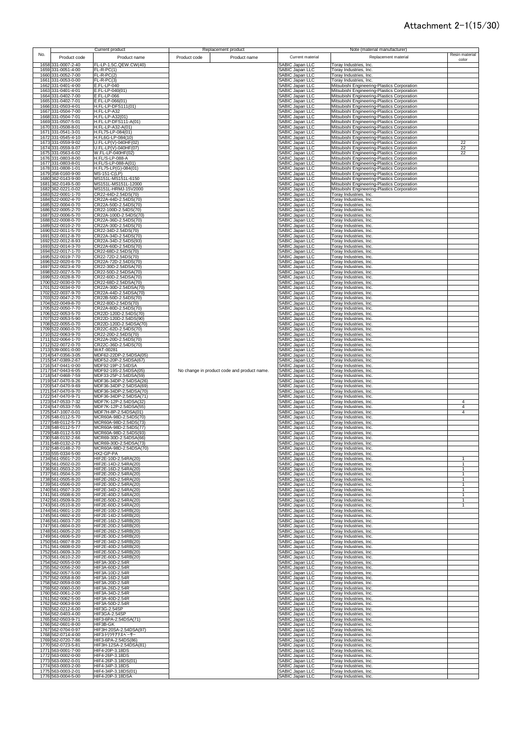|     |              |                                          | Current product                                  | Replacement product                         |                                                       | Note (material manufacturer)                                                               |                              |
|-----|--------------|------------------------------------------|--------------------------------------------------|---------------------------------------------|-------------------------------------------------------|--------------------------------------------------------------------------------------------|------------------------------|
| No. |              | Product code                             | Product name                                     | Product code<br>Product name                | Current material                                      | Replacement material                                                                       | Resin material               |
|     |              | 1658 331-0007-2-40                       | FL-LP-1.5C.QEW.CW(40)                            |                                             | SABIC Japan LLC                                       | Toray Industries, Inc.                                                                     | color                        |
|     |              | 1659 331-0051-4-00                       | $FL-R-PC(1)$                                     |                                             | SABIC Japan LLC                                       | Toray Industries, Inc.                                                                     |                              |
|     |              | 1660 331-0052-7-00                       | $FL-R-PC(2)$                                     |                                             | SABIC Japan LLC                                       | Toray Industries, Inc.                                                                     |                              |
|     |              | 1661 331-0053-0-00                       | $FL-R-PC(3)$                                     |                                             | SABIC Japan LLC                                       | Toray Industries, Inc.                                                                     |                              |
|     |              | 1662 331-0401-4-00                       | E.FL-LP-040                                      |                                             | SABIC Japan LLC                                       | Mitsubishi Engineering-Plastics Corporation                                                |                              |
|     |              | 1663 331-0401-4-01                       | E.FL-LP-040(01)<br>E.FL-LP-066                   |                                             | SABIC Japan LLC                                       | Mitsubishi Engineering-Plastics Corporation                                                |                              |
|     |              | 1664 331-0402-7-00<br>1665 331-0402-7-01 | E.FL-LP-066(01)                                  |                                             | SABIC Japan LLC<br>SABIC Japan LLC                    | Mitsubishi Engineering-Plastics Corporation<br>Mitsubishi Engineering-Plastics Corporation |                              |
|     |              | 1666 331-0503-4-01                       | H.FL-LP-DFS111(01)                               |                                             | SABIC Japan LLC                                       | Mitsubishi Engineering-Plastics Corporation                                                |                              |
|     |              | 1667 331-0504-7-00                       | H.FL-LP-A32                                      |                                             | SABIC Japan LLC                                       | Mitsubishi Engineering-Plastics Corporation                                                |                              |
|     |              | 1668 331-0504-7-01                       | H.FL-LP-A32(01)                                  |                                             | SABIC Japan LLC                                       | Mitsubishi Engineering-Plastics Corporation                                                |                              |
|     |              | 1669 331-0507-5-01                       | H.FL-LP-DFS111-A(01)                             |                                             | SABIC Japan LLC                                       | Mitsubishi Engineering-Plastics Corporation                                                |                              |
|     |              | 1670 331-0508-8-01<br>1671 331-0541-3-01 | H.FL-LP-A32-A(01)<br>H.FL75-LP-084(01)           |                                             | SABIC Japan LLC<br>SABIC Japan LLC                    | Mitsubishi Engineering-Plastics Corporation<br>Mitsubishi Engineering-Plastics Corporation |                              |
|     |              | 1672 331-0545-4-10                       | H.FL6G-LP-084(10)                                |                                             | SABIC Japan LLC                                       | Mitsubishi Engineering-Plastics Corporation                                                |                              |
|     | 1673         | 331-0559-9-02                            | U.FL-LP(V)-040HF(02)                             |                                             | SABIC Japan LLC                                       | Mitsubishi Engineering-Plastics Corporation                                                | 22                           |
|     |              | 1674 331-0559-9-07                       | U.FL-LP(V)-040HF(07)                             |                                             | SABIC Japan LLC                                       | Mitsubishi Engineering-Plastics Corporation                                                | 22                           |
|     |              | 1675 331-0563-6-02<br>1676 331-0803-8-00 | W.FL-LP-040HF(02)<br>H.FL/S-LP-088-A             |                                             | SABIC Japan LLC<br>SABIC Japan LLC                    | Mitsubishi Engineering-Plastics Corporation                                                | 22                           |
|     |              | 1677 331-0803-8-01                       | H.FL/S-LP-088-A(01)                              |                                             | SABIC Japan LLC                                       | Mitsubishi Engineering-Plastics Corporation<br>Mitsubishi Engineering-Plastics Corporation |                              |
|     | 1678         | 331-0808-1-01                            | H.FL75-LP(G)-084(01)                             |                                             | SABIC Japan LLC                                       | Mitsubishi Engineering-Plastics Corporation                                                |                              |
|     | 1679         | 358-0160-9-00                            | <b>MS-151-C(LP)</b>                              |                                             | SABIC Japan LLC                                       | Mitsubishi Engineering-Plastics Corporation                                                |                              |
|     | 1680         | 362-0143-9-00                            | MS151L-MS151L-6150<br>MS151L-MS151L-12000        |                                             | SABIC Japan LLC<br>SABIC Japan LLC                    | Mitsubishi Engineering-Plastics Corporation                                                |                              |
|     | 1681<br>1682 | 362-0149-5-00<br>362-0221-0-02           | MS151L-HRMJ-15V2000                              |                                             | SABIC Japan LLC                                       | Mitsubishi Engineering-Plastics Corporation<br>Mitsubishi Engineering-Plastics Corporation |                              |
|     | 1683         | 522-0001-1-70                            | CR22-44D-2.54DS(70)                              |                                             | <b>SABIC Japan LLC</b>                                | Toray Industries, Inc.                                                                     |                              |
|     | 1684         | 522-0002-4-70                            | CR22A-44D-2.54DS(70)                             |                                             | SABIC Japan LLC                                       | Toray Industries, Inc.                                                                     |                              |
|     | 1685         | 522-0004-0-70                            | CR22A-50D-2.54DS(70)                             |                                             | SABIC Japan LLC                                       | <b>Toray Industries, Inc.</b>                                                              |                              |
|     |              | 1686 522-0005-2-70<br>1687 522-0006-5-70 | CR22-100D-2.54DS(70)<br>CR22A-100D-2.54DS(70)    |                                             | SABIC Japan LLC<br>SABIC Japan LLC                    | <b>Toray Industries, Inc.</b><br>Toray Industries, Inc.                                    |                              |
|     |              | 1688 522-0008-0-70                       | CR22A-36D-2.54DS(70)                             |                                             | SABIC Japan LLC                                       | Toray Industries, Inc.                                                                     |                              |
|     |              | 1689 522-0010-2-70                       | CR22A-30D-2.54DS(70)                             |                                             | SABIC Japan LLC                                       | Toray Industries, Inc.                                                                     |                              |
|     |              | 1690 522-0011-5-70                       | CR22-34D-2.54DS(70)                              |                                             | SABIC Japan LLC                                       | <b>Toray Industries, Inc.</b>                                                              |                              |
|     | 1691         | 522-0012-8-70<br>1692 522-0012-8-93      | CR22A-34D-2.54DS(70)                             |                                             | SABIC Japan LLC                                       | Toray Industries, Inc.                                                                     |                              |
|     |              | 1693 522-0014-3-70                       | CR22A-34D-2.54DS(93)<br>CR22A-60D-2.54DS(70)     |                                             | SABIC Japan LLC<br>SABIC Japan LLC                    | Toray Industries, Inc.<br>Toray Industries, Inc.                                           |                              |
|     |              | 1694 522-0017-1-70                       | CR22-68D-2.54DS(70)                              |                                             | SABIC Japan LLC                                       | Toray Industries, Inc.                                                                     |                              |
|     |              | 1695 522-0019-7-70                       | CR22-72D-2.54DS(70)                              |                                             | SABIC Japan LLC                                       | Toray Industries, Inc.                                                                     |                              |
|     |              | 1696 522-0020-6-70                       | CR22A-72D-2.54DS(70)                             |                                             | SABIC Japan LLC                                       | Toray Industries, Inc.                                                                     |                              |
|     |              | 1697 522-0023-4-70<br>1698 522-0027-5-70 | CR22-30D-2.54DSA(70)<br>CR22-50D-2.54DSA(70)     |                                             | SABIC Japan LLC<br>SABIC Japan LLC                    | Toray Industries, Inc.<br>Toray Industries, Inc.                                           |                              |
|     |              | 1699 522-0028-8-70                       | CR22-60D-2.54DSA(70)                             |                                             | SABIC Japan LLC                                       | <b>Toray Industries, Inc.</b>                                                              |                              |
|     |              | 1700 522-0030-0-70                       | CR22-68D-2.54DSA(70)                             |                                             | SABIC Japan LLC                                       | Toray Industries, Inc.                                                                     |                              |
|     |              | 1701 522-0034-0-70                       | CR22A-30D-2.54DSA(70)                            |                                             | SABIC Japan LLC                                       | Toray Industries, Inc.                                                                     |                              |
|     |              | 1702 522-0037-9-70<br>1703 522-0047-2-70 | CR22A-44D-2.54DSA(70)<br>CR22B-50D-2.54DS(70)    |                                             | SABIC Japan LLC<br>SABIC Japan LLC                    | Toray Industries, Inc.<br>Toray Industries, Inc.                                           |                              |
|     |              | 1704 522-0049-8-70                       | CR22-80D-2.54DS(70)                              |                                             | SABIC Japan LLC                                       | Toray Industries, Inc.                                                                     |                              |
|     | 1705         | 522-0050-7-70                            | CR22A-80D-2.54DS(70)                             |                                             | SABIC Japan LLC                                       | Toray Industries, Inc.                                                                     |                              |
|     | 1706         | 522-0053-5-70                            | CR22D-120D-2.54DS(70)                            |                                             | SABIC Japan LLC                                       | Toray Industries, Inc.                                                                     |                              |
|     | 1707         | 522-0053-5-90                            | CR22D-120D-2.54DS(90)                            |                                             | SABIC Japan LLC                                       | Toray Industries, Inc.                                                                     |                              |
|     | 1708<br>1709 | 522-0055-0-70<br>522-0060-0-70           | CR22D-120D-2.54DSA(70)<br>CR22C-62D-2.54DS(70)   |                                             | SABIC Japan LLC<br>SABIC Japan LLC                    | Toray Industries, Inc.<br>Toray Industries, Inc.                                           |                              |
|     |              | 1710 522-0063-9-70                       | CR22-20D-2.54DS(70)                              |                                             | SABIC Japan LLC                                       | Toray Industries, Inc.                                                                     |                              |
|     | 1711         | 522-0064-1-70                            | CR22A-20D-2.54DS(70)                             |                                             | SABIC Japan LLC                                       | <b>Toray Industries, Inc.</b>                                                              |                              |
|     |              | 1712 522-0072-0-70                       | CR22C-36D-2.54DS(70)                             |                                             | SABIC Japan LLC                                       | Toray Industries, Inc.                                                                     |                              |
|     |              | 1713 539-0001-0-00                       | WAT-00281                                        |                                             | SABIC Japan LLC                                       | Toray Industries, Inc.                                                                     |                              |
|     |              | 1714 547-0356-3-05<br>1715 547-0389-2-67 | MDF62-22DP-2.54DSA(05)<br>MDF52-20P-2.54DSA(67)  |                                             | SABIC Japan LLC<br>SABIC Japan LLC                    | Toray Industries, Inc.<br>Toray Industries, Inc.                                           |                              |
|     |              | 1716 547-0441-0-00                       | MDF92-19P-2.54DSA                                |                                             | SABIC Japan LLC                                       | Toray Industries, Inc.                                                                     |                              |
|     |              | 1717 547-0443-6-05                       | MDF92-19S-2.54DSA(05)                            | No change in product code and product name. | SABIC Japan LLC<br>SABIC Japan LLC                    | Toray Industries, Inc.                                                                     |                              |
|     |              | 1718 547-0468-7-59                       | MDF33-25P-2.54DSA(59)                            |                                             |                                                       | Toray Industries, Inc.                                                                     |                              |
|     |              | 1719 547-0470-9-26<br>1720 547-0470-9-69 | MDF36-34DP-2.54DSA(26)<br>MDF36-34DP-2.54DSA(69) |                                             | SABIC Japan LLC<br>SABIC Japan LLC                    | Toray Industries, Inc.<br>Toray Industries, Inc.                                           |                              |
|     |              | 1721 547-0470-9-70                       | MDF36-34DP-2.54DSA(70)                           |                                             | SABIC Japan LLC                                       | <b>Toray Industries, Inc.</b>                                                              |                              |
|     |              | 1722 547-0470-9-71                       | MDF36-34DP-2.54DSA(71)                           |                                             | SABIC Japan LLC                                       | Toray Industries, Inc.                                                                     |                              |
|     |              | 1723 547-0533-7-32                       | MDF7K-12P-2.54DSA(32)                            |                                             | SABIC Japan LLC                                       | Toray Industries, Inc.                                                                     | $\overline{4}$               |
|     |              | 1724 547-0533-7-55<br>1725 547-1007-0-01 | MDF7K-12P-2.54DSA(55)                            |                                             |                                                       | <b>Toray Industries, Inc.</b>                                                              | 4<br>4                       |
|     |              | 1726 548-0112-5-70                       | MDF7H-8P-2.54DSA(01)<br>MCR60A-98D-2.54DS(70)    |                                             | SABIC Japan LLC<br>SABIC Japan LLC<br>SABIC Japan LLC | Toray Industries, Inc.<br>Toray Industries, Inc.                                           |                              |
|     |              | 1727 548-0112-5-73                       | MCR60A-98D-2.54DS(73)                            |                                             | SABIC Japan LLC                                       | <b>Toray Industries, Inc.</b>                                                              |                              |
|     | 1728         | 548-0112-5-77                            | MCR60A-98D-2.54DS(77)                            |                                             | SABIC Japan LLC                                       | Toray Industries, Inc.                                                                     |                              |
|     |              | 1729 548-0112-5-93                       | MCR60A-98D-2.54DS(93)                            |                                             | SABIC Japan LLC                                       | Toray Industries, Inc.                                                                     |                              |
|     |              | 1730 548-0132-2-66<br>1731 548-0132-2-73 | MCR69-30D-2.54DSA(66)<br>MCR69-30D-2 54DSA(73)   |                                             | SABIC Japan LLC<br>SARIC: Janan I I C                 | Toray Industries, Inc.<br>Torav Industries Inc                                             |                              |
|     |              | 1732 548-0148-2-70                       | MCR60A-98D-2.54DSA(70)                           |                                             | SABIC Japan LLC                                       | Toray Industries, Inc.                                                                     |                              |
|     |              | 1733 555-0334-5-00                       | HX2-GP-PA                                        |                                             | SABIC Japan LLC                                       | <b>Toray Industries, Inc.</b>                                                              |                              |
|     |              | 1734 561-0501-7-20                       | HIF2E-10D-2.54RA(20)                             |                                             | SABIC Japan LLC                                       | Toray Industries, Inc.                                                                     |                              |
|     |              | 1735 561-0502-0-20<br>1736 561-0503-2-20 | HIF2E-14D-2.54RA(20)<br>HIF2E-16D-2.54RA(20)     |                                             | SABIC Japan LLC<br>SABIC Japan LLC                    | Toray Industries, Inc.<br><b>Toray Industries, Inc.</b>                                    | $\mathbf{1}$<br>$\mathbf{1}$ |
|     |              | 1737 561-0504-5-20                       | HIF2E-20D-2.54RA(20)                             |                                             | SABIC Japan LLC                                       | <b>Toray Industries, Inc.</b>                                                              | 1                            |
|     |              | 1738 561-0505-8-20                       | HIF2E-26D-2.54RA(20)                             |                                             | SABIC Japan LLC                                       | Toray Industries, Inc.                                                                     | 1                            |
|     |              | 1739 561-0506-0-20                       | HIF2E-30D-2.54RA(20)                             |                                             | SABIC Japan LLC                                       | Toray Industries, Inc.                                                                     | 1                            |
|     |              | 1740 561-0507-3-20<br>1741 561-0508-6-20 | HIF2E-34D-2.54RA(20)<br>HIF2E-40D-2.54RA(20)     |                                             | SABIC Japan LLC<br>SABIC Japan LLC                    | Toray Industries, Inc.<br>Toray Industries, Inc.                                           | 1<br>$\mathbf{1}$            |
|     |              | 1742 561-0509-9-20                       | HIF2E-50D-2.54RA(20)                             |                                             | SABIC Japan LLC                                       | Toray Industries, Inc.                                                                     | $\mathbf{1}$                 |
|     |              | 1743 561-0510-8-20                       | HIF2E-60D-2.54RA(20)                             |                                             | SABIC Japan LLC                                       | Toray Industries, Inc.                                                                     | $\mathbf{1}$                 |
|     |              | 1744 561-0601-1-20                       | HIF2E-10D-2.54RB(20)                             |                                             | SABIC Japan LLC                                       | Toray Industries, Inc.                                                                     |                              |
|     |              | 1745 561-0602-4-20                       | HIF2E-14D-2.54RB(20)                             |                                             | SABIC Japan LLC                                       | Toray Industries, Inc.                                                                     |                              |
|     |              | 1746 561-0603-7-20<br>1747 561-0604-0-20 | HIF2E-16D-2.54RB(20)<br>HIF2E-20D-2.54RB(20)     |                                             | SABIC Japan LLC<br>SABIC Japan LLC                    | Toray Industries, Inc.<br><b>Toray Industries, Inc.</b>                                    |                              |
|     |              | 1748 561-0605-2-20                       | HIF2E-26D-2.54RB(20)                             |                                             | SABIC Japan LLC                                       | <b>Toray Industries, Inc.</b>                                                              |                              |
|     |              | 1749 561-0606-5-20                       | HIF2E-30D-2.54RB(20)                             |                                             | SABIC Japan LLC                                       | <b>Toray Industries, Inc.</b>                                                              |                              |
|     |              | 1750 561-0607-8-20                       | HIF2E-34D-2.54RB(20)                             |                                             | <b>SABIC Japan LLC</b><br>SABIC Japan LLC             | Foray Industries, Inc.                                                                     |                              |
|     |              | 1751 561-0608-0-20<br>1752 561-0609-3-20 | HIF2E-40D-2.54RB(20)<br>HIF2E-50D-2.54RB(20)     |                                             | SABIC Japan LLC                                       | Toray Industries, Inc.<br>Toray Industries, Inc.                                           |                              |
|     |              | 1753 561-0610-2-20                       | HIF2E-60D-2.54RB(20)                             |                                             | <b>SABIC Japan LLC</b>                                | Toray Industries, Inc.                                                                     |                              |
|     |              | 1754 562-0055-0-00                       | HIF3A-30D-2.54R                                  |                                             | SABIC Japan LLC                                       | Toray Industries, Inc.                                                                     |                              |
|     |              | 1755 562-0056-2-00                       | HIF3A-60D-2.54R                                  |                                             | SABIC Japan LLC                                       | Toray Industries, Inc.                                                                     |                              |
|     |              | 1756 562-0057-5-00<br>1757 562-0058-8-00 | HIF3A-10D-2.54R<br>HIF3A-16D-2.54R               |                                             | <b>SABIC Japan LLC</b><br>SABIC Japan LLC             | Toray Industries, Inc.<br>Toray Industries, Inc.                                           |                              |
|     |              | 1758 562-0059-0-00                       | HIF3A-20D-2.54R                                  |                                             | SABIC Japan LLC                                       | Toray Industries, Inc.                                                                     |                              |
|     |              | 1759 562-0060-0-00                       | HIF3A-26D-2.54R                                  |                                             | SABIC Japan LLC                                       | Toray Industries, Inc.                                                                     |                              |
|     |              | 1760 562-0061-2-00                       | HIF3A-34D-2.54R                                  |                                             | SABIC Japan LLC                                       | Toray Industries, Inc.                                                                     |                              |
|     |              | 1761 562-0062-5-00                       | HIF3A-40D-2.54R                                  |                                             | SABIC Japan LLC                                       | Toray Industries, Inc.                                                                     |                              |
|     |              | 1762 562-0063-8-00                       | HIF3A-50D-2.54R                                  |                                             | SABIC Japan LLC                                       | <b>Toray Industries, Inc.</b>                                                              |                              |
|     |              | 1763 562-0212-6-00<br>1764 562-0403-4-00 | HIF3G-2.54SP<br>HIF3GA-2.54SP                    |                                             | SABIC Japan LLC<br>SABIC Japan LLC                    | Toray Industries, Inc.<br>Toray Industries, Inc.                                           |                              |
|     |              | 1765 562-0503-9-71                       | HIF3-6PA-2.54DSA(71)                             |                                             | SABIC Japan LLC                                       | Toray Industries, Inc.                                                                     |                              |
|     |              | 1766 562-0601-8-00                       | HIF3B-GK                                         |                                             | SABIC Japan LLC                                       | Toray Industries, Inc.                                                                     |                              |
|     |              | 1767 562-0704-0-97                       | HIF3H-20SA-2.54DSA(97)                           |                                             | SABIC Japan LLC                                       | Toray Industries, Inc.                                                                     |                              |
|     |              | 1768 562-0714-4-00<br>1769 562-0720-7-86 | HIF3-トリッケアナスペーサー<br>HIF3-6PA-2.54DS(86)          |                                             | SABIC Japan LLC<br>SABIC Japan LLC                    | Toray Industries, Inc.<br>Toray Industries, Inc.                                           |                              |
|     |              | 1770 562-0723-5-81                       | HIF3H-12SA-2.54DSA(81)                           |                                             | SABIC Japan LLC                                       | Toray Industries, Inc.                                                                     |                              |
|     |              | 1771 563-0001-7-00                       | HIF4-20P-3.18DS                                  |                                             | SABIC Japan LLC                                       | Toray Industries, Inc.                                                                     |                              |
|     |              | 1772 563-0002-0-00                       | HIF4-26P-3.18DS                                  |                                             | <b>SABIC Japan LLC</b>                                | Toray Industries, Inc.                                                                     |                              |
|     |              |                                          |                                                  |                                             |                                                       |                                                                                            |                              |
|     |              | 1773 563-0002-0-01                       | HIF4-26P-3.18DS(01)                              |                                             | <b>SABIC Japan LLC</b>                                | <b>Toray Industries, Inc.</b>                                                              |                              |
|     |              | 1774 563-0003-2-00<br>1775 563-0003-2-01 | HIF4-34P-3.18DS<br>HIF4-34P-3.18DS(01)           |                                             | SABIC Japan LLC<br>SABIC Japan LLC                    | <b>Toray Industries, Inc.</b><br>Toray Industries, Inc.                                    |                              |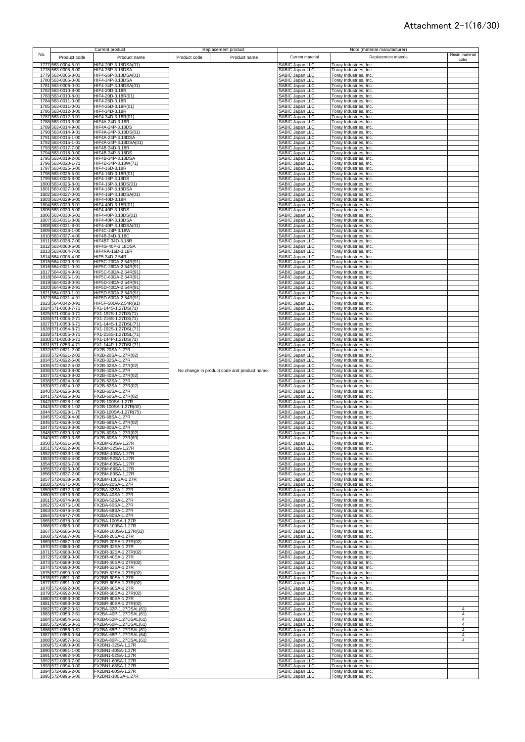|     |                                          | <b>Current product</b>                           |              | Replacement product                         |                                                  |                                                         | Note (material manufacturer) |                |
|-----|------------------------------------------|--------------------------------------------------|--------------|---------------------------------------------|--------------------------------------------------|---------------------------------------------------------|------------------------------|----------------|
| No. | Product code                             | Product name                                     | Product code | Product name                                | Current material                                 |                                                         | Replacement material         | Resin material |
|     | 1777 563-0004-5-01                       | HIF4-20P-3.18DSA(01)                             |              |                                             | SABIC Japan LLC                                  | Toray Industries, Inc.                                  |                              | color          |
|     | 1778 563-0005-8-00                       | HIF4-26P-3.18DSA                                 |              |                                             | SABIC Japan LLC                                  | Toray Industries, Inc.                                  |                              |                |
|     | 1779 563-0005-8-01<br>1780 563-0006-0-00 | HIF4-26P-3.18DSA(01)<br>HIF4-34P-3.18DSA         |              |                                             | <b>SABIC Japan LLC</b><br>SABIC Japan LLC        | Toray Industries, Inc.<br>Toray Industries, Inc.        |                              |                |
|     | 1781 563-0006-0-01                       | HIF4-34P-3.18DSA(01)                             |              |                                             | SABIC Japan LLC                                  | Toray Industries, Inc.                                  |                              |                |
|     | 1782 563-0010-8-00<br>1783 563-0010-8-01 | HIF4-20D-3.18R<br>HIF4-20D-3.18R(01)             |              |                                             | SABIC Japan LLC                                  | <b>Toray Industries, Inc.</b>                           |                              |                |
|     | 1784 563-0011-0-00                       | HIF4-26D-3.18R                                   |              |                                             | <b>SABIC Japan LLC</b><br><b>SABIC Japan LLC</b> | Foray Industries, Inc.<br>Toray Industries, Inc.        |                              |                |
|     | 1785 563-0011-0-01                       | HIF4-26D-3.18R(01)                               |              |                                             | SABIC Japan LLC                                  | Toray Industries, Inc.                                  |                              |                |
|     | 1786 563-0012-3-00<br>1787 563-0012-3-01 | HIF4-34D-3.18R<br>HIF4-34D-3.18R(01)             |              |                                             | <b>SABIC Japan LLC</b><br>SABIC Japan LLC        | Toray Industries, Inc.<br>Toray Industries, Inc.        |                              |                |
|     | 1788 563-0013-6-00                       | HIF4A-24D-3.18R                                  |              |                                             | SABIC Japan LLC                                  | Toray Industries, Inc.                                  |                              |                |
|     | 1789 563-0014-9-00<br>1790 563-0014-9-01 | HIF4A-24P-3.18DS<br>HIF4A-24P-3.18DS(01)         |              |                                             | SABIC Japan LLC<br><b>SABIC Japan LLC</b>        | Toray Industries, Inc.<br>Toray Industries, Inc.        |                              |                |
|     | 1791 563-0015-1-00                       | <b>HIF4A-24P-3.18DSA</b>                         |              |                                             | SABIC Japan LLC                                  | Toray Industries, Inc.                                  |                              |                |
|     | 1792 563-0015-1-01                       | HIF4A-24P-3.18DSA(01)<br>HIF4B-34D-3.18R         |              |                                             | <b>SABIC Japan LLC</b><br><b>ABIC Japan LLC</b>  | Toray Industries, Inc.                                  |                              |                |
|     | 1793 563-0017-7-00<br>1794 563-0018-0-00 | HIF4B-34P-3.18DS                                 |              |                                             | <b>SABIC Japan LLC</b>                           | Toray Industries, Inc.<br>Toray Industries, Inc.        |                              |                |
|     | 1795 563-0019-2-00                       | HIF4B-34P-3.18DSA                                |              |                                             | <b>SABIC Japan LLC</b>                           | Toray Industries, Inc.                                  |                              |                |
|     | 1796 563-0020-1-71<br>1797 563-0025-5-00 | HIF4B-34P-3.18W(71)<br>HIF4-16D-3.18R            |              |                                             | <b>SABIC Japan LLC</b><br><b>SABIC Japan LLC</b> | Foray Industries, Inc.<br>Toray Industries, Inc.        |                              |                |
|     | 1798 563-0025-5-01                       | HIF4-16D-3.18R(01)                               |              |                                             | SABIC Japan LLC                                  | Toray Industries, Inc.                                  |                              |                |
|     | 1799 563-0026-8-00<br>1800 563-0026-8-01 | HIF4-16P-3.18DS<br>HIF4-16P-3.18DS(01)           |              |                                             | <b>SABIC Japan LLC</b><br>SABIC Japan LLC        | Toray Industries, Inc.<br>Toray Industries, Inc.        |                              |                |
|     | 1801 563-0027-0-00                       | HIF4-16P-3.18DSA                                 |              |                                             | SABIC Japan LLC                                  | Toray Industries, Inc.                                  |                              |                |
|     | 1802 563-0027-0-01                       | HIF4-16P-3.18DSA(01)                             |              |                                             | <b>SABIC Japan LLC</b>                           | Toray Industries, Inc.                                  |                              |                |
|     | 1803 563-0029-6-00<br>1804 563-0029-6-01 | HIF4-40D-3.18R<br>HIF4-40D-3.18R(01)             |              |                                             | <b>ABIC Japan LLC</b><br><b>SABIC Japan LLC</b>  | Toray Industries, Inc.<br>Toray Industries, Inc.        |                              |                |
|     | 1805 563-0030-5-00                       | HIF4-40P-3.18DS                                  |              |                                             | <b>SABIC Japan LLC</b>                           | <b>Toray Industries, Inc.</b>                           |                              |                |
|     | 1806 563-0030-5-01<br>1807 563-0031-8-00 | HIF4-40P-3.18DS(01)<br>HIF4-40P-3.18DSA          |              |                                             | SABIC Japan LLC<br>SABIC Japan LLC               | Toray Industries, Inc.<br>Toray Industries, Inc.        |                              |                |
|     | 1808 563-0031-8-01                       | HIF4-40P-3.18DSA(01)                             |              |                                             | SABIC Japan LLC                                  | Torav Industries, Inc.                                  |                              |                |
|     | 1809 563-0036-1-00<br>1810 563-0037-4-00 | HIF4C-24P-3.18W<br>HIF4B-34D-3.18C               |              |                                             | SABIC Japan LLC<br>SABIC Japan LLC               | Toray Industries, Inc.<br>Toray Industries, Inc.        |                              |                |
|     | 1811 563-0038-7-00                       | HIF4BT-34D-3.18R                                 |              |                                             | SABIC Japan LLC                                  | Toray Industries, Inc.                                  |                              |                |
|     | 1812 563-0060-6-00                       | HIF4G-40P-3.18DSA                                |              |                                             | SABIC Japan LLC                                  | Toray Industries, Inc.                                  |                              |                |
|     | 1813 563-0064-7-00<br>1814 564-0005-4-00 | HIF4RA-16D-3.18R<br>HIF5-34D-2.54R               |              |                                             | SABIC Japan LLC<br>SABIC Japan LLC               | Toray Industries, Inc.<br>Toray Industries, Inc.        |                              |                |
|     | 1815 564-0020-8-91                       | HIF5C-20DA-2.54R(91)                             |              |                                             | SABIC Japan LLC                                  | Toray Industries, Inc.                                  |                              |                |
|     | 1816 564-0021-0-91<br>1817 564-0024-9-91 | HIF5C-26DA-2.54R(91)<br>HIF5C-50DA-2.54R(91)     |              |                                             | SABIC Japan LLC<br>SABIC Japan LLC               | Toray Industries, Inc.<br>Toray Industries, Inc.        |                              |                |
|     | 1818 564-0025-1-91                       | HIF5C-60DA-2.54R(91)                             |              |                                             | <b>SABIC Japan LLC</b>                           | Toray Industries, Inc.                                  |                              |                |
|     | 1819 564-0028-0-91<br>1820 564-0029-2-91 | HIF5D-34DA-2.54R(91)<br>HIF5D-40DA-2.54R(91)     |              |                                             | SABIC Japan LLC<br>SABIC Japan LLC               | Toray Industries, Inc.<br>Toray Industries, Inc.        |                              |                |
|     | 1821 564-0030-1-91                       | HIF5D-50DA-2.54R(91)                             |              |                                             | <b>SABIC Japan LLC</b>                           | Foray Industries, Inc.                                  |                              |                |
|     | 1822 564-0031-4-91                       | HIF5D-60DA-2.54R(91)                             |              |                                             | SABIC Japan LLC                                  | Toray Industries, Inc.                                  |                              |                |
|     | 1823 564-0042-0-91<br>1824 571-0003-7-71 | HIF5F-50DA-2.54R(91)<br>FX1-144S-1.27DS(71)      |              |                                             | SABIC Japan LLC<br>SABIC Japan LLC               | Toray Industries, Inc.<br>Toray Industries, Inc.        |                              |                |
|     | 1825 571-0004-0-71                       | FX1-192S-1.27DS(71)                              |              |                                             | SABIC Japan LLC                                  | Toray Industries, Inc.                                  |                              |                |
|     | 1826 571-0005-2-71<br>1827 571-0053-5-71 | FX1-216S-1.27DS(71)<br>FX1-144S-1.27DSL(71)      |              |                                             | SABIC Japan LLC<br>SABIC Japan LLC               | Toray Industries, Inc.<br>Toray Industries, Inc.        |                              |                |
|     | 1828 571-0054-8-71                       | FX1-192S-1.27DSL(71)                             |              |                                             | SABIC Japan LLC                                  | Toray Industries, Inc.                                  |                              |                |
|     | 1829 571-0055-0-71<br>1830 571-0203-6-71 | FX1-216S-1.27DSL(71)<br>FX1-144P-1.27DS(71)      |              |                                             | SABIC Japan LLC<br>SABIC Japan LLC               | Toray Industries, Inc.<br>Toray Industries, Inc.        |                              |                |
|     | 1831 571-0253-4-71                       | FX1-144P-1.27DSL(71)                             |              |                                             | SABIC Japan LLC                                  | Toray Industries, Inc.                                  |                              |                |
|     | 1832 572-0621-2-00<br>1833 572-0621-2-02 | FX2B-20SA-1.27R<br>FX2B-20SA-1.27R(02)           |              |                                             | SABIC Japan LLC<br>SABIC Japan LLC               | Toray Industries, Inc.<br>Toray Industries, Inc.        |                              |                |
|     | 1834 572-0622-5-00                       | FX2B-32SA-1.27R                                  |              |                                             | SABIC Japan LLC                                  | Toray Industries, Inc.                                  |                              |                |
|     | 1835 572-0622-5-02                       | FX2B-32SA-1.27R(02)                              |              |                                             | SABIC Japan LLC                                  | Toray Industries, Inc.                                  |                              |                |
|     | 1836 572-0623-8-00<br>1837 572-0623-8-02 | FX2B-40SA-1.27R<br>FX2B-40SA-1.27R(02)           |              | No change in product code and product name. | SABIC Japan LLC<br>SABIC Japan LLC               | Toray Industries, Inc.<br>Toray Industries, Inc.        |                              |                |
|     | 1838 572-0624-0-00                       | FX2B-52SA-1.27R                                  |              |                                             | SABIC Japan LLC                                  | Toray Industries, Inc.                                  |                              |                |
|     | 1839 572-0624-0-02<br>1840 572-0625-3-00 | FX2B-52SA-1.27R(02)<br>FX2B-60SA-1.27R           |              |                                             | SABIC Japan LLC<br><b>SABIC Japan LLC</b>        | Toray Industries, Inc.<br>Toray Industries, Inc.        |                              |                |
|     | 1841 572-0625-3-02                       | FX2B-60SA-1.27R(02)                              |              |                                             | SABIC Japan LLC                                  | Toray Industries, Inc.                                  |                              |                |
|     | 1842 572-0628-1-00<br>1843 572-0628-1-02 | FX2B-100SA-1.27R<br>FX2B-100SA-1.27R(02)         |              |                                             | SABIC Japan LLC<br><b>SABIC Japan LLC</b>        | Toray Industries, Inc.<br>Toray Industries, Inc.        |                              |                |
|     | 1844 572-0628-1-75                       | FX2B-100SA-1.27R(75)                             |              |                                             | <b>SABIC Japan LLC</b>                           | Toray Industries, Inc.                                  |                              |                |
|     | 1845 572-0629-4-00                       | FX2B-68SA-1.27R<br>FX2B-68SA-1.27R(02)           |              |                                             | <b>SABIC Japan LLC</b>                           | Toray Industries, Inc.                                  |                              |                |
|     | 1846 572-0629-4-02<br>1847 572-0630-3-00 | FX2B-80SA-1.27R                                  |              |                                             | <b>SABIC Japan LLC</b><br><b>SABIC Japan LLC</b> | <b>Toray Industries, Inc.</b><br>Foray Industries, Inc. |                              |                |
|     | 1848 572-0630-3-02                       | FX2B-80SA-1.27R(02)                              |              |                                             | SABIC Japan LLC                                  | Toray Industries, Inc.                                  |                              |                |
|     | 1849 572-0630-3-69<br>1850 572-0631-6-00 | FX2B-80SA-1.27R(69)<br>FX2BM-20SA-1.27R          |              |                                             | SABIC Japan LLC<br>ABIC Japan LLC                | Toray Industries, Inc.<br>Гoray Industries, Ind         |                              |                |
|     | 1851 572-0632-9-00                       | FX2BM-32SA-1.27R                                 |              |                                             | SABIC Japan LLC                                  | Toray Industries, Inc.                                  |                              |                |
|     | 1852 572-0633-1-00<br>1853 572-0634-4-00 | FX2BM-40SA-1.27R<br>FX2BM-52SA-1.27R             |              |                                             | SABIC Japan LLC<br><b>SABIC Japan LLC</b>        | Toray Industries, Inc.<br>Toray Industries, Inc.        |                              |                |
|     | 1854 572-0635-7-00                       | FX2BM-60SA-1.27R                                 |              |                                             | <b>SABIC Japan LLC</b>                           | Toray Industries, Inc.                                  |                              |                |
|     | 1855 572-0636-0-00<br>1856 572-0637-2-00 | FX2BM-68SA-1.27R<br>FX2BM-80SA-1.27R             |              |                                             | <b>SABIC Japan LLC</b><br>SABIC Japan LLC        | Toray Industries, Inc.<br>Toray Industries, Inc.        |                              |                |
|     | 1857 572-0638-5-00                       | FX2BM-100SA-1.27R                                |              |                                             | SABIC Japan LLC                                  | Toray Industries, Inc.                                  |                              |                |
|     | 1858 572-0671-0-00                       | FX2BA-20SA-1.27R                                 |              |                                             | SABIC Japan LLC                                  | <b>Toray Industries, Inc.</b>                           |                              |                |
|     | 1859 572-0672-3-00<br>1860 572-0673-6-00 | FX2BA-32SA-1.27R<br>FX2BA-40SA-1.27R             |              |                                             | SABIC Japan LLC<br>SABIC Japan LLC               | Toray Industries, Inc.<br>Toray Industries, Inc.        |                              |                |
|     | 1861 572-0674-9-00                       | FX2BA-52SA-1.27R                                 |              |                                             | SABIC Japan LLC                                  | Toray Industries, Inc.                                  |                              |                |
|     | 1862 572-0675-1-00<br>1863 572-0676-4-00 | FX2BA-60SA-1.27R<br>FX2BA-68SA-1.27R             |              |                                             | SABIC Japan LLC<br>SABIC Japan LLC               | Toray Industries, Inc.<br>Toray Industries, Inc.        |                              |                |
|     | 1864 572-0677-7-00                       | FX2BA-80SA-1.27R                                 |              |                                             | SABIC Japan LLC                                  | Toray Industries, Inc.                                  |                              |                |
|     | 1865 572-0678-0-00<br>1866 572-0686-0-00 | FX2BA-100SA-1.27R<br>FX2BR-100SA-1.27R           |              |                                             | SABIC Japan LLC<br>SABIC Japan LLC               | Toray Industries, Inc.<br>Toray Industries, Inc.        |                              |                |
|     | 1867 572-0686-0-02                       | FX2BR-100SA-1.27R(02)                            |              |                                             | <b>SABIC Japan LLC</b>                           | Toray Industries, Inc.                                  |                              |                |
|     | 1868 572-0687-0-00<br>1869 572-0687-0-02 | FX2BR-20SA-1.27R<br>FX2BR-20SA-1.27R(02)         |              |                                             | SABIC Japan LLC<br>SABIC Japan LLC               | Toray Industries, Inc.<br>Toray Industries, Inc.        |                              |                |
|     | 1870 572-0688-0-00                       | FX2BR-32SA-1.27R                                 |              |                                             | SABIC Japan LLC                                  | <b>Toray Industries, Inc.</b>                           |                              |                |
|     | 1871 572-0688-0-02                       | FX2BR-32SA-1.27R(02)                             |              |                                             | SABIC Japan LLC                                  | <b>Toray Industries, Inc.</b>                           |                              |                |
|     | 1872 572-0689-0-00<br>1873 572-0689-0-02 | FX2BR-40SA-1.27R<br>FX2BR-40SA-1.27R(02)         |              |                                             | SABIC Japan LLC<br>SABIC Japan LLC               | Foray Industries, Inc.<br>Toray Industries, Inc.        |                              |                |
|     | 1874 572-0690-0-00                       | FX2BR-52SA-1.27R                                 |              |                                             | SABIC Japan LLC                                  | Toray Industries, Inc.                                  |                              |                |
|     | 1875 572-0690-0-02<br>1876 572-0691-0-00 | FX2BR-52SA-1.27R(02)<br>FX2BR-60SA-1.27R         |              |                                             | <b>SABIC Japan LLC</b><br>SABIC Japan LLC        | Toray Industries, Inc.<br>Toray Industries, Inc.        |                              |                |
|     | 1877 572-0691-0-02                       | FX2BR-60SA-1.27R(02)                             |              |                                             | SABIC Japan LLC                                  | Toray Industries, Inc.                                  |                              |                |
|     | 1878 572-0692-0-00                       | FX2BR-68SA-1.27R                                 |              |                                             | <b>SABIC Japan LLC</b>                           | Toray Industries, Inc.                                  |                              |                |
|     | 1879 572-0692-0-02<br>1880 572-0693-0-00 | FX2BR-68SA-1.27R(02)<br>FX2BR-80SA-1.27R         |              |                                             | <b>SABIC Japan LLC</b><br><b>SABIC Japan LLC</b> | Toray Industries, Inc.<br>Toray Industries, Inc.        |                              |                |
|     | 1881 572-0693-0-02                       | FX2BR-80SA-1.27R(02)                             |              |                                             | SABIC Japan LLC                                  | <b>Toray Industries, Inc.</b>                           |                              |                |
|     | 1882 572-0952-0-61<br>1883 572-0953-2-61 | FX2BA-32P-1.27DSAL(61)<br>FX2BA-40P-1.27DSAL(61) |              |                                             | SABIC Japan LLC<br>SABIC Japan LLC               | Toray Industries, Inc.<br><b>Toray Industries, Inc.</b> |                              | 4<br>4         |
|     | 1884 572-0954-5-61                       | FX2BA-52P-1.27DSAL(61)                           |              |                                             | SABIC Japan LLC                                  | Toray Industries, Inc.                                  |                              | 4              |
|     | 1885 572-0955-8-61<br>1886 572-0956-0-61 | FX2BA-60P-1.27DSAL(61)<br>FX2BA-68P-1.27DSAL(61) |              |                                             | SABIC Japan LLC<br>SABIC Japan LLC               | Toray Industries, Inc.<br>Toray Industries, Inc.        |                              | 4<br>4         |
|     | 1887 572-0956-0-64                       | FX2BA-68P-1.27DSAL(64)                           |              |                                             | SABIC Japan LLC                                  | Toray Industries, Inc.                                  |                              | 4              |
|     | 1888 572-0957-3-61<br>1889 572-0990-9-00 | FX2BA-80P-1.27DSAL(61)<br>FX2BN1-32SA-1.27R      |              |                                             | <b>SABIC Japan LLC</b><br>SABIC Japan LLC        | Toray Industries, Inc.<br>Toray Industries, Inc.        |                              | 4              |
|     | 1890 572-0991-1-00                       | FX2BN1-40SA-1.27R                                |              |                                             | SABIC Japan LLC                                  | Toray Industries, Inc.                                  |                              |                |
|     | 1891 572-0992-4-00                       | FX2BN1-52SA-1.27R                                |              |                                             | <b>SABIC Japan LLC</b>                           | Toray Industries, Inc.                                  |                              |                |
|     | 1892 572-0993-7-00<br>1893 572-0994-0-00 | FX2BN1-60SA-1.27R<br>FX2BN1-68SA-1.27R           |              |                                             | SABIC Japan LLC<br>SABIC Japan LLC               | Toray Industries, Inc.<br>Toray Industries, Inc.        |                              |                |
|     | 1894 572-0995-2-00                       | FX2BN1-80SA-1.27R                                |              |                                             | <b>SABIC Japan LLC</b>                           | Toray Industries, Inc.                                  |                              |                |
|     | 1895 572-0996-5-00                       | FX2BN1-100SA-1.27R                               |              |                                             | SABIC Japan LLC                                  | Toray Industries, Inc.                                  |                              |                |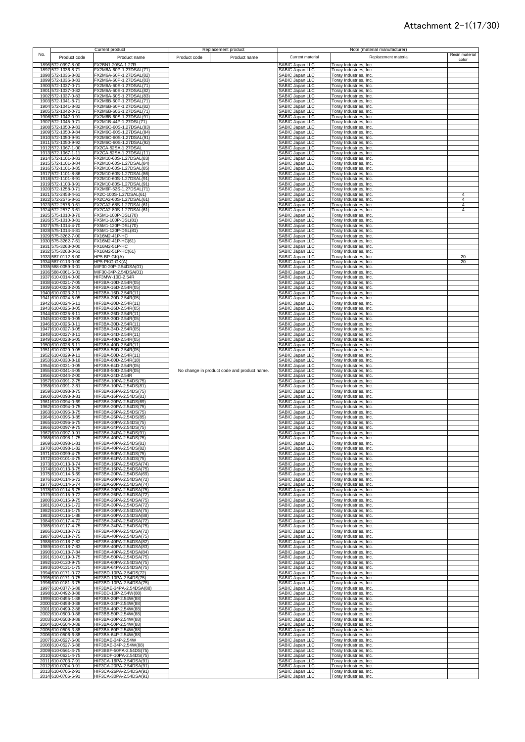| No.<br>Product code<br>Product name<br>Product code<br>Product name<br>Current material<br>Replacement material<br>1896 572-0997-8-00<br>FX2BN1-20SA-1.27R<br>SABIC Japan LLC<br>Toray Industries, Inc.<br>FX2M6A-60P-1.27DSAL(71<br>1897 572-1036-8-71<br>SABIC Japan LLC<br>Toray Industries, Inc.<br>1898 572-1036-8-82<br>FX2M6A-60P-1.27DSAL(82)<br>SABIC Japan LLC<br>Toray Industries, Inc.<br>1899 572-1036-8-83<br>FX2M6A-60P-1.27DSAL(83)<br>SABIC Japan LLC<br>Toray Industries, Inc.<br>1900 572-1037-0-71<br>FX2M6A-60S-1.27DSAL(71)<br>SABIC Japan LLC<br>Toray Industries, Inc.<br>1901 572-1037-0-82<br>FX2M6A-60S-1.27DSAL(82)<br>SABIC Japan LLC<br>Toray Industries, Inc.<br>1902 572-1037-0-83<br>FX2M6A-60S-1.27DSAL(83)<br>SABIC Japan LLC<br>Toray Industries, Inc.<br>FX2M6B-60P-1.27DSAL(71)<br>1903 572-1041-8-71<br>SABIC Japan LLC<br>Toray Industries, Inc.<br>1904 572-1041-8-82<br>FX2M6B-60P-1.27DSAL(82)<br>SABIC Japan LLC<br>Toray Industries, Inc.<br>1905 572-1042-0-71<br>FX2M6B-60S-1.27DSAL(71)<br>SABIC Japan LLC<br>Toray Industries, Inc.<br>FX2M6B-60S-1.27DSAL(91)<br>1906 572-1042-0-91<br>SABIC Japan LLC<br>Toray Industries, Inc.<br>FX2M1B-44P-1.27DSL(71)<br>1907 572-1045-9-71<br>SABIC Japan LLC<br>Toray Industries, Inc.<br>1908 572-1050-9-83<br>FX2M6C-60S-1.27DSAL(83)<br>SABIC Japan LLC<br>Toray Industries, Inc.<br>SABIC Japan LLC<br>1909 572-1050-9-84<br>FX2M6C-60S-1.27DSAL(84)<br>Toray Industries, Inc.<br>SABIC Japan LLC<br>1910 572-1050-9-91<br>FX2M6C-60S-1.27DSAL(91)<br>Toray Industries, Inc.<br>1911 572-1050-9-92<br>FX2M6C-60S-1.27DSAL(92)<br>SABIC Japan LLC<br>SABIC Japan LLC<br>Toray Industries, Inc.<br>1912 572-1067-1-00<br>FX2CA-52SA-1.27DSAL<br>Toray Industries, Inc.<br>1913 572-1067-1-11<br>FX2CA-52SA-1.27DSAL(11)<br>SABIC Japan LLC<br>Toray Industries, Inc.<br>1914 572-1101-8-83<br>FX2M10-60S-1.27DSAL(83)<br>SABIC Japan LLC<br>Toray Industries, Inc.<br>FX2M10-60S-1.27DSAL(84)<br>SABIC Japan LLC<br>SABIC Japan LLC<br>1915 572-1101-8-84<br>Toray Industries, Inc.<br>1916 572-1101-8-85<br>FX2M10-60S-1.27DSAL(85)<br>Toray Industries, Inc.<br>SABIC Japan LLC<br>FX2M10-60S-1.27DSAL(86)<br>1917 572-1101-8-86<br>Toray Industries, Inc.<br>1918 572-1101-8-91<br>FX2M10-60S-1.27DSAL(91)<br>SABIC Japan LLC<br>Toray Industries, Inc.<br>1919 572-1103-3-91<br>FX2M10-80S-1.27DSAL(91)<br>SABIC Japan LLC<br>Toray Industries, Inc.<br>1920 572-1258-0-71<br>FX2M6F-52S-1.27DSAL(71)<br>SABIC Japan LLC<br>Toray Industries, Inc.<br>1921 572-2458-4-61<br>FX2C-100S-1.27DSAL(61)<br><b>SABIC Japan LLC</b><br>Toray Industries, Inc.<br>1922 572-2575-8-61<br>FX2CA2-60S-1.27DSAL(61)<br>SABIC Japan LLC<br>Toray Industries, Inc.<br>FX2CA2-68S-1.27DSAL(61)<br>SABIC Japan LLC<br>1923 572-2576-0-61<br>Toray Industries, Inc.<br>1924 572-2577-3-61<br>FX2CA2-80S-1.27DSAL(61)<br>SABIC Japan LLC<br>Toray Industries, Inc.<br>1925 575-1010-3-70<br>FX5M1-100P-DSL(70)<br>SABIC Japan LLC<br>Toray Industries, Inc.<br>1926 575-1010-3-81<br>FX5M1-100P-DSL(81)<br>SABIC Japan LLC<br>Toray Industries, Inc.<br>1927 575-1014-4-70<br>FX5M1-120P-DSL(70)<br>SABIC Japan LLC<br>Toray Industries, Inc.<br>FX5M1-120P-DSL(81)<br>1928 575-1014-4-81<br>SABIC Japan LLC<br>Toray Industries, Inc.<br>1929 575-3262-7-00<br>FX16M2-41P-HC<br>SABIC Japan LLC<br>Toray Industries, Inc.<br>1930 575-3262-7-61<br>FX16M2-41P-HC(61)<br>SABIC Japan LLC<br>Toray Industries, Inc.<br>1931 575-3263-0-00<br>FX16M2-51P-HC<br>SABIC Japan LLC<br>Toray Industries, Inc.<br>1932 575-3263-0-61<br>SABIC Japan LLC<br>FX16M2-51P-HC(61)<br>Toray Industries, Inc.<br>SABIC Japan LLC<br>1933 587-0112-8-00<br>HP5-BP-GK(A)<br>Toray Industries, Inc.<br>SABIC Japan LLC<br>1934 587-0113-0-00<br>HP5-PKG-GK(A)<br>Toray Industries, Inc.<br>SABIC Japan LLC<br>1935 588-0059-3-01<br>MIF30-20P-2.54DSA(01)<br>Toray Industries, Inc.<br>1936 588-0061-5-01<br>MIF30-34P-2.54DSA(01)<br>SABIC Japan LLC<br>Toray Industries, Inc.<br>1937 610-0014-0-00<br>HIF3MW-10D-2.54R<br><b>SABIC Japan LLC</b><br>Toray Industries, Inc.<br>1938 610-0021-7-05<br>HIF3BA-10D-2.54R(05)<br>SABIC Japan LLC<br>Toray Industries, Inc.<br>1939 610-0023-2-05<br>HIF3BA-16D-2.54R(05)<br>SABIC Japan LLC<br>Toray Industries, Inc.<br>HIF3BA-16D-2.54R(11)<br>SABIC Japan LLC<br>1940 610-0023-2-11<br>Toray Industries, Inc.<br>SABIC Japan LLC<br>HIF3BA-20D-2.54R(05)<br>1941 610-0024-5-05<br>Toray Industries, Inc.<br>SABIC Japan LLC<br>HIF3BA-20D-2.54R(11)<br>1942 610-0024-5-11<br>Toray Industries, Inc.<br>SABIC Japan LLC<br>1943 610-0025-8-05<br>HIF3BA-26D-2.54R(05)<br>Toray Industries, Inc.<br>HIF3BA-26D-2.54R(11)<br>SABIC Japan LLC<br>1944 610-0025-8-11<br>Toray Industries, Inc.<br>HIF3BA-30D-2.54R(05)<br>SABIC Japan LLC<br>1945 610-0026-0-05<br>Toray Industries, Inc.<br>1946 610-0026-0-11<br>HIF3BA-30D-2.54R(11)<br>SABIC Japan LLC<br>Toray Industries, Inc.<br>HIF3BA-34D-2.54R(05)<br>SABIC Japan LLC<br>1947 610-0027-3-05<br>Toray Industries, Inc.<br>HIF3BA-34D-2.54R(11)<br>SABIC Japan LLC<br>1948 610-0027-3-11<br>Toray Industries, Inc.<br>HIF3BA-40D-2.54R(05)<br>SABIC Japan LLC<br>1949 610-0028-6-05<br>Toray Industries, Inc.<br>HIF3BA-40D-2.54R(11)<br>SABIC Japan LLC<br>Toray Industries, Inc.<br>1950 610-0028-6-11<br>1951 610-0029-9-05<br>HIF3BA-50D-2.54R(05)<br>SABIC Japan LLC<br>Toray Industries, Inc.<br>1952 610-0029-9-11<br>HIF3BA-50D-2.54R(11)<br>SABIC Japan LLC<br>Toray Industries, Inc.<br>1953 610-0030-8-18<br>HIF3BA-60D-2.54R(18)<br>SABIC Japan LLC<br>Toray Industries, Inc.<br>HIF3BA-64D-2.54R(05)<br>1954 610-0031-0-05<br>SABIC Japan LLC<br>Toray Industries, Inc.<br>1955 610-0041-4-05<br>HIF3BB-50D-2.54R(05)<br>No change in product code and product name.<br>SABIC Japan LLC<br>Toray Industries, Inc.<br>1956 610-0044-2-00<br>HIF3BA-24D-2.54R<br>SABIC Japan LLC<br>Toray Industries, Inc.<br>HIF3BA-10PA-2.54DS(75)<br>SABIC Japan LLC<br>1957 610-0091-2-75<br>Toray Industries, Inc.<br>1958 610-0091-2-81<br>HIF3BA-10PA-2.54DS(81)<br>SABIC Japan LLC<br>Toray Industries, Inc.<br>HIF3BA-16PA-2.54DS(75)<br>SABIC Japan LLC<br>1959 610-0093-8-75<br>Toray Industries, Inc.<br>HIF3BA-16PA-2.54DS(81)<br>SABIC Japan LLC<br>1960 610-0093-8-81<br>Toray Industries, Inc.<br>HIF3BA-20PA-2.54DS(69)<br>SABIC Japan LLC<br>1961 610-0094-0-69<br>Toray Industries, Inc.<br>1962 610-0094-0-75<br>HIF3BA-20PA-2.54DS(75)<br>SABIC Japan LLC<br>Toray Industries, Inc.<br>HIF3BA-26PA-2.54DS(75)<br>SABIC Japan LLC<br>1963 610-0095-3-75<br>Toray Industries, Inc.<br>1964 610-0095-3-85<br>HIF3BA-26PA-2.54DS(85)<br>SABIC Japan LLC<br>Toray Industries, Inc.<br>1965 610-0096-6-75<br>HIF3BA-30PA-2.54DS(75)<br>SABIC Japan LLC<br>Toray Industries, Inc.<br>HIF3BA-34PA-2.54DS(75)<br>SABIC Japan LLC<br>1966 610-0097-9-75<br>Toray Industries, Inc.<br>HIF3BA-34PA-2.54DS(91)<br>SABIC Japan LLC<br>1967 610-0097-9-91<br>Toray Industries, Inc.<br>HIF3BA-40PA-2.54DS(75)<br>SABIC Japan LLC<br>1968 610-0098-1-75<br>Toray Industries, Inc.<br>HIF3BA-40PA-2.54DS(81)<br>1969 610-0098-1-81<br><b>ABIC Japan LLC</b><br>Toray Industries, Ind<br>HIF3BA-40PA-2.54DS(82)<br>SABIC Japan LLC<br>1970 610-0098-1-82<br>Toray Industries, Inc.<br>1971 610-0099-4-75<br>HIF3BA-50PA-2.54DS(75)<br>SABIC Japan LLC<br>Toray Industries, Inc.<br>HIF3BA-64PA-2.54DS(75)<br><b>SABIC Japan LLC</b><br>1972<br>610-0101-4-75<br>Toray Industries, Inc.<br>HIF3BA-16PA-2.54DSA(74)<br>SABIC Japan LLC<br>1973 610-0113-3-74<br>Toray Industries, Inc.<br>HIF3BA-16PA-2.54DSA(75)<br>SABIC Japan LLC<br>1974 610-0113-3-75<br>Toray Industries, Inc.<br>1975 610-0114-6-69<br>HIF3BA-20PA-2.54DSA(69)<br>SABIC Japan LLC<br>Toray Industries, Inc.<br>1976 610-0114-6-72<br>HIF3BA-20PA-2.54DSA(72)<br>SABIC Japan LLC<br>Torav Industries, Inc.<br>1977 610-0114-6-74<br>HIF3BA-20PA-2.54DSA(74)<br>SABIC Japan LLC<br>Toray Industries, Inc.<br>HIF3BA-20PA-2.54DSA(75)<br>1978 610-0114-6-75<br>SABIC Japan LLC<br>Toray Industries, Inc.<br>HIF3BA-26PA-2.54DSA(72)<br>1979 610-0115-9-72<br>SABIC Japan LLC<br>Toray Industries, Inc.<br>1980 610-0115-9-75<br>HIF3BA-26PA-2.54DSA(75)<br>SABIC Japan LLC<br>Toray Industries, Inc.<br>HIF3BA-30PA-2.54DSA(72)<br>1981 610-0116-1-72<br>SABIC Japan LLC<br>Toray Industries, Inc.<br>1982 610-0116-1-75<br>HIF3BA-30PA-2.54DSA(75)<br>SABIC Japan LLC<br>Toray Industries, Inc.<br>SABIC Japan LLC<br>1983 610-0116-1-88<br>HIF3BA-30PA-2.54DSA(88)<br>Toray Industries, Inc.<br>1984 610-0117-4-72<br>HIF3BA-34PA-2.54DSA(72)<br>SABIC Japan LLC<br>Toray Industries, Inc.<br>1985 610-0117-4-75<br>HIF3BA-34PA-2.54DSA(75)<br>SABIC Japan LLC<br>Toray Industries, Inc.<br>SABIC Japan LLC<br>1986 610-0118-7-72<br>HIF3BA-40PA-2.54DSA(72)<br>Toray Industries, Inc.<br>1987 610-0118-7-75<br>HIF3BA-40PA-2.54DSA(75)<br>SABIC Japan LLC<br>Toray Industries, Inc.<br>1988 610-0118-7-82<br>HIF3BA-40PA-2.54DSA(82)<br><b>SABIC Japan LLC</b><br>Toray Industries, Inc.<br>1989 610-0118-7-83<br>HIF3BA-40PA-2.54DSA(83)<br>SABIC Japan LLC<br>Toray Industries, Inc.<br>1990 610-0118-7-84<br>HIF3BA-40PA-2.54DSA(84)<br>SABIC Japan LLC<br>Toray Industries, Inc.<br>HIF3BA-50PA-2.54DSA(75)<br>SABIC Japan LLC<br>1991 610-0119-0-75<br>Toray Industries, Inc.<br>SABIC Japan LLC<br>HIF3BA-60PA-2.54DSA(75)<br>1992 610-0120-9-75<br>Toray Industries, Inc.<br>HIF3BA-64PA-2.54DSA(75)<br>SABIC Japan LLC<br>1993 610-0121-1-75<br>Toray Industries, Inc.<br>1994 610-0171-0-72<br>HIF3BD-10PA-2.54DS(72)<br>SABIC Japan LLC<br>Toray Industries, Inc.<br>HIF3BD-10PA-2.54DS(75)<br>SABIC Japan LLC<br>1995 610-0171-0-75<br>Toray Industries, Inc.<br>1996 610-0181-3-75<br>HIF3BD-10PA-2.54DSA(75)<br>SABIC Japan LLC<br>Toray Industries, Inc.<br>1997 610-0377-5-88<br>HIF3BAE-34PA-2.54DSA(88)<br>SABIC Japan LLC<br>Toray Industries, Inc.<br>HIF3BD-10P-2.54W(88)<br>SABIC Japan LLC<br>1998 610-0492-3-88<br>Toray Industries, Inc.<br>HIF3BA-20P-2.54W(88)<br>SABIC Japan LLC<br>1999 610-0495-1-88<br>Toray Industries, Inc.<br>2000 610-0498-0-88<br>HIF3BA-34P-2.54W(88)<br>SABIC Japan LLC<br>Toray Industries, Inc.<br>2001 610-0499-2-88<br>HIF3BA-40P-2.54W(88)<br>SABIC Japan LLC<br>Toray Industries, Inc.<br>2002 610-0500-0-88<br>HIF3BB-50P-2.54W(88)<br>SABIC Japan LLC<br>Toray Industries, Inc.<br>2003 610-0503-8-88<br>HIF3BA-10P-2.54W(88)<br>SABIC Japan LLC<br>Toray Industries, Inc.<br>HIF3BA-50P-2.54W(88)<br>2004 610-0504-0-88<br>SABIC Japan LLC<br>Toray Industries, Inc.<br>HIF3BA-60P-2.54W(88)<br>2005 610-0505-3-88<br>SABIC Japan LLC<br>Toray Industries, Inc.<br>2006 610-0506-6-88<br>HIF3BA-64P-2.54W(88)<br>SABIC Japan LLC<br>Toray Industries, Inc.<br>HIF3BAE-34P-2.54W<br>2007 610-0527-6-00<br>SABIC Japan LLC<br>Toray Industries, Inc.<br>2008 610-0527-6-88<br>HIF3BAE-34P-2.54W(88)<br>SABIC Japan LLC<br>Toray Industries, Inc.<br>2009 610-0561-4-75<br>HIF3BBF-50PA-2.54DS(75)<br>SABIC Japan LLC<br>Toray Industries, Inc.<br>HIF3BDF-10PA-2.54DS(75)<br>SABIC Japan LLC<br>2010 610-0621-4-75<br>Toray Industries, Inc.<br>SABIC Japan LLC<br>2011 610-0703-7-91<br>HIF3CA-16PA-2.54DSA(91)<br>Toray Industries, Inc.<br>2012 610-0704-0-91<br>HIF3CA-20PA-2.54DSA(91)<br>SABIC Japan LLC<br>Toray Industries, Inc.<br>SABIC Japan LLC<br>2013 610-0705-2-91<br>HIF3CA-26PA-2.54DSA(91)<br>Toray Industries, Inc.<br>SABIC Japan LLC<br>2014 610-0706-5-91<br>HIF3CA-30PA-2.54DSA(91)<br>Toray Industries, Inc. |  | Current product |  | Replacement product |  | Note (material manufacturer) |                     |
|------------------------------------------------------------------------------------------------------------------------------------------------------------------------------------------------------------------------------------------------------------------------------------------------------------------------------------------------------------------------------------------------------------------------------------------------------------------------------------------------------------------------------------------------------------------------------------------------------------------------------------------------------------------------------------------------------------------------------------------------------------------------------------------------------------------------------------------------------------------------------------------------------------------------------------------------------------------------------------------------------------------------------------------------------------------------------------------------------------------------------------------------------------------------------------------------------------------------------------------------------------------------------------------------------------------------------------------------------------------------------------------------------------------------------------------------------------------------------------------------------------------------------------------------------------------------------------------------------------------------------------------------------------------------------------------------------------------------------------------------------------------------------------------------------------------------------------------------------------------------------------------------------------------------------------------------------------------------------------------------------------------------------------------------------------------------------------------------------------------------------------------------------------------------------------------------------------------------------------------------------------------------------------------------------------------------------------------------------------------------------------------------------------------------------------------------------------------------------------------------------------------------------------------------------------------------------------------------------------------------------------------------------------------------------------------------------------------------------------------------------------------------------------------------------------------------------------------------------------------------------------------------------------------------------------------------------------------------------------------------------------------------------------------------------------------------------------------------------------------------------------------------------------------------------------------------------------------------------------------------------------------------------------------------------------------------------------------------------------------------------------------------------------------------------------------------------------------------------------------------------------------------------------------------------------------------------------------------------------------------------------------------------------------------------------------------------------------------------------------------------------------------------------------------------------------------------------------------------------------------------------------------------------------------------------------------------------------------------------------------------------------------------------------------------------------------------------------------------------------------------------------------------------------------------------------------------------------------------------------------------------------------------------------------------------------------------------------------------------------------------------------------------------------------------------------------------------------------------------------------------------------------------------------------------------------------------------------------------------------------------------------------------------------------------------------------------------------------------------------------------------------------------------------------------------------------------------------------------------------------------------------------------------------------------------------------------------------------------------------------------------------------------------------------------------------------------------------------------------------------------------------------------------------------------------------------------------------------------------------------------------------------------------------------------------------------------------------------------------------------------------------------------------------------------------------------------------------------------------------------------------------------------------------------------------------------------------------------------------------------------------------------------------------------------------------------------------------------------------------------------------------------------------------------------------------------------------------------------------------------------------------------------------------------------------------------------------------------------------------------------------------------------------------------------------------------------------------------------------------------------------------------------------------------------------------------------------------------------------------------------------------------------------------------------------------------------------------------------------------------------------------------------------------------------------------------------------------------------------------------------------------------------------------------------------------------------------------------------------------------------------------------------------------------------------------------------------------------------------------------------------------------------------------------------------------------------------------------------------------------------------------------------------------------------------------------------------------------------------------------------------------------------------------------------------------------------------------------------------------------------------------------------------------------------------------------------------------------------------------------------------------------------------------------------------------------------------------------------------------------------------------------------------------------------------------------------------------------------------------------------------------------------------------------------------------------------------------------------------------------------------------------------------------------------------------------------------------------------------------------------------------------------------------------------------------------------------------------------------------------------------------------------------------------------------------------------------------------------------------------------------------------------------------------------------------------------------------------------------------------------------------------------------------------------------------------------------------------------------------------------------------------------------------------------------------------------------------------------------------------------------------------------------------------------------------------------------------------------------------------------------------------------------------------------------------------------------------------------------------------------------------------------------------------------------------------------------------------------------------------------------------------------------------------------------------------------------------------------------------------------------------------------------------------------------------------------------------------------------------------------------------------------------------------------------------------------------------------------------------------------------------------------------------------------------------------------------------------------------------------------------------------------------------------------------------------------------------------------------------------------------------------------------------------------------------------------------------------------------------------------------------------------------------------------------------------------------------------------------------------------------------------------------------------------------------------------------------------------------------------------------------------------------------------------------------------------------------------------------------------------------------------------------------------------------------------------------------------------------------------------------------------------------------------------------------------------------------------------------------------------------------------------------------------------------------------------------------------------------------------------------------------------------------------------------------------------------------------------------------------------------------------------------------------------------------------------------------------------------------------------------------------------------------------------------------------------------------------------------------------------------------------------------------------------------------------------------------------------------------------------------------------------------------------------------------------------------------------------------------------------------------------------------------------------------------------------------------------------------------------------------------------------------------------------------------------------------------------------------------------------------------------------------------------------------------------------------------------------------------------------------------------------------------------------------------------------------------------------------------------------------------------------------------------------------------------------------------------------------------------------------------------------------------------------------------------------------------------------------------------------------|--|-----------------|--|---------------------|--|------------------------------|---------------------|
|                                                                                                                                                                                                                                                                                                                                                                                                                                                                                                                                                                                                                                                                                                                                                                                                                                                                                                                                                                                                                                                                                                                                                                                                                                                                                                                                                                                                                                                                                                                                                                                                                                                                                                                                                                                                                                                                                                                                                                                                                                                                                                                                                                                                                                                                                                                                                                                                                                                                                                                                                                                                                                                                                                                                                                                                                                                                                                                                                                                                                                                                                                                                                                                                                                                                                                                                                                                                                                                                                                                                                                                                                                                                                                                                                                                                                                                                                                                                                                                                                                                                                                                                                                                                                                                                                                                                                                                                                                                                                                                                                                                                                                                                                                                                                                                                                                                                                                                                                                                                                                                                                                                                                                                                                                                                                                                                                                                                                                                                                                                                                                                                                                                                                                                                                                                                                                                                                                                                                                                                                                                                                                                                                                                                                                                                                                                                                                                                                                                                                                                                                                                                                                                                                                                                                                                                                                                                                                                                                                                                                                                                                                                                                                                                                                                                                                                                                                                                                                                                                                                                                                                                                                                                                                                                                                                                                                                                                                                                                                                                                                                                                                                                                                                                                                                                                                                                                                                                                                                                                                                                                                                                                                                                                                                                                                                                                                                                                                                                                                                                                                                                                                                                                                                                                                                                                                                                                                                                                                                                                                                                                                                                                                                                                                                                                                                                                                                                                                                                                                                                                                                                                                                                                                                                                                                                                                                                                                                                                                                                                                                                                                                                                                                                                                                                                                                                                                                                                                                                                                                                                                                                                                                                                                                                                                                                                                                                                                                                                                                                                                                                                                                                                                    |  |                 |  |                     |  |                              | Resin material      |
|                                                                                                                                                                                                                                                                                                                                                                                                                                                                                                                                                                                                                                                                                                                                                                                                                                                                                                                                                                                                                                                                                                                                                                                                                                                                                                                                                                                                                                                                                                                                                                                                                                                                                                                                                                                                                                                                                                                                                                                                                                                                                                                                                                                                                                                                                                                                                                                                                                                                                                                                                                                                                                                                                                                                                                                                                                                                                                                                                                                                                                                                                                                                                                                                                                                                                                                                                                                                                                                                                                                                                                                                                                                                                                                                                                                                                                                                                                                                                                                                                                                                                                                                                                                                                                                                                                                                                                                                                                                                                                                                                                                                                                                                                                                                                                                                                                                                                                                                                                                                                                                                                                                                                                                                                                                                                                                                                                                                                                                                                                                                                                                                                                                                                                                                                                                                                                                                                                                                                                                                                                                                                                                                                                                                                                                                                                                                                                                                                                                                                                                                                                                                                                                                                                                                                                                                                                                                                                                                                                                                                                                                                                                                                                                                                                                                                                                                                                                                                                                                                                                                                                                                                                                                                                                                                                                                                                                                                                                                                                                                                                                                                                                                                                                                                                                                                                                                                                                                                                                                                                                                                                                                                                                                                                                                                                                                                                                                                                                                                                                                                                                                                                                                                                                                                                                                                                                                                                                                                                                                                                                                                                                                                                                                                                                                                                                                                                                                                                                                                                                                                                                                                                                                                                                                                                                                                                                                                                                                                                                                                                                                                                                                                                                                                                                                                                                                                                                                                                                                                                                                                                                                                                                                                                                                                                                                                                                                                                                                                                                                                                                                                                                                                                    |  |                 |  |                     |  |                              | color               |
|                                                                                                                                                                                                                                                                                                                                                                                                                                                                                                                                                                                                                                                                                                                                                                                                                                                                                                                                                                                                                                                                                                                                                                                                                                                                                                                                                                                                                                                                                                                                                                                                                                                                                                                                                                                                                                                                                                                                                                                                                                                                                                                                                                                                                                                                                                                                                                                                                                                                                                                                                                                                                                                                                                                                                                                                                                                                                                                                                                                                                                                                                                                                                                                                                                                                                                                                                                                                                                                                                                                                                                                                                                                                                                                                                                                                                                                                                                                                                                                                                                                                                                                                                                                                                                                                                                                                                                                                                                                                                                                                                                                                                                                                                                                                                                                                                                                                                                                                                                                                                                                                                                                                                                                                                                                                                                                                                                                                                                                                                                                                                                                                                                                                                                                                                                                                                                                                                                                                                                                                                                                                                                                                                                                                                                                                                                                                                                                                                                                                                                                                                                                                                                                                                                                                                                                                                                                                                                                                                                                                                                                                                                                                                                                                                                                                                                                                                                                                                                                                                                                                                                                                                                                                                                                                                                                                                                                                                                                                                                                                                                                                                                                                                                                                                                                                                                                                                                                                                                                                                                                                                                                                                                                                                                                                                                                                                                                                                                                                                                                                                                                                                                                                                                                                                                                                                                                                                                                                                                                                                                                                                                                                                                                                                                                                                                                                                                                                                                                                                                                                                                                                                                                                                                                                                                                                                                                                                                                                                                                                                                                                                                                                                                                                                                                                                                                                                                                                                                                                                                                                                                                                                                                                                                                                                                                                                                                                                                                                                                                                                                                                                                                                                                    |  |                 |  |                     |  |                              |                     |
|                                                                                                                                                                                                                                                                                                                                                                                                                                                                                                                                                                                                                                                                                                                                                                                                                                                                                                                                                                                                                                                                                                                                                                                                                                                                                                                                                                                                                                                                                                                                                                                                                                                                                                                                                                                                                                                                                                                                                                                                                                                                                                                                                                                                                                                                                                                                                                                                                                                                                                                                                                                                                                                                                                                                                                                                                                                                                                                                                                                                                                                                                                                                                                                                                                                                                                                                                                                                                                                                                                                                                                                                                                                                                                                                                                                                                                                                                                                                                                                                                                                                                                                                                                                                                                                                                                                                                                                                                                                                                                                                                                                                                                                                                                                                                                                                                                                                                                                                                                                                                                                                                                                                                                                                                                                                                                                                                                                                                                                                                                                                                                                                                                                                                                                                                                                                                                                                                                                                                                                                                                                                                                                                                                                                                                                                                                                                                                                                                                                                                                                                                                                                                                                                                                                                                                                                                                                                                                                                                                                                                                                                                                                                                                                                                                                                                                                                                                                                                                                                                                                                                                                                                                                                                                                                                                                                                                                                                                                                                                                                                                                                                                                                                                                                                                                                                                                                                                                                                                                                                                                                                                                                                                                                                                                                                                                                                                                                                                                                                                                                                                                                                                                                                                                                                                                                                                                                                                                                                                                                                                                                                                                                                                                                                                                                                                                                                                                                                                                                                                                                                                                                                                                                                                                                                                                                                                                                                                                                                                                                                                                                                                                                                                                                                                                                                                                                                                                                                                                                                                                                                                                                                                                                                                                                                                                                                                                                                                                                                                                                                                                                                                                                                                    |  |                 |  |                     |  |                              |                     |
|                                                                                                                                                                                                                                                                                                                                                                                                                                                                                                                                                                                                                                                                                                                                                                                                                                                                                                                                                                                                                                                                                                                                                                                                                                                                                                                                                                                                                                                                                                                                                                                                                                                                                                                                                                                                                                                                                                                                                                                                                                                                                                                                                                                                                                                                                                                                                                                                                                                                                                                                                                                                                                                                                                                                                                                                                                                                                                                                                                                                                                                                                                                                                                                                                                                                                                                                                                                                                                                                                                                                                                                                                                                                                                                                                                                                                                                                                                                                                                                                                                                                                                                                                                                                                                                                                                                                                                                                                                                                                                                                                                                                                                                                                                                                                                                                                                                                                                                                                                                                                                                                                                                                                                                                                                                                                                                                                                                                                                                                                                                                                                                                                                                                                                                                                                                                                                                                                                                                                                                                                                                                                                                                                                                                                                                                                                                                                                                                                                                                                                                                                                                                                                                                                                                                                                                                                                                                                                                                                                                                                                                                                                                                                                                                                                                                                                                                                                                                                                                                                                                                                                                                                                                                                                                                                                                                                                                                                                                                                                                                                                                                                                                                                                                                                                                                                                                                                                                                                                                                                                                                                                                                                                                                                                                                                                                                                                                                                                                                                                                                                                                                                                                                                                                                                                                                                                                                                                                                                                                                                                                                                                                                                                                                                                                                                                                                                                                                                                                                                                                                                                                                                                                                                                                                                                                                                                                                                                                                                                                                                                                                                                                                                                                                                                                                                                                                                                                                                                                                                                                                                                                                                                                                                                                                                                                                                                                                                                                                                                                                                                                                                                                                                                    |  |                 |  |                     |  |                              |                     |
|                                                                                                                                                                                                                                                                                                                                                                                                                                                                                                                                                                                                                                                                                                                                                                                                                                                                                                                                                                                                                                                                                                                                                                                                                                                                                                                                                                                                                                                                                                                                                                                                                                                                                                                                                                                                                                                                                                                                                                                                                                                                                                                                                                                                                                                                                                                                                                                                                                                                                                                                                                                                                                                                                                                                                                                                                                                                                                                                                                                                                                                                                                                                                                                                                                                                                                                                                                                                                                                                                                                                                                                                                                                                                                                                                                                                                                                                                                                                                                                                                                                                                                                                                                                                                                                                                                                                                                                                                                                                                                                                                                                                                                                                                                                                                                                                                                                                                                                                                                                                                                                                                                                                                                                                                                                                                                                                                                                                                                                                                                                                                                                                                                                                                                                                                                                                                                                                                                                                                                                                                                                                                                                                                                                                                                                                                                                                                                                                                                                                                                                                                                                                                                                                                                                                                                                                                                                                                                                                                                                                                                                                                                                                                                                                                                                                                                                                                                                                                                                                                                                                                                                                                                                                                                                                                                                                                                                                                                                                                                                                                                                                                                                                                                                                                                                                                                                                                                                                                                                                                                                                                                                                                                                                                                                                                                                                                                                                                                                                                                                                                                                                                                                                                                                                                                                                                                                                                                                                                                                                                                                                                                                                                                                                                                                                                                                                                                                                                                                                                                                                                                                                                                                                                                                                                                                                                                                                                                                                                                                                                                                                                                                                                                                                                                                                                                                                                                                                                                                                                                                                                                                                                                                                                                                                                                                                                                                                                                                                                                                                                                                                                                                                                                    |  |                 |  |                     |  |                              |                     |
|                                                                                                                                                                                                                                                                                                                                                                                                                                                                                                                                                                                                                                                                                                                                                                                                                                                                                                                                                                                                                                                                                                                                                                                                                                                                                                                                                                                                                                                                                                                                                                                                                                                                                                                                                                                                                                                                                                                                                                                                                                                                                                                                                                                                                                                                                                                                                                                                                                                                                                                                                                                                                                                                                                                                                                                                                                                                                                                                                                                                                                                                                                                                                                                                                                                                                                                                                                                                                                                                                                                                                                                                                                                                                                                                                                                                                                                                                                                                                                                                                                                                                                                                                                                                                                                                                                                                                                                                                                                                                                                                                                                                                                                                                                                                                                                                                                                                                                                                                                                                                                                                                                                                                                                                                                                                                                                                                                                                                                                                                                                                                                                                                                                                                                                                                                                                                                                                                                                                                                                                                                                                                                                                                                                                                                                                                                                                                                                                                                                                                                                                                                                                                                                                                                                                                                                                                                                                                                                                                                                                                                                                                                                                                                                                                                                                                                                                                                                                                                                                                                                                                                                                                                                                                                                                                                                                                                                                                                                                                                                                                                                                                                                                                                                                                                                                                                                                                                                                                                                                                                                                                                                                                                                                                                                                                                                                                                                                                                                                                                                                                                                                                                                                                                                                                                                                                                                                                                                                                                                                                                                                                                                                                                                                                                                                                                                                                                                                                                                                                                                                                                                                                                                                                                                                                                                                                                                                                                                                                                                                                                                                                                                                                                                                                                                                                                                                                                                                                                                                                                                                                                                                                                                                                                                                                                                                                                                                                                                                                                                                                                                                                                                                                                    |  |                 |  |                     |  |                              |                     |
|                                                                                                                                                                                                                                                                                                                                                                                                                                                                                                                                                                                                                                                                                                                                                                                                                                                                                                                                                                                                                                                                                                                                                                                                                                                                                                                                                                                                                                                                                                                                                                                                                                                                                                                                                                                                                                                                                                                                                                                                                                                                                                                                                                                                                                                                                                                                                                                                                                                                                                                                                                                                                                                                                                                                                                                                                                                                                                                                                                                                                                                                                                                                                                                                                                                                                                                                                                                                                                                                                                                                                                                                                                                                                                                                                                                                                                                                                                                                                                                                                                                                                                                                                                                                                                                                                                                                                                                                                                                                                                                                                                                                                                                                                                                                                                                                                                                                                                                                                                                                                                                                                                                                                                                                                                                                                                                                                                                                                                                                                                                                                                                                                                                                                                                                                                                                                                                                                                                                                                                                                                                                                                                                                                                                                                                                                                                                                                                                                                                                                                                                                                                                                                                                                                                                                                                                                                                                                                                                                                                                                                                                                                                                                                                                                                                                                                                                                                                                                                                                                                                                                                                                                                                                                                                                                                                                                                                                                                                                                                                                                                                                                                                                                                                                                                                                                                                                                                                                                                                                                                                                                                                                                                                                                                                                                                                                                                                                                                                                                                                                                                                                                                                                                                                                                                                                                                                                                                                                                                                                                                                                                                                                                                                                                                                                                                                                                                                                                                                                                                                                                                                                                                                                                                                                                                                                                                                                                                                                                                                                                                                                                                                                                                                                                                                                                                                                                                                                                                                                                                                                                                                                                                                                                                                                                                                                                                                                                                                                                                                                                                                                                                                                                                    |  |                 |  |                     |  |                              |                     |
|                                                                                                                                                                                                                                                                                                                                                                                                                                                                                                                                                                                                                                                                                                                                                                                                                                                                                                                                                                                                                                                                                                                                                                                                                                                                                                                                                                                                                                                                                                                                                                                                                                                                                                                                                                                                                                                                                                                                                                                                                                                                                                                                                                                                                                                                                                                                                                                                                                                                                                                                                                                                                                                                                                                                                                                                                                                                                                                                                                                                                                                                                                                                                                                                                                                                                                                                                                                                                                                                                                                                                                                                                                                                                                                                                                                                                                                                                                                                                                                                                                                                                                                                                                                                                                                                                                                                                                                                                                                                                                                                                                                                                                                                                                                                                                                                                                                                                                                                                                                                                                                                                                                                                                                                                                                                                                                                                                                                                                                                                                                                                                                                                                                                                                                                                                                                                                                                                                                                                                                                                                                                                                                                                                                                                                                                                                                                                                                                                                                                                                                                                                                                                                                                                                                                                                                                                                                                                                                                                                                                                                                                                                                                                                                                                                                                                                                                                                                                                                                                                                                                                                                                                                                                                                                                                                                                                                                                                                                                                                                                                                                                                                                                                                                                                                                                                                                                                                                                                                                                                                                                                                                                                                                                                                                                                                                                                                                                                                                                                                                                                                                                                                                                                                                                                                                                                                                                                                                                                                                                                                                                                                                                                                                                                                                                                                                                                                                                                                                                                                                                                                                                                                                                                                                                                                                                                                                                                                                                                                                                                                                                                                                                                                                                                                                                                                                                                                                                                                                                                                                                                                                                                                                                                                                                                                                                                                                                                                                                                                                                                                                                                                                                                                    |  |                 |  |                     |  |                              |                     |
|                                                                                                                                                                                                                                                                                                                                                                                                                                                                                                                                                                                                                                                                                                                                                                                                                                                                                                                                                                                                                                                                                                                                                                                                                                                                                                                                                                                                                                                                                                                                                                                                                                                                                                                                                                                                                                                                                                                                                                                                                                                                                                                                                                                                                                                                                                                                                                                                                                                                                                                                                                                                                                                                                                                                                                                                                                                                                                                                                                                                                                                                                                                                                                                                                                                                                                                                                                                                                                                                                                                                                                                                                                                                                                                                                                                                                                                                                                                                                                                                                                                                                                                                                                                                                                                                                                                                                                                                                                                                                                                                                                                                                                                                                                                                                                                                                                                                                                                                                                                                                                                                                                                                                                                                                                                                                                                                                                                                                                                                                                                                                                                                                                                                                                                                                                                                                                                                                                                                                                                                                                                                                                                                                                                                                                                                                                                                                                                                                                                                                                                                                                                                                                                                                                                                                                                                                                                                                                                                                                                                                                                                                                                                                                                                                                                                                                                                                                                                                                                                                                                                                                                                                                                                                                                                                                                                                                                                                                                                                                                                                                                                                                                                                                                                                                                                                                                                                                                                                                                                                                                                                                                                                                                                                                                                                                                                                                                                                                                                                                                                                                                                                                                                                                                                                                                                                                                                                                                                                                                                                                                                                                                                                                                                                                                                                                                                                                                                                                                                                                                                                                                                                                                                                                                                                                                                                                                                                                                                                                                                                                                                                                                                                                                                                                                                                                                                                                                                                                                                                                                                                                                                                                                                                                                                                                                                                                                                                                                                                                                                                                                                                                                                                                    |  |                 |  |                     |  |                              |                     |
|                                                                                                                                                                                                                                                                                                                                                                                                                                                                                                                                                                                                                                                                                                                                                                                                                                                                                                                                                                                                                                                                                                                                                                                                                                                                                                                                                                                                                                                                                                                                                                                                                                                                                                                                                                                                                                                                                                                                                                                                                                                                                                                                                                                                                                                                                                                                                                                                                                                                                                                                                                                                                                                                                                                                                                                                                                                                                                                                                                                                                                                                                                                                                                                                                                                                                                                                                                                                                                                                                                                                                                                                                                                                                                                                                                                                                                                                                                                                                                                                                                                                                                                                                                                                                                                                                                                                                                                                                                                                                                                                                                                                                                                                                                                                                                                                                                                                                                                                                                                                                                                                                                                                                                                                                                                                                                                                                                                                                                                                                                                                                                                                                                                                                                                                                                                                                                                                                                                                                                                                                                                                                                                                                                                                                                                                                                                                                                                                                                                                                                                                                                                                                                                                                                                                                                                                                                                                                                                                                                                                                                                                                                                                                                                                                                                                                                                                                                                                                                                                                                                                                                                                                                                                                                                                                                                                                                                                                                                                                                                                                                                                                                                                                                                                                                                                                                                                                                                                                                                                                                                                                                                                                                                                                                                                                                                                                                                                                                                                                                                                                                                                                                                                                                                                                                                                                                                                                                                                                                                                                                                                                                                                                                                                                                                                                                                                                                                                                                                                                                                                                                                                                                                                                                                                                                                                                                                                                                                                                                                                                                                                                                                                                                                                                                                                                                                                                                                                                                                                                                                                                                                                                                                                                                                                                                                                                                                                                                                                                                                                                                                                                                                                                                    |  |                 |  |                     |  |                              |                     |
|                                                                                                                                                                                                                                                                                                                                                                                                                                                                                                                                                                                                                                                                                                                                                                                                                                                                                                                                                                                                                                                                                                                                                                                                                                                                                                                                                                                                                                                                                                                                                                                                                                                                                                                                                                                                                                                                                                                                                                                                                                                                                                                                                                                                                                                                                                                                                                                                                                                                                                                                                                                                                                                                                                                                                                                                                                                                                                                                                                                                                                                                                                                                                                                                                                                                                                                                                                                                                                                                                                                                                                                                                                                                                                                                                                                                                                                                                                                                                                                                                                                                                                                                                                                                                                                                                                                                                                                                                                                                                                                                                                                                                                                                                                                                                                                                                                                                                                                                                                                                                                                                                                                                                                                                                                                                                                                                                                                                                                                                                                                                                                                                                                                                                                                                                                                                                                                                                                                                                                                                                                                                                                                                                                                                                                                                                                                                                                                                                                                                                                                                                                                                                                                                                                                                                                                                                                                                                                                                                                                                                                                                                                                                                                                                                                                                                                                                                                                                                                                                                                                                                                                                                                                                                                                                                                                                                                                                                                                                                                                                                                                                                                                                                                                                                                                                                                                                                                                                                                                                                                                                                                                                                                                                                                                                                                                                                                                                                                                                                                                                                                                                                                                                                                                                                                                                                                                                                                                                                                                                                                                                                                                                                                                                                                                                                                                                                                                                                                                                                                                                                                                                                                                                                                                                                                                                                                                                                                                                                                                                                                                                                                                                                                                                                                                                                                                                                                                                                                                                                                                                                                                                                                                                                                                                                                                                                                                                                                                                                                                                                                                                                                                                                                    |  |                 |  |                     |  |                              |                     |
|                                                                                                                                                                                                                                                                                                                                                                                                                                                                                                                                                                                                                                                                                                                                                                                                                                                                                                                                                                                                                                                                                                                                                                                                                                                                                                                                                                                                                                                                                                                                                                                                                                                                                                                                                                                                                                                                                                                                                                                                                                                                                                                                                                                                                                                                                                                                                                                                                                                                                                                                                                                                                                                                                                                                                                                                                                                                                                                                                                                                                                                                                                                                                                                                                                                                                                                                                                                                                                                                                                                                                                                                                                                                                                                                                                                                                                                                                                                                                                                                                                                                                                                                                                                                                                                                                                                                                                                                                                                                                                                                                                                                                                                                                                                                                                                                                                                                                                                                                                                                                                                                                                                                                                                                                                                                                                                                                                                                                                                                                                                                                                                                                                                                                                                                                                                                                                                                                                                                                                                                                                                                                                                                                                                                                                                                                                                                                                                                                                                                                                                                                                                                                                                                                                                                                                                                                                                                                                                                                                                                                                                                                                                                                                                                                                                                                                                                                                                                                                                                                                                                                                                                                                                                                                                                                                                                                                                                                                                                                                                                                                                                                                                                                                                                                                                                                                                                                                                                                                                                                                                                                                                                                                                                                                                                                                                                                                                                                                                                                                                                                                                                                                                                                                                                                                                                                                                                                                                                                                                                                                                                                                                                                                                                                                                                                                                                                                                                                                                                                                                                                                                                                                                                                                                                                                                                                                                                                                                                                                                                                                                                                                                                                                                                                                                                                                                                                                                                                                                                                                                                                                                                                                                                                                                                                                                                                                                                                                                                                                                                                                                                                                                                                                    |  |                 |  |                     |  |                              |                     |
|                                                                                                                                                                                                                                                                                                                                                                                                                                                                                                                                                                                                                                                                                                                                                                                                                                                                                                                                                                                                                                                                                                                                                                                                                                                                                                                                                                                                                                                                                                                                                                                                                                                                                                                                                                                                                                                                                                                                                                                                                                                                                                                                                                                                                                                                                                                                                                                                                                                                                                                                                                                                                                                                                                                                                                                                                                                                                                                                                                                                                                                                                                                                                                                                                                                                                                                                                                                                                                                                                                                                                                                                                                                                                                                                                                                                                                                                                                                                                                                                                                                                                                                                                                                                                                                                                                                                                                                                                                                                                                                                                                                                                                                                                                                                                                                                                                                                                                                                                                                                                                                                                                                                                                                                                                                                                                                                                                                                                                                                                                                                                                                                                                                                                                                                                                                                                                                                                                                                                                                                                                                                                                                                                                                                                                                                                                                                                                                                                                                                                                                                                                                                                                                                                                                                                                                                                                                                                                                                                                                                                                                                                                                                                                                                                                                                                                                                                                                                                                                                                                                                                                                                                                                                                                                                                                                                                                                                                                                                                                                                                                                                                                                                                                                                                                                                                                                                                                                                                                                                                                                                                                                                                                                                                                                                                                                                                                                                                                                                                                                                                                                                                                                                                                                                                                                                                                                                                                                                                                                                                                                                                                                                                                                                                                                                                                                                                                                                                                                                                                                                                                                                                                                                                                                                                                                                                                                                                                                                                                                                                                                                                                                                                                                                                                                                                                                                                                                                                                                                                                                                                                                                                                                                                                                                                                                                                                                                                                                                                                                                                                                                                                                                                                    |  |                 |  |                     |  |                              |                     |
|                                                                                                                                                                                                                                                                                                                                                                                                                                                                                                                                                                                                                                                                                                                                                                                                                                                                                                                                                                                                                                                                                                                                                                                                                                                                                                                                                                                                                                                                                                                                                                                                                                                                                                                                                                                                                                                                                                                                                                                                                                                                                                                                                                                                                                                                                                                                                                                                                                                                                                                                                                                                                                                                                                                                                                                                                                                                                                                                                                                                                                                                                                                                                                                                                                                                                                                                                                                                                                                                                                                                                                                                                                                                                                                                                                                                                                                                                                                                                                                                                                                                                                                                                                                                                                                                                                                                                                                                                                                                                                                                                                                                                                                                                                                                                                                                                                                                                                                                                                                                                                                                                                                                                                                                                                                                                                                                                                                                                                                                                                                                                                                                                                                                                                                                                                                                                                                                                                                                                                                                                                                                                                                                                                                                                                                                                                                                                                                                                                                                                                                                                                                                                                                                                                                                                                                                                                                                                                                                                                                                                                                                                                                                                                                                                                                                                                                                                                                                                                                                                                                                                                                                                                                                                                                                                                                                                                                                                                                                                                                                                                                                                                                                                                                                                                                                                                                                                                                                                                                                                                                                                                                                                                                                                                                                                                                                                                                                                                                                                                                                                                                                                                                                                                                                                                                                                                                                                                                                                                                                                                                                                                                                                                                                                                                                                                                                                                                                                                                                                                                                                                                                                                                                                                                                                                                                                                                                                                                                                                                                                                                                                                                                                                                                                                                                                                                                                                                                                                                                                                                                                                                                                                                                                                                                                                                                                                                                                                                                                                                                                                                                                                                                                                    |  |                 |  |                     |  |                              |                     |
|                                                                                                                                                                                                                                                                                                                                                                                                                                                                                                                                                                                                                                                                                                                                                                                                                                                                                                                                                                                                                                                                                                                                                                                                                                                                                                                                                                                                                                                                                                                                                                                                                                                                                                                                                                                                                                                                                                                                                                                                                                                                                                                                                                                                                                                                                                                                                                                                                                                                                                                                                                                                                                                                                                                                                                                                                                                                                                                                                                                                                                                                                                                                                                                                                                                                                                                                                                                                                                                                                                                                                                                                                                                                                                                                                                                                                                                                                                                                                                                                                                                                                                                                                                                                                                                                                                                                                                                                                                                                                                                                                                                                                                                                                                                                                                                                                                                                                                                                                                                                                                                                                                                                                                                                                                                                                                                                                                                                                                                                                                                                                                                                                                                                                                                                                                                                                                                                                                                                                                                                                                                                                                                                                                                                                                                                                                                                                                                                                                                                                                                                                                                                                                                                                                                                                                                                                                                                                                                                                                                                                                                                                                                                                                                                                                                                                                                                                                                                                                                                                                                                                                                                                                                                                                                                                                                                                                                                                                                                                                                                                                                                                                                                                                                                                                                                                                                                                                                                                                                                                                                                                                                                                                                                                                                                                                                                                                                                                                                                                                                                                                                                                                                                                                                                                                                                                                                                                                                                                                                                                                                                                                                                                                                                                                                                                                                                                                                                                                                                                                                                                                                                                                                                                                                                                                                                                                                                                                                                                                                                                                                                                                                                                                                                                                                                                                                                                                                                                                                                                                                                                                                                                                                                                                                                                                                                                                                                                                                                                                                                                                                                                                                                                                    |  |                 |  |                     |  |                              |                     |
|                                                                                                                                                                                                                                                                                                                                                                                                                                                                                                                                                                                                                                                                                                                                                                                                                                                                                                                                                                                                                                                                                                                                                                                                                                                                                                                                                                                                                                                                                                                                                                                                                                                                                                                                                                                                                                                                                                                                                                                                                                                                                                                                                                                                                                                                                                                                                                                                                                                                                                                                                                                                                                                                                                                                                                                                                                                                                                                                                                                                                                                                                                                                                                                                                                                                                                                                                                                                                                                                                                                                                                                                                                                                                                                                                                                                                                                                                                                                                                                                                                                                                                                                                                                                                                                                                                                                                                                                                                                                                                                                                                                                                                                                                                                                                                                                                                                                                                                                                                                                                                                                                                                                                                                                                                                                                                                                                                                                                                                                                                                                                                                                                                                                                                                                                                                                                                                                                                                                                                                                                                                                                                                                                                                                                                                                                                                                                                                                                                                                                                                                                                                                                                                                                                                                                                                                                                                                                                                                                                                                                                                                                                                                                                                                                                                                                                                                                                                                                                                                                                                                                                                                                                                                                                                                                                                                                                                                                                                                                                                                                                                                                                                                                                                                                                                                                                                                                                                                                                                                                                                                                                                                                                                                                                                                                                                                                                                                                                                                                                                                                                                                                                                                                                                                                                                                                                                                                                                                                                                                                                                                                                                                                                                                                                                                                                                                                                                                                                                                                                                                                                                                                                                                                                                                                                                                                                                                                                                                                                                                                                                                                                                                                                                                                                                                                                                                                                                                                                                                                                                                                                                                                                                                                                                                                                                                                                                                                                                                                                                                                                                                                                                                                                    |  |                 |  |                     |  |                              |                     |
|                                                                                                                                                                                                                                                                                                                                                                                                                                                                                                                                                                                                                                                                                                                                                                                                                                                                                                                                                                                                                                                                                                                                                                                                                                                                                                                                                                                                                                                                                                                                                                                                                                                                                                                                                                                                                                                                                                                                                                                                                                                                                                                                                                                                                                                                                                                                                                                                                                                                                                                                                                                                                                                                                                                                                                                                                                                                                                                                                                                                                                                                                                                                                                                                                                                                                                                                                                                                                                                                                                                                                                                                                                                                                                                                                                                                                                                                                                                                                                                                                                                                                                                                                                                                                                                                                                                                                                                                                                                                                                                                                                                                                                                                                                                                                                                                                                                                                                                                                                                                                                                                                                                                                                                                                                                                                                                                                                                                                                                                                                                                                                                                                                                                                                                                                                                                                                                                                                                                                                                                                                                                                                                                                                                                                                                                                                                                                                                                                                                                                                                                                                                                                                                                                                                                                                                                                                                                                                                                                                                                                                                                                                                                                                                                                                                                                                                                                                                                                                                                                                                                                                                                                                                                                                                                                                                                                                                                                                                                                                                                                                                                                                                                                                                                                                                                                                                                                                                                                                                                                                                                                                                                                                                                                                                                                                                                                                                                                                                                                                                                                                                                                                                                                                                                                                                                                                                                                                                                                                                                                                                                                                                                                                                                                                                                                                                                                                                                                                                                                                                                                                                                                                                                                                                                                                                                                                                                                                                                                                                                                                                                                                                                                                                                                                                                                                                                                                                                                                                                                                                                                                                                                                                                                                                                                                                                                                                                                                                                                                                                                                                                                                                                                                    |  |                 |  |                     |  |                              |                     |
|                                                                                                                                                                                                                                                                                                                                                                                                                                                                                                                                                                                                                                                                                                                                                                                                                                                                                                                                                                                                                                                                                                                                                                                                                                                                                                                                                                                                                                                                                                                                                                                                                                                                                                                                                                                                                                                                                                                                                                                                                                                                                                                                                                                                                                                                                                                                                                                                                                                                                                                                                                                                                                                                                                                                                                                                                                                                                                                                                                                                                                                                                                                                                                                                                                                                                                                                                                                                                                                                                                                                                                                                                                                                                                                                                                                                                                                                                                                                                                                                                                                                                                                                                                                                                                                                                                                                                                                                                                                                                                                                                                                                                                                                                                                                                                                                                                                                                                                                                                                                                                                                                                                                                                                                                                                                                                                                                                                                                                                                                                                                                                                                                                                                                                                                                                                                                                                                                                                                                                                                                                                                                                                                                                                                                                                                                                                                                                                                                                                                                                                                                                                                                                                                                                                                                                                                                                                                                                                                                                                                                                                                                                                                                                                                                                                                                                                                                                                                                                                                                                                                                                                                                                                                                                                                                                                                                                                                                                                                                                                                                                                                                                                                                                                                                                                                                                                                                                                                                                                                                                                                                                                                                                                                                                                                                                                                                                                                                                                                                                                                                                                                                                                                                                                                                                                                                                                                                                                                                                                                                                                                                                                                                                                                                                                                                                                                                                                                                                                                                                                                                                                                                                                                                                                                                                                                                                                                                                                                                                                                                                                                                                                                                                                                                                                                                                                                                                                                                                                                                                                                                                                                                                                                                                                                                                                                                                                                                                                                                                                                                                                                                                                                                                    |  |                 |  |                     |  |                              |                     |
|                                                                                                                                                                                                                                                                                                                                                                                                                                                                                                                                                                                                                                                                                                                                                                                                                                                                                                                                                                                                                                                                                                                                                                                                                                                                                                                                                                                                                                                                                                                                                                                                                                                                                                                                                                                                                                                                                                                                                                                                                                                                                                                                                                                                                                                                                                                                                                                                                                                                                                                                                                                                                                                                                                                                                                                                                                                                                                                                                                                                                                                                                                                                                                                                                                                                                                                                                                                                                                                                                                                                                                                                                                                                                                                                                                                                                                                                                                                                                                                                                                                                                                                                                                                                                                                                                                                                                                                                                                                                                                                                                                                                                                                                                                                                                                                                                                                                                                                                                                                                                                                                                                                                                                                                                                                                                                                                                                                                                                                                                                                                                                                                                                                                                                                                                                                                                                                                                                                                                                                                                                                                                                                                                                                                                                                                                                                                                                                                                                                                                                                                                                                                                                                                                                                                                                                                                                                                                                                                                                                                                                                                                                                                                                                                                                                                                                                                                                                                                                                                                                                                                                                                                                                                                                                                                                                                                                                                                                                                                                                                                                                                                                                                                                                                                                                                                                                                                                                                                                                                                                                                                                                                                                                                                                                                                                                                                                                                                                                                                                                                                                                                                                                                                                                                                                                                                                                                                                                                                                                                                                                                                                                                                                                                                                                                                                                                                                                                                                                                                                                                                                                                                                                                                                                                                                                                                                                                                                                                                                                                                                                                                                                                                                                                                                                                                                                                                                                                                                                                                                                                                                                                                                                                                                                                                                                                                                                                                                                                                                                                                                                                                                                                                                    |  |                 |  |                     |  |                              | 4<br>$\overline{4}$ |
|                                                                                                                                                                                                                                                                                                                                                                                                                                                                                                                                                                                                                                                                                                                                                                                                                                                                                                                                                                                                                                                                                                                                                                                                                                                                                                                                                                                                                                                                                                                                                                                                                                                                                                                                                                                                                                                                                                                                                                                                                                                                                                                                                                                                                                                                                                                                                                                                                                                                                                                                                                                                                                                                                                                                                                                                                                                                                                                                                                                                                                                                                                                                                                                                                                                                                                                                                                                                                                                                                                                                                                                                                                                                                                                                                                                                                                                                                                                                                                                                                                                                                                                                                                                                                                                                                                                                                                                                                                                                                                                                                                                                                                                                                                                                                                                                                                                                                                                                                                                                                                                                                                                                                                                                                                                                                                                                                                                                                                                                                                                                                                                                                                                                                                                                                                                                                                                                                                                                                                                                                                                                                                                                                                                                                                                                                                                                                                                                                                                                                                                                                                                                                                                                                                                                                                                                                                                                                                                                                                                                                                                                                                                                                                                                                                                                                                                                                                                                                                                                                                                                                                                                                                                                                                                                                                                                                                                                                                                                                                                                                                                                                                                                                                                                                                                                                                                                                                                                                                                                                                                                                                                                                                                                                                                                                                                                                                                                                                                                                                                                                                                                                                                                                                                                                                                                                                                                                                                                                                                                                                                                                                                                                                                                                                                                                                                                                                                                                                                                                                                                                                                                                                                                                                                                                                                                                                                                                                                                                                                                                                                                                                                                                                                                                                                                                                                                                                                                                                                                                                                                                                                                                                                                                                                                                                                                                                                                                                                                                                                                                                                                                                                                                                    |  |                 |  |                     |  |                              | 4                   |
|                                                                                                                                                                                                                                                                                                                                                                                                                                                                                                                                                                                                                                                                                                                                                                                                                                                                                                                                                                                                                                                                                                                                                                                                                                                                                                                                                                                                                                                                                                                                                                                                                                                                                                                                                                                                                                                                                                                                                                                                                                                                                                                                                                                                                                                                                                                                                                                                                                                                                                                                                                                                                                                                                                                                                                                                                                                                                                                                                                                                                                                                                                                                                                                                                                                                                                                                                                                                                                                                                                                                                                                                                                                                                                                                                                                                                                                                                                                                                                                                                                                                                                                                                                                                                                                                                                                                                                                                                                                                                                                                                                                                                                                                                                                                                                                                                                                                                                                                                                                                                                                                                                                                                                                                                                                                                                                                                                                                                                                                                                                                                                                                                                                                                                                                                                                                                                                                                                                                                                                                                                                                                                                                                                                                                                                                                                                                                                                                                                                                                                                                                                                                                                                                                                                                                                                                                                                                                                                                                                                                                                                                                                                                                                                                                                                                                                                                                                                                                                                                                                                                                                                                                                                                                                                                                                                                                                                                                                                                                                                                                                                                                                                                                                                                                                                                                                                                                                                                                                                                                                                                                                                                                                                                                                                                                                                                                                                                                                                                                                                                                                                                                                                                                                                                                                                                                                                                                                                                                                                                                                                                                                                                                                                                                                                                                                                                                                                                                                                                                                                                                                                                                                                                                                                                                                                                                                                                                                                                                                                                                                                                                                                                                                                                                                                                                                                                                                                                                                                                                                                                                                                                                                                                                                                                                                                                                                                                                                                                                                                                                                                                                                                                                                    |  |                 |  |                     |  |                              | 4                   |
|                                                                                                                                                                                                                                                                                                                                                                                                                                                                                                                                                                                                                                                                                                                                                                                                                                                                                                                                                                                                                                                                                                                                                                                                                                                                                                                                                                                                                                                                                                                                                                                                                                                                                                                                                                                                                                                                                                                                                                                                                                                                                                                                                                                                                                                                                                                                                                                                                                                                                                                                                                                                                                                                                                                                                                                                                                                                                                                                                                                                                                                                                                                                                                                                                                                                                                                                                                                                                                                                                                                                                                                                                                                                                                                                                                                                                                                                                                                                                                                                                                                                                                                                                                                                                                                                                                                                                                                                                                                                                                                                                                                                                                                                                                                                                                                                                                                                                                                                                                                                                                                                                                                                                                                                                                                                                                                                                                                                                                                                                                                                                                                                                                                                                                                                                                                                                                                                                                                                                                                                                                                                                                                                                                                                                                                                                                                                                                                                                                                                                                                                                                                                                                                                                                                                                                                                                                                                                                                                                                                                                                                                                                                                                                                                                                                                                                                                                                                                                                                                                                                                                                                                                                                                                                                                                                                                                                                                                                                                                                                                                                                                                                                                                                                                                                                                                                                                                                                                                                                                                                                                                                                                                                                                                                                                                                                                                                                                                                                                                                                                                                                                                                                                                                                                                                                                                                                                                                                                                                                                                                                                                                                                                                                                                                                                                                                                                                                                                                                                                                                                                                                                                                                                                                                                                                                                                                                                                                                                                                                                                                                                                                                                                                                                                                                                                                                                                                                                                                                                                                                                                                                                                                                                                                                                                                                                                                                                                                                                                                                                                                                                                                                                                                    |  |                 |  |                     |  |                              |                     |
|                                                                                                                                                                                                                                                                                                                                                                                                                                                                                                                                                                                                                                                                                                                                                                                                                                                                                                                                                                                                                                                                                                                                                                                                                                                                                                                                                                                                                                                                                                                                                                                                                                                                                                                                                                                                                                                                                                                                                                                                                                                                                                                                                                                                                                                                                                                                                                                                                                                                                                                                                                                                                                                                                                                                                                                                                                                                                                                                                                                                                                                                                                                                                                                                                                                                                                                                                                                                                                                                                                                                                                                                                                                                                                                                                                                                                                                                                                                                                                                                                                                                                                                                                                                                                                                                                                                                                                                                                                                                                                                                                                                                                                                                                                                                                                                                                                                                                                                                                                                                                                                                                                                                                                                                                                                                                                                                                                                                                                                                                                                                                                                                                                                                                                                                                                                                                                                                                                                                                                                                                                                                                                                                                                                                                                                                                                                                                                                                                                                                                                                                                                                                                                                                                                                                                                                                                                                                                                                                                                                                                                                                                                                                                                                                                                                                                                                                                                                                                                                                                                                                                                                                                                                                                                                                                                                                                                                                                                                                                                                                                                                                                                                                                                                                                                                                                                                                                                                                                                                                                                                                                                                                                                                                                                                                                                                                                                                                                                                                                                                                                                                                                                                                                                                                                                                                                                                                                                                                                                                                                                                                                                                                                                                                                                                                                                                                                                                                                                                                                                                                                                                                                                                                                                                                                                                                                                                                                                                                                                                                                                                                                                                                                                                                                                                                                                                                                                                                                                                                                                                                                                                                                                                                                                                                                                                                                                                                                                                                                                                                                                                                                                                                                                    |  |                 |  |                     |  |                              |                     |
|                                                                                                                                                                                                                                                                                                                                                                                                                                                                                                                                                                                                                                                                                                                                                                                                                                                                                                                                                                                                                                                                                                                                                                                                                                                                                                                                                                                                                                                                                                                                                                                                                                                                                                                                                                                                                                                                                                                                                                                                                                                                                                                                                                                                                                                                                                                                                                                                                                                                                                                                                                                                                                                                                                                                                                                                                                                                                                                                                                                                                                                                                                                                                                                                                                                                                                                                                                                                                                                                                                                                                                                                                                                                                                                                                                                                                                                                                                                                                                                                                                                                                                                                                                                                                                                                                                                                                                                                                                                                                                                                                                                                                                                                                                                                                                                                                                                                                                                                                                                                                                                                                                                                                                                                                                                                                                                                                                                                                                                                                                                                                                                                                                                                                                                                                                                                                                                                                                                                                                                                                                                                                                                                                                                                                                                                                                                                                                                                                                                                                                                                                                                                                                                                                                                                                                                                                                                                                                                                                                                                                                                                                                                                                                                                                                                                                                                                                                                                                                                                                                                                                                                                                                                                                                                                                                                                                                                                                                                                                                                                                                                                                                                                                                                                                                                                                                                                                                                                                                                                                                                                                                                                                                                                                                                                                                                                                                                                                                                                                                                                                                                                                                                                                                                                                                                                                                                                                                                                                                                                                                                                                                                                                                                                                                                                                                                                                                                                                                                                                                                                                                                                                                                                                                                                                                                                                                                                                                                                                                                                                                                                                                                                                                                                                                                                                                                                                                                                                                                                                                                                                                                                                                                                                                                                                                                                                                                                                                                                                                                                                                                                                                                                                                    |  |                 |  |                     |  |                              |                     |
|                                                                                                                                                                                                                                                                                                                                                                                                                                                                                                                                                                                                                                                                                                                                                                                                                                                                                                                                                                                                                                                                                                                                                                                                                                                                                                                                                                                                                                                                                                                                                                                                                                                                                                                                                                                                                                                                                                                                                                                                                                                                                                                                                                                                                                                                                                                                                                                                                                                                                                                                                                                                                                                                                                                                                                                                                                                                                                                                                                                                                                                                                                                                                                                                                                                                                                                                                                                                                                                                                                                                                                                                                                                                                                                                                                                                                                                                                                                                                                                                                                                                                                                                                                                                                                                                                                                                                                                                                                                                                                                                                                                                                                                                                                                                                                                                                                                                                                                                                                                                                                                                                                                                                                                                                                                                                                                                                                                                                                                                                                                                                                                                                                                                                                                                                                                                                                                                                                                                                                                                                                                                                                                                                                                                                                                                                                                                                                                                                                                                                                                                                                                                                                                                                                                                                                                                                                                                                                                                                                                                                                                                                                                                                                                                                                                                                                                                                                                                                                                                                                                                                                                                                                                                                                                                                                                                                                                                                                                                                                                                                                                                                                                                                                                                                                                                                                                                                                                                                                                                                                                                                                                                                                                                                                                                                                                                                                                                                                                                                                                                                                                                                                                                                                                                                                                                                                                                                                                                                                                                                                                                                                                                                                                                                                                                                                                                                                                                                                                                                                                                                                                                                                                                                                                                                                                                                                                                                                                                                                                                                                                                                                                                                                                                                                                                                                                                                                                                                                                                                                                                                                                                                                                                                                                                                                                                                                                                                                                                                                                                                                                                                                                                                                    |  |                 |  |                     |  |                              |                     |
|                                                                                                                                                                                                                                                                                                                                                                                                                                                                                                                                                                                                                                                                                                                                                                                                                                                                                                                                                                                                                                                                                                                                                                                                                                                                                                                                                                                                                                                                                                                                                                                                                                                                                                                                                                                                                                                                                                                                                                                                                                                                                                                                                                                                                                                                                                                                                                                                                                                                                                                                                                                                                                                                                                                                                                                                                                                                                                                                                                                                                                                                                                                                                                                                                                                                                                                                                                                                                                                                                                                                                                                                                                                                                                                                                                                                                                                                                                                                                                                                                                                                                                                                                                                                                                                                                                                                                                                                                                                                                                                                                                                                                                                                                                                                                                                                                                                                                                                                                                                                                                                                                                                                                                                                                                                                                                                                                                                                                                                                                                                                                                                                                                                                                                                                                                                                                                                                                                                                                                                                                                                                                                                                                                                                                                                                                                                                                                                                                                                                                                                                                                                                                                                                                                                                                                                                                                                                                                                                                                                                                                                                                                                                                                                                                                                                                                                                                                                                                                                                                                                                                                                                                                                                                                                                                                                                                                                                                                                                                                                                                                                                                                                                                                                                                                                                                                                                                                                                                                                                                                                                                                                                                                                                                                                                                                                                                                                                                                                                                                                                                                                                                                                                                                                                                                                                                                                                                                                                                                                                                                                                                                                                                                                                                                                                                                                                                                                                                                                                                                                                                                                                                                                                                                                                                                                                                                                                                                                                                                                                                                                                                                                                                                                                                                                                                                                                                                                                                                                                                                                                                                                                                                                                                                                                                                                                                                                                                                                                                                                                                                                                                                                                                                    |  |                 |  |                     |  |                              |                     |
|                                                                                                                                                                                                                                                                                                                                                                                                                                                                                                                                                                                                                                                                                                                                                                                                                                                                                                                                                                                                                                                                                                                                                                                                                                                                                                                                                                                                                                                                                                                                                                                                                                                                                                                                                                                                                                                                                                                                                                                                                                                                                                                                                                                                                                                                                                                                                                                                                                                                                                                                                                                                                                                                                                                                                                                                                                                                                                                                                                                                                                                                                                                                                                                                                                                                                                                                                                                                                                                                                                                                                                                                                                                                                                                                                                                                                                                                                                                                                                                                                                                                                                                                                                                                                                                                                                                                                                                                                                                                                                                                                                                                                                                                                                                                                                                                                                                                                                                                                                                                                                                                                                                                                                                                                                                                                                                                                                                                                                                                                                                                                                                                                                                                                                                                                                                                                                                                                                                                                                                                                                                                                                                                                                                                                                                                                                                                                                                                                                                                                                                                                                                                                                                                                                                                                                                                                                                                                                                                                                                                                                                                                                                                                                                                                                                                                                                                                                                                                                                                                                                                                                                                                                                                                                                                                                                                                                                                                                                                                                                                                                                                                                                                                                                                                                                                                                                                                                                                                                                                                                                                                                                                                                                                                                                                                                                                                                                                                                                                                                                                                                                                                                                                                                                                                                                                                                                                                                                                                                                                                                                                                                                                                                                                                                                                                                                                                                                                                                                                                                                                                                                                                                                                                                                                                                                                                                                                                                                                                                                                                                                                                                                                                                                                                                                                                                                                                                                                                                                                                                                                                                                                                                                                                                                                                                                                                                                                                                                                                                                                                                                                                                                                                                    |  |                 |  |                     |  |                              | 20                  |
|                                                                                                                                                                                                                                                                                                                                                                                                                                                                                                                                                                                                                                                                                                                                                                                                                                                                                                                                                                                                                                                                                                                                                                                                                                                                                                                                                                                                                                                                                                                                                                                                                                                                                                                                                                                                                                                                                                                                                                                                                                                                                                                                                                                                                                                                                                                                                                                                                                                                                                                                                                                                                                                                                                                                                                                                                                                                                                                                                                                                                                                                                                                                                                                                                                                                                                                                                                                                                                                                                                                                                                                                                                                                                                                                                                                                                                                                                                                                                                                                                                                                                                                                                                                                                                                                                                                                                                                                                                                                                                                                                                                                                                                                                                                                                                                                                                                                                                                                                                                                                                                                                                                                                                                                                                                                                                                                                                                                                                                                                                                                                                                                                                                                                                                                                                                                                                                                                                                                                                                                                                                                                                                                                                                                                                                                                                                                                                                                                                                                                                                                                                                                                                                                                                                                                                                                                                                                                                                                                                                                                                                                                                                                                                                                                                                                                                                                                                                                                                                                                                                                                                                                                                                                                                                                                                                                                                                                                                                                                                                                                                                                                                                                                                                                                                                                                                                                                                                                                                                                                                                                                                                                                                                                                                                                                                                                                                                                                                                                                                                                                                                                                                                                                                                                                                                                                                                                                                                                                                                                                                                                                                                                                                                                                                                                                                                                                                                                                                                                                                                                                                                                                                                                                                                                                                                                                                                                                                                                                                                                                                                                                                                                                                                                                                                                                                                                                                                                                                                                                                                                                                                                                                                                                                                                                                                                                                                                                                                                                                                                                                                                                                                                                                    |  |                 |  |                     |  |                              | 20                  |
|                                                                                                                                                                                                                                                                                                                                                                                                                                                                                                                                                                                                                                                                                                                                                                                                                                                                                                                                                                                                                                                                                                                                                                                                                                                                                                                                                                                                                                                                                                                                                                                                                                                                                                                                                                                                                                                                                                                                                                                                                                                                                                                                                                                                                                                                                                                                                                                                                                                                                                                                                                                                                                                                                                                                                                                                                                                                                                                                                                                                                                                                                                                                                                                                                                                                                                                                                                                                                                                                                                                                                                                                                                                                                                                                                                                                                                                                                                                                                                                                                                                                                                                                                                                                                                                                                                                                                                                                                                                                                                                                                                                                                                                                                                                                                                                                                                                                                                                                                                                                                                                                                                                                                                                                                                                                                                                                                                                                                                                                                                                                                                                                                                                                                                                                                                                                                                                                                                                                                                                                                                                                                                                                                                                                                                                                                                                                                                                                                                                                                                                                                                                                                                                                                                                                                                                                                                                                                                                                                                                                                                                                                                                                                                                                                                                                                                                                                                                                                                                                                                                                                                                                                                                                                                                                                                                                                                                                                                                                                                                                                                                                                                                                                                                                                                                                                                                                                                                                                                                                                                                                                                                                                                                                                                                                                                                                                                                                                                                                                                                                                                                                                                                                                                                                                                                                                                                                                                                                                                                                                                                                                                                                                                                                                                                                                                                                                                                                                                                                                                                                                                                                                                                                                                                                                                                                                                                                                                                                                                                                                                                                                                                                                                                                                                                                                                                                                                                                                                                                                                                                                                                                                                                                                                                                                                                                                                                                                                                                                                                                                                                                                                                                                                    |  |                 |  |                     |  |                              |                     |
|                                                                                                                                                                                                                                                                                                                                                                                                                                                                                                                                                                                                                                                                                                                                                                                                                                                                                                                                                                                                                                                                                                                                                                                                                                                                                                                                                                                                                                                                                                                                                                                                                                                                                                                                                                                                                                                                                                                                                                                                                                                                                                                                                                                                                                                                                                                                                                                                                                                                                                                                                                                                                                                                                                                                                                                                                                                                                                                                                                                                                                                                                                                                                                                                                                                                                                                                                                                                                                                                                                                                                                                                                                                                                                                                                                                                                                                                                                                                                                                                                                                                                                                                                                                                                                                                                                                                                                                                                                                                                                                                                                                                                                                                                                                                                                                                                                                                                                                                                                                                                                                                                                                                                                                                                                                                                                                                                                                                                                                                                                                                                                                                                                                                                                                                                                                                                                                                                                                                                                                                                                                                                                                                                                                                                                                                                                                                                                                                                                                                                                                                                                                                                                                                                                                                                                                                                                                                                                                                                                                                                                                                                                                                                                                                                                                                                                                                                                                                                                                                                                                                                                                                                                                                                                                                                                                                                                                                                                                                                                                                                                                                                                                                                                                                                                                                                                                                                                                                                                                                                                                                                                                                                                                                                                                                                                                                                                                                                                                                                                                                                                                                                                                                                                                                                                                                                                                                                                                                                                                                                                                                                                                                                                                                                                                                                                                                                                                                                                                                                                                                                                                                                                                                                                                                                                                                                                                                                                                                                                                                                                                                                                                                                                                                                                                                                                                                                                                                                                                                                                                                                                                                                                                                                                                                                                                                                                                                                                                                                                                                                                                                                                                                                                    |  |                 |  |                     |  |                              |                     |
|                                                                                                                                                                                                                                                                                                                                                                                                                                                                                                                                                                                                                                                                                                                                                                                                                                                                                                                                                                                                                                                                                                                                                                                                                                                                                                                                                                                                                                                                                                                                                                                                                                                                                                                                                                                                                                                                                                                                                                                                                                                                                                                                                                                                                                                                                                                                                                                                                                                                                                                                                                                                                                                                                                                                                                                                                                                                                                                                                                                                                                                                                                                                                                                                                                                                                                                                                                                                                                                                                                                                                                                                                                                                                                                                                                                                                                                                                                                                                                                                                                                                                                                                                                                                                                                                                                                                                                                                                                                                                                                                                                                                                                                                                                                                                                                                                                                                                                                                                                                                                                                                                                                                                                                                                                                                                                                                                                                                                                                                                                                                                                                                                                                                                                                                                                                                                                                                                                                                                                                                                                                                                                                                                                                                                                                                                                                                                                                                                                                                                                                                                                                                                                                                                                                                                                                                                                                                                                                                                                                                                                                                                                                                                                                                                                                                                                                                                                                                                                                                                                                                                                                                                                                                                                                                                                                                                                                                                                                                                                                                                                                                                                                                                                                                                                                                                                                                                                                                                                                                                                                                                                                                                                                                                                                                                                                                                                                                                                                                                                                                                                                                                                                                                                                                                                                                                                                                                                                                                                                                                                                                                                                                                                                                                                                                                                                                                                                                                                                                                                                                                                                                                                                                                                                                                                                                                                                                                                                                                                                                                                                                                                                                                                                                                                                                                                                                                                                                                                                                                                                                                                                                                                                                                                                                                                                                                                                                                                                                                                                                                                                                                                                                                                    |  |                 |  |                     |  |                              |                     |
|                                                                                                                                                                                                                                                                                                                                                                                                                                                                                                                                                                                                                                                                                                                                                                                                                                                                                                                                                                                                                                                                                                                                                                                                                                                                                                                                                                                                                                                                                                                                                                                                                                                                                                                                                                                                                                                                                                                                                                                                                                                                                                                                                                                                                                                                                                                                                                                                                                                                                                                                                                                                                                                                                                                                                                                                                                                                                                                                                                                                                                                                                                                                                                                                                                                                                                                                                                                                                                                                                                                                                                                                                                                                                                                                                                                                                                                                                                                                                                                                                                                                                                                                                                                                                                                                                                                                                                                                                                                                                                                                                                                                                                                                                                                                                                                                                                                                                                                                                                                                                                                                                                                                                                                                                                                                                                                                                                                                                                                                                                                                                                                                                                                                                                                                                                                                                                                                                                                                                                                                                                                                                                                                                                                                                                                                                                                                                                                                                                                                                                                                                                                                                                                                                                                                                                                                                                                                                                                                                                                                                                                                                                                                                                                                                                                                                                                                                                                                                                                                                                                                                                                                                                                                                                                                                                                                                                                                                                                                                                                                                                                                                                                                                                                                                                                                                                                                                                                                                                                                                                                                                                                                                                                                                                                                                                                                                                                                                                                                                                                                                                                                                                                                                                                                                                                                                                                                                                                                                                                                                                                                                                                                                                                                                                                                                                                                                                                                                                                                                                                                                                                                                                                                                                                                                                                                                                                                                                                                                                                                                                                                                                                                                                                                                                                                                                                                                                                                                                                                                                                                                                                                                                                                                                                                                                                                                                                                                                                                                                                                                                                                                                                                                                    |  |                 |  |                     |  |                              |                     |
|                                                                                                                                                                                                                                                                                                                                                                                                                                                                                                                                                                                                                                                                                                                                                                                                                                                                                                                                                                                                                                                                                                                                                                                                                                                                                                                                                                                                                                                                                                                                                                                                                                                                                                                                                                                                                                                                                                                                                                                                                                                                                                                                                                                                                                                                                                                                                                                                                                                                                                                                                                                                                                                                                                                                                                                                                                                                                                                                                                                                                                                                                                                                                                                                                                                                                                                                                                                                                                                                                                                                                                                                                                                                                                                                                                                                                                                                                                                                                                                                                                                                                                                                                                                                                                                                                                                                                                                                                                                                                                                                                                                                                                                                                                                                                                                                                                                                                                                                                                                                                                                                                                                                                                                                                                                                                                                                                                                                                                                                                                                                                                                                                                                                                                                                                                                                                                                                                                                                                                                                                                                                                                                                                                                                                                                                                                                                                                                                                                                                                                                                                                                                                                                                                                                                                                                                                                                                                                                                                                                                                                                                                                                                                                                                                                                                                                                                                                                                                                                                                                                                                                                                                                                                                                                                                                                                                                                                                                                                                                                                                                                                                                                                                                                                                                                                                                                                                                                                                                                                                                                                                                                                                                                                                                                                                                                                                                                                                                                                                                                                                                                                                                                                                                                                                                                                                                                                                                                                                                                                                                                                                                                                                                                                                                                                                                                                                                                                                                                                                                                                                                                                                                                                                                                                                                                                                                                                                                                                                                                                                                                                                                                                                                                                                                                                                                                                                                                                                                                                                                                                                                                                                                                                                                                                                                                                                                                                                                                                                                                                                                                                                                                                                                    |  |                 |  |                     |  |                              |                     |
|                                                                                                                                                                                                                                                                                                                                                                                                                                                                                                                                                                                                                                                                                                                                                                                                                                                                                                                                                                                                                                                                                                                                                                                                                                                                                                                                                                                                                                                                                                                                                                                                                                                                                                                                                                                                                                                                                                                                                                                                                                                                                                                                                                                                                                                                                                                                                                                                                                                                                                                                                                                                                                                                                                                                                                                                                                                                                                                                                                                                                                                                                                                                                                                                                                                                                                                                                                                                                                                                                                                                                                                                                                                                                                                                                                                                                                                                                                                                                                                                                                                                                                                                                                                                                                                                                                                                                                                                                                                                                                                                                                                                                                                                                                                                                                                                                                                                                                                                                                                                                                                                                                                                                                                                                                                                                                                                                                                                                                                                                                                                                                                                                                                                                                                                                                                                                                                                                                                                                                                                                                                                                                                                                                                                                                                                                                                                                                                                                                                                                                                                                                                                                                                                                                                                                                                                                                                                                                                                                                                                                                                                                                                                                                                                                                                                                                                                                                                                                                                                                                                                                                                                                                                                                                                                                                                                                                                                                                                                                                                                                                                                                                                                                                                                                                                                                                                                                                                                                                                                                                                                                                                                                                                                                                                                                                                                                                                                                                                                                                                                                                                                                                                                                                                                                                                                                                                                                                                                                                                                                                                                                                                                                                                                                                                                                                                                                                                                                                                                                                                                                                                                                                                                                                                                                                                                                                                                                                                                                                                                                                                                                                                                                                                                                                                                                                                                                                                                                                                                                                                                                                                                                                                                                                                                                                                                                                                                                                                                                                                                                                                                                                                                                                    |  |                 |  |                     |  |                              |                     |
|                                                                                                                                                                                                                                                                                                                                                                                                                                                                                                                                                                                                                                                                                                                                                                                                                                                                                                                                                                                                                                                                                                                                                                                                                                                                                                                                                                                                                                                                                                                                                                                                                                                                                                                                                                                                                                                                                                                                                                                                                                                                                                                                                                                                                                                                                                                                                                                                                                                                                                                                                                                                                                                                                                                                                                                                                                                                                                                                                                                                                                                                                                                                                                                                                                                                                                                                                                                                                                                                                                                                                                                                                                                                                                                                                                                                                                                                                                                                                                                                                                                                                                                                                                                                                                                                                                                                                                                                                                                                                                                                                                                                                                                                                                                                                                                                                                                                                                                                                                                                                                                                                                                                                                                                                                                                                                                                                                                                                                                                                                                                                                                                                                                                                                                                                                                                                                                                                                                                                                                                                                                                                                                                                                                                                                                                                                                                                                                                                                                                                                                                                                                                                                                                                                                                                                                                                                                                                                                                                                                                                                                                                                                                                                                                                                                                                                                                                                                                                                                                                                                                                                                                                                                                                                                                                                                                                                                                                                                                                                                                                                                                                                                                                                                                                                                                                                                                                                                                                                                                                                                                                                                                                                                                                                                                                                                                                                                                                                                                                                                                                                                                                                                                                                                                                                                                                                                                                                                                                                                                                                                                                                                                                                                                                                                                                                                                                                                                                                                                                                                                                                                                                                                                                                                                                                                                                                                                                                                                                                                                                                                                                                                                                                                                                                                                                                                                                                                                                                                                                                                                                                                                                                                                                                                                                                                                                                                                                                                                                                                                                                                                                                                                                                    |  |                 |  |                     |  |                              |                     |
|                                                                                                                                                                                                                                                                                                                                                                                                                                                                                                                                                                                                                                                                                                                                                                                                                                                                                                                                                                                                                                                                                                                                                                                                                                                                                                                                                                                                                                                                                                                                                                                                                                                                                                                                                                                                                                                                                                                                                                                                                                                                                                                                                                                                                                                                                                                                                                                                                                                                                                                                                                                                                                                                                                                                                                                                                                                                                                                                                                                                                                                                                                                                                                                                                                                                                                                                                                                                                                                                                                                                                                                                                                                                                                                                                                                                                                                                                                                                                                                                                                                                                                                                                                                                                                                                                                                                                                                                                                                                                                                                                                                                                                                                                                                                                                                                                                                                                                                                                                                                                                                                                                                                                                                                                                                                                                                                                                                                                                                                                                                                                                                                                                                                                                                                                                                                                                                                                                                                                                                                                                                                                                                                                                                                                                                                                                                                                                                                                                                                                                                                                                                                                                                                                                                                                                                                                                                                                                                                                                                                                                                                                                                                                                                                                                                                                                                                                                                                                                                                                                                                                                                                                                                                                                                                                                                                                                                                                                                                                                                                                                                                                                                                                                                                                                                                                                                                                                                                                                                                                                                                                                                                                                                                                                                                                                                                                                                                                                                                                                                                                                                                                                                                                                                                                                                                                                                                                                                                                                                                                                                                                                                                                                                                                                                                                                                                                                                                                                                                                                                                                                                                                                                                                                                                                                                                                                                                                                                                                                                                                                                                                                                                                                                                                                                                                                                                                                                                                                                                                                                                                                                                                                                                                                                                                                                                                                                                                                                                                                                                                                                                                                                                                                    |  |                 |  |                     |  |                              |                     |
|                                                                                                                                                                                                                                                                                                                                                                                                                                                                                                                                                                                                                                                                                                                                                                                                                                                                                                                                                                                                                                                                                                                                                                                                                                                                                                                                                                                                                                                                                                                                                                                                                                                                                                                                                                                                                                                                                                                                                                                                                                                                                                                                                                                                                                                                                                                                                                                                                                                                                                                                                                                                                                                                                                                                                                                                                                                                                                                                                                                                                                                                                                                                                                                                                                                                                                                                                                                                                                                                                                                                                                                                                                                                                                                                                                                                                                                                                                                                                                                                                                                                                                                                                                                                                                                                                                                                                                                                                                                                                                                                                                                                                                                                                                                                                                                                                                                                                                                                                                                                                                                                                                                                                                                                                                                                                                                                                                                                                                                                                                                                                                                                                                                                                                                                                                                                                                                                                                                                                                                                                                                                                                                                                                                                                                                                                                                                                                                                                                                                                                                                                                                                                                                                                                                                                                                                                                                                                                                                                                                                                                                                                                                                                                                                                                                                                                                                                                                                                                                                                                                                                                                                                                                                                                                                                                                                                                                                                                                                                                                                                                                                                                                                                                                                                                                                                                                                                                                                                                                                                                                                                                                                                                                                                                                                                                                                                                                                                                                                                                                                                                                                                                                                                                                                                                                                                                                                                                                                                                                                                                                                                                                                                                                                                                                                                                                                                                                                                                                                                                                                                                                                                                                                                                                                                                                                                                                                                                                                                                                                                                                                                                                                                                                                                                                                                                                                                                                                                                                                                                                                                                                                                                                                                                                                                                                                                                                                                                                                                                                                                                                                                                                                                                    |  |                 |  |                     |  |                              |                     |
|                                                                                                                                                                                                                                                                                                                                                                                                                                                                                                                                                                                                                                                                                                                                                                                                                                                                                                                                                                                                                                                                                                                                                                                                                                                                                                                                                                                                                                                                                                                                                                                                                                                                                                                                                                                                                                                                                                                                                                                                                                                                                                                                                                                                                                                                                                                                                                                                                                                                                                                                                                                                                                                                                                                                                                                                                                                                                                                                                                                                                                                                                                                                                                                                                                                                                                                                                                                                                                                                                                                                                                                                                                                                                                                                                                                                                                                                                                                                                                                                                                                                                                                                                                                                                                                                                                                                                                                                                                                                                                                                                                                                                                                                                                                                                                                                                                                                                                                                                                                                                                                                                                                                                                                                                                                                                                                                                                                                                                                                                                                                                                                                                                                                                                                                                                                                                                                                                                                                                                                                                                                                                                                                                                                                                                                                                                                                                                                                                                                                                                                                                                                                                                                                                                                                                                                                                                                                                                                                                                                                                                                                                                                                                                                                                                                                                                                                                                                                                                                                                                                                                                                                                                                                                                                                                                                                                                                                                                                                                                                                                                                                                                                                                                                                                                                                                                                                                                                                                                                                                                                                                                                                                                                                                                                                                                                                                                                                                                                                                                                                                                                                                                                                                                                                                                                                                                                                                                                                                                                                                                                                                                                                                                                                                                                                                                                                                                                                                                                                                                                                                                                                                                                                                                                                                                                                                                                                                                                                                                                                                                                                                                                                                                                                                                                                                                                                                                                                                                                                                                                                                                                                                                                                                                                                                                                                                                                                                                                                                                                                                                                                                                                                                                    |  |                 |  |                     |  |                              |                     |
|                                                                                                                                                                                                                                                                                                                                                                                                                                                                                                                                                                                                                                                                                                                                                                                                                                                                                                                                                                                                                                                                                                                                                                                                                                                                                                                                                                                                                                                                                                                                                                                                                                                                                                                                                                                                                                                                                                                                                                                                                                                                                                                                                                                                                                                                                                                                                                                                                                                                                                                                                                                                                                                                                                                                                                                                                                                                                                                                                                                                                                                                                                                                                                                                                                                                                                                                                                                                                                                                                                                                                                                                                                                                                                                                                                                                                                                                                                                                                                                                                                                                                                                                                                                                                                                                                                                                                                                                                                                                                                                                                                                                                                                                                                                                                                                                                                                                                                                                                                                                                                                                                                                                                                                                                                                                                                                                                                                                                                                                                                                                                                                                                                                                                                                                                                                                                                                                                                                                                                                                                                                                                                                                                                                                                                                                                                                                                                                                                                                                                                                                                                                                                                                                                                                                                                                                                                                                                                                                                                                                                                                                                                                                                                                                                                                                                                                                                                                                                                                                                                                                                                                                                                                                                                                                                                                                                                                                                                                                                                                                                                                                                                                                                                                                                                                                                                                                                                                                                                                                                                                                                                                                                                                                                                                                                                                                                                                                                                                                                                                                                                                                                                                                                                                                                                                                                                                                                                                                                                                                                                                                                                                                                                                                                                                                                                                                                                                                                                                                                                                                                                                                                                                                                                                                                                                                                                                                                                                                                                                                                                                                                                                                                                                                                                                                                                                                                                                                                                                                                                                                                                                                                                                                                                                                                                                                                                                                                                                                                                                                                                                                                                                                                                    |  |                 |  |                     |  |                              |                     |
|                                                                                                                                                                                                                                                                                                                                                                                                                                                                                                                                                                                                                                                                                                                                                                                                                                                                                                                                                                                                                                                                                                                                                                                                                                                                                                                                                                                                                                                                                                                                                                                                                                                                                                                                                                                                                                                                                                                                                                                                                                                                                                                                                                                                                                                                                                                                                                                                                                                                                                                                                                                                                                                                                                                                                                                                                                                                                                                                                                                                                                                                                                                                                                                                                                                                                                                                                                                                                                                                                                                                                                                                                                                                                                                                                                                                                                                                                                                                                                                                                                                                                                                                                                                                                                                                                                                                                                                                                                                                                                                                                                                                                                                                                                                                                                                                                                                                                                                                                                                                                                                                                                                                                                                                                                                                                                                                                                                                                                                                                                                                                                                                                                                                                                                                                                                                                                                                                                                                                                                                                                                                                                                                                                                                                                                                                                                                                                                                                                                                                                                                                                                                                                                                                                                                                                                                                                                                                                                                                                                                                                                                                                                                                                                                                                                                                                                                                                                                                                                                                                                                                                                                                                                                                                                                                                                                                                                                                                                                                                                                                                                                                                                                                                                                                                                                                                                                                                                                                                                                                                                                                                                                                                                                                                                                                                                                                                                                                                                                                                                                                                                                                                                                                                                                                                                                                                                                                                                                                                                                                                                                                                                                                                                                                                                                                                                                                                                                                                                                                                                                                                                                                                                                                                                                                                                                                                                                                                                                                                                                                                                                                                                                                                                                                                                                                                                                                                                                                                                                                                                                                                                                                                                                                                                                                                                                                                                                                                                                                                                                                                                                                                                                                                    |  |                 |  |                     |  |                              |                     |
|                                                                                                                                                                                                                                                                                                                                                                                                                                                                                                                                                                                                                                                                                                                                                                                                                                                                                                                                                                                                                                                                                                                                                                                                                                                                                                                                                                                                                                                                                                                                                                                                                                                                                                                                                                                                                                                                                                                                                                                                                                                                                                                                                                                                                                                                                                                                                                                                                                                                                                                                                                                                                                                                                                                                                                                                                                                                                                                                                                                                                                                                                                                                                                                                                                                                                                                                                                                                                                                                                                                                                                                                                                                                                                                                                                                                                                                                                                                                                                                                                                                                                                                                                                                                                                                                                                                                                                                                                                                                                                                                                                                                                                                                                                                                                                                                                                                                                                                                                                                                                                                                                                                                                                                                                                                                                                                                                                                                                                                                                                                                                                                                                                                                                                                                                                                                                                                                                                                                                                                                                                                                                                                                                                                                                                                                                                                                                                                                                                                                                                                                                                                                                                                                                                                                                                                                                                                                                                                                                                                                                                                                                                                                                                                                                                                                                                                                                                                                                                                                                                                                                                                                                                                                                                                                                                                                                                                                                                                                                                                                                                                                                                                                                                                                                                                                                                                                                                                                                                                                                                                                                                                                                                                                                                                                                                                                                                                                                                                                                                                                                                                                                                                                                                                                                                                                                                                                                                                                                                                                                                                                                                                                                                                                                                                                                                                                                                                                                                                                                                                                                                                                                                                                                                                                                                                                                                                                                                                                                                                                                                                                                                                                                                                                                                                                                                                                                                                                                                                                                                                                                                                                                                                                                                                                                                                                                                                                                                                                                                                                                                                                                                                                                                    |  |                 |  |                     |  |                              |                     |
|                                                                                                                                                                                                                                                                                                                                                                                                                                                                                                                                                                                                                                                                                                                                                                                                                                                                                                                                                                                                                                                                                                                                                                                                                                                                                                                                                                                                                                                                                                                                                                                                                                                                                                                                                                                                                                                                                                                                                                                                                                                                                                                                                                                                                                                                                                                                                                                                                                                                                                                                                                                                                                                                                                                                                                                                                                                                                                                                                                                                                                                                                                                                                                                                                                                                                                                                                                                                                                                                                                                                                                                                                                                                                                                                                                                                                                                                                                                                                                                                                                                                                                                                                                                                                                                                                                                                                                                                                                                                                                                                                                                                                                                                                                                                                                                                                                                                                                                                                                                                                                                                                                                                                                                                                                                                                                                                                                                                                                                                                                                                                                                                                                                                                                                                                                                                                                                                                                                                                                                                                                                                                                                                                                                                                                                                                                                                                                                                                                                                                                                                                                                                                                                                                                                                                                                                                                                                                                                                                                                                                                                                                                                                                                                                                                                                                                                                                                                                                                                                                                                                                                                                                                                                                                                                                                                                                                                                                                                                                                                                                                                                                                                                                                                                                                                                                                                                                                                                                                                                                                                                                                                                                                                                                                                                                                                                                                                                                                                                                                                                                                                                                                                                                                                                                                                                                                                                                                                                                                                                                                                                                                                                                                                                                                                                                                                                                                                                                                                                                                                                                                                                                                                                                                                                                                                                                                                                                                                                                                                                                                                                                                                                                                                                                                                                                                                                                                                                                                                                                                                                                                                                                                                                                                                                                                                                                                                                                                                                                                                                                                                                                                                                                                    |  |                 |  |                     |  |                              |                     |
|                                                                                                                                                                                                                                                                                                                                                                                                                                                                                                                                                                                                                                                                                                                                                                                                                                                                                                                                                                                                                                                                                                                                                                                                                                                                                                                                                                                                                                                                                                                                                                                                                                                                                                                                                                                                                                                                                                                                                                                                                                                                                                                                                                                                                                                                                                                                                                                                                                                                                                                                                                                                                                                                                                                                                                                                                                                                                                                                                                                                                                                                                                                                                                                                                                                                                                                                                                                                                                                                                                                                                                                                                                                                                                                                                                                                                                                                                                                                                                                                                                                                                                                                                                                                                                                                                                                                                                                                                                                                                                                                                                                                                                                                                                                                                                                                                                                                                                                                                                                                                                                                                                                                                                                                                                                                                                                                                                                                                                                                                                                                                                                                                                                                                                                                                                                                                                                                                                                                                                                                                                                                                                                                                                                                                                                                                                                                                                                                                                                                                                                                                                                                                                                                                                                                                                                                                                                                                                                                                                                                                                                                                                                                                                                                                                                                                                                                                                                                                                                                                                                                                                                                                                                                                                                                                                                                                                                                                                                                                                                                                                                                                                                                                                                                                                                                                                                                                                                                                                                                                                                                                                                                                                                                                                                                                                                                                                                                                                                                                                                                                                                                                                                                                                                                                                                                                                                                                                                                                                                                                                                                                                                                                                                                                                                                                                                                                                                                                                                                                                                                                                                                                                                                                                                                                                                                                                                                                                                                                                                                                                                                                                                                                                                                                                                                                                                                                                                                                                                                                                                                                                                                                                                                                                                                                                                                                                                                                                                                                                                                                                                                                                                                                                    |  |                 |  |                     |  |                              |                     |
|                                                                                                                                                                                                                                                                                                                                                                                                                                                                                                                                                                                                                                                                                                                                                                                                                                                                                                                                                                                                                                                                                                                                                                                                                                                                                                                                                                                                                                                                                                                                                                                                                                                                                                                                                                                                                                                                                                                                                                                                                                                                                                                                                                                                                                                                                                                                                                                                                                                                                                                                                                                                                                                                                                                                                                                                                                                                                                                                                                                                                                                                                                                                                                                                                                                                                                                                                                                                                                                                                                                                                                                                                                                                                                                                                                                                                                                                                                                                                                                                                                                                                                                                                                                                                                                                                                                                                                                                                                                                                                                                                                                                                                                                                                                                                                                                                                                                                                                                                                                                                                                                                                                                                                                                                                                                                                                                                                                                                                                                                                                                                                                                                                                                                                                                                                                                                                                                                                                                                                                                                                                                                                                                                                                                                                                                                                                                                                                                                                                                                                                                                                                                                                                                                                                                                                                                                                                                                                                                                                                                                                                                                                                                                                                                                                                                                                                                                                                                                                                                                                                                                                                                                                                                                                                                                                                                                                                                                                                                                                                                                                                                                                                                                                                                                                                                                                                                                                                                                                                                                                                                                                                                                                                                                                                                                                                                                                                                                                                                                                                                                                                                                                                                                                                                                                                                                                                                                                                                                                                                                                                                                                                                                                                                                                                                                                                                                                                                                                                                                                                                                                                                                                                                                                                                                                                                                                                                                                                                                                                                                                                                                                                                                                                                                                                                                                                                                                                                                                                                                                                                                                                                                                                                                                                                                                                                                                                                                                                                                                                                                                                                                                                                                                    |  |                 |  |                     |  |                              |                     |
|                                                                                                                                                                                                                                                                                                                                                                                                                                                                                                                                                                                                                                                                                                                                                                                                                                                                                                                                                                                                                                                                                                                                                                                                                                                                                                                                                                                                                                                                                                                                                                                                                                                                                                                                                                                                                                                                                                                                                                                                                                                                                                                                                                                                                                                                                                                                                                                                                                                                                                                                                                                                                                                                                                                                                                                                                                                                                                                                                                                                                                                                                                                                                                                                                                                                                                                                                                                                                                                                                                                                                                                                                                                                                                                                                                                                                                                                                                                                                                                                                                                                                                                                                                                                                                                                                                                                                                                                                                                                                                                                                                                                                                                                                                                                                                                                                                                                                                                                                                                                                                                                                                                                                                                                                                                                                                                                                                                                                                                                                                                                                                                                                                                                                                                                                                                                                                                                                                                                                                                                                                                                                                                                                                                                                                                                                                                                                                                                                                                                                                                                                                                                                                                                                                                                                                                                                                                                                                                                                                                                                                                                                                                                                                                                                                                                                                                                                                                                                                                                                                                                                                                                                                                                                                                                                                                                                                                                                                                                                                                                                                                                                                                                                                                                                                                                                                                                                                                                                                                                                                                                                                                                                                                                                                                                                                                                                                                                                                                                                                                                                                                                                                                                                                                                                                                                                                                                                                                                                                                                                                                                                                                                                                                                                                                                                                                                                                                                                                                                                                                                                                                                                                                                                                                                                                                                                                                                                                                                                                                                                                                                                                                                                                                                                                                                                                                                                                                                                                                                                                                                                                                                                                                                                                                                                                                                                                                                                                                                                                                                                                                                                                                                                                    |  |                 |  |                     |  |                              |                     |
|                                                                                                                                                                                                                                                                                                                                                                                                                                                                                                                                                                                                                                                                                                                                                                                                                                                                                                                                                                                                                                                                                                                                                                                                                                                                                                                                                                                                                                                                                                                                                                                                                                                                                                                                                                                                                                                                                                                                                                                                                                                                                                                                                                                                                                                                                                                                                                                                                                                                                                                                                                                                                                                                                                                                                                                                                                                                                                                                                                                                                                                                                                                                                                                                                                                                                                                                                                                                                                                                                                                                                                                                                                                                                                                                                                                                                                                                                                                                                                                                                                                                                                                                                                                                                                                                                                                                                                                                                                                                                                                                                                                                                                                                                                                                                                                                                                                                                                                                                                                                                                                                                                                                                                                                                                                                                                                                                                                                                                                                                                                                                                                                                                                                                                                                                                                                                                                                                                                                                                                                                                                                                                                                                                                                                                                                                                                                                                                                                                                                                                                                                                                                                                                                                                                                                                                                                                                                                                                                                                                                                                                                                                                                                                                                                                                                                                                                                                                                                                                                                                                                                                                                                                                                                                                                                                                                                                                                                                                                                                                                                                                                                                                                                                                                                                                                                                                                                                                                                                                                                                                                                                                                                                                                                                                                                                                                                                                                                                                                                                                                                                                                                                                                                                                                                                                                                                                                                                                                                                                                                                                                                                                                                                                                                                                                                                                                                                                                                                                                                                                                                                                                                                                                                                                                                                                                                                                                                                                                                                                                                                                                                                                                                                                                                                                                                                                                                                                                                                                                                                                                                                                                                                                                                                                                                                                                                                                                                                                                                                                                                                                                                                                                                                    |  |                 |  |                     |  |                              |                     |
|                                                                                                                                                                                                                                                                                                                                                                                                                                                                                                                                                                                                                                                                                                                                                                                                                                                                                                                                                                                                                                                                                                                                                                                                                                                                                                                                                                                                                                                                                                                                                                                                                                                                                                                                                                                                                                                                                                                                                                                                                                                                                                                                                                                                                                                                                                                                                                                                                                                                                                                                                                                                                                                                                                                                                                                                                                                                                                                                                                                                                                                                                                                                                                                                                                                                                                                                                                                                                                                                                                                                                                                                                                                                                                                                                                                                                                                                                                                                                                                                                                                                                                                                                                                                                                                                                                                                                                                                                                                                                                                                                                                                                                                                                                                                                                                                                                                                                                                                                                                                                                                                                                                                                                                                                                                                                                                                                                                                                                                                                                                                                                                                                                                                                                                                                                                                                                                                                                                                                                                                                                                                                                                                                                                                                                                                                                                                                                                                                                                                                                                                                                                                                                                                                                                                                                                                                                                                                                                                                                                                                                                                                                                                                                                                                                                                                                                                                                                                                                                                                                                                                                                                                                                                                                                                                                                                                                                                                                                                                                                                                                                                                                                                                                                                                                                                                                                                                                                                                                                                                                                                                                                                                                                                                                                                                                                                                                                                                                                                                                                                                                                                                                                                                                                                                                                                                                                                                                                                                                                                                                                                                                                                                                                                                                                                                                                                                                                                                                                                                                                                                                                                                                                                                                                                                                                                                                                                                                                                                                                                                                                                                                                                                                                                                                                                                                                                                                                                                                                                                                                                                                                                                                                                                                                                                                                                                                                                                                                                                                                                                                                                                                                                                                    |  |                 |  |                     |  |                              |                     |
|                                                                                                                                                                                                                                                                                                                                                                                                                                                                                                                                                                                                                                                                                                                                                                                                                                                                                                                                                                                                                                                                                                                                                                                                                                                                                                                                                                                                                                                                                                                                                                                                                                                                                                                                                                                                                                                                                                                                                                                                                                                                                                                                                                                                                                                                                                                                                                                                                                                                                                                                                                                                                                                                                                                                                                                                                                                                                                                                                                                                                                                                                                                                                                                                                                                                                                                                                                                                                                                                                                                                                                                                                                                                                                                                                                                                                                                                                                                                                                                                                                                                                                                                                                                                                                                                                                                                                                                                                                                                                                                                                                                                                                                                                                                                                                                                                                                                                                                                                                                                                                                                                                                                                                                                                                                                                                                                                                                                                                                                                                                                                                                                                                                                                                                                                                                                                                                                                                                                                                                                                                                                                                                                                                                                                                                                                                                                                                                                                                                                                                                                                                                                                                                                                                                                                                                                                                                                                                                                                                                                                                                                                                                                                                                                                                                                                                                                                                                                                                                                                                                                                                                                                                                                                                                                                                                                                                                                                                                                                                                                                                                                                                                                                                                                                                                                                                                                                                                                                                                                                                                                                                                                                                                                                                                                                                                                                                                                                                                                                                                                                                                                                                                                                                                                                                                                                                                                                                                                                                                                                                                                                                                                                                                                                                                                                                                                                                                                                                                                                                                                                                                                                                                                                                                                                                                                                                                                                                                                                                                                                                                                                                                                                                                                                                                                                                                                                                                                                                                                                                                                                                                                                                                                                                                                                                                                                                                                                                                                                                                                                                                                                                                                                                    |  |                 |  |                     |  |                              |                     |
|                                                                                                                                                                                                                                                                                                                                                                                                                                                                                                                                                                                                                                                                                                                                                                                                                                                                                                                                                                                                                                                                                                                                                                                                                                                                                                                                                                                                                                                                                                                                                                                                                                                                                                                                                                                                                                                                                                                                                                                                                                                                                                                                                                                                                                                                                                                                                                                                                                                                                                                                                                                                                                                                                                                                                                                                                                                                                                                                                                                                                                                                                                                                                                                                                                                                                                                                                                                                                                                                                                                                                                                                                                                                                                                                                                                                                                                                                                                                                                                                                                                                                                                                                                                                                                                                                                                                                                                                                                                                                                                                                                                                                                                                                                                                                                                                                                                                                                                                                                                                                                                                                                                                                                                                                                                                                                                                                                                                                                                                                                                                                                                                                                                                                                                                                                                                                                                                                                                                                                                                                                                                                                                                                                                                                                                                                                                                                                                                                                                                                                                                                                                                                                                                                                                                                                                                                                                                                                                                                                                                                                                                                                                                                                                                                                                                                                                                                                                                                                                                                                                                                                                                                                                                                                                                                                                                                                                                                                                                                                                                                                                                                                                                                                                                                                                                                                                                                                                                                                                                                                                                                                                                                                                                                                                                                                                                                                                                                                                                                                                                                                                                                                                                                                                                                                                                                                                                                                                                                                                                                                                                                                                                                                                                                                                                                                                                                                                                                                                                                                                                                                                                                                                                                                                                                                                                                                                                                                                                                                                                                                                                                                                                                                                                                                                                                                                                                                                                                                                                                                                                                                                                                                                                                                                                                                                                                                                                                                                                                                                                                                                                                                                                                                    |  |                 |  |                     |  |                              |                     |
|                                                                                                                                                                                                                                                                                                                                                                                                                                                                                                                                                                                                                                                                                                                                                                                                                                                                                                                                                                                                                                                                                                                                                                                                                                                                                                                                                                                                                                                                                                                                                                                                                                                                                                                                                                                                                                                                                                                                                                                                                                                                                                                                                                                                                                                                                                                                                                                                                                                                                                                                                                                                                                                                                                                                                                                                                                                                                                                                                                                                                                                                                                                                                                                                                                                                                                                                                                                                                                                                                                                                                                                                                                                                                                                                                                                                                                                                                                                                                                                                                                                                                                                                                                                                                                                                                                                                                                                                                                                                                                                                                                                                                                                                                                                                                                                                                                                                                                                                                                                                                                                                                                                                                                                                                                                                                                                                                                                                                                                                                                                                                                                                                                                                                                                                                                                                                                                                                                                                                                                                                                                                                                                                                                                                                                                                                                                                                                                                                                                                                                                                                                                                                                                                                                                                                                                                                                                                                                                                                                                                                                                                                                                                                                                                                                                                                                                                                                                                                                                                                                                                                                                                                                                                                                                                                                                                                                                                                                                                                                                                                                                                                                                                                                                                                                                                                                                                                                                                                                                                                                                                                                                                                                                                                                                                                                                                                                                                                                                                                                                                                                                                                                                                                                                                                                                                                                                                                                                                                                                                                                                                                                                                                                                                                                                                                                                                                                                                                                                                                                                                                                                                                                                                                                                                                                                                                                                                                                                                                                                                                                                                                                                                                                                                                                                                                                                                                                                                                                                                                                                                                                                                                                                                                                                                                                                                                                                                                                                                                                                                                                                                                                                                                                    |  |                 |  |                     |  |                              |                     |
|                                                                                                                                                                                                                                                                                                                                                                                                                                                                                                                                                                                                                                                                                                                                                                                                                                                                                                                                                                                                                                                                                                                                                                                                                                                                                                                                                                                                                                                                                                                                                                                                                                                                                                                                                                                                                                                                                                                                                                                                                                                                                                                                                                                                                                                                                                                                                                                                                                                                                                                                                                                                                                                                                                                                                                                                                                                                                                                                                                                                                                                                                                                                                                                                                                                                                                                                                                                                                                                                                                                                                                                                                                                                                                                                                                                                                                                                                                                                                                                                                                                                                                                                                                                                                                                                                                                                                                                                                                                                                                                                                                                                                                                                                                                                                                                                                                                                                                                                                                                                                                                                                                                                                                                                                                                                                                                                                                                                                                                                                                                                                                                                                                                                                                                                                                                                                                                                                                                                                                                                                                                                                                                                                                                                                                                                                                                                                                                                                                                                                                                                                                                                                                                                                                                                                                                                                                                                                                                                                                                                                                                                                                                                                                                                                                                                                                                                                                                                                                                                                                                                                                                                                                                                                                                                                                                                                                                                                                                                                                                                                                                                                                                                                                                                                                                                                                                                                                                                                                                                                                                                                                                                                                                                                                                                                                                                                                                                                                                                                                                                                                                                                                                                                                                                                                                                                                                                                                                                                                                                                                                                                                                                                                                                                                                                                                                                                                                                                                                                                                                                                                                                                                                                                                                                                                                                                                                                                                                                                                                                                                                                                                                                                                                                                                                                                                                                                                                                                                                                                                                                                                                                                                                                                                                                                                                                                                                                                                                                                                                                                                                                                                                                                                    |  |                 |  |                     |  |                              |                     |
|                                                                                                                                                                                                                                                                                                                                                                                                                                                                                                                                                                                                                                                                                                                                                                                                                                                                                                                                                                                                                                                                                                                                                                                                                                                                                                                                                                                                                                                                                                                                                                                                                                                                                                                                                                                                                                                                                                                                                                                                                                                                                                                                                                                                                                                                                                                                                                                                                                                                                                                                                                                                                                                                                                                                                                                                                                                                                                                                                                                                                                                                                                                                                                                                                                                                                                                                                                                                                                                                                                                                                                                                                                                                                                                                                                                                                                                                                                                                                                                                                                                                                                                                                                                                                                                                                                                                                                                                                                                                                                                                                                                                                                                                                                                                                                                                                                                                                                                                                                                                                                                                                                                                                                                                                                                                                                                                                                                                                                                                                                                                                                                                                                                                                                                                                                                                                                                                                                                                                                                                                                                                                                                                                                                                                                                                                                                                                                                                                                                                                                                                                                                                                                                                                                                                                                                                                                                                                                                                                                                                                                                                                                                                                                                                                                                                                                                                                                                                                                                                                                                                                                                                                                                                                                                                                                                                                                                                                                                                                                                                                                                                                                                                                                                                                                                                                                                                                                                                                                                                                                                                                                                                                                                                                                                                                                                                                                                                                                                                                                                                                                                                                                                                                                                                                                                                                                                                                                                                                                                                                                                                                                                                                                                                                                                                                                                                                                                                                                                                                                                                                                                                                                                                                                                                                                                                                                                                                                                                                                                                                                                                                                                                                                                                                                                                                                                                                                                                                                                                                                                                                                                                                                                                                                                                                                                                                                                                                                                                                                                                                                                                                                                                                                    |  |                 |  |                     |  |                              |                     |
|                                                                                                                                                                                                                                                                                                                                                                                                                                                                                                                                                                                                                                                                                                                                                                                                                                                                                                                                                                                                                                                                                                                                                                                                                                                                                                                                                                                                                                                                                                                                                                                                                                                                                                                                                                                                                                                                                                                                                                                                                                                                                                                                                                                                                                                                                                                                                                                                                                                                                                                                                                                                                                                                                                                                                                                                                                                                                                                                                                                                                                                                                                                                                                                                                                                                                                                                                                                                                                                                                                                                                                                                                                                                                                                                                                                                                                                                                                                                                                                                                                                                                                                                                                                                                                                                                                                                                                                                                                                                                                                                                                                                                                                                                                                                                                                                                                                                                                                                                                                                                                                                                                                                                                                                                                                                                                                                                                                                                                                                                                                                                                                                                                                                                                                                                                                                                                                                                                                                                                                                                                                                                                                                                                                                                                                                                                                                                                                                                                                                                                                                                                                                                                                                                                                                                                                                                                                                                                                                                                                                                                                                                                                                                                                                                                                                                                                                                                                                                                                                                                                                                                                                                                                                                                                                                                                                                                                                                                                                                                                                                                                                                                                                                                                                                                                                                                                                                                                                                                                                                                                                                                                                                                                                                                                                                                                                                                                                                                                                                                                                                                                                                                                                                                                                                                                                                                                                                                                                                                                                                                                                                                                                                                                                                                                                                                                                                                                                                                                                                                                                                                                                                                                                                                                                                                                                                                                                                                                                                                                                                                                                                                                                                                                                                                                                                                                                                                                                                                                                                                                                                                                                                                                                                                                                                                                                                                                                                                                                                                                                                                                                                                                                                                    |  |                 |  |                     |  |                              |                     |
|                                                                                                                                                                                                                                                                                                                                                                                                                                                                                                                                                                                                                                                                                                                                                                                                                                                                                                                                                                                                                                                                                                                                                                                                                                                                                                                                                                                                                                                                                                                                                                                                                                                                                                                                                                                                                                                                                                                                                                                                                                                                                                                                                                                                                                                                                                                                                                                                                                                                                                                                                                                                                                                                                                                                                                                                                                                                                                                                                                                                                                                                                                                                                                                                                                                                                                                                                                                                                                                                                                                                                                                                                                                                                                                                                                                                                                                                                                                                                                                                                                                                                                                                                                                                                                                                                                                                                                                                                                                                                                                                                                                                                                                                                                                                                                                                                                                                                                                                                                                                                                                                                                                                                                                                                                                                                                                                                                                                                                                                                                                                                                                                                                                                                                                                                                                                                                                                                                                                                                                                                                                                                                                                                                                                                                                                                                                                                                                                                                                                                                                                                                                                                                                                                                                                                                                                                                                                                                                                                                                                                                                                                                                                                                                                                                                                                                                                                                                                                                                                                                                                                                                                                                                                                                                                                                                                                                                                                                                                                                                                                                                                                                                                                                                                                                                                                                                                                                                                                                                                                                                                                                                                                                                                                                                                                                                                                                                                                                                                                                                                                                                                                                                                                                                                                                                                                                                                                                                                                                                                                                                                                                                                                                                                                                                                                                                                                                                                                                                                                                                                                                                                                                                                                                                                                                                                                                                                                                                                                                                                                                                                                                                                                                                                                                                                                                                                                                                                                                                                                                                                                                                                                                                                                                                                                                                                                                                                                                                                                                                                                                                                                                                                                                    |  |                 |  |                     |  |                              |                     |
|                                                                                                                                                                                                                                                                                                                                                                                                                                                                                                                                                                                                                                                                                                                                                                                                                                                                                                                                                                                                                                                                                                                                                                                                                                                                                                                                                                                                                                                                                                                                                                                                                                                                                                                                                                                                                                                                                                                                                                                                                                                                                                                                                                                                                                                                                                                                                                                                                                                                                                                                                                                                                                                                                                                                                                                                                                                                                                                                                                                                                                                                                                                                                                                                                                                                                                                                                                                                                                                                                                                                                                                                                                                                                                                                                                                                                                                                                                                                                                                                                                                                                                                                                                                                                                                                                                                                                                                                                                                                                                                                                                                                                                                                                                                                                                                                                                                                                                                                                                                                                                                                                                                                                                                                                                                                                                                                                                                                                                                                                                                                                                                                                                                                                                                                                                                                                                                                                                                                                                                                                                                                                                                                                                                                                                                                                                                                                                                                                                                                                                                                                                                                                                                                                                                                                                                                                                                                                                                                                                                                                                                                                                                                                                                                                                                                                                                                                                                                                                                                                                                                                                                                                                                                                                                                                                                                                                                                                                                                                                                                                                                                                                                                                                                                                                                                                                                                                                                                                                                                                                                                                                                                                                                                                                                                                                                                                                                                                                                                                                                                                                                                                                                                                                                                                                                                                                                                                                                                                                                                                                                                                                                                                                                                                                                                                                                                                                                                                                                                                                                                                                                                                                                                                                                                                                                                                                                                                                                                                                                                                                                                                                                                                                                                                                                                                                                                                                                                                                                                                                                                                                                                                                                                                                                                                                                                                                                                                                                                                                                                                                                                                                                                                                    |  |                 |  |                     |  |                              |                     |
|                                                                                                                                                                                                                                                                                                                                                                                                                                                                                                                                                                                                                                                                                                                                                                                                                                                                                                                                                                                                                                                                                                                                                                                                                                                                                                                                                                                                                                                                                                                                                                                                                                                                                                                                                                                                                                                                                                                                                                                                                                                                                                                                                                                                                                                                                                                                                                                                                                                                                                                                                                                                                                                                                                                                                                                                                                                                                                                                                                                                                                                                                                                                                                                                                                                                                                                                                                                                                                                                                                                                                                                                                                                                                                                                                                                                                                                                                                                                                                                                                                                                                                                                                                                                                                                                                                                                                                                                                                                                                                                                                                                                                                                                                                                                                                                                                                                                                                                                                                                                                                                                                                                                                                                                                                                                                                                                                                                                                                                                                                                                                                                                                                                                                                                                                                                                                                                                                                                                                                                                                                                                                                                                                                                                                                                                                                                                                                                                                                                                                                                                                                                                                                                                                                                                                                                                                                                                                                                                                                                                                                                                                                                                                                                                                                                                                                                                                                                                                                                                                                                                                                                                                                                                                                                                                                                                                                                                                                                                                                                                                                                                                                                                                                                                                                                                                                                                                                                                                                                                                                                                                                                                                                                                                                                                                                                                                                                                                                                                                                                                                                                                                                                                                                                                                                                                                                                                                                                                                                                                                                                                                                                                                                                                                                                                                                                                                                                                                                                                                                                                                                                                                                                                                                                                                                                                                                                                                                                                                                                                                                                                                                                                                                                                                                                                                                                                                                                                                                                                                                                                                                                                                                                                                                                                                                                                                                                                                                                                                                                                                                                                                                                                                                    |  |                 |  |                     |  |                              |                     |
|                                                                                                                                                                                                                                                                                                                                                                                                                                                                                                                                                                                                                                                                                                                                                                                                                                                                                                                                                                                                                                                                                                                                                                                                                                                                                                                                                                                                                                                                                                                                                                                                                                                                                                                                                                                                                                                                                                                                                                                                                                                                                                                                                                                                                                                                                                                                                                                                                                                                                                                                                                                                                                                                                                                                                                                                                                                                                                                                                                                                                                                                                                                                                                                                                                                                                                                                                                                                                                                                                                                                                                                                                                                                                                                                                                                                                                                                                                                                                                                                                                                                                                                                                                                                                                                                                                                                                                                                                                                                                                                                                                                                                                                                                                                                                                                                                                                                                                                                                                                                                                                                                                                                                                                                                                                                                                                                                                                                                                                                                                                                                                                                                                                                                                                                                                                                                                                                                                                                                                                                                                                                                                                                                                                                                                                                                                                                                                                                                                                                                                                                                                                                                                                                                                                                                                                                                                                                                                                                                                                                                                                                                                                                                                                                                                                                                                                                                                                                                                                                                                                                                                                                                                                                                                                                                                                                                                                                                                                                                                                                                                                                                                                                                                                                                                                                                                                                                                                                                                                                                                                                                                                                                                                                                                                                                                                                                                                                                                                                                                                                                                                                                                                                                                                                                                                                                                                                                                                                                                                                                                                                                                                                                                                                                                                                                                                                                                                                                                                                                                                                                                                                                                                                                                                                                                                                                                                                                                                                                                                                                                                                                                                                                                                                                                                                                                                                                                                                                                                                                                                                                                                                                                                                                                                                                                                                                                                                                                                                                                                                                                                                                                                                                                    |  |                 |  |                     |  |                              |                     |
|                                                                                                                                                                                                                                                                                                                                                                                                                                                                                                                                                                                                                                                                                                                                                                                                                                                                                                                                                                                                                                                                                                                                                                                                                                                                                                                                                                                                                                                                                                                                                                                                                                                                                                                                                                                                                                                                                                                                                                                                                                                                                                                                                                                                                                                                                                                                                                                                                                                                                                                                                                                                                                                                                                                                                                                                                                                                                                                                                                                                                                                                                                                                                                                                                                                                                                                                                                                                                                                                                                                                                                                                                                                                                                                                                                                                                                                                                                                                                                                                                                                                                                                                                                                                                                                                                                                                                                                                                                                                                                                                                                                                                                                                                                                                                                                                                                                                                                                                                                                                                                                                                                                                                                                                                                                                                                                                                                                                                                                                                                                                                                                                                                                                                                                                                                                                                                                                                                                                                                                                                                                                                                                                                                                                                                                                                                                                                                                                                                                                                                                                                                                                                                                                                                                                                                                                                                                                                                                                                                                                                                                                                                                                                                                                                                                                                                                                                                                                                                                                                                                                                                                                                                                                                                                                                                                                                                                                                                                                                                                                                                                                                                                                                                                                                                                                                                                                                                                                                                                                                                                                                                                                                                                                                                                                                                                                                                                                                                                                                                                                                                                                                                                                                                                                                                                                                                                                                                                                                                                                                                                                                                                                                                                                                                                                                                                                                                                                                                                                                                                                                                                                                                                                                                                                                                                                                                                                                                                                                                                                                                                                                                                                                                                                                                                                                                                                                                                                                                                                                                                                                                                                                                                                                                                                                                                                                                                                                                                                                                                                                                                                                                                                                                    |  |                 |  |                     |  |                              |                     |
|                                                                                                                                                                                                                                                                                                                                                                                                                                                                                                                                                                                                                                                                                                                                                                                                                                                                                                                                                                                                                                                                                                                                                                                                                                                                                                                                                                                                                                                                                                                                                                                                                                                                                                                                                                                                                                                                                                                                                                                                                                                                                                                                                                                                                                                                                                                                                                                                                                                                                                                                                                                                                                                                                                                                                                                                                                                                                                                                                                                                                                                                                                                                                                                                                                                                                                                                                                                                                                                                                                                                                                                                                                                                                                                                                                                                                                                                                                                                                                                                                                                                                                                                                                                                                                                                                                                                                                                                                                                                                                                                                                                                                                                                                                                                                                                                                                                                                                                                                                                                                                                                                                                                                                                                                                                                                                                                                                                                                                                                                                                                                                                                                                                                                                                                                                                                                                                                                                                                                                                                                                                                                                                                                                                                                                                                                                                                                                                                                                                                                                                                                                                                                                                                                                                                                                                                                                                                                                                                                                                                                                                                                                                                                                                                                                                                                                                                                                                                                                                                                                                                                                                                                                                                                                                                                                                                                                                                                                                                                                                                                                                                                                                                                                                                                                                                                                                                                                                                                                                                                                                                                                                                                                                                                                                                                                                                                                                                                                                                                                                                                                                                                                                                                                                                                                                                                                                                                                                                                                                                                                                                                                                                                                                                                                                                                                                                                                                                                                                                                                                                                                                                                                                                                                                                                                                                                                                                                                                                                                                                                                                                                                                                                                                                                                                                                                                                                                                                                                                                                                                                                                                                                                                                                                                                                                                                                                                                                                                                                                                                                                                                                                                                                                    |  |                 |  |                     |  |                              |                     |
|                                                                                                                                                                                                                                                                                                                                                                                                                                                                                                                                                                                                                                                                                                                                                                                                                                                                                                                                                                                                                                                                                                                                                                                                                                                                                                                                                                                                                                                                                                                                                                                                                                                                                                                                                                                                                                                                                                                                                                                                                                                                                                                                                                                                                                                                                                                                                                                                                                                                                                                                                                                                                                                                                                                                                                                                                                                                                                                                                                                                                                                                                                                                                                                                                                                                                                                                                                                                                                                                                                                                                                                                                                                                                                                                                                                                                                                                                                                                                                                                                                                                                                                                                                                                                                                                                                                                                                                                                                                                                                                                                                                                                                                                                                                                                                                                                                                                                                                                                                                                                                                                                                                                                                                                                                                                                                                                                                                                                                                                                                                                                                                                                                                                                                                                                                                                                                                                                                                                                                                                                                                                                                                                                                                                                                                                                                                                                                                                                                                                                                                                                                                                                                                                                                                                                                                                                                                                                                                                                                                                                                                                                                                                                                                                                                                                                                                                                                                                                                                                                                                                                                                                                                                                                                                                                                                                                                                                                                                                                                                                                                                                                                                                                                                                                                                                                                                                                                                                                                                                                                                                                                                                                                                                                                                                                                                                                                                                                                                                                                                                                                                                                                                                                                                                                                                                                                                                                                                                                                                                                                                                                                                                                                                                                                                                                                                                                                                                                                                                                                                                                                                                                                                                                                                                                                                                                                                                                                                                                                                                                                                                                                                                                                                                                                                                                                                                                                                                                                                                                                                                                                                                                                                                                                                                                                                                                                                                                                                                                                                                                                                                                                                                                                    |  |                 |  |                     |  |                              |                     |
|                                                                                                                                                                                                                                                                                                                                                                                                                                                                                                                                                                                                                                                                                                                                                                                                                                                                                                                                                                                                                                                                                                                                                                                                                                                                                                                                                                                                                                                                                                                                                                                                                                                                                                                                                                                                                                                                                                                                                                                                                                                                                                                                                                                                                                                                                                                                                                                                                                                                                                                                                                                                                                                                                                                                                                                                                                                                                                                                                                                                                                                                                                                                                                                                                                                                                                                                                                                                                                                                                                                                                                                                                                                                                                                                                                                                                                                                                                                                                                                                                                                                                                                                                                                                                                                                                                                                                                                                                                                                                                                                                                                                                                                                                                                                                                                                                                                                                                                                                                                                                                                                                                                                                                                                                                                                                                                                                                                                                                                                                                                                                                                                                                                                                                                                                                                                                                                                                                                                                                                                                                                                                                                                                                                                                                                                                                                                                                                                                                                                                                                                                                                                                                                                                                                                                                                                                                                                                                                                                                                                                                                                                                                                                                                                                                                                                                                                                                                                                                                                                                                                                                                                                                                                                                                                                                                                                                                                                                                                                                                                                                                                                                                                                                                                                                                                                                                                                                                                                                                                                                                                                                                                                                                                                                                                                                                                                                                                                                                                                                                                                                                                                                                                                                                                                                                                                                                                                                                                                                                                                                                                                                                                                                                                                                                                                                                                                                                                                                                                                                                                                                                                                                                                                                                                                                                                                                                                                                                                                                                                                                                                                                                                                                                                                                                                                                                                                                                                                                                                                                                                                                                                                                                                                                                                                                                                                                                                                                                                                                                                                                                                                                                                                                    |  |                 |  |                     |  |                              |                     |
|                                                                                                                                                                                                                                                                                                                                                                                                                                                                                                                                                                                                                                                                                                                                                                                                                                                                                                                                                                                                                                                                                                                                                                                                                                                                                                                                                                                                                                                                                                                                                                                                                                                                                                                                                                                                                                                                                                                                                                                                                                                                                                                                                                                                                                                                                                                                                                                                                                                                                                                                                                                                                                                                                                                                                                                                                                                                                                                                                                                                                                                                                                                                                                                                                                                                                                                                                                                                                                                                                                                                                                                                                                                                                                                                                                                                                                                                                                                                                                                                                                                                                                                                                                                                                                                                                                                                                                                                                                                                                                                                                                                                                                                                                                                                                                                                                                                                                                                                                                                                                                                                                                                                                                                                                                                                                                                                                                                                                                                                                                                                                                                                                                                                                                                                                                                                                                                                                                                                                                                                                                                                                                                                                                                                                                                                                                                                                                                                                                                                                                                                                                                                                                                                                                                                                                                                                                                                                                                                                                                                                                                                                                                                                                                                                                                                                                                                                                                                                                                                                                                                                                                                                                                                                                                                                                                                                                                                                                                                                                                                                                                                                                                                                                                                                                                                                                                                                                                                                                                                                                                                                                                                                                                                                                                                                                                                                                                                                                                                                                                                                                                                                                                                                                                                                                                                                                                                                                                                                                                                                                                                                                                                                                                                                                                                                                                                                                                                                                                                                                                                                                                                                                                                                                                                                                                                                                                                                                                                                                                                                                                                                                                                                                                                                                                                                                                                                                                                                                                                                                                                                                                                                                                                                                                                                                                                                                                                                                                                                                                                                                                                                                                                                                    |  |                 |  |                     |  |                              |                     |
|                                                                                                                                                                                                                                                                                                                                                                                                                                                                                                                                                                                                                                                                                                                                                                                                                                                                                                                                                                                                                                                                                                                                                                                                                                                                                                                                                                                                                                                                                                                                                                                                                                                                                                                                                                                                                                                                                                                                                                                                                                                                                                                                                                                                                                                                                                                                                                                                                                                                                                                                                                                                                                                                                                                                                                                                                                                                                                                                                                                                                                                                                                                                                                                                                                                                                                                                                                                                                                                                                                                                                                                                                                                                                                                                                                                                                                                                                                                                                                                                                                                                                                                                                                                                                                                                                                                                                                                                                                                                                                                                                                                                                                                                                                                                                                                                                                                                                                                                                                                                                                                                                                                                                                                                                                                                                                                                                                                                                                                                                                                                                                                                                                                                                                                                                                                                                                                                                                                                                                                                                                                                                                                                                                                                                                                                                                                                                                                                                                                                                                                                                                                                                                                                                                                                                                                                                                                                                                                                                                                                                                                                                                                                                                                                                                                                                                                                                                                                                                                                                                                                                                                                                                                                                                                                                                                                                                                                                                                                                                                                                                                                                                                                                                                                                                                                                                                                                                                                                                                                                                                                                                                                                                                                                                                                                                                                                                                                                                                                                                                                                                                                                                                                                                                                                                                                                                                                                                                                                                                                                                                                                                                                                                                                                                                                                                                                                                                                                                                                                                                                                                                                                                                                                                                                                                                                                                                                                                                                                                                                                                                                                                                                                                                                                                                                                                                                                                                                                                                                                                                                                                                                                                                                                                                                                                                                                                                                                                                                                                                                                                                                                                                                                                    |  |                 |  |                     |  |                              |                     |
|                                                                                                                                                                                                                                                                                                                                                                                                                                                                                                                                                                                                                                                                                                                                                                                                                                                                                                                                                                                                                                                                                                                                                                                                                                                                                                                                                                                                                                                                                                                                                                                                                                                                                                                                                                                                                                                                                                                                                                                                                                                                                                                                                                                                                                                                                                                                                                                                                                                                                                                                                                                                                                                                                                                                                                                                                                                                                                                                                                                                                                                                                                                                                                                                                                                                                                                                                                                                                                                                                                                                                                                                                                                                                                                                                                                                                                                                                                                                                                                                                                                                                                                                                                                                                                                                                                                                                                                                                                                                                                                                                                                                                                                                                                                                                                                                                                                                                                                                                                                                                                                                                                                                                                                                                                                                                                                                                                                                                                                                                                                                                                                                                                                                                                                                                                                                                                                                                                                                                                                                                                                                                                                                                                                                                                                                                                                                                                                                                                                                                                                                                                                                                                                                                                                                                                                                                                                                                                                                                                                                                                                                                                                                                                                                                                                                                                                                                                                                                                                                                                                                                                                                                                                                                                                                                                                                                                                                                                                                                                                                                                                                                                                                                                                                                                                                                                                                                                                                                                                                                                                                                                                                                                                                                                                                                                                                                                                                                                                                                                                                                                                                                                                                                                                                                                                                                                                                                                                                                                                                                                                                                                                                                                                                                                                                                                                                                                                                                                                                                                                                                                                                                                                                                                                                                                                                                                                                                                                                                                                                                                                                                                                                                                                                                                                                                                                                                                                                                                                                                                                                                                                                                                                                                                                                                                                                                                                                                                                                                                                                                                                                                                                                                                    |  |                 |  |                     |  |                              |                     |
|                                                                                                                                                                                                                                                                                                                                                                                                                                                                                                                                                                                                                                                                                                                                                                                                                                                                                                                                                                                                                                                                                                                                                                                                                                                                                                                                                                                                                                                                                                                                                                                                                                                                                                                                                                                                                                                                                                                                                                                                                                                                                                                                                                                                                                                                                                                                                                                                                                                                                                                                                                                                                                                                                                                                                                                                                                                                                                                                                                                                                                                                                                                                                                                                                                                                                                                                                                                                                                                                                                                                                                                                                                                                                                                                                                                                                                                                                                                                                                                                                                                                                                                                                                                                                                                                                                                                                                                                                                                                                                                                                                                                                                                                                                                                                                                                                                                                                                                                                                                                                                                                                                                                                                                                                                                                                                                                                                                                                                                                                                                                                                                                                                                                                                                                                                                                                                                                                                                                                                                                                                                                                                                                                                                                                                                                                                                                                                                                                                                                                                                                                                                                                                                                                                                                                                                                                                                                                                                                                                                                                                                                                                                                                                                                                                                                                                                                                                                                                                                                                                                                                                                                                                                                                                                                                                                                                                                                                                                                                                                                                                                                                                                                                                                                                                                                                                                                                                                                                                                                                                                                                                                                                                                                                                                                                                                                                                                                                                                                                                                                                                                                                                                                                                                                                                                                                                                                                                                                                                                                                                                                                                                                                                                                                                                                                                                                                                                                                                                                                                                                                                                                                                                                                                                                                                                                                                                                                                                                                                                                                                                                                                                                                                                                                                                                                                                                                                                                                                                                                                                                                                                                                                                                                                                                                                                                                                                                                                                                                                                                                                                                                                                                                                    |  |                 |  |                     |  |                              |                     |
|                                                                                                                                                                                                                                                                                                                                                                                                                                                                                                                                                                                                                                                                                                                                                                                                                                                                                                                                                                                                                                                                                                                                                                                                                                                                                                                                                                                                                                                                                                                                                                                                                                                                                                                                                                                                                                                                                                                                                                                                                                                                                                                                                                                                                                                                                                                                                                                                                                                                                                                                                                                                                                                                                                                                                                                                                                                                                                                                                                                                                                                                                                                                                                                                                                                                                                                                                                                                                                                                                                                                                                                                                                                                                                                                                                                                                                                                                                                                                                                                                                                                                                                                                                                                                                                                                                                                                                                                                                                                                                                                                                                                                                                                                                                                                                                                                                                                                                                                                                                                                                                                                                                                                                                                                                                                                                                                                                                                                                                                                                                                                                                                                                                                                                                                                                                                                                                                                                                                                                                                                                                                                                                                                                                                                                                                                                                                                                                                                                                                                                                                                                                                                                                                                                                                                                                                                                                                                                                                                                                                                                                                                                                                                                                                                                                                                                                                                                                                                                                                                                                                                                                                                                                                                                                                                                                                                                                                                                                                                                                                                                                                                                                                                                                                                                                                                                                                                                                                                                                                                                                                                                                                                                                                                                                                                                                                                                                                                                                                                                                                                                                                                                                                                                                                                                                                                                                                                                                                                                                                                                                                                                                                                                                                                                                                                                                                                                                                                                                                                                                                                                                                                                                                                                                                                                                                                                                                                                                                                                                                                                                                                                                                                                                                                                                                                                                                                                                                                                                                                                                                                                                                                                                                                                                                                                                                                                                                                                                                                                                                                                                                                                                                                                    |  |                 |  |                     |  |                              |                     |
|                                                                                                                                                                                                                                                                                                                                                                                                                                                                                                                                                                                                                                                                                                                                                                                                                                                                                                                                                                                                                                                                                                                                                                                                                                                                                                                                                                                                                                                                                                                                                                                                                                                                                                                                                                                                                                                                                                                                                                                                                                                                                                                                                                                                                                                                                                                                                                                                                                                                                                                                                                                                                                                                                                                                                                                                                                                                                                                                                                                                                                                                                                                                                                                                                                                                                                                                                                                                                                                                                                                                                                                                                                                                                                                                                                                                                                                                                                                                                                                                                                                                                                                                                                                                                                                                                                                                                                                                                                                                                                                                                                                                                                                                                                                                                                                                                                                                                                                                                                                                                                                                                                                                                                                                                                                                                                                                                                                                                                                                                                                                                                                                                                                                                                                                                                                                                                                                                                                                                                                                                                                                                                                                                                                                                                                                                                                                                                                                                                                                                                                                                                                                                                                                                                                                                                                                                                                                                                                                                                                                                                                                                                                                                                                                                                                                                                                                                                                                                                                                                                                                                                                                                                                                                                                                                                                                                                                                                                                                                                                                                                                                                                                                                                                                                                                                                                                                                                                                                                                                                                                                                                                                                                                                                                                                                                                                                                                                                                                                                                                                                                                                                                                                                                                                                                                                                                                                                                                                                                                                                                                                                                                                                                                                                                                                                                                                                                                                                                                                                                                                                                                                                                                                                                                                                                                                                                                                                                                                                                                                                                                                                                                                                                                                                                                                                                                                                                                                                                                                                                                                                                                                                                                                                                                                                                                                                                                                                                                                                                                                                                                                                                                                                                    |  |                 |  |                     |  |                              |                     |
|                                                                                                                                                                                                                                                                                                                                                                                                                                                                                                                                                                                                                                                                                                                                                                                                                                                                                                                                                                                                                                                                                                                                                                                                                                                                                                                                                                                                                                                                                                                                                                                                                                                                                                                                                                                                                                                                                                                                                                                                                                                                                                                                                                                                                                                                                                                                                                                                                                                                                                                                                                                                                                                                                                                                                                                                                                                                                                                                                                                                                                                                                                                                                                                                                                                                                                                                                                                                                                                                                                                                                                                                                                                                                                                                                                                                                                                                                                                                                                                                                                                                                                                                                                                                                                                                                                                                                                                                                                                                                                                                                                                                                                                                                                                                                                                                                                                                                                                                                                                                                                                                                                                                                                                                                                                                                                                                                                                                                                                                                                                                                                                                                                                                                                                                                                                                                                                                                                                                                                                                                                                                                                                                                                                                                                                                                                                                                                                                                                                                                                                                                                                                                                                                                                                                                                                                                                                                                                                                                                                                                                                                                                                                                                                                                                                                                                                                                                                                                                                                                                                                                                                                                                                                                                                                                                                                                                                                                                                                                                                                                                                                                                                                                                                                                                                                                                                                                                                                                                                                                                                                                                                                                                                                                                                                                                                                                                                                                                                                                                                                                                                                                                                                                                                                                                                                                                                                                                                                                                                                                                                                                                                                                                                                                                                                                                                                                                                                                                                                                                                                                                                                                                                                                                                                                                                                                                                                                                                                                                                                                                                                                                                                                                                                                                                                                                                                                                                                                                                                                                                                                                                                                                                                                                                                                                                                                                                                                                                                                                                                                                                                                                                                                                    |  |                 |  |                     |  |                              |                     |
|                                                                                                                                                                                                                                                                                                                                                                                                                                                                                                                                                                                                                                                                                                                                                                                                                                                                                                                                                                                                                                                                                                                                                                                                                                                                                                                                                                                                                                                                                                                                                                                                                                                                                                                                                                                                                                                                                                                                                                                                                                                                                                                                                                                                                                                                                                                                                                                                                                                                                                                                                                                                                                                                                                                                                                                                                                                                                                                                                                                                                                                                                                                                                                                                                                                                                                                                                                                                                                                                                                                                                                                                                                                                                                                                                                                                                                                                                                                                                                                                                                                                                                                                                                                                                                                                                                                                                                                                                                                                                                                                                                                                                                                                                                                                                                                                                                                                                                                                                                                                                                                                                                                                                                                                                                                                                                                                                                                                                                                                                                                                                                                                                                                                                                                                                                                                                                                                                                                                                                                                                                                                                                                                                                                                                                                                                                                                                                                                                                                                                                                                                                                                                                                                                                                                                                                                                                                                                                                                                                                                                                                                                                                                                                                                                                                                                                                                                                                                                                                                                                                                                                                                                                                                                                                                                                                                                                                                                                                                                                                                                                                                                                                                                                                                                                                                                                                                                                                                                                                                                                                                                                                                                                                                                                                                                                                                                                                                                                                                                                                                                                                                                                                                                                                                                                                                                                                                                                                                                                                                                                                                                                                                                                                                                                                                                                                                                                                                                                                                                                                                                                                                                                                                                                                                                                                                                                                                                                                                                                                                                                                                                                                                                                                                                                                                                                                                                                                                                                                                                                                                                                                                                                                                                                                                                                                                                                                                                                                                                                                                                                                                                                                                                                    |  |                 |  |                     |  |                              |                     |
|                                                                                                                                                                                                                                                                                                                                                                                                                                                                                                                                                                                                                                                                                                                                                                                                                                                                                                                                                                                                                                                                                                                                                                                                                                                                                                                                                                                                                                                                                                                                                                                                                                                                                                                                                                                                                                                                                                                                                                                                                                                                                                                                                                                                                                                                                                                                                                                                                                                                                                                                                                                                                                                                                                                                                                                                                                                                                                                                                                                                                                                                                                                                                                                                                                                                                                                                                                                                                                                                                                                                                                                                                                                                                                                                                                                                                                                                                                                                                                                                                                                                                                                                                                                                                                                                                                                                                                                                                                                                                                                                                                                                                                                                                                                                                                                                                                                                                                                                                                                                                                                                                                                                                                                                                                                                                                                                                                                                                                                                                                                                                                                                                                                                                                                                                                                                                                                                                                                                                                                                                                                                                                                                                                                                                                                                                                                                                                                                                                                                                                                                                                                                                                                                                                                                                                                                                                                                                                                                                                                                                                                                                                                                                                                                                                                                                                                                                                                                                                                                                                                                                                                                                                                                                                                                                                                                                                                                                                                                                                                                                                                                                                                                                                                                                                                                                                                                                                                                                                                                                                                                                                                                                                                                                                                                                                                                                                                                                                                                                                                                                                                                                                                                                                                                                                                                                                                                                                                                                                                                                                                                                                                                                                                                                                                                                                                                                                                                                                                                                                                                                                                                                                                                                                                                                                                                                                                                                                                                                                                                                                                                                                                                                                                                                                                                                                                                                                                                                                                                                                                                                                                                                                                                                                                                                                                                                                                                                                                                                                                                                                                                                                                                                                    |  |                 |  |                     |  |                              |                     |
|                                                                                                                                                                                                                                                                                                                                                                                                                                                                                                                                                                                                                                                                                                                                                                                                                                                                                                                                                                                                                                                                                                                                                                                                                                                                                                                                                                                                                                                                                                                                                                                                                                                                                                                                                                                                                                                                                                                                                                                                                                                                                                                                                                                                                                                                                                                                                                                                                                                                                                                                                                                                                                                                                                                                                                                                                                                                                                                                                                                                                                                                                                                                                                                                                                                                                                                                                                                                                                                                                                                                                                                                                                                                                                                                                                                                                                                                                                                                                                                                                                                                                                                                                                                                                                                                                                                                                                                                                                                                                                                                                                                                                                                                                                                                                                                                                                                                                                                                                                                                                                                                                                                                                                                                                                                                                                                                                                                                                                                                                                                                                                                                                                                                                                                                                                                                                                                                                                                                                                                                                                                                                                                                                                                                                                                                                                                                                                                                                                                                                                                                                                                                                                                                                                                                                                                                                                                                                                                                                                                                                                                                                                                                                                                                                                                                                                                                                                                                                                                                                                                                                                                                                                                                                                                                                                                                                                                                                                                                                                                                                                                                                                                                                                                                                                                                                                                                                                                                                                                                                                                                                                                                                                                                                                                                                                                                                                                                                                                                                                                                                                                                                                                                                                                                                                                                                                                                                                                                                                                                                                                                                                                                                                                                                                                                                                                                                                                                                                                                                                                                                                                                                                                                                                                                                                                                                                                                                                                                                                                                                                                                                                                                                                                                                                                                                                                                                                                                                                                                                                                                                                                                                                                                                                                                                                                                                                                                                                                                                                                                                                                                                                                                                                    |  |                 |  |                     |  |                              |                     |
|                                                                                                                                                                                                                                                                                                                                                                                                                                                                                                                                                                                                                                                                                                                                                                                                                                                                                                                                                                                                                                                                                                                                                                                                                                                                                                                                                                                                                                                                                                                                                                                                                                                                                                                                                                                                                                                                                                                                                                                                                                                                                                                                                                                                                                                                                                                                                                                                                                                                                                                                                                                                                                                                                                                                                                                                                                                                                                                                                                                                                                                                                                                                                                                                                                                                                                                                                                                                                                                                                                                                                                                                                                                                                                                                                                                                                                                                                                                                                                                                                                                                                                                                                                                                                                                                                                                                                                                                                                                                                                                                                                                                                                                                                                                                                                                                                                                                                                                                                                                                                                                                                                                                                                                                                                                                                                                                                                                                                                                                                                                                                                                                                                                                                                                                                                                                                                                                                                                                                                                                                                                                                                                                                                                                                                                                                                                                                                                                                                                                                                                                                                                                                                                                                                                                                                                                                                                                                                                                                                                                                                                                                                                                                                                                                                                                                                                                                                                                                                                                                                                                                                                                                                                                                                                                                                                                                                                                                                                                                                                                                                                                                                                                                                                                                                                                                                                                                                                                                                                                                                                                                                                                                                                                                                                                                                                                                                                                                                                                                                                                                                                                                                                                                                                                                                                                                                                                                                                                                                                                                                                                                                                                                                                                                                                                                                                                                                                                                                                                                                                                                                                                                                                                                                                                                                                                                                                                                                                                                                                                                                                                                                                                                                                                                                                                                                                                                                                                                                                                                                                                                                                                                                                                                                                                                                                                                                                                                                                                                                                                                                                                                                                                                                    |  |                 |  |                     |  |                              |                     |
|                                                                                                                                                                                                                                                                                                                                                                                                                                                                                                                                                                                                                                                                                                                                                                                                                                                                                                                                                                                                                                                                                                                                                                                                                                                                                                                                                                                                                                                                                                                                                                                                                                                                                                                                                                                                                                                                                                                                                                                                                                                                                                                                                                                                                                                                                                                                                                                                                                                                                                                                                                                                                                                                                                                                                                                                                                                                                                                                                                                                                                                                                                                                                                                                                                                                                                                                                                                                                                                                                                                                                                                                                                                                                                                                                                                                                                                                                                                                                                                                                                                                                                                                                                                                                                                                                                                                                                                                                                                                                                                                                                                                                                                                                                                                                                                                                                                                                                                                                                                                                                                                                                                                                                                                                                                                                                                                                                                                                                                                                                                                                                                                                                                                                                                                                                                                                                                                                                                                                                                                                                                                                                                                                                                                                                                                                                                                                                                                                                                                                                                                                                                                                                                                                                                                                                                                                                                                                                                                                                                                                                                                                                                                                                                                                                                                                                                                                                                                                                                                                                                                                                                                                                                                                                                                                                                                                                                                                                                                                                                                                                                                                                                                                                                                                                                                                                                                                                                                                                                                                                                                                                                                                                                                                                                                                                                                                                                                                                                                                                                                                                                                                                                                                                                                                                                                                                                                                                                                                                                                                                                                                                                                                                                                                                                                                                                                                                                                                                                                                                                                                                                                                                                                                                                                                                                                                                                                                                                                                                                                                                                                                                                                                                                                                                                                                                                                                                                                                                                                                                                                                                                                                                                                                                                                                                                                                                                                                                                                                                                                                                                                                                                                                                    |  |                 |  |                     |  |                              |                     |
|                                                                                                                                                                                                                                                                                                                                                                                                                                                                                                                                                                                                                                                                                                                                                                                                                                                                                                                                                                                                                                                                                                                                                                                                                                                                                                                                                                                                                                                                                                                                                                                                                                                                                                                                                                                                                                                                                                                                                                                                                                                                                                                                                                                                                                                                                                                                                                                                                                                                                                                                                                                                                                                                                                                                                                                                                                                                                                                                                                                                                                                                                                                                                                                                                                                                                                                                                                                                                                                                                                                                                                                                                                                                                                                                                                                                                                                                                                                                                                                                                                                                                                                                                                                                                                                                                                                                                                                                                                                                                                                                                                                                                                                                                                                                                                                                                                                                                                                                                                                                                                                                                                                                                                                                                                                                                                                                                                                                                                                                                                                                                                                                                                                                                                                                                                                                                                                                                                                                                                                                                                                                                                                                                                                                                                                                                                                                                                                                                                                                                                                                                                                                                                                                                                                                                                                                                                                                                                                                                                                                                                                                                                                                                                                                                                                                                                                                                                                                                                                                                                                                                                                                                                                                                                                                                                                                                                                                                                                                                                                                                                                                                                                                                                                                                                                                                                                                                                                                                                                                                                                                                                                                                                                                                                                                                                                                                                                                                                                                                                                                                                                                                                                                                                                                                                                                                                                                                                                                                                                                                                                                                                                                                                                                                                                                                                                                                                                                                                                                                                                                                                                                                                                                                                                                                                                                                                                                                                                                                                                                                                                                                                                                                                                                                                                                                                                                                                                                                                                                                                                                                                                                                                                                                                                                                                                                                                                                                                                                                                                                                                                                                                                                                                    |  |                 |  |                     |  |                              |                     |
|                                                                                                                                                                                                                                                                                                                                                                                                                                                                                                                                                                                                                                                                                                                                                                                                                                                                                                                                                                                                                                                                                                                                                                                                                                                                                                                                                                                                                                                                                                                                                                                                                                                                                                                                                                                                                                                                                                                                                                                                                                                                                                                                                                                                                                                                                                                                                                                                                                                                                                                                                                                                                                                                                                                                                                                                                                                                                                                                                                                                                                                                                                                                                                                                                                                                                                                                                                                                                                                                                                                                                                                                                                                                                                                                                                                                                                                                                                                                                                                                                                                                                                                                                                                                                                                                                                                                                                                                                                                                                                                                                                                                                                                                                                                                                                                                                                                                                                                                                                                                                                                                                                                                                                                                                                                                                                                                                                                                                                                                                                                                                                                                                                                                                                                                                                                                                                                                                                                                                                                                                                                                                                                                                                                                                                                                                                                                                                                                                                                                                                                                                                                                                                                                                                                                                                                                                                                                                                                                                                                                                                                                                                                                                                                                                                                                                                                                                                                                                                                                                                                                                                                                                                                                                                                                                                                                                                                                                                                                                                                                                                                                                                                                                                                                                                                                                                                                                                                                                                                                                                                                                                                                                                                                                                                                                                                                                                                                                                                                                                                                                                                                                                                                                                                                                                                                                                                                                                                                                                                                                                                                                                                                                                                                                                                                                                                                                                                                                                                                                                                                                                                                                                                                                                                                                                                                                                                                                                                                                                                                                                                                                                                                                                                                                                                                                                                                                                                                                                                                                                                                                                                                                                                                                                                                                                                                                                                                                                                                                                                                                                                                                                                                                                    |  |                 |  |                     |  |                              |                     |
|                                                                                                                                                                                                                                                                                                                                                                                                                                                                                                                                                                                                                                                                                                                                                                                                                                                                                                                                                                                                                                                                                                                                                                                                                                                                                                                                                                                                                                                                                                                                                                                                                                                                                                                                                                                                                                                                                                                                                                                                                                                                                                                                                                                                                                                                                                                                                                                                                                                                                                                                                                                                                                                                                                                                                                                                                                                                                                                                                                                                                                                                                                                                                                                                                                                                                                                                                                                                                                                                                                                                                                                                                                                                                                                                                                                                                                                                                                                                                                                                                                                                                                                                                                                                                                                                                                                                                                                                                                                                                                                                                                                                                                                                                                                                                                                                                                                                                                                                                                                                                                                                                                                                                                                                                                                                                                                                                                                                                                                                                                                                                                                                                                                                                                                                                                                                                                                                                                                                                                                                                                                                                                                                                                                                                                                                                                                                                                                                                                                                                                                                                                                                                                                                                                                                                                                                                                                                                                                                                                                                                                                                                                                                                                                                                                                                                                                                                                                                                                                                                                                                                                                                                                                                                                                                                                                                                                                                                                                                                                                                                                                                                                                                                                                                                                                                                                                                                                                                                                                                                                                                                                                                                                                                                                                                                                                                                                                                                                                                                                                                                                                                                                                                                                                                                                                                                                                                                                                                                                                                                                                                                                                                                                                                                                                                                                                                                                                                                                                                                                                                                                                                                                                                                                                                                                                                                                                                                                                                                                                                                                                                                                                                                                                                                                                                                                                                                                                                                                                                                                                                                                                                                                                                                                                                                                                                                                                                                                                                                                                                                                                                                                                                                                    |  |                 |  |                     |  |                              |                     |
|                                                                                                                                                                                                                                                                                                                                                                                                                                                                                                                                                                                                                                                                                                                                                                                                                                                                                                                                                                                                                                                                                                                                                                                                                                                                                                                                                                                                                                                                                                                                                                                                                                                                                                                                                                                                                                                                                                                                                                                                                                                                                                                                                                                                                                                                                                                                                                                                                                                                                                                                                                                                                                                                                                                                                                                                                                                                                                                                                                                                                                                                                                                                                                                                                                                                                                                                                                                                                                                                                                                                                                                                                                                                                                                                                                                                                                                                                                                                                                                                                                                                                                                                                                                                                                                                                                                                                                                                                                                                                                                                                                                                                                                                                                                                                                                                                                                                                                                                                                                                                                                                                                                                                                                                                                                                                                                                                                                                                                                                                                                                                                                                                                                                                                                                                                                                                                                                                                                                                                                                                                                                                                                                                                                                                                                                                                                                                                                                                                                                                                                                                                                                                                                                                                                                                                                                                                                                                                                                                                                                                                                                                                                                                                                                                                                                                                                                                                                                                                                                                                                                                                                                                                                                                                                                                                                                                                                                                                                                                                                                                                                                                                                                                                                                                                                                                                                                                                                                                                                                                                                                                                                                                                                                                                                                                                                                                                                                                                                                                                                                                                                                                                                                                                                                                                                                                                                                                                                                                                                                                                                                                                                                                                                                                                                                                                                                                                                                                                                                                                                                                                                                                                                                                                                                                                                                                                                                                                                                                                                                                                                                                                                                                                                                                                                                                                                                                                                                                                                                                                                                                                                                                                                                                                                                                                                                                                                                                                                                                                                                                                                                                                                                                                    |  |                 |  |                     |  |                              |                     |
|                                                                                                                                                                                                                                                                                                                                                                                                                                                                                                                                                                                                                                                                                                                                                                                                                                                                                                                                                                                                                                                                                                                                                                                                                                                                                                                                                                                                                                                                                                                                                                                                                                                                                                                                                                                                                                                                                                                                                                                                                                                                                                                                                                                                                                                                                                                                                                                                                                                                                                                                                                                                                                                                                                                                                                                                                                                                                                                                                                                                                                                                                                                                                                                                                                                                                                                                                                                                                                                                                                                                                                                                                                                                                                                                                                                                                                                                                                                                                                                                                                                                                                                                                                                                                                                                                                                                                                                                                                                                                                                                                                                                                                                                                                                                                                                                                                                                                                                                                                                                                                                                                                                                                                                                                                                                                                                                                                                                                                                                                                                                                                                                                                                                                                                                                                                                                                                                                                                                                                                                                                                                                                                                                                                                                                                                                                                                                                                                                                                                                                                                                                                                                                                                                                                                                                                                                                                                                                                                                                                                                                                                                                                                                                                                                                                                                                                                                                                                                                                                                                                                                                                                                                                                                                                                                                                                                                                                                                                                                                                                                                                                                                                                                                                                                                                                                                                                                                                                                                                                                                                                                                                                                                                                                                                                                                                                                                                                                                                                                                                                                                                                                                                                                                                                                                                                                                                                                                                                                                                                                                                                                                                                                                                                                                                                                                                                                                                                                                                                                                                                                                                                                                                                                                                                                                                                                                                                                                                                                                                                                                                                                                                                                                                                                                                                                                                                                                                                                                                                                                                                                                                                                                                                                                                                                                                                                                                                                                                                                                                                                                                                                                                                                                    |  |                 |  |                     |  |                              |                     |
|                                                                                                                                                                                                                                                                                                                                                                                                                                                                                                                                                                                                                                                                                                                                                                                                                                                                                                                                                                                                                                                                                                                                                                                                                                                                                                                                                                                                                                                                                                                                                                                                                                                                                                                                                                                                                                                                                                                                                                                                                                                                                                                                                                                                                                                                                                                                                                                                                                                                                                                                                                                                                                                                                                                                                                                                                                                                                                                                                                                                                                                                                                                                                                                                                                                                                                                                                                                                                                                                                                                                                                                                                                                                                                                                                                                                                                                                                                                                                                                                                                                                                                                                                                                                                                                                                                                                                                                                                                                                                                                                                                                                                                                                                                                                                                                                                                                                                                                                                                                                                                                                                                                                                                                                                                                                                                                                                                                                                                                                                                                                                                                                                                                                                                                                                                                                                                                                                                                                                                                                                                                                                                                                                                                                                                                                                                                                                                                                                                                                                                                                                                                                                                                                                                                                                                                                                                                                                                                                                                                                                                                                                                                                                                                                                                                                                                                                                                                                                                                                                                                                                                                                                                                                                                                                                                                                                                                                                                                                                                                                                                                                                                                                                                                                                                                                                                                                                                                                                                                                                                                                                                                                                                                                                                                                                                                                                                                                                                                                                                                                                                                                                                                                                                                                                                                                                                                                                                                                                                                                                                                                                                                                                                                                                                                                                                                                                                                                                                                                                                                                                                                                                                                                                                                                                                                                                                                                                                                                                                                                                                                                                                                                                                                                                                                                                                                                                                                                                                                                                                                                                                                                                                                                                                                                                                                                                                                                                                                                                                                                                                                                                                                                                                    |  |                 |  |                     |  |                              |                     |
|                                                                                                                                                                                                                                                                                                                                                                                                                                                                                                                                                                                                                                                                                                                                                                                                                                                                                                                                                                                                                                                                                                                                                                                                                                                                                                                                                                                                                                                                                                                                                                                                                                                                                                                                                                                                                                                                                                                                                                                                                                                                                                                                                                                                                                                                                                                                                                                                                                                                                                                                                                                                                                                                                                                                                                                                                                                                                                                                                                                                                                                                                                                                                                                                                                                                                                                                                                                                                                                                                                                                                                                                                                                                                                                                                                                                                                                                                                                                                                                                                                                                                                                                                                                                                                                                                                                                                                                                                                                                                                                                                                                                                                                                                                                                                                                                                                                                                                                                                                                                                                                                                                                                                                                                                                                                                                                                                                                                                                                                                                                                                                                                                                                                                                                                                                                                                                                                                                                                                                                                                                                                                                                                                                                                                                                                                                                                                                                                                                                                                                                                                                                                                                                                                                                                                                                                                                                                                                                                                                                                                                                                                                                                                                                                                                                                                                                                                                                                                                                                                                                                                                                                                                                                                                                                                                                                                                                                                                                                                                                                                                                                                                                                                                                                                                                                                                                                                                                                                                                                                                                                                                                                                                                                                                                                                                                                                                                                                                                                                                                                                                                                                                                                                                                                                                                                                                                                                                                                                                                                                                                                                                                                                                                                                                                                                                                                                                                                                                                                                                                                                                                                                                                                                                                                                                                                                                                                                                                                                                                                                                                                                                                                                                                                                                                                                                                                                                                                                                                                                                                                                                                                                                                                                                                                                                                                                                                                                                                                                                                                                                                                                                                                                                    |  |                 |  |                     |  |                              |                     |
|                                                                                                                                                                                                                                                                                                                                                                                                                                                                                                                                                                                                                                                                                                                                                                                                                                                                                                                                                                                                                                                                                                                                                                                                                                                                                                                                                                                                                                                                                                                                                                                                                                                                                                                                                                                                                                                                                                                                                                                                                                                                                                                                                                                                                                                                                                                                                                                                                                                                                                                                                                                                                                                                                                                                                                                                                                                                                                                                                                                                                                                                                                                                                                                                                                                                                                                                                                                                                                                                                                                                                                                                                                                                                                                                                                                                                                                                                                                                                                                                                                                                                                                                                                                                                                                                                                                                                                                                                                                                                                                                                                                                                                                                                                                                                                                                                                                                                                                                                                                                                                                                                                                                                                                                                                                                                                                                                                                                                                                                                                                                                                                                                                                                                                                                                                                                                                                                                                                                                                                                                                                                                                                                                                                                                                                                                                                                                                                                                                                                                                                                                                                                                                                                                                                                                                                                                                                                                                                                                                                                                                                                                                                                                                                                                                                                                                                                                                                                                                                                                                                                                                                                                                                                                                                                                                                                                                                                                                                                                                                                                                                                                                                                                                                                                                                                                                                                                                                                                                                                                                                                                                                                                                                                                                                                                                                                                                                                                                                                                                                                                                                                                                                                                                                                                                                                                                                                                                                                                                                                                                                                                                                                                                                                                                                                                                                                                                                                                                                                                                                                                                                                                                                                                                                                                                                                                                                                                                                                                                                                                                                                                                                                                                                                                                                                                                                                                                                                                                                                                                                                                                                                                                                                                                                                                                                                                                                                                                                                                                                                                                                                                                                                                                    |  |                 |  |                     |  |                              |                     |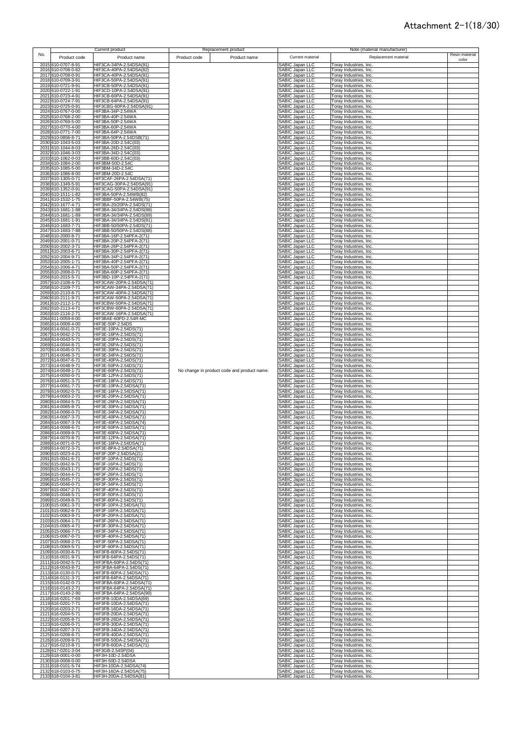|     |                                          | Current product                                      | Replacement product                         |                                    | Note (material manufacturer)                     |                |
|-----|------------------------------------------|------------------------------------------------------|---------------------------------------------|------------------------------------|--------------------------------------------------|----------------|
| No. | Product code                             | Product name                                         | Product code<br>Product name                | Current material                   | Replacement material                             | Resin material |
|     | 2015 610-0707-8-91                       |                                                      |                                             |                                    |                                                  | color          |
|     | 2016 610-0708-0-82                       | HIF3CA-34PA-2.54DSA(91)<br>HIF3CA-40PA-2.54DSA(82)   |                                             | SABIC Japan LLC<br>SABIC Japan LLC | Toray Industries, Inc.<br>Toray Industries, Inc. |                |
|     | 2017 610-0708-0-91                       | HIF3CA-40PA-2.54DSA(91)                              |                                             | SABIC Japan LLC                    | Toray Industries, Inc.                           |                |
|     | 2018 610-0709-3-91                       | HIF3CA-50PA-2.54DSA(91)                              |                                             | SABIC Japan LLC                    | Toray Industries, Inc.                           |                |
|     | 2019 610-0721-9-91                       | HIF3CB-50PA-2.54DSA(91)                              |                                             | SABIC Japan LLC                    | Toray Industries, Inc.                           |                |
|     | 2020 610-0722-1-91                       | HIF3CD-10PA-2.54DSA(91)                              |                                             | SABIC Japan LLC                    | Toray Industries, Inc.                           |                |
|     | 2021 610-0723-4-91                       | HIF3CB-60PA-2.54DSA(91)                              |                                             | SABIC Japan LLC                    | Toray Industries, Inc.                           |                |
|     | 2022 610-0724-7-91                       | HIF3CB-64PA-2.54DSA(91)                              |                                             | SABIC Japan LLC                    | Toray Industries, Inc.                           |                |
|     | 2023 610-0725-0-91                       | HIF3CBG-60PA-2.54DSA(91)                             |                                             | SABIC Japan LLC                    | Toray Industries, Inc.                           |                |
|     | 2024 610-0767-0-00                       | HIF3BA-34P-2.54WA                                    |                                             | SABIC Japan LLC                    | Toray Industries, Inc.                           |                |
|     | 2025 610-0768-2-00                       | HIF3BA-40P-2.54WA                                    |                                             | SABIC Japan LLC                    | Toray Industries, Inc.                           |                |
|     | 2026 610-0769-5-00                       | HIF3BA-50P-2.54WA                                    |                                             | SABIC Japan LLC                    | Toray Industries, Inc.                           |                |
|     | 2027 610-0770-4-00<br>2028 610-0771-7-00 | HIF3BA-60P-2.54WA                                    |                                             | SABIC Japan LLC                    | Toray Industries, Inc.                           |                |
|     | 2029 610-0856-8-71                       | HIF3BA-64P-2.54WA<br>HIF3BA-50PA-2.54DSB(71)         |                                             | SABIC Japan LLC<br>SABIC Japan LLC | Toray Industries, Inc.<br>Toray Industries, Inc. |                |
|     | 2030 610-1043-5-03                       | HIF3BA-20D-2.54C(03)                                 |                                             | SABIC Japan LLC                    | Toray Industries, Inc.                           |                |
|     | 2031 610-1044-8-03                       | HIF3BA-26D-2.54C(03)                                 |                                             | SABIC Japan LLC                    | Toray Industries, Inc.                           |                |
|     | 2032 610-1046-3-03                       | HIF3BA-34D-2.54C(03)                                 |                                             | SABIC Japan LLC                    | Toray Industries, Inc.                           |                |
|     | 2033 610-1062-0-03                       | HIF3BB-60D-2.54C(03)                                 |                                             | SABIC Japan LLC                    | Toray Industries, Inc.                           |                |
|     | 2034 610-1084-2-00                       | HIF3BM-50D-2.54C                                     |                                             | SABIC Japan LLC                    | Toray Industries, Inc.                           |                |
|     | 2035 610-1085-5-00                       | HIF3BM-34D-2.54C                                     |                                             | SABIC Japan LLC                    | Toray Industries, Inc.                           |                |
|     | 2036 610-1086-8-00                       | HIF3BM-20D-2.54C                                     |                                             | SABIC Japan LLC                    | Toray Industries, Inc.                           |                |
|     | 2037 610-1305-0-71                       | HIF3CAF-26PA-2.54DSA(71)                             |                                             | <b>SABIC Japan LLC</b>             | Toray Industries, Inc.                           |                |
|     | 2038 610-1349-5-91                       | HIF3CAG-30PA-2.54DSA(91)                             |                                             | SABIC Japan LLC                    | Toray Industries, Inc.                           |                |
|     | 2039 610-1352-0-91                       | HIF3CAG-50PA-2.54DSA(91)                             |                                             | SABIC Japan LLC                    | Toray Industries, Inc.                           |                |
|     | 2040 610-1511-1-82<br>2041 610-1532-1-75 | HIF3BA-50PA-2.54WB(82)<br>HIF3BBF-50PA-2.54WB(75)    |                                             | SABIC Japan LLC                    | Toray Industries, Inc.                           |                |
|     | 2042 610-1677-4-71                       | HIF3BA-20/20PA-2.54DS(71)                            |                                             | SABIC Japan LLC<br>SABIC Japan LLC | Toray Industries, Inc.<br>Toray Industries, Inc. |                |
|     | 2043 610-1681-1-88                       | HIF3BA-34/34PA-2.54DS(88)                            |                                             | SABIC Japan LLC                    | Toray Industries, Inc.                           |                |
|     | 2044 610-1681-1-89                       | HIF3BA-34/34PA-2.54DS(89)                            |                                             | SABIC Japan LLC                    | Toray Industries, Inc.                           |                |
|     | 2045 610-1681-1-91                       | HIF3BA-34/34PA-2.54DS(91)                            |                                             | SABIC Japan LLC                    | Toray Industries, Inc.                           |                |
|     | 2046 610-1683-7-71                       | HIF3BB-50/50PA-2.54DS(71)                            |                                             | SABIC Japan LLC                    | Toray Industries, Inc.                           |                |
|     | 2047 610-1683-7-88                       | HIF3BB-50/50PA-2.54DS(88)                            |                                             | SABIC Japan LLC                    | Toray Industries, Inc.                           |                |
|     | 2048 610-2000-8-71                       | HIF3BA-16P-2.54PFA-2(71)                             |                                             | SABIC Japan LLC                    | Toray Industries, Inc.                           |                |
|     | 2049 610-2001-0-71                       | HIF3BA-20P-2.54PFA-2(71)                             |                                             | SABIC Japan LLC                    | Toray Industries, Inc.                           |                |
|     | 2050 610-2002-3-71                       | HIF3BA-26P-2.54PFA-2(71)                             |                                             | SABIC Japan LLC                    | Toray Industries, Inc.                           |                |
|     | 2051 610-2003-6-71                       | HIF3BA-30P-2.54PFA-2(71)                             |                                             | SABIC Japan LLC                    | Toray Industries, Inc.                           |                |
|     | 2052 610-2004-9-71                       | HIF3BA-34P-2.54PFA-2(71)                             |                                             | SABIC Japan LLC                    | Toray Industries, Inc.                           |                |
|     | 2053 610-2005-1-71<br>2054 610-2006-4-71 | HIF3BA-40P-2.54PFA-2(71)<br>HIF3BA-50P-2.54PFA-2(71) |                                             | SABIC Japan LLC<br>SABIC Japan LLC | Toray Industries, Inc.<br>Toray Industries, Inc. |                |
|     | 2055 610-2008-0-71                       | HIF3BA-60P-2.54PFA-2(71)                             |                                             | SABIC Japan LLC                    | Toray Industries, Inc.                           |                |
|     | 2056 610-2015-5-71                       | HIF3BD-10P-2.54PFA-2(71)                             |                                             | SABIC Japan LLC                    | Foray Industries, Inc.                           |                |
|     | 2057 610-2108-4-71                       | HIF3CAW-20PA-2.54DSA(71)                             |                                             | SABIC Japan LLC                    | Toray Industries, Inc.                           |                |
|     | 2058 610-2109-7-71                       | HIF3CAW-34PA-2.54DSA(71)                             |                                             | SABIC Japan LLC                    | Toray Industries, Inc.                           |                |
|     | 2059 610-2110-6-71                       | HIF3CAW-40PA-2.54DSA(71)                             |                                             | <b>SABIC Japan LLC</b>             | Toray Industries, Inc.                           |                |
|     | 2060 610-2111-9-71                       | HIF3CAW-50PA-2.54DSA(71)                             |                                             | SABIC Japan LLC                    | Toray Industries, Inc.                           |                |
|     | 2061 610-2112-1-71                       | HIF3CBW-50PA-2.54DSA(71)                             |                                             | SABIC Japan LLC                    | Toray Industries, Inc.                           |                |
|     | 2062 610-2113-4-71                       | HIF3CBW-60PA-2.54DSA(71)                             |                                             | SABIC Japan LLC                    | Toray Industries, Inc.                           |                |
|     | 2063 610-2116-2-71<br>2064 611-0059-6-00 | HIF3CAW-16PA-2.54DSA(71)<br>HIF3BAE-60PD-2.54R-MC    |                                             | SABIC Japan LLC<br>SABIC Japan LLC | Toray Industries, Inc.<br>Toray Industries, Inc. |                |
|     | 2065 614-0008-4-00                       | HIF3E-50P-2.54DS                                     |                                             | SABIC Japan LLC                    | Toray Industries, Inc.                           |                |
|     | 2066 614-0041-0-71                       | HIF3E-10PA-2.54DS(71)                                |                                             | SABIC Japan LLC                    | Toray Industries, Inc.                           |                |
|     | 2067 614-0042-2-71                       | HIF3E-16PA-2.54DS(71)                                |                                             | SABIC Japan LLC                    | Toray Industries, Inc.                           |                |
|     | 2068 614-0043-5-71                       | HIF3E-20PA-2.54DS(71)                                |                                             | SABIC Japan LLC                    | Toray Industries, Inc.                           |                |
|     | 2069 614-0044-8-71                       | HIF3E-26PA-2.54DS(71)                                |                                             | SABIC Japan LLC                    | Toray Industries, Inc.                           |                |
|     | 2070 614-0045-0-71                       | HIF3E-30PA-2.54DS(71)                                |                                             | SABIC Japan LLC                    | Toray Industries, Inc.                           |                |
|     | 2071 614-0046-3-71                       | HIF3E-34PA-2.54DS(71)                                |                                             | SABIC Japan LLC                    | Toray Industries, Inc.                           |                |
|     | 2072 614-0047-6-71                       | HIF3E-40PA-2.54DS(71)                                |                                             | SABIC Japan LLC                    | Toray Industries, Inc.                           |                |
|     | 2073 614-0048-9-71                       | HIF3E-50PA-2.54DS(71)                                |                                             | SABIC Japan LLC                    | Toray Industries, Inc.                           |                |
|     | 2074 614-0049-1-71                       | HIF3E-60PA-2.54DS(71)                                | No change in product code and product name. | SABIC Japan LLC                    | Toray Industries, Inc.                           |                |
|     | 2075 614-0050-0-71                       | HIF3E-12PA-2.54DS(71)                                |                                             | SABIC Japan LLC                    | Toray Industries, Inc.                           |                |
|     | 2076 614-0051-3-71<br>2077 614-0061-7-71 | HIF3E-18PA-2.54DS(71)<br>HIF3E-10PA-2.54DSA(71)      |                                             | SABIC Japan LLC<br>SABIC Japan LLC | Toray Industries, Inc.<br>Toray Industries, Inc. |                |
|     | 2078 614-0062-0-71                       | HIF3E-16PA-2.54DSA(71)                               |                                             | SABIC Japan LLC                    | Toray Industries, Inc.                           |                |
|     | 2079 614-0063-2-71                       | HIF3E-20PA-2.54DSA(71)                               |                                             | SABIC Japan LLC                    | Toray Industries, Inc.                           |                |
|     | 2080 614-0064-5-71                       | HIF3E-26PA-2.54DSA(71)                               |                                             | SABIC Japan LLC                    | Toray Industries, Inc.                           |                |
|     | 2081 614-0065-8-71                       | HIF3E-30PA-2.54DSA(71)                               |                                             | SABIC Japan LLC                    | Toray Industries, Inc.                           |                |
|     | 2082 614-0066-0-71                       | HIF3E-34PA-2.54DSA(71)                               |                                             | SABIC Japan LLC                    | Toray Industries, Inc.                           |                |
|     | 2083 614-0067-3-71                       | HIF3E-40PA-2.54DSA(71)                               |                                             | SABIC Japan LLC                    | Toray Industries, Inc.                           |                |
|     | 2084 614-0067-3-74                       | HIF3E-40PA-2.54DSA(74)                               |                                             | SABIC Japan LLC                    | Toray Industries, Inc.                           |                |
|     | 2085 614-0068-6-71                       | HIF3E-50PA-2.54DSA(71)                               |                                             | SABIC Japan LLC                    | Toray Industries, Inc.                           |                |
|     | 2086 614-0069-9-71                       | HIF3E-60PA-2.54DSA(71)                               |                                             | SABIC Japan LLC                    | Toray Industries, Inc.                           |                |
|     | 2087 614-0070-8-71<br>2088 614-0071-0-71 | HIF3E-12PA-2.54DSA(71)<br>HIE3E-18PA-2 54DSA(71      |                                             | SABIC Japan LLC<br>SABIC Janan LLC | Toray Industries, Inc.<br>Toray Industries Inc   |                |
|     | 2089 614-0072-3-71                       | HIF3E-8PA-2.54DSA(71)                                |                                             | SABIC Japan LLC                    | Toray Industries, Inc.                           |                |
|     | 2090 615-0023-4-21                       | HIF3F-20P-2.54DSA(21)                                |                                             | SABIC Japan LLC                    | Toray Industries, Inc.                           |                |
|     | 2091 615-0041-6-71                       | HIF3F-10PA-2.54DS(71)                                |                                             | SABIC Japan LLC                    | Toray Industries, Inc.                           |                |
|     | 2092 615-0042-9-71                       | HIF3F-16PA-2.54DS(71)                                |                                             | SABIC Japan LLC                    | Toray Industries, Inc.                           |                |
|     | 2093 615-0043-1-71                       | HIF3F-20PA-2.54DS(71)                                |                                             | SABIC Japan LLC                    | Toray Industries, Inc.                           |                |
|     | 2094 615-0044-4-71                       | HIF3F-26PA-2.54DS(71)                                |                                             | SABIC Japan LLC                    | Toray Industries, Inc.                           |                |
|     | 2095 615-0045-7-71                       | HIF3F-30PA-2.54DS(71)                                |                                             | SABIC Japan LLC                    | Toray Industries, Inc.                           |                |
|     | 2096 615-0046-0-71<br>2097 615-0047-2-71 | HIF3F-34PA-2.54DS(71)<br>HIF3F-40PA-2.54DS(71)       |                                             | SABIC Japan LLC<br>SABIC Japan LLC | Toray Industries, Inc.<br>Toray Industries, Inc. |                |
|     | 2098 615-0048-5-71                       | HIF3F-50PA-2.54DS(71)                                |                                             | SABIC Japan LLC                    | Toray Industries, Inc.                           |                |
|     | 2099 615-0049-8-71                       | HIF3F-60PA-2.54DS(71)                                |                                             | SABIC Japan LLC                    | Toray Industries, Inc.                           |                |
|     | 2100 615-0061-3-71                       | HIF3F-10PA-2.54DSA(71)                               |                                             | SABIC Japan LLC                    | Toray Industries, Inc.                           |                |
|     | 2101 615-0062-6-71                       | HIF3F-16PA-2.54DSA(71)                               |                                             | SABIC Japan LLC                    | Toray Industries, Inc.                           |                |
|     | 2102 615-0063-9-71                       | HIF3F-20PA-2.54DSA(71)                               |                                             | SABIC Japan LLC                    | Toray Industries, Inc.                           |                |
|     | 2103 615-0064-1-71                       | HIF3F-26PA-2.54DSA(71)                               |                                             | SABIC Japan LLC                    | Toray Industries, Inc.                           |                |
|     | 2104 615-0065-4-71                       | HIF3F-30PA-2.54DSA(71)                               |                                             | SABIC Japan LLC                    | Toray Industries, Inc.                           |                |
|     | 2105 615-0066-7-71<br>2106 615-0067-0-71 | HIF3F-34PA-2.54DSA(71)                               |                                             | SABIC Japan LLC<br>SABIC Japan LLC | Toray Industries, Inc.<br>Toray Industries, Inc. |                |
|     | 2107 615-0068-2-71                       | HIF3F-40PA-2.54DSA(71)<br>HIF3F-50PA-2.54DSA(71)     |                                             | SABIC Japan LLC                    | Toray Industries, Inc.                           |                |
|     | 2108 615-0069-5-71                       | HIF3F-60PA-2.54DSA(71)                               |                                             | SABIC Japan LLC                    | Toray Industries, Inc.                           |                |
|     | 2109 616-0030-6-71                       | HIF3FB-60PA-2.54DS(71)                               |                                             | SABIC Japan LLC                    | Toray Industries, Inc.                           |                |
|     | 2110 616-0031-9-71                       | HIF3FB-64PA-2.54DS(71)                               |                                             | SABIC Japan LLC                    | Toray Industries, Inc.                           |                |
|     | 2111 616-0042-5-71                       | HIF3FBA-60PA-2.54DS(71)                              |                                             | SABIC Japan LLC                    | Toray Industries, Inc.                           |                |
|     | 2112 616-0043-8-71                       | HIF3FBA-64PA-2.54DS(71)                              |                                             | SABIC Japan LLC                    | Toray Industries, Inc.                           |                |
|     | 2113 616-0130-0-71                       | HIF3FB-60PA-2.54DSA(71)                              |                                             | SABIC Japan LLC                    | Toray Industries, Inc.                           |                |
|     | 2114 616-0131-3-71                       | HIF3FB-64PA-2.54DSA(71)                              |                                             | SABIC Japan LLC                    | Toray Industries, Inc.                           |                |
|     | 2115 616-0142-0-71                       | HIF3FBA-60PA-2.54DSA(71)                             |                                             | SABIC Japan LLC                    | Toray Industries, Inc.                           |                |
|     | 2116 616-0143-2-71                       | HIF3FBA-64PA-2.54DSA(71)<br>HIF3FBA-64PA-2.54DSA(90) |                                             | SABIC Japan LLC                    | Toray Industries, Inc.                           |                |
|     | 2117 616-0143-2-90<br>2118 616-0201-7-69 | HIF3FB-10DA-2.54DSA(69)                              |                                             | SABIC Japan LLC<br>SABIC Japan LLC | Toray Industries, Inc.                           |                |
|     | 2119 616-0201-7-71                       | HIF3FB-10DA-2.54DSA(71)                              |                                             | SABIC Japan LLC                    | Toray Industries, Inc.<br>Toray Industries, Inc. |                |
|     | 2120 616-0203-2-71                       | HIF3FB-16DA-2.54DSA(71)                              |                                             | SABIC Japan LLC                    | Toray Industries, Inc.                           |                |
|     | 2121 616-0204-5-71                       | HIF3FB-20DA-2.54DSA(71)                              |                                             | SABIC Japan LLC                    | Toray Industries, Inc.                           |                |
|     | 2122 616-0205-8-71                       | HIF3FB-26DA-2.54DSA(71)                              |                                             | SABIC Japan LLC                    | Toray Industries, Inc.                           |                |
|     | 2123 616-0206-0-71                       | HIF3FB-30DA-2.54DSA(71)                              |                                             | SABIC Japan LLC                    | Toray Industries, Inc.                           |                |
|     | 2124 616-0207-3-71                       | HIF3FB-34DA-2.54DSA(71)                              |                                             | SABIC Japan LLC                    | Toray Industries, Inc.                           |                |
|     | 2125 616-0208-6-71                       | HIF3FB-40DA-2.54DSA(71)                              |                                             | SABIC Japan LLC                    | Toray Industries, Inc.                           |                |
|     | 2126 616-0209-9-71                       | HIF3FB-50DA-2.54DSA(71)                              |                                             | SABIC Japan LLC                    | Toray Industries, Inc.                           |                |
|     | 2127 616-0210-8-71                       | HIF3FB-60DA-2.54DSA(71)                              |                                             | SABIC Japan LLC                    | Toray Industries, Inc.                           |                |
|     | 2128 617-0201-3-04<br>2129 618-0001-0-00 | HIF3GB-2.54SP(04)<br>HIF3H-10D-2.54DSA               |                                             | SABIC Japan LLC<br>SABIC Japan LLC | Toray Industries, Inc.<br>Toray Industries, Inc. |                |
|     | 2130 618-0008-0-00                       | HIF3H-50D-2.54DSA                                    |                                             | SABIC Japan LLC                    | Toray Industries, Inc.                           |                |
|     | 2131 618-0101-5-74                       | HIF3H-10DA-2.54DSA(74)                               |                                             | SABIC Japan LLC                    | Toray Industries, Inc.                           |                |
|     | 2132 618-0103-0-75                       | HIF3H-16DA-2.54DSA(75)                               |                                             | <b>SABIC Japan LLC</b>             | Toray Industries, Inc.                           |                |
|     | 2133 618-0104-3-81                       | HIF3H-20DA-2.54DSA(81)                               |                                             | SABIC Japan LLC                    | Toray Industries, Inc.                           |                |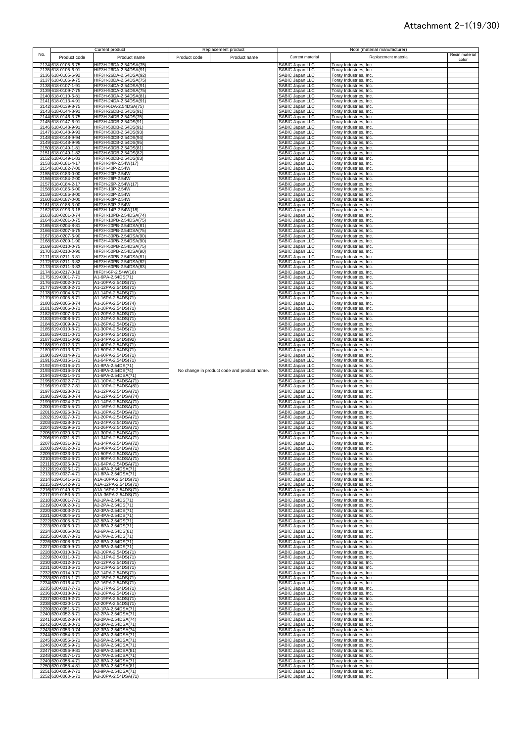|     |                                          | Current product                                  | Replacement product                         |                                           | Note (material manufacturer)                     |                |
|-----|------------------------------------------|--------------------------------------------------|---------------------------------------------|-------------------------------------------|--------------------------------------------------|----------------|
| No. | Product code                             | Product name                                     | Product code<br>Product name                | Current material                          | Replacement material                             | Resin material |
|     | 2134 618-0105-6-75                       | HIF3H-26DA-2.54DSA(75)                           |                                             | SABIC Japan LLC                           |                                                  | color          |
|     | 2135 618-0105-6-91                       | HIF3H-26DA-2.54DSA(91)                           |                                             | SABIC Japan LLC                           | Toray Industries, Inc.<br>Toray Industries, Inc. |                |
|     | 2136 618-0105-6-92                       | HIF3H-26DA-2.54DSA(92)                           |                                             | SABIC Japan LLC                           | Toray Industries, Inc.                           |                |
|     | 2137 618-0106-9-75                       | HIF3H-30DA-2.54DSA(75)                           |                                             | SABIC Japan LLC                           | Toray Industries, Inc.                           |                |
|     | 2138 618-0107-1-91                       | HIF3H-34DA-2.54DSA(91)                           |                                             | SABIC Japan LLC                           | Toray Industries, Inc.                           |                |
|     | 2139 618-0109-7-75                       | HIF3H-50DA-2.54DSA(75)                           |                                             | SABIC Japan LLC                           | Toray Industries, Inc.                           |                |
|     | 2140 618-0110-6-81<br>2141 618-0113-4-91 | HIF3H-60DA-2.54DSA(81)<br>HIF3H-24DA-2.54DSA(91) |                                             | SABIC Japan LLC<br>SABIC Japan LLC        | Toray Industries, Inc.<br>Toray Industries, Inc. |                |
|     | 2142 618-0139-8-75                       | HIF3H-6DA-2.54DSA(75)                            |                                             | SABIC Japan LLC                           | Toray Industries, Inc.                           |                |
|     | 2143 618-0144-8-91                       | HIF3H-26DB-2.54DS(91)                            |                                             | SABIC Japan LLC                           | Toray Industries, Inc.                           |                |
|     | 2144 618-0146-3-75                       | HIF3H-34DB-2.54DS(75)                            |                                             | SABIC Japan LLC                           | Toray Industries, Inc.                           |                |
|     | 2145 618-0147-6-91                       | HIF3H-40DB-2.54DS(91)                            |                                             | SABIC Japan LLC                           | Toray Industries, Inc.                           |                |
|     | 2146 618-0148-9-91<br>2147 618-0148-9-93 | HIF3H-50DB-2.54DS(91)<br>HIF3H-50DB-2.54DS(93)   |                                             | SABIC Japan LLC                           | Toray Industries, Inc.                           |                |
|     | 2148 618-0148-9-94                       | HIF3H-50DB-2.54DS(94)                            |                                             | SABIC Japan LLC<br>SABIC Japan LLC        | Toray Industries, Inc.<br>Toray Industries, Inc. |                |
|     | 2149 618-0148-9-95                       | HIF3H-50DB-2.54DS(95)                            |                                             | SABIC Japan LLC                           | Toray Industries, Inc.                           |                |
|     | 2150 618-0149-1-81                       | HIF3H-60DB-2.54DS(81)                            |                                             | SABIC Japan LLC                           | Toray Industries, Inc.                           |                |
|     | 2151 618-0149-1-82                       | HIF3H-60DB-2.54DS(82)                            |                                             | SABIC Japan LLC                           | Toray Industries, Inc.                           |                |
|     | 2152 618-0149-1-83<br>2153 618-0181-4-17 | HIF3H-60DB-2.54DS(83)<br>HIF3H-34P-2.54W(17)     |                                             | SABIC Japan LLC<br>SABIC Japan LLC        | Toray Industries, Inc.                           |                |
|     | 2154 618-0182-7-00                       | HIF3H-40P-2.54W                                  |                                             | SABIC Japan LLC                           | Toray Industries, Inc.<br>Toray Industries, Inc. |                |
|     | 2155 618-0183-0-00                       | HIF3H-20P-2.54W                                  |                                             | SABIC Japan LLC                           | Toray Industries, Inc.                           |                |
|     | 2156 618-0184-2-00                       | HIF3H-26P-2.54W                                  |                                             | SABIC Japan LLC                           | Toray Industries, Inc.                           |                |
|     | 2157 618-0184-2-17                       | HIF3H-26P-2.54W(17)                              |                                             | SABIC Japan LLC                           | Toray Industries, Inc.                           |                |
|     | 2158 618-0185-5-00<br>2159 618-0186-8-00 | HIF3H-10P-2.54W<br>HIF3H-30P-2.54W               |                                             | SABIC Japan LLC<br>SABIC Japan LLC        | Toray Industries, Inc.<br>Toray Industries, Inc. |                |
|     | 2160 618-0187-0-00                       | HIF3H-60P-2.54W                                  |                                             | SABIC Japan LLC                           | Toray Industries, Inc.                           |                |
|     | 2161 618-0188-3-00                       | HIF3H-50P-2.54W                                  |                                             | SABIC Japan LLC                           | Toray Industries, Inc.                           |                |
|     | 2162 618-0193-3-18                       | HIF3H-14P-2.54W(18)                              |                                             | SABIC Japan LLC                           | Toray Industries, Inc.                           |                |
|     | 2163 618-0201-0-74<br>2164 618-0201-0-75 | HIF3H-10PB-2.54DSA(74)<br>HIF3H-10PB-2.54DSA(75) |                                             | SABIC Japan LLC<br>SABIC Japan LLC        | Toray Industries, Inc.<br>Toray Industries, Inc. |                |
|     | 2165 618-0204-8-81                       | HIF3H-20PB-2.54DSA(81)                           |                                             | SABIC Japan LLC                           | Toray Industries, Inc.                           |                |
|     | 2166 618-0207-6-75                       | HIF3H-30PB-2.54DSA(75)                           |                                             | SABIC Japan LLC                           | Toray Industries, Inc.                           |                |
|     | 2167 618-0207-6-90                       | HIF3H-30PB-2.54DSA(90)                           |                                             | SABIC Japan LLC                           | Toray Industries, Inc.                           |                |
|     | 2168 618-0209-1-90                       | HIF3H-40PB-2.54DSA(90)                           |                                             | SABIC Japan LLC                           | Toray Industries, Inc.                           |                |
|     | 2169 618-0210-0-75<br>2170 618-0210-0-90 | HIF3H-50PB-2.54DSA(75)<br>HIF3H-50PB-2.54DSA(90) |                                             | SABIC Japan LLC<br>SABIC Japan LLC        | Toray Industries, Inc.<br>Toray Industries, Inc. |                |
|     | 2171 618-0211-3-81                       | HIF3H-60PB-2.54DSA(81)                           |                                             | SABIC Japan LLC                           | Toray Industries, Inc.                           |                |
|     | 2172 618-0211-3-82                       | HIF3H-60PB-2.54DSA(82)                           |                                             | SABIC Japan LLC                           | Toray Industries, Inc.                           |                |
|     | 2173 618-0211-3-83                       | HIF3H-60PB-2.54DSA(83)                           |                                             | SABIC Japan LLC                           | Toray Industries, Inc.                           |                |
|     | 2174 618-0217-0-18                       | HIF3H-6P-2.54W(18)                               |                                             | SABIC Japan LLC                           | Toray Industries, Inc.                           |                |
|     | 2175 619-0001-7-71<br>2176 619-0002-0-71 | A1-6PA-2.54DS(71)<br>A1-10PA-2.54DS(71)          |                                             | SABIC Japan LLC<br>SABIC Japan LLC        | Foray Industries, Inc.<br>Toray Industries, Inc. |                |
|     | 2177 619-0003-2-71                       | A1-12PA-2.54DS(71)                               |                                             | SABIC Japan LLC                           | Toray Industries, Inc.                           |                |
|     | 2178 619-0004-5-71                       | A1-14PA-2.54DS(71)                               |                                             | <b>SABIC Japan LLC</b>                    | Toray Industries, Inc.                           |                |
|     | 2179 619-0005-8-71                       | A1-16PA-2.54DS(71)                               |                                             | SABIC Japan LLC                           | Toray Industries, Inc.                           |                |
|     | 2180 619-0005-8-74                       | A1-16PA-2.54DS(74)<br>A1-18PA-2.54DS(71)         |                                             | SABIC Japan LLC                           | Toray Industries, Inc.                           |                |
|     | 2181 619-0006-0-71<br>2182 619-0007-3-71 | A1-20PA-2.54DS(71)                               |                                             | SABIC Japan LLC<br>SABIC Japan LLC        | Toray Industries, Inc.<br>Toray Industries, Inc. |                |
|     | 2183 619-0008-6-71                       | A1-24PA-2.54DS(71)                               |                                             | SABIC Japan LLC                           | Toray Industries, Inc.                           |                |
|     | 2184 619-0009-9-71                       | A1-26PA-2.54DS(71)                               |                                             | SABIC Japan LLC                           | Toray Industries, Inc.                           |                |
|     | 2185 619-0010-8-71                       | A1-30PA-2.54DS(71)                               |                                             | SABIC Japan LLC                           | Toray Industries, Inc.                           |                |
|     | 2186 619-0011-0-71<br>2187 619-0011-0-92 | A1-34PA-2.54DS(71)<br>A1-34PA-2.54DS(92)         |                                             | SABIC Japan LLC<br>SABIC Japan LLC        | Toray Industries, Inc.<br>Toray Industries, Inc. |                |
|     | 2188 619-0012-3-71                       | A1-40PA-2.54DS(71)                               |                                             | SABIC Japan LLC                           | Toray Industries, Inc.                           |                |
|     | 2189 619-0013-6-71                       | A1-50PA-2.54DS(71)                               |                                             | SABIC Japan LLC                           | Toray Industries, Inc.                           |                |
|     | 2190 619-0014-9-71                       | A1-60PA-2.54DS(71)                               |                                             | SABIC Japan LLC                           | Toray Industries, Inc.                           |                |
|     | 2191 619-0015-1-71                       | A1-64PA-2.54DS(71)                               |                                             | SABIC Japan LLC                           | Toray Industries, Inc.                           |                |
|     | 2192 619-0016-4-71<br>2193 619-0016-4-74 | A1-8PA-2.54DS(71)<br>A1-8PA-2.54DS(74)           | No change in product code and product name. | SABIC Japan LLC<br>SABIC Japan LLC        | Toray Industries, Inc.<br>Toray Industries, Inc. |                |
|     | 2194 619-0021-4-71                       | A1-6PA-2.54DSA(71)                               |                                             | <b>SABIC Japan LLC</b>                    | Toray Industries, Inc.                           |                |
|     | 2195 619-0022-7-71                       | A1-10PA-2.54DSA(71)                              |                                             | SABIC Japan LLC                           | Toray Industries, Inc.                           |                |
|     | 2196 619-0022-7-81                       | A1-10PA-2.54DSA(81)                              |                                             | SABIC Japan LLC                           | Toray Industries, Inc.                           |                |
|     | 2197 619-0023-0-71                       | A1-12PA-2.54DSA(71)                              |                                             | SABIC Japan LLC                           | Toray Industries, Inc.                           |                |
|     | 2198 619-0023-0-74<br>2199 619-0024-2-71 | A1-12PA-2.54DSA(74)<br>A1-14PA-2.54DSA(71)       |                                             | SABIC Japan LLC<br><b>SABIC Japan LLC</b> | Toray Industries, Inc.<br>Toray Industries, Inc. |                |
|     | 2200 619-0025-5-71                       | A1-16PA-2.54DSA(71)                              |                                             | SABIC Japan LLC                           | Toray Industries, Inc.                           |                |
|     | 2201 619-0026-8-71                       | A1-18PA-2.54DSA(71)                              |                                             | SABIC Japan LLC                           | Toray Industries, Inc.                           |                |
|     | 2202 619-0027-0-71                       | A1-20PA-2.54DSA(71)                              |                                             | SABIC Japan LLC                           | Toray Industries, Inc.                           |                |
|     | 2203 619-0028-3-71<br>2204 619-0029-6-71 | A1-24PA-2.54DSA(71)<br>A1-26PA-2.54DSA(71)       |                                             | SABIC Japan LLC<br>SABIC Japan LLC        | Toray Industries, Inc.<br>Toray Industries, Inc. |                |
|     | 2205 619-0030-5-71                       | A1-30PA-2.54DSA(71)                              |                                             | SABIC Japan LLC                           | Toray Industries, Inc.                           |                |
|     | 2206 619-0031-8-71                       | A1-34PA-2.54DSA(71)                              |                                             | SABIC Japan LLC                           | Toray Industries, Inc.                           |                |
|     | 2207 619-0031-8-72                       | A1-34PA-2 54DSA(72                               |                                             | SARIC: Janan I I C                        | Toray Industries Inc                             |                |
|     | 2208 619-0032-0-71                       | A1-40PA-2.54DSA(71)                              |                                             | SABIC Japan LLC                           | Toray Industries, Inc.                           |                |
|     | 2209 619-0033-3-71<br>2210 619-0034-6-71 | A1-50PA-2.54DSA(71)<br>A1-60PA-2.54DSA(71)       |                                             | SABIC Japan LLC<br>SABIC Japan LLC        | Toray Industries, Inc.<br>Toray Industries, Inc. |                |
|     | 2211 619-0035-9-71                       | A1-64PA-2.54DSA(71)                              |                                             | SABIC Japan LLC                           | Toray Industries, Inc.                           |                |
|     | 2212 619-0036-1-71                       | A1-4PA-2.54DSA(71)                               |                                             | SABIC Japan LLC                           | Toray Industries, Inc.                           |                |
|     | 2213 619-0037-4-71                       | A1-8PA-2.54DSA(71)                               |                                             | SABIC Japan LLC                           | Toray Industries, Inc.                           |                |
|     | 2214 619-0141-6-71<br>2215 619-0142-9-71 | A1A-10PA-2.54DS(71)<br>A1A-12PA-2.54DS(71)       |                                             | SABIC Japan LLC<br>SABIC Japan LLC        | Toray Industries, Inc.<br>Toray Industries, Inc. |                |
|     | 2216 619-0149-8-71                       | A1A-16PA-2.54DS(71)                              |                                             | SABIC Japan LLC                           | Toray Industries, Inc.                           |                |
|     | 2217 619-0153-5-71                       | A1A-36PA-2.54DS(71)                              |                                             | SABIC Japan LLC                           | Toray Industries, Inc.                           |                |
|     | 2218 620-0001-7-71                       | A2-1PA-2.54DS(71)                                |                                             | SABIC Japan LLC                           | Toray Industries, Inc.                           |                |
|     | 2219 620-0002-0-71                       | A2-2PA-2.54DS(71)                                |                                             | SABIC Japan LLC                           | Toray Industries, Inc.                           |                |
|     | 2220 620-0003-2-71<br>2221 620-0004-5-71 | A2-3PA-2.54DS(71)<br>A2-4PA-2.54DS(71)           |                                             | SABIC Japan LLC<br>SABIC Japan LLC        | Toray Industries, Inc.<br>Toray Industries, Inc. |                |
|     | 2222 620-0005-8-71                       | A2-5PA-2.54DS(71)                                |                                             | SABIC Japan LLC                           | Toray Industries, Inc.                           |                |
|     | 2223 620-0006-0-71                       | A2-6PA-2.54DS(71)                                |                                             | SABIC Japan LLC                           | Toray Industries, Inc.                           |                |
|     | 2224 620-0006-0-81                       | A2-6PA-2.54DS(81)                                |                                             | SABIC Japan LLC                           | Toray Industries, Inc.                           |                |
|     | 2225 620-0007-3-71<br>2226 620-0008-6-71 | A2-7PA-2.54DS(71)<br>A2-8PA-2.54DS(71)           |                                             | SABIC Japan LLC<br>SABIC Japan LLC        | Toray Industries, Inc.<br>Toray Industries, Inc. |                |
|     | 2227 620-0009-9-71                       | A2-9PA-2.54DS(71)                                |                                             | SABIC Japan LLC                           | Toray Industries, Inc.                           |                |
|     | 2228 620-0010-8-71                       | A2-10PA-2.54DS(71)                               |                                             | SABIC Japan LLC                           | Toray Industries, Inc.                           |                |
|     | 2229 620-0011-0-71                       | A2-11PA-2.54DS(71)                               |                                             | SABIC Japan LLC                           | Toray Industries, Inc.                           |                |
|     | 2230 620-0012-3-71<br>2231 620-0013-6-71 | A2-12PA-2.54DS(71)<br>A2-13PA-2.54DS(71)         |                                             | SABIC Japan LLC<br>SABIC Japan LLC        | Toray Industries, Inc.                           |                |
|     | 2232 620-0014-9-71                       | A2-14PA-2.54DS(71)                               |                                             | SABIC Japan LLC                           | Toray Industries, Inc.<br>Toray Industries, Inc. |                |
|     | 2233 620-0015-1-71                       | A2-15PA-2.54DS(71)                               |                                             | SABIC Japan LLC                           | Toray Industries, Inc.                           |                |
|     | 2234 620-0016-4-71                       | A2-16PA-2.54DS(71)                               |                                             | SABIC Japan LLC                           | Toray Industries, Inc.                           |                |
|     | 2235 620-0017-7-71                       | A2-17PA-2.54DS(71)                               |                                             | SABIC Japan LLC                           | Toray Industries, Inc.                           |                |
|     | 2236 620-0018-0-71                       | A2-18PA-2.54DS(71)                               |                                             | SABIC Japan LLC                           | Toray Industries, Inc.                           |                |
|     | 2237 620-0019-2-71<br>2238 620-0020-1-71 | A2-19PA-2.54DS(71)<br>A2-20PA-2.54DS(71)         |                                             | SABIC Japan LLC<br>SABIC Japan LLC        | Toray Industries, Inc.<br>Toray Industries, Inc. |                |
|     | 2239 620-0051-5-71                       | A2-1PA-2.54DSA(71)                               |                                             | SABIC Japan LLC                           | Toray Industries, Inc.                           |                |
|     | 2240 620-0052-8-71                       | A2-2PA-2.54DSA(71)                               |                                             | SABIC Japan LLC                           | Toray Industries, Inc.                           |                |
|     | 2241 620-0052-8-74                       | A2-2PA-2.54DSA(74)                               |                                             | SABIC Japan LLC                           | Toray Industries, Inc.                           |                |
|     | 2242 620-0053-0-71<br>2243 620-0053-0-74 | A2-3PA-2.54DSA(71)<br>A2-3PA-2.54DSA(74)         |                                             | SABIC Japan LLC<br>SABIC Japan LLC        | Toray Industries, Inc.<br>Toray Industries, Inc. |                |
|     | 2244 620-0054-3-71                       | A2-4PA-2.54DSA(71)                               |                                             | SABIC Japan LLC                           | Toray Industries, Inc.                           |                |
|     | 2245 620-0055-6-71                       | A2-5PA-2.54DSA(71)                               |                                             | SABIC Japan LLC                           | Toray Industries, Inc.                           |                |
|     | 2246 620-0056-9-71                       | A2-6PA-2.54DSA(71)                               |                                             | SABIC Japan LLC                           | Toray Industries, Inc.                           |                |
|     | 2247 620-0056-9-81                       | A2-6PA-2.54DSA(81)                               |                                             | SABIC Japan LLC                           | Toray Industries, Inc.<br>Toray Industries, Inc. |                |
|     | 2248 620-0057-1-71<br>2249 620-0058-4-71 | A2-7PA-2.54DSA(71)<br>A2-8PA-2.54DSA(71)         |                                             | SABIC Japan LLC<br>SABIC Japan LLC        | Toray Industries, Inc.                           |                |
|     | 2250 620-0058-4-81                       | A2-8PA-2.54DSA(81)                               |                                             | SABIC Japan LLC                           | Toray Industries, Inc.                           |                |
|     | 2251 620-0059-7-71                       | A2-9PA-2.54DSA(71)                               |                                             | SABIC Japan LLC                           | Toray Industries, Inc.                           |                |
|     | 2252 620-0060-6-71                       | A2-10PA-2.54DSA(71)                              |                                             | SABIC Japan LLC                           | Toray Industries, Inc.                           |                |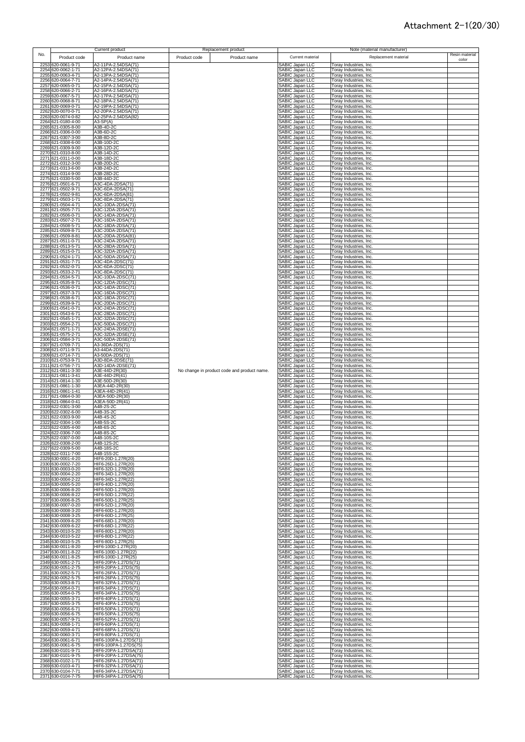|     |                                          | <b>Current product</b>                         |              | Replacement product                         |                                                       |                                                  | Note (material manufacturer) |                |
|-----|------------------------------------------|------------------------------------------------|--------------|---------------------------------------------|-------------------------------------------------------|--------------------------------------------------|------------------------------|----------------|
| No. | Product code                             | Product name                                   | Product code | Product name                                | Current material                                      |                                                  | Replacement material         | Resin material |
|     | 2253 620-0061-9-71                       | A2-11PA-2.54DSA(71)                            |              |                                             | <b>SABIC Japan LLC</b>                                | Toray Industries, Inc.                           |                              | color          |
|     | 2254 620-0062-1-71                       | A2-12PA-2.54DSA(71)                            |              |                                             | SABIC Japan LLC                                       | Toray Industries, Inc.                           |                              |                |
|     | 2255 620-0063-4-71                       | A2-13PA-2.54DSA(71)                            |              |                                             | SABIC Japan LLC                                       | Toray Industries, Inc.                           |                              |                |
|     | 2256 620-0064-7-71                       | A2-14PA-2.54DSA(71)                            |              |                                             | SABIC Japan LLC                                       | Toray Industries, Inc.                           |                              |                |
|     | 2257 620-0065-0-71                       | A2-15PA-2.54DSA(71)<br>A2-16PA-2.54DSA(71)     |              |                                             | SABIC Japan LLC<br>SABIC Japan LLC                    | Toray Industries, Inc.                           |                              |                |
|     | 2258 620-0066-2-71<br>2259 620-0067-5-71 | A2-17PA-2.54DSA(71)                            |              |                                             | SABIC Japan LLC                                       | Toray Industries, Inc.<br>Toray Industries, Inc. |                              |                |
|     | 2260 620-0068-8-71                       | A2-18PA-2.54DSA(71)                            |              |                                             | SABIC Japan LLC                                       | Toray Industries, Inc.                           |                              |                |
|     | 2261 620-0069-0-71                       | A2-19PA-2.54DSA(71)                            |              |                                             | SABIC Japan LLC                                       | Toray Industries, Inc.                           |                              |                |
|     | 2262 620-0070-0-71<br>2263 620-0074-0-82 | A2-20PA-2.54DSA(71)<br>A2-25PA-2.54DSA(82)     |              |                                             | SABIC Japan LLC<br>SABIC Japan LLC                    | Toray Industries, Inc.<br>Toray Industries, Inc. |                              |                |
|     | 2264 621-0180-4-00                       | $A3-SP(A)$                                     |              |                                             | SABIC Japan LLC                                       | Toray Industries, Inc.                           |                              |                |
|     | 2265 621-0305-8-00                       | A3B-4D-2C                                      |              |                                             | SABIC Japan LLC                                       | Toray Industries, Inc.                           |                              |                |
|     | 2266 621-0306-0-00                       | A3B-6D-2C                                      |              |                                             | SABIC Japan LLC                                       | Toray Industries, Inc.                           |                              |                |
|     | 2267 621-0307-3-00<br>2268 621-0308-6-00 | A3B-8D-2C<br>A3B-10D-2C                        |              |                                             | SABIC Japan LLC<br>SABIC Japan LLC                    | Toray Industries, Inc.<br>Toray Industries, Inc. |                              |                |
|     | 2269 621-0309-9-00                       | A3B-12D-2C                                     |              |                                             | SABIC Japan LLC                                       | Toray Industries, Inc.                           |                              |                |
|     | 2270 621-0310-8-00                       | A3B-14D-2C                                     |              |                                             | SABIC Japan LLC                                       | Toray Industries, Inc.                           |                              |                |
|     | 2271 621-0311-0-00<br>2272 621-0312-3-00 | A3B-18D-2C<br>A3B-20D-2C                       |              |                                             | SABIC Japan LLC<br>SABIC Japan LLC<br>SABIC Japan LLC | Toray Industries, Inc.<br>Toray Industries, Inc. |                              |                |
|     | 2273 621-0313-6-00                       | A3B-24D-2C                                     |              |                                             |                                                       | Toray Industries, Inc.                           |                              |                |
|     | 2274 621-0314-9-00                       | A3B-28D-2C                                     |              |                                             | SABIC Japan LLC                                       | Toray Industries, Inc.                           |                              |                |
|     | 2275 621-0330-5-00                       | A3B-44D-2C                                     |              |                                             | SABIC Japan LLC<br>SABIC Japan LLC                    | Toray Industries, Inc.                           |                              |                |
|     | 2276 621-0501-6-71<br>2277 621-0502-9-71 | A3C-4DA-2DSA(71)<br>A3C-6DA-2DSA(71)           |              |                                             | SABIC Japan LLC                                       | Toray Industries, Inc.<br>Toray Industries, Inc. |                              |                |
|     | 2278 621-0502-9-81                       | A3C-6DA-2DSA(81)                               |              |                                             | SABIC Japan LLC                                       | Toray Industries, Inc.                           |                              |                |
|     | 2279 621-0503-1-71                       | A3C-8DA-2DSA(71)                               |              |                                             | SABIC Japan LLC                                       | Toray Industries, Inc.                           |                              |                |
|     | 2280 621-0504-4-71                       | A3C-10DA-2DSA(71)                              |              |                                             | SABIC Japan LLC                                       | Toray Industries, Inc.                           |                              |                |
|     | 2281 621-0505-7-71<br>2282 621-0506-0-71 | A3C-12DA-2DSA(71)<br>A3C-14DA-2DSA(71)         |              |                                             | <b>SABIC Japan LLC</b><br>SABIC Japan LLC             | Toray Industries, Inc.<br>Toray Industries, Inc. |                              |                |
|     | 2283 621-0507-2-71                       | A3C-16DA-2DSA(71)                              |              |                                             | SABIC Japan LLC                                       | Toray Industries, Inc.                           |                              |                |
|     | 2284 621-0508-5-71                       | A3C-18DA-2DSA(71)                              |              |                                             | <b>SABIC Japan LLC</b>                                | Toray Industries, Inc.                           |                              |                |
|     | 2285 621-0509-8-71<br>2286 621-0509-8-81 | A3C-20DA-2DSA(71)<br>A3C-20DA-2DSA(81)         |              |                                             | SABIC Japan LLC<br>SABIC Japan LLC                    | Toray Industries, Inc.<br>Toray Industries, Inc. |                              |                |
|     | 2287 621-0511-0-71                       | A3C-24DA-2DSA(71)                              |              |                                             | SABIC Japan LLC                                       | Toray Industries, Inc.                           |                              |                |
|     | 2288 621-0513-5-71                       | A3C-28DA-2DSA(71)                              |              |                                             | SABIC Japan LLC                                       | Toray Industries, Inc.                           |                              |                |
|     | 2289 621-0515-0-71<br>2290 621-0524-1-71 | A3C-32DA-2DSA(71)                              |              |                                             | SABIC Japan LLC                                       | Toray Industries, Inc.                           |                              |                |
|     | 2291 621-0531-7-71                       | A3C-50DA-2DSA(71)<br>A3C-4DA-2DSC(71)          |              |                                             | SABIC Japan LLC<br>SABIC Japan LLC                    | Toray Industries, Inc.<br>Toray Industries, Inc. |                              |                |
|     | 2292 621-0532-0-71                       | A3C-6DA-2DSC(71)                               |              |                                             | SABIC Japan LLC                                       | Toray Industries, Inc.                           |                              |                |
|     | 2293 621-0533-2-71                       | A3C-8DA-2DSC(71)                               |              |                                             | SABIC Japan LLC                                       | Toray Industries, Inc.                           |                              |                |
|     | 2294 621-0534-5-71<br>2295 621-0535-8-71 | A3C-10DA-2DSC(71)<br>A3C-12DA-2DSC(71)         |              |                                             | SABIC Japan LLC<br>SABIC Japan LLC                    | Toray Industries, Inc.<br>Toray Industries, Inc. |                              |                |
|     | 2296 621-0536-0-71                       | A3C-14DA-2DSC(71)                              |              |                                             | SABIC Japan LLC                                       | Toray Industries, Inc.                           |                              |                |
|     | 2297 621-0537-3-71                       | A3C-16DA-2DSC(71)                              |              |                                             | <b>SABIC Japan LLC</b>                                | Toray Industries, Inc.                           |                              |                |
|     | 2298 621-0538-6-71<br>2299 621-0539-9-71 | A3C-18DA-2DSC(71)<br>A3C-20DA-2DSC(71)         |              |                                             | SABIC Japan LLC<br><b>SABIC Japan LLC</b>             | Toray Industries, Inc.<br>Toray Industries, Inc. |                              |                |
|     | 2300 621-0541-0-71                       | A3C-24DA-2DSC(71)                              |              |                                             |                                                       | Toray Industries, Inc.                           |                              |                |
|     | 2301 621-0543-6-71                       | A3C-28DA-2DSC(71)                              |              |                                             | SABIC Japan LLC<br>SABIC Japan LLC                    | Toray Industries, Inc.                           |                              |                |
|     | 2302 621-0545-1-71                       | A3C-32DA-2DSC(71)<br>A3C-50DA-2DSC(71)         |              |                                             | SABIC Japan LLC<br><b>SABIC Japan LLC</b>             | Toray Industries, Inc.                           |                              |                |
|     | 2303 621-0554-2-71<br>2304 621-0571-1-71 | A3C-24DA-2DSE(71)                              |              |                                             | SABIC Japan LLC                                       | Toray Industries, Inc.<br>Toray Industries, Inc. |                              |                |
|     | 2305 621-0575-2-71                       | A3C-32DA-2DSE(71)                              |              |                                             | SABIC Japan LLC                                       | Toray Industries, Inc.                           |                              |                |
|     | 2306 621-0584-3-71                       | A3C-50DA-2DSE(71)                              |              |                                             | SABIC Japan LLC                                       | Toray Industries, Inc.                           |                              |                |
|     | 2307 621-0709-7-71<br>2308 621-0711-9-71 | A3-36DA-2DS(71)<br>A3-44DA-2DS(71)             |              |                                             | SABIC Japan LLC<br>SABIC Japan LLC                    | Toray Industries, Inc.<br>Toray Industries, Inc. |                              |                |
|     | 2309 621-0714-7-71                       | A3-50DA-2DS(71)                                |              |                                             | SABIC Japan LLC                                       | Toray Industries, Inc.                           |                              |                |
|     | 2310 621-0753-9-71                       | A3D-8DA-2DSE(71)                               |              |                                             | SABIC Japan LLC                                       | Toray Industries, Inc.                           |                              |                |
|     | 2311 621-0756-7-71<br>2312 621-0811-3-30 | A3D-14DA-2DSE(71)<br>A3E-44D-2R(30)            |              | No change in product code and product name. | SABIC Japan LLC<br>SABIC Japan LLC                    | Toray Industries, Inc.<br>Toray Industries, Inc. |                              |                |
|     | 2313 621-0811-3-41                       | A3E-44D-2R(41)                                 |              |                                             | SABIC Japan LLC                                       | Toray Industries, Inc.                           |                              |                |
|     | 2314 621-0814-1-30                       | A3E-50D-2R(30)                                 |              |                                             | SABIC Japan LLC                                       | Toray Industries, Inc.                           |                              |                |
|     | 2315 621-0861-1-30<br>2316 621-0861-1-41 | A3EA-44D-2R(30)<br>A3EA-44D-2R(41)             |              |                                             | SABIC Japan LLC<br><b>SABIC Japan LLC</b>             | Toray Industries, Inc.<br>Toray Industries, Inc. |                              |                |
|     | 2317 621-0864-0-30                       | A3EA-50D-2R(30)                                |              |                                             | SABIC Japan LLC                                       | Toray Industries, Inc.                           |                              |                |
|     | 2318 621-0864-0-41                       | A3EA-50D-2R(41)                                |              |                                             | SABIC Japan LLC                                       | Toray Industries, Inc.                           |                              |                |
|     | 2319 622-0301-3-00<br>2320 622-0302-6-00 | A4B-2S-2C<br>A4B-3S-2C                         |              |                                             | SABIC Japan LLC<br>SABIC Japan LLC                    | Toray Industries, Inc.<br>Toray Industries, Inc. |                              |                |
|     | 2321 622-0303-9-00                       | A4B-4S-2C                                      |              |                                             | SABIC Japan LLC                                       | Toray Industries, Inc.                           |                              |                |
|     | 2322 622-0304-1-00                       | A4B-5S-2C                                      |              |                                             | SABIC Japan LLC                                       | Toray Industries, Inc.                           |                              |                |
|     | 2323 622-0305-4-00<br>2324 622-0306-7-00 | A4B-6S-2C<br>A4B-8S-2C                         |              |                                             | SABIC Japan LLC<br>SABIC Japan LLC                    | Toray Industries, Inc.<br>Toray Industries, Inc. |                              |                |
|     | 2325 622-0307-0-00                       | A4B-10S-2C                                     |              |                                             | SABIC Japan LLC                                       | Toray Industries, Inc.                           |                              |                |
|     | 2326 622-0308-2-00                       | A4B-12S-2C                                     |              |                                             | ABIC Japan LLC                                        | Toray Industries, Inc                            |                              |                |
|     | 2327 622-0309-5-00<br>2328 622-0311-7-00 | A4B-18S-2C<br>A4B-15S-2C                       |              |                                             | SABIC Japan LLC<br>SABIC Japan LLC                    | Toray Industries, Inc.<br>Toray Industries, Inc. |                              |                |
|     | 2329 630-0001-4-20                       | HIF6-20D-1.27R(20)                             |              |                                             | SABIC Japan LLC                                       | Toray Industries, Inc.                           |                              |                |
|     | 2330 630-0002-7-20                       | HIF6-26D-1.27R(20)                             |              |                                             | SABIC Japan LLC                                       | Toray Industries, Inc.                           |                              |                |
|     | 2331 630-0003-0-20<br>2332 630-0004-2-20 | HIF6-32D-1.27R(20)<br>HIF6-34D-1.27R(20)       |              |                                             | SABIC Japan LLC<br>SABIC Japan LLC                    | Toray Industries, Inc.<br>Toray Industries, Inc. |                              |                |
|     | 2333 630-0004-2-22                       | HIF6-34D-1.27R(22)                             |              |                                             | SABIC Japan LLC                                       | Toray Industries, Inc.                           |                              |                |
|     | 2334 630-0005-5-20                       | HIF6-40D-1.27R(20)                             |              |                                             | SABIC Japan LLC                                       | Toray Industries, Inc.                           |                              |                |
|     | 2335 630-0006-8-20<br>2336 630-0006-8-22 | HIF6-50D-1.27R(20)<br>HIF6-50D-1.27R(22)       |              |                                             | SABIC Japan LLC<br>SABIC Japan LLC                    | Toray Industries, Inc.<br>Toray Industries, Inc. |                              |                |
|     | 2337 630-0006-8-25                       | HIF6-50D-1.27R(25)                             |              |                                             | SABIC Japan LLC                                       | Toray Industries, Inc.                           |                              |                |
|     | 2338 630-0007-0-20                       | HIF6-52D-1.27R(20)                             |              |                                             | SABIC Japan LLC                                       | Toray Industries, Inc.                           |                              |                |
|     | 2339 630-0008-3-20                       | HIF6-60D-1.27R(20)                             |              |                                             | SABIC Japan LLC                                       | Toray Industries, Inc.                           |                              |                |
|     | 2340 630-0008-3-25<br>2341 630-0009-6-20 | HIF6-60D-1.27R(25)<br>HIF6-68D-1.27R(20)       |              |                                             | SABIC Japan LLC<br>SABIC Japan LLC                    | Toray Industries, Inc.<br>Toray Industries, Inc. |                              |                |
|     | 2342 630-0009-6-22                       | HIF6-68D-1.27R(22)                             |              |                                             | SABIC Japan LLC                                       | Toray Industries, Inc.                           |                              |                |
|     | 2343 630-0010-5-20                       | HIF6-80D-1.27R(20)                             |              |                                             | SABIC Japan LLC                                       | Toray Industries, Inc.                           |                              |                |
|     | 2344 630-0010-5-22<br>2345 630-0010-5-25 | HIF6-80D-1.27R(22)<br>HIF6-80D-1.27R(25)       |              |                                             | SABIC Japan LLC<br>SABIC Japan LLC                    | Toray Industries, Inc.<br>Toray Industries, Inc. |                              |                |
|     | 2346 630-0011-8-20                       | HIF6-100D-1.27R(20)                            |              |                                             | SABIC Japan LLC                                       | Toray Industries, Inc.                           |                              |                |
|     | 2347 630-0011-8-22                       | HIF6-100D-1.27R(22)                            |              |                                             | SABIC Japan LLC                                       | Toray Industries, Inc.                           |                              |                |
|     | 2348 630-0011-8-25<br>2349 630-0051-2-71 | HIF6-100D-1.27R(25)<br>HIF6-20PA-1.27DS(71)    |              |                                             | SABIC Japan LLC<br>SABIC Japan LLC                    | Toray Industries, Inc.<br>Toray Industries, Inc. |                              |                |
|     | 2350 630-0051-2-75                       | HIF6-20PA-1.27DS(75)                           |              |                                             | SABIC Japan LLC                                       | Toray Industries, Inc.                           |                              |                |
|     | 2351 630-0052-5-71                       | HIF6-26PA-1.27DS(71)                           |              |                                             | SABIC Japan LLC                                       | Toray Industries, Inc.                           |                              |                |
|     | 2352 630-0052-5-75                       | HIF6-26PA-1.27DS(75)                           |              |                                             | SABIC Japan LLC<br>SABIC Japan LLC                    | Toray Industries, Inc.                           |                              |                |
|     | 2353 630-0053-8-71<br>2354 630-0054-0-71 | HIF6-32PA-1.27DS(71)<br>HIF6-34PA-1.27DS(71)   |              |                                             | SABIC Japan LLC                                       | Toray Industries, Inc.<br>Toray Industries, Inc. |                              |                |
|     | 2355 630-0054-0-75                       | HIF6-34PA-1.27DS(75)                           |              |                                             | SABIC Japan LLC                                       | Toray Industries, Inc.                           |                              |                |
|     | 2356 630-0055-3-71                       | HIF6-40PA-1.27DS(71)                           |              |                                             | SABIC Japan LLC                                       | Toray Industries, Inc.                           |                              |                |
|     | 2357 630-0055-3-75<br>2358 630-0056-6-71 | HIF6-40PA-1.27DS(75)<br>HIF6-50PA-1.27DS(71)   |              |                                             | SABIC Japan LLC<br>SABIC Japan LLC                    | Toray Industries, Inc.<br>Toray Industries, Inc. |                              |                |
|     | 2359 630-0056-6-75                       | HIF6-50PA-1.27DS(75)                           |              |                                             | SABIC Japan LLC                                       | Toray Industries, Inc.                           |                              |                |
|     | 2360 630-0057-9-71                       | HIF6-52PA-1.27DS(71)                           |              |                                             | SABIC Japan LLC                                       | Toray Industries, Inc.                           |                              |                |
|     | 2361 630-0058-1-71<br>2362 630-0059-4-71 | HIF6-60PA-1.27DS(71)<br>HIF6-68PA-1.27DS(71)   |              |                                             | SABIC Japan LLC<br>SABIC Japan LLC                    | Toray Industries, Inc.<br>Toray Industries, Inc. |                              |                |
|     | 2363 630-0060-3-71                       | HIF6-80PA-1.27DS(71)                           |              |                                             | SABIC Japan LLC                                       | Toray Industries, Inc.                           |                              |                |
|     | 2364 630-0061-6-71                       | HIF6-100PA-1.27DS(71)                          |              |                                             | SABIC Japan LLC                                       | Toray Industries, Inc.                           |                              |                |
|     | 2365 630-0061-6-75<br>2366 630-0101-9-71 | HIF6-100PA-1.27DS(75)<br>HIF6-20PA-1.27DSA(71) |              |                                             | SABIC Japan LLC<br>SABIC Japan LLC                    | Toray Industries, Inc.<br>Toray Industries, Inc. |                              |                |
|     | 2367 630-0101-9-75                       | HIF6-20PA-1.27DSA(75)                          |              |                                             | SABIC Japan LLC                                       | Toray Industries, Inc.                           |                              |                |
|     | 2368 630-0102-1-71                       | HIF6-26PA-1.27DSA(71)                          |              |                                             | SABIC Japan LLC                                       | Toray Industries, Inc.                           |                              |                |
|     | 2369 630-0103-4-71                       | HIF6-32PA-1.27DSA(71)<br>HIF6-34PA-1.27DSA(71) |              |                                             | SABIC Japan LLC                                       | Toray Industries, Inc.                           |                              |                |
|     | 2370 630-0104-7-71<br>2371 630-0104-7-75 | HIF6-34PA-1.27DSA(75)                          |              |                                             | SABIC Japan LLC<br>SABIC Japan LLC                    | Toray Industries, Inc.<br>Toray Industries, Inc. |                              |                |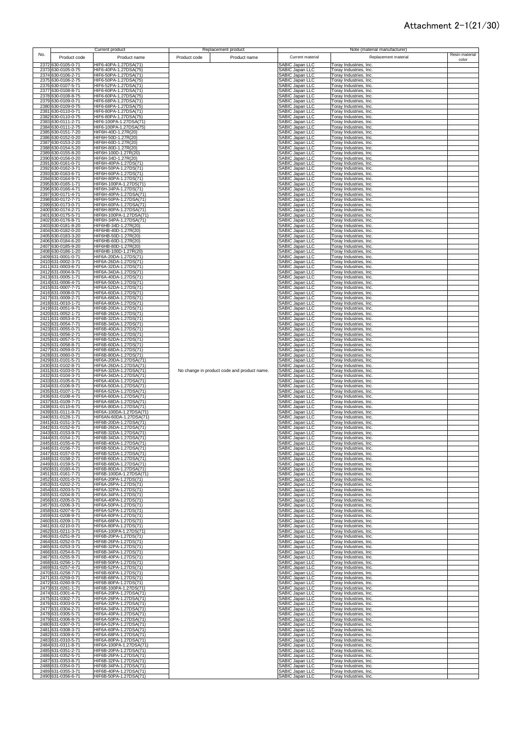|     |                                          | Current product                                   |              | Replacement product                         |                                           |                                                  | Note (material manufacturer) |                |
|-----|------------------------------------------|---------------------------------------------------|--------------|---------------------------------------------|-------------------------------------------|--------------------------------------------------|------------------------------|----------------|
| No. | Product code                             | Product name                                      | Product code | Product name                                | Current material                          |                                                  | Replacement material         | Resin material |
|     | 2372 630-0105-0-71                       | HIF6-40PA-1.27DSA(71)                             |              |                                             | SABIC Japan LLC                           | Toray Industries, Inc.                           |                              | color          |
|     | 2373 630-0105-0-75                       | HIF6-40PA-1.27DSA(75)                             |              |                                             | SABIC Japan LLC                           | Toray Industries, Inc.                           |                              |                |
|     | 2374 630-0106-2-71                       | HIF6-50PA-1.27DSA(71)                             |              |                                             | SABIC Japan LLC                           | Toray Industries, Inc.                           |                              |                |
|     | 2375 630-0106-2-75<br>2376 630-0107-5-71 | HIF6-50PA-1.27DSA(75)<br>HIF6-52PA-1.27DSA(71)    |              |                                             | SABIC Japan LLC<br>SABIC Japan LLC        | Toray Industries, Inc.<br>Toray Industries, Inc. |                              |                |
|     | 2377 630-0108-8-71                       | HIF6-60PA-1.27DSA(71)                             |              |                                             | SABIC Japan LLC                           | Toray Industries, Inc.                           |                              |                |
|     | 2378 630-0108-8-75                       | HIF6-60PA-1.27DSA(75)                             |              |                                             | SABIC Japan LLC                           | Toray Industries, Inc.                           |                              |                |
|     | 2379 630-0109-0-71<br>2380 630-0109-0-75 | HIF6-68PA-1.27DSA(71)<br>HIF6-68PA-1.27DSA(75)    |              |                                             | SABIC Japan LLC<br>SABIC Japan LLC        | Toray Industries, Inc.<br>Toray Industries, Inc. |                              |                |
|     | 2381 630-0110-0-71                       | HIF6-80PA-1.27DSA(71)                             |              |                                             | SABIC Japan LLC                           | Toray Industries, Inc.                           |                              |                |
|     | 2382 630-0110-0-75<br>2383 630-0111-2-71 | HIF6-80PA-1.27DSA(75)<br>HIF6-100PA-1.27DSA(71)   |              |                                             | SABIC Japan LLC<br>SABIC Japan LLC        | Toray Industries, Inc.<br>Toray Industries, Inc. |                              |                |
|     | 2384 630-0111-2-75                       | HIF6-100PA-1.27DSA(75)                            |              |                                             | SABIC Japan LLC                           | Toray Industries, Inc.                           |                              |                |
|     | 2385 630-0151-7-20                       | HIF6H-40D-1.27R(20)                               |              |                                             | SABIC Japan LLC                           | Toray Industries, Inc.                           |                              |                |
|     | 2386 630-0152-0-20<br>2387 630-0153-2-20 | HIF6H-50D-1.27R(20)<br>HIF6H-60D-1.27R(20)        |              |                                             | SABIC Japan LLC<br>SABIC Japan LLC        | Toray Industries, Inc.<br>Toray Industries, Inc. |                              |                |
|     | 2388 630-0154-5-20                       | HIF6H-80D-1.27R(20)                               |              |                                             | SABIC Japan LLC                           | Toray Industries, Inc.                           |                              |                |
|     | 2389 630-0155-8-20<br>2390 630-0156-0-20 | HIF6H-100D-1.27R(20)<br>HIF6H-34D-1.27R(20)       |              |                                             | SABIC Japan LLC<br>SABIC Japan LLC        | Toray Industries, Inc.<br>Toray Industries, Inc. |                              |                |
|     | 2391 630-0161-0-71                       | HIF6H-40PA-1.27DS(71)                             |              |                                             | <b>SABIC Japan LLC</b>                    | Foray Industries, Inc.                           |                              |                |
|     | 2392 630-0162-3-71                       | HIF6H-50PA-1.27DS(71)<br>HIF6H-60PA-1.27DS(71)    |              |                                             | SABIC Japan LLC<br>SABIC Japan LLC        | Toray Industries, Inc.                           |                              |                |
|     | 2393 630-0163-6-71<br>2394 630-0164-9-71 | HIF6H-80PA-1.27DS(71)                             |              |                                             | <b>SABIC Japan LLC</b>                    | Toray Industries, Inc.<br>Toray Industries, Inc. |                              |                |
|     | 2395 630-0165-1-71                       | HIF6H-100PA-1.27DS(71)                            |              |                                             | SABIC Japan LLC                           | Toray Industries, Inc.                           |                              |                |
|     | 2396 630-0166-4-71<br>2397 630-0171-4-71 | HIF6H-34PA-1.27DS(71)<br>HIF6H-40PA-1.27DSA(71)   |              |                                             | SABIC Japan LLC<br><b>SABIC Japan LLC</b> | Toray Industries, Inc.<br>Toray Industries, Inc. |                              |                |
|     | 2398 630-0172-7-71                       | HIF6H-50PA-1.27DSA(71)                            |              |                                             | SABIC Japan LLC                           | Toray Industries, Inc.                           |                              |                |
|     | 2399 630-0173-0-71<br>2400 630-0174-2-71 | HIF6H-60PA-1.27DSA(71)<br>HIF6H-80PA-1.27DSA(71)  |              |                                             | SABIC Japan LLC<br>SABIC Japan LLC        | Toray Industries, Inc.<br>Toray Industries, Inc. |                              |                |
|     | 2401 630-0175-5-71                       | HIF6H-100PA-1.27DSA(71)                           |              |                                             | SABIC Japan LLC                           | Toray Industries, Inc.                           |                              |                |
|     | 2402 630-0176-8-71                       | HIF6H-34PA-1.27DSA(71)                            |              |                                             | SABIC Japan LLC                           | Toray Industries, Inc.                           |                              |                |
|     | 2403 630-0181-8-20<br>2404 630-0182-0-20 | HIF6HB-34D-1.27R(20)<br>HIF6HB-40D-1.27R(20)      |              |                                             | SABIC Japan LLC<br>SABIC Japan LLC        | Toray Industries, Inc.<br>Toray Industries, Inc. |                              |                |
|     | 2405 630-0183-3-20                       | HIF6HB-50D-1.27R(20)                              |              |                                             | SABIC Japan LLC                           | Toray Industries, Inc.                           |                              |                |
|     | 2406 630-0184-6-20<br>2407 630-0185-9-20 | HIF6HB-60D-1.27R(20)<br>HIF6HB-80D-1.27R(20)      |              |                                             | SABIC Japan LLC<br>SABIC Japan LLC        | Toray Industries, Inc.<br>Toray Industries, Inc. |                              |                |
|     | 2408 630-0186-1-20                       | HIF6HB-100D-1.27R(20)                             |              |                                             | SABIC Japan LLC                           | Toray Industries, Inc.                           |                              |                |
|     | 2409 631-0001-0-71<br>2410 631-0002-3-71 | HIF6A-20DA-1.27DS(71)<br>HIF6A-26DA-1.27DS(71)    |              |                                             | SABIC Japan LLC<br>SABIC Japan LLC        | Toray Industries, Inc.<br>Toray Industries, Inc. |                              |                |
|     | 2411 631-0003-6-71                       | HIF6A-32DA-1.27DS(71)                             |              |                                             | SABIC Japan LLC                           | Toray Industries, Inc.                           |                              |                |
|     | 2412 631-0004-9-71<br>2413 631-0005-1-71 | HIF6A-34DA-1.27DS(71)<br>HIF6A-40DA-1.27DS(71)    |              |                                             | SABIC Japan LLC<br>SABIC Japan LLC        | Toray Industries, Inc.<br>Toray Industries, Inc. |                              |                |
|     | 2414 631-0006-4-71                       | HIF6A-50DA-1.27DS(71)                             |              |                                             | SABIC Japan LLC                           | Toray Industries, Inc.                           |                              |                |
|     | 2415 631-0007-7-71                       | HIF6A-52DA-1.27DS(71)                             |              |                                             | SABIC Japan LLC<br>SABIC Japan LLC        | Toray Industries, Inc.<br>Toray Industries, Inc. |                              |                |
|     | 2416 631-0008-0-71<br>2417 631-0009-2-71 | HIF6A-60DA-1.27DS(71)<br>HIF6A-68DA-1.27DS(71)    |              |                                             | SABIC Japan LLC                           | Toray Industries, Inc.                           |                              |                |
|     | 2418 631-0010-1-71                       | HIF6A-80DA-1.27DS(71)                             |              |                                             | SABIC Japan LLC                           | Toray Industries, Inc.                           |                              |                |
|     | 2419 631-0051-9-71<br>2420 631-0052-1-71 | HIF6B-20DA-1.27DS(71)<br>HIF6B-26DA-1.27DS(71)    |              |                                             | SABIC Japan LLC<br>SABIC Japan LLC        | Toray Industries, Inc.<br>Toray Industries, Inc. |                              |                |
|     | 2421 631-0053-4-71                       | HIF6B-32DA-1.27DS(71)                             |              |                                             | SABIC Japan LLC                           | Toray Industries, Inc.                           |                              |                |
|     | 2422 631-0054-7-71<br>2423 631-0055-0-71 | HIF6B-34DA-1.27DS(71)<br>HIF6B-40DA-1.27DS(71)    |              |                                             | SABIC Japan LLC<br>SABIC Japan LLC        | Toray Industries, Inc.<br>Toray Industries, Inc. |                              |                |
|     | 2424 631-0056-2-71                       | HIF6B-50DA-1.27DS(71)                             |              |                                             | SABIC Japan LLC                           | Toray Industries, Inc.                           |                              |                |
|     | 2425 631-0057-5-71<br>2426 631-0058-8-71 | HIF6B-52DA-1.27DS(71)<br>HIF6B-60DA-1.27DS(71)    |              |                                             | SABIC Japan LLC<br>SABIC Japan LLC        | Toray Industries, Inc.<br>Toray Industries, Inc. |                              |                |
|     | 2427 631-0059-0-71                       | HIF6B-68DA-1.27DS(71)                             |              |                                             | SABIC Japan LLC                           | Toray Industries, Inc.                           |                              |                |
|     | 2428 631-0060-0-71<br>2429 631-0101-5-71 | HIF6B-80DA-1.27DS(71)<br>HIF6A-20DA-1.27DSA(71)   |              |                                             | SABIC Japan LLC<br>SABIC Japan LLC        | Toray Industries, Inc.<br>Toray Industries, Inc. |                              |                |
|     | 2430 631-0102-8-71                       | HIF6A-26DA-1.27DSA(71)                            |              |                                             | SABIC Japan LLC                           | Toray Industries, Inc.                           |                              |                |
|     | 2431 631-0103-0-71                       | HIF6A-32DA-1.27DSA(71)                            |              | No change in product code and product name. | SABIC Japan LLC                           | Toray Industries, Inc.                           |                              |                |
|     | 2432 631-0104-3-71<br>2433 631-0105-6-71 | HIF6A-34DA-1.27DSA(71)<br>HIF6A-40DA-1.27DSA(71)  |              |                                             | <b>SABIC Japan LLC</b><br>SABIC Japan LLC | Toray Industries, Inc.<br>Toray Industries, Inc. |                              |                |
|     | 2434 631-0106-9-71                       | HIF6A-50DA-1.27DSA(71)                            |              |                                             | SABIC Japan LLC                           | Toray Industries, Inc.                           |                              |                |
|     | 2435 631-0107-1-71<br>2436 631-0108-4-71 | HIF6A-52DA-1.27DSA(71)<br>HIF6A-60DA-1.27DSA(71)  |              |                                             | SABIC Japan LLC<br>SABIC Japan LLC        | Toray Industries, Inc.<br>Toray Industries, Inc. |                              |                |
|     | 2437 631-0109-7-71                       | HIF6A-68DA-1.27DSA(71)                            |              |                                             | SABIC Japan LLC                           | Toray Industries, Inc.                           |                              |                |
|     | 2438 631-0110-6-71<br>2439 631-0111-9-71 | HIF6A-80DA-1.27DSA(71)<br>HIF6A-100DA-1.27DSA(71) |              |                                             | SABIC Japan LLC<br>SABIC Japan LLC        | Toray Industries, Inc.<br>Toray Industries, Inc. |                              |                |
|     | 2440 631-0128-1-71                       | HIF6AN-60DA-1.27DSA(71)                           |              |                                             | SABIC Japan LLC                           | Toray Industries, Inc.                           |                              |                |
|     | 2441 631-0151-3-71                       | HIF6B-20DA-1.27DSA(71)<br>HIF6B-26DA-1.27DSA(71)  |              |                                             | <b>SABIC Japan LLC</b>                    | Toray Industries, Inc.                           |                              |                |
|     | 2442 631-0152-6-71<br>2443 631-0153-9-71 | HIF6B-32DA-1.27DSA(71)                            |              |                                             | SABIC Japan LLC<br>SABIC Japan LLC        | Toray Industries, Inc.<br>Toray Industries, Inc. |                              |                |
|     | 2444 631-0154-1-71                       | HIF6B-34DA-1.27DSA(71)                            |              |                                             | SABIC Japan LLC                           | Toray Industries, Inc.                           |                              |                |
|     | 2445 631-0155-4-71<br>2446 631-0156-7-71 | HIF6B-40DA-1.27DSA(71)<br>HIF6B-50DA-1.27DSA(71)  |              |                                             | <b>ABIC Japan LLC</b><br>SABIC Japan LLC  | Toray Industries, Inc<br>Toray Industries, Inc.  |                              |                |
|     | 2447 631-0157-0-71                       | HIF6B-52DA-1.27DSA(71)                            |              |                                             | SABIC Japan LLC                           | Toray Industries, Inc.                           |                              |                |
|     | 2448 631-0158-2-71<br>2449 631-0159-5-71 | HIF6B-60DA-1.27DSA(71)<br>HIF6B-68DA-1.27DSA(71)  |              |                                             | SABIC Japan LLC<br>SABIC Japan LLC        | Toray Industries, Inc.<br>Toray Industries, Inc. |                              |                |
|     | 2450 631-0160-4-71                       | HIF6B-80DA-1.27DSA(71)                            |              |                                             | SABIC Japan LLC                           | Toray Industries, Inc.                           |                              |                |
|     | 2451 631-0161-7-71<br>2452 631-0201-0-71 | HIF6B-100DA-1.27DSA(71)<br>HIF6A-20PA-1.27DS(71)  |              |                                             | SABIC Japan LLC<br>SABIC Japan LLC        | Toray Industries, Inc.<br>Toray Industries, Inc. |                              |                |
|     | 2453 631-0202-2-71                       | HIF6A-26PA-1.27DS(71)                             |              |                                             | SABIC Japan LLC                           | Toray Industries, Inc.                           |                              |                |
|     | 2454 631-0203-5-71<br>2455 631-0204-8-71 | HIF6A-32PA-1.27DS(71)<br>HIF6A-34PA-1.27DS(71)    |              |                                             | SABIC Japan LLC<br>SABIC Japan LLC        | Toray Industries, Inc.<br>Toray Industries, Inc. |                              |                |
|     | 2456 631-0205-0-71                       | HIF6A-40PA-1.27DS(71)                             |              |                                             | SABIC Japan LLC                           | Toray Industries, Inc.                           |                              |                |
|     | 2457 631-0206-3-71                       | HIF6A-50PA-1.27DS(71)                             |              |                                             | SABIC Japan LLC<br>SABIC Japan LLC        | Toray Industries, Inc.                           |                              |                |
|     | 2458 631-0207-6-71<br>2459 631-0208-9-71 | HIF6A-52PA-1.27DS(71)<br>HIF6A-60PA-1.27DS(71)    |              |                                             | SABIC Japan LLC                           | Toray Industries, Inc.<br>Toray Industries, Inc. |                              |                |
|     | 2460 631-0209-1-71                       | HIF6A-68PA-1.27DS(71)                             |              |                                             | SABIC Japan LLC                           | Toray Industries, Inc.                           |                              |                |
|     | 2461 631-0210-0-71<br>2462 631-0211-3-71 | HIF6A-80PA-1.27DS(71)<br>HIF6A-100PA-1.27DS(71)   |              |                                             | SABIC Japan LLC<br>SABIC Japan LLC        | Toray Industries, Inc.<br>Toray Industries, Inc. |                              |                |
|     | 2463 631-0251-8-71                       | HIF6B-20PA-1.27DS(71)                             |              |                                             | SABIC Japan LLC                           | Toray Industries, Inc.                           |                              |                |
|     | 2464 631-0252-0-71<br>2465 631-0253-3-71 | HIF6B-26PA-1.27DS(71)<br>HIF6B-32PA-1.27DS(71)    |              |                                             | SABIC Japan LLC<br>SABIC Japan LLC        | Toray Industries, Inc.<br>Toray Industries, Inc. |                              |                |
|     | 2466 631-0254-6-71                       | HIF6B-34PA-1.27DS(71)                             |              |                                             | SABIC Japan LLC                           | Toray Industries, Inc.                           |                              |                |
|     | 2467 631-0255-9-71<br>2468 631-0256-1-71 | HIF6B-40PA-1.27DS(71)<br>HIF6B-50PA-1.27DS(71)    |              |                                             | SABIC Japan LLC<br>SABIC Japan LLC        | Toray Industries, Inc.<br>Toray Industries, Inc. |                              |                |
|     | 2469 631-0257-4-71                       | HIF6B-52PA-1.27DS(71)                             |              |                                             | SABIC Japan LLC                           | Toray Industries, Inc.                           |                              |                |
|     | 2470 631-0258-7-71<br>2471 631-0259-0-71 | HIF6B-60PA-1.27DS(71)<br>HIF6B-68PA-1.27DS(71)    |              |                                             | SABIC Japan LLC<br>SABIC Japan LLC        | Toray Industries, Inc.<br>Toray Industries, Inc. |                              |                |
|     | 2472 631-0260-9-71                       | HIF6B-80PA-1.27DS(71)                             |              |                                             | SABIC Japan LLC                           | Toray Industries, Inc.                           |                              |                |
|     | 2473 631-0261-1-71                       | HIF6B-100PA-1.27DS(71)                            |              |                                             | SABIC Japan LLC                           | Toray Industries, Inc.                           |                              |                |
|     | 2474 631-0301-4-71<br>2475 631-0302-7-71 | HIF6A-20PA-1.27DSA(71)<br>HIF6A-26PA-1.27DSA(71)  |              |                                             | SABIC Japan LLC<br>SABIC Japan LLC        | Toray Industries, Inc.<br>Toray Industries, Inc. |                              |                |
|     | 2476 631-0303-0-71                       | HIF6A-32PA-1.27DSA(71)                            |              |                                             | SABIC Japan LLC                           | Toray Industries, Inc.                           |                              |                |
|     | 2477 631-0304-2-71<br>2478 631-0305-5-71 | HIF6A-34PA-1.27DSA(71)<br>HIF6A-40PA-1.27DSA(71)  |              |                                             | SABIC Japan LLC<br>SABIC Japan LLC        | Toray Industries, Inc.<br>Toray Industries, Inc. |                              |                |
|     | 2479 631-0306-8-71                       | HIF6A-50PA-1.27DSA(71)                            |              |                                             | SABIC Japan LLC                           | Toray Industries, Inc.                           |                              |                |
|     | 2480 631-0307-0-71<br>2481 631-0308-3-71 | HIF6A-52PA-1.27DSA(71)<br>HIF6A-60PA-1.27DSA(71)  |              |                                             | SABIC Japan LLC<br>SABIC Japan LLC        | Toray Industries, Inc.<br>Toray Industries, Inc. |                              |                |
|     | 2482 631-0309-6-71                       | HIF6A-68PA-1.27DSA(71)                            |              |                                             | SABIC Japan LLC                           | Toray Industries, Inc.                           |                              |                |
|     | 2483 631-0310-5-71                       | HIF6A-80PA-1.27DSA(71)                            |              |                                             | SABIC Japan LLC                           | Toray Industries, Inc.                           |                              |                |
|     | 2484 631-0311-8-71<br>2485 631-0351-2-71 | HIF6A-100PA-1.27DSA(71)<br>HIF6B-20PA-1.27DSA(71) |              |                                             | SABIC Japan LLC<br>SABIC Japan LLC        | Toray Industries, Inc.<br>Toray Industries, Inc. |                              |                |
|     | 2486 631-0352-5-71                       | HIF6B-26PA-1.27DSA(71)                            |              |                                             | SABIC Japan LLC                           | Toray Industries, Inc.                           |                              |                |
|     | 2487 631-0353-8-71<br>2488 631-0354-0-71 | HIF6B-32PA-1.27DSA(71)<br>HIF6B-34PA-1.27DSA(71)  |              |                                             | SABIC Japan LLC<br>SABIC Japan LLC        | Toray Industries, Inc.<br>Toray Industries, Inc. |                              |                |
|     | 2489 631-0355-3-71                       | HIF6B-40PA-1.27DSA(71)                            |              |                                             | SABIC Japan LLC                           | Toray Industries, Inc.                           |                              |                |
|     | 2490 631-0356-6-71                       | HIF6B-50PA-1.27DSA(71)                            |              |                                             | SABIC Japan LLC                           | Toray Industries, Inc.                           |                              |                |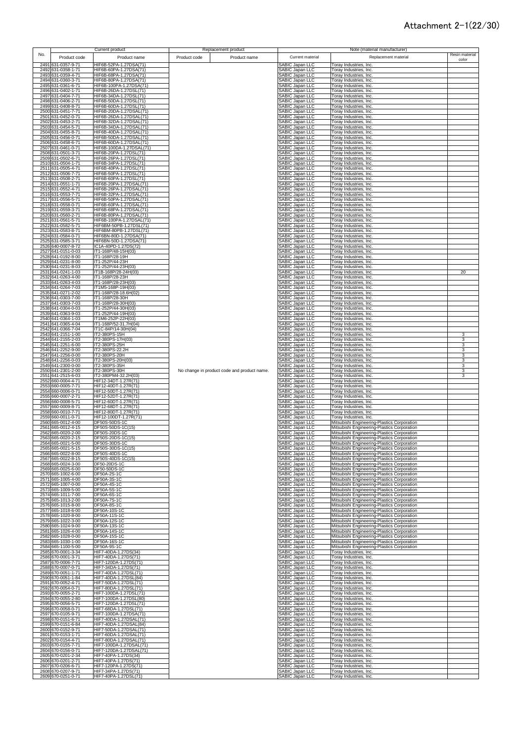|     |                                          | Current product                                     |              | Replacement product                         |                                                       | Note (material manufacturer)                                                               |                |
|-----|------------------------------------------|-----------------------------------------------------|--------------|---------------------------------------------|-------------------------------------------------------|--------------------------------------------------------------------------------------------|----------------|
| No. | Product code                             | Product name                                        | Product code | Product name                                | Current material                                      | Replacement material                                                                       | Resin material |
|     | 2491 631-0357-9-71                       | HIF6B-52PA-1.27DSA(71)                              |              |                                             | SABIC Japan LLC                                       | Toray Industries, Inc.                                                                     | color          |
|     | 2492 631-0358-1-71                       | HIF6B-60PA-1.27DSA(71)                              |              |                                             | SABIC Japan LLC                                       | Toray Industries, Inc.                                                                     |                |
|     | 2493 631-0359-4-71<br>2494 631-0360-3-71 | HIF6B-68PA-1.27DSA(71)<br>HIF6B-80PA-1.27DSA(71)    |              |                                             | SABIC Japan LLC<br>SABIC Japan LLC                    | Toray Industries, Inc.<br>Toray Industries, Inc.                                           |                |
|     | 2495 631-0361-6-71                       | HIF6B-100PA-1.27DSA(71)                             |              |                                             | SABIC Japan LLC                                       | Toray Industries, Inc.                                                                     |                |
|     | 2496 631-0402-1-71<br>2497 631-0404-7-71 | HIF6B-26DA-1.27DSL(71)<br>HIF6B-34DA-1.27DSL(71)    |              |                                             | SABIC Japan LLC<br>SABIC Japan LLC                    | <b>Toray Industries, Inc.</b><br><b>Foray Industries, Inc.</b>                             |                |
|     | 2498 631-0406-2-71                       | HIF6B-50DA-1.27DSL(71)                              |              |                                             | SABIC Japan LLC                                       | Toray Industries, Inc.                                                                     |                |
|     | 2499 631-0408-8-71                       | HIF6B-60DA-1.27DSL(71)                              |              |                                             | SABIC Japan LLC                                       | Toray Industries, Inc.                                                                     |                |
|     | 2500 631-0451-7-71<br>2501 631-0452-0-71 | HIF6B-20DA-1.27DSAL(71)<br>HIF6B-26DA-1.27DSAL(71)  |              |                                             | SABIC Japan LLC<br>SABIC Japan LLC                    | Toray Industries, Inc.<br>Toray Industries, Inc.                                           |                |
|     | 2502 631-0453-2-71                       | HIF6B-32DA-1.27DSAL(71)                             |              |                                             | SABIC Japan LLC                                       | Toray Industries, Inc.                                                                     |                |
|     | 2503 631-0454-5-71<br>2504 631-0455-8-71 | HIF6B-34DA-1.27DSAL(71)<br>HIF6B-40DA-1.27DSAL(71)  |              |                                             | SABIC Japan LLC<br>SABIC Japan LLC                    | Toray Industries, Inc.<br>Toray Industries, Inc.                                           |                |
|     | 2505 631-0456-0-71                       | HIF6B-50DA-1.27DSAL(71)                             |              |                                             | SABIC Japan LLC                                       | Toray Industries, Inc.                                                                     |                |
|     | 2506 631-0458-6-71<br>2507 631-0461-0-71 | HIF6B-60DA-1.27DSAL(71)<br>HIF6B-100DA-1.27DSAL(71) |              |                                             | SABIC Japan LLC<br>SABIC Japan LLC                    | Toray Industries, Inc.<br>Toray Industries, Inc.                                           |                |
|     | 2508 631-0501-3-71                       | HIF6B-20PA-1.27DSL(71)                              |              |                                             | SABIC Japan LLC                                       | Toray Industries, Inc.                                                                     |                |
|     | 2509 631-0502-6-71                       | HIF6B-26PA-1.27DSL(71)                              |              |                                             | SABIC Japan LLC                                       | Toray Industries, Inc.                                                                     |                |
|     | 2510 631-0504-1-71<br>2511 631-0505-4-71 | HIF6B-34PA-1.27DSL(71)<br>HIF6B-40PA-1.27DSL(71)    |              |                                             | SABIC Japan LLC<br>SABIC Japan LLC                    | Toray Industries, Inc.<br>Toray Industries, Inc.                                           |                |
|     | 2512 631-0506-7-71                       | HIF6B-50PA-1.27DSL(71)                              |              |                                             | SABIC Japan LLC                                       | Toray Industries, Inc.                                                                     |                |
|     | 2513 631-0508-2-71<br>2514 631-0551-1-71 | HIF6B-60PA-1.27DSL(71)<br>HIF6B-20PA-1.27DSAL(71)   |              |                                             | SABIC Japan LLC<br><b>SABIC Japan LLC</b>             | Toray Industries, Inc.<br>Toray Industries, Inc.                                           |                |
|     | 2515 631-0552-4-71                       | HIF6B-26PA-1.27DSAL(71)                             |              |                                             | SABIC Japan LLC                                       | Toray Industries, Inc.                                                                     |                |
|     | 2516 631-0553-7-71                       | HIF6B-32PA-1.27DSAL(71)<br>HIF6B-50PA-1.27DSAL(71)  |              |                                             | <b>SABIC Japan LLC</b><br><b>SABIC Japan LLC</b>      | Toray Industries, Inc.                                                                     |                |
|     | 2517 631-0556-5-71<br>2518 631-0558-0-71 | HIF6B-60PA-1.27DSAL(71)                             |              |                                             | SABIC Japan LLC                                       | Toray Industries, Inc.<br>Toray Industries, Inc.                                           |                |
|     | 2519 631-0559-3-71                       | HIF6B-68PA-1.27DSAL(71)                             |              |                                             | <b>SABIC Japan LLC</b>                                | Toray Industries, Inc.                                                                     |                |
|     | 2520 631-0560-2-71<br>2521 631-0561-5-71 | HIF6B-80PA-1.27DSAL(71)<br>HIF6B-100PA-1.27DSAL(71) |              |                                             | SABIC Japan LLC<br>SABIC Japan LLC                    | Toray Industries, Inc.<br>Toray Industries, Inc.                                           |                |
|     | 2522 631-0582-5-71                       | HIF6BM-50PB-1.27DSL(71)                             |              |                                             | SABIC Japan LLC                                       | Toray Industries, Inc.                                                                     |                |
|     | 2523 631-0583-8-71<br>2524 631-0584-0-71 | HIF6BM-80PB-1.27DSL(71)<br>HIF6BN-80D-1.27DSA(71)   |              |                                             | SABIC Japan LLC<br>SABIC Japan LLC                    | Toray Industries, Inc.<br>Toray Industries, Inc.                                           |                |
|     | 2525 631-0585-3-71                       | HIF6BN-50D-1.27DSA(71)                              |              |                                             | SABIC Japan LLC                                       | Toray Industries, Inc.                                                                     |                |
|     | 2526 640-0007-8-72<br>2527 641-0151-0-03 | IC1A-40PD-1.27DS(72)<br>IT1-168P/48-15H(03)         |              |                                             | SABIC Japan LLC<br>SABIC Japan LLC                    | Toray Industries, Inc.                                                                     |                |
|     | 2528 641-0192-8-00                       | IT1-168P/28-19H                                     |              |                                             | SABIC Japan LLC                                       | Toray Industries, Inc.<br>Toray Industries, Inc.                                           |                |
|     | 2529 641-0231-8-00                       | IT1-252P/44-23H                                     |              |                                             | SABIC Japan LLC                                       | Toray Industries, Inc.                                                                     |                |
|     | 2530 641-0231-8-03<br>2531 641-0241-1-03 | T1-252P/44-23H(03)<br>IT1B-168P/28-24H(03)          |              |                                             | SABIC Japan LLC<br>SABIC Japan LLC                    | Toray Industries, Inc.<br>Toray Industries, Inc.                                           | 20             |
|     | 2532 641-0263-4-00                       | T1-168P/28-23H                                      |              |                                             | <b>SABIC Japan LLC</b>                                | Toray Industries, Inc.                                                                     |                |
|     | 2533 641-0263-4-03<br>2534 641-0264-7-03 | IT1-168P/28-23H(03)<br>T1M5-168P-19H(03)            |              |                                             | SABIC Japan LLC<br><b>SABIC Japan LLC</b>             | Toray Industries, Inc.<br>Torav Industries, Inc.                                           |                |
|     | 2535 641-0271-2-02                       | T1-168P/28-18.6H(02)                                |              |                                             | SABIC Japan LLC                                       | Toray Industries, Inc.                                                                     |                |
|     | 2536 641-0303-7-00<br>2537 641-0303-7-03 | IT1-168P/28-30H<br>IT1-168P/28-30H(03)              |              |                                             | SABIC Japan LLC<br><b>SABIC Japan LLC</b>             | Toray Industries, Inc.<br>Toray Industries, Inc.                                           |                |
|     | 2538 641-0304-0-03                       | IT1-252P/44-30H(03)                                 |              |                                             | <b>SABIC Japan LLC</b>                                | Toray Industries, Inc.                                                                     |                |
|     | 2539 641-0363-9-03                       | IT1-252P/44-19H(03)                                 |              |                                             | SABIC Japan LLC                                       | Toray Industries, Inc.                                                                     |                |
|     | 2540 641-0364-1-03<br>2541 641-0365-4-04 | IT1M6-252P-22H(03)<br>IT1-168P/52-31.7H(04)         |              |                                             | SABIC Japan LLC<br><b>SABIC Japan LLC</b>             | Toray Industries, Inc.<br>Toray Industries, Inc.                                           |                |
|     | 2542 641-0366-7-04                       | IT1C-84P/14-30H(04)                                 |              |                                             | SABIC Japan LLC                                       | Toray Industries, Inc.                                                                     |                |
|     | 2543 641-2151-1-00<br>2544 641-2155-2-03 | IT2-380PS-15H<br>IT2-380PS-17H(03)                  |              |                                             | SABIC Japan LLC<br>SABIC Japan LLC                    | Toray Industries, Inc.<br>Toray Industries, Inc.                                           | 3<br>3         |
|     | 2545 641-2251-6-00                       | IT2-380PS-25H                                       |              |                                             | SABIC Japan LLC                                       | Toray Industries, Inc.                                                                     | 3              |
|     | 2546 641-2252-9-00<br>2547 641-2256-0-00 | IT2-380PS-22.2H<br>IT2-380PS-20H                    |              |                                             | SABIC Japan LLC<br>SABIC Japan LLC                    | Toray Industries, Inc.<br>Toray Industries, Inc.                                           | 3<br>3         |
|     | 2548 641-2256-0-03                       | IT2-380PS-20H(03)                                   |              |                                             | SABIC Japan LLC                                       | Toray Industries, Inc.                                                                     | 3              |
|     | 2549 641-2300-0-00                       | IT2-380PS-35H                                       |              |                                             | SABIC Japan LLC                                       | Toray Industries, Inc.                                                                     | 3              |
|     | 2550 641-2301-2-00<br>2551 641-2515-6-03 | IT2-380PS-30H<br>IT2-380PM4-32.2H(03)               |              | No change in product code and product name. | SABIC Japan LLC<br>SABIC Japan LLC                    | Toray Industries, Inc.<br>Toray Industries, Inc.                                           | 3<br>3         |
|     | 2552 660-0004-4-71                       | HIF12-34DT-1.27R(71)                                |              |                                             | SABIC Japan LLC                                       | Toray Industries, Inc.                                                                     |                |
|     | 2553 660-0005-7-71<br>2554 660-0006-0-71 | HIF12-40DT-1.27R(71)<br>HIF12-50DT-1.27R(71)        |              |                                             | SABIC Japan LLC<br>SABIC Japan LLC                    | Toray Industries, Inc.<br>Toray Industries, Inc.                                           |                |
|     | 2555 660-0007-2-71                       | HIF12-52DT-1.27R(71)                                |              |                                             | SABIC Japan LLC                                       | Toray Industries, Inc.                                                                     |                |
|     | 2556 660-0008-5-71<br>2557 660-0009-8-71 | HIF12-60DT-1.27R(71)<br>HIF12-68DT-1.27R(71)        |              |                                             | <b>SABIC Japan LLC</b><br>SABIC Japan LLC             | Toray Industries, Inc.<br>Toray Industries, Inc.                                           |                |
|     | 2558 660-0010-7-71                       | HIF12-80DT-1.27R(71)                                |              |                                             | SABIC Japan LLC                                       | Toray Industries, Inc.                                                                     |                |
|     | 2559 660-0011-0-71                       | HIF12-100DT-1.27R(71)                               |              |                                             | SABIC Japan LLC                                       | Toray Industries, Inc.                                                                     |                |
|     | 2560 665-0012-4-00<br>2561 665-0012-4-15 | DF50S-50DS-1C<br>DF50S-50DS-1C(15)                  |              |                                             | SABIC Japan LLC<br><b>SABIC Japan LLC</b>             | Mitsubishi Engineering-Plastics Corporation<br>Mitsubishi Engineering-Plastics Corporation |                |
|     | 2562 665-0020-2-00                       | DF50S-20DS-1C                                       |              |                                             | SABIC Japan LLC                                       | Mitsubishi Engineering-Plastics Corporation                                                |                |
|     | 2563 665-0020-2-15<br>2564 665-0021-5-00 | DF50S-20DS-1C(15)<br>DF50S-30DS-1C                  |              |                                             | SABIC Japan LLC<br>ABIC Japan LLC                     | Mitsubishi Engineering-Plastics Corporation<br>Mitsubishi Engineering-Plastics Corporation |                |
|     | 2565 665-0021-5-15                       | DF50S-30DS-1C(15)                                   |              |                                             | SABIC Japan LLC                                       | Mitsubishi Engineering-Plastics Corporation                                                |                |
|     | 2566 665-0022-8-00<br>2567 665-0022-8-15 | DF50S-40DS-1C<br>DF50S-40DS-1C(15)                  |              |                                             | SABIC Japan LLC<br>SABIC Japan LLC                    | Mitsubishi Engineering-Plastics Corporation                                                |                |
|     | 2568 665-0024-3-00                       | DF50-20DS-1C                                        |              |                                             | SABIC Japan LLC                                       | Mitsubishi Engineering-Plastics Corporation<br>Mitsubishi Engineering-Plastics Corporation |                |
|     | 2569 665-0025-6-00                       | DF50-50DS-1C                                        |              |                                             | SABIC Japan LLC                                       | Mitsubishi Engineering-Plastics Corporation                                                |                |
|     | 2570 665-1002-6-00<br>2571 665-1005-4-00 | DF50A-2S-1C<br>DF50A-3S-1C                          |              |                                             | SABIC Japan LLC<br>SABIC Japan LLC                    | Mitsubishi Engineering-Plastics Corporation<br>Mitsubishi Engineering-Plastics Corporation |                |
|     | 2572 665-1007-0-00                       | DF50A-4S-1C                                         |              |                                             | SABIC Japan LLC                                       | Mitsubishi Engineering-Plastics Corporation                                                |                |
|     | 2573 665-1009-5-00<br>2574 665-1011-7-00 | DF50A-5S-1C<br>DF50A-6S-1C                          |              |                                             | SABIC Japan LLC<br>SABIC Japan LLC                    | Mitsubishi Engineering-Plastics Corporation<br>Mitsubishi Engineering-Plastics Corporation |                |
|     | 2575 665-1013-2-00                       | DF50A-7S-1C                                         |              |                                             | SABIC Japan LLC                                       | Mitsubishi Engineering-Plastics Corporation                                                |                |
|     | 2576 665-1015-8-00<br>2577 665-1018-6-00 | DF50A-8S-1C<br>DF50A-10S-1C                         |              |                                             | SABIC Japan LLC<br>SABIC Japan LLC                    | Mitsubishi Engineering-Plastics Corporation<br>Mitsubishi Engineering-Plastics Corporation |                |
|     | 2578 665-1020-8-00                       | DF50A-11S-1C                                        |              |                                             | SABIC Japan LLC                                       | Mitsubishi Engineering-Plastics Corporation                                                |                |
|     | 2579 665-1022-3-00                       | DF50A-12S-1C                                        |              |                                             | SABIC Japan LLC                                       | Mitsubishi Engineering-Plastics Corporation                                                |                |
|     | 2580 665-1024-9-00<br>2581 665-1026-4-00 | DF50A-13S-1C<br>DF50A-14S-1C                        |              |                                             | SABIC Japan LLC<br>SABIC Japan LLC                    | Mitsubishi Engineering-Plastics Corporation<br>Mitsubishi Engineering-Plastics Corporation |                |
|     | 2582 665-1028-0-00                       | DF50A-15S-1C                                        |              |                                             | SABIC Japan LLC                                       | Mitsubishi Engineering-Plastics Corporation                                                |                |
|     | 2583 665-1030-1-00<br>2584 665-1100-5-00 | DF50A-16S-1C<br>DF50A-9S-1C                         |              |                                             | <b>SABIC Japan LLC</b><br>SABIC Japan LLC             | Mitsubishi Engineering-Plastics Corporation<br>Mitsubishi Engineering-Plastics Corporation |                |
|     | 2585 670-0001-3-34                       | HIF7-40DA-1.27DS(34)                                |              |                                             |                                                       | Toray Industries, Inc.                                                                     |                |
|     | 2586 670-0001-3-71<br>2587 670-0006-7-71 | HIF7-40DA-1.27DS(71)<br>HIF7-120DA-1.27DS(71)       |              |                                             | SABIC Japan LLC<br>SABIC Japan LLC<br>SABIC Japan LLC | Toray Industries, Inc.<br>Toray Industries, Inc.                                           |                |
|     | 2588 670-0007-0-71                       | HIF7-34DA-1.27DS(71)                                |              |                                             | SABIC Japan LLC                                       | Toray Industries, Inc.                                                                     |                |
|     | 2589 670-0051-1-71                       | HIF7-40DA-1.27DSL(71)                               |              |                                             | <b>SABIC Japan LLC</b>                                | Toray Industries, Inc.                                                                     |                |
|     | 2590 670-0051-1-84<br>2591 670-0052-4-71 | HIF7-40DA-1.27DSL(84)<br>HIF7-50DA-1.27DSL(71)      |              |                                             | SABIC Japan LLC<br>SABIC Japan LLC                    | Toray Industries, Inc.<br>Toray Industries, Inc.                                           |                |
|     | 2592 670-0054-0-71                       | HIF7-80DA-1.27DSL(71)                               |              |                                             | <b>SABIC Japan LLC</b>                                | Toray Industries, Inc.                                                                     |                |
|     | 2593 670-0055-2-71<br>2594 670-0055-2-80 | HIF7-100DA-1.27DSL(71)<br>HIF7-100DA-1.27DSL(80)    |              |                                             | SABIC Japan LLC<br>SABIC Japan LLC                    | Toray Industries, Inc.<br>Toray Industries, Inc.                                           |                |
|     | 2595 670-0056-5-71                       | HIF7-120DA-1.27DSL(71)                              |              |                                             | SABIC Japan LLC                                       | Toray Industries, Inc.                                                                     |                |
|     | 2596 670-0058-0-71                       | HIF7-68DA-1.27DSL(71)                               |              |                                             | SABIC Japan LLC                                       | Toray Industries, Inc.                                                                     |                |
|     | 2597 670-0105-9-71<br>2598 670-0151-6-71 | HIF7-100DA-1.27DSA(71)<br>HIF7-40DA-1.27DSAL(71)    |              |                                             | SABIC Japan LLC<br>SABIC Japan LLC                    | Toray Industries, Inc.<br>Toray Industries, Inc.                                           |                |
|     | 2599 670-0151-6-84                       | HIF7-40DA-1.27DSAL(84)                              |              |                                             | SABIC Japan LLC                                       | Toray Industries, Inc.                                                                     |                |
|     | 2600 670-0152-9-71<br>2601 670-0153-1-71 | HIF7-50DA-1.27DSAL(71)<br>HIF7-60DA-1.27DSAL(71)    |              |                                             | SABIC Japan LLC<br>SABIC Japan LLC                    | Toray Industries, Inc.<br>Toray Industries, Inc.                                           |                |
|     | 2602 670-0154-4-71                       | HIF7-80DA-1.27DSAL(71)                              |              |                                             | SABIC Japan LLC                                       | Toray Industries, Inc.                                                                     |                |
|     | 2603 670-0155-7-71<br>2604 670-0156-0-71 | HIF7-100DA-1.27DSAL(71)<br>HIF7-120DA-1.27DSAL(71)  |              |                                             | SABIC Japan LLC<br>SABIC Japan LLC                    | Toray Industries, Inc.<br>Toray Industries, Inc.                                           |                |
|     |                                          |                                                     |              |                                             | SABIC Japan LLC                                       | Toray Industries, Inc.                                                                     |                |
|     | 2605 670-0201-2-34                       | HIF7-40PA-1.27DS(34)                                |              |                                             |                                                       |                                                                                            |                |
|     | 2606 670-0201-2-71                       | HIF7-40PA-1.27DS(71)                                |              |                                             | SABIC Japan LLC                                       | Toray Industries, Inc.                                                                     |                |
|     | 2607 670-0206-6-71<br>2608 670-0207-9-71 | HIF7-120PA-1.27DS(71)<br>HIF7-34PA-1.27DS(71)       |              |                                             | SABIC Japan LLC<br>SABIC Japan LLC                    | Toray Industries, Inc.<br>Toray Industries, Inc.                                           |                |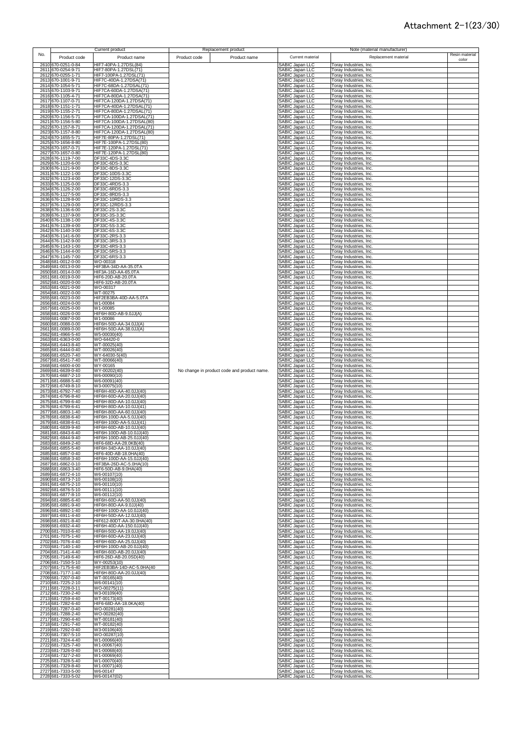|     |                                          | Current product                                       | Replacement product                         |              |                                                  |                                                  | Note (material manufacturer) |                         |
|-----|------------------------------------------|-------------------------------------------------------|---------------------------------------------|--------------|--------------------------------------------------|--------------------------------------------------|------------------------------|-------------------------|
| No. | Product code                             | Product name                                          | Product code                                | Product name | Current material                                 |                                                  | Replacement material         | Resin material<br>color |
|     | 2610 670-0251-0-84                       | HIF7-40PA-1.27DSL(84)                                 |                                             |              | SABIC Japan LLC                                  | Toray Industries, Inc.                           |                              |                         |
|     | 2611 670-0254-9-71                       | HIF7-80PA-1.27DSL(71)                                 |                                             |              | SABIC Japan LLC                                  | Toray Industries, Inc.                           |                              |                         |
|     | 2612 670-0255-1-71<br>2613 670-1001-9-71 | HIF7-100PA-1.27DSL(71)<br>HIF7C-40DA-1.27DSA(71)      |                                             |              | SABIC Japan LLC<br>SABIC Japan LLC               | Toray Industries, Inc.<br>Toray Industries, Inc. |                              |                         |
|     | 2614 670-1054-5-71                       | HIF7C-68DA-1.27DSAL(71)                               |                                             |              | SABIC Japan LLC                                  | Toray Industries, Inc.                           |                              |                         |
|     | 2615 670-1103-9-71                       | HIF7CA-60DA-1.27DSA(71)                               |                                             |              | SABIC Japan LLC                                  | Toray Industries, Inc.                           |                              |                         |
|     | 2616 670-1105-4-71<br>2617 670-1107-0-71 | HIF7CA-80DA-1.27DSA(71)<br>HIF7CA-120DA-1.27DSA(71)   |                                             |              | SABIC Japan LLC<br>SABIC Japan LLC               | Toray Industries, Inc.<br>Toray Industries, Inc. |                              |                         |
|     | 2618 670-1151-1-71                       | HIF7CA-40DA-1.27DSAL(71)                              |                                             |              | SABIC Japan LLC                                  | Toray Industries, Inc.                           |                              |                         |
|     | 2619 670-1155-2-71<br>2620 670-1156-5-71 | HIF7CA-80DA-1.27DSAL(71)<br>HIF7CA-100DA-1.27DSAL(71) |                                             |              | SABIC Japan LLC<br>SABIC Japan LLC               | Toray Industries, Inc.<br>Toray Industries, Inc. |                              |                         |
|     | 2621 670-1156-5-80                       | HIF7CA-100DA-1.27DSAL(80)                             |                                             |              | SABIC Japan LLC                                  | Toray Industries, Inc.                           |                              |                         |
|     | 2622 670-1157-8-71                       | HIF7CA-120DA-1.27DSAL(71)                             |                                             |              | SABIC Japan LLC                                  | Toray Industries, Inc.                           |                              |                         |
|     | 2623 670-1157-8-80<br>2624 670-1655-5-71 | HIF7CA-120DA-1.27DSAL(80)<br>HIF7E-80PA-1.27DSL(71)   |                                             |              | SABIC Japan LLC<br>SABIC Japan LLC               | Toray Industries, Inc.<br>Toray Industries, Inc. |                              |                         |
|     | 2625 670-1656-8-80                       | HIF7E-100PA-1.27DSL(80)                               |                                             |              | SABIC Japan LLC                                  | Toray Industries, Inc.                           |                              |                         |
|     | 2626 670-1657-0-71<br>2627 670-1657-0-80 | HIF7E-120PA-1.27DSL(71)<br>HIF7E-120PA-1.27DSL(80)    |                                             |              | SABIC Japan LLC<br>SABIC Japan LLC               | Toray Industries, Inc.                           |                              |                         |
|     | 2628 676-1119-7-00                       | DF33C-4DS-3.3C                                        |                                             |              | <b>SABIC Japan LLC</b>                           | Toray Industries, Inc.<br>Toray Industries, Inc. |                              |                         |
|     | 2629 676-1120-6-00                       | DF33C-6DS-3.3C                                        |                                             |              | <b>SABIC Japan LLC</b>                           | Toray Industries, Inc.                           |                              |                         |
|     | 2630 676-1121-9-00<br>2631 676-1122-1-00 | DF33C-8DS-3.3C<br>DF33C-10DS-3.3C                     |                                             |              | <b>SABIC Japan LLC</b><br><b>SABIC Japan LLC</b> | Toray Industries, Inc.<br>Toray Industries, Inc. |                              |                         |
|     | 2632 676-1123-4-00                       | DF33C-12DS-3.3C                                       |                                             |              | <b>SABIC Japan LLC</b>                           | Toray Industries, Inc.                           |                              |                         |
|     | 2633 676-1125-0-00<br>2634 676-1126-2-00 | DF33C-4RDS-3.3<br>DF33C-6RDS-3.3                      |                                             |              | SABIC Japan LLC<br>SABIC Japan LLC               | Toray Industries, Inc.<br>Toray Industries, Inc. |                              |                         |
|     | 2635 676-1127-5-00                       | DF33C-8RDS-3.3                                        |                                             |              | SABIC Japan LLC                                  | Toray Industries, Inc.                           |                              |                         |
|     | 2636 676-1128-8-00<br>2637 676-1129-0-00 | DF33C-10RDS-3.3<br>DF33C-12RDS-3.3                    |                                             |              | SABIC Japan LLC<br>SABIC Japan LLC               | Toray Industries, Inc.<br>Toray Industries, Inc. |                              |                         |
|     | 2638 676-1136-6-00                       | DF33C-2S-3.3C                                         |                                             |              | SABIC Japan LLC                                  | Toray Industries, Inc.                           |                              |                         |
|     | 2639 676-1137-9-00                       | DF33C-3S-3.3C                                         |                                             |              | SABIC Japan LLC                                  | Toray Industries, Inc.                           |                              |                         |
|     | 2640 676-1138-1-00<br>2641 676-1139-4-00 | DF33C-4S-3.3C<br>DF33C-5S-3.3C                        |                                             |              | SABIC Japan LLC<br>SABIC Japan LLC               | Toray Industries, Inc.<br>Toray Industries, Inc. |                              |                         |
|     | 2642 676-1140-3-00                       | DF33C-6S-3.3C                                         |                                             |              | SABIC Japan LLC                                  | Toray Industries, Inc.                           |                              |                         |
|     | 2643 676-1141-6-00<br>2644 676-1142-9-00 | DF33C-2RS-3.3<br>DF33C-3RS-3.3                        |                                             |              | SABIC Japan LLC<br>SABIC Japan LLC               | Toray Industries, Inc.<br>Toray Industries, Inc. |                              |                         |
|     | 2645 676-1143-1-00                       | DF33C-4RS-3.3                                         |                                             |              | SABIC Japan LLC                                  | Toray Industries, Inc.                           |                              |                         |
|     | 2646 676-1144-4-00<br>2647 676-1145-7-00 | DF33C-5RS-3.3<br>DF33C-6RS-3.3                        |                                             |              | SABIC Japan LLC<br>SABIC Japan LLC               | Toray Industries, Inc.<br>Toray Industries, Inc. |                              |                         |
|     | 2648 681-0012-0-00                       | WO-00318                                              |                                             |              | <b>SABIC Japan LLC</b>                           | Toray Industries, Inc.                           |                              |                         |
|     | 2649 681-0013-0-00                       | HIF3BA-34D-AA-35.0TA                                  |                                             |              | <b>SABIC Japan LLC</b>                           | Toray Industries, Inc.                           |                              |                         |
|     | 2650 681-0014-0-00<br>2651 681-0019-0-00 | HIF3A-16D-AA-65.0TA<br>HIF6-20D-AB-20.0TA             |                                             |              | <b>SABIC Japan LLC</b><br><b>SABIC Japan LLC</b> | Toray Industries, Inc.<br>Toray Industries, Inc. |                              |                         |
|     | 2652 681-0020-0-00                       | HIF6-32D-AB-20.0TA                                    |                                             |              | <b>SABIC Japan LLC</b>                           | Toray Industries, Inc.                           |                              |                         |
|     | 2653 681-0021-0-00<br>2654 681-0022-0-00 | WO-00317<br>WT-00275                                  |                                             |              | <b>SABIC Japan LLC</b><br><b>SABIC Japan LLC</b> | Toray Industries, Inc.<br>Toray Industries, Inc. |                              |                         |
|     | 2655 681-0023-0-00                       | HIF2EB3BA-40D-AA-5.0TA                                |                                             |              | SABIC Japan LLC                                  | Toray Industries, Inc.                           |                              |                         |
|     | 2656 681-0024-0-00<br>2657 681-0025-0-00 | W1-00084<br>W1-00085                                  |                                             |              | SABIC Japan LLC<br><b>SABIC Japan LLC</b>        | Toray Industries, Inc.<br>Toray Industries, Inc. |                              |                         |
|     | 2658 681-0026-0-00                       | HIF6H-80D-AB-9.0JJ(A)                                 |                                             |              | SABIC Japan LLC                                  | Toray Industries, Inc.                           |                              |                         |
|     | 2659 681-0087-0-00<br>2660 681-0088-0-00 | W1-00086<br>HIF6H-50D-AA-34.0JJ(A)                    |                                             |              | SABIC Japan LLC<br>SABIC Japan LLC               | Toray Industries, Inc.<br>Toray Industries, Inc. |                              |                         |
|     | 2661 681-0089-0-00                       | HIF6H-50D-AA-38.0JJ(A)                                |                                             |              | SABIC Japan LLC                                  | Toray Industries, Inc.                           |                              |                         |
|     | 2662 681-4966-5-40<br>2663 681-6363-0-00 | W5-00030(40)<br>WO-64420-0                            |                                             |              | SABIC Japan LLC<br>SABIC Japan LLC               | Toray Industries, Inc.<br>Toray Industries, Inc. |                              |                         |
|     | 2664 681-6443-8-40                       | WT-00025(40)                                          |                                             |              | SABIC Japan LLC                                  | Toray Industries, Inc.                           |                              |                         |
|     | 2665 681-6444-0-40<br>2666 681-6520-7-40 | WT-00026(40)<br>WY-64030-5(40)                        |                                             |              | SABIC Japan LLC<br>SABIC Japan LLC               | Toray Industries, Inc.<br>Toray Industries, Inc. |                              |                         |
|     | 2667 681-6541-7-40                       | WT-00066(40)                                          |                                             |              | SABIC Japan LLC                                  | Toray Industries, Inc.                           |                              |                         |
|     | 2668 681-6600-4-00<br>2669 681-6639-0-40 | WY-00165<br>WY-00202(40)                              | No change in product code and product name. |              | SABIC Japan LLC<br>SABIC Japan LLC               | Toray Industries, Inc.<br>Toray Industries, Inc. |                              |                         |
|     | 2670 681-6687-2-10                       | W6-00090(10)                                          |                                             |              | <b>SABIC Japan LLC</b>                           | Toray Industries, Inc.                           |                              |                         |
|     | 2671 681-6688-5-40<br>2672 681-6749-8-10 | W6-00091(40)<br>W3-00075(10)                          |                                             |              | SABIC Japan LLC<br><b>SABIC Japan LLC</b>        | Toray Industries, Inc.<br>Toray Industries, Inc. |                              |                         |
|     | 2673 681-6792-7-40                       | HIF6H-40D-AA-40.0JJ(40)                               |                                             |              | <b>SABIC Japan LLC</b>                           | Toray Industries, Inc.                           |                              |                         |
|     | 2674 681-6796-8-40                       | HIF6H-60D-AA-20.0JJ(40)                               |                                             |              | SABIC Japan LLC                                  | Toray Industries, Inc.                           |                              |                         |
|     | 2675 681-6799-6-40<br>2676 681-6799-6-41 | HIF6H-80D-AA-10.0JJ(40)<br>HIF6H-80D-AA-10.0JJ(41)    |                                             |              | SABIC Japan LLC<br>SABIC Japan LLC               | Toray Industries, Inc.<br>Toray Industries, Inc. |                              |                         |
|     | 2677 681-6803-1-40                       | HIF6H-80D-AA-60.0JJ(40)                               |                                             |              | <b>SABIC Japan LLC</b>                           | Toray Industries, Inc.                           |                              |                         |
|     | 2678 681-6838-6-40<br>2679 681-6838-6-41 | HIF6H-100D-AA-5.0JJ(40)<br>HIF6H-100D-AA-5.0JJ(41)    |                                             |              | <b>SABIC Japan LLC</b><br><b>SABIC Japan LLC</b> | Toray Industries, Inc.<br>Toray Industries, Inc. |                              |                         |
|     | 2680 681-6839-9-40                       | HIF6H-60D-AB-10.0JJ(40)                               |                                             |              | <b>SABIC Japan LLC</b>                           | Toray Industries, Inc.                           |                              |                         |
|     | 2681 681-6843-6-40<br>2682 681-6844-9-40 | HIF6H-100D-AB-10.0JJ(40)<br>HIF6H-100D-AB-25.0JJ(40)  |                                             |              | <b>SABIC Japan LLC</b><br>SABIC Japan LLC        | Toray Industries, Inc.<br>Toray Industries, Inc. |                              |                         |
|     | 2683 681-6849-2-40                       | HIF6-68D-AA-28.0KB(40)                                |                                             |              | SABIC Japan LLC                                  | Toray Industries Inc.                            |                              |                         |
|     | 2684 681-6855-5-40<br>2685 681-6857-0-40 | HIF6H-34D-AA-10.0JJ(40)<br>HIF6-40D-AB-18.0HA(40)     |                                             |              | SABIC Japan LLC<br>SABIC Japan LLC               | Toray Industries, Inc.<br>Toray Industries, Inc. |                              |                         |
|     | 2686 681-6858-3-40                       | HIF6H-100D-AA-15.0JJ(40)                              |                                             |              | SABIC Japan LLC                                  | Toray Industries, Inc.                           |                              |                         |
|     | 2687 681-6862-0-10<br>2688 681-6863-3-40 | HIF3BA-26D-AC-5.0HA(10)<br>HIF6-50D-AB-9.0HA(40)      |                                             |              | SABIC Japan LLC<br>SABIC Japan LLC               | Toray Industries, Inc.<br>Toray Industries, Inc. |                              |                         |
|     | 2689 681-6872-4-10                       | W6-00107(10)                                          |                                             |              | SABIC Japan LLC                                  | Toray Industries, Inc.                           |                              |                         |
|     | 2690 681-6873-7-10<br>2691 681-6875-2-10 | W6-00108(10)<br>W6-00110(10)                          |                                             |              | SABIC Japan LLC                                  | Toray Industries, Inc.                           |                              |                         |
|     | 2692 681-6876-5-10                       | W6-00111(10)                                          |                                             |              | SABIC Japan LLC<br><b>SABIC Japan LLC</b>        | Toray Industries, Inc.<br>Toray Industries, Inc. |                              |                         |
|     | 2693 681-6877-8-10<br>2694 681-6885-6-40 | W6-00112(10)<br>HIF6H-60D-AA-50.0JJ(40)               |                                             |              | SABIC Japan LLC<br>SABIC Japan LLC               | Toray Industries, Inc.<br>Toray Industries, Inc. |                              |                         |
|     | 2695 681-6891-9-40                       | HIF6H-80D-AA-9.0JJ(40)                                |                                             |              | SABIC Japan LLC<br>SABIC Japan LLC               | Toray Industries, Inc.                           |                              |                         |
|     | 2696 681-6892-1-40<br>2697 681-6911-4-40 | HIF6H-100D-AA-10.0JJ(40)<br>HIF6H-50D-AA-12.0JJ(40)   |                                             |              | SABIC Japan LLC                                  | Toray Industries, Inc.<br>Toray Industries, Inc. |                              |                         |
|     | 2698 681-6921-8-40                       | HIF612-80DT-AA-30.0HA(40)                             |                                             |              | <b>SABIC Japan LLC</b>                           | Toray Industries, Inc.                           |                              |                         |
|     | 2699 681-6932-4-40                       | HIF6H-40D-AA-150.0JJ(40)                              |                                             |              | SABIC Japan LLC                                  | Toray Industries, Inc.                           |                              |                         |
|     | 2700 681-7010-6-40<br>2701 681-7075-1-40 | HIF6H-50D-AA-19.0JJ(40)<br>HIF6H-60D-AA-23.0JJ(40)    |                                             |              | SABIC Japan LLC<br>SABIC Japan LLC               | Toray Industries, Inc.<br>Toray Industries, Inc. |                              |                         |
|     | 2702 681-7076-4-40                       | HIF6H-60D-AA-25.0JJ(40)<br>HIF6H-100D-AB-20.0JJ(40)   |                                             |              | SABIC Japan LLC                                  | Toray Industries, Inc.                           |                              |                         |
|     | 2703 681-7140-1-40<br>2704 681-7141-4-40 | HIF6H-60D-AB-20.0JJ(40)                               |                                             |              | <b>SABIC Japan LLC</b><br>SABIC Japan LLC        | Toray Industries, Inc.<br>Toray Industries, Inc. |                              |                         |
|     | 2705 681-7149-6-40                       | HIF6-26D-AB-20.0SD(40)                                |                                             |              | SABIC Japan LLC                                  | Toray Industries, Inc.                           |                              |                         |
|     | 2706 681-7150-5-10<br>2707 681-7175-6-40 | WY-00253(10)<br>HIF2EB3BA-14D-AC-5.0HA(40             |                                             |              | SABIC Japan LLC<br>SABIC Japan LLC               | Toray Industries, Inc.<br>Toray Industries, Inc. |                              |                         |
|     | 2708 681-7177-1-40                       | HIF6H-80D-AA-20.0JJ(40)                               |                                             |              | SABIC Japan LLC                                  | Toray Industries, Inc.                           |                              |                         |
|     | 2709 681-7207-0-40<br>2710 681-7225-2-10 | WT-00165(40)<br>W6-00141(10)                          |                                             |              | SABIC Japan LLC<br>SABIC Japan LLC               | Toray Industries, Inc.<br>Toray Industries, Inc. |                              |                         |
|     | 2711 681-7228-0-11                       | WO-00275(11)                                          |                                             |              | SABIC Japan LLC                                  | Toray Industries, Inc.                           |                              |                         |
|     | 2712 681-7230-2-40<br>2713 681-7259-4-40 | W3-00109(40)<br>WT-00173(40)                          |                                             |              | SABIC Japan LLC<br>SABIC Japan LLC               | Toray Industries, Inc.<br>Toray Industries, Inc. |                              |                         |
|     | 2714 681-7282-6-40                       | HIF6-68D-AA-18.0KA(40)                                |                                             |              | SABIC Japan LLC                                  | Toray Industries, Inc.                           |                              |                         |
|     | 2715 681-7287-0-40<br>2716 681-7288-2-40 | WO-00281(40)<br>WO-00282(40)                          |                                             |              | SABIC Japan LLC<br>SABIC Japan LLC               | Toray Industries, Inc.<br>Toray Industries, Inc. |                              |                         |
|     | 2717 681-7290-4-40                       | WT-00181(40)                                          |                                             |              | SABIC Japan LLC                                  | Toray Industries, Inc.                           |                              |                         |
|     | 2718 681-7291-7-40<br>2719 681-7292-0-40 | WT-00182(40)<br>W3-00106(40)                          |                                             |              | <b>SABIC Japan LLC</b><br><b>SABIC Japan LLC</b> | Toray Industries, Inc.<br>Toray Industries, Inc. |                              |                         |
|     | 2720 681-7307-5-10                       | WO-00287(10)                                          |                                             |              | SABIC Japan LLC                                  | Toray Industries, Inc.                           |                              |                         |
|     | 2721 681-7324-4-40                       | W1-00066(40)                                          |                                             |              | <b>SABIC Japan LLC</b>                           | Toray Industries, Inc.                           |                              |                         |
|     | 2722 681-7325-7-40<br>2723 681-7326-0-40 | W1-00067(40)<br>W1-00068(40)                          |                                             |              | <b>SABIC Japan LLC</b><br>SABIC Japan LLC        | Toray Industries, Inc.<br>Toray Industries, Inc. |                              |                         |
|     | 2724 681-7327-2-40                       | W1-00069(40)                                          |                                             |              | <b>SABIC Japan LLC</b>                           | Toray Industries, Inc.                           |                              |                         |
|     | 2725 681-7328-5-40<br>2726 681-7329-8-40 | W1-00070(40)<br>W1-00071(40)                          |                                             |              | SABIC Japan LLC<br>SABIC Japan LLC               | Toray Industries, Inc.<br>Toray Industries, Inc. |                              |                         |
|     | 2727 681-7333-5-00                       | W6-00147                                              |                                             |              | <b>SABIC Japan LLC</b>                           | Toray Industries, Inc.                           |                              |                         |
|     | 2728 681-7333-5-02                       | W6-00147(02)                                          |                                             |              | SABIC Japan LLC                                  | Toray Industries, Inc.                           |                              |                         |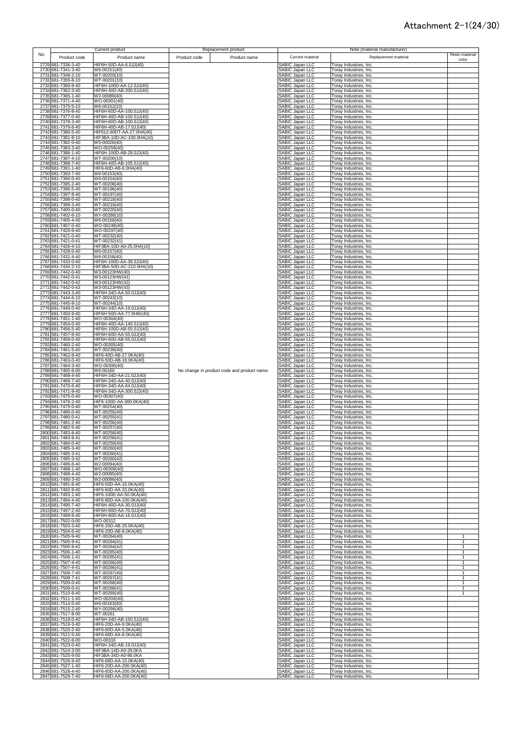|     |                                          | Current product                                      | Replacement product                         |                                           | Note (material manufacturer)                     |                              |
|-----|------------------------------------------|------------------------------------------------------|---------------------------------------------|-------------------------------------------|--------------------------------------------------|------------------------------|
| No. | Product code                             | Product name                                         | Product name<br>Product code                | Current material                          | Replacement material                             | Resin material               |
|     |                                          |                                                      |                                             |                                           |                                                  | color                        |
|     | 2729 681-7336-3-40<br>2730 681-7341-3-40 | HIF6H-50D-AA-6.0JJ(40)<br>W6-00151(40)               |                                             | <b>SABIC Japan LLC</b><br>SABIC Japan LLC | Toray Industries, Inc.<br>Toray Industries, Inc. |                              |
|     | 2731 681-7348-2-10                       | WT-00203(10)                                         |                                             | SABIC Japan LLC                           | Toray Industries, Inc.                           |                              |
|     | 2732 681-7355-8-10                       | WT-00201(10)                                         |                                             | SABIC Japan LLC                           | Toray Industries, Inc.                           |                              |
|     | 2733 681-7360-8-40                       | HIF6H-100D-AA-12.0JJ(40)                             |                                             | SABIC Japan LLC                           | Toray Industries, Inc.                           |                              |
|     | 2734 681-7362-3-40                       | HIF6H-40D-AB-200.0JJ(40)                             |                                             | SABIC Japan LLC                           | Toray Industries, Inc.                           |                              |
|     | 2735 681-7365-1-40                       | W2-00088(40)                                         |                                             | <b>SABIC Japan LLC</b>                    | Toray Industries, Inc.                           |                              |
|     | 2736 681-7371-4-40                       | WO-00301(40)                                         |                                             | SABIC Japan LLC                           | Toray Industries, Inc.                           |                              |
|     | 2737 681-7375-5-10                       | W6-00152(10)                                         |                                             | SABIC Japan LLC                           | Toray Industries, Inc.                           |                              |
|     | 2738 681-7376-8-40                       | HIF6H-60D-AA-100.0JJ(40)                             |                                             | SABIC Japan LLC                           | Toray Industries, Inc.                           |                              |
|     | 2739 681-7377-0-40                       | HIF6H-40D-AB-100.0JJ(40)                             |                                             | SABIC Japan LLC                           | Toray Industries, Inc.                           |                              |
|     | 2740 681-7378-3-40                       | HIF6H-60D-AB-100.0JJ(40)                             |                                             | SABIC Japan LLC                           | Toray Industries, Inc.                           |                              |
|     | 2741 681-7379-6-40                       | HIF6H-40D-AB-17.0JJ(40)<br>HIF612-60DT-AA-27.0HA(40) |                                             | SABIC Japan LLC                           | Toray Industries, Inc.                           |                              |
|     | 2742 681-7380-5-40<br>2743 681-7381-8-10 | HIF3BA-10D-AC-100.0HA(10)                            |                                             | SABIC Japan LLC<br>SABIC Japan LLC        | Toray Industries, Inc.<br>Toray Industries, Inc. |                              |
|     | 2744 681-7382-0-40                       | W5-00026(40)                                         |                                             | SABIC Japan LLC                           | Toray Industries, Inc.                           |                              |
|     | 2745 681-7383-3-40                       | WO-00259(40)                                         |                                             | SABIC Japan LLC                           | Toray Industries, Inc.                           |                              |
|     | 2746 681-7386-1-40                       | HIF6H-100D-AB-28.0JJ(40)                             |                                             | SABIC Japan LLC                           | Toray Industries, Inc.                           |                              |
|     | 2747 681-7387-4-10                       | WT-00200(10)                                         |                                             | <b>SABIC Japan LLC</b>                    | Toray Industries, Inc.                           |                              |
|     | 2748 681-7388-7-40                       | HIF6H-40D-AB-105.0JJ(40)                             |                                             | <b>SABIC Japan LLC</b>                    | Toray Industries, Inc.                           |                              |
|     | 2749 681-7391-1-40                       | HIF6-60D-AB-6.0HA(40)                                |                                             | SABIC Japan LLC                           | Toray Industries, Inc.                           |                              |
|     | 2750 681-7393-7-40                       | W6-00153(40)                                         |                                             | <b>SABIC Japan LLC</b>                    | Toray Industries, Inc.                           |                              |
|     | 2751 681-7394-0-40                       | W6-00154(40)                                         |                                             | SABIC Japan LLC                           | Toray Industries, Inc.                           |                              |
|     | 2752 681-7395-2-40                       | WT-00208(40)                                         |                                             | <b>SABIC Japan LLC</b><br>SABIC Japan LLC | Toray Industries, Inc.                           |                              |
|     | 2753 681-7396-5-40<br>2754 681-7397-8-40 | WT-00196(40)<br>WT-00197(40)                         |                                             | <b>SABIC Japan LLC</b>                    | Toray Industries, Inc.<br>Toray Industries, Inc. |                              |
|     | 2755 681-7398-0-40                       | WT-00218(40)                                         |                                             | SABIC Japan LLC                           | Toray Industries, Inc.                           |                              |
|     | 2756 681-7399-3-40                       | WT-00219(40)                                         |                                             | SABIC Japan LLC                           | Toray Industries, Inc.                           |                              |
|     | 2757 681-7400-0-40                       | WT-00220(40)                                         |                                             | SABIC Japan LLC                           | Toray Industries, Inc.                           |                              |
|     | 2758 681-7402-6-10                       | WY-00286(10)                                         |                                             | SABIC Japan LLC                           | Toray Industries, Inc.                           |                              |
|     | 2759 681-7405-4-40                       | $\overline{W6}$ -00156(40)                           |                                             | SABIC Japan LLC                           | Toray Industries, Inc.                           |                              |
|     | 2760 681-7407-0-40                       | WO-00248(40)                                         |                                             | SABIC Japan LLC                           | Toray Industries, Inc.                           |                              |
|     | 2761 681-7420-8-40                       | WO-00297(40)                                         |                                             | SABIC Japan LLC                           | Toray Industries, Inc.                           |                              |
|     | 2762 681-7421-0-40<br>2763 681-7421-0-41 | WT-00232(40)<br>WT-00232(41)                         |                                             | SABIC Japan LLC<br>SABIC Japan LLC        | Toray Industries, Inc.<br>Toray Industries, Inc. |                              |
|     | 2764 681-7426-4-10                       | HIF3BA-10D-A0-25.0HA(10)                             |                                             | SABIC Japan LLC                           | Toray Industries, Inc.                           |                              |
|     | 2765 681-7428-0-40                       | W6-00157(40)                                         |                                             | SABIC Japan LLC                           | Toray Industries, Inc.                           |                              |
|     | 2766 681-7431-4-40                       | W6-00158(40)                                         |                                             | SABIC Japan LLC                           | Toray Industries, Inc.                           |                              |
|     | 2767 681-7433-0-40                       | HIF6H-100D-AA-38.0JJ(40)                             |                                             | SABIC Japan LLC                           | Toray Industries, Inc.                           |                              |
|     | 2768 681-7434-2-10                       | HIF3BA-50D-AC-210.0HA(10)                            |                                             | SABIC Japan LLC                           | Toray Industries, Inc.                           |                              |
|     | 2769 681-7442-0-40                       | W3-00123HW(40)                                       |                                             | SABIC Japan LLC                           | Toray Industries, Inc.                           |                              |
|     | 2770 681-7442-0-41                       | W3-00123HW(41)                                       |                                             | <b>SABIC Japan LLC</b>                    | Toray Industries, Inc.                           |                              |
|     | 2771 681-7442-0-42                       | W3-00123HW(42)                                       |                                             | SABIC Japan LLC                           | Toray Industries, Inc.                           |                              |
|     | 2772 681-7442-0-43<br>2773 681-7443-3-40 | W3-00123HW(43)<br>HIF6H-34D-AA-50.0JJ(40)            |                                             | SABIC Japan LLC<br><b>SABIC Japan LLC</b> | Toray Industries, Inc.<br>Toray Industries, Inc. |                              |
|     | 2774 681-7444-6-10                       | WT-00243(10)                                         |                                             | SABIC Japan LLC                           | Toray Industries, Inc.                           |                              |
|     | 2775 681-7445-9-10                       | WT-00244(10)                                         |                                             | <b>SABIC Japan LLC</b>                    | Toray Industries, Inc.                           |                              |
|     | 2776 681-7449-0-40                       | HIF6H-34D-AA-19.0JJ(40)                              |                                             | <b>SABIC Japan LLC</b>                    | Toray Industries, Inc.                           |                              |
|     | 2777 681-7450-9-40                       | HIF6H-50D-AA-77.0HW(40)                              |                                             | SABIC Japan LLC                           | Toray Industries, Inc.                           |                              |
|     | 2778 681-7451-1-40                       | WO-00304(40)                                         |                                             | SABIC Japan LLC                           | Toray Industries, Inc.                           |                              |
|     | 2779 681-7454-0-40                       | HIF6H-40D-AA-140.0JJ(40)                             |                                             | SABIC Japan LLC                           | Toray Industries, Inc.                           |                              |
|     | 2780 681-7456-5-40                       | HIF6H-100D-AB-55.0JJ(40)                             |                                             | SABIC Japan LLC                           | Toray Industries, Inc.                           |                              |
|     | 2781 681-7457-8-40                       | HIF6H-60D-AA-55.0JJ(40)                              |                                             | SABIC Japan LLC                           | Toray Industries, Inc.                           |                              |
|     | 2782 681-7458-0-40                       | HIF6H-60D-AB-55.0JJ(40)                              |                                             | SABIC Japan LLC                           | Toray Industries, Inc.                           |                              |
|     | 2783 681-7460-2-40<br>2784 681-7461-5-40 | WO-00305(40)<br>WT-00239(40)                         |                                             | SABIC Japan LLC<br>SABIC Japan LLC        | Toray Industries, Inc.<br>Toray Industries, Inc. |                              |
|     | 2785 681-7462-8-40                       | HIF6-40D-AB-27.0KA(40)                               |                                             | SABIC Japan LLC                           | Toray Industries, Inc.                           |                              |
|     | 2786 681-7463-0-40                       | HIF6-50D-AB-18.0KA(40)                               |                                             | SABIC Japan LLC                           | Toray Industries, Inc.                           |                              |
|     | 2787 681-7464-3-40                       | WO-00306(40)                                         |                                             | SABIC Japan LLC                           | Toray Industries, Inc.                           |                              |
|     | 2788 681-7465-6-00                       | W6-00160                                             | No change in product code and product name. | SABIC Japan LLC                           | Toray Industries, Inc.                           |                              |
|     | 2789 681-7468-4-40                       | HIF6H-34D-AA-21.0JJ(40)                              |                                             | SABIC Japan LLC                           | Toray Industries, Inc.                           |                              |
|     | 2790 681-7469-7-40                       | HIF6H-34D-AA-40.0JJ(40)                              |                                             | SABIC Japan LLC                           | Toray Industries, Inc.                           |                              |
|     | 2791 681-7470-6-40                       | HIF6H-34D-AA-64.0JJ(40)                              |                                             | SABIC Japan LLC                           | Toray Industries, Inc.                           |                              |
|     | 2792 681-7471-9-40<br>2793 681-7475-0-40 | HIF6H-34D-AA-300.0JJ(40)<br>WO-00307(40)             |                                             | <b>SABIC Japan LLC</b><br>SABIC Japan LLC | Toray Industries, Inc.<br>Toray Industries, Inc. |                              |
|     | 2794 681-7476-2-40                       | HIF6-100D-AA-300.0KA(40)                             |                                             | SABIC Japan LLC                           | Toray Industries, Inc.                           |                              |
|     | 2795 681-7479-0-40                       | WT-00254(40)                                         |                                             | SABIC Japan LLC                           | Toray Industries, Inc.                           |                              |
|     | 2796 681-7480-0-40                       | WT-00255(40)                                         |                                             | SABIC Japan LLC                           | Toray Industries, Inc.                           |                              |
|     | 2797 681-7480-0-41                       | WT-00255(41)                                         |                                             | SABIC Japan LLC                           | Toray Industries, Inc.                           |                              |
|     | 2798 681-7481-2-40                       | WT-00256(40)                                         |                                             | <b>SABIC Japan LLC</b>                    | Toray Industries, Inc.                           |                              |
|     | 2799 681-7482-5-40                       | WT-00257(40)                                         |                                             | <b>SABIC Japan LLC</b>                    | Toray Industries, Inc.                           |                              |
|     | 2800 681-7483-8-40                       | WT-00258(40)                                         |                                             | <b>SABIC Japan LLC</b>                    | Toray Industries, Inc.                           |                              |
|     | 2801 681-7483-8-41<br>2802 681-7484-0-40 | WT-00258(41)<br>WT-00259(40)                         |                                             | SABIC Japan LLC<br>SABIC Janan I I C      | Toray Industries, Inc.<br>Toray Industries Inc.  |                              |
|     |                                          |                                                      |                                             |                                           |                                                  |                              |
|     | 2803 681-7485-3-40<br>2804 681-7485-3-41 | WT-00260(40)<br>WT-00260(41)                         |                                             | SABIC Japan LLC<br>SABIC Japan LLC        | Toray Industries, Inc.<br>Toray Industries, Inc. |                              |
|     | 2805 681-7485-3-42                       | WT-00260(42)                                         |                                             | SABIC Japan LLC                           | Toray Industries, Inc.                           |                              |
|     | 2806 681-7486-6-40                       | W2-00094(40)                                         |                                             | SABIC Japan LLC                           | Toray Industries, Inc.                           |                              |
|     | 2807 681-7488-1-40                       | WO-00309(40)                                         |                                             | SABIC Japan LLC                           | Toray Industries, Inc.                           |                              |
|     | 2808 681-7489-4-40                       | W2-00095(40)                                         |                                             | SABIC Japan LLC                           | Toray Industries, Inc.                           |                              |
|     | 2809 681-7490-3-40                       | W2-00096(40)                                         |                                             | SABIC Japan LLC                           | Toray Industries, Inc.                           |                              |
|     | 2810 681-7491-6-40<br>2811 681-7492-9-40 | HIF6-50D-AA-16.0KA(40)<br>HIF6-60D-AA-33.0KA(40)     |                                             | SABIC Japan LLC                           | Toray Industries, Inc.                           |                              |
|     | 2812 681-7493-1-40                       | HIF6-100D-AA-50.0KA(40)                              |                                             | <b>SABIC Japan LLC</b><br>SABIC Japan LLC | Toray Industries, Inc.<br>Toray Industries, Inc. |                              |
|     | 2813 681-7494-4-40                       | HIF6-80D-AA-100.0KA(40)                              |                                             | SABIC Japan LLC                           | Toray Industries, Inc.                           |                              |
|     | 2814 681-7495-7-40                       | HIF6H-40D-AA-30.0JJ(40)                              |                                             | SABIC Japan LLC                           | Toray Industries, Inc.                           |                              |
|     | 2815 681-7497-2-40                       | HIF6H-80D-AA-70.0JJ(40)                              |                                             | SABIC Japan LLC                           | Toray Industries, Inc.                           |                              |
|     | 2816 681-7499-8-40                       | HIF6H-80D-AA-16.0JJ(40)                              |                                             | SABIC Japan LLC                           | Toray Industries, Inc.                           |                              |
|     | 2817 681-7502-0-00                       | WO-00312                                             |                                             | SABIC Japan LLC                           | Toray Industries, Inc.                           |                              |
|     | 2818 681-7503-3-40                       | HIF6-20D-AB-20.0KA(40)                               |                                             | SABIC Japan LLC                           | Toray Industries, Inc.                           |                              |
|     | 2819 681-7504-6-40<br>2820 681-7505-9-40 | HIF6-20D-AB-8.0KA(40)                                |                                             | SABIC Japan LLC                           | Toray Industries, Inc.<br>Toray Industries, Inc. |                              |
|     | 2821 681-7505-9-41                       | WT-00264(40)<br>WT-00264(41)                         |                                             | SABIC Japan LLC<br>SABIC Japan LLC        | Toray Industries, Inc.                           |                              |
|     | 2822 681-7505-9-42                       | WT-00264(42)                                         |                                             | SABIC Japan LLC                           | Toray Industries, Inc.                           | 1                            |
|     | 2823 681-7506-1-40                       | WT-00265(40)                                         |                                             | SABIC Japan LLC                           | Toray Industries, Inc.                           | $\mathbf{1}$                 |
|     | 2824 681-7506-1-41                       | WT-00265(41)                                         |                                             | SABIC Japan LLC                           | Toray Industries, Inc.                           | 1                            |
|     | 2825 681-7507-4-40                       | WT-00266(40)                                         |                                             | SABIC Japan LLC                           | Toray Industries, Inc.                           | 1                            |
|     | 2826 681-7507-4-41                       | WT-00266(41)                                         |                                             | SABIC Japan LLC                           | Toray Industries, Inc.                           | $\mathbf{1}$                 |
|     | 2827 681-7508-7-40                       | WT-00267(40)                                         |                                             | <b>SABIC Japan LLC</b>                    | Toray Industries, Inc.                           | $\mathbf{1}$                 |
|     | 2828 681-7508-7-41                       | WT-00267(41)                                         |                                             | SABIC Japan LLC                           | Toray Industries, Inc.                           | $\mathbf{1}$                 |
|     | 2829 681-7509-0-40                       | WT-00268(40)                                         |                                             | SABIC Japan LLC                           | Toray Industries, Inc.                           | $\mathbf{1}$<br>$\mathbf{1}$ |
|     | 2830 681-7509-0-41<br>2831 681-7510-9-40 | $WT-00268(41)$<br>WT-00269(40)                       |                                             | SABIC Japan LLC<br>SABIC Japan LLC        | Toray Industries, Inc.<br>Toray Industries, Inc. | 1                            |
|     | 2832 681-7511-1-40                       | WO-00204(40)                                         |                                             | SABIC Japan LLC                           | Toray Industries, Inc.                           |                              |
|     | 2833 681-7514-0-40                       | W6-00163(40)                                         |                                             | SABIC Japan LLC                           | Toray Industries, Inc.                           |                              |
|     | 2834 681-7515-2-40                       | WY-00296(40)                                         |                                             | SABIC Japan LLC                           | Toray Industries, Inc.                           |                              |
|     | 2835 681-7517-8-00                       | WT-00261                                             |                                             | SABIC Japan LLC                           | Toray Industries, Inc.                           |                              |
|     | 2836 681-7518-0-40                       | HIF6H-34D-AB-150.0JJ(40)                             |                                             | SABIC Japan LLC                           | Toray Industries, Inc.                           |                              |
|     | 2837 681-7519-3-40                       | HIF6-20D-AA-9.0KA(40)                                |                                             | SABIC Japan LLC                           | Toray Industries, Inc.                           |                              |
|     | 2838 681-7520-2-40                       | HIF6-60D-AA-5.0KA(40)                                |                                             | SABIC Japan LLC                           | Toray Industries, Inc.                           |                              |
|     | 2839 681-7521-5-40                       | HIF6-68D-AA-8.0KA(40)                                |                                             | SABIC Japan LLC                           | Toray Industries, Inc.                           |                              |
|     | 2840 681-7522-8-00                       | WO-00316                                             |                                             | SABIC Japan LLC                           | Toray Industries, Inc.                           |                              |
|     | 2841 681-7523-0-40<br>2842 681-7524-3-00 | HIF6H-34D-AB-19.0JJ(40)<br>HIF3BA-14D-A0-29.0KA      |                                             | SABIC Japan LLC                           | Toray Industries, Inc.                           |                              |
|     | 2843 681-7525-6-00                       | HIF3BA-34D-A0-86.0KA                                 |                                             | SABIC Japan LLC<br>SABIC Japan LLC        | Toray Industries, Inc.<br>Toray Industries, Inc. |                              |
|     | 2844 681-7526-9-40                       | HIF6-68D-AA-10.0KA(40)                               |                                             | SABIC Japan LLC                           | Toray Industries, Inc.                           |                              |
|     | 2845 681-7527-1-40                       | HIF6-20D-AA-200.0KA(40)                              |                                             | SABIC Japan LLC                           | Toray Industries, Inc.                           |                              |
|     | 2846 681-7528-4-40                       | HIF6-60D-AA-200.0KA(40)                              |                                             | SABIC Japan LLC                           | Toray Industries, Inc.                           |                              |
|     | 2847 681-7529-7-40                       | HIF6-68D-AA-200.0KA(40)                              |                                             | SABIC Japan LLC                           | Toray Industries, Inc.                           |                              |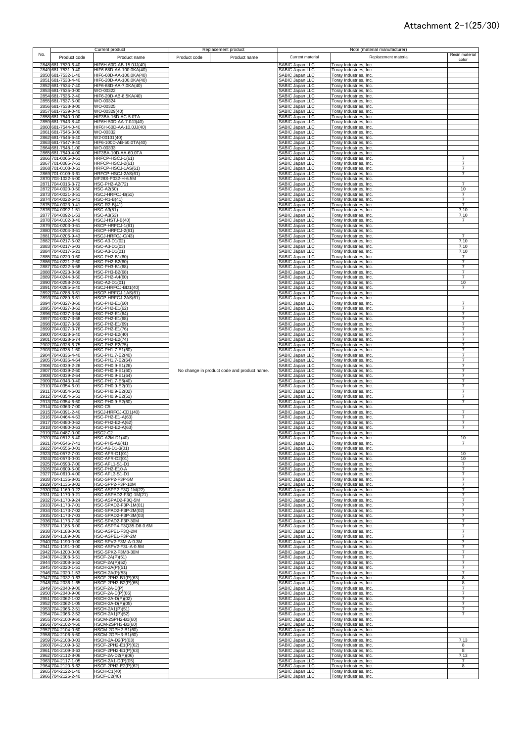|     |                                          | <b>Current product</b>                             |              | Replacement product                         |                                                  |                                                                | Note (material manufacturer) |                                  |
|-----|------------------------------------------|----------------------------------------------------|--------------|---------------------------------------------|--------------------------------------------------|----------------------------------------------------------------|------------------------------|----------------------------------|
| No. | Product code                             | Product name                                       | Product code | Product name                                | Current material                                 |                                                                | Replacement material         | Resin material                   |
|     | 2848 681-7530-6-40                       | HIF6H-60D-AB-15.0JJ(40)                            |              |                                             | SABIC Japan LLC                                  | Toray Industries, Inc.                                         |                              | color                            |
|     | 2849 681-7531-9-40<br>2850 681-7532-1-40 | HIF6-68D-AA-100.0KA(40)<br>HIF6-60D-AA-100.0KA(40) |              |                                             | SABIC Japan LLC<br>SABIC Japan LLC               | Toray Industries, Inc.<br>Toray Industries, Inc.               |                              |                                  |
|     | 2851 681-7533-4-40                       | HIF6-20D-AA-100.0KA(40)                            |              |                                             | SABIC Japan LLC                                  | Toray Industries, Inc.                                         |                              |                                  |
|     | 2852 681-7534-7-40<br>2853 681-7535-0-00 | HIF6-68D-AA-7.0KA(40)<br>WO-00322                  |              |                                             | SABIC Japan LLC<br>SABIC Japan LLC               | Toray Industries, Inc.<br>Toray Industries, Inc.               |                              |                                  |
|     | 2854 681-7536-2-40                       | HIF6-20D-AB-8.5KA(40)                              |              |                                             | SABIC Japan LLC                                  | Toray Industries, Inc.                                         |                              |                                  |
|     | 2855 681-7537-5-00<br>2856 681-7538-8-00 | WO-00324<br>WO-00325                               |              |                                             | SABIC Japan LLC<br>SABIC Japan LLC               | Toray Industries, Inc.<br>Toray Industries, Inc.               |                              |                                  |
|     | 2857 681-7539-0-40<br>2858 681-7540-0-00 | WO-00329(40)<br>HIF3BA-16D-AC-5.0TA                |              |                                             | SABIC Japan LLC<br>SABIC Japan LLC               | Toray Industries, Inc.<br>Toray Industries, Inc.               |                              |                                  |
|     | 2859 681-7543-8-40                       | HIF6H-50D-AA-7.0JJ(40)                             |              |                                             | SABIC Japan LLC                                  | Toray Industries, Inc.                                         |                              |                                  |
|     | 2860 681-7544-0-40<br>2861 681-7545-3-00 | HIF6H-60D-AA-10.0JJ(40)<br>WO-00332                |              |                                             | SABIC Japan LLC<br>SABIC Japan LLC               | Toray Industries, Inc.<br>Toray Industries, Inc.               |                              |                                  |
|     | 2862 681-7546-6-40                       | W2-00101(40)                                       |              |                                             | SABIC Japan LLC                                  | Toray Industries, Inc.                                         |                              |                                  |
|     | 2863 681-7547-9-40<br>2864 681-7548-1-00 | HIF6-100D-AB-50.0TA(40)<br>WO-00333                |              |                                             | SABIC Japan LLC<br>SABIC Japan LLC               | Toray Industries, Inc.<br>Toray Industries, Inc.               |                              |                                  |
|     | 2865 681-7549-4-00<br>2866 701-0065-0-61 | HIF3BA-10D-AA-60.0TA<br>HRFCP-HSCJ-1(61)           |              |                                             | <b>SABIC Japan LLC</b><br><b>SABIC Japan LLC</b> | Toray Industries, Inc.<br>Toray Industries, Inc.               |                              | $\overline{7}$                   |
|     | 2867 701-0085-7-61                       | HRFCP-HSCJ-2(61)                                   |              |                                             | <b>SABIC Japan LLC</b>                           | Foray Industries, Inc.                                         |                              | 7                                |
|     | 2868 701-0108-0-61<br>2869 701-0109-3-61 | HRFCP-HSCJ-1AS(61)<br>HRFCP-HSCJ-2AS(61)           |              |                                             | SABIC Japan LLC<br>SABIC Japan LLC               | Toray Industries, Inc.<br><b>Toray Industries, Inc.</b>        |                              | $\overline{7}$<br>$\overline{7}$ |
|     | 2870 703-1022-5-00                       | MF28S-P032-H-6.5M                                  |              |                                             | <b>SABIC Japan LLC</b>                           | Toray Industries, Inc.                                         |                              |                                  |
|     | 2871 704-0016-3-72<br>2872 704-0020-0-50 | <b>HSC-PH2-A2(72)</b><br><b>HSC-A2(50)</b>         |              |                                             | <b>SABIC Japan LLC</b><br><b>SABIC Japan LLC</b> | Toray Industries, Inc.<br>Toray Industries, Inc.               |                              | $\overline{7}$<br>10             |
|     | 2873 704-0021-3-51                       | HSCJ-HRFCJ-B(51)                                   |              |                                             | <b>SABIC Japan LLC</b>                           | Toray Industries, Inc.                                         |                              | 7<br>$\overline{7}$              |
|     | 2874 704-0022-6-41<br>2875 704-0023-9-41 | HSC-R1-B(41)<br>HSC-R2-B(41)                       |              |                                             | SABIC Japan LLC<br><b>SABIC Japan LLC</b>        | Toray Industries, Inc.<br>Toray Industries, Inc.               |                              | $\overline{7}$                   |
|     | 2876 704-0092-1-51<br>2877 704-0092-1-53 | <b>HSC-A3(51)</b><br><b>HSC-A3(53)</b>             |              |                                             | <b>SABIC Japan LLC</b><br>SABIC Japan LLC        | Toray Industries, Inc.<br>Toray Industries, Inc.               |                              | 7,10<br>7,10                     |
|     | 2878 704-0102-3-40                       | HSCJ-HSTJ-B(40)                                    |              |                                             | SABIC Japan LLC                                  | Toray Industries, Inc.                                         |                              | $\overline{7}$                   |
|     | 2879 704-0203-0-61<br>2880 704-0204-3-61 | HSCP-HRFCJ-1(61)<br>HSCP-HRFCJ-2(61)               |              |                                             | SABIC Japan LLC<br>SABIC Japan LLC               | Torav Industries, Inc.<br>Toray Industries, Inc.               |                              |                                  |
|     | 2881 704-0206-9-43                       | HSCJ-HRFCJ-C(43)                                   |              |                                             | SABIC Japan LLC<br>SABIC Japan LLC               | Toray Industries, Inc.                                         |                              | 7<br>7,10                        |
|     | 2882 704-0217-5-02<br>2883 704-0217-5-03 | HSC-A3-D1(02)<br>HSC-A3-D1(03)                     |              |                                             | SABIC Japan LLC                                  | Toray Industries, Inc.<br>Toray Industries, Inc.               |                              | 7,10                             |
|     | 2884 704-0217-5-21<br>2885 704-0220-0-60 | HSC-A3-D1(21)<br>HSC-PH2-B1(60)                    |              |                                             | SABIC Japan LLC<br>SABIC Japan LLC               | Toray Industries, Inc.<br>Toray Industries, Inc.               |                              | 7,10<br>$\overline{7}$           |
|     | 2886 704-0221-2-60                       | HSC-PH2-B2(60)                                     |              |                                             | SABIC Japan LLC                                  | Toray Industries, Inc.                                         |                              | 7                                |
|     | 2887 704-0222-5-68<br>2888 704-0223-8-68 | HSC-PH3-B1(68)<br>HSC-PH3-B2(68)                   |              |                                             | SABIC Japan LLC<br>SABIC Japan LLC               | Toray Industries, Inc.<br>Toray Industries, Inc.               |                              | $\boldsymbol{7}$<br>7            |
|     | 2889 704-0244-8-60<br>2890 704-0258-2-01 | <b>HSC-PH2-A4(60)</b><br>HSC-A2-D1(01)             |              |                                             | <b>SABIC Japan LLC</b><br><b>SABIC Japan LLC</b> | Toray Industries, Inc.<br>Toray Industries, Inc.               |                              | $\overline{7}$<br>10             |
|     | 2891 704-0285-5-40                       | HSCJ-HRFCJ-BD1(40)                                 |              |                                             | SABIC Japan LLC                                  | Toray Industries, Inc.                                         |                              | $\overline{7}$                   |
|     | 2892 704-0288-3-61<br>2893 704-0289-6-61 | HSCP-HRFCJ-1AS(61)<br>HSCP-HRFCJ-2AS(61)           |              |                                             | <b>SABIC Japan LLC</b><br>SABIC Japan LLC        | <b>Toray Industries, Inc.</b><br><b>Toray Industries, Inc.</b> |                              |                                  |
|     | 2894 704-0327-3-60                       | HSC-PH2-E1(60)                                     |              |                                             | SABIC Japan LLC                                  | Toray Industries, Inc.                                         |                              | $\overline{7}$                   |
|     | 2895 704-0327-3-62<br>2896 704-0327-3-64 | HSC-PH2-E1(62)<br>HSC-PH2-E1(64)                   |              |                                             | <b>SABIC Japan LLC</b><br>SABIC Japan LLC        | Toray Industries, Inc.<br>Toray Industries, Inc.               |                              | $\overline{7}$<br>$\overline{7}$ |
|     | 2897 704-0327-3-68<br>2898 704-0327-3-69 | HSC-PH2-E1(68)<br>HSC-PH2-E1(69)                   |              |                                             | SABIC Japan LLC<br><b>SABIC Japan LLC</b>        | Toray Industries, Inc.<br>Toray Industries, Inc.               |                              | $\overline{7}$<br>$\overline{7}$ |
|     | 2899 704-0327-3-76                       | HSC-PH2-E1(76)                                     |              |                                             | <b>ABIC Japan LLC</b>                            | Toray Industries, Inc.                                         |                              | $\overline{7}$                   |
|     | 2900 704-0328-6-40<br>2901 704-0328-6-74 | HSC-PH2-E2(40)<br>HSC-PH2-E2(74)                   |              |                                             | <b>SABIC Japan LLC</b><br><b>SABIC Japan LLC</b> | Toray Industries, Inc.<br>Toray Industries, Inc.               |                              | $\overline{7}$<br>$\overline{7}$ |
|     | 2902 704-0328-6-75                       | HSC-PH2-E2(75)                                     |              |                                             | SABIC Japan LLC                                  | Toray Industries, Inc.                                         |                              | $\overline{7}$                   |
|     | 2903 704-0335-1-60<br>2904 704-0336-4-40 | HSC-PH1.7-E1(60)<br>HSC-PH1.7-E2(40)               |              |                                             | SABIC Japan LLC<br>SABIC Japan LLC               | Toray Industries, Inc.<br><b>Toray Industries, Inc.</b>        |                              | $\overline{7}$<br>$\overline{7}$ |
|     | 2905 704-0336-4-64<br>2906 704-0339-2-26 | HSC-PH1.7-E2(64)<br>HSC-PH0.9-E1(26)               |              |                                             | SABIC Japan LLC<br>SABIC Japan LLC               | Toray Industries, Inc.                                         |                              | 7<br>7                           |
|     | 2907 704-0339-2-60                       | HSC-PH0.9-E1(60)                                   |              | No change in product code and product name. | SABIC Japan LLC                                  | Toray Industries, Inc.<br>Toray Industries, Inc.               |                              | 7                                |
|     | 2908 704-0339-2-64<br>2909 704-0343-0-40 | HSC-PH0.9-E1(64)<br>HSC-PH1.7-E6(40)               |              |                                             | <b>SABIC Japan LLC</b><br>SABIC Japan LLC        | Toray Industries, Inc.<br>Toray Industries, Inc.               |                              | $\overline{7}$                   |
|     | 2910 704-0354-6-01                       | HSC-PH0.9-E2(01)                                   |              |                                             | SABIC Japan LLC                                  | Toray Industries, Inc.                                         |                              | $\overline{7}$                   |
|     | 2911 704-0354-6-02<br>2912 704-0354-6-51 | HSC-PH0.9-E2(02)<br>HSC-PH0.9-E2(51)               |              |                                             | <b>SABIC Japan LLC</b><br><b>SABIC Japan LLC</b> | Toray Industries, Inc.<br>Toray Industries, Inc.               |                              | $\overline{7}$<br>$\overline{7}$ |
|     | 2913 704-0354-6-60<br>2914 704-0363-7-00 | HSC-PH0.9-E2(60)<br>HSC-C5                         |              |                                             | SABIC Japan LLC<br><b>SABIC Japan LLC</b>        | Toray Industries, Inc.<br>Toray Industries, Inc.               |                              | $\overline{7}$                   |
|     | 2915 704-0391-2-40                       | HSCJ-HRFCJ-CD1(40)                                 |              |                                             | <b>ABIC Japan LLC</b>                            | Toray Industries, Inc.                                         |                              | $\overline{7}$                   |
|     | 2916 704-0464-4-63<br>2917 704-0480-0-62 | HSC-PH2-E1-A(63)<br><b>HSC-PH2-E2-A(62)</b>        |              |                                             | <b>SABIC Japan LLC</b><br><b>SABIC Japan LLC</b> | Toray Industries, Inc.<br><b>Toray Industries, Inc.</b>        |                              | 7<br>$\overline{7}$              |
|     | 2918 704-0480-0-63                       | HSC-PH2-E2-A(63)                                   |              |                                             | <b>SABIC Japan LLC</b><br>SABIC Japan LLC        | Toray Industries, Inc.                                         |                              | $\overline{7}$                   |
|     | 2919 704-0487-0-00<br>2920 704-0512-5-40 | <b>HSC2-C2</b><br>HSC-A2M-D1(40)                   |              |                                             | SABIC Japan LLC                                  | Toray Industries, Inc.<br>Toray Industries, Inc.               |                              | 10                               |
|     | 2921 704-0546-7-41<br>2922 704-0556-0-01 | HSC-PH5-A6(41)<br>HSC-A6-D1-3(01)                  |              |                                             | ABIC Japan LLC<br>SABIC Japan LLC                | Toray Industries, Inc<br>Toray Industries, Inc.                |                              |                                  |
|     | 2923 704-0572-7-01                       | <b>HSC-AFR-D1(01)</b>                              |              |                                             | <b>SABIC Japan LLC</b>                           | Toray Industries, Inc.                                         |                              | 10                               |
|     | 2924 704-0573-0-01<br>2925 704-0593-7-00 | <b>HSC-AFR-D2(01)</b><br>HSC-AFL1-S1-D1            |              |                                             | SABIC Japan LLC<br><b>SABIC Japan LLC</b>        | Toray Industries, Inc.<br>Toray Industries, Inc.               |                              | 10<br>$\overline{7}$             |
|     | 2926 704-0609-5-00<br>2927 704-0610-4-00 | HSC-PH2-E10-A<br>HSC-AFL3-S1-D1                    |              |                                             | SABIC Japan LLC<br><b>SABIC Japan LLC</b>        | Toray Industries, Inc.<br>Toray Industries, Inc.               |                              | $\overline{7}$<br>$\overline{7}$ |
|     | 2928 704-1135-8-01                       | HSC-SPP2-F3P-5M                                    |              |                                             | SABIC Japan LLC                                  | <b>Toray Industries, Inc.</b>                                  |                              | 7                                |
|     | 2929 704-1135-8-02<br>2930 704-1169-0-22 | HSC-SPP2-F3P-10M<br>HSC-ASPP2-F3Q-1M(22)           |              |                                             | SABIC Japan LLC<br><b>SABIC Japan LLC</b>        | <b>Toray Industries, Inc.</b><br>Toray Industries, Inc.        |                              | $\overline{7}$<br>7              |
|     | 2931 704-1170-9-21                       | HSC-ASPAD2-F3Q-1M(21)                              |              |                                             | SABIC Japan LLC                                  | Toray Industries, Inc.                                         |                              | 7                                |
|     | 2932 704-1170-9-24<br>2933 704-1173-7-01 | HSC-ASPAD2-F3Q-5M<br>HSC-SPAD2-F3P-1M(01)          |              |                                             | SABIC Japan LLC<br>SABIC Japan LLC               | Toray Industries, Inc.<br>Toray Industries, Inc.               |                              | 7<br>7                           |
|     | 2934 704-1173-7-02<br>2935 704-1173-7-03 | HSC-SPAD2-F3P-2M(02)<br>HSC-SPAD2-F3P-3M(03)       |              |                                             | SABIC Japan LLC<br>SABIC Japan LLC               | Toray Industries, Inc.<br>Toray Industries, Inc.               |                              | 7<br>$\overline{7}$              |
|     | 2936 704-1173-7-30                       | HSC-SPAD2-F3P-30M                                  |              |                                             | SABIC Japan LLC                                  | Toray Industries, Inc.                                         |                              | 7                                |
|     | 2937 704-1185-6-00<br>2938 704-1188-0-00 | HSC-ASPP4-F3Q35-D8-0.6M<br>HSC-ASPE1-F3Q-2M        |              |                                             | SABIC Japan LLC<br>SABIC Japan LLC               | Toray Industries, Inc.<br>Toray Industries, Inc.               |                              | 7<br>7                           |
|     | 2939 704-1189-0-00                       | HSC-ASPE1-F3P-2M                                   |              |                                             | SABIC Japan LLC                                  | Toray Industries, Inc.                                         |                              | $\overline{7}$                   |
|     | 2940 704-1190-0-00<br>2941 704-1191-0-00 | HSC-SPV2-F3M-A-0.3M<br>HSC-ASPV2-F3L-A-0.5M        |              |                                             | SABIC Japan LLC<br>SABIC Japan LLC               | <b>Toray Industries, Inc.</b><br>Toray Industries, Inc.        |                              | 7<br>7                           |
|     | 2942 704-1200-0-00<br>2943 704-2008-6-51 | HSC-SPK2-F3M8-30M<br><b>HSCF-2A(P)(51)</b>         |              |                                             | SABIC Japan LLC<br><b>SABIC Japan LLC</b>        | Toray Industries, Inc.<br>Toray Industries, Inc.               |                              | 7<br>7                           |
|     | 2944 704-2008-6-52                       | $HSCF-2A(P)(52)$                                   |              |                                             | SABIC Japan LLC                                  | Toray Industries, Inc.                                         |                              | $\overline{7}$                   |
|     | 2945 704-2020-1-51<br>2946 704-2020-1-53 | <b>HSCH-2A(P)(51)</b><br><b>HSCH-2A(P)(53)</b>     |              |                                             | SABIC Japan LLC<br><b>SABIC Japan LLC</b>        | Toray Industries, Inc.<br>Toray Industries, Inc.               |                              | $\overline{7}$                   |
|     | 2947 704-2032-0-63                       | HSCF-2PH3-B1(P)(63)                                |              |                                             | SABIC Japan LLC                                  | Toray Industries, Inc.                                         |                              | 8                                |
|     | 2948 704-2036-1-65<br>2949 704-2040-9-00 | HSCF-2PH3-B2(P)(65)<br>HSCF-2A-D(P)                |              |                                             | SABIC Japan LLC<br><b>SABIC Japan LLC</b>        | Toray Industries, Inc.<br>Toray Industries, Inc.               |                              | 8<br>7                           |
|     | 2950 704-2040-9-06                       | HSCF-2A-D(P)(06)                                   |              |                                             | <b>SABIC Japan LLC</b>                           | Toray Industries, Inc.                                         |                              | $\overline{7}$                   |
|     | 2951 704-2062-1-02<br>2952 704-2062-1-05 | <b>HSCH-2A-D(P)(02)</b><br><b>HSCH-2A-D(P)(05)</b> |              |                                             | SABIC Japan LLC<br><b>SABIC Japan LLC</b>        | Toray Industries, Inc.<br>Toray Industries, Inc.               |                              | $\overline{7}$<br>$\overline{7}$ |
|     | 2953 704-2066-2-51<br>2954 704-2066-2-52 | HSCH-2A1(P)(51)<br><b>HSCH-2A1(P)(52)</b>          |              |                                             | SABIC Japan LLC                                  | Toray Industries, Inc.                                         |                              | $\overline{7}$                   |
|     | 2955 704-2100-9-60                       | HSCM-2SPH2-B1(60)                                  |              |                                             | SABIC Japan LLC<br>SABIC Japan LLC               | Toray Industries, Inc.<br>Toray Industries, Inc.               |                              |                                  |
|     | 2956 704-2102-4-60<br>2957 704-2104-0-60 | HSCM-2SPH3-B1(60)<br>HSCM-2GPH2-B1(60)             |              |                                             | SABIC Japan LLC<br>SABIC Japan LLC               | Toray Industries, Inc.<br>Toray Industries, Inc.               |                              |                                  |
|     | 2958 704-2106-5-60                       | HSCM-2GPH3-B1(60)                                  |              |                                             | SABIC Japan LLC                                  | Toray Industries, Inc.                                         |                              |                                  |
|     | 2959 704-2108-0-03<br>2960 704-2109-3-62 | HSCH-2A-D2(P)(03)<br>HSCF-2PH2-E1(P)(62)           |              |                                             | SABIC Japan LLC<br>SABIC Japan LLC               | Toray Industries, Inc.<br>Toray Industries, Inc.               |                              | 7,13<br>8                        |
|     | 2961 704-2109-3-63                       | HSCF-2PH2-E1(P)(63)                                |              |                                             | SABIC Japan LLC                                  | Toray Industries, Inc.                                         |                              | 8                                |
|     | 2962 704-2112-8-06<br>2963 704-2117-1-05 | HSCF-2A-D2(P)(06)<br>HSCH-2A1-D(P)(05)             |              |                                             | SABIC Japan LLC<br>SABIC Japan LLC               | Toray Industries, Inc.<br>Toray Industries, Inc.               |                              | 7,13<br>7                        |
|     | 2964 704-2120-6-62<br>2965 704-2122-1-40 | HSCF-2PH2-E2(P)(62)<br><b>HSCH-C1(40)</b>          |              |                                             | SABIC Japan LLC<br><b>SABIC Japan LLC</b>        | Toray Industries, Inc.<br>Toray Industries, Inc.               |                              | 8                                |
|     | 2966 704-2126-2-40                       | <b>HSCF-C2(40)</b>                                 |              |                                             | SABIC Japan LLC                                  | Toray Industries, Inc.                                         |                              |                                  |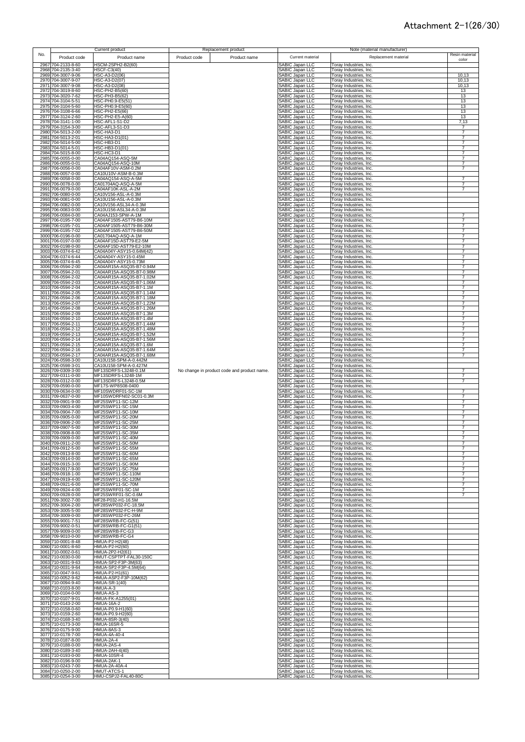|              |                                          | <b>Current product</b>                               | Replacement product                         |                                           | Note (material manufacturer)                     |                                  |
|--------------|------------------------------------------|------------------------------------------------------|---------------------------------------------|-------------------------------------------|--------------------------------------------------|----------------------------------|
| No.          | Product code                             | Product name                                         | Product code<br>Product name                | Current material                          | Replacement material                             | Resin material<br>color          |
|              | 2967 704-2133-8-60                       | HSCM-2SPH2-B2(60)                                    |                                             | SABIC Japan LLC                           | Toray Industries, Inc.                           |                                  |
|              | 2968 704-2135-3-40                       | <b>HSCF-C3(40)</b>                                   |                                             | SABIC Japan LLC                           | Toray Industries, Inc.                           |                                  |
|              | 2969 704-3007-9-06                       | HSC-A3-D2(06)                                        |                                             | SABIC Japan LLC                           | Toray Industries, Inc.                           | 10,13                            |
|              | 2970 704-3007-9-07<br>2971 704-3007-9-08 | HSC-A3-D2(07)<br>HSC-A3-D2(08)                       |                                             | SABIC Japan LLC<br>SABIC Japan LLC        | Toray Industries, Inc.<br>Toray Industries, Inc. | 10,13<br>10,13                   |
|              | 2972 704-3019-8-60                       | HSC-PH2-B5(60)                                       |                                             | SABIC Japan LLC                           | Toray Industries, Inc.                           | 13                               |
|              | 2973 704-3020-7-62                       | HSC-PH3-B5(62)                                       |                                             | SABIC Japan LLC                           | Toray Industries, Inc.                           | 13                               |
|              | 2974 704-3104-5-51                       | HSC-PH0.9-E5(51)                                     |                                             | SABIC Japan LLC                           | Toray Industries, Inc.                           | 13                               |
|              | 2975 704-3104-5-60<br>2976 704-3108-6-66 | HSC-PH0.9-E5(60)<br><b>HSC-PH2-E5(66)</b>            |                                             | SABIC Japan LLC<br>SABIC Japan LLC        | Toray Industries, Inc.<br>Toray Industries, Inc. | 13<br>13                         |
|              | 2977 704-3124-2-60                       | HSC-PH2-E5-A(60)                                     |                                             | SABIC Japan LLC                           | Toray Industries, Inc.                           | 13                               |
| 2978         | 704-3141-1-00                            | HSC-AFL1-S1-D2                                       |                                             | SABIC Japan LLC                           | Toray Industries, Inc.                           | 7,13                             |
| 2979<br>2980 | 704-3154-3-00<br>704-5013-2-00           | HSC-AFL3-S1-D3<br>HSC-HA3-D1                         |                                             | SABIC Japan LLC<br>SABIC Japan LLC        | Toray Industries, Inc.<br>Toray Industries, Inc. | $\overline{7}$<br>$\overline{7}$ |
|              | 2981 704-5013-2-01                       | HSC-HA3-D1(01)                                       |                                             | SABIC Japan LLC                           | Toray Industries, Inc.                           | $\overline{7}$                   |
| 2982         | 704-5014-5-00                            | HSC-HB3-D1                                           |                                             | SABIC Japan LLC                           | Toray Industries, Inc.                           | $\overline{7}$                   |
| 2983         | 704-5014-5-01<br>2984 704-5015-8-00      | HSC-HB3-D1(01)<br>HSC-HC3-D1                         |                                             | <b>SABIC Japan LLC</b><br>SABIC Japan LLC | Toray Industries, Inc.                           | $\overline{7}$<br>$\overline{7}$ |
| 2985         | 706-0055-0-00                            | CA04AQ154-ASQ-5M                                     |                                             | <b>SABIC Japan LLC</b>                    | Toray Industries, Inc.<br>Toray Industries, Inc. | $\overline{7}$                   |
| 2986         | 706-0055-0-01                            | CA04AQ154-ASQ-10M                                    |                                             | <b>SABIC Japan LLC</b>                    | Toray Industries, Inc.                           | 7                                |
| 2987         | 706-0056-0-00                            | CA04AF10V-ASM-0.2M<br>CA10U10V-ASM-B-0.3M            |                                             | SABIC Japan LLC                           | Toray Industries, Inc.                           | $\overline{7}$                   |
|              | 2988 706-0057-0-00<br>2989 706-0058-0-00 | CA04AQ154-ASQ-A-5M                                   |                                             | SABIC Japan LLC<br><b>SABIC Japan LLC</b> | Toray Industries, Inc.<br>Toray Industries, Inc. |                                  |
| 2990         | 706-0078-0-00                            | CA01704AQ-ASQ-A-5M                                   |                                             | SABIC Japan LLC                           | Toray Industries, Inc.                           | $\overline{7}$                   |
|              | 2991 706-0079-0-00                       | CA04AF10K-ASL-A-2M                                   |                                             | SABIC Japan LLC                           | Toray Industries, Inc.                           | $\overline{7}$                   |
| 2992         | 706-0080-0-00<br>2993 706-0081-0-00      | CA10V156-ASL-A-0.3M<br>CA10U156-ASL-A-0.3M           |                                             | SABIC Japan LLC<br>SABIC Japan LLC        | Toray Industries, Inc.<br>Toray Industries, Inc. |                                  |
|              | 2994 706-0082-0-00                       | CA10V156-ASL34-A-0.3M                                |                                             | SABIC Japan LLC                           | Toray Industries, Inc.                           |                                  |
|              | 2995 706-0083-0-00                       | CA10U156-ASL34-A-0.3M                                |                                             | SABIC Japan LLC                           | Toray Industries, Inc.                           |                                  |
|              | 2996 706-0084-0-00<br>2997 706-0195-7-00 | CA04AJ153-SPW-A-1M<br>CA04AF1505-AST79-B6-10M        |                                             | SABIC Japan LLC<br>SABIC Japan LLC        | Toray Industries, Inc.<br>Toray Industries, Inc. | $\overline{7}$<br>7              |
|              | 2998 706-0195-7-01                       | CA04AF1505-AST79-B6-30M                              |                                             | SABIC Japan LLC                           | Toray Industries, Inc.                           | 7                                |
|              | 2999 706-0195-7-02                       | CA04AF1505-AST79-B6-50M                              |                                             | SABIC Japan LLC                           | Toray Industries, Inc.                           | 7                                |
|              | 3000 706-0196-0-00<br>3001 706-0197-0-00 | CA01704AQ-ASQ-A-1M<br>CA04AF15D-AST79-E2-5M          |                                             | SABIC Japan LLC                           | Toray Industries, Inc.                           | 7<br>$\overline{7}$              |
|              | 3002 706-0198-0-00                       | CA04AF15D-AST79-E2-10M                               |                                             | SABIC Japan LLC<br>SABIC Japan LLC        | Toray Industries, Inc.<br>Toray Industries, Inc. |                                  |
|              | 3003 706-0374-6-42                       | CA04A04Y-ASY15-0.64M(42)                             |                                             | SABIC Japan LLC                           | Toray Industries, Inc.                           | $\overline{7}$                   |
|              | 3004 706-0374-6-44                       | CA04A04Y-ASY15-0.45M                                 |                                             | SABIC Japan LLC                           | Toray Industries, Inc.                           | $\overline{7}$<br>7              |
|              | 3005 706-0374-6-45<br>3006 706-0594-2-00 | CA04A04Y-ASY15-0.73M<br>CA04AR15A-ASQ35-B7-0.94M     |                                             | SABIC Japan LLC<br>SABIC Japan LLC        | Toray Industries, Inc.<br>Toray Industries, Inc. | $\overline{7}$                   |
|              | 3007 706-0594-2-01                       | CA04AR15A-ASQ35-B7-0.98M                             |                                             | SABIC Japan LLC                           | Toray Industries, Inc.                           |                                  |
| 3008         | 706-0594-2-02                            | CA04AR15A-ASQ35-B7-1.02M                             |                                             | SABIC Japan LLC                           | Toray Industries, Inc.                           | $\overline{7}$                   |
|              | 3009 706-0594-2-03<br>3010 706-0594-2-04 | CA04AR15A-ASQ35-B7-1.06M<br>CA04AR15A-ASQ35-B7-1.1M  |                                             | SABIC Japan LLC<br>SABIC Japan LLC        | Toray Industries, Inc.<br>Toray Industries, Inc. | $\overline{7}$                   |
| 3011         | 706-0594-2-05                            | CA04AR15A-ASQ35-B7-1.14M                             |                                             | SABIC Japan LLC                           | Toray Industries, Inc.                           | 7                                |
| 3012<br>3013 | 706-0594-2-06                            | CA04AR15A-ASQ35-B7-1.18M<br>CA04AR15A-ASQ35-B7-1.22M |                                             | SABIC Japan LLC                           | Toray Industries, Inc.                           | $\overline{7}$<br>$\overline{7}$ |
|              | 706-0594-2-07<br>3014 706-0594-2-08      | CA04AR15A-ASQ35-B7-1.26M                             |                                             | SABIC Japan LLC<br>SABIC Japan LLC        | Toray Industries, Inc.<br>Toray Industries, Inc. | $\overline{7}$                   |
|              | 3015 706-0594-2-09                       | CA04AR15A-ASQ35-B7-1.3M                              |                                             | SABIC Japan LLC                           | Toray Industries, Inc.                           | 7                                |
|              | 3016 706-0594-2-10<br>3017 706-0594-2-11 | CA04AR15A-ASQ35-B7-1.4M<br>CA04AR15A-ASQ35-B7-1.44M  |                                             | SABIC Japan LLC<br>SABIC Japan LLC        | Toray Industries, Inc.<br>Toray Industries, Inc. | 7<br>$\overline{7}$              |
|              | 3018 706-0594-2-12                       | CA04AR15A-ASQ35-B7-1.48M                             |                                             | SABIC Japan LLC                           | Toray Industries, Inc.                           | 7                                |
|              | 3019 706-0594-2-13                       | CA04AR15A-ASQ35-B7-1.52M                             |                                             | SABIC Japan LLC                           | Toray Industries, Inc.                           | 7                                |
|              | 3020 706-0594-2-14<br>3021 706-0594-2-15 | CA04AR15A-ASQ35-B7-1.56M<br>CA04AR15A-ASQ35-B7-1.6M  |                                             | SABIC Japan LLC<br>SABIC Japan LLC        | Toray Industries, Inc.<br>Toray Industries, Inc. | 7<br>$\overline{7}$              |
|              | 3022 706-0594-2-16                       | CA04AR15A-ASQ35-B7-1.64M                             |                                             | SABIC Japan LLC                           | Toray Industries, Inc.                           | $\overline{7}$                   |
|              | 3023 706-0594-2-17                       | CA04AR15A-ASQ35-B7-1.68M                             |                                             | SABIC Japan LLC                           | Toray Industries, Inc.                           | 7                                |
|              | 3024 706-0598-3-00<br>3025 706-0598-3-01 | CA10U158-SPM-A-0.442M<br>CA10U158-SPM-A-0.427M       |                                             | SABIC Japan LLC<br>SABIC Japan LLC        | Toray Industries, Inc.<br>Toray Industries, Inc. |                                  |
|              | 3026 709-0309-3-00                       | MF13SDRFS-L3248-0.1M                                 | No change in product code and product name. | SABIC Japan LLC                           | Toray Industries, Inc.                           | 7                                |
|              | 3027 709-0311-0-00                       | MF13SDRFS-L3248-1M                                   |                                             | SABIC Japan LLC                           | Toray Industries, Inc.                           |                                  |
| 3028<br>3029 | 709-0312-0-00<br>709-0590-0-00           | MF13SDRFS-L3248-0.5M<br>MF17S-WP8S08-0400            |                                             | SABIC Japan LLC<br>SABIC Japan LLC        | Toray Industries, Inc.<br>Toray Industries, Inc. | $\overline{7}$                   |
| 3030         | 709-0634-0-00                            | MF10SWDRF01-SC-1M                                    |                                             | <b>SABIC Japan LLC</b>                    | Toray Industries, Inc.                           |                                  |
| 3031         | 709-0637-0-00<br>709-0901-9-00           | MF10SWDRFN02-SC01-0.3M                               |                                             | SABIC Japan LLC<br>SABIC Japan LLC        | Toray Industries, Inc.<br>Toray Industries, Inc. | $\overline{7}$<br>$\overline{7}$ |
| 3032<br>3033 | 709-0903-4-00                            | MF25SWP11-SC-12M<br>MF25SWP11-SC-15M                 |                                             | SABIC Japan LLC                           | Toray Industries, Inc.                           | $\overline{7}$                   |
|              | 3034 709-0904-7-00                       | MF25SWP11-SC-10M                                     |                                             | SABIC Japan LLC                           | Toray Industries, Inc.                           | $\overline{7}$                   |
| 3035<br>3036 | 709-0905-0-00<br>709-0906-2-00           | MF25SWP11-SC-20M<br>MF25SWP11-SC-25M                 |                                             | SABIC Japan LLC<br><b>SABIC Japan LLC</b> | Toray Industries, Inc.<br>Toray Industries, Inc. | $\overline{7}$<br>$\overline{7}$ |
| 3037         | 709-0907-5-00                            | MF25SWP11-SC-30M                                     |                                             | SABIC Japan LLC                           | Toray Industries, Inc.                           | $\overline{7}$                   |
| 3038         | 709-0908-8-00                            | MF25SWP11-SC-35M                                     |                                             | SABIC Japan LLC                           | Toray Industries, Inc.                           | $\overline{7}$                   |
|              | 3039 709-0909-0-00<br>3040 709-0911-2-00 | MF25SWP11-SC-40M<br>MF25SWP11-SC-50M                 |                                             | SABIC Japan LLC<br>SABIC Japan LLC        | Toray Industries, Inc.<br>Toray Industries Inc.  | $\overline{7}$                   |
|              | 3041 709-0912-5-00                       | MF25SWP11-SC-55M                                     |                                             | SABIC Japan LLC                           | Toray Industries, Inc.                           | 7                                |
|              | 3042 709-0913-8-00                       | MF25SWP11-SC-60M                                     |                                             | SABIC Japan LLC                           | Toray Industries, Inc.                           | $\overline{7}$                   |
|              | 3043 709-0914-0-00<br>3044 709-0915-3-00 | MF25SWP11-SC-65M<br>MF25SWP11-SC-90M                 |                                             | SABIC Japan LLC<br>SABIC Japan LLC        | Toray Industries, Inc.<br>Toray Industries, Inc. | 7<br>7                           |
|              | 3045 709-0917-9-00                       | MF25SWP11-SC-75M                                     |                                             | SABIC Japan LLC                           | Toray Industries, Inc.                           | 7                                |
|              | 3046 709-0918-1-00                       | MF25SWP11-SC-110M                                    |                                             | <b>SABIC Japan LLC</b>                    | Toray Industries, Inc.                           | 7                                |
|              | 3047 709-0919-4-00<br>3048 709-0921-6-00 | MF25SWP11-SC-120M<br>MF25SWP11-SC-70M                |                                             | SABIC Japan LLC<br>SABIC Japan LLC        | Toray Industries, Inc.<br>Toray Industries, Inc. | $\overline{7}$<br>$\overline{7}$ |
|              | 3049 709-0924-4-00                       | MF25SWRF01-SC-1M                                     |                                             | <b>SABIC Japan LLC</b>                    | Toray Industries, Inc.                           |                                  |
|              | 3050 709-0928-0-00                       | MF25SWRF01-SC-0.6M                                   |                                             | SABIC Japan LLC                           | Toray Industries, Inc.                           | 7                                |
| 3051<br>3052 | 709-3002-7-00<br>709-3004-2-00           | MF28-P032-H1-16.5M<br>MF28SWP032-FC-18.5M            |                                             | SABIC Japan LLC<br>SABIC Japan LLC        | Toray Industries, Inc.<br>Toray Industries, Inc. |                                  |
| 3053         | 709-3005-5-00                            | MF28SWP032-FC-H-9M                                   |                                             | SABIC Japan LLC                           | Toray Industries, Inc.                           |                                  |
|              | 3054 709-3009-0-00                       | MF28SWP032-FC-26M                                    |                                             | SABIC Japan LLC                           | Toray Industries, Inc.                           |                                  |
|              | 3055 709-9001-7-51<br>3056 709-9002-0-51 | MF28SWRB-FC-G(51)<br>MF28SWRB-FC-G1(51)              |                                             | SABIC Japan LLC<br>SABIC Japan LLC        | Toray Industries, Inc.<br>Toray Industries, Inc. |                                  |
|              | 3057 709-9009-0-00                       | MF28SWRB-FC-G3                                       |                                             | SABIC Japan LLC                           | Toray Industries, Inc.                           |                                  |
|              | 3058 709-9010-0-00                       | MF28SWRB-FC-G4                                       |                                             | SABIC Japan LLC                           | Toray Industries, Inc.                           |                                  |
| 3060         | 3059 710-0001-8-48<br>710-0001-8-60      | HMUA-P2-H2(48)<br>HMUA-P2-H2(60)                     |                                             | <b>SABIC Japan LLC</b><br>SABIC Japan LLC | Toray Industries, Inc.<br>Toray Industries, Inc. |                                  |
|              | 3061 710-0002-0-61                       | HMUA-2P2-H2(61)                                      |                                             | <b>SABIC Japan LLC</b>                    | Toray Industries, Inc.                           |                                  |
| 3062         | 710-0030-0-00                            | HMUT-CSPTPT-FAL30-150C<br>HMUA-SP2-F3P-3M(63)        |                                             | <b>SABIC Japan LLC</b>                    | Toray Industries, Inc.                           |                                  |
|              | 3063 710-0031-9-63<br>3064 710-0031-9-64 | HMUA-SP2-F3P-4.5M(64)                                |                                             | SABIC Japan LLC<br><b>SABIC Japan LLC</b> | Toray Industries, Inc.<br>Toray Industries, Inc. |                                  |
|              | 3065 710-0047-9-61                       | HMUA-P2-H1(61)                                       |                                             | SABIC Japan LLC                           | Toray Industries, Inc.                           |                                  |
|              | 3066 710-0052-9-62<br>3067 710-0094-9-40 | HMUA-ASP2-F3P-10M(62)<br><b>HMUA-SR-1(40)</b>        |                                             | SABIC Japan LLC<br>SABIC Japan LLC        | Toray Industries, Inc.<br>Toray Industries, Inc. |                                  |
|              | 3068 710-0103-8-00                       | HMUA-A-3                                             |                                             | SABIC Japan LLC                           | Toray Industries, Inc.                           |                                  |
|              | 3069 710-0104-0-00                       | HMUA-AS-3                                            |                                             | SABIC Japan LLC                           | Toray Industries, Inc.                           |                                  |
|              | 3070 710-0107-9-01<br>3071 710-0143-2-00 | HMUA-FK-A1255(01)<br><b>HMUA-16A-2</b>               |                                             | SABIC Japan LLC<br>SABIC Japan LLC        | Toray Industries, Inc.<br>Toray Industries, Inc. |                                  |
|              | 3072 710-0158-0-60                       | HMUA-P0.9-H1(60)                                     |                                             | SABIC Japan LLC                           | Toray Industries, Inc.                           |                                  |
|              | 3073 710-0159-2-60                       | HMUA-P0.9-H2(60)                                     |                                             | SABIC Japan LLC                           | Toray Industries, Inc.                           |                                  |
|              | 3074 710-0168-3-40<br>3075 710-0173-3-00 | <b>HMUA-8SR-3(40)</b><br>HMUA-16SR-5                 |                                             | SABIC Japan LLC<br>SABIC Japan LLC        | Toray Industries, Inc.<br>Toray Industries, Inc. |                                  |
|              | 3076 710-0175-9-00                       | HMUA-8AS-3                                           |                                             | SABIC Japan LLC                           | Toray Industries, Inc.                           |                                  |
|              | 3077 710-0178-7-00                       | <b>HMUA-4A-40-4</b>                                  |                                             | SABIC Japan LLC                           | Toray Industries, Inc.                           |                                  |
|              | 3078 710-0187-8-00<br>3079 710-0188-0-00 | HMUA-2A-4<br>HMUA-2AS-4                              |                                             | SABIC Japan LLC<br><b>SABIC Japan LLC</b> | Toray Industries, Inc.<br>Toray Industries, Inc. |                                  |
|              | 3080 710-0189-3-40                       | HMUA-2AH-4(40)                                       |                                             | <b>SABIC Japan LLC</b>                    | Toray Industries, Inc.                           |                                  |
|              | 3081 710-0193-0-00                       | HMUA-10SR-4                                          |                                             | <b>SABIC Japan LLC</b><br>SABIC Japan LLC | Toray Industries, Inc.                           |                                  |
| 3083         | 3082 710-0196-9-00<br>710-0243-7-00      | HMUA-2AK-1<br>HMUA-2A-40A-4                          |                                             | SABIC Japan LLC                           | Toray Industries, Inc.<br>Toray Industries, Inc. |                                  |
|              | 3084 710-0250-2-00                       | HMUT-ATCS-1                                          |                                             | SABIC Japan LLC                           | Toray Industries, Inc.                           |                                  |
|              | 3085 710-0254-3-00                       | HMU-CSPJ2-FAL40-80C                                  |                                             | SABIC Japan LLC                           | Toray Industries, Inc.                           |                                  |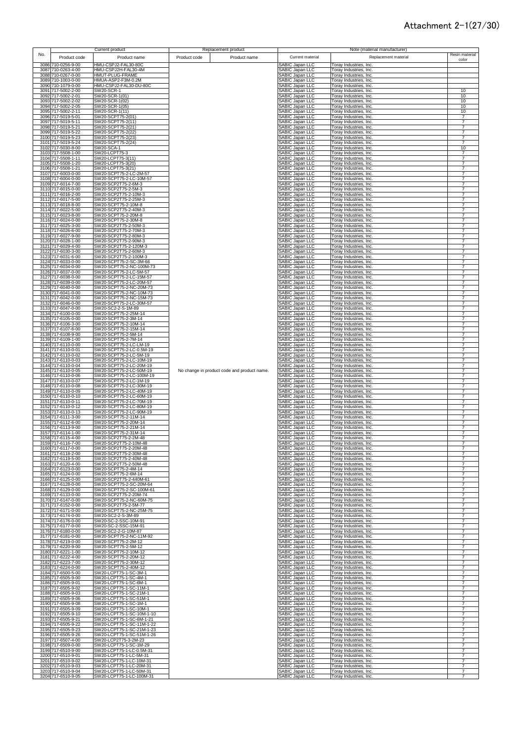|     |                                          | <b>Current product</b>                                 |              | Replacement product                         |                                                  |                                                         | Note (material manufacturer) |                                  |
|-----|------------------------------------------|--------------------------------------------------------|--------------|---------------------------------------------|--------------------------------------------------|---------------------------------------------------------|------------------------------|----------------------------------|
| No. | Product code                             | Product name                                           | Product code | Product name                                | Current material                                 |                                                         | Replacement material         | Resin material                   |
|     | 3086 710-0256-9-00                       | HMU-CSPJ2-FAL30-80C                                    |              |                                             | SABIC Japan LLC                                  | Toray Industries, Inc.                                  |                              | color                            |
|     | 3087 710-0263-4-00                       | HMU-CSPJ2H-FAL30-4M                                    |              |                                             | <b>SABIC Japan LLC</b>                           | Toray Industries, Inc.                                  |                              |                                  |
|     | 3088 710-0267-0-00<br>3089 710-1003-0-00 | HMUT-PLUG-FRAME<br>HMUA-ASP2-F3M-0.2M                  |              |                                             | <b>SABIC Japan LLC</b><br><b>SABIC Japan LLC</b> | Toray Industries, Inc.<br><b>Toray Industries, Inc.</b> |                              |                                  |
|     | 3090 710-1079-0-00                       | HMU-CSPJ2-FAL30-DU-80C                                 |              |                                             | SABIC Japan LLC                                  | Toray Industries, Inc.                                  |                              |                                  |
|     | 3091 717-5002-2-00<br>3092 717-5002-2-01 | SW20-SCR-1<br>SW20-SCR-1(01)                           |              |                                             | SABIC Japan LLC<br><b>SABIC Japan LLC</b>        | <b>Toray Industries, Inc.</b><br>Foray Industries, Inc. |                              | 10<br>10                         |
|     | 3093 717-5002-2-02                       | SW20-SCR-1(02)                                         |              |                                             | SABIC Japan LLC                                  | Toray Industries, Inc.                                  |                              | 10                               |
|     | 3094 717-5002-2-05                       | SW20-SCR-1(05)                                         |              |                                             | SABIC Japan LLC                                  | Toray Industries, Inc.                                  |                              | 10                               |
|     | 3095 717-5002-2-11<br>3096 717-5019-5-01 | SW20-SCR-1(11)<br>SW20-SCPT75-2(01)                    |              |                                             | <b>SABIC Japan LLC</b><br>SABIC Japan LLC        | Toray Industries, Inc.<br>Toray Industries, Inc.        |                              | 10<br>7                          |
|     | 3097 717-5019-5-11                       | SW20-SCPT75-2(11)                                      |              |                                             | SABIC Japan LLC                                  | Toray Industries, Inc.                                  |                              | $\overline{7}$                   |
|     | 3098 717-5019-5-21<br>3099 717-5019-5-22 | SW20-SCPT75-2(21)<br>SW20-SCPT75-2(22)                 |              |                                             | SABIC Japan LLC<br><b>SABIC Japan LLC</b>        | Toray Industries, Inc.<br>Toray Industries, Inc.        |                              | $\overline{7}$<br>7              |
|     | 3100 717-5019-5-23                       | SW20-SCPT75-2(23)                                      |              |                                             | SABIC Japan LLC                                  | Toray Industries, Inc.                                  |                              | 7                                |
|     | 3101 717-5019-5-24<br>3102 717-5030-8-00 | SW20-SCPT75-2(24)<br>SW20-SCA-1                        |              |                                             | <b>SABIC Japan LLC</b><br><b>ABIC Japan LLC</b>  | Toray Industries, Inc.<br>Toray Industries, Inc.        |                              | $\overline{7}$<br>10             |
|     | 3103 717-5508-1-00                       | SW20-LCPT75-3                                          |              |                                             | <b>SABIC Japan LLC</b>                           | <b>Toray Industries, Inc.</b>                           |                              | $\overline{7}$                   |
|     | 3104 717-5508-1-11                       | SW20-LCPT75-3(11)                                      |              |                                             | <b>SABIC Japan LLC</b><br><b>SABIC Japan LLC</b> | Toray Industries, Inc.                                  |                              | $\overline{7}$                   |
|     | 3105 717-5508-1-20<br>3106 717-5508-1-21 | SW20-LCPT75-3(20)<br>SW20-LCPT75-3(21)                 |              |                                             | <b>SABIC Japan LLC</b>                           | Foray Industries, Inc.<br>Toray Industries, Inc.        |                              | $\overline{7}$                   |
|     | 3107 717-6003-0-00                       | SW20-SCPT75-2-LC-2M-57                                 |              |                                             | SABIC Japan LLC                                  | Toray Industries, Inc.                                  |                              |                                  |
|     | 3108 717-6004-0-00<br>3109 717-6014-7-00 | SW20-SCPT75-2-LC-10M-57<br>SW20-SCP2T75-2-6M-3         |              |                                             | <b>SABIC Japan LLC</b><br>SABIC Japan LLC        | Toray Industries, Inc.<br>Toray Industries, Inc.        |                              | $\overline{7}$                   |
|     | 3110 717-6015-0-00                       | SW20-SCP2T75-2-5M-3                                    |              |                                             | SABIC Japan LLC                                  | Toray Industries, Inc.                                  |                              | $\overline{7}$                   |
|     | 3111 717-6016-2-00<br>3112 717-6017-5-00 | SW20-SCP2T75-2-10M-3<br>SW20-SCP2T75-2-25M-3           |              |                                             | <b>SABIC Japan LLC</b><br><b>SABIC Japan LLC</b> | Toray Industries, Inc.<br>Toray Industries, Inc.        |                              | $\overline{7}$                   |
|     | 3113 717-6018-8-00                       | SW20-SCPT75-2-10M-8                                    |              |                                             | SABIC Japan LLC                                  | Toray Industries, Inc.                                  |                              | $\overline{7}$                   |
|     | 3114 717-6022-5-00<br>3115 717-6023-8-00 | SW20-SCP2T75-2-40M-3<br>SW20-SCPT75-2-20M-8            |              |                                             | SABIC Japan LLC<br>SABIC Japan LLC               | Toray Industries, Inc.<br>Toray Industries, Inc.        |                              | $\overline{7}$<br>7              |
|     | 3116 717-6024-0-00                       | SW20-SCPT75-2-30M-8                                    |              |                                             | SABIC Japan LLC                                  | Toray Industries, Inc.                                  |                              | 7                                |
|     | 3117 717-6025-3-00                       | SW20-SCP2T75-2-50M-3                                   |              |                                             | SABIC Japan LLC<br>SABIC Japan LLC               | Toray Industries, Inc.                                  |                              | $\overline{7}$                   |
|     | 3118 717-6026-6-00<br>3119 717-6027-9-00 | SW20-SCP2T75-2-70M-3<br>SW20-SCP2T75-2-80M-3           |              |                                             | SABIC Japan LLC                                  | Toray Industries, Inc.<br>Toray Industries, Inc.        |                              | 7<br>7                           |
|     | 3120 717-6028-1-00                       | SW20-SCP2T75-2-90M-3                                   |              |                                             | SABIC Japan LLC                                  | <b>Toray Industries, Inc.</b>                           |                              | 7<br>$\overline{7}$              |
|     | 3121 717-6029-4-00<br>3122 717-6030-3-00 | SW20-SCP2T75-2-120M-3<br>SW20-SCP2T75-2-60M-3          |              |                                             | SABIC Japan LLC<br>SABIC Japan LLC               | Toray Industries, Inc.<br>Toray Industries, Inc.        |                              | $\overline{7}$                   |
|     | 3123 717-6031-6-00                       | SW20-SCP2T75-2-100M-3                                  |              |                                             | SABIC Japan LLC                                  | Toray Industries, Inc.                                  |                              | $\overline{7}$                   |
|     | 3124 717-6033-0-00<br>3125 717-6034-0-00 | SW20-SCPT75-2-SC-3M-66<br>SW20-SCPT75-2-NC-100M-73     |              |                                             | <b>SABIC Japan LLC</b><br>SABIC Japan LLC        | Toray Industries, Inc.<br>Toray Industries, Inc.        |                              | 7<br>7                           |
|     | 3126 717-6037-0-00                       | SW20-SCPT75-2-LC-5M-57                                 |              |                                             | SABIC Japan LLC                                  | Toray Industries, Inc.                                  |                              | $\overline{7}$                   |
|     | 3127 717-6038-0-00<br>3128 717-6039-0-00 | SW20-SCPT75-2-LC-15M-57<br>SW20-SCPT75-2-LC-20M-57     |              |                                             | <b>SABIC Japan LLC</b><br>SABIC Japan LLC        | Toray Industries, Inc.<br>Toray Industries, Inc.        |                              |                                  |
|     | 3129 717-6040-0-00                       | SW20-SCPT75-2-NC-20M-73                                |              |                                             | SABIC Japan LLC                                  | Toray Industries, Inc.                                  |                              |                                  |
|     | 3130 717-6041-0-00<br>3131 717-6042-0-00 | SW20-SCPT75-2-NC-10M-73<br>SW20-SCPT75-2-NC-15M-73     |              |                                             | <b>SABIC Japan LLC</b><br><b>SABIC Japan LLC</b> | Foray Industries, Inc.                                  |                              | 7<br>$\overline{7}$              |
|     | 3132 717-6046-0-00                       | SW20-SCPT75-2-LC-30M-57                                |              |                                             | SABIC Japan LLC                                  | Toray Industries, Inc.<br>Toray Industries, Inc.        |                              | $\overline{7}$                   |
|     | 3133 717-6047-0-00                       | SW20-SC2-2-S-1M-89                                     |              |                                             | SABIC Japan LLC                                  | Toray Industries, Inc.                                  |                              | $\overline{7}$                   |
|     | 3134 717-6100-0-00<br>3135 717-6105-0-00 | SW20-SCPT75-2-25M-14<br>SW20-SCPT75-2-3M-14            |              |                                             | <b>SABIC Japan LLC</b><br><b>SABIC Japan LLC</b> | Toray Industries, Inc.<br>Toray Industries, Inc.        |                              | $\overline{7}$                   |
|     | 3136 717-6106-3-00                       | SW20-SCPT75-2-10M-14                                   |              |                                             | <b>SABIC Japan LLC</b>                           | Toray Industries, Inc.                                  |                              | $\overline{7}$                   |
|     | 3137 717-6107-6-00<br>3138 717-6108-9-00 | SW20-SCPT75-2-15M-14<br>SW20-SCPT75-2-5M-14            |              |                                             | SABIC Japan LLC<br><b>SABIC Japan LLC</b>        | Toray Industries, Inc.<br>Toray Industries, Inc.        |                              | $\overline{7}$<br>$\overline{7}$ |
|     | 3139 717-6109-1-00                       | SW20-SCPT75-2-7M-14                                    |              |                                             | <b>SABIC Japan LLC</b>                           | Toray Industries, Inc.                                  |                              | $\overline{7}$                   |
|     | 3140 717-6110-0-00<br>3141 717-6110-0-01 | SW20-SCPT75-2-LC-LM-19<br>SW20-SCPT75-2-LC-0.5M-19     |              |                                             | SABIC Japan LLC<br>SABIC Japan LLC               | Toray Industries, Inc.<br><b>Toray Industries, Inc.</b> |                              | 7<br>$\overline{7}$              |
|     | 3142 717-6110-0-02                       | SW20-SCPT75-2-LC-5M-19                                 |              |                                             | SABIC Japan LLC                                  | Toray Industries, Inc.                                  |                              | $\overline{7}$                   |
|     | 3143 717-6110-0-03                       | SW20-SCPT75-2-LC-10M-19<br>SW20-SCPT75-2-LC-20M-19     |              |                                             | SABIC Japan LLC                                  | Toray Industries, Inc.                                  |                              | 7                                |
|     | 3144 717-6110-0-04<br>3145 717-6110-0-05 | SW20-SCPT75-2-LC-50M-19                                |              | No change in product code and product name. | SABIC Japan LLC                                  | Toray Industries, Inc.<br>Toray Industries, Inc.        |                              | 7<br>7                           |
|     | 3146 717-6110-0-06                       | SW20-SCPT75-2-LC-100M-19                               |              |                                             | SABIC Japan LLC<br>SABIC Japan LLC               | Toray Industries, Inc.                                  |                              |                                  |
|     | 3147 717-6110-0-07<br>3148 717-6110-0-08 | SW20-SCPT75-2-LC-1M-19<br>SW20-SCPT75-2-LC-30M-19      |              |                                             | SABIC Japan LLC<br>SABIC Japan LLC               | Toray Industries, Inc.<br>Toray Industries, Inc.        |                              | 7<br>7                           |
|     | 3149 717-6110-0-09                       | SW20-SCPT75-2-LC-40M-19                                |              |                                             | <b>SABIC Japan LLC</b>                           | Toray Industries, Inc.                                  |                              | 7                                |
|     | 3150 717-6110-0-10<br>3151 717-6110-0-11 | SW20-SCPT75-2-LC-60M-19<br>SW20-SCPT75-2-LC-70M-19     |              |                                             | SABIC Japan LLC<br>SABIC Japan LLC               | Toray Industries, Inc.<br>Toray Industries, Inc.        |                              | $\overline{7}$<br>$\overline{7}$ |
|     | 3152 717-6110-0-12                       | SW20-SCPT75-2-LC-80M-19                                |              |                                             | <b>ABIC Japan LLC</b>                            | Toray Industries, Inc.                                  |                              | $\overline{7}$                   |
|     | 3153 717-6110-0-13<br>3154 717-6111-3-00 | SW20-SCPT75-2-LC-90M-19<br>SW20-SCPT75-2-11M-14        |              |                                             | <b>SABIC Japan LLC</b><br><b>SABIC Japan LLC</b> | Toray Industries, Inc.<br>Toray Industries, Inc.        |                              | $\overline{7}$<br>$\overline{7}$ |
|     | 3155 717-6112-6-00                       | SW20-SCPT75-2-20M-14                                   |              |                                             | <b>SABIC Japan LLC</b>                           | <b>Toray Industries, Inc.</b>                           |                              | $\overline{7}$                   |
|     | 3156 717-6113-9-00<br>3157 717-6114-1-00 | SW20-SCPT75-2-21M-14<br>SW20-SCPT75-2-31M-14           |              |                                             | <b>SABIC Japan LLC</b><br>SABIC Japan LLC        | <b>Toray Industries, Inc.</b><br>Toray Industries, Inc. |                              |                                  |
|     | 3158 717-6115-4-00                       | SW20-SCP2T75-2-2M-48                                   |              |                                             | <b>SABIC Japan LLC</b>                           | Toray Industries, Inc.                                  |                              |                                  |
|     | 3159 717-6116-7-00                       | SW20-SCP2T75-2-10M-48                                  |              |                                             | <b>ABIC Japan LLC</b><br><b>SABIC Japan LLC</b>  | Toray Industries, Ind                                   |                              | $\overline{7}$                   |
|     | 3160 717-6117-0-00<br>3161 717-6118-2-00 | SW20-SCP2T75-2-20M-48<br>SW20-SCP2T75-2-30M-48         |              |                                             | SABIC Japan LLC                                  | Toray Industries, Inc.<br>Toray Industries, Inc.        |                              | $\overline{7}$                   |
|     | 3162 717-6119-5-00                       | SW20-SCP2T75-2-40M-48                                  |              |                                             | SABIC Japan LLC                                  | Toray Industries, Inc.                                  |                              | 7                                |
|     | 3163 717-6120-4-00<br>3164 717-6123-0-00 | SW20-SCP2T75-2-50M-48<br>SW20-SCPT75-2-4M-14           |              |                                             | SABIC Japan LLC<br><b>SABIC Japan LLC</b>        | Toray Industries, Inc.<br>Toray Industries, Inc.        |                              | $\overline{7}$<br>$\overline{7}$ |
|     | 3165 717-6124-0-00                       | SW20-SCPT75-2-6M-14                                    |              |                                             | SABIC Japan LLC                                  | Toray Industries, Inc.                                  |                              | $\overline{7}$                   |
|     | 3166 717-6125-0-00<br>3167 717-6128-0-00 | SW20-SCP2T75-2-440M-61<br>SW20-SCPT75-2-SC-20M-64      |              |                                             | SABIC Japan LLC<br>SABIC Japan LLC               | Toray Industries, Inc.<br><b>Toray Industries, Inc.</b> |                              | $\overline{7}$<br>$\overline{7}$ |
|     | 3168 717-6129-0-00                       | SW20-SCPT75-2-SC-100M-61                               |              |                                             | SABIC Japan LLC                                  | Toray Industries, Inc.                                  |                              | 7                                |
|     | 3169 717-6133-0-00<br>3170 717-6147-0-00 | SW20-SCP2T75-2-20M-74<br>SW20-SCPT75-2-NC-60M-75       |              |                                             | SABIC Japan LLC<br>SABIC Japan LLC               | Toray Industries, Inc.<br>Toray Industries, Inc.        |                              | 7<br>7                           |
|     | 3171 717-6152-0-00                       | SW20-SCP2T75-2-5M-77                                   |              |                                             | SABIC Japan LLC                                  | Toray Industries, Inc.                                  |                              | 7                                |
|     | 3172 717-6171-0-00<br>3173 717-6174-0-00 | SW20-SCPT75-2-NC-25M-75<br>SW20-SC2-2-S-3M-89          |              |                                             | SABIC Japan LLC<br>SABIC Japan LLC               | Toray Industries, Inc.<br>Toray Industries, Inc.        |                              | 7<br>$\overline{7}$              |
|     | 3174 717-6176-0-00                       | SW20-SC-2-SSC-10M-91                                   |              |                                             | SABIC Japan LLC                                  | Toray Industries, Inc.                                  |                              | $\overline{7}$                   |
|     | 3175 717-6177-0-00<br>3176 717-6180-0-00 | SW20-SC-2-SSC-15M-91<br>SW20-SC2-2-G-10M-87            |              |                                             | SABIC Japan LLC<br><b>SABIC Japan LLC</b>        | Toray Industries, Inc.<br>Toray Industries, Inc.        |                              | 7<br>7                           |
|     | 3177 717-6181-0-00                       | SW20-SCPT75-2-NC-11M-92                                |              |                                             | SABIC Japan LLC                                  | Toray Industries, Inc.                                  |                              | $\overline{7}$                   |
|     | 3178 717-6219-0-00                       | SW20-SCPT75-2-2M-12                                    |              |                                             | <b>SABIC Japan LLC</b>                           | Toray Industries, Inc.                                  |                              | $\overline{7}$                   |
|     | 3179 717-6220-9-00<br>3180 717-6221-1-00 | SW20-SCPT75-2-5M-12<br>SW20-SCPT75-2-10M-12            |              |                                             | SABIC Japan LLC<br>SABIC Japan LLC               | Toray Industries, Inc.<br>Toray Industries, Inc.        |                              | $\overline{7}$<br>$\overline{7}$ |
|     | 3181 717-6222-4-00                       | SW20-SCPT75-2-20M-12                                   |              |                                             | <b>SABIC Japan LLC</b>                           | Foray Industries, Inc.                                  |                              |                                  |
|     | 3182 717-6223-7-00<br>3183 717-6224-0-00 | SW20-SCPT75-2-30M-12                                   |              |                                             | SABIC Japan LLC<br>SABIC Japan LLC               | Toray Industries, Inc.<br>Toray Industries, Inc.        |                              | $\overline{7}$<br>$\overline{7}$ |
|     | 3184 717-6500-5-00                       | SW20-SCPT75-2-40M-12<br>SW20-LCPT75-1-SC-3M-1          |              |                                             | SABIC Japan LLC                                  | Toray Industries, Inc.                                  |                              | 7                                |
|     | 3185 717-6505-9-00<br>3186 717-6505-9-01 | SW20-LCPT75-1-SC-4M-1<br>SW20-LCPT75-1-SC-6M-1         |              |                                             | SABIC Japan LLC<br>SABIC Japan LLC               | Toray Industries, Inc.<br>Toray Industries, Inc.        |                              | $\overline{7}$<br>$\overline{7}$ |
|     | 3187 717-6505-9-02                       | SW20-LCPT75-1-SC-11M-1                                 |              |                                             | <b>SABIC Japan LLC</b>                           | Toray Industries, Inc.                                  |                              | $\overline{7}$                   |
|     | 3188 717-6505-9-03                       | SW20-LCPT75-1-SC-21M-1                                 |              |                                             | <b>SABIC Japan LLC</b>                           | Toray Industries, Inc.                                  |                              | $\overline{7}$<br>$\overline{7}$ |
|     | 3189 717-6505-9-06<br>3190 717-6505-9-08 | SW20-LCPT75-1-SC-51M-1<br>SW20-LCPT75-1-SC-1M-1        |              |                                             | <b>SABIC Japan LLC</b><br><b>SABIC Japan LLC</b> | Toray Industries, Inc.<br><b>Toray Industries, Inc.</b> |                              | $\overline{7}$                   |
|     | 3191 717-6505-9-09                       | SW20-LCPT75-1-SC-10M-1                                 |              |                                             | SABIC Japan LLC                                  | Toray Industries, Inc.                                  |                              | $\overline{7}$                   |
|     | 3192 717-6505-9-10<br>3193 717-6505-9-21 | SW20-LCPT75-1-SC-10M-1-10<br>SW20-LCPT75-1-SC-6M-1-21  |              |                                             | SABIC Japan LLC<br>SABIC Japan LLC               | <b>Toray Industries, Inc.</b><br>Toray Industries, Inc. |                              | $\overline{7}$<br>$\overline{7}$ |
|     | 3194 717-6505-9-22                       | SW20-LCPT75-1-SC-11M-1-22                              |              |                                             | SABIC Japan LLC                                  | Toray Industries, Inc.                                  |                              | 7                                |
|     | 3195 717-6505-9-23<br>3196 717-6505-9-26 | SW20-LCPT75-1-SC-21M-1-23<br>SW20-LCPT75-1-SC-51M-1-26 |              |                                             | SABIC Japan LLC<br>SABIC Japan LLC               | Toray Industries, Inc.<br>Toray Industries, Inc.        |                              | 7<br>7                           |
|     | 3197 717-6507-4-00                       | SW20-LCP2T75-3-2M-23                                   |              |                                             | SABIC Japan LLC                                  | Toray Industries, Inc.                                  |                              |                                  |
|     | 3198 717-6509-0-00                       | SW20-LCPT75-1-SC-1M-29                                 |              |                                             | SABIC Japan LLC                                  | Toray Industries, Inc.                                  |                              | $\overline{7}$<br>$\overline{7}$ |
|     | 3199 717-6510-9-00<br>3200 717-6510-9-01 | SW20-LCPT75-1-LC-0.5M-31<br>SW20-LCPT75-1-LC-5M-31     |              |                                             | SABIC Japan LLC<br><b>SABIC Japan LLC</b>        | Toray Industries, Inc.<br>Toray Industries, Inc.        |                              | 7                                |
|     | 3201 717-6510-9-02                       | SW20-LCPT75-1-LC-10M-31                                |              |                                             | SABIC Japan LLC                                  | Toray Industries, Inc.                                  |                              | 7                                |
|     | 3202 717-6510-9-03<br>3203 717-6510-9-04 | SW20-LCPT75-1-LC-20M-31<br>SW20-LCPT75-1-LC-50M-31     |              |                                             | SABIC Japan LLC<br><b>SABIC Japan LLC</b>        | Toray Industries, Inc.<br>Toray Industries, Inc.        |                              | 7                                |
|     | 3204 717-6510-9-05                       | SW20-LCPT75-1-LC-100M-31                               |              |                                             | SABIC Japan LLC                                  | Toray Industries, Inc.                                  |                              | $\overline{7}$                   |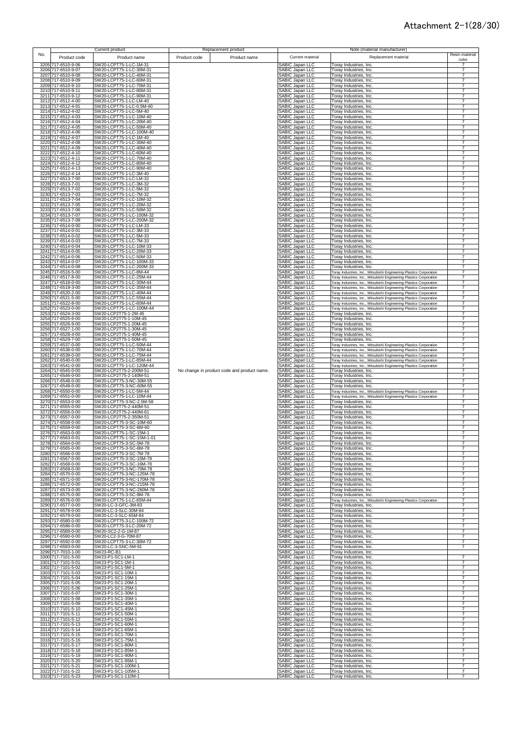|     |                                          | Current product                                      | Replacement product                         |                                                  | Note (material manufacturer)                                                                                                               |                                  |
|-----|------------------------------------------|------------------------------------------------------|---------------------------------------------|--------------------------------------------------|--------------------------------------------------------------------------------------------------------------------------------------------|----------------------------------|
| No. | Product code                             | Product name                                         | Product code<br>Product name                | Current material                                 | Replacement material                                                                                                                       | Resin material                   |
|     |                                          |                                                      |                                             |                                                  |                                                                                                                                            | color                            |
|     | 3205 717-6510-9-06                       | SW20-LCPT75-1-LC-1M-31                               |                                             | <b>SABIC Japan LLC</b>                           | Toray Industries, Inc.                                                                                                                     |                                  |
|     | 3206 717-6510-9-07                       | SW20-LCPT75-1-LC-30M-31<br>SW20-LCPT75-1-LC-40M-31   |                                             | SABIC Japan LLC                                  | Toray Industries, Inc.                                                                                                                     | 7<br>7                           |
|     | 3207 717-6510-9-08<br>3208 717-6510-9-09 | SW20-LCPT75-1-LC-60M-31                              |                                             | SABIC Japan LLC<br>SABIC Japan LLC               | Toray Industries, Inc.<br>Toray Industries, Inc.                                                                                           | 7                                |
|     | 3209 717-6510-9-10                       | SW20-LCPT75-1-LC-70M-31                              |                                             | SABIC Japan LLC                                  | Toray Industries, Inc.                                                                                                                     | 7                                |
|     | 3210 717-6510-9-11                       | SW20-LCPT75-1-LC-80M-31                              |                                             | SABIC Japan LLC                                  | Toray Industries, Inc.                                                                                                                     | 7                                |
|     | 3211 717-6510-9-12                       | SW20-LCPT75-1-LC-90M-31                              |                                             | SABIC Japan LLC                                  | Toray Industries, Inc.                                                                                                                     |                                  |
|     | 3212 717-6512-4-00                       | SW20-LCPT75-1-LC-LM-40                               |                                             | SABIC Japan LLC                                  | Toray Industries, Inc.                                                                                                                     | 7                                |
|     | 3213 717-6512-4-01                       | SW20-LCPT75-1-LC-0.5M-40                             |                                             | SABIC Japan LLC                                  | Toray Industries, Inc.                                                                                                                     | 7                                |
|     | 3214 717-6512-4-02                       | SW20-LCPT75-1-LC-5M-40                               |                                             | SABIC Japan LLC                                  | Toray Industries, Inc.                                                                                                                     | 7                                |
|     | 3215 717-6512-4-03                       | SW20-LCPT75-1-LC-10M-40                              |                                             | SABIC Japan LLC                                  | Toray Industries, Inc.                                                                                                                     | 7                                |
|     | 3216 717-6512-4-04                       | SW20-LCPT75-1-LC-20M-40                              |                                             | SABIC Japan LLC                                  | Toray Industries, Inc.                                                                                                                     | 7                                |
|     | 3217 717-6512-4-05<br>3218 717-6512-4-06 | SW20-LCPT75-1-LC-50M-40<br>SW20-LCPT75-1-LC-100M-40  |                                             | SABIC Japan LLC                                  | Toray Industries, Inc.                                                                                                                     | $\overline{7}$<br>7              |
|     | 3219 717-6512-4-07                       | SW20-LCPT75-1-LC-1M-40                               |                                             | SABIC Japan LLC<br>SABIC Japan LLC               | Toray Industries, Inc.<br>Toray Industries, Inc.                                                                                           | 7                                |
|     | 3220 717-6512-4-08                       | SW20-LCPT75-1-LC-30M-40                              |                                             | SABIC Japan LLC                                  | Toray Industries, Inc.                                                                                                                     | $\overline{7}$                   |
|     | 3221 717-6512-4-09                       | SW20-LCPT75-1-LC-40M-40                              |                                             | SABIC Japan LLC                                  | Toray Industries, Inc.                                                                                                                     | 7                                |
|     | 3222 717-6512-4-10                       | SW20-LCPT75-1-LC-60M-40                              |                                             | SABIC Japan LLC                                  | Toray Industries, Inc.                                                                                                                     | 7                                |
|     | 3223 717-6512-4-11                       | SW20-LCPT75-1-LC-70M-40                              |                                             | <b>SABIC Japan LLC</b>                           | Toray Industries, Inc.                                                                                                                     |                                  |
|     | 3224 717-6512-4-12                       | SW20-LCPT75-1-LC-80M-40                              |                                             | SABIC Japan LLC                                  | Toray Industries, Inc.                                                                                                                     |                                  |
|     | 3225 717-6512-4-13                       | SW20-LCPT75-1-LC-90M-40                              |                                             | <b>SABIC Japan LLC</b>                           | Toray Industries, Inc.                                                                                                                     | 7                                |
|     | 3226 717-6512-4-14<br>3227 717-6513-7-00 | SW20-LCPT75-1-LC-3M-40<br>SW20-LCPT75-1-LC-LM-32     |                                             | <b>SABIC Japan LLC</b><br><b>SABIC Japan LLC</b> | Toray Industries, Inc.                                                                                                                     | $\overline{7}$<br>7              |
|     | 3228 717-6513-7-01                       | SW20-LCPT75-1-LC-3M-32                               |                                             | SABIC Japan LLC                                  | Toray Industries, Inc.<br>Toray Industries, Inc.                                                                                           | $\overline{7}$                   |
|     | 3229 717-6513-7-02                       | SW20-LCPT75-1-LC-5M-32                               |                                             | SABIC Japan LLC                                  | Toray Industries, Inc.                                                                                                                     | $\overline{7}$                   |
|     | 3230 717-6513-7-03                       | SW20-LCPT75-1-LC-7M-32                               |                                             | <b>SABIC Japan LLC</b>                           | Toray Industries, Inc.                                                                                                                     | 7                                |
|     | 3231 717-6513-7-04                       | SW20-LCPT75-1-LC-10M-32                              |                                             | SABIC Japan LLC                                  | Toray Industries, Inc.                                                                                                                     | 7                                |
|     | 3232 717-6513-7-05                       | SW20-LCPT75-1-LC-20M-32                              |                                             | SABIC Japan LLC                                  | Toray Industries, Inc.                                                                                                                     | 7                                |
|     | 3233 717-6513-7-06                       | SW20-LCPT75-1-LC-50M-32                              |                                             | SABIC Japan LLC                                  | Toray Industries, Inc.                                                                                                                     | 7                                |
|     | 3234 717-6513-7-07                       | SW20-LCPT75-1-LC-100M-32                             |                                             | SABIC Japan LLC<br>SABIC Japan LLC               | Toray Industries, Inc.                                                                                                                     | 7                                |
|     | 3235 717-6513-7-08<br>3236 717-6514-0-00 | SW20-LCPT75-1-LC-200M-32<br>SW20-LCPT75-1-LC-LM-33   |                                             | SABIC Japan LLC                                  | Toray Industries, Inc.<br>Toray Industries, Inc.                                                                                           | 7<br>7                           |
|     | 3237 717-6514-0-01                       | SW20-LCPT75-1-LC-3M-33                               |                                             | SABIC Japan LLC                                  | Toray Industries, Inc.                                                                                                                     | 7                                |
|     | 3238 717-6514-0-02                       | SW20-LCPT75-1-LC-5M-33                               |                                             | SABIC Japan LLC                                  | Toray Industries, Inc.                                                                                                                     | $\overline{7}$                   |
|     | 3239 717-6514-0-03                       | SW20-LCPT75-1-LC-7M-33                               |                                             | SABIC Japan LLC                                  | Toray Industries, Inc.                                                                                                                     | $\overline{7}$                   |
|     | 3240 717-6514-0-04                       | SW20-LCPT75-1-LC-10M-33                              |                                             | SABIC Japan LLC                                  | Toray Industries, Inc.                                                                                                                     | 7                                |
|     | 3241 717-6514-0-05                       | SW20-LCPT75-1-LC-20M-33                              |                                             | SABIC Japan LLC                                  | Toray Industries, Inc.                                                                                                                     | 7                                |
|     | 3242 717-6514-0-06<br>3243 717-6514-0-07 | SW20-LCPT75-1-LC-50M-33                              |                                             | SABIC Japan LLC                                  | Toray Industries, Inc.<br>Toray Industries, Inc.                                                                                           | 7<br>7                           |
|     | 3244 717-6514-0-08                       | SW20-LCPT75-1-LC-100M-33<br>SW20-LCPT75-1-LC-200M-33 |                                             | <b>SABIC Japan LLC</b><br>SABIC Japan LLC        | Toray Industries, Inc.                                                                                                                     | 7                                |
|     | 3245 717-6516-5-00                       | SW20-LCPT75-1-LC-8M-44                               |                                             | SABIC Japan LLC                                  | Toray Industries, Inc., Mitsubishi Engineering-Plastics Corporation                                                                        | 7                                |
|     | 3246 717-6517-8-00                       | SW20-LCPT75-1-LC-25M-44                              |                                             | SABIC Japan LLC                                  | Toray Industries, Inc., Mitsubishi Engineering-Plastics Corporation                                                                        |                                  |
|     | 3247 717-6518-0-00                       | SW20-LCPT75-1-LC-30M-44                              |                                             | SABIC Japan LLC                                  | Toray Industries, Inc., Mitsubishi Engineering-Plastics Corporation                                                                        | 7                                |
|     | 3248 717-6519-3-00                       | SW20-LCPT75-1-LC-35M-44                              |                                             | SABIC Japan LLC                                  | Toray Industries, Inc., Mitsubishi Engineering-Plastics Corporation                                                                        | 7                                |
|     | 3249 717-6520-2-00                       | SW20-LCPT75-1-LC-40M-44                              |                                             | <b>SABIC Japan LLC</b>                           | Toray Industries, Inc., Mitsubishi Engineering-Plastics Corporation                                                                        |                                  |
|     | 3250 717-6521-5-00<br>3251 717-6522-8-00 | SW20-LCPT75-1-LC-55M-44<br>SW20-LCPT75-1-LC-60M-44   |                                             | SABIC Japan LLC<br>SABIC Japan LLC               | Toray Industries, Inc., Mitsubishi Engineering-Plastics Corporation                                                                        | $\overline{7}$<br>$\overline{7}$ |
|     | 3252 717-6523-0-00                       | SW20-LCPT75-1-LC-100M-44                             |                                             | SABIC Japan LLC                                  | Toray Industries, Inc., Mitsubishi Engineering-Plastics Corporation<br>Toray Industries, Inc., Mitsubishi Engineering-Plastics Corporation | $\overline{7}$                   |
|     | 3253 717-6524-3-00                       | SW20-LCP2T75-1-2M-45                                 |                                             | SABIC Japan LLC                                  | Toray Industries, Inc.                                                                                                                     | $\overline{7}$                   |
|     | 3254 717-6525-6-00                       | SW20-LCP2T75-1-10M-45                                |                                             | SABIC Japan LLC                                  | Toray Industries, Inc.                                                                                                                     | $\overline{7}$                   |
|     | 3255 717-6526-9-00                       | SW20-LCP2T75-1-20M-45                                |                                             | SABIC Japan LLC                                  | Toray Industries, Inc.                                                                                                                     | $\overline{7}$                   |
|     | 3256 717-6527-1-00                       | SW20-LCP2T75-1-30M-45                                |                                             | SABIC Japan LLC                                  | Toray Industries, Inc.                                                                                                                     | 7                                |
|     | 3257 717-6528-4-00                       | SW20-LCP2T75-1-40M-45                                |                                             | SABIC Japan LLC                                  | Toray Industries, Inc.                                                                                                                     | 7                                |
|     | 3258 717-6529-7-00                       | SW20-LCP2T75-1-50M-45<br>SW20-LCPT75-1-LC-50M-44     |                                             | SABIC Japan LLC                                  | Toray Industries, Inc.                                                                                                                     | 7<br>7                           |
|     | 3259 717-6537-0-00<br>3260 717-6538-0-00 | SW20-LCPT75-1-LC-70M-44                              |                                             | SABIC Japan LLC<br>SABIC Japan LLC               | Toray Industries, Inc., Mitsubishi Engineering-Plastics Corporation<br>Toray Industries, Inc., Mitsubishi Engineering-Plastics Corporation | 7                                |
|     | 3261 717-6539-0-00                       | SW20-LCPT75-1-LC-75M-44                              |                                             | SABIC Japan LLC                                  | Toray Industries, Inc., Mitsubishi Engineering-Plastics Corporation                                                                        | 7                                |
|     | 3262 717-6540-0-00                       | SW20-LCPT75-1-LC-85M-44                              |                                             | SABIC Japan LLC                                  | Toray Industries, Inc., Mitsubishi Engineering-Plastics Corporation                                                                        |                                  |
|     | 3263 717-6541-0-00                       | SW20-LCPT75-1-LC-120M-44                             |                                             | SABIC Japan LLC                                  | Toray Industries, Inc., Mitsubishi Engineering-Plastics Corporation                                                                        | $\overline{7}$                   |
|     | 3264 717-6545-0-00                       | SW20-LCP2T75-2-200M-51                               | No change in product code and product name. | SABIC Japan LLC                                  | Toray Industries, Inc.                                                                                                                     | 7                                |
|     | 3265 717-6546-0-00                       | SW20-LCP2T75-2-140M-51                               |                                             | SABIC Japan LLC                                  | Toray Industries, Inc.                                                                                                                     | 7                                |
|     | 3266 717-6548-0-00<br>3267 717-6549-0-00 | SW20-LCPT75-3-NC-30M-55                              |                                             | SABIC Japan LLC                                  | Toray Industries, Inc.                                                                                                                     | 7<br>7                           |
|     | 3268 717-6550-0-00                       | SW20-LCPT75-3-NC-60M-55<br>SW20-LCPT75-1-LC-5M-44    |                                             | SABIC Japan LLC<br>SABIC Japan LLC               | Toray Industries, Inc.<br>Toray Industries, Inc., Mitsubishi Engineering-Plastics Corporation                                              |                                  |
|     | 3269 717-6551-0-00                       | SW20-LCPT75-1-LC-10M-44                              |                                             | SABIC Japan LLC                                  | Toray Industries, Inc., Mitsubishi Engineering-Plastics Corporation                                                                        | 7                                |
|     | 3270 717-6553-0-00                       | SW20-LCPT75-3-NC-2.5M-58                             |                                             | SABIC Japan LLC                                  | Toray Industries, Inc.                                                                                                                     | $\overline{7}$                   |
|     | 3271 717-6555-0-00                       | SW20-LCP2T75-2-440M-51                               |                                             | SABIC Japan LLC                                  | Toray Industries, Inc.                                                                                                                     | 7                                |
|     | 3272 717-6556-0-00                       | SW20-LCP2T75-2-440M-61                               |                                             | SABIC Japan LLC                                  | Toray Industries, Inc.                                                                                                                     | 7                                |
|     | 3273 717-6557-0-00                       | SW20-LCP2T75-2-350M-51                               |                                             | SABIC Japan LLC                                  | Toray Industries, Inc.                                                                                                                     | 7                                |
|     | 3274 717-6558-0-00<br>3275 717-6559-0-00 | SW20-LCPT75-3-SC-10M-60<br>SW20-LCPT75-3-SC-6M-60    |                                             | SABIC Japan LLC<br>SABIC Japan LLC               | Toray Industries, Inc.<br>Toray Industries, Inc.                                                                                           | $\overline{7}$                   |
|     | 3276 717-6563-0-00                       | SW20-LCPT75-1-SC-15M-1                               |                                             | SABIC Japan LLC                                  | Toray Industries, Inc.                                                                                                                     | $\overline{7}$                   |
|     | 3277 717-6563-0-01                       | SW20-LCPT75-1-SC-15M-1-01                            |                                             | SABIC Japan LLC                                  | Toray Industries, Inc.                                                                                                                     | $\overline{7}$                   |
|     | 3278 717-6564-0-00                       | SW 20-1 CPT75-3-SC-5M-78                             |                                             | SABIC: Janan LLC                                 | Toray Industries Inc                                                                                                                       |                                  |
|     | 3279 717-6565-0-00                       | SW20-LCPT75-3-SC-6M-78                               |                                             | SABIC Japan LLC                                  | Toray Industries, Inc.                                                                                                                     | 7                                |
|     | 3280 717-6566-0-00                       | SW20-LCPT75-3-SC-7M-78<br>SW20-LCPT75-3-SC-15M-78    |                                             | SABIC Japan LLC                                  | Toray Industries, Inc.                                                                                                                     | $\overline{7}$                   |
|     | 3281 717-6567-0-00<br>3282 717-6568-0-00 | SW20-LCPT75-3-SC-16M-78                              |                                             | SABIC Japan LLC<br>SABIC Japan LLC               | Toray Industries, Inc.<br>Toray Industries, Inc.                                                                                           | 7                                |
|     | 3283 717-6569-0-00                       | SW20-LCPT75-3-NC-70M-78                              |                                             | SABIC Japan LLC                                  | Toray Industries, Inc.                                                                                                                     | 7                                |
|     | 3284 717-6570-0-00                       | SW20-LCPT75-3-NC-125M-78                             |                                             | SABIC Japan LLC                                  | Toray Industries, Inc.                                                                                                                     | 7                                |
|     | 3285 717-6571-0-00                       | SW20-LCPT75-3-NC-170M-78                             |                                             | SABIC Japan LLC                                  | Toray Industries, Inc.                                                                                                                     | 7                                |
|     | 3286 717-6572-0-00                       | SW20-LCPT75-3-NC-215M-78                             |                                             | SABIC Japan LLC                                  | Toray Industries, Inc.                                                                                                                     | 7                                |
|     | 3287 717-6573-0-00<br>3288 717-6575-0-00 | SW20-LCPT75-3-NC-260M-78<br>SW20-LCPT75-3-SC-8M-78   |                                             | SABIC Japan LLC<br>SABIC Japan LLC               | Toray Industries, Inc.<br>Toray Industries, Inc.                                                                                           | 7                                |
|     | 3289 717-6576-0-00                       | SW20-LCPT75-1-LC-65M-44                              |                                             | SABIC Japan LLC                                  | Toray Industries, Inc., Mitsubishi Engineering-Plastics Corporation                                                                        | 7                                |
|     | 3290 717-6577-0-00                       | SW20-LC-3-GFC-3M-83                                  |                                             | SABIC Japan LLC                                  | Toray Industries, Inc.                                                                                                                     | 7                                |
|     | 3291 717-6578-0-00                       | SW20-LC-3-SLC-30M-84                                 |                                             | SABIC Japan LLC                                  | Toray Industries, Inc.                                                                                                                     | 7                                |
|     | 3292 717-6579-0-00                       | SW20-LC-3-SLC-65M-84                                 |                                             | SABIC Japan LLC                                  | Toray Industries, Inc.                                                                                                                     | 7                                |
|     | 3293 717-6580-0-00<br>3294 717-6586-0-00 | SW20-LCPT75-3-LC-100M-72<br>SW20-LCPT75-3-LC-20M-72  |                                             | SABIC Japan LLC                                  | Toray Industries, Inc.                                                                                                                     | $\overline{7}$                   |
|     | 3295 717-6589-0-00                       | SW20-SC2-2-G-1M-87                                   |                                             | SABIC Japan LLC<br>SABIC Japan LLC               | Toray Industries, Inc.<br>Toray Industries, Inc.                                                                                           | 7<br>7                           |
|     | 3296 717-6590-0-00                       | SW20-LC2-3-G-70M-87                                  |                                             | SABIC Japan LLC                                  | Torav Industries, Inc.                                                                                                                     | 7                                |
|     | 3297 717-6592-0-00                       | SW20-LCPT75-3-LC-30M-72                              |                                             | SABIC Japan LLC                                  | Toray Industries, Inc.                                                                                                                     | 7                                |
|     | 3298 717-6593-0-00                       | SW20-LC-3-SNC-5M-91                                  |                                             | SABIC Japan LLC                                  | Toray Industries, Inc.                                                                                                                     | 7                                |
|     | 3299 717-7010-1-00                       | SW23-RC-B1                                           |                                             | SABIC Japan LLC                                  | Toray Industries, Inc.                                                                                                                     |                                  |
|     | 3300 717-7101-5-00                       | SW23-P1-SC1-LM-1                                     |                                             | <b>SABIC Japan LLC</b>                           | Toray Industries, Inc.                                                                                                                     |                                  |
|     | 3301 717-7101-5-01                       | SW23-P1-SC1-1M-1                                     |                                             | SABIC Japan LLC                                  | Toray Industries, Inc.                                                                                                                     | $\overline{7}$                   |
|     | 3302 717-7101-5-02<br>3303 717-7101-5-03 | SW23-P1-SC1-5M-1<br>SW23-P1-SC1-10M-1                |                                             | SABIC Japan LLC<br><b>SABIC Japan LLC</b>        | Toray Industries, Inc.<br>Toray Industries, Inc.                                                                                           | $\overline{7}$<br>7              |
|     | 3304 717-7101-5-04                       | SW23-P1-SC1-15M-1                                    |                                             | SABIC Japan LLC                                  | Toray Industries, Inc.                                                                                                                     | $\overline{7}$                   |
|     | 3305 717-7101-5-05                       | SW23-P1-SC1-20M-1                                    |                                             | SABIC Japan LLC                                  | Toray Industries, Inc.                                                                                                                     | $\overline{7}$                   |
|     | 3306 717-7101-5-06                       | SW23-P1-SC1-25M-1                                    |                                             | SABIC Japan LLC                                  | Toray Industries, Inc.                                                                                                                     | 7                                |
|     | 3307 717-7101-5-07                       | SW23-P1-SC1-30M-1                                    |                                             | SABIC Japan LLC                                  | Toray Industries, Inc.                                                                                                                     | 7                                |
|     | 3308 717-7101-5-08                       | SW23-P1-SC1-35M-1                                    |                                             | SABIC Japan LLC                                  | Toray Industries, Inc.                                                                                                                     | 7                                |
|     | 3309 717-7101-5-09                       | SW23-P1-SC1-40M-1                                    |                                             | SABIC Japan LLC                                  | Toray Industries, Inc.                                                                                                                     | 7                                |
|     | 3310 717-7101-5-10<br>3311 717-7101-5-11 | SW23-P1-SC1-45M-1<br>SW23-P1-SC1-50M-1               |                                             | SABIC Japan LLC<br>SABIC Japan LLC               | Toray Industries, Inc.<br>Toray Industries, Inc.                                                                                           | 7<br>7                           |
|     | 3312 717-7101-5-12                       | SW23-P1-SC1-55M-1                                    |                                             | SABIC Japan LLC                                  | Toray Industries, Inc.                                                                                                                     | 7                                |
|     | 3313 717-7101-5-13                       | SW23-P1-SC1-60M-1                                    |                                             | SABIC Japan LLC                                  | Toray Industries, Inc.                                                                                                                     | 7                                |
|     | 3314 717-7101-5-14                       | SW23-P1-SC1-65M-1                                    |                                             | SABIC Japan LLC                                  | Toray Industries, Inc.                                                                                                                     | 7                                |
|     | 3315 717-7101-5-15                       | SW23-P1-SC1-70M-1                                    |                                             | SABIC Japan LLC                                  | Toray Industries, Inc.                                                                                                                     | 7                                |
|     | 3316 717-7101-5-16                       | SW23-P1-SC1-75M-1                                    |                                             | SABIC Japan LLC                                  | Toray Industries, Inc.                                                                                                                     | $\overline{7}$                   |
|     | 3317 717-7101-5-17                       | SW23-P1-SC1-80M-1                                    |                                             | SABIC Japan LLC                                  | Toray Industries, Inc.                                                                                                                     | $\overline{7}$<br>7              |
|     | 3318 717-7101-5-18<br>3319 717-7101-5-19 | SW23-P1-SC1-85M-1<br>SW23-P1-SC1-90M-1               |                                             | SABIC Japan LLC<br><b>SABIC Japan LLC</b>        | Toray Industries, Inc.<br>Toray Industries, Inc.                                                                                           | 7                                |
|     | 3320 717-7101-5-20                       | SW23-P1-SC1-95M-1                                    |                                             | SABIC Japan LLC                                  | Toray Industries, Inc.                                                                                                                     | 7                                |
|     | 3321 717-7101-5-21                       | SW23-P1-SC1-100M-1                                   |                                             | SABIC Japan LLC                                  | Toray Industries, Inc.                                                                                                                     | $\overline{7}$                   |
|     | 3322 717-7101-5-22                       | SW23-P1-SC1-105M-1                                   |                                             | SABIC Japan LLC                                  | Toray Industries, Inc.                                                                                                                     | 7                                |
|     | 3323 717-7101-5-23                       | SW23-P1-SC1-110M-1                                   |                                             | SABIC Japan LLC                                  | Toray Industries, Inc.                                                                                                                     |                                  |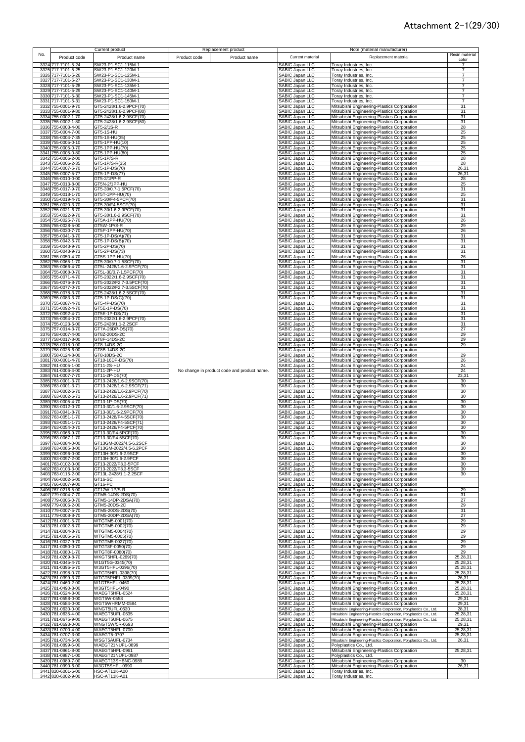|      |                                          | Current product                                      |              | Replacement product                         |                                                  | Note (material manufacturer)                                                                                                               |                                  |
|------|------------------------------------------|------------------------------------------------------|--------------|---------------------------------------------|--------------------------------------------------|--------------------------------------------------------------------------------------------------------------------------------------------|----------------------------------|
| No.  | Product code                             | Product name                                         | Product code | Product name                                | Current material                                 | Replacement material                                                                                                                       | Resin material                   |
|      | 3324 717-7101-5-24                       | SW23-P1-SC1-115M-1                                   |              |                                             | SABIC Japan LLC                                  | Toray Industries, Inc.                                                                                                                     | color<br>7                       |
|      | 3325 717-7101-5-25                       | SW23-P1-SC1-120M-1                                   |              |                                             | SABIC Japan LLC                                  | Toray Industries, Inc.                                                                                                                     | $\overline{7}$<br>$\overline{7}$ |
|      | 3326 717-7101-5-26<br>3327 717-7101-5-27 | SW23-P1-SC1-125M-1<br>SW23-P1-SC1-130M-1             |              |                                             | SABIC Japan LLC<br>SABIC Japan LLC               | Toray Industries, Inc.<br>Toray Industries, Inc.                                                                                           | $\overline{7}$                   |
|      | 3328 717-7101-5-28                       | SW23-P1-SC1-135M-1                                   |              |                                             | SABIC Japan LLC                                  | Toray Industries, Inc.                                                                                                                     | $\overline{7}$                   |
|      | 3329 717-7101-5-29<br>3330 717-7101-5-30 | SW23-P1-SC1-140M-1<br>SW23-P1-SC1-145M-1             |              |                                             | SABIC Japan LLC<br>SABIC Japan LLC               | Toray Industries, Inc.<br>Toray Industries, Inc.                                                                                           | $\overline{7}$<br>7              |
|      | 3331 717-7101-5-31                       | SW23-P1-SC1-150M-1                                   |              |                                             | SABIC Japan LLC                                  | Toray Industries, Inc.                                                                                                                     | $\overline{7}$                   |
|      | 3332 755-0001-9-70<br>3333 755-0001-9-80 | GT5-2428/1.6-2.9PCF(70)<br>GT5-2428/1.6-2.9PCF(80)   |              |                                             | SABIC Japan LLC<br>SABIC Japan LLC               | Mitsubishi Engineering-Plastics Corporation                                                                                                | 31<br>31                         |
|      | 3334 755-0002-1-70                       | GT5-2428/1.6-2.9SCF(70)                              |              |                                             | SABIC Japan LLC                                  | Mitsubishi Engineering-Plastics Corporation<br>Mitsubishi Engineering-Plastics Corporation                                                 | 31                               |
|      | 3335 755-0002-1-80                       | GT5-2428/1.6-2.9SCF(80)                              |              |                                             | SABIC Japan LLC                                  | Mitsubishi Engineering-Plastics Corporation                                                                                                | 31                               |
|      | 3336 755-0003-4-00<br>3337 755-0004-7-00 | GT5-2/1S-R<br>GT5-1S-HU                              |              |                                             | SABIC Japan LLC<br>SABIC Japan LLC               | Mitsubishi Engineering-Plastics Corporation<br>Mitsubishi Engineering-Plastics Corporation                                                 | 28<br>25                         |
|      | 3338 755-0004-7-35                       | GT5-1S-HU(35)                                        |              |                                             | SABIC Japan LLC                                  | Mitsubishi Engineering-Plastics Corporation                                                                                                | 25                               |
|      | 3339 755-0005-0-10<br>3340 755-0005-0-70 | GT5-1PP-HU(10)<br>GT5-1PP-HU(70)                     |              |                                             | SABIC Japan LLC<br>SABIC Japan LLC               | Mitsubishi Engineering-Plastics Corporation<br>Mitsubishi Engineering-Plastics Corporation                                                 | 25<br>25                         |
|      | 3341 755-0005-0-80                       | GT5-1PP-HU(80)                                       |              |                                             | <b>SABIC Japan LLC</b>                           | Mitsubishi Engineering-Plastics Corporation                                                                                                | 25                               |
|      | 3342 755-0006-2-00                       | GT5-1P/S-R                                           |              |                                             | SABIC Japan LLC                                  | Mitsubishi Engineering-Plastics Corporation                                                                                                | 28                               |
|      | 3343 755-0006-2-35<br>3344 755-0007-5-70 | GT5-1P/S-R(35)<br>GT5-1P-DS(70)                      |              |                                             | <b>SABIC Japan LLC</b><br>SABIC Japan LLC        | Mitsubishi Engineering-Plastics Corporation<br>Mitsubishi Engineering-Plastics Corporation                                                 | 28<br>26,31                      |
|      | 3345 755-0007-5-77                       | GT5-1P-DS(77)                                        |              |                                             | SABIC Japan LLC                                  | Mitsubishi Engineering-Plastics Corporation                                                                                                | 26,31                            |
|      | 3346 755-0010-0-00<br>3347 755-0013-8-00 | GT5-2/1PP-R<br>GT5N-2/1PP-HU                         |              |                                             | <b>SABIC Japan LLC</b><br><b>SABIC Japan LLC</b> | Mitsubishi Engineering-Plastics Corporation<br>Mitsubishi Engineering-Plastics Corporation                                                 | 28<br>25                         |
|      | 3348 755-0017-9-70                       | GT5-30/0.7-1.5PCF(70)                                |              |                                             | <b>SABIC Japan LLC</b>                           | Mitsubishi Engineering-Plastics Corporation                                                                                                | 31                               |
|      | 3349 755-0018-1-70                       | GT5T-1PP-HU(70)                                      |              |                                             | <b>SABIC Japan LLC</b>                           | Mitsubishi Engineering-Plastics Corporation                                                                                                | 25<br>31                         |
|      | 3350 755-0019-4-70<br>3351 755-0020-3-70 | GT5-30/F4-5PCF(70)<br>GT5-30/F4-5SCF(70)             |              |                                             | SABIC Japan LLC<br>SABIC Japan LLC               | Mitsubishi Engineering-Plastics Corporation<br>Mitsubishi Engineering-Plastics Corporation                                                 | 31                               |
|      | 3352 755-0021-6-70                       | GT5-30/1.6-2.9PCF(70)                                |              |                                             | <b>SABIC Japan LLC</b>                           | Mitsubishi Engineering-Plastics Corporation                                                                                                | 31                               |
|      | 3353 755-0022-9-70<br>3354 755-0025-7-70 | GT5-30/1.6-2.9SCF(70)<br>GT5A-1PP-HU(70)             |              |                                             | SABIC Japan LLC<br>SABIC Japan LLC               | Mitsubishi Engineering-Plastics Corporation<br>Mitsubishi Engineering-Plastics Corporation                                                 | 31<br>26                         |
|      | 3355 755-0028-5-00                       | GT5W-1P/S-R                                          |              |                                             | SABIC Japan LLC                                  | Mitsubishi Engineering-Plastics Corporation                                                                                                | 29                               |
|      | 3356 755-0030-7-70<br>3357 755-0041-3-70 | GT5P-1PP-HU(70)<br>GT5-1P-DS(A)(70)                  |              |                                             | SABIC Japan LLC<br>SABIC Japan LLC               | Mitsubishi Engineering-Plastics Corporation<br>Mitsubishi Engineering-Plastics Corporation                                                 | 26<br>31                         |
|      | 3358 755-0042-6-70                       | GT5-1P-DS(B)(70)                                     |              |                                             | SABIC Japan LLC                                  | Mitsubishi Engineering-Plastics Corporation                                                                                                | 31                               |
|      | 3359 755-0043-9-70<br>3360 755-0043-9-73 | GT5-2P-DS(70)<br>GT5-2P-DS(73)                       |              |                                             | SABIC Japan LLC<br>SABIC Japan LLC               | Mitsubishi Engineering-Plastics Corporation                                                                                                | 31<br>31                         |
|      | 3361 755-0050-4-70                       | GT5S-1PP-HU(70)                                      |              |                                             | SABIC Japan LLC                                  | Mitsubishi Engineering-Plastics Corporation<br>Mitsubishi Engineering-Plastics Corporation                                                 | 26                               |
| 3362 | 755-0065-1-70                            | GT5-30/0.7-1.5SCF(70)                                |              |                                             | SABIC Japan LLC                                  | Mitsubishi Engineering-Plastics Corporation                                                                                                | 31                               |
|      | 3363 755-0066-4-70<br>3364 755-0068-0-70 | GT5L-2428/1.6-2.9PCF(70)<br>GT5L-30/0.7-1.5PCF(70)   |              |                                             | SABIC Japan LLC<br>SABIC Japan LLC               | Mitsubishi Engineering-Plastics Corporation<br>Mitsubishi Engineering-Plastics Corporation                                                 | 31<br>31                         |
|      | 3365 755-0071-4-70                       | GT5-2022/1.6-2.9SCF(70)                              |              |                                             | <b>SABIC Japan LLC</b>                           | Mitsubishi Engineering-Plastics Corporation                                                                                                | 31                               |
|      | 3366 755-0076-8-70<br>3367 755-0077-0-70 | GT5-2022/F2.7-3.5PCF(70)<br>GT5-2022/F2.7-3.5SCF(70) |              |                                             | SABIC Japan LLC<br>SABIC Japan LLC               | Mitsubishi Engineering-Plastics Corporation<br>Mitsubishi Engineering-Plastics Corporation                                                 | 31<br>31                         |
|      | 3368 755-0078-3-70                       | GT5-2428/1.6-2.5SCF(70)                              |              |                                             | <b>SABIC Japan LLC</b>                           | Mitsubishi Engineering-Plastics Corporation                                                                                                | 31                               |
|      | 3369 755-0083-3-70<br>3370 755-0087-4-70 | GT5-1P-DS(C)(70)<br>GT5-4P-DS(70)                    |              |                                             | SABIC Japan LLC<br>SABIC Japan LLC               | Mitsubishi Engineering-Plastics Corporation<br>Mitsubishi Engineering-Plastics Corporation                                                 | 31<br>31                         |
|      | 3371 755-0092-4-70                       | GT5E-1P-DS(70)                                       |              |                                             | SABIC Japan LLC                                  | Mitsubishi Engineering-Plastics Corporation                                                                                                | 31                               |
|      | 3372 755-0092-4-71<br>3373 755-0094-0-70 | GT5E-1P-DS(71)<br>GT5-2022/1.6-2.9PCF(70)            |              |                                             | SABIC Japan LLC<br>SABIC Japan LLC               | Mitsubishi Engineering-Plastics Corporation<br>Mitsubishi Engineering-Plastics Corporation                                                 | 31<br>31                         |
|      | 3374 755-0123-6-00                       | GT5-2428/1.1-2.2SCF                                  |              |                                             | <b>SABIC Japan LLC</b>                           | Mitsubishi Engineering-Plastics Corporation                                                                                                | 31                               |
| 3375 | 757-0014-3-70                            | GT7A-26DP-DS(70)                                     |              |                                             | <b>SABIC Japan LLC</b>                           | Mitsubishi Engineering-Plastics Corporation                                                                                                | 27<br>29                         |
|      | 3376 758-0007-4-00<br>3377 758-0017-8-00 | GT8Z-20DS-2C<br>GT8F-14DS-2C                         |              |                                             | <b>ABIC Japan LLC</b><br><b>SABIC Japan LLC</b>  | Mitsubishi Engineering-Plastics Corporation<br>Mitsubishi Engineering-Plastics Corporation                                                 | 29                               |
|      | 3378 758-0018-0-00                       | GT8-14DS-2C                                          |              |                                             | SABIC Japan LLC                                  | Mitsubishi Engineering-Plastics Corporation                                                                                                | 29                               |
|      | 3379 758-0025-6-00<br>3380 758-0124-8-00 | GT8B-14DS-2C<br>GT8-10DS-2C                          |              |                                             | SABIC Japan LLC<br>SABIC Japan LLC               | Mitsubishi Engineering-Plastics Corporation<br>Mitsubishi Engineering-Plastics Corporation                                                 | 29                               |
|      | 3381 760-0001-4-70                       | GT10-16DP-DS(70)                                     |              |                                             | SABIC Japan LLC                                  | Mitsubishi Engineering-Plastics Corporation                                                                                                | 26                               |
|      | 3382 761-0005-1-00<br>3383 761-0006-4-00 | GT11-2S-HU<br>GT11-2P-HU                             |              | No change in product code and product name. | SABIC Japan LLC<br>SABIC Japan LLC               | Mitsubishi Engineering-Plastics Corporation<br>Mitsubishi Engineering-Plastics Corporation                                                 | 24<br>24                         |
|      | 3384 761-0007-7-70                       | GT11-2P-DS(70)                                       |              |                                             | SABIC Japan LLC                                  | Mitsubishi Engineering-Plastics Corporation                                                                                                | 23,31                            |
|      | 3385 763-0001-3-70<br>3386 763-0001-3-71 | GT13-2428/1.6-2.9SCF(70)<br>GT13-2428/1.6-2.9SCF(71) |              |                                             | SABIC Japan LLC<br>SABIC Japan LLC               | Mitsubishi Engineering-Plastics Corporation<br>Mitsubishi Engineering-Plastics Corporation                                                 | 30<br>30                         |
|      | 3387 763-0002-6-70                       | GT13-2428/1.6-2.9PCF(70)                             |              |                                             | <b>SABIC Japan LLC</b>                           | Mitsubishi Engineering-Plastics Corporation                                                                                                | 30                               |
|      | 3388 763-0002-6-71<br>3389 763-0005-4-70 | GT13-2428/1.6-2.9PCF(71)<br>GT13-1P-DS(70)           |              |                                             | <b>SABIC Japan LLC</b><br>SABIC Japan LLC        | Mitsubishi Engineering-Plastics Corporation<br>Mitsubishi Engineering-Plastics Corporation                                                 | 30<br>30                         |
|      | 3390 763-0012-0-70                       | GT13-30/1.6-2.9SCF(70)                               |              |                                             | <b>SABIC Japan LLC</b>                           | Mitsubishi Engineering-Plastics Corporation                                                                                                | 30                               |
|      | 3391 763-0041-8-70<br>3392 763-0051-1-70 | GT13-30/1.6-2.9PCF(70)<br>GT13-2428/F4-5SCF(70)      |              |                                             | <b>ABIC Japan LLC</b><br>SABIC Japan LLC         | Mitsubishi Engineering-Plastics Corporation<br>Mitsubishi Engineering-Plastics Corporation                                                 | 30<br>30                         |
|      | 3393 763-0051-1-71                       | GT13-2428/F4-5SCF(71)                                |              |                                             | SABIC Japan LLC                                  | Mitsubishi Engineering-Plastics Corporation                                                                                                | 30                               |
|      | 3394 763-0054-0-70                       | GT13-2428/F4-5PCF(70)                                |              |                                             | SABIC Japan LLC                                  | Mitsubishi Engineering-Plastics Corporation                                                                                                | 30                               |
|      | 3395 763-0066-9-70<br>3396 763-0067-1-70 | GT13-30/F4-5PCF(70)<br>GT13-30/F4-5SCF(70)           |              |                                             | SABIC Japan LLC<br>SABIC Japan LLC               | Mitsubishi Engineering-Plastics Corporation<br>Mitsubishi Engineering-Plastics Corporation                                                 | 30<br>30                         |
|      | 3397 763-0084-0-00                       | GT13GM-2022/4.5-6.2S0                                |              |                                             | ABIC Japan LLC                                   | Mitsubishi Engineering-Plastics Corporation                                                                                                | 30                               |
|      | 3398 763-0085-3-00<br>3399 763-0096-0-00 | GT13GM-2022/4.5-6.2PCF<br>GT13H-30/1.6-2.9SCF        |              |                                             | SABIC Japan LLC<br><b>SABIC Japan LLC</b>        | Mitsubishi Engineering-Plastics Corporation<br>Mitsubishi Engineering-Plastics Corporation                                                 | 30<br>30                         |
|      | 3400 763-0097-2-00                       | GT13H-30/1.6-2.9PCF                                  |              |                                             | SABIC Japan LLC                                  | Mitsubishi Engineering-Plastics Corporation                                                                                                | 30                               |
|      | 3401 763-0102-0-00<br>3402 763-0103-3-00 | GT13-2022/F3.3-5PCF<br>GT13-2022/F3.3-5SCF           |              |                                             | SABIC Japan LLC<br><b>SABIC Japan LLC</b>        | Mitsubishi Engineering-Plastics Corporation<br>Mitsubishi Engineering-Plastics Corporation                                                 | 30<br>30                         |
|      | 3403 763-0115-2-00                       | GT13L-2428/1.1-2.2SCF                                |              |                                             | <b>SABIC Japan LLC</b>                           | Mitsubishi Engineering-Plastics Corporation                                                                                                | 30                               |
|      | 3404 766-0002-5-00<br>3405 766-0007-9-00 | GT16-SC<br>GT16-PC                                   |              |                                             | SABIC Japan LLC<br>SABIC Japan LLC               | Mitsubishi Engineering-Plastics Corporation<br>Mitsubishi Engineering-Plastics Corporation                                                 |                                  |
|      | 3406 767-0216-5-00                       | GT17W-1P/S-R                                         |              |                                             | SABIC Japan LLC                                  | Mitsubishi Engineering-Plastics Corporation                                                                                                | 29                               |
|      | 3407 779-0004-7-70<br>3408 779-0005-0-70 | GTM5-14DS-2DS(70)<br>GTM5-14DP-2DSA(70)              |              |                                             | SABIC Japan LLC<br>SABIC Japan LLC               | Mitsubishi Engineering-Plastics Corporation<br>Mitsubishi Engineering-Plastics Corporation                                                 | 31<br>27                         |
|      | 3409 779-0006-2-00                       | GTM5-20DS-2C                                         |              |                                             | SABIC Japan LLC                                  | Mitsubishi Engineering-Plastics Corporation                                                                                                | 29                               |
|      | 3410 779-0007-5-70                       | GTM5-20DS-2DS(70)                                    |              |                                             | SABIC Japan LLC                                  | Mitsubishi Engineering-Plastics Corporation                                                                                                | 31                               |
|      | 3411 779-0008-8-70<br>3412 781-0001-5-70 | GTM5-20DP-2DSA(70)<br>WTGTM5-0001(70)                |              |                                             | SABIC Japan LLC<br>SABIC Japan LLC               | Mitsubishi Engineering-Plastics Corporation<br>Mitsubishi Engineering-Plastics Corporation                                                 | 27<br>29                         |
|      | 3413 781-0002-8-70                       | WTGTM5-0002(70)                                      |              |                                             | SABIC Japan LLC                                  | Mitsubishi Engineering-Plastics Corporation                                                                                                | 29                               |
|      | 3414 781-0004-3-70<br>3415 781-0005-6-70 | WTGTM5-0004(70)<br>WTGTM5-0005(70)                   |              |                                             | SABIC Japan LLC<br>SABIC Japan LLC               | Mitsubishi Engineering-Plastics Corporation<br>Mitsubishi Engineering-Plastics Corporation                                                 | 29<br>29                         |
|      | 3416 781-0027-9-70                       | WTGTM5-0027(70)                                      |              |                                             | SABIC Japan LLC                                  | Mitsubishi Engineering-Plastics Corporation                                                                                                | 29                               |
|      | 3417 781-0050-0-70<br>3418 781-0080-1-70 | WTGT8F-0050(70)<br>WTGT8F-0080(70)                   |              |                                             | SABIC Japan LLC<br>SABIC Japan LLC               | Mitsubishi Engineering-Plastics Corporation<br>Mitsubishi Engineering-Plastics Corporation                                                 | 29<br>29                         |
|      | 3419 781-0269-8-70                       | WKGT5HFL-0269(70)                                    |              |                                             | <b>SABIC Japan LLC</b>                           | Mitsubishi Engineering-Plastics Corporation                                                                                                | 25,28,31                         |
|      | 3420 781-0345-4-70<br>3421 781-0396-5-70 | W1GT5G-0345(70)<br>W3GT5HFL-0396(70)                 |              |                                             | SABIC Japan LLC<br>SABIC Japan LLC               | Mitsubishi Engineering-Plastics Corporation<br>Mitsubishi Engineering-Plastics Corporation                                                 | 25,28,31<br>25,28,31             |
|      | 3422 781-0398-0-70                       | WTGT5HFL-0398(70)                                    |              |                                             | SABIC Japan LLC                                  | Mitsubishi Engineering-Plastics Corporation                                                                                                | 25,28,31                         |
|      | 3423 781-0399-3-70<br>3424 781-0460-2-00 | WTGT5PHFL-0399(70)<br>W1GT5HFL-0460                  |              |                                             | SABIC Japan LLC<br>SABIC Japan LLC               | Mitsubishi Engineering-Plastics Corporation                                                                                                | 26,31                            |
|      | 3425 781-0490-3-00                       | W3GT5HFL-0490                                        |              |                                             | <b>SABIC Japan LLC</b>                           | Mitsubishi Engineering-Plastics Corporation<br>Mitsubishi Engineering-Plastics Corporation                                                 | 25,28,31<br>25,28,31             |
|      | 3426 781-0524-3-00                       | WAEGT5HFL-0524                                       |              |                                             | <b>SABIC Japan LLC</b>                           | Mitsubishi Engineering-Plastics Corporation                                                                                                | 25,28,31                         |
|      | 3427 781-0558-0-00<br>3428 781-0584-0-00 | WGT5W-0558<br>WGT5WHRMM-0584                         |              |                                             | SABIC Japan LLC<br>SABIC Japan LLC               | Mitsubishi Engineering-Plastics Corporation<br>Mitsubishi Engineering-Plastics Corporation                                                 | 29,31<br>29,31                   |
|      | 3429 781-0630-0-00                       | WNGT5UFL-0630                                        |              |                                             | SABIC Japan LLC                                  | Mitsubishi Engineering-Plastics Corporation, Polyplastics Co., Ltd.                                                                        | 28,31                            |
|      | 3430 781-0635-4-00<br>3431 781-0675-9-00 | WAEGT5UFL-0635<br>WAEGT5UFL-0675                     |              |                                             | SABIC Japan LLC<br>SABIC Japan LLC               | Mitsubishi Engineering-Plastics Corporation, Polyplastics Co., Ltd.<br>Mitsubishi Engineering-Plastics Corporation, Polyplastics Co., Ltd. | 25,28,31<br>25,28,31             |
|      | 3432 781-0693-0-00                       | WNGT5W/5R-0693                                       |              |                                             | SABIC Japan LLC                                  | Mitsubishi Engineering-Plastics Corporation                                                                                                | 29,31                            |
|      | 3433 781-0700-4-00<br>3434 781-0707-3-00 | WAEGT5HFL-0700<br>WAEGT5-0707                        |              |                                             | SABIC Japan LLC<br>SABIC Japan LLC               | Mitsubishi Engineering-Plastics Corporation<br>Mitsubishi Engineering-Plastics Corporation                                                 | 25,28,31<br>25,28,31             |
|      | 3435 781-0734-6-00                       | WSGT5AUFL-0734                                       |              |                                             | SABIC Japan LLC                                  | Mitsubishi Engineering-Plastics Corporation, Polyplastics Co., Ltd.                                                                        | 26,31                            |
|      | 3436 781-0899-6-00<br>3437 781-0961-8-00 | WAEGT21NUFL-0899                                     |              |                                             | SABIC Japan LLC                                  | Polyplastics Co., Ltd.                                                                                                                     |                                  |
|      | 3438 781-0987-1-00                       | WAEGT5HFL-0961<br>WAEGT21NUFL-0987                   |              |                                             | SABIC Japan LLC<br><b>SABIC Japan LLC</b>        | Mitsubishi Engineering-Plastics Corporation<br>Polyplastics Co., Ltd.                                                                      | 25,28,31                         |
|      | 3439 781-0989-7-00                       | WAEGT13SHBNC-0989                                    |              |                                             | SABIC Japan LLC                                  | Mitsubishi Engineering-Plastics Corporation                                                                                                | 30                               |
|      | 3440 781-0990-6-00<br>3441 820-6001-6-00 | W3GT5SHFL-0990<br><b>HSC-AT11K-A00</b>               |              |                                             | SABIC Japan LLC<br><b>SABIC Japan LLC</b>        | Mitsubishi Engineering-Plastics Corporation<br>Toray Industries, Inc.                                                                      | 26,31                            |
|      | 3442 820-6002-9-00                       | <b>HSC-AT11K-A01</b>                                 |              |                                             | SABIC Japan LLC                                  | Toray Industries, Inc.                                                                                                                     |                                  |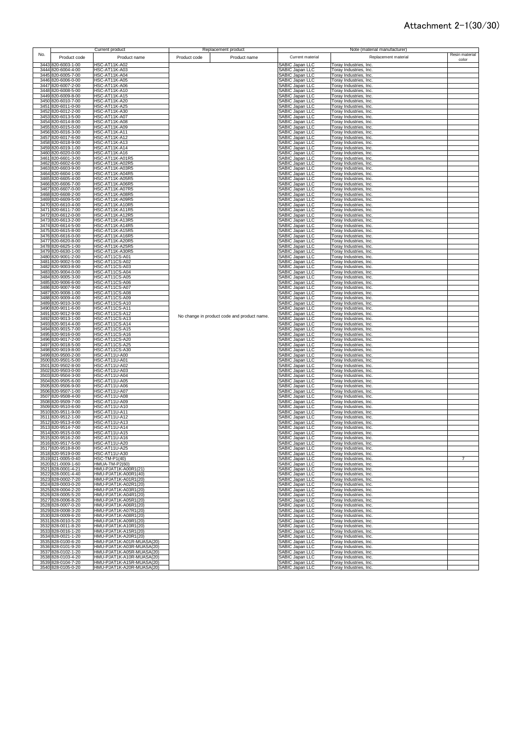|      |                                          | Current product                              | Replacement product                         |                                           | Note (material manufacturer)                     |                |
|------|------------------------------------------|----------------------------------------------|---------------------------------------------|-------------------------------------------|--------------------------------------------------|----------------|
| No.  | Product code                             | Product name                                 | Product name                                | Current material                          | Replacement material                             | Resin material |
|      |                                          |                                              | Product code                                |                                           |                                                  | color          |
| 3443 | 820-6003-1-00                            | <b>HSC-AT11K-A02</b>                         |                                             | <b>SABIC Japan LLC</b>                    | Toray Industries, Inc.                           |                |
|      | 3444 820-6004-4-00                       | <b>HSC-AT11K-A03</b>                         |                                             | SABIC Japan LLC                           | Toray Industries, Inc.                           |                |
|      | 3445 820-6005-7-00                       | <b>HSC-AT11K-A04</b>                         |                                             | SABIC Japan LLC                           | Toray Industries, Inc.                           |                |
|      | 3446 820-6006-0-00                       | <b>HSC-AT11K-A05</b>                         |                                             | SABIC Japan LLC                           | Toray Industries, Inc.                           |                |
|      | 3447 820-6007-2-00                       | <b>HSC-AT11K-A06</b>                         |                                             | SABIC Japan LLC                           | Toray Industries, Inc.                           |                |
|      | 3448 820-6008-5-00                       | <b>HSC-AT11K-A10</b>                         |                                             | SABIC Japan LLC                           | Toray Industries, Inc.                           |                |
|      | 3449 820-6009-8-00                       | <b>HSC-AT11K-A15</b>                         |                                             | SABIC Japan LLC                           | Toray Industries, Inc.                           |                |
|      | 3450 820-6010-7-00                       | <b>HSC-AT11K-A20</b>                         |                                             | SABIC Japan LLC                           | Toray Industries, Inc.                           |                |
|      | 3451 820-6011-0-00                       | <b>HSC-AT11K-A25</b>                         |                                             | SABIC Japan LLC                           | Toray Industries, Inc.                           |                |
|      | 3452 820-6012-2-00                       | <b>HSC-AT11K-A30</b>                         |                                             | SABIC Japan LLC                           | Toray Industries, Inc.                           |                |
|      | 3453 820-6013-5-00                       | <b>HSC-AT11K-A07</b>                         |                                             | SABIC Japan LLC                           | Toray Industries, Inc.                           |                |
|      | 3454 820-6014-8-00                       | <b>HSC-AT11K-A08</b>                         |                                             | SABIC Japan LLC                           | Toray Industries, Inc.                           |                |
|      | 3455 820-6015-0-00                       | <b>HSC-AT11K-A09</b>                         |                                             | SABIC Japan LLC<br>SABIC Japan LLC        | Toray Industries, Inc.                           |                |
|      | 3456 820-6016-3-00                       | <b>HSC-AT11K-A11</b>                         |                                             |                                           | Toray Industries, Inc.                           |                |
|      | 3457 820-6017-6-00                       | <b>HSC-AT11K-A12</b>                         |                                             | <b>SABIC Japan LLC</b>                    | Toray Industries, Inc.                           |                |
| 3458 | 320-6018-9-00                            | <b>HSC-AT11K-A13</b>                         |                                             | SABIC Japan LLC<br>SABIC Japan LLC        | Toray Industries, Inc.                           |                |
|      | 3459 820-6019-1-00                       | <b>HSC-AT11K-A14</b>                         |                                             |                                           | Toray Industries, Inc.                           |                |
| 3460 | 820-6020-0-00                            | <b>HSC-AT11K-A16</b>                         |                                             | SABIC Japan LLC                           | Toray Industries, Inc.                           |                |
| 3461 | 320-6601-3-00                            | HSC-AT11K-A01R5                              |                                             | SABIC Japan LLC                           | Toray Industries, Inc.                           |                |
|      | 3462 820-6602-6-00                       | HSC-AT11K-A02R5                              |                                             | <b>SABIC Japan LLC</b>                    | Toray Industries, Inc.                           |                |
| 3463 | 820-6603-9-00                            | HSC-AT11K-A03R5                              |                                             | SABIC Japan LLC                           | Toray Industries, Inc.                           |                |
| 3465 | 3464 820-6604-1-00<br>320-6605-4-00      | HSC-AT11K-A04R5<br>HSC-AT11K-A05R5           |                                             | SABIC Japan LLC<br><b>SABIC Japan LLC</b> | Toray Industries, Inc.<br>Toray Industries, Inc. |                |
| 3466 | 320-6606-7-00                            | HSC-AT11K-A06R5                              |                                             | <b>SABIC Japan LLC</b>                    | Toray Industries, Inc.                           |                |
| 3467 | 820-6607-0-00                            | HSC-AT11K-A07R5                              |                                             | <b>SABIC Japan LLC</b>                    | Toray Industries, Inc.                           |                |
|      | 3468 820-6608-2-00                       | HSC-AT11K-A08R5                              |                                             | <b>SABIC Japan LLC</b>                    | Toray Industries, Inc.                           |                |
|      | 3469 820-6609-5-00                       | HSC-AT11K-A09R5                              |                                             | SABIC Japan LLC                           | Toray Industries, Inc.                           |                |
|      | 3470 820-6610-4-00                       | HSC-AT11K-A10R5                              |                                             | SABIC Japan LLC                           | Toray Industries, Inc.                           |                |
|      | 3471 820-6611-7-00                       | <b>HSC-AT11K-A11R5</b>                       |                                             | SABIC Japan LLC                           | Toray Industries, Inc.                           |                |
|      | 3472 820-6612-0-00                       | HSC-AT11K-A12R5                              |                                             | SABIC Japan LLC                           | Toray Industries, Inc.                           |                |
|      | 3473 820-6613-2-00                       | HSC-AT11K-A13R5                              |                                             | SABIC Japan LLC                           | Toray Industries, Inc.                           |                |
|      | 3474 820-6614-5-00                       | HSC-AT11K-A14R5                              |                                             | SABIC Japan LLC                           | Toray Industries, Inc.                           |                |
|      | 3475 820-6615-8-00                       | HSC-AT11K-A15R5                              |                                             | SABIC Japan LLC                           | Toray Industries, Inc.                           |                |
|      | 3476 820-6616-0-00                       | HSC-AT11K-A16R5                              |                                             | SABIC Japan LLC                           | Toray Industries, Inc.                           |                |
|      | 3477 820-6620-8-00                       | HSC-AT11K-A20R5                              |                                             | SABIC Japan LLC                           | Toray Industries, Inc.                           |                |
|      | 3478 820-6625-1-00                       | HSC-AT11K-A25R5                              |                                             | <b>SABIC Japan LLC</b>                    | Toray Industries, Inc.                           |                |
|      | 3479 820-6630-1-00                       | HSC-AT11K-A30R5                              |                                             | <b>SABIC Japan LLC</b>                    | Toray Industries, Inc.                           |                |
|      | 3480 820-9001-2-00                       | HSC-AT11CS-A01                               |                                             | SABIC Japan LLC                           | Toray Industries, Inc.                           |                |
|      | 3481 820-9002-5-00                       | HSC-AT11CS-A02                               |                                             | <b>SABIC Japan LLC</b>                    | Toray Industries, Inc.                           |                |
|      | 3482 820-9003-8-00                       | HSC-AT11CS-A03                               |                                             | <b>SABIC Japan LLC</b>                    | Toray Industries, Inc.                           |                |
|      | 3483 820-9004-0-00                       | HSC-AT11CS-A04                               |                                             | <b>SABIC Japan LLC</b>                    | Toray Industries, Inc.                           |                |
|      | 3484 820-9005-3-00                       | HSC-AT11CS-A05                               |                                             | <b>SABIC Japan LLC</b>                    | Toray Industries, Inc.                           |                |
|      | 3485 820-9006-6-00                       | HSC-AT11CS-A06                               |                                             | SABIC Japan LLC                           | Toray Industries, Inc.                           |                |
|      | 3486 820-9007-9-00                       | HSC-AT11CS-A07                               |                                             | SABIC Japan LLC                           | Toray Industries, Inc.                           |                |
|      | 3487 820-9008-1-00                       | HSC-AT11CS-A08                               |                                             | SABIC Japan LLC                           | Toray Industries, Inc.                           |                |
|      | 3488 820-9009-4-00                       | HSC-AT11CS-A09                               |                                             | SABIC Japan LLC                           | Toray Industries, Inc.                           |                |
|      | 3489 820-9010-3-00                       | HSC-AT11CS-A10                               |                                             | <b>SABIC Japan LLC</b>                    | Toray Industries, Inc.                           |                |
| 3490 | 820-9011-6-00                            | HSC-AT11CS-A11                               |                                             | <b>SABIC Japan LLC</b>                    | Toray Industries, Inc.                           |                |
| 3491 | 820-9012-9-00                            | HSC-AT11CS-A12                               | No change in product code and product name. | SABIC Japan LLC                           | Toray Industries, Inc.                           |                |
| 3492 | 320-9013-1-00                            | HSC-AT11CS-A13                               |                                             | SABIC Japan LLC                           | Toray Industries, Inc.                           |                |
| 3493 | 820-9014-4-00                            | HSC-AT11CS-A14                               |                                             | <b>SABIC Japan LLC</b>                    | Toray Industries, Inc.                           |                |
|      | 3494 820-9015-7-00                       | HSC-AT11CS-A15                               |                                             | SABIC Japan LLC                           | Toray Industries, Inc.                           |                |
|      | 3495 820-9016-0-00<br>3496 820-9017-2-00 | HSC-AT11CS-A16<br>HSC-AT11CS-A20             |                                             | SABIC Japan LLC                           | Toray Industries, Inc.<br>Toray Industries, Inc. |                |
|      | 3497 820-9018-5-00                       | HSC-AT11CS-A25                               |                                             | SABIC Japan LLC<br>SABIC Japan LLC        | Toray Industries, Inc.                           |                |
|      | 3498 820-9019-8-00                       | HSC-AT11CS-A30                               |                                             | SABIC Japan LLC                           | Toray Industries, Inc.                           |                |
|      | 3499 820-9500-2-00                       | <b>HSC-AT11U-A00</b>                         |                                             | SABIC Japan LLC                           | Toray Industries, Inc.                           |                |
|      | 3500 820-9501-5-00                       | HSC-AT11U-A01                                |                                             | SABIC Japan LLC                           | Toray Industries, Inc.                           |                |
|      | 3501 820-9502-8-00                       | <b>HSC-AT11U-A02</b>                         |                                             | SABIC Japan LLC                           | Toray Industries, Inc.                           |                |
|      | 3502 820-9503-0-00                       | <b>HSC-AT11U-A03</b>                         |                                             | SABIC Japan LLC                           | Toray Industries, Inc.                           |                |
|      | 3503 820-9504-3-00                       | HSC-AT11U-A04                                |                                             | SABIC Japan LLC                           | Toray Industries, Inc.                           |                |
|      | 3504 820-9505-6-00                       | <b>HSC-AT11U-A05</b>                         |                                             | SABIC Japan LLC                           | Toray Industries, Inc.                           |                |
|      | 3505 820-9506-9-00                       | <b>HSC-AT11U-A06</b>                         |                                             | SABIC Japan LLC                           | Toray Industries, Inc.                           |                |
|      | 3506 820-9507-1-00                       | HSC-AT11U-A07                                |                                             | <b>SABIC Japan LLC</b>                    | Toray Industries, Inc.                           |                |
|      | 3507 820-9508-4-00                       | <b>HSC-AT11U-A08</b>                         |                                             | <b>SABIC Japan LLC</b>                    | Toray Industries, Inc.                           |                |
| 3508 | 820-9509-7-00                            | <b>HSC-AT11U-A09</b>                         |                                             | <b>SABIC Japan LLC</b>                    | Toray Industries, Inc.                           |                |
| 3509 | 320-9510-6-00                            | <b>HSC-AT11U-A10</b>                         |                                             | <b>ABIC Japan LLC</b>                     | Toray Industries, Inc.                           |                |
| 3510 | 320-9511-9-00                            | HSC-AT11U-A11                                |                                             | <b>SABIC Japan LLC</b>                    | Toray Industries, Inc.                           |                |
| 3511 | 820-9512-1-00                            | <b>HSC-AT11U-A12</b>                         |                                             | <b>SABIC Japan LLC</b>                    | Toray Industries, Inc.                           |                |
| 3512 | 320-9513-4-00                            | HSC-AT11U-A13                                |                                             | <b>SABIC Japan LLC</b>                    | Toray Industries, Inc.                           |                |
|      | 3513 820-9514-7-00                       | <b>HSC-AT11U-A14</b>                         |                                             | <b>SABIC Japan LLC</b>                    | Toray Industries, Inc.                           |                |
|      | 3514 820-9515-0-00                       | <b>HSC-AT11U-A15</b>                         |                                             | SABIC Japan LLC                           | Toray Industries, Inc.                           |                |
|      | 3515 820-9516-2-00<br>3516 820-9517-5-00 | HSC-AT11U-A16                                |                                             | SABIC Japan LLC                           | Toray Industries, Inc.                           |                |
|      |                                          | <b>HSC-AT11LLA20</b>                         |                                             | ABIC Janan LLC                            | Torav Industries Inc                             |                |
|      | 3517 820-9518-8-00<br>3518 820-9519-0-00 | <b>HSC-AT11U-A25</b>                         |                                             | SABIC Japan LLC                           | Toray Industries, Inc.                           |                |
|      | 3519 821-0005-0-40                       | <b>HSC-AT11U-A30</b><br><b>HSC-TM-P1(40)</b> |                                             | SABIC Japan LLC<br>SABIC Japan LLC        | Toray Industries, Inc.<br>Toray Industries, Inc. |                |
|      | 3520 821-0009-1-60                       | <b>HMUA-TM-P2(60)</b>                        |                                             | SABIC Japan LLC                           | Toray Industries, Inc.                           |                |
|      | 3521 828-0001-4-21                       | HMU-PJAT1K-A00R1(21)                         |                                             | SABIC Japan LLC                           | Toray Industries, Inc.                           |                |
|      | 3522 828-0001-4-40                       | HMU-PJAT1K-A00R1(40)                         |                                             | SABIC Japan LLC                           | Toray Industries, Inc.                           |                |
|      | 3523 828-0002-7-20                       | HMU-PJAT1K-A01R1(20)                         |                                             | SABIC Japan LLC                           | Toray Industries, Inc.                           |                |
|      | 3524 828-0003-0-20                       | HMU-PJAT1K-A02R1(20)                         |                                             | SABIC Japan LLC                           | Toray Industries, Inc.                           |                |
|      | 3525 828-0004-2-20                       | HMU-PJAT1K-A03R1(20)                         |                                             | SABIC Japan LLC                           | Toray Industries, Inc.                           |                |
|      | 3526 828-0005-5-20                       | HMU-PJAT1K-A04R1(20)                         |                                             | SABIC Japan LLC                           | Toray Industries, Inc.                           |                |
|      | 3527 828-0006-8-20                       | HMU-PJAT1K-A05R1(20)                         |                                             | SABIC Japan LLC                           | Toray Industries, Inc.                           |                |
|      | 3528 828-0007-0-20                       | HMU-PJAT1K-A06R1(20)                         |                                             | SABIC Japan LLC                           | Toray Industries, Inc.                           |                |
|      | 3529 828-0008-3-20                       | HMU-PJAT1K-A07R1(20)                         |                                             | SABIC Japan LLC                           | Toray Industries, Inc.                           |                |
|      | 3530 828-0009-6-20                       | HMU-PJAT1K-A08R1(20)                         |                                             | SABIC Japan LLC                           | Toray Industries, Inc.                           |                |
|      | 3531 828-0010-5-20                       | HMU-PJAT1K-A09R1(20)                         |                                             | SABIC Japan LLC                           | Toray Industries, Inc.                           |                |
|      | 3532 828-0011-8-20                       | HMU-PJAT1K-A10R1(20)                         |                                             | SABIC Japan LLC                           | Toray Industries, Inc.                           |                |
|      | 3533 828-0016-1-20                       | HMU-PJAT1K-A15R1(20)                         |                                             | SABIC Japan LLC                           | Toray Industries, Inc.                           |                |
|      | 3534 828-0021-1-20                       | HMU-PJAT1K-A20R1(20)                         |                                             | SABIC Japan LLC                           | Toray Industries, Inc.                           |                |
|      | 3535 828-0100-6-20                       | HMU-PJAT1K-A01R-MUASA(20)                    |                                             | SABIC Japan LLC                           | Toray Industries, Inc.                           |                |
|      | 3536 828-0101-9-20                       | HMU-PJAT1K-A03R-MUASA(20)                    |                                             | SABIC Japan LLC                           | Toray Industries, Inc.                           |                |
|      | 3537 828-0102-1-20                       | HMU-PJAT1K-A05R-MUASA(20)                    |                                             | SABIC Japan LLC                           | Toray Industries, Inc.                           |                |
|      | 3538 828-0103-4-20                       | HMU-PJAT1K-A10R-MUASA(20)                    |                                             | SABIC Japan LLC                           | Toray Industries, Inc.                           |                |
|      | 3539 828-0104-7-20                       | HMU-PJAT1K-A15R-MUASA(20)                    |                                             | SABIC Japan LLC                           | Toray Industries, Inc.                           |                |
|      | 3540 828-0105-0-20                       | HMU-PJAT1K-A20R-MUASA(20)                    |                                             | SABIC Japan LLC                           | Toray Industries, Inc.                           |                |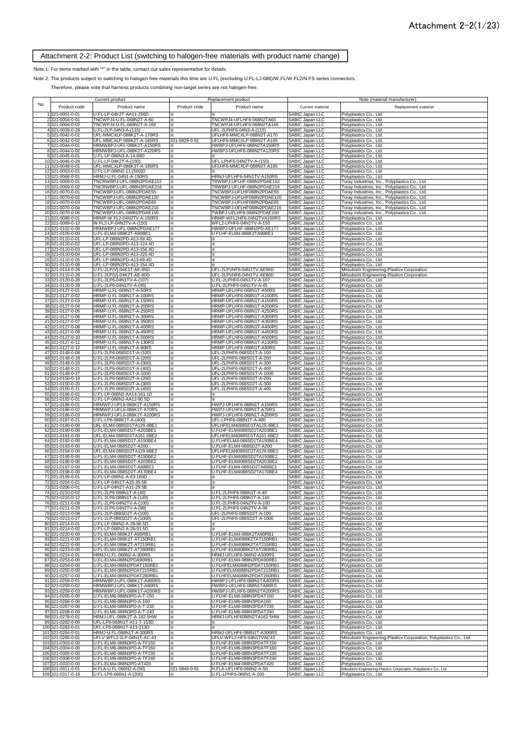#### Attachment 2-2: Product List (switching to halogen-free materials with product name change)

#### Note 1: For items marked with "\*" in the table, contact our sales representative for details.

Note 2: The products subject to switching to halogen-free materials this time are U.FL (excluding U.FL-LJ-088)/W.FL/W.FL2/N.FS series connectors.

Therefore, please note that harness products combining non-target series are not halogen-free.

|     |                                         | Current product                                        |               | Replacement product                                    |                                                                                             | Note (material manufacturer)                                                                     |
|-----|-----------------------------------------|--------------------------------------------------------|---------------|--------------------------------------------------------|---------------------------------------------------------------------------------------------|--------------------------------------------------------------------------------------------------|
| No. | Product code                            | Product name                                           | Product code  | Product name                                           | Current material                                                                            | Replacement material                                                                             |
|     | 1321-0001-0-01                          | U.FL-LP-04K2T-AA11-256D                                |               |                                                        | SABIC Japan LLC                                                                             | Polyplastics Co., Ltd.                                                                           |
|     | 2 321-0004-0-01                         | TNCWPJ4-U.FL-068N2T-A-60                               | ⋇             | TNCWPJ4-UFLHF6-068N2TA60                               | SABIC Japan LLC                                                                             | Polyplastics Co., Ltd.                                                                           |
|     | 3 321-0004-0-02                         | TNCWPJ4-U.FL-068N2T-A-166                              | ⋇             | TNCWPJ4-UFLHF6-068N2TA166                              | SABIC Japan LLC                                                                             | Polyplastics Co., Ltd.                                                                           |
|     | 4 321-0039-0-28                         | U.FL-2LP-04N3-A-(115)                                  | ⋇             | UFL-2LPHF6-04N3-A-(115)                                | SABIC Japan LLC                                                                             | Polyplastics Co., Ltd.                                                                           |
|     | 5 321-0042-0-01<br>6 321-0042-0-02      | UFL-MMCXLP-088K2T-A-170RS<br>UFL-MMCXLP-088K2T-A-185RS | 321-0829-0-01 | UFLHF6-MMCXLP-088N2T-A170<br>UFLHF6-MMCXLP-088N2T-A185 | SABIC Japan LLC<br>SABIC Japan LLC                                                          | Polyplastics Co., Ltd.<br>Polyplastics Co., Ltd.                                                 |
|     | 7 321-0044-0-01                         | HRMWBPJ-UFL-088K2T-A150RS                              | x             | HWBPJ-UFLHF6-088N2TA150RS                              | SABIC Japan LLC<br>SABIC Japan LLC                                                          | Polyplastics Co., Ltd.                                                                           |
|     | 8 321-0044-0-02                         | HRMWBPJ-UFL-088K2T-A120RS                              | ⋇             | HWBPJ-UFLHF6-088N2TA120RS                              |                                                                                             | Polyplastics Co., Ltd.                                                                           |
|     | 9 321-0045-0-01                         | U.FL-LP-066N3-A-14-68D                                 | ⋇             |                                                        | SABIC Japan LLC                                                                             | Polyplastics Co., Ltd.                                                                           |
|     | 10321-0046-0-28<br>11 321-0048-0-01     | U.FL-LP-04K2T-A-(150)<br>UFL-MMCXLP-088K3T-A-185RS     | ⋇             | UFL-LPHF6-04N2TV-A-(150)<br>UFLHF6-MMCXLP-088N3T-A185  |                                                                                             | Polyplastics Co., Ltd.<br>Polyplastics Co., Ltd.                                                 |
|     | 12 321-0053-0-01                        | U.FL-LP-066N2-11-(500)D                                |               |                                                        |                                                                                             | Polyplastics Co., Ltd.                                                                           |
|     | 13 321-0066-0-01                        | HRMJ-U.FL-04N1-A-150RS                                 |               | HRMJ-UFLHF6-04N1TV-A150RS                              | SABIC Japan LLC<br>SABIC Japan LLC<br>SABIC Japan LLC<br>SABIC Japan LLC<br>SABIC Japan LLC | Polyplastics Co., Ltd.                                                                           |
|     | 14 321-0069-0-01<br>15 321-0069-0-02    | TNCRWBPJ-UFL-088N2PDAE152<br>TNCRWBPJ-UFL-088N2PDAE216 | ×.<br>⋇       | TRWBPJ-UFLHF-088N2PDAE152<br>TRWBPJ-UFLHF-088N2PDAE216 | SABIC Japan LLC                                                                             | Toray Industries, Inc., Polyplastics Co., Ltd.<br>Toray Industries, Inc., Polyplastics Co., Ltd. |
|     | 16 321-0070-0-01                        | TNCWBPJ-UFL-088N2PDAE55                                | ⋇             | TNCWBPJ-UFLHF088N2PDAE55                               | SABIC Japan LLC                                                                             | Toray Industries, Inc., Polyplastics Co., Ltd.                                                   |
|     | 17 321-0070-0-02                        | TNCWBPJ-UFL-088N2PDAE120                               | ⋇             | TNCWBPJ-UFLHF088N2PDAE120                              | <b>SABIC Japan LLC</b>                                                                      | Toray Industries, Inc., Polyplastics Co., Ltd.                                                   |
|     | 18 321-0070-0-03<br>19 321-0070-0-04    | TNCWBPJ-UFL-088N2PDAE65<br>TNCWBPJ-UFL-088N2PDAE216    | ×<br>×        | TNCWBPJ-UFLHF088N2PDAE65<br>TNCWBPJ-UFLHF088N2PDAE216  | SABIC Japan LLC<br>SABIC Japan LLC                                                          | Toray Industries, Inc., Polyplastics Co., Ltd.<br>Toray Industries, Inc., Polyplastics Co., Ltd. |
|     | 20 321-0070-0-06                        | TNCWBPJ-UFL-088N2PDAE150                               | ×             | TWBPJ-UFLHF6-088N2PDAE150                              | <b>SABIC Japan LLC</b>                                                                      | Toray Industries, Inc., Polyplastics Co., Ltd.                                                   |
|     | 21 321-0088-0-01                        | HRMP-W.FL2-04N2TV-A-150RS                              | ፠             | HRMP-WFL2HF6-04N2TVA150RS                              | SABIC Japan LLC                                                                             | Polyplastics Co., Ltd.                                                                           |
|     | 22 321-0089-0-13                        | W.FL2-LP-04N2TV-A-(150)                                | ×             | WFL2-LPHF6-04N2TV-A-150                                | SABIC Japan LLC                                                                             | Polyplastics Co., Ltd.                                                                           |
|     | 23 321-0102-0-00<br>24 321-0105-0-00    | HRMWBPJ-UFL-088N2PDAE177<br>U.FL-ELM4-088K2T-A90BE1    | ×<br>⋇        | HWBPJ-UFLHF-088N2PD-AE177<br>U.FLHF-ELM4-088K2TA90BE1  | SABIC Japan LLC<br>SABIC Japan LLC                                                          | Polyplastics Co., Ltd.<br>Polyplastics Co., Ltd.                                                 |
|     | 25 321-0110-0-01                        | UFL-LP-088N2PD-A13-59.4D                               | ×             | ×                                                      | SABIC Japan LLC                                                                             | Polyplastics Co., Ltd.                                                                           |
|     | 26 321-0110-0-02                        | UFL-LP-088N2PD-A13-124.4D                              | ⋇             | ×                                                      | SABIC Japan LLC                                                                             | Polyplastics Co., Ltd.                                                                           |
|     | 27 321-0110-0-03<br>28 321-0110-0-04    | UFL-LP-088N2PD-A13-156.4D<br>UFL-LP-088N2PD-A13-220.4D | ⋇<br>⋇        | ⋇<br>×                                                 | SABIC Japan LLC<br>SABIC Japan LLC                                                          | Polyplastics Co., Ltd.<br>Polyplastics Co., Ltd.                                                 |
|     | 29 321-0110-0-05                        | UFL-LP-088N2PD-A13-69.4D                               | ⋇             | ×                                                      | SABIC Japan LLC                                                                             | Polyplastics Co., Ltd.                                                                           |
|     | 30 321-0110-0-08                        | UFL-LP-088N2PD-A13-154.4D                              | ⋇             |                                                        | SABIC Japan LLC                                                                             | Polyplastics Co., Ltd.                                                                           |
|     | 31 321-0114-0-28                        | U.FL-2LP(V)-04K1T-AE-95D                               | ×             | UFL-2LPVHF6-04N1TV-AE95D                               | SABIC Japan LLC                                                                             | Mitsubishi Engineering-Plastics Corporation                                                      |
|     | 32 321-0115-0-28<br>33 321-0120-0-28    | U.FL-2LP(V)-04K2T-AE-80D<br>U.FL-2LP6-04N1TV-A-(107)   | ×<br>⋇        | UFL-2LPVHF6-04N1TV-AE80D<br>U.FL-2LPHF6-04N1TV-A-107   | SABIC Japan LLC<br>SABIC Japan LLC                                                          | Mitsubishi Engineering-Plastics Corporation<br>Polyplastics Co., Ltd.                            |
|     | 34 321-0120-0-29                        | U.FL-2LP6-04N1TV-A-(45)                                | ×             | U.FL-2LPHF6-04N1TV-A-45                                |                                                                                             | Polyplastics Co., Ltd.                                                                           |
|     | 35 321-0127-0-01                        | HRMP-U.FL-068N1T-A-50RS                                | ⋇             | HRMP-UFLHF6-068N1T-A50RS                               |                                                                                             | Polyplastics Co., Ltd.                                                                           |
|     | 36<br>321-0127-0-02<br>37 321-0127-0-03 | HRMP-U.FL-068N1T-A-100RS<br>HRMP-U.FL-068N1T-A-150RS   | ⋇<br>×        | HRMP-UFLHF6-068N1T-A100RS<br>HRMP-UFLHF6-068N1T-A150RS | SABIC Japan LLC<br>SABIC Japan LLC<br>SABIC Japan LLC<br>SABIC Japan LLC                    | Polyplastics Co., Ltd.<br>Polyplastics Co., Ltd.                                                 |
|     | 38 321-0127-0-04                        | HRMP-U.FL-068N1T-A-200RS                               | ⋇             | HRMP-UFLHF6-068N1T-A200RS                              | SABIC Japan LLC                                                                             | Polyplastics Co., Ltd.                                                                           |
|     | 39 321-0127-0-05                        | HRMP-U.FL-068N1T-A-250RS                               | ×             | HRMP-UFLHF6-068N1T-A250RS                              | SABIC Japan LLC                                                                             | Polyplastics Co., Ltd.                                                                           |
|     | 40 321-0127-0-06                        | HRMP-U.FL-068N1T-A-300RS                               | ⋇             | HRMP-UFLHF6-068N1T-A300RS                              | SABIC Japan LLC                                                                             | Polyplastics Co., Ltd.                                                                           |
|     | 41 321-0127-0-07<br>42 321-0127-0-08    | HRMP-U.FL-068N1T-A-350RS<br>HRMP-U.FL-068N1T-A-400RS   | ⋇<br>×        | HRMP-UFLHF6-068N1T-A350RS<br>HRMP-UFLHF6-068N1T-A400RS | <b>SABIC Japan LLC</b><br>SABIC Japan LLC                                                   | Polyplastics Co., Ltd.<br>Polyplastics Co., Ltd.                                                 |
|     | 43 321-0127-0-09                        | HRMP-U.FL-068N1T-A-450RS                               | ⋇             | HRMP-UFLHF6-068N1T-A450RS                              | <b>SABIC Japan LLC</b>                                                                      | Polyplastics Co., Ltd.                                                                           |
|     | 44 321-0127-0-10                        | HRMP-U.FL-068N1T-A-500RS                               | ⋇             | HRMP-UFLHF6-068N1T-A500RS                              | <b>SABIC Japan LLC</b>                                                                      | Polyplastics Co., Ltd.                                                                           |
|     | 45 321-0127-0-11<br>46 321-0127-0-12    | HRMP-U.FL-068N1T-A-130RS<br>HRMP-U.FL-068N1T-A-90RS    | ⋇<br>⋇        | HRMP-UFLHF6-068N1T-A130RS<br>HRMP-UFLHF6-068N1T-A90RS  | SABIC Japan LLC<br>SABIC Japan LLC                                                          | Polyplastics Co., Ltd.<br>Polyplastics Co., Ltd.                                                 |
|     | 47 321-0148-0-08                        | U.FL-2LP6-068SD1T-A-(100)                              | ⋇             | UFL-2LPHF6-068SD1T-A-100                               | SABIC Japan LLC                                                                             | Polyplastics Co., Ltd.                                                                           |
|     | 48 321-0148-0-18                        | U.FL-2LP6-068SD1T-A-(200)                              | ⋇             | UFL-2LPHF6-068SD1T-A-200                               | SABIC Japan LLC                                                                             | Polyplastics Co., Ltd.                                                                           |
|     | 49 321-0148-0-20                        | U.FL-2LP6-068SD1T-A-(300)                              | ⋇             | UFL-2LPHF6-068SD1T-A-300                               | SABIC Japan LLC                                                                             | Polyplastics Co., Ltd.                                                                           |
|     | 50 321-0148-0-21<br>51 321-0148-0-27    | U.FL-2LP6-068SD1T-A-(400)<br>U.FL-2LP6-068SD1T-A-1000  | ⋇<br>⋇        | UFL-2LPHF6-068SD1T-A-400<br>UFL-2LPHF6-068SD1T-A-1000  | SABIC Japan LLC<br>SABIC Japan LLC                                                          | Polyplastics Co., Ltd.<br>Polyplastics Co., Ltd.                                                 |
|     | 52 321-0150-0-19                        | U.FL-2LP6-068SD2T-A-(200)                              | ⋇             | UFL-2LPHF6-068SD2T-A-200                               | SABIC Japan LLC                                                                             | Polyplastics Co., Ltd.                                                                           |
|     | 53 321-0150-0-20                        | U.FL-2LP6-068SD2T-A-(300)                              | ⋇             | UFL-2LPHF6-068SD2T-A-300                               | SABIC Japan LLC                                                                             | Polyplastics Co., Ltd.                                                                           |
|     | 54 321-0150-0-21<br>55 321-0166-0-01    | U.FL-2LP6-068SD2T-A-(400)<br>U.FL-LP-066N2-AA14-161.1D | ⋇<br>⋇        | UFL-2LPHF6-068SD2T-A-400                               | SABIC Japan LLC<br>SABIC Japan LLC                                                          | Polyplastics Co., Ltd.<br>Polyplastics Co., Ltd.                                                 |
|     | 56 321-0182-0-01                        | U.FL-LP-066N2-AA12-90.5D                               | ⋇             |                                                        | SABIC Japan LLC                                                                             | Polyplastics Co., Ltd.                                                                           |
|     | 57 321-0186-0-01                        | HRMWPJ-UFL6-088K1T-A150RS                              | ⋇             | HWPJ-UFLHF6-088N1T-A150RS                              | SABIC Japan LLC<br>SABIC Japan LLC<br>SABIC Japan LLC                                       | Polyplastics Co., Ltd.                                                                           |
|     | 58 321-0186-0-02<br>59 321-0186-0-03    | HRMWPJ-UFL6-088K1T-A70RS<br>HRMWPJ-UFL6-088K1T-A200RS  | ×<br>⋇        | HWPJ-UFLHF6-088N1T-A70RS<br>HWPJ-UFLHF6-088N1T-A200RS  |                                                                                             | Polyplastics Co., Ltd.<br>Polyplastics Co., Ltd.                                                 |
|     | 60 321-0187-0-21                        | U.FL-LP6-088K1T-A-(400)                                | ⋇             | UFL-LPHF6-088N1T-A-400                                 | <b>SABIC Japan LLC</b>                                                                      | Polyplastics Co., Ltd.                                                                           |
|     | 61 321-0189-0-00                        | UFL-ELM4-088SD1TA129.4BE1                              | ⋇             | UFLHFELM4088SD1TA129.4BE1                              | SABIC Japan LLC                                                                             | Polyplastics Co., Ltd.                                                                           |
|     | 62 321-0190-0-00<br>63 321-0191-0-00    | U.FL-ELM4-088SD1T-A203BE1<br>UFL-ELM4-088SD1TA161.6BE2 |               | U.FLHF-ELM4088SD1TA203BE1<br>UFLHFELM4088SD1TA161.6BE2 | SABIC Japan LLC<br>SABIC Japan LLC                                                          | Polyplastics Co., Ltd.<br>Polyplastics Co., Ltd.                                                 |
|     | 64 321-0192-0-00                        | U.FL-ELM4-088SD1T-A150BE4                              |               | U.FLHFELM4-088SD1TA150BE4                              | SABIC Japan LLC                                                                             | Polyplastics Co., Ltd.                                                                           |
|     | 65 321-0193-0-00                        | U.FL-ELM4-088SD2T-A200                                 | ⋇             | U.FLHF-ELM4-088SD2T-A200                               | SABIC Japan LLC                                                                             | Polyplastics Co., Ltd.                                                                           |
|     | 66 321-0194-0-00                        | UFL-ELM4-088SD2TA129.6BE2                              | ⋇             | UFLHFELM4088SD2TA129.6BE2                              | SABIC Japan LLC<br>SABIC Japan LLC                                                          | Polyplastics Co., Ltd.                                                                           |
|     | 67 321-0195-0-00<br>68 321-0196-0-00    | U.FL-ELM4-088SD2T-A150BE2<br>U.FL-ELM4-088SD2T-A203BE2 | ⋇<br>⋇        | U.FLHF-ELM4088SD2TA150BE2<br>U.FLHF-ELM4088SD2TA203BE2 | SABIC Japan LLC                                                                             | Polyplastics Co., Ltd.<br>Polyplastics Co., Ltd.                                                 |
|     | 69 321-0197-0-00                        | U.FL-ELM4-088SD2T-A88BE3                               | ×             | U.FLHF-ELM4-088SD2TA88BE3                              | SABIC Japan LLC                                                                             | Polyplastics Co., Ltd.                                                                           |
|     | 70 321-0198-0-00                        | U.FL-ELM4-088SD2T-A170BE4                              | ×             | U.FLHF-ELM4088SD2TA170BE4                              | SABIC Japan LLC                                                                             | Polyplastics Co., Ltd.                                                                           |
|     | 71 321-0199-0-01<br>72 321-0204-0-01    | U.FL-LP-066N1-A-63-160D<br>U.FL-LP-04N1T-A15-39.5B     | ⋇<br>×        | ×<br>⋇                                                 | SABIC Japan LLC<br>SABIC Japan LLC                                                          | Polyplastics Co., Ltd.<br>Polyplastics Co., Ltd.                                                 |
|     | 73 321-0206-0-01                        | U.FL-LP-04N2T-A11-29.5B                                | ⋇             | ×.                                                     | SABIC Japan LLC                                                                             | Polyplastics Co., Ltd.                                                                           |
|     | 74 321-0210-0-02                        | U.FL-2LP6-088N1T-A-(40)                                |               | U.FL-2LPHF6-088N1T-A-40                                | SABIC Japan LLC                                                                             | Polyplastics Co., Ltd.                                                                           |
|     | 75 321-0210-0-12<br>76 321-0211-0-08    | U.FL-2LP6-088N1T-A-(140)<br>U.FL-2LP6-04N2TV-A-(100)   | ⋇<br>⋇        | U.FL-2LPHF6-088N1T-A-140<br>U.FL-2LPHF6-04N2TV-A-100   | SABIC Japan LLC<br>SABIC Japan LLC                                                          | Polyplastics Co., Ltd.<br>Polyplastics Co., Ltd.                                                 |
|     | 77 321-0211-0-28                        | U.FL-2LP6-04N2TV-A-(98)                                | ⋇             | U.FL-2LPHF6-04N2TV-A-98                                | SABIC Japan LLC                                                                             | Polyplastics Co., Ltd.                                                                           |
|     | 78 321-0213-0-08                        | U.FL-2LP-088SD2T-A-(100)                               | ⋇             | UFL-2LPHF6-088SD2T-A-100                               | SABIC Japan LLC                                                                             | Polyplastics Co., Ltd.                                                                           |
|     | 79 321-0213-0-27<br>80 321-0214-0-01    | U.FL-2LP-088SD2T-A-(1000)<br>U.FL-LP-066N2-A-28-90.5D  | ⋇<br>×        | UFL-2LPHF6-088SD2T-A-1000<br>×                         | SABIC Japan LLC<br>SABIC Japan LLC                                                          | Polyplastics Co., Ltd.<br>Polyplastics Co., Ltd.                                                 |
|     | 81 321-0214-0-02                        | U.FL-LP-066N2-A-28-91.5D                               | ⋇             |                                                        | SABIC Japan LLC                                                                             | Polyplastics Co., Ltd.                                                                           |
|     | 82 321-0220-0-00                        | U.FL-ELM4-088K2T-A90RB1                                | ⋇             | U.FLHF-ELM4-088K2TA90RB1                               | SABIC Japan LLC                                                                             | Polyplastics Co., Ltd.                                                                           |
|     | 83 321-0221-0-00<br>84 321-0222-0-00    | U.FL-ELM4-088K2T-AT150RB1<br>U.FL-ELM4-088K2T-AT215RB1 | ⋇<br>⋇        | U.FLHF-ELM4088K2TAT150RB1<br>U.FLHF-ELM4088K2TAT215RB1 | SABIC Japan LLC<br>SABIC Japan LLC                                                          | Polyplastics Co., Ltd.<br>Polyplastics Co., Ltd.                                                 |
|     | 85 321-0223-0-00                        | U.FL-ELM4-088K2T-AT280RB1                              | ⋇             | U.FLHF-ELM4088K2TAT280RB1                              |                                                                                             | Polyplastics Co., Ltd.                                                                           |
|     | 86 321-0224-0-01                        | HRMJ-U.FL-066N2-A-300RS                                | ⋇             | HRMJ-UFLHF6-066N2-A300RS                               | SABIC Japan LLC<br>SABIC Japan LLC                                                          | Polyplastics Co., Ltd.                                                                           |
|     | 87 321-0253-0-00<br>88 321-0254-0-00    | U.FL-ELM4-088N2PDA90RB1<br>U.FL-ELM4-088N2PDAT150RB1   | ⋇             | U.FLHF-ELM4-088N2PDA90RB1<br>U.FLHFELM4088N2PDAT150RB1 | SABIC Japan LLC<br>SABIC Japan LLC                                                          | Polyplastics Co., Ltd.                                                                           |
|     | 89 321-0255-0-00                        | U.FL-ELM4-088N2PDAT215RB1                              | ⋇<br>⋇        | U.FLHFELM4088N2PDAT215RB1                              | SABIC Japan LLC                                                                             | Polyplastics Co., Ltd.<br>Polyplastics Co., Ltd.                                                 |
|     | 90 321-0257-0-00                        | U.FL-ELM4-088N2PDAT280RB1                              | ⋇             | U.FLHFELM4088N2PDAT280RB1                              | SABIC Japan LLC                                                                             | Polyplastics Co., Ltd.                                                                           |
|     | 91 321-0259-0-01<br>92 321-0259-0-02    | HRMWBPJ-UFL-088K1T-A400RS                              | ×.            | HWBPJ-UFLHF6-088N1TA400RS<br>HWBPJ-UFLHF6-088N1TA80RS  | SABIC Japan LLC                                                                             | Polyplastics Co., Ltd.                                                                           |
|     | 93 321-0259-0-03                        | HRMWBPJ-UFL-088K1T-A80RS<br>HRMWBPJ-UFL-088K1T-A200RS  | ×.<br>×.      | HWBPJ-UFLHF6-088N1TA200RS                              | SABIC Japan LLC<br><b>SABIC Japan LLC</b>                                                   | Polyplastics Co., Ltd.<br>Polyplastics Co., Ltd.                                                 |
|     | 94 321-0265-0-00                        | U.FL-ELM6-088N3PD-A-T-150                              | ⋇             | U.FLHF-ELM6-088N3PDAT150                               | <b>SABIC Japan LLC</b>                                                                      | Polyplastics Co., Ltd.                                                                           |
|     | 95 321-0266-0-00                        | U.FL-ELM6-088N3PD-A-160                                | ⋇             | U.FLHF-ELM6-088N3PDA160                                | SABIC Japan LLC                                                                             | Polyplastics Co., Ltd.                                                                           |
|     | 96 321-0267-0-00<br>97 321-0268-0-00    | U.FL-ELM6-088N3PD-A-T-235<br>U.FL-ELM6-088N3PD-A-T-240 | ⋇<br>⋇        | U.FLHF-ELM6-088N3PDAT235<br>U.FLHF-ELM6-088N3PDAT240   | SABIC Japan LLC<br>SABIC Japan LLC                                                          | Polyplastics Co., Ltd.<br>Polyplastics Co., Ltd.                                                 |
|     | 98 321-0278-0-01                        | HRMJ-UFL-088K2T-A-162.5HW                              | ⋇             | HRMJ-UFLHF6088N2TA162.5HW                              | SABIC Japan LLC                                                                             | Polyplastics Co., Ltd.                                                                           |
|     | 99 321-0282-0-00                        | UFL-LP6-068N1T-A11-T-153D                              | ⋇             | ⋇                                                      | SABIC Japan LLC                                                                             | Polyplastics Co., Ltd.                                                                           |
|     | 100 321-0283-0-01<br>101 321-0284-0-01  | UFL-LP6-068N1T-A13-213D<br>HRMJ-U.FL-088N1T-A-300RS    | ⋇<br>⋇        | ⋇<br>HRMJ-UFLHF6-088N1T-A300RS                         | SABIC Japan LLC<br>SABIC Japan LLC                                                          | Polyplastics Co., Ltd.<br>Polyplastics Co., Ltd.                                                 |
|     | 102 321-0285-0-01                       | UFLV-WFL2-2LP-04N1T-AC-43                              | ⋇             | UFLV-WFL2-HF6-04N1TVAC43                               | SABIC Japan LLC                                                                             | Mitsubishi Engineering-Plastics Corporation, Polyplastics Co., Ltd.                              |
|     | 103 321-0303-0-00                       | U.FL-ELM6-088N3PD-A-TF150                              | ⋇             | U.FLHF-ELM6-088N3PDATF150                              | <b>SABIC Japan LLC</b>                                                                      | Polyplastics Co., Ltd.                                                                           |
|     | 104 321-0304-0-00<br>105 321-0305-0-00  | U.FL-ELM6-088N3PD-A-TF160<br>U.FL-ELM6-088N3PD-A-TF235 | ⋇             | U.FLHF-ELM6-088N3PDATF160<br>U.FLHF-ELM6-088N3PDATF235 | SABIC Japan LLC                                                                             | Polyplastics Co., Ltd.                                                                           |
|     | 106 321-0306-0-00                       | U.FL-ELM6-088N3PD-A-TF240                              | ⋇<br>×        | U.FLHF-ELM6-088N3PDATF240                              | SABIC Japan LLC<br>SABIC Japan LLC                                                          | Polyplastics Co., Ltd.<br>Polyplastics Co., Ltd.                                                 |
|     | 107 321-0310-0-00                       | U.FL-ELM4-088N2PD-AT420                                |               | U.FLHF-ELM4-088N2PDAT420                               | SABIC Japan LLC                                                                             | Polyplastics Co., Ltd.                                                                           |
|     | 108 321-0311-0-01                       | H.FLA-U.FL-066N2-A-(50)                                | 321-0846-0-01 | H.FLA-UFLHF6-066N2-A-50                                | SABIC Japan LLC                                                                             | Mitsubishi Engineering-Plastics Corporation, Polyplastics Co., Ltd.                              |
|     | 109 321-0317-0-18                       | U.FL-LP6-066N1-A-(200)                                 |               | U.FL-LPHF6-066N1-A-200                                 | SABIC Japan LLC                                                                             | Polyplastics Co., Ltd.                                                                           |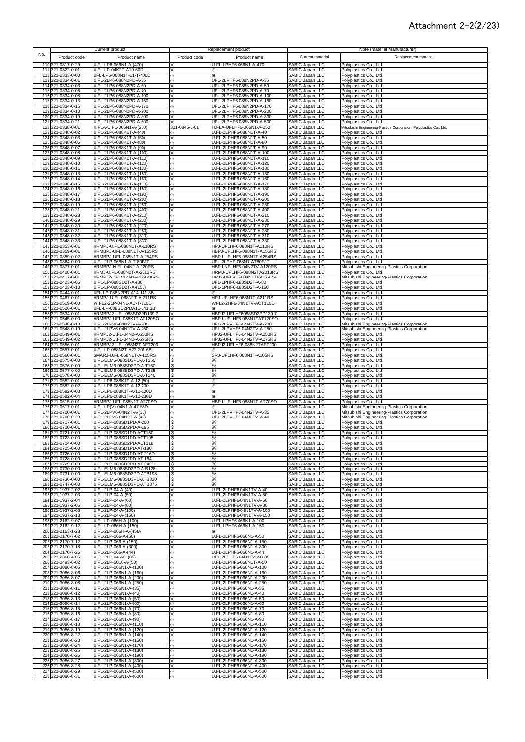### Attachment 2-2(2/23)

|                                        |                   | Current product                                        |               | Replacement product                                    |                                                       | Note (material manufacturer)                                                                  |
|----------------------------------------|-------------------|--------------------------------------------------------|---------------|--------------------------------------------------------|-------------------------------------------------------|-----------------------------------------------------------------------------------------------|
| No.                                    | Product code      | Product name                                           | Product code  | Product name                                           | Current material                                      | Replacement material                                                                          |
| 110 321-0317-0-29                      |                   | U.FL-LP6-066N1-A-(470)                                 |               | J.FL-LPHF6-066N1-A-470                                 | SABIC Japan LLC                                       | Polyplastics Co., Ltd.                                                                        |
| 111 321-0322-0-01                      |                   | U.FL-LP-04K2T-A19-60D                                  |               |                                                        | SABIC Japan LLC                                       | Polyplastics Co., Ltd.                                                                        |
| 112 321-0333-0-00<br>113 321-0334-0-01 |                   | UFL-LP6-068N1T-11-T-400D<br>U.FL-2LP6-088N2PD-A-35     | X<br>⋇        | UFL-2LPHF6-088N2PD-A-35                                | SABIC Japan LLC<br>SABIC Japan LLC                    | Polyplastics Co., Ltd.<br>Polyplastics Co., Ltd.                                              |
| 114 321-0334-0-03                      |                   | U.FL-2LP6-088N2PD-A-50                                 | ×.            | UFL-2LPHF6-088N2PD-A-50                                | SABIC Japan LLC                                       | Polyplastics Co., Ltd.                                                                        |
| 115 321-0334-0-05<br>116 321-0334-0-08 |                   | U.FL-2LP6-088N2PD-A-70<br>U.FL-2LP6-088N2PD-A-100      | ×<br>$\times$ | UFL-2LPHF6-088N2PD-A-70<br>UFL-2LPHF6-088N2PD-A-100    | SABIC Japan LLC<br>SABIC Japan LLC                    | Polyplastics Co., Ltd.<br>Polyplastics Co., Ltd.                                              |
| 117 321-0334-0-13                      |                   | U.FL-2LP6-088N2PD-A-150                                |               | UFL-2LPHF6-088N2PD-A-150                               | SABIC Japan LLC                                       | Polyplastics Co., Ltd.                                                                        |
| 118 321-0334-0-15<br>119 321-0334-0-18 |                   | U.FL-2LP6-088N2PD-A-170<br>U.FL-2LP6-088N2PD-A-200     |               | UFL-2LPHF6-088N2PD-A-170<br>UFL-2LPHF6-088N2PD-A-200   | SABIC Japan LLC<br>SABIC Japan LLC                    | Polyplastics Co., Ltd.<br>Polyplastics Co., Ltd.                                              |
| 120 321-0334-0-19                      |                   | U.FL-2LP6-088N2PD-A-300                                | ✕             | UFL-2LPHF6-088N2PD-A-300                               | SABIC Japan LLC                                       | Polyplastics Co., Ltd.                                                                        |
| 121 321-0334-0-21<br>122 321-0338-0-01 |                   | U.FL-2LP6-088N2PD-A-500<br>H.FLA-U.FL-066N1-A-(250)    | 321-0845-0-01 | UFL-2LPHF6-088N2PD-A-500<br>H.FLA-UFLHF6-066N1-A-250   | SABIC Japan LLC<br>SABIC Japan LLC                    | Polyplastics Co., Ltd.                                                                        |
| 123 321-0348-0-02                      |                   | U.FL-2LP6-088K1T-A-(40)                                |               | J.FL-2LPHF6-088N1T-A-40                                | SABIC Japan LLC                                       | Mitsubishi Engineering-Plastics Corporation, Polyplastics Co., Ltd.<br>Polyplastics Co., Ltd. |
| 124 321-0348-0-03                      |                   | U.FL-2LP6-088K1T-A-(50)<br>U.FL-2LP6-088K1T-A-(80)     | ×.            | U.FL-2LPHF6-088N1T-A-50                                | SABIC Japan LLC                                       | Polyplastics Co., Ltd.                                                                        |
| 125 321-0348-0-06<br>126 321-0348-0-07 |                   | U.FL-2LP6-088K1T-A-(90)                                | ×.<br>⋇       | U.FL-2LPHF6-088N1T-A-80<br>U.FL-2LPHF6-088N1T-A-90     | <b>SABIC Japan LLC</b><br>SABIC Japan LLC             | Polyplastics Co., Ltd.<br>Polyplastics Co., Ltd.                                              |
| 127 321-0348-0-08                      |                   | U.FL-2LP6-088K1T-A-(100)                               | ⋇             | U.FL-2LPHF6-088N1T-A-100                               | SABIC Japan LLC                                       | Polyplastics Co., Ltd.                                                                        |
| 128 321-0348-0-09<br>129 321-0348-0-10 |                   | U.FL-2LP6-088K1T-A-(110)<br>U.FL-2LP6-088K1T-A-(120)   | ⋇<br>⋇        | U.FL-2LPHF6-088N1T-A-110<br>U.FL-2LPHF6-088N1T-A-120   | SABIC Japan LLC<br>SABIC Japan LLC                    | Polyplastics Co., Ltd.<br>Polyplastics Co., Ltd.                                              |
| 130 321-0348-0-11                      |                   | U.FL-2LP6-088K1T-A-(130)                               | ×             | U.FL-2LPHF6-088N1T-A-130                               | SABIC Japan LLC                                       | Polyplastics Co., Ltd.                                                                        |
| 131 321-0348-0-13<br>132 321-0348-0-14 |                   | U.FL-2LP6-088K1T-A-(150)<br>U.FL-2LP6-088K1T-A-(160)   | ✕<br>×        | J.FL-2LPHF6-088N1T-A-150<br>U.FL-2LPHF6-088N1T-A-160   | SABIC Japan LLC<br>SABIC Japan LLC                    | Polyplastics Co., Ltd.<br>Polyplastics Co., Ltd.                                              |
| 133 321-0348-0-15                      |                   | U.FL-2LP6-088K1T-A-(170)                               | ×             | U.FL-2LPHF6-088N1T-A-170                               | SABIC Japan LLC                                       | Polyplastics Co., Ltd.                                                                        |
| 134 321-0348-0-16<br>135 321-0348-0-17 |                   | U.FL-2LP6-088K1T-A-(180)<br>U.FL-2LP6-088K1T-A-(190)   | ×<br>⋇        | U.FL-2LPHF6-088N1T-A-180<br>J.FL-2LPHF6-088N1T-A-190   | SABIC Japan LLC<br>SABIC Japan LLC                    | Polyplastics Co., Ltd.<br>Polyplastics Co., Ltd.                                              |
| 136 321-0348-0-18                      |                   | U.FL-2LP6-088K1T-A-(200)                               | X             | J.FL-2LPHF6-088N1T-A-200                               | SABIC Japan LLC                                       | Polyplastics Co., Ltd.                                                                        |
| 137 321-0348-0-19<br>138 321-0348-0-21 |                   | U.FL-2LP6-088K1T-A-(250)<br>U.FL-2LP6-088K1T-A-(400)   | ⋇<br>⋇        | J.FL-2LPHF6-088N1T-A-250<br>J.FL-2LPHF6-088N1T-A-400   | SABIC Japan LLC<br>SABIC Japan LLC                    | Polyplastics Co., Ltd.<br>Polyplastics Co., Ltd.                                              |
| 139 321-0348-0-28                      |                   | U.FL-2LP6-088K1T-A-(210)                               | ⋇             | U.FL-2LPHF6-088N1T-A-210                               | SABIC Japan LLC                                       | Polyplastics Co., Ltd.                                                                        |
| 140 321-0348-0-29<br>141 321-0348-0-30 |                   | U.FL-2LP6-088K1T-A-(230)<br>U.FL-2LP6-088K1T-A-(270)   | ⋇<br>×        | U.FL-2LPHF6-088N1T-A-230<br>J.FL-2LPHF6-088N1T-A-270   | SABIC Japan LLC<br>SABIC Japan LLC                    | Polyplastics Co., Ltd.<br>Polyplastics Co., Ltd.                                              |
| 142 321-0348-0-31                      |                   | U.FL-2LP6-088K1T-A-(280)                               |               | J.FL-2LPHF6-088N1T-A-280                               | SABIC Japan LLC                                       | Polyplastics Co., Ltd.                                                                        |
| 143 321-0348-0-32<br>144 321-0348-0-33 |                   | U.FL-2LP6-088K1T-A-(310)<br>U.FL-2LP6-088K1T-A-(330)   |               | J.FL-2LPHF6-088N1T-A-310<br>J.FL-2LPHF6-088N1T-A-330   | SABIC Japan LLC<br>SABIC Japan LLC                    | Polyplastics Co., Ltd.<br>Polyplastics Co., Ltd.                                              |
| 145 321-0353-0-01                      |                   | HRMPJ-U.FL-088N1T-A-110RS                              | ×             | HPJ-UFLHF6-088N1T-A110RS                               | SABIC Japan LLC                                       | Polyplastics Co., Ltd.                                                                        |
| 146<br>147 321-0359-0-02               | 321-0359-0-01     | HRMBPJ-UFL-088N1T-A-155RS<br>HRMBPJ-UFL-088N1T-A-254RS | ፠<br>×        | HBPJ-UFLHF6-088N1T-A155RS<br>HBPJ-UFLHF6-088N1T-A254RS | SABIC Japan LLC<br>SABIC Japan LLC                    | Polyplastics Co., Ltd.<br>Polyplastics Co., Ltd.                                              |
| 148 321-0364-0-00                      |                   | U.FL-2LP-068N1-A-T-80FJT                               | ✕             | UFL-2LPHF-068N1-AT80FJT                                | SABIC Japan LLC                                       | Polyplastics Co., Ltd.                                                                        |
| 149<br>150                             | 321-0377-0-01     | HRMBPJ-N.FL-04N2-A-120RS<br>HRMJ-U.FL-088N2T-A-2013RS  | ⋇             | HBPJ-NFLHF6-04N2TV-A120RS<br>HRMJ-UFLHF6-088N2TA2013RS | SABIC Japan LLC<br><b>SABIC Japan LLC</b>             | Mitsubishi Engineering-Plastics Corporation<br>Polyplastics Co., Ltd.                         |
| 151 321-0417-0-01                      | 321-0408-0-01     | HRMPJ2-UFLV04N1-A179.4ARS                              | ×<br>×.       | HPJ2-UFLVHF604N1TVA179.4A                              | <b>SABIC Japan LLC</b>                                | Mitsubishi Engineering-Plastics Corporation                                                   |
| 152 321-0423-0-06<br>153 321-0423-0-13 |                   | U.FL-LP-088SD2T-A-(80)<br>U.FL-LP-088SD2T-A-(150)      | ×             | UFL-LPHF6-088SD2T-A-80<br>UFL-LPHF6-088SD2T-A-150      | SABIC Japan LLC                                       | Polyplastics Co., Ltd.                                                                        |
| 154 321-0444-0-01                      |                   | UFL-LP-088N2PD-A14-141.3B                              | ×.<br>⋇       |                                                        | SABIC Japan LLC<br>SABIC Japan LLC                    | Polyplastics Co., Ltd.<br>Polyplastics Co., Ltd.                                              |
| 155 321-0467-0-01                      |                   | HRMPJ-U.FL-068N1T-A-211RS                              | ⋇             | HPJ-UFLHF6-068N1T-A211RS                               | SABIC Japan LLC                                       | Polyplastics Co., Ltd.                                                                        |
| 156 321-0519-0-00<br>157 321-0526-0-01 |                   | W.FL2-2LP-04N1-AC-T-110D<br>UFL-LP-088SD2PDA11-141.3B  | ⋇<br>×        | WFL2-2HF6-04N1TV-ACT110D                               | SABIC Japan LLC<br>SABIC Japan LLC                    | Polyplastics Co., Ltd.<br>Polyplastics Co., Ltd.                                              |
| 158 321-0534-0-01                      |                   | HRMBPJ2-UFL-088SD2PD139.7                              | ⋇             | HBPJ2-UFLHF6088SD2PD139.7                              | SABIC Japan LLC                                       | Polyplastics Co., Ltd.                                                                        |
| 159 321-0545-0-00<br>160 321-0548-0-18 |                   | HRMBPJ-UFL-088K1T-AT120SO<br>U.FL-2LPV6-04N2TV-A-200   | ⋇<br>⋇        | HBPJ-UFLHF6-088N1TAT120SO<br>UFL-2LPVHF6-04N2TV-A-200  | SABIC Japan LLC<br>SABIC Japan LLC                    | Polyplastics Co., Ltd.<br>Mitsubishi Engineering-Plastics Corporation                         |
| 161 321-0548-0-19                      |                   | U.FL-2LPV6-04N2TV-A-250                                | X             | UFL-2LPVHF6-04N2TV-A-250                               | SABIC Japan LLC                                       | Mitsubishi Engineering-Plastics Corporation                                                   |
| 162 321-0549-0-01<br>163 321-0549-0-02 |                   | HRMPJ2-U.FL-04N2-A-250RS<br>HRMPJ2-U.FL-04N2-A-275RS   | ⋇             | HPJ2-UFLHF6-04N2TV-A250RS<br>HPJ2-UFLHF6-04N2TV-A275RS | SABIC Japan LLC<br>SABIC Japan LLC                    | Polyplastics Co., Ltd.<br>Polyplastics Co., Ltd.                                              |
| 164 321-0556-0-01                      |                   | HRMBPJ2-UFL-088N2T-AFT200                              | ×             | HBPJ2-UFLHF6-088N2TAFT200                              | SABIC Japan LLC                                       | Polyplastics Co., Ltd.                                                                        |
| 165 321-0557-0-01<br>166 321-0560-0-01 |                   | U.FL-LP-088N2T-A22-201.6B<br>SMARJ-U.FL-068N1T-A-105RS | ×<br>×        | SRJ-UFLHF6-068N1T-A105RS                               | SABIC Japan LLC<br>SABIC Japan LLC                    | Polyplastics Co., Ltd.<br>Polyplastics Co., Ltd.                                              |
| 167 321-0575-0-00                      |                   | U.FL-ELM6-088SD3PD-A-T150                              |               |                                                        | SABIC Japan LLC<br>SABIC Japan LLC                    | Polyplastics Co., Ltd.                                                                        |
| 168 321-0576-0-00<br>169 321-0577-0-00 |                   | U.FL-ELM6-088SD3PD-A-T160<br>U.FL-ELM6-088SD3PD-A-T235 | ⋇<br>⋇        | ⋇<br>⋇                                                 | SABIC Japan LLC                                       | Polyplastics Co., Ltd.<br>Polyplastics Co., Ltd.                                              |
| 170 321-0578-0-00                      |                   | U.FL-ELM6-088SD3PD-A-T240                              | X.            | ⋇                                                      | SABIC Japan LLC                                       |                                                                                               |
|                                        |                   |                                                        |               |                                                        |                                                       | Polyplastics Co., Ltd.                                                                        |
|                                        | 171 321-0582-0-01 | U.FL-LP6-088K1T-A-12-(50)                              | ✕             | X                                                      | SABIC Japan LLC                                       | Polyplastics Co., Ltd.                                                                        |
| 172 321-0582-0-02<br>173 321-0582-0-03 |                   | U.FL-LP6-088K1T-A-12-200<br>U.FL-LP6-088K1T-A-12-100D  | ×.<br>×       |                                                        | SABIC Japan LLC<br>SABIC Japan LLC                    | Polyplastics Co., Ltd.<br>Polyplastics Co., Ltd.                                              |
| 174 321-0582-0-04                      |                   | U.FL-LP6-088K1T-A-12-230D                              | ×             |                                                        | SABIC Japan LLC                                       | Polyplastics Co., Ltd.                                                                        |
| 175 321-0615-0-01<br>176 321-0617-0-01 |                   | HRMBPJ-UFL-088N1T-AT70SO<br>U.FL-LP(V)-04N1-A-47-55D   | ×             | HBPJ-UFLHF6-088N1T-AT70SO                              | SABIC Japan LLC<br><b>SABIC Japan LLC</b>             | Polyplastics Co., Ltd.<br>Mitsubishi Engineering-Plastics Corporation                         |
| 177 321-0700-0-01                      |                   | U.FL-2LPV6-04N2T-A-(35)                                | ×             | UFL-2LPVHF6-04N2TV-A-35                                | SABIC Japan LLC                                       | Mitsubishi Engineering-Plastics Corporation                                                   |
| 178 321-0700-0-28<br>179 321-0717-0-01 |                   | U.FL-2LPV6-04N2T-A-(45)<br>U.FL-2LP-088SD1PD-A-200     | ×.<br>⋇       | UFL-2LPVHF6-04N2TV-A-40<br>⋇                           | SABIC Japan LLC<br>SABIC Japan LLC                    | Mitsubishi Engineering-Plastics Corporation<br>Polyplastics Co., Ltd.                         |
| 180 321-0720-0-01                      |                   | U.FL-2LP-088SD2PD-A-195                                | ⋇             | ⋇                                                      | SABIC Japan LLC                                       | Polyplastics Co., Ltd.                                                                        |
| 181 321-0721-0-00<br>182 321-0723-0-00 |                   | U.FL-2LP-088SD1PD-ACT150<br>U.FL-2LP-088SD1PD-ACT195   | ⋇<br>⋇        | ⋇<br>⋇                                                 | SABIC Japan LLC<br>SABIC Japan LLC                    | Polyplastics Co., Ltd.                                                                        |
| 183 321-0724-0-00                      |                   | U.FL-2LP-088SD2PD-ACT118                               |               |                                                        | SABIC Japan LLC                                       | Polyplastics Co., Ltd.<br>Polyplastics Co., Ltd.                                              |
| 184 321-0725-0-00<br>185 321-0726-0-00 |                   | U.FL-2LP-088SD1PD-AT-180<br>U.FL-2LP-088SD1PD-AT-216D  | ⋇<br>⋇        | ⋇<br>⋇                                                 | SABIC Japan LLC<br>SABIC Japan LLC                    | Polyplastics Co., Ltd.<br>Polyplastics Co., Ltd.                                              |
| 186 321-0728-0-00                      |                   | U.FL-2LP-088SD2PD-AT-164                               | ⋇             | ⋇                                                      | SABIC Japan LLC                                       | Polyplastics Co., Ltd.                                                                        |
| 187 321-0729-0-00<br>188 321-0730-0-00 |                   | U.FL-2LP-088SD2PD-AT-242D<br>U.FL-ELM6-088SD3PD-A-B128 | ⋇<br>፠        | ⋇<br>⋇                                                 | SABIC Japan LLC                                       | Polyplastics Co., Ltd.<br>Polyplastics Co., Ltd.                                              |
| 189 321-0731-0-00                      |                   | U.FL-ELM6-088SD3PD-ATB198                              | ×.            | ×                                                      | SABIC Japan LLC<br>SABIC Japan LLC                    | Polyplastics Co., Ltd.                                                                        |
| 190 321-0736-0-00<br>191 321-0747-0-00 |                   | U.FL-ELM6-088SD3PD-ATB320<br>U.FL-ELM6-088SD3PD-ATB375 | ⋇<br>⋇        | ⋇                                                      | SABIC Japan LLC<br>SABIC Japan LLC                    | Polyplastics Co., Ltd.<br>Polyplastics Co., Ltd.                                              |
| 192 321-1937-2-02                      |                   | U.FL-2LP-04-A-(40)                                     |               | J.FL-2LPHF6-04N1TV-A-40                                | SABIC Japan LLC                                       | Polyplastics Co., Ltd.                                                                        |
| 193 321-1937-2-03<br>194 321-1937-2-04 |                   | U.FL-2LP-04-A-(50)<br>U.FL-2LP-04-A-(60)               | ⋇<br>፠        | I.FL-2LPHF6-04N1TV-A-50<br>I.FL-2LPHF6-04N1TV-A-60     | SABIC Japan LLC<br>SABIC Japan LLC                    | Polyplastics Co., Ltd.<br>Polyplastics Co., Ltd.                                              |
| 195 321-1937-2-06                      |                   | U.FL-2LP-04-A-(80)                                     |               | J.FL-2LPHF6-04N1TV-A-80                                | SABIC Japan LLC                                       | Polyplastics Co., Ltd.                                                                        |
| 196 321-1937-2-08<br>197 321-1937-2-13 |                   | U.FL-2LP-04-A-(100)<br>U.FL-2LP-04-A-(150)             | ×<br>×        | J.FL-2LPHF6-04N1TV-A-100<br>J.FL-2LPHF6-04N1TV-A-150   | SABIC Japan LLC<br><b>SABIC Japan LLC</b>             | Polyplastics Co., Ltd.<br>Polyplastics Co., Ltd.                                              |
| 198                                    | 321-2162-9-07     | U.FL-LP-066H-A-(100)                                   | ×.            | .FL-LPHF6-066N1-A-100                                  | SABIC Japan LLC                                       | Polyplastics Co., Ltd.                                                                        |
| 199 321-2162-9-12<br>200 321-2163-1-28 |                   | U.FL-LP-066H-A-(150)<br>U.FL-2LP-066H-A-(45)A          | ፠<br>×        | I.FL-LPHF6-066N1-A-150                                 | SABIC Japan LLC<br>SABIC Japan LLC                    | Polyplastics Co., Ltd.<br>Polyplastics Co., Ltd.                                              |
| 201 321-2170-7-02                      |                   | U.FL-2LP-066-A-(50)                                    | ×             | J.FL-2LPHF6-066N1-A-50                                 | <b>SABIC Japan LLC</b>                                | Polyplastics Co., Ltd.                                                                        |
| 202 321-2170-7-12<br>203 321-2170-7-18 |                   | U.FL-2LP-066-A-(150)<br>U.FL-2LP-066-A-(300)           | ×.<br>×.      | U.FL-2LPHF6-066N1-A-150<br>U.FL-2LPHF6-066N1-A-300     | SABIC Japan LLC<br>SABIC Japan LLC                    | Polyplastics Co., Ltd.<br>Polyplastics Co., Ltd.                                              |
| 204 321-2170-7-26                      |                   | U.FL-2LP-066-A-(44)                                    | ×.            | U.FL-2LPHF6-066N1-A-44                                 | SABIC Japan LLC                                       | Polyplastics Co., Ltd.                                                                        |
| 205 321-2368-4-05<br>206 321-2493-6-02 |                   | U.FL-2LP-04-AC-(85)<br>U.FL-2LP-5016-A-(50)            | ×<br>×        | UFL-2LPHF6-04N1TV-AC-85<br>U.FL-2LPHF6-068N1T-A-50     | SABIC Japan LLC<br>SABIC Japan LLC                    | Polyplastics Co., Ltd.<br>Polyplastics Co., Ltd.                                              |
| 207 321-3086-8-05                      |                   | U.FL-2LP-066N1-A-(100)                                 | ×             | J.FL-2LPHF6-066N1-A-100                                | SABIC Japan LLC                                       | Polyplastics Co., Ltd.                                                                        |
| 208 321-3086-8-06<br>209 321-3086-8-07 |                   | U.FL-2LP-066N1-A-(160)<br>U.FL-2LP-066N1-A-(200)       | ×<br>×        | U.FL-2LPHF6-066N1-A-160<br>U.FL-2LPHF6-066N1-A-200     | SABIC Japan LLC<br>SABIC Japan LLC                    | Polyplastics Co., Ltd.<br>Polyplastics Co., Ltd.                                              |
| 210 321-3086-8-08                      |                   | U.FL-2LP-066N1-A-(250)                                 | ×             | J.FL-2LPHF6-066N1-A-250                                | SABIC Japan LLC                                       | Polyplastics Co., Ltd.                                                                        |
| 211 321-3086-8-11<br>212 321-3086-8-12 |                   | U.FL-2LP-066N1-A-(35)                                  | ⋇<br>×        | J.FL-2LPHF6-066N1-A-35<br>J.FL-2LPHF6-066N1-A-40       | SABIC Japan LLC                                       | Polyplastics Co., Ltd.                                                                        |
| 213 321-3086-8-13                      |                   | U.FL-2LP-066N1-A-(40)<br>U.FL-2LP-066N1-A-(50)         | ⋇             | J.FL-2LPHF6-066N1-A-50                                 | SABIC Japan LLC<br>SABIC Japan LLC                    | Polyplastics Co., Ltd.<br>Polyplastics Co., Ltd.                                              |
| 214 321-3086-8-14                      |                   | U.FL-2LP-066N1-A-(60)                                  | ፠             | J.FL-2LPHF6-066N1-A-60<br>J.FL-2LPHF6-066N1-A-70       | SABIC Japan LLC                                       | Polyplastics Co., Ltd.                                                                        |
| 215 321-3086-8-15<br>216 321-3086-8-16 |                   | U.FL-2LP-066N1-A-(70)<br>U.FL-2LP-066N1-A-(80)         | ×<br>×.       | U.FL-2LPHF6-066N1-A-80                                 | SABIC Japan LLC<br>SABIC Japan LLC                    | Polyplastics Co., Ltd.<br>Polyplastics Co., Ltd.                                              |
| 217 321-3086-8-17                      |                   | U.FL-2LP-066N1-A-(90)                                  | ⋇             | J.FL-2LPHF6-066N1-A-90                                 |                                                       | Polyplastics Co., Ltd.                                                                        |
| 218 321-3086-8-18<br>219 321-3086-8-19 |                   | U.FL-2LP-066N1-A-(110)<br>U.FL-2LP-066N1-A-(120)       | ፠<br>፠        | J.FL-2LPHF6-066N1-A-110<br>J.FL-2LPHF6-066N1-A-120     | SABIC Japan LLC<br>SABIC Japan LLC<br>SABIC Japan LLC | Polyplastics Co., Ltd.<br>Polyplastics Co., Ltd.                                              |
| 220 321-3086-8-22                      |                   | U.FL-2LP-066N1-A-(140)                                 | ⋇             | J.FL-2LPHF6-066N1-A-140                                | SABIC Japan LLC                                       | Polyplastics Co., Ltd.                                                                        |
| 221 321-3086-8-23<br>222 321-3086-8-24 |                   | U.FL-2LP-066N1-A-(150)<br>U.FL-2LP-066N1-A-(170)       | ×<br>×        | U.FL-2LPHF6-066N1-A-150<br>J.FL-2LPHF6-066N1-A-170     | SABIC Japan LLC<br>SABIC Japan LLC                    | Polyplastics Co., Ltd.<br>Polyplastics Co., Ltd.                                              |
| 223 321-3086-8-25                      |                   | U.FL-2LP-066N1-A-(180)                                 | ፠             | U.FL-2LPHF6-066N1-A-180                                | SABIC Japan LLC                                       | Polyplastics Co., Ltd.                                                                        |
| 224 321-3086-8-26<br>225 321-3086-8-27 |                   | U.FL-2LP-066N1-A-(190)<br>U.FL-2LP-066N1-A-(300)       | ×.<br>፠       | U.FL-2LPHF6-066N1-A-190<br>U.FL-2LPHF6-066N1-A-300     | SABIC Japan LLC<br>SABIC Japan LLC                    | Polyplastics Co., Ltd.<br>Polyplastics Co., Ltd.                                              |
| 226 321-3086-8-28<br>227 321-3086-8-29 |                   | U.FL-2LP-066N1-A-(400)<br>U.FL-2LP-066N1-A-(500)       | ⋇<br>⋇        | U.FL-2LPHF6-066N1-A-400<br>U.FL-2LPHF6-066N1-A-500     | SABIC Japan LLC<br>SABIC Japan LLC                    | Polyplastics Co., Ltd.<br>Polyplastics Co., Ltd.                                              |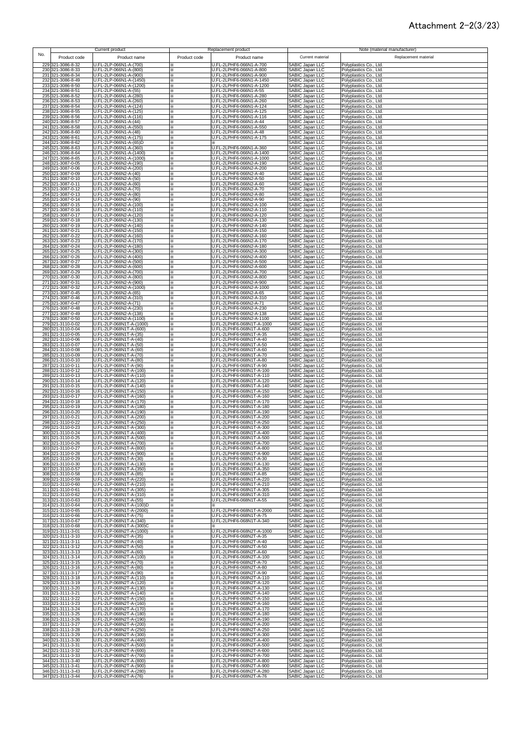### Attachment 2-2(3/23)

|            |                                        | Current product                                    | Replacement product                                                 |                                                                          | Note (material manufacturer)                     |
|------------|----------------------------------------|----------------------------------------------------|---------------------------------------------------------------------|--------------------------------------------------------------------------|--------------------------------------------------|
| No.        | Product code                           | Product name                                       | Product code<br>Product name                                        | Current material                                                         | Replacement material                             |
|            | 229 321-3086-8-32                      | U.FL-2LP-066N1-A-(700)                             | U.FL-2LPHF6-066N1-A-700                                             | SABIC Japan LLC                                                          | Polyplastics Co., Ltd.                           |
|            | 230 321-3086-8-33                      | U.FL-2LP-066N1-A-(800)                             | U.FL-2LPHF6-066N1-A-800                                             | SABIC Japan LLC                                                          | Polyplastics Co., Ltd.                           |
|            | 231 321-3086-8-34                      | U.FL-2LP-066N1-A-(900)                             | U.FL-2LPHF6-066N1-A-900                                             | SABIC Japan LLC                                                          | Polyplastics Co., Ltd.                           |
|            | 232 321-3086-8-49<br>233 321-3086-8-50 | U.FL-2LP-066N1-A-(1450)<br>U.FL-2LP-066N1-A-(1200) | U.FL-2LPHF6-066N1-A-1450<br>U.FL-2LPHF6-066N1-A-1200<br>×           | SABIC Japan LLC<br>SABIC Japan LLC                                       | Polyplastics Co., Ltd.<br>Polyplastics Co., Ltd. |
|            | 234 321-3086-8-51                      | U.FL-2LP-066N1-A-(55)                              | U.FL-2LPHF6-066N1-A-55<br>⋇                                         | SABIC Japan LLC                                                          | Polyplastics Co., Ltd.                           |
|            | 235 321-3086-8-52                      | U.FL-2LP-066N1-A-(280)                             | U.FL-2LPHF6-066N1-A-280<br>⋇                                        | SABIC Japan LLC                                                          | Polyplastics Co., Ltd.                           |
|            | 236 321-3086-8-53                      | U.FL-2LP-066N1-A-(260)<br>U.FL-2LP-066N1-A-(124)   | U.FL-2LPHF6-066N1-A-260<br>⋇                                        | SABIC Japan LLC                                                          | Polyplastics Co., Ltd.                           |
|            | 237 321-3086-8-54<br>238 321-3086-8-55 | U.FL-2LP-066N1-A-(125)                             | U.FL-2LPHF6-066N1-A-124<br>×<br>U.FL-2LPHF6-066N1-A-125             | SABIC Japan LLC<br>SABIC Japan LLC                                       | Polyplastics Co., Ltd.<br>Polyplastics Co., Ltd. |
|            | 239 321-3086-8-56                      | U.FL-2LP-066N1-A-(116)                             | U.FL-2LPHF6-066N1-A-116<br>×                                        | SABIC Japan LLC                                                          | Polyplastics Co., Ltd.                           |
|            | 240 321-3086-8-57                      | U.FL-2LP-066N1-A-(44)                              | U.FL-2LPHF6-066N1-A-44<br>×                                         | SABIC Japan LLC                                                          | Polyplastics Co., Ltd.                           |
|            | 241 321-3086-8-58                      | U.FL-2LP-066N1-A-(550)                             | U.FL-2LPHF6-066N1-A-550<br>×.                                       | SABIC Japan LLC                                                          | Polyplastics Co., Ltd.                           |
|            | 242 321-3086-8-60<br>243 321-3086-8-61 | U.FL-2LP-066N1-A-(48)<br>U.FL-2LP-066N1-A-(175)    | U.FL-2LPHF6-066N1-A-48<br>×<br>U.FL-2LPHF6-066N1-A-175<br>×.        | SABIC Japan LLC<br>SABIC Japan LLC                                       | Polyplastics Co., Ltd.<br>Polyplastics Co., Ltd. |
|            | 244 321-3086-8-62                      | U.FL-2LP-066N1-A-(65)D                             | ×                                                                   | SABIC Japan LLC                                                          | Polyplastics Co., Ltd.                           |
|            | 245 321-3086-8-63                      | U.FL-2LP-066N1-A-(360)                             | U.FL-2LPHF6-066N1-A-360<br>⋇                                        | SABIC Japan LLC                                                          | Polyplastics Co., Ltd.                           |
|            | 246 321-3086-8-64<br>247 321-3086-8-65 | U.FL-2LP-066N1-A-(1400)<br>U.FL-2LP-066N1-A-(1000) | U.FL-2LPHF6-066N1-A-1400<br>⋇<br>U.FL-2LPHF6-066N1-A-1000<br>×      | SABIC Japan LLC<br>SABIC Japan LLC                                       | Polyplastics Co., Ltd.<br>Polyplastics Co., Ltd. |
|            | 248 321-3087-0-05                      | U.FL-2LP-066N2-A-(190)                             | U.FL-2LPHF6-066N2-A-190<br>$\times$                                 | SABIC Japan LLC                                                          | Polyplastics Co., Ltd.                           |
|            | 249 321-3087-0-06                      | U.FL-2LP-066N2-A-(200)                             | U.FL-2LPHF6-066N2-A-200<br>×                                        | SABIC Japan LLC                                                          | Polyplastics Co., Ltd.                           |
|            | 250 321-3087-0-09                      | U.FL-2LP-066N2-A-(40)                              | U.FL-2LPHF6-066N2-A-40<br>×                                         | SABIC Japan LLC                                                          | Polyplastics Co., Ltd.                           |
|            | 251 321-3087-0-10<br>252 321-3087-0-11 | U.FL-2LP-066N2-A-(50)<br>U.FL-2LP-066N2-A-(60)     | U.FL-2LPHF6-066N2-A-50<br>×<br>U.FL-2LPHF6-066N2-A-60<br>⋇          | SABIC Japan LLC<br>SABIC Japan LLC                                       | Polyplastics Co., Ltd.<br>Polyplastics Co., Ltd. |
|            | 253 321-3087-0-12                      | U.FL-2LP-066N2-A-(70)                              | U.FL-2LPHF6-066N2-A-70<br>×                                         | <b>SABIC Japan LLC</b>                                                   | Polyplastics Co., Ltd.                           |
|            | 254 321-3087-0-13                      | U.FL-2LP-066N2-A-(80)                              | U.FL-2LPHF6-066N2-A-80                                              | SABIC Japan LLC<br>SABIC Japan LLC<br>SABIC Japan LLC<br>SABIC Japan LLC | Polyplastics Co., Ltd.                           |
|            | 255 321-3087-0-14<br>256 321-3087-0-15 | U.FL-2LP-066N2-A-(90)<br>U.FL-2LP-066N2-A-(100)    | U.FL-2LPHF6-066N2-A-90<br>U.FL-2LPHF6-066N2-A-100<br>×              |                                                                          | Polyplastics Co., Ltd.<br>Polyplastics Co., Ltd. |
|            | 257 321-3087-0-16                      | U.FL-2LP-066N2-A-(110)                             | J.FL-2LPHF6-066N2-A-110                                             |                                                                          | Polyplastics Co., Ltd.                           |
|            | 258 321-3087-0-17                      | U.FL-2LP-066N2-A-(120)                             | U.FL-2LPHF6-066N2-A-120<br>×.                                       | SABIC Japan LLC                                                          | Polyplastics Co., Ltd.                           |
| 259        | 321-3087-0-18                          | U.FL-2LP-066N2-A-(130)                             | U.FL-2LPHF6-066N2-A-130<br>×.                                       | SABIC Japan LLC                                                          | Polyplastics Co., Ltd.                           |
| 260<br>261 | 321-3087-0-19<br>321-3087-0-21         | U.FL-2LP-066N2-A-(140)<br>U.FL-2LP-066N2-A-(150)   | U.FL-2LPHF6-066N2-A-140<br>$\times$<br>U.FL-2LPHF6-066N2-A-150<br>⋇ | SABIC Japan LLC<br>SABIC Japan LLC                                       | Polyplastics Co., Ltd.<br>Polyplastics Co., Ltd. |
| 262        | 321-3087-0-22                          | U.FL-2LP-066N2-A-(160)                             | U.FL-2LPHF6-066N2-A-160<br>⋇                                        | SABIC Japan LLC                                                          | Polyplastics Co., Ltd.                           |
| 263        | 321-3087-0-23                          | U.FL-2LP-066N2-A-(170)                             | U.FL-2LPHF6-066N2-A-170<br>⋇                                        | <b>SABIC Japan LLC</b>                                                   | Polyplastics Co., Ltd.                           |
|            | 264 321-3087-0-24<br>265 321-3087-0-25 | U.FL-2LP-066N2-A-(180)<br>U.FL-2LP-066N2-A-(300)   | U.FL-2LPHF6-066N2-A-180<br>×.<br>U.FL-2LPHF6-066N2-A-300<br>፠       | SABIC Japan LLC<br>SABIC Japan LLC                                       | Polyplastics Co., Ltd.<br>Polyplastics Co., Ltd. |
|            | 266 321-3087-0-26                      | U.FL-2LP-066N2-A-(400)                             | U.FL-2LPHF6-066N2-A-400<br>⋇                                        | SABIC Japan LLC                                                          | Polyplastics Co., Ltd.                           |
|            | 267 321-3087-0-27                      | U.FL-2LP-066N2-A-(500)                             | U.FL-2LPHF6-066N2-A-500<br>⋇                                        | SABIC Japan LLC                                                          | Polyplastics Co., Ltd.                           |
|            | 268 321-3087-0-28                      | U.FL-2LP-066N2-A-(600)                             | U.FL-2LPHF6-066N2-A-600<br>⋇                                        | SABIC Japan LLC                                                          | Polyplastics Co., Ltd.                           |
|            | 269 321-3087-0-29<br>270 321-3087-0-30 | U.FL-2LP-066N2-A-(700)<br>U.FL-2LP-066N2-A-(800)   | U.FL-2LPHF6-066N2-A-700<br>⋇<br>U.FL-2LPHF6-066N2-A-800<br>⋇        | SABIC Japan LLC<br>SABIC Japan LLC                                       | Polyplastics Co., Ltd.<br>Polyplastics Co., Ltd. |
|            | 271 321-3087-0-31                      | U.FL-2LP-066N2-A-(900)                             | U.FL-2LPHF6-066N2-A-900<br>×                                        | SABIC Japan LLC                                                          | Polyplastics Co., Ltd.                           |
|            | 272 321-3087-0-32                      | U.FL-2LP-066N2-A-(1000)                            | U.FL-2LPHF6-066N2-A-1000<br>×                                       | SABIC Japan LLC                                                          | Polyplastics Co., Ltd.                           |
|            | 273 321-3087-0-45<br>274 321-3087-0-46 | U.FL-2LP-066N2-A-(65)<br>U.FL-2LP-066N2-A-(310)    | J.FL-2LPHF6-066N2-A-65<br>$\times$<br>J.FL-2LPHF6-066N2-A-310<br>×  | <b>SABIC Japan LLC</b><br>SABIC Japan LLC                                | Polyplastics Co., Ltd.<br>Polyplastics Co., Ltd. |
|            | 275 321-3087-0-47                      | U.FL-2LP-066N2-A-(71)                              | U.FL-2LPHF6-066N2-A-71<br>×                                         | SABIC Japan LLC                                                          | Polyplastics Co., Ltd.                           |
|            | 276 321-3087-0-48                      | U.FL-2LP-066N2-A-(230)                             | U.FL-2LPHF6-066N2-A-230<br>×                                        | SABIC Japan LLC                                                          | Polyplastics Co., Ltd.                           |
|            | 277 321-3087-0-49                      | U.FL-2LP-066N2-A-(138)                             | U.FL-2LPHF6-066N2-A-138<br>×.                                       | SABIC Japan LLC                                                          | Polyplastics Co., Ltd.                           |
|            | 278 321-3087-0-50<br>279 321-3110-0-02 | U.FL-2LP-066N2-A-(1100)<br>U.FL-2LP-068N1T-A-(1000 | U.FL-2LPHF6-066N2-A-1100<br>⋇<br>U.FL-2LPHF6-068N1T-A-1000          | SABIC Japan LLC<br>SABIC Japan LLC                                       | Polyplastics Co., Ltd.<br>Polyplastics Co., Ltd. |
|            | 280 321-3110-0-04                      | U.FL-2LP-068N1T-A-(600)                            | J.FL-2LPHF6-068N1T-A-600                                            | SABIC Japan LLC                                                          | Polyplastics Co., Ltd.                           |
|            | 281 321-3110-0-05                      | U.FL-2LP-068N1T-A-(35)                             | J.FL-2LPHF6-068N1T-A-35                                             | SABIC Japan LLC                                                          | Polyplastics Co., Ltd.                           |
|            | 282 321-3110-0-06<br>283 321-3110-0-07 | U.FL-2LP-068N1T-A-(40)<br>U.FL-2LP-068N1T-A-(50)   | J.FL-2LPHF6-068N1T-A-40<br>U.FL-2LPHF6-068N1T-A-50<br>×             | SABIC Japan LLC<br>SABIC Japan LLC                                       | Polyplastics Co., Ltd.<br>Polyplastics Co., Ltd. |
|            | 284 321-3110-0-08                      | U.FL-2LP-068N1T-A-(60)                             | U.FL-2LPHF6-068N1T-A-60<br>⋇                                        | SABIC Japan LLC                                                          | Polyplastics Co., Ltd.                           |
|            | 285 321-3110-0-09                      | U.FL-2LP-068N1T-A-(70)                             | U.FL-2LPHF6-068N1T-A-70<br>×.                                       | SABIC Japan LLC                                                          | Polyplastics Co., Ltd.                           |
| 286<br>287 | 321-3110-0-10                          | U.FL-2LP-068N1T-A-(80)                             | U.FL-2LPHF6-068N1T-A-80<br>$\times$<br>×                            | <b>SABIC Japan LLC</b>                                                   | Polyplastics Co., Ltd.                           |
|            | 321-3110-0-11<br>288 321-3110-0-12     | U.FL-2LP-068N1T-A-(90)<br>U.FL-2LP-068N1T-A-(100)  | U.FL-2LPHF6-068N1T-A-90<br>U.FL-2LPHF6-068N1T-A-100<br>×            | SABIC Japan LLC<br>SABIC Japan LLC                                       | Polyplastics Co., Ltd.<br>Polyplastics Co., Ltd. |
|            | 289 321-3110-0-13                      | U.FL-2LP-068N1T-A-(110)                            | U.FL-2LPHF6-068N1T-A-110<br>×.                                      | SABIC Japan LLC                                                          | Polyplastics Co., Ltd.                           |
|            | 290 321-3110-0-14<br>291 321-3110-0-15 | U.FL-2LP-068N1T-A-(120)<br>U.FL-2LP-068N1T-A-(140) | U.FL-2LPHF6-068N1T-A-120<br>፠<br>U.FL-2LPHF6-068N1T-A-140<br>፠      | SABIC Japan LLC<br>SABIC Japan LLC                                       | Polyplastics Co., Ltd.<br>Polyplastics Co., Ltd. |
|            | 292 321-3110-0-16                      | U.FL-2LP-068N1T-A-(150)                            | U.FL-2LPHF6-068N1T-A-150<br>×.                                      | SABIC Japan LLC                                                          | Polyplastics Co., Ltd.                           |
|            | 293 321-3110-0-17                      | U.FL-2LP-068N1T-A-(160)                            | U.FL-2LPHF6-068N1T-A-160<br>×.                                      | SABIC Japan LLC                                                          | Polyplastics Co., Ltd.                           |
|            | 294 321-3110-0-18                      | U.FL-2LP-068N1T-A-(170)                            | U.FL-2LPHF6-068N1T-A-170<br>⋇                                       | SABIC Japan LLC                                                          | Polyplastics Co., Ltd.                           |
|            | 295 321-3110-0-19<br>296 321-3110-0-20 | U.FL-2LP-068N1T-A-(180)<br>U.FL-2LP-068N1T-A-(190) | U.FL-2LPHF6-068N1T-A-180<br>U.FL-2LPHF6-068N1T-A-190<br>⋇           | SABIC Japan LLC<br>SABIC Japan LLC                                       | Polyplastics Co., Ltd.<br>Polyplastics Co., Ltd. |
|            | 297 321-3110-0-21                      | U.FL-2LP-068N1T-A-(200)                            | U.FL-2LPHF6-068N1T-A-200<br>⋇                                       | SABIC Japan LLC                                                          | Polyplastics Co., Ltd.                           |
|            | 298 321-3110-0-22                      | U.FL-2LP-068N1T-A-(250)                            | U.FL-2LPHF6-068N1T-A-250<br>⋇                                       | SABIC Japan LLC                                                          | Polyplastics Co., Ltd.                           |
|            | 299 321-3110-0-23<br>300 321-3110-0-24 | U.FL-2LP-068N1T-A-(300)<br>U.FL-2LP-068N1T-A-(400) | U.FL-2LPHF6-068N1T-A-300<br>×<br>U.FL-2LPHF6-068N1T-A-400<br>⋇      | <b>SABIC Japan LLC</b><br>SABIC Japan LLC                                | Polyplastics Co., Ltd.<br>Polyplastics Co., Ltd. |
|            | 301 321-3110-0-25                      | U.FL-2LP-068N1T-A-(500)                            | U.FL-2LPHF6-068N1T-A-500                                            | SABIC Japan LLC                                                          | Polyplastics Co., Ltd.                           |
|            | 302 321-3110-0-26                      | U.FL-2LP-068N1T-A-(700)                            | U.FL-2LPHF6-068N1T-A-700                                            | SABI <u>C Japan LLC</u>                                                  | Polyplastics Co., Ltd.                           |
|            | 303 321-3110-0-27<br>304 321-3110-0-28 | U.FL-2LP-068N1T-A-(800)<br>U.FL-2LP-068N1T-A-(900) | U.FL-2LPHF6-068N1T-A-800<br>⋇<br>U.FL-2LPHF6-068N1T-A-900<br>⋇      | SABIC Japan LLC<br>SABIC Japan LLC                                       | Polyplastics Co., Ltd.<br>Polyplastics Co., Ltd. |
|            | 305 321-3110-0-29                      | U.FL-2LP-068N1T-A-(30)                             | U.FL-2LPHF6-068N1T-A-30<br>×.                                       | SABIC Japan LLC<br>SABIC Japan LLC                                       | Polyplastics Co., Ltd.                           |
|            | 306 321-3110-0-30                      | U.FL-2LP-068N1T-A-(130)                            | U.FL-2LPHF6-068N1T-A-130<br>⋇                                       | SABIC Japan LLC                                                          | Polyplastics Co., Ltd.                           |
|            | 307 321-3110-0-57<br>308 321-3110-0-58 | U.FL-2LP-068N1T-A-(350)<br>U.FL-2LP-068N1T-A-(85)  | U.FL-2LPHF6-068N1T-A-350<br>⋇<br>U.FL-2LPHF6-068N1T-A-85<br>⋇       | SABIC Japan LLC                                                          | Polyplastics Co., Ltd.<br>Polyplastics Co., Ltd. |
|            | 309 321-3110-0-59                      | U.FL-2LP-068N1T-A-(220)                            | U.FL-2LPHF6-068N1T-A-220<br>⋇                                       | SABIC Japan LLC                                                          | Polyplastics Co., Ltd.                           |
|            | 310 321-3110-0-60                      | U.FL-2LP-068N1T-A-(210)                            | U.FL-2LPHF6-068N1T-A-210<br>⋇<br>U.FL-2LPHF6-068N1T-A-305           | SABIC Japan LLC                                                          | Polyplastics Co., Ltd.                           |
|            | 311 321-3110-0-61<br>312 321-3110-0-62 | U.FL-2LP-068N1T-A-(305)<br>U.FL-2LP-068N1T-A-(310) | ×<br>⋇<br>U.FL-2LPHF6-068N1T-A-310                                  | <b>SABIC Japan LLC</b><br><b>SABIC Japan LLC</b>                         | Polyplastics Co., Ltd.<br>Polyplastics Co., Ltd. |
|            | 313 321-3110-0-63                      | U.FL-2LP-068N1T-A-(55)                             | U.FL-2LPHF6-068N1T-A-55<br>⋇                                        | SABIC Japan LLC                                                          | Polyplastics Co., Ltd.                           |
|            | 314 321-3110-0-64                      | U.FL-2LP-068N1T-A-(100)D                           | ⋇                                                                   | SABIC Japan LLC                                                          | Polyplastics Co., Ltd.                           |
|            | 315 321-3110-0-65<br>316 321-3110-0-66 | U.FL-2LP-068N1T-A-(2000)<br>U.FL-2LP-068N1T-A-(75) | U.FL-2LPHF6-068N1T-A-2000<br>⋇<br>U.FL-2LPHF6-068N1T-A-75<br>⋇      | SABIC Japan LLC<br>SABIC Japan LLC                                       | Polyplastics Co., Ltd.<br>Polyplastics Co., Ltd. |
|            | 317 321-3110-0-67                      | U.FL-2LP-068N1T-A-(340)                            | U.FL-2LPHF6-068N1T-A-340<br>×.                                      | SABIC Japan LLC                                                          | Polyplastics Co., Ltd.                           |
|            | 318 321-3110-0-68                      | U.FL-2LP-068N1T-A-(300)C                           | ⋇                                                                   | SABIC Japan LLC                                                          | Polyplastics Co., Ltd.                           |
|            | 319 321-3111-3-01<br>320 321-3111-3-10 | U.FL-2LP-068N2T-A-(1000)<br>U.FL-2LP-068N2T-A-(35) | U.FL-2LPHF6-068N2T-A-1000<br>⋇<br>U.FL-2LPHF6-068N2T-A-35           | SABIC Japan LLC                                                          | Polyplastics Co., Ltd.                           |
|            | 321 321-3111-3-11                      | U.FL-2LP-068N2T-A-(40)                             | ⋇<br>U.FL-2LPHF6-068N2T-A-40<br>⋇                                   | SABIC Japan LLC<br>SABIC Japan LLC                                       | Polyplastics Co., Ltd.<br>Polyplastics Co., Ltd. |
|            | 322 321-3111-3-12                      | U.FL-2LP-068N2T-A-(50)                             | U.FL-2LPHF6-068N2T-A-50<br>×                                        | SABIC Japan LLC                                                          | Polyplastics Co., Ltd.                           |
|            | 323 321-3111-3-13                      | U.FL-2LP-068N2T-A-(60)                             | U.FL-2LPHF6-068N2T-A-60<br>×                                        | SABIC Japan LLC                                                          | Polyplastics Co., Ltd.                           |
|            | 324 321-3111-3-14<br>325 321-3111-3-15 | U.FL-2LP-068N2T-A-(100)<br>U.FL-2LP-068N2T-A-(70)  | U.FL-2LPHF6-068N2T-A-100<br>×<br>U.FL-2LPHF6-068N2T-A-70<br>×       | SABIC Japan LLC<br>SABIC Japan LLC                                       | Polyplastics Co., Ltd.<br>Polyplastics Co., Ltd. |
|            | 326 321-3111-3-16                      | U.FL-2LP-068N2T-A-(80)                             | U.FL-2LPHF6-068N2T-A-80<br>×                                        | SABIC Japan LLC                                                          | Polyplastics Co., Ltd.                           |
|            | 327 321-3111-3-17                      | U.FL-2LP-068N2T-A-(90)                             | U.FL-2LPHF6-068N2T-A-90<br>⋇                                        | SABIC Japan LLC                                                          | Polyplastics Co., Ltd.                           |
|            | 328 321-3111-3-18<br>329 321-3111-3-19 | U.FL-2LP-068N2T-A-(110)<br>U.FL-2LP-068N2T-A-(120) | U.FL-2LPHF6-068N2T-A-110<br>⋇<br>U.FL-2LPHF6-068N2T-A-120<br>⋇      | SABIC Japan LLC<br>SABIC Japan LLC                                       | Polyplastics Co., Ltd.<br>Polyplastics Co., Ltd. |
|            | 330 321-3111-3-20                      | U.FL-2LP-068N2T-A-(130)                            | U.FL-2LPHF6-068N2T-A-130<br>×                                       | SABIC Japan LLC                                                          | Polyplastics Co., Ltd.                           |
|            | 331 321-3111-3-21                      | U.FL-2LP-068N2T-A-(140)                            | U.FL-2LPHF6-068N2T-A-140<br>×                                       | SABIC Japan LLC                                                          | Polyplastics Co., Ltd.                           |
|            | 332 321-3111-3-22<br>333 321-3111-3-23 | U.FL-2LP-068N2T-A-(150)<br>U.FL-2LP-068N2T-A-(160) | U.FL-2LPHF6-068N2T-A-150<br>⋇<br>U.FL-2LPHF6-068N2T-A-160<br>⋇      | SABIC Japan LLC<br>SABIC Japan LLC                                       | Polyplastics Co., Ltd.<br>Polyplastics Co., Ltd. |
|            | 334 321-3111-3-24                      | U.FL-2LP-068N2T-A-(170)                            | U.FL-2LPHF6-068N2T-A-170<br>⋇                                       | SABIC Japan LLC                                                          | Polyplastics Co., Ltd.                           |
|            | 335 321-3111-3-25                      | U.FL-2LP-068N2T-A-(180)                            | U.FL-2LPHF6-068N2T-A-180<br>⋇                                       | SABIC Japan LLC                                                          | Polyplastics Co., Ltd.                           |
|            | 336 321-3111-3-26<br>337 321-3111-3-27 | U.FL-2LP-068N2T-A-(190)<br>U.FL-2LP-068N2T-A-(200) | U.FL-2LPHF6-068N2T-A-190<br>×.<br>×<br>U.FL-2LPHF6-068N2T-A-200     | SABIC Japan LLC<br>SABIC Japan LLC                                       | Polyplastics Co., Ltd.<br>Polyplastics Co., Ltd. |
|            | 338 321-3111-3-28                      | U.FL-2LP-068N2T-A-(250)                            | ⋇<br>U.FL-2LPHF6-068N2T-A-250                                       | <b>SABIC Japan LLC</b>                                                   | Polyplastics Co., Ltd.                           |
|            | 339 321-3111-3-29                      | U.FL-2LP-068N2T-A-(300)                            | U.FL-2LPHF6-068N2T-A-300<br>⋇                                       | <b>SABIC Japan LLC</b>                                                   | Polyplastics Co., Ltd.                           |
|            | 340 321-3111-3-30<br>341 321-3111-3-31 | U.FL-2LP-068N2T-A-(400)<br>U.FL-2LP-068N2T-A-(500) | U.FL-2LPHF6-068N2T-A-400<br>⋇<br>U.FL-2LPHF6-068N2T-A-500<br>X.     | SABIC Japan LLC<br>SABIC Japan LLC                                       | Polyplastics Co., Ltd.<br>Polyplastics Co., Ltd. |
|            | 342 321-3111-3-32                      | U.FL-2LP-068N2T-A-(600)                            | U.FL-2LPHF6-068N2T-A-600<br>X.                                      | SABIC Japan LLC                                                          | Polyplastics Co., Ltd.                           |
|            | 343 321-3111-3-33                      | U.FL-2LP-068N2T-A-(700)                            | U.FL-2LPHF6-068N2T-A-700<br>⋇                                       | SABIC Japan LLC                                                          | Polyplastics Co., Ltd.                           |
|            | 344 321-3111-3-40                      | U.FL-2LP-068N2T-A-(800)                            | U.FL-2LPHF6-068N2T-A-800<br>×                                       | SABIC Japan LLC                                                          | Polyplastics Co., Ltd.                           |
|            | 345 321-3111-3-41<br>346 321-3111-3-43 | U.FL-2LP-068N2T-A-(900)<br>U.FL-2LP-068N2T-A-(280) | U.FL-2LPHF6-068N2T-A-900<br>⋇<br>U.FL-2LPHF6-068N2T-A-280<br>⋇      | SABIC Japan LLC<br>SABIC Japan LLC                                       | Polyplastics Co., Ltd.<br>Polyplastics Co., Ltd. |
|            | 347 321-3111-3-44                      | U.FL-2LP-068N2T-A-(76)                             | U.FL-2LPHF6-068N2T-A-76<br>×                                        | SABIC Japan LLC                                                          | Polyplastics Co., Ltd.                           |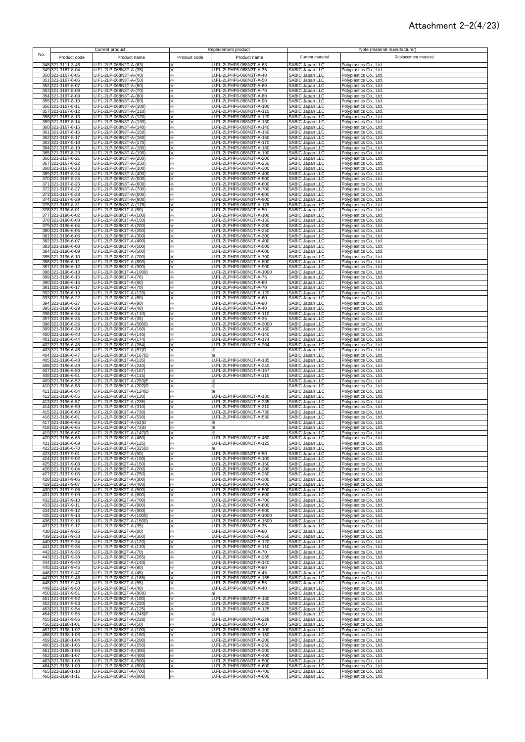### Attachment 2-2(4/23)

| 348 321-3111-3-46<br>U.FL-2LP-068N2T-A-(63)<br>U.FL-2LPHF6-068N2T-A-63<br><b>SABIC Japan LLC</b><br>Polyplastics Co., Ltd.<br>349 321-3167-8-04<br>U.FL-2LP-068N3T-A-(35)<br>U.FL-2LPHF6-068N3T-A-35<br>SABIC Japan LLC<br>Polyplastics Co., Ltd.<br>×<br>350 321-3167-8-05<br>U.FL-2LP-068N3T-A-(40)<br>U.FL-2LPHF6-068N3T-A-40<br>SABIC Japan LLC<br>SABIC Japan LLC<br>SABIC Japan LLC<br>SABIC Japan LLC<br>SABIC Japan LLC<br>Polyplastics Co., Ltd.<br>×<br>351 321-3167-8-06<br>U.FL-2LP-068N3T-A-(50)<br>U.FL-2LPHF6-068N3T-A-50<br>Polyplastics Co., Ltd.<br>352 321-3167-8-07<br>U.FL-2LP-068N3T-A-(60)<br>U.FL-2LPHF6-068N3T-A-60<br>Polyplastics Co., Ltd.<br>×<br>353 321-3167-8-08<br>U.FL-2LP-068N3T-A-(70)<br>U.FL-2LPHF6-068N3T-A-70<br>Polyplastics Co., Ltd.<br>×<br>U.FL-2LP-068N3T-A-(80)<br>U.FL-2LPHF6-068N3T-A-80<br>354 321-3167-8-09<br>Polyplastics Co., Ltd.<br>×<br>SABIC Japan LLC<br>355 321-3167-8-10<br>U.FL-2LP-068N3T-A-(90)<br>U.FL-2LPHF6-068N3T-A-90<br>Polyplastics Co., Ltd.<br>×<br>U.FL-2LP-068N3T-A-(100)<br>SABIC Japan LLC<br>356 321-3167-8-11<br>U.FL-2LPHF6-068N3T-A-100<br>Polyplastics Co., Ltd.<br>×<br>SABIC Japan LLC<br>U.FL-2LP-068N3T-A-(110)<br>U.FL-2LPHF6-068N3T-A-110<br>357 321-3167-8-12<br>Polyplastics Co., Ltd.<br>×<br>SABIC Japan LLC<br>358 321-3167-8-13<br>U.FL-2LP-068N3T-A-(120)<br>U.FL-2LPHF6-068N3T-A-120<br>Polyplastics Co., Ltd.<br>×<br>SABIC Japan LLC<br>359 321-3167-8-14<br>U.FL-2LP-068N3T-A-(130)<br>U.FL-2LPHF6-068N3T-A-130<br>Polyplastics Co., Ltd.<br>⋇<br>U.FL-2LP-068N3T-A-(140)<br><b>SABIC Japan LLC</b><br>321-3167-8-15<br>U.FL-2LPHF6-068N3T-A-140<br>Polyplastics Co., Ltd.<br>360<br>×<br>361 321-3167-8-16<br>U.FL-2LP-068N3T-A-(150)<br>U.FL-2LPHF6-068N3T-A-150<br>SABIC Japan LLC<br>Polyplastics Co., Ltd.<br>⋇<br>U.FL-2LP-068N3T-A-(160)<br>U.FL-2LPHF6-068N3T-A-160<br>SABIC Japan LLC<br>362 321-3167-8-17<br>×.<br>Polyplastics Co., Ltd.<br>363 321-3167-8-18<br>U.FL-2LP-068N3T-A-(170)<br>U.FL-2LPHF6-068N3T-A-170<br>SABIC Japan LLC<br>×.<br>Polyplastics Co., Ltd.<br>U.FL-2LP-068N3T-A-(180)<br>364 321-3167-8-19<br>U.FL-2LPHF6-068N3T-A-180<br>SABIC Japan LLC<br>Polyplastics Co., Ltd.<br>⋇<br>365 321-3167-8-20<br>U.FL-2LP-068N3T-A-(190)<br>U.FL-2LPHF6-068N3T-A-190<br>SABIC Japan LLC<br>Polyplastics Co., Ltd.<br>×<br>U.FL-2LP-068N3T-A-(200)<br>366 321-3167-8-21<br>U.FL-2LPHF6-068N3T-A-200<br>SABIC Japan LLC<br>Polyplastics Co., Ltd.<br>×<br>367 321-3167-8-22<br>U.FL-2LP-068N3T-A-(250)<br>U.FL-2LPHF6-068N3T-A-250<br>SABIC Japan LLC<br>Polyplastics Co., Ltd.<br>⋇<br>U.FL-2LP-068N3T-A-(300)<br>SABIC Japan LLC<br>368 321-3167-8-23<br>U.FL-2LPHF6-068N3T-A-300<br>⋇<br>Polyplastics Co., Ltd.<br>U.FL-2LP-068N3T-A-(400)<br>SABIC Japan LLC<br>369 321-3167-8-24<br>U.FL-2LPHF6-068N3T-A-400<br>Polyplastics Co., Ltd.<br>⋇<br>U.FL-2LP-068N3T-A-(500)<br>370 321-3167-8-25<br>J.FL-2LPHF6-068N3T-A-500<br>SABIC Japan LLC<br>Polyplastics Co., Ltd.<br>×<br>371 321-3167-8-26<br>U.FL-2LP-068N3T-A-(600)<br>J.FL-2LPHF6-068N3T-A-600<br>SABIC Japan LLC<br>Polyplastics Co., Ltd.<br>U.FL-2LP-068N3T-A-(700)<br>U.FL-2LPHF6-068N3T-A-700<br>SABIC Japan LLC<br>372 321-3167-8-27<br>Polyplastics Co., Ltd.<br>373 321-3167-8-28<br>U.FL-2LP-068N3T-A-(800)<br>U.FL-2LPHF6-068N3T-A-800<br>SABIC Japan LLC<br>Polyplastics Co., Ltd.<br>X<br>374 321-3167-8-29<br>U.FL-2LP-068N3T-A-(900)<br>U.FL-2LPHF6-068N3T-A-900<br>SABIC Japan LLC<br>Polyplastics Co., Ltd.<br>⋇<br>375 321-3167-8-31<br>U.FL-2LP-068N3T-A-(178)<br>U.FL-2LPHF6-068N3T-A-178<br>SABIC Japan LLC<br>Polyplastics Co., Ltd.<br>⋇<br>321-3196-6-01<br>U.FL-2LP-088K1T-A-(50)<br>U.FL-2LPHF6-088N1T-A-50<br><b>SABIC Japan LLC</b><br>Polyplastics Co., Ltd.<br>376<br>U.FL-2LP-088K1T-A-(100)<br>377 321-3196-6-02<br>U.FL-2LPHF6-088N1T-A-100<br>SABIC Japan LLC<br>Polyplastics Co., Ltd.<br>U.FL-2LP-088K1T-A-(150)<br>SABIC Japan LLC<br>378<br>321-3196-6-03<br>J.FL-2LPHF6-088N1T-A-150<br>Polyplastics Co., Ltd.<br>SABIC Japan LLC<br>379 321-3196-6-04<br>U.FL-2LP-088K1T-A-(200)<br>J.FL-2LPHF6-088N1T-A-200<br>Polyplastics Co., Ltd.<br>SABIC Japan LLC<br>U.FL-2LPHF6-088N1T-A-250<br>U.FL-2LP-088K1T-A-(250)<br>380 321-3196-6-05<br>×<br>Polyplastics Co., Ltd.<br>U.FL-2LP-088K1T-A-(300)<br>SABIC Japan LLC<br>381 321-3196-6-06<br>U.FL-2LPHF6-088N1T-A-300<br>Polyplastics Co., Ltd.<br>⋇<br>SABIC Japan LLC<br>U.FL-2LP-088K1T-A-(400)<br>U.FL-2LPHF6-088N1T-A-400<br>321-3196-6-07<br>382<br>×.<br>Polyplastics Co., Ltd.<br>383<br>321-3196-6-08<br>U.FL-2LP-088K1T-A-(500)<br>U.FL-2LPHF6-088N1T-A-500<br>SABIC Japan LLC<br>⋇<br>Polyplastics Co., Ltd.<br>384 321-3196-6-09<br>U.FL-2LP-088K1T-A-(600)<br>U.FL-2LPHF6-088N1T-A-600<br>SABIC Japan LLC<br>Polyplastics Co., Ltd.<br>⋇<br>385 321-3196-6-10<br>U.FL-2LP-088K1T-A-(700)<br>U.FL-2LPHF6-088N1T-A-700<br>SABIC Japan LLC<br>Polyplastics Co., Ltd.<br>⋇<br>386 321-3196-6-11<br>U.FL-2LP-088K1T-A-(800)<br>U.FL-2LPHF6-088N1T-A-800<br>SABIC Japan LLC<br>⋇<br>Polyplastics Co., Ltd.<br>387 321-3196-6-12<br>U.FL-2LP-088K1T-A-(900)<br>U.FL-2LPHF6-088N1T-A-900<br>SABIC Japan LLC<br>⋇<br>Polyplastics Co., Ltd.<br>388 321-3196-6-13<br>U.FL-2LP-088K1T-A-(1000)<br>U.FL-2LPHF6-088N1T-A-1000<br>SABIC Japan LLC<br>Polyplastics Co., Ltd.<br>⋇<br>389 321-3196-6-15<br>U.FL-2LP-088K1T-A-(76)<br>U.FL-2LPHF6-088N1T-A-76<br><b>SABIC Japan LLC</b><br>Polyplastics Co., Ltd.<br>⋇<br>U.FL-2LP-088K1T-A-(80)<br>390 321-3196-6-16<br>U.FL-2LPHF6-088N1T-A-80<br>SABIC Japan LLC<br>Polyplastics Co., Ltd.<br>⋇<br>U.FL-2LP-088K1T-A-(70)<br>SABIC Japan LLC<br>391 321-3196-6-17<br>U.FL-2LPHF6-088N1T-A-70<br>Polyplastics Co., Ltd.<br>⋇<br>SABIC Japan LLC<br>392 321-3196-6-19<br>U.FL-2LP-088K1T-A-(120)<br>U.FL-2LPHF6-088N1T-A-120<br>×<br>Polyplastics Co., Ltd.<br>U.FL-2LP-088K1T-A-(60)<br>U.FL-2LPHF6-088N1T-A-60<br>SABIC Japan LLC<br>393 321-3196-6-22<br>Polyplastics Co., Ltd.<br>⋇<br>U.FL-2LP-088K1T-A-(90)<br>U.FL-2LPHF6-088N1T-A-90<br>SABIC Japan LLC<br>394 321-3196-6-27<br>Polyplastics Co., Ltd.<br>⋇<br>SABIC Japan LLC<br>395 321-3196-6-29<br>U.FL-2LP-088K1T-A-(40)<br>U.FL-2LPHF6-088N1T-A-40<br>Polyplastics Co., Ltd.<br>⋇<br>U.FL-2LP-088K1T-A-(110)<br>U.FL-2LPHF6-088N1T-A-110<br>SABIC Japan LLC<br>396 321-3196-6-34<br>Polyplastics Co., Ltd.<br>⋇<br>397 321-3196-6-35<br>U.FL-2LP-088K1T-A-(35)<br>J.FL-2LPHF6-088N1T-A-35<br>SABIC Japan LLC<br>Polyplastics Co., Ltd.<br>⋇<br>SABIC Japan LLC<br>398 321-3196-6-36<br>U.FL-2LP-088K1T-A-(5000)<br>J.FL-2LPHF6-088N1T-A-3000<br>Polyplastics Co., Ltd.<br>×<br>U.FL-2LP-088K1T-A-(160)<br>U.FL-2LPHF6-088N1T-A-160<br>SABIC Japan LLC<br>399 321-3196-6-39<br>Polyplastics Co., Ltd.<br>×<br>400 321-3196-6-40<br>U.FL-2LP-088K1T-A-(140)<br>U.FL-2LPHF6-088N1T-A-140<br>SABIC Japan LLC<br>Polyplastics Co., Ltd.<br>×<br>401 321-3196-6-44<br>U.FL-2LP-088K1T-A-(174)<br>U.FL-2LPHF6-088N1T-A-174<br>SABIC Japan LLC<br>Polyplastics Co., Ltd.<br>U.FL-2LPHF6-088N1T-A-264<br>SABIC Japan LLC<br>402 321-3196-6-45<br>U.FL-2LP-088K1T-A-(264)<br>Polyplastics Co., Ltd.<br>SABIC Japan LLC<br>403 321-3196-6-46<br>U.FL-2LP-088K1T-A-(87)D<br>Polyplastics Co., Ltd.<br>×<br>SABIC Japan LLC<br>U.FL-2LP-088K1T-A-(167)D<br>404 321-3196-6-47<br>Polyplastics Co., Ltd.<br>SABIC Japan LLC<br>U.FL-2LP-088K1T-A-(135)<br>405 321-3196-6-48<br>J.FL-2LPHF6-088N1T-A-135<br>Polyplastics Co., Ltd.<br>U.FL-2LP-088K1T-A-(240)<br>SABIC Japan LLC<br>406 321-3196-6-49<br>U.FL-2LPHF6-088N1T-A-240<br>Polyplastics Co., Ltd.<br>×<br>SABIC Japan LLC<br>U.FL-2LP-088K1T-A-(167)<br>U.FL-2LPHF6-088N1T-A-167<br>407 321-3196-6-50<br>Polyplastics Co., Ltd.<br>×<br>U.FL-2LPHF6-088N1T-A-115<br>SABIC Japan LLC<br>408 321-3196-6-51<br>U.FL-2LP-088K1T-A-(115)<br>Polyplastics Co., Ltd.<br>$\times$<br>SABIC Japan LLC<br>409 321-3196-6-52<br>U.FL-2LP-088K1T-A-(253)E<br>Polyplastics Co., Ltd.<br>⋇<br>SABIC Japan LLC<br>410 321-3196-6-53<br>U.FL-2LP-088K1T-A-(202)D<br>Polyplastics Co., Ltd.<br>×<br>U.FL-2LP-088K1T-A-(124)D<br>SABIC Japan LLC<br>411 321-3196-6-54<br>Polyplastics Co., Ltd.<br>⋇<br>412 321-3196-6-55<br>U.FL-2LP-088K1T-A-(130)<br>U.FL-2LPHF6-088N1T-A-130<br>SABIC Japan LLC<br>×.<br>Polyplastics Co., Ltd.<br>413 321-3196-6-57<br>U.FL-2LP-088K1T-A-(235)<br>U.FL-2LPHF6-088N1T-A-235<br>SABIC Japan LLC<br>×.<br>Polyplastics Co., Ltd.<br>414 321-3196-6-59<br>U.FL-2LP-088K1T-A-(310)<br>U.FL-2LPHF6-088N1T-A-310<br>SABIC Japan LLC<br>×.<br>Polyplastics Co., Ltd.<br>415 321-3196-6-60<br>U.FL-2LP-088K1T-A-(730)<br>U.FL-2LPHF6-088N1T-A-730<br>SABIC Japan LLC<br>Polyplastics Co., Ltd.<br>×<br>416 321-3196-6-61<br>U.FL-2LP-088K1T-A-(530)<br>U.FL-2LPHF6-088N1T-A-530<br>SABIC Japan LLC<br>Polyplastics Co., Ltd.<br>×<br>417 321-3196-6-65<br>U.FL-2LP-088K1T-A-(62)D<br>SABIC Japan LLC<br>Polyplastics Co., Ltd.<br>×<br>U.FL-2LP-088K1T-A-(72)D<br>SABIC Japan LLC<br>418 321-3196-6-66<br>⋇<br>Polyplastics Co., Ltd.<br>×<br>U.FL-2LP-088K1T-A-(147)D<br>419 321-3196-6-67<br>SABIC Japan LLC<br>Polyplastics Co., Ltd.<br>⋇<br>U.FL-2LP-088K1T-A-(460)<br>U.FL-2LPHF6-088N1T-A-460<br>SABIC Japan LLC<br>420 321-3196-6-68<br>Polyplastics Co., Ltd.<br>×<br>421 321-3196-6-69<br>U.FL-2LP-088K11-A-(125)<br>U.FL-2LPHF6-088N11-A-125<br>SABIC Japan LLL<br>Polyplastics Co., Ltd.<br>422 321-3196-6-70<br>U.FL-2LP-088K1T-A-(325)D<br>SABIC Japan LLC<br>Polyplastics Co., Ltd.<br>⋇<br>423 321-3197-9-01<br>U.FL-2LPHF6-088N2T-A-50<br>U.FL-2LP-088K2T-A-(50)<br>SABIC Japan LLC<br>Polyplastics Co., Ltd.<br>×<br>U.FL-2LP-088K2T-A-(100)<br>424 321-3197-9-02<br>U.FL-2LPHF6-088N2T-A-100<br><b>SABIC Japan LLC</b><br>Polyplastics Co., Ltd.<br>⋇<br>U.FL-2LP-088K2T-A-(150)<br>425 321-3197-9-03<br>U.FL-2LPHF6-088N2T-A-150<br>SABIC Japan LLC<br>Polyplastics Co., Ltd.<br>⋇<br>SABIC Japan LLC<br>426 321-3197-9-04<br>U.FL-2LP-088K2T-A-(200)<br>U.FL-2LPHF6-088N2T-A-200<br>Polyplastics Co., Ltd.<br>⋇<br>SABIC Japan LLC<br>U.FL-2LP-088K2T-A-(250)<br>427 321-3197-9-05<br>U.FL-2LPHF6-088N2T-A-250<br>Polyplastics Co., Ltd.<br>×<br>SABIC Japan LLC<br>U.FL-2LP-088K2T-A-(300)<br>428 321-3197-9-06<br>U.FL-2LPHF6-088N2T-A-300<br>Polyplastics Co., Ltd.<br>SABIC Japan LLC<br>429 321-3197-9-07<br>U.FL-2LP-088K2T-A-(400)<br>U.FL-2LPHF6-088N2T-A-400<br>Polyplastics Co., Ltd.<br>×<br>430 321-3197-9-08<br>SABIC Japan LLC<br>U.FL-2LP-088K2T-A-(500)<br>U.FL-2LPHF6-088N2T-A-500<br>Polyplastics Co., Ltd.<br>⋇<br>SABIC Japan LLC<br>431 321-3197-9-09<br>U.FL-2LP-088K2T-A-(600)<br>U.FL-2LPHF6-088N2T-A-600<br>Polyplastics Co., Ltd.<br>⋇<br>432 321-3197-9-10<br>U.FL-2LP-088K2T-A-(700)<br>U.FL-2LPHF6-088N2T-A-700<br><b>SABIC Japan LLC</b><br>Polyplastics Co., Ltd.<br>⋇<br>321-3197-9-11<br>U.FL-2LP-088K2T-A-(800)<br>U.FL-2LPHF6-088N2T-A-800<br>SABIC Japan LLC<br>433<br>⋇<br>Polyplastics Co., Ltd.<br>U.FL-2LP-088K2T-A-(900)<br>SABIC Japan LLC<br>434 321-3197-9-12<br>⋇<br>U.FL-2LPHF6-088N2T-A-900<br>Polyplastics Co., Ltd.<br>U.FL-2LP-088K2T-A-(1000)<br>U.FL-2LPHF6-088N2T-A-1000<br>SABIC Japan LLC<br>435 321-3197-9-13<br>⋇<br>Polyplastics Co., Ltd.<br>436 321-3197-9-16<br>U.FL-2LP-088K2T-A-(1500)<br>U.FL-2LPHF6-088N2T-A-1500<br>SABIC Japan LLC<br>⋇<br>Polyplastics Co., Ltd.<br>437 321-3197-9-17<br>U.FL-2LP-088K2T-A-(35)<br>U.FL-2LPHF6-088N2T-A-35<br>SABIC Japan LLC<br>⋇<br>Polyplastics Co., Ltd.<br>438 321-3197-9-25<br>U.FL-2LP-088K2T-A-(80)<br>U.FL-2LPHF6-088N2T-A-80<br>SABIC Japan LLC<br>Polyplastics Co., Ltd.<br>⋇<br>439 321-3197-9-33<br>U.FL-2LP-088K2T-A-(360)<br>U.FL-2LPHF6-088N2T-A-360<br>SABIC Japan LLC<br>Polyplastics Co., Ltd.<br>⋇<br>U.FL-2LP-088K2T-A-(120)<br>SABIC Japan LLC<br>440 321-3197-9-34<br>U.FL-2LPHF6-088N2T-A-120<br>Polyplastics Co., Ltd.<br>×<br>U.FL-2LP-088K2T-A-(110)<br>441 321-3197-9-35<br>U.FL-2LPHF6-088N2T-A-110<br>SABIC Japan LLC<br>Polyplastics Co., Ltd.<br>⋇<br>U.FL-2LP-088K2T-A-(70)<br>442 321-3197-9-36<br>U.FL-2LPHF6-088N2T-A-70<br>SABIC Japan LLC<br>Polyplastics Co., Ltd.<br>⋇<br>443 321-3197-9-38<br>U.FL-2LP-088K2T-A-(265)<br>SABIC Japan LLC<br>U.FL-2LPHF6-088N2T-A-265<br>Polyplastics Co., Ltd.<br>×<br>444 321-3197-9-40<br>SABIC Japan LLC<br>U.FL-2LP-088K2T-A-(140)<br>U.FL-2LPHF6-088N2T-A-140<br>Polyplastics Co., Ltd.<br>×<br>445 321-3197-9-46<br>U.FL-2LP-088K2T-A-(90)<br>SABIC Japan LLC<br>U.FL-2LPHF6-088N2T-A-90<br>Polyplastics Co., Ltd.<br>×<br>SABIC Japan LLC<br>446 321-3197-9-47<br>U.FL-2LP-088K2T-A-(45)<br>J.FL-2LPHF6-088N2T-A-45<br>Polyplastics Co., Ltd.<br>×<br>SABIC Japan LLC<br>447 321-3197-9-48<br>U.FL-2LP-088K2T-A-(165)<br>J.FL-2LPHF6-088N2T-A-165<br>Polyplastics Co., Ltd.<br>⋇<br>448 321-3197-9-49<br>U.FL-2LP-088K2T-A-(55)<br>J.FL-2LPHF6-088N2T-A-55<br>SABIC Japan LLC<br>Polyplastics Co., Ltd.<br>⋇<br>449 321-3197-9-50<br>U.FL-2LP-088K2T-A-(40)<br>U.FL-2LPHF6-088N2T-A-40<br>SABIC Japan LLC<br>Polyplastics Co., Ltd.<br>×.<br>SABIC Japan LLC<br>450 321-3197-9-51<br>U.FL-2LP-088K2T-A-(80)D<br>Polyplastics Co., Ltd.<br>⋇<br>U.FL-2LPHF6-088N2T-A-180<br>451 321-3197-9-52<br>U.FL-2LP-088K2T-A-(180)<br>SABIC Japan LLC<br>Polyplastics Co., Ltd.<br>⋇<br>U.FL-2LP-088K2T-A-(220)<br>SABIC Japan LLC<br>SABIC Japan LLC<br>452 321-3197-9-53<br>U.FL-2LPHF6-088N2T-A-220<br>Polyplastics Co., Ltd.<br>×.<br>U.FL-2LP-088K2T-A-(125)<br>453 321-3197-9-54<br>U.FL-2LPHF6-088N2T-A-125<br>⋇<br>Polyplastics Co., Ltd.<br>SABIC Japan LLC<br>454 321-3197-9-55<br>U.FL-2LP-088K2T-A-(245)F<br>Polyplastics Co., Ltd.<br>SABIC Japan LLC<br>U.FL-2LP-088K2T-A-(228)<br>J.FL-2LPHF6-088N2T-A-228<br>455 321-3197-9-56<br>Polyplastics Co., Ltd.<br>SABIC Japan LLC<br>456 321-3198-1-01<br>U.FL-2LP-088K3T-A-(50)<br>U.FL-2LPHF6-088N3T-A-50<br>Polyplastics Co., Ltd.<br>⋇<br>SABIC Japan LLC<br>457 321-3198-1-02<br>U.FL-2LP-088K3T-A-(100)<br>U.FL-2LPHF6-088N3T-A-100<br>Polyplastics Co., Ltd.<br>⋇<br>SABIC Japan LLC<br>458 321-3198-1-03<br>U.FL-2LP-088K3T-A-(150)<br>U.FL-2LPHF6-088N3T-A-150<br>⋇<br>Polyplastics Co., Ltd.<br>459 321-3198-1-04<br>U.FL-2LP-088K3T-A-(200)<br><b>SABIC Japan LLC</b><br>×<br>U.FL-2LPHF6-088N3T-A-200<br>Polyplastics Co., Ltd.<br>460 321-3198-1-05<br>U.FL-2LP-088K3T-A-(250)<br>SABIC Japan LLC<br>U.FL-2LPHF6-088N3T-A-250<br>Polyplastics Co., Ltd.<br>፠<br>461 321-3198-1-06<br>U.FL-2LP-088K3T-A-(300)<br>U.FL-2LPHF6-088N3T-A-300<br>SABIC Japan LLC<br>⋇<br>Polyplastics Co., Ltd.<br>462 321-3198-1-07<br>U.FL-2LP-088K3T-A-(400)<br>U.FL-2LPHF6-088N3T-A-400<br>SABIC Japan LLC<br>⋇<br>Polyplastics Co., Ltd.<br>463 321-3198-1-08<br>U.FL-2LP-088K3T-A-(500)<br>U.FL-2LPHF6-088N3T-A-500<br>SABIC Japan LLC<br>Polyplastics Co., Ltd.<br>⋇<br>464 321-3198-1-09<br>U.FL-2LP-088K3T-A-(600)<br>U.FL-2LPHF6-088N3T-A-600<br>SABIC Japan LLC<br>Polyplastics Co., Ltd.<br>⋇<br>U.FL-2LP-088K3T-A-(700)<br>465 321-3198-1-10<br>U.FL-2LPHF6-088N3T-A-700<br>SABIC Japan LLC<br>Polyplastics Co., Ltd.<br>× | No. |                   | Current product         |              | Replacement product      | Current material | Note (material manufacturer)<br>Replacement material |
|----------------------------------------------------------------------------------------------------------------------------------------------------------------------------------------------------------------------------------------------------------------------------------------------------------------------------------------------------------------------------------------------------------------------------------------------------------------------------------------------------------------------------------------------------------------------------------------------------------------------------------------------------------------------------------------------------------------------------------------------------------------------------------------------------------------------------------------------------------------------------------------------------------------------------------------------------------------------------------------------------------------------------------------------------------------------------------------------------------------------------------------------------------------------------------------------------------------------------------------------------------------------------------------------------------------------------------------------------------------------------------------------------------------------------------------------------------------------------------------------------------------------------------------------------------------------------------------------------------------------------------------------------------------------------------------------------------------------------------------------------------------------------------------------------------------------------------------------------------------------------------------------------------------------------------------------------------------------------------------------------------------------------------------------------------------------------------------------------------------------------------------------------------------------------------------------------------------------------------------------------------------------------------------------------------------------------------------------------------------------------------------------------------------------------------------------------------------------------------------------------------------------------------------------------------------------------------------------------------------------------------------------------------------------------------------------------------------------------------------------------------------------------------------------------------------------------------------------------------------------------------------------------------------------------------------------------------------------------------------------------------------------------------------------------------------------------------------------------------------------------------------------------------------------------------------------------------------------------------------------------------------------------------------------------------------------------------------------------------------------------------------------------------------------------------------------------------------------------------------------------------------------------------------------------------------------------------------------------------------------------------------------------------------------------------------------------------------------------------------------------------------------------------------------------------------------------------------------------------------------------------------------------------------------------------------------------------------------------------------------------------------------------------------------------------------------------------------------------------------------------------------------------------------------------------------------------------------------------------------------------------------------------------------------------------------------------------------------------------------------------------------------------------------------------------------------------------------------------------------------------------------------------------------------------------------------------------------------------------------------------------------------------------------------------------------------------------------------------------------------------------------------------------------------------------------------------------------------------------------------------------------------------------------------------------------------------------------------------------------------------------------------------------------------------------------------------------------------------------------------------------------------------------------------------------------------------------------------------------------------------------------------------------------------------------------------------------------------------------------------------------------------------------------------------------------------------------------------------------------------------------------------------------------------------------------------------------------------------------------------------------------------------------------------------------------------------------------------------------------------------------------------------------------------------------------------------------------------------------------------------------------------------------------------------------------------------------------------------------------------------------------------------------------------------------------------------------------------------------------------------------------------------------------------------------------------------------------------------------------------------------------------------------------------------------------------------------------------------------------------------------------------------------------------------------------------------------------------------------------------------------------------------------------------------------------------------------------------------------------------------------------------------------------------------------------------------------------------------------------------------------------------------------------------------------------------------------------------------------------------------------------------------------------------------------------------------------------------------------------------------------------------------------------------------------------------------------------------------------------------------------------------------------------------------------------------------------------------------------------------------------------------------------------------------------------------------------------------------------------------------------------------------------------------------------------------------------------------------------------------------------------------------------------------------------------------------------------------------------------------------------------------------------------------------------------------------------------------------------------------------------------------------------------------------------------------------------------------------------------------------------------------------------------------------------------------------------------------------------------------------------------------------------------------------------------------------------------------------------------------------------------------------------------------------------------------------------------------------------------------------------------------------------------------------------------------------------------------------------------------------------------------------------------------------------------------------------------------------------------------------------------------------------------------------------------------------------------------------------------------------------------------------------------------------------------------------------------------------------------------------------------------------------------------------------------------------------------------------------------------------------------------------------------------------------------------------------------------------------------------------------------------------------------------------------------------------------------------------------------------------------------------------------------------------------------------------------------------------------------------------------------------------------------------------------------------------------------------------------------------------------------------------------------------------------------------------------------------------------------------------------------------------------------------------------------------------------------------------------------------------------------------------------------------------------------------------------------------------------------------------------------------------------------------------------------------------------------------------------------------------------------------------------------------------------------------------------------------------------------------------------------------------------------------------------------------------------------------------------------------------------------------------------------------------------------------------------------------------------------------------------------------------------------------------------------------------------------------------------------------------------------------------------------------------------------------------------------------------------------------------------------------------------------------------------------------------------------------------------------------------------------------------------------------------------------------------------------------------------------------------------------------------------------------------------------------------------------------------------------------------------------------------------------------------------------------------------------------------------------------------------------------------------------------------------------------------------------------------------------------------------------------------------------------------------------------------------------------------------------------------------------------------------------------------------------------------------------------------------------------------------------------------------------------------------------------------------------------------------------------------------------------------------------------------------------------------------------------------------------------------------------------------------------------------------------------------------------------------------------------------------------------------------------------------------------------------------------------------------------------------------------------------------------------------------------------------------------------------------------------------------------------------------------------------------------------------------------------------------------------------------------------------------------------------------------------------------------------------------------------------------------------------------------------------------------------------------------------------------------------------------------------------------------------------------------------------------------------------------------------------------------------------------------------------------------------------------------------------------------------------------------------------------------------------------------------------------------------------------------------------------------------------------------------------------------------------------------------------------------------------------------------------------------------------------------------------------------------------------------------------------------------------------------------------------------------------------------------------------------------------------------------------------------------------------------------------------------------------------------------------------------------------------------------------------------------------------------------------------------------------------------------------------------------------------------------------------------------------------------------------------------------------------------------------------------------------------------------------------------------------------------------------------------------------------------------------------------------------------------------------------------------------------------------------------------------------------------------------------------------------------------------------------------------------------------------------------------------------------------------------------------------------------------------------------------------------------------------------------------------------------------------------------------------------------------------------------------------------------------------------------------------------------------------------------------------------------------------------------------------------------------------------------------------------------------------------------------------------------------------------------------------------------------------------------------------------------------------------------------------------------------------------------------------------------------------------------------------------------------------------------------------------------------------------------------------------------------------------------------------------------------------------------------------------------------------------------------------------------------------------------------------------------------------------------------------------------------------------------------------------------|-----|-------------------|-------------------------|--------------|--------------------------|------------------|------------------------------------------------------|
|                                                                                                                                                                                                                                                                                                                                                                                                                                                                                                                                                                                                                                                                                                                                                                                                                                                                                                                                                                                                                                                                                                                                                                                                                                                                                                                                                                                                                                                                                                                                                                                                                                                                                                                                                                                                                                                                                                                                                                                                                                                                                                                                                                                                                                                                                                                                                                                                                                                                                                                                                                                                                                                                                                                                                                                                                                                                                                                                                                                                                                                                                                                                                                                                                                                                                                                                                                                                                                                                                                                                                                                                                                                                                                                                                                                                                                                                                                                                                                                                                                                                                                                                                                                                                                                                                                                                                                                                                                                                                                                                                                                                                                                                                                                                                                                                                                                                                                                                                                                                                                                                                                                                                                                                                                                                                                                                                                                                                                                                                                                                                                                                                                                                                                                                                                                                                                                                                                                                                                                                                                                                                                                                                                                                                                                                                                                                                                                                                                                                                                                                                                                                                                                                                                                                                                                                                                                                                                                                                                                                                                                                                                                                                                                                                                                                                                                                                                                                                                                                                                                                                                                                                                                                                                                                                                                                                                                                                                                                                                                                                                                                                                                                                                                                                                                                                                                                                                                                                                                                                                                                                                                                                                                                                                                                                                                                                                                                                                                                                                                                                                                                                                                                                                                                                                                                                                                                                                                                                                                                                                                                                                                                                                                                                                                                                                                                                                                                                                                                                                                                                                                                                                                                                                                                                                                                                                                                                                                                                                                                                                                                                                                                                                                                                                                                                                                                                                                                                                                                                                                                                                                                                                                                                                                                                                                                                                                                                                                                                                                                                                                                                                                                                                                                                                                                                                                                                                                                                                                                                                                                                                                                                                                                                                                                                                                                                                                                                                                                                                                                                                                                                                                                                                                                                                                                                                                                                                                                                                                                                                                                                                                                                                                                                                                                                                                                                                                                                                                                                                                                                                                                                                                                                                                                                                                                                                                                                                                                                                                                                                                                                                                                                                                                                                                                                                                                                                                                                                                                                                                                                                                                                                                                                                                                                                                                                                                                                                                                                                                                                                                                                                                                                                                                  |     | Product code      | Product name            | Product code | Product name             |                  |                                                      |
|                                                                                                                                                                                                                                                                                                                                                                                                                                                                                                                                                                                                                                                                                                                                                                                                                                                                                                                                                                                                                                                                                                                                                                                                                                                                                                                                                                                                                                                                                                                                                                                                                                                                                                                                                                                                                                                                                                                                                                                                                                                                                                                                                                                                                                                                                                                                                                                                                                                                                                                                                                                                                                                                                                                                                                                                                                                                                                                                                                                                                                                                                                                                                                                                                                                                                                                                                                                                                                                                                                                                                                                                                                                                                                                                                                                                                                                                                                                                                                                                                                                                                                                                                                                                                                                                                                                                                                                                                                                                                                                                                                                                                                                                                                                                                                                                                                                                                                                                                                                                                                                                                                                                                                                                                                                                                                                                                                                                                                                                                                                                                                                                                                                                                                                                                                                                                                                                                                                                                                                                                                                                                                                                                                                                                                                                                                                                                                                                                                                                                                                                                                                                                                                                                                                                                                                                                                                                                                                                                                                                                                                                                                                                                                                                                                                                                                                                                                                                                                                                                                                                                                                                                                                                                                                                                                                                                                                                                                                                                                                                                                                                                                                                                                                                                                                                                                                                                                                                                                                                                                                                                                                                                                                                                                                                                                                                                                                                                                                                                                                                                                                                                                                                                                                                                                                                                                                                                                                                                                                                                                                                                                                                                                                                                                                                                                                                                                                                                                                                                                                                                                                                                                                                                                                                                                                                                                                                                                                                                                                                                                                                                                                                                                                                                                                                                                                                                                                                                                                                                                                                                                                                                                                                                                                                                                                                                                                                                                                                                                                                                                                                                                                                                                                                                                                                                                                                                                                                                                                                                                                                                                                                                                                                                                                                                                                                                                                                                                                                                                                                                                                                                                                                                                                                                                                                                                                                                                                                                                                                                                                                                                                                                                                                                                                                                                                                                                                                                                                                                                                                                                                                                                                                                                                                                                                                                                                                                                                                                                                                                                                                                                                                                                                                                                                                                                                                                                                                                                                                                                                                                                                                                                                                                                                                                                                                                                                                                                                                                                                                                                                                                                                                                                                                  |     |                   |                         |              |                          |                  |                                                      |
|                                                                                                                                                                                                                                                                                                                                                                                                                                                                                                                                                                                                                                                                                                                                                                                                                                                                                                                                                                                                                                                                                                                                                                                                                                                                                                                                                                                                                                                                                                                                                                                                                                                                                                                                                                                                                                                                                                                                                                                                                                                                                                                                                                                                                                                                                                                                                                                                                                                                                                                                                                                                                                                                                                                                                                                                                                                                                                                                                                                                                                                                                                                                                                                                                                                                                                                                                                                                                                                                                                                                                                                                                                                                                                                                                                                                                                                                                                                                                                                                                                                                                                                                                                                                                                                                                                                                                                                                                                                                                                                                                                                                                                                                                                                                                                                                                                                                                                                                                                                                                                                                                                                                                                                                                                                                                                                                                                                                                                                                                                                                                                                                                                                                                                                                                                                                                                                                                                                                                                                                                                                                                                                                                                                                                                                                                                                                                                                                                                                                                                                                                                                                                                                                                                                                                                                                                                                                                                                                                                                                                                                                                                                                                                                                                                                                                                                                                                                                                                                                                                                                                                                                                                                                                                                                                                                                                                                                                                                                                                                                                                                                                                                                                                                                                                                                                                                                                                                                                                                                                                                                                                                                                                                                                                                                                                                                                                                                                                                                                                                                                                                                                                                                                                                                                                                                                                                                                                                                                                                                                                                                                                                                                                                                                                                                                                                                                                                                                                                                                                                                                                                                                                                                                                                                                                                                                                                                                                                                                                                                                                                                                                                                                                                                                                                                                                                                                                                                                                                                                                                                                                                                                                                                                                                                                                                                                                                                                                                                                                                                                                                                                                                                                                                                                                                                                                                                                                                                                                                                                                                                                                                                                                                                                                                                                                                                                                                                                                                                                                                                                                                                                                                                                                                                                                                                                                                                                                                                                                                                                                                                                                                                                                                                                                                                                                                                                                                                                                                                                                                                                                                                                                                                                                                                                                                                                                                                                                                                                                                                                                                                                                                                                                                                                                                                                                                                                                                                                                                                                                                                                                                                                                                                                                                                                                                                                                                                                                                                                                                                                                                                                                                                                                                                  |     |                   |                         |              |                          |                  |                                                      |
|                                                                                                                                                                                                                                                                                                                                                                                                                                                                                                                                                                                                                                                                                                                                                                                                                                                                                                                                                                                                                                                                                                                                                                                                                                                                                                                                                                                                                                                                                                                                                                                                                                                                                                                                                                                                                                                                                                                                                                                                                                                                                                                                                                                                                                                                                                                                                                                                                                                                                                                                                                                                                                                                                                                                                                                                                                                                                                                                                                                                                                                                                                                                                                                                                                                                                                                                                                                                                                                                                                                                                                                                                                                                                                                                                                                                                                                                                                                                                                                                                                                                                                                                                                                                                                                                                                                                                                                                                                                                                                                                                                                                                                                                                                                                                                                                                                                                                                                                                                                                                                                                                                                                                                                                                                                                                                                                                                                                                                                                                                                                                                                                                                                                                                                                                                                                                                                                                                                                                                                                                                                                                                                                                                                                                                                                                                                                                                                                                                                                                                                                                                                                                                                                                                                                                                                                                                                                                                                                                                                                                                                                                                                                                                                                                                                                                                                                                                                                                                                                                                                                                                                                                                                                                                                                                                                                                                                                                                                                                                                                                                                                                                                                                                                                                                                                                                                                                                                                                                                                                                                                                                                                                                                                                                                                                                                                                                                                                                                                                                                                                                                                                                                                                                                                                                                                                                                                                                                                                                                                                                                                                                                                                                                                                                                                                                                                                                                                                                                                                                                                                                                                                                                                                                                                                                                                                                                                                                                                                                                                                                                                                                                                                                                                                                                                                                                                                                                                                                                                                                                                                                                                                                                                                                                                                                                                                                                                                                                                                                                                                                                                                                                                                                                                                                                                                                                                                                                                                                                                                                                                                                                                                                                                                                                                                                                                                                                                                                                                                                                                                                                                                                                                                                                                                                                                                                                                                                                                                                                                                                                                                                                                                                                                                                                                                                                                                                                                                                                                                                                                                                                                                                                                                                                                                                                                                                                                                                                                                                                                                                                                                                                                                                                                                                                                                                                                                                                                                                                                                                                                                                                                                                                                                                                                                                                                                                                                                                                                                                                                                                                                                                                                                                                                  |     |                   |                         |              |                          |                  |                                                      |
|                                                                                                                                                                                                                                                                                                                                                                                                                                                                                                                                                                                                                                                                                                                                                                                                                                                                                                                                                                                                                                                                                                                                                                                                                                                                                                                                                                                                                                                                                                                                                                                                                                                                                                                                                                                                                                                                                                                                                                                                                                                                                                                                                                                                                                                                                                                                                                                                                                                                                                                                                                                                                                                                                                                                                                                                                                                                                                                                                                                                                                                                                                                                                                                                                                                                                                                                                                                                                                                                                                                                                                                                                                                                                                                                                                                                                                                                                                                                                                                                                                                                                                                                                                                                                                                                                                                                                                                                                                                                                                                                                                                                                                                                                                                                                                                                                                                                                                                                                                                                                                                                                                                                                                                                                                                                                                                                                                                                                                                                                                                                                                                                                                                                                                                                                                                                                                                                                                                                                                                                                                                                                                                                                                                                                                                                                                                                                                                                                                                                                                                                                                                                                                                                                                                                                                                                                                                                                                                                                                                                                                                                                                                                                                                                                                                                                                                                                                                                                                                                                                                                                                                                                                                                                                                                                                                                                                                                                                                                                                                                                                                                                                                                                                                                                                                                                                                                                                                                                                                                                                                                                                                                                                                                                                                                                                                                                                                                                                                                                                                                                                                                                                                                                                                                                                                                                                                                                                                                                                                                                                                                                                                                                                                                                                                                                                                                                                                                                                                                                                                                                                                                                                                                                                                                                                                                                                                                                                                                                                                                                                                                                                                                                                                                                                                                                                                                                                                                                                                                                                                                                                                                                                                                                                                                                                                                                                                                                                                                                                                                                                                                                                                                                                                                                                                                                                                                                                                                                                                                                                                                                                                                                                                                                                                                                                                                                                                                                                                                                                                                                                                                                                                                                                                                                                                                                                                                                                                                                                                                                                                                                                                                                                                                                                                                                                                                                                                                                                                                                                                                                                                                                                                                                                                                                                                                                                                                                                                                                                                                                                                                                                                                                                                                                                                                                                                                                                                                                                                                                                                                                                                                                                                                                                                                                                                                                                                                                                                                                                                                                                                                                                                                                                                                  |     |                   |                         |              |                          |                  |                                                      |
|                                                                                                                                                                                                                                                                                                                                                                                                                                                                                                                                                                                                                                                                                                                                                                                                                                                                                                                                                                                                                                                                                                                                                                                                                                                                                                                                                                                                                                                                                                                                                                                                                                                                                                                                                                                                                                                                                                                                                                                                                                                                                                                                                                                                                                                                                                                                                                                                                                                                                                                                                                                                                                                                                                                                                                                                                                                                                                                                                                                                                                                                                                                                                                                                                                                                                                                                                                                                                                                                                                                                                                                                                                                                                                                                                                                                                                                                                                                                                                                                                                                                                                                                                                                                                                                                                                                                                                                                                                                                                                                                                                                                                                                                                                                                                                                                                                                                                                                                                                                                                                                                                                                                                                                                                                                                                                                                                                                                                                                                                                                                                                                                                                                                                                                                                                                                                                                                                                                                                                                                                                                                                                                                                                                                                                                                                                                                                                                                                                                                                                                                                                                                                                                                                                                                                                                                                                                                                                                                                                                                                                                                                                                                                                                                                                                                                                                                                                                                                                                                                                                                                                                                                                                                                                                                                                                                                                                                                                                                                                                                                                                                                                                                                                                                                                                                                                                                                                                                                                                                                                                                                                                                                                                                                                                                                                                                                                                                                                                                                                                                                                                                                                                                                                                                                                                                                                                                                                                                                                                                                                                                                                                                                                                                                                                                                                                                                                                                                                                                                                                                                                                                                                                                                                                                                                                                                                                                                                                                                                                                                                                                                                                                                                                                                                                                                                                                                                                                                                                                                                                                                                                                                                                                                                                                                                                                                                                                                                                                                                                                                                                                                                                                                                                                                                                                                                                                                                                                                                                                                                                                                                                                                                                                                                                                                                                                                                                                                                                                                                                                                                                                                                                                                                                                                                                                                                                                                                                                                                                                                                                                                                                                                                                                                                                                                                                                                                                                                                                                                                                                                                                                                                                                                                                                                                                                                                                                                                                                                                                                                                                                                                                                                                                                                                                                                                                                                                                                                                                                                                                                                                                                                                                                                                                                                                                                                                                                                                                                                                                                                                                                                                                                                                                                  |     |                   |                         |              |                          |                  |                                                      |
|                                                                                                                                                                                                                                                                                                                                                                                                                                                                                                                                                                                                                                                                                                                                                                                                                                                                                                                                                                                                                                                                                                                                                                                                                                                                                                                                                                                                                                                                                                                                                                                                                                                                                                                                                                                                                                                                                                                                                                                                                                                                                                                                                                                                                                                                                                                                                                                                                                                                                                                                                                                                                                                                                                                                                                                                                                                                                                                                                                                                                                                                                                                                                                                                                                                                                                                                                                                                                                                                                                                                                                                                                                                                                                                                                                                                                                                                                                                                                                                                                                                                                                                                                                                                                                                                                                                                                                                                                                                                                                                                                                                                                                                                                                                                                                                                                                                                                                                                                                                                                                                                                                                                                                                                                                                                                                                                                                                                                                                                                                                                                                                                                                                                                                                                                                                                                                                                                                                                                                                                                                                                                                                                                                                                                                                                                                                                                                                                                                                                                                                                                                                                                                                                                                                                                                                                                                                                                                                                                                                                                                                                                                                                                                                                                                                                                                                                                                                                                                                                                                                                                                                                                                                                                                                                                                                                                                                                                                                                                                                                                                                                                                                                                                                                                                                                                                                                                                                                                                                                                                                                                                                                                                                                                                                                                                                                                                                                                                                                                                                                                                                                                                                                                                                                                                                                                                                                                                                                                                                                                                                                                                                                                                                                                                                                                                                                                                                                                                                                                                                                                                                                                                                                                                                                                                                                                                                                                                                                                                                                                                                                                                                                                                                                                                                                                                                                                                                                                                                                                                                                                                                                                                                                                                                                                                                                                                                                                                                                                                                                                                                                                                                                                                                                                                                                                                                                                                                                                                                                                                                                                                                                                                                                                                                                                                                                                                                                                                                                                                                                                                                                                                                                                                                                                                                                                                                                                                                                                                                                                                                                                                                                                                                                                                                                                                                                                                                                                                                                                                                                                                                                                                                                                                                                                                                                                                                                                                                                                                                                                                                                                                                                                                                                                                                                                                                                                                                                                                                                                                                                                                                                                                                                                                                                                                                                                                                                                                                                                                                                                                                                                                                                                                                                  |     |                   |                         |              |                          |                  |                                                      |
|                                                                                                                                                                                                                                                                                                                                                                                                                                                                                                                                                                                                                                                                                                                                                                                                                                                                                                                                                                                                                                                                                                                                                                                                                                                                                                                                                                                                                                                                                                                                                                                                                                                                                                                                                                                                                                                                                                                                                                                                                                                                                                                                                                                                                                                                                                                                                                                                                                                                                                                                                                                                                                                                                                                                                                                                                                                                                                                                                                                                                                                                                                                                                                                                                                                                                                                                                                                                                                                                                                                                                                                                                                                                                                                                                                                                                                                                                                                                                                                                                                                                                                                                                                                                                                                                                                                                                                                                                                                                                                                                                                                                                                                                                                                                                                                                                                                                                                                                                                                                                                                                                                                                                                                                                                                                                                                                                                                                                                                                                                                                                                                                                                                                                                                                                                                                                                                                                                                                                                                                                                                                                                                                                                                                                                                                                                                                                                                                                                                                                                                                                                                                                                                                                                                                                                                                                                                                                                                                                                                                                                                                                                                                                                                                                                                                                                                                                                                                                                                                                                                                                                                                                                                                                                                                                                                                                                                                                                                                                                                                                                                                                                                                                                                                                                                                                                                                                                                                                                                                                                                                                                                                                                                                                                                                                                                                                                                                                                                                                                                                                                                                                                                                                                                                                                                                                                                                                                                                                                                                                                                                                                                                                                                                                                                                                                                                                                                                                                                                                                                                                                                                                                                                                                                                                                                                                                                                                                                                                                                                                                                                                                                                                                                                                                                                                                                                                                                                                                                                                                                                                                                                                                                                                                                                                                                                                                                                                                                                                                                                                                                                                                                                                                                                                                                                                                                                                                                                                                                                                                                                                                                                                                                                                                                                                                                                                                                                                                                                                                                                                                                                                                                                                                                                                                                                                                                                                                                                                                                                                                                                                                                                                                                                                                                                                                                                                                                                                                                                                                                                                                                                                                                                                                                                                                                                                                                                                                                                                                                                                                                                                                                                                                                                                                                                                                                                                                                                                                                                                                                                                                                                                                                                                                                                                                                                                                                                                                                                                                                                                                                                                                                                                                                                  |     |                   |                         |              |                          |                  |                                                      |
|                                                                                                                                                                                                                                                                                                                                                                                                                                                                                                                                                                                                                                                                                                                                                                                                                                                                                                                                                                                                                                                                                                                                                                                                                                                                                                                                                                                                                                                                                                                                                                                                                                                                                                                                                                                                                                                                                                                                                                                                                                                                                                                                                                                                                                                                                                                                                                                                                                                                                                                                                                                                                                                                                                                                                                                                                                                                                                                                                                                                                                                                                                                                                                                                                                                                                                                                                                                                                                                                                                                                                                                                                                                                                                                                                                                                                                                                                                                                                                                                                                                                                                                                                                                                                                                                                                                                                                                                                                                                                                                                                                                                                                                                                                                                                                                                                                                                                                                                                                                                                                                                                                                                                                                                                                                                                                                                                                                                                                                                                                                                                                                                                                                                                                                                                                                                                                                                                                                                                                                                                                                                                                                                                                                                                                                                                                                                                                                                                                                                                                                                                                                                                                                                                                                                                                                                                                                                                                                                                                                                                                                                                                                                                                                                                                                                                                                                                                                                                                                                                                                                                                                                                                                                                                                                                                                                                                                                                                                                                                                                                                                                                                                                                                                                                                                                                                                                                                                                                                                                                                                                                                                                                                                                                                                                                                                                                                                                                                                                                                                                                                                                                                                                                                                                                                                                                                                                                                                                                                                                                                                                                                                                                                                                                                                                                                                                                                                                                                                                                                                                                                                                                                                                                                                                                                                                                                                                                                                                                                                                                                                                                                                                                                                                                                                                                                                                                                                                                                                                                                                                                                                                                                                                                                                                                                                                                                                                                                                                                                                                                                                                                                                                                                                                                                                                                                                                                                                                                                                                                                                                                                                                                                                                                                                                                                                                                                                                                                                                                                                                                                                                                                                                                                                                                                                                                                                                                                                                                                                                                                                                                                                                                                                                                                                                                                                                                                                                                                                                                                                                                                                                                                                                                                                                                                                                                                                                                                                                                                                                                                                                                                                                                                                                                                                                                                                                                                                                                                                                                                                                                                                                                                                                                                                                                                                                                                                                                                                                                                                                                                                                                                                                                                                                  |     |                   |                         |              |                          |                  |                                                      |
|                                                                                                                                                                                                                                                                                                                                                                                                                                                                                                                                                                                                                                                                                                                                                                                                                                                                                                                                                                                                                                                                                                                                                                                                                                                                                                                                                                                                                                                                                                                                                                                                                                                                                                                                                                                                                                                                                                                                                                                                                                                                                                                                                                                                                                                                                                                                                                                                                                                                                                                                                                                                                                                                                                                                                                                                                                                                                                                                                                                                                                                                                                                                                                                                                                                                                                                                                                                                                                                                                                                                                                                                                                                                                                                                                                                                                                                                                                                                                                                                                                                                                                                                                                                                                                                                                                                                                                                                                                                                                                                                                                                                                                                                                                                                                                                                                                                                                                                                                                                                                                                                                                                                                                                                                                                                                                                                                                                                                                                                                                                                                                                                                                                                                                                                                                                                                                                                                                                                                                                                                                                                                                                                                                                                                                                                                                                                                                                                                                                                                                                                                                                                                                                                                                                                                                                                                                                                                                                                                                                                                                                                                                                                                                                                                                                                                                                                                                                                                                                                                                                                                                                                                                                                                                                                                                                                                                                                                                                                                                                                                                                                                                                                                                                                                                                                                                                                                                                                                                                                                                                                                                                                                                                                                                                                                                                                                                                                                                                                                                                                                                                                                                                                                                                                                                                                                                                                                                                                                                                                                                                                                                                                                                                                                                                                                                                                                                                                                                                                                                                                                                                                                                                                                                                                                                                                                                                                                                                                                                                                                                                                                                                                                                                                                                                                                                                                                                                                                                                                                                                                                                                                                                                                                                                                                                                                                                                                                                                                                                                                                                                                                                                                                                                                                                                                                                                                                                                                                                                                                                                                                                                                                                                                                                                                                                                                                                                                                                                                                                                                                                                                                                                                                                                                                                                                                                                                                                                                                                                                                                                                                                                                                                                                                                                                                                                                                                                                                                                                                                                                                                                                                                                                                                                                                                                                                                                                                                                                                                                                                                                                                                                                                                                                                                                                                                                                                                                                                                                                                                                                                                                                                                                                                                                                                                                                                                                                                                                                                                                                                                                                                                                                                                                                  |     |                   |                         |              |                          |                  |                                                      |
|                                                                                                                                                                                                                                                                                                                                                                                                                                                                                                                                                                                                                                                                                                                                                                                                                                                                                                                                                                                                                                                                                                                                                                                                                                                                                                                                                                                                                                                                                                                                                                                                                                                                                                                                                                                                                                                                                                                                                                                                                                                                                                                                                                                                                                                                                                                                                                                                                                                                                                                                                                                                                                                                                                                                                                                                                                                                                                                                                                                                                                                                                                                                                                                                                                                                                                                                                                                                                                                                                                                                                                                                                                                                                                                                                                                                                                                                                                                                                                                                                                                                                                                                                                                                                                                                                                                                                                                                                                                                                                                                                                                                                                                                                                                                                                                                                                                                                                                                                                                                                                                                                                                                                                                                                                                                                                                                                                                                                                                                                                                                                                                                                                                                                                                                                                                                                                                                                                                                                                                                                                                                                                                                                                                                                                                                                                                                                                                                                                                                                                                                                                                                                                                                                                                                                                                                                                                                                                                                                                                                                                                                                                                                                                                                                                                                                                                                                                                                                                                                                                                                                                                                                                                                                                                                                                                                                                                                                                                                                                                                                                                                                                                                                                                                                                                                                                                                                                                                                                                                                                                                                                                                                                                                                                                                                                                                                                                                                                                                                                                                                                                                                                                                                                                                                                                                                                                                                                                                                                                                                                                                                                                                                                                                                                                                                                                                                                                                                                                                                                                                                                                                                                                                                                                                                                                                                                                                                                                                                                                                                                                                                                                                                                                                                                                                                                                                                                                                                                                                                                                                                                                                                                                                                                                                                                                                                                                                                                                                                                                                                                                                                                                                                                                                                                                                                                                                                                                                                                                                                                                                                                                                                                                                                                                                                                                                                                                                                                                                                                                                                                                                                                                                                                                                                                                                                                                                                                                                                                                                                                                                                                                                                                                                                                                                                                                                                                                                                                                                                                                                                                                                                                                                                                                                                                                                                                                                                                                                                                                                                                                                                                                                                                                                                                                                                                                                                                                                                                                                                                                                                                                                                                                                                                                                                                                                                                                                                                                                                                                                                                                                                                                                                                                                  |     |                   |                         |              |                          |                  |                                                      |
|                                                                                                                                                                                                                                                                                                                                                                                                                                                                                                                                                                                                                                                                                                                                                                                                                                                                                                                                                                                                                                                                                                                                                                                                                                                                                                                                                                                                                                                                                                                                                                                                                                                                                                                                                                                                                                                                                                                                                                                                                                                                                                                                                                                                                                                                                                                                                                                                                                                                                                                                                                                                                                                                                                                                                                                                                                                                                                                                                                                                                                                                                                                                                                                                                                                                                                                                                                                                                                                                                                                                                                                                                                                                                                                                                                                                                                                                                                                                                                                                                                                                                                                                                                                                                                                                                                                                                                                                                                                                                                                                                                                                                                                                                                                                                                                                                                                                                                                                                                                                                                                                                                                                                                                                                                                                                                                                                                                                                                                                                                                                                                                                                                                                                                                                                                                                                                                                                                                                                                                                                                                                                                                                                                                                                                                                                                                                                                                                                                                                                                                                                                                                                                                                                                                                                                                                                                                                                                                                                                                                                                                                                                                                                                                                                                                                                                                                                                                                                                                                                                                                                                                                                                                                                                                                                                                                                                                                                                                                                                                                                                                                                                                                                                                                                                                                                                                                                                                                                                                                                                                                                                                                                                                                                                                                                                                                                                                                                                                                                                                                                                                                                                                                                                                                                                                                                                                                                                                                                                                                                                                                                                                                                                                                                                                                                                                                                                                                                                                                                                                                                                                                                                                                                                                                                                                                                                                                                                                                                                                                                                                                                                                                                                                                                                                                                                                                                                                                                                                                                                                                                                                                                                                                                                                                                                                                                                                                                                                                                                                                                                                                                                                                                                                                                                                                                                                                                                                                                                                                                                                                                                                                                                                                                                                                                                                                                                                                                                                                                                                                                                                                                                                                                                                                                                                                                                                                                                                                                                                                                                                                                                                                                                                                                                                                                                                                                                                                                                                                                                                                                                                                                                                                                                                                                                                                                                                                                                                                                                                                                                                                                                                                                                                                                                                                                                                                                                                                                                                                                                                                                                                                                                                                                                                                                                                                                                                                                                                                                                                                                                                                                                                                                                                                  |     |                   |                         |              |                          |                  |                                                      |
|                                                                                                                                                                                                                                                                                                                                                                                                                                                                                                                                                                                                                                                                                                                                                                                                                                                                                                                                                                                                                                                                                                                                                                                                                                                                                                                                                                                                                                                                                                                                                                                                                                                                                                                                                                                                                                                                                                                                                                                                                                                                                                                                                                                                                                                                                                                                                                                                                                                                                                                                                                                                                                                                                                                                                                                                                                                                                                                                                                                                                                                                                                                                                                                                                                                                                                                                                                                                                                                                                                                                                                                                                                                                                                                                                                                                                                                                                                                                                                                                                                                                                                                                                                                                                                                                                                                                                                                                                                                                                                                                                                                                                                                                                                                                                                                                                                                                                                                                                                                                                                                                                                                                                                                                                                                                                                                                                                                                                                                                                                                                                                                                                                                                                                                                                                                                                                                                                                                                                                                                                                                                                                                                                                                                                                                                                                                                                                                                                                                                                                                                                                                                                                                                                                                                                                                                                                                                                                                                                                                                                                                                                                                                                                                                                                                                                                                                                                                                                                                                                                                                                                                                                                                                                                                                                                                                                                                                                                                                                                                                                                                                                                                                                                                                                                                                                                                                                                                                                                                                                                                                                                                                                                                                                                                                                                                                                                                                                                                                                                                                                                                                                                                                                                                                                                                                                                                                                                                                                                                                                                                                                                                                                                                                                                                                                                                                                                                                                                                                                                                                                                                                                                                                                                                                                                                                                                                                                                                                                                                                                                                                                                                                                                                                                                                                                                                                                                                                                                                                                                                                                                                                                                                                                                                                                                                                                                                                                                                                                                                                                                                                                                                                                                                                                                                                                                                                                                                                                                                                                                                                                                                                                                                                                                                                                                                                                                                                                                                                                                                                                                                                                                                                                                                                                                                                                                                                                                                                                                                                                                                                                                                                                                                                                                                                                                                                                                                                                                                                                                                                                                                                                                                                                                                                                                                                                                                                                                                                                                                                                                                                                                                                                                                                                                                                                                                                                                                                                                                                                                                                                                                                                                                                                                                                                                                                                                                                                                                                                                                                                                                                                                                                                                                                  |     |                   |                         |              |                          |                  |                                                      |
|                                                                                                                                                                                                                                                                                                                                                                                                                                                                                                                                                                                                                                                                                                                                                                                                                                                                                                                                                                                                                                                                                                                                                                                                                                                                                                                                                                                                                                                                                                                                                                                                                                                                                                                                                                                                                                                                                                                                                                                                                                                                                                                                                                                                                                                                                                                                                                                                                                                                                                                                                                                                                                                                                                                                                                                                                                                                                                                                                                                                                                                                                                                                                                                                                                                                                                                                                                                                                                                                                                                                                                                                                                                                                                                                                                                                                                                                                                                                                                                                                                                                                                                                                                                                                                                                                                                                                                                                                                                                                                                                                                                                                                                                                                                                                                                                                                                                                                                                                                                                                                                                                                                                                                                                                                                                                                                                                                                                                                                                                                                                                                                                                                                                                                                                                                                                                                                                                                                                                                                                                                                                                                                                                                                                                                                                                                                                                                                                                                                                                                                                                                                                                                                                                                                                                                                                                                                                                                                                                                                                                                                                                                                                                                                                                                                                                                                                                                                                                                                                                                                                                                                                                                                                                                                                                                                                                                                                                                                                                                                                                                                                                                                                                                                                                                                                                                                                                                                                                                                                                                                                                                                                                                                                                                                                                                                                                                                                                                                                                                                                                                                                                                                                                                                                                                                                                                                                                                                                                                                                                                                                                                                                                                                                                                                                                                                                                                                                                                                                                                                                                                                                                                                                                                                                                                                                                                                                                                                                                                                                                                                                                                                                                                                                                                                                                                                                                                                                                                                                                                                                                                                                                                                                                                                                                                                                                                                                                                                                                                                                                                                                                                                                                                                                                                                                                                                                                                                                                                                                                                                                                                                                                                                                                                                                                                                                                                                                                                                                                                                                                                                                                                                                                                                                                                                                                                                                                                                                                                                                                                                                                                                                                                                                                                                                                                                                                                                                                                                                                                                                                                                                                                                                                                                                                                                                                                                                                                                                                                                                                                                                                                                                                                                                                                                                                                                                                                                                                                                                                                                                                                                                                                                                                                                                                                                                                                                                                                                                                                                                                                                                                                                                                                                                  |     |                   |                         |              |                          |                  |                                                      |
|                                                                                                                                                                                                                                                                                                                                                                                                                                                                                                                                                                                                                                                                                                                                                                                                                                                                                                                                                                                                                                                                                                                                                                                                                                                                                                                                                                                                                                                                                                                                                                                                                                                                                                                                                                                                                                                                                                                                                                                                                                                                                                                                                                                                                                                                                                                                                                                                                                                                                                                                                                                                                                                                                                                                                                                                                                                                                                                                                                                                                                                                                                                                                                                                                                                                                                                                                                                                                                                                                                                                                                                                                                                                                                                                                                                                                                                                                                                                                                                                                                                                                                                                                                                                                                                                                                                                                                                                                                                                                                                                                                                                                                                                                                                                                                                                                                                                                                                                                                                                                                                                                                                                                                                                                                                                                                                                                                                                                                                                                                                                                                                                                                                                                                                                                                                                                                                                                                                                                                                                                                                                                                                                                                                                                                                                                                                                                                                                                                                                                                                                                                                                                                                                                                                                                                                                                                                                                                                                                                                                                                                                                                                                                                                                                                                                                                                                                                                                                                                                                                                                                                                                                                                                                                                                                                                                                                                                                                                                                                                                                                                                                                                                                                                                                                                                                                                                                                                                                                                                                                                                                                                                                                                                                                                                                                                                                                                                                                                                                                                                                                                                                                                                                                                                                                                                                                                                                                                                                                                                                                                                                                                                                                                                                                                                                                                                                                                                                                                                                                                                                                                                                                                                                                                                                                                                                                                                                                                                                                                                                                                                                                                                                                                                                                                                                                                                                                                                                                                                                                                                                                                                                                                                                                                                                                                                                                                                                                                                                                                                                                                                                                                                                                                                                                                                                                                                                                                                                                                                                                                                                                                                                                                                                                                                                                                                                                                                                                                                                                                                                                                                                                                                                                                                                                                                                                                                                                                                                                                                                                                                                                                                                                                                                                                                                                                                                                                                                                                                                                                                                                                                                                                                                                                                                                                                                                                                                                                                                                                                                                                                                                                                                                                                                                                                                                                                                                                                                                                                                                                                                                                                                                                                                                                                                                                                                                                                                                                                                                                                                                                                                                                                                                                                  |     |                   |                         |              |                          |                  |                                                      |
|                                                                                                                                                                                                                                                                                                                                                                                                                                                                                                                                                                                                                                                                                                                                                                                                                                                                                                                                                                                                                                                                                                                                                                                                                                                                                                                                                                                                                                                                                                                                                                                                                                                                                                                                                                                                                                                                                                                                                                                                                                                                                                                                                                                                                                                                                                                                                                                                                                                                                                                                                                                                                                                                                                                                                                                                                                                                                                                                                                                                                                                                                                                                                                                                                                                                                                                                                                                                                                                                                                                                                                                                                                                                                                                                                                                                                                                                                                                                                                                                                                                                                                                                                                                                                                                                                                                                                                                                                                                                                                                                                                                                                                                                                                                                                                                                                                                                                                                                                                                                                                                                                                                                                                                                                                                                                                                                                                                                                                                                                                                                                                                                                                                                                                                                                                                                                                                                                                                                                                                                                                                                                                                                                                                                                                                                                                                                                                                                                                                                                                                                                                                                                                                                                                                                                                                                                                                                                                                                                                                                                                                                                                                                                                                                                                                                                                                                                                                                                                                                                                                                                                                                                                                                                                                                                                                                                                                                                                                                                                                                                                                                                                                                                                                                                                                                                                                                                                                                                                                                                                                                                                                                                                                                                                                                                                                                                                                                                                                                                                                                                                                                                                                                                                                                                                                                                                                                                                                                                                                                                                                                                                                                                                                                                                                                                                                                                                                                                                                                                                                                                                                                                                                                                                                                                                                                                                                                                                                                                                                                                                                                                                                                                                                                                                                                                                                                                                                                                                                                                                                                                                                                                                                                                                                                                                                                                                                                                                                                                                                                                                                                                                                                                                                                                                                                                                                                                                                                                                                                                                                                                                                                                                                                                                                                                                                                                                                                                                                                                                                                                                                                                                                                                                                                                                                                                                                                                                                                                                                                                                                                                                                                                                                                                                                                                                                                                                                                                                                                                                                                                                                                                                                                                                                                                                                                                                                                                                                                                                                                                                                                                                                                                                                                                                                                                                                                                                                                                                                                                                                                                                                                                                                                                                                                                                                                                                                                                                                                                                                                                                                                                                                                                                                                  |     |                   |                         |              |                          |                  |                                                      |
|                                                                                                                                                                                                                                                                                                                                                                                                                                                                                                                                                                                                                                                                                                                                                                                                                                                                                                                                                                                                                                                                                                                                                                                                                                                                                                                                                                                                                                                                                                                                                                                                                                                                                                                                                                                                                                                                                                                                                                                                                                                                                                                                                                                                                                                                                                                                                                                                                                                                                                                                                                                                                                                                                                                                                                                                                                                                                                                                                                                                                                                                                                                                                                                                                                                                                                                                                                                                                                                                                                                                                                                                                                                                                                                                                                                                                                                                                                                                                                                                                                                                                                                                                                                                                                                                                                                                                                                                                                                                                                                                                                                                                                                                                                                                                                                                                                                                                                                                                                                                                                                                                                                                                                                                                                                                                                                                                                                                                                                                                                                                                                                                                                                                                                                                                                                                                                                                                                                                                                                                                                                                                                                                                                                                                                                                                                                                                                                                                                                                                                                                                                                                                                                                                                                                                                                                                                                                                                                                                                                                                                                                                                                                                                                                                                                                                                                                                                                                                                                                                                                                                                                                                                                                                                                                                                                                                                                                                                                                                                                                                                                                                                                                                                                                                                                                                                                                                                                                                                                                                                                                                                                                                                                                                                                                                                                                                                                                                                                                                                                                                                                                                                                                                                                                                                                                                                                                                                                                                                                                                                                                                                                                                                                                                                                                                                                                                                                                                                                                                                                                                                                                                                                                                                                                                                                                                                                                                                                                                                                                                                                                                                                                                                                                                                                                                                                                                                                                                                                                                                                                                                                                                                                                                                                                                                                                                                                                                                                                                                                                                                                                                                                                                                                                                                                                                                                                                                                                                                                                                                                                                                                                                                                                                                                                                                                                                                                                                                                                                                                                                                                                                                                                                                                                                                                                                                                                                                                                                                                                                                                                                                                                                                                                                                                                                                                                                                                                                                                                                                                                                                                                                                                                                                                                                                                                                                                                                                                                                                                                                                                                                                                                                                                                                                                                                                                                                                                                                                                                                                                                                                                                                                                                                                                                                                                                                                                                                                                                                                                                                                                                                                                                                                                                  |     |                   |                         |              |                          |                  |                                                      |
|                                                                                                                                                                                                                                                                                                                                                                                                                                                                                                                                                                                                                                                                                                                                                                                                                                                                                                                                                                                                                                                                                                                                                                                                                                                                                                                                                                                                                                                                                                                                                                                                                                                                                                                                                                                                                                                                                                                                                                                                                                                                                                                                                                                                                                                                                                                                                                                                                                                                                                                                                                                                                                                                                                                                                                                                                                                                                                                                                                                                                                                                                                                                                                                                                                                                                                                                                                                                                                                                                                                                                                                                                                                                                                                                                                                                                                                                                                                                                                                                                                                                                                                                                                                                                                                                                                                                                                                                                                                                                                                                                                                                                                                                                                                                                                                                                                                                                                                                                                                                                                                                                                                                                                                                                                                                                                                                                                                                                                                                                                                                                                                                                                                                                                                                                                                                                                                                                                                                                                                                                                                                                                                                                                                                                                                                                                                                                                                                                                                                                                                                                                                                                                                                                                                                                                                                                                                                                                                                                                                                                                                                                                                                                                                                                                                                                                                                                                                                                                                                                                                                                                                                                                                                                                                                                                                                                                                                                                                                                                                                                                                                                                                                                                                                                                                                                                                                                                                                                                                                                                                                                                                                                                                                                                                                                                                                                                                                                                                                                                                                                                                                                                                                                                                                                                                                                                                                                                                                                                                                                                                                                                                                                                                                                                                                                                                                                                                                                                                                                                                                                                                                                                                                                                                                                                                                                                                                                                                                                                                                                                                                                                                                                                                                                                                                                                                                                                                                                                                                                                                                                                                                                                                                                                                                                                                                                                                                                                                                                                                                                                                                                                                                                                                                                                                                                                                                                                                                                                                                                                                                                                                                                                                                                                                                                                                                                                                                                                                                                                                                                                                                                                                                                                                                                                                                                                                                                                                                                                                                                                                                                                                                                                                                                                                                                                                                                                                                                                                                                                                                                                                                                                                                                                                                                                                                                                                                                                                                                                                                                                                                                                                                                                                                                                                                                                                                                                                                                                                                                                                                                                                                                                                                                                                                                                                                                                                                                                                                                                                                                                                                                                                                                                                                  |     |                   |                         |              |                          |                  |                                                      |
|                                                                                                                                                                                                                                                                                                                                                                                                                                                                                                                                                                                                                                                                                                                                                                                                                                                                                                                                                                                                                                                                                                                                                                                                                                                                                                                                                                                                                                                                                                                                                                                                                                                                                                                                                                                                                                                                                                                                                                                                                                                                                                                                                                                                                                                                                                                                                                                                                                                                                                                                                                                                                                                                                                                                                                                                                                                                                                                                                                                                                                                                                                                                                                                                                                                                                                                                                                                                                                                                                                                                                                                                                                                                                                                                                                                                                                                                                                                                                                                                                                                                                                                                                                                                                                                                                                                                                                                                                                                                                                                                                                                                                                                                                                                                                                                                                                                                                                                                                                                                                                                                                                                                                                                                                                                                                                                                                                                                                                                                                                                                                                                                                                                                                                                                                                                                                                                                                                                                                                                                                                                                                                                                                                                                                                                                                                                                                                                                                                                                                                                                                                                                                                                                                                                                                                                                                                                                                                                                                                                                                                                                                                                                                                                                                                                                                                                                                                                                                                                                                                                                                                                                                                                                                                                                                                                                                                                                                                                                                                                                                                                                                                                                                                                                                                                                                                                                                                                                                                                                                                                                                                                                                                                                                                                                                                                                                                                                                                                                                                                                                                                                                                                                                                                                                                                                                                                                                                                                                                                                                                                                                                                                                                                                                                                                                                                                                                                                                                                                                                                                                                                                                                                                                                                                                                                                                                                                                                                                                                                                                                                                                                                                                                                                                                                                                                                                                                                                                                                                                                                                                                                                                                                                                                                                                                                                                                                                                                                                                                                                                                                                                                                                                                                                                                                                                                                                                                                                                                                                                                                                                                                                                                                                                                                                                                                                                                                                                                                                                                                                                                                                                                                                                                                                                                                                                                                                                                                                                                                                                                                                                                                                                                                                                                                                                                                                                                                                                                                                                                                                                                                                                                                                                                                                                                                                                                                                                                                                                                                                                                                                                                                                                                                                                                                                                                                                                                                                                                                                                                                                                                                                                                                                                                                                                                                                                                                                                                                                                                                                                                                                                                                                                                                                  |     |                   |                         |              |                          |                  |                                                      |
|                                                                                                                                                                                                                                                                                                                                                                                                                                                                                                                                                                                                                                                                                                                                                                                                                                                                                                                                                                                                                                                                                                                                                                                                                                                                                                                                                                                                                                                                                                                                                                                                                                                                                                                                                                                                                                                                                                                                                                                                                                                                                                                                                                                                                                                                                                                                                                                                                                                                                                                                                                                                                                                                                                                                                                                                                                                                                                                                                                                                                                                                                                                                                                                                                                                                                                                                                                                                                                                                                                                                                                                                                                                                                                                                                                                                                                                                                                                                                                                                                                                                                                                                                                                                                                                                                                                                                                                                                                                                                                                                                                                                                                                                                                                                                                                                                                                                                                                                                                                                                                                                                                                                                                                                                                                                                                                                                                                                                                                                                                                                                                                                                                                                                                                                                                                                                                                                                                                                                                                                                                                                                                                                                                                                                                                                                                                                                                                                                                                                                                                                                                                                                                                                                                                                                                                                                                                                                                                                                                                                                                                                                                                                                                                                                                                                                                                                                                                                                                                                                                                                                                                                                                                                                                                                                                                                                                                                                                                                                                                                                                                                                                                                                                                                                                                                                                                                                                                                                                                                                                                                                                                                                                                                                                                                                                                                                                                                                                                                                                                                                                                                                                                                                                                                                                                                                                                                                                                                                                                                                                                                                                                                                                                                                                                                                                                                                                                                                                                                                                                                                                                                                                                                                                                                                                                                                                                                                                                                                                                                                                                                                                                                                                                                                                                                                                                                                                                                                                                                                                                                                                                                                                                                                                                                                                                                                                                                                                                                                                                                                                                                                                                                                                                                                                                                                                                                                                                                                                                                                                                                                                                                                                                                                                                                                                                                                                                                                                                                                                                                                                                                                                                                                                                                                                                                                                                                                                                                                                                                                                                                                                                                                                                                                                                                                                                                                                                                                                                                                                                                                                                                                                                                                                                                                                                                                                                                                                                                                                                                                                                                                                                                                                                                                                                                                                                                                                                                                                                                                                                                                                                                                                                                                                                                                                                                                                                                                                                                                                                                                                                                                                                                                                                                  |     |                   |                         |              |                          |                  |                                                      |
|                                                                                                                                                                                                                                                                                                                                                                                                                                                                                                                                                                                                                                                                                                                                                                                                                                                                                                                                                                                                                                                                                                                                                                                                                                                                                                                                                                                                                                                                                                                                                                                                                                                                                                                                                                                                                                                                                                                                                                                                                                                                                                                                                                                                                                                                                                                                                                                                                                                                                                                                                                                                                                                                                                                                                                                                                                                                                                                                                                                                                                                                                                                                                                                                                                                                                                                                                                                                                                                                                                                                                                                                                                                                                                                                                                                                                                                                                                                                                                                                                                                                                                                                                                                                                                                                                                                                                                                                                                                                                                                                                                                                                                                                                                                                                                                                                                                                                                                                                                                                                                                                                                                                                                                                                                                                                                                                                                                                                                                                                                                                                                                                                                                                                                                                                                                                                                                                                                                                                                                                                                                                                                                                                                                                                                                                                                                                                                                                                                                                                                                                                                                                                                                                                                                                                                                                                                                                                                                                                                                                                                                                                                                                                                                                                                                                                                                                                                                                                                                                                                                                                                                                                                                                                                                                                                                                                                                                                                                                                                                                                                                                                                                                                                                                                                                                                                                                                                                                                                                                                                                                                                                                                                                                                                                                                                                                                                                                                                                                                                                                                                                                                                                                                                                                                                                                                                                                                                                                                                                                                                                                                                                                                                                                                                                                                                                                                                                                                                                                                                                                                                                                                                                                                                                                                                                                                                                                                                                                                                                                                                                                                                                                                                                                                                                                                                                                                                                                                                                                                                                                                                                                                                                                                                                                                                                                                                                                                                                                                                                                                                                                                                                                                                                                                                                                                                                                                                                                                                                                                                                                                                                                                                                                                                                                                                                                                                                                                                                                                                                                                                                                                                                                                                                                                                                                                                                                                                                                                                                                                                                                                                                                                                                                                                                                                                                                                                                                                                                                                                                                                                                                                                                                                                                                                                                                                                                                                                                                                                                                                                                                                                                                                                                                                                                                                                                                                                                                                                                                                                                                                                                                                                                                                                                                                                                                                                                                                                                                                                                                                                                                                                                                                                                                  |     |                   |                         |              |                          |                  |                                                      |
|                                                                                                                                                                                                                                                                                                                                                                                                                                                                                                                                                                                                                                                                                                                                                                                                                                                                                                                                                                                                                                                                                                                                                                                                                                                                                                                                                                                                                                                                                                                                                                                                                                                                                                                                                                                                                                                                                                                                                                                                                                                                                                                                                                                                                                                                                                                                                                                                                                                                                                                                                                                                                                                                                                                                                                                                                                                                                                                                                                                                                                                                                                                                                                                                                                                                                                                                                                                                                                                                                                                                                                                                                                                                                                                                                                                                                                                                                                                                                                                                                                                                                                                                                                                                                                                                                                                                                                                                                                                                                                                                                                                                                                                                                                                                                                                                                                                                                                                                                                                                                                                                                                                                                                                                                                                                                                                                                                                                                                                                                                                                                                                                                                                                                                                                                                                                                                                                                                                                                                                                                                                                                                                                                                                                                                                                                                                                                                                                                                                                                                                                                                                                                                                                                                                                                                                                                                                                                                                                                                                                                                                                                                                                                                                                                                                                                                                                                                                                                                                                                                                                                                                                                                                                                                                                                                                                                                                                                                                                                                                                                                                                                                                                                                                                                                                                                                                                                                                                                                                                                                                                                                                                                                                                                                                                                                                                                                                                                                                                                                                                                                                                                                                                                                                                                                                                                                                                                                                                                                                                                                                                                                                                                                                                                                                                                                                                                                                                                                                                                                                                                                                                                                                                                                                                                                                                                                                                                                                                                                                                                                                                                                                                                                                                                                                                                                                                                                                                                                                                                                                                                                                                                                                                                                                                                                                                                                                                                                                                                                                                                                                                                                                                                                                                                                                                                                                                                                                                                                                                                                                                                                                                                                                                                                                                                                                                                                                                                                                                                                                                                                                                                                                                                                                                                                                                                                                                                                                                                                                                                                                                                                                                                                                                                                                                                                                                                                                                                                                                                                                                                                                                                                                                                                                                                                                                                                                                                                                                                                                                                                                                                                                                                                                                                                                                                                                                                                                                                                                                                                                                                                                                                                                                                                                                                                                                                                                                                                                                                                                                                                                                                                                                                                                                  |     |                   |                         |              |                          |                  |                                                      |
|                                                                                                                                                                                                                                                                                                                                                                                                                                                                                                                                                                                                                                                                                                                                                                                                                                                                                                                                                                                                                                                                                                                                                                                                                                                                                                                                                                                                                                                                                                                                                                                                                                                                                                                                                                                                                                                                                                                                                                                                                                                                                                                                                                                                                                                                                                                                                                                                                                                                                                                                                                                                                                                                                                                                                                                                                                                                                                                                                                                                                                                                                                                                                                                                                                                                                                                                                                                                                                                                                                                                                                                                                                                                                                                                                                                                                                                                                                                                                                                                                                                                                                                                                                                                                                                                                                                                                                                                                                                                                                                                                                                                                                                                                                                                                                                                                                                                                                                                                                                                                                                                                                                                                                                                                                                                                                                                                                                                                                                                                                                                                                                                                                                                                                                                                                                                                                                                                                                                                                                                                                                                                                                                                                                                                                                                                                                                                                                                                                                                                                                                                                                                                                                                                                                                                                                                                                                                                                                                                                                                                                                                                                                                                                                                                                                                                                                                                                                                                                                                                                                                                                                                                                                                                                                                                                                                                                                                                                                                                                                                                                                                                                                                                                                                                                                                                                                                                                                                                                                                                                                                                                                                                                                                                                                                                                                                                                                                                                                                                                                                                                                                                                                                                                                                                                                                                                                                                                                                                                                                                                                                                                                                                                                                                                                                                                                                                                                                                                                                                                                                                                                                                                                                                                                                                                                                                                                                                                                                                                                                                                                                                                                                                                                                                                                                                                                                                                                                                                                                                                                                                                                                                                                                                                                                                                                                                                                                                                                                                                                                                                                                                                                                                                                                                                                                                                                                                                                                                                                                                                                                                                                                                                                                                                                                                                                                                                                                                                                                                                                                                                                                                                                                                                                                                                                                                                                                                                                                                                                                                                                                                                                                                                                                                                                                                                                                                                                                                                                                                                                                                                                                                                                                                                                                                                                                                                                                                                                                                                                                                                                                                                                                                                                                                                                                                                                                                                                                                                                                                                                                                                                                                                                                                                                                                                                                                                                                                                                                                                                                                                                                                                                                                                                                  |     |                   |                         |              |                          |                  |                                                      |
|                                                                                                                                                                                                                                                                                                                                                                                                                                                                                                                                                                                                                                                                                                                                                                                                                                                                                                                                                                                                                                                                                                                                                                                                                                                                                                                                                                                                                                                                                                                                                                                                                                                                                                                                                                                                                                                                                                                                                                                                                                                                                                                                                                                                                                                                                                                                                                                                                                                                                                                                                                                                                                                                                                                                                                                                                                                                                                                                                                                                                                                                                                                                                                                                                                                                                                                                                                                                                                                                                                                                                                                                                                                                                                                                                                                                                                                                                                                                                                                                                                                                                                                                                                                                                                                                                                                                                                                                                                                                                                                                                                                                                                                                                                                                                                                                                                                                                                                                                                                                                                                                                                                                                                                                                                                                                                                                                                                                                                                                                                                                                                                                                                                                                                                                                                                                                                                                                                                                                                                                                                                                                                                                                                                                                                                                                                                                                                                                                                                                                                                                                                                                                                                                                                                                                                                                                                                                                                                                                                                                                                                                                                                                                                                                                                                                                                                                                                                                                                                                                                                                                                                                                                                                                                                                                                                                                                                                                                                                                                                                                                                                                                                                                                                                                                                                                                                                                                                                                                                                                                                                                                                                                                                                                                                                                                                                                                                                                                                                                                                                                                                                                                                                                                                                                                                                                                                                                                                                                                                                                                                                                                                                                                                                                                                                                                                                                                                                                                                                                                                                                                                                                                                                                                                                                                                                                                                                                                                                                                                                                                                                                                                                                                                                                                                                                                                                                                                                                                                                                                                                                                                                                                                                                                                                                                                                                                                                                                                                                                                                                                                                                                                                                                                                                                                                                                                                                                                                                                                                                                                                                                                                                                                                                                                                                                                                                                                                                                                                                                                                                                                                                                                                                                                                                                                                                                                                                                                                                                                                                                                                                                                                                                                                                                                                                                                                                                                                                                                                                                                                                                                                                                                                                                                                                                                                                                                                                                                                                                                                                                                                                                                                                                                                                                                                                                                                                                                                                                                                                                                                                                                                                                                                                                                                                                                                                                                                                                                                                                                                                                                                                                                                                                                                  |     |                   |                         |              |                          |                  |                                                      |
|                                                                                                                                                                                                                                                                                                                                                                                                                                                                                                                                                                                                                                                                                                                                                                                                                                                                                                                                                                                                                                                                                                                                                                                                                                                                                                                                                                                                                                                                                                                                                                                                                                                                                                                                                                                                                                                                                                                                                                                                                                                                                                                                                                                                                                                                                                                                                                                                                                                                                                                                                                                                                                                                                                                                                                                                                                                                                                                                                                                                                                                                                                                                                                                                                                                                                                                                                                                                                                                                                                                                                                                                                                                                                                                                                                                                                                                                                                                                                                                                                                                                                                                                                                                                                                                                                                                                                                                                                                                                                                                                                                                                                                                                                                                                                                                                                                                                                                                                                                                                                                                                                                                                                                                                                                                                                                                                                                                                                                                                                                                                                                                                                                                                                                                                                                                                                                                                                                                                                                                                                                                                                                                                                                                                                                                                                                                                                                                                                                                                                                                                                                                                                                                                                                                                                                                                                                                                                                                                                                                                                                                                                                                                                                                                                                                                                                                                                                                                                                                                                                                                                                                                                                                                                                                                                                                                                                                                                                                                                                                                                                                                                                                                                                                                                                                                                                                                                                                                                                                                                                                                                                                                                                                                                                                                                                                                                                                                                                                                                                                                                                                                                                                                                                                                                                                                                                                                                                                                                                                                                                                                                                                                                                                                                                                                                                                                                                                                                                                                                                                                                                                                                                                                                                                                                                                                                                                                                                                                                                                                                                                                                                                                                                                                                                                                                                                                                                                                                                                                                                                                                                                                                                                                                                                                                                                                                                                                                                                                                                                                                                                                                                                                                                                                                                                                                                                                                                                                                                                                                                                                                                                                                                                                                                                                                                                                                                                                                                                                                                                                                                                                                                                                                                                                                                                                                                                                                                                                                                                                                                                                                                                                                                                                                                                                                                                                                                                                                                                                                                                                                                                                                                                                                                                                                                                                                                                                                                                                                                                                                                                                                                                                                                                                                                                                                                                                                                                                                                                                                                                                                                                                                                                                                                                                                                                                                                                                                                                                                                                                                                                                                                                                                                                                  |     |                   |                         |              |                          |                  |                                                      |
|                                                                                                                                                                                                                                                                                                                                                                                                                                                                                                                                                                                                                                                                                                                                                                                                                                                                                                                                                                                                                                                                                                                                                                                                                                                                                                                                                                                                                                                                                                                                                                                                                                                                                                                                                                                                                                                                                                                                                                                                                                                                                                                                                                                                                                                                                                                                                                                                                                                                                                                                                                                                                                                                                                                                                                                                                                                                                                                                                                                                                                                                                                                                                                                                                                                                                                                                                                                                                                                                                                                                                                                                                                                                                                                                                                                                                                                                                                                                                                                                                                                                                                                                                                                                                                                                                                                                                                                                                                                                                                                                                                                                                                                                                                                                                                                                                                                                                                                                                                                                                                                                                                                                                                                                                                                                                                                                                                                                                                                                                                                                                                                                                                                                                                                                                                                                                                                                                                                                                                                                                                                                                                                                                                                                                                                                                                                                                                                                                                                                                                                                                                                                                                                                                                                                                                                                                                                                                                                                                                                                                                                                                                                                                                                                                                                                                                                                                                                                                                                                                                                                                                                                                                                                                                                                                                                                                                                                                                                                                                                                                                                                                                                                                                                                                                                                                                                                                                                                                                                                                                                                                                                                                                                                                                                                                                                                                                                                                                                                                                                                                                                                                                                                                                                                                                                                                                                                                                                                                                                                                                                                                                                                                                                                                                                                                                                                                                                                                                                                                                                                                                                                                                                                                                                                                                                                                                                                                                                                                                                                                                                                                                                                                                                                                                                                                                                                                                                                                                                                                                                                                                                                                                                                                                                                                                                                                                                                                                                                                                                                                                                                                                                                                                                                                                                                                                                                                                                                                                                                                                                                                                                                                                                                                                                                                                                                                                                                                                                                                                                                                                                                                                                                                                                                                                                                                                                                                                                                                                                                                                                                                                                                                                                                                                                                                                                                                                                                                                                                                                                                                                                                                                                                                                                                                                                                                                                                                                                                                                                                                                                                                                                                                                                                                                                                                                                                                                                                                                                                                                                                                                                                                                                                                                                                                                                                                                                                                                                                                                                                                                                                                                                                                                                                  |     |                   |                         |              |                          |                  |                                                      |
|                                                                                                                                                                                                                                                                                                                                                                                                                                                                                                                                                                                                                                                                                                                                                                                                                                                                                                                                                                                                                                                                                                                                                                                                                                                                                                                                                                                                                                                                                                                                                                                                                                                                                                                                                                                                                                                                                                                                                                                                                                                                                                                                                                                                                                                                                                                                                                                                                                                                                                                                                                                                                                                                                                                                                                                                                                                                                                                                                                                                                                                                                                                                                                                                                                                                                                                                                                                                                                                                                                                                                                                                                                                                                                                                                                                                                                                                                                                                                                                                                                                                                                                                                                                                                                                                                                                                                                                                                                                                                                                                                                                                                                                                                                                                                                                                                                                                                                                                                                                                                                                                                                                                                                                                                                                                                                                                                                                                                                                                                                                                                                                                                                                                                                                                                                                                                                                                                                                                                                                                                                                                                                                                                                                                                                                                                                                                                                                                                                                                                                                                                                                                                                                                                                                                                                                                                                                                                                                                                                                                                                                                                                                                                                                                                                                                                                                                                                                                                                                                                                                                                                                                                                                                                                                                                                                                                                                                                                                                                                                                                                                                                                                                                                                                                                                                                                                                                                                                                                                                                                                                                                                                                                                                                                                                                                                                                                                                                                                                                                                                                                                                                                                                                                                                                                                                                                                                                                                                                                                                                                                                                                                                                                                                                                                                                                                                                                                                                                                                                                                                                                                                                                                                                                                                                                                                                                                                                                                                                                                                                                                                                                                                                                                                                                                                                                                                                                                                                                                                                                                                                                                                                                                                                                                                                                                                                                                                                                                                                                                                                                                                                                                                                                                                                                                                                                                                                                                                                                                                                                                                                                                                                                                                                                                                                                                                                                                                                                                                                                                                                                                                                                                                                                                                                                                                                                                                                                                                                                                                                                                                                                                                                                                                                                                                                                                                                                                                                                                                                                                                                                                                                                                                                                                                                                                                                                                                                                                                                                                                                                                                                                                                                                                                                                                                                                                                                                                                                                                                                                                                                                                                                                                                                                                                                                                                                                                                                                                                                                                                                                                                                                                                                                                                  |     |                   |                         |              |                          |                  |                                                      |
|                                                                                                                                                                                                                                                                                                                                                                                                                                                                                                                                                                                                                                                                                                                                                                                                                                                                                                                                                                                                                                                                                                                                                                                                                                                                                                                                                                                                                                                                                                                                                                                                                                                                                                                                                                                                                                                                                                                                                                                                                                                                                                                                                                                                                                                                                                                                                                                                                                                                                                                                                                                                                                                                                                                                                                                                                                                                                                                                                                                                                                                                                                                                                                                                                                                                                                                                                                                                                                                                                                                                                                                                                                                                                                                                                                                                                                                                                                                                                                                                                                                                                                                                                                                                                                                                                                                                                                                                                                                                                                                                                                                                                                                                                                                                                                                                                                                                                                                                                                                                                                                                                                                                                                                                                                                                                                                                                                                                                                                                                                                                                                                                                                                                                                                                                                                                                                                                                                                                                                                                                                                                                                                                                                                                                                                                                                                                                                                                                                                                                                                                                                                                                                                                                                                                                                                                                                                                                                                                                                                                                                                                                                                                                                                                                                                                                                                                                                                                                                                                                                                                                                                                                                                                                                                                                                                                                                                                                                                                                                                                                                                                                                                                                                                                                                                                                                                                                                                                                                                                                                                                                                                                                                                                                                                                                                                                                                                                                                                                                                                                                                                                                                                                                                                                                                                                                                                                                                                                                                                                                                                                                                                                                                                                                                                                                                                                                                                                                                                                                                                                                                                                                                                                                                                                                                                                                                                                                                                                                                                                                                                                                                                                                                                                                                                                                                                                                                                                                                                                                                                                                                                                                                                                                                                                                                                                                                                                                                                                                                                                                                                                                                                                                                                                                                                                                                                                                                                                                                                                                                                                                                                                                                                                                                                                                                                                                                                                                                                                                                                                                                                                                                                                                                                                                                                                                                                                                                                                                                                                                                                                                                                                                                                                                                                                                                                                                                                                                                                                                                                                                                                                                                                                                                                                                                                                                                                                                                                                                                                                                                                                                                                                                                                                                                                                                                                                                                                                                                                                                                                                                                                                                                                                                                                                                                                                                                                                                                                                                                                                                                                                                                                                                                                                  |     |                   |                         |              |                          |                  |                                                      |
|                                                                                                                                                                                                                                                                                                                                                                                                                                                                                                                                                                                                                                                                                                                                                                                                                                                                                                                                                                                                                                                                                                                                                                                                                                                                                                                                                                                                                                                                                                                                                                                                                                                                                                                                                                                                                                                                                                                                                                                                                                                                                                                                                                                                                                                                                                                                                                                                                                                                                                                                                                                                                                                                                                                                                                                                                                                                                                                                                                                                                                                                                                                                                                                                                                                                                                                                                                                                                                                                                                                                                                                                                                                                                                                                                                                                                                                                                                                                                                                                                                                                                                                                                                                                                                                                                                                                                                                                                                                                                                                                                                                                                                                                                                                                                                                                                                                                                                                                                                                                                                                                                                                                                                                                                                                                                                                                                                                                                                                                                                                                                                                                                                                                                                                                                                                                                                                                                                                                                                                                                                                                                                                                                                                                                                                                                                                                                                                                                                                                                                                                                                                                                                                                                                                                                                                                                                                                                                                                                                                                                                                                                                                                                                                                                                                                                                                                                                                                                                                                                                                                                                                                                                                                                                                                                                                                                                                                                                                                                                                                                                                                                                                                                                                                                                                                                                                                                                                                                                                                                                                                                                                                                                                                                                                                                                                                                                                                                                                                                                                                                                                                                                                                                                                                                                                                                                                                                                                                                                                                                                                                                                                                                                                                                                                                                                                                                                                                                                                                                                                                                                                                                                                                                                                                                                                                                                                                                                                                                                                                                                                                                                                                                                                                                                                                                                                                                                                                                                                                                                                                                                                                                                                                                                                                                                                                                                                                                                                                                                                                                                                                                                                                                                                                                                                                                                                                                                                                                                                                                                                                                                                                                                                                                                                                                                                                                                                                                                                                                                                                                                                                                                                                                                                                                                                                                                                                                                                                                                                                                                                                                                                                                                                                                                                                                                                                                                                                                                                                                                                                                                                                                                                                                                                                                                                                                                                                                                                                                                                                                                                                                                                                                                                                                                                                                                                                                                                                                                                                                                                                                                                                                                                                                                                                                                                                                                                                                                                                                                                                                                                                                                                                                                                                  |     |                   |                         |              |                          |                  |                                                      |
|                                                                                                                                                                                                                                                                                                                                                                                                                                                                                                                                                                                                                                                                                                                                                                                                                                                                                                                                                                                                                                                                                                                                                                                                                                                                                                                                                                                                                                                                                                                                                                                                                                                                                                                                                                                                                                                                                                                                                                                                                                                                                                                                                                                                                                                                                                                                                                                                                                                                                                                                                                                                                                                                                                                                                                                                                                                                                                                                                                                                                                                                                                                                                                                                                                                                                                                                                                                                                                                                                                                                                                                                                                                                                                                                                                                                                                                                                                                                                                                                                                                                                                                                                                                                                                                                                                                                                                                                                                                                                                                                                                                                                                                                                                                                                                                                                                                                                                                                                                                                                                                                                                                                                                                                                                                                                                                                                                                                                                                                                                                                                                                                                                                                                                                                                                                                                                                                                                                                                                                                                                                                                                                                                                                                                                                                                                                                                                                                                                                                                                                                                                                                                                                                                                                                                                                                                                                                                                                                                                                                                                                                                                                                                                                                                                                                                                                                                                                                                                                                                                                                                                                                                                                                                                                                                                                                                                                                                                                                                                                                                                                                                                                                                                                                                                                                                                                                                                                                                                                                                                                                                                                                                                                                                                                                                                                                                                                                                                                                                                                                                                                                                                                                                                                                                                                                                                                                                                                                                                                                                                                                                                                                                                                                                                                                                                                                                                                                                                                                                                                                                                                                                                                                                                                                                                                                                                                                                                                                                                                                                                                                                                                                                                                                                                                                                                                                                                                                                                                                                                                                                                                                                                                                                                                                                                                                                                                                                                                                                                                                                                                                                                                                                                                                                                                                                                                                                                                                                                                                                                                                                                                                                                                                                                                                                                                                                                                                                                                                                                                                                                                                                                                                                                                                                                                                                                                                                                                                                                                                                                                                                                                                                                                                                                                                                                                                                                                                                                                                                                                                                                                                                                                                                                                                                                                                                                                                                                                                                                                                                                                                                                                                                                                                                                                                                                                                                                                                                                                                                                                                                                                                                                                                                                                                                                                                                                                                                                                                                                                                                                                                                                                                                                                                  |     |                   |                         |              |                          |                  |                                                      |
|                                                                                                                                                                                                                                                                                                                                                                                                                                                                                                                                                                                                                                                                                                                                                                                                                                                                                                                                                                                                                                                                                                                                                                                                                                                                                                                                                                                                                                                                                                                                                                                                                                                                                                                                                                                                                                                                                                                                                                                                                                                                                                                                                                                                                                                                                                                                                                                                                                                                                                                                                                                                                                                                                                                                                                                                                                                                                                                                                                                                                                                                                                                                                                                                                                                                                                                                                                                                                                                                                                                                                                                                                                                                                                                                                                                                                                                                                                                                                                                                                                                                                                                                                                                                                                                                                                                                                                                                                                                                                                                                                                                                                                                                                                                                                                                                                                                                                                                                                                                                                                                                                                                                                                                                                                                                                                                                                                                                                                                                                                                                                                                                                                                                                                                                                                                                                                                                                                                                                                                                                                                                                                                                                                                                                                                                                                                                                                                                                                                                                                                                                                                                                                                                                                                                                                                                                                                                                                                                                                                                                                                                                                                                                                                                                                                                                                                                                                                                                                                                                                                                                                                                                                                                                                                                                                                                                                                                                                                                                                                                                                                                                                                                                                                                                                                                                                                                                                                                                                                                                                                                                                                                                                                                                                                                                                                                                                                                                                                                                                                                                                                                                                                                                                                                                                                                                                                                                                                                                                                                                                                                                                                                                                                                                                                                                                                                                                                                                                                                                                                                                                                                                                                                                                                                                                                                                                                                                                                                                                                                                                                                                                                                                                                                                                                                                                                                                                                                                                                                                                                                                                                                                                                                                                                                                                                                                                                                                                                                                                                                                                                                                                                                                                                                                                                                                                                                                                                                                                                                                                                                                                                                                                                                                                                                                                                                                                                                                                                                                                                                                                                                                                                                                                                                                                                                                                                                                                                                                                                                                                                                                                                                                                                                                                                                                                                                                                                                                                                                                                                                                                                                                                                                                                                                                                                                                                                                                                                                                                                                                                                                                                                                                                                                                                                                                                                                                                                                                                                                                                                                                                                                                                                                                                                                                                                                                                                                                                                                                                                                                                                                                                                                                                                                  |     |                   |                         |              |                          |                  |                                                      |
|                                                                                                                                                                                                                                                                                                                                                                                                                                                                                                                                                                                                                                                                                                                                                                                                                                                                                                                                                                                                                                                                                                                                                                                                                                                                                                                                                                                                                                                                                                                                                                                                                                                                                                                                                                                                                                                                                                                                                                                                                                                                                                                                                                                                                                                                                                                                                                                                                                                                                                                                                                                                                                                                                                                                                                                                                                                                                                                                                                                                                                                                                                                                                                                                                                                                                                                                                                                                                                                                                                                                                                                                                                                                                                                                                                                                                                                                                                                                                                                                                                                                                                                                                                                                                                                                                                                                                                                                                                                                                                                                                                                                                                                                                                                                                                                                                                                                                                                                                                                                                                                                                                                                                                                                                                                                                                                                                                                                                                                                                                                                                                                                                                                                                                                                                                                                                                                                                                                                                                                                                                                                                                                                                                                                                                                                                                                                                                                                                                                                                                                                                                                                                                                                                                                                                                                                                                                                                                                                                                                                                                                                                                                                                                                                                                                                                                                                                                                                                                                                                                                                                                                                                                                                                                                                                                                                                                                                                                                                                                                                                                                                                                                                                                                                                                                                                                                                                                                                                                                                                                                                                                                                                                                                                                                                                                                                                                                                                                                                                                                                                                                                                                                                                                                                                                                                                                                                                                                                                                                                                                                                                                                                                                                                                                                                                                                                                                                                                                                                                                                                                                                                                                                                                                                                                                                                                                                                                                                                                                                                                                                                                                                                                                                                                                                                                                                                                                                                                                                                                                                                                                                                                                                                                                                                                                                                                                                                                                                                                                                                                                                                                                                                                                                                                                                                                                                                                                                                                                                                                                                                                                                                                                                                                                                                                                                                                                                                                                                                                                                                                                                                                                                                                                                                                                                                                                                                                                                                                                                                                                                                                                                                                                                                                                                                                                                                                                                                                                                                                                                                                                                                                                                                                                                                                                                                                                                                                                                                                                                                                                                                                                                                                                                                                                                                                                                                                                                                                                                                                                                                                                                                                                                                                                                                                                                                                                                                                                                                                                                                                                                                                                                                                                                                  |     |                   |                         |              |                          |                  |                                                      |
|                                                                                                                                                                                                                                                                                                                                                                                                                                                                                                                                                                                                                                                                                                                                                                                                                                                                                                                                                                                                                                                                                                                                                                                                                                                                                                                                                                                                                                                                                                                                                                                                                                                                                                                                                                                                                                                                                                                                                                                                                                                                                                                                                                                                                                                                                                                                                                                                                                                                                                                                                                                                                                                                                                                                                                                                                                                                                                                                                                                                                                                                                                                                                                                                                                                                                                                                                                                                                                                                                                                                                                                                                                                                                                                                                                                                                                                                                                                                                                                                                                                                                                                                                                                                                                                                                                                                                                                                                                                                                                                                                                                                                                                                                                                                                                                                                                                                                                                                                                                                                                                                                                                                                                                                                                                                                                                                                                                                                                                                                                                                                                                                                                                                                                                                                                                                                                                                                                                                                                                                                                                                                                                                                                                                                                                                                                                                                                                                                                                                                                                                                                                                                                                                                                                                                                                                                                                                                                                                                                                                                                                                                                                                                                                                                                                                                                                                                                                                                                                                                                                                                                                                                                                                                                                                                                                                                                                                                                                                                                                                                                                                                                                                                                                                                                                                                                                                                                                                                                                                                                                                                                                                                                                                                                                                                                                                                                                                                                                                                                                                                                                                                                                                                                                                                                                                                                                                                                                                                                                                                                                                                                                                                                                                                                                                                                                                                                                                                                                                                                                                                                                                                                                                                                                                                                                                                                                                                                                                                                                                                                                                                                                                                                                                                                                                                                                                                                                                                                                                                                                                                                                                                                                                                                                                                                                                                                                                                                                                                                                                                                                                                                                                                                                                                                                                                                                                                                                                                                                                                                                                                                                                                                                                                                                                                                                                                                                                                                                                                                                                                                                                                                                                                                                                                                                                                                                                                                                                                                                                                                                                                                                                                                                                                                                                                                                                                                                                                                                                                                                                                                                                                                                                                                                                                                                                                                                                                                                                                                                                                                                                                                                                                                                                                                                                                                                                                                                                                                                                                                                                                                                                                                                                                                                                                                                                                                                                                                                                                                                                                                                                                                                                                                                                  |     |                   |                         |              |                          |                  |                                                      |
|                                                                                                                                                                                                                                                                                                                                                                                                                                                                                                                                                                                                                                                                                                                                                                                                                                                                                                                                                                                                                                                                                                                                                                                                                                                                                                                                                                                                                                                                                                                                                                                                                                                                                                                                                                                                                                                                                                                                                                                                                                                                                                                                                                                                                                                                                                                                                                                                                                                                                                                                                                                                                                                                                                                                                                                                                                                                                                                                                                                                                                                                                                                                                                                                                                                                                                                                                                                                                                                                                                                                                                                                                                                                                                                                                                                                                                                                                                                                                                                                                                                                                                                                                                                                                                                                                                                                                                                                                                                                                                                                                                                                                                                                                                                                                                                                                                                                                                                                                                                                                                                                                                                                                                                                                                                                                                                                                                                                                                                                                                                                                                                                                                                                                                                                                                                                                                                                                                                                                                                                                                                                                                                                                                                                                                                                                                                                                                                                                                                                                                                                                                                                                                                                                                                                                                                                                                                                                                                                                                                                                                                                                                                                                                                                                                                                                                                                                                                                                                                                                                                                                                                                                                                                                                                                                                                                                                                                                                                                                                                                                                                                                                                                                                                                                                                                                                                                                                                                                                                                                                                                                                                                                                                                                                                                                                                                                                                                                                                                                                                                                                                                                                                                                                                                                                                                                                                                                                                                                                                                                                                                                                                                                                                                                                                                                                                                                                                                                                                                                                                                                                                                                                                                                                                                                                                                                                                                                                                                                                                                                                                                                                                                                                                                                                                                                                                                                                                                                                                                                                                                                                                                                                                                                                                                                                                                                                                                                                                                                                                                                                                                                                                                                                                                                                                                                                                                                                                                                                                                                                                                                                                                                                                                                                                                                                                                                                                                                                                                                                                                                                                                                                                                                                                                                                                                                                                                                                                                                                                                                                                                                                                                                                                                                                                                                                                                                                                                                                                                                                                                                                                                                                                                                                                                                                                                                                                                                                                                                                                                                                                                                                                                                                                                                                                                                                                                                                                                                                                                                                                                                                                                                                                                                                                                                                                                                                                                                                                                                                                                                                                                                                                                                                                                  |     |                   |                         |              |                          |                  |                                                      |
|                                                                                                                                                                                                                                                                                                                                                                                                                                                                                                                                                                                                                                                                                                                                                                                                                                                                                                                                                                                                                                                                                                                                                                                                                                                                                                                                                                                                                                                                                                                                                                                                                                                                                                                                                                                                                                                                                                                                                                                                                                                                                                                                                                                                                                                                                                                                                                                                                                                                                                                                                                                                                                                                                                                                                                                                                                                                                                                                                                                                                                                                                                                                                                                                                                                                                                                                                                                                                                                                                                                                                                                                                                                                                                                                                                                                                                                                                                                                                                                                                                                                                                                                                                                                                                                                                                                                                                                                                                                                                                                                                                                                                                                                                                                                                                                                                                                                                                                                                                                                                                                                                                                                                                                                                                                                                                                                                                                                                                                                                                                                                                                                                                                                                                                                                                                                                                                                                                                                                                                                                                                                                                                                                                                                                                                                                                                                                                                                                                                                                                                                                                                                                                                                                                                                                                                                                                                                                                                                                                                                                                                                                                                                                                                                                                                                                                                                                                                                                                                                                                                                                                                                                                                                                                                                                                                                                                                                                                                                                                                                                                                                                                                                                                                                                                                                                                                                                                                                                                                                                                                                                                                                                                                                                                                                                                                                                                                                                                                                                                                                                                                                                                                                                                                                                                                                                                                                                                                                                                                                                                                                                                                                                                                                                                                                                                                                                                                                                                                                                                                                                                                                                                                                                                                                                                                                                                                                                                                                                                                                                                                                                                                                                                                                                                                                                                                                                                                                                                                                                                                                                                                                                                                                                                                                                                                                                                                                                                                                                                                                                                                                                                                                                                                                                                                                                                                                                                                                                                                                                                                                                                                                                                                                                                                                                                                                                                                                                                                                                                                                                                                                                                                                                                                                                                                                                                                                                                                                                                                                                                                                                                                                                                                                                                                                                                                                                                                                                                                                                                                                                                                                                                                                                                                                                                                                                                                                                                                                                                                                                                                                                                                                                                                                                                                                                                                                                                                                                                                                                                                                                                                                                                                                                                                                                                                                                                                                                                                                                                                                                                                                                                                                                                                                  |     |                   |                         |              |                          |                  |                                                      |
|                                                                                                                                                                                                                                                                                                                                                                                                                                                                                                                                                                                                                                                                                                                                                                                                                                                                                                                                                                                                                                                                                                                                                                                                                                                                                                                                                                                                                                                                                                                                                                                                                                                                                                                                                                                                                                                                                                                                                                                                                                                                                                                                                                                                                                                                                                                                                                                                                                                                                                                                                                                                                                                                                                                                                                                                                                                                                                                                                                                                                                                                                                                                                                                                                                                                                                                                                                                                                                                                                                                                                                                                                                                                                                                                                                                                                                                                                                                                                                                                                                                                                                                                                                                                                                                                                                                                                                                                                                                                                                                                                                                                                                                                                                                                                                                                                                                                                                                                                                                                                                                                                                                                                                                                                                                                                                                                                                                                                                                                                                                                                                                                                                                                                                                                                                                                                                                                                                                                                                                                                                                                                                                                                                                                                                                                                                                                                                                                                                                                                                                                                                                                                                                                                                                                                                                                                                                                                                                                                                                                                                                                                                                                                                                                                                                                                                                                                                                                                                                                                                                                                                                                                                                                                                                                                                                                                                                                                                                                                                                                                                                                                                                                                                                                                                                                                                                                                                                                                                                                                                                                                                                                                                                                                                                                                                                                                                                                                                                                                                                                                                                                                                                                                                                                                                                                                                                                                                                                                                                                                                                                                                                                                                                                                                                                                                                                                                                                                                                                                                                                                                                                                                                                                                                                                                                                                                                                                                                                                                                                                                                                                                                                                                                                                                                                                                                                                                                                                                                                                                                                                                                                                                                                                                                                                                                                                                                                                                                                                                                                                                                                                                                                                                                                                                                                                                                                                                                                                                                                                                                                                                                                                                                                                                                                                                                                                                                                                                                                                                                                                                                                                                                                                                                                                                                                                                                                                                                                                                                                                                                                                                                                                                                                                                                                                                                                                                                                                                                                                                                                                                                                                                                                                                                                                                                                                                                                                                                                                                                                                                                                                                                                                                                                                                                                                                                                                                                                                                                                                                                                                                                                                                                                                                                                                                                                                                                                                                                                                                                                                                                                                                                                                                                                  |     |                   |                         |              |                          |                  |                                                      |
|                                                                                                                                                                                                                                                                                                                                                                                                                                                                                                                                                                                                                                                                                                                                                                                                                                                                                                                                                                                                                                                                                                                                                                                                                                                                                                                                                                                                                                                                                                                                                                                                                                                                                                                                                                                                                                                                                                                                                                                                                                                                                                                                                                                                                                                                                                                                                                                                                                                                                                                                                                                                                                                                                                                                                                                                                                                                                                                                                                                                                                                                                                                                                                                                                                                                                                                                                                                                                                                                                                                                                                                                                                                                                                                                                                                                                                                                                                                                                                                                                                                                                                                                                                                                                                                                                                                                                                                                                                                                                                                                                                                                                                                                                                                                                                                                                                                                                                                                                                                                                                                                                                                                                                                                                                                                                                                                                                                                                                                                                                                                                                                                                                                                                                                                                                                                                                                                                                                                                                                                                                                                                                                                                                                                                                                                                                                                                                                                                                                                                                                                                                                                                                                                                                                                                                                                                                                                                                                                                                                                                                                                                                                                                                                                                                                                                                                                                                                                                                                                                                                                                                                                                                                                                                                                                                                                                                                                                                                                                                                                                                                                                                                                                                                                                                                                                                                                                                                                                                                                                                                                                                                                                                                                                                                                                                                                                                                                                                                                                                                                                                                                                                                                                                                                                                                                                                                                                                                                                                                                                                                                                                                                                                                                                                                                                                                                                                                                                                                                                                                                                                                                                                                                                                                                                                                                                                                                                                                                                                                                                                                                                                                                                                                                                                                                                                                                                                                                                                                                                                                                                                                                                                                                                                                                                                                                                                                                                                                                                                                                                                                                                                                                                                                                                                                                                                                                                                                                                                                                                                                                                                                                                                                                                                                                                                                                                                                                                                                                                                                                                                                                                                                                                                                                                                                                                                                                                                                                                                                                                                                                                                                                                                                                                                                                                                                                                                                                                                                                                                                                                                                                                                                                                                                                                                                                                                                                                                                                                                                                                                                                                                                                                                                                                                                                                                                                                                                                                                                                                                                                                                                                                                                                                                                                                                                                                                                                                                                                                                                                                                                                                                                                                                                                  |     |                   |                         |              |                          |                  |                                                      |
|                                                                                                                                                                                                                                                                                                                                                                                                                                                                                                                                                                                                                                                                                                                                                                                                                                                                                                                                                                                                                                                                                                                                                                                                                                                                                                                                                                                                                                                                                                                                                                                                                                                                                                                                                                                                                                                                                                                                                                                                                                                                                                                                                                                                                                                                                                                                                                                                                                                                                                                                                                                                                                                                                                                                                                                                                                                                                                                                                                                                                                                                                                                                                                                                                                                                                                                                                                                                                                                                                                                                                                                                                                                                                                                                                                                                                                                                                                                                                                                                                                                                                                                                                                                                                                                                                                                                                                                                                                                                                                                                                                                                                                                                                                                                                                                                                                                                                                                                                                                                                                                                                                                                                                                                                                                                                                                                                                                                                                                                                                                                                                                                                                                                                                                                                                                                                                                                                                                                                                                                                                                                                                                                                                                                                                                                                                                                                                                                                                                                                                                                                                                                                                                                                                                                                                                                                                                                                                                                                                                                                                                                                                                                                                                                                                                                                                                                                                                                                                                                                                                                                                                                                                                                                                                                                                                                                                                                                                                                                                                                                                                                                                                                                                                                                                                                                                                                                                                                                                                                                                                                                                                                                                                                                                                                                                                                                                                                                                                                                                                                                                                                                                                                                                                                                                                                                                                                                                                                                                                                                                                                                                                                                                                                                                                                                                                                                                                                                                                                                                                                                                                                                                                                                                                                                                                                                                                                                                                                                                                                                                                                                                                                                                                                                                                                                                                                                                                                                                                                                                                                                                                                                                                                                                                                                                                                                                                                                                                                                                                                                                                                                                                                                                                                                                                                                                                                                                                                                                                                                                                                                                                                                                                                                                                                                                                                                                                                                                                                                                                                                                                                                                                                                                                                                                                                                                                                                                                                                                                                                                                                                                                                                                                                                                                                                                                                                                                                                                                                                                                                                                                                                                                                                                                                                                                                                                                                                                                                                                                                                                                                                                                                                                                                                                                                                                                                                                                                                                                                                                                                                                                                                                                                                                                                                                                                                                                                                                                                                                                                                                                                                                                                                                                                  |     |                   |                         |              |                          |                  |                                                      |
|                                                                                                                                                                                                                                                                                                                                                                                                                                                                                                                                                                                                                                                                                                                                                                                                                                                                                                                                                                                                                                                                                                                                                                                                                                                                                                                                                                                                                                                                                                                                                                                                                                                                                                                                                                                                                                                                                                                                                                                                                                                                                                                                                                                                                                                                                                                                                                                                                                                                                                                                                                                                                                                                                                                                                                                                                                                                                                                                                                                                                                                                                                                                                                                                                                                                                                                                                                                                                                                                                                                                                                                                                                                                                                                                                                                                                                                                                                                                                                                                                                                                                                                                                                                                                                                                                                                                                                                                                                                                                                                                                                                                                                                                                                                                                                                                                                                                                                                                                                                                                                                                                                                                                                                                                                                                                                                                                                                                                                                                                                                                                                                                                                                                                                                                                                                                                                                                                                                                                                                                                                                                                                                                                                                                                                                                                                                                                                                                                                                                                                                                                                                                                                                                                                                                                                                                                                                                                                                                                                                                                                                                                                                                                                                                                                                                                                                                                                                                                                                                                                                                                                                                                                                                                                                                                                                                                                                                                                                                                                                                                                                                                                                                                                                                                                                                                                                                                                                                                                                                                                                                                                                                                                                                                                                                                                                                                                                                                                                                                                                                                                                                                                                                                                                                                                                                                                                                                                                                                                                                                                                                                                                                                                                                                                                                                                                                                                                                                                                                                                                                                                                                                                                                                                                                                                                                                                                                                                                                                                                                                                                                                                                                                                                                                                                                                                                                                                                                                                                                                                                                                                                                                                                                                                                                                                                                                                                                                                                                                                                                                                                                                                                                                                                                                                                                                                                                                                                                                                                                                                                                                                                                                                                                                                                                                                                                                                                                                                                                                                                                                                                                                                                                                                                                                                                                                                                                                                                                                                                                                                                                                                                                                                                                                                                                                                                                                                                                                                                                                                                                                                                                                                                                                                                                                                                                                                                                                                                                                                                                                                                                                                                                                                                                                                                                                                                                                                                                                                                                                                                                                                                                                                                                                                                                                                                                                                                                                                                                                                                                                                                                                                                                                                                                  |     |                   |                         |              |                          |                  |                                                      |
|                                                                                                                                                                                                                                                                                                                                                                                                                                                                                                                                                                                                                                                                                                                                                                                                                                                                                                                                                                                                                                                                                                                                                                                                                                                                                                                                                                                                                                                                                                                                                                                                                                                                                                                                                                                                                                                                                                                                                                                                                                                                                                                                                                                                                                                                                                                                                                                                                                                                                                                                                                                                                                                                                                                                                                                                                                                                                                                                                                                                                                                                                                                                                                                                                                                                                                                                                                                                                                                                                                                                                                                                                                                                                                                                                                                                                                                                                                                                                                                                                                                                                                                                                                                                                                                                                                                                                                                                                                                                                                                                                                                                                                                                                                                                                                                                                                                                                                                                                                                                                                                                                                                                                                                                                                                                                                                                                                                                                                                                                                                                                                                                                                                                                                                                                                                                                                                                                                                                                                                                                                                                                                                                                                                                                                                                                                                                                                                                                                                                                                                                                                                                                                                                                                                                                                                                                                                                                                                                                                                                                                                                                                                                                                                                                                                                                                                                                                                                                                                                                                                                                                                                                                                                                                                                                                                                                                                                                                                                                                                                                                                                                                                                                                                                                                                                                                                                                                                                                                                                                                                                                                                                                                                                                                                                                                                                                                                                                                                                                                                                                                                                                                                                                                                                                                                                                                                                                                                                                                                                                                                                                                                                                                                                                                                                                                                                                                                                                                                                                                                                                                                                                                                                                                                                                                                                                                                                                                                                                                                                                                                                                                                                                                                                                                                                                                                                                                                                                                                                                                                                                                                                                                                                                                                                                                                                                                                                                                                                                                                                                                                                                                                                                                                                                                                                                                                                                                                                                                                                                                                                                                                                                                                                                                                                                                                                                                                                                                                                                                                                                                                                                                                                                                                                                                                                                                                                                                                                                                                                                                                                                                                                                                                                                                                                                                                                                                                                                                                                                                                                                                                                                                                                                                                                                                                                                                                                                                                                                                                                                                                                                                                                                                                                                                                                                                                                                                                                                                                                                                                                                                                                                                                                                                                                                                                                                                                                                                                                                                                                                                                                                                                                                                                                  |     |                   |                         |              |                          |                  |                                                      |
|                                                                                                                                                                                                                                                                                                                                                                                                                                                                                                                                                                                                                                                                                                                                                                                                                                                                                                                                                                                                                                                                                                                                                                                                                                                                                                                                                                                                                                                                                                                                                                                                                                                                                                                                                                                                                                                                                                                                                                                                                                                                                                                                                                                                                                                                                                                                                                                                                                                                                                                                                                                                                                                                                                                                                                                                                                                                                                                                                                                                                                                                                                                                                                                                                                                                                                                                                                                                                                                                                                                                                                                                                                                                                                                                                                                                                                                                                                                                                                                                                                                                                                                                                                                                                                                                                                                                                                                                                                                                                                                                                                                                                                                                                                                                                                                                                                                                                                                                                                                                                                                                                                                                                                                                                                                                                                                                                                                                                                                                                                                                                                                                                                                                                                                                                                                                                                                                                                                                                                                                                                                                                                                                                                                                                                                                                                                                                                                                                                                                                                                                                                                                                                                                                                                                                                                                                                                                                                                                                                                                                                                                                                                                                                                                                                                                                                                                                                                                                                                                                                                                                                                                                                                                                                                                                                                                                                                                                                                                                                                                                                                                                                                                                                                                                                                                                                                                                                                                                                                                                                                                                                                                                                                                                                                                                                                                                                                                                                                                                                                                                                                                                                                                                                                                                                                                                                                                                                                                                                                                                                                                                                                                                                                                                                                                                                                                                                                                                                                                                                                                                                                                                                                                                                                                                                                                                                                                                                                                                                                                                                                                                                                                                                                                                                                                                                                                                                                                                                                                                                                                                                                                                                                                                                                                                                                                                                                                                                                                                                                                                                                                                                                                                                                                                                                                                                                                                                                                                                                                                                                                                                                                                                                                                                                                                                                                                                                                                                                                                                                                                                                                                                                                                                                                                                                                                                                                                                                                                                                                                                                                                                                                                                                                                                                                                                                                                                                                                                                                                                                                                                                                                                                                                                                                                                                                                                                                                                                                                                                                                                                                                                                                                                                                                                                                                                                                                                                                                                                                                                                                                                                                                                                                                                                                                                                                                                                                                                                                                                                                                                                                                                                                                                                                  |     |                   |                         |              |                          |                  |                                                      |
|                                                                                                                                                                                                                                                                                                                                                                                                                                                                                                                                                                                                                                                                                                                                                                                                                                                                                                                                                                                                                                                                                                                                                                                                                                                                                                                                                                                                                                                                                                                                                                                                                                                                                                                                                                                                                                                                                                                                                                                                                                                                                                                                                                                                                                                                                                                                                                                                                                                                                                                                                                                                                                                                                                                                                                                                                                                                                                                                                                                                                                                                                                                                                                                                                                                                                                                                                                                                                                                                                                                                                                                                                                                                                                                                                                                                                                                                                                                                                                                                                                                                                                                                                                                                                                                                                                                                                                                                                                                                                                                                                                                                                                                                                                                                                                                                                                                                                                                                                                                                                                                                                                                                                                                                                                                                                                                                                                                                                                                                                                                                                                                                                                                                                                                                                                                                                                                                                                                                                                                                                                                                                                                                                                                                                                                                                                                                                                                                                                                                                                                                                                                                                                                                                                                                                                                                                                                                                                                                                                                                                                                                                                                                                                                                                                                                                                                                                                                                                                                                                                                                                                                                                                                                                                                                                                                                                                                                                                                                                                                                                                                                                                                                                                                                                                                                                                                                                                                                                                                                                                                                                                                                                                                                                                                                                                                                                                                                                                                                                                                                                                                                                                                                                                                                                                                                                                                                                                                                                                                                                                                                                                                                                                                                                                                                                                                                                                                                                                                                                                                                                                                                                                                                                                                                                                                                                                                                                                                                                                                                                                                                                                                                                                                                                                                                                                                                                                                                                                                                                                                                                                                                                                                                                                                                                                                                                                                                                                                                                                                                                                                                                                                                                                                                                                                                                                                                                                                                                                                                                                                                                                                                                                                                                                                                                                                                                                                                                                                                                                                                                                                                                                                                                                                                                                                                                                                                                                                                                                                                                                                                                                                                                                                                                                                                                                                                                                                                                                                                                                                                                                                                                                                                                                                                                                                                                                                                                                                                                                                                                                                                                                                                                                                                                                                                                                                                                                                                                                                                                                                                                                                                                                                                                                                                                                                                                                                                                                                                                                                                                                                                                                                                                                                                  |     |                   |                         |              |                          |                  |                                                      |
|                                                                                                                                                                                                                                                                                                                                                                                                                                                                                                                                                                                                                                                                                                                                                                                                                                                                                                                                                                                                                                                                                                                                                                                                                                                                                                                                                                                                                                                                                                                                                                                                                                                                                                                                                                                                                                                                                                                                                                                                                                                                                                                                                                                                                                                                                                                                                                                                                                                                                                                                                                                                                                                                                                                                                                                                                                                                                                                                                                                                                                                                                                                                                                                                                                                                                                                                                                                                                                                                                                                                                                                                                                                                                                                                                                                                                                                                                                                                                                                                                                                                                                                                                                                                                                                                                                                                                                                                                                                                                                                                                                                                                                                                                                                                                                                                                                                                                                                                                                                                                                                                                                                                                                                                                                                                                                                                                                                                                                                                                                                                                                                                                                                                                                                                                                                                                                                                                                                                                                                                                                                                                                                                                                                                                                                                                                                                                                                                                                                                                                                                                                                                                                                                                                                                                                                                                                                                                                                                                                                                                                                                                                                                                                                                                                                                                                                                                                                                                                                                                                                                                                                                                                                                                                                                                                                                                                                                                                                                                                                                                                                                                                                                                                                                                                                                                                                                                                                                                                                                                                                                                                                                                                                                                                                                                                                                                                                                                                                                                                                                                                                                                                                                                                                                                                                                                                                                                                                                                                                                                                                                                                                                                                                                                                                                                                                                                                                                                                                                                                                                                                                                                                                                                                                                                                                                                                                                                                                                                                                                                                                                                                                                                                                                                                                                                                                                                                                                                                                                                                                                                                                                                                                                                                                                                                                                                                                                                                                                                                                                                                                                                                                                                                                                                                                                                                                                                                                                                                                                                                                                                                                                                                                                                                                                                                                                                                                                                                                                                                                                                                                                                                                                                                                                                                                                                                                                                                                                                                                                                                                                                                                                                                                                                                                                                                                                                                                                                                                                                                                                                                                                                                                                                                                                                                                                                                                                                                                                                                                                                                                                                                                                                                                                                                                                                                                                                                                                                                                                                                                                                                                                                                                                                                                                                                                                                                                                                                                                                                                                                                                                                                                                                                                                  |     |                   |                         |              |                          |                  |                                                      |
|                                                                                                                                                                                                                                                                                                                                                                                                                                                                                                                                                                                                                                                                                                                                                                                                                                                                                                                                                                                                                                                                                                                                                                                                                                                                                                                                                                                                                                                                                                                                                                                                                                                                                                                                                                                                                                                                                                                                                                                                                                                                                                                                                                                                                                                                                                                                                                                                                                                                                                                                                                                                                                                                                                                                                                                                                                                                                                                                                                                                                                                                                                                                                                                                                                                                                                                                                                                                                                                                                                                                                                                                                                                                                                                                                                                                                                                                                                                                                                                                                                                                                                                                                                                                                                                                                                                                                                                                                                                                                                                                                                                                                                                                                                                                                                                                                                                                                                                                                                                                                                                                                                                                                                                                                                                                                                                                                                                                                                                                                                                                                                                                                                                                                                                                                                                                                                                                                                                                                                                                                                                                                                                                                                                                                                                                                                                                                                                                                                                                                                                                                                                                                                                                                                                                                                                                                                                                                                                                                                                                                                                                                                                                                                                                                                                                                                                                                                                                                                                                                                                                                                                                                                                                                                                                                                                                                                                                                                                                                                                                                                                                                                                                                                                                                                                                                                                                                                                                                                                                                                                                                                                                                                                                                                                                                                                                                                                                                                                                                                                                                                                                                                                                                                                                                                                                                                                                                                                                                                                                                                                                                                                                                                                                                                                                                                                                                                                                                                                                                                                                                                                                                                                                                                                                                                                                                                                                                                                                                                                                                                                                                                                                                                                                                                                                                                                                                                                                                                                                                                                                                                                                                                                                                                                                                                                                                                                                                                                                                                                                                                                                                                                                                                                                                                                                                                                                                                                                                                                                                                                                                                                                                                                                                                                                                                                                                                                                                                                                                                                                                                                                                                                                                                                                                                                                                                                                                                                                                                                                                                                                                                                                                                                                                                                                                                                                                                                                                                                                                                                                                                                                                                                                                                                                                                                                                                                                                                                                                                                                                                                                                                                                                                                                                                                                                                                                                                                                                                                                                                                                                                                                                                                                                                                                                                                                                                                                                                                                                                                                                                                                                                                                                                                                  |     |                   |                         |              |                          |                  |                                                      |
|                                                                                                                                                                                                                                                                                                                                                                                                                                                                                                                                                                                                                                                                                                                                                                                                                                                                                                                                                                                                                                                                                                                                                                                                                                                                                                                                                                                                                                                                                                                                                                                                                                                                                                                                                                                                                                                                                                                                                                                                                                                                                                                                                                                                                                                                                                                                                                                                                                                                                                                                                                                                                                                                                                                                                                                                                                                                                                                                                                                                                                                                                                                                                                                                                                                                                                                                                                                                                                                                                                                                                                                                                                                                                                                                                                                                                                                                                                                                                                                                                                                                                                                                                                                                                                                                                                                                                                                                                                                                                                                                                                                                                                                                                                                                                                                                                                                                                                                                                                                                                                                                                                                                                                                                                                                                                                                                                                                                                                                                                                                                                                                                                                                                                                                                                                                                                                                                                                                                                                                                                                                                                                                                                                                                                                                                                                                                                                                                                                                                                                                                                                                                                                                                                                                                                                                                                                                                                                                                                                                                                                                                                                                                                                                                                                                                                                                                                                                                                                                                                                                                                                                                                                                                                                                                                                                                                                                                                                                                                                                                                                                                                                                                                                                                                                                                                                                                                                                                                                                                                                                                                                                                                                                                                                                                                                                                                                                                                                                                                                                                                                                                                                                                                                                                                                                                                                                                                                                                                                                                                                                                                                                                                                                                                                                                                                                                                                                                                                                                                                                                                                                                                                                                                                                                                                                                                                                                                                                                                                                                                                                                                                                                                                                                                                                                                                                                                                                                                                                                                                                                                                                                                                                                                                                                                                                                                                                                                                                                                                                                                                                                                                                                                                                                                                                                                                                                                                                                                                                                                                                                                                                                                                                                                                                                                                                                                                                                                                                                                                                                                                                                                                                                                                                                                                                                                                                                                                                                                                                                                                                                                                                                                                                                                                                                                                                                                                                                                                                                                                                                                                                                                                                                                                                                                                                                                                                                                                                                                                                                                                                                                                                                                                                                                                                                                                                                                                                                                                                                                                                                                                                                                                                                                                                                                                                                                                                                                                                                                                                                                                                                                                                                                                                                  |     |                   |                         |              |                          |                  |                                                      |
|                                                                                                                                                                                                                                                                                                                                                                                                                                                                                                                                                                                                                                                                                                                                                                                                                                                                                                                                                                                                                                                                                                                                                                                                                                                                                                                                                                                                                                                                                                                                                                                                                                                                                                                                                                                                                                                                                                                                                                                                                                                                                                                                                                                                                                                                                                                                                                                                                                                                                                                                                                                                                                                                                                                                                                                                                                                                                                                                                                                                                                                                                                                                                                                                                                                                                                                                                                                                                                                                                                                                                                                                                                                                                                                                                                                                                                                                                                                                                                                                                                                                                                                                                                                                                                                                                                                                                                                                                                                                                                                                                                                                                                                                                                                                                                                                                                                                                                                                                                                                                                                                                                                                                                                                                                                                                                                                                                                                                                                                                                                                                                                                                                                                                                                                                                                                                                                                                                                                                                                                                                                                                                                                                                                                                                                                                                                                                                                                                                                                                                                                                                                                                                                                                                                                                                                                                                                                                                                                                                                                                                                                                                                                                                                                                                                                                                                                                                                                                                                                                                                                                                                                                                                                                                                                                                                                                                                                                                                                                                                                                                                                                                                                                                                                                                                                                                                                                                                                                                                                                                                                                                                                                                                                                                                                                                                                                                                                                                                                                                                                                                                                                                                                                                                                                                                                                                                                                                                                                                                                                                                                                                                                                                                                                                                                                                                                                                                                                                                                                                                                                                                                                                                                                                                                                                                                                                                                                                                                                                                                                                                                                                                                                                                                                                                                                                                                                                                                                                                                                                                                                                                                                                                                                                                                                                                                                                                                                                                                                                                                                                                                                                                                                                                                                                                                                                                                                                                                                                                                                                                                                                                                                                                                                                                                                                                                                                                                                                                                                                                                                                                                                                                                                                                                                                                                                                                                                                                                                                                                                                                                                                                                                                                                                                                                                                                                                                                                                                                                                                                                                                                                                                                                                                                                                                                                                                                                                                                                                                                                                                                                                                                                                                                                                                                                                                                                                                                                                                                                                                                                                                                                                                                                                                                                                                                                                                                                                                                                                                                                                                                                                                                                                                                                  |     |                   |                         |              |                          |                  |                                                      |
|                                                                                                                                                                                                                                                                                                                                                                                                                                                                                                                                                                                                                                                                                                                                                                                                                                                                                                                                                                                                                                                                                                                                                                                                                                                                                                                                                                                                                                                                                                                                                                                                                                                                                                                                                                                                                                                                                                                                                                                                                                                                                                                                                                                                                                                                                                                                                                                                                                                                                                                                                                                                                                                                                                                                                                                                                                                                                                                                                                                                                                                                                                                                                                                                                                                                                                                                                                                                                                                                                                                                                                                                                                                                                                                                                                                                                                                                                                                                                                                                                                                                                                                                                                                                                                                                                                                                                                                                                                                                                                                                                                                                                                                                                                                                                                                                                                                                                                                                                                                                                                                                                                                                                                                                                                                                                                                                                                                                                                                                                                                                                                                                                                                                                                                                                                                                                                                                                                                                                                                                                                                                                                                                                                                                                                                                                                                                                                                                                                                                                                                                                                                                                                                                                                                                                                                                                                                                                                                                                                                                                                                                                                                                                                                                                                                                                                                                                                                                                                                                                                                                                                                                                                                                                                                                                                                                                                                                                                                                                                                                                                                                                                                                                                                                                                                                                                                                                                                                                                                                                                                                                                                                                                                                                                                                                                                                                                                                                                                                                                                                                                                                                                                                                                                                                                                                                                                                                                                                                                                                                                                                                                                                                                                                                                                                                                                                                                                                                                                                                                                                                                                                                                                                                                                                                                                                                                                                                                                                                                                                                                                                                                                                                                                                                                                                                                                                                                                                                                                                                                                                                                                                                                                                                                                                                                                                                                                                                                                                                                                                                                                                                                                                                                                                                                                                                                                                                                                                                                                                                                                                                                                                                                                                                                                                                                                                                                                                                                                                                                                                                                                                                                                                                                                                                                                                                                                                                                                                                                                                                                                                                                                                                                                                                                                                                                                                                                                                                                                                                                                                                                                                                                                                                                                                                                                                                                                                                                                                                                                                                                                                                                                                                                                                                                                                                                                                                                                                                                                                                                                                                                                                                                                                                                                                                                                                                                                                                                                                                                                                                                                                                                                                                                                                  |     |                   |                         |              |                          |                  |                                                      |
|                                                                                                                                                                                                                                                                                                                                                                                                                                                                                                                                                                                                                                                                                                                                                                                                                                                                                                                                                                                                                                                                                                                                                                                                                                                                                                                                                                                                                                                                                                                                                                                                                                                                                                                                                                                                                                                                                                                                                                                                                                                                                                                                                                                                                                                                                                                                                                                                                                                                                                                                                                                                                                                                                                                                                                                                                                                                                                                                                                                                                                                                                                                                                                                                                                                                                                                                                                                                                                                                                                                                                                                                                                                                                                                                                                                                                                                                                                                                                                                                                                                                                                                                                                                                                                                                                                                                                                                                                                                                                                                                                                                                                                                                                                                                                                                                                                                                                                                                                                                                                                                                                                                                                                                                                                                                                                                                                                                                                                                                                                                                                                                                                                                                                                                                                                                                                                                                                                                                                                                                                                                                                                                                                                                                                                                                                                                                                                                                                                                                                                                                                                                                                                                                                                                                                                                                                                                                                                                                                                                                                                                                                                                                                                                                                                                                                                                                                                                                                                                                                                                                                                                                                                                                                                                                                                                                                                                                                                                                                                                                                                                                                                                                                                                                                                                                                                                                                                                                                                                                                                                                                                                                                                                                                                                                                                                                                                                                                                                                                                                                                                                                                                                                                                                                                                                                                                                                                                                                                                                                                                                                                                                                                                                                                                                                                                                                                                                                                                                                                                                                                                                                                                                                                                                                                                                                                                                                                                                                                                                                                                                                                                                                                                                                                                                                                                                                                                                                                                                                                                                                                                                                                                                                                                                                                                                                                                                                                                                                                                                                                                                                                                                                                                                                                                                                                                                                                                                                                                                                                                                                                                                                                                                                                                                                                                                                                                                                                                                                                                                                                                                                                                                                                                                                                                                                                                                                                                                                                                                                                                                                                                                                                                                                                                                                                                                                                                                                                                                                                                                                                                                                                                                                                                                                                                                                                                                                                                                                                                                                                                                                                                                                                                                                                                                                                                                                                                                                                                                                                                                                                                                                                                                                                                                                                                                                                                                                                                                                                                                                                                                                                                                                                                                                  |     |                   |                         |              |                          |                  |                                                      |
|                                                                                                                                                                                                                                                                                                                                                                                                                                                                                                                                                                                                                                                                                                                                                                                                                                                                                                                                                                                                                                                                                                                                                                                                                                                                                                                                                                                                                                                                                                                                                                                                                                                                                                                                                                                                                                                                                                                                                                                                                                                                                                                                                                                                                                                                                                                                                                                                                                                                                                                                                                                                                                                                                                                                                                                                                                                                                                                                                                                                                                                                                                                                                                                                                                                                                                                                                                                                                                                                                                                                                                                                                                                                                                                                                                                                                                                                                                                                                                                                                                                                                                                                                                                                                                                                                                                                                                                                                                                                                                                                                                                                                                                                                                                                                                                                                                                                                                                                                                                                                                                                                                                                                                                                                                                                                                                                                                                                                                                                                                                                                                                                                                                                                                                                                                                                                                                                                                                                                                                                                                                                                                                                                                                                                                                                                                                                                                                                                                                                                                                                                                                                                                                                                                                                                                                                                                                                                                                                                                                                                                                                                                                                                                                                                                                                                                                                                                                                                                                                                                                                                                                                                                                                                                                                                                                                                                                                                                                                                                                                                                                                                                                                                                                                                                                                                                                                                                                                                                                                                                                                                                                                                                                                                                                                                                                                                                                                                                                                                                                                                                                                                                                                                                                                                                                                                                                                                                                                                                                                                                                                                                                                                                                                                                                                                                                                                                                                                                                                                                                                                                                                                                                                                                                                                                                                                                                                                                                                                                                                                                                                                                                                                                                                                                                                                                                                                                                                                                                                                                                                                                                                                                                                                                                                                                                                                                                                                                                                                                                                                                                                                                                                                                                                                                                                                                                                                                                                                                                                                                                                                                                                                                                                                                                                                                                                                                                                                                                                                                                                                                                                                                                                                                                                                                                                                                                                                                                                                                                                                                                                                                                                                                                                                                                                                                                                                                                                                                                                                                                                                                                                                                                                                                                                                                                                                                                                                                                                                                                                                                                                                                                                                                                                                                                                                                                                                                                                                                                                                                                                                                                                                                                                                                                                                                                                                                                                                                                                                                                                                                                                                                                                                                                                  |     |                   |                         |              |                          |                  |                                                      |
|                                                                                                                                                                                                                                                                                                                                                                                                                                                                                                                                                                                                                                                                                                                                                                                                                                                                                                                                                                                                                                                                                                                                                                                                                                                                                                                                                                                                                                                                                                                                                                                                                                                                                                                                                                                                                                                                                                                                                                                                                                                                                                                                                                                                                                                                                                                                                                                                                                                                                                                                                                                                                                                                                                                                                                                                                                                                                                                                                                                                                                                                                                                                                                                                                                                                                                                                                                                                                                                                                                                                                                                                                                                                                                                                                                                                                                                                                                                                                                                                                                                                                                                                                                                                                                                                                                                                                                                                                                                                                                                                                                                                                                                                                                                                                                                                                                                                                                                                                                                                                                                                                                                                                                                                                                                                                                                                                                                                                                                                                                                                                                                                                                                                                                                                                                                                                                                                                                                                                                                                                                                                                                                                                                                                                                                                                                                                                                                                                                                                                                                                                                                                                                                                                                                                                                                                                                                                                                                                                                                                                                                                                                                                                                                                                                                                                                                                                                                                                                                                                                                                                                                                                                                                                                                                                                                                                                                                                                                                                                                                                                                                                                                                                                                                                                                                                                                                                                                                                                                                                                                                                                                                                                                                                                                                                                                                                                                                                                                                                                                                                                                                                                                                                                                                                                                                                                                                                                                                                                                                                                                                                                                                                                                                                                                                                                                                                                                                                                                                                                                                                                                                                                                                                                                                                                                                                                                                                                                                                                                                                                                                                                                                                                                                                                                                                                                                                                                                                                                                                                                                                                                                                                                                                                                                                                                                                                                                                                                                                                                                                                                                                                                                                                                                                                                                                                                                                                                                                                                                                                                                                                                                                                                                                                                                                                                                                                                                                                                                                                                                                                                                                                                                                                                                                                                                                                                                                                                                                                                                                                                                                                                                                                                                                                                                                                                                                                                                                                                                                                                                                                                                                                                                                                                                                                                                                                                                                                                                                                                                                                                                                                                                                                                                                                                                                                                                                                                                                                                                                                                                                                                                                                                                                                                                                                                                                                                                                                                                                                                                                                                                                                                                                                                                  |     |                   |                         |              |                          |                  |                                                      |
|                                                                                                                                                                                                                                                                                                                                                                                                                                                                                                                                                                                                                                                                                                                                                                                                                                                                                                                                                                                                                                                                                                                                                                                                                                                                                                                                                                                                                                                                                                                                                                                                                                                                                                                                                                                                                                                                                                                                                                                                                                                                                                                                                                                                                                                                                                                                                                                                                                                                                                                                                                                                                                                                                                                                                                                                                                                                                                                                                                                                                                                                                                                                                                                                                                                                                                                                                                                                                                                                                                                                                                                                                                                                                                                                                                                                                                                                                                                                                                                                                                                                                                                                                                                                                                                                                                                                                                                                                                                                                                                                                                                                                                                                                                                                                                                                                                                                                                                                                                                                                                                                                                                                                                                                                                                                                                                                                                                                                                                                                                                                                                                                                                                                                                                                                                                                                                                                                                                                                                                                                                                                                                                                                                                                                                                                                                                                                                                                                                                                                                                                                                                                                                                                                                                                                                                                                                                                                                                                                                                                                                                                                                                                                                                                                                                                                                                                                                                                                                                                                                                                                                                                                                                                                                                                                                                                                                                                                                                                                                                                                                                                                                                                                                                                                                                                                                                                                                                                                                                                                                                                                                                                                                                                                                                                                                                                                                                                                                                                                                                                                                                                                                                                                                                                                                                                                                                                                                                                                                                                                                                                                                                                                                                                                                                                                                                                                                                                                                                                                                                                                                                                                                                                                                                                                                                                                                                                                                                                                                                                                                                                                                                                                                                                                                                                                                                                                                                                                                                                                                                                                                                                                                                                                                                                                                                                                                                                                                                                                                                                                                                                                                                                                                                                                                                                                                                                                                                                                                                                                                                                                                                                                                                                                                                                                                                                                                                                                                                                                                                                                                                                                                                                                                                                                                                                                                                                                                                                                                                                                                                                                                                                                                                                                                                                                                                                                                                                                                                                                                                                                                                                                                                                                                                                                                                                                                                                                                                                                                                                                                                                                                                                                                                                                                                                                                                                                                                                                                                                                                                                                                                                                                                                                                                                                                                                                                                                                                                                                                                                                                                                                                                                                                                                  |     |                   |                         |              |                          |                  |                                                      |
|                                                                                                                                                                                                                                                                                                                                                                                                                                                                                                                                                                                                                                                                                                                                                                                                                                                                                                                                                                                                                                                                                                                                                                                                                                                                                                                                                                                                                                                                                                                                                                                                                                                                                                                                                                                                                                                                                                                                                                                                                                                                                                                                                                                                                                                                                                                                                                                                                                                                                                                                                                                                                                                                                                                                                                                                                                                                                                                                                                                                                                                                                                                                                                                                                                                                                                                                                                                                                                                                                                                                                                                                                                                                                                                                                                                                                                                                                                                                                                                                                                                                                                                                                                                                                                                                                                                                                                                                                                                                                                                                                                                                                                                                                                                                                                                                                                                                                                                                                                                                                                                                                                                                                                                                                                                                                                                                                                                                                                                                                                                                                                                                                                                                                                                                                                                                                                                                                                                                                                                                                                                                                                                                                                                                                                                                                                                                                                                                                                                                                                                                                                                                                                                                                                                                                                                                                                                                                                                                                                                                                                                                                                                                                                                                                                                                                                                                                                                                                                                                                                                                                                                                                                                                                                                                                                                                                                                                                                                                                                                                                                                                                                                                                                                                                                                                                                                                                                                                                                                                                                                                                                                                                                                                                                                                                                                                                                                                                                                                                                                                                                                                                                                                                                                                                                                                                                                                                                                                                                                                                                                                                                                                                                                                                                                                                                                                                                                                                                                                                                                                                                                                                                                                                                                                                                                                                                                                                                                                                                                                                                                                                                                                                                                                                                                                                                                                                                                                                                                                                                                                                                                                                                                                                                                                                                                                                                                                                                                                                                                                                                                                                                                                                                                                                                                                                                                                                                                                                                                                                                                                                                                                                                                                                                                                                                                                                                                                                                                                                                                                                                                                                                                                                                                                                                                                                                                                                                                                                                                                                                                                                                                                                                                                                                                                                                                                                                                                                                                                                                                                                                                                                                                                                                                                                                                                                                                                                                                                                                                                                                                                                                                                                                                                                                                                                                                                                                                                                                                                                                                                                                                                                                                                                                                                                                                                                                                                                                                                                                                                                                                                                                                                                                                                  |     |                   |                         |              |                          |                  |                                                      |
|                                                                                                                                                                                                                                                                                                                                                                                                                                                                                                                                                                                                                                                                                                                                                                                                                                                                                                                                                                                                                                                                                                                                                                                                                                                                                                                                                                                                                                                                                                                                                                                                                                                                                                                                                                                                                                                                                                                                                                                                                                                                                                                                                                                                                                                                                                                                                                                                                                                                                                                                                                                                                                                                                                                                                                                                                                                                                                                                                                                                                                                                                                                                                                                                                                                                                                                                                                                                                                                                                                                                                                                                                                                                                                                                                                                                                                                                                                                                                                                                                                                                                                                                                                                                                                                                                                                                                                                                                                                                                                                                                                                                                                                                                                                                                                                                                                                                                                                                                                                                                                                                                                                                                                                                                                                                                                                                                                                                                                                                                                                                                                                                                                                                                                                                                                                                                                                                                                                                                                                                                                                                                                                                                                                                                                                                                                                                                                                                                                                                                                                                                                                                                                                                                                                                                                                                                                                                                                                                                                                                                                                                                                                                                                                                                                                                                                                                                                                                                                                                                                                                                                                                                                                                                                                                                                                                                                                                                                                                                                                                                                                                                                                                                                                                                                                                                                                                                                                                                                                                                                                                                                                                                                                                                                                                                                                                                                                                                                                                                                                                                                                                                                                                                                                                                                                                                                                                                                                                                                                                                                                                                                                                                                                                                                                                                                                                                                                                                                                                                                                                                                                                                                                                                                                                                                                                                                                                                                                                                                                                                                                                                                                                                                                                                                                                                                                                                                                                                                                                                                                                                                                                                                                                                                                                                                                                                                                                                                                                                                                                                                                                                                                                                                                                                                                                                                                                                                                                                                                                                                                                                                                                                                                                                                                                                                                                                                                                                                                                                                                                                                                                                                                                                                                                                                                                                                                                                                                                                                                                                                                                                                                                                                                                                                                                                                                                                                                                                                                                                                                                                                                                                                                                                                                                                                                                                                                                                                                                                                                                                                                                                                                                                                                                                                                                                                                                                                                                                                                                                                                                                                                                                                                                                                                                                                                                                                                                                                                                                                                                                                                                                                                                                                                                  |     |                   |                         |              |                          |                  |                                                      |
|                                                                                                                                                                                                                                                                                                                                                                                                                                                                                                                                                                                                                                                                                                                                                                                                                                                                                                                                                                                                                                                                                                                                                                                                                                                                                                                                                                                                                                                                                                                                                                                                                                                                                                                                                                                                                                                                                                                                                                                                                                                                                                                                                                                                                                                                                                                                                                                                                                                                                                                                                                                                                                                                                                                                                                                                                                                                                                                                                                                                                                                                                                                                                                                                                                                                                                                                                                                                                                                                                                                                                                                                                                                                                                                                                                                                                                                                                                                                                                                                                                                                                                                                                                                                                                                                                                                                                                                                                                                                                                                                                                                                                                                                                                                                                                                                                                                                                                                                                                                                                                                                                                                                                                                                                                                                                                                                                                                                                                                                                                                                                                                                                                                                                                                                                                                                                                                                                                                                                                                                                                                                                                                                                                                                                                                                                                                                                                                                                                                                                                                                                                                                                                                                                                                                                                                                                                                                                                                                                                                                                                                                                                                                                                                                                                                                                                                                                                                                                                                                                                                                                                                                                                                                                                                                                                                                                                                                                                                                                                                                                                                                                                                                                                                                                                                                                                                                                                                                                                                                                                                                                                                                                                                                                                                                                                                                                                                                                                                                                                                                                                                                                                                                                                                                                                                                                                                                                                                                                                                                                                                                                                                                                                                                                                                                                                                                                                                                                                                                                                                                                                                                                                                                                                                                                                                                                                                                                                                                                                                                                                                                                                                                                                                                                                                                                                                                                                                                                                                                                                                                                                                                                                                                                                                                                                                                                                                                                                                                                                                                                                                                                                                                                                                                                                                                                                                                                                                                                                                                                                                                                                                                                                                                                                                                                                                                                                                                                                                                                                                                                                                                                                                                                                                                                                                                                                                                                                                                                                                                                                                                                                                                                                                                                                                                                                                                                                                                                                                                                                                                                                                                                                                                                                                                                                                                                                                                                                                                                                                                                                                                                                                                                                                                                                                                                                                                                                                                                                                                                                                                                                                                                                                                                                                                                                                                                                                                                                                                                                                                                                                                                                                                                                                                  |     |                   |                         |              |                          |                  |                                                      |
|                                                                                                                                                                                                                                                                                                                                                                                                                                                                                                                                                                                                                                                                                                                                                                                                                                                                                                                                                                                                                                                                                                                                                                                                                                                                                                                                                                                                                                                                                                                                                                                                                                                                                                                                                                                                                                                                                                                                                                                                                                                                                                                                                                                                                                                                                                                                                                                                                                                                                                                                                                                                                                                                                                                                                                                                                                                                                                                                                                                                                                                                                                                                                                                                                                                                                                                                                                                                                                                                                                                                                                                                                                                                                                                                                                                                                                                                                                                                                                                                                                                                                                                                                                                                                                                                                                                                                                                                                                                                                                                                                                                                                                                                                                                                                                                                                                                                                                                                                                                                                                                                                                                                                                                                                                                                                                                                                                                                                                                                                                                                                                                                                                                                                                                                                                                                                                                                                                                                                                                                                                                                                                                                                                                                                                                                                                                                                                                                                                                                                                                                                                                                                                                                                                                                                                                                                                                                                                                                                                                                                                                                                                                                                                                                                                                                                                                                                                                                                                                                                                                                                                                                                                                                                                                                                                                                                                                                                                                                                                                                                                                                                                                                                                                                                                                                                                                                                                                                                                                                                                                                                                                                                                                                                                                                                                                                                                                                                                                                                                                                                                                                                                                                                                                                                                                                                                                                                                                                                                                                                                                                                                                                                                                                                                                                                                                                                                                                                                                                                                                                                                                                                                                                                                                                                                                                                                                                                                                                                                                                                                                                                                                                                                                                                                                                                                                                                                                                                                                                                                                                                                                                                                                                                                                                                                                                                                                                                                                                                                                                                                                                                                                                                                                                                                                                                                                                                                                                                                                                                                                                                                                                                                                                                                                                                                                                                                                                                                                                                                                                                                                                                                                                                                                                                                                                                                                                                                                                                                                                                                                                                                                                                                                                                                                                                                                                                                                                                                                                                                                                                                                                                                                                                                                                                                                                                                                                                                                                                                                                                                                                                                                                                                                                                                                                                                                                                                                                                                                                                                                                                                                                                                                                                                                                                                                                                                                                                                                                                                                                                                                                                                                                                                                                  |     |                   |                         |              |                          |                  |                                                      |
|                                                                                                                                                                                                                                                                                                                                                                                                                                                                                                                                                                                                                                                                                                                                                                                                                                                                                                                                                                                                                                                                                                                                                                                                                                                                                                                                                                                                                                                                                                                                                                                                                                                                                                                                                                                                                                                                                                                                                                                                                                                                                                                                                                                                                                                                                                                                                                                                                                                                                                                                                                                                                                                                                                                                                                                                                                                                                                                                                                                                                                                                                                                                                                                                                                                                                                                                                                                                                                                                                                                                                                                                                                                                                                                                                                                                                                                                                                                                                                                                                                                                                                                                                                                                                                                                                                                                                                                                                                                                                                                                                                                                                                                                                                                                                                                                                                                                                                                                                                                                                                                                                                                                                                                                                                                                                                                                                                                                                                                                                                                                                                                                                                                                                                                                                                                                                                                                                                                                                                                                                                                                                                                                                                                                                                                                                                                                                                                                                                                                                                                                                                                                                                                                                                                                                                                                                                                                                                                                                                                                                                                                                                                                                                                                                                                                                                                                                                                                                                                                                                                                                                                                                                                                                                                                                                                                                                                                                                                                                                                                                                                                                                                                                                                                                                                                                                                                                                                                                                                                                                                                                                                                                                                                                                                                                                                                                                                                                                                                                                                                                                                                                                                                                                                                                                                                                                                                                                                                                                                                                                                                                                                                                                                                                                                                                                                                                                                                                                                                                                                                                                                                                                                                                                                                                                                                                                                                                                                                                                                                                                                                                                                                                                                                                                                                                                                                                                                                                                                                                                                                                                                                                                                                                                                                                                                                                                                                                                                                                                                                                                                                                                                                                                                                                                                                                                                                                                                                                                                                                                                                                                                                                                                                                                                                                                                                                                                                                                                                                                                                                                                                                                                                                                                                                                                                                                                                                                                                                                                                                                                                                                                                                                                                                                                                                                                                                                                                                                                                                                                                                                                                                                                                                                                                                                                                                                                                                                                                                                                                                                                                                                                                                                                                                                                                                                                                                                                                                                                                                                                                                                                                                                                                                                                                                                                                                                                                                                                                                                                                                                                                                                                                                                                                  |     |                   |                         |              |                          |                  |                                                      |
|                                                                                                                                                                                                                                                                                                                                                                                                                                                                                                                                                                                                                                                                                                                                                                                                                                                                                                                                                                                                                                                                                                                                                                                                                                                                                                                                                                                                                                                                                                                                                                                                                                                                                                                                                                                                                                                                                                                                                                                                                                                                                                                                                                                                                                                                                                                                                                                                                                                                                                                                                                                                                                                                                                                                                                                                                                                                                                                                                                                                                                                                                                                                                                                                                                                                                                                                                                                                                                                                                                                                                                                                                                                                                                                                                                                                                                                                                                                                                                                                                                                                                                                                                                                                                                                                                                                                                                                                                                                                                                                                                                                                                                                                                                                                                                                                                                                                                                                                                                                                                                                                                                                                                                                                                                                                                                                                                                                                                                                                                                                                                                                                                                                                                                                                                                                                                                                                                                                                                                                                                                                                                                                                                                                                                                                                                                                                                                                                                                                                                                                                                                                                                                                                                                                                                                                                                                                                                                                                                                                                                                                                                                                                                                                                                                                                                                                                                                                                                                                                                                                                                                                                                                                                                                                                                                                                                                                                                                                                                                                                                                                                                                                                                                                                                                                                                                                                                                                                                                                                                                                                                                                                                                                                                                                                                                                                                                                                                                                                                                                                                                                                                                                                                                                                                                                                                                                                                                                                                                                                                                                                                                                                                                                                                                                                                                                                                                                                                                                                                                                                                                                                                                                                                                                                                                                                                                                                                                                                                                                                                                                                                                                                                                                                                                                                                                                                                                                                                                                                                                                                                                                                                                                                                                                                                                                                                                                                                                                                                                                                                                                                                                                                                                                                                                                                                                                                                                                                                                                                                                                                                                                                                                                                                                                                                                                                                                                                                                                                                                                                                                                                                                                                                                                                                                                                                                                                                                                                                                                                                                                                                                                                                                                                                                                                                                                                                                                                                                                                                                                                                                                                                                                                                                                                                                                                                                                                                                                                                                                                                                                                                                                                                                                                                                                                                                                                                                                                                                                                                                                                                                                                                                                                                                                                                                                                                                                                                                                                                                                                                                                                                                                                                                                                  |     |                   |                         |              |                          |                  |                                                      |
|                                                                                                                                                                                                                                                                                                                                                                                                                                                                                                                                                                                                                                                                                                                                                                                                                                                                                                                                                                                                                                                                                                                                                                                                                                                                                                                                                                                                                                                                                                                                                                                                                                                                                                                                                                                                                                                                                                                                                                                                                                                                                                                                                                                                                                                                                                                                                                                                                                                                                                                                                                                                                                                                                                                                                                                                                                                                                                                                                                                                                                                                                                                                                                                                                                                                                                                                                                                                                                                                                                                                                                                                                                                                                                                                                                                                                                                                                                                                                                                                                                                                                                                                                                                                                                                                                                                                                                                                                                                                                                                                                                                                                                                                                                                                                                                                                                                                                                                                                                                                                                                                                                                                                                                                                                                                                                                                                                                                                                                                                                                                                                                                                                                                                                                                                                                                                                                                                                                                                                                                                                                                                                                                                                                                                                                                                                                                                                                                                                                                                                                                                                                                                                                                                                                                                                                                                                                                                                                                                                                                                                                                                                                                                                                                                                                                                                                                                                                                                                                                                                                                                                                                                                                                                                                                                                                                                                                                                                                                                                                                                                                                                                                                                                                                                                                                                                                                                                                                                                                                                                                                                                                                                                                                                                                                                                                                                                                                                                                                                                                                                                                                                                                                                                                                                                                                                                                                                                                                                                                                                                                                                                                                                                                                                                                                                                                                                                                                                                                                                                                                                                                                                                                                                                                                                                                                                                                                                                                                                                                                                                                                                                                                                                                                                                                                                                                                                                                                                                                                                                                                                                                                                                                                                                                                                                                                                                                                                                                                                                                                                                                                                                                                                                                                                                                                                                                                                                                                                                                                                                                                                                                                                                                                                                                                                                                                                                                                                                                                                                                                                                                                                                                                                                                                                                                                                                                                                                                                                                                                                                                                                                                                                                                                                                                                                                                                                                                                                                                                                                                                                                                                                                                                                                                                                                                                                                                                                                                                                                                                                                                                                                                                                                                                                                                                                                                                                                                                                                                                                                                                                                                                                                                                                                                                                                                                                                                                                                                                                                                                                                                                                                                                                                                                  |     |                   |                         |              |                          |                  |                                                      |
|                                                                                                                                                                                                                                                                                                                                                                                                                                                                                                                                                                                                                                                                                                                                                                                                                                                                                                                                                                                                                                                                                                                                                                                                                                                                                                                                                                                                                                                                                                                                                                                                                                                                                                                                                                                                                                                                                                                                                                                                                                                                                                                                                                                                                                                                                                                                                                                                                                                                                                                                                                                                                                                                                                                                                                                                                                                                                                                                                                                                                                                                                                                                                                                                                                                                                                                                                                                                                                                                                                                                                                                                                                                                                                                                                                                                                                                                                                                                                                                                                                                                                                                                                                                                                                                                                                                                                                                                                                                                                                                                                                                                                                                                                                                                                                                                                                                                                                                                                                                                                                                                                                                                                                                                                                                                                                                                                                                                                                                                                                                                                                                                                                                                                                                                                                                                                                                                                                                                                                                                                                                                                                                                                                                                                                                                                                                                                                                                                                                                                                                                                                                                                                                                                                                                                                                                                                                                                                                                                                                                                                                                                                                                                                                                                                                                                                                                                                                                                                                                                                                                                                                                                                                                                                                                                                                                                                                                                                                                                                                                                                                                                                                                                                                                                                                                                                                                                                                                                                                                                                                                                                                                                                                                                                                                                                                                                                                                                                                                                                                                                                                                                                                                                                                                                                                                                                                                                                                                                                                                                                                                                                                                                                                                                                                                                                                                                                                                                                                                                                                                                                                                                                                                                                                                                                                                                                                                                                                                                                                                                                                                                                                                                                                                                                                                                                                                                                                                                                                                                                                                                                                                                                                                                                                                                                                                                                                                                                                                                                                                                                                                                                                                                                                                                                                                                                                                                                                                                                                                                                                                                                                                                                                                                                                                                                                                                                                                                                                                                                                                                                                                                                                                                                                                                                                                                                                                                                                                                                                                                                                                                                                                                                                                                                                                                                                                                                                                                                                                                                                                                                                                                                                                                                                                                                                                                                                                                                                                                                                                                                                                                                                                                                                                                                                                                                                                                                                                                                                                                                                                                                                                                                                                                                                                                                                                                                                                                                                                                                                                                                                                                                                                                                                                  |     |                   |                         |              |                          |                  |                                                      |
|                                                                                                                                                                                                                                                                                                                                                                                                                                                                                                                                                                                                                                                                                                                                                                                                                                                                                                                                                                                                                                                                                                                                                                                                                                                                                                                                                                                                                                                                                                                                                                                                                                                                                                                                                                                                                                                                                                                                                                                                                                                                                                                                                                                                                                                                                                                                                                                                                                                                                                                                                                                                                                                                                                                                                                                                                                                                                                                                                                                                                                                                                                                                                                                                                                                                                                                                                                                                                                                                                                                                                                                                                                                                                                                                                                                                                                                                                                                                                                                                                                                                                                                                                                                                                                                                                                                                                                                                                                                                                                                                                                                                                                                                                                                                                                                                                                                                                                                                                                                                                                                                                                                                                                                                                                                                                                                                                                                                                                                                                                                                                                                                                                                                                                                                                                                                                                                                                                                                                                                                                                                                                                                                                                                                                                                                                                                                                                                                                                                                                                                                                                                                                                                                                                                                                                                                                                                                                                                                                                                                                                                                                                                                                                                                                                                                                                                                                                                                                                                                                                                                                                                                                                                                                                                                                                                                                                                                                                                                                                                                                                                                                                                                                                                                                                                                                                                                                                                                                                                                                                                                                                                                                                                                                                                                                                                                                                                                                                                                                                                                                                                                                                                                                                                                                                                                                                                                                                                                                                                                                                                                                                                                                                                                                                                                                                                                                                                                                                                                                                                                                                                                                                                                                                                                                                                                                                                                                                                                                                                                                                                                                                                                                                                                                                                                                                                                                                                                                                                                                                                                                                                                                                                                                                                                                                                                                                                                                                                                                                                                                                                                                                                                                                                                                                                                                                                                                                                                                                                                                                                                                                                                                                                                                                                                                                                                                                                                                                                                                                                                                                                                                                                                                                                                                                                                                                                                                                                                                                                                                                                                                                                                                                                                                                                                                                                                                                                                                                                                                                                                                                                                                                                                                                                                                                                                                                                                                                                                                                                                                                                                                                                                                                                                                                                                                                                                                                                                                                                                                                                                                                                                                                                                                                                                                                                                                                                                                                                                                                                                                                                                                                                                                                                                  |     |                   |                         |              |                          |                  |                                                      |
|                                                                                                                                                                                                                                                                                                                                                                                                                                                                                                                                                                                                                                                                                                                                                                                                                                                                                                                                                                                                                                                                                                                                                                                                                                                                                                                                                                                                                                                                                                                                                                                                                                                                                                                                                                                                                                                                                                                                                                                                                                                                                                                                                                                                                                                                                                                                                                                                                                                                                                                                                                                                                                                                                                                                                                                                                                                                                                                                                                                                                                                                                                                                                                                                                                                                                                                                                                                                                                                                                                                                                                                                                                                                                                                                                                                                                                                                                                                                                                                                                                                                                                                                                                                                                                                                                                                                                                                                                                                                                                                                                                                                                                                                                                                                                                                                                                                                                                                                                                                                                                                                                                                                                                                                                                                                                                                                                                                                                                                                                                                                                                                                                                                                                                                                                                                                                                                                                                                                                                                                                                                                                                                                                                                                                                                                                                                                                                                                                                                                                                                                                                                                                                                                                                                                                                                                                                                                                                                                                                                                                                                                                                                                                                                                                                                                                                                                                                                                                                                                                                                                                                                                                                                                                                                                                                                                                                                                                                                                                                                                                                                                                                                                                                                                                                                                                                                                                                                                                                                                                                                                                                                                                                                                                                                                                                                                                                                                                                                                                                                                                                                                                                                                                                                                                                                                                                                                                                                                                                                                                                                                                                                                                                                                                                                                                                                                                                                                                                                                                                                                                                                                                                                                                                                                                                                                                                                                                                                                                                                                                                                                                                                                                                                                                                                                                                                                                                                                                                                                                                                                                                                                                                                                                                                                                                                                                                                                                                                                                                                                                                                                                                                                                                                                                                                                                                                                                                                                                                                                                                                                                                                                                                                                                                                                                                                                                                                                                                                                                                                                                                                                                                                                                                                                                                                                                                                                                                                                                                                                                                                                                                                                                                                                                                                                                                                                                                                                                                                                                                                                                                                                                                                                                                                                                                                                                                                                                                                                                                                                                                                                                                                                                                                                                                                                                                                                                                                                                                                                                                                                                                                                                                                                                                                                                                                                                                                                                                                                                                                                                                                                                                                                                                                                  |     |                   |                         |              |                          |                  |                                                      |
|                                                                                                                                                                                                                                                                                                                                                                                                                                                                                                                                                                                                                                                                                                                                                                                                                                                                                                                                                                                                                                                                                                                                                                                                                                                                                                                                                                                                                                                                                                                                                                                                                                                                                                                                                                                                                                                                                                                                                                                                                                                                                                                                                                                                                                                                                                                                                                                                                                                                                                                                                                                                                                                                                                                                                                                                                                                                                                                                                                                                                                                                                                                                                                                                                                                                                                                                                                                                                                                                                                                                                                                                                                                                                                                                                                                                                                                                                                                                                                                                                                                                                                                                                                                                                                                                                                                                                                                                                                                                                                                                                                                                                                                                                                                                                                                                                                                                                                                                                                                                                                                                                                                                                                                                                                                                                                                                                                                                                                                                                                                                                                                                                                                                                                                                                                                                                                                                                                                                                                                                                                                                                                                                                                                                                                                                                                                                                                                                                                                                                                                                                                                                                                                                                                                                                                                                                                                                                                                                                                                                                                                                                                                                                                                                                                                                                                                                                                                                                                                                                                                                                                                                                                                                                                                                                                                                                                                                                                                                                                                                                                                                                                                                                                                                                                                                                                                                                                                                                                                                                                                                                                                                                                                                                                                                                                                                                                                                                                                                                                                                                                                                                                                                                                                                                                                                                                                                                                                                                                                                                                                                                                                                                                                                                                                                                                                                                                                                                                                                                                                                                                                                                                                                                                                                                                                                                                                                                                                                                                                                                                                                                                                                                                                                                                                                                                                                                                                                                                                                                                                                                                                                                                                                                                                                                                                                                                                                                                                                                                                                                                                                                                                                                                                                                                                                                                                                                                                                                                                                                                                                                                                                                                                                                                                                                                                                                                                                                                                                                                                                                                                                                                                                                                                                                                                                                                                                                                                                                                                                                                                                                                                                                                                                                                                                                                                                                                                                                                                                                                                                                                                                                                                                                                                                                                                                                                                                                                                                                                                                                                                                                                                                                                                                                                                                                                                                                                                                                                                                                                                                                                                                                                                                                                                                                                                                                                                                                                                                                                                                                                                                                                                                                                                                  |     |                   |                         |              |                          |                  |                                                      |
|                                                                                                                                                                                                                                                                                                                                                                                                                                                                                                                                                                                                                                                                                                                                                                                                                                                                                                                                                                                                                                                                                                                                                                                                                                                                                                                                                                                                                                                                                                                                                                                                                                                                                                                                                                                                                                                                                                                                                                                                                                                                                                                                                                                                                                                                                                                                                                                                                                                                                                                                                                                                                                                                                                                                                                                                                                                                                                                                                                                                                                                                                                                                                                                                                                                                                                                                                                                                                                                                                                                                                                                                                                                                                                                                                                                                                                                                                                                                                                                                                                                                                                                                                                                                                                                                                                                                                                                                                                                                                                                                                                                                                                                                                                                                                                                                                                                                                                                                                                                                                                                                                                                                                                                                                                                                                                                                                                                                                                                                                                                                                                                                                                                                                                                                                                                                                                                                                                                                                                                                                                                                                                                                                                                                                                                                                                                                                                                                                                                                                                                                                                                                                                                                                                                                                                                                                                                                                                                                                                                                                                                                                                                                                                                                                                                                                                                                                                                                                                                                                                                                                                                                                                                                                                                                                                                                                                                                                                                                                                                                                                                                                                                                                                                                                                                                                                                                                                                                                                                                                                                                                                                                                                                                                                                                                                                                                                                                                                                                                                                                                                                                                                                                                                                                                                                                                                                                                                                                                                                                                                                                                                                                                                                                                                                                                                                                                                                                                                                                                                                                                                                                                                                                                                                                                                                                                                                                                                                                                                                                                                                                                                                                                                                                                                                                                                                                                                                                                                                                                                                                                                                                                                                                                                                                                                                                                                                                                                                                                                                                                                                                                                                                                                                                                                                                                                                                                                                                                                                                                                                                                                                                                                                                                                                                                                                                                                                                                                                                                                                                                                                                                                                                                                                                                                                                                                                                                                                                                                                                                                                                                                                                                                                                                                                                                                                                                                                                                                                                                                                                                                                                                                                                                                                                                                                                                                                                                                                                                                                                                                                                                                                                                                                                                                                                                                                                                                                                                                                                                                                                                                                                                                                                                                                                                                                                                                                                                                                                                                                                                                                                                                                                                                                                  |     |                   |                         |              |                          |                  |                                                      |
|                                                                                                                                                                                                                                                                                                                                                                                                                                                                                                                                                                                                                                                                                                                                                                                                                                                                                                                                                                                                                                                                                                                                                                                                                                                                                                                                                                                                                                                                                                                                                                                                                                                                                                                                                                                                                                                                                                                                                                                                                                                                                                                                                                                                                                                                                                                                                                                                                                                                                                                                                                                                                                                                                                                                                                                                                                                                                                                                                                                                                                                                                                                                                                                                                                                                                                                                                                                                                                                                                                                                                                                                                                                                                                                                                                                                                                                                                                                                                                                                                                                                                                                                                                                                                                                                                                                                                                                                                                                                                                                                                                                                                                                                                                                                                                                                                                                                                                                                                                                                                                                                                                                                                                                                                                                                                                                                                                                                                                                                                                                                                                                                                                                                                                                                                                                                                                                                                                                                                                                                                                                                                                                                                                                                                                                                                                                                                                                                                                                                                                                                                                                                                                                                                                                                                                                                                                                                                                                                                                                                                                                                                                                                                                                                                                                                                                                                                                                                                                                                                                                                                                                                                                                                                                                                                                                                                                                                                                                                                                                                                                                                                                                                                                                                                                                                                                                                                                                                                                                                                                                                                                                                                                                                                                                                                                                                                                                                                                                                                                                                                                                                                                                                                                                                                                                                                                                                                                                                                                                                                                                                                                                                                                                                                                                                                                                                                                                                                                                                                                                                                                                                                                                                                                                                                                                                                                                                                                                                                                                                                                                                                                                                                                                                                                                                                                                                                                                                                                                                                                                                                                                                                                                                                                                                                                                                                                                                                                                                                                                                                                                                                                                                                                                                                                                                                                                                                                                                                                                                                                                                                                                                                                                                                                                                                                                                                                                                                                                                                                                                                                                                                                                                                                                                                                                                                                                                                                                                                                                                                                                                                                                                                                                                                                                                                                                                                                                                                                                                                                                                                                                                                                                                                                                                                                                                                                                                                                                                                                                                                                                                                                                                                                                                                                                                                                                                                                                                                                                                                                                                                                                                                                                                                                                                                                                                                                                                                                                                                                                                                                                                                                                                                                                                  |     |                   |                         |              |                          |                  |                                                      |
|                                                                                                                                                                                                                                                                                                                                                                                                                                                                                                                                                                                                                                                                                                                                                                                                                                                                                                                                                                                                                                                                                                                                                                                                                                                                                                                                                                                                                                                                                                                                                                                                                                                                                                                                                                                                                                                                                                                                                                                                                                                                                                                                                                                                                                                                                                                                                                                                                                                                                                                                                                                                                                                                                                                                                                                                                                                                                                                                                                                                                                                                                                                                                                                                                                                                                                                                                                                                                                                                                                                                                                                                                                                                                                                                                                                                                                                                                                                                                                                                                                                                                                                                                                                                                                                                                                                                                                                                                                                                                                                                                                                                                                                                                                                                                                                                                                                                                                                                                                                                                                                                                                                                                                                                                                                                                                                                                                                                                                                                                                                                                                                                                                                                                                                                                                                                                                                                                                                                                                                                                                                                                                                                                                                                                                                                                                                                                                                                                                                                                                                                                                                                                                                                                                                                                                                                                                                                                                                                                                                                                                                                                                                                                                                                                                                                                                                                                                                                                                                                                                                                                                                                                                                                                                                                                                                                                                                                                                                                                                                                                                                                                                                                                                                                                                                                                                                                                                                                                                                                                                                                                                                                                                                                                                                                                                                                                                                                                                                                                                                                                                                                                                                                                                                                                                                                                                                                                                                                                                                                                                                                                                                                                                                                                                                                                                                                                                                                                                                                                                                                                                                                                                                                                                                                                                                                                                                                                                                                                                                                                                                                                                                                                                                                                                                                                                                                                                                                                                                                                                                                                                                                                                                                                                                                                                                                                                                                                                                                                                                                                                                                                                                                                                                                                                                                                                                                                                                                                                                                                                                                                                                                                                                                                                                                                                                                                                                                                                                                                                                                                                                                                                                                                                                                                                                                                                                                                                                                                                                                                                                                                                                                                                                                                                                                                                                                                                                                                                                                                                                                                                                                                                                                                                                                                                                                                                                                                                                                                                                                                                                                                                                                                                                                                                                                                                                                                                                                                                                                                                                                                                                                                                                                                                                                                                                                                                                                                                                                                                                                                                                                                                                                                                                                  |     |                   |                         |              |                          |                  |                                                      |
|                                                                                                                                                                                                                                                                                                                                                                                                                                                                                                                                                                                                                                                                                                                                                                                                                                                                                                                                                                                                                                                                                                                                                                                                                                                                                                                                                                                                                                                                                                                                                                                                                                                                                                                                                                                                                                                                                                                                                                                                                                                                                                                                                                                                                                                                                                                                                                                                                                                                                                                                                                                                                                                                                                                                                                                                                                                                                                                                                                                                                                                                                                                                                                                                                                                                                                                                                                                                                                                                                                                                                                                                                                                                                                                                                                                                                                                                                                                                                                                                                                                                                                                                                                                                                                                                                                                                                                                                                                                                                                                                                                                                                                                                                                                                                                                                                                                                                                                                                                                                                                                                                                                                                                                                                                                                                                                                                                                                                                                                                                                                                                                                                                                                                                                                                                                                                                                                                                                                                                                                                                                                                                                                                                                                                                                                                                                                                                                                                                                                                                                                                                                                                                                                                                                                                                                                                                                                                                                                                                                                                                                                                                                                                                                                                                                                                                                                                                                                                                                                                                                                                                                                                                                                                                                                                                                                                                                                                                                                                                                                                                                                                                                                                                                                                                                                                                                                                                                                                                                                                                                                                                                                                                                                                                                                                                                                                                                                                                                                                                                                                                                                                                                                                                                                                                                                                                                                                                                                                                                                                                                                                                                                                                                                                                                                                                                                                                                                                                                                                                                                                                                                                                                                                                                                                                                                                                                                                                                                                                                                                                                                                                                                                                                                                                                                                                                                                                                                                                                                                                                                                                                                                                                                                                                                                                                                                                                                                                                                                                                                                                                                                                                                                                                                                                                                                                                                                                                                                                                                                                                                                                                                                                                                                                                                                                                                                                                                                                                                                                                                                                                                                                                                                                                                                                                                                                                                                                                                                                                                                                                                                                                                                                                                                                                                                                                                                                                                                                                                                                                                                                                                                                                                                                                                                                                                                                                                                                                                                                                                                                                                                                                                                                                                                                                                                                                                                                                                                                                                                                                                                                                                                                                                                                                                                                                                                                                                                                                                                                                                                                                                                                                                                                                                  |     | 466 321-3198-1-11 | U.FL-2LP-088K3T-A-(800) | ×.           | U.FL-2LPHF6-088N3T-A-800 | SABIC Japan LLC  | Polyplastics Co., Ltd.                               |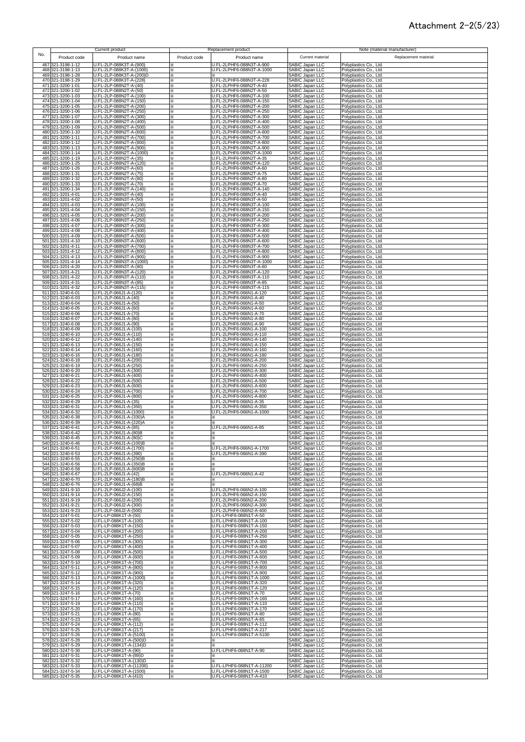### Attachment 2-2(5/23)

|            |                                        | Current product                                      |               | Replacement product                                   |                                    | Note (material manufacturer)                     |
|------------|----------------------------------------|------------------------------------------------------|---------------|-------------------------------------------------------|------------------------------------|--------------------------------------------------|
| No.        | Product code                           | Product name                                         | Product code  | Product name                                          | Current material                   | Replacement material                             |
| 467        | 321-3198-1-12                          | U.FL-2LP-088K3T-A-(900)                              |               | U.FL-2LPHF6-088N3T-A-900                              | SABIC Japan LLC                    | Polyplastics Co., Ltd.                           |
| 468        | 321-3198-1-13<br>469 321-3198-1-28     | U.FL-2LP-088K3T-A-(1000)<br>U.FL-2LP-088K3T-A-(200)D | ፠<br>⋇        | U.FL-2LPHF6-088N3T-A-1000                             | SABIC Japan LLC<br>SABIC Japan LLC | Polyplastics Co., Ltd.<br>Polyplastics Co., Ltd. |
|            | 470 321-3198-1-29                      | U.FL-2LP-088K3T-A-(228)                              | ×             | U.FL-2LPHF6-088N3T-A-228                              | SABIC Japan LLC                    | Polyplastics Co., Ltd.                           |
|            | 471 321-3200-1-01<br>472 321-3200-1-02 | U.FL-2LP-088N2T-A-(40)<br>U.FL-2LP-088N2T-A-(50)     | ×.<br>×.      | U.FL-2LPHF6-088N2T-A-40<br>U.FL-2LPHF6-088N2T-A-50    | SABIC Japan LLC                    | Polyplastics Co., Ltd.<br>Polyplastics Co., Ltd. |
| 473        | 321-3200-1-03                          | U.FL-2LP-088N2T-A-(100)                              | ፠             | U.FL-2LPHF6-088N2T-A-100                              | SABIC Japan LLC<br>SABIC Japan LLC | Polyplastics Co., Ltd.                           |
|            | 474 321-3200-1-04                      | U.FL-2LP-088N2T-A-(150)                              | ፠             | U.FL-2LPHF6-088N2T-A-150                              | SABIC Japan LLC                    | Polyplastics Co., Ltd.                           |
|            | 475 321-3200-1-05<br>476 321-3200-1-06 | U.FL-2LP-088N2T-A-(200)<br>U.FL-2LP-088N2T-A-(250)   | ፠<br>፠        | U.FL-2LPHF6-088N2T-A-200<br>U.FL-2LPHF6-088N2T-A-250  | SABIC Japan LLC                    | Polyplastics Co., Ltd.<br>Polyplastics Co., Ltd. |
|            | 477 321-3200-1-07                      | U.FL-2LP-088N2T-A-(300)                              | ×             | U.FL-2LPHF6-088N2T-A-300                              | SABIC Japan LLC<br>SABIC Japan LLC | Polyplastics Co., Ltd.                           |
|            | 478 321-3200-1-08<br>479 321-3200-1-09 | U.FL-2LP-088N2T-A-(400)<br>U.FL-2LP-088N2T-A-(500)   | ×<br>⋇        | U.FL-2LPHF6-088N2T-A-400<br>U.FL-2LPHF6-088N2T-A-500  | SABIC Japan LLC<br>SABIC Japan LLC | Polyplastics Co., Ltd.<br>Polyplastics Co., Ltd. |
|            | 480 321-3200-1-10                      | U.FL-2LP-088N2T-A-(600)                              | ⋇             | U.FL-2LPHF6-088N2T-A-600                              | SABIC Japan LLC                    | Polyplastics Co., Ltd.                           |
|            | 481 321-3200-1-11<br>482 321-3200-1-12 | U.FL-2LP-088N2T-A-(700)<br>U.FL-2LP-088N2T-A-(800)   | ⋇<br>×        | U.FL-2LPHF6-088N2T-A-700<br>U.FL-2LPHF6-088N2T-A-800  | SABIC Japan LLC<br>SABIC Japan LLC | Polyplastics Co., Ltd.                           |
|            | 483 321-3200-1-13                      | U.FL-2LP-088N2T-A-(900)                              | ×.            | U.FL-2LPHF6-088N2T-A-900                              | SABIC Japan LLC                    | Polyplastics Co., Ltd.<br>Polyplastics Co., Ltd. |
|            | 484 321-3200-1-14                      | U.FL-2LP-088N2T-A-(1000)                             | ×.            | U.FL-2LPHF6-088N2T-A-1000                             | SABIC Japan LLC                    | Polyplastics Co., Ltd.                           |
|            | 485 321-3200-1-19<br>486 321-3200-1-25 | U.FL-2LP-088N2T-A-(35)<br>U.FL-2LP-088N2T-A-(120)    | ×.<br>×       | U.FL-2LPHF6-088N2T-A-35<br>U.FL-2LPHF6-088N2T-A-120   | SABIC Japan LLC<br>SABIC Japan LLC | Polyplastics Co., Ltd.<br>Polyplastics Co., Ltd. |
|            | 487 321-3200-1-26                      | U.FL-2LP-088N2T-A-(60)                               | ×             | U.FL-2LPHF6-088N2T-A-60                               | SABIC Japan LLC                    | Polyplastics Co., Ltd.                           |
|            | 488 321-3200-1-31<br>489 321-3200-1-32 | U.FL-2LP-088N2T-A-(75)<br>U.FL-2LP-088N2T-A-(80)     | ×<br>×        | U.FL-2LPHF6-088N2T-A-75<br>U.FL-2LPHF6-088N2T-A-80    | SABIC Japan LLC<br>SABIC Japan LLC | Polyplastics Co., Ltd.<br>Polyplastics Co., Ltd. |
|            | 490 321-3200-1-33                      | U.FL-2LP-088N2T-A-(70)                               | ×             | U.FL-2LPHF6-088N2T-A-70                               | SABIC Japan LLC                    | Polyplastics Co., Ltd.                           |
| 492        | 491 321-3200-1-34<br>321-3201-4-01     | U.FL-2LP-088N2T-A-(140)<br>U.FL-2LP-088N3T-A-(40)    | ×<br>⋇        | U.FL-2LPHF6-088N2T-A-140<br>U.FL-2LPHF6-088N3T-A-40   | SABIC Japan LLC<br>SABIC Japan LLC | Polyplastics Co., Ltd.<br>Polyplastics Co., Ltd. |
| 493        | 321-3201-4-02                          | U.FL-2LP-088N3T-A-(50)                               | ×             | U.FL-2LPHF6-088N3T-A-50                               | SABIC Japan LLC                    | Polyplastics Co., Ltd.                           |
|            | 494 321-3201-4-03<br>495 321-3201-4-04 | U.FL-2LP-088N3T-A-(100)<br>U.FL-2LP-088N3T-A-(150)   | ×<br>X        | U.FL-2LPHF6-088N3T-A-100<br>U.FL-2LPHF6-088N3T-A-150  | SABIC Japan LLC<br>SABIC Japan LLC | Polyplastics Co., Ltd.<br>Polyplastics Co., Ltd. |
|            | 496 321-3201-4-05                      | U.FL-2LP-088N3T-A-(200)                              | ✕             | U.FL-2LPHF6-088N3T-A-200                              | SABIC Japan LLC                    | Polyplastics Co., Ltd.                           |
|            | 497 321-3201-4-06<br>321-3201-4-07     | U.FL-2LP-088N3T-A-(250)<br>U.FL-2LP-088N3T-A-(300)   | ×.            | U.FL-2LPHF6-088N3T-A-250<br>U.FL-2LPHF6-088N3T-A-300  | SABIC Japan LLC<br>SABIC Japan LLC | Polyplastics Co., Ltd.                           |
| 498<br>499 | 321-3201-4-08                          | U.FL-2LP-088N3T-A-(400)                              | ×<br>፠        | U.FL-2LPHF6-088N3T-A-400                              | SABIC Japan LLC                    | Polyplastics Co., Ltd.<br>Polyplastics Co., Ltd. |
|            | 500 321-3201-4-09                      | U.FL-2LP-088N3T-A-(500)                              | ፠             | U.FL-2LPHF6-088N3T-A-500                              | SABIC Japan LLC                    | Polyplastics Co., Ltd.                           |
|            | 501 321-3201-4-10<br>502 321-3201-4-11 | U.FL-2LP-088N3T-A-(600)<br>U.FL-2LP-088N3T-A-(700)   | ፠<br>፠        | U.FL-2LPHF6-088N3T-A-600<br>U.FL-2LPHF6-088N3T-A-700  | SABIC Japan LLC<br>SABIC Japan LLC | Polyplastics Co., Ltd.<br>Polyplastics Co., Ltd. |
|            | 503 321-3201-4-12                      | U.FL-2LP-088N3T-A-(800)                              | ×             | U.FL-2LPHF6-088N3T-A-800                              | SABIC Japan LLC                    | Polyplastics Co., Ltd.                           |
| 505        | 504 321-3201-4-13<br>321-3201-4-14     | U.FL-2LP-088N3T-A-(900)<br>U.FL-2LP-088N3T-A-(1000)  | ×<br>×        | U.FL-2LPHF6-088N3T-A-900<br>U.FL-2LPHF6-088N3T-A-1000 | SABIC Japan LLC<br>SABIC Japan LLC | Polyplastics Co., Ltd.<br>Polyplastics Co., Ltd. |
| 506        | 321-3201-4-20                          | U.FL-2LP-088N3T-A-(80)                               | ×             | U.FL-2LPHF6-088N3T-A-80                               | SABIC Japan LLC                    | Polyplastics Co., Ltd.                           |
|            | 507 321-3201-4-21<br>508 321-3201-4-22 | U.FL-2LP-088N3T-A-(120)<br>U.FL-2LP-088N3T-A-(110)   | ×<br>×.       | U.FL-2LPHF6-088N3T-A-120<br>U.FL-2LPHF6-088N3T-A-110  | SABIC Japan LLC<br>SABIC Japan LLC | Polyplastics Co., Ltd.<br>Polyplastics Co., Ltd. |
|            | 509 321-3201-4-31                      | U.FL-2LP-088N3T-A-(85)                               | ×.            | U.FL-2LPHF6-088N3T-A-85                               | SABIC Japan LLC                    | Polyplastics Co., Ltd.                           |
| 511        | 510 321-3201-4-32<br>321-3240-6-01     | U.FL-2LP-088N3T-A-(115)<br>U.FL-2LP-066J1-A-(120)    | ×.<br>×       | U.FL-2LPHF6-088N3T-A-115<br>U.FL-2LPHF6-066N1-A-120   | SABIC Japan LLC<br>SABIC Japan LLC | Polyplastics Co., Ltd.<br>Polyplastics Co., Ltd. |
|            | 512 321-3240-6-03                      | U.FL-2LP-066J1-A-(40)                                | ×             | U.FL-2LPHF6-066N1-A-40                                | SABIC Japan LLC                    | Polyplastics Co., Ltd.                           |
|            | 513 321-3240-6-04                      | U.FL-2LP-066J1-A-(50)                                | ×             | U.FL-2LPHF6-066N1-A-50                                | SABIC Japan LLC                    | Polyplastics Co., Ltd.                           |
|            | 514 321-3240-6-05<br>515 321-3240-6-06 | U.FL-2LP-066J1-A-(60)<br>U.FL-2LP-066J1-A-(70)       | ፠<br>×        | U.FL-2LPHF6-066N1-A-60<br>U.FL-2LPHF6-066N1-A-70      | SABIC Japan LLC<br>SABIC Japan LLC | Polyplastics Co., Ltd.<br>Polyplastics Co., Ltd. |
|            | 516 321-3240-6-07                      | U.FL-2LP-066J1-A-(80)                                | ×             | U.FL-2LPHF6-066N1-A-80                                | SABIC Japan LLC                    | Polyplastics Co., Ltd.                           |
|            | 517 321-3240-6-08<br>518 321-3240-6-09 | U.FL-2LP-066J1-A-(90)<br>U.FL-2LP-066J1-A-(100)      | ×<br>×        | U.FL-2LPHF6-066N1-A-90<br>U.FL-2LPHF6-066N1-A-100     | SABIC Japan LLC<br>SABIC Japan LLC | Polyplastics Co., Ltd.<br>Polyplastics Co., Ltd. |
|            | 519 321-3240-6-10                      | U.FL-2LP-066J1-A-(110)                               | ፠             | U.FL-2LPHF6-066N1-A-110                               | SABIC Japan LLC                    | Polyplastics Co., Ltd.                           |
|            | 520 321-3240-6-12<br>521 321-3240-6-13 | U.FL-2LP-066J1-A-(140)<br>U.FL-2LP-066J1-A-(150)     | $\times$<br>× | U.FL-2LPHF6-066N1-A-140<br>U.FL-2LPHF6-066N1-A-150    | SABIC Japan LLC<br>SABIC Japan LLC | Polyplastics Co., Ltd.<br>Polyplastics Co., Ltd. |
|            | 522 321-3240-6-14                      | U.FL-2LP-066J1-A-(160)                               | ×             | U.FL-2LPHF6-066N1-A-160                               | SABIC Japan LLC                    | Polyplastics Co., Ltd.                           |
|            | 523 321-3240-6-16                      | U.FL-2LP-066J1-A-(180)                               | ×.            | U.FL-2LPHF6-066N1-A-180                               | SABIC Japan LLC                    | Polyplastics Co., Ltd.                           |
|            | 524 321-3240-6-18<br>525 321-3240-6-19 | U.FL-2LP-066J1-A-(200)<br>U.FL-2LP-066J1-A-(250)     | ፠<br>፠        | U.FL-2LPHF6-066N1-A-200<br>U.FL-2LPHF6-066N1-A-250    | SABIC Japan LLC<br>SABIC Japan LLC | Polyplastics Co., Ltd.<br>Polyplastics Co., Ltd. |
|            | 526 321-3240-6-20                      | U.FL-2LP-066J1-A-(300)                               | ፠             | U.FL-2LPHF6-066N1-A-300                               | SABIC Japan LLC                    | Polyplastics Co., Ltd.                           |
|            | 527 321-3240-6-21<br>528 321-3240-6-22 | U.FL-2LP-066J1-A-(400)<br>U.FL-2LP-066J1-A-(500)     | ×<br>×        | U.FL-2LPHF6-066N1-A-400<br>U.FL-2LPHF6-066N1-A-500    | SABIC Japan LLC<br>SABIC Japan LLC | Polyplastics Co., Ltd.<br>Polyplastics Co., Ltd. |
|            | 529 321-3240-6-23                      | U.FL-2LP-066J1-A-(600)                               | ×             | U.FL-2LPHF6-066N1-A-600                               | SABIC Japan LLC                    | Polyplastics Co., Ltd.                           |
|            | 530 321-3240-6-24<br>531 321-3240-6-25 | U.FL-2LP-066J1-A-(700)<br>U.FL-2LP-066J1-A-(800)     | ×<br>⋇        | U.FL-2LPHF6-066N1-A-700<br>U.FL-2LPHF6-066N1-A-800    | SABIC Japan LLC<br>SABIC Japan LLC | Polyplastics Co., Ltd.<br>Polyplastics Co., Ltd. |
|            | 532 321-3240-6-29                      | U.FL-2LP-066J1-A-(35)                                | ⋇             | U.FL-2LPHF6-066N1-A-35                                | SABIC Japan LLC                    | Polyplastics Co., Ltd.                           |
|            | 533 321-3240-6-31<br>534 321-3240-6-32 | U.FL-2LP-066J1-A-(350)<br>U.FL-2LP-066J1-A-(1000)    | ×<br>×.       | U.FL-2LPHF6-066N1-A-350<br>U.FL-2LPHF6-066N1-A-1000   | SABIC Japan LLC<br>SABIC Japan LLC | Polyplastics Co., Ltd.<br>Polyplastics Co., Ltd. |
|            | 535 321-3240-6-38                      | U.FL-2LP-066J1-A-(330)A                              | ×.            |                                                       | SABIC Japan LLC                    | Polyplastics Co., Ltd.                           |
|            | 536 321-3240-6-39                      | U.FL-2LP-066J1-A-(220)A                              | ×.            | U.FL-2LPHF6-066N1-A-85                                | SABIC Japan LLC                    | Polyplastics Co., Ltd.<br>Polyplastics Co., Ltd. |
|            | 537 321-3240-6-41<br>538 321-3240-6-42 | U.FL-2LP-066J1-A-(85)<br>U.FL-2LP-066J1-A-(80)B      | ×<br>⋇        | ⋇                                                     | SABIC Japan LLC<br>SABIC Japan LLC | Polyplastics Co., Ltd.                           |
|            | 539 321-3240-6-45                      | U.FL-2LP-066J1-A-(80)C                               | ✕             | ×                                                     | SABIC Japan LLC                    | Polyplastics Co., Ltd.                           |
|            | 540 321-3240-6-46<br>541 321-3240-6-51 | U.FL-2LP-066J1-A-(100)B<br>U.FL-2LP-066J1-A-(1700)   | ×             | U.FL-2LPHF6-066N1-A-1700                              | SABIC Japan LLC<br>SABIC Japan LLC | Polyplastics Co., Ltd.<br>Polyplastics Co., Ltd. |
|            | 542 321-3240-6-53                      | U.FL-2LP-066J1-A-(390)                               | ×             | U.FL-2LPHF6-066N1-A-390                               | SABIC Japan LLC                    | Polyplastics Co., Ltd.                           |
|            | 543 321-3240-6-55<br>544 321-3240-6-56 | U.FL-2LP-066J1-A-(250)B<br>U.FL-2LP-066J1-A-(350)B   | ⋇<br>⋇        |                                                       | SABIC Japan LLC<br>SABIC Japan LLC | Polyplastics Co., Ltd.<br>Polyplastics Co., Ltd. |
|            | 545 321-3240-6-58                      | U.FL-2LP-066J1-A-(600)B                              | ×             |                                                       | SABIC Japan LLC                    | Polyplastics Co., Ltd.                           |
|            | 546 321-3240-6-67<br>547 321-3240-6-70 | U.FL-2LP-066J1-A-(42)<br>U.FL-2LP-066J1-A-(180)B     | ×<br>×        | U.FL-2LPHF6-066N1-A-42                                | SABIC Japan LLC<br>SABIC Japan LLC | Polyplastics Co., Ltd.<br>Polyplastics Co., Ltd. |
|            | 548 321-3240-6-76                      | U.FL-2LP-066J1-A-(68)B                               | ×             |                                                       | SABIC Japan LLC<br>SABIC Japan LLC | Polyplastics Co., Ltd.                           |
|            | 549 321-3241-9-10<br>550 321-3241-9-14 | U.FL-2LP-066J2-A-(100)<br>U.FL-2LP-066J2-A-(150)     | ×<br>×        | U.FL-2LPHF6-066N2-A-100<br>U.FL-2LPHF6-066N2-A-150    | SABIC Japan LLC                    | Polyplastics Co., Ltd.<br>Polyplastics Co., Ltd. |
|            | 551 321-3241-9-19                      | U.FL-2LP-066J2-A-(200)                               | ×             | U.FL-2LPHF6-066N2-A-200                               | SABIC Japan LLC                    | Polyplastics Co., Ltd.                           |
|            | 552 321-3241-9-21<br>553 321-3241-9-23 | U.FL-2LP-066J2-A-(300)<br>U.FL-2LP-066J2-A-(500)     | ፠<br>×        | U.FL-2LPHF6-066N2-A-300<br>U.FL-2LPHF6-066N2-A-400    | SABIC Japan LLC<br>SABIC Japan LLC | Polyplastics Co., Ltd.<br>Polyplastics Co., Ltd. |
|            | 554 321-3247-5-01                      | U.FL-LP-088K1T-A-(50)                                | ×             | U.FL-LPHF6-088N1T-A-50                                | SABIC Japan LLC                    | Polyplastics Co., Ltd.                           |
|            | 555 321-3247-5-02                      | U.FL-LP-088K1T-A-(100)                               | ×             | U.FL-LPHF6-088N1T-A-100                               | SABIC Japan LLC                    | Polyplastics Co., Ltd.                           |
|            | 556 321-3247-5-03<br>557 321-3247-5-04 | U.FL-LP-088K1T-A-(150)<br>U.FL-LP-088K1T-A-(200)     | ×<br>×        | U.FL-LPHF6-088N1T-A-150<br>U.FL-LPHF6-088N1T-A-200    | SABIC Japan LLC<br>SABIC Japan LLC | Polyplastics Co., Ltd.<br>Polyplastics Co., Ltd. |
|            | 558 321-3247-5-05                      | U.FL-LP-088K1T-A-(250)                               | ⋇             | U.FL-LPHF6-088N1T-A-250                               | SABIC Japan LLC                    | Polyplastics Co., Ltd.                           |
|            | 559 321-3247-5-06<br>560 321-3247-5-07 | U.FL-LP-088K1T-A-(300)<br>U.FL-LP-088K1T-A-(400)     | ×.<br>×       | U.FL-LPHF6-088N1T-A-300<br>U.FL-LPHF6-088N1T-A-400    | SABIC Japan LLC<br>SABIC Japan LLC | Polyplastics Co., Ltd.<br>Polyplastics Co., Ltd. |
|            | 561 321-3247-5-08                      | U.FL-LP-088K1T-A-(500)                               | ⋇             | U.FL-LPHF6-088N1T-A-500                               | SABIC Japan LLC                    | Polyplastics Co., Ltd.                           |
|            | 562 321-3247-5-09<br>563 321-3247-5-10 | U.FL-LP-088K1T-A-(600)<br>U.FL-LP-088K1T-A-(700)     | ×<br>×        | U.FL-LPHF6-088N1T-A-600<br>U.FL-LPHF6-088N1T-A-700    | SABIC Japan LLC<br>SABIC Japan LLC | Polyplastics Co., Ltd.<br>Polyplastics Co., Ltd. |
|            | 564 321-3247-5-11                      | U.FL-LP-088K1T-A-(800)                               | ×             | U.FL-LPHF6-088N1T-A-800                               | SABIC Japan LLC                    | Polyplastics Co., Ltd.                           |
|            | 565 321-3247-5-12<br>566 321-3247-5-13 | U.FL-LP-088K1T-A-(900)<br>U.FL-LP-088K1T-A-(1000)    | ×<br>×        | U.FL-LPHF6-088N1T-A-900<br>U.FL-LPHF6-088N1T-A-1000   | SABIC Japan LLC<br>SABIC Japan LLC | Polyplastics Co., Ltd.<br>Polyplastics Co., Ltd. |
|            | 567 321-3247-5-14                      | U.FL-LP-088K1T-A-(320)                               | $\times$      | U.FL-LPHF6-088N1T-A-320                               | SABIC Japan LLC                    | Polyplastics Co., Ltd.                           |
|            | 568 321-3247-5-15                      | U.FL-LP-088K1T-A-(120)                               | ×             | U.FL-LPHF6-088N1T-A-120<br>U.FL-LPHF6-088N1T-A-70     | SABIC Japan LLC<br>SABIC Japan LLC | Polyplastics Co., Ltd.                           |
|            | 569 321-3247-5-16<br>570 321-3247-5-17 | U.FL-LP-088K1T-A-(70)<br>U.FL-LP-088K1T-A-(160)      | ×<br>⋇        | U.FL-LPHF6-088N1T-A-160                               | SABIC Japan LLC                    | Polyplastics Co., Ltd.<br>Polyplastics Co., Ltd. |
|            | 571 321-3247-5-19                      | U.FL-LP-088K1T-A-(110)                               | X             | U.FL-LPHF6-088N1T-A-110                               | SABIC Japan LLC<br>SABIC Japan LLC | Polyplastics Co., Ltd.                           |
|            | 572 321-3247-5-20<br>573 321-3247-5-21 | U.FL-LP-088K1T-A-(170)<br>U.FL-LP-088K1T-A-(80)      | ×<br>×        | U.FL-LPHF6-088N1T-A-170<br>U.FL-LPHF6-088N1T-A-80     | SABIC Japan LLC                    | Polyplastics Co., Ltd.<br>Polyplastics Co., Ltd. |
|            | 574 321-3247-5-23                      | U.FL-LP-088K1T-A-(65)                                | ×             | U.FL-LPHF6-088N1T-A-65                                | SABIC Japan LLC<br>SABIC Japan LLC | Polyplastics Co., Ltd.                           |
|            | 575 321-3247-5-24<br>576 321-3247-5-25 | U.FL-LP-088K1T-A-(112)<br>U.FL-LP-088K1T-A-(217)     | ×<br>×        | U.FL-LPHF6-088N1T-A-112<br>U.FL-LPHF6-088N1T-A-217    | SABIC Japan LLC                    | Polyplastics Co., Ltd.<br>Polyplastics Co., Ltd. |
|            | 577 321-3247-5-26                      | U.FL-LP-088K1T-A-(5100)                              | ×             | U.FL-LPHF6-088N1T-A-5100                              | SABIC Japan LLC                    | Polyplastics Co., Ltd.                           |
|            | 578 321-3247-5-28<br>579 321-3247-5-29 | U.FL-LP-088K1T-A-(500)D<br>U.FL-LP-088K1T-A-(134)D   | ×<br>×        |                                                       | SABIC Japan LLC<br>SABIC Japan LLC | Polyplastics Co., Ltd.<br>Polyplastics Co., Ltd. |
|            | 580 321-3247-5-30                      | U.FL-LP-088K1T-A-(90)                                | ×             | U.FL-LPHF6-088N1T-A-90                                | SABIC Japan LLC                    | Polyplastics Co., Ltd.                           |
|            | 581 321-3247-5-31<br>582 321-3247-5-32 | U.FL-LP-088K1T-A-(89)D<br>U.FL-LP-088K1T-A-(130)D    | ×.<br>×       |                                                       | SABIC Japan LLC<br>SABIC Japan LLC | Polyplastics Co., Ltd.<br>Polyplastics Co., Ltd. |
|            | 583 321-3247-5-33                      | U.FL-LP-088K1T-A-(11200)                             | ×             | U.FL-LPHF6-088N1T-A-11200                             | SABIC Japan LLC                    | Polyplastics Co., Ltd.                           |
|            | 584 321-3247-5-34                      | U.FL-LP-088K1T-A-(1500)                              | ×.            | U.FL-LPHF6-088N1T-A-1500                              | SABIC Japan LLC                    | Polyplastics Co., Ltd.                           |
|            | 585 321-3247-5-35                      | U.FL-LP-088K1T-A-(410)                               | $\times$      | U.FL-LPHF6-088N1T-A-410                               | SABIC Japan LLC                    | Polyplastics Co., Ltd.                           |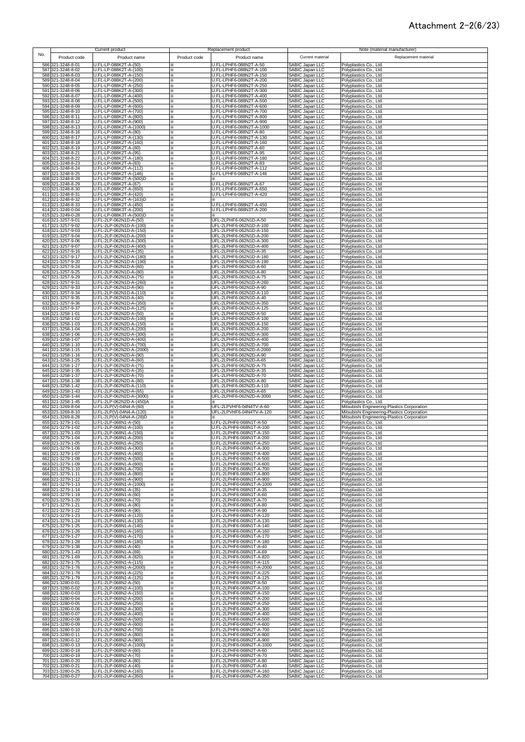### Attachment 2-2(6/23)

| No.        |                                        | Current product                                                              |                   | Replacement product                                   |                                                       | Note (material manufacturer)                                                               |
|------------|----------------------------------------|------------------------------------------------------------------------------|-------------------|-------------------------------------------------------|-------------------------------------------------------|--------------------------------------------------------------------------------------------|
|            | Product code<br>586 321-3248-8-01      | Product name<br>U.FL-LP-088K2T-A-(50)                                        | Product code<br>⋇ | Product name<br>U.FL-LPHF6-088N2T-A-50                | Current material<br>SABIC Japan LLC                   | Replacement material<br>Polyplastics Co., Ltd.                                             |
|            | 587 321-3248-8-02<br>588 321-3248-8-03 | U.FL-LP-088K2T-A-(100)<br>U.FL-LP-088K2T-A-(150)                             | ×<br>×.           | U.FL-LPHF6-088N2T-A-100<br>U.FL-LPHF6-088N2T-A-150    | SABIC Japan LLC                                       | Polyplastics Co., Ltd.<br>Polyplastics Co., Ltd.                                           |
|            | 589 321-3248-8-04<br>590 321-3248-8-05 | U.FL-LP-088K2T-A-(200)<br>U.FL-LP-088K2T-A-(250)                             | ×<br>፠            | U.FL-LPHF6-088N2T-A-200<br>U.FL-LPHF6-088N2T-A-250    | SABIC Japan LLC<br>SABIC Japan LLC<br>SABIC Japan LLC | Polyplastics Co., Ltd.<br>Polyplastics Co., Ltd.                                           |
|            | 591 321-3248-8-06<br>592 321-3248-8-07 | U.FL-LP-088K2T-A-(300)<br>U.FL-LP-088K2T-A-(400)                             | ፠<br>፠            | U.FL-LPHF6-088N2T-A-300<br>U.FL-LPHF6-088N2T-A-400    | SABIC Japan LLC<br>SABIC Japan LLC                    | Polyplastics Co., Ltd.<br>Polyplastics Co., Ltd.                                           |
|            | 593 321-3248-8-08<br>594 321-3248-8-09 | U.FL-LP-088K2T-A-(500)<br>U.FL-LP-088K2T-A-(600)                             | ×<br>×            | U.FL-LPHF6-088N2T-A-500<br>U.FL-LPHF6-088N2T-A-600    | SABIC Japan LLC<br>SABIC Japan LLC                    | Polyplastics Co., Ltd.<br>Polyplastics Co., Ltd.                                           |
|            | 595 321-3248-8-10<br>596 321-3248-8-11 | U.FL-LP-088K2T-A-(700)<br>U.FL-LP-088K2T-A-(800)                             | ⋇<br>×            | U.FL-LPHF6-088N2T-A-700<br>U.FL-LPHF6-088N2T-A-800    | SABIC Japan LLC<br>SABIC Japan LLC                    | Polyplastics Co., Ltd.<br>Polyplastics Co., Ltd.                                           |
|            | 597 321-3248-8-12                      | U.FL-LP-088K2T-A-(900)                                                       | ×                 | U.FL-LPHF6-088N2T-A-900                               | SABIC Japan LLC                                       | Polyplastics Co., Ltd.                                                                     |
|            | 598 321-3248-8-13<br>599 321-3248-8-16 | U.FL-LP-088K2T-A-(1000)<br>U.FL-LP-088K2T-A-(80)                             | ×<br>×.           | U.FL-LPHF6-088N2T-A-1000<br>U.FL-LPHF6-088N2T-A-80    | SABIC Japan LLC<br>SABIC Japan LLC                    | Polyplastics Co., Ltd.<br>Polyplastics Co., Ltd.                                           |
|            | 600 321-3248-8-17<br>601 321-3248-8-18 | U.FL-LP-088K2T-A-(130)<br>U.FL-LP-088K2T-A-(160)                             | ×.<br>×           | U.FL-LPHF6-088N2T-A-130<br>U.FL-LPHF6-088N2T-A-160    | SABIC Japan LLC<br>SABIC Japan LLC                    | Polyplastics Co., Ltd.<br>Polyplastics Co., Ltd.                                           |
|            | 602 321-3248-8-19<br>603 321-3248-8-21 | U.FL-LP-088K2T-A-(60)<br>U.FL-LP-088K2T-A-(95)                               | ×<br>×            | U.FL-LPHF6-088N2T-A-60<br>U.FL-LPHF6-088N2T-A-95      | SABIC Japan LLC<br>SABIC Japan LLC                    | Polyplastics Co., Ltd.<br>Polyplastics Co., Ltd.                                           |
|            | 604 321-3248-8-22<br>605 321-3248-8-23 | U.FL-LP-088K2T-A-(180)<br>U.FL-LP-088K2T-A-(83)                              | ×<br>×            | U.FL-LPHF6-088N2T-A-180<br>U.FL-LPHF6-088N2T-A-83     | SABIC Japan LLC<br>SABIC Japan LLC                    | Polyplastics Co., Ltd.<br>Polyplastics Co., Ltd.                                           |
|            | 606 321-3248-8-24<br>607 321-3248-8-25 | U.FL-LP-088K2T-A-(112)<br>U.FL-LP-088K2T-A-(146)                             | ×<br>×            | U.FL-LPHF6-088N2T-A-112<br>U.FL-LPHF6-088N2T-A-146    | SABIC Japan LLC<br>SABIC Japan LLC                    | Polyplastics Co., Ltd.<br>Polyplastics Co., Ltd.                                           |
|            | 608 321-3248-8-28<br>609 321-3248-8-29 | U.FL-LP-088K2T-A-(500)D<br>U.FL-LP-088K2T-A-(67)                             | ⋇<br>⋇            | U.FL-LPHF6-088N2T-A-67                                | SABIC Japan LLC<br>SABIC Japan LLC                    | Polyplastics Co., Ltd.<br>Polyplastics Co., Ltd.                                           |
|            | 610 321-3248-8-30<br>611 321-3248-8-31 | U.FL-LP-088K2T-A-(650)<br>U.FL-LP-088K2T-A-(420)                             | ⋇<br>⋇            | U.FL-LPHF6-088N2T-A-650<br>U.FL-LPHF6-088N2T-A-420    | SABIC Japan LLC<br>SABIC Japan LLC                    | Polyplastics Co., Ltd.<br>Polyplastics Co., Ltd.                                           |
|            | 612 321-3248-8-32<br>613 321-3248-8-33 | U.FL-LP-088K2T-A-(163)D<br>U.FL-LP-088K2T-A-(450)                            | ×.<br>×           | U.FL-LPHF6-088N2T-A-450                               | SABIC Japan LLC<br>SABIC Japan LLC                    | Polyplastics Co., Ltd.<br>Polyplastics Co., Ltd.                                           |
|            | 614 321-3249-0-04<br>615 321-3249-0-28 | U.FL-LP-088K3T-A-(200)<br>U.FL-LP-088K3T-A-(500)D                            | ×<br>×            | U.FL-LPHF6-088N3T-A-200                               | SABIC Japan LLC<br>SABIC Japan LLC                    | Polyplastics Co., Ltd.<br>Polyplastics Co., Ltd.                                           |
| 617        | 616 321-3257-9-01<br>321-3257-9-02     | U.FL-2LP-062N1D-A-(50)<br>U.FL-2LP-062N1D-A-(100)                            | ፠<br>×            | UFL-2LPHF6-062N1D-A-50<br>UFL-2LPHF6-062N1D-A-100     | SABIC Japan LLC<br>SABIC Japan LLC                    | Polyplastics Co., Ltd.<br>Polyplastics Co., Ltd.                                           |
| 618<br>619 | 321-3257-9-03<br>321-3257-9-04         | U.FL-2LP-062N1D-A-(150)<br>U.FL-2LP-062N1D-A-(200)                           | ×<br>×            | UFL-2LPHF6-062N1D-A-150<br>UFL-2LPHF6-062N1D-A-200    | SABIC Japan LLC<br>SABIC Japan LLC                    | Polyplastics Co., Ltd.<br>Polyplastics Co., Ltd.                                           |
| 620        | 321-3257-9-06<br>621 321-3257-9-07     | U.FL-2LP-062N1D-A-(300)<br>U.FL-2LP-062N1D-A-(400)                           | ×<br>×            | UFL-2LPHF6-062N1D-A-300<br>UFL-2LPHF6-062N1D-A-400    | SABIC Japan LLC<br>SABIC Japan LLC                    | Polyplastics Co., Ltd.<br>Polyplastics Co., Ltd.                                           |
| 623        | 622 321-3257-9-16<br>321-3257-9-17     | U.FL-2LP-062N1D-A-(35)<br>U.FL-2LP-062N1D-A-(180)                            | ×<br>×            | UFL-2LPHF6-062N1D-A-35<br>UFL-2LPHF6-062N1D-A-180     | SABIC Japan LLC<br>SABIC Japan LLC                    | Polyplastics Co., Ltd.<br>Polyplastics Co., Ltd.                                           |
|            | 624 321-3257-9-20<br>625 321-3257-9-24 | U.FL-2LP-062N1D-A-(190)<br>U.FL-2LP-062N1D-A-(60)                            | ×.<br>×.          | UFL-2LPHF6-062N1D-A-190<br>UFL-2LPHF6-062N1D-A-60     | SABIC Japan LLC<br>SABIC Japan LLC                    | Polyplastics Co., Ltd.<br>Polyplastics Co., Ltd.                                           |
|            | 626 321-3257-9-25<br>627 321-3257-9-29 | U.FL-2LP-062N1D-A-(80)<br>U.FL-2LP-062N1D-A-(75)                             | ×.<br>×           | UFL-2LPHF6-062N1D-A-80<br>UFL-2LPHF6-062N1D-A-75      | SABIC Japan LLC<br>SABIC Japan LLC                    | Polyplastics Co., Ltd.<br>Polyplastics Co., Ltd.                                           |
|            | 628 321-3257-9-31<br>629 321-3257-9-33 | U.FL-2LP-062N1D-A-(260)<br>U.FL-2LP-062N1D-A-(90)                            | ×<br>×            | UFL-2LPHF6-062N1D-A-260<br>UFL-2LPHF6-062N1D-A-90     | SABIC Japan LLC<br>SABIC Japan LLC                    | Polyplastics Co., Ltd.<br>Polyplastics Co., Ltd.                                           |
|            | 630 321-3257-9-34<br>631 321-3257-9-35 | U.FL-2LP-062N1D-A-(110)<br>U.FL-2LP-062N1D-A-(40)                            | ×<br>×            | UFL-2LPHF6-062N1D-A-110<br>UFL-2LPHF6-062N1D-A-40     | SABIC Japan LLC<br>SABIC Japan LLC                    | Polyplastics Co., Ltd.<br>Polyplastics Co., Ltd.                                           |
|            | 632 321-3257-9-36<br>633 321-3257-9-37 | U.FL-2LP-062N1D-A-(350)<br>U.FL-2LP-062N1D-A-(125)                           | $\times$<br>×     | UFL-2LPHF6-062N1D-A-350<br>UFL-2LPHF6-062N1D-A-125    | SABIC Japan LLC<br>SABIC Japan LLC                    | Polyplastics Co., Ltd.<br>Polyplastics Co., Ltd.                                           |
|            | 634 321-3258-1-01<br>635 321-3258-1-02 | U.FL-2LP-062N2D-A-(50)<br>U.FL-2LP-062N2D-A-(100)                            | ⋇<br>×            | UFL-2LPHF6-062N2D-A-50<br>UFL-2LPHF6-062N2D-A-100     | SABIC Japan LLC<br>SABIC Japan LLC                    | Polyplastics Co., Ltd.<br>Polyplastics Co., Ltd.                                           |
|            | 636 321-3258-1-03<br>637 321-3258-1-04 | U.FL-2LP-062N2D-A-(150)<br>U.FL-2LP-062N2D-A-(200)                           | $\times$<br>×     | UFL-2LPHF6-062N2D-A-150<br>UFL-2LPHF6-062N2D-A-200    | SABIC Japan LLC<br>SABIC Japan LLC                    | Polyplastics Co., Ltd.<br>Polyplastics Co., Ltd.                                           |
|            | 638 321-3258-1-06<br>639 321-3258-1-07 | U.FL-2LP-062N2D-A-(300)<br>U.FL-2LP-062N2D-A-(400)                           | ×<br>×            | UFL-2LPHF6-062N2D-A-300<br>UFL-2LPHF6-062N2D-A-400    | SABIC Japan LLC                                       | Polyplastics Co., Ltd.<br>Polyplastics Co., Ltd.                                           |
|            | 640 321-3258-1-10<br>641 321-3258-1-15 | U.FL-2LP-062N2D-A-(700)                                                      | ፠<br>፠            | UFL-2LPHF6-062N2D-A-700<br>UFL-2LPHF6-062N2D-A-2000   | SABIC Japan LLC<br>SABIC Japan LLC<br>SABIC Japan LLC | Polyplastics Co., Ltd.<br>Polyplastics Co., Ltd.                                           |
|            | 642 321-3258-1-16<br>643 321-3258-1-25 | U.FL-2LP-062N2D-A-(2000)<br>U.FL-2LP-062N2D-A-(90)<br>U.FL-2LP-062N2D-A-(60) | ፠<br>፠            | UFL-2LPHF6-062N2D-A-90<br>UFL-2LPHF6-062N2D-A-65      | SABIC Japan LLC<br>SABIC Japan LLC                    | Polyplastics Co., Ltd.                                                                     |
|            | 644 321-3258-1-27<br>645 321-3258-1-35 | U.FL-2LP-062N2D-A-(75)<br>U.FL-2LP-062N2D-A-(35)                             | ×<br>×            | UFL-2LPHF6-062N2D-A-75<br>UFL-2LPHF6-062N2D-A-35      | SABIC Japan LLC<br>SABIC Japan LLC                    | Polyplastics Co., Ltd.<br>Polyplastics Co., Ltd.<br>Polyplastics Co., Ltd.                 |
|            | 646 321-3258-1-37<br>647 321-3258-1-38 | U.FL-2LP-062N2D-A-(70)                                                       | ×<br>×            | UFL-2LPHF6-062N2D-A-70<br>UFL-2LPHF6-062N2D-A-80      | SABIC Japan LLC<br>SABIC Japan LLC                    | Polyplastics Co., Ltd.                                                                     |
|            | 648 321-3258-1-42                      | U.FL-2LP-062N2D-A-(80)<br>U.FL-2LP-062N2D-A-(110)<br>U.FL-2LP-062N2D-A-(65)  | ⋇                 | UFL-2LPHF6-062N2D-A-110<br>UFL-2LPHF6-062N2D-A-65     | SABIC Japan LLC                                       | Polyplastics Co., Ltd.<br>Polyplastics Co., Ltd.                                           |
|            | 649 321-3258-1-43<br>650 321-3258-1-44 | U.FL-2LP-062N2D-A-(3000)                                                     | ×.<br>×.          | UFL-2LPHF6-062N2D-A-3000                              | SABIC Japan LLC<br>SABIC Japan LLC                    | Polyplastics Co., Ltd.<br>Polyplastics Co., Ltd.                                           |
|            | 651 321-3258-1-45<br>652 321-3269-8-04 | U.FL-2LP-062N2D-A-(450)A<br>U.FL-2LP(V)-04N4-A-(60)                          | ×.<br>×.          | UFL-2LPVHF6-04N4TV-A-60                               | SABIC Japan LLC<br>SABIC Japan LLC                    | Polyplastics Co., Ltd.<br>Mitsubishi Engineering-Plastics Corporation                      |
|            | 653 321-3269-8-10<br>654 321-3269-8-28 | U.FL-2LP(V)-04N4-A-(120)<br>U.FL-2LP(V)-04N4-A-(28)D                         | ×<br>×            | UFL-2LPVHF6-04N4TV-A-120                              | SABIC Japan LLC<br>SABIC Japan LLC                    | Mitsubishi Engineering-Plastics Corporation<br>Mitsubishi Engineering-Plastics Corporation |
|            | 655 321-3279-1-01<br>656 321-3279-1-02 | U.FL-2LP-068N1-A-(50)<br>U.FL-2LP-068N1-A-(100)                              | ×.<br>×           | U.FL-2LPHF6-068N1T-A-50<br>U.FL-2LPHF6-068N1T-A-100   | SABIC Japan LLC<br>SABIC Japan LLC                    | Polyplastics Co., Ltd.<br>Polyplastics Co., Ltd.                                           |
|            | 657 321-3279-1-03<br>658 321-3279-1-04 | U.FL-2LP-068N1-A-(150)<br>U.FL-2LP-068N1-A-(200)                             | ×<br>×            | U.FL-2LPHF6-068N1T-A-150<br>U.FL-2LPHF6-068N1T-A-200  | SABIC Japan LLC<br>SABIC Japan LLC                    | Polyplastics Co., Ltd.<br>Polyplastics Co., Ltd.                                           |
|            | 659 321-3279-1-05<br>660 321-3279-1-06 | U.FL-2LP-068N1-A-(250)<br>U.FL-2LP-068N1-A-(300)                             | ×                 | U.FL-2LPHF6-068N1T-A-250<br>U.FL-2LPHF6-068N1T-A-300  | SABIC Japan LLC<br>SABIC Japan LLC                    | Polyplastics Co., Ltd.<br>Polyplastics Co., Ltd.                                           |
|            | 661 321-3279-1-07<br>662 321-3279-1-08 | U.FL-2LP-068N1-A-(400)<br>U.FL-2LP-068N1-A-(500)                             | ⋇<br>×            | U.FL-2LPHF6-068N1T-A-400<br>U.FL-2LPHF6-068N1T-A-500  | SABIC Japan LLC<br>SABIC Japan LLC                    | Polyplastics Co., Ltd.<br>Polyplastics Co., Ltd.                                           |
|            | 663 321-3279-1-09<br>664 321-3279-1-10 | U.FL-2LP-068N1-A-(600)<br>U.FL-2LP-068N1-A-(700)                             | ×<br>×.           | U.FL-2LPHF6-068N1T-A-600<br>U.FL-2LPHF6-068N1T-A-700  | SABIC Japan LLC<br>SABIC Japan LLC                    | Polyplastics Co., Ltd.<br>Polyplastics Co., Ltd.                                           |
|            | 665 321-3279-1-11<br>666 321-3279-1-12 | U.FL-2LP-068N1-A-(800)<br>U.FL-2LP-068N1-A-(900)                             | ×<br>×            | U.FL-2LPHF6-068N1T-A-800<br>U.FL-2LPHF6-068N1T-A-900  | <b>SABIC Japan LLC</b><br>SABIC Japan LLC             | Polyplastics Co., Ltd.<br>Polyplastics Co., Ltd.                                           |
| 668        | 667 321-3279-1-13<br>321-3279-1-14     | U.FL-2LP-068N1-A-(1000)<br>U.FL-2LP-068N1-A-(35)                             | ፠<br>×.           | U.FL-2LPHF6-068N1T-A-1000<br>U.FL-2LPHF6-068N1T-A-35  | SABIC Japan LLC                                       | Polyplastics Co., Ltd.<br>Polyplastics Co., Ltd.                                           |
|            | 669 321-3279-1-19<br>670 321-3279-1-20 | U.FL-2LP-068N1-A-(60)<br>U.FL-2LP-068N1-A-(70)                               | ×<br>×            | U.FL-2LPHF6-068N1T-A-60<br>U.FL-2LPHF6-068N1T-A-70    | SABIC Japan LLC<br>SABIC Japan LLC                    | Polyplastics Co., Ltd.<br>Polyplastics Co., Ltd.                                           |
| 672        | 671 321-3279-1-21<br>321-3279-1-22     | U.FL-2LP-068N1-A-(80)<br>U.FL-2LP-068N1-A-(90)                               | ×<br>×            | U.FL-2LPHF6-068N1T-A-80<br>U.FL-2LPHF6-068N1T-A-90    | SABIC Japan LLC<br>SABIC Japan LLC                    | Polyplastics Co., Ltd.<br>Polyplastics Co., Ltd.                                           |
|            | 673 321-3279-1-23<br>674 321-3279-1-24 | U.FL-2LP-068N1-A-(120)<br>U.FL-2LP-068N1-A-(130)                             | ⋇<br>×            | U.FL-2LPHF6-068N1T-A-120<br>U.FL-2LPHF6-068N1T-A-130  | SABIC Japan LLC<br>SABIC Japan LLC                    | Polyplastics Co., Ltd.<br>Polyplastics Co., Ltd.                                           |
|            | 675 321-3279-1-25<br>676 321-3279-1-26 | U.FL-2LP-068N1-A-(140)<br>U.FL-2LP-068N1-A-(160)                             | ×.<br>×.          | U.FL-2LPHF6-068N1T-A-140<br>U.FL-2LPHF6-068N1T-A-160  | SABIC Japan LLC<br>SABIC Japan LLC                    | Polyplastics Co., Ltd.<br>Polyplastics Co., Ltd.                                           |
|            | 677 321-3279-1-27<br>678 321-3279-1-28 | U.FL-2LP-068N1-A-(170)<br>U.FL-2LP-068N1-A-(180)                             | ×.<br>×           | U.FL-2LPHF6-068N1T-A-170<br>U.FL-2LPHF6-068N1T-A-180  | SABIC Japan LLC<br>SABIC Japan LLC                    | Polyplastics Co., Ltd.<br>Polyplastics Co., Ltd.                                           |
|            | 679 321-3279-1-38<br>680 321-3279-1-43 | U.FL-2LP-068N1-A-(40)<br>U.FL-2LP-068N1-A-(69)                               | ×<br>×            | U.FL-2LPHF6-068N1T-A-40<br>U.FL-2LPHF6-068N1T-A-69    | SABIC Japan LLC<br>SABIC Japan LLC                    | Polyplastics Co., Ltd.<br>Polyplastics Co., Ltd.                                           |
|            | 681 321-3279-1-69<br>682 321-3279-1-75 | U.FL-2LP-068N1-A-(820)<br>U.FL-2LP-068N1-A-(115)                             | ×<br>×            | U.FL-2LPHF6-068N1T-A-820<br>U.FL-2LPHF6-068N1T-A-115  | SABIC Japan LLC<br>SABIC Japan LLC                    | Polyplastics Co., Ltd.<br>Polyplastics Co., Ltd.                                           |
|            | 683 321-3279-1-76<br>684 321-3279-1-78 | U.FL-2LP-068N1-A-(2000)<br>U.FL-2LP-068N1-A-(225)                            | $\times$<br>⋇     | U.FL-2LPHF6-068N1T-A-2000<br>U.FL-2LPHF6-068N1T-A-225 | SABIC Japan LLC<br>SABIC Japan LLC                    | Polyplastics Co., Ltd.<br>Polyplastics Co., Ltd.                                           |
|            | 685 321-3279-1-79<br>686 321-3280-0-01 | U.FL-2LP-068N1-A-(125)<br>U.FL-2LP-068N2-A-(50)                              | ×<br>⋇            | U.FL-2LPHF6-068N1T-A-125<br>U.FL-2LPHF6-068N2T-A-50   | SABIC Japan LLC<br>SABIC Japan LLC                    | Polyplastics Co., Ltd.<br>Polyplastics Co., Ltd.                                           |
|            | 687 321-3280-0-02<br>688 321-3280-0-03 | U.FL-2LP-068N2-A-(100)<br>U.FL-2LP-068N2-A-(150)                             | ×<br>×            | U.FL-2LPHF6-068N2T-A-100<br>U.FL-2LPHF6-068N2T-A-150  | SABIC Japan LLC<br>SABIC Japan LLC                    | Polyplastics Co., Ltd.<br>Polyplastics Co., Ltd.                                           |
|            | 689 321-3280-0-04<br>690 321-3280-0-05 | U.FL-2LP-068N2-A-(200)<br>U.FL-2LP-068N2-A-(250)                             | ×.<br>፠           | U.FL-2LPHF6-068N2T-A-200<br>U.FL-2LPHF6-068N2T-A-250  | SABIC Japan LLC                                       | Polyplastics Co., Ltd.<br>Polyplastics Co., Ltd.                                           |
|            | 691 321-3280-0-06<br>692 321-3280-0-07 | U.FL-2LP-068N2-A-(300)<br>U.FL-2LP-068N2-A-(400)                             | ×<br>×            | U.FL-2LPHF6-068N2T-A-300<br>U.FL-2LPHF6-068N2T-A-400  | SABIC Japan LLC<br>SABIC Japan LLC<br>SABIC Japan LLC | Polyplastics Co., Ltd.<br>Polyplastics Co., Ltd.                                           |
|            | 693 321-3280-0-08<br>694 321-3280-0-09 | U.FL-2LP-068N2-A-(500)<br>U.FL-2LP-068N2-A-(600)                             | ፠<br>×            | U.FL-2LPHF6-068N2T-A-500<br>U.FL-2LPHF6-068N2T-A-600  | SABIC Japan LLC<br>SABIC Japan LLC                    | Polyplastics Co., Ltd.<br>Polyplastics Co., Ltd.                                           |
|            | 695 321-3280-0-10<br>696 321-3280-0-11 | U.FL-2LP-068N2-A-(700)<br>U.FL-2LP-068N2-A-(800)                             | ×<br>×            | U.FL-2LPHF6-068N2T-A-700<br>U.FL-2LPHF6-068N2T-A-800  | SABIC Japan LLC<br>SABIC Japan LLC                    | Polyplastics Co., Ltd.<br>Polyplastics Co., Ltd.                                           |
|            | 697 321-3280-0-12<br>698 321-3280-0-13 | U.FL-2LP-068N2-A-(900)<br>U.FL-2LP-068N2-A-(1000)                            | ×.<br>⋇           | U.FL-2LPHF6-068N2T-A-900<br>U.FL-2LPHF6-068N2T-A-1000 | SABIC Japan LLC<br>SABIC Japan LLC                    | Polyplastics Co., Ltd.<br>Polyplastics Co., Ltd.                                           |
|            | 699 321-3280-0-18<br>700 321-3280-0-19 | U.FL-2LP-068N2-A-(60)<br>U.FL-2LP-068N2-A-(70)                               | ×<br>×.           | U.FL-2LPHF6-068N2T-A-60<br>U.FL-2LPHF6-068N2T-A-70    | SABIC Japan LLC<br>SABIC Japan LLC                    | Polyplastics Co., Ltd.<br>Polyplastics Co., Ltd.                                           |
|            | 701 321-3280-0-20<br>702 321-3280-0-21 | U.FL-2LP-068N2-A-(80)<br>U.FL-2LP-068N2-A-(40)                               | ×.<br>×.          | U.FL-2LPHF6-068N2T-A-80<br>U.FL-2LPHF6-068N2T-A-40    | SABIC Japan LLC<br>SABIC Japan LLC                    | Polyplastics Co., Ltd.<br>Polyplastics Co., Ltd.                                           |
|            | 703 321-3280-0-25<br>704 321-3280-0-27 | U.FL-2LP-068N2-A-(160)<br>U.FL-2LP-068N2-A-(350)                             | ×<br>፠            | U.FL-2LPHF6-068N2T-A-160<br>U.FL-2LPHF6-068N2T-A-350  | SABIC Japan LLC<br>SABIC Japan LLC                    | Polyplastics Co., Ltd.<br>Polyplastics Co., Ltd.                                           |
|            |                                        |                                                                              |                   |                                                       |                                                       |                                                                                            |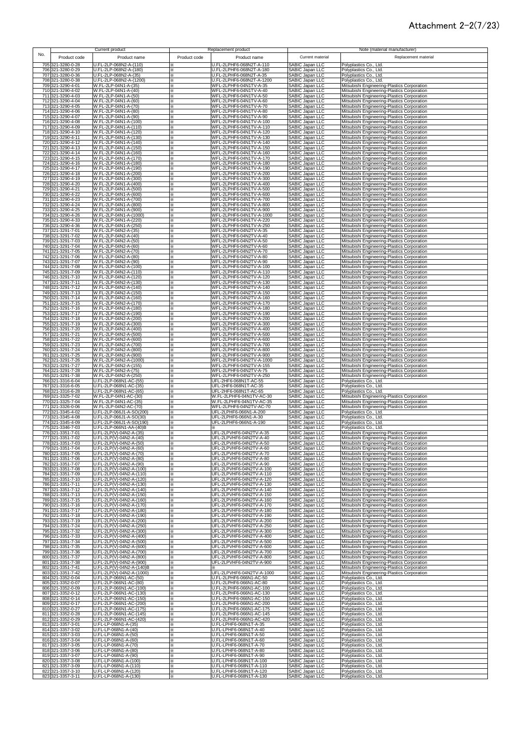### Attachment 2-2(7/23)

| No. |                                        | Current product                                       |                   | Replacement product                                  | Current material                                                         | Note (material manufacturer)                                                               |
|-----|----------------------------------------|-------------------------------------------------------|-------------------|------------------------------------------------------|--------------------------------------------------------------------------|--------------------------------------------------------------------------------------------|
|     | Product code<br>705 321-3280-0-28      | Product name<br>U.FL-2LP-068N2-A-(110)                | Product code<br>⋇ | Product name<br>U.FL-2LPHF6-068N2T-A-110             | <b>SABIC Japan LLC</b>                                                   | Replacement material<br>Polyplastics Co., Ltd.                                             |
|     | 706 321-3280-0-29                      | U.FL-2LP-068N2-A-(180)                                | ፠                 | U.FL-2LPHF6-068N2T-A-180                             | SABIC Japan LLC                                                          | Polyplastics Co., Ltd.                                                                     |
|     | 707 321-3280-0-36                      | U.FL-2LP-068N2-A-(35)                                 | ⋇                 | U.FL-2LPHF6-068N2T-A-35                              | SABIC Japan LLC                                                          | Polyplastics Co., Ltd.                                                                     |
|     | 708 321-3280-0-38                      | U.FL-2LP-068N2-A-(1200)                               | ⋇                 | U.FL-2LPHF6-068N2T-A-1200                            | SABIC Japan LLC                                                          | Polyplastics Co., Ltd.                                                                     |
|     | 709 321-3290-4-01                      | W.FL-2LP-04N1-A-(35)                                  | ⋇                 | WFL-2LPHF6-04N1TV-A-35                               | SABIC Japan LLC                                                          | Mitsubishi Engineering-Plastics Corporation                                                |
|     | 710 321-3290-4-02                      | W.FL-2LP-04N1-A-(40)                                  | ⋇                 | WFL-2LPHF6-04N1TV-A-40                               | SABIC Japan LLC                                                          | Mitsubishi Engineering-Plastics Corporation                                                |
|     | 711 321-3290-4-03                      | W.FL-2LP-04N1-A-(50)                                  | ⋇                 | WFL-2LPHF6-04N1TV-A-50                               | <b>SABIC Japan LLC</b>                                                   | Mitsubishi Engineering-Plastics Corporation                                                |
|     | 712 321-3290-4-04                      | W.FL-2LP-04N1-A-(60)                                  | ×                 | WFL-2LPHF6-04N1TV-A-60                               | SABIC Japan LLC                                                          | Mitsubishi Engineering-Plastics Corporation                                                |
|     | 713 321-3290-4-05                      | W.FL-2LP-04N1-A-(70)                                  | ×                 | WFL-2LPHF6-04N1TV-A-70                               | SABIC Japan LLC                                                          | Mitsubishi Engineering-Plastics Corporation                                                |
|     | 714 321-3290-4-06                      | W.FL-2LP-04N1-A-(80)                                  | ×                 | WFL-2LPHF6-04N1TV-A-80                               | SABIC Japan LLC                                                          | Mitsubishi Engineering-Plastics Corporation                                                |
|     | 715 321-3290-4-07                      | W.FL-2LP-04N1-A-(90)                                  | ⋇                 | WFL-2LPHF6-04N1TV-A-90                               | SABIC Japan LLC                                                          | Mitsubishi Engineering-Plastics Corporation                                                |
|     | 716 321-3290-4-08                      | W.FL-2LP-04N1-A-(100)                                 | ⋇                 | WFL-2LPHF6-04N1TV-A-100                              | SABIC Japan LLC                                                          | Mitsubishi Engineering-Plastics Corporation                                                |
|     | 717 321-3290-4-09                      | W.FL-2LP-04N1-A-(110)                                 | ⋇                 | WFL-2LPHF6-04N1TV-A-110                              | SABIC Japan LLC                                                          | Mitsubishi Engineering-Plastics Corporation                                                |
|     | 718 321-3290-4-10                      | W.FL-2LP-04N1-A-(120)                                 | ⋇                 | WFL-2LPHF6-04N1TV-A-120                              | SABIC Japan LLC                                                          | Mitsubishi Engineering-Plastics Corporation                                                |
|     | 719 321-3290-4-11                      | W.FL-2LP-04N1-A-(130)                                 | ⋇                 | WFL-2LPHF6-04N1TV-A-130                              | SABIC Japan LLC                                                          | Mitsubishi Engineering-Plastics Corporation                                                |
|     | 720 321-3290-4-12                      | W.FL-2LP-04N1-A-(140)                                 | ⋇                 | WFL-2LPHF6-04N1TV-A-140                              | SABIC Japan LLC                                                          | Mitsubishi Engineering-Plastics Corporation                                                |
|     | 721 321-3290-4-13                      | W.FL-2LP-04N1-A-(150)                                 | ⋇                 | WFL-2LPHF6-04N1TV-A-150                              | SABIC Japan LLC                                                          | Mitsubishi Engineering-Plastics Corporation                                                |
|     | 722 321-3290-4-14                      | W.FL-2LP-04N1-A-(160)                                 | ⋇                 | WFL-2LPHF6-04N1TV-A-160                              | SABIC Japan LLC                                                          | Mitsubishi Engineering-Plastics Corporation                                                |
|     | 723 321-3290-4-15                      | W.FL-2LP-04N1-A-(170)                                 | ⋇                 | WFL-2LPHF6-04N1TV-A-170                              | SABIC Japan LLC                                                          | Mitsubishi Engineering-Plastics Corporation                                                |
|     | 724 321-3290-4-16<br>725 321-3290-4-17 | W.FL-2LP-04N1-A-(180)<br>W.FL-2LP-04N1-A-(190)        | ×                 | WFL-2LPHF6-04N1TV-A-180<br>WFL-2LPHF6-04N1TV-A-190   | SABIC Japan LLC                                                          | Mitsubishi Engineering-Plastics Corporation                                                |
|     | 726 321-3290-4-18                      | W.FL-2LP-04N1-A-(200)                                 | ፠<br>፠            | WFL-2LPHF6-04N1TV-A-200                              | SABIC Japan LLC<br>SABIC Japan LLC                                       | Mitsubishi Engineering-Plastics Corporation<br>Mitsubishi Engineering-Plastics Corporation |
|     | 727 321-3290-4-19                      | W.FL-2LP-04N1-A-(300)                                 | ×                 | WFL-2LPHF6-04N1TV-A-300                              | SABIC Japan LLC                                                          | Mitsubishi Engineering-Plastics Corporation                                                |
|     | 728 321-3290-4-20                      | W.FL-2LP-04N1-A-(400)                                 | ⋇                 | WFL-2LPHF6-04N1TV-A-400                              | SABIC Japan LLC                                                          | Mitsubishi Engineering-Plastics Corporation                                                |
|     | 729 321-3290-4-21                      | W.FL-2LP-04N1-A-(500)                                 | ⋇                 | WFL-2LPHF6-04N1TV-A-500                              | SABIC Japan LLC                                                          | Mitsubishi Engineering-Plastics Corporation                                                |
|     | 730 321-3290-4-22                      | W.FL-2LP-04N1-A-(600)                                 | ⋇                 | WFL-2LPHF6-04N1TV-A-600                              | SABIC Japan LLC                                                          | Mitsubishi Engineering-Plastics Corporation                                                |
|     | 731 321-3290-4-23                      | W.FL-2LP-04N1-A-(700)                                 | ⋇                 | WFL-2LPHF6-04N1TV-A-700                              | SABIC Japan LLC                                                          | Mitsubishi Engineering-Plastics Corporation                                                |
|     | 732 321-3290-4-24                      | W.FL-2LP-04N1-A-(800)                                 | ⋇                 | WFL-2LPHF6-04N1TV-A-800                              | SABIC Japan LLC                                                          | Mitsubishi Engineering-Plastics Corporation                                                |
|     | 733 321-3290-4-25                      | W.FL-2LP-04N1-A-(900)                                 | ⋇                 | WFL-2LPHF6-04N1TV-A-900                              | SABIC Japan LLC                                                          | Mitsubishi Engineering-Plastics Corporation                                                |
|     | 734 321-3290-4-26                      | W.FL-2LP-04N1-A-(1000)                                | ⋇                 | WFL-2LPHF6-04N1TV-A-1000                             | SABIC Japan LLC                                                          | Mitsubishi Engineering-Plastics Corporation                                                |
|     | 735 321-3290-4-33                      | W.FL-2LP-04N1-A-(220)                                 | ⋇                 | WFL-2LPHF6-04N1TV-A-220                              | SABIC Japan LLC                                                          | Mitsubishi Engineering-Plastics Corporation                                                |
|     | 736 321-3290-4-36                      | W.FL-2LP-04N1-A-(250)                                 | ⋇                 | WFL-2LPHF6-04N1TV-A-250                              | SABIC Japan LLC                                                          | Mitsubishi Engineering-Plastics Corporation                                                |
|     | 737 321-3291-7-01                      | W.FL-2LP-04N2-A-(35)                                  | ×                 | WFL-2LPHF6-04N2TV-A-35                               | SABIC Japan LLC                                                          | Mitsubishi Engineering-Plastics Corporation                                                |
|     | 738 321-3291-7-02                      | W.FL-2LP-04N2-A-(40)                                  | ×                 | WFL-2LPHF6-04N2TV-A-40                               | SABIC Japan LLC                                                          | Mitsubishi Engineering-Plastics Corporation                                                |
|     | 739 321-3291-7-03                      | W.FL-2LP-04N2-A-(50)                                  | ⋇                 | WFL-2LPHF6-04N2TV-A-50                               | SABIC Japan LLC                                                          | Mitsubishi Engineering-Plastics Corporation                                                |
|     | 740 321-3291-7-04                      | W.FL-2LP-04N2-A-(60)                                  | ⋇                 | WFL-2LPHF6-04N2TV-A-60                               | SABIC Japan LLC                                                          | Mitsubishi Engineering-Plastics Corporation                                                |
|     | 741 321-3291-7-05                      | W.FL-2LP-04N2-A-(70)                                  | ⋇                 | WFL-2LPHF6-04N2TV-A-70                               | SABIC Japan LLC                                                          | Mitsubishi Engineering-Plastics Corporation                                                |
|     | 742 321-3291-7-06                      | W.FL-2LP-04N2-A-(80)                                  | ⋇                 | WFL-2LPHF6-04N2TV-A-80                               | SABIC Japan LLC                                                          | Mitsubishi Engineering-Plastics Corporation                                                |
|     | 743 321-3291-7-07                      | W.FL-2LP-04N2-A-(90)                                  | ⋇                 | WFL-2LPHF6-04N2TV-A-90                               | SABIC Japan LLC                                                          | Mitsubishi Engineering-Plastics Corporation                                                |
|     | 744 321-3291-7-08                      | W.FL-2LP-04N2-A-(100)                                 | ⋇                 | WFL-2LPHF6-04N2TV-A-100                              | SABIC Japan LLC                                                          | Mitsubishi Engineering-Plastics Corporation                                                |
|     | 745 321-3291-7-09                      | W.FL-2LP-04N2-A-(110)                                 | ⋇                 | WFL-2LPHF6-04N2TV-A-110                              | SABIC Japan LLC                                                          | Mitsubishi Engineering-Plastics Corporation                                                |
|     | 746 321-3291-7-10                      | W.FL-2LP-04N2-A-(120)                                 | ⋇                 | WFL-2LPHF6-04N2TV-A-120                              | SABIC Japan LLC                                                          | Mitsubishi Engineering-Plastics Corporation                                                |
|     | 747 321-3291-7-11                      | W.FL-2LP-04N2-A-(130)                                 | ፠                 | WFL-2LPHF6-04N2TV-A-130                              | SABIC Japan LLC                                                          | Mitsubishi Engineering-Plastics Corporation                                                |
|     | 748 321-3291-7-12                      | W.FL-2LP-04N2-A-(140)                                 | ⋇                 | WFL-2LPHF6-04N2TV-A-140                              | SABIC Japan LLC                                                          | Mitsubishi Engineering-Plastics Corporation                                                |
|     | 749 321-3291-7-13                      | W.FL-2LP-04N2-A-(150)                                 | ×                 | WFL-2LPHF6-04N2TV-A-150                              | <b>SABIC Japan LLC</b>                                                   | Mitsubishi Engineering-Plastics Corporation                                                |
|     | 750 321-3291-7-14                      | W.FL-2LP-04N2-A-(160)                                 | ⋇                 | WFL-2LPHF6-04N2TV-A-160                              | SABIC Japan LLC                                                          | Mitsubishi Engineering-Plastics Corporation                                                |
|     | 751 321-3291-7-15                      | W.FL-2LP-04N2-A-(170)                                 | ⋇                 | WFL-2LPHF6-04N2TV-A-170                              | SABIC Japan LLC                                                          | Mitsubishi Engineering-Plastics Corporation                                                |
|     | 752 321-3291-7-16                      | W.FL-2LP-04N2-A-(180)                                 | ፠                 | WFL-2LPHF6-04N2TV-A-180                              | SABIC Japan LLC                                                          | Mitsubishi Engineering-Plastics Corporation                                                |
|     | 753 321-3291-7-17                      | W.FL-2LP-04N2-A-(190)                                 | ⋇                 | WFL-2LPHF6-04N2TV-A-190                              | SABIC Japan LLC                                                          | Mitsubishi Engineering-Plastics Corporation                                                |
|     | 754 321-3291-7-18                      | W.FL-2LP-04N2-A-(200)                                 | ⋇                 | WFL-2LPHF6-04N2TV-A-200                              | SABIC Japan LLC                                                          | Mitsubishi Engineering-Plastics Corporation                                                |
|     | 755 321-3291-7-19                      | W.FL-2LP-04N2-A-(300)                                 | ×                 | WFL-2LPHF6-04N2TV-A-300                              | SABIC Japan LLC                                                          | Mitsubishi Engineering-Plastics Corporation                                                |
|     | 756 321-3291-7-20                      | W.FL-2LP-04N2-A-(400)                                 | ⋇                 | WFL-2LPHF6-04N2TV-A-400                              | SABIC Japan LLC                                                          | Mitsubishi Engineering-Plastics Corporation                                                |
|     | 757 321-3291-7-21                      | W.FL-2LP-04N2-A-(500)                                 | ×                 | WFL-2LPHF6-04N2TV-A-500                              | SABIC Japan LLC                                                          | Mitsubishi Engineering-Plastics Corporation                                                |
|     | 758 321-3291-7-22                      | W.FL-2LP-04N2-A-(600)                                 | ⋇                 | WFL-2LPHF6-04N2TV-A-600                              | SABIC Japan LLC                                                          | Mitsubishi Engineering-Plastics Corporation                                                |
|     | 759 321-3291-7-23                      | W.FL-2LP-04N2-A-(700)                                 | ⋇                 | WFL-2LPHF6-04N2TV-A-700                              | SABIC Japan LLC                                                          | Mitsubishi Engineering-Plastics Corporation                                                |
|     | 760 321-3291-7-24                      | W.FL-2LP-04N2-A-(800)                                 | ⋇                 | WFL-2LPHF6-04N2TV-A-800                              | SABIC Japan LLC                                                          | Mitsubishi Engineering-Plastics Corporation                                                |
|     | 761 321-3291-7-25                      | W.FL-2LP-04N2-A-(900)                                 | ⋇                 | WFL-2LPHF6-04N2TV-A-900                              | SABIC Japan LLC                                                          | Mitsubishi Engineering-Plastics Corporation                                                |
|     | 762 321-3291-7-26                      | W.FL-2LP-04N2-A-(1000)                                | ⋇                 | WFL-2LPHF6-04N2TV-A-1000                             | SABIC Japan LLC                                                          | Mitsubishi Engineering-Plastics Corporation                                                |
|     | 763 321-3291-7-27                      | W.FL-2LP-04N2-A-(155)                                 | ×                 | WFL-2LPHF6-04N2TV-A-155                              | SABIC Japan LLC                                                          | Mitsubishi Engineering-Plastics Corporation                                                |
|     | 764 321-3291-7-28                      | W.FL-2LP-04N2-A-(75)                                  | ×                 | WFL-2LPHF6-04N2TV-A-75                               | SABIC Japan LLC                                                          | Mitsubishi Engineering-Plastics Corporation                                                |
|     | 765 321-3291-7-38                      | W.FL-2LP-04N2-A-(250)                                 | ×                 | WFL-2LPHF6-04N2TV-A-250                              | SABIC Japan LLC                                                          | Mitsubishi Engineering-Plastics Corporation                                                |
|     | 766 321-3316-6-04                      | U.FL-2LP-068N1-AC-(55)                                | ⋇                 | UFL-2HF6-068N1T-AC-55                                | SABIC Japan LLC                                                          | Polyplastics Co., Ltd.                                                                     |
|     | 767 321-3316-6-05                      | U.FL-2LP-068N1-AC-(35)                                | ⋇                 | UFL-2HF6-068N1T-AC-35                                | SABIC Japan LLC                                                          | Polyplastics Co., Ltd.                                                                     |
|     | 768 321-3316-6-28                      | U.FL-2LP-068N1-AC-(65)                                | ⋇                 | UFL-2HF6-068N1T-AC-65                                | SABIC Japan LLC                                                          | Polyplastics Co., Ltd.                                                                     |
|     | 769 321-3325-7-02                      | W.FL-2LP-04N1-AC-(30)                                 | ⋇                 | W.FL-2LPHF6-04N1TV-AC-30                             | SABIC Japan LLC                                                          | Mitsubishi Engineering-Plastics Corporation                                                |
|     | 770 321-3325-7-04                      | W.FL-2LP-04N1-AC-(35)                                 | ⋇                 | W.FL-2LPHF6-04N1TV-AC-35                             | SABIC Japan LLC                                                          | Mitsubishi Engineering-Plastics Corporation                                                |
|     | 771 321-3326-0-06                      | W.FL-2LP-04N2-AC-(70)                                 | ⋇                 | WFL-2LPHF6-04N2TV-AC-70                              | SABIC Japan LLC                                                          | Mitsubishi Engineering-Plastics Corporation                                                |
|     | 772 321-3345-4-02                      | U.FL-2LP-066J1-A-SO(200)                              | ⋇                 | UFL-2LPHF6-066N1-A-200                               | SABIC Japan LLC                                                          | Polyplastics Co., Ltd.                                                                     |
|     | 773 321-3345-4-08                      | U.FL-2LP-066J1-A-SO(30)                               | ⋇                 | UFL-2LPHF6-066N1-A-30                                | SABIC Japan LLC                                                          | Polyplastics Co., Ltd.                                                                     |
|     | 774 321-3345-4-09                      | U.FL-2LP-066J1-A-SO(190)                              | ⋇                 | UFL-2LPHF6-066N1-A-190                               | SABIC Japan LLC                                                          | Polyplastics Co., Ltd.                                                                     |
|     | 775 321-3346-7-03                      | U.FL-2LP-066N1-AA-(40)B                               | ⋇                 | ⋇                                                    | SABIC Japan LLC                                                          | Polyplastics Co., Ltd.                                                                     |
|     | 776 321-3351-7-01                      | U.FL-2LP(V)-04N2-A-(35)                               | ፠                 | UFL-2LPVHF6-04N2TV-A-35                              | SABIC Japan LLC                                                          | Mitsubishi Engineering-Plastics Corporation                                                |
|     | 777 321-3351-7-02                      | U.FL-2LP(V)-04N2-A-(40)                               | ፠                 | UFL-2LPVHF6-04N2TV-A-40                              | SABIC Japan LLC                                                          | Mitsubishi Engineering-Plastics Corporation                                                |
|     | 778 321-3351-7-03                      | U.FL-2LP(V)-04N2-A-(50)                               |                   | UFL-2LPVHF6-04N2 IV-A-50                             | SABIC Japan LLL                                                          | Mitsubishi Engineering-Plastics Corporation                                                |
|     | 779 321-3351-7-04                      | U.FL-2LP(V)-04N2-A-(60)                               | ⋇                 | UFL-2LPVHF6-04N2TV-A-60                              | SABIC Japan LLC                                                          | Mitsubishi Engineering-Plastics Corporation                                                |
|     | 780 321-3351-7-05                      | U.FL-2LP(V)-04N2-A-(70)                               | ⋇                 | UFL-2LPVHF6-04N2TV-A-70                              | SABIC Japan LLC                                                          | Mitsubishi Engineering-Plastics Corporation                                                |
|     | 781 321-3351-7-06<br>782 321-3351-7-07 | U.FL-2LP(V)-04N2-A-(80)<br>U.FL-2LP(V)-04N2-A-(90)    | ⋇<br>⋇            | UFL-2LPVHF6-04N2TV-A-80<br>UFL-2LPVHF6-04N2TV-A-90   | SABIC Japan LLC                                                          | Mitsubishi Engineering-Plastics Corporation<br>Mitsubishi Engineering-Plastics Corporation |
|     | 783 321-3351-7-08<br>784 321-3351-7-09 | U.FL-2LP(V)-04N2-A-(100)<br>U.FL-2LP(V)-04N2-A-(110)  | ፠<br>⋇            | UFL-2LPVHF6-04N2TV-A-100<br>UFL-2LPVHF6-04N2TV-A-110 | SABIC Japan LLC<br>SABIC Japan LLC<br>SABIC Japan LLC<br>SABIC Japan LLC | Mitsubishi Engineering-Plastics Corporation<br>Mitsubishi Engineering-Plastics Corporation |
|     | 785 321-3351-7-10<br>786 321-3351-7-11 | U.FL-2LP(V)-04N2-A-(120)<br>U.FL-2LP(V)-04N2-A-(130)  | ⋇<br>⋇            | UFL-2LPVHF6-04N2TV-A-120<br>UFL-2LPVHF6-04N2TV-A-130 | SABIC Japan LLC                                                          | Mitsubishi Engineering-Plastics Corporation<br>Mitsubishi Engineering-Plastics Corporation |
|     | 787 321-3351-7-12                      | U.FL-2LP(V)-04N2-A-(140)                              | ⋇                 | UFL-2LPVHF6-04N2TV-A-140                             | SABIC Japan LLC                                                          | Mitsubishi Engineering-Plastics Corporation                                                |
|     | 788 321-3351-7-13                      | U.FL-2LP(V)-04N2-A-(150)                              | ×                 | UFL-2LPVHF6-04N2TV-A-150                             | SABIC Japan LLC                                                          | Mitsubishi Engineering-Plastics Corporation                                                |
|     | 789 321-3351-7-15                      | U.FL-2LP(V)-04N2-A-(160)                              | ×                 | UFL-2LPVHF6-04N2TV-A-160                             | SABIC Japan LLC                                                          | Mitsubishi Engineering-Plastics Corporation                                                |
|     | 790 321-3351-7-16                      | U.FL-2LP(V)-04N2-A-(170)                              | ×                 | UFL-2LPVHF6-04N2TV-A-170                             | SABIC Japan LLC                                                          | Mitsubishi Engineering-Plastics Corporation                                                |
|     | 791 321-3351-7-17                      | U.FL-2LP(V)-04N2-A-(180)                              | ⋇                 | UFL-2LPVHF6-04N2TV-A-180                             | SABIC Japan LLC                                                          | Mitsubishi Engineering-Plastics Corporation                                                |
|     | 792 321-3351-7-18                      | U.FL-2LP(V)-04N2-A-(190)                              | ⋇                 | UFL-2LPVHF6-04N2TV-A-190                             | SABIC Japan LLC                                                          | Mitsubishi Engineering-Plastics Corporation                                                |
|     | 793 321-3351-7-19                      | U.FL-2LP(V)-04N2-A-(200)                              | ×                 | UFL-2LPVHF6-04N2TV-A-200                             | SABIC Japan LLC                                                          | Mitsubishi Engineering-Plastics Corporation                                                |
|     | 794 321-3351-7-24                      | U.FL-2LP(V)-04N2-A-(250)                              | ×                 | UFL-2LPVHF6-04N2TV-A-250                             | SABIC Japan LLC                                                          | Mitsubishi Engineering-Plastics Corporation                                                |
|     | 795 321-3351-7-32                      | U.FL-2LP(V)-04N2-A-(300)                              | ⋇                 | UFL-2LPVHF6-04N2TV-A-300                             | SABIC Japan LLC                                                          | Mitsubishi Engineering-Plastics Corporation                                                |
|     | 796 321-3351-7-33                      | U.FL-2LP(V)-04N2-A-(400)                              | ⋇                 | UFL-2LPVHF6-04N2TV-A-400                             | SABIC Japan LLC                                                          | Mitsubishi Engineering-Plastics Corporation                                                |
|     | 797 321-3351-7-34                      | U.FL-2LP(V)-04N2-A-(500)                              | ⋇                 | UFL-2LPVHF6-04N2TV-A-500                             | SABIC Japan LLC                                                          | Mitsubishi Engineering-Plastics Corporation                                                |
|     | 798 321-3351-7-35                      | U.FL-2LP(V)-04N2-A-(600)                              | ⋇                 | UFL-2LPVHF6-04N2TV-A-600                             | SABIC Japan LLC                                                          | Mitsubishi Engineering-Plastics Corporation                                                |
|     | 799 321-3351-7-36                      | U.FL-2LP(V)-04N2-A-(700)                              | ⋇                 | UFL-2LPVHF6-04N2TV-A-700                             | SABIC Japan LLC                                                          | Mitsubishi Engineering-Plastics Corporation                                                |
|     | 800 321-3351-7-37                      | U.FL-2LP(V)-04N2-A-(800)                              | ⋇                 | UFL-2LPVHF6-04N2TV-A-800                             | SABIC Japan LLC                                                          | Mitsubishi Engineering-Plastics Corporation                                                |
|     | 801 321-3351-7-38<br>802 321-3351-7-41 | U.FL-2LP(V)-04N2-A-(900)<br>U.FL-2LP(V)-04N2-A-(140)B | ⋇<br>×            | UFL-2LPVHF6-04N2TV-A-900                             | SABIC Japan LLC<br>SABIC Japan LLC                                       | Mitsubishi Engineering-Plastics Corporation<br>Mitsubishi Engineering-Plastics Corporation |
|     | 803 321-3351-7-42                      | U.FL-2LP(V)-04N2-A-(1000)                             | ×                 | UFL-2LPVHF6-04N2TV-A-1000                            | SABIC Japan LLC                                                          | Mitsubishi Engineering-Plastics Corporation                                                |
|     | 804 321-3352-0-04                      | U.FL-2LP-066N1-AC-(50)                                | ⋇                 | U.FL-2LPHF6-066N1-AC-50                              | SABIC Japan LLC                                                          | Polyplastics Co., Ltd.                                                                     |
|     | 805 321-3352-0-07                      | U.FL-2LP-066N1-AC-(80)                                | ⋇                 | U.FL-2LPHF6-066N1-AC-80                              | SABIC Japan LLC                                                          | Polyplastics Co., Ltd.                                                                     |
|     | 806 321-3352-0-09                      | U.FL-2LP-066N1-AC-(100)                               | ×                 | U.FL-2LPHF6-066N1-AC-100                             | SABIC Japan LLC                                                          | Polyplastics Co., Ltd.                                                                     |
|     | 807 321-3352-0-12                      | U.FL-2LP-066N1-AC-(130)                               | ×                 | U.FL-2LPHF6-066N1-AC-130                             | SABIC Japan LLC                                                          | Polyplastics Co., Ltd.                                                                     |
|     | 808 321-3352-0-14                      | U.FL-2LP-066N1-AC-(150)                               | ×                 | U.FL-2LPHF6-066N1-AC-150                             | SABIC Japan LLC                                                          | Polyplastics Co., Ltd.                                                                     |
|     | 809 321-3352-0-17                      | U.FL-2LP-066N1-AC-(200)                               | ⋇                 | U.FL-2LPHF6-066N1-AC-200                             | SABIC Japan LLC                                                          | Polyplastics Co., Ltd.                                                                     |
|     | 810 321-3352-0-27                      | U.FL-2LP-066N1-AC-(175)                               | ⋇                 | U.FL-2LPHF6-066N1-AC-175                             | SABIC Japan LLC                                                          | Polyplastics Co., Ltd.                                                                     |
|     | 811 321-3352-0-28                      | U.FL-2LP-066N1-AC-(145)                               | ⋇                 | U.FL-2LPHF6-066N1-AC-145                             | SABIC Japan LLC                                                          | Polyplastics Co., Ltd.                                                                     |
|     | 812 321-3352-0-29                      | U.FL-2LP-066N1-AC-(420)                               | ⋇                 | U.FL-2LPHF6-066N1-AC-420                             | SABIC Japan LLC                                                          | Polyplastics Co., Ltd.                                                                     |
|     | 813 321-3357-3-01                      | U.FL-LP-068N1-A-(35)                                  | ×                 | U.FL-LPHF6-068N1T-A-35                               | SABIC Japan LLC                                                          | Polyplastics Co., Ltd.                                                                     |
|     | 814 321-3357-3-02                      | U.FL-LP-068N1-A-(40)                                  | ×                 | U.FL-LPHF6-068N1T-A-40                               | SABIC Japan LLC                                                          | Polyplastics Co., Ltd.                                                                     |
|     | 815 321-3357-3-03                      | U.FL-LP-068N1-A-(50)                                  | ×                 | U.FL-LPHF6-068N1T-A-50                               | SABIC Japan LLC                                                          | Polyplastics Co., Ltd.                                                                     |
|     | 816 321-3357-3-04                      | U.FL-LP-068N1-A-(60)                                  | ×                 | U.FL-LPHF6-068N1T-A-60                               | <b>SABIC Japan LLC</b>                                                   | Polyplastics Co., Ltd.                                                                     |
|     | 817 321-3357-3-05                      | U.FL-LP-068N1-A-(70)                                  | ⋇                 | U.FL-LPHF6-068N1T-A-70                               | SABIC Japan LLC                                                          | Polyplastics Co., Ltd.                                                                     |
|     | 818 321-3357-3-06                      | U.FL-LP-068N1-A-(80)                                  | ⋇                 | U.FL-LPHF6-068N1T-A-80                               | SABIC Japan LLC                                                          | Polyplastics Co., Ltd.                                                                     |
|     | 819 321-3357-3-07                      | U.FL-LP-068N1-A-(90)                                  | ⋇                 | U.FL-LPHF6-068N1T-A-90                               | SABIC Japan LLC                                                          | Polyplastics Co., Ltd.                                                                     |
|     | 820 321-3357-3-08                      | U.FL-LP-068N1-A-(100)                                 | ⋇                 | U.FL-LPHF6-068N1T-A-100                              | SABIC Japan LLC                                                          | Polyplastics Co., Ltd.                                                                     |
|     | 821 321-3357-3-09                      | U.FL-LP-068N1-A-(110)                                 | ⋇                 | U.FL-LPHF6-068N1T-A-110                              | SABIC Japan LLC                                                          | Polyplastics Co., Ltd.                                                                     |
|     | 822 321-3357-3-10                      | U.FL-LP-068N1-A-(120)                                 | ⋇                 | U.FL-LPHF6-068N1T-A-120                              | SABIC Japan LLC                                                          | Polyplastics Co., Ltd.                                                                     |
|     | 823 321-3357-3-11                      | U.FL-LP-068N1-A-(130)                                 | ⋇                 | U.FL-LPHF6-068N1T-A-130                              | SABIC Japan LLC                                                          | Polyplastics Co., Ltd.                                                                     |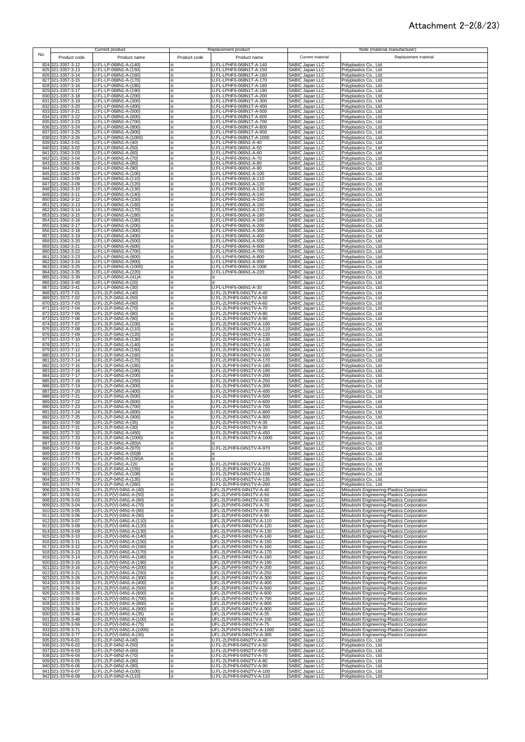### Attachment 2-2(8/23)

| No.        |                                        | Current product                                      |              | Replacement product                                  | Current material                                      | Note (material manufacturer)<br>Replacement material                                       |
|------------|----------------------------------------|------------------------------------------------------|--------------|------------------------------------------------------|-------------------------------------------------------|--------------------------------------------------------------------------------------------|
|            | Product code<br>824 321-3357-3-12      | Product name<br>U.FL-LP-068N1-A-(140)                | Product code | Product name<br>U.FL-LPHF6-068N1T-A-140              | <b>SABIC Japan LLC</b>                                | Polyplastics Co., Ltd.                                                                     |
|            | 825 321-3357-3-13                      | U.FL-LP-068N1-A-(150)                                | ×            | U.FL-LPHF6-068N1T-A-150                              | SABIC Japan LLC                                       | Polyplastics Co., Ltd.                                                                     |
|            | 826 321-3357-3-14                      | U.FL-LP-068N1-A-(160)                                | ×            | U.FL-LPHF6-068N1T-A-160                              | SABIC Japan LLC                                       | Polyplastics Co., Ltd.                                                                     |
|            | 827 321-3357-3-15                      | U.FL-LP-068N1-A-(170)                                |              | U.FL-LPHF6-068N1T-A-170                              | SABIC Japan LLC<br>SABIC Japan LLC                    | Polyplastics Co., Ltd.                                                                     |
|            | 828 321-3357-3-16<br>829 321-3357-3-17 | U.FL-LP-068N1-A-(180)<br>U.FL-LP-068N1-A-(190)       | ×<br>×       | U.FL-LPHF6-068N1T-A-180<br>U.FL-LPHF6-068N1T-A-190   | SABIC Japan LLC                                       | Polyplastics Co., Ltd.<br>Polyplastics Co., Ltd.                                           |
|            | 830 321-3357-3-18                      | U.FL-LP-068N1-A-(200)                                | ×            | U.FL-LPHF6-068N1T-A-200                              | SABIC Japan LLC                                       | Polyplastics Co., Ltd.                                                                     |
|            | 831 321-3357-3-19                      | U.FL-LP-068N1-A-(300)                                | ×.           | U.FL-LPHF6-068N1T-A-300                              | SABIC Japan LLC                                       | Polyplastics Co., Ltd.                                                                     |
|            | 832 321-3357-3-20                      | U.FL-LP-068N1-A-(400)                                | ×.           | U.FL-LPHF6-068N1T-A-400                              | SABIC Japan LLC                                       | Polyplastics Co., Ltd.                                                                     |
|            | 833 321-3357-3-21                      | U.FL-LP-068N1-A-(500)                                | $\times$     | U.FL-LPHF6-068N1T-A-500                              | SABIC Japan LLC                                       | Polyplastics Co., Ltd.                                                                     |
|            | 834 321-3357-3-22                      | U.FL-LP-068N1-A-(600)                                | ⋇            | U.FL-LPHF6-068N1T-A-600                              | SABIC Japan LLC                                       | Polyplastics Co., Ltd.                                                                     |
|            | 835 321-3357-3-23                      | U.FL-LP-068N1-A-(700)                                | ⋇            | U.FL-LPHF6-068N1T-A-700                              | SABIC Japan LLC                                       | Polyplastics Co., Ltd.                                                                     |
|            | 836 321-3357-3-24<br>837 321-3357-3-25 | U.FL-LP-068N1-A-(800)<br>U.FL-LP-068N1-A-(900)       | ×<br>⋇       | U.FL-LPHF6-068N1T-A-800<br>U.FL-LPHF6-068N1T-A-900   | SABIC Japan LLC<br>SABIC Japan LLC                    | Polyplastics Co., Ltd.                                                                     |
|            | 838 321-3357-3-26                      | U.FL-LP-068N1-A-(1000)                               | ×            | U.FL-LPHF6-068N1T-A-1000                             | SABIC Japan LLC                                       | Polyplastics Co., Ltd.<br>Polyplastics Co., Ltd.                                           |
|            | 839 321-3362-3-01                      | U.FL-LP-066N1-A-(40)                                 | ×.           | U.FL-LPHF6-066N1-A-40                                | SABIC Japan LLC                                       | Polyplastics Co., Ltd.                                                                     |
|            | 840 321-3362-3-02                      | U.FL-LP-066N1-A-(50)                                 | ×.           | U.FL-LPHF6-066N1-A-50                                | SABIC Japan LLC                                       | Polyplastics Co., Ltd.                                                                     |
|            | 841 321-3362-3-03                      | U.FL-LP-066N1-A-(60)                                 | ×            | U.FL-LPHF6-066N1-A-60                                | SABIC Japan LLC                                       | Polyplastics Co., Ltd.                                                                     |
|            | 842 321-3362-3-04                      | U.FL-LP-066N1-A-(70)                                 | ×            | U.FL-LPHF6-066N1-A-70                                | SABIC Japan LLC                                       | Polyplastics Co., Ltd.                                                                     |
|            | 843 321-3362-3-05                      | U.FL-LP-066N1-A-(80)                                 | ⋇            | U.FL-LPHF6-066N1-A-80                                | SABIC Japan LLC                                       | Polyplastics Co., Ltd.                                                                     |
|            | 844 321-3362-3-06                      | U.FL-LP-066N1-A-(90)                                 | ⋇            | U.FL-LPHF6-066N1-A-90                                | SABIC Japan LLC                                       | Polyplastics Co., Ltd.                                                                     |
|            | 845 321-3362-3-07                      | U.FL-LP-066N1-A-(100)                                | ⋇            | U.FL-LPHF6-066N1-A-100                               | SABIC Japan LLC                                       | Polyplastics Co., Ltd.                                                                     |
|            | 846 321-3362-3-08                      | U.FL-LP-066N1-A-(110)                                | $\times$     | U.FL-LPHF6-066N1-A-110                               | SABIC Japan LLC                                       | Polyplastics Co., Ltd.                                                                     |
|            | 847 321-3362-3-09                      | U.FL-LP-066N1-A-(120)                                |              | J.FL-LPHF6-066N1-A-120                               | SABIC Japan LLC                                       | Polyplastics Co., Ltd.                                                                     |
|            | 848 321-3362-3-10<br>849 321-3362-3-11 | U.FL-LP-066N1-A-(130)<br>U.FL-LP-066N1-A-(140)       | X            | U.FL-LPHF6-066N1-A-130<br>U.FL-LPHF6-066N1-A-140     | SABIC Japan LLC<br>SABIC Japan LLC                    | Polyplastics Co., Ltd.<br>Polyplastics Co., Ltd.                                           |
| 850        | 321-3362-3-12                          | U.FL-LP-066N1-A-(150)                                | ⋇            | U.FL-LPHF6-066N1-A-150                               | SABIC Japan LLC                                       | Polyplastics Co., Ltd.                                                                     |
| 851        | 321-3362-3-13                          | U.FL-LP-066N1-A-(160)                                | ⋇            | U.FL-LPHF6-066N1-A-160                               | SABIC Japan LLC                                       | Polyplastics Co., Ltd.                                                                     |
| 852        | 321-3362-3-14                          | U.FL-LP-066N1-A-(170)                                |              | U.FL-LPHF6-066N1-A-170                               | SABIC Japan LLC                                       | Polyplastics Co., Ltd.                                                                     |
| 853        | 321-3362-3-15                          | U.FL-LP-066N1-A-(180)                                |              | J.FL-LPHF6-066N1-A-180                               | SABIC Japan LLC                                       | Polyplastics Co., Ltd.                                                                     |
| 854        | 321-3362-3-16                          | U.FL-LP-066N1-A-(190)                                |              | U.FL-LPHF6-066N1-A-190                               | SABIC Japan LLC                                       | Polyplastics Co., Ltd.                                                                     |
| 855        | 321-3362-3-17                          | U.FL-LP-066N1-A-(200)                                |              | J.FL-LPHF6-066N1-A-200                               | SABIC Japan LLC                                       | Polyplastics Co., Ltd.                                                                     |
| 856        | 321-3362-3-18                          | U.FL-LP-066N1-A-(300)<br>U.FL-LP-066N1-A-(400)       | ⋇            | U.FL-LPHF6-066N1-A-300                               | SABIC Japan LLC<br><b>SABIC Japan LLC</b>             | Polyplastics Co., Ltd.                                                                     |
| 857<br>858 | 321-3362-3-19<br>321-3362-3-20         | U.FL-LP-066N1-A-(500)                                | ⋇<br>×.      | U.FL-LPHF6-066N1-A-400<br>U.FL-LPHF6-066N1-A-500     | SABIC Japan LLC                                       | Polyplastics Co., Ltd.<br>Polyplastics Co., Ltd.                                           |
| 859        | 321-3362-3-21                          | U.FL-LP-066N1-A-(600)                                | ⋇            | U.FL-LPHF6-066N1-A-600                               | SABIC Japan LLC                                       | Polyplastics Co., Ltd.                                                                     |
| 860        | 321-3362-3-22                          | U.FL-LP-066N1-A-(700)                                | ⋇            | U.FL-LPHF6-066N1-A-700                               | SABIC Japan LLC                                       | Polyplastics Co., Ltd.                                                                     |
| 861        | 321-3362-3-23                          | U.FL-LP-066N1-A-(800)                                | ⋇            | U.FL-LPHF6-066N1-A-800                               | SABIC Japan LLC                                       | Polyplastics Co., Ltd.                                                                     |
| 862        | 321-3362-3-24                          | U.FL-LP-066N1-A-(900)                                | ⋇            | U.FL-LPHF6-066N1-A-900                               | <b>SABIC Japan LLC</b>                                | Polyplastics Co., Ltd.                                                                     |
| 863        | 321-3362-3-25                          | U.FL-LP-066N1-A-(1000)                               | ⋇            | U.FL-LPHF6-066N1-A-1000                              | SABIC Japan LLC                                       | Polyplastics Co., Ltd.                                                                     |
|            | 864 321-3362-3-35                      | U.FL-LP-066N1-A-(220)                                | ⋇            | U.FL-LPHF6-066N1-A-220                               | SABIC Japan LLC                                       | Polyplastics Co., Ltd.                                                                     |
|            | 865 321-3362-3-39<br>866 321-3362-3-40 | U.FL-LP-066N1-A-(41)A<br>U.FL-LP-066N1-A-(20)        | ⋇<br>⋇       |                                                      | SABIC Japan LLC<br>SABIC Japan LLC                    | Polyplastics Co., Ltd.<br>Polyplastics Co., Ltd.                                           |
|            | 867 321-3362-3-41<br>868 321-3372-7-01 | U.FL-LP-066N1-A-(30)                                 | ⋇            | U.FL-LPHF6-066N1-A-30                                | SABIC Japan LLC                                       | Polyplastics Co., Ltd.                                                                     |
|            | 869 321-3372-7-02                      | U.FL-2LP-04N1-A-(40)<br>U.FL-2LP-04N1-A-(50)         | ⋇<br>⋇       | U.FL-2LPHF6-04N1TV-A-40<br>U.FL-2LPHF6-04N1TV-A-50   | <b>SABIC Japan LLC</b><br>SABIC Japan LLC             | Polyplastics Co., Ltd.<br>Polyplastics Co., Ltd.                                           |
|            | 870 321-3372-7-03                      | U.FL-2LP-04N1-A-(60)                                 | ⋇            | U.FL-2LPHF6-04N1TV-A-60                              | SABIC Japan LLC                                       | Polyplastics Co., Ltd.                                                                     |
|            | 871 321-3372-7-04                      | U.FL-2LP-04N1-A-(70)                                 | ⋇            | U.FL-2LPHF6-04N1TV-A-70                              | SABIC Japan LLC                                       | Polyplastics Co., Ltd.                                                                     |
|            | 872 321-3372-7-05                      | U.FL-2LP-04N1-A-(80)                                 | ×            | U.FL-2LPHF6-04N1TV-A-80                              | SABIC Japan LLC                                       | Polyplastics Co., Ltd.                                                                     |
|            | 873 321-3372-7-06                      | U.FL-2LP-04N1-A-(90)                                 | ⋇            | J.FL-2LPHF6-04N1TV-A-90                              | SABIC Japan LLC                                       | Polyplastics Co., Ltd.                                                                     |
|            | 874 321-3372-7-07                      | U.FL-2LP-04N1-A-(100)                                | ×            | J.FL-2LPHF6-04N1TV-A-100                             | SABIC Japan LLC                                       | Polyplastics Co., Ltd.                                                                     |
|            | 875 321-3372-7-08                      | U.FL-2LP-04N1-A-(110)                                | ×            | U.FL-2LPHF6-04N1TV-A-110                             | SABIC Japan LLC                                       | Polyplastics Co., Ltd.                                                                     |
|            | 876 321-3372-7-09                      | U.FL-2LP-04N1-A-(120)<br>U.FL-2LP-04N1-A-(130)       | ×            | U.FL-2LPHF6-04N1TV-A-120<br>U.FL-2LPHF6-04N1TV-A-130 | SABIC Japan LLC                                       | Polyplastics Co., Ltd.<br>Polyplastics Co., Ltd.                                           |
|            | 877 321-3372-7-10<br>878 321-3372-7-11 | U.FL-2LP-04N1-A-(140)                                | ×            | U.FL-2LPHF6-04N1TV-A-140                             | SABIC Japan LLC<br>SABIC Japan LLC                    | Polyplastics Co., Ltd.                                                                     |
|            | 879 321-3372-7-12<br>880 321-3372-7-13 | U.FL-2LP-04N1-A-(150)<br>U.FL-2LP-04N1-A-(160)       | ×            | U.FL-2LPHF6-04N1TV-A-150<br>U.FL-2LPHF6-04N1TV-A-160 | SABIC Japan LLC<br>SABIC Japan LLC                    | Polyplastics Co., Ltd.<br>Polyplastics Co., Ltd.                                           |
|            | 881 321-3372-7-14<br>882 321-3372-7-15 | U.FL-2LP-04N1-A-(170)<br>U.FL-2LP-04N1-A-(180)       | ×            | U.FL-2LPHF6-04N1TV-A-170<br>U.FL-2LPHF6-04N1TV-A-180 | SABIC Japan LLC<br>SABIC Japan LLC                    | Polyplastics Co., Ltd.<br>Polyplastics Co., Ltd.                                           |
|            | 883 321-3372-7-16                      | U.FL-2LP-04N1-A-(190)                                | ⋇            | U.FL-2LPHF6-04N1TV-A-190                             | SABIC Japan LLC                                       | Polyplastics Co., Ltd.                                                                     |
|            | 884 321-3372-7-17                      | U.FL-2LP-04N1-A-(200)                                | ×.           | U.FL-2LPHF6-04N1TV-A-200                             | SABIC Japan LLC                                       | Polyplastics Co., Ltd.                                                                     |
|            | 885 321-3372-7-18                      | U.FL-2LP-04N1-A-(250)                                | ⋇            | U.FL-2LPHF6-04N1TV-A-250                             | SABIC Japan LLC                                       | Polyplastics Co., Ltd.                                                                     |
|            | 886 321-3372-7-19                      | U.FL-2LP-04N1-A-(300)                                | ×            | U.FL-2LPHF6-04N1TV-A-300                             | SABIC Japan LLC                                       | Polyplastics Co., Ltd.                                                                     |
|            | 887 321-3372-7-20                      | U.FL-2LP-04N1-A-(400)<br>U.FL-2LP-04N1-A-(500)       | ⋇<br>×.      | U.FL-2LPHF6-04N1TV-A-400<br>U.FL-2LPHF6-04N1TV-A-500 | SABIC Japan LLC                                       | Polyplastics Co., Ltd.                                                                     |
|            | 888 321-3372-7-21<br>889 321-3372-7-22 | U.FL-2LP-04N1-A-(600)                                | ×.           | U.FL-2LPHF6-04N1TV-A-600                             | SABIC Japan LLC<br>SABIC Japan LLC                    | Polyplastics Co., Ltd.<br>Polyplastics Co., Ltd.                                           |
|            | 890 321-3372-7-23                      | U.FL-2LP-04N1-A-(700)                                | ×.           | U.FL-2LPHF6-04N1TV-A-700                             | SABIC Japan LLC                                       | Polyplastics Co., Ltd.                                                                     |
|            | 891 321-3372-7-24                      | U.FL-2LP-04N1-A-(800)                                | ×            | U.FL-2LPHF6-04N1TV-A-800                             | SABIC Japan LLC                                       | Polyplastics Co., Ltd.                                                                     |
|            | 892 321-3372-7-25                      | U.FL-2LP-04N1-A-(900)                                | $\times$     | U.FL-2LPHF6-04N1TV-A-900                             | SABIC Japan LLC                                       | Polyplastics Co., Ltd.                                                                     |
|            | 893 321-3372-7-30                      | U.FL-2LP-04N1-A-(35)                                 | ×            | U.FL-2LPHF6-04N1TV-A-35                              | SABIC Japan LLC                                       | Polyplastics Co., Ltd.                                                                     |
|            | 894 321-3372-7-31                      | U.FL-2LP-04N1-A-(30)                                 | ⋇            | U.FL-2LPHF6-04N1TV-A-30                              | SABIC Japan LLC                                       | Polyplastics Co., Ltd.                                                                     |
|            | 895 321-3372-7-32                      | U.FL-2LP-04N1-A-(450)                                | ⋇            | U.FL-2LPHF6-04N1TV-A-450                             | SABIC Japan LLC                                       | Polyplastics Co., Ltd.                                                                     |
|            | 896 321-3372-7-33<br>897 321-3372-7-53 | U.FL-2LP-04N1-A-(1000)<br>U.FL-2LP-04N1-A-(80)A      | ×            | U.FL-2LPHF6-04N1TV-A-1000                            | SABIC Japan LLC<br>SABIC Japan LLL                    | Polyplastics Co., Ltd.<br>Polyplastics Co., Ltd.                                           |
|            | 898 321-3372-7-59                      | U.FL-2LP-04N1-A-(970)                                | ⋇            | U.FL-2LPHF6-04N1TV-A-970                             | SABIC Japan LLC                                       | Polyplastics Co., Ltd.                                                                     |
|            | 899 321-3372-7-65<br>900 321-3372-7-73 | U.FL-2LP-04N1-A-(50)B<br>U.FL-2LP-04N1-A-(150)A      | ⋇<br>⋇       |                                                      | SABIC Japan LLC<br><b>SABIC Japan LLC</b>             | Polyplastics Co., Ltd.<br>Polyplastics Co., Ltd.                                           |
|            | 901 321-3372-7-75                      | U.FL-2LP-04N1-A-220                                  | ⋇            | U.FL-2LPHF6-04N1TV-A-220                             | SABIC Japan LLC                                       | Polyplastics Co., Ltd.                                                                     |
|            | 902 321-3372-7-76                      | U.FL-2LP-04N1-A-(155)                                | ×            | U.FL-2LPHF6-04N1TV-A-155                             | SABIC Japan LLC                                       | Polyplastics Co., Ltd.                                                                     |
| 903        | 321-3372-7-77<br>904 321-3372-7-78     | U.FL-2LP-04N1-A-(108)<br>U.FL-2LP-04N1-A-(135)       |              | U.FL-2LPHF6-04N1TV-A-108<br>U.FL-2LPHF6-04N1TV-A-135 | SABIC Japan LLC<br>SABIC Japan LLC                    | Polyplastics Co., Ltd.<br>Polyplastics Co., Ltd.                                           |
|            | 905 321-3372-7-79<br>906 321-3378-3-01 | U.FL-2LP-04N1-A-(260)<br>U.FL-2LP(V)-04N1-A-(40)     | ⋇            | U.FL-2LPHF6-04N1TV-A-260<br>UFL-2LPVHF6-04N1TV-A-40  | SABIC Japan LLC<br>SABIC Japan LLC                    | Polyplastics Co., Ltd.<br>Mitsubishi Engineering-Plastics Corporation                      |
|            | 907 321-3378-3-02                      | U.FL-2LP(V)-04N1-A-(50)                              | ⋇            | UFL-2LPVHF6-04N1TV-A-50                              | SABIC Japan LLC                                       | Mitsubishi Engineering-Plastics Corporation                                                |
|            | 908 321-3378-3-03                      | U.FL-2LP(V)-04N1-A-(60)                              | ⋇            | UFL-2LPVHF6-04N1TV-A-60                              | SABIC Japan LLC                                       | Mitsubishi Engineering-Plastics Corporation                                                |
| 909        | 321-3378-3-04                          | U.FL-2LP(V)-04N1-A-(70)                              | ×.           | UFL-2LPVHF6-04N1TV-A-70                              | SABIC Japan LLC                                       | Mitsubishi Engineering-Plastics Corporation                                                |
|            | 910 321-3378-3-05                      | U.FL-2LP(V)-04N1-A-(80)                              | ፠            | UFL-2LPVHF6-04N1TV-A-80                              | SABIC Japan LLC                                       | Mitsubishi Engineering-Plastics Corporation                                                |
|            | 911 321-3378-3-06                      | U.FL-2LP(V)-04N1-A-(90)                              | ⋇            | UFL-2LPVHF6-04N1TV-A-90                              | SABIC Japan LLC                                       | Mitsubishi Engineering-Plastics Corporation                                                |
|            | 912 321-3378-3-07                      | U.FL-2LP(V)-04N1-A-(110)                             | ⋇            | UFL-2LPVHF6-04N1TV-A-110                             | SABIC Japan LLC                                       | Mitsubishi Engineering-Plastics Corporation                                                |
|            | 913 321-3378-3-08                      | U.FL-2LP(V)-04N1-A-(120)                             | ⋇            | UFL-2LPVHF6-04N1TV-A-120                             | SABIC Japan LLC                                       | Mitsubishi Engineering-Plastics Corporation                                                |
|            | 914 321-3378-3-09                      | U.FL-2LP(V)-04N1-A-(130)                             | ⋇            | UFL-2LPVHF6-04N1TV-A-130                             | SABIC Japan LLC                                       | Mitsubishi Engineering-Plastics Corporation                                                |
|            | 915 321-3378-3-10                      | U.FL-2LP(V)-04N1-A-(140)                             | ⋇            | UFL-2LPVHF6-04N1TV-A-140                             | SABIC Japan LLC                                       | Mitsubishi Engineering-Plastics Corporation                                                |
|            | 916 321-3378-3-11                      | U.FL-2LP(V)-04N1-A-(150)                             | ×            | UFL-2LPVHF6-04N1TV-A-150                             | SABIC Japan LLC                                       | Mitsubishi Engineering-Plastics Corporation                                                |
|            | 917 321-3378-3-12                      | U.FL-2LP(V)-04N1-A-(160)                             | ×            | UFL-2LPVHF6-04N1TV-A-160                             | SABIC Japan LLC                                       | Mitsubishi Engineering-Plastics Corporation                                                |
|            | 918 321-3378-3-13                      | U.FL-2LP(V)-04N1-A-(170)                             | ⋇            | UFL-2LPVHF6-04N1TV-A-170                             | SABIC Japan LLC                                       | Mitsubishi Engineering-Plastics Corporation                                                |
|            | 919 321-3378-3-14                      | U.FL-2LP(V)-04N1-A-(180)                             | ⋇            | UFL-2LPVHF6-04N1TV-A-180                             | SABIC Japan LLC                                       | Mitsubishi Engineering-Plastics Corporation                                                |
|            | 920 321-3378-3-15<br>921 321-3378-3-16 | U.FL-2LP(V)-04N1-A-(190)<br>U.FL-2LP(V)-04N1-A-(200) | ×            | UFL-2LPVHF6-04N1TV-A-190<br>UFL-2LPVHF6-04N1TV-A-200 | SABIC Japan LLC<br>SABIC Japan LLC                    | Mitsubishi Engineering-Plastics Corporation                                                |
|            | 922 321-3378-3-21                      | U.FL-2LP(V)-04N1-A-(250)                             | ×<br>×       | UFL-2LPVHF6-04N1TV-A-250                             | SABIC Japan LLC                                       | Mitsubishi Engineering-Plastics Corporation<br>Mitsubishi Engineering-Plastics Corporation |
|            | 923 321-3378-3-26                      | U.FL-2LP(V)-04N1-A-(300)                             | ⋇            | UFL-2LPVHF6-04N1TV-A-300                             | SABIC Japan LLC                                       | Mitsubishi Engineering-Plastics Corporation                                                |
|            | 924 321-3378-3-33                      | U.FL-2LP(V)-04N1-A-(400)                             | ⋇            | UFL-2LPVHF6-04N1TV-A-400                             | SABIC Japan LLC                                       | Mitsubishi Engineering-Plastics Corporation                                                |
|            | 925 321-3378-3-34                      | U.FL-2LP(V)-04N1-A-(500)                             | ×.           | UFL-2LPVHF6-04N1TV-A-500                             | SABIC Japan LLC                                       | Mitsubishi Engineering-Plastics Corporation                                                |
|            | 926 321-3378-3-35                      | U.FL-2LP(V)-04N1-A-(600)                             | ⋇            | UFL-2LPVHF6-04N1TV-A-600                             | SABIC Japan LLC                                       | Mitsubishi Engineering-Plastics Corporation                                                |
|            | 927 321-3378-3-36<br>928 321-3378-3-37 | U.FL-2LP(V)-04N1-A-(700)<br>U.FL-2LP(V)-04N1-A-(800) | ⋇<br>×.      | UFL-2LPVHF6-04N1TV-A-700<br>UFL-2LPVHF6-04N1TV-A-800 | SABIC Japan LLC                                       | Mitsubishi Engineering-Plastics Corporation<br>Mitsubishi Engineering-Plastics Corporation |
|            | 929 321-3378-3-38<br>930 321-3378-3-46 | U.FL-2LP(V)-04N1-A-(900)<br>U.FL-2LP(V)-04N1-A-(35)  | ×            | UFL-2LPVHF6-04N1TV-A-900<br>UFL-2LPVHF6-04N1TV-A-35  | SABIC Japan LLC<br>SABIC Japan LLC<br>SABIC Japan LLC | Mitsubishi Engineering-Plastics Corporation<br>Mitsubishi Engineering-Plastics Corporation |
|            | 931 321-3378-3-48<br>932 321-3378-3-56 | U.FL-2LP(V)-04N1-A-(100)<br>U.FL-2LP(V)-04N1-A-(75)  | ⋇            | UFL-2LPVHF6-04N1TV-A-100<br>UFL-2LPVHF6-04N1TV-A-75  | SABIC Japan LLC<br>SABIC Japan LLC                    | Mitsubishi Engineering-Plastics Corporation<br>Mitsubishi Engineering-Plastics Corporation |
|            | 933 321-3378-3-71                      | U.FL-2LP(V)-04N1-A-(1000)                            | ⋇            | UFL-2LPVHF6-04N1TV-A-1000                            | SABIC Japan LLC                                       | Mitsubishi Engineering-Plastics Corporation                                                |
|            | 934 321-3378-3-77                      | U.FL-2LP(V)-04N1-A-(30)                              | ⋇            | UFL-2LPVHF6-04N1TV-A-300                             | SABIC Japan LLC                                       | Mitsubishi Engineering-Plastics Corporation                                                |
|            | 935 321-3379-6-01                      | U.FL-2LP-04N2-A-(40)                                 | ⋇            | U.FL-2LPHF6-04N2TV-A-40                              | <b>SABIC Japan LLC</b>                                | Polyplastics Co., Ltd.                                                                     |
|            | 936 321-3379-6-02                      | U.FL-2LP-04N2-A-(50)                                 | ⋇            | U.FL-2LPHF6-04N2TV-A-50                              | SABIC Japan LLC                                       | Polyplastics Co., Ltd.                                                                     |
|            | 937 321-3379-6-03                      | U.FL-2LP-04N2-A-(60)                                 | ⋇            | U.FL-2LPHF6-04N2TV-A-60                              | SABIC Japan LLC                                       | Polyplastics Co., Ltd.                                                                     |
|            | 938 321-3379-6-04                      | U.FL-2LP-04N2-A-(70)                                 | ⋇            | U.FL-2LPHF6-04N2TV-A-70                              | SABIC Japan LLC                                       | Polyplastics Co., Ltd.                                                                     |
|            | 939 321-3379-6-05                      | U.FL-2LP-04N2-A-(80)                                 | ⋇            | U.FL-2LPHF6-04N2TV-A-80                              | SABIC Japan LLC                                       | Polyplastics Co., Ltd.                                                                     |
|            | 940 321-3379-6-06                      | U.FL-2LP-04N2-A-(90)                                 | ⋇            | U.FL-2LPHF6-04N2TV-A-90                              | SABIC Japan LLC                                       | Polyplastics Co., Ltd.                                                                     |
|            | 941 321-3379-6-07                      | U.FL-2LP-04N2-A-(100)                                | ×            | U.FL-2LPHF6-04N2TV-A-100                             | SABIC Japan LLC                                       | Polyplastics Co., Ltd.                                                                     |
|            | 942 321-3379-6-08                      | U.FL-2LP-04N2-A-(110)                                | $\times$     | U.FL-2LPHF6-04N2TV-A-110                             | SABIC Japan LLC                                       | Polyplastics Co., Ltd.                                                                     |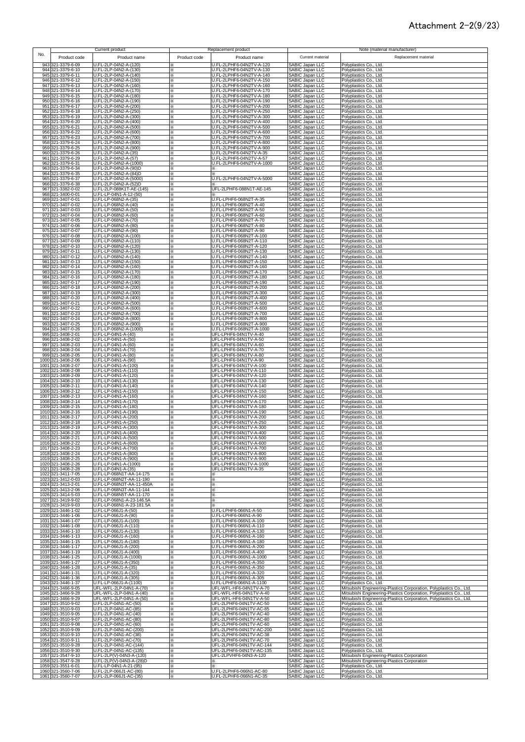### Attachment 2-2(9/23)

|     |                                          | Current product                                      |              | Replacement product                                  |                                                                          | Note (material manufacturer)                                                                                                               |
|-----|------------------------------------------|------------------------------------------------------|--------------|------------------------------------------------------|--------------------------------------------------------------------------|--------------------------------------------------------------------------------------------------------------------------------------------|
| No. | Product code                             | Product name                                         | Product code | Product name                                         | Current material                                                         | Replacement material                                                                                                                       |
|     | 943 321-3379-6-09                        | J.FL-2LP-04N2-A-(120)                                | $\times$     | U.FL-2LPHF6-04N2TV-A-120                             | SABIC Japan LLC                                                          | Polyplastics Co., Ltd.                                                                                                                     |
|     | 944 321-3379-6-10<br>945 321-3379-6-11   | J.FL-2LP-04N2-A-(130)<br>J.FL-2LP-04N2-A-(140)       | ×<br>×       | U.FL-2LPHF6-04N2TV-A-130<br>U.FL-2LPHF6-04N2TV-A-140 | SABIC Japan LLC<br>SABIC Japan LLC                                       | Polyplastics Co., Ltd.<br>Polyplastics Co., Ltd.                                                                                           |
|     | 946 321-3379-6-12                        | J.FL-2LP-04N2-A-(150)                                | ⋇            | U.FL-2LPHF6-04N2TV-A-150                             | SABIC Japan LLC                                                          | Polyplastics Co., Ltd.                                                                                                                     |
|     | 947 321-3379-6-13<br>948 321-3379-6-14   | U.FL-2LP-04N2-A-(160)<br>U.FL-2LP-04N2-A-(170)       | ×.           | U.FL-2LPHF6-04N2TV-A-160<br>U.FL-2LPHF6-04N2TV-A-170 | SABIC Japan LLC                                                          | Polyplastics Co., Ltd.<br>Polyplastics Co., Ltd.                                                                                           |
|     | 949 321-3379-6-15                        | U.FL-2LP-04N2-A-(180)                                | ⋇<br>×       | U.FL-2LPHF6-04N2TV-A-180                             | SABIC Japan LLC<br>SABIC Japan LLC<br>SABIC Japan LLC                    | Polyplastics Co., Ltd.                                                                                                                     |
|     | 950 321-3379-6-16                        | U.FL-2LP-04N2-A-(190)                                | ⋇            | U.FL-2LPHF6-04N2TV-A-190                             |                                                                          | Polyplastics Co., Ltd.                                                                                                                     |
|     | 951 321-3379-6-17<br>952 321-3379-6-18   | U.FL-2LP-04N2-A-(200)<br>U.FL-2LP-04N2-A-(250)       | ⋇<br>×       | U.FL-2LPHF6-04N2TV-A-200<br>U.FL-2LPHF6-04N2TV-A-250 | SABIC Japan LLC<br>SABIC Japan LLC                                       | Polyplastics Co., Ltd.<br>Polyplastics Co., Ltd.                                                                                           |
|     | 953 321-3379-6-19                        | U.FL-2LP-04N2-A-(300)                                | ×            | U.FL-2LPHF6-04N2TV-A-300                             | SABIC Japan LLC                                                          | Polyplastics Co., Ltd.                                                                                                                     |
|     | 954 321-3379-6-20<br>955 321-3379-6-21   | U.FL-2LP-04N2-A-(400)<br>U.FL-2LP-04N2-A-(500)       | ×<br>⋇       | U.FL-2LPHF6-04N2TV-A-400<br>U.FL-2LPHF6-04N2TV-A-500 | SABIC Japan LLC<br>SABIC Japan LLC                                       | Polyplastics Co., Ltd.<br>Polyplastics Co., Ltd.                                                                                           |
|     | 956 321-3379-6-22                        | U.FL-2LP-04N2-A-(600)                                | ×            | U.FL-2LPHF6-04N2TV-A-600                             | SABIC Japan LLC                                                          | Polyplastics Co., Ltd.                                                                                                                     |
|     | 957 321-3379-6-23<br>958 321-3379-6-24   | U.FL-2LP-04N2-A-(700)<br>U.FL-2LP-04N2-A-(800)       | ×<br>⋇       | U.FL-2LPHF6-04N2TV-A-700<br>U.FL-2LPHF6-04N2TV-A-800 | SABIC Japan LLC<br>SABIC Japan LLC                                       | Polyplastics Co., Ltd.<br>Polyplastics Co., Ltd.                                                                                           |
|     | 959 321-3379-6-25                        | U.FL-2LP-04N2-A-(900)                                | ⋇            | U.FL-2LPHF6-04N2TV-A-900                             | SABIC Japan LLC                                                          | Polyplastics Co., Ltd.                                                                                                                     |
|     | 960 321-3379-6-26<br>961 321-3379-6-29   | U.FL-2LP-04N2-A-(35)<br>U.FL-2LP-04N2-A-(57)         | ⋇            | U.FL-2LPHF6-04N2TV-A-35<br>U.FL-2LPHF6-04N2TV-A-57   | SABIC Japan LLC<br><b>SABIC Japan LLC</b>                                | Polyplastics Co., Ltd.<br>Polyplastics Co., Ltd.                                                                                           |
|     | 962 321-3379-6-31                        | U.FL-2LP-04N2-A-(1000)                               | ⋇<br>፠       | U.FL-2LPHF6-04N2TV-A-1000                            | SABIC Japan LLC                                                          | Polyplastics Co., Ltd.                                                                                                                     |
|     | 963 321-3379-6-34                        | U.FL-2LP-04N2-A-(90)D                                | ፠            | ×.                                                   | SABIC Japan LLC                                                          | Polyplastics Co., Ltd.                                                                                                                     |
|     | 964 321-3379-6-35<br>965 321-3379-6-37   | U.FL-2LP-04N2-A-(84)D<br>U.FL-2LP-04N2-A-(5000)      | ፠<br>⋇       | U.FL-2LPHF6-04N2TV-A-5000                            | SABIC Japan LLC<br>SABIC Japan LLC                                       | Polyplastics Co., Ltd.<br>Polyplastics Co., Ltd.                                                                                           |
|     | 966 321-3379-6-38                        | U.FL-2LP-04N2-A-(52)D                                | ×            | ⋇                                                    | SABIC Japan LLC                                                          | Polyplastics Co., Ltd.                                                                                                                     |
|     | 967 321-3382-0-02<br>968 321-3400-0-01   | U.FL-2LP-088K1T-AE-(145)<br>U.FL-LP-04N1-A-12-(50)   | ×<br>⋇       | UFL-2LPHF6-088N1T-AE-145                             | SABIC Japan LLC<br>SABIC Japan LLC                                       | Polyplastics Co., Ltd.<br>Polyplastics Co., Ltd.                                                                                           |
|     | 969 321-3407-0-01                        | J.FL-LP-068N2-A-(35)                                 | ⋇            | U.FL-LPHF6-068N2T-A-35                               | SABIC Japan LLC                                                          | Polyplastics Co., Ltd.                                                                                                                     |
|     | 970 321-3407-0-02<br>971 321-3407-0-03   | J.FL-LP-068N2-A-(40)<br>J.FL-LP-068N2-A-(50)         | ×<br>፠       | U.FL-LPHF6-068N2T-A-40<br>U.FL-LPHF6-068N2T-A-50     | SABIC Japan LLC<br>SABIC Japan LLC                                       | Polyplastics Co., Ltd.<br>Polyplastics Co., Ltd.                                                                                           |
|     | 972 321-3407-0-04                        | J.FL-LP-068N2-A-(60)                                 | ⋇            | U.FL-LPHF6-068N2T-A-60                               | SABIC Japan LLC                                                          | Polyplastics Co., Ltd.                                                                                                                     |
|     | 973 321-3407-0-05<br>974 321-3407-0-06   | J.FL-LP-068N2-A-(70)<br>J.FL-LP-068N2-A-(80)         | ፠            | U.FL-LPHF6-068N2T-A-70<br>U.FL-LPHF6-068N2T-A-80     | SABIC Japan LLC                                                          | Polyplastics Co., Ltd.                                                                                                                     |
|     | 975 321-3407-0-07                        | J.FL-LP-068N2-A-(90)                                 | ⋇<br>⋇       | U.FL-LPHF6-068N2T-A-90                               | SABIC Japan LLC<br>SABIC Japan LLC                                       | Polyplastics Co., Ltd.<br>Polyplastics Co., Ltd.                                                                                           |
|     | 976 321-3407-0-08                        | U.FL-LP-068N2-A-(100)                                | ×            | U.FL-LPHF6-068N2T-A-100                              | SABIC Japan LLC                                                          | Polyplastics Co., Ltd.                                                                                                                     |
|     | 977 321-3407-0-09<br>978 321-3407-0-10   | U.FL-LP-068N2-A-(110)<br>U.FL-LP-068N2-A-(120)       | ×<br>×       | U.FL-LPHF6-068N2T-A-110<br>U.FL-LPHF6-068N2T-A-120   | SABIC Japan LLC<br>SABIC Japan LLC                                       | Polyplastics Co., Ltd.<br>Polyplastics Co., Ltd.                                                                                           |
|     | 979 321-3407-0-11                        | U.FL-LP-068N2-A-(130)                                | ⋇            | U.FL-LPHF6-068N2T-A-130                              | SABIC Japan LLC                                                          | Polyplastics Co., Ltd.                                                                                                                     |
| 981 | 980 321-3407-0-12<br>321-3407-0-13       | U.FL-LP-068N2-A-(140)<br>U.FL-LP-068N2-A-(150)       | ⋇<br>×       | U.FL-LPHF6-068N2T-A-140<br>U.FL-LPHF6-068N2T-A-150   | SABIC Japan LLC<br><b>SABIC Japan LLC</b>                                | Polyplastics Co., Ltd.<br>Polyplastics Co., Ltd.                                                                                           |
|     | 982 321-3407-0-14                        | U.FL-LP-068N2-A-(160)                                | ×            | U.FL-LPHF6-068N2T-A-160                              | SABIC Japan LLC                                                          | Polyplastics Co., Ltd.                                                                                                                     |
|     | 983 321-3407-0-15<br>984 321-3407-0-16   | U.FL-LP-068N2-A-(170)<br>U.FL-LP-068N2-A-(180)       | ×<br>×       | U.FL-LPHF6-068N2T-A-170<br>U.FL-LPHF6-068N2T-A-180   | SABIC Japan LLC<br>SABIC Japan LLC                                       | Polyplastics Co., Ltd.<br>Polyplastics Co., Ltd.                                                                                           |
|     | 985 321-3407-0-17                        | U.FL-LP-068N2-A-(190)                                | ⋇            | U.FL-LPHF6-068N2T-A-190                              | SABIC Japan LLC                                                          | Polyplastics Co., Ltd.                                                                                                                     |
|     | 986 321-3407-0-18<br>987 321-3407-0-19   | U.FL-LP-068N2-A-(200)<br>U.FL-LP-068N2-A-(300)       | ⋇<br>⋇       | U.FL-LPHF6-068N2T-A-200<br>U.FL-LPHF6-068N2T-A-300   | SABIC Japan LLC<br><b>SABIC Japan LLC</b>                                | Polyplastics Co., Ltd.<br>Polyplastics Co., Ltd.                                                                                           |
|     | 988 321-3407-0-20                        | U.FL-LP-068N2-A-(400)                                | ⋇            | U.FL-LPHF6-068N2T-A-400                              | SABIC Japan LLC                                                          | Polyplastics Co., Ltd.                                                                                                                     |
|     | 989 321-3407-0-21                        | U.FL-LP-068N2-A-(500)                                | ⋇            | U.FL-LPHF6-068N2T-A-500                              | SABIC Japan LLC                                                          | Polyplastics Co., Ltd.                                                                                                                     |
|     | 990 321-3407-0-22<br>991 321-3407-0-23   | U.FL-LP-068N2-A-(600)<br>U.FL-LP-068N2-A-(700)       | ፠<br>⋇       | U.FL-LPHF6-068N2T-A-600<br>U.FL-LPHF6-068N2T-A-700   | SABIC Japan LLC<br>SABIC Japan LLC                                       | Polyplastics Co., Ltd.<br>Polyplastics Co., Ltd.                                                                                           |
|     | 992 321-3407-0-24                        | U.FL-LP-068N2-A-(800)                                | ⋇            | U.FL-LPHF6-068N2T-A-800                              | SABIC Japan LLC                                                          | Polyplastics Co., Ltd.                                                                                                                     |
|     | 993 321-3407-0-25<br>994 321-3407-0-26   | U.FL-LP-068N2-A-(900)<br>U.FL-LP-068N2-A-(1000)      | ⋇<br>×       | U.FL-LPHF6-068N2T-A-900<br>U.FL-LPHF6-068N2T-A-1000  | SABIC Japan LLC<br>SABIC Japan LLC                                       | Polyplastics Co., Ltd.<br>Polyplastics Co., Ltd.                                                                                           |
|     | 995 321-3408-2-01                        | U.FL-LP-04N1-A-(40)                                  | ×            | UFL-LPHF6-04N1TV-A-40                                | SABIC Japan LLC                                                          | Polyplastics Co., Ltd.                                                                                                                     |
|     | 996 321-3408-2-02<br>997 321-3408-2-03   | J.FL-LP-04N1-A-(50)<br>U.FL-LP-04N1-A-(60)           | ፠<br>፠       | UFL-LPHF6-04N1TV-A-50<br>UFL-LPHF6-04N1TV-A-60       | SABIC Japan LLC<br>SABIC Japan LLC                                       | Polyplastics Co., Ltd.<br>Polyplastics Co., Ltd.                                                                                           |
|     | 998 321-3408-2-04                        | U.FL-LP-04N1-A-(70)                                  | ፠            | UFL-LPHF6-04N1TV-A-70                                | SABIC Japan LLC                                                          | Polyplastics Co., Ltd.                                                                                                                     |
|     | 999 321-3408-2-05<br>1000 321-3408-2-06  | U.FL-LP-04N1-A-(80)<br>U.FL-LP-04N1-A-(90)           | ⋇            | UFL-LPHF6-04N1TV-A-80<br>UFL-LPHF6-04N1TV-A-90       | SABIC Japan LLC                                                          | Polyplastics Co., Ltd.                                                                                                                     |
|     | 1001 321-3408-2-07                       | U.FL-LP-04N1-A-(100)                                 | ⋇<br>፠       | UFL-LPHF6-04N1TV-A-100                               |                                                                          | Polyplastics Co., Ltd.<br>Polyplastics Co., Ltd.                                                                                           |
|     | 1002 321-3408-2-08<br>1003 321-3408-2-09 | U.FL-LP-04N1-A-(110)<br>U.FL-LP-04N1-A-(120)         | ⋇            | UFL-LPHF6-04N1TV-A-110                               | SABIC Japan LLC<br>SABIC Japan LLC<br>SABIC Japan LLC<br>SABIC Japan LLC | Polyplastics Co., Ltd.                                                                                                                     |
|     | 1004 321-3408-2-10                       | U.FL-LP-04N1-A-(130)                                 | ፠<br>×       | UFL-LPHF6-04N1TV-A-120<br>UFL-LPHF6-04N1TV-A-130     | SABIC Japan LLC                                                          | Polyplastics Co., Ltd.<br>Polyplastics Co., Ltd.                                                                                           |
|     | 1005 321-3408-2-11                       | U.FL-LP-04N1-A-(140)                                 | ×            | UFL-LPHF6-04N1TV-A-140                               | SABIC Japan LLC                                                          | Polyplastics Co., Ltd.                                                                                                                     |
|     | 1006 321-3408-2-12<br>1007 321-3408-2-13 | U.FL-LP-04N1-A-(150)<br>U.FL-LP-04N1-A-(160)         | ×<br>×       | UFL-LPHF6-04N1TV-A-150<br>UFL-LPHF6-04N1TV-A-160     | SABIC Japan LLC<br>SABIC Japan LLC                                       | Polyplastics Co., Ltd.<br>Polyplastics Co., Ltd.                                                                                           |
|     | 1008 321-3408-2-14                       | U.FL-LP-04N1-A-(170)                                 | ×            | UFL-LPHF6-04N1TV-A-170                               | SABIC Japan LLC                                                          | Polyplastics Co., Ltd.                                                                                                                     |
|     | 1009 321-3408-2-15<br>1010 321-3408-2-16 | U.FL-LP-04N1-A-(180)<br>U.FL-LP-04N1-A-(190)         | ×<br>×.      | UFL-LPHF6-04N1TV-A-180<br>UFL-LPHF6-04N1TV-A-190     | <b>SABIC Japan LLC</b><br>SABIC Japan LLC                                | Polyplastics Co., Ltd.<br>Polyplastics Co., Ltd.                                                                                           |
|     | 1011 321-3408-2-17                       | U.FL-LP-04N1-A-(200)                                 | ⋇            | UFL-LPHF6-04N1TV-A-200                               | SABIC Japan LLC                                                          | Polyplastics Co., Ltd.                                                                                                                     |
|     | 1012 321-3408-2-18<br>1013 321-3408-2-19 | U.FL-LP-04N1-A-(250)<br>U.FL-LP-04N1-A-(300)         | ⋇<br>⋇       | UFL-LPHF6-04N1TV-A-250<br>UFL-LPHF6-04N1TV-A-300     | SABIC Japan LLC<br>SABIC Japan LLC                                       | Polyplastics Co., Ltd.<br>Polyplastics Co., Ltd.                                                                                           |
|     | 1014 321-3408-2-20                       | U.FL-LP-04N1-A-(400)                                 | ⋇            | UFL-LPHF6-04N1TV-A-400                               | SABIC Japan LLC                                                          | Polyplastics Co., Ltd.                                                                                                                     |
|     | 1015 321-3408-2-21<br>1016 321-3408-2-22 | U.FL-LP-04N1-A-(500)<br>U.FL-LP-04N1-A-(600)         | $\times$     | UFL-LPHF6-04N1TV-A-500<br>UFL-LPHF6-04N1TV-A-600     | SABIC Japan LLC                                                          | Polyplastics Co., Ltd.                                                                                                                     |
|     | 1017 321-3408-2-23                       | U.FL-LP-04N1-A-(700)                                 | ⋇            | UFL-LPHF6-04N1TV-A-700                               | SABIC Japan LLC<br>SABIC Japan LLC                                       | Polyplastics Co., Ltd.<br>Polyplastics Co., Ltd.                                                                                           |
|     | 1018 321-3408-2-24<br>1019 321-3408-2-25 | U.FL-LP-04N1-A-(800)<br>U.FL-LP-04N1-A-(900)         | ⋇            | UFL-LPHF6-04N1TV-A-800<br>UFL-LPHF6-04N1TV-A-900     | SABIC Japan LLC<br>SABIC Japan LLC                                       | Polyplastics Co., Ltd.<br>Polyplastics Co., Ltd.                                                                                           |
|     | 1020 321-3408-2-26                       | J.FL-LP-04N1-A-(1000)                                | ×<br>፠       | UFL-LPHF6-04N1TV-A-1000                              | SABIC Japan LLC                                                          | Polyplastics Co., Ltd.                                                                                                                     |
|     | 1021 321-3408-2-28                       | J.FL-LP-04N1-A-(35)                                  | ×            | UFL-LPHF6-04N1TV-A-35                                | SABIC Japan LLC                                                          | Polyplastics Co., Ltd.                                                                                                                     |
|     | 1022 321-3411-7-05<br>1023 321-3412-0-03 | J.FL-LP-068N1T-AA-14-175<br>J.FL-LP-068N2T-AA-11-190 | ⋇<br>⋇       | ⋇<br>⋇                                               | SABIC Japan LLC<br>SABIC Japan LLC                                       | Polyplastics Co., Ltd.<br>Polyplastics Co., Ltd.                                                                                           |
|     | 1024 321-3413-2-01                       | J.FL-LP-068N3T-AA-11-450A                            | ⋇            | ×.                                                   |                                                                          | Polyplastics Co., Ltd.                                                                                                                     |
|     | 1025 321-3413-2-06<br>1026 321-3414-5-03 | J.FL-LP-068N3T-AA-11-144<br>U.FL-LP-068N5T-AA-11-170 | ⋇<br>⋇       | ⋇<br>⋇                                               | SABIC Japan LLC<br>SABIC Japan LLC<br>SABIC Japan LLC                    | Polyplastics Co., Ltd.<br>Polyplastics Co., Ltd.                                                                                           |
|     | 1027 321-3419-9-02                       | U.FL-LP-068N1-A-23-146.5A                            | ⋇            | X                                                    | SABIC Japan LLC                                                          | Polyplastics Co., Ltd.                                                                                                                     |
|     | 1028 321-3419-9-03<br>1029 321-3446-1-02 | J.FL-LP-068N1-A-23-181.5A<br>U.FL-LP-066J1-A-(50)    | ×<br>×       | U.FL-LPHF6-066N1-A-50                                | SABIC Japan LLC<br>SABIC Japan LLC                                       | Polyplastics Co., Ltd.<br>Polyplastics Co., Ltd.                                                                                           |
|     | 1030 321-3446-1-06                       | U.FL-LP-066J1-A-(90)                                 | ×            | U.FL-LPHF6-066N1-A-90                                | SABIC Japan LLC                                                          | Polyplastics Co., Ltd.                                                                                                                     |
|     | 1031 321-3446-1-07<br>1032 321-3446-1-08 | U.FL-LP-066J1-A-(100)<br>U.FL-LP-066J1-A-(110)       | ×<br>×       | U.FL-LPHF6-066N1-A-100<br>U.FL-LPHF6-066N1-A-110     | SABIC Japan LLC<br>SABIC Japan LLC                                       | Polyplastics Co., Ltd.<br>Polyplastics Co., Ltd.                                                                                           |
|     | 1033 321-3446-1-10                       | U.FL-LP-066J1-A-(130)                                | ×            | U.FL-LPHF6-066N1-A-130                               | SABIC Japan LLC                                                          | Polyplastics Co., Ltd.                                                                                                                     |
|     | 1034 321-3446-1-13<br>1035 321-3446-1-15 | U.FL-LP-066J1-A-(160)<br>U.FL-LP-066J1-A-(180)       | ⋇<br>×       | U.FL-LPHF6-066N1-A-160<br>U.FL-LPHF6-066N1-A-180     | SABIC Japan LLC<br>SABIC Japan LLC                                       | Polyplastics Co., Ltd.<br>Polyplastics Co., Ltd.                                                                                           |
|     | 1036 321-3446-1-17                       | U.FL-LP-066J1-A-(200)                                | ⋇            | U.FL-LPHF6-066N1-A-200                               | SABIC Japan LLC                                                          | Polyplastics Co., Ltd.                                                                                                                     |
|     | 1037 321-3446-1-19                       | U.FL-LP-066J1-A-(400)                                | ⋇            | U.FL-LPHF6-066N1-A-400                               | SABIC Japan LLC                                                          | Polyplastics Co., Ltd.                                                                                                                     |
|     | 1038 321-3446-1-25<br>1039 321-3446-1-27 | U.FL-LP-066J1-A-(1000)<br>U.FL-LP-066J1-A-(350)      | ⋇<br>⋇       | U.FL-LPHF6-066N1-A-1000<br>U.FL-LPHF6-066N1-A-350    | SABIC Japan LLC<br>SABIC Japan LLC                                       | Polyplastics Co., Ltd.<br>Polyplastics Co., Ltd.                                                                                           |
|     | 1040 321-3446-1-28                       | U.FL-LP-066J1-A-(35)                                 | ⋇            | U.FL-LPHF6-066N1-A-350                               | SABIC Japan LLC                                                          | Polyplastics Co., Ltd.                                                                                                                     |
|     | 1041 321-3446-1-31<br>1042 321-3446-1-36 | U.FL-LP-066J1-A-(320)<br>U.FL-LP-066J1-A-(305)       | ×.<br>×.     | U.FL-LPHF6-066N1-A-320<br>U.FL-LPHF6-066N1-A-305     | SABIC Japan LLC<br>SABIC Japan LLC                                       | Polyplastics Co., Ltd.<br>Polyplastics Co., Ltd.                                                                                           |
|     | 1043 321-3446-1-37                       | U.FL-LP-066J1-A-(1100)                               | ፠            | U.FL-LPHF6-066N1-A-1100                              | SABIC Japan LLC                                                          | Polyplastics Co., Ltd.                                                                                                                     |
|     | 1044 321-3466-9-05<br>1045 321-3466-9-28 | UFL-WFL-2LP-04N1-A-(70)<br>UFL-WFL-2LP-04N1-A-(40)   | ⋇<br>×       | UFL-WFL-HF6-04N1TV-A-70<br>UFL-WFL-HF6-04N1TV-A-40   | SABIC Japan LLC<br>SABIC Japan LLC                                       | Mitsubishi Engineering-Plastics Corporation, Polyplastics Co., Ltd.<br>Mitsubishi Engineering-Plastics Corporation, Polyplastics Co., Ltd. |
|     | 1046 321-3466-9-29                       | UFL-WFL-2LP-04N1-A-(50)                              | ×            | UFL-WFL-HF6-04N1TV-A-50                              | SABIC Japan LLC                                                          | Mitsubishi Engineering-Plastics Corporation, Polyplastics Co., Ltd.                                                                        |
|     | 1047 321-3510-9-02<br>1048 321-3510-9-03 | U.FL-2LP-04N1-AC-(50)<br>J.FL-2LP-04N1-AC-(85)       | X.<br>×      | UFL-2LPHF6-04N1TV-AC-50<br>UFL-2LPHF6-04N1TV-AC-85   | SABIC Japan LLC<br>SABIC Japan LLC                                       | Polyplastics Co., Ltd.<br>Polyplastics Co., Ltd.                                                                                           |
|     | 1049 321-3510-9-05                       | U.FL-2LP-04N1-AC-(40)                                | ⋇            | UFL-2LPHF6-04N1TV-AC-40                              | SABIC Japan LLC                                                          | Polyplastics Co., Ltd.                                                                                                                     |
|     | 1050 321-3510-9-07<br>1051 321-3510-9-08 | U.FL-2LP-04N1-AC-(80)                                | ×.<br>፠      | UFL-2LPHF6-04N1TV-AC-80<br>UFL-2LPHF6-04N1TV-AC-60   | SABIC Japan LLC<br>SABIC Japan LLC<br>SABIC Japan LLC                    | Polyplastics Co., Ltd.<br>Polyplastics Co., Ltd.                                                                                           |
|     | 1052 321-3510-9-09                       | U.FL-2LP-04N1-AC-(60)<br>U.FL-2LP-04N1-AC-(200)      | ፠            | UFL-2LPHF6-04N1TV-AC-200                             |                                                                          | Polyplastics Co., Ltd.                                                                                                                     |
|     | 1053 321-3510-9-10                       | U.FL-2LP-04N1-AC-(38)                                | ×            | UFL-2LPHF6-04N1TV-AC-38                              | SABIC Japan LLC                                                          | Polyplastics Co., Ltd.                                                                                                                     |
|     | 1054 321-3510-9-11<br>1055 321-3510-9-28 | U.FL-2LP-04N1-AC-(70)<br>U.FL-2LP-04N1-AC-(144)      | ፠<br>×       | UFL-2LPHF6-04N1TV-AC-70<br>UFL-2LPHF6-04N1TV-AC-144  | SABIC Japan LLC<br>SABIC Japan LLC                                       | Polyplastics Co., Ltd.<br>Polyplastics Co., Ltd.                                                                                           |
|     | 1056 321-3510-9-30                       | U.FL-2LP-04N1-AC-(135)                               | ×            | UFL-2LPHF6-04N1TV-AC-135                             | SABIC Japan LLC                                                          | Polyplastics Co., Ltd.                                                                                                                     |
|     | 1057 321-3547-9-10<br>1058 321-3547-9-28 | U.FL-2LP(V)-04N3-A-(120)<br>U.FL-2LP(V)-04N3-A-(28)D | ×<br>×       | UFL-2LPVHF6-04N3-A-120                               | SABIC Japan LLC<br>SABIC Japan LLC                                       | Mitsubishi Engineering-Plastics Corporation<br>Mitsubishi Engineering-Plastics Corporation                                                 |
|     | 1059 321-3551-6-01                       | U.FL-LP-04N1-A-21-(95)                               | ×            |                                                      | SABIC Japan LLC                                                          | Polyplastics Co., Ltd.                                                                                                                     |
|     | 1060 321-3560-7-06<br>1061 321-3560-7-07 | U.FL-2LP-066J1-AC-(80)<br>U.FL-2LP-066J1-AC-(35)     | ×<br>⋇       | U.FL-2LPHF6-066N1-AC-80<br>U.FL-2LPHF6-066N1-AC-35   | SABIC Japan LLC<br>SABIC Japan LLC                                       | Polyplastics Co., Ltd.<br>Polyplastics Co., Ltd.                                                                                           |
|     |                                          |                                                      |              |                                                      |                                                                          |                                                                                                                                            |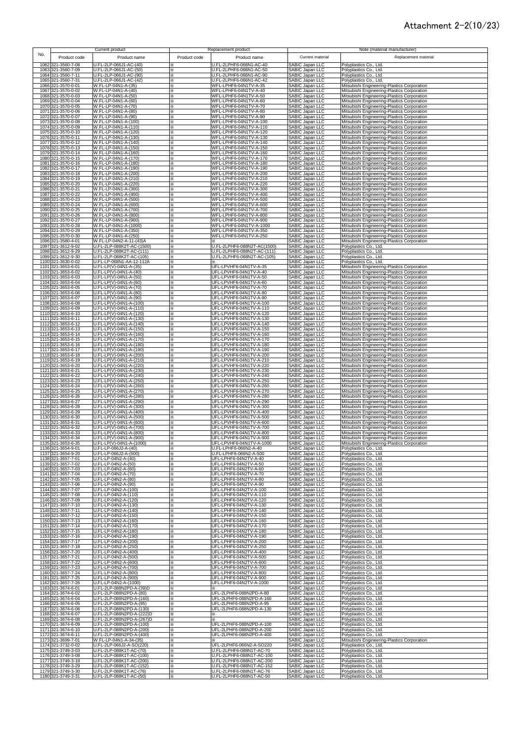#### Attachment 2-2(10/23)

|     |                                          | Current product                                       |              | Replacement product                                 |                                                                          | Note (material manufacturer)                                                               |
|-----|------------------------------------------|-------------------------------------------------------|--------------|-----------------------------------------------------|--------------------------------------------------------------------------|--------------------------------------------------------------------------------------------|
| No. |                                          |                                                       |              |                                                     |                                                                          |                                                                                            |
|     | Product code                             | Product name                                          | Product code | Product name                                        | Current material                                                         | Replacement material                                                                       |
|     | 1062 321-3560-7-08                       | U.FL-2LP-066J1-AC-(40)                                | X            | U.FL-2LPHF6-066N1-AC-40                             | <b>SABIC Japan LLC</b>                                                   | Polyplastics Co., Ltd.                                                                     |
|     | 1063 321-3560-7-09                       | U.FL-2LP-066J1-AC-(50)                                | ×            | U.FL-2LPHF6-066N1-AC-50                             | SABIC Japan LLC                                                          | Polyplastics Co., Ltd.                                                                     |
|     | 1064 321-3560-7-11                       | U.FL-2LP-066J1-AC-(90)                                |              | U.FL-2LPHF6-066N1-AC-90                             | SABIC Japan LLC                                                          |                                                                                            |
|     | 1065 321-3560-7-31                       | U.FL-2LP-066J1-AC-(42)                                | ⋇<br>×       | U.FL-2LPHF6-066N1-AC-42                             | SABIC Japan LLC                                                          | Polyplastics Co., Ltd.<br>Polyplastics Co., Ltd.                                           |
|     | 1066 321-3570-0-01                       | W.FL-LP-04N1-A-(35)                                   | ×            | WFL-LPHF6-04N1TV-A-35                               | SABIC Japan LLC                                                          | Mitsubishi Engineering-Plastics Corporation                                                |
|     | 1067 321-3570-0-02                       | W.FL-LP-04N1-A-(40)                                   | ×            | WFL-LPHF6-04N1TV-A-40                               | SABIC Japan LLC                                                          | Mitsubishi Engineering-Plastics Corporation                                                |
|     | 1068 321-3570-0-03                       | W.FL-LP-04N1-A-(50)                                   | ⋇            | WFL-LPHF6-04N1TV-A-50                               | SABIC Japan LLC                                                          | Mitsubishi Engineering-Plastics Corporation                                                |
|     | 1069 321-3570-0-04                       | W.FL-LP-04N1-A-(60)                                   | ፠            | WFL-LPHF6-04N1TV-A-60                               | SABIC Japan LLC                                                          | Mitsubishi Engineering-Plastics Corporation                                                |
|     | 1070 321-3570-0-05                       | W.FL-LP-04N1-A-(70)                                   | ⋇            | WFL-LPHF6-04N1TV-A-70                               | SABIC Japan LLC                                                          | Mitsubishi Engineering-Plastics Corporation                                                |
|     |                                          | W.FL-LP-04N1-A-(80)                                   | ⋇            | WFL-LPHF6-04N1TV-A-80                               |                                                                          |                                                                                            |
|     | 1071 321-3570-0-06<br>1072 321-3570-0-07 | W.FL-LP-04N1-A-(90)                                   | ×            | WFL-LPHF6-04N1TV-A-90                               |                                                                          | Mitsubishi Engineering-Plastics Corporation<br>Mitsubishi Engineering-Plastics Corporation |
|     | 1073 321-3570-0-08                       | W.FL-LP-04N1-A-(100)                                  | ×            | WFL-LPHF6-04N1TV-A-100                              |                                                                          | Mitsubishi Engineering-Plastics Corporation                                                |
|     | 1074 321-3570-0-09                       | W.FL-LP-04N1-A-(110)                                  | ×            | WFL-LPHF6-04N1TV-A-110                              | SABIC Japan LLC<br>SABIC Japan LLC<br>SABIC Japan LLC<br>SABIC Japan LLC | Mitsubishi Engineering-Plastics Corporation                                                |
|     | 1075 321-3570-0-10                       | W.FL-LP-04N1-A-(120)                                  | ×            | WFL-LPHF6-04N1TV-A-120                              | SABIC Japan LLC                                                          | Mitsubishi Engineering-Plastics Corporation                                                |
|     | 1076 321-3570-0-11                       | W.FL-LP-04N1-A-(130)                                  | ×            | WFL-LPHF6-04N1TV-A-130                              | SABIC Japan LLC                                                          | Mitsubishi Engineering-Plastics Corporation                                                |
|     | 1077 321-3570-0-12                       | W.FL-LP-04N1-A-(140)                                  | ×            | WFL-LPHF6-04N1TV-A-140                              | <b>SABIC Japan LLC</b>                                                   | Mitsubishi Engineering-Plastics Corporation                                                |
|     | 1078 321-3570-0-13                       | W.FL-LP-04N1-A-(150)                                  | ×            | WFL-LPHF6-04N1TV-A-150                              | SABIC Japan LLC                                                          | Mitsubishi Engineering-Plastics Corporation                                                |
|     | 1079 321-3570-0-14                       | W.FL-LP-04N1-A-(160)                                  | ×            | WFL-LPHF6-04N1TV-A-160                              | SABIC Japan LLC                                                          | Mitsubishi Engineering-Plastics Corporation                                                |
|     | 1080 321-3570-0-15                       | W.FL-LP-04N1-A-(170)                                  | ×            | WFL-LPHF6-04N1TV-A-170                              | SABIC Japan LLC                                                          | Mitsubishi Engineering-Plastics Corporation                                                |
|     | 1081 321-3570-0-16                       | W.FL-LP-04N1-A-(180)                                  | ×.           | WFL-LPHF6-04N1TV-A-180                              | SABIC Japan LLC                                                          | Mitsubishi Engineering-Plastics Corporation                                                |
|     | 1082 321-3570-0-17                       | W.FL-LP-04N1-A-(190)                                  | ×.           | WFL-LPHF6-04N1TV-A-190                              | SABIC Japan LLC                                                          | Mitsubishi Engineering-Plastics Corporation                                                |
|     | 1083 321-3570-0-18                       | W.FL-LP-04N1-A-(200)                                  | ⋇            | WFL-LPHF6-04N1TV-A-200                              | SABIC Japan LLC                                                          | Mitsubishi Engineering-Plastics Corporation                                                |
|     | 1084 321-3570-0-19                       | W.FL-LP-04N1-A-(210)                                  | ⋇            | WFL-LPHF6-04N1TV-A-210                              | SABIC Japan LLC                                                          | Mitsubishi Engineering-Plastics Corporation                                                |
|     | 1085 321-3570-0-20                       | W.FL-LP-04N1-A-(220)                                  | ፠            | WFL-LPHF6-04N1TV-A-220                              | SABIC Japan LLC                                                          | Mitsubishi Engineering-Plastics Corporation                                                |
|     | 1086 321-3570-0-21                       | W.FL-LP-04N1-A-(300)                                  | ፠            | WFL-LPHF6-04N1TV-A-300                              | SABIC Japan LLC                                                          | Mitsubishi Engineering-Plastics Corporation                                                |
|     | 1087 321-3570-0-22                       | W.FL-LP-04N1-A-(400)                                  | ×            | WFL-LPHF6-04N1TV-A-400                              | SABIC Japan LLC                                                          | Mitsubishi Engineering-Plastics Corporation                                                |
|     | 1088 321-3570-0-23                       | W.FL-LP-04N1-A-(500)                                  | ፠            | WFL-LPHF6-04N1TV-A-500                              | SABIC Japan LLC                                                          | Mitsubishi Engineering-Plastics Corporation                                                |
|     | 1089 321-3570-0-24                       | W.FL-LP-04N1-A-(600)                                  | ⋇            | WFL-LPHF6-04N1TV-A-600                              | SABIC Japan LLC                                                          | Mitsubishi Engineering-Plastics Corporation                                                |
|     | 1090 321-3570-0-25                       | W.FL-LP-04N1-A-(700)                                  | ⋇            | WFL-LPHF6-04N1TV-A-700                              | SABIC Japan LLC                                                          | Mitsubishi Engineering-Plastics Corporation                                                |
|     | 1091 321-3570-0-26                       | W.FL-LP-04N1-A-(800)                                  | ፠            | WFL-LPHF6-04N1TV-A-800                              | SABIC Japan LLC                                                          | Mitsubishi Engineering-Plastics Corporation                                                |
|     | 1092 321-3570-0-27                       | W.FL-LP-04N1-A-(900)                                  | ×            | WFL-LPHF6-04N1TV-A-900                              | SABIC Japan LLC                                                          | Mitsubishi Engineering-Plastics Corporation                                                |
|     | 1093 321-3570-0-28                       | W.FL-LP-04N1-A-(1000)                                 | ×            | WFL-LPHF6-04N1TV-A-1000                             | SABIC Japan LLC                                                          | Mitsubishi Engineering-Plastics Corporation                                                |
|     | 1094 321-3570-0-29                       | W.FL-LP-04N1-A-(350)                                  | ⋇            | WFL-LPHF6-04N1TV-A-350                              | SABIC Japan LLC                                                          | Mitsubishi Engineering-Plastics Corporation                                                |
|     | 1095 321-3570-0-30                       | W.FL-LP-04N1-A-(250)                                  | ⋇            | WFL-LPHF6-04N1TV-A-250                              | SABIC Japan LLC                                                          | Mitsubishi Engineering-Plastics Corporation                                                |
|     | 1096 321-3580-4-01                       | W.FL-LP-04N2-A-11-(43)A                               | ⋇            |                                                     | SABIC Japan LLC                                                          | Mitsubishi Engineering-Plastics Corporation                                                |
|     | 1097 321-3612-9-02                       | U.FL-2LP-088K2T-AC-(1500)                             | ×            | U.FL-2LPHF6-088N2T-AC(1500)                         | SABIC Japan LLC                                                          | Polyplastics Co., Ltd.                                                                     |
|     | 1098 321-3612-9-29                       | U.FL-2LP-088K2T-AC-(111)                              | ⋇            | U.FL-2LPHF6-088N2T-AC-(111)                         | SABIC Japan LLC<br>SABIC Japan LLC                                       | Polyplastics Co., Ltd.                                                                     |
|     | 1099 321-3612-9-30                       | U.FL-2LP-088K2T-AC-(105)                              | ⋇            | U.FL-2LPHF6-088N2T-AC-(105)                         |                                                                          | Polyplastics Co., Ltd.                                                                     |
|     | 1100 321-3630-0-02                       | U.FL-LP-068N1-AA-12-112A                              | ፠            |                                                     | SABIC Japan LLC                                                          | Polyplastics Co., Ltd.                                                                     |
|     | 1101 321-3653-6-01                       | U.FL-LP(V)-04N1-A-(35)                                | ×            | UFL-LPVHF6-04N1TV-A-35                              | SABIC Japan LLC                                                          | Mitsubishi Engineering-Plastics Corporation                                                |
|     | 1102 321-3653-6-02                       | U.FL-LP(V)-04N1-A-(40)                                | ×            | UFL-LPVHF6-04N1TV-A-40                              | SABIC Japan LLC                                                          | Mitsubishi Engineering-Plastics Corporation                                                |
|     | 1103 321-3653-6-03                       | U.FL-LP(V)-04N1-A-(50)                                | ×            | UFL-LPVHF6-04N1TV-A-50                              | <b>SABIC Japan LLC</b>                                                   | Mitsubishi Engineering-Plastics Corporation                                                |
|     | 1104 321-3653-6-04                       | U.FL-LP(V)-04N1-A-(60)                                | ⋇            | UFL-LPVHF6-04N1TV-A-60                              | SABIC Japan LLC                                                          | Mitsubishi Engineering-Plastics Corporation                                                |
|     | 1105 321-3653-6-05                       | U.FL-LP(V)-04N1-A-(70)                                | ×            | UFL-LPVHF6-04N1TV-A-70                              | SABIC Japan LLC                                                          | Mitsubishi Engineering-Plastics Corporation                                                |
|     | 1106 321-3653-6-06                       | U.FL-LP(V)-04N1-A-(80)                                | ×.           | UFL-LPVHF6-04N1TV-A-80                              | <b>SABIC Japan LLC</b>                                                   | Mitsubishi Engineering-Plastics Corporation                                                |
|     | 1107 321-3653-6-07                       | U.FL-LP(V)-04N1-A-(90)                                | ×.           | UFL-LPVHF6-04N1TV-A-90                              | SABIC Japan LLC                                                          | Mitsubishi Engineering-Plastics Corporation                                                |
|     | 1108 321-3653-6-08                       | U.FL-LP(V)-04N1-A-(100)                               | ⋇            | UFL-LPVHF6-04N1TV-A-100                             | SABIC Japan LLC                                                          | Mitsubishi Engineering-Plastics Corporation                                                |
|     | 1109 321-3653-6-09                       | U.FL-LP(V)-04N1-A-(110)                               | ×.           | UFL-LPVHF6-04N1TV-A-110                             | SABIC Japan LLC                                                          | Mitsubishi Engineering-Plastics Corporation                                                |
|     | 1110 321-3653-6-10                       | U.FL-LP(V)-04N1-A-(120)                               | ፠            | UFL-LPVHF6-04N1TV-A-120                             | SABIC Japan LLC                                                          | Mitsubishi Engineering-Plastics Corporation                                                |
|     | 1111 321-3653-6-11                       | U.FL-LP(V)-04N1-A-(130)                               | ፠            | UFL-LPVHF6-04N1TV-A-130                             | SABIC Japan LLC                                                          | Mitsubishi Engineering-Plastics Corporation                                                |
|     | 1112 321-3653-6-12                       | U.FL-LP(V)-04N1-A-(140)                               | ፠            | UFL-LPVHF6-04N1TV-A-140                             | SABIC Japan LLC                                                          | Mitsubishi Engineering-Plastics Corporation                                                |
|     | 1113 321-3653-6-13                       | U.FL-LP(V)-04N1-A-(150)                               | ⋇            | UFL-LPVHF6-04N1TV-A-150                             | SABIC Japan LLC                                                          | Mitsubishi Engineering-Plastics Corporation                                                |
|     | 1114 321-3653-6-14                       | U.FL-LP(V)-04N1-A-(160)                               | ⋇            | UFL-LPVHF6-04N1TV-A-160                             | SABIC Japan LLC                                                          | Mitsubishi Engineering-Plastics Corporation                                                |
|     | 1115 321-3653-6-15                       | U.FL-LP(V)-04N1-A-(170)                               | ⋇            | UFL-LPVHF6-04N1TV-A-170                             | SABIC Japan LLC                                                          | Mitsubishi Engineering-Plastics Corporation                                                |
|     | 1116 321-3653-6-16<br>1117 321-3653-6-17 | J.FL-LP(V)-04N1-A-(180)<br>U.FL-LP(V)-04N1-A-(190)    | ×            | UFL-LPVHF6-04N1TV-A-180<br>UFL-LPVHF6-04N1TV-A-190  | SABIC Japan LLC<br>SABIC Japan LLC                                       | Mitsubishi Engineering-Plastics Corporation<br>Mitsubishi Engineering-Plastics Corporation |
|     | 1118 321-3653-6-18                       | U.FL-LP(V)-04N1-A-(200)                               | ×            | UFL-LPVHF6-04N1TV-A-200                             | SABIC Japan LLC                                                          |                                                                                            |
|     | 1119 321-3653-6-19                       | U.FL-LP(V)-04N1-A-(210)                               | ×<br>⋇       | UFL-LPVHF6-04N1TV-A-210                             | SABIC Japan LLC                                                          | Mitsubishi Engineering-Plastics Corporation<br>Mitsubishi Engineering-Plastics Corporation |
|     | 1120 321-3653-6-20                       | U.FL-LP(V)-04N1-A-(220)                               | ⋇            | UFL-LPVHF6-04N1TV-A-220                             | SABIC Japan LLC                                                          | Mitsubishi Engineering-Plastics Corporation                                                |
|     | 1121 321-3653-6-21                       | U.FL-LP(V)-04N1-A-(230)                               | ፠            | UFL-LPVHF6-04N1TV-A-230                             |                                                                          | Mitsubishi Engineering-Plastics Corporation                                                |
|     | 1122 321-3653-6-22                       | U.FL-LP(V)-04N1-A-(240)                               | ×            | UFL-LPVHF6-04N1TV-A-240                             | SABIC Japan LLC<br>SABIC Japan LLC                                       | Mitsubishi Engineering-Plastics Corporation                                                |
|     | 1123 321-3653-6-23                       | U.FL-LP(V)-04N1-A-(250)                               | ×            | UFL-LPVHF6-04N1TV-A-250                             | SABIC Japan LLC                                                          | Mitsubishi Engineering-Plastics Corporation                                                |
|     | 1124 321-3653-6-24                       | U.FL-LP(V)-04N1-A-(260)                               | ×            | UFL-LPVHF6-04N1TV-A-260                             | SABIC Japan LLC                                                          | Mitsubishi Engineering-Plastics Corporation                                                |
|     | 1125 321-3653-6-25                       | U.FL-LP(V)-04N1-A-(270)                               | ×            | UFL-LPVHF6-04N1TV-A-270                             | SABIC Japan LLC                                                          | Mitsubishi Engineering-Plastics Corporation                                                |
|     | 1126 321-3653-6-26                       | U.FL-LP(V)-04N1-A-(280)                               | ×            | UFL-LPVHF6-04N1TV-A-280                             | SABIC Japan LLC                                                          | Mitsubishi Engineering-Plastics Corporation                                                |
|     | 1127 321-3653-6-27                       | U.FL-LP(V)-04N1-A-(290)                               | ×            | UFL-LPVHF6-04N1TV-A-290                             | SABIC Japan LLC                                                          | Mitsubishi Engineering-Plastics Corporation                                                |
|     | 1128 321-3653-6-28                       | U.FL-LP(V)-04N1-A-(300)                               | ×            | UFL-LPVHF6-04N1TV-A-300                             | SABIC Japan LLC                                                          | Mitsubishi Engineering-Plastics Corporation                                                |
|     | 1129 321-3653-6-29                       | U.FL-LP(V)-04N1-A-(400)                               | ×            | UFL-LPVHF6-04N1TV-A-400                             | SABIC Japan LLC                                                          | Mitsubishi Engineering-Plastics Corporation                                                |
|     | 1130 321-3653-6-30                       | J.FL-LP(V)-04N1-A-(500)                               | ⋇            | UFL-LPVHF6-04N1TV-A-500                             | SABIC Japan LLC                                                          | Mitsubishi Engineering-Plastics Corporation                                                |
|     | 1131 321-3653-6-31                       | J.FL-LP(V)-04N1-A-(600)                               | ×            | UFL-LPVHF6-04N1TV-A-600                             | <b>SABIC Japan LLC</b>                                                   | Mitsubishi Engineering-Plastics Corporation                                                |
|     | 1132 321-3653-6-32                       | U.FL-LP(V)-04N1-A-(700)                               | ⋇            | UFL-LPVHF6-04N1TV-A-700                             | SABIC Japan LLC                                                          | Mitsubishi Engineering-Plastics Corporation                                                |
|     | 1133 321-3653-6-33                       | U.FL-LP(V)-04N1-A-(800)                               | ⋇            | UFL-LPVHF6-04N1TV-A-800                             | SABIC Japan LLC                                                          | Mitsubishi Engineering-Plastics Corporation                                                |
|     | 1134 321-3653-6-34                       | U.FL-LP(V)-04N1-A-(900)                               | ×.           | UFL-LPVHF6-04N1TV-A-900                             | SABIC Japan LLC                                                          | Mitsubishi Engineering-Plastics Corporation                                                |
|     | 1135 321-3653-6-35                       | U.FL-LP(V)-04N1-A-(1000)                              |              | UFL-LPVHF6-04N1TV-A-1000                            | SABIC Japan LLC                                                          | Mitsubishi Engineering-Plastics Corporation                                                |
|     | 1136 321-3654-9-01                       | U.FL-LP-066J2-A-(40)                                  | ፠            | U.FL-LPHF6-066N2-A-40                               | SABIC Japan LLC                                                          | Polyplastics Co., Ltd.                                                                     |
|     | 1137 321-3654-9-20                       | U.FL-LP-066J2-A-(500)                                 | ⋇            | U.FL-LPHF6-066N2-A-500                              | SABIC Japan LLC                                                          | Polyplastics Co., Ltd.                                                                     |
|     | 1138 321-3657-7-01                       | U.FL-LP-04N2-A-(40)                                   | ⋇            | UFL-LPHF6-04N2TV-A-40                               | <b>SABIC Japan LLC</b>                                                   | Polyplastics Co., Ltd.                                                                     |
|     | 1139 321-3657-7-02                       | U.FL-LP-04N2-A-(50)                                   | ×            | UFL-LPHF6-04N2TV-A-50                               | SABIC Japan LLC                                                          | Polyplastics Co., Ltd.                                                                     |
|     | 1140 321-3657-7-03                       | U.FL-LP-04N2-A-(60)                                   | ⋇            | UFL-LPHF6-04N2TV-A-60                               | SABIC Japan LLC                                                          | Polyplastics Co., Ltd.                                                                     |
|     | 1141 321-3657-7-04<br>1142 321-3657-7-05 | U.FL-LP-04N2-A-(70)<br>U.FL-LP-04N2-A-(80)            | ×            | UFL-LPHF6-04N2TV-A-70<br>UFL-LPHF6-04N2TV-A-80      | SABIC Japan LLC                                                          | Polyplastics Co., Ltd.                                                                     |
|     | 1143 321-3657-7-06                       | J.FL-LP-04N2-A-(90)                                   | ×<br>×       | UFL-LPHF6-04N2TV-A-90                               | SABIC Japan LLC<br>SABIC Japan LLC                                       | Polyplastics Co., Ltd.<br>Polyplastics Co., Ltd.                                           |
|     | 1144 321-3657-7-07                       | J.FL-LP-04N2-A-(100)                                  | ×.           | UFL-LPHF6-04N2TV-A-100                              | SABIC Japan LLC                                                          | Polyplastics Co., Ltd.                                                                     |
|     | 1145 321-3657-7-08                       | J.FL-LP-04N2-A-(110)                                  | ⋇            | UFL-LPHF6-04N2TV-A-110                              | SABIC Japan LLC                                                          | Polyplastics Co., Ltd.                                                                     |
|     | 1146 321-3657-7-09                       | J.FL-LP-04N2-A-(120)                                  | ⋇            | UFL-LPHF6-04N2TV-A-120                              | SABIC Japan LLC                                                          | Polyplastics Co., Ltd.                                                                     |
|     | 1147 321-3657-7-10                       | J.FL-LP-04N2-A-(130)                                  | ፠            | UFL-LPHF6-04N2TV-A-130                              |                                                                          | Polyplastics Co., Ltd.                                                                     |
|     | 1148 321-3657-7-11                       | U.FL-LP-04N2-A-(140)                                  | ፠            | UFL-LPHF6-04N2TV-A-140                              |                                                                          | Polyplastics Co., Ltd.                                                                     |
|     | 1149 321-3657-7-12                       | U.FL-LP-04N2-A-(150)                                  | ፠            | UFL-LPHF6-04N2TV-A-150                              | SABIC Japan LLC<br>SABIC Japan LLC<br>SABIC Japan LLC<br>SABIC Japan LLC | Polyplastics Co., Ltd.                                                                     |
|     | 1150 321-3657-7-13                       | U.FL-LP-04N2-A-(160)                                  | ፠            | UFL-LPHF6-04N2TV-A-160                              | SABIC Japan LLC                                                          | Polyplastics Co., Ltd.                                                                     |
|     | 1151 321-3657-7-14                       | U.FL-LP-04N2-A-(170)                                  | ×            | UFL-LPHF6-04N2TV-A-170                              | SABIC Japan LLC                                                          | Polyplastics Co., Ltd.                                                                     |
|     | 1152 321-3657-7-15                       | U.FL-LP-04N2-A-(180)                                  | ×            | UFL-LPHF6-04N2TV-A-180                              | SABIC Japan LLC                                                          | Polyplastics Co., Ltd.                                                                     |
|     | 1153 321-3657-7-16                       | U.FL-LP-04N2-A-(190)                                  | ⋇            | UFL-LPHF6-04N2TV-A-190                              | SABIC Japan LLC                                                          | Polyplastics Co., Ltd.                                                                     |
|     | 1154 321-3657-7-17                       | U.FL-LP-04N2-A-(200)                                  | ×            | UFL-LPHF6-04N2TV-A-200                              | SABIC Japan LLC                                                          | Polyplastics Co., Ltd.                                                                     |
|     | 1155 321-3657-7-18                       | U.FL-LP-04N2-A-(250)                                  | ⋇            | UFL-LPHF6-04N2TV-A-250                              | SABIC Japan LLC                                                          | Polyplastics Co., Ltd.                                                                     |
|     | 1156 321-3657-7-20                       | U.FL-LP-04N2-A-(400)                                  | ×            | UFL-LPHF6-04N2TV-A-400                              | SABIC Japan LLC                                                          | Polyplastics Co., Ltd.                                                                     |
|     | 1157 321-3657-7-21                       | U.FL-LP-04N2-A-(500)                                  | ×            | UFL-LPHF6-04N2TV-A-500                              | SABIC Japan LLC                                                          | Polyplastics Co., Ltd.                                                                     |
|     | 1158 321-3657-7-22                       | U.FL-LP-04N2-A-(600)                                  | ×            | UFL-LPHF6-04N2TV-A-600                              | SABIC Japan LLC                                                          | Polyplastics Co., Ltd.                                                                     |
|     | 1159 321-3657-7-23                       | U.FL-LP-04N2-A-(700)                                  | ×            | UFL-LPHF6-04N2TV-A-700                              | SABIC Japan LLC                                                          | Polyplastics Co., Ltd.                                                                     |
|     | 1160 321-3657-7-24                       | U.FL-LP-04N2-A-(800)                                  | ⋇            | UFL-LPHF6-04N2TV-A-800                              | SABIC Japan LLC                                                          | Polyplastics Co., Ltd.                                                                     |
|     | 1161 321-3657-7-25                       | U.FL-LP-04N2-A-(900)                                  | ×.           | UFL-LPHF6-04N2TV-A-900                              | SABIC Japan LLC                                                          | Polyplastics Co., Ltd.                                                                     |
|     | 1162 321-3657-7-26                       | U.FL-LP-04N2-A-(1000)                                 | ⋇            | UFL-LPHF6-04N2TV-A-1000                             | SABIC Japan LLC                                                          | Polyplastics Co., Ltd.                                                                     |
|     | 1163 321-3674-6-01                       | U.FL-2LP-088N2PD-A-(39)D                              | ×.           |                                                     | <b>SABIC Japan LLC</b>                                                   | Polyplastics Co., Ltd.                                                                     |
|     | 1164 321-3674-6-02                       | U.FL-2LP-088N2PD-A-(80)                               | ⋇            | UFL-2LPHF6-088N2PD-A-80                             | SABIC Japan LLC                                                          | Polyplastics Co., Ltd.                                                                     |
|     | 1165 321-3674-6-04                       | U.FL-2LP-088N2PD-A-(160)                              | ⋇            | UFL-2LPHF6-088N2PD-A-160                            | SABIC Japan LLC                                                          | Polyplastics Co., Ltd.                                                                     |
|     | 1166 321-3674-6-05                       | U.FL-2LP-088N2PD-A-(95)                               | ⋇            | UFL-2LPHF6-088N2PD-A-95<br>UFL-2LPHF6-088N2PD-A-130 | SABIC Japan LLC                                                          | Polyplastics Co., Ltd.                                                                     |
|     | 1167 321-3674-6-06<br>1168 321-3674-6-07 | U.FL-2LP-088N2PD-A-(130)<br>J.FL-2LP-088N2PD-A-(222)D | ×<br>×       | ×                                                   | SABIC Japan LLC<br>SABIC Japan LLC                                       | Polyplastics Co., Ltd.<br>Polyplastics Co., Ltd.                                           |
|     | 1169 321-3674-6-08                       | J.FL-2LP-088N2PD-A-(267)D                             | X.           |                                                     | SABIC Japan LLC                                                          | Polyplastics Co., Ltd.                                                                     |
|     | 1170 321-3674-6-09                       | J.FL-2LP-088N2PD-A-(100)                              | ⋇            | UFL-2LPHF6-088N2PD-A-100                            | SABIC Japan LLC                                                          | Polyplastics Co., Ltd.                                                                     |
|     | 1171 321-3674-6-10                       | U.FL-2LP-088N2PD-A-(200)                              | ⋇            | UFL-2LPHF6-088N2PD-A-200                            | SABIC Japan LLC                                                          | Polyplastics Co., Ltd.                                                                     |
|     | 1172 321-3674-6-11                       | U.FL-2LP-088N2PD-A-(400)                              | ⋇            | UFL-2LPHF6-088N2PD-A-400                            | <b>SABIC Japan LLC</b>                                                   | Polyplastics Co., Ltd.                                                                     |
|     | 1173 321-3699-7-01                       | W.FL-LP-04N1-A-34-(35)                                | ፠            |                                                     | SABIC Japan LLC                                                          | Mitsubishi Engineering-Plastics Corporation                                                |
|     | 1174 321-3732-0-02                       | U.FL-2LP-066J2-A-SO(220)                              | ፠            | UFL-2LPHF6-066N2-A-SO220                            | SABIC Japan LLC                                                          | Polyplastics Co., Ltd.                                                                     |
|     | 1175 321-3749-3-03                       | U.FL-2LP-088K1T-AC-(70)                               | ፠            | U.FL-2LPHF6-088N1T-AC-70                            | SABIC Japan LLC                                                          | Polyplastics Co., Ltd.                                                                     |
|     | 1176 321-3749-3-08                       | U.FL-2LP-088K1T-AC-(100)                              | ×            | U.FL-2LPHF6-088N1T-AC-100                           | SABIC Japan LLC                                                          | Polyplastics Co., Ltd.                                                                     |
|     | 1177 321-3749-3-18                       | U.FL-2LP-088K1T-AC-(200)                              | ×            | U.FL-2LPHF6-088N1T-AC-200                           | SABIC Japan LLC                                                          | Polyplastics Co., Ltd.                                                                     |
|     | 1178 321-3749-3-29                       | U.FL-2LP-088K1T-AC-(152)                              | ×            | U.FL-2LPHF6-088N1T-AC-152                           | SABIC Japan LLC                                                          | Polyplastics Co., Ltd.                                                                     |
|     | 1179 321-3749-3-30                       | U.FL-2LP-088K1T-AC-(76)                               | ×            | U.FL-2LPHF6-088N1T-AC-76                            | SABIC Japan LLC                                                          | Polyplastics Co., Ltd.                                                                     |
|     | 1180 321-3749-3-31                       | U.FL-2LP-088K1T-AC-(50)                               | ×            | U.FL-2LPHF6-088N1T-AC-50                            | SABIC Japan LLC                                                          | Polyplastics Co., Ltd.                                                                     |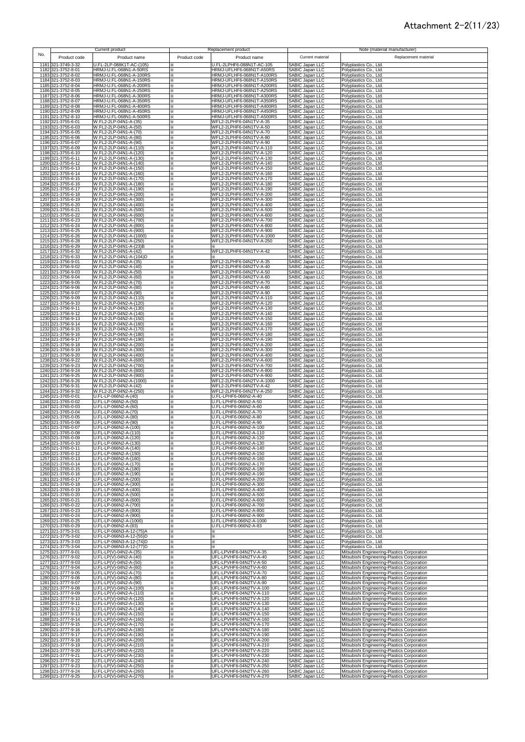#### Attachment 2-2(11/23)

|      |                                          | Current product                                      |               | Replacement product                                    |                                                  | Note (material manufacturer)                                                               |
|------|------------------------------------------|------------------------------------------------------|---------------|--------------------------------------------------------|--------------------------------------------------|--------------------------------------------------------------------------------------------|
| No.  | Product code                             | Product name                                         | Product code  | Product name                                           | Current material                                 | Replacement material                                                                       |
|      | 1181 321-3749-3-32                       | U.FL-2LP-088K1T-AC-(105)                             |               | U.FL-2LPHF6-088N1T-AC-105                              | SABIC Japan LLC                                  | Polyplastics Co., Ltd.                                                                     |
|      | 1182 321-3752-8-01                       | HRMJ-U.FL-068N1-A-50RS                               | ×             | HRMJ-UFLHF6-068N1T-A50RS                               | SABIC Japan LLC                                  | Polyplastics Co., Ltd.                                                                     |
|      | 1183 321-3752-8-02<br>1184 321-3752-8-03 | HRMJ-U.FL-068N1-A-100RS<br>HRMJ-U.FL-068N1-A-150RS   | ×<br>×        | HRMJ-UFLHF6-068N1T-A100RS<br>HRMJ-UFLHF6-068N1T-A150RS | SABIC Japan LLC<br>SABIC Japan LLC               | Polyplastics Co., Ltd.<br>Polyplastics Co., Ltd.                                           |
|      | 1185 321-3752-8-04                       | HRMJ-U.FL-068N1-A-200RS                              | $\times$      | HRMJ-UFLHF6-068N1T-A200RS                              | SABIC Japan LLC                                  | Polyplastics Co., Ltd.                                                                     |
|      | 1186 321-3752-8-05<br>1187 321-3752-8-06 | HRMJ-U.FL-068N1-A-250RS<br>HRMJ-U.FL-068N1-A-300RS   | $\times$<br>⋇ | HRMJ-UFLHF6-068N1T-A250RS<br>HRMJ-UFLHF6-068N1T-A300RS | SABIC Japan LLC<br><b>SABIC Japan LLC</b>        | Polyplastics Co., Ltd.<br>Polyplastics Co., Ltd.                                           |
|      | 1188 321-3752-8-07                       | HRMJ-U.FL-068N1-A-350RS                              | ⋇             | HRMJ-UFLHF6-068N1T-A350RS                              | SABIC Japan LLC                                  | Polyplastics Co., Ltd.                                                                     |
|      | 1189 321-3752-8-08<br>1190 321-3752-8-09 | HRMJ-U.FL-068N1-A-400RS<br>HRMJ-U.FL-068N1-A-450RS   | ×             | HRMJ-UFLHF6-068N1T-A400RS<br>HRMJ-UFLHF6-068N1T-A450RS | SABIC Japan LLC<br>SABIC Japan LLC               | Polyplastics Co., Ltd.<br>Polyplastics Co., Ltd.                                           |
|      | 1191 321-3752-8-10                       | HRMJ-U.FL-068N1-A-500RS                              | X<br>×        | HRMJ-UFLHF6-068N1T-A500RS                              | SABIC Japan LLC                                  | Polyplastics Co., Ltd.                                                                     |
|      | 1192 321-3755-6-01                       | W.FL2-2LP-04N1-A-(35)                                | ×             | WFL2-2LPHF6-04N1TV-A-35<br>WFL2-2LPHF6-04N1TV-A-50     | SABIC Japan LLC                                  | Polyplastics Co., Ltd.                                                                     |
|      | 1193 321-3755-6-03<br>1194 321-3755-6-05 | W.FL2-2LP-04N1-A-(50)<br>W.FL2-2LP-04N1-A-(70)       | ×.<br>፠       | WFL2-2LPHF6-04N1TV-A-70                                | SABIC Japan LLC<br>SABIC Japan LLC               | Polyplastics Co., Ltd.<br>Polyplastics Co., Ltd.                                           |
|      | 1195 321-3755-6-06                       | W.FL2-2LP-04N1-A-(80)<br>W.FL2-2LP-04N1-A-(90)       | ፠             | WFL2-2LPHF6-04N1TV-A-80                                | SABIC Japan LLC<br>SABIC Japan LLC               | Polyplastics Co., Ltd.                                                                     |
|      | 1196 321-3755-6-07<br>1197 321-3755-6-09 | W.FL2-2LP-04N1-A-(110)                               | $\times$<br>፠ | WFL2-2LPHF6-04N1TV-A-90<br>WFL2-2LPHF6-04N1TV-A-110    | SABIC Japan LLC                                  | Polyplastics Co., Ltd.<br>Polyplastics Co., Ltd.                                           |
|      | 1198 321-3755-6-10<br>1199 321-3755-6-11 | W.FL2-2LP-04N1-A-(120)<br>W.FL2-2LP-04N1-A-(130)     | ×             | WFL2-2LPHF6-04N1TV-A-120<br>WFL2-2LPHF6-04N1TV-A-130   | SABIC Japan LLC<br>SABIC Japan LLC               | Polyplastics Co., Ltd.                                                                     |
|      | 1200 321-3755-6-12                       | W.FL2-2LP-04N1-A-(140)                               | ×<br>×        | WFL2-2LPHF6-04N1TV-A-140                               | SABIC Japan LLC                                  | Polyplastics Co., Ltd.<br>Polyplastics Co., Ltd.                                           |
|      | 1201 321-3755-6-13                       | W.FL2-2LP-04N1-A-(150)                               | ⋇             | WFL2-2LPHF6-04N1TV-A-150                               | <b>SABIC Japan LLC</b>                           | Polyplastics Co., Ltd.                                                                     |
|      | 1202 321-3755-6-14<br>1203 321-3755-6-15 | W.FL2-2LP-04N1-A-(160)<br>W.FL2-2LP-04N1-A-(170)     | ⋇<br>×        | WFL2-2LPHF6-04N1TV-A-160<br>WFL2-2LPHF6-04N1TV-A-170   | <b>SABIC Japan LLC</b><br>SABIC Japan LLC        | Polyplastics Co., Ltd.<br>Polyplastics Co., Ltd.                                           |
|      | 1204 321-3755-6-16                       | W.FL2-2LP-04N1-A-(180)                               | ×             | WFL2-2LPHF6-04N1TV-A-180                               | SABIC Japan LLC                                  | Polyplastics Co., Ltd.                                                                     |
|      | 1205 321-3755-6-17<br>1206 321-3755-6-18 | W.FL2-2LP-04N1-A-(190)<br>W.FL2-2LP-04N1-A-(200)     | ×<br>×        | WFL2-2LPHF6-04N1TV-A-190<br>WFL2-2LPHF6-04N1TV-A-200   | SABIC Japan LLC<br>SABIC Japan LLC               | Polyplastics Co., Ltd.<br>Polyplastics Co., Ltd.                                           |
|      | 1207 321-3755-6-19                       | W.FL2-2LP-04N1-A-(300)                               | ×             | WFL2-2LPHF6-04N1TV-A-300                               | SABIC Japan LLC                                  | Polyplastics Co., Ltd.                                                                     |
|      | 1208 321-3755-6-20<br>1209 321-3755-6-21 | W.FL2-2LP-04N1-A-(400)<br>W.FL2-2LP-04N1-A-(500)     | ×<br>×.       | WFL2-2LPHF6-04N1TV-A-400<br>WFL2-2LPHF6-04N1TV-A-500   | SABIC Japan LLC<br>SABIC Japan LLC               | Polyplastics Co., Ltd.<br>Polyplastics Co., Ltd.                                           |
|      | 1210 321-3755-6-22                       | W.FL2-2LP-04N1-A-(600)                               | ×             | WFL2-2LPHF6-04N1TV-A-600                               | SABIC Japan LLC                                  | Polyplastics Co., Ltd.                                                                     |
|      | 1211 321-3755-6-23<br>1212 321-3755-6-24 | W.FL2-2LP-04N1-A-(700)<br>W.FL2-2LP-04N1-A-(800)     | ×<br>×        | WFL2-2LPHF6-04N1TV-A-700<br>WFL2-2LPHF6-04N1TV-A-800   | SABIC Japan LLC<br>SABIC Japan LLC               | Polyplastics Co., Ltd.<br>Polyplastics Co., Ltd.                                           |
|      | 1213 321-3755-6-25                       | W.FL2-2LP-04N1-A-(900)                               | ⋇             | WFL2-2LPHF6-04N1TV-A-900                               | SABIC Japan LLC                                  | Polyplastics Co., Ltd.                                                                     |
|      | 1214 321-3755-6-26<br>1215 321-3755-6-28 | W.FL2-2LP-04N1-A-(1000)<br>W.FL2-2LP-04N1-A-(250)    | ⋇<br>X        | WFL2-2LPHF6-04N1TV-A-1000<br>WFL2-2LPHF6-04N1TV-A-250  | SABIC Japan LLC<br>SABIC Japan LLC               | Polyplastics Co., Ltd.<br>Polyplastics Co., Ltd.                                           |
|      | 1216 321-3755-6-29                       | W.FL2-2LP-04N1-A-(23)B                               | ×             |                                                        | SABIC Japan LLC                                  | Polyplastics Co., Ltd.                                                                     |
|      | 1217 321-3755-6-32<br>1218 321-3755-6-33 | W.FL2-2LP-04N1-A-(42)<br>W.FL2-2LP-04N1-A-(104)D     | ×.<br>×       | WFL2-2LPHF6-04N1TV-A-42                                | SABIC Japan LLC<br>SABIC Japan LLC               | Polyplastics Co., Ltd.                                                                     |
| 1219 | 321-3756-9-01                            | W.FL2-2LP-04N2-A-(35)                                | ፠             | WFL2-2LPHF6-04N2TV-A-35                                | SABIC Japan LLC<br>SABIC Japan LLC               | Polyplastics Co., Ltd.<br>Polyplastics Co., Ltd.                                           |
|      | 1220 321-3756-9-02                       | W.FL2-2LP-04N2-A-(40)<br>W.FL2-2LP-04N2-A-(50)       | ፠             | WFL2-2LPHF6-04N2TV-A-40                                | SABIC Japan LLC                                  | Polyplastics Co., Ltd.                                                                     |
|      | 1221 321-3756-9-03<br>1222 321-3756-9-04 | W.FL2-2LP-04N2-A-(60)                                | ፠<br>፠        | WFL2-2LPHF6-04N2TV-A-50<br>WFL2-2LPHF6-04N2TV-A-60     | SABIC Japan LLC                                  | Polyplastics Co., Ltd.<br>Polyplastics Co., Ltd.                                           |
|      | 1223 321-3756-9-05                       | W.FL2-2LP-04N2-A-(70)<br>W.FL2-2LP-04N2-A-(80)       | ×             | WFL2-2LPHF6-04N2TV-A-70<br>WFL2-2LPHF6-04N2TV-A-80     | SABIC Japan LLC                                  | Polyplastics Co., Ltd.                                                                     |
| 1225 | 1224 321-3756-9-06<br>321-3756-9-07      | W.FL2-2LP-04N2-A-(90)                                | ×<br>×        | WFL2-2LPHF6-04N2TV-A-90                                | <b>SABIC Japan LLC</b><br><b>SABIC Japan LLC</b> | Polyplastics Co., Ltd.<br>Polyplastics Co., Ltd.                                           |
|      | 1226 321-3756-9-09                       | W.FL2-2LP-04N2-A-(110)                               | ×             | WFL2-2LPHF6-04N2TV-A-110                               | SABIC Japan LLC                                  | Polyplastics Co., Ltd.                                                                     |
|      | 1227 321-3756-9-10<br>1228 321-3756-9-11 | W.FL2-2LP-04N2-A-(120)<br>W.FL2-2LP-04N2-A-(130)     | ×<br>×        | WFL2-2LPHF6-04N2TV-A-120<br>WFL2-2LPHF6-04N2TV-A-130   | <b>SABIC Japan LLC</b><br>SABIC Japan LLC        | Polyplastics Co., Ltd.<br>Polyplastics Co., Ltd.                                           |
|      | 1229 321-3756-9-12                       | W.FL2-2LP-04N2-A-(140)                               | ×.            | WFL2-2LPHF6-04N2TV-A-140                               | SABIC Japan LLC                                  | Polyplastics Co., Ltd.                                                                     |
|      | 1230 321-3756-9-13<br>1231 321-3756-9-14 | W.FL2-2LP-04N2-A-(150)<br>W.FL2-2LP-04N2-A-(160)     | ×.<br>×.      | WFL2-2LPHF6-04N2TV-A-150<br>WFL2-2LPHF6-04N2TV-A-160   | SABIC Japan LLC<br>SABIC Japan LLC               | Polyplastics Co., Ltd.<br>Polyplastics Co., Ltd.                                           |
|      | 1232 321-3756-9-15                       | W.FL2-2LP-04N2-A-(170)                               | ×             | WFL2-2LPHF6-04N2TV-A-170                               | SABIC Japan LLC                                  | Polyplastics Co., Ltd.                                                                     |
|      | 1233 321-3756-9-16<br>1234 321-3756-9-17 | W.FL2-2LP-04N2-A-(180)<br>W.FL2-2LP-04N2-A-(190)     | ×<br>×        | WFL2-2LPHF6-04N2TV-A-180<br>WFL2-2LPHF6-04N2TV-A-190   | SABIC Japan LLC<br>SABIC Japan LLC               | Polyplastics Co., Ltd.<br>Polyplastics Co., Ltd.                                           |
|      | 1235 321-3756-9-18                       | W.FL2-2LP-04N2-A-(200)                               | ×             | WFL2-2LPHF6-04N2TV-A-200                               | SABIC Japan LLC                                  | Polyplastics Co., Ltd.                                                                     |
|      | 1236 321-3756-9-19<br>1237 321-3756-9-20 | W.FL2-2LP-04N2-A-(300)<br>W.FL2-2LP-04N2-A-(400)     | ×<br>$\times$ | WFL2-2LPHF6-04N2TV-A-300<br>WFL2-2LPHF6-04N2TV-A-400   | SABIC Japan LLC<br>SABIC Japan LLC               | Polyplastics Co., Ltd.<br>Polyplastics Co., Ltd.                                           |
|      | 1238 321-3756-9-22                       | W.FL2-2LP-04N2-A-(600)                               | ⋇             | WFL2-2LPHF6-04N2TV-A-600                               | SABIC Japan LLC                                  | Polyplastics Co., Ltd.                                                                     |
|      | 1239 321-3756-9-23<br>1240 321-3756-9-24 | W.FL2-2LP-04N2-A-(700)<br>W.FL2-2LP-04N2-A-(800)     | ⋇<br>×        | WFL2-2LPHF6-04N2TV-A-700<br>WFL2-2LPHF6-04N2TV-A-800   | SABIC Japan LLC<br>SABIC Japan LLC               | Polyplastics Co., Ltd.<br>Polyplastics Co., Ltd.                                           |
|      | 1241 321-3756-9-25                       | W.FL2-2LP-04N2-A-(900)                               | ፠             | WFL2-2LPHF6-04N2TV-A-900                               | SABIC Japan LLC                                  | Polyplastics Co., Ltd.                                                                     |
|      | 1242 321-3756-9-26<br>1243 321-3756-9-31 | W.FL2-2LP-04N2-A-(1000)<br>W.FL2-2LP-04N2-A-(42)     | ×<br>፠        | WFL2-2LPHF6-04N2TV-A-1000<br>WFL2-2LPHF6-04N2TV-A-42   | SABIC Japan LLC<br>SABIC Japan LLC               | Polyplastics Co., Ltd.<br>Polyplastics Co., Ltd.                                           |
|      | 1244 321-3756-9-32                       | W.FL2-2LP-04N2-A-(250)                               | ፠             | WFL2-2LPHF6-04N2TV-A-250                               | SABIC Japan LLC                                  | Polyplastics Co., Ltd.                                                                     |
|      | 1245 321-3765-0-01<br>1246 321-3765-0-02 | U.FL-LP-066N2-A-(40)<br>U.FL-LP-066N2-A-(50)         | ፠<br>፠        | U.FL-LPHF6-066N2-A-40<br>U.FL-LPHF6-066N2-A-50         | SABIC Japan LLC<br>SABIC Japan LLC               | Polyplastics Co., Ltd.<br>Polyplastics Co., Ltd.                                           |
|      | 1247 321-3765-0-03                       | U.FL-LP-066N2-A-(60)                                 | ×             | U.FL-LPHF6-066N2-A-60                                  | SABIC Japan LLC                                  | Polyplastics Co., Ltd.                                                                     |
|      | 1248 321-3765-0-04<br>1249 321-3765-0-05 | U.FL-LP-066N2-A-(70)<br>U.FL-LP-066N2-A-(80)         | ×<br>×        | U.FL-LPHF6-066N2-A-70<br>U.FL-LPHF6-066N2-A-80         | SABIC Japan LLC<br>SABIC Japan LLC               | Polyplastics Co., Ltd.<br>Polyplastics Co., Ltd.                                           |
|      | 1250 321-3765-0-06                       | U.FL-LP-066N2-A-(90)                                 | ⋇             | U.FL-LPHF6-066N2-A-90                                  | SABIC Japan LLC                                  | Polyplastics Co., Ltd.                                                                     |
|      | 1251 321-3765-0-07<br>1252 321-3765-0-08 | U.FL-LP-066N2-A-(100)<br>U.FL-LP-066N2-A-(110)       | ×<br>×        | U.FL-LPHF6-066N2-A-100<br>U.FL-LPHF6-066N2-A-110       | SABIC Japan LLC<br><b>SABIC Japan LLC</b>        | Polyplastics Co., Ltd.                                                                     |
|      | 1253 321-3765-0-09                       | U.FL-LP-066N2-A-(120)                                | ⋇             | U.FL-LPHF6-066N2-A-120                                 | <b>SABIC Japan LLC</b>                           | Polyplastics Co., Ltd.<br>Polyplastics Co., Ltd.                                           |
|      | 1254 321-3765-0-10<br>1255 321-3765-0-11 | U.FL-LP-066N2-A-(130)<br>U.FL-LP-066N2-A-(140)       | ×             | U.FL-LPHF6-066N2-A-130<br>U.FL-LPHF6-066N2-A-140       | SABIC Japan LLC<br>SABIC Japan LLC               | Polyplastics Co., Ltd.<br>Polyplastics Co., Ltd.                                           |
|      | 1256 321-3765-0-12                       | U.FL-LP-066N2-A-(150)                                | ×.            | U.FL-LPHF6-066N2-A-150                                 | SABIC Japan LLC                                  | Polyplastics Co., Ltd.                                                                     |
|      | 1257 321-3765-0-13                       | U.FL-LP-066N2-A-(160)                                | ×             | U.FL-LPHF6-066N2-A-160<br>U.FL-LPHF6-066N2-A-170       | SABIC Japan LLC                                  | Polyplastics Co., Ltd.                                                                     |
|      | 1258 321-3765-0-14<br>1259 321-3765-0-15 | U.FL-LP-066N2-A-(170)<br>U.FL-LP-066N2-A-(180)       | ×<br>×        | U.FL-LPHF6-066N2-A-180                                 | SABIC Japan LLC<br>SABIC Japan LLC               | Polyplastics Co., Ltd.<br>Polyplastics Co., Ltd.                                           |
|      | 1260 321-3765-0-16                       | U.FL-LP-066N2-A-(190)<br>U.FL-LP-066N2-A-(200)       | ×             | U.FL-LPHF6-066N2-A-190                                 | SABIC Japan LLC                                  | Polyplastics Co., Ltd.                                                                     |
|      | 1261 321-3765-0-17<br>1262 321-3765-0-18 | U.FL-LP-066N2-A-(300)                                | ×<br>×        | U.FL-LPHF6-066N2-A-200<br>U.FL-LPHF6-066N2-A-300       | SABIC Japan LLC<br>SABIC Japan LLC               | Polyplastics Co., Ltd.<br>Polyplastics Co., Ltd.                                           |
|      | 1263 321-3765-0-19<br>1264 321-3765-0-20 | U.FL-LP-066N2-A-(400)<br>U.FL-LP-066N2-A-(500)       | ⋇             | U.FL-LPHF6-066N2-A-400<br>U.FL-LPHF6-066N2-A-500       | SABIC Japan LLC<br>SABIC Japan LLC               | Polyplastics Co., Ltd.<br>Polyplastics Co., Ltd.                                           |
|      | 1265 321-3765-0-21                       | U.FL-LP-066N2-A-(600)                                | ⋇<br>×        | U.FL-LPHF6-066N2-A-600                                 | SABIC Japan LLC                                  | Polyplastics Co., Ltd.                                                                     |
|      | 1266 321-3765-0-22<br>1267 321-3765-0-23 | U.FL-LP-066N2-A-(700)<br>U.FL-LP-066N2-A-(800)       | $\times$<br>፠ | U.FL-LPHF6-066N2-A-700<br>U.FL-LPHF6-066N2-A-800       | SABIC Japan LLC<br>SABIC Japan LLC               | Polyplastics Co., Ltd.<br>Polyplastics Co., Ltd.                                           |
|      | 1268 321-3765-0-24                       | U.FL-LP-066N2-A-(900)                                | ×             | U.FL-LPHF6-066N2-A-900                                 | SABIC Japan LLC                                  | Polyplastics Co., Ltd.                                                                     |
|      | 1269 321-3765-0-25<br>1270 321-3765-0-29 | U.FL-LP-066N2-A-(1000)<br>U.FL-LP-066N2-A-(83)       | ×.<br>×       | U.FL-LPHF6-066N2-A-1000<br>U.FL-LPHF6-066N2-A-83       | SABIC Japan LLC<br>SABIC Japan LLC               | Polyplastics Co., Ltd.<br>Polyplastics Co., Ltd.                                           |
|      | 1271 321-3775-3-01                       | U.FL-LP-066N3-A-12-(75)A                             | ፠             | ×                                                      | SABIC Japan LLC                                  | Polyplastics Co., Ltd.                                                                     |
|      | 1272 321-3775-3-02<br>1273 321-3775-3-03 | U.FL-LP-066N3-A-12-(55)D<br>U.FL-LP-066N3-A-12-(74)D | ፠<br>×        | ×                                                      | SABIC Japan LLC<br>SABIC Japan LLC               | Polyplastics Co., Ltd.                                                                     |
|      | 1274 321-3775-3-04                       | U.FL-LP-066N3-A-12-(77)D                             | ×             | ×<br>×.                                                | SABIC Japan LLC                                  | Polyplastics Co., Ltd.<br>Polyplastics Co., Ltd.                                           |
|      | 1275 321-3777-9-01<br>1276 321-3777-9-02 | U.FL-LP(V)-04N2-A-(35)<br>U.FL-LP(V)-04N2-A-(40)     | ×             | UFL-LPVHF6-04N2TV-A-35<br>UFL-LPVHF6-04N2TV-A-40       | SABIC Japan LLC<br><b>SABIC Japan LLC</b>        | Mitsubishi Engineering-Plastics Corporation                                                |
|      | 1277 321-3777-9-03                       | U.FL-LP(V)-04N2-A-(50)                               | ፠<br>×        | UFL-LPVHF6-04N2TV-A-50                                 | SABIC Japan LLC                                  | Mitsubishi Engineering-Plastics Corporation<br>Mitsubishi Engineering-Plastics Corporation |
|      | 1278 321-3777-9-04                       | U.FL-LP(V)-04N2-A-(60)                               | ×             | UFL-LPVHF6-04N2TV-A-60                                 | SABIC Japan LLC                                  | Mitsubishi Engineering-Plastics Corporation                                                |
|      | 1279 321-3777-9-05<br>1280 321-3777-9-06 | U.FL-LP(V)-04N2-A-(70)<br>U.FL-LP(V)-04N2-A-(80)     | ×.<br>×.      | UFL-LPVHF6-04N2TV-A-70<br>UFL-LPVHF6-04N2TV-A-80       | <b>SABIC Japan LLC</b><br>SABIC Japan LLC        | Mitsubishi Engineering-Plastics Corporation<br>Mitsubishi Engineering-Plastics Corporation |
|      | 1281 321-3777-9-07                       | U.FL-LP(V)-04N2-A-(90)                               | ×.            | UFL-LPVHF6-04N2TV-A-90                                 | SABIC Japan LLC                                  | Mitsubishi Engineering-Plastics Corporation                                                |
|      | 1282 321-3777-9-08<br>1283 321-3777-9-09 | U.FL-LP(V)-04N2-A-(100)<br>U.FL-LP(V)-04N2-A-(110)   | ×<br>×        | UFL-LPVHF6-04N2TV-A-100<br>UFL-LPVHF6-04N2TV-A-110     | SABIC Japan LLC<br>SABIC Japan LLC               | Mitsubishi Engineering-Plastics Corporation<br>Mitsubishi Engineering-Plastics Corporation |
|      | 1284 321-3777-9-10                       | U.FL-LP(V)-04N2-A-(120)                              | ×             | UFL-LPVHF6-04N2TV-A-120                                | SABIC Japan LLC                                  | Mitsubishi Engineering-Plastics Corporation                                                |
|      | 1285 321-3777-9-11<br>1286 321-3777-9-12 | U.FL-LP(V)-04N2-A-(130)<br>U.FL-LP(V)-04N2-A-(140)   | ×<br>×        | UFL-LPVHF6-04N2TV-A-130<br>UFL-LPVHF6-04N2TV-A-140     | SABIC Japan LLC<br>SABIC Japan LLC               | Mitsubishi Engineering-Plastics Corporation<br>Mitsubishi Engineering-Plastics Corporation |
|      | 1287 321-3777-9-13                       | U.FL-LP(V)-04N2-A-(150)                              | $\times$      | UFL-LPVHF6-04N2TV-A-150                                | SABIC Japan LLC                                  | Mitsubishi Engineering-Plastics Corporation                                                |
|      | 1288 321-3777-9-14<br>1289 321-3777-9-15 | U.FL-LP(V)-04N2-A-(160)<br>U.FL-LP(V)-04N2-A-(170)   | ፠<br>⋇        | UFL-LPVHF6-04N2TV-A-160<br>UFL-LPVHF6-04N2TV-A-170     | SABIC Japan LLC<br>SABIC Japan LLC               | Mitsubishi Engineering-Plastics Corporation<br>Mitsubishi Engineering-Plastics Corporation |
|      | 1290 321-3777-9-16                       | U.FL-LP(V)-04N2-A-(180)                              | ×             | UFL-LPVHF6-04N2TV-A-180                                | SABIC Japan LLC                                  | Mitsubishi Engineering-Plastics Corporation                                                |
|      | 1291 321-3777-9-17<br>1292 321-3777-9-18 | U.FL-LP(V)-04N2-A-(190)<br>U.FL-LP(V)-04N2-A-(200)   | ×<br>×        | UFL-LPVHF6-04N2TV-A-190<br>UFL-LPVHF6-04N2TV-A-200     | SABIC Japan LLC<br>SABIC Japan LLC               | Mitsubishi Engineering-Plastics Corporation<br>Mitsubishi Engineering-Plastics Corporation |
|      | 1293 321-3777-9-19                       | U.FL-LP(V)-04N2-A-(210)                              | ×             | UFL-LPVHF6-04N2TV-A-210                                | SABIC Japan LLC                                  | Mitsubishi Engineering-Plastics Corporation                                                |
|      | 1294 321-3777-9-20<br>1295 321-3777-9-21 | U.FL-LP(V)-04N2-A-(220)<br>U.FL-LP(V)-04N2-A-(230)   | ×.<br>፠       | UFL-LPVHF6-04N2TV-A-220<br>UFL-LPVHF6-04N2TV-A-230     | SABIC Japan LLC<br><b>SABIC Japan LLC</b>        | Mitsubishi Engineering-Plastics Corporation<br>Mitsubishi Engineering-Plastics Corporation |
|      | 1296 321-3777-9-22                       | U.FL-LP(V)-04N2-A-(240)                              | ፠             | UFL-LPVHF6-04N2TV-A-240                                | SABIC Japan LLC                                  | Mitsubishi Engineering-Plastics Corporation                                                |
|      | 1297 321-3777-9-23<br>1298 321-3777-9-24 | U.FL-LP(V)-04N2-A-(250)<br>U.FL-LP(V)-04N2-A-(260)   | ×<br>፠        | UFL-LPVHF6-04N2TV-A-250<br>UFL-LPVHF6-04N2TV-A-260     | SABIC Japan LLC<br>SABIC Japan LLC               | Mitsubishi Engineering-Plastics Corporation<br>Mitsubishi Engineering-Plastics Corporation |
|      | 1299 321-3777-9-25                       | U.FL-LP(V)-04N2-A-(270)                              | ×             | UFL-LPVHF6-04N2TV-A-270                                | SABIC Japan LLC                                  | Mitsubishi Engineering-Plastics Corporation                                                |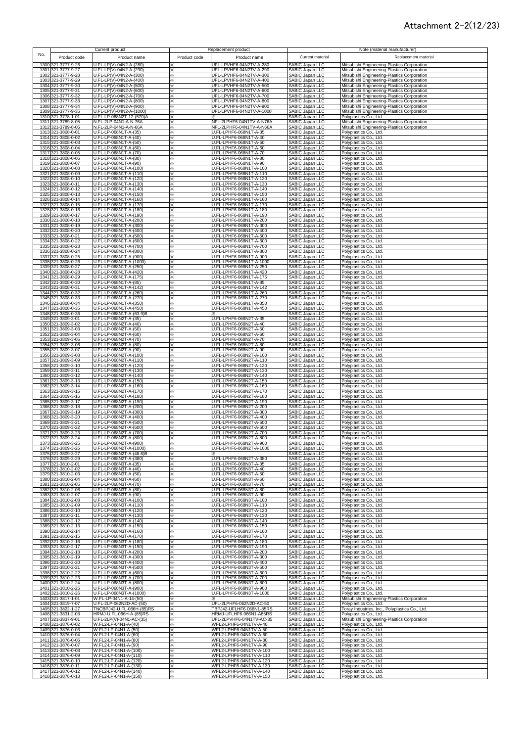#### Attachment 2-2(12/23)

|      |                                          | Current product                                      |              | Replacement product                                  |                                                                                                                | Note (material manufacturer)                                                               |
|------|------------------------------------------|------------------------------------------------------|--------------|------------------------------------------------------|----------------------------------------------------------------------------------------------------------------|--------------------------------------------------------------------------------------------|
| No.  | Product code                             | Product name                                         | Product code | Product name                                         | Current material                                                                                               | Replacement material                                                                       |
|      | 1300 321-3777-9-26                       | U.FL-LP(V)-04N2-A-(280)                              | ×            | UFL-LPVHF6-04N2TV-A-280                              | <b>SABIC Japan LLC</b>                                                                                         | Mitsubishi Engineering-Plastics Corporation                                                |
|      | 1301 321-3777-9-27<br>1302 321-3777-9-28 | U.FL-LP(V)-04N2-A-(290)<br>U.FL-LP(V)-04N2-A-(300)   | ×<br>×       | UFL-LPVHF6-04N2TV-A-290<br>UFL-LPVHF6-04N2TV-A-300   | SABIC Japan LLC<br>SABIC Japan LLC                                                                             | Mitsubishi Engineering-Plastics Corporation<br>Mitsubishi Engineering-Plastics Corporation |
|      | 1303 321-3777-9-29                       | U.FL-LP(V)-04N2-A-(400)                              | ⋇            | UFL-LPVHF6-04N2TV-A-400                              | SABIC Japan LLC                                                                                                | Mitsubishi Engineering-Plastics Corporation                                                |
|      | 1304 321-3777-9-30                       | U.FL-LP(V)-04N2-A-(500)<br>U.FL-LP(V)-04N2-A-(600)   | ⋇            | UFL-LPVHF6-04N2TV-A-500<br>UFL-LPVHF6-04N2TV-A-600   | SABIC Japan LLC                                                                                                | Mitsubishi Engineering-Plastics Corporation                                                |
|      | 1305 321-3777-9-31<br>1306 321-3777-9-32 | U.FL-LP(V)-04N2-A-(700)                              | ፠<br>⋇       | UFL-LPVHF6-04N2TV-A-700                              | SABIC Japan LLC<br>SABIC Japan LLC<br>SABIC Japan LLC                                                          | Mitsubishi Engineering-Plastics Corporation<br>Mitsubishi Engineering-Plastics Corporation |
|      | 1307 321-3777-9-33                       | U.FL-LP(V)-04N2-A-(800)                              | ⋇            | UFL-LPVHF6-04N2TV-A-800                              |                                                                                                                | Mitsubishi Engineering-Plastics Corporation                                                |
|      | 1308 321-3777-9-34<br>1309 321-3777-9-35 | U.FL-LP(V)-04N2-A-(900)<br>U.FL-LP(V)-04N2-A-(1000)  | ×            | UFL-LPVHF6-04N2TV-A-900<br>UFL-LPVHF6-04N2TV-A-1000  | SABIC Japan LLC<br>SABIC Japan LLC                                                                             | Mitsubishi Engineering-Plastics Corporation<br>Mitsubishi Engineering-Plastics Corporation |
|      | 1310 321-3778-1-01                       | U.FL-LP-068N2T-12-(570)A                             | ×            |                                                      | SABIC Japan LLC                                                                                                | Polyplastics Co., Ltd.                                                                     |
|      | 1311 321-3789-8-05<br>1312 321-3789-8-06 | N.FL-2LP-04N1-A-N-76A<br>N.FL-2LP-04N1-A-N-66A       | ⋇<br>×       | NFL-2LPHF6-04N1TV-A-N76A<br>NFL-2LPHF6-04N1TV-A-N66A | SABIC Japan LLC<br>SABIC Japan LLC                                                                             | Mitsubishi Engineering-Plastics Corporation<br>Mitsubishi Engineering-Plastics Corporation |
|      | 1313 321-3808-0-01                       | U.FL-LP-068N1T-A-(35)                                | ⋇            | U.FL-LPHF6-068N1T-A-35                               | SABIC Japan LLC                                                                                                | Polyplastics Co., Ltd.                                                                     |
|      | 1314 321-3808-0-02<br>1315 321-3808-0-03 | U.FL-LP-068N1T-A-(40)<br>U.FL-LP-068N1T-A-(50)       | ⋇<br>×       | U.FL-LPHF6-068N1T-A-40<br>U.FL-LPHF6-068N1T-A-50     | SABIC Japan LLC<br>SABIC Japan LLC                                                                             | Polyplastics Co., Ltd.<br>Polyplastics Co., Ltd.                                           |
|      | 1316 321-3808-0-04                       | U.FL-LP-068N1T-A-(60)                                | ⋇            | U.FL-LPHF6-068N1T-A-60                               | SABIC Japan LLC                                                                                                | Polyplastics Co., Ltd.                                                                     |
|      | 1317 321-3808-0-05<br>1318 321-3808-0-06 | U.FL-LP-068N1T-A-(70)<br>U.FL-LP-068N1T-A-(80)       | ×            | U.FL-LPHF6-068N1T-A-70<br>U.FL-LPHF6-068N1T-A-80     | SABIC Japan LLC                                                                                                | Polyplastics Co., Ltd.<br>Polyplastics Co., Ltd.                                           |
|      | 1319 321-3808-0-07                       | U.FL-LP-068N1T-A-(90)                                | ⋇<br>⋇       | U.FL-LPHF6-068N1T-A-90                               | SABIC Japan LLC<br>SABIC Japan LLC                                                                             | Polyplastics Co., Ltd.                                                                     |
|      | 1320 321-3808-0-08                       | U.FL-LP-068N1T-A-(100)                               | ⋇            | U.FL-LPHF6-068N1T-A-100                              | SABIC Japan LLC                                                                                                | Polyplastics Co., Ltd.                                                                     |
|      | 1321 321-3808-0-09<br>1322 321-3808-0-10 | U.FL-LP-068N1T-A-(110)<br>U.FL-LP-068N1T-A-(120)     | ⋇<br>×       | U.FL-LPHF6-068N1T-A-110<br>U.FL-LPHF6-068N1T-A-120   | SABIC Japan LLC<br>SABIC Japan LLC                                                                             | Polyplastics Co., Ltd.<br>Polyplastics Co., Ltd.                                           |
|      | 1323 321-3808-0-11                       | U.FL-LP-068N1T-A-(130)                               | ⋇            | U.FL-LPHF6-068N1T-A-130                              | SABIC Japan LLC                                                                                                | Polyplastics Co., Ltd.                                                                     |
|      | 1324 321-3808-0-12<br>1325 321-3808-0-13 | U.FL-LP-068N1T-A-(140)<br>U.FL-LP-068N1T-A-(150)     | ⋇<br>⋇       | U.FL-LPHF6-068N1T-A-140<br>U.FL-LPHF6-068N1T-A-150   | SABIC Japan LLC<br>SABIC Japan LLC                                                                             | Polyplastics Co., Ltd.<br>Polyplastics Co., Ltd.                                           |
|      | 1326 321-3808-0-14                       | U.FL-LP-068N1T-A-(160)                               | ×            | U.FL-LPHF6-068N1T-A-160                              | SABIC Japan LLC                                                                                                | Polyplastics Co., Ltd.                                                                     |
|      | 1327 321-3808-0-15<br>1328 321-3808-0-16 | U.FL-LP-068N1T-A-(170)<br>U.FL-LP-068N1T-A-(180)     | ⋇<br>×       | U.FL-LPHF6-068N1T-A-170<br>U.FL-LPHF6-068N1T-A-180   | SABIC Japan LLC<br>SABIC Japan LLC                                                                             | Polyplastics Co., Ltd.<br>Polyplastics Co., Ltd.                                           |
|      | 1329 321-3808-0-17                       | U.FL-LP-068N1T-A-(190)                               | ⋇            | U.FL-LPHF6-068N1T-A-190                              | SABIC Japan LLC                                                                                                | Polyplastics Co., Ltd.                                                                     |
|      | 1330 321-3808-0-18<br>1331 321-3808-0-19 | U.FL-LP-068N1T-A-(200)<br>J.FL-LP-068N1T-A-(300)     | ⋇<br>×       | U.FL-LPHF6-068N1T-A-200<br>U.FL-LPHF6-068N1T-A-300   | SABIC Japan LLC<br>SABIC Japan LLC                                                                             | Polyplastics Co., Ltd.<br>Polyplastics Co., Ltd.                                           |
|      | 1332 321-3808-0-20                       | U.FL-LP-068N1T-A-(400)                               | ×            | U.FL-LPHF6-068N1T-A-400                              | SABIC Japan LLC                                                                                                | Polyplastics Co., Ltd.                                                                     |
|      | 1333 321-3808-0-21                       | U.FL-LP-068N1T-A-(500)                               | ×            | U.FL-LPHF6-068N1T-A-500                              | SABIC Japan LLC<br>SABIC Japan LLC                                                                             | Polyplastics Co., Ltd.                                                                     |
|      | 1334 321-3808-0-22<br>1335 321-3808-0-23 | U.FL-LP-068N1T-A-(600)<br>U.FL-LP-068N1T-A-(700)     | ×<br>፠       | U.FL-LPHF6-068N1T-A-600<br>U.FL-LPHF6-068N1T-A-700   | SABIC Japan LLC                                                                                                | Polyplastics Co., Ltd.<br>Polyplastics Co., Ltd.                                           |
|      | 1336 321-3808-0-24                       | U.FL-LP-068N1T-A-(800)                               | ×            | U.FL-LPHF6-068N1T-A-800                              | SABIC Japan LLC                                                                                                | Polyplastics Co., Ltd.                                                                     |
| 1338 | 1337 321-3808-0-25<br>321-3808-0-26      | U.FL-LP-068N1T-A-(900)<br>U.FL-LP-068N1T-A-(1000)    | ⋇<br>×       | U.FL-LPHF6-068N1T-A-900<br>U.FL-LPHF6-068N1T-A-1000  | SABIC Japan LLC<br>SABIC Japan LLC                                                                             | Polyplastics Co., Ltd.<br>Polyplastics Co., Ltd.                                           |
|      | 1339 321-3808-0-27                       | U.FL-LP-068N1T-A-(250)                               | ×            | U.FL-LPHF6-068N1T-A-250                              | SABIC Japan LLC                                                                                                | Polyplastics Co., Ltd.                                                                     |
|      | 1340 321-3808-0-28<br>1341 321-3808-0-29 | U.FL-LP-068N1T-A-(420)<br>U.FL-LP-068N1T-A-(175)     | ×<br>⋇       | U.FL-LPHF6-068N1T-A-420<br>U.FL-LPHF6-068N1T-A-175   | SABIC Japan LLC<br>SABIC Japan LLC                                                                             | Polyplastics Co., Ltd.<br>Polyplastics Co., Ltd.                                           |
|      | 1342 321-3808-0-30                       | U.FL-LP-068N1T-A-(85)                                | ⋇            | U.FL-LPHF6-068N1T-A-85                               | SABIC Japan LLC                                                                                                | Polyplastics Co., Ltd.                                                                     |
|      | 1343 321-3808-0-31<br>1344 321-3808-0-32 | U.FL-LP-068N1T-A-(142)<br>U.FL-LP-068N1T-A-(260)     | ⋇<br>፠       | U.FL-LPHF6-068N1T-A-142<br>U.FL-LPHF6-068N1T-A-260   | SABIC Japan LLC<br>SABIC Japan LLC                                                                             | Polyplastics Co., Ltd.<br>Polyplastics Co., Ltd.                                           |
|      | 1345 321-3808-0-33                       | U.FL-LP-068N1T-A-(270)                               | ፠            | U.FL-LPHF6-068N1T-A-270                              | SABIC Japan LLC                                                                                                | Polyplastics Co., Ltd.                                                                     |
|      | 1346 321-3808-0-34                       | U.FL-LP-068N1T-A-(350)                               | ⋇            | U.FL-LPHF6-068N1T-A-350                              | SABIC Japan LLC                                                                                                | Polyplastics Co., Ltd.                                                                     |
|      | 1347 321-3808-0-35<br>1348 321-3808-0-36 | U.FL-LP-068N1T-A-(450)<br>U.FL-LP-068N1T-A-(63.9)B   | ፠<br>⋇       | U.FL-LPHF6-068N1T-A-450                              | SABIC Japan LLC<br>SABIC Japan LLC                                                                             | Polyplastics Co., Ltd.<br>Polyplastics Co., Ltd.                                           |
|      | 1349 321-3809-3-01                       | U.FL-LP-068N2T-A-(35)                                | ⋇            | U.FL-LPHF6-068N2T-A-35                               | SABIC Japan LLC                                                                                                | Polyplastics Co., Ltd.                                                                     |
|      | 1350 321-3809-3-02<br>1351 321-3809-3-03 | U.FL-LP-068N2T-A-(40)<br>U.FL-LP-068N2T-A-(50)       | ⋇<br>⋇       | U.FL-LPHF6-068N2T-A-40<br>U.FL-LPHF6-068N2T-A-50     | SABIC Japan LLC<br>SABIC Japan LLC                                                                             | Polyplastics Co., Ltd.<br>Polyplastics Co., Ltd.                                           |
|      | 1352 321-3809-3-04                       | U.FL-LP-068N2T-A-(60)                                | ⋇            | U.FL-LPHF6-068N2T-A-60                               | SABIC Japan LLC                                                                                                | Polyplastics Co., Ltd.                                                                     |
|      | 1353 321-3809-3-05<br>1354 321-3809-3-06 | U.FL-LP-068N2T-A-(70)<br>U.FL-LP-068N2T-A-(80)       | ⋇<br>፠       | U.FL-LPHF6-068N2T-A-70<br>U.FL-LPHF6-068N2T-A-80     | SABIC Japan LLC<br>SABIC Japan LLC                                                                             | Polyplastics Co., Ltd.<br>Polyplastics Co., Ltd.                                           |
|      | 1355 321-3809-3-07                       | U.FL-LP-068N2T-A-(90)                                | ⋇            | U.FL-LPHF6-068N2T-A-90                               | SABIC Japan LLC                                                                                                | Polyplastics Co., Ltd.                                                                     |
|      | 1356 321-3809-3-08<br>1357 321-3809-3-09 | U.FL-LP-068N2T-A-(100)<br>U.FL-LP-068N2T-A-(110)     | ⋇<br>⋇       | U.FL-LPHF6-068N2T-A-100<br>U.FL-LPHF6-068N2T-A-110   |                                                                                                                | Polyplastics Co., Ltd.<br>Polyplastics Co., Ltd.                                           |
|      | 1358 321-3809-3-10                       | U.FL-LP-068N2T-A-(120)                               | ⋇            | U.FL-LPHF6-068N2T-A-120                              | SABIC Japan LLC<br>SABIC Japan LLC<br>SABIC Japan LLC                                                          | Polyplastics Co., Ltd.                                                                     |
|      | 1359 321-3809-3-11                       | U.FL-LP-068N2T-A-(130)<br>U.FL-LP-068N2T-A-(140)     | ⋇<br>×       | U.FL-LPHF6-068N2T-A-130                              | SABIC Japan LLC<br>SABIC Japan LLC                                                                             | Polyplastics Co., Ltd.                                                                     |
|      | 1360 321-3809-3-12<br>1361 321-3809-3-13 | U.FL-LP-068N2T-A-(150)                               | ⋇            | U.FL-LPHF6-068N2T-A-140<br>U.FL-LPHF6-068N2T-A-150   | SABIC Japan LLC                                                                                                | Polyplastics Co., Ltd.<br>Polyplastics Co., Ltd.                                           |
|      | 1362 321-3809-3-14                       | U.FL-LP-068N2T-A-(160)                               | ⋇            | U.FL-LPHF6-068N2T-A-160<br>U.FL-LPHF6-068N2T-A-170   | SABIC Japan LLC                                                                                                | Polyplastics Co., Ltd.                                                                     |
|      | 1363 321-3809-3-15<br>1364 321-3809-3-16 | U.FL-LP-068N2T-A-(170)<br>U.FL-LP-068N2T-A-(180)     | ×<br>×       | U.FL-LPHF6-068N2T-A-180                              | SABIC Japan LLC<br>SABIC Japan LLC                                                                             | Polyplastics Co., Ltd.<br>Polyplastics Co., Ltd.                                           |
|      | 1365 321-3809-3-17                       | U.FL-LP-068N2T-A-(190)                               | ⋇            | U.FL-LPHF6-068N2T-A-190                              | SABIC Japan LLC                                                                                                | Polyplastics Co., Ltd.                                                                     |
|      | 1366 321-3809-3-18<br>1367 321-3809-3-19 | U.FL-LP-068N2T-A-(200)<br>U.FL-LP-068N2T-A-(300)     | ⋇<br>⋇       | U.FL-LPHF6-068N2T-A-200<br>U.FL-LPHF6-068N2T-A-300   | SABIC Japan LLC<br>SABIC Japan LLC                                                                             | Polyplastics Co., Ltd.<br>Polyplastics Co., Ltd.                                           |
|      | 1368 321-3809-3-20                       | U.FL-LP-068N2T-A-(400)                               | ⋇            | U.FL-LPHF6-068N2T-A-400                              | SABIC Japan LLC                                                                                                | Polyplastics Co., Ltd.                                                                     |
|      | 1369 321-3809-3-21<br>1370 321-3809-3-22 | U.FL-LP-068N2T-A-(500)<br>U.FL-LP-068N2T-A-(600)     | ⋇<br>⋇       | U.FL-LPHF6-068N2T-A-500<br>U.FL-LPHF6-068N2T-A-600   | SABIC Japan LLC<br>SABIC Japan LLC                                                                             | Polyplastics Co., Ltd.<br>Polyplastics Co., Ltd.                                           |
|      | 1371 321-3809-3-23                       | U.FL-LP-068N2T-A-(700)                               | ⋇            | U.FL-LPHF6-068N2T-A-700                              | SABIC Japan LLC                                                                                                | Polyplastics Co., Ltd.                                                                     |
|      | 1372 321-3809-3-24<br>1373 321-3809-3-25 | U.FL-LP-068N2T-A-(800)<br>U.FL-LP-068N2T-A-(900)     | ×            | U.FL-LPHF6-068N2T-A-800<br>J.FL-LPHF6-068N2T-A-900   | SABIC Japan LLC<br>SABIC Japan LLC                                                                             | Polyplastics Co., Ltd.<br>Polyplastics Co., Ltd.                                           |
|      | 1374 321-3809-3-26                       | U.FL-LP-068N2T-A-(1000)                              | ⋇            | U.FL-LPHF6-068N2T-A-1000                             | SABIC Japan LLC                                                                                                | Polyplastics Co., Ltd.                                                                     |
|      | 1375 321-3809-3-27<br>1376 321-3809-3-29 | U.FL-LP-068N2T-A-(48.6)B<br>U.FL-LP-068N2T-A-(380)   | ⋇<br>×       | U.FL-LPHF6-068N2T-A-380                              | SABIC Japan LLC<br>SABIC Japan LLC                                                                             | Polyplastics Co., Ltd.<br>Polyplastics Co., Ltd.                                           |
|      | 1377 321-3810-2-01                       | U.FL-LP-068N3T-A-(35)                                | ⋇            | U.FL-LPHF6-068N3T-A-35                               | SABIC Japan LLC                                                                                                | Polyplastics Co., Ltd.                                                                     |
|      | 1378 321-3810-2-02<br>1379 321-3810-2-03 | U.FL-LP-068N3T-A-(40)<br>U.FL-LP-068N3T-A-(50)       | ×<br>⋇       | U.FL-LPHF6-068N3T-A-40<br>U.FL-LPHF6-068N3T-A-50     |                                                                                                                | Polyplastics Co., Ltd.<br>Polyplastics Co., Ltd.                                           |
|      | 1380 321-3810-2-04                       | U.FL-LP-068N3T-A-(60)                                | ⋇            | U.FL-LPHF6-068N3T-A-60                               |                                                                                                                | Polyplastics Co., Ltd.                                                                     |
|      | 1381 321-3810-2-05                       | U.FL-LP-068N3T-A-(70)<br>U.FL-LP-068N3T-A-(80)       | ×<br>⋇       | U.FL-LPHF6-068N3T-A-70<br>U.FL-LPHF6-068N3T-A-80     |                                                                                                                | Polyplastics Co., Ltd.<br>Polyplastics Co., Ltd.                                           |
|      | 1382 321-3810-2-06<br>1383 321-3810-2-07 | U.FL-LP-068N3T-A-(90)                                | ⋇            | U.FL-LPHF6-068N3T-A-90                               | SABIC Japan LLC<br>SABIC Japan LLC<br>SABIC Japan LLC<br>SABIC Japan LLC<br>SABIC Japan LLC<br>SABIC Japan LLC | Polyplastics Co., Ltd.                                                                     |
|      | 1384 321-3810-2-08                       | U.FL-LP-068N3T-A-(100)                               | ⋇            | U.FL-LPHF6-068N3T-A-100                              | SABIC Japan LLC<br>SABIC Japan LLC                                                                             | Polyplastics Co., Ltd.                                                                     |
|      | 1385 321-3810-2-09<br>1386 321-3810-2-10 | U.FL-LP-068N3T-A-(110)<br>U.FL-LP-068N3T-A-(120)     | ×<br>×       | U.FL-LPHF6-068N3T-A-110<br>U.FL-LPHF6-068N3T-A-120   | SABIC Japan LLC                                                                                                | Polyplastics Co., Ltd.<br>Polyplastics Co., Ltd.                                           |
|      | 1387 321-3810-2-11                       | U.FL-LP-068N3T-A-(130)                               | ×            | U.FL-LPHF6-068N3T-A-130                              | SABIC Japan LLC                                                                                                | Polyplastics Co., Ltd.                                                                     |
|      | 1388 321-3810-2-12<br>1389 321-3810-2-13 | U.FL-LP-068N3T-A-(140)<br>U.FL-LP-068N3T-A-(150)     | X.<br>⋇      | U.FL-LPHF6-068N3T-A-140<br>U.FL-LPHF6-068N3T-A-150   | SABIC Japan LLC<br>SABIC Japan LLC                                                                             | Polyplastics Co., Ltd.<br>Polyplastics Co., Ltd.                                           |
|      | 1390 321-3810-2-14                       | U.FL-LP-068N3T-A-(160)                               | ⋇            | U.FL-LPHF6-068N3T-A-160                              | SABIC Japan LLC                                                                                                | Polyplastics Co., Ltd.                                                                     |
|      | 1391 321-3810-2-15<br>1392 321-3810-2-16 | U.FL-LP-068N3T-A-(170)<br>U.FL-LP-068N3T-A-(180)     | ⋇<br>×.      | U.FL-LPHF6-068N3T-A-170<br>U.FL-LPHF6-068N3T-A-180   | SABIC Japan LLC<br>SABIC Japan LLC                                                                             | Polyplastics Co., Ltd.<br>Polyplastics Co., Ltd.                                           |
|      | 1393 321-3810-2-17                       | U.FL-LP-068N3T-A-(190)                               | ⋇            | U.FL-LPHF6-068N3T-A-190                              | SABIC Japan LLC                                                                                                | Polyplastics Co., Ltd.                                                                     |
|      | 1394 321-3810-2-18<br>1395 321-3810-2-19 | U.FL-LP-068N3T-A-(200)<br>U.FL-LP-068N3T-A-(300)     | ×<br>⋇       | U.FL-LPHF6-068N3T-A-200<br>U.FL-LPHF6-068N3T-A-300   | SABIC Japan LLC<br>SABIC Japan LLC                                                                             | Polyplastics Co., Ltd.<br>Polyplastics Co., Ltd.                                           |
|      | 1396 321-3810-2-20                       | U.FL-LP-068N3T-A-(400)                               | ⋇            | U.FL-LPHF6-068N3T-A-400                              | SABIC Japan LLC                                                                                                | Polyplastics Co., Ltd.                                                                     |
|      | 1397 321-3810-2-21<br>1398 321-3810-2-22 | U.FL-LP-068N3T-A-(500)<br>U.FL-LP-068N3T-A-(600)     | ⋇<br>×       | U.FL-LPHF6-068N3T-A-500<br>U.FL-LPHF6-068N3T-A-600   | SABIC Japan LLC<br>SABIC Japan LLC                                                                             | Polyplastics Co., Ltd.<br>Polyplastics Co., Ltd.                                           |
|      | 1399 321-3810-2-23                       | U.FL-LP-068N3T-A-(700)                               | ⋇            | U.FL-LPHF6-068N3T-A-700                              | SABIC Japan LLC                                                                                                | Polyplastics Co., Ltd.                                                                     |
|      | 1400 321-3810-2-24<br>1401 321-3810-2-25 | U.FL-LP-068N3T-A-(800)<br>U.FL-LP-068N3T-A-(900)     | ⋇            | U.FL-LPHF6-068N3T-A-800<br>U.FL-LPHF6-068N3T-A-900   | SABIC Japan LLC<br>SABIC Japan LLC                                                                             | Polyplastics Co., Ltd.<br>Polyplastics Co., Ltd.                                           |
|      | 1402 321-3810-2-26                       | U.FL-LP-068N3T-A-(1000)                              | ⋇<br>⋇       | U.FL-LPHF6-068N3T-A-1000                             | SABIC Japan LLC                                                                                                | Polyplastics Co., Ltd.                                                                     |
|      | 1403 321-3817-1-01                       | W.FL-LP-04N1-A-14-(50)                               | ⋇            |                                                      | SABIC Japan LLC                                                                                                | Mitsubishi Engineering-Plastics Corporation                                                |
|      | 1404 321-3819-7-07<br>1405 321-3822-1-27 | U.FL-2LP-062N2D-AC-(50)<br>TNCBPJ42-U.FL-066H-(85)RS | X<br>⋇       | UFL-2LPHF6-062N2D-AC-50<br>TBPJ42-UFLHF6-066N1-85RS  | SABIC Japan LLC<br>SABIC Japan LLC                                                                             | Polyplastics Co., Ltd.<br>Toray Industries, Inc., Polyplastics Co., Ltd.                   |
|      | 1406 321-3831-2-03                       | HRMJ-U.FL-066H-A-(85)RS                              | ⋇            | HRMJ-UFLHF6-066N1-A85RS                              | SABIC Japan LLC                                                                                                | Polyplastics Co., Ltd.                                                                     |
|      | 1407 321-3837-9-01<br>1408 321-3876-0-02 | U.FL-2LP(V)-04N1-AC-(35)<br>W.FL2-LP-04N1-A-(40)     | ⋇<br>፠       | UFL-2LPVHF6-04N1TV-AC-35<br>WFL2-LPHF6-04N1TV-A-40   | SABIC Japan LLC<br>SABIC Japan LLC                                                                             | Mitsubishi Engineering-Plastics Corporation<br>Polyplastics Co., Ltd.                      |
|      | 1409 321-3876-0-03                       | W.FL2-LP-04N1-A-(50)                                 | ፠            | WFL2-LPHF6-04N1TV-A-50                               | SABIC Japan LLC                                                                                                | Polyplastics Co., Ltd.                                                                     |
|      | 1410 321-3876-0-04<br>1411 321-3876-0-06 | W.FL2-LP-04N1-A-(60)<br>W.FL2-LP-04N1-A-(80)         | ⋇<br>፠       | WFL2-LPHF6-04N1TV-A-60<br>WFL2-LPHF6-04N1TV-A-80     | SABIC Japan LLC<br>SABIC Japan LLC                                                                             | Polyplastics Co., Ltd.<br>Polyplastics Co., Ltd.                                           |
|      | 1412 321-3876-0-07                       | W.FL2-LP-04N1-A-(90)                                 | ×            | WFL2-LPHF6-04N1TV-A-90                               | SABIC Japan LLC                                                                                                | Polyplastics Co., Ltd.                                                                     |
|      | 1413 321-3876-0-08<br>1414 321-3876-0-09 | W.FL2-LP-04N1-A-(100)<br>W.FL2-LP-04N1-A-(110)       | ×<br>×       | WFL2-LPHF6-04N1TV-A-100<br>WFL2-LPHF6-04N1TV-A-110   | SABIC Japan LLC<br>SABIC Japan LLC                                                                             | Polyplastics Co., Ltd.<br>Polyplastics Co., Ltd.                                           |
|      | 1415 321-3876-0-10                       | W.FL2-LP-04N1-A-(120)                                | ⋇            | WFL2-LPHF6-04N1TV-A-120                              | SABIC Japan LLC                                                                                                | Polyplastics Co., Ltd.                                                                     |
|      | 1416 321-3876-0-11                       | W.FL2-LP-04N1-A-(130)                                | ⋇            | WFL2-LPHF6-04N1TV-A-130<br>WFL2-LPHF6-04N1TV-A-140   | SABIC Japan LLC                                                                                                | Polyplastics Co., Ltd.                                                                     |
|      | 1417 321-3876-0-12<br>1418 321-3876-0-13 | W.FL2-LP-04N1-A-(140)<br>W.FL2-LP-04N1-A-(150)       | ⋇<br>፠       | WFL2-LPHF6-04N1TV-A-150                              | SABIC Japan LLC<br>SABIC Japan LLC                                                                             | Polyplastics Co., Ltd.<br>Polyplastics Co., Ltd.                                           |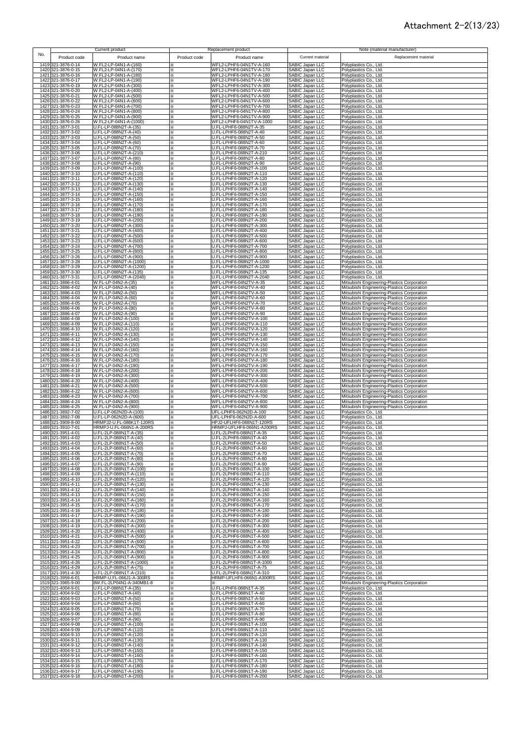#### Attachment 2-2(13/23)

|                                                | Current product                                    | Replacement product                                               |                                                       | Note (material manufacturer)                                                               |
|------------------------------------------------|----------------------------------------------------|-------------------------------------------------------------------|-------------------------------------------------------|--------------------------------------------------------------------------------------------|
| No.<br>Product code                            | Product name                                       | Product code<br>Product name                                      | Current material                                      | Replacement material                                                                       |
| 1419 321-3876-0-14                             | W.FL2-LP-04N1-A-(160)                              | WFL2-LPHF6-04N1TV-A-160                                           | SABIC Japan LLC                                       | Polyplastics Co., Ltd.                                                                     |
| 1420 321-3876-0-15                             | W.FL2-LP-04N1-A-(170)                              | WFL2-LPHF6-04N1TV-A-170                                           | SABIC Japan LLC                                       | Polyplastics Co., Ltd.                                                                     |
| 1421 321-3876-0-16<br>1422 321-3876-0-17       | W.FL2-LP-04N1-A-(180)<br>W.FL2-LP-04N1-A-(190)     | WFL2-LPHF6-04N1TV-A-180<br>WFL2-LPHF6-04N1TV-A-190<br>×           | SABIC Japan LLC<br><b>SABIC Japan LLC</b>             | Polyplastics Co., Ltd.<br>Polyplastics Co., Ltd.                                           |
| 1423 321-3876-0-19                             | W.FL2-LP-04N1-A-(300)                              | WFL2-LPHF6-04N1TV-A-300<br>⋇                                      | SABIC Japan LLC                                       | Polyplastics Co., Ltd.                                                                     |
| 1424 321-3876-0-20<br>1425 321-3876-0-21       | W.FL2-LP-04N1-A-(400)<br>W.FL2-LP-04N1-A-(500)     | WFL2-LPHF6-04N1TV-A-400<br>×.<br>WFL2-LPHF6-04N1TV-A-500          | SABIC Japan LLC                                       | Polyplastics Co., Ltd.<br>Polyplastics Co., Ltd.                                           |
| 1426 321-3876-0-22                             | W.FL2-LP-04N1-A-(600)                              | WFL2-LPHF6-04N1TV-A-600                                           | SABIC Japan LLC<br>SABIC Japan LLC                    | Polyplastics Co., Ltd.                                                                     |
| 1427 321-3876-0-23                             | W.FL2-LP-04N1-A-(700)                              | WFL2-LPHF6-04N1TV-A-700                                           | SABIC Japan LLC<br>SABIC Japan LLC                    | Polyplastics Co., Ltd.                                                                     |
| 1428 321-3876-0-24<br>1429 321-3876-0-25       | W.FL2-LP-04N1-A-(800)<br>W.FL2-LP-04N1-A-(900)     | WFL2-LPHF6-04N1TV-A-800<br>WFL2-LPHF6-04N1TV-A-900<br>×           | SABIC Japan LLC                                       | Polyplastics Co., Ltd.<br>Polyplastics Co., Ltd.                                           |
| 1430 321-3876-0-26                             | W.FL2-LP-04N1-A-(1000)                             | WFL2-LPHF6-04N1TV-A-1000<br>×                                     | SABIC Japan LLC                                       | Polyplastics Co., Ltd.                                                                     |
| 1431 321-3877-3-01<br>1432 321-3877-3-02       | U.FL-LP-088N2T-A-(35)<br>U.FL-LP-088N2T-A-(40)     | U.FL-LPHF6-088N2T-A-35<br>×<br>U.FL-LPHF6-088N2T-A-40<br>×        | SABIC Japan LLC<br>SABIC Japan LLC                    | Polyplastics Co., Ltd.<br>Polyplastics Co., Ltd.                                           |
| 1433 321-3877-3-03                             | U.FL-LP-088N2T-A-(50)                              | U.FL-LPHF6-088N2T-A-50                                            | SABIC Japan LLC                                       | Polyplastics Co., Ltd.                                                                     |
| 1434 321-3877-3-04<br>1435 321-3877-3-05       | U.FL-LP-088N2T-A-(60)<br>U.FL-LP-088N2T-A-(70)     | U.FL-LPHF6-088N2T-A-60<br>U.FL-LPHF6-088N2T-A-70<br>×             | SABIC Japan LLC<br>SABIC Japan LLC                    | Polyplastics Co., Ltd.<br>Polyplastics Co., Ltd.                                           |
| 1436 321-3877-3-06                             | U.FL-LP-088N2T-A-(210)                             | U.FL-LPHF6-088N2T-A-210<br>×.                                     | SABIC Japan LLC                                       | Polyplastics Co., Ltd.                                                                     |
| 1437 321-3877-3-07<br>1438 321-3877-3-08       | U.FL-LP-088N2T-A-(80)<br>U.FL-LP-088N2T-A-(90)     | U.FL-LPHF6-088N2T-A-80<br>×<br>U.FL-LPHF6-088N2T-A-90<br>X        | SABIC Japan LLC<br>SABIC Japan LLC                    | Polyplastics Co., Ltd.<br>Polyplastics Co., Ltd.                                           |
| 1439 321-3877-3-09                             | U.FL-LP-088N2T-A-(100)                             | U.FL-LPHF6-088N2T-A-100<br>⋇                                      | SABIC Japan LLC                                       | Polyplastics Co., Ltd.                                                                     |
| 1440 321-3877-3-10<br>1441 321-3877-3-11       | U.FL-LP-088N2T-A-(110)<br>U.FL-LP-088N2T-A-(120)   | U.FL-LPHF6-088N2T-A-110<br>⋇<br>U.FL-LPHF6-088N2T-A-120<br>×      | SABIC Japan LLC<br>SABIC Japan LLC                    | Polyplastics Co., Ltd.<br>Polyplastics Co., Ltd.                                           |
| 1442 321-3877-3-12                             | U.FL-LP-088N2T-A-(130)                             | U.FL-LPHF6-088N2T-A-130<br>×                                      | SABIC Japan LLC                                       | Polyplastics Co., Ltd.                                                                     |
| 1443 321-3877-3-13<br>1444 321-3877-3-14       | U.FL-LP-088N2T-A-(140)<br>U.FL-LP-088N2T-A-(150)   | U.FL-LPHF6-088N2T-A-140<br>×<br>J.FL-LPHF6-088N2T-A-150           | SABIC Japan LLC<br><b>SABIC Japan LLC</b>             | Polyplastics Co., Ltd.<br>Polyplastics Co., Ltd.                                           |
| 1445 321-3877-3-15                             | U.FL-LP-088N2T-A-(160)                             | J.FL-LPHF6-088N2T-A-160                                           | SABIC Japan LLC                                       | Polyplastics Co., Ltd.                                                                     |
| 1446 321-3877-3-16<br>1447 321-3877-3-17       | U.FL-LP-088N2T-A-(170)<br>U.FL-LP-088N2T-A-(180)   | J.FL-LPHF6-088N2T-A-170<br>J.FL-LPHF6-088N2T-A-180                | SABIC Japan LLC<br>SABIC Japan LLC                    | Polyplastics Co., Ltd.<br>Polyplastics Co., Ltd.                                           |
| 1448 321-3877-3-18                             | U.FL-LP-088N2T-A-(190)                             | U.FL-LPHF6-088N2T-A-190<br>×                                      | SABIC Japan LLC                                       | Polyplastics Co., Ltd.                                                                     |
| 321-3877-3-19<br>1449<br>1450<br>321-3877-3-20 | U.FL-LP-088N2T-A-(200)<br>U.FL-LP-088N2T-A-(300)   | U.FL-LPHF6-088N2T-A-200<br>⋇<br>J.FL-LPHF6-088N2T-A-300           | SABIC Japan LLC<br>SABIC Japan LLC                    | Polyplastics Co., Ltd.<br>Polyplastics Co., Ltd.                                           |
| 1451 321-3877-3-21                             | U.FL-LP-088N2T-A-(400)                             | J.FL-LPHF6-088N2T-A-400                                           | SABIC Japan LLC                                       | Polyplastics Co., Ltd.                                                                     |
| 1452<br>321-3877-3-22<br>1453 321-3877-3-23    | U.FL-LP-088N2T-A-(500)<br>U.FL-LP-088N2T-A-(600)   | J.FL-LPHF6-088N2T-A-500<br>J.FL-LPHF6-088N2T-A-600                | SABIC Japan LLC<br>SABIC Japan LLC                    | Polyplastics Co., Ltd.<br>Polyplastics Co., Ltd.                                           |
| 1454 321-3877-3-24                             | U.FL-LP-088N2T-A-(700)                             | U.FL-LPHF6-088N2T-A-700<br>×                                      | SABIC Japan LLC                                       | Polyplastics Co., Ltd.                                                                     |
| 1455 321-3877-3-25<br>1456 321-3877-3-26       | U.FL-LP-088N2T-A-(800)<br>U.FL-LP-088N2T-A-(900)   | U.FL-LPHF6-088N2T-A-800<br>×<br>U.FL-LPHF6-088N2T-A-900<br>×      | SABIC Japan LLC<br>SABIC Japan LLC                    | Polyplastics Co., Ltd.<br>Polyplastics Co., Ltd.                                           |
| 321-3877-3-28<br>1457                          | U.FL-LP-088N2T-A-(1000)                            | U.FL-LPHF6-088N2T-A-1000<br>✕                                     | SABIC Japan LLC                                       | Polyplastics Co., Ltd.                                                                     |
| 1458<br>321-3877-3-29<br>1459 321-3877-3-30    | U.FL-LP-088N2T-A-(1200)<br>U.FL-LP-088N2T-A-(135)  | U.FL-LPHF6-088N2T-A-1200<br>×<br>U.FL-LPHF6-088N2T-A-135<br>×.    | SABIC Japan LLC<br>SABIC Japan LLC                    | Polyplastics Co., Ltd.<br>Polyplastics Co., Ltd.                                           |
| 1460 321-3877-3-31                             | U.FL-LP-088N2T-A-(2040)                            | U.FL-LPHF6-088N2T-A-2040<br>×                                     | SABIC Japan LLC                                       | Polyplastics Co., Ltd.                                                                     |
| 1461 321-3886-4-01<br>1462 321-3886-4-02       | W.FL-LP-04N2-A-(35)<br>W.FL-LP-04N2-A-(40)         | WFL-LPHF6-04N2TV-A-35<br>⋇<br>WFL-LPHF6-04N2TV-A-40<br>×.         | SABIC Japan LLC<br>SABIC Japan LLC                    | Mitsubishi Engineering-Plastics Corporation<br>Mitsubishi Engineering-Plastics Corporation |
| 1463 321-3886-4-03                             | W.FL-LP-04N2-A-(50)                                | WFL-LPHF6-04N2TV-A-50<br>⋇                                        | SABIC Japan LLC                                       | Mitsubishi Engineering-Plastics Corporation                                                |
| 1464 321-3886-4-04<br>1465 321-3886-4-05       | W.FL-LP-04N2-A-(60)<br>W.FL-LP-04N2-A-(70)         | WFL-LPHF6-04N2TV-A-60<br>⋇<br>WFL-LPHF6-04N2TV-A-70<br>⋇          | SABIC Japan LLC<br>SABIC Japan LLC                    | Mitsubishi Engineering-Plastics Corporation<br>Mitsubishi Engineering-Plastics Corporation |
| 1466 321-3886-4-06                             | W.FL-LP-04N2-A-(80)                                | WFL-LPHF6-04N2TV-A-80                                             | SABIC Japan LLC                                       | Mitsubishi Engineering-Plastics Corporation                                                |
| 1467 321-3886-4-07<br>1468 321-3886-4-08       | W.FL-LP-04N2-A-(90)<br>W.FL-LP-04N2-A-(100)        | WFL-LPHF6-04N2TV-A-90<br>×<br>WFL-LPHF6-04N2TV-A-100<br>X         | SABIC Japan LLC<br>SABIC Japan LLC                    | Mitsubishi Engineering-Plastics Corporation<br>Mitsubishi Engineering-Plastics Corporation |
| 1469 321-3886-4-09                             | W.FL-LP-04N2-A-(110)                               | WFL-LPHF6-04N2TV-A-110<br>⋇                                       | SABIC Japan LLC                                       | Mitsubishi Engineering-Plastics Corporation                                                |
| 1470 321-3886-4-10<br>1471 321-3886-4-11       | W.FL-LP-04N2-A-(120)<br>W.FL-LP-04N2-A-(130)       | WFL-LPHF6-04N2TV-A-120<br>X<br>WFL-LPHF6-04N2TV-A-130<br>⋇        | SABIC Japan LLC<br>SABIC Japan LLC                    | Mitsubishi Engineering-Plastics Corporation<br>Mitsubishi Engineering-Plastics Corporation |
| 1472 321-3886-4-12                             | W.FL-LP-04N2-A-(140)                               | WFL-LPHF6-04N2TV-A-140                                            | SABIC Japan LLC                                       | Mitsubishi Engineering-Plastics Corporation                                                |
| 1473 321-3886-4-13<br>1474 321-3886-4-14       | W.FL-LP-04N2-A-(150)<br>W.FL-LP-04N2-A-(160)       | WFL-LPHF6-04N2TV-A-150<br>⋇<br>WFL-LPHF6-04N2TV-A-160<br>×        | SABIC Japan LLC<br>SABIC Japan LLC                    | Mitsubishi Engineering-Plastics Corporation                                                |
| 1475 321-3886-4-15                             | W.FL-LP-04N2-A-(170)                               | WFL-LPHF6-04N2TV-A-170<br>×                                       | SABIC Japan LLC                                       | Mitsubishi Engineering-Plastics Corporation<br>Mitsubishi Engineering-Plastics Corporation |
| 1476 321-3886-4-16<br>1477 321-3886-4-17       | W.FL-LP-04N2-A-(180)<br>W.FL-LP-04N2-A-(190)       | WFL-LPHF6-04N2TV-A-180<br>⋇<br>WFL-LPHF6-04N2TV-A-190<br>×        | SABIC Japan LLC<br>SABIC Japan LLC                    | Mitsubishi Engineering-Plastics Corporation                                                |
| 1478 321-3886-4-18                             | W.FL-LP-04N2-A-(200)                               | WFL-LPHF6-04N2TV-A-200                                            | SABIC Japan LLC<br>SABIC Japan LLC                    | Mitsubishi Engineering-Plastics Corporation<br>Mitsubishi Engineering-Plastics Corporation |
| 1479 321-3886-4-19<br>1480 321-3886-4-20       | W.FL-LP-04N2-A-(300)<br>W.FL-LP-04N2-A-(400)       | WFL-LPHF6-04N2TV-A-300<br>⋇<br>WFL-LPHF6-04N2TV-A-400<br>×        | SABIC Japan LLC                                       | Mitsubishi Engineering-Plastics Corporation<br>Mitsubishi Engineering-Plastics Corporation |
| 1481 321-3886-4-21                             | W.FL-LP-04N2-A-(500)                               | WFL-LPHF6-04N2TV-A-500<br>×                                       | SABIC Japan LLC                                       | Mitsubishi Engineering-Plastics Corporation                                                |
| 321-3886-4-22<br>1482<br>1483 321-3886-4-23    | W.FL-LP-04N2-A-(600)<br>W.FL-LP-04N2-A-(700)       | WFL-LPHF6-04N2TV-A-600<br>$\times$<br>WFL-LPHF6-04N2TV-A-700<br>× | <b>SABIC Japan LLC</b><br>SABIC Japan LLC             | Mitsubishi Engineering-Plastics Corporation<br>Mitsubishi Engineering-Plastics Corporation |
| 1484 321-3886-4-24                             | W.FL-LP-04N2-A-(800)                               | WFL-LPHF6-04N2TV-A-800<br>×.                                      | SABIC Japan LLC                                       | Mitsubishi Engineering-Plastics Corporation                                                |
|                                                |                                                    | WFL-LPHF6-04N2TV-A-900                                            | SABIC Japan LLC                                       | Mitsubishi Engineering-Plastics Corporation                                                |
| 1485 321-3886-4-25                             | W.FL-LP-04N2-A-(900)                               |                                                                   |                                                       |                                                                                            |
| 1486 321-3892-7-02<br>1487 321-3892-7-08       | U.FL-LP-062N2D-A-(100)<br>U.FL-LP-062N2D-A-(600)   | UFL-LPHF6-062N2D-A-100<br>₩.<br>UFL-LPHF6-062N2D-A-600<br>×       | SABIC Japan LLC<br>SABIC Japan LLC                    | Polyplastics Co., Ltd.<br>Polyplastics Co., Ltd.                                           |
| 1488 321-3909-8-00                             | HRMPJ2-U.FL-088K1T-120RS                           | HPJ2-UFLHF6-088N1T-120RS                                          | SABIC Japan LLC                                       | Polyplastics Co., Ltd.                                                                     |
| 1489 321-3910-7-01<br>1490 321-3951-4-01       | HRMPJ-U.FL-066N1-A-200RS<br>U.FL-2LP-088N1T-A-(35) | HRMPJ-UFLHF6-066N1-A200RS<br>⋇<br>U.FL-2LPHF6-088N1T-A-35<br>×    | SABIC Japan LLC<br>SABIC Japan LLC                    | Polyplastics Co., Ltd.<br>Polyplastics Co., Ltd.                                           |
| 1491 321-3951-4-02                             | U.FL-2LP-088N1T-A-(40)                             | U.FL-2LPHF6-088N1T-A-40                                           | SABIC Japan LLC                                       | Polyplastics Co., Ltd.                                                                     |
| 1492 321-3951-4-03<br>1493 321-3951-4-04       | U.FL-2LP-088N1T-A-(50)<br>U.FL-2LP-088N1T-A-(60)   | U.FL-2LPHF6-088N1T-A-50<br>U.FL-2LPHF6-088N1T-A-60<br>×           | SABIC Japan LLC<br>SABIC Japan LLC                    | Polvplastics Co., Ltd.<br>Polyplastics Co., Ltd.                                           |
| 1494 321-3951-4-05                             | U.FL-2LP-088N1T-A-(70)                             | U.FL-2LPHF6-088N1T-A-70<br>×                                      | SABIC Japan LLC                                       | Polyplastics Co., Ltd.                                                                     |
| 1495 321-3951-4-06<br>1496 321-3951-4-07       | U.FL-2LP-088N1T-A-(80)<br>U.FL-2LP-088N1T-A-(90)   | J.FL-2LPHF6-088N1T-A-80<br>×<br>J.FL-2LPHF6-088N1T-A-90<br>⋇      | SABIC Japan LLC<br>SABIC Japan LLC                    | Polyplastics Co., Ltd.<br>Polyplastics Co., Ltd.                                           |
| 1497 321-3951-4-08                             | U.FL-2LP-088N1T-A-(100)                            | J.FL-2LPHF6-088N1T-A-100                                          | SABIC Japan LLC                                       | Polyplastics Co., Ltd.                                                                     |
| 1498 321-3951-4-09<br>1499 321-3951-4-10       | U.FL-2LP-088N1T-A-(110)<br>U.FL-2LP-088N1T-A-(120) | U.FL-2LPHF6-088N1T-A-110<br>⋇<br>U.FL-2LPHF6-088N1T-A-120<br>X.   | SABIC Japan LLC<br><b>SABIC Japan LLC</b>             | Polyplastics Co., Ltd.<br>Polyplastics Co., Ltd.                                           |
| 1500 321-3951-4-11                             | U.FL-2LP-088N1T-A-(130)                            | U.FL-2LPHF6-088N1T-A-130<br>×.<br>⋇                               |                                                       | Polyplastics Co., Ltd.                                                                     |
| 1501 321-3951-4-12<br>1502 321-3951-4-13       | U.FL-2LP-088N1T-A-(140)<br>U.FL-2LP-088N1T-A-(150) | U.FL-2LPHF6-088N1T-A-140<br>U.FL-2LPHF6-088N1T-A-150<br>⋇         | SABIC Japan LLC<br>SABIC Japan LLC<br>SABIC Japan LLC | Polyplastics Co., Ltd.<br>Polyplastics Co., Ltd.                                           |
| 1503 321-3951-4-14                             | U.FL-2LP-088N1T-A-(160)                            | U.FL-2LPHF6-088N1T-A-160                                          | SABIC Japan LLC                                       | Polyplastics Co., Ltd.                                                                     |
| 1504 321-3951-4-15<br>1505 321-3951-4-16       | U.FL-2LP-088N1T-A-(170)<br>U.FL-2LP-088N1T-A-(180) | J.FL-2LPHF6-088N1T-A-170<br>U.FL-2LPHF6-088N1T-A-180<br>⋇         | SABIC Japan LLC<br>SABIC Japan LLC                    | Polyplastics Co., Ltd.<br>Polyplastics Co., Ltd.                                           |
| 1506 321-3951-4-17                             | U.FL-2LP-088N1T-A-(190)                            | U.FL-2LPHF6-088N1T-A-190<br>⋇                                     | SABIC Japan LLC                                       | Polyplastics Co., Ltd.                                                                     |
| 1507 321-3951-4-18<br>1508 321-3951-4-19       | U.FL-2LP-088N1T-A-(200)<br>U.FL-2LP-088N1T-A-(300) | U.FL-2LPHF6-088N1T-A-200<br>⋇<br>U.FL-2LPHF6-088N1T-A-300<br>⋇    | SABIC Japan LLC<br>SABIC Japan LLC                    | Polyplastics Co., Ltd.<br>Polyplastics Co., Ltd.                                           |
| 1509 321-3951-4-20                             | U.FL-2LP-088N1T-A-(400)                            | U.FL-2LPHF6-088N1T-A-400<br>×.                                    | SABIC Japan LLC                                       | Polyplastics Co., Ltd.                                                                     |
| 1510 321-3951-4-21<br>1511 321-3951-4-22       | U.FL-2LP-088N1T-A-(500)<br>U.FL-2LP-088N1T-A-(600) | ⋇<br>U.FL-2LPHF6-088N1T-A-500<br>U.FL-2LPHF6-088N1T-A-600<br>×    | SABIC Japan LLC<br>SABIC Japan LLC                    | Polyplastics Co., Ltd.<br>Polyplastics Co., Ltd.                                           |
| 1512 321-3951-4-23                             | U.FL-2LP-088N1T-A-(700)                            | U.FL-2LPHF6-088N1T-A-700<br>×.                                    | SABIC Japan LLC                                       | Polyplastics Co., Ltd.                                                                     |
| 1513 321-3951-4-24<br>1514 321-3951-4-25       | U.FL-2LP-088N1T-A-(800)<br>U.FL-2LP-088N1T-A-(900) | U.FL-2LPHF6-088N1T-A-800<br>×.<br>U.FL-2LPHF6-088N1T-A-900<br>×   | SABIC Japan LLC<br>SABIC Japan LLC                    | Polyplastics Co., Ltd.<br>Polyplastics Co., Ltd.                                           |
| 1515 321-3951-4-26                             | U.FL-2LP-088N1T-A-(1000)                           | U.FL-2LPHF6-088N1T-A-1000<br>×                                    | SABIC Japan LLC                                       | Polyplastics Co., Ltd.                                                                     |
| 1516 321-3951-4-29<br>1517 321-3951-4-30       | U.FL-2LP-088N1T-A-(75)<br>U.FL-2LP-088N1T-A-(310)  | ⋇<br>U.FL-2LPHF6-088N1T-A-75<br>U.FL-2LPHF6-088N1T-A-310<br>×     | SABIC Japan LLC<br>SABIC Japan LLC                    | Polyplastics Co., Ltd.<br>Polyplastics Co., Ltd.                                           |
| 1518 321-3959-6-01                             | HRMP-U.FL-066J1-A-300RS                            | HRMP-UFLHF6-066N1-A300RS<br>×                                     | SABIC Japan LLC                                       | Polyplastics Co., Ltd.                                                                     |
| 1519 321-3965-9-00<br>1520 321-4004-9-01       | 8W.FL-2LP04N1-A-340MB1-8<br>U.FL-LP-088N1T-A-(35)  | ×<br>U.FL-LPHF6-088N1T-A-35<br>X                                  | SABIC Japan LLC<br>SABIC Japan LLC                    | Mitsubishi Engineering-Plastics Corporation<br>Polyplastics Co., Ltd.                      |
| 1521 321-4004-9-02                             | U.FL-LP-088N1T-A-(40)                              | J.FL-LPHF6-088N1T-A-40<br>X                                       | SABIC Japan LLC                                       | Polyplastics Co., Ltd.                                                                     |
| 1522 321-4004-9-03<br>1523 321-4004-9-04       | U.FL-LP-088N1T-A-(50)<br>U.FL-LP-088N1T-A-(60)     | U.FL-LPHF6-088N1T-A-50<br>⋇<br>J.FL-LPHF6-088N1T-A-60<br>⋇        | SABIC Japan LLC<br>SABIC Japan LLC                    | Polyplastics Co., Ltd.<br>Polyplastics Co., Ltd.                                           |
| 1524 321-4004-9-05                             | U.FL-LP-088N1T-A-(70)                              | U.FL-LPHF6-088N1T-A-70<br>×.<br>U.FL-LPHF6-088N1T-A-80<br>×.      | SABIC Japan LLC                                       | Polyplastics Co., Ltd.                                                                     |
| 1525 321-4004-9-06<br>1526 321-4004-9-07       | U.FL-LP-088N1T-A-(80)<br>U.FL-LP-088N1T-A-(90)     | U.FL-LPHF6-088N1T-A-90                                            | SABIC Japan LLC<br>SABIC Japan LLC                    | Polyplastics Co., Ltd.<br>Polyplastics Co., Ltd.                                           |
| 1527 321-4004-9-08<br>1528 321-4004-9-09       | U.FL-LP-088N1T-A-(100)<br>U.FL-LP-088N1T-A-(110)   | U.FL-LPHF6-088N1T-A-100<br>×<br>U.FL-LPHF6-088N1T-A-110           | SABIC Japan LLC<br>SABIC Japan LLC                    | Polyplastics Co., Ltd.<br>Polyplastics Co., Ltd.                                           |
| 1529 321-4004-9-10                             | U.FL-LP-088N1T-A-(120)                             | U.FL-LPHF6-088N1T-A-120                                           | SABIC Japan LLC                                       | Polyplastics Co., Ltd.                                                                     |
| 1530 321-4004-9-11<br>1531 321-4004-9-12       | U.FL-LP-088N1T-A-(130)<br>U.FL-LP-088N1T-A-(140)   | U.FL-LPHF6-088N1T-A-130<br>⋇<br>U.FL-LPHF6-088N1T-A-140<br>×      | SABIC Japan LLC<br>SABIC Japan LLC                    | Polyplastics Co., Ltd.                                                                     |
| 1532 321-4004-9-13                             | U.FL-LP-088N1T-A-(150)                             | U.FL-LPHF6-088N1T-A-150<br>×                                      | SABIC Japan LLC                                       | Polyplastics Co., Ltd.<br>Polyplastics Co., Ltd.                                           |
| 1533 321-4004-9-14<br>1534 321-4004-9-15       | U.FL-LP-088N1T-A-(160)<br>U.FL-LP-088N1T-A-(170)   | U.FL-LPHF6-088N1T-A-160<br>፠<br>U.FL-LPHF6-088N1T-A-170<br>⋇      | SABIC Japan LLC<br>SABIC Japan LLC                    | Polyplastics Co., Ltd.                                                                     |
| 1535 321-4004-9-16<br>1536 321-4004-9-17       | U.FL-LP-088N1T-A-(180)<br>U.FL-LP-088N1T-A-(190)   | ⋇<br>U.FL-LPHF6-088N1T-A-180<br>U.FL-LPHF6-088N1T-A-190<br>⋇      | SABIC Japan LLC<br>SABIC Japan LLC                    | Polyplastics Co., Ltd.<br>Polyplastics Co., Ltd.<br>Polyplastics Co., Ltd.                 |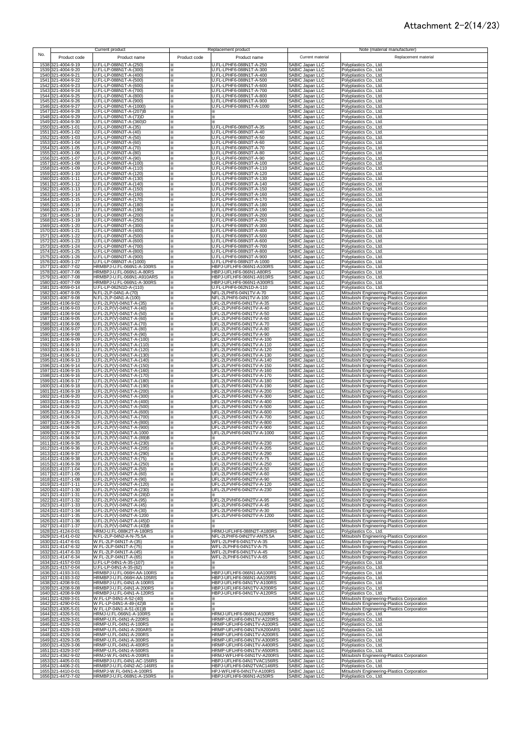#### Attachment 2-2(14/23)

| No. |                                          | Current product                                        |              | Replacement product                                    |                                                       | Note (material manufacturer)                                                               |
|-----|------------------------------------------|--------------------------------------------------------|--------------|--------------------------------------------------------|-------------------------------------------------------|--------------------------------------------------------------------------------------------|
|     | Product code                             | Product name                                           | Product code | Product name                                           | Current material                                      | Replacement material                                                                       |
|     | 1538 321-4004-9-19                       | U.FL-LP-088N1T-A-(250)                                 | ⋇            | U.FL-LPHF6-088N1T-A-250                                | <b>SABIC Japan LLC</b>                                | Polyplastics Co., Ltd.                                                                     |
|     | 1539 321-4004-9-20<br>1540 321-4004-9-21 | U.FL-LP-088N1T-A-(300)<br>U.FL-LP-088N1T-A-(400)       | ×<br>×       | U.FL-LPHF6-088N1T-A-300<br>U.FL-LPHF6-088N1T-A-400     | SABIC Japan LLC<br>SABIC Japan LLC                    | Polyplastics Co., Ltd.<br>Polyplastics Co., Ltd.                                           |
|     | 1541 321-4004-9-22                       | U.FL-LP-088N1T-A-(500)                                 | ⋇            | U.FL-LPHF6-088N1T-A-500                                | SABIC Japan LLC                                       | Polyplastics Co., Ltd.                                                                     |
|     | 1542 321-4004-9-23                       | U.FL-LP-088N1T-A-(600)                                 | ⋇            | U.FL-LPHF6-088N1T-A-600                                | SABIC Japan LLC                                       | Polyplastics Co., Ltd.                                                                     |
|     | 1543 321-4004-9-24<br>1544 321-4004-9-25 | U.FL-LP-088N1T-A-(700)<br>U.FL-LP-088N1T-A-(800)       | ⋇<br>×       | U.FL-LPHF6-088N1T-A-700<br>U.FL-LPHF6-088N1T-A-800     | SABIC Japan LLC<br>SABIC Japan LLC                    | Polyplastics Co., Ltd.<br>Polyplastics Co., Ltd.                                           |
|     | 1545 321-4004-9-26                       | U.FL-LP-088N1T-A-(900)                                 | ×            | U.FL-LPHF6-088N1T-A-900                                | <b>SABIC Japan LLC</b>                                | Polyplastics Co., Ltd.                                                                     |
|     | 1546 321-4004-9-27                       | U.FL-LP-088N1T-A-(1000)                                | ×            | U.FL-LPHF6-088N1T-A-1000                               | SABIC Japan LLC                                       | Polyplastics Co., Ltd.                                                                     |
|     | 1547 321-4004-9-28                       | U.FL-LP-088N1T-A-(207)B                                | ×            |                                                        | SABIC Japan LLC                                       | Polyplastics Co., Ltd.                                                                     |
|     | 1548 321-4004-9-29<br>1549 321-4004-9-30 | U.FL-LP-088N1T-A-(73)D<br>U.FL-LP-088N1T-A-(360)D      | ፠<br>፠       | ×                                                      | SABIC Japan LLC<br>SABIC Japan LLC                    | Polyplastics Co., Ltd.<br>Polyplastics Co., Ltd.                                           |
|     | 1550 321-4005-1-01                       | U.FL-LP-088N3T-A-(35)                                  | ×            | U.FL-LPHF6-088N3T-A-35                                 | SABIC Japan LLC                                       | Polyplastics Co., Ltd.                                                                     |
|     | 1551 321-4005-1-02                       | U.FL-LP-088N3T-A-(40)<br>U.FL-LP-088N3T-A-(50)         | ×            | U.FL-LPHF6-088N3T-A-40                                 | SABIC Japan LLC<br>SABIC Japan LLC                    | Polyplastics Co., Ltd.                                                                     |
|     | 1552 321-4005-1-03<br>1553 321-4005-1-04 | U.FL-LP-088N3T-A-(60)                                  | ×<br>×       | U.FL-LPHF6-088N3T-A-50<br>U.FL-LPHF6-088N3T-A-60       | <b>SABIC Japan LLC</b>                                | Polyplastics Co., Ltd.<br>Polyplastics Co., Ltd.                                           |
|     | 1554 321-4005-1-05                       | U.FL-LP-088N3T-A-(70)                                  | ×            | U.FL-LPHF6-088N3T-A-70                                 | SABIC Japan LLC                                       | Polyplastics Co., Ltd.                                                                     |
|     | 1555 321-4005-1-06<br>1556 321-4005-1-07 | U.FL-LP-088N3T-A-(80)<br>U.FL-LP-088N3T-A-(90)         | ×<br>×       | U.FL-LPHF6-088N3T-A-80<br>U.FL-LPHF6-088N3T-A-90       | SABIC Japan LLC<br><b>SABIC Japan LLC</b>             | Polyplastics Co., Ltd.<br>Polyplastics Co., Ltd.                                           |
|     | 1557 321-4005-1-08                       | U.FL-LP-088N3T-A-(100)                                 | ×.           | U.FL-LPHF6-088N3T-A-100                                | SABIC Japan LLC                                       | Polyplastics Co., Ltd.                                                                     |
|     | 1558 321-4005-1-09                       | U.FL-LP-088N3T-A-(110)                                 | ×.           | U.FL-LPHF6-088N3T-A-110                                | SABIC Japan LLC                                       | Polyplastics Co., Ltd.                                                                     |
|     | 1559 321-4005-1-10<br>1560 321-4005-1-11 | U.FL-LP-088N3T-A-(120)<br>U.FL-LP-088N3T-A-(130)       | ×.<br>×      | U.FL-LPHF6-088N3T-A-120<br>U.FL-LPHF6-088N3T-A-130     | SABIC Japan LLC<br>SABIC Japan LLC                    | Polyplastics Co., Ltd.<br>Polyplastics Co., Ltd.                                           |
|     | 1561 321-4005-1-12                       | U.FL-LP-088N3T-A-(140)                                 | ×            | U.FL-LPHF6-088N3T-A-140                                | SABIC Japan LLC                                       | Polyplastics Co., Ltd.                                                                     |
|     | 1562 321-4005-1-13                       | U.FL-LP-088N3T-A-(150)                                 | ×            | U.FL-LPHF6-088N3T-A-150                                | SABIC Japan LLC                                       | Polyplastics Co., Ltd.                                                                     |
|     | 1563 321-4005-1-14<br>1564 321-4005-1-15 | U.FL-LP-088N3T-A-(160)<br>U.FL-LP-088N3T-A-(170)       | ×<br>×       | U.FL-LPHF6-088N3T-A-160<br>U.FL-LPHF6-088N3T-A-170     | SABIC Japan LLC<br>SABIC Japan LLC                    | Polyplastics Co., Ltd.<br>Polyplastics Co., Ltd.                                           |
|     | 1565 321-4005-1-16                       | U.FL-LP-088N3T-A-(180)                                 | ×            | U.FL-LPHF6-088N3T-A-180                                | SABIC Japan LLC                                       | Polyplastics Co., Ltd.                                                                     |
|     | 1566 321-4005-1-17                       | U.FL-LP-088N3T-A-(190)                                 | ×            | U.FL-LPHF6-088N3T-A-190                                | SABIC Japan LLC                                       | Polyplastics Co., Ltd.                                                                     |
|     | 1567 321-4005-1-18<br>1568 321-4005-1-19 | U.FL-LP-088N3T-A-(200)<br>U.FL-LP-088N3T-A-(250)       | ⋇<br>፠       | U.FL-LPHF6-088N3T-A-200<br>U.FL-LPHF6-088N3T-A-250     | SABIC Japan LLC<br>SABIC Japan LLC                    | Polyplastics Co., Ltd.<br>Polyplastics Co., Ltd.                                           |
|     | 1569 321-4005-1-20                       | U.FL-LP-088N3T-A-(300)                                 | ×            | U.FL-LPHF6-088N3T-A-300                                | <b>SABIC Japan LLC</b>                                | Polyplastics Co., Ltd.                                                                     |
|     | 1570 321-4005-1-21<br>1571 321-4005-1-22 | U.FL-LP-088N3T-A-(400)                                 | ✕            | U.FL-LPHF6-088N3T-A-400                                | SABIC Japan LLC                                       | Polyplastics Co., Ltd.                                                                     |
|     | 1572 321-4005-1-23                       | U.FL-LP-088N3T-A-(500)<br>U.FL-LP-088N3T-A-(600)       | ×<br>×       | U.FL-LPHF6-088N3T-A-500<br>U.FL-LPHF6-088N3T-A-600     | SABIC Japan LLC<br>SABIC Japan LLC                    | Polyplastics Co., Ltd.<br>Polyplastics Co., Ltd.                                           |
|     | 1573 321-4005-1-24                       | U.FL-LP-088N3T-A-(700)                                 | ፠            | U.FL-LPHF6-088N3T-A-700                                | SABIC Japan LLC                                       | Polyplastics Co., Ltd.                                                                     |
|     | 1574 321-4005-1-25                       | U.FL-LP-088N3T-A-(800)                                 | ፠            | U.FL-LPHF6-088N3T-A-800                                | SABIC Japan LLC                                       | Polyplastics Co., Ltd.                                                                     |
|     | 1575 321-4005-1-26<br>1576 321-4005-1-27 | U.FL-LP-088N3T-A-(900)<br>U.FL-LP-088N3T-A-(1000)      | ፠<br>፠       | U.FL-LPHF6-088N3T-A-900<br>U.FL-LPHF6-088N3T-A-1000    | SABIC Japan LLC<br>SABIC Japan LLC                    | Polyplastics Co., Ltd.<br>Polyplastics Co., Ltd.                                           |
|     | 1577 321-4007-7-02                       | HRMBPJ-U.FL-066N1-A-100RS                              | ×            | HBPJ-UFLHF6-066N1-A100RS                               | <b>SABIC Japan LLC</b>                                | Polyplastics Co., Ltd.                                                                     |
|     | 1578 321-4007-7-06                       | HRMBPJ-U.FL-066N1-A-80RS                               | ×            | HBPJ-UFLHF6-066N1-A80RS<br>HBPJ-UFLHF6-066N1-A910RS    | SABIC Japan LLC                                       | Polyplastics Co., Ltd.                                                                     |
|     | 1579 321-4007-7-08<br>1580 321-4007-7-09 | HRMBPJ-U.FL-066N1-A910ARS<br>HRMBPJ-U.FL-066N1-A-300RS | ×.<br>×      | HBPJ-UFLHF6-066N1-A300RS                               | <b>SABIC Japan LLC</b><br>SABIC Japan LLC             | Polyplastics Co., Ltd.<br>Polyplastics Co., Ltd.                                           |
|     | 1581 321-4059-0-14                       | U.FL-LP-062N1D-A-(110)                                 | ×            | U.FL-LPHF6-062N1D-A-110                                | <b>SABIC Japan LLC</b>                                | Polyplastics Co., Ltd.                                                                     |
|     | 1582 321-4067-9-05<br>1583 321-4067-9-08 | N.FL-2LP-04N1-A-(70)<br>N.FL-2LP-04N1-A-(100)          | ×.<br>×.     | NFL-2LPHF6-04N1TV-A-70<br>NFL-2LPHF6-04N1TV-A-100      | <b>SABIC Japan LLC</b><br>SABIC Japan LLC             | Mitsubishi Engineering-Plastics Corporation<br>Mitsubishi Engineering-Plastics Corporation |
|     | 1584 321-4106-9-02                       | U.FL-2LP(V)-04N1T-A-(35)                               | ×.           | UFL-2LPVHF6-04N1TV-A-35                                | SABIC Japan LLC                                       | Mitsubishi Engineering-Plastics Corporation                                                |
|     | 1585 321-4106-9-03                       | U.FL-2LP(V)-04N1T-A-(40)                               | ×.           | UFL-2LPVHF6-04N1TV-A-40                                | SABIC Japan LLC                                       | Mitsubishi Engineering-Plastics Corporation                                                |
|     | 1586 321-4106-9-04<br>1587 321-4106-9-05 | U.FL-2LP(V)-04N1T-A-(50)<br>U.FL-2LP(V)-04N1T-A-(60)   | ×<br>×       | UFL-2LPVHF6-04N1TV-A-50<br>UFL-2LPVHF6-04N1TV-A-60     | SABIC Japan LLC<br>SABIC Japan LLC                    | Mitsubishi Engineering-Plastics Corporation<br>Mitsubishi Engineering-Plastics Corporation |
|     | 1588 321-4106-9-06                       | U.FL-2LP(V)-04N1T-A-(70)                               | ፠            | UFL-2LPVHF6-04N1TV-A-70                                | SABIC Japan LLC                                       | Mitsubishi Engineering-Plastics Corporation                                                |
|     | 1589 321-4106-9-07                       | U.FL-2LP(V)-04N1T-A-(80)                               | ×            | UFL-2LPVHF6-04N1TV-A-80                                | SABIC Japan LLC                                       | Mitsubishi Engineering-Plastics Corporation                                                |
|     | 1590 321-4106-9-08<br>1591 321-4106-9-09 | U.FL-2LP(V)-04N1T-A-(90)<br>U.FL-2LP(V)-04N1T-A-(100)  | ×<br>×       | UFL-2LPVHF6-04N1TV-A-90<br>UFL-2LPVHF6-04N1TV-A-100    | SABIC Japan LLC<br>SABIC Japan LLC                    | Mitsubishi Engineering-Plastics Corporation<br>Mitsubishi Engineering-Plastics Corporation |
|     | 1592 321-4106-9-10                       | U.FL-2LP(V)-04N1T-A-(110)                              | ⋇            | UFL-2LPVHF6-04N1TV-A-110                               | SABIC Japan LLC                                       | Mitsubishi Engineering-Plastics Corporation                                                |
|     | 1593 321-4106-9-11                       | U.FL-2LP(V)-04N1T-A-(120)                              | ×            | UFL-2LPVHF6-04N1TV-A-120                               | SABIC Japan LLC                                       | Mitsubishi Engineering-Plastics Corporation                                                |
|     | 1594 321-4106-9-12<br>1595 321-4106-9-13 | U.FL-2LP(V)-04N1T-A-(130)<br>U.FL-2LP(V)-04N1T-A-(140) | ⋇<br>×       | UFL-2LPVHF6-04N1TV-A-130<br>UFL-2LPVHF6-04N1TV-A-140   | SABIC Japan LLC<br>SABIC Japan LLC                    | Mitsubishi Engineering-Plastics Corporation<br>Mitsubishi Engineering-Plastics Corporation |
|     | 1596 321-4106-9-14                       | U.FL-2LP(V)-04N1T-A-(150)                              | ×            | UFL-2LPVHF6-04N1TV-A-150                               | SABIC Japan LLC                                       | Mitsubishi Engineering-Plastics Corporation                                                |
|     | 1597 321-4106-9-15                       | U.FL-2LP(V)-04N1T-A-(160)                              | ×            | UFL-2LPVHF6-04N1TV-A-160                               | SABIC Japan LLC                                       | Mitsubishi Engineering-Plastics Corporation                                                |
|     | 1598 321-4106-9-16<br>1599 321-4106-9-17 | U.FL-2LP(V)-04N1T-A-(170)<br>U.FL-2LP(V)-04N1T-A-(180) | ፠<br>፠       | UFL-2LPVHF6-04N1TV-A-170<br>UFL-2LPVHF6-04N1TV-A-180   | <b>SABIC Japan LLC</b><br>SABIC Japan LLC             | Mitsubishi Engineering-Plastics Corporation<br>Mitsubishi Engineering-Plastics Corporation |
|     | 1600 321-4106-9-18                       | U.FL-2LP(V)-04N1T-A-(190)                              | ፠            | UFL-2LPVHF6-04N1TV-A-190                               | <b>SABIC Japan LLC</b>                                | Mitsubishi Engineering-Plastics Corporation                                                |
|     | 1601 321-4106-9-19<br>1602 321-4106-9-20 | U.FL-2LP(V)-04N1T-A-(200)                              | ፠            | UFL-2LPVHF6-04N1TV-A-200                               | SABIC Japan LLC<br>SABIC Japan LLC                    | Mitsubishi Engineering-Plastics Corporation                                                |
|     | 1603 321-4106-9-21                       | U.FL-2LP(V)-04N1T-A-(300)<br>U.FL-2LP(V)-04N1T-A-(400) | ×<br>×       | UFL-2LPVHF6-04N1TV-A-300<br>UFL-2LPVHF6-04N1TV-A-400   | SABIC Japan LLC                                       | Mitsubishi Engineering-Plastics Corporation<br>Mitsubishi Engineering-Plastics Corporation |
|     | 1604 321-4106-9-22                       | U.FL-2LP(V)-04N1T-A-(500)                              | ×            | UFL-2LPVHF6-04N1TV-A-500                               | SABIC Japan LLC                                       | Mitsubishi Engineering-Plastics Corporation                                                |
|     | 1605 321-4106-9-23<br>1606 321-4106-9-24 | U.FL-2LP(V)-04N1T-A-(600)<br>U.FL-2LP(V)-04N1T-A-(700) | ×<br>×       | UFL-2LPVHF6-04N1TV-A-600<br>UFL-2LPVHF6-04N1TV-A-700   | SABIC Japan LLC<br>SABIC Japan LLC                    | Mitsubishi Engineering-Plastics Corporation<br>Mitsubishi Engineering-Plastics Corporation |
|     | 1607 321-4106-9-25                       | U.FL-2LP(V)-04N1T-A-(800)                              | ×            | UFL-2LPVHF6-04N1TV-A-800                               | SABIC Japan LLC                                       | Mitsubishi Engineering-Plastics Corporation                                                |
|     | 1608 321-4106-9-26                       | U.FL-2LP(V)-04N1T-A-(900)                              | ×.           | UFL-2LPVHF6-04N1TV-A-900                               | SABIC Japan LLC                                       | Mitsubishi Engineering-Plastics Corporation                                                |
|     | 1609 321-4106-9-27<br>1610 321-4106-9-34 | U.FL-2LP(V)-04N1T-A-1000<br>U.FL-2LP(V)-04N1T-A-(89)B  | ×.<br>×.     | UFL-2LPVHF6-04N1TV-A-1000<br>×                         | SABIC Japan LLC<br>SABIC Japan LLC                    | Mitsubishi Engineering-Plastics Corporation<br>Mitsubishi Engineering-Plastics Corporation |
|     | 1611 321-4106-9-35                       | U.FL-2LP(V)-04N1T-A-(230)                              |              | UFL-2LPVHF6-04N1TV-A-230                               | SABIC Japan LLC                                       | Mitsubishi Engineering-Plastics Corporation                                                |
|     | 1612 321-4106-9-36                       | U.FL-2LP(V)-04N1T-A-(205)                              | ×            | UFL-2LPVHF6-04N1TV-A-205                               | SABIC Japan LLC                                       | Mitsubishi Engineering-Plastics Corporation                                                |
|     | 1613 321-4106-9-37<br>1614 321-4106-9-38 | U.FL-2LP(V)-04N1T-A-(290)<br>U.FL-2LP(V)-04N1T-A-(75)  | ×<br>×       | UFL-2LPVHF6-04N1TV-A-290<br>UFL-2LPVHF6-04N1TV-A-75    | SABIC Japan LLC<br>SABIC Japan LLC                    | Mitsubishi Engineering-Plastics Corporation<br>Mitsubishi Engineering-Plastics Corporation |
|     | 1615 321-4106-9-39                       | U.FL-2LP(V)-04N1T-A-(250)                              | ×            | UFL-2LPVHF6-04N1TV-A-250                               | SABIC Japan LLC                                       | Mitsubishi Engineering-Plastics Corporation                                                |
|     | 1616 321-4107-1-04<br>1617 321-4107-1-05 | U.FL-2LP(V)-04N2T-A-(50)                               | ×            | UFL-2LPVHF6-04N2TV-A-50<br>UFL-2LPVHF6-04N2TV-A-60     | SABIC Japan LLC<br>SABIC Japan LLC                    | Mitsubishi Engineering-Plastics Corporation<br>Mitsubishi Engineering-Plastics Corporation |
|     | 1618 321-4107-1-08                       | U.FL-2LP(V)-04N2T-A-(60)<br>U.FL-2LP(V)-04N2T-A-(90)   | ×<br>⋇       | UFL-2LPVHF6-04N2TV-A-90                                | SABIC Japan LLC                                       | Mitsubishi Engineering-Plastics Corporation                                                |
|     | 1619 321-4107-1-11                       | U.FL-2LP(V)-04N2T-A-(120)                              | ×            | UFL-2LPVHF6-04N2TV-A-120                               | SABIC Japan LLC                                       | Mitsubishi Engineering-Plastics Corporation                                                |
|     | 1620 321-4107-1-30<br>1621 321-4107-1-31 | U.FL-2LP(V)-04N2T-A-(230)<br>U.FL-2LP(V)-04N2T-A-(28)D | ×<br>×       | UFL-2LPVHF6-04N2TV-A-230                               | SABIC Japan LLC<br>SABIC Japan LLC                    | Mitsubishi Engineering-Plastics Corporation<br>Mitsubishi Engineering-Plastics Corporation |
|     | 1622 321-4107-1-32                       | U.FL-2LP(V)-04N2T-A-(95)                               | ×            | UFL-2LPVHF6-04N2TV-A-95                                | SABIC Japan LLC                                       | Mitsubishi Engineering-Plastics Corporation                                                |
|     | 1623 321-4107-1-33                       | U.FL-2LP(V)-04N2T-A-(45)                               | ፠            | UFL-2LPVHF6-04N2TV-A-45                                | SABIC Japan LLC<br>SABIC Japan LLC<br>SABIC Japan LLC | Mitsubishi Engineering-Plastics Corporation                                                |
|     | 1624 321-4107-1-34<br>1625 321-4107-1-35 | U.FL-2LP(V)-04N2T-A-(30)<br>U.FL-2LP(V)-04N2T-A-1200   | ×<br>፠       | UFL-2LPVHF6-04N2TV-A-30<br>UFL-2LPVHF6-04N2TV-A-1200   |                                                       | Mitsubishi Engineering-Plastics Corporation<br>Mitsubishi Engineering-Plastics Corporation |
|     | 1626 321-4107-1-36                       | U.FL-2LP(V)-04N2T-A-(45)D                              | ፠            |                                                        | SABIC Japan LLC                                       | Mitsubishi Engineering-Plastics Corporation                                                |
|     | 1627 321-4107-1-37<br>1628 321-4124-0-01 | U.FL-2LP(V)-04N2T-A-(43)B<br>HRMJ-U.FL-088K2T-A-180RS  | ×<br>×       | HRMJ-UFLHF6-088N2T-A180RS                              | SABIC Japan LLC<br>SABIC Japan LLC                    | Mitsubishi Engineering-Plastics Corporation                                                |
|     | 1629 321-4141-0-02                       | N.FL-2LP-04N2-A-N-75.5A                                | ×            | NFL-2LPHF6-04N2TV-AN75.5A                              | SABIC Japan LLC                                       | Polyplastics Co., Ltd.<br>Mitsubishi Engineering-Plastics Corporation                      |
|     | 1630 321-4147-6-01                       | W.FL-2LP-04N1T-A-(35)                                  | ×.           | WFL-2LPHF6-04N1TV-A-35                                 | <b>SABIC Japan LLC</b>                                | Mitsubishi Engineering-Plastics Corporation                                                |
|     | 1631 321-4147-6-32<br>1632 321-4147-6-33 | W.FL-2LP-04N1T-A-(75)<br>W.FL-2LP-04N1T-A-(45)         | ×<br>×       | WFL-2LPHF6-04N1TV-A-75<br>WFL-2LPHF6-04N1TV-A-45       | SABIC Japan LLC<br>SABIC Japan LLC                    | Mitsubishi Engineering-Plastics Corporation<br>Mitsubishi Engineering-Plastics Corporation |
|     | 1633 321-4147-6-34                       | W.FL-2LP-04N1T-A-(65)                                  | ×.           | WFL-2LPHF6-04N1TV-A-65                                 | SABIC Japan LLC                                       | Mitsubishi Engineering-Plastics Corporation                                                |
|     | 1634 321-4157-0-03                       | U.FL-LP-04N1-A-35-(107)                                | ×.           | ⋇                                                      | SABIC Japan LLC                                       | Polyplastics Co., Ltd.                                                                     |
|     | 1635 321-4157-0-04<br>1636 321-4193-3-01 | U.FL-LP-04N1-A-35-(62)<br>HRMBPJ-U.FL-066H-AA-100RS    | ×.<br>×      | HBPJ-UFLHF6-066N1-AA100RS                              | SABIC Japan LLC<br>SABIC Japan LLC                    | Polyplastics Co., Ltd.<br>Polyplastics Co., Ltd.                                           |
|     | 1637 321-4193-3-02                       | HRMBPJ-U.FL-066H-AA-105RS                              | ×            | HBPJ-UFLHF6-066N1-AA105RS                              | SABIC Japan LLC                                       | Polyplastics Co., Ltd.                                                                     |
|     | 1638 321-4208-9-01                       | HRMBPJ-U.FL-04N1-A-100RS                               | ×            | HBPJ-UFLHF6-04N1TV-A100RS                              | SABIC Japan LLC                                       | Polyplastics Co., Ltd.                                                                     |
|     | 1639 321-4208-9-08<br>1640 321-4208-9-09 | HRMBPJ-U.FL-04N1-A-200RS<br>HRMBPJ-U.FL-04N1-A-120RS   | ×<br>×       | HBPJ-UFLHF6-04N1TV-A200RS<br>HBPJ-UFLHF6-04N1TV-A120RS | SABIC Japan LLC<br>SABIC Japan LLC                    | Polyplastics Co., Ltd.<br>Polyplastics Co., Ltd.                                           |
|     | 1641 321-4269-3-01                       | W.FL-LP-04N1-A-52-(40)                                 | ×            | ×                                                      | SABIC Japan LLC                                       | Mitsubishi Engineering-Plastics Corporation                                                |
|     | 1642 321-4290-0-01                       | W.FL-LP-04N1-A-49-(42)B                                | ×            | ፠                                                      | SABIC Japan LLC                                       | Mitsubishi Engineering-Plastics Corporation                                                |
|     | 1643 321-4305-5-01<br>1644 321-4326-5-01 | W.FL-LP-04N1-A-51-(61)B<br>HRMJ-U.FL-066N1-A-100RS     | ×<br>×       | HRMJ-UFLHF6-066N1-A100RS                               | SABIC Japan LLC<br>SABIC Japan LLC                    | Mitsubishi Engineering-Plastics Corporation<br>Polyplastics Co., Ltd.                      |
|     | 1645 321-4329-3-01                       | HRMP-U.FL-04N1-A-220RS                                 | $\times$     | HRMP-UFLHF6-04N1TV-A220RS                              | SABIC Japan LLC                                       | Polyplastics Co., Ltd.                                                                     |
|     | 1646 321-4329-3-02                       | HRMP-U.FL-04N1-A-100RS<br>HRMP-U.FL-04N1-A-200ARS      | ×            | HRMP-UFLHF6-04N1TV-A100RS                              | SABIC Japan LLC                                       | Polyplastics Co., Ltd.                                                                     |
|     | 1647 321-4329-3-03<br>1648 321-4329-3-04 | HRMP-U.FL-04N1-A-200RS                                 | ×<br>×       | HRMP-UFLHF6-04N1TVA200ARS<br>HRMP-UFLHF6-04N1TV-A200RS | SABIC Japan LLC<br>SABIC Japan LLC                    | Polyplastics Co., Ltd.<br>Polyplastics Co., Ltd.                                           |
|     | 1649 321-4329-3-05                       | HRMP-U.FL-04N1-A-300RS                                 | ×            | HRMP-UFLHF6-04N1TV-A300RS                              | SABIC Japan LLC                                       | Polyplastics Co., Ltd.                                                                     |
|     | 1650 321-4329-3-06<br>1651 321-4329-3-07 | HRMP-U.FL-04N1-A-400RS<br>HRMP-U.FL-04N1-A-500RS       | ×            | HRMP-UFLHF6-04N1TV-A400RS<br>HRMP-UFLHF6-04N1TV-A500RS | SABIC Japan LLC                                       | Polyplastics Co., Ltd.                                                                     |
|     | 1652 321-4362-9-02                       | HRMJ-W.FL-04N1-A-200RS                                 | ፠<br>×       | HRMJ-WFLHF6-04N1TV-A200RS                              | SABIC Japan LLC<br>SABIC Japan LLC                    | Polyplastics Co., Ltd.<br>Mitsubishi Engineering-Plastics Corporation                      |
|     | 1653 321-4405-0-01                       | HRMBPJ-U.FL-04N1-AC-156RS                              | ×            | HBPJ-UFLHF6-04N1TVAC156RS                              | SABIC Japan LLC                                       | Polyplastics Co., Ltd.                                                                     |
|     | 1654 321-4406-2-01<br>1655 321-4410-0-01 | HRMBPJ-U.FL-04N2-AC-146RS<br>HRMPJ-W.FL-04N1-A-100RS   | ×<br>×.      | HBPJ-UFLHF6-04N2TVAC146RS<br>HPJ-WFLHF6-04N1TV-A100RS  | SABIC Japan LLC<br>SABIC Japan LLC                    | Polyplastics Co., Ltd.<br>Mitsubishi Engineering-Plastics Corporation                      |
|     | 1656 321-4472-7-02                       | HRMBPJ-U.FL-068N1-A-150RS                              | ፠            | HBPJ-UFLHF6-066N1-A150RS                               | <b>SABIC Japan LLC</b>                                | Polyplastics Co., Ltd.                                                                     |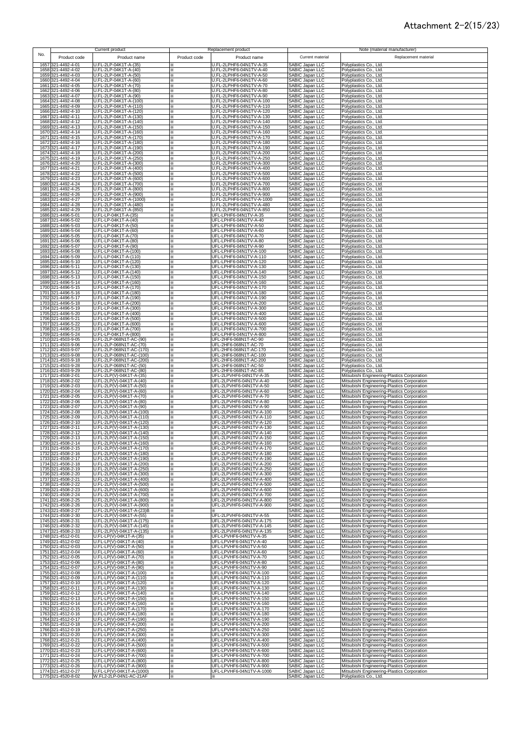#### Attachment 2-2(15/23)

| No. |                                          | Current product                                        |                | Replacement product                                   |                                                  | Note (material manufacturer)                                                               |
|-----|------------------------------------------|--------------------------------------------------------|----------------|-------------------------------------------------------|--------------------------------------------------|--------------------------------------------------------------------------------------------|
|     | Product code                             | Product name                                           | Product code   | Product name                                          | Current material                                 | Replacement material                                                                       |
|     | 1657 321-4492-4-01                       | U.FL-2LP-04K1T-A-(35)                                  |                | U.FL-2LPHF6-04N1TV-A-35                               | SABIC Japan LLC                                  | Polyplastics Co., Ltd.                                                                     |
|     | 1658 321-4492-4-02<br>1659 321-4492-4-03 | U.FL-2LP-04K1T-A-(40)<br>U.FL-2LP-04K1T-A-(50)         | ×<br>⋇         | U.FL-2LPHF6-04N1TV-A-40<br>U.FL-2LPHF6-04N1TV-A-50    | SABIC Japan LLC<br>SABIC Japan LLC               | Polyplastics Co., Ltd.<br>Polyplastics Co., Ltd.                                           |
|     | 1660 321-4492-4-04                       | U.FL-2LP-04K1T-A-(60)                                  | $\times$       | J.FL-2LPHF6-04N1TV-A-60                               | SABIC Japan LLC                                  | Polyplastics Co., Ltd.                                                                     |
|     | 1661 321-4492-4-05<br>1662 321-4492-4-06 | U.FL-2LP-04K1T-A-(70)<br>U.FL-2LP-04K1T-A-(80)         | ⋇<br>⋇         | J.FL-2LPHF6-04N1TV-A-70<br>J.FL-2LPHF6-04N1TV-A-80    | SABIC Japan LLC<br>SABIC Japan LLC               | Polyplastics Co., Ltd.<br>Polyplastics Co., Ltd.                                           |
|     | 1663 321-4492-4-07                       | U.FL-2LP-04K1T-A-(90)                                  | ×.             | J.FL-2LPHF6-04N1TV-A-90                               | <b>SABIC Japan LLC</b>                           | Polyplastics Co., Ltd.                                                                     |
|     | 1664 321-4492-4-08                       | U.FL-2LP-04K1T-A-(100)                                 | ⋇              | J.FL-2LPHF6-04N1TV-A-100                              | SABIC Japan LLC                                  | Polyplastics Co., Ltd.                                                                     |
|     | 1665 321-4492-4-09<br>1666 321-4492-4-10 | U.FL-2LP-04K1T-A-(110)<br>U.FL-2LP-04K1T-A-(120)       | ⋇              | J.FL-2LPHF6-04N1TV-A-110<br>J.FL-2LPHF6-04N1TV-A-120  | SABIC Japan LLC<br>SABIC Japan LLC               | Polyplastics Co., Ltd.<br>Polyplastics Co., Ltd.                                           |
|     | 1667 321-4492-4-11                       | U.FL-2LP-04K1T-A-(130)                                 |                | I.FL-2LPHF6-04N1TV-A-130                              | SABIC Japan LLC                                  | Polyplastics Co., Ltd.                                                                     |
|     | 1668 321-4492-4-12<br>1669 321-4492-4-13 | U.FL-2LP-04K1T-A-(140)<br>U.FL-2LP-04K1T-A-(150)       | ×              | J.FL-2LPHF6-04N1TV-A-140                              | SABIC Japan LLC<br>SABIC Japan LLC               | Polyplastics Co., Ltd.                                                                     |
|     | 1670 321-4492-4-14                       | U.FL-2LP-04K1T-A-(160)                                 | ×              | I.FL-2LPHF6-04N1TV-A-150<br>U.FL-2LPHF6-04N1TV-A-160  | SABIC Japan LLC                                  | Polyplastics Co., Ltd.<br>Polyplastics Co., Ltd.                                           |
|     | 1671 321-4492-4-15                       | U.FL-2LP-04K1T-A-(170)                                 | ⋇              | U.FL-2LPHF6-04N1TV-A-170                              | SABIC Japan LLC                                  | Polyplastics Co., Ltd.                                                                     |
|     | 1672 321-4492-4-16<br>1673 321-4492-4-17 | U.FL-2LP-04K1T-A-(180)<br>U.FL-2LP-04K1T-A-(190)       | ×.<br>⋇        | J.FL-2LPHF6-04N1TV-A-180<br>J.FL-2LPHF6-04N1TV-A-190  | SABIC Japan LLC<br>SABIC Japan LLC               | Polyplastics Co., Ltd.<br>Polyplastics Co., Ltd.                                           |
|     | 1674 321-4492-4-18                       | U.FL-2LP-04K1T-A-(200)                                 | ×              | J.FL-2LPHF6-04N1TV-A-200                              | <b>SABIC Japan LLC</b>                           | Polyplastics Co., Ltd.                                                                     |
|     | 1675 321-4492-4-19<br>1676 321-4492-4-20 | U.FL-2LP-04K1T-A-(250)<br>U.FL-2LP-04K1T-A-(300)       | $\infty$<br>⋇  | J.FL-2LPHF6-04N1TV-A-250<br>U.FL-2LPHF6-04N1TV-A-300  | <b>SABIC Japan LLC</b><br><b>SABIC Japan LLC</b> | Polyplastics Co., Ltd.<br>Polyplastics Co., Ltd.                                           |
|     | 1677 321-4492-4-21                       | U.FL-2LP-04K1T-A-(400)                                 | ⋇              | U.FL-2LPHF6-04N1TV-A-400                              | SABIC Japan LLC                                  | Polyplastics Co., Ltd.                                                                     |
|     | 1678 321-4492-4-22                       | U.FL-2LP-04K1T-A-(500)                                 | ⋇              | U.FL-2LPHF6-04N1TV-A-500                              | SABIC Japan LLC                                  | Polyplastics Co., Ltd.                                                                     |
|     | 1679 321-4492-4-23<br>1680 321-4492-4-24 | U.FL-2LP-04K1T-A-(600)<br>U.FL-2LP-04K1T-A-(700)       | ⋇<br>$\times$  | J.FL-2LPHF6-04N1TV-A-600<br>J.FL-2LPHF6-04N1TV-A-700  | SABIC Japan LLC<br>SABIC Japan LLC               | Polyplastics Co., Ltd.<br>Polyplastics Co., Ltd.                                           |
|     | 1681 321-4492-4-25                       | U.FL-2LP-04K1T-A-(800)                                 | ⋇              | J.FL-2LPHF6-04N1TV-A-800                              | SABIC Japan LLC                                  | Polyplastics Co., Ltd.                                                                     |
|     | 1682 321-4492-4-26<br>1683 321-4492-4-27 | U.FL-2LP-04K1T-A-(900)<br>U.FL-2LP-04K1T-A-(1000)      | ×<br>⋇         | U.FL-2LPHF6-04N1TV-A-900<br>U.FL-2LPHF6-04N1TV-A-1000 | SABIC Japan LLC<br>SABIC Japan LLC               | Polyplastics Co., Ltd.<br>Polyplastics Co., Ltd.                                           |
|     | 1684 321-4492-4-28                       | U.FL-2LP-04K1T-A-(480)                                 | ⋇              | U.FL-2LPHF6-04N1TV-A-480                              | SABIC Japan LLC                                  | Polyplastics Co., Ltd.                                                                     |
|     | 1685 321-4492-4-29                       | U.FL-2LP-04K1T-A-(850)                                 | $\times$       | J.FL-2LPHF6-04N1TV-A-850                              | SABIC Japan LLC                                  | Polyplastics Co., Ltd.                                                                     |
|     | 1686 321-4496-5-01<br>1687 321-4496-5-02 | U.FL-LP-04K1T-A-(35)<br>U.FL-LP-04K1T-A-(40)           | $\times$<br>⋇  | UFL-LPHF6-04N1TV-A-35<br>UFL-LPHF6-04N1TV-A-40        | SABIC Japan LLC<br>SABIC Japan LLC               | Polyplastics Co., Ltd.<br>Polyplastics Co., Ltd.                                           |
|     | 1688 321-4496-5-03                       | U.FL-LP-04K1T-A-(50)                                   | $\times$       | UFL-LPHF6-04N1TV-A-50                                 | SABIC Japan LLC                                  | Polyplastics Co., Ltd.                                                                     |
|     | 1689 321-4496-5-04<br>1690 321-4496-5-05 | U.FL-LP-04K1T-A-(60)<br>U.FL-LP-04K1T-A-(70)           | ×.<br>×.       | UFL-LPHF6-04N1TV-A-60<br>UFL-LPHF6-04N1TV-A-70        | SABIC Japan LLC<br>SABIC Japan LLC               | Polyplastics Co., Ltd.<br>Polyplastics Co., Ltd.                                           |
|     | 1691 321-4496-5-06                       | U.FL-LP-04K1T-A-(80)                                   |                | UFL-LPHF6-04N1TV-A-80                                 | SABIC Japan LLC                                  | Polyplastics Co., Ltd.                                                                     |
|     | 1692 321-4496-5-07<br>1693 321-4496-5-08 | U.FL-LP-04K1T-A-(90)<br>U.FL-LP-04K1T-A-(100)          |                | UFL-LPHF6-04N1TV-A-90<br>UFL-LPHF6-04N1TV-A-100       | SABIC Japan LLC<br>SABIC Japan LLC               | Polyplastics Co., Ltd.<br>Polyplastics Co., Ltd.                                           |
|     | 1694 321-4496-5-09                       | U.FL-LP-04K1T-A-(110)                                  |                | UFL-LPHF6-04N1TV-A-110                                | SABIC Japan LLC<br>SABIC Japan LLC               | Polyplastics Co., Ltd.                                                                     |
|     | 1695 321-4496-5-10                       | U.FL-LP-04K1T-A-(120)<br>U.FL-LP-04K1T-A-(130)         | ⋇              | UFL-LPHF6-04N1TV-A-120                                | SABIC Japan LLC                                  | Polyplastics Co., Ltd.                                                                     |
|     | 1696 321-4496-5-11<br>1697 321-4496-5-12 | U.FL-LP-04K1T-A-(140)                                  | ⋇<br>⋇         | UFL-LPHF6-04N1TV-A-130<br>UFL-LPHF6-04N1TV-A-140      | SABIC Japan LLC                                  | Polyplastics Co., Ltd.<br>Polyplastics Co., Ltd.                                           |
|     | 1698 321-4496-5-13                       | U.FL-LP-04K1T-A-(150)                                  | ፠              | UFL-LPHF6-04N1TV-A-150                                | <b>SABIC Japan LLC</b>                           | Polyplastics Co., Ltd.                                                                     |
|     | 1699 321-4496-5-14<br>1700 321-4496-5-15 | U.FL-LP-04K1T-A-(160)<br>U.FL-LP-04K1T-A-(170)         | ⋇<br>⋇         | UFL-LPHF6-04N1TV-A-160<br>UFL-LPHF6-04N1TV-A-170      | SABIC Japan LLC<br>SABIC Japan LLC               | Polyplastics Co., Ltd.<br>Polyplastics Co., Ltd.                                           |
|     | 1701 321-4496-5-16                       | U.FL-LP-04K1T-A-(180)                                  | ⋇              | UFL-LPHF6-04N1TV-A-180                                | <b>SABIC Japan LLC</b>                           | Polyplastics Co., Ltd.                                                                     |
|     | 1702 321-4496-5-17<br>1703 321-4496-5-18 | U.FL-LP-04K1T-A-(190)<br>U.FL-LP-04K1T-A-(200)         | ⋇<br>×.        | UFL-LPHF6-04N1TV-A-190<br>UFL-LPHF6-04N1TV-A-200      | SABIC Japan LLC<br>SABIC Japan LLC               | Polyplastics Co., Ltd.<br>Polyplastics Co., Ltd.                                           |
|     | 1704 321-4496-5-19                       | U.FL-LP-04K1T-A-(300)                                  | ×.             | UFL-LPHF6-04N1TV-A-300                                | SABIC Japan LLC                                  | Polyplastics Co., Ltd.                                                                     |
|     | 1705 321-4496-5-20                       | U.FL-LP-04K1T-A-(400)                                  | ⋇              | UFL-LPHF6-04N1TV-A-400                                | SABIC Japan LLC                                  | Polyplastics Co., Ltd.                                                                     |
|     | 1706 321-4496-5-21<br>1707 321-4496-5-22 | U.FL-LP-04K1T-A-(500)<br>U.FL-LP-04K1T-A-(600)         | ×.<br>$\times$ | UFL-LPHF6-04N1TV-A-500<br>UFL-LPHF6-04N1TV-A-600      | SABIC Japan LLC<br>SABIC Japan LLC               | Polyplastics Co., Ltd.<br>Polyplastics Co., Ltd.                                           |
|     | 1708 321-4496-5-23                       | U.FL-LP-04K1T-A-(700)                                  | ×              | UFL-LPHF6-04N1TV-A-700                                | SABIC Japan LLC                                  | Polyplastics Co., Ltd.                                                                     |
|     | 1709 321-4496-5-24<br>1710 321-4503-9-05 | U.FL-LP-04K1T-A-(800)<br>U.FL-2LP-068N1T-AC-(90)       | ×<br>$\times$  | UFL-LPHF6-04N1TV-A-800<br>UFL-2HF6-068N1T-AC-90       | SABIC Japan LLC<br>SABIC Japan LLC               | Polyplastics Co., Ltd.<br>Polyplastics Co., Ltd.                                           |
|     | 1711 321-4503-9-06                       | U.FL-2LP-068N1T-AC-(70)                                | $\times$       | UFL-2HF6-068N1T-AC-70                                 | SABIC Japan LLC                                  | Polyplastics Co., Ltd.                                                                     |
|     | 1712 321-4503-9-07<br>1713 321-4503-9-08 | U.FL-2LP-068N1T-AC-(170)<br>U.FL-2LP-068N1T-AC-(100)   | ⋇<br>⋇         | UFL-2HF6-068N1T-AC-170<br>UFL-2HF6-068N1T-AC-100      | SABIC Japan LLC<br>SABIC Japan LLC               | Polyplastics Co., Ltd.<br>Polyplastics Co., Ltd.                                           |
|     | 1714 321-4503-9-18                       | U.FL-2LP-068N1T-AC-(200)                               | ×.             | UFL-2HF6-068N1T-AC-200                                | SABIC Japan LLC                                  | Polyplastics Co., Ltd.                                                                     |
|     | 1715 321-4503-9-28<br>1716 321-4503-9-29 | U.FL-2LP-068N1T-AC-(50)<br>U.FL-2LP-068N1T-AC-(80)     | ×.<br>×        | UFL-2HF6-068N1T-AC-50<br>UFL-2HF6-068N1T-AC-85        | SABIC Japan LLC<br>SABIC Japan LLC               | Polyplastics Co., Ltd.                                                                     |
|     | 1717 321-4508-2-01                       | U.FL-2LP(V)-04K1T-A-(35)                               |                | UFL-2LPVHF6-04N1TV-A-35                               | SABIC Japan LLC                                  | Polyplastics Co., Ltd.<br>Mitsubishi Engineering-Plastics Corporation                      |
|     | 1718 321-4508-2-02                       | U.FL-2LP(V)-04K1T-A-(40)                               |                | UFL-2LPVHF6-04N1TV-A-40                               | SABIC Japan LLC                                  | Mitsubishi Engineering-Plastics Corporation<br>Mitsubishi Engineering-Plastics Corporation |
|     | 1719 321-4508-2-03<br>1720 321-4508-2-04 | U.FL-2LP(V)-04K1T-A-(50)<br>U.FL-2LP(V)-04K1T-A-(60)   | ×              | UFL-2LPVHF6-04N1TV-A-50<br>UFL-2LPVHF6-04N1TV-A-60    | SABIC Japan LLC<br>SABIC Japan LLC               | Mitsubishi Engineering-Plastics Corporation                                                |
|     | 1721 321-4508-2-05                       | U.FL-2LP(V)-04K1T-A-(70)                               | ፠              | UFL-2LPVHF6-04N1TV-A-70                               | SABIC Japan LLC                                  | Mitsubishi Engineering-Plastics Corporation                                                |
|     | 1722 321-4508-2-06<br>1723 321-4508-2-07 | U.FL-2LP(V)-04K1T-A-(80)<br>U.FL-2LP(V)-04K1T-A-(90)   | ×.<br>×.       | UFL-2LPVHF6-04N1TV-A-80<br>UFL-2LPVHF6-04N1TV-A-90    | SABIC Japan LLC<br><b>SABIC Japan LLC</b>        | Mitsubishi Engineering-Plastics Corporation<br>Mitsubishi Engineering-Plastics Corporation |
|     | 1724 321-4508-2-08                       | U.FL-2LP(V)-04K1T-A-(100)                              | ⋇              | UFL-2LPVHF6-04N1TV-A-100                              | SABIC Japan LLC                                  | Mitsubishi Engineering-Plastics Corporation                                                |
|     | 1725 321-4508-2-09<br>1726 321-4508-2-10 | U.FL-2LP(V)-04K1T-A-(110)<br>U.FL-2LP(V)-04K1T-A-(120) | $\infty$       | UFL-2LPVHF6-04N1TV-A-110<br>UFL-2LPVHF6-04N1TV-A-120  | SABIC Japan LLC<br>SABIC Japan LLC               | Mitsubishi Engineering-Plastics Corporation<br>Mitsubishi Engineering-Plastics Corporation |
|     | 1727 321-4508-2-11                       | U.FL-2LP(V)-04K1T-A-(130)                              | ⋇              | UFL-2LPVHF6-04N1TV-A-130                              | SABIC Japan LLC                                  | Mitsubishi Engineering-Plastics Corporation                                                |
|     | 1728 321-4508-2-12                       | U.FL-2LP(V)-04K1T-A-(140)                              | ⋇              | UFL-2LPVHF6-04N1TV-A-140                              | SABIC Japan LLC                                  | Mitsubishi Engineering-Plastics Corporation                                                |
|     | 1729 321-4508-2-13<br>1730 321-4508-2-14 | U.FL-2LP(V)-04K1T-A-(150)<br>U.FL-2LP(V)-04K1T-A-(160) | ×.             | UFL-2LPVHF6-04N1TV-A-150<br>JFL-2LPVHF6-04N1TV-A-160  | SABIC Japan LLC<br>SABIC Japan LLC               | Mitsubishi Engineering-Plastics Corporation<br>Mitsubishi Engineering-Plastics Corporation |
|     | 1731 321-4508-2-15                       | U.FL-2LP(V)-04K1T-A-(170)                              | ⋇              | UFL-2LPVHF6-04N1TV-A-170                              | SABIC Japan LLC                                  | Mitsubishi Engineering-Plastics Corporation                                                |
|     | 1732 321-4508-2-16<br>1733 321-4508-2-17 | U.FL-2LP(V)-04K1T-A-(180)<br>U.FL-2LP(V)-04K1T-A-(190) | ×.<br>×        | UFL-2LPVHF6-04N1TV-A-180<br>UFL-2LPVHF6-04N1TV-A-190  | SABIC Japan LLC<br>SABIC Japan LLC               | Mitsubishi Engineering-Plastics Corporation<br>Mitsubishi Engineering-Plastics Corporation |
|     | 1734 321-4508-2-18                       | U.FL-2LP(V)-04K1T-A-(200)                              | ×              | UFL-2LPVHF6-04N1TV-A-200                              | SABIC Japan LLC                                  | Mitsubishi Engineering-Plastics Corporation                                                |
|     | 1735 321-4508-2-19<br>1736 321-4508-2-20 | U.FL-2LP(V)-04K1T-A-(250)<br>U.FL-2LP(V)-04K1T-A-(300) | ×<br>×         | UFL-2LPVHF6-04N1TV-A-250<br>UFL-2LPVHF6-04N1TV-A-300  | SABIC Japan LLC<br>SABIC Japan LLC               | Mitsubishi Engineering-Plastics Corporation<br>Mitsubishi Engineering-Plastics Corporation |
|     | 1737 321-4508-2-21                       | U.FL-2LP(V)-04K1T-A-(400)                              | ⋇              | UFL-2LPVHF6-04N1TV-A-400                              | SABIC Japan LLC                                  | Mitsubishi Engineering-Plastics Corporation                                                |
|     | 1738 321-4508-2-22<br>1739 321-4508-2-23 | U.FL-2LP(V)-04K1T-A-(500)<br>U.FL-2LP(V)-04K1T-A-(600) | ⋇<br>⋇         | UFL-2LPVHF6-04N1TV-A-500<br>UFL-2LPVHF6-04N1TV-A-600  | SABIC Japan LLC<br>SABIC Japan LLC               | Mitsubishi Engineering-Plastics Corporation<br>Mitsubishi Engineering-Plastics Corporation |
|     | 1740 321-4508-2-24                       | U.FL-2LP(V)-04K1T-A-(700)                              | ⋇              | UFL-2LPVHF6-04N1TV-A-700                              | SABIC Japan LLC                                  | Mitsubishi Engineering-Plastics Corporation                                                |
|     | 1741 321-4508-2-25                       | U.FL-2LP(V)-04K1T-A-(800)                              | ⋇              | UFL-2LPVHF6-04N1TV-A-800                              | SABIC Japan LLC                                  | Mitsubishi Engineering-Plastics Corporation                                                |
|     | 1742 321-4508-2-26<br>1743 321-4508-2-27 | U.FL-2LP(V)-04K1T-A-(900)<br>U.FL-2LP(V)-04K1T-A-(23)B | ⋇<br>⋇         | UFL-2LPVHF6-04N1TV-A-900                              | SABIC Japan LLC<br>SABIC Japan LLC               | Mitsubishi Engineering-Plastics Corporation<br>Mitsubishi Engineering-Plastics Corporation |
|     | 1744 321-4508-2-30                       | U.FL-2LP(V)-04K1T-A-(55)                               |                | UFL-2LPVHF6-04N1TV-A-55                               | SABIC Japan LLC                                  | Mitsubishi Engineering-Plastics Corporation                                                |
|     | 1745 321-4508-2-31<br>1746 321-4508-2-32 | U.FL-2LP(V)-04K1T-A-(175)<br>U.FL-2LP(V)-04K1T-A-(145) | ⋇              | UFL-2LPVHF6-04N1TV-A-175<br>UFL-2LPVHF6-04N1TV-A-145  | SABIC Japan LLC<br>SABIC Japan LLC               | Mitsubishi Engineering-Plastics Corporation<br>Mitsubishi Engineering-Plastics Corporation |
|     | 1747 321-4508-2-33                       | U.FL-2LP(V)-04K1T-A-(135)                              | ⋇              | UFL-2LPVHF6-04N1TV-A-135                              | SABIC Japan LLC                                  | Mitsubishi Engineering-Plastics Corporation                                                |
|     | 1748 321-4512-0-01<br>1749 321-4512-0-02 | U.FL-LP(V)-04K1T-A-(35)<br>U.FL-LP(V)-04K1T-A-(40)     | ⋇<br>×         | UFL-LPVHF6-04N1TV-A-35<br>UFL-LPVHF6-04N1TV-A-40      | SABIC Japan LLC<br><b>SABIC Japan LLC</b>        | Mitsubishi Engineering-Plastics Corporation<br>Mitsubishi Engineering-Plastics Corporation |
|     | 1750 321-4512-0-03                       | U.FL-LP(V)-04K1T-A-(50)                                | ×              | UFL-LPVHF6-04N1TV-A-50                                | SABIC Japan LLC                                  | Mitsubishi Engineering-Plastics Corporation                                                |
|     | 1751 321-4512-0-04                       | U.FL-LP(V)-04K1T-A-(60)                                | ⋇              | UFL-LPVHF6-04N1TV-A-60                                | SABIC Japan LLC                                  | Mitsubishi Engineering-Plastics Corporation                                                |
|     | 1752 321-4512-0-05<br>1753 321-4512-0-06 | U.FL-LP(V)-04K1T-A-(70)<br>U.FL-LP(V)-04K1T-A-(80)     | ×.<br>×.       | UFL-LPVHF6-04N1TV-A-70<br>UFL-LPVHF6-04N1TV-A-80      | <b>SABIC Japan LLC</b><br>SABIC Japan LLC        | Mitsubishi Engineering-Plastics Corporation<br>Mitsubishi Engineering-Plastics Corporation |
|     | 1754 321-4512-0-07                       | U.FL-LP(V)-04K1T-A-(90)                                | ⋇              | UFL-LPVHF6-04N1TV-A-90                                | SABIC Japan LLC                                  | Mitsubishi Engineering-Plastics Corporation                                                |
|     | 1755 321-4512-0-08<br>1756 321-4512-0-09 | U.FL-LP(V)-04K1T-A-(100)<br>U.FL-LP(V)-04K1T-A-(110)   | ⋇<br>⋇         | UFL-LPVHF6-04N1TV-A-100<br>UFL-LPVHF6-04N1TV-A-110    | SABIC Japan LLC<br>SABIC Japan LLC               | Mitsubishi Engineering-Plastics Corporation<br>Mitsubishi Engineering-Plastics Corporation |
|     | 1757 321-4512-0-10                       | U.FL-LP(V)-04K1T-A-(120)                               | ⋇              | UFL-LPVHF6-04N1TV-A-120                               | SABIC Japan LLC<br>SABIC Japan LLC               | Mitsubishi Engineering-Plastics Corporation                                                |
|     | 1758 321-4512-0-11<br>1759 321-4512-0-12 | U.FL-LP(V)-04K1T-A-(130)<br>U.FL-LP(V)-04K1T-A-(140)   | ×              | UFL-LPVHF6-04N1TV-A-130<br>UFL-LPVHF6-04N1TV-A-140    | SABIC Japan LLC                                  | Mitsubishi Engineering-Plastics Corporation                                                |
|     | 1760 321-4512-0-13                       | U.FL-LP(V)-04K1T-A-(150)                               | ×<br>×         | UFL-LPVHF6-04N1TV-A-150                               | SABIC Japan LLC                                  | Mitsubishi Engineering-Plastics Corporation<br>Mitsubishi Engineering-Plastics Corporation |
|     | 1761 321-4512-0-14                       | U.FL-LP(V)-04K1T-A-(160)                               | ⋇              | UFL-LPVHF6-04N1TV-A-160                               | SABIC Japan LLC                                  | Mitsubishi Engineering-Plastics Corporation                                                |
|     | 1762 321-4512-0-15<br>1763 321-4512-0-16 | U.FL-LP(V)-04K1T-A-(170)<br>U.FL-LP(V)-04K1T-A-(180)   | ⋇<br>×         | UFL-LPVHF6-04N1TV-A-170<br>UFL-LPVHF6-04N1TV-A-180    | SABIC Japan LLC<br>SABIC Japan LLC               | Mitsubishi Engineering-Plastics Corporation<br>Mitsubishi Engineering-Plastics Corporation |
|     | 1764 321-4512-0-17                       | U.FL-LP(V)-04K1T-A-(190)                               | X.             | UFL-LPVHF6-04N1TV-A-190                               | SABIC Japan LLC                                  | Mitsubishi Engineering-Plastics Corporation                                                |
|     | 1765 321-4512-0-18<br>1766 321-4512-0-19 | U.FL-LP(V)-04K1T-A-(200)<br>U.FL-LP(V)-04K1T-A-(250)   | ⋇<br>⋇         | UFL-LPVHF6-04N1TV-A-200<br>UFL-LPVHF6-04N1TV-A-250    | SABIC Japan LLC<br>SABIC Japan LLC               | Mitsubishi Engineering-Plastics Corporation<br>Mitsubishi Engineering-Plastics Corporation |
|     | 1767 321-4512-0-20                       | U.FL-LP(V)-04K1T-A-(300)                               | ⋇              | UFL-LPVHF6-04N1TV-A-300                               | SABIC Japan LLC                                  | Mitsubishi Engineering-Plastics Corporation                                                |
|     | 1768 321-4512-0-21<br>1769 321-4512-0-22 | U.FL-LP(V)-04K1T-A-(400)<br>U.FL-LP(V)-04K1T-A-(500)   | ×              | UFL-LPVHF6-04N1TV-A-400<br>UFL-LPVHF6-04N1TV-A-500    | SABIC Japan LLC<br>SABIC Japan LLC               | Mitsubishi Engineering-Plastics Corporation<br>Mitsubishi Engineering-Plastics Corporation |
|     | 1770 321-4512-0-23                       | U.FL-LP(V)-04K1T-A-(600)                               |                | UFL-LPVHF6-04N1TV-A-600                               | SABIC Japan LLC                                  | Mitsubishi Engineering-Plastics Corporation                                                |
|     | 1771 321-4512-0-24                       | U.FL-LP(V)-04K1T-A-(700)                               | ⋇              | UFL-LPVHF6-04N1TV-A-700                               | SABIC Japan LLC                                  | Mitsubishi Engineering-Plastics Corporation                                                |
|     | 1772 321-4512-0-25<br>1773 321-4512-0-26 | U.FL-LP(V)-04K1T-A-(800)<br>U.FL-LP(V)-04K1T-A-(900)   | ⋇<br>⋇         | UFL-LPVHF6-04N1TV-A-800<br>UFL-LPVHF6-04N1TV-A-900    | SABIC Japan LLC<br>SABIC Japan LLC               | Mitsubishi Engineering-Plastics Corporation<br>Mitsubishi Engineering-Plastics Corporation |
|     | 1774 321-4512-0-27                       | U.FL-LP(V)-04K1T-A-(1000)                              | ×              | UFL-LPVHF6-04N1TV-A-1000                              | SABIC Japan LLC                                  | Mitsubishi Engineering-Plastics Corporation                                                |
|     | 1775 321-4520-8-02                       | W.FL2-2LP-04N1-AC-21AF                                 |                |                                                       | SABIC Japan LLC                                  | Polyplastics Co., Ltd.                                                                     |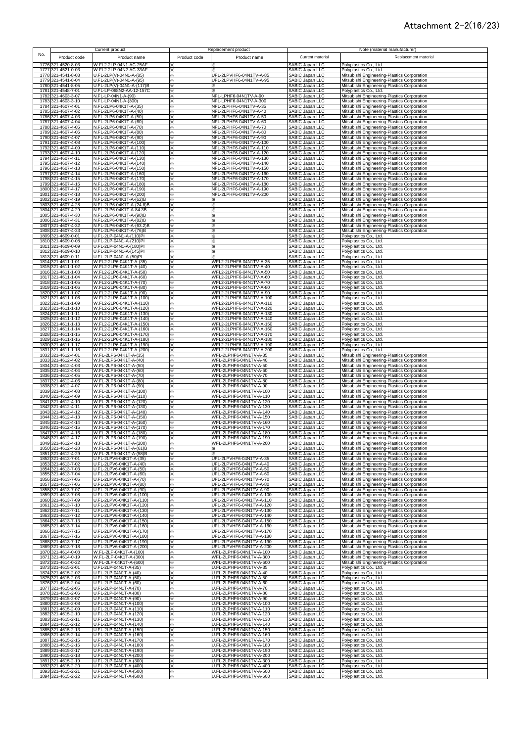## Attachment 2-2(16/23)

| No. |                                          | Current product                                      |              | Replacement product                                  |                                                                          | Note (material manufacturer)                                                               |
|-----|------------------------------------------|------------------------------------------------------|--------------|------------------------------------------------------|--------------------------------------------------------------------------|--------------------------------------------------------------------------------------------|
|     | Product code                             | Product name                                         | Product code | Product name                                         | Current material                                                         | Replacement material                                                                       |
|     | 1776 321-4520-8-03<br>1777 321-4521-0-03 | V.FL2-2LP-04N1-AC-25AF<br>W.FL2-2LP-04N2-AC-33AF     | ⋇<br>፠       | ⋇<br>⋇                                               | SABIC Japan LLC<br>SABIC Japan LLC                                       | Polyplastics Co., Ltd.<br>Polyplastics Co., Ltd.                                           |
|     | 1778 321-4541-8-03<br>1779 321-4541-8-04 | U.FL-2LP(V)-04N1-A-(85)                              | ⋇            | UFL-2LPVHF6-04N1TV-A-85                              | SABIC Japan LLC                                                          | Mitsubishi Engineering-Plastics Corporation                                                |
|     | 1780 321-4541-8-05                       | U.FL-2LP(V)-04N1-A-(95)<br>U.FL-2LP(V)-04N1-A-(117)B | ×<br>×       | UFL-2LPVHF6-04N1TV-A-95                              | SABIC Japan LLC                                                          | Mitsubishi Engineering-Plastics Corporation<br>Mitsubishi Engineering-Plastics Corporation |
|     | 1781 321-4548-7-01<br>1782 321-4603-3-07 | U.FL-LP-068N2-AA-12-157C<br>N.FL-LP-04N1-A-(90)      | ×<br>፠       | NFL-LPHF6-04N1TV-A-90                                | SABIC Japan LLC<br>SABIC Japan LLC<br>SABIC Japan LLC<br>SABIC Japan LLC | Polyplastics Co., Ltd.<br>Mitsubishi Engineering-Plastics Corporation                      |
|     | 1783 321-4603-3-10                       | N.FL-LP-04N1-A-(300)                                 | ×            | NFL-LPHF6-04N1TV-A-300                               | SABIC Japan LLC                                                          | Mitsubishi Engineering-Plastics Corporation                                                |
|     | 1784 321-4607-4-01<br>1785 321-4607-4-02 | N.FL-2LP6-04K1T-A-(35)<br>N.FL-2LP6-04K1T-A-(40)     | ×<br>×       | NFL-2LPHF6-04N1TV-A-35<br>NFL-2LPHF6-04N1TV-A-40     | SABIC Japan LLC<br>SABIC Japan LLC                                       | Mitsubishi Engineering-Plastics Corporation<br>Mitsubishi Engineering-Plastics Corporation |
|     | 1786 321-4607-4-03                       | N.FL-2LP6-04K1T-A-(50)                               | ×            | NFL-2LPHF6-04N1TV-A-50                               | SABIC Japan LLC                                                          | Mitsubishi Engineering-Plastics Corporation                                                |
|     | 1787 321-4607-4-04<br>1788 321-4607-4-05 | N.FL-2LP6-04K1T-A-(60)<br>N.FL-2LP6-04K1T-A-(70)     | ×<br>×       | NFL-2LPHF6-04N1TV-A-60<br>NFL-2LPHF6-04N1TV-A-70     | SABIC Japan LLC<br>SABIC Japan LLC                                       | Mitsubishi Engineering-Plastics Corporation<br>Mitsubishi Engineering-Plastics Corporation |
|     | 1789 321-4607-4-06<br>1790 321-4607-4-07 | V.FL-2LP6-04K1T-A-(80)<br>V.FL-2LP6-04K1T-A-(90)     | ×.<br>×.     | NFL-2LPHF6-04N1TV-A-80<br>NFL-2LPHF6-04N1TV-A-90     | SABIC Japan LLC<br>SABIC Japan LLC                                       | Mitsubishi Engineering-Plastics Corporation<br>Mitsubishi Engineering-Plastics Corporation |
|     | 1791 321-4607-4-08                       | V.FL-2LP6-04K1T-A-(100)                              | ×.           | NFL-2LPHF6-04N1TV-A-100                              | SABIC Japan LLC                                                          | Mitsubishi Engineering-Plastics Corporation                                                |
|     | 1792 321-4607-4-09<br>1793 321-4607-4-10 | N.FL-2LP6-04K1T-A-(110)<br>N.FL-2LP6-04K1T-A-(120)   | ⋇<br>⋇       | NFL-2LPHF6-04N1TV-A-110<br>NFL-2LPHF6-04N1TV-A-120   | SABIC Japan LLC<br>SABIC Japan LLC                                       | Mitsubishi Engineering-Plastics Corporation<br>Mitsubishi Engineering-Plastics Corporation |
|     | 1794 321-4607-4-11<br>1795 321-4607-4-12 | N.FL-2LP6-04K1T-A-(130)<br>N.FL-2LP6-04K1T-A-(140)   | ፠<br>×       | NFL-2LPHF6-04N1TV-A-130<br>NFL-2LPHF6-04N1TV-A-140   | SABIC Japan LLC<br>SABIC Japan LLC                                       | Mitsubishi Engineering-Plastics Corporation<br>Mitsubishi Engineering-Plastics Corporation |
|     | 1796 321-4607-4-13                       | N.FL-2LP6-04K1T-A-(150)                              | ፠            | NFL-2LPHF6-04N1TV-A-150                              | SABIC Japan LLC                                                          | Mitsubishi Engineering-Plastics Corporation                                                |
|     | 1797 321-4607-4-14<br>1798 321-4607-4-15 | N.FL-2LP6-04K1T-A-(160)<br>N.FL-2LP6-04K1T-A-(170)   | ⋇<br>⋇       | NFL-2LPHF6-04N1TV-A-160<br>NFL-2LPHF6-04N1TV-A-170   | SABIC Japan LLC<br>SABIC Japan LLC                                       | Mitsubishi Engineering-Plastics Corporation<br>Mitsubishi Engineering-Plastics Corporation |
|     | 1799 321-4607-4-16                       | N.FL-2LP6-04K1T-A-(180)                              | ×            | NFL-2LPHF6-04N1TV-A-180                              | SABIC Japan LLC                                                          | Mitsubishi Engineering-Plastics Corporation                                                |
|     | 1800 321-4607-4-17<br>1801 321-4607-4-18 | V.FL-2LP6-04K1T-A-(190)<br>J.FL-2LP6-04K1T-A-(200)   | ፠<br>፠       | NFL-2LPHF6-04N1TV-A-190<br>NFL-2LPHF6-04N1TV-A-200   | SABIC Japan LLC<br>SABIC Japan LLC                                       | Mitsubishi Engineering-Plastics Corporation<br>Mitsubishi Engineering-Plastics Corporation |
|     | 1802 321-4607-4-19<br>1803 321-4607-4-28 | J.FL-2LP6-04K1T-A-(62)B<br>I.FL-2LP6-04K1T-A-(24.8)B | ፠<br>⋇       | ×.<br>⋇                                              | SABIC Japan LLC<br>SABIC Japan LLC                                       | Mitsubishi Engineering-Plastics Corporation<br>Mitsubishi Engineering-Plastics Corporation |
|     | 1804 321-4607-4-29                       | J.FL-2LP6-04K1T-A-84.3B                              | ×.           | ⋇                                                    | SABIC Japan LLC                                                          | Mitsubishi Engineering-Plastics Corporation                                                |
|     | 1805 321-4607-4-30<br>1806 321-4607-4-31 | N.FL-2LP6-04K1T-A-(90)B<br>N.FL-2LP6-04K1T-A-(82)B   | ×<br>⋇       | ⋇<br>⋇                                               | SABIC Japan LLC                                                          | Mitsubishi Engineering-Plastics Corporation<br>Mitsubishi Engineering-Plastics Corporation |
|     | 1807 321-4607-4-32                       | N.FL-2LP6-04K1T-A-(63.2)B                            | ⋇            | ×.                                                   | SABIC Japan LLC<br>SABIC Japan LLC<br>SABIC Japan LLC                    | Mitsubishi Engineering-Plastics Corporation                                                |
|     | 1808 321-4607-4-33<br>1809 321-4609-0-01 | N.FL-2LP6-04K1T-A-(76)B<br>U.FL-2LP-04N1-A-(110)PI   | ⋇<br>×       | ⋇<br>⋇                                               | SABIC Japan LLC                                                          | Mitsubishi Engineering-Plastics Corporation<br>Polyplastics Co., Ltd.                      |
|     | 1810 321-4609-0-08<br>1811 321-4609-0-09 | U.FL-2LP-04N1-A-(210)PI<br>U.FL-2LP-04N1-A-(180)PI   | ×<br>⋇       | ⋇<br>⋇                                               | <b>SABIC Japan LLC</b><br>SABIC Japan LLC                                | Polyplastics Co., Ltd.<br>Polyplastics Co., Ltd.                                           |
|     | 1812 321-4609-0-10                       | U.FL-2LP-04N1-A-(145)PI                              | ⋇            | ⋇                                                    | SABIC Japan LLC                                                          | Polyplastics Co., Ltd.                                                                     |
|     | 1813 321-4609-0-11<br>1814 321-4611-1-01 | U.FL-2LP-04N1-A-(50)PI<br>W.FL2-2LP6-04K1T-A-(35)    | ×<br>×.      | ×.<br>WFL2-2LPHF6-04N1TV-A-35                        | SABIC Japan LLC<br><b>SABIC Japan LLC</b>                                | Polyplastics Co., Ltd.<br>Polyplastics Co., Ltd.                                           |
|     | 1815 321-4611-1-02<br>1816 321-4611-1-03 | W.FL2-2LP6-04K1T-A-(40)<br>W.FL2-2LP6-04K1T-A-(50)   | ×.<br>×.     | WFL2-2LPHF6-04N1TV-A-40<br>WFL2-2LPHF6-04N1TV-A-50   | SABIC Japan LLC<br>SABIC Japan LLC                                       | Polyplastics Co., Ltd.<br>Polyplastics Co., Ltd.                                           |
|     | 1817 321-4611-1-04                       | W.FL2-2LP6-04K1T-A-(60)                              | ⋇            | WFL2-2LPHF6-04N1TV-A-60                              | <b>SABIC Japan LLC</b>                                                   | Polyplastics Co., Ltd.                                                                     |
|     | 1818 321-4611-1-05<br>1819 321-4611-1-06 | W.FL2-2LP6-04K1T-A-(70)<br>W.FL2-2LP6-04K1T-A-(80)   | ⋇<br>፠       | WFL2-2LPHF6-04N1TV-A-70<br>WFL2-2LPHF6-04N1TV-A-80   | SABIC Japan LLC<br>SABIC Japan LLC                                       | Polyplastics Co., Ltd.<br>Polyplastics Co., Ltd.                                           |
|     | 1820 321-4611-1-07                       | W.FL2-2LP6-04K1T-A-(90)                              | ⋇            | WFL2-2LPHF6-04N1TV-A-90                              | SABIC Japan LLC                                                          | Polyplastics Co., Ltd.                                                                     |
|     | 1821 321-4611-1-08<br>1822 321-4611-1-09 | W.FL2-2LP6-04K1T-A-(100)<br>W.FL2-2LP6-04K1T-A-(110) | ⋇<br>⋇       | WFL2-2LPHF6-04N1TV-A-100<br>WFL2-2LPHF6-04N1TV-A-110 | SABIC Japan LLC<br>SABIC Japan LLC                                       | Polyplastics Co., Ltd.<br>Polyplastics Co., Ltd.                                           |
|     | 1823 321-4611-1-10<br>1824 321-4611-1-11 | W.FL2-2LP6-04K1T-A-(120)<br>W.FL2-2LP6-04K1T-A-(130) | ×<br>×       | WFL2-2LPHF6-04N1TV-A-120<br>WFL2-2LPHF6-04N1TV-A-130 | SABIC Japan LLC<br>SABIC Japan LLC                                       | Polyplastics Co., Ltd.<br>Polyplastics Co., Ltd.                                           |
|     | 1825 321-4611-1-12                       | W.FL2-2LP6-04K1T-A-(140)                             | ×            | WFL2-2LPHF6-04N1TV-A-140                             | SABIC Japan LLC                                                          | Polyplastics Co., Ltd.                                                                     |
|     | 1826 321-4611-1-13<br>1827 321-4611-1-14 | W.FL2-2LP6-04K1T-A-(150)<br>W.FL2-2LP6-04K1T-A-(160) | X<br>⋇       | WFL2-2LPHF6-04N1TV-A-150<br>WFL2-2LPHF6-04N1TV-A-160 | SABIC Japan LLC<br>SABIC Japan LLC                                       | Polyplastics Co., Ltd.<br>Polyplastics Co., Ltd.                                           |
|     | 1828 321-4611-1-15<br>1829 321-4611-1-16 | W.FL2-2LP6-04K1T-A-(170)<br>W.FL2-2LP6-04K1T-A-(180) | ⋇<br>×.      | WFL2-2LPHF6-04N1TV-A-170<br>WFL2-2LPHF6-04N1TV-A-180 | SABIC Japan LLC                                                          | Polyplastics Co., Ltd.<br>Polyplastics Co., Ltd.                                           |
|     | 1830 321-4611-1-17                       | W.FL2-2LP6-04K1T-A-(190)                             | ⋇            | WFL2-2LPHF6-04N1TV-A-190                             | SABIC Japan LLC<br>SABIC Japan LLC<br>SABIC Japan LLC                    | Polyplastics Co., Ltd.                                                                     |
|     | 1831 321-4611-1-18<br>1832 321-4612-4-01 | W.FL2-2LP6-04K1T-A-(200)<br>W.FL-2LP6-04K1T-A-(35)   | ⋇<br>×       | WFL2-2LPHF6-04N1TV-A-200<br>WFL-2LPHF6-04N1TV-A-35   |                                                                          | Polyplastics Co., Ltd.<br>Mitsubishi Engineering-Plastics Corporation                      |
|     | 1833 321-4612-4-02                       | W.FL-2LP6-04K1T-A-(40)                               | ×            | WFL-2LPHF6-04N1TV-A-40<br>WFL-2LPHF6-04N1TV-A-50     | SABIC Japan LLC<br>SABIC Japan LLC<br>SABIC Japan LLC                    | Mitsubishi Engineering-Plastics Corporation                                                |
|     | 1834 321-4612-4-03<br>1835 321-4612-4-04 | W.FL-2LP6-04K1T-A-(50)<br>W.FL-2LP6-04K1T-A-(60)     | ×<br>×       | WFL-2LPHF6-04N1TV-A-60                               | SABIC Japan LLC                                                          | Mitsubishi Engineering-Plastics Corporation<br>Mitsubishi Engineering-Plastics Corporation |
|     | 1836 321-4612-4-05<br>1837 321-4612-4-06 | W.FL-2LP6-04K1T-A-(70)<br>W.FL-2LP6-04K1T-A-(80)     | ×<br>×       | WFL-2LPHF6-04N1TV-A-70<br>WFL-2LPHF6-04N1TV-A-80     | <b>SABIC Japan LLC</b><br>SABIC Japan LLC                                | Mitsubishi Engineering-Plastics Corporation<br>Mitsubishi Engineering-Plastics Corporation |
|     | 1838 321-4612-4-07                       | W.FL-2LP6-04K1T-A-(90)                               | ⋇            | WFL-2LPHF6-04N1TV-A-90<br>WFL-2LPHF6-04N1TV-A-100    | SABIC Japan LLC                                                          | Mitsubishi Engineering-Plastics Corporation                                                |
|     | 1839 321-4612-4-08<br>1840 321-4612-4-09 | W.FL-2LP6-04K1T-A-(100)<br>W.FL-2LP6-04K1T-A-(110)   | ⋇<br>⋇       | WFL-2LPHF6-04N1TV-A-110                              | <b>SABIC Japan LLC</b><br>SABIC Japan LLC                                | Mitsubishi Engineering-Plastics Corporation<br>Mitsubishi Engineering-Plastics Corporation |
|     | 1841 321-4612-4-10<br>1842 321-4612-4-11 | W.FL-2LP6-04K1T-A-(120)<br>W.FL-2LP6-04K1T-A-(130)   | ⋇<br>⋇       | WFL-2LPHF6-04N1TV-A-120<br>WFL-2LPHF6-04N1TV-A-130   | SABIC Japan LLC<br>SABIC Japan LLC                                       | Mitsubishi Engineering-Plastics Corporation<br>Mitsubishi Engineering-Plastics Corporation |
|     | 1843 321-4612-4-12                       | W.FL-2LP6-04K1T-A-(140)                              | ፠            | WFL-2LPHF6-04N1TV-A-140                              | SABIC Japan LLC                                                          | Mitsubishi Engineering-Plastics Corporation                                                |
|     | 1844 321-4612-4-13<br>1845 321-4612-4-14 | W.FL-2LP6-04K1T-A-(150)<br>W.FL-2LP6-04K1T-A-(160)   | ፠<br>⋇       | WFL-2LPHF6-04N1TV-A-150<br>WFL-2LPHF6-04N1TV-A-160   | SABIC Japan LLC<br>SABIC Japan LLC                                       | Mitsubishi Engineering-Plastics Corporation<br>Mitsubishi Engineering-Plastics Corporation |
|     | 1846 321-4612-4-15<br>1847 321-4612-4-16 | W.FL-2LP6-04K1T-A-(170)<br>W.FL-2LP6-04K1T-A-(180)   | ×<br>×       | WFL-2LPHF6-04N1TV-A-170<br>WFL-2LPHF6-04N1TV-A-180   | SABIC Japan LLC<br>SABIC Japan LLC                                       | Mitsubishi Engineering-Plastics Corporation<br>Mitsubishi Engineering-Plastics Corporation |
|     | 1848 321-4612-4-17                       | W.FL-2LP6-04K1T-A-(190)                              | ⋇            | WFL-2LPHF6-04N1TV-A-190                              | SABIC Japan LLC                                                          | Mitsubishi Engineering-Plastics Corporation                                                |
|     | 1849 321-4612-4-18<br>1850 321-4612-4-28 | W.FL-2LP6-04K11-A-(200)<br>W.FL-2LP6-04K1T-A-(61)B   | ×            | WFL-2LPHF6-04N1 IV-A-200<br>⋇                        | SABIC Japan LLC<br>SABIC Japan LLC                                       | Mitsubishi Engineering-Plastics Corporation<br>Mitsubishi Engineering-Plastics Corporation |
|     | 1851 321-4612-4-29                       | W.FL-2LP6-04K1T-A-(58)B<br>U.FL-2LPV6-04K1T-A-(35)   | ×            | UFL-2LPVHF6-04N1TV-A-35                              | SABIC Japan LLC                                                          | Mitsubishi Engineering-Plastics Corporation                                                |
|     | 1852 321-4613-7-01<br>1853 321-4613-7-02 | J.FL-2LPV6-04K1T-A-(40)                              | ×.<br>⋇      | UFL-2LPVHF6-04N1TV-A-40                              | SABIC Japan LLC<br>SABIC Japan LLC                                       | Mitsubishi Engineering-Plastics Corporation<br>Mitsubishi Engineering-Plastics Corporation |
|     | 1854 321-4613-7-03<br>1855 321-4613-7-04 | U.FL-2LPV6-04K1T-A-(50)<br>J.FL-2LPV6-04K1T-A-(60)   | ⋇<br>፠       | UFL-2LPVHF6-04N1TV-A-50<br>UFL-2LPVHF6-04N1TV-A-60   | SABIC Japan LLC<br>SABIC Japan LLC                                       | Mitsubishi Engineering-Plastics Corporation<br>Mitsubishi Engineering-Plastics Corporation |
|     | 1856 321-4613-7-05                       | U.FL-2LPV6-04K1T-A-(70)                              | ፠            | UFL-2LPVHF6-04N1TV-A-70                              | SABIC Japan LLC                                                          | Mitsubishi Engineering-Plastics Corporation                                                |
|     | 1857 321-4613-7-06<br>1858 321-4613-7-07 | U.FL-2LPV6-04K1T-A-(80)<br>U.FL-2LPV6-04K1T-A-(90)   | ×<br>×       | UFL-2LPVHF6-04N1TV-A-80<br>UFL-2LPVHF6-04N1TV-A-90   | SABIC Japan LLC<br>SABIC Japan LLC                                       | Mitsubishi Engineering-Plastics Corporation<br>Mitsubishi Engineering-Plastics Corporation |
|     | 1859 321-4613-7-08<br>1860 321-4613-7-09 | U.FL-2LPV6-04K1T-A-(100)<br>U.FL-2LPV6-04K1T-A-(110) | ×<br>×       | UFL-2LPVHF6-04N1TV-A-100<br>UFL-2LPVHF6-04N1TV-A-110 | SABIC Japan LLC<br>SABIC Japan LLC                                       | Mitsubishi Engineering-Plastics Corporation<br>Mitsubishi Engineering-Plastics Corporation |
|     | 1861 321-4613-7-10                       | U.FL-2LPV6-04K1T-A-(120)                             | ×            | UFL-2LPVHF6-04N1TV-A-120                             | SABIC Japan LLC                                                          | Mitsubishi Engineering-Plastics Corporation                                                |
|     | 1862 321-4613-7-11<br>1863 321-4613-7-12 | U.FL-2LPV6-04K1T-A-(130)<br>U.FL-2LPV6-04K1T-A-(140) | ⋇<br>⋇       | UFL-2LPVHF6-04N1TV-A-130<br>UFL-2LPVHF6-04N1TV-A-140 | SABIC Japan LLC<br>SABIC Japan LLC                                       | Mitsubishi Engineering-Plastics Corporation<br>Mitsubishi Engineering-Plastics Corporation |
|     | 1864 321-4613-7-13<br>1865 321-4613-7-14 | J.FL-2LPV6-04K1T-A-(150)<br>U.FL-2LPV6-04K1T-A-(160) | X.<br>⋇      | UFL-2LPVHF6-04N1TV-A-150<br>UFL-2LPVHF6-04N1TV-A-160 | SABIC Japan LLC<br>SABIC Japan LLC                                       | Mitsubishi Engineering-Plastics Corporation<br>Mitsubishi Engineering-Plastics Corporation |
|     | 1866 321-4613-7-15                       | U.FL-2LPV6-04K1T-A-(170)                             | ×            | UFL-2LPVHF6-04N1TV-A-170                             | SABIC Japan LLC                                                          | Mitsubishi Engineering-Plastics Corporation                                                |
|     | 1867 321-4613-7-16<br>1868 321-4613-7-17 | U.FL-2LPV6-04K1T-A-(180)<br>U.FL-2LPV6-04K1T-A-(190) | ×<br>×.      | UFL-2LPVHF6-04N1TV-A-180<br>UFL-2LPVHF6-04N1TV-A-190 | SABIC Japan LLC<br>SABIC Japan LLC                                       | Mitsubishi Engineering-Plastics Corporation<br>Mitsubishi Engineering-Plastics Corporation |
|     | 1869 321-4613-7-18<br>1870 321-4614-0-08 | U.FL-2LPV6-04K1T-A-(200)<br>W.FL-2LP-04K1T-A-(100)   | ×.<br>×.     | UFL-2LPVHF6-04N1TV-A-200<br>WFL-2LPHF6-04N1TV-A-100  | SABIC Japan LLC<br>SABIC Japan LLC                                       | Mitsubishi Engineering-Plastics Corporation<br>Mitsubishi Engineering-Plastics Corporation |
|     | 1871 321-4614-0-19                       | W.FL-2LP-04K1T-A-(300)                               | ×.           | WFL-2LPHF6-04N1TV-A-300                              | SABIC Japan LLC                                                          | Mitsubishi Engineering-Plastics Corporation                                                |
|     | 1872 321-4614-0-22<br>1873 321-4615-2-01 | W.FL-2LP-04K1T-A-(600)<br>U.FL-2LP-04N1T-A-(35)      | ⋇<br>⋇       | WFL-2LPHF6-04N1TV-A-600<br>U.FL-2LPHF6-04N1TV-A-35   | SABIC Japan LLC<br>SABIC Japan LLC                                       | Mitsubishi Engineering-Plastics Corporation<br>Polyplastics Co., Ltd.                      |
|     | 1874 321-4615-2-02<br>1875 321-4615-2-03 | U.FL-2LP-04N1T-A-(40)<br>U.FL-2LP-04N1T-A-(50)       | ×<br>×       | U.FL-2LPHF6-04N1TV-A-40<br>U.FL-2LPHF6-04N1TV-A-50   | SABIC Japan LLC<br>SABIC Japan LLC                                       | Polyplastics Co., Ltd.<br>Polyplastics Co., Ltd.                                           |
|     | 1876 321-4615-2-04                       | U.FL-2LP-04N1T-A-(60)                                | ⋇            | U.FL-2LPHF6-04N1TV-A-60                              | SABIC Japan LLC                                                          | Polyplastics Co., Ltd.                                                                     |
|     | 1877 321-4615-2-05<br>1878 321-4615-2-06 | U.FL-2LP-04N1T-A-(70)<br>U.FL-2LP-04N1T-A-(80)       | ⋇<br>⋇       | U.FL-2LPHF6-04N1TV-A-70<br>U.FL-2LPHF6-04N1TV-A-80   | SABIC Japan LLC<br>SABIC Japan LLC                                       | Polyplastics Co., Ltd.<br>Polyplastics Co., Ltd.                                           |
|     | 1879 321-4615-2-07                       | U.FL-2LP-04N1T-A-(90)                                | ⋇            | U.FL-2LPHF6-04N1TV-A-90                              | SABIC Japan LLC                                                          | Polyplastics Co., Ltd.                                                                     |
|     | 1880 321-4615-2-08<br>1881 321-4615-2-09 | U.FL-2LP-04N1T-A-(100)<br>U.FL-2LP-04N1T-A-(110)     | ⋇<br>፠       | U.FL-2LPHF6-04N1TV-A-100<br>U.FL-2LPHF6-04N1TV-A-110 | SABIC Japan LLC<br>SABIC Japan LLC                                       | Polyplastics Co., Ltd.<br>Polyplastics Co., Ltd.                                           |
|     | 1882 321-4615-2-10<br>1883 321-4615-2-11 | U.FL-2LP-04N1T-A-(120)<br>U.FL-2LP-04N1T-A-(130)     | ፠<br>⋇       | U.FL-2LPHF6-04N1TV-A-120<br>U.FL-2LPHF6-04N1TV-A-130 | SABIC Japan LLC<br>SABIC Japan LLC                                       | Polyplastics Co., Ltd.<br>Polyplastics Co., Ltd.                                           |
|     | 1884 321-4615-2-12                       | U.FL-2LP-04N1T-A-(140)                               | ×            | U.FL-2LPHF6-04N1TV-A-140                             | SABIC Japan LLC                                                          | Polyplastics Co., Ltd.                                                                     |
|     | 1885 321-4615-2-13<br>1886 321-4615-2-14 | U.FL-2LP-04N1T-A-(150)<br>U.FL-2LP-04N1T-A-(160)     | ×<br>×       | U.FL-2LPHF6-04N1TV-A-150<br>U.FL-2LPHF6-04N1TV-A-160 | SABIC Japan LLC<br>SABIC Japan LLC                                       | Polyplastics Co., Ltd.<br>Polyplastics Co., Ltd.                                           |
|     | 1887 321-4615-2-15<br>1888 321-4615-2-16 | U.FL-2LP-04N1T-A-(170)<br>U.FL-2LP-04N1T-A-(180)     | ×<br>⋇       | U.FL-2LPHF6-04N1TV-A-170<br>U.FL-2LPHF6-04N1TV-A-180 | SABIC Japan LLC<br>SABIC Japan LLC                                       | Polyplastics Co., Ltd.<br>Polyplastics Co., Ltd.                                           |
|     | 1889 321-4615-2-17                       | U.FL-2LP-04N1T-A-(190)                               | ⋇            | U.FL-2LPHF6-04N1TV-A-190                             | SABIC Japan LLC                                                          | Polyplastics Co., Ltd.                                                                     |
|     | 1890 321-4615-2-18<br>1891 321-4615-2-19 | U.FL-2LP-04N1T-A-(200)<br>U.FL-2LP-04N1T-A-(300)     | ×<br>⋇       | U.FL-2LPHF6-04N1TV-A-200<br>U.FL-2LPHF6-04N1TV-A-300 | SABIC Japan LLC<br>SABIC Japan LLC                                       | Polyplastics Co., Ltd.<br>Polyplastics Co., Ltd.                                           |
|     | 1892 321-4615-2-20<br>1893 321-4615-2-21 | U.FL-2LP-04N1T-A-(400)<br>U.FL-2LP-04N1T-A-(500)     | ⋇<br>⋇       | U.FL-2LPHF6-04N1TV-A-400<br>U.FL-2LPHF6-04N1TV-A-500 | SABIC Japan LLC<br>SABIC Japan LLC                                       | Polyplastics Co., Ltd.<br>Polyplastics Co., Ltd.                                           |
|     | 1894 321-4615-2-22                       | U.FL-2LP-04N1T-A-(600)                               | $\times$     | U.FL-2LPHF6-04N1TV-A-600                             | SABIC Japan LLC                                                          | Polyplastics Co., Ltd.                                                                     |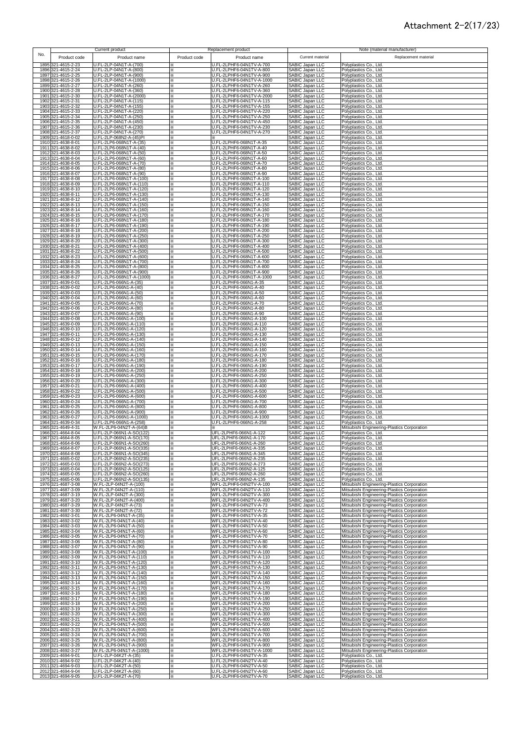#### Attachment 2-2(17/23)

|              |                                          | Current product                                      | Replacement product                                               |                                                                          | Note (material manufacturer)                                                               |
|--------------|------------------------------------------|------------------------------------------------------|-------------------------------------------------------------------|--------------------------------------------------------------------------|--------------------------------------------------------------------------------------------|
| No.          | Product code                             | Product name                                         | Product code<br>Product name                                      | Current material                                                         | Replacement material                                                                       |
|              | 1895 321-4615-2-23                       | U.FL-2LP-04N1T-A-(700)                               | U.FL-2LPHF6-04N1TV-A-700                                          | <b>SABIC Japan LLC</b>                                                   | Polyplastics Co., Ltd.                                                                     |
|              | 1896 321-4615-2-24                       | U.FL-2LP-04N1T-A-(800)<br>U.FL-2LP-04N1T-A-(900)     | U.FL-2LPHF6-04N1TV-A-800<br>⋇                                     | SABIC Japan LLC                                                          | Polyplastics Co., Ltd.                                                                     |
|              | 1897 321-4615-2-25<br>1898 321-4615-2-26 | U.FL-2LP-04N1T-A-(1000)                              | U.FL-2LPHF6-04N1TV-A-900<br>⋇<br>U.FL-2LPHF6-04N1TV-A-1000<br>⋇   | SABIC Japan LLC<br>SABIC Japan LLC                                       | Polyplastics Co., Ltd.<br>Polyplastics Co., Ltd.                                           |
|              | 1899 321-4615-2-27                       | U.FL-2LP-04N1T-A-(260)                               | U.FL-2LPHF6-04N1TV-A-260<br>⋇                                     | SABIC Japan LLC                                                          | Polyplastics Co., Ltd.                                                                     |
|              | 1900 321-4615-2-28<br>1901 321-4615-2-30 | U.FL-2LP-04N1T-A-(360)<br>U.FL-2LP-04N1T-A-(2000)    | U.FL-2LPHF6-04N1TV-A-360<br>×<br>U.FL-2LPHF6-04N1TV-A-2000<br>⋇   | SABIC Japan LLC<br>SABIC Japan LLC                                       | Polyplastics Co., Ltd.<br>Polyplastics Co., Ltd.                                           |
|              | 1902 321-4615-2-31                       | U.FL-2LP-04N1T-A-(115)                               | U.FL-2LPHF6-04N1TV-A-115<br>⋇                                     | SABIC Japan LLC                                                          | Polyplastics Co., Ltd.                                                                     |
|              | 1903 321-4615-2-32<br>1904 321-4615-2-33 | U.FL-2LP-04N1T-A-(155)<br>U.FL-2LP-04N1T-A-(220)     | U.FL-2LPHF6-04N1TV-A-155<br>×<br>U.FL-2LPHF6-04N1TV-A-220<br>×    | SABIC Japan LLC<br>SABIC Japan LLC                                       | Polyplastics Co., Ltd.<br>Polyplastics Co., Ltd.                                           |
|              | 1905 321-4615-2-34                       | U.FL-2LP-04N1T-A-(250)                               | U.FL-2LPHF6-04N1TV-A-250<br>⋇                                     | SABIC Japan LLC                                                          | Polyplastics Co., Ltd.                                                                     |
|              | 1906 321-4615-2-35                       | U.FL-2LP-04N1T-A-(450)                               | J.FL-2LPHF6-04N1TV-A-450<br>⋇                                     | SABIC Japan LLC                                                          | Polyplastics Co., Ltd.                                                                     |
|              | 1907 321-4615-2-36<br>1908 321-4615-2-37 | U.FL-2LP-04N1T-A-(230)<br>U.FL-2LP-04N1T-A-(270)     | J.FL-2LPHF6-04N1TV-A-230<br>U.FL-2LPHF6-04N1TV-A-270<br>×         | SABIC Japan LLC<br>SABIC Japan LLC                                       | Polyplastics Co., Ltd.<br>Polyplastics Co., Ltd.                                           |
|              | 1909 321-4618-0-02                       | U.FL-2LP-068N2-A-(45)PI                              | ⋇                                                                 | SABIC Japan LLC                                                          | Polyplastics Co., Ltd.                                                                     |
|              | 1910 321-4638-8-01<br>1911 321-4638-8-02 | U.FL-2LP6-068N1T-A-(35)<br>U.FL-2LP6-068N1T-A-(40)   | U.FL-2LPHF6-068N1T-A-35<br>U.FL-2LPHF6-068N1T-A-40                | SABIC Japan LLC<br>SABIC Japan LLC<br>SABIC Japan LLC                    | Polyplastics Co., Ltd.<br>Polyplastics Co., Ltd.                                           |
|              | 1912 321-4638-8-03                       | U.FL-2LP6-068N1T-A-(50)                              | U.FL-2LPHF6-068N1T-A-50<br>×                                      |                                                                          | Polyplastics Co., Ltd.                                                                     |
|              | 1913 321-4638-8-04<br>1914 321-4638-8-05 | U.FL-2LP6-068N1T-A-(60)<br>U.FL-2LP6-068N1T-A-(70)   | U.FL-2LPHF6-068N1T-A-60<br>U.FL-2LPHF6-068N1T-A-70                | SABIC Japan LLC<br>SABIC Japan LLC                                       | Polyplastics Co., Ltd.<br>Polyplastics Co., Ltd.                                           |
|              | 1915 321-4638-8-06                       | U.FL-2LP6-068N1T-A-(80)                              | U.FL-2LPHF6-068N1T-A-80<br>⋇                                      | SABIC Japan LLC                                                          | Polyplastics Co., Ltd.                                                                     |
|              | 1916 321-4638-8-07<br>1917 321-4638-8-08 | U.FL-2LP6-068N1T-A-(90)<br>U.FL-2LP6-068N1T-A-(100)  | U.FL-2LPHF6-068N1T-A-90<br>⋇<br>U.FL-2LPHF6-068N1T-A-100<br>⋇     | SABIC Japan LLC<br>SABIC Japan LLC                                       | Polyplastics Co., Ltd.<br>Polyplastics Co., Ltd.                                           |
|              | 1918 321-4638-8-09                       | U.FL-2LP6-068N1T-A-(110)                             | U.FL-2LPHF6-068N1T-A-110<br>⋇                                     | SABIC Japan LLC                                                          | Polyplastics Co., Ltd.                                                                     |
|              | 1919 321-4638-8-10<br>1920 321-4638-8-11 | U.FL-2LP6-068N1T-A-(120)<br>U.FL-2LP6-068N1T-A-(130) | U.FL-2LPHF6-068N1T-A-120<br>×<br>U.FL-2LPHF6-068N1T-A-130<br>×    | SABIC Japan LLC<br>SABIC Japan LLC                                       | Polyplastics Co., Ltd.<br>Polyplastics Co., Ltd.                                           |
|              | 1921 321-4638-8-12                       | U.FL-2LP6-068N1T-A-(140)                             | U.FL-2LPHF6-068N1T-A-140<br>⋇                                     | SABIC Japan LLC                                                          | Polyplastics Co., Ltd.                                                                     |
|              | 1922 321-4638-8-13                       | U.FL-2LP6-068N1T-A-(150)                             | U.FL-2LPHF6-068N1T-A-150<br>፠                                     | SABIC Japan LLC                                                          | Polyplastics Co., Ltd.                                                                     |
|              | 1923 321-4638-8-14<br>1924 321-4638-8-15 | U.FL-2LP6-068N1T-A-(160)<br>U.FL-2LP6-068N1T-A-(170) | U.FL-2LPHF6-068N1T-A-160<br>×.<br>U.FL-2LPHF6-068N1T-A-170<br>×.  | SABIC Japan LLC<br>SABIC Japan LLC                                       | Polyplastics Co., Ltd.<br>Polyplastics Co., Ltd.                                           |
|              | 1925 321-4638-8-16                       | U.FL-2LP6-068N1T-A-(180)                             | U.FL-2LPHF6-068N1T-A-180<br>⋇                                     | SABIC Japan LLC                                                          | Polyplastics Co., Ltd.                                                                     |
|              | 1926 321-4638-8-17<br>1927 321-4638-8-18 | U.FL-2LP6-068N1T-A-(190)<br>U.FL-2LP6-068N1T-A-(200) | U.FL-2LPHF6-068N1T-A-190<br>×.<br>U.FL-2LPHF6-068N1T-A-200<br>⋇   | SABIC Japan LLC<br>SABIC Japan LLC                                       | Polyplastics Co., Ltd.<br>Polyplastics Co., Ltd.                                           |
|              | 1928 321-4638-8-19                       | U.FL-2LP6-068N1T-A-(250)                             | U.FL-2LPHF6-068N1T-A-250<br>⋇                                     | SABIC Japan LLC                                                          | Polyplastics Co., Ltd.                                                                     |
|              | 1929 321-4638-8-20<br>1930 321-4638-8-21 | U.FL-2LP6-068N1T-A-(300)<br>U.FL-2LP6-068N1T-A-(400) | U.FL-2LPHF6-068N1T-A-300<br>⋇<br>U.FL-2LPHF6-068N1T-A-400<br>×    | SABIC Japan LLC<br>SABIC Japan LLC                                       | Polyplastics Co., Ltd.<br>Polyplastics Co., Ltd.                                           |
|              | 1931 321-4638-8-22                       | U.FL-2LP6-068N1T-A-(500)                             | U.FL-2LPHF6-068N1T-A-500<br>⋇                                     | SABIC Japan LLC                                                          | Polyplastics Co., Ltd.                                                                     |
|              | 1932 321-4638-8-23                       | U.FL-2LP6-068N1T-A-(600)                             | U.FL-2LPHF6-068N1T-A-600<br>⋇                                     | SABIC Japan LLC                                                          | Polyplastics Co., Ltd.                                                                     |
|              | 1933 321-4638-8-24<br>1934 321-4638-8-25 | U.FL-2LP6-068N1T-A-(700)<br>U.FL-2LP6-068N1T-A-(800) | U.FL-2LPHF6-068N1T-A-700<br>⋇<br>U.FL-2LPHF6-068N1T-A-800<br>፠    | SABIC Japan LLC<br>SABIC Japan LLC                                       | Polyplastics Co., Ltd.<br>Polyplastics Co., Ltd.                                           |
|              | 1935 321-4638-8-26                       | U.FL-2LP6-068N1T-A-(900)                             | U.FL-2LPHF6-068N1T-A-900<br>⋇                                     | SABIC Japan LLC                                                          | Polyplastics Co., Ltd.                                                                     |
| 1936         | 321-4638-8-27<br>1937 321-4639-0-01      | U.FL-2LP6-068N1T-A-(1000)<br>U.FL-2LP6-066N1-A-(35)  | U.FL-2LPHF6-068N1T-A-1000<br>×<br>U.FL-2LPHF6-066N1-A-35          | SABIC Japan LLC<br>SABIC Japan LLC<br>SABIC Japan LLC<br>SABIC Japan LLC | Polyplastics Co., Ltd.<br>Polyplastics Co., Ltd.                                           |
| 1938         | 321-4639-0-02                            | U.FL-2LP6-066N1-A-(40)                               | U.FL-2LPHF6-066N1-A-40                                            |                                                                          | Polyplastics Co., Ltd.                                                                     |
|              | 1939 321-4639-0-03<br>1940 321-4639-0-04 | U.FL-2LP6-066N1-A-(50)<br>U.FL-2LP6-066N1-A-(60)     | U.FL-2LPHF6-066N1-A-50<br>×.<br>U.FL-2LPHF6-066N1-A-60<br>×.      | SABIC Japan LLC                                                          | Polyplastics Co., Ltd.<br>Polyplastics Co., Ltd.                                           |
| 1941         | 321-4639-0-05                            | U.FL-2LP6-066N1-A-(70)                               | U.FL-2LPHF6-066N1-A-70<br>×.                                      | SABIC Japan LLC                                                          | Polyplastics Co., Ltd.                                                                     |
| 1942<br>1943 | 321-4639-0-06<br>321-4639-0-07           | U.FL-2LP6-066N1-A-(80)<br>U.FL-2LP6-066N1-A-(90)     | U.FL-2LPHF6-066N1-A-80<br>$\times$<br>U.FL-2LPHF6-066N1-A-90<br>⋇ | SABIC Japan LLC<br>SABIC Japan LLC                                       | Polyplastics Co., Ltd.<br>Polyplastics Co., Ltd.                                           |
|              | 1944 321-4639-0-08                       | U.FL-2LP6-066N1-A-(100)                              | U.FL-2LPHF6-066N1-A-100<br>×.                                     | SABIC Japan LLC                                                          | Polyplastics Co., Ltd.                                                                     |
| 1945         | 321-4639-0-09                            | U.FL-2LP6-066N1-A-(110)<br>U.FL-2LP6-066N1-A-(120)   | U.FL-2LPHF6-066N1-A-110<br>⋇                                      | SABIC Japan LLC                                                          | Polyplastics Co., Ltd.                                                                     |
|              | 1946 321-4639-0-10<br>1947 321-4639-0-11 | U.FL-2LP6-066N1-A-(130)                              | U.FL-2LPHF6-066N1-A-120<br>⋇<br>U.FL-2LPHF6-066N1-A-130<br>፠      | SABIC Japan LLC<br>SABIC Japan LLC                                       | Polyplastics Co., Ltd.<br>Polyplastics Co., Ltd.                                           |
|              | 1948 321-4639-0-12                       | U.FL-2LP6-066N1-A-(140)                              | U.FL-2LPHF6-066N1-A-140<br>×.                                     | SABIC Japan LLC                                                          | Polyplastics Co., Ltd.                                                                     |
|              | 1949 321-4639-0-13<br>1950 321-4639-0-14 | U.FL-2LP6-066N1-A-(150)<br>U.FL-2LP6-066N1-A-(160)   | U.FL-2LPHF6-066N1-A-150<br>×<br>U.FL-2LPHF6-066N1-A-160<br>×      | SABIC Japan LLC<br>SABIC Japan LLC                                       | Polyplastics Co., Ltd.<br>Polyplastics Co., Ltd.                                           |
|              | 1951 321-4639-0-15                       | U.FL-2LP6-066N1-A-(170)                              | U.FL-2LPHF6-066N1-A-170<br>×                                      | SABIC Japan LLC                                                          | Polyplastics Co., Ltd.                                                                     |
|              | 1952 321-4639-0-16<br>1953 321-4639-0-17 | U.FL-2LP6-066N1-A-(180)<br>U.FL-2LP6-066N1-A-(190)   | U.FL-2LPHF6-066N1-A-180<br>⋇<br>U.FL-2LPHF6-066N1-A-190<br>×      | SABIC Japan LLC<br>SABIC Japan LLC                                       | Polyplastics Co., Ltd.<br>Polyplastics Co., Ltd.                                           |
|              | 1954 321-4639-0-18                       | U.FL-2LP6-066N1-A-(200)                              | U.FL-2LPHF6-066N1-A-200<br>×                                      | SABIC Japan LLC                                                          | Polyplastics Co., Ltd.                                                                     |
|              | 1955 321-4639-0-19                       | U.FL-2LP6-066N1-A-(250)                              | U.FL-2LPHF6-066N1-A-250<br>$\times$                               | SABIC Japan LLC                                                          | Polyplastics Co., Ltd.                                                                     |
|              | 1956 321-4639-0-20<br>1957 321-4639-0-21 | U.FL-2LP6-066N1-A-(300)<br>U.FL-2LP6-066N1-A-(400)   | J.FL-2LPHF6-066N1-A-300<br>×<br>U.FL-2LPHF6-066N1-A-400<br>×      | SABIC Japan LLC<br>SABIC Japan LLC                                       | Polyplastics Co., Ltd.<br>Polyplastics Co., Ltd.                                           |
|              | 1958 321-4639-0-22                       | U.FL-2LP6-066N1-A-(500)                              | U.FL-2LPHF6-066N1-A-500<br>×                                      | <b>SABIC Japan LLC</b>                                                   | Polyplastics Co., Ltd.                                                                     |
|              | 1959 321-4639-0-23<br>1960 321-4639-0-24 | U.FL-2LP6-066N1-A-(600)<br>U.FL-2LP6-066N1-A-(700)   | U.FL-2LPHF6-066N1-A-600<br>⋇<br>U.FL-2LPHF6-066N1-A-700<br>⋇      | SABIC Japan LLC<br>SABIC Japan LLC                                       | Polyplastics Co., Ltd.<br>Polyplastics Co., Ltd.                                           |
|              | 1961 321-4639-0-25                       | U.FL-2LP6-066N1-A-(800)                              | U.FL-2LPHF6-066N1-A-800                                           | SABIC Japan LLC                                                          | Polyplastics Co., Ltd.                                                                     |
|              | 1962 321-4639-0-26<br>1963 321-4639-0-27 | U.FL-2LP6-066N1-A-(900)<br>U.FL-2LP6-066N1-A-(1000)  | U.FL-2LPHF6-066N1-A-900<br>J.FL-2LPHF6-066N1-A-1000               | SABIC Japan LLC<br>SABIC Japan LLC                                       | Polyplastics Co., Ltd.<br>Polyplastics Co., Ltd.                                           |
|              | 1964 321-4639-0-34                       | U.FL-2LP6-066N1-A-(258)                              | J.FL-2LPHF6-066N1-A-258                                           | SABIC Japan LLC                                                          | Polyplastics Co., Ltd.                                                                     |
|              | 1965 321-4649-4-31<br>1966 321-4664-8-04 | W.FL-2LP6-04N2T-A-(64)B<br>U.FL-2LP-066N1-A-SO(122)  | ⋇<br>UFL-2LPHF6-066N1-A-122<br>⋇                                  | SABIC Japan LLC<br>SABIC Japan LLC                                       | Mitsubishi Engineering-Plastics Corporation<br>Polyplastics Co., Ltd.                      |
|              | 1967 321-4664-8-05                       | U.FL-2LP-066N1-A-SO(170)                             | UFL-2LPHF6-066N1-A-170<br>×.                                      | SABIC Japan LLC                                                          | Polyplastics Co., Ltd.                                                                     |
|              | 1968 321-4664-8-06                       | U.FL-2LP-066N1-A-SO(260)                             | UFL-2LPHF6-066N1-A-260                                            | SABIC Japan LLC                                                          | Polyplastics Co., Ltd.                                                                     |
|              | 1969 321-4664-8-07<br>1970 321-4664-8-08 | U.FL-2LP-066N1-A-SO(335)<br>U.FL-2LP-066N1-A-SO(345) | ×<br>UFL-2LPHF6-066N1-A-335<br>⋇<br>UFL-2LPHF6-066N1-A-345        | SABIC Japan LLC<br><b>SABIC Japan LLC</b>                                | Polyplastics Co., Ltd.<br>Polyplastics Co., Ltd.                                           |
|              | 1971 321-4665-0-02<br>1972 321-4665-0-03 | U.FL-2LP-066N2-A-SO(235)                             | UFL-2LPHF6-066N2-A-235<br>⋇                                       | SABIC Japan LLC                                                          | Polyplastics Co., Ltd.<br>Polyplastics Co., Ltd.                                           |
|              | 1973 321-4665-0-04                       | U.FL-2LP-066N2-A-SO(273)<br>U.FL-2LP-066N2-A-SO(125) | UFL-2LPHF6-066N2-A-273<br>X.<br>UFL-2LPHF6-066N2-A-125<br>⋇       | SABIC Japan LLC<br>SABIC Japan LLC                                       | Polyplastics Co., Ltd.                                                                     |
|              | 1974 321-4665-0-05                       | U.FL-2LP-066N2-A-SO(260)                             | UFL-2LPHF6-066N2-A-260<br>⋇                                       | SABIC Japan LLC                                                          | Polyplastics Co., Ltd.                                                                     |
|              | 1975 321-4665-0-06<br>1976 321-4687-3-08 | U.FL-2LP-066N2-A-SO(135)<br>W.FL-2LP-04N2T-A-(100)   | ×.<br>UFL-2LPHF6-066N2-A-135<br>WFL-2LPHF6-04N2TV-A-100<br>⋇      | SABIC Japan LLC<br>SABIC Japan LLC                                       | Polyplastics Co., Ltd.<br>Mitsubishi Engineering-Plastics Corporation                      |
|              | 1977 321-4687-3-09                       | W.FL-2LP-04N2T-A-(110)                               | WFL-2LPHF6-04N2TV-A-110<br>⋇                                      | <b>SABIC Japan LLC</b>                                                   | Mitsubishi Engineering-Plastics Corporation                                                |
|              | 1978 321-4687-3-19<br>1979 321-4687-3-20 | W.FL-2LP-04N2T-A-(300)<br>W.FL-2LP-04N2T-A-(400)     | WFL-2LPHF6-04N2TV-A-300<br>⋇<br>WFL-2LPHF6-04N2TV-A-400<br>⋇      | SABIC Japan LLC<br>SABIC Japan LLC                                       | Mitsubishi Engineering-Plastics Corporation<br>Mitsubishi Engineering-Plastics Corporation |
|              | 1980 321-4687-3-29                       | W.FL-2LP-04N2T-A-(73)                                | WFL-2LPHF6-04N2TV-A-73<br>×                                       | SABIC Japan LLC                                                          | Mitsubishi Engineering-Plastics Corporation                                                |
|              | 1981 321-4687-3-30<br>1982 321-4692-3-01 | W.FL-2LP-04N2T-A-(72)<br>W.FL-2LP6-04N1T-A-(35)      | WFL-2LPHF6-04N2TV-A-72<br>⋇<br>WFL-2LPHF6-04N1TV-A-35<br>⋇        | SABIC Japan LLC<br>SABIC Japan LLC                                       | Mitsubishi Engineering-Plastics Corporation<br>Mitsubishi Engineering-Plastics Corporation |
|              | 1983 321-4692-3-02                       | W.FL-2LP6-04N1T-A-(40)                               | WFL-2LPHF6-04N1TV-A-40                                            | SABIC Japan LLC                                                          | Mitsubishi Engineering-Plastics Corporation                                                |
|              | 1984 321-4692-3-03<br>1985 321-4692-3-04 | W.FL-2LP6-04N1T-A-(50)<br>W.FL-2LP6-04N1T-A-(60)     | WFL-2LPHF6-04N1TV-A-50<br>×<br>WFL-2LPHF6-04N1TV-A-60<br>⋇        | SABIC Japan LLC<br>SABIC Japan LLC                                       | Mitsubishi Engineering-Plastics Corporation<br>Mitsubishi Engineering-Plastics Corporation |
|              | 1986 321-4692-3-05                       | W.FL-2LP6-04N1T-A-(70)                               | WFL-2LPHF6-04N1TV-A-70<br>፠                                       | SABIC Japan LLC                                                          | Mitsubishi Engineering-Plastics Corporation                                                |
|              | 1987 321-4692-3-06<br>1988 321-4692-3-07 | W.FL-2LP6-04N1T-A-(80)<br>W.FL-2LP6-04N1T-A-(90)     | WFL-2LPHF6-04N1TV-A-80<br>×<br>WFL-2LPHF6-04N1TV-A-90<br>⋇        | SABIC Japan LLC<br>SABIC Japan LLC                                       | Mitsubishi Engineering-Plastics Corporation<br>Mitsubishi Engineering-Plastics Corporation |
| 1989         | 321-4692-3-08                            | W.FL-2LP6-04N1T-A-(100)                              | WFL-2LPHF6-04N1TV-A-100<br>×                                      | SABIC Japan LLC                                                          | Mitsubishi Engineering-Plastics Corporation                                                |
|              | 1990 321-4692-3-09<br>1991 321-4692-3-10 | W.FL-2LP6-04N1T-A-(110)<br>W.FL-2LP6-04N1T-A-(120)   | WFL-2LPHF6-04N1TV-A-110<br>WFL-2LPHF6-04N1TV-A-120                | SABIC Japan LLC<br>SABIC Japan LLC                                       | Mitsubishi Engineering-Plastics Corporation                                                |
|              | 1992 321-4692-3-11                       | W.FL-2LP6-04N1T-A-(130)                              | ⋇<br>WFL-2LPHF6-04N1TV-A-130<br>፠                                 | SABIC Japan LLC                                                          | Mitsubishi Engineering-Plastics Corporation<br>Mitsubishi Engineering-Plastics Corporation |
|              | 1993 321-4692-3-12                       | W.FL-2LP6-04N1T-A-(140)<br>W.FL-2LP6-04N1T-A-(150)   | WFL-2LPHF6-04N1TV-A-140<br>×<br>⋇                                 | <b>SABIC Japan LLC</b><br>SABIC Japan LLC                                | Mitsubishi Engineering-Plastics Corporation                                                |
|              | 1994 321-4692-3-13<br>1995 321-4692-3-14 | W.FL-2LP6-04N1T-A-(160)                              | WFL-2LPHF6-04N1TV-A-150<br>⋇<br>WFL-2LPHF6-04N1TV-A-160           | SABIC Japan LLC                                                          | Mitsubishi Engineering-Plastics Corporation<br>Mitsubishi Engineering-Plastics Corporation |
|              | 1996 321-4692-3-15                       | W.FL-2LP6-04N1T-A-(170)                              | WFL-2LPHF6-04N1TV-A-170<br>⋇                                      | SABIC Japan LLC                                                          | Mitsubishi Engineering-Plastics Corporation                                                |
|              | 1997 321-4692-3-16<br>1998 321-4692-3-17 | W.FL-2LP6-04N1T-A-(180)<br>W.FL-2LP6-04N1T-A-(190)   | WFL-2LPHF6-04N1TV-A-180<br>፠<br>WFL-2LPHF6-04N1TV-A-190<br>⋇      | SABIC Japan LLC<br>SABIC Japan LLC                                       | Mitsubishi Engineering-Plastics Corporation<br>Mitsubishi Engineering-Plastics Corporation |
|              | 1999 321-4692-3-18                       | W.FL-2LP6-04N1T-A-(200)                              | WFL-2LPHF6-04N1TV-A-200<br>×.                                     | SABIC Japan LLC                                                          | Mitsubishi Engineering-Plastics Corporation                                                |
|              | 2000 321-4692-3-19<br>2001 321-4692-3-20 | W.FL-2LP6-04N1T-A-(250)<br>W.FL-2LP6-04N1T-A-(300)   | ⋇<br>WFL-2LPHF6-04N1TV-A-250<br>⋇<br>WFL-2LPHF6-04N1TV-A-300      | SABIC Japan LLC<br>SABIC Japan LLC                                       | Mitsubishi Engineering-Plastics Corporation<br>Mitsubishi Engineering-Plastics Corporation |
|              | 2002 321-4692-3-21                       | W.FL-2LP6-04N1T-A-(400)                              | WFL-2LPHF6-04N1TV-A-400<br>×.                                     | SABIC Japan LLC                                                          | Mitsubishi Engineering-Plastics Corporation                                                |
|              | 2003 321-4692-3-22<br>2004 321-4692-3-23 | W.FL-2LP6-04N1T-A-(500)<br>W.FL-2LP6-04N1T-A-(600)   | WFL-2LPHF6-04N1TV-A-500<br>×<br>WFL-2LPHF6-04N1TV-A-600<br>×      | SABIC Japan LLC<br>SABIC Japan LLC                                       | Mitsubishi Engineering-Plastics Corporation<br>Mitsubishi Engineering-Plastics Corporation |
|              | 2005 321-4692-3-24                       | W.FL-2LP6-04N1T-A-(700)                              | WFL-2LPHF6-04N1TV-A-700<br>×                                      | SABIC Japan LLC                                                          | Mitsubishi Engineering-Plastics Corporation                                                |
|              | 2006 321-4692-3-25<br>2007 321-4692-3-26 | W.FL-2LP6-04N1T-A-(800)<br>W.FL-2LP6-04N1T-A-(900)   | WFL-2LPHF6-04N1TV-A-800<br>×<br>WFL-2LPHF6-04N1TV-A-900<br>×      | SABIC Japan LLC<br>SABIC Japan LLC                                       | Mitsubishi Engineering-Plastics Corporation<br>Mitsubishi Engineering-Plastics Corporation |
|              | 2008 321-4692-3-27                       | W.FL-2LP6-04N1T-A-(1000)                             | WFL-2LPHF6-04N1TV-A-1000<br>×                                     | SABIC Japan LLC                                                          | Mitsubishi Engineering-Plastics Corporation                                                |
|              | 2009 321-4694-9-01                       | U.FL-2LP-04K2T-A-(35)                                | U.FL-2LPHF6-04N2TV-A-35<br>×.                                     | SABIC Japan LLC                                                          | Polyplastics Co., Ltd.                                                                     |
|              | 2010 321-4694-9-02<br>2011 321-4694-9-03 | U.FL-2LP-04K2T-A-(40)<br>U.FL-2LP-04K2T-A-(50)       | U.FL-2LPHF6-04N2TV-A-40<br>×.<br>U.FL-2LPHF6-04N2TV-A-50<br>⋇     | SABIC Japan LLC<br>SABIC Japan LLC                                       | Polyplastics Co., Ltd.<br>Polyplastics Co., Ltd.                                           |
|              | 2012 321-4694-9-04                       | U.FL-2LP-04K2T-A-(60)                                | U.FL-2LPHF6-04N2TV-A-60                                           | SABIC Japan LLC                                                          | Polyplastics Co., Ltd.                                                                     |
|              | 2013 321-4694-9-05                       | U.FL-2LP-04K2T-A-(70)                                | U.FL-2LPHF6-04N2TV-A-70                                           | SABIC Japan LLC                                                          | Polyplastics Co., Ltd.                                                                     |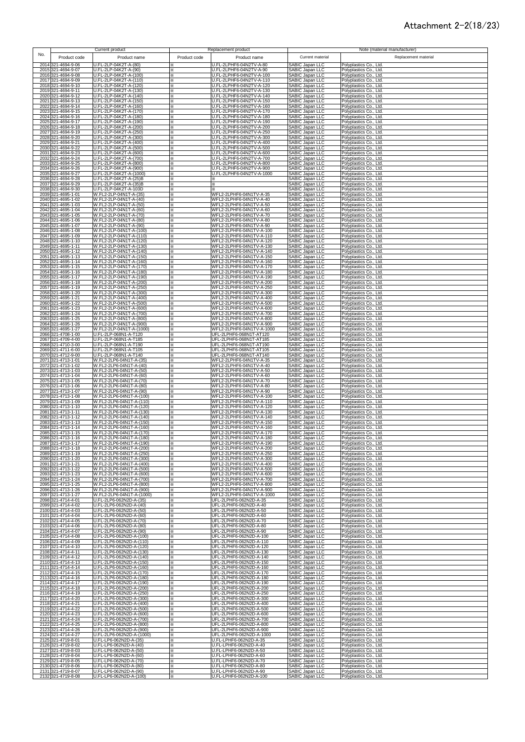#### Attachment 2-2(18/23)

|      |                                          | Current product                                      | Replacement product                                              |                                                  | Note (material manufacturer)                     |
|------|------------------------------------------|------------------------------------------------------|------------------------------------------------------------------|--------------------------------------------------|--------------------------------------------------|
| No.  | Product code                             | Product name                                         | Product code<br>Product name                                     | Current material                                 | Replacement material                             |
|      | 2014 321-4694-9-06                       | U.FL-2LP-04K2T-A-(80)                                | J.FL-2LPHF6-04N2TV-A-80                                          | SABIC Japan LLC                                  | Polyplastics Co., Ltd.                           |
|      | 2015 321-4694-9-07                       | U.FL-2LP-04K2T-A-(90)                                | J.FL-2LPHF6-04N2TV-A-90                                          | SABIC Japan LLC                                  | Polyplastics Co., Ltd.                           |
|      | 2016 321-4694-9-08<br>2017 321-4694-9-09 | U.FL-2LP-04K2T-A-(100)<br>U.FL-2LP-04K2T-A-(110)     | U.FL-2LPHF6-04N2TV-A-100<br>×<br>U.FL-2LPHF6-04N2TV-A-110<br>×   | SABIC Japan LLC<br>SABIC Japan LLC               | Polyplastics Co., Ltd.<br>Polyplastics Co., Ltd. |
|      | 2018 321-4694-9-10<br>2019 321-4694-9-11 | U.FL-2LP-04K2T-A-(120)                               | U.FL-2LPHF6-04N2TV-A-120<br>×.                                   | SABIC Japan LLC                                  | Polyplastics Co., Ltd.                           |
| 2020 | 321-4694-9-12                            | U.FL-2LP-04K2T-A-(130)<br>U.FL-2LP-04K2T-A-(140)     | U.FL-2LPHF6-04N2TV-A-130<br>⋇<br>U.FL-2LPHF6-04N2TV-A-140<br>×   | SABIC Japan LLC<br>SABIC Japan LLC               | Polyplastics Co., Ltd.<br>Polyplastics Co., Ltd. |
|      | 2021 321-4694-9-13                       | U.FL-2LP-04K2T-A-(150)                               | U.FL-2LPHF6-04N2TV-A-150<br>×                                    | SABIC Japan LLC                                  | Polyplastics Co., Ltd.                           |
| 2022 | 321-4694-9-14<br>2023 321-4694-9-15      | U.FL-2LP-04K2T-A-(160)<br>U.FL-2LP-04K2T-A-(170)     | U.FL-2LPHF6-04N2TV-A-160<br>J.FL-2LPHF6-04N2TV-A-170             | SABIC Japan LLC<br>SABIC Japan LLC               | Polyplastics Co., Ltd.<br>Polyplastics Co., Ltd. |
|      | 2024 321-4694-9-16                       | U.FL-2LP-04K2T-A-(180)                               | U.FL-2LPHF6-04N2TV-A-180<br>×                                    | SABIC Japan LLC                                  | Polyplastics Co., Ltd.                           |
|      | 2025 321-4694-9-17<br>2026 321-4694-9-18 | U.FL-2LP-04K2T-A-(190)<br>U.FL-2LP-04K2T-A-(200)     | U.FL-2LPHF6-04N2TV-A-190<br>⋇<br>U.FL-2LPHF6-04N2TV-A-200<br>×.  | SABIC Japan LLC<br>SABIC Japan LLC               | Polyplastics Co., Ltd.<br>Polyplastics Co., Ltd. |
| 2027 | 321-4694-9-19                            | U.FL-2LP-04K2T-A-(250)                               | U.FL-2LPHF6-04N2TV-A-250<br>×                                    | SABIC Japan LLC                                  | Polyplastics Co., Ltd.                           |
| 2028 | 321-4694-9-20                            | U.FL-2LP-04K2T-A-(300)<br>U.FL-2LP-04K2T-A-(400)     | U.FL-2LPHF6-04N2TV-A-300<br>×                                    | SABIC Japan LLC<br><b>SABIC Japan LLC</b>        | Polyplastics Co., Ltd.                           |
|      | 2029 321-4694-9-21<br>2030 321-4694-9-22 | U.FL-2LP-04K2T-A-(500)                               | U.FL-2LPHF6-04N2TV-A-400<br>U.FL-2LPHF6-04N2TV-A-500<br>$\times$ | SABIC Japan LLC                                  | Polyplastics Co., Ltd.<br>Polyplastics Co., Ltd. |
|      | 2031 321-4694-9-23                       | U.FL-2LP-04K2T-A-(600)                               | U.FL-2LPHF6-04N2TV-A-600<br>፠<br>U.FL-2LPHF6-04N2TV-A-700        | SABIC Japan LLC                                  | Polyplastics Co., Ltd.                           |
|      | 2032 321-4694-9-24<br>2033 321-4694-9-25 | U.FL-2LP-04K2T-A-(700)<br>U.FL-2LP-04K2T-A-(800)     | ፠<br>U.FL-2LPHF6-04N2TV-A-800<br>×.                              | SABIC Japan LLC<br>SABIC Japan LLC               | Polyplastics Co., Ltd.<br>Polyplastics Co., Ltd. |
|      | 2034 321-4694-9-26                       | U.FL-2LP-04K2T-A-(900)                               | U.FL-2LPHF6-04N2TV-A-900<br>×.                                   | SABIC Japan LLC                                  | Polyplastics Co., Ltd.                           |
|      | 2035 321-4694-9-27<br>2036 321-4694-9-28 | U.FL-2LP-04K2T-A-(1000)<br>U.FL-2LP-04K2T-A-(25)B    | U.FL-2LPHF6-04N2TV-A-1000<br>⋇<br>⋇                              | SABIC Japan LLC<br>SABIC Japan LLC               | Polyplastics Co., Ltd.<br>Polyplastics Co., Ltd. |
|      | 2037 321-4694-9-29                       | U.FL-2LP-04K2T-A-(35)B                               | ⋇<br>×                                                           | SABIC Japan LLC                                  | Polyplastics Co., Ltd.                           |
|      | 2038 321-4694-9-30<br>2039 321-4695-1-01 | U.FL-2LP-04K2T-A-103D<br>W.FL2-2LP-04N1T-A-(35)      | ⋇<br>WFL2-2LPHF6-04N1TV-A-35<br>$\times$                         | SABIC Japan LLC<br>SABIC Japan LLC               | Polyplastics Co., Ltd.<br>Polyplastics Co., Ltd. |
|      | 2040 321-4695-1-02                       | W.FL2-2LP-04N1T-A-(40)                               | WFL2-2LPHF6-04N1TV-A-40<br>×                                     | SABIC Japan LLC                                  | Polyplastics Co., Ltd.                           |
|      | 2041 321-4695-1-03<br>2042 321-4695-1-04 | W.FL2-2LP-04N1T-A-(50)<br>W.FL2-2LP-04N1T-A-(60)     | WFL2-2LPHF6-04N1TV-A-50<br>⋇<br>WFL2-2LPHF6-04N1TV-A-60          | SABIC Japan LLC<br>SABIC Japan LLC               | Polyplastics Co., Ltd.<br>Polyplastics Co., Ltd. |
|      | 2043 321-4695-1-05                       | W.FL2-2LP-04N1T-A-(70)                               | WFL2-2LPHF6-04N1TV-A-70<br>×                                     | SABIC Japan LLC                                  | Polyplastics Co., Ltd.                           |
|      | 2044 321-4695-1-06<br>2045 321-4695-1-07 | W.FL2-2LP-04N1T-A-(80)<br>W.FL2-2LP-04N1T-A-(90)     | WFL2-2LPHF6-04N1TV-A-80<br>×<br>WFL2-2LPHF6-04N1TV-A-90          | SABIC Japan LLC<br>SABIC Japan LLC               | Polyplastics Co., Ltd.<br>Polyplastics Co., Ltd. |
|      | 2046 321-4695-1-08                       | W.FL2-2LP-04N1T-A-(100)                              | WFL2-2LPHF6-04N1TV-A-100                                         | SABIC Japan LLC                                  | Polyplastics Co., Ltd.                           |
| 2048 | 2047 321-4695-1-09<br>321-4695-1-10      | W.FL2-2LP-04N1T-A-(110)<br>W.FL2-2LP-04N1T-A-(120)   | WFL2-2LPHF6-04N1TV-A-110<br>WFL2-2LPHF6-04N1TV-A-120             | SABIC Japan LLC<br>SABIC Japan LLC               | Polyplastics Co., Ltd.<br>Polyplastics Co., Ltd. |
|      | 2049 321-4695-1-11                       | W.FL2-2LP-04N1T-A-(130)                              | WFL2-2LPHF6-04N1TV-A-130<br>×.                                   | <b>SABIC Japan LLC</b>                           | Polyplastics Co., Ltd.                           |
|      | 2050 321-4695-1-12<br>2051 321-4695-1-13 | W.FL2-2LP-04N1T-A-(140)<br>W.FL2-2LP-04N1T-A-(150)   | WFL2-2LPHF6-04N1TV-A-140<br>⋇<br>WFL2-2LPHF6-04N1TV-A-150        | <b>SABIC Japan LLC</b><br>SABIC Japan LLC        | Polyplastics Co., Ltd.<br>Polyplastics Co., Ltd. |
| 2052 | 321-4695-1-14                            | W.FL2-2LP-04N1T-A-(160)                              | ⋇<br>WFL2-2LPHF6-04N1TV-A-160<br>⋇                               | SABIC Japan LLC                                  | Polyplastics Co., Ltd.                           |
|      | 2053 321-4695-1-15<br>2054 321-4695-1-16 | W.FL2-2LP-04N1T-A-(170)<br>W.FL2-2LP-04N1T-A-(180)   | WFL2-2LPHF6-04N1TV-A-170<br>⋇<br>WFL2-2LPHF6-04N1TV-A-180        | SABIC Japan LLC<br>SABIC Japan LLC               | Polyplastics Co., Ltd.                           |
|      | 2055 321-4695-1-17                       | W.FL2-2LP-04N1T-A-(190)                              | ⋇<br>WFL2-2LPHF6-04N1TV-A-190<br>×.                              | <b>SABIC Japan LLC</b>                           | Polyplastics Co., Ltd.<br>Polyplastics Co., Ltd. |
|      | 2056 321-4695-1-18<br>2057 321-4695-1-19 | W.FL2-2LP-04N1T-A-(200)<br>W.FL2-2LP-04N1T-A-(250)   | WFL2-2LPHF6-04N1TV-A-200<br>⋇<br>WFL2-2LPHF6-04N1TV-A-250        | SABIC Japan LLC<br>SABIC Japan LLC               | Polyplastics Co., Ltd.                           |
|      | 2058 321-4695-1-20                       | W.FL2-2LP-04N1T-A-(300)                              | ⋇<br>WFL2-2LPHF6-04N1TV-A-300<br>⋇                               | SABIC Japan LLC                                  | Polyplastics Co., Ltd.<br>Polyplastics Co., Ltd. |
|      | 2059 321-4695-1-21                       | W.FL2-2LP-04N1T-A-(400)                              | WFL2-2LPHF6-04N1TV-A-400<br>⋇                                    | SABIC Japan LLC                                  | Polyplastics Co., Ltd.                           |
|      | 2060 321-4695-1-22<br>2061 321-4695-1-23 | W.FL2-2LP-04N1T-A-(500)<br>W.FL2-2LP-04N1T-A-(600)   | WFL2-2LPHF6-04N1TV-A-500<br>⋇<br>WFL2-2LPHF6-04N1TV-A-600<br>×.  | SABIC Japan LLC<br>SABIC Japan LLC               | Polyplastics Co., Ltd.<br>Polyplastics Co., Ltd. |
|      | 2062 321-4695-1-24                       | W.FL2-2LP-04N1T-A-(700)                              | WFL2-2LPHF6-04N1TV-A-700<br>×                                    | SABIC Japan LLC                                  | Polyplastics Co., Ltd.                           |
|      | 2063 321-4695-1-25<br>2064 321-4695-1-26 | W.FL2-2LP-04N1T-A-(800)<br>W.FL2-2LP-04N1T-A-(900)   | WFL2-2LPHF6-04N1TV-A-800<br>⋇<br>WFL2-2LPHF6-04N1TV-A-900<br>×   | SABIC Japan LLC<br>SABIC Japan LLC               | Polyplastics Co., Ltd.<br>Polyplastics Co., Ltd. |
|      | 2065 321-4695-1-27                       | W.FL2-2LP-04N1T-A-(1000)                             | WFL2-2LPHF6-04N1TV-A-1000<br>$\times$                            | SABIC Japan LLC                                  | Polyplastics Co., Ltd.                           |
|      | 2066 321-4708-1-00<br>2067 321-4709-4-00 | U.FL-2LP-068N1-A-T120<br>U.FL-2LP-068N1-A-T185       | UFL-2LPHF6-068N1T-AT120<br>×<br>UFL-2LPHF6-068N1T-AT185<br>⋇     | SABIC Japan LLC<br>SABIC Japan LLC               | Polyplastics Co., Ltd.<br>Polyplastics Co., Ltd. |
|      | 2068 321-4710-3-00                       | U.FL-2LP-068N1-A-T190                                | UFL-2LPHF6-068N1T-AT190<br>×.                                    | SABIC Japan LLC                                  | Polyplastics Co., Ltd.                           |
|      | 2069 321-4711-6-00<br>2070 321-4712-9-00 | U.FL-2LP-068N1-A-T105<br>U.FL-2LP-068N1-A-T140       | UFL-2LPHF6-068N1T-AT105<br>×.<br>UFL-2LPHF6-068N1T-AT140<br>×    | SABIC Japan LLC<br>SABIC Japan LLC               | Polyplastics Co., Ltd.<br>Polyplastics Co., Ltd. |
|      | 2071 321-4713-1-01                       | W.FL2-2LP6-04N1T-A-(35)                              | WFL2-2LPHF6-04N1TV-A-35                                          | SABIC Japan LLC                                  | Polyplastics Co., Ltd.                           |
|      | 2072 321-4713-1-02<br>2073 321-4713-1-03 | W.FL2-2LP6-04N1T-A-(40)<br>W.FL2-2LP6-04N1T-A-(50)   | WFL2-2LPHF6-04N1TV-A-40<br>WFL2-2LPHF6-04N1TV-A-50               | SABIC Japan LLC<br>SABIC Japan LLC               | Polyplastics Co., Ltd.                           |
|      | 2074 321-4713-1-04                       | W.FL2-2LP6-04N1T-A-(60)                              | WFL2-2LPHF6-04N1TV-A-60<br>×                                     | SABIC Japan LLC                                  | Polyplastics Co., Ltd.<br>Polyplastics Co., Ltd. |
|      | 2075 321-4713-1-05<br>2076 321-4713-1-06 | W.FL2-2LP6-04N1T-A-(70)<br>W.FL2-2LP6-04N1T-A-(80)   | WFL2-2LPHF6-04N1TV-A-70<br>×.<br>WFL2-2LPHF6-04N1TV-A-80         | SABIC Japan LLC<br>SABIC Japan LLC               | Polyplastics Co., Ltd.                           |
| 2077 | 321-4713-1-07                            | W.FL2-2LP6-04N1T-A-(90)                              | ×<br>WFL2-2LPHF6-04N1TV-A-90<br>$\times$                         | SABIC Japan LLC                                  | Polyplastics Co., Ltd.<br>Polyplastics Co., Ltd. |
| 2078 | 321-4713-1-08                            | W.FL2-2LP6-04N1T-A-(100)                             | WFL2-2LPHF6-04N1TV-A-100<br>×                                    | SABIC Japan LLC                                  | Polyplastics Co., Ltd.                           |
| 2080 | 2079 321-4713-1-09<br>321-4713-1-10      | W.FL2-2LP6-04N1T-A-(110)<br>W.FL2-2LP6-04N1T-A-(120) | WFL2-2LPHF6-04N1TV-A-110<br>⋇<br>WFL2-2LPHF6-04N1TV-A-120<br>×   | SABIC Japan LLC<br>SABIC Japan LLC               | Polyplastics Co., Ltd.<br>Polyplastics Co., Ltd. |
|      | 2081 321-4713-1-11                       | W.FL2-2LP6-04N1T-A-(130)                             | WFL2-2LPHF6-04N1TV-A-130<br>×.                                   | SABIC Japan LLC                                  | Polyplastics Co., Ltd.                           |
| 2083 | 2082 321-4713-1-12<br>321-4713-1-13      | W.FL2-2LP6-04N1T-A-(140)<br>W.FL2-2LP6-04N1T-A-(150) | WFL2-2LPHF6-04N1TV-A-140<br>፠<br>WFL2-2LPHF6-04N1TV-A-150<br>×.  | SABIC Japan LLC<br>SABIC Japan LLC               | Polyplastics Co., Ltd.<br>Polyplastics Co., Ltd. |
|      | 2084 321-4713-1-14                       | W.FL2-2LP6-04N1T-A-(160)                             | WFL2-2LPHF6-04N1TV-A-160<br>⋇                                    | SABIC Japan LLC                                  | Polyplastics Co., Ltd.                           |
|      | 2085 321-4713-1-15<br>2086 321-4713-1-16 | W.FL2-2LP6-04N1T-A-(170)<br>W.FL2-2LP6-04N1T-A-(180) | WFL2-2LPHF6-04N1TV-A-170<br>⋇<br>WFL2-2LPHF6-04N1TV-A-180        | SABIC Japan LLC<br>SABIC Japan LLC               | Polyplastics Co., Ltd.<br>Polyplastics Co., Ltd. |
|      | 2087 321-4713-1-17                       | W.FL2-2LP6-04N1T-A-(190)                             | WFL2-2LPHF6-04N1TV-A-190                                         | SABIC Japan LLC                                  | Polvplastics Co., Ltd.                           |
|      | 2088 321-4713-1-18<br>2089 321-4713-1-19 | W.FL2-2LP6-04N1T-A-(200)<br>W.FL2-2LP6-04N1T-A-(250) | WFL2-2LPHF6-04N1TV-A-200<br>×<br>WFL2-2LPHF6-04N1TV-A-250<br>×   | SABIC Japan LLC<br>SABIC Japan LLC               | Polyplastics Co., Ltd.<br>Polyplastics Co., Ltd. |
|      | 2090 321-4713-1-20                       | W.FL2-2LP6-04N1T-A-(300)                             | WFL2-2LPHF6-04N1TV-A-300<br>×                                    | SABIC Japan LLC                                  | Polyplastics Co., Ltd.                           |
|      | 2091 321-4713-1-21<br>2092 321-4713-1-22 | W.FL2-2LP6-04N1T-A-(400)<br>W.FL2-2LP6-04N1T-A-(500) | WFL2-2LPHF6-04N1TV-A-400<br>⋇<br>WFL2-2LPHF6-04N1TV-A-500<br>⋇   | SABIC Japan LLC<br>SABIC Japan LLC               | Polyplastics Co., Ltd.<br>Polyplastics Co., Ltd. |
|      | 2093 321-4713-1-23                       | W.FL2-2LP6-04N1T-A-(600)                             | WFL2-2LPHF6-04N1TV-A-600<br>×.                                   | SABIC Japan LLC                                  | Polyplastics Co., Ltd.                           |
|      | 2094 321-4713-1-24<br>2095 321-4713-1-25 | W.FL2-2LP6-04N1T-A-(700)<br>W.FL2-2LP6-04N1T-A-(800) | WFL2-2LPHF6-04N1TV-A-700<br>⋇<br>WFL2-2LPHF6-04N1TV-A-800<br>⋇   | SABIC Japan LLC<br>SABIC Japan LLC               | Polyplastics Co., Ltd.<br>Polyplastics Co., Ltd. |
| 2096 | 321-4713-1-26                            | W.FL2-2LP6-04N1T-A-(900)                             | WFL2-2LPHF6-04N1TV-A-900<br>⋇                                    | SABIC Japan LLC<br>SABIC Japan LLC               | Polyplastics Co., Ltd.                           |
| 2098 | 2097 321-4713-1-27<br>321-4714-4-01      | W.FL2-2LP6-04N1T-A-(1000)<br>U.FL-2LP6-062N2D-A-(35) | WFL2-2LPHF6-04N1TV-A-1000<br>×.<br>UFL-2LPHF6-062N2D-A-35        | SABIC Japan LLC                                  | Polyplastics Co., Ltd.<br>Polyplastics Co., Ltd. |
|      | 2099 321-4714-4-02                       | U.FL-2LP6-062N2D-A-(40)                              | UFL-2LPHF6-062N2D-A-40                                           | SABIC Japan LLC                                  | Polyplastics Co., Ltd.                           |
|      | 2100 321-4714-4-03<br>2101 321-4714-4-04 | U.FL-2LP6-062N2D-A-(50)<br>U.FL-2LP6-062N2D-A-(60)   | UFL-2LPHF6-062N2D-A-50<br>⋇<br>UFL-2LPHF6-062N2D-A-60<br>⋇       | SABIC Japan LLC<br>SABIC Japan LLC               | Polyplastics Co., Ltd.<br>Polyplastics Co., Ltd. |
|      | 2102 321-4714-4-05                       | U.FL-2LP6-062N2D-A-(70)                              | UFL-2LPHF6-062N2D-A-70<br>×                                      | SABIC Japan LLC                                  | Polyplastics Co., Ltd.                           |
|      | 2103 321-4714-4-06<br>2104 321-4714-4-07 | U.FL-2LP6-062N2D-A-(80)<br>U.FL-2LP6-062N2D-A-(90)   | ⋇<br>UFL-2LPHF6-062N2D-A-80<br>⋇<br>UFL-2LPHF6-062N2D-A-90       | SABIC Japan LLC<br>SABIC Japan LLC               | Polyplastics Co., Ltd.<br>Polyplastics Co., Ltd. |
|      | 2105 321-4714-4-08                       | U.FL-2LP6-062N2D-A-(100)                             | UFL-2LPHF6-062N2D-A-100<br>⋇                                     | <b>SABIC Japan LLC</b>                           | Polyplastics Co., Ltd.                           |
|      | 2106 321-4714-4-09<br>2107 321-4714-4-10 | U.FL-2LP6-062N2D-A-(110)<br>U.FL-2LP6-062N2D-A-(120) | UFL-2LPHF6-062N2D-A-110<br>⋇<br>UFL-2LPHF6-062N2D-A-120<br>⋇     | <b>SABIC Japan LLC</b><br>SABIC Japan LLC        | Polyplastics Co., Ltd.<br>Polyplastics Co., Ltd. |
|      | 2108 321-4714-4-11                       | U.FL-2LP6-062N2D-A-(130)                             | UFL-2LPHF6-062N2D-A-130<br>⋇                                     | SABIC Japan LLC                                  | Polyplastics Co., Ltd.                           |
|      | 2109 321-4714-4-12<br>2110 321-4714-4-13 | U.FL-2LP6-062N2D-A-(140)<br>U.FL-2LP6-062N2D-A-(150) | ⋇<br>UFL-2LPHF6-062N2D-A-140<br>UFL-2LPHF6-062N2D-A-150<br>⋇     | SABIC Japan LLC<br>SABIC Japan LLC               | Polyplastics Co., Ltd.<br>Polyplastics Co., Ltd. |
|      | 2111 321-4714-4-14                       | U.FL-2LP6-062N2D-A-(160)                             | UFL-2LPHF6-062N2D-A-160<br>⋇                                     | SABIC Japan LLC                                  | Polyplastics Co., Ltd.                           |
|      | 2112 321-4714-4-15<br>2113 321-4714-4-16 | U.FL-2LP6-062N2D-A-(170)<br>U.FL-2LP6-062N2D-A-(180) | UFL-2LPHF6-062N2D-A-170<br>×<br>UFL-2LPHF6-062N2D-A-180<br>×     | SABIC Japan LLC<br><b>SABIC Japan LLC</b>        | Polyplastics Co., Ltd.<br>Polyplastics Co., Ltd. |
|      | 2114 321-4714-4-17                       | U.FL-2LP6-062N2D-A-(190)                             | UFL-2LPHF6-062N2D-A-190<br>×                                     | SABIC Japan LLC                                  | Polyplastics Co., Ltd.                           |
|      | 2115 321-4714-4-18<br>2116 321-4714-4-19 | U.FL-2LP6-062N2D-A-(200)<br>U.FL-2LP6-062N2D-A-(250) | UFL-2LPHF6-062N2D-A-200<br>×<br>UFL-2LPHF6-062N2D-A-250          | SABIC Japan LLC<br>SABIC Japan LLC               | Polyplastics Co., Ltd.<br>Polyplastics Co., Ltd. |
|      | 2117 321-4714-4-20                       | U.FL-2LP6-062N2D-A-(300)                             | ×<br>UFL-2LPHF6-062N2D-A-300<br>⋇                                | SABIC Japan LLC                                  | Polyplastics Co., Ltd.                           |
|      | 2118 321-4714-4-21<br>2119 321-4714-4-22 | U.FL-2LP6-062N2D-A-(400)<br>U.FL-2LP6-062N2D-A-(500) | UFL-2LPHF6-062N2D-A-400<br>X.<br>UFL-2LPHF6-062N2D-A-500<br>⋇    | SABIC Japan LLC<br>SABIC Japan LLC               | Polyplastics Co., Ltd.                           |
|      | 2120 321-4714-4-23                       | U.FL-2LP6-062N2D-A-(600)                             | UFL-2LPHF6-062N2D-A-600<br>⋇                                     | SABIC Japan LLC                                  | Polyplastics Co., Ltd.<br>Polyplastics Co., Ltd. |
|      | 2121 321-4714-4-24                       | U.FL-2LP6-062N2D-A-(700)                             | UFL-2LPHF6-062N2D-A-700<br>⋇                                     | SABIC Japan LLC<br>SABIC Japan LLC               | Polyplastics Co., Ltd.                           |
|      | 2122 321-4714-4-25<br>2123 321-4714-4-26 | U.FL-2LP6-062N2D-A-(800)<br>U.FL-2LP6-062N2D-A-(900) | UFL-2LPHF6-062N2D-A-800<br>×.<br>UFL-2LPHF6-062N2D-A-900<br>×.   | SABIC Japan LLC                                  | Polyplastics Co., Ltd.<br>Polyplastics Co., Ltd. |
|      | 2124 321-4714-4-27                       | U.FL-2LP6-062N2D-A-(1000)<br>U.FL-LP6-062N2D-A-(35)  | UFL-2LPHF6-062N2D-A-1000<br>⋇                                    | SABIC Japan LLC<br>SABIC Japan LLC               | Polyplastics Co., Ltd.                           |
|      | 2125 321-4719-8-01<br>2126 321-4719-8-02 | U.FL-LP6-062N2D-A-(40)                               | U.FL-LPHF6-062N2D-A-35<br>⋇<br>U.FL-LPHF6-062N2D-A-40<br>⋇       | SABIC Japan LLC                                  | Polyplastics Co., Ltd.<br>Polyplastics Co., Ltd. |
|      | 2127 321-4719-8-03                       | U.FL-LP6-062N2D-A-(50)                               | U.FL-LPHF6-062N2D-A-50<br>⋇                                      | SABIC Japan LLC                                  | Polyplastics Co., Ltd.                           |
|      | 2128 321-4719-8-04<br>2129 321-4719-8-05 | U.FL-LP6-062N2D-A-(60)<br>U.FL-LP6-062N2D-A-(70)     | ×<br>U.FL-LPHF6-062N2D-A-60<br>⋇<br>U.FL-LPHF6-062N2D-A-70       | <b>SABIC Japan LLC</b><br><b>SABIC Japan LLC</b> | Polyplastics Co., Ltd.<br>Polyplastics Co., Ltd. |
|      | 2130 321-4719-8-06                       | U.FL-LP6-062N2D-A-(80)                               | ⋇<br>U.FL-LPHF6-062N2D-A-80                                      | <b>SABIC Japan LLC</b>                           | Polyplastics Co., Ltd.                           |
|      | 2131 321-4719-8-07<br>2132 321-4719-8-08 | U.FL-LP6-062N2D-A-(90)<br>U.FL-LP6-062N2D-A-(100)    | U.FL-LPHF6-062N2D-A-90<br>⋇<br>U.FL-LPHF6-062N2D-A-100<br>⋇      | SABIC Japan LLC<br>SABIC Japan LLC               | Polyplastics Co., Ltd.<br>Polyplastics Co., Ltd. |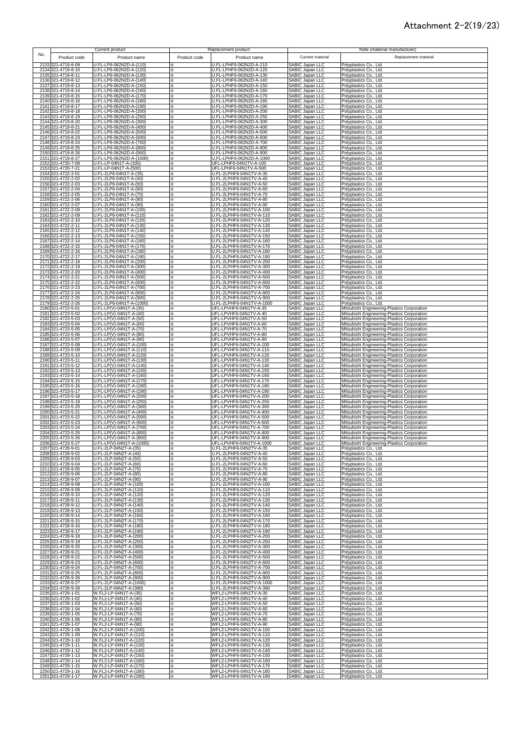#### Attachment 2-2(19/23)

| No. |                                          | Current product                                      |               | Replacement product                                   |                                                  | Note (material manufacturer)                                                               |
|-----|------------------------------------------|------------------------------------------------------|---------------|-------------------------------------------------------|--------------------------------------------------|--------------------------------------------------------------------------------------------|
|     | Product code                             | Product name                                         | Product code  | Product name                                          | Current material                                 | Replacement material                                                                       |
|     | 2133 321-4719-8-09<br>2134 321-4719-8-10 | U.FL-LP6-062N2D-A-(110)<br>U.FL-LP6-062N2D-A-(120)   | ⋇             | U.FL-LPHF6-062N2D-A-110<br>U.FL-LPHF6-062N2D-A-120    | <b>SABIC Japan LLC</b>                           | Polyplastics Co., Ltd.                                                                     |
|     | 2135 321-4719-8-11                       | U.FL-LP6-062N2D-A-(130)                              | ×<br>⋇        | U.FL-LPHF6-062N2D-A-130                               | SABIC Japan LLC<br>SABIC Japan LLC               | Polyplastics Co., Ltd.<br>Polyplastics Co., Ltd.                                           |
|     | 2136 321-4719-8-12                       | U.FL-LP6-062N2D-A-(140)                              | ⋇             | U.FL-LPHF6-062N2D-A-140                               | SABIC Japan LLC                                  | Polyplastics Co., Ltd.                                                                     |
|     | 2137 321-4719-8-13<br>2138 321-4719-8-14 | U.FL-LP6-062N2D-A-(150)<br>U.FL-LP6-062N2D-A-(160)   | ⋇<br>⋇        | U.FL-LPHF6-062N2D-A-150<br>U.FL-LPHF6-062N2D-A-160    | SABIC Japan LLC<br>SABIC Japan LLC               | Polyplastics Co., Ltd.<br>Polyplastics Co., Ltd.                                           |
|     | 2139 321-4719-8-15                       | U.FL-LP6-062N2D-A-(170)                              | ×             | U.FL-LPHF6-062N2D-A-170                               | SABIC Japan LLC                                  | Polyplastics Co., Ltd.                                                                     |
|     | 2140 321-4719-8-16<br>2141 321-4719-8-17 | U.FL-LP6-062N2D-A-(180)<br>U.FL-LP6-062N2D-A-(190)   | ×.<br>×       | U.FL-LPHF6-062N2D-A-180<br>U.FL-LPHF6-062N2D-A-190    | <b>SABIC Japan LLC</b><br>SABIC Japan LLC        | Polyplastics Co., Ltd.<br>Polyplastics Co., Ltd.                                           |
|     | 2142 321-4719-8-18                       | U.FL-LP6-062N2D-A-(200)                              | ፠             | U.FL-LPHF6-062N2D-A-200                               | SABIC Japan LLC                                  | Polyplastics Co., Ltd.                                                                     |
|     | 2143 321-4719-8-19                       | U.FL-LP6-062N2D-A-(250)                              | ፠             | U.FL-LPHF6-062N2D-A-250                               | SABIC Japan LLC                                  | Polyplastics Co., Ltd.                                                                     |
|     | 2144 321-4719-8-20<br>2145 321-4719-8-21 | U.FL-LP6-062N2D-A-(300)<br>U.FL-LP6-062N2D-A-(400)   | ፠<br>×        | U.FL-LPHF6-062N2D-A-300<br>U.FL-LPHF6-062N2D-A-400    | SABIC Japan LLC<br>SABIC Japan LLC               | Polyplastics Co., Ltd.<br>Polyplastics Co., Ltd.                                           |
|     | 2146 321-4719-8-22                       | U.FL-LP6-062N2D-A-(500)                              | ×             | U.FL-LPHF6-062N2D-A-500                               | SABIC Japan LLC                                  | Polyplastics Co., Ltd.                                                                     |
|     | 2147 321-4719-8-23<br>2148 321-4719-8-24 | U.FL-LP6-062N2D-A-(600)<br>U.FL-LP6-062N2D-A-(700)   | ×<br>⋇        | U.FL-LPHF6-062N2D-A-600<br>U.FL-LPHF6-062N2D-A-700    | SABIC Japan LLC<br><b>SABIC Japan LLC</b>        | Polyplastics Co., Ltd.                                                                     |
|     | 2149 321-4719-8-25                       | U.FL-LP6-062N2D-A-(800)                              | ×             | U.FL-LPHF6-062N2D-A-800                               | SABIC Japan LLC                                  | Polyplastics Co., Ltd.<br>Polyplastics Co., Ltd.                                           |
|     | 2150 321-4719-8-26                       | U.FL-LP6-062N2D-A-(900)                              | ×             | U.FL-LPHF6-062N2D-A-900                               | SABIC Japan LLC                                  | Polyplastics Co., Ltd.                                                                     |
|     | 2151 321-4719-8-27<br>2152 321-4720-7-08 | U.FL-LP6-062N2D-A-(1000)<br>U.FL-LP-04N1T-A-(100)    | ×<br>×.       | U.FL-LPHF6-062N2D-A-1000<br>UFL-LPHF6-04N1TV-A-100    | <b>SABIC Japan LLC</b><br>SABIC Japan LLC        | Polyplastics Co., Ltd.<br>Polyplastics Co., Ltd.                                           |
|     | 2153 321-4720-7-21                       | U.FL-LP-04N1T-A-(500)                                | ×.            | UFL-LPHF6-04N1TV-A-500                                | SABIC Japan LLC                                  | Polyplastics Co., Ltd.                                                                     |
|     | 2154 321-4722-2-01<br>2155 321-4722-2-02 | U.FL-2LP6-04N1T-A-(35)<br>U.FL-2LP6-04N1T-A-(40)     | ×.<br>×       | U.FL-2LPHF6-04N1TV-A-35<br>U.FL-2LPHF6-04N1TV-A-40    | SABIC Japan LLC<br>SABIC Japan LLC               | Polyplastics Co., Ltd.<br>Polyplastics Co., Ltd.                                           |
|     | 2156 321-4722-2-03                       | U.FL-2LP6-04N1T-A-(50)                               | ×             | U.FL-2LPHF6-04N1TV-A-50                               | SABIC Japan LLC                                  | Polyplastics Co., Ltd.                                                                     |
|     | 2157 321-4722-2-04                       | U.FL-2LP6-04N1T-A-(60)                               | ×             | U.FL-2LPHF6-04N1TV-A-60                               | SABIC Japan LLC                                  | Polyplastics Co., Ltd.                                                                     |
|     | 2158 321-4722-2-05<br>2159 321-4722-2-06 | U.FL-2LP6-04N1T-A-(70)<br>U.FL-2LP6-04N1T-A-(80)     | ×<br>×        | U.FL-2LPHF6-04N1TV-A-70<br>U.FL-2LPHF6-04N1TV-A-80    | SABIC Japan LLC<br>SABIC Japan LLC               | Polyplastics Co., Ltd.<br>Polyplastics Co., Ltd.                                           |
|     | 2160 321-4722-2-07                       | U.FL-2LP6-04N1T-A-(90)                               | ×             | U.FL-2LPHF6-04N1TV-A-90                               | SABIC Japan LLC                                  | Polyplastics Co., Ltd.                                                                     |
|     | 2161 321-4722-2-08<br>2162 321-4722-2-09 | U.FL-2LP6-04N1T-A-(100)<br>U.FL-2LP6-04N1T-A-(110)   | ×<br>⋇        | U.FL-2LPHF6-04N1TV-A-100<br>U.FL-2LPHF6-04N1TV-A-110  | SABIC Japan LLC<br>SABIC Japan LLC               | Polyplastics Co., Ltd.<br>Polyplastics Co., Ltd.                                           |
|     | 2163 321-4722-2-10                       | U.FL-2LP6-04N1T-A-(120)                              | ፠             | U.FL-2LPHF6-04N1TV-A-120                              | SABIC Japan LLC                                  | Polyplastics Co., Ltd.                                                                     |
|     | 2164 321-4722-2-11<br>2165 321-4722-2-12 | U.FL-2LP6-04N1T-A-(130)<br>U.FL-2LP6-04N1T-A-(140)   | ×<br>✕        | U.FL-2LPHF6-04N1TV-A-130<br>U.FL-2LPHF6-04N1TV-A-140  | <b>SABIC Japan LLC</b><br>SABIC Japan LLC        | Polyplastics Co., Ltd.                                                                     |
|     | 2166 321-4722-2-13                       | U.FL-2LP6-04N1T-A-(150)                              | ×             | U.FL-2LPHF6-04N1TV-A-150                              | SABIC Japan LLC                                  | Polyplastics Co., Ltd.<br>Polyplastics Co., Ltd.                                           |
|     | 2167 321-4722-2-14                       | U.FL-2LP6-04N1T-A-(160)                              | ×             | U.FL-2LPHF6-04N1TV-A-160                              | SABIC Japan LLC                                  | Polyplastics Co., Ltd.                                                                     |
|     | 2168 321-4722-2-15<br>2169 321-4722-2-16 | U.FL-2LP6-04N1T-A-(170)<br>U.FL-2LP6-04N1T-A-(180)   | ፠<br>፠        | U.FL-2LPHF6-04N1TV-A-170<br>U.FL-2LPHF6-04N1TV-A-180  | SABIC Japan LLC<br>SABIC Japan LLC               | Polyplastics Co., Ltd.<br>Polyplastics Co., Ltd.                                           |
|     | 2170 321-4722-2-17                       | U.FL-2LP6-04N1T-A-(190)                              | ፠             | U.FL-2LPHF6-04N1TV-A-190                              | SABIC Japan LLC                                  | Polyplastics Co., Ltd.                                                                     |
|     | 2171 321-4722-2-18<br>2172 321-4722-2-19 | U.FL-2LP6-04N1T-A-(200)<br>U.FL-2LP6-04N1T-A-(300)   | ፠<br>×        | U.FL-2LPHF6-04N1TV-A-200<br>U.FL-2LPHF6-04N1TV-A-300  | SABIC Japan LLC<br><b>SABIC Japan LLC</b>        | Polyplastics Co., Ltd.<br>Polyplastics Co., Ltd.                                           |
|     | 2173 321-4722-2-20                       | U.FL-2LP6-04N1T-A-(400)                              | ×             | U.FL-2LPHF6-04N1TV-A-400                              | <b>SABIC Japan LLC</b>                           | Polyplastics Co., Ltd.                                                                     |
|     | 2174 321-4722-2-21                       | U.FL-2LP6-04N1T-A-(500)                              | ×.            | U.FL-2LPHF6-04N1TV-A-500                              | <b>SABIC Japan LLC</b><br><b>SABIC Japan LLC</b> | Polyplastics Co., Ltd.                                                                     |
|     | 2175 321-4722-2-22<br>2176 321-4722-2-23 | U.FL-2LP6-04N1T-A-(600)<br>U.FL-2LP6-04N1T-A-(700)   | ×<br>×        | U.FL-2LPHF6-04N1TV-A-600<br>U.FL-2LPHF6-04N1TV-A-700  | SABIC Japan LLC                                  | Polyplastics Co., Ltd.<br>Polyplastics Co., Ltd.                                           |
|     | 2177 321-4722-2-24                       | U.FL-2LP6-04N1T-A-(800)                              | ×.            | U.FL-2LPHF6-04N1TV-A-800                              | <b>SABIC Japan LLC</b>                           | Polyplastics Co., Ltd.                                                                     |
|     | 2178 321-4722-2-25<br>2179 321-4722-2-26 | U.FL-2LP6-04N1T-A-(900)<br>U.FL-2LP6-04N1T-A-(1000)  | ×.<br>×.      | U.FL-2LPHF6-04N1TV-A-900<br>U.FL-2LPHF6-04N1TV-A-1000 | SABIC Japan LLC<br>SABIC Japan LLC               | Polyplastics Co., Ltd.<br>Polyplastics Co., Ltd.                                           |
|     | 2180 321-4723-5-01                       | U.FL-LP(V)-04N1T-A-(35)                              | ×.            | UFL-LPVHF6-04N1TV-A-35                                | SABIC Japan LLC                                  | Mitsubishi Engineering-Plastics Corporation                                                |
|     | 2181 321-4723-5-02<br>2182 321-4723-5-03 | U.FL-LP(V)-04N1T-A-(40)<br>U.FL-LP(V)-04N1T-A-(50)   | ×<br>×        | UFL-LPVHF6-04N1TV-A-40<br>UFL-LPVHF6-04N1TV-A-50      | SABIC Japan LLC<br>SABIC Japan LLC               | Mitsubishi Engineering-Plastics Corporation<br>Mitsubishi Engineering-Plastics Corporation |
|     | 2183 321-4723-5-04                       | U.FL-LP(V)-04N1T-A-(60)                              | ፠             | UFL-LPVHF6-04N1TV-A-60                                | SABIC Japan LLC                                  | Mitsubishi Engineering-Plastics Corporation                                                |
|     | 2184 321-4723-5-05<br>2185 321-4723-5-06 | U.FL-LP(V)-04N1T-A-(70)<br>U.FL-LP(V)-04N1T-A-(80)   | ×<br>×        | UFL-LPVHF6-04N1TV-A-70<br>UFL-LPVHF6-04N1TV-A-80      | SABIC Japan LLC<br>SABIC Japan LLC               | Mitsubishi Engineering-Plastics Corporation<br>Mitsubishi Engineering-Plastics Corporation |
|     | 2186 321-4723-5-07                       | U.FL-LP(V)-04N1T-A-(90)                              | ×             | UFL-LPVHF6-04N1TV-A-90                                | SABIC Japan LLC                                  | Mitsubishi Engineering-Plastics Corporation                                                |
|     | 2187 321-4723-5-08<br>2188 321-4723-5-09 | U.FL-LP(V)-04N1T-A-(100)<br>U.FL-LP(V)-04N1T-A-(110) | ⋇             | UFL-LPVHF6-04N1TV-A-100<br>UFL-LPVHF6-04N1TV-A-110    | SABIC Japan LLC<br>SABIC Japan LLC               | Mitsubishi Engineering-Plastics Corporation<br>Mitsubishi Engineering-Plastics Corporation |
|     | 2189 321-4723-5-10                       | U.FL-LP(V)-04N1T-A-(120)                             | ×<br>⋇        | UFL-LPVHF6-04N1TV-A-120                               | SABIC Japan LLC                                  | Mitsubishi Engineering-Plastics Corporation                                                |
|     | 2190 321-4723-5-11                       | U.FL-LP(V)-04N1T-A-(130)                             | ×             | UFL-LPVHF6-04N1TV-A-130                               | SABIC Japan LLC                                  | Mitsubishi Engineering-Plastics Corporation                                                |
|     | 2191 321-4723-5-12<br>2192 321-4723-5-13 | U.FL-LP(V)-04N1T-A-(140)<br>U.FL-LP(V)-04N1T-A-(150) | ×<br>×        | UFL-LPVHF6-04N1TV-A-140<br>UFL-LPVHF6-04N1TV-A-150    | SABIC Japan LLC<br>SABIC Japan LLC               | Mitsubishi Engineering-Plastics Corporation<br>Mitsubishi Engineering-Plastics Corporation |
|     | 2193 321-4723-5-14                       | U.FL-LP(V)-04N1T-A-(160)                             | ፠             | UFL-LPVHF6-04N1TV-A-160                               | SABIC Japan LLC                                  | Mitsubishi Engineering-Plastics Corporation                                                |
|     | 2194 321-4723-5-15<br>2195 321-4723-5-16 | U.FL-LP(V)-04N1T-A-(170)<br>U.FL-LP(V)-04N1T-A-(180) | ፠<br>፠        | UFL-LPVHF6-04N1TV-A-170<br>UFL-LPVHF6-04N1TV-A-180    | SABIC Japan LLC<br>SABIC Japan LLC               | Mitsubishi Engineering-Plastics Corporation<br>Mitsubishi Engineering-Plastics Corporation |
|     | 2196 321-4723-5-17                       | U.FL-LP(V)-04N1T-A-(190)                             | ፠             | UFL-LPVHF6-04N1TV-A-190                               | SABIC Japan LLC                                  | Mitsubishi Engineering-Plastics Corporation                                                |
|     | 2197 321-4723-5-18<br>2198 321-4723-5-19 | U.FL-LP(V)-04N1T-A-(200)<br>U.FL-LP(V)-04N1T-A-(250) | ×<br>×        | UFL-LPVHF6-04N1TV-A-200<br>UFL-LPVHF6-04N1TV-A-250    | SABIC Japan LLC<br>SABIC Japan LLC               | Mitsubishi Engineering-Plastics Corporation<br>Mitsubishi Engineering-Plastics Corporation |
|     | 2199 321-4723-5-20                       | U.FL-LP(V)-04N1T-A-(300)                             | ×             | UFL-LPVHF6-04N1TV-A-300                               | SABIC Japan LLC                                  | Mitsubishi Engineering-Plastics Corporation                                                |
|     | 2200 321-4723-5-21                       | U.FL-LP(V)-04N1T-A-(400)                             | ⋇             | UFL-LPVHF6-04N1TV-A-400                               | SABIC Japan LLC                                  | Mitsubishi Engineering-Plastics Corporation                                                |
|     | 2201 321-4723-5-22<br>2202 321-4723-5-23 | U.FL-LP(V)-04N1T-A-(500)<br>U.FL-LP(V)-04N1T-A-(600) | ⋇<br>×        | UFL-LPVHF6-04N1TV-A-500<br>UFL-LPVHF6-04N1TV-A-600    | SABIC Japan LLC<br>SABIC Japan LLC               | Mitsubishi Engineering-Plastics Corporation<br>Mitsubishi Engineering-Plastics Corporation |
|     | 2203 321-4723-5-24                       | U.FL-LP(V)-04N1T-A-(700)                             | ×.            | UFL-LPVHF6-04N1TV-A-700                               | SABIC Japan LLC                                  | Mitsubishi Engineering-Plastics Corporation                                                |
|     | 2204 321-4723-5-25<br>2205 321-4723-5-26 | U.FL-LP(V)-04N1T-A-(800)<br>U.FL-LP(V)-04N1T-A-(900) | ×.<br>×.      | UFL-LPVHF6-04N1TV-A-800<br>UFL-LPVHF6-04N1TV-A-900    | SABIC Japan LLC<br>SABIC Japan LLC               | Mitsubishi Engineering-Plastics Corporation<br>Mitsubishi Engineering-Plastics Corporation |
|     | 2206 321-4723-5-27                       | U.FL-LP(V)-04N1T-A-(1000)                            |               | UFL-LPVHF6-04N1TV-A-1000                              | SABIC Japan LLC                                  | Mitsubishi Engineering-Plastics Corporation                                                |
|     | 2207 321-4728-9-01<br>2208 321-4728-9-02 | U.FL-2LP-04N2T-A-(35)<br>U.FL-2LP-04N2T-A-(40)       | ×<br>×        | U.FL-2LPHF6-04N2TV-A-35<br>U.FL-2LPHF6-04N2TV-A-40    | SABIC Japan LLC<br>SABIC Japan LLC               | Polyplastics Co., Ltd.<br>Polyplastics Co., Ltd.                                           |
|     | 2209 321-4728-9-03                       | U.FL-2LP-04N2T-A-(50)                                | ×             | U.FL-2LPHF6-04N2TV-A-50                               | SABIC Japan LLC                                  | Polyplastics Co., Ltd.                                                                     |
|     | 2210 321-4728-9-04<br>2211 321-4728-9-05 | U.FL-2LP-04N2T-A-(60)                                | ×             | U.FL-2LPHF6-04N2TV-A-60                               | SABIC Japan LLC                                  | Polyplastics Co., Ltd.                                                                     |
|     | 2212 321-4728-9-06                       | U.FL-2LP-04N2T-A-(70)<br>U.FL-2LP-04N2T-A-(80)       | ×<br>⋇        | U.FL-2LPHF6-04N2TV-A-70<br>U.FL-2LPHF6-04N2TV-A-80    | SABIC Japan LLC<br>SABIC Japan LLC               | Polyplastics Co., Ltd.<br>Polyplastics Co., Ltd.                                           |
|     | 2213 321-4728-9-07                       | U.FL-2LP-04N2T-A-(90)                                | ⋇             | U.FL-2LPHF6-04N2TV-A-90                               | SABIC Japan LLC                                  | Polyplastics Co., Ltd.                                                                     |
|     | 2214 321-4728-9-08<br>2215 321-4728-9-09 | U.FL-2LP-04N2T-A-(100)<br>U.FL-2LP-04N2T-A-(110)     | ⋇<br>×        | U.FL-2LPHF6-04N2TV-A-100<br>U.FL-2LPHF6-04N2TV-A-110  | SABIC Japan LLC<br>SABIC Japan LLC               | Polyplastics Co., Ltd.<br>Polyplastics Co., Ltd.                                           |
|     | 2216 321-4728-9-10                       | U.FL-2LP-04N2T-A-(120)                               | ×             | U.FL-2LPHF6-04N2TV-A-120                              | SABIC Japan LLC                                  | Polyplastics Co., Ltd.                                                                     |
|     | 2217 321-4728-9-11<br>2218 321-4728-9-12 | U.FL-2LP-04N2T-A-(130)<br>U.FL-2LP-04N2T-A-(140)     | ×.<br>×       | U.FL-2LPHF6-04N2TV-A-130<br>U.FL-2LPHF6-04N2TV-A-140  | SABIC Japan LLC                                  | Polyplastics Co., Ltd.<br>Polyplastics Co., Ltd.                                           |
|     | 2219 321-4728-9-13                       | U.FL-2LP-04N2T-A-(150)                               | ×             | U.FL-2LPHF6-04N2TV-A-150                              | SABIC Japan LLC<br>SABIC Japan LLC               | Polyplastics Co., Ltd.                                                                     |
|     | 2220 321-4728-9-14<br>2221 321-4728-9-15 | U.FL-2LP-04N2T-A-(160)<br>U.FL-2LP-04N2T-A-(170)     | ×             | U.FL-2LPHF6-04N2TV-A-160                              | SABIC Japan LLC<br>SABIC Japan LLC               | Polyplastics Co., Ltd.                                                                     |
|     | 2222 321-4728-9-16                       | U.FL-2LP-04N2T-A-(180)                               | ፠<br>×        | U.FL-2LPHF6-04N2TV-A-170<br>U.FL-2LPHF6-04N2TV-A-180  | SABIC Japan LLC                                  | Polyplastics Co., Ltd.<br>Polyplastics Co., Ltd.                                           |
|     | 2223 321-4728-9-17                       | U.FL-2LP-04N2T-A-(190)                               | ×             | U.FL-2LPHF6-04N2TV-A-190                              | SABIC Japan LLC                                  | Polyplastics Co., Ltd.                                                                     |
|     | 2224 321-4728-9-18<br>2225 321-4728-9-19 | U.FL-2LP-04N2T-A-(200)<br>U.FL-2LP-04N2T-A-(250)     | ×<br>×.       | U.FL-2LPHF6-04N2TV-A-200<br>U.FL-2LPHF6-04N2TV-A-250  | SABIC Japan LLC<br>SABIC Japan LLC               | Polyplastics Co., Ltd.<br>Polyplastics Co., Ltd.                                           |
|     | 2226 321-4728-9-20                       | U.FL-2LP-04N2T-A-(300)                               | ×             | U.FL-2LPHF6-04N2TV-A-300                              | <b>SABIC Japan LLC</b>                           | Polyplastics Co., Ltd.                                                                     |
|     | 2227 321-4728-9-21<br>2228 321-4728-9-22 | U.FL-2LP-04N2T-A-(400)<br>U.FL-2LP-04N2T-A-(500)     | ⋇<br>×.       | U.FL-2LPHF6-04N2TV-A-400<br>U.FL-2LPHF6-04N2TV-A-500  | SABIC Japan LLC<br><b>SABIC Japan LLC</b>        | Polyplastics Co., Ltd.<br>Polyplastics Co., Ltd.                                           |
|     | 2229 321-4728-9-23                       | U.FL-2LP-04N2T-A-(600)                               | ×             | U.FL-2LPHF6-04N2TV-A-600                              | SABIC Japan LLC                                  | Polyplastics Co., Ltd.                                                                     |
|     | 2230 321-4728-9-24<br>2231 321-4728-9-25 | U.FL-2LP-04N2T-A-(700)<br>U.FL-2LP-04N2T-A-(800)     | ×<br>×        | U.FL-2LPHF6-04N2TV-A-700<br>U.FL-2LPHF6-04N2TV-A-800  | SABIC Japan LLC<br>SABIC Japan LLC               | Polyplastics Co., Ltd.<br>Polyplastics Co., Ltd.                                           |
|     | 2232 321-4728-9-26                       | U.FL-2LP-04N2T-A-(900)                               | ×             | U.FL-2LPHF6-04N2TV-A-900                              | SABIC Japan LLC                                  | Polyplastics Co., Ltd.                                                                     |
|     | 2233 321-4728-9-27                       | U.FL-2LP-04N2T-A-(1000)                              | ×             | U.FL-2LPHF6-04N2TV-A-1000                             | SABIC Japan LLC                                  | Polyplastics Co., Ltd.                                                                     |
|     | 2234 321-4728-9-28<br>2235 321-4729-1-01 | U.FL-2LP-04N2T-A-(390)<br>W.FL2-LP-04N1T-A-(35)      | ×<br>×        | U.FL-2LPHF6-04N2TV-A-390<br>WFL2-LPHF6-04N1TV-A-35    | <b>SABIC Japan LLC</b><br><b>SABIC Japan LLC</b> | Polyplastics Co., Ltd.<br>Polyplastics Co., Ltd.                                           |
|     | 2236 321-4729-1-02                       | W.FL2-LP-04N1T-A-(40)                                | $\times$      | WFL2-LPHF6-04N1TV-A-40                                | <b>SABIC Japan LLC</b>                           | Polyplastics Co., Ltd.                                                                     |
|     | 2237 321-4729-1-03<br>2238 321-4729-1-04 | W.FL2-LP-04N1T-A-(50)<br>W.FL2-LP-04N1T-A-(60)       | ×<br>×        | WFL2-LPHF6-04N1TV-A-50<br>WFL2-LPHF6-04N1TV-A-60      | SABIC Japan LLC<br>SABIC Japan LLC               | Polyplastics Co., Ltd.<br>Polyplastics Co., Ltd.                                           |
|     | 2239 321-4729-1-05                       | W.FL2-LP-04N1T-A-(70)                                | ×             | WFL2-LPHF6-04N1TV-A-70                                | SABIC Japan LLC                                  | Polyplastics Co., Ltd.                                                                     |
|     | 2240 321-4729-1-06<br>2241 321-4729-1-07 | W.FL2-LP-04N1T-A-(80)<br>W.FL2-LP-04N1T-A-(90)       | $\times$<br>× | WFL2-LPHF6-04N1TV-A-80<br>WFL2-LPHF6-04N1TV-A-90      | SABIC Japan LLC<br>SABIC Japan LLC               | Polyplastics Co., Ltd.<br>Polyplastics Co., Ltd.                                           |
|     | 2242 321-4729-1-08                       | W.FL2-LP-04N1T-A-(100)                               | ×             | WFL2-LPHF6-04N1TV-A-100                               | SABIC Japan LLC                                  | Polyplastics Co., Ltd.                                                                     |
|     | 2243 321-4729-1-09<br>2244 321-4729-1-10 | W.FL2-LP-04N1T-A-(110)<br>W.FL2-LP-04N1T-A-(120)     | ×             | WFL2-LPHF6-04N1TV-A-110                               | SABIC Japan LLC<br><b>SABIC Japan LLC</b>        | Polyplastics Co., Ltd.                                                                     |
|     | 2245 321-4729-1-11                       | W.FL2-LP-04N1T-A-(130)                               | ×<br>×        | WFL2-LPHF6-04N1TV-A-120<br>WFL2-LPHF6-04N1TV-A-130    | <b>SABIC Japan LLC</b>                           | Polyplastics Co., Ltd.<br>Polyplastics Co., Ltd.                                           |
|     | 2246 321-4729-1-12                       | W.FL2-LP-04N1T-A-(140)                               | ×             | WFL2-LPHF6-04N1TV-A-140                               | SABIC Japan LLC                                  | Polyplastics Co., Ltd.                                                                     |
|     | 2247 321-4729-1-13<br>2248 321-4729-1-14 | W.FL2-LP-04N1T-A-(150)<br>W.FL2-LP-04N1T-A-(160)     | ×<br>×        | WFL2-LPHF6-04N1TV-A-150<br>WFL2-LPHF6-04N1TV-A-160    | SABIC Japan LLC<br>SABIC Japan LLC               | Polyplastics Co., Ltd.<br>Polyplastics Co., Ltd.                                           |
|     | 2249 321-4729-1-15                       | W.FL2-LP-04N1T-A-(170)                               | ×             | WFL2-LPHF6-04N1TV-A-170                               | SABIC Japan LLC                                  | Polyplastics Co., Ltd.                                                                     |
|     | 2250 321-4729-1-16<br>2251 321-4729-1-17 | W.FL2-LP-04N1T-A-(180)<br>W.FL2-LP-04N1T-A-(190)     | ፠<br>×        | WFL2-LPHF6-04N1TV-A-180<br>WFL2-LPHF6-04N1TV-A-190    | <b>SABIC Japan LLC</b><br>SABIC Japan LLC        | Polyplastics Co., Ltd.<br>Polyplastics Co., Ltd.                                           |
|     |                                          |                                                      |               |                                                       |                                                  |                                                                                            |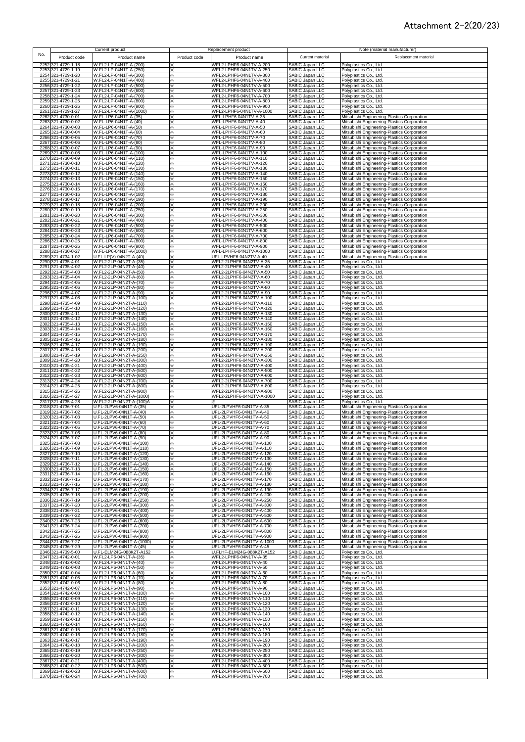## Attachment 2-2(20/23)

|     |                                          | Current product                                      |              | Replacement product                                  |                                                  | Note (material manufacturer)                                                               |
|-----|------------------------------------------|------------------------------------------------------|--------------|------------------------------------------------------|--------------------------------------------------|--------------------------------------------------------------------------------------------|
| No. | Product code                             | Product name                                         | Product code | Product name                                         | Current material                                 | Replacement material                                                                       |
|     | 2252 321-4729-1-18                       | W.FL2-LP-04N1T-A-(200)                               | ⋇            | WFL2-LPHF6-04N1TV-A-200                              | SABIC Japan LLC                                  | Polyplastics Co., Ltd.                                                                     |
|     | 2253 321-4729-1-19                       | W.FL2-LP-04N1T-A-(250)                               | ×            | WFL2-LPHF6-04N1TV-A-250                              | SABIC Japan LLC                                  | Polyplastics Co., Ltd.                                                                     |
|     | 2254 321-4729-1-20<br>2255 321-4729-1-21 | W.FL2-LP-04N1T-A-(300)<br>W.FL2-LP-04N1T-A-(400)     | ×<br>×       | WFL2-LPHF6-04N1TV-A-300<br>WFL2-LPHF6-04N1TV-A-400   | SABIC Japan LLC<br>SABIC Japan LLC               | Polyplastics Co., Ltd.<br>Polyplastics Co., Ltd.                                           |
|     | 2256 321-4729-1-22                       | W.FL2-LP-04N1T-A-(500)                               | ×            | WFL2-LPHF6-04N1TV-A-500                              | <b>SABIC Japan LLC</b>                           | Polyplastics Co., Ltd.                                                                     |
|     | 2257 321-4729-1-23                       | W.FL2-LP-04N1T-A-(600)                               | ፠            | WFL2-LPHF6-04N1TV-A-600<br>WFL2-LPHF6-04N1TV-A-700   | <b>SABIC Japan LLC</b><br>SABIC Japan LLC        | Polyplastics Co., Ltd.                                                                     |
|     | 2258 321-4729-1-24<br>2259 321-4729-1-25 | W.FL2-LP-04N1T-A-(700)<br>W.FL2-LP-04N1T-A-(800)     | ፠<br>×       | WFL2-LPHF6-04N1TV-A-800                              | SABIC Japan LLC                                  | Polyplastics Co., Ltd.<br>Polyplastics Co., Ltd.                                           |
|     | 2260 321-4729-1-26                       | W.FL2-LP-04N1T-A-(900)                               | ×            | WFL2-LPHF6-04N1TV-A-900                              | <b>SABIC Japan LLC</b>                           | Polyplastics Co., Ltd.                                                                     |
|     | 2261 321-4729-1-27                       | W.FL2-LP-04N1T-A-(1000)                              | ⋇            | WFL2-LPHF6-04N1TV-A-1000                             | <b>SABIC Japan LLC</b>                           | Polyplastics Co., Ltd.                                                                     |
|     | 2262 321-4730-0-01<br>2263 321-4730-0-02 | W.FL-LP6-04N1T-A-(35)<br>W.FL-LP6-04N1T-A-(40)       | ⋇<br>×       | WFL-LPHF6-04N1TV-A-35<br>WFL-LPHF6-04N1TV-A-40       | SABIC Japan LLC<br>SABIC Japan LLC               | Mitsubishi Engineering-Plastics Corporation<br>Mitsubishi Engineering-Plastics Corporation |
|     | 2264 321-4730-0-03                       | W.FL-LP6-04N1T-A-(50)                                | ×            | WFL-LPHF6-04N1TV-A-50                                | <b>SABIC Japan LLC</b>                           | Mitsubishi Engineering-Plastics Corporation                                                |
|     | 2265 321-4730-0-04                       | W.FL-LP6-04N1T-A-(60)                                | ×.           | WFL-LPHF6-04N1TV-A-60                                | SABIC Japan LLC                                  | Mitsubishi Engineering-Plastics Corporation                                                |
|     | 2266 321-4730-0-05<br>2267 321-4730-0-06 | W.FL-LP6-04N1T-A-(70)<br>W.FL-LP6-04N1T-A-(80)       | ×.<br>×      | WFL-LPHF6-04N1TV-A-70<br>WFL-LPHF6-04N1TV-A-80       | SABIC Japan LLC<br>SABIC Japan LLC               | Mitsubishi Engineering-Plastics Corporation<br>Mitsubishi Engineering-Plastics Corporation |
|     | 2268 321-4730-0-07                       | W.FL-LP6-04N1T-A-(90)                                | ×            | WFL-LPHF6-04N1TV-A-90                                | SABIC Japan LLC                                  | Mitsubishi Engineering-Plastics Corporation                                                |
|     | 2269 321-4730-0-08                       | W.FL-LP6-04N1T-A-(100)<br>W.FL-LP6-04N1T-A-(110)     | ×            | WFL-LPHF6-04N1TV-A-100                               | SABIC Japan LLC                                  | Mitsubishi Engineering-Plastics Corporation                                                |
|     | 2270 321-4730-0-09<br>2271 321-4730-0-10 | W.FL-LP6-04N1T-A-(120)                               | ×<br>×       | WFL-LPHF6-04N1TV-A-110<br>WFL-LPHF6-04N1TV-A-120     | SABIC Japan LLC<br>SABIC Japan LLC               | Mitsubishi Engineering-Plastics Corporation<br>Mitsubishi Engineering-Plastics Corporation |
|     | 2272 321-4730-0-11                       | W.FL-LP6-04N1T-A-(130)                               | ×            | WFL-LPHF6-04N1TV-A-130                               | SABIC Japan LLC                                  | Mitsubishi Engineering-Plastics Corporation                                                |
|     | 2273 321-4730-0-12<br>2274 321-4730-0-13 | W.FL-LP6-04N1T-A-(140)<br>W.FL-LP6-04N1T-A-(150)     | ×            | WFL-LPHF6-04N1TV-A-140<br>WFL-LPHF6-04N1TV-A-150     | SABIC Japan LLC<br>SABIC Japan LLC               | Mitsubishi Engineering-Plastics Corporation<br>Mitsubishi Engineering-Plastics Corporation |
|     | 2275 321-4730-0-14                       | W.FL-LP6-04N1T-A-(160)                               | ⋇<br>⋇       | WFL-LPHF6-04N1TV-A-160                               | SABIC Japan LLC                                  | Mitsubishi Engineering-Plastics Corporation                                                |
|     | 2276 321-4730-0-15                       | W.FL-LP6-04N1T-A-(170)                               | ፠            | WFL-LPHF6-04N1TV-A-170                               | SABIC Japan LLC                                  | Mitsubishi Engineering-Plastics Corporation                                                |
|     | 2277 321-4730-0-16<br>2278 321-4730-0-17 | W.FL-LP6-04N1T-A-(180)<br>W.FL-LP6-04N1T-A-(190)     | ✕<br>×       | WFL-LPHF6-04N1TV-A-180<br>WFL-LPHF6-04N1TV-A-190     | SABIC Japan LLC<br>SABIC Japan LLC               | Mitsubishi Engineering-Plastics Corporation<br>Mitsubishi Engineering-Plastics Corporation |
|     | 2279 321-4730-0-18                       | W.FL-LP6-04N1T-A-(200)                               | ×            | WFL-LPHF6-04N1TV-A-200                               | SABIC Japan LLC                                  | Mitsubishi Engineering-Plastics Corporation                                                |
|     | 2280 321-4730-0-19                       | W.FL-LP6-04N1T-A-(250)                               | ×            | WFL-LPHF6-04N1TV-A-250                               | SABIC Japan LLC                                  | Mitsubishi Engineering-Plastics Corporation                                                |
|     | 2281 321-4730-0-20<br>2282 321-4730-0-21 | W.FL-LP6-04N1T-A-(300)<br>W.FL-LP6-04N1T-A-(400)     | ×<br>፠       | WFL-LPHF6-04N1TV-A-300<br>WFL-LPHF6-04N1TV-A-400     | SABIC Japan LLC<br>SABIC Japan LLC               | Mitsubishi Engineering-Plastics Corporation<br>Mitsubishi Engineering-Plastics Corporation |
|     | 2283 321-4730-0-22                       | W.FL-LP6-04N1T-A-(500)                               | ×            | WFL-LPHF6-04N1TV-A-500                               | SABIC Japan LLC                                  | Mitsubishi Engineering-Plastics Corporation                                                |
|     | 2284 321-4730-0-23                       | W.FL-LP6-04N1T-A-(600)                               | ×            | WFL-LPHF6-04N1TV-A-600                               | <b>SABIC Japan LLC</b>                           | Mitsubishi Engineering-Plastics Corporation                                                |
|     | 2285 321-4730-0-24<br>2286 321-4730-0-25 | W.FL-LP6-04N1T-A-(700)<br>W.FL-LP6-04N1T-A-(800)     | ×<br>⋇       | WFL-LPHF6-04N1TV-A-700<br>WFL-LPHF6-04N1TV-A-800     | <b>SABIC Japan LLC</b><br><b>SABIC Japan LLC</b> | Mitsubishi Engineering-Plastics Corporation<br>Mitsubishi Engineering-Plastics Corporation |
|     | 2287 321-4730-0-26                       | W.FL-LP6-04N1T-A-(900)                               | ×            | WFL-LPHF6-04N1TV-A-900                               | <b>SABIC Japan LLC</b>                           | Mitsubishi Engineering-Plastics Corporation                                                |
|     | 2288 321-4730-0-27                       | W.FL-LP6-04N1T-A-(1000)                              | ፠            | WFL-LPHF6-04N1TV-A-1000                              | <b>SABIC Japan LLC</b>                           | Mitsubishi Engineering-Plastics Corporation                                                |
|     | 2289 321-4734-1-02<br>2290 321-4735-4-01 | U.FL-LP(V)-04N2T-A-(40)<br>W.FL2-2LP-04N2T-A-(35)    | ×<br>×.      | UFL-LPVHF6-04N2TV-A-40<br>WFL2-2LPHF6-04N2TV-A-35    | SABIC Japan LLC<br><b>SABIC Japan LLC</b>        | Mitsubishi Engineering-Plastics Corporation<br>Polyplastics Co., Ltd.                      |
|     | 2291 321-4735-4-02                       | W.FL2-2LP-04N2T-A-(40)                               | ×.           | WFL2-2LPHF6-04N2TV-A-40                              | SABIC Japan LLC                                  | Polyplastics Co., Ltd.                                                                     |
|     | 2292 321-4735-4-03                       | W.FL2-2LP-04N2T-A-(50)                               | ×.           | WFL2-2LPHF6-04N2TV-A-50                              | SABIC Japan LLC                                  | Polyplastics Co., Ltd.                                                                     |
|     | 2293 321-4735-4-04<br>2294 321-4735-4-05 | W.FL2-2LP-04N2T-A-(60)<br>W.FL2-2LP-04N2T-A-(70)     | ×<br>×       | WFL2-2LPHF6-04N2TV-A-60<br>WFL2-2LPHF6-04N2TV-A-70   | SABIC Japan LLC<br>SABIC Japan LLC               | Polyplastics Co., Ltd.<br>Polyplastics Co., Ltd.                                           |
|     | 2295 321-4735-4-06                       | W.FL2-2LP-04N2T-A-(80)                               | ፠            | WFL2-2LPHF6-04N2TV-A-80                              | SABIC Japan LLC                                  | Polyplastics Co., Ltd.                                                                     |
|     | 2296 321-4735-4-07                       | W.FL2-2LP-04N2T-A-(90)<br>W.FL2-2LP-04N2T-A-(100)    | ×            | WFL2-2LPHF6-04N2TV-A-90                              | SABIC Japan LLC                                  | Polyplastics Co., Ltd.                                                                     |
|     | 2297 321-4735-4-08<br>2298 321-4735-4-09 | W.FL2-2LP-04N2T-A-(110)                              | ×<br>×       | WFL2-2LPHF6-04N2TV-A-100<br>WFL2-2LPHF6-04N2TV-A-110 | SABIC Japan LLC<br>SABIC Japan LLC               | Polyplastics Co., Ltd.<br>Polyplastics Co., Ltd.                                           |
|     | 2299 321-4735-4-10                       | W.FL2-2LP-04N2T-A-(120)                              | ×            | WFL2-2LPHF6-04N2TV-A-120                             | SABIC Japan LLC                                  | Polyplastics Co., Ltd.                                                                     |
|     | 2300 321-4735-4-11<br>2301 321-4735-4-12 | W.FL2-2LP-04N2T-A-(130)<br>W.FL2-2LP-04N2T-A-(140)   | ⋇            | WFL2-2LPHF6-04N2TV-A-130<br>WFL2-2LPHF6-04N2TV-A-140 | SABIC Japan LLC                                  | Polyplastics Co., Ltd.                                                                     |
|     | 2302 321-4735-4-13                       | W.FL2-2LP-04N2T-A-(150)                              | ×<br>X       | WFL2-2LPHF6-04N2TV-A-150                             | SABIC Japan LLC<br>SABIC Japan LLC               | Polyplastics Co., Ltd.<br>Polyplastics Co., Ltd.                                           |
|     | 2303 321-4735-4-14                       | W.FL2-2LP-04N2T-A-(160)                              | ፠            | WFL2-2LPHF6-04N2TV-A-160                             | SABIC Japan LLC                                  | Polyplastics Co., Ltd.                                                                     |
|     | 2304 321-4735-4-15<br>2305 321-4735-4-16 | W.FL2-2LP-04N2T-A-(170)<br>W.FL2-2LP-04N2T-A-(180)   | ×<br>×       | WFL2-2LPHF6-04N2TV-A-170<br>WFL2-2LPHF6-04N2TV-A-180 | SABIC Japan LLC<br>SABIC Japan LLC               | Polyplastics Co., Ltd.<br>Polyplastics Co., Ltd.                                           |
|     | 2306 321-4735-4-17                       | W.FL2-2LP-04N2T-A-(190)                              | ፠            | WFL2-2LPHF6-04N2TV-A-190                             | SABIC Japan LLC                                  | Polyplastics Co., Ltd.                                                                     |
|     | 2307 321-4735-4-18                       | W.FL2-2LP-04N2T-A-(200)                              | ፠            | WFL2-2LPHF6-04N2TV-A-200                             | SABIC Japan LLC                                  | Polyplastics Co., Ltd.                                                                     |
|     | 2308 321-4735-4-19<br>2309 321-4735-4-20 | W.FL2-2LP-04N2T-A-(250)<br>W.FL2-2LP-04N2T-A-(300)   | ፠<br>፠       | WFL2-2LPHF6-04N2TV-A-250<br>WFL2-2LPHF6-04N2TV-A-300 | SABIC Japan LLC<br>SABIC Japan LLC               | Polyplastics Co., Ltd.<br>Polyplastics Co., Ltd.                                           |
|     | 2310 321-4735-4-21                       | W.FL2-2LP-04N2T-A-(400)                              | ×            | WFL2-2LPHF6-04N2TV-A-400                             | SABIC Japan LLC                                  | Polyplastics Co., Ltd.                                                                     |
|     | 2311 321-4735-4-22                       | W.FL2-2LP-04N2T-A-(500)                              | ×            | WFL2-2LPHF6-04N2TV-A-500                             | SABIC Japan LLC                                  | Polyplastics Co., Ltd.                                                                     |
|     | 2312 321-4735-4-23<br>2313 321-4735-4-24 | W.FL2-2LP-04N2T-A-(600)<br>W.FL2-2LP-04N2T-A-(700)   | ×.<br>×      | WFL2-2LPHF6-04N2TV-A-600<br>WFL2-2LPHF6-04N2TV-A-700 | SABIC Japan LLC<br><b>SABIC Japan LLC</b>        | Polyplastics Co., Ltd.<br>Polyplastics Co., Ltd.                                           |
|     | 2314 321-4735-4-25                       | W.FL2-2LP-04N2T-A-(800)                              | ⋇            | WFL2-2LPHF6-04N2TV-A-800                             | <b>SABIC Japan LLC</b>                           | Polyplastics Co., Ltd.                                                                     |
|     | 2315 321-4735-4-26                       | W.FL2-2LP-04N2T-A-(900)                              | ×            | WFL2-2LPHF6-04N2TV-A-900                             | <b>SABIC Japan LLC</b>                           | Polyplastics Co., Ltd.                                                                     |
|     | 2316 321-4735-4-27<br>2317 321-4735-4-28 | W.FL2-2LP-04N2T-A-(1000)<br>W.FL2-2LP-04N2T-A-(100)A | ×.<br>×.     | WFL2-2LPHF6-04N2TV-A-1000                            | SABIC Japan LLC<br>SABIC Japan LLC               | Polyplastics Co., Ltd.<br>Polyplastics Co., Ltd.                                           |
|     | 2318 321-4736-7-01                       | U.FL-2LPV6-04N1T-A-(35)                              | ×            | UFL-2LPVHF6-04N1TV-A-35                              | SABIC Japan LLC                                  | Mitsubishi Engineering-Plastics Corporation                                                |
|     | 2319 321-4736-7-02                       | U.FL-2LPV6-04N1T-A-(40)                              | ×            | UFL-2LPVHF6-04N1TV-A-40                              | SABIC Japan LLC                                  | Mitsubishi Engineering-Plastics Corporation                                                |
|     | 2320 321-4736-7-03<br>2321 321-4736-7-04 | U.FL-2LPV6-04N1T-A-(50)<br>U.FL-2LPV6-04N1T-A-(60)   | ×<br>×.      | UFL-2LPVHF6-04N1TV-A-50<br>UFL-2LPVHF6-04N1TV-A-60   | SABIC Japan LLC<br>SABIC Japan LLC               | Mitsubishi Engineering-Plastics Corporation<br>Mitsubishi Engineering-Plastics Corporation |
|     | 2322 321-4736-7-05                       | U.FL-2LPV6-04N1T-A-(70)                              | ×            | UFL-2LPVHF6-04N1TV-A-70                              | SABIC Japan LLC                                  | Mitsubishi Engineering-Plastics Corporation                                                |
|     | 2323 321-4736-7-06<br>2324 321-4736-7-07 | U.FL-2LPV6-04N1T-A-(80)<br>U.FL-2LPV6-04N1T-A-(90)   | ×            | UFL-2LPVHF6-04N1TV-A-80<br>UFL-2LPVHF6-04N1TV-A-90   | SABIC Japan LLC                                  | Mitsubishi Engineering-Plastics Corporation                                                |
|     | 2325 321-4736-7-08                       | U.FL-2LPV6-04N1T-A-(100)                             | ×            | UFL-2LPVHF6-04N1TV-A-100                             | SABIC Japan LLC<br>SABIC Japan LLL               | Mitsubishi Engineering-Plastics Corporation<br>Mitsubishi Engineering-Plastics Corporation |
|     | 2326 321-4736-7-09                       | U.FL-2LPV6-04N1T-A-(110)                             | ×            | UFL-2LPVHF6-04N1TV-A-110                             | SABIC Japan LLC                                  | Mitsubishi Engineering-Plastics Corporation                                                |
|     | 2327 321-4736-7-10<br>2328 321-4736-7-11 | U.FL-2LPV6-04N1T-A-(120)<br>U.FL-2LPV6-04N1T-A-(130) | ⋇<br>×       | UFL-2LPVHF6-04N1TV-A-120<br>UFL-2LPVHF6-04N1TV-A-130 | SABIC Japan LLC<br>SABIC Japan LLC               | Mitsubishi Engineering-Plastics Corporation<br>Mitsubishi Engineering-Plastics Corporation |
|     | 2329 321-4736-7-12                       | U.FL-2LPV6-04N1T-A-(140)                             | ×            | UFL-2LPVHF6-04N1TV-A-140                             | SABIC Japan LLC                                  | Mitsubishi Engineering-Plastics Corporation                                                |
|     | 2330 321-4736-7-13                       | U.FL-2LPV6-04N1T-A-(150)                             | ×.           | UFL-2LPVHF6-04N1TV-A-150                             | SABIC Japan LLC                                  | Mitsubishi Engineering-Plastics Corporation                                                |
|     | 2331 321-4736-7-14<br>2332 321-4736-7-15 | U.FL-2LPV6-04N1T-A-(160)<br>U.FL-2LPV6-04N1T-A-(170) | ×<br>×       | UFL-2LPVHF6-04N1TV-A-160<br>UFL-2LPVHF6-04N1TV-A-170 | SABIC Japan LLC<br>SABIC Japan LLC               | Mitsubishi Engineering-Plastics Corporation<br>Mitsubishi Engineering-Plastics Corporation |
|     | 2333 321-4736-7-16                       | U.FL-2LPV6-04N1T-A-(180)                             | ፠            | UFL-2LPVHF6-04N1TV-A-180                             | SABIC Japan LLC                                  | Mitsubishi Engineering-Plastics Corporation                                                |
|     | 2334 321-4736-7-17                       | U.FL-2LPV6-04N1T-A-(190)<br>U.FL-2LPV6-04N1T-A-(200) | ×.<br>×      | UFL-2LPVHF6-04N1TV-A-190<br>UFL-2LPVHF6-04N1TV-A-200 | SABIC Japan LLC<br>SABIC Japan LLC               | Mitsubishi Engineering-Plastics Corporation                                                |
|     | 2335 321-4736-7-18<br>2336 321-4736-7-19 | U.FL-2LPV6-04N1T-A-(250)                             | ×            | UFL-2LPVHF6-04N1TV-A-250                             | SABIC Japan LLC                                  | Mitsubishi Engineering-Plastics Corporation<br>Mitsubishi Engineering-Plastics Corporation |
|     | 2337 321-4736-7-20                       | U.FL-2LPV6-04N1T-A-(300)                             | ×            | UFL-2LPVHF6-04N1TV-A-300                             | SABIC Japan LLC                                  | Mitsubishi Engineering-Plastics Corporation                                                |
|     | 2338 321-4736-7-21<br>2339 321-4736-7-22 | U.FL-2LPV6-04N1T-A-(400)<br>U.FL-2LPV6-04N1T-A-(500) | ×<br>×       | UFL-2LPVHF6-04N1TV-A-400<br>UFL-2LPVHF6-04N1TV-A-500 | SABIC Japan LLC<br>SABIC Japan LLC               | Mitsubishi Engineering-Plastics Corporation<br>Mitsubishi Engineering-Plastics Corporation |
|     | 2340 321-4736-7-23                       | U.FL-2LPV6-04N1T-A-(600)                             | ×            | UFL-2LPVHF6-04N1TV-A-600                             | SABIC Japan LLC                                  | Mitsubishi Engineering-Plastics Corporation                                                |
|     | 2341 321-4736-7-24                       | U.FL-2LPV6-04N1T-A-(700)                             | ×            | UFL-2LPVHF6-04N1TV-A-700                             | SABIC Japan LLC                                  | Mitsubishi Engineering-Plastics Corporation                                                |
|     | 2342 321-4736-7-25<br>2343 321-4736-7-26 | U.FL-2LPV6-04N1T-A-(800)<br>U.FL-2LPV6-04N1T-A-(900) | ×<br>×       | UFL-2LPVHF6-04N1TV-A-800<br>UFL-2LPVHF6-04N1TV-A-900 | SABIC Japan LLC<br>SABIC Japan LLC               | Mitsubishi Engineering-Plastics Corporation<br>Mitsubishi Engineering-Plastics Corporation |
|     | 2344 321-4736-7-27                       | U.FL-2LPV6-04N1T-A-(1000)                            | ×            | UFL-2LPVHF6-04N1TV-A-1000                            | SABIC Japan LLC                                  | Mitsubishi Engineering-Plastics Corporation                                                |
|     | 2345 321-4736-7-29                       | U.FL-2LPV6-04N1T-A-(45)                              | ×            | UFL-2LPVHF6-04N1TV-A-45                              | SABIC Japan LLC                                  | Mitsubishi Engineering-Plastics Corporation                                                |
|     | 2346 321-4739-5-00<br>2347 321-4742-0-01 | U.FL-ELM24G-088K2T-A152<br>W.FL2-LP6-04N1T-A-(35)    | ×<br>×       | U.FLHF-ELM24G-088K2T-A152<br>WFL2-LPHF6-04N1TV-A-35  | SABIC Japan LLC<br><b>SABIC Japan LLC</b>        | Polyplastics Co., Ltd.<br>Polyplastics Co., Ltd.                                           |
|     | 2348 321-4742-0-02                       | W.FL2-LP6-04N1T-A-(40)                               | ×            | WFL2-LPHF6-04N1TV-A-40                               | SABIC Japan LLC                                  | Polyplastics Co., Ltd.                                                                     |
|     | 2349 321-4742-0-03<br>2350 321-4742-0-04 | W.FL2-LP6-04N1T-A-(50)<br>W.FL2-LP6-04N1T-A-(60)     | $\times$     | WFL2-LPHF6-04N1TV-A-50<br>WFL2-LPHF6-04N1TV-A-60     | SABIC Japan LLC<br>SABIC Japan LLC               | Polyplastics Co., Ltd.                                                                     |
|     | 2351 321-4742-0-05                       | W.FL2-LP6-04N1T-A-(70)                               | ×<br>×       | WFL2-LPHF6-04N1TV-A-70                               | SABIC Japan LLC                                  | Polyplastics Co., Ltd.<br>Polyplastics Co., Ltd.                                           |
|     | 2352 321-4742-0-06                       | W.FL2-LP6-04N1T-A-(80)                               | ×            | WFL2-LPHF6-04N1TV-A-80                               | SABIC Japan LLC                                  | Polyplastics Co., Ltd.                                                                     |
|     | 2353 321-4742-0-07<br>2354 321-4742-0-08 | W.FL2-LP6-04N1T-A-(90)<br>W.FL2-LP6-04N1T-A-(100)    | ×<br>×       | WFL2-LPHF6-04N1TV-A-90<br>WFL2-LPHF6-04N1TV-A-100    | <b>SABIC Japan LLC</b><br>SABIC Japan LLC        | Polyplastics Co., Ltd.<br>Polyplastics Co., Ltd.                                           |
|     | 2355 321-4742-0-09                       | W.FL2-LP6-04N1T-A-(110)                              | ×            | WFL2-LPHF6-04N1TV-A-110                              | SABIC Japan LLC                                  | Polyplastics Co., Ltd.                                                                     |
|     | 2356 321-4742-0-10                       | W.FL2-LP6-04N1T-A-(120)                              | ×            | WFL2-LPHF6-04N1TV-A-120                              | SABIC Japan LLC<br>SABIC Japan LLC               | Polyplastics Co., Ltd.                                                                     |
|     | 2357 321-4742-0-11<br>2358 321-4742-0-12 | W.FL2-LP6-04N1T-A-(130)<br>W.FL2-LP6-04N1T-A-(140)   | ×<br>×       | WFL2-LPHF6-04N1TV-A-130<br>WFL2-LPHF6-04N1TV-A-140   | <b>SABIC Japan LLC</b>                           | Polyplastics Co., Ltd.<br>Polyplastics Co., Ltd.                                           |
|     | 2359 321-4742-0-13                       | W.FL2-LP6-04N1T-A-(150)                              | ×            | WFL2-LPHF6-04N1TV-A-150                              | SABIC Japan LLC                                  | Polyplastics Co., Ltd.                                                                     |
|     | 2360 321-4742-0-14                       | W.FL2-LP6-04N1T-A-(160)                              | ×            | WFL2-LPHF6-04N1TV-A-160                              | SABIC Japan LLC                                  | Polyplastics Co., Ltd.                                                                     |
|     | 2361 321-4742-0-15<br>2362 321-4742-0-16 | W.FL2-LP6-04N1T-A-(170)<br>W.FL2-LP6-04N1T-A-(180)   | ×<br>×       | WFL2-LPHF6-04N1TV-A-170<br>WFL2-LPHF6-04N1TV-A-180   | SABIC Japan LLC<br>SABIC Japan LLC               | Polyplastics Co., Ltd.<br>Polyplastics Co., Ltd.                                           |
|     | 2363 321-4742-0-17                       | W.FL2-LP6-04N1T-A-(190)                              | ፠            | WFL2-LPHF6-04N1TV-A-190                              | <b>SABIC Japan LLC</b>                           | Polyplastics Co., Ltd.                                                                     |
|     | 2364 321-4742-0-18<br>2365 321-4742-0-19 | W.FL2-LP6-04N1T-A-(200)<br>W.FL2-LP6-04N1T-A-(250)   | ⋇            | WFL2-LPHF6-04N1TV-A-200<br>WFL2-LPHF6-04N1TV-A-250   | <b>SABIC Japan LLC</b><br><b>SABIC Japan LLC</b> | Polyplastics Co., Ltd.                                                                     |
|     | 2366 321-4742-0-20                       | W.FL2-LP6-04N1T-A-(300)                              | ×<br>×.      | WFL2-LPHF6-04N1TV-A-300                              | SABIC Japan LLC                                  | Polyplastics Co., Ltd.<br>Polyplastics Co., Ltd.                                           |
|     | 2367 321-4742-0-21                       | W.FL2-LP6-04N1T-A-(400)                              | ×.           | WFL2-LPHF6-04N1TV-A-400                              | SABIC Japan LLC                                  | Polyplastics Co., Ltd.                                                                     |
|     | 2368 321-4742-0-22                       | W.FL2-LP6-04N1T-A-(500)                              | ×.           | WFL2-LPHF6-04N1TV-A-500                              | SABIC Japan LLC                                  | Polyplastics Co., Ltd.                                                                     |
|     | 2369 321-4742-0-23                       | W.FL2-LP6-04N1T-A-(600)<br>W.FL2-LP6-04N1T-A-(700)   | ×<br>፠       | WFL2-LPHF6-04N1TV-A-600<br>WFL2-LPHF6-04N1TV-A-700   | SABIC Japan LLC<br>SABIC Japan LLC               | Polyplastics Co., Ltd.<br>Polyplastics Co., Ltd.                                           |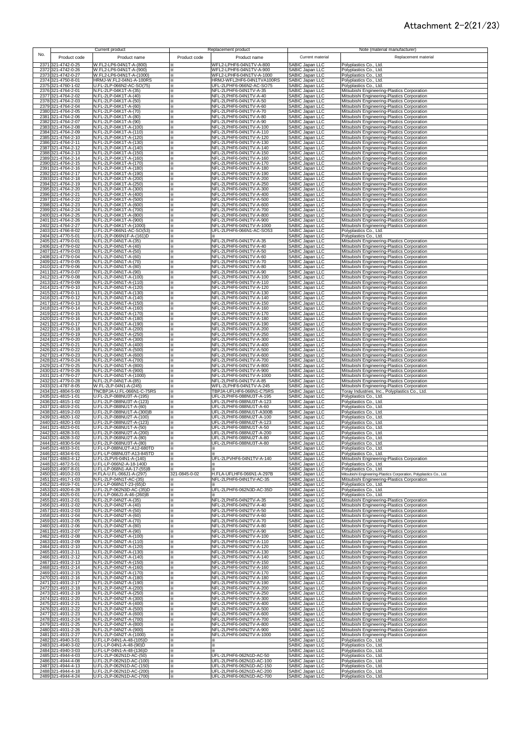#### Attachment 2-2(21/23)

|                                                | Current product                                       |               | Replacement product                                   |                                                  | Note (material manufacturer)                                                                  |
|------------------------------------------------|-------------------------------------------------------|---------------|-------------------------------------------------------|--------------------------------------------------|-----------------------------------------------------------------------------------------------|
| No.<br>Product code                            | Product name                                          | Product code  | Product name                                          | Current material                                 | Replacement material                                                                          |
| 2371<br>321-4742-0-25                          | W.FL2-LP6-04N1T-A-(800)                               |               | WFL2-LPHF6-04N1TV-A-800                               | SABIC Japan LLC                                  | Polyplastics Co., Ltd.                                                                        |
| 2372 321-4742-0-26                             | W.FL2-LP6-04N1T-A-(900)                               | ⋇             | WFL2-LPHF6-04N1TV-A-900                               | SABIC Japan LLC                                  | Polyplastics Co., Ltd.                                                                        |
| 2373 321-4742-0-27<br>2374 321-4750-8-01       | W.FL2-LP6-04N1T-A-(1000)<br>HRMJ-W.FL2-04N1-A-100RS   | ⋇<br>⋇        | WFL2-LPHF6-04N1TV-A-1000<br>HRMJ-WFL2HF6-04N1TVA100RS | SABIC Japan LLC<br><b>SABIC Japan LLC</b>        | Polyplastics Co., Ltd.<br>Polyplastics Co., Ltd.                                              |
| 2375 321-4760-1-02                             | U.FL-2LP-066N2-AC-SO(75)                              | ×             | UFL-2LPHF6-066N2-AC-SO75                              | SABIC Japan LLC                                  | Polyplastics Co., Ltd.                                                                        |
| 2376 321-4764-2-01<br>2377 321-4764-2-02       | N.FL-2LP-04K1T-A-(35)<br>N.FL-2LP-04K1T-A-(40)        | ×<br>×        | NFL-2LPHF6-04N1TV-A-35<br>NFL-2LPHF6-04N1TV-A-40      | SABIC Japan LLC<br><b>SABIC Japan LLC</b>        | Mitsubishi Engineering-Plastics Corporation<br>Mitsubishi Engineering-Plastics Corporation    |
| 2378 321-4764-2-03                             | N.FL-2LP-04K1T-A-(50)                                 | ×             | NFL-2LPHF6-04N1TV-A-50                                | SABIC Japan LLC                                  | Mitsubishi Engineering-Plastics Corporation                                                   |
| 2379 321-4764-2-04                             | N.FL-2LP-04K1T-A-(60)                                 | ×             | NFL-2LPHF6-04N1TV-A-60                                | SABIC Japan LLC                                  | Mitsubishi Engineering-Plastics Corporation                                                   |
| 2380 321-4764-2-05<br>2381 321-4764-2-06       | N.FL-2LP-04K1T-A-(70)<br>N.FL-2LP-04K1T-A-(80)        | ×<br>×.       | NFL-2LPHF6-04N1TV-A-70<br>NFL-2LPHF6-04N1TV-A-80      | SABIC Japan LLC<br>SABIC Japan LLC               | Mitsubishi Engineering-Plastics Corporation<br>Mitsubishi Engineering-Plastics Corporation    |
| 2382 321-4764-2-07                             | N.FL-2LP-04K1T-A-(90)                                 | ×.            | NFL-2LPHF6-04N1TV-A-90                                | SABIC Japan LLC                                  | Mitsubishi Engineering-Plastics Corporation                                                   |
| 2383 321-4764-2-08<br>2384 321-4764-2-09       | N.FL-2LP-04K1T-A-(100)<br>N.FL-2LP-04K1T-A-(110)      | ⋇<br>×        | NFL-2LPHF6-04N1TV-A-100<br>NFL-2LPHF6-04N1TV-A-110    | SABIC Japan LLC<br>SABIC Japan LLC               | Mitsubishi Engineering-Plastics Corporation<br>Mitsubishi Engineering-Plastics Corporation    |
| 2385 321-4764-2-10                             | N.FL-2LP-04K1T-A-(120)                                | ⋇             | NFL-2LPHF6-04N1TV-A-120                               | <b>SABIC Japan LLC</b>                           | Mitsubishi Engineering-Plastics Corporation                                                   |
| 2386 321-4764-2-11<br>2387 321-4764-2-12       | N.FL-2LP-04K1T-A-(130)<br>N.FL-2LP-04K1T-A-(140)      | ×<br>×        | NFL-2LPHF6-04N1TV-A-130<br>NFL-2LPHF6-04N1TV-A-140    | SABIC Japan LLC<br>SABIC Japan LLC               | Mitsubishi Engineering-Plastics Corporation<br>Mitsubishi Engineering-Plastics Corporation    |
| 2388 321-4764-2-13                             | N.FL-2LP-04K1T-A-(150)                                | ×             | NFL-2LPHF6-04N1TV-A-150                               | SABIC Japan LLC                                  | Mitsubishi Engineering-Plastics Corporation                                                   |
| 2389 321-4764-2-14<br>2390 321-4764-2-15       | N.FL-2LP-04K1T-A-(160)<br>N.FL-2LP-04K1T-A-(170)      | ×<br>×.       | NFL-2LPHF6-04N1TV-A-160<br>NFL-2LPHF6-04N1TV-A-170    | SABIC Japan LLC<br><b>SABIC Japan LLC</b>        | Mitsubishi Engineering-Plastics Corporation<br>Mitsubishi Engineering-Plastics Corporation    |
| 2391 321-4764-2-16                             | N.FL-2LP-04K1T-A-(180)                                | ⋇             | NFL-2LPHF6-04N1TV-A-180                               | <b>SABIC Japan LLC</b>                           | Mitsubishi Engineering-Plastics Corporation                                                   |
| 2392 321-4764-2-17<br>2393 321-4764-2-18       | N.FL-2LP-04K1T-A-(190)<br>N.FL-2LP-04K1T-A-(200)      | ×.<br>×.      | NFL-2LPHF6-04N1TV-A-190<br>NFL-2LPHF6-04N1TV-A-200    | SABIC Japan LLC<br><b>SABIC Japan LLC</b>        | Mitsubishi Engineering-Plastics Corporation<br>Mitsubishi Engineering-Plastics Corporation    |
| 2394 321-4764-2-19                             | N.FL-2LP-04K1T-A-(250)                                | ×.            | NFL-2LPHF6-04N1TV-A-250                               | SABIC Japan LLC                                  | Mitsubishi Engineering-Plastics Corporation                                                   |
| 2395 321-4764-2-20<br>2396 321-4764-2-21       | N.FL-2LP-04K1T-A-(300)<br>N.FL-2LP-04K1T-A-(400)      | ×.<br>⋇       | NFL-2LPHF6-04N1TV-A-300<br>NFL-2LPHF6-04N1TV-A-400    | SABIC Japan LLC<br>SABIC Japan LLC               | Mitsubishi Engineering-Plastics Corporation<br>Mitsubishi Engineering-Plastics Corporation    |
| 2397 321-4764-2-22                             | N.FL-2LP-04K1T-A-(500)                                | ×.            | NFL-2LPHF6-04N1TV-A-500                               | SABIC Japan LLC                                  | Mitsubishi Engineering-Plastics Corporation                                                   |
| 2398 321-4764-2-23<br>2399 321-4764-2-24       | N.FL-2LP-04K1T-A-(600)<br>N.FL-2LP-04K1T-A-(700)      | ×<br>×        | NFL-2LPHF6-04N1TV-A-600<br>NFL-2LPHF6-04N1TV-A-700    | SABIC Japan LLC<br>SABIC Japan LLC               | Mitsubishi Engineering-Plastics Corporation<br>Mitsubishi Engineering-Plastics Corporation    |
| 2400 321-4764-2-25                             | N.FL-2LP-04K1T-A-(800)                                | ×             | NFL-2LPHF6-04N1TV-A-800                               | SABIC Japan LLC                                  | Mitsubishi Engineering-Plastics Corporation                                                   |
| 2401 321-4764-2-26<br>2402 321-4764-2-27       | N.FL-2LP-04K1T-A-(900)<br>N.FL-2LP-04K1T-A-(1000)     | ×             | NFL-2LPHF6-04N1TV-A-900<br>NFL-2LPHF6-04N1TV-A-1000   | SABIC Japan LLC                                  | Mitsubishi Engineering-Plastics Corporation<br>Mitsubishi Engineering-Plastics Corporation    |
| 2403 321-4766-8-02                             | U.FL-2LP-066N1-AC-SO(53)                              | ×<br>×        | UFL-2LPHF6-066N1-AC-SO53                              | SABIC Japan LLC<br>SABIC Japan LLC               | Polyplastics Co., Ltd.                                                                        |
| 2404 321-4770-5-01<br>2405 321-4779-0-01       | U.FL-2LP-066N1F-A-(161)D<br>N.FL-2LP-04N1T-A-(35)     | ⋇             | NFL-2LPHF6-04N1TV-A-35                                | SABIC Japan LLC<br>SABIC Japan LLC               | Polyplastics Co., Ltd.<br>Mitsubishi Engineering-Plastics Corporation                         |
| 2406 321-4779-0-02                             | N.FL-2LP-04N1T-A-(40)                                 | ⋇<br>×.       | NFL-2LPHF6-04N1TV-A-40                                | SABIC Japan LLC                                  | Mitsubishi Engineering-Plastics Corporation                                                   |
| 2407 321-4779-0-03<br>2408 321-4779-0-04       | N.FL-2LP-04N1T-A-(50)<br>N.FL-2LP-04N1T-A-(60)        | ×.            | NFL-2LPHF6-04N1TV-A-50<br>NFL-2LPHF6-04N1TV-A-60      | SABIC Japan LLC                                  | Mitsubishi Engineering-Plastics Corporation                                                   |
| 2409 321-4779-0-05                             | N.FL-2LP-04N1T-A-(70)                                 | ×.<br>×       | NFL-2LPHF6-04N1TV-A-70                                | SABIC Japan LLC<br>SABIC Japan LLC               | Mitsubishi Engineering-Plastics Corporation<br>Mitsubishi Engineering-Plastics Corporation    |
| 2410 321-4779-0-06                             | N.FL-2LP-04N1T-A-(80)                                 | ×.            | NFL-2LPHF6-04N1TV-A-80                                | SABIC Japan LLC                                  | Mitsubishi Engineering-Plastics Corporation                                                   |
| 321-4779-0-07<br>2411<br>321-4779-0-08<br>2412 | N.FL-2LP-04N1T-A-(90)<br>N.FL-2LP-04N1T-A-(100)       | ×<br>×        | NFL-2LPHF6-04N1TV-A-90<br>NFL-2LPHF6-04N1TV-A-100     | SABIC Japan LLC<br>SABIC Japan LLC               | Mitsubishi Engineering-Plastics Corporation<br>Mitsubishi Engineering-Plastics Corporation    |
| 2413 321-4779-0-09                             | N.FL-2LP-04N1T-A-(110)                                | ×             | NFL-2LPHF6-04N1TV-A-110                               | <b>SABIC Japan LLC</b>                           | Mitsubishi Engineering-Plastics Corporation                                                   |
| 2414 321-4779-0-10<br>2415 321-4779-0-11       | N.FL-2LP-04N1T-A-(120)<br>N.FL-2LP-04N1T-A-(130)      | ×<br>×.       | NFL-2LPHF6-04N1TV-A-120<br>NFL-2LPHF6-04N1TV-A-130    | SABIC Japan LLC<br>SABIC Japan LLC               | Mitsubishi Engineering-Plastics Corporation<br>Mitsubishi Engineering-Plastics Corporation    |
| 2416 321-4779-0-12                             | N.FL-2LP-04N1T-A-(140)                                | ×.            | NFL-2LPHF6-04N1TV-A-140                               | <b>SABIC Japan LLC</b>                           | Mitsubishi Engineering-Plastics Corporation                                                   |
| 2417<br>321-4779-0-13<br>2418 321-4779-0-14    | N.FL-2LP-04N1T-A-(150)<br>N.FL-2LP-04N1T-A-(160)      | ×<br>×.       | NFL-2LPHF6-04N1TV-A-150<br>NFL-2LPHF6-04N1TV-A-160    | SABIC Japan LLC<br><b>SABIC Japan LLC</b>        | Mitsubishi Engineering-Plastics Corporation<br>Mitsubishi Engineering-Plastics Corporation    |
| 2419 321-4779-0-15                             | N.FL-2LP-04N1T-A-(170)                                | ×.            | NFL-2LPHF6-04N1TV-A-170                               | SABIC Japan LLC                                  | Mitsubishi Engineering-Plastics Corporation                                                   |
| 2420 321-4779-0-16<br>2421 321-4779-0-17       | N.FL-2LP-04N1T-A-(180)<br>N.FL-2LP-04N1T-A-(190)      | ×.<br>×.      | NFL-2LPHF6-04N1TV-A-180<br>NFL-2LPHF6-04N1TV-A-190    | SABIC Japan LLC<br>SABIC Japan LLC               | Mitsubishi Engineering-Plastics Corporation<br>Mitsubishi Engineering-Plastics Corporation    |
| 2422 321-4779-0-18                             | N.FL-2LP-04N1T-A-(200)                                | ⋇             | NFL-2LPHF6-04N1TV-A-200                               | SABIC Japan LLC                                  | Mitsubishi Engineering-Plastics Corporation                                                   |
| 2423 321-4779-0-19<br>2424 321-4779-0-20       | N.FL-2LP-04N1T-A-(250)<br>N.FL-2LP-04N1T-A-(300)      | ×.<br>×.      | NFL-2LPHF6-04N1TV-A-250<br>NFL-2LPHF6-04N1TV-A-300    | SABIC Japan LLC<br>SABIC Japan LLC               | Mitsubishi Engineering-Plastics Corporation<br>Mitsubishi Engineering-Plastics Corporation    |
| 2425 321-4779-0-21                             | N.FL-2LP-04N1T-A-(400)                                | ×             | NFL-2LPHF6-04N1TV-A-400                               | SABIC Japan LLC                                  | Mitsubishi Engineering-Plastics Corporation                                                   |
| 2426 321-4779-0-22<br>2427 321-4779-0-23       | N.FL-2LP-04N1T-A-(500)<br>N.FL-2LP-04N1T-A-(600)      | ×<br>×        | NFL-2LPHF6-04N1TV-A-500<br>NFL-2LPHF6-04N1TV-A-600    | SABIC Japan LLC<br>SABIC Japan LLC               | Mitsubishi Engineering-Plastics Corporation<br>Mitsubishi Engineering-Plastics Corporation    |
| 2428 321-4779-0-24                             | N.FL-2LP-04N1T-A-(700)                                | ×             | NFL-2LPHF6-04N1TV-A-700                               | <b>SABIC Japan LLC</b>                           | Mitsubishi Engineering-Plastics Corporation                                                   |
| 2429 321-4779-0-25<br>2430 321-4779-0-26       | N.FL-2LP-04N1T-A-(800)<br>N.FL-2LP-04N1T-A-(900)      | ×<br>×        | NFL-2LPHF6-04N1TV-A-800<br>NFL-2LPHF6-04N1TV-A-900    | SABIC Japan LLC<br>SABIC Japan LLC               | Mitsubishi Engineering-Plastics Corporation<br>Mitsubishi Engineering-Plastics Corporation    |
| 2431 321-4779-0-27                             | N.FL-2LP-04N1T-A-(1000)                               | ×.            | NFL-2LPHF6-04N1TV-A-1000                              | SABIC Japan LLC                                  | Mitsubishi Engineering-Plastics Corporation                                                   |
| 2432 321-4779-0-28<br>2433 321-4787-8-05       | N.FL-2LP-04N1T-A-(85)<br>W.FL-2LP-04N1-A-(245)        | ×.<br>×.      | NFL-2LPHF6-04N1TV-A-85<br>WFL-2LPHF6-04N1TV-A-245     | SABIC Japan LLC<br>SABIC Japan LLC               | Mitsubishi Engineering-Plastics Corporation                                                   |
| 2434 321-4804-5-00                             | TNCBPJA-U.FL-066N1-C-75RS                             | ⋇             | TBPJA-UFLHF6-066N1-C75RS                              | SABIC Japan LLC                                  | Mitsubishi Engineering-Plastics Corporation<br>Toray Industries, Inc., Polyplastics Co., Ltd. |
| 2435 321-4815-1-01<br>2436 321-4815-1-02       | U.FL-2LP-088NU3T-A-(195)<br>U.FL-2LP-088NU3T-A-(123)  | ×<br>×.       | UFL-2LPHF6-088NU3T-A-195<br>UFL-2LPHF6-088NU3T-A-123  | SABIC Japan LLC<br>SABIC Japan LLC               | Polyplastics Co., Ltd.<br>Polyplastics Co., Ltd.                                              |
| 2437 321-4819-2-01                             | U.FL-2LP-088NU1T-A-(60)                               | ⋇             | UFL-2LPHF6-088NU1T-A-60                               | SABIC Japan LLC                                  | Polyplastics Co., Ltd.                                                                        |
| 2438 321-4819-2-03<br>2439 321-4820-1-02       | U.FL-2LP-088NU1T-A-(300)B<br>U.FL-2LP-088NU2T-A-(100) | ×<br>×        | UFL-2LPHF6-088NU1T-A300B<br>UFL-2LPHF6-088NU2T-A-100  | SABIC Japan LLC<br><b>SABIC Japan LLC</b>        | Polyplastics Co., Ltd.                                                                        |
| 2440 321-4820-1-03                             | U.FL-2LP-088NU2T-A-(123)                              | ⋇             | UFL-2LPHF6-088NU2T-A-123                              | <b>SABIC Japan LLC</b>                           | Polyplastics Co., Ltd.<br>Polyplastics Co., Ltd.                                              |
| 2441 321-4823-0-01                             | U.FL-2LP-068NU1T-A-(50)                               | ×.            | UFL-2LPHF6-088NU1T-A-50<br>UFL-2LPHF6-088NU2T-A-200   | SABIC Japan LLC<br><b>SABIC Japan LLC</b>        | Polyplastics Co., Ltd.                                                                        |
| 2442 321-4828-3-01<br>2443 321-4828-3-02       | U.FL-2LP-068NU2T-A-(200)<br>U.FL-2LP-068NU2T-A-(80)   | ×.<br>×.      | UFL-2LPHF6-088NU2T-A-80                               | <b>SABIC Japan LLC</b>                           | Polyplastics Co., Ltd.<br>Polyplastics Co., Ltd.                                              |
| 2444 321-4830-5-04                             | U.FL-2LP-068NU3T-A-(80)<br>U.FL-LP-088NU2T-A12-680TD  | ×             | UFL-2LPHF6-088NU3T-A-80<br>×.                         | SABIC Japan LLC                                  | Polyplastics Co., Ltd.                                                                        |
| 2445 321-4833-3-01<br>2446 321-4834-6-01       | U.FL-LP-088NU3T-A13-845TD                             | ×.            |                                                       | SABIC Japan LLC<br>SABIC Japan LLC               | Polyplastics Co., Ltd.<br>Polyplastics Co., Ltd.                                              |
| 2447 321-4863-4-12<br>2448 321-4872-5-01       | U.FL-2LPV6-04N1-A-(140)<br>U.FL-LP-066N2-A-18-140D    | ⋇<br>×        | UFL-2LPVHF6-04N1TV-A-140<br>⋇                         | SABIC Japan LLC<br>SABIC Japan LLC               | Mitsubishi Engineering-Plastics Corporation<br>Polyplastics Co., Ltd.                         |
| 2449 321-4907-8-01                             | U.FL-LP-068N1-AA-17-(55)B                             |               |                                                       | SABIC Japan LLC                                  | Polyplastics Co., Ltd.                                                                        |
| 2450 321-4910-2-03                             | H.FLA-U.FL-066J1-A-(297)<br>N.FL-2LP-04N1T-AC-(35)    | 321-0845-0-02 | H.FLA-UFLHF6-066N1-A-297B                             | SABIC Japan LLC                                  | Mitsubishi Engineering-Plastics Corporation, Polyplastics Co., Ltd.                           |
| 2451 321-4917-1-03<br>2452 321-4919-7-01       | U.FL-LP-068N1T-23-(65)D                               | ⋇<br>×        | NFL-2LPHF6-04N1TV-AC-35<br>⋇                          | SABIC Japan LLC<br>SABIC Japan LLC               | Mitsubishi Engineering-Plastics Corporation<br>Polyplastics Co., Ltd.                         |
| 2453 321-4920-6-28                             | U.FL-2LP-062N3D-AC-(35)D                              | ⋇             | UFL-2LPHF6-062N3D-AC-35D                              | SABIC Japan LLC                                  | Polyplastics Co., Ltd.                                                                        |
| 2454 321-4925-0-01<br>2455 321-4931-2-01       | U.FL-LP-066J1-A-46-(260)B<br>N.FL-2LP-04N2T-A-(35)    | ×<br>⋇        | NFL-2LPHF6-04N2TV-A-35                                | SABIC Japan LLC<br>SABIC Japan LLC               | Polyplastics Co., Ltd.<br>Mitsubishi Engineering-Plastics Corporation                         |
| 2456 321-4931-2-02<br>2457 321-4931-2-03       | N.FL-2LP-04N2T-A-(40)                                 | X.<br>×.      | NFL-2LPHF6-04N2TV-A-40<br>NFL-2LPHF6-04N2TV-A-50      | SABIC Japan LLC                                  | Mitsubishi Engineering-Plastics Corporation                                                   |
| 2458 321-4931-2-04                             | N.FL-2LP-04N2T-A-(50)<br>N.FL-2LP-04N2T-A-(60)        | ×.            | NFL-2LPHF6-04N2TV-A-60                                | SABIC Japan LLC<br>SABIC Japan LLC               | Mitsubishi Engineering-Plastics Corporation<br>Mitsubishi Engineering-Plastics Corporation    |
| 2459 321-4931-2-05                             | N.FL-2LP-04N2T-A-(70)                                 | ×.            | NFL-2LPHF6-04N2TV-A-70                                | SABIC Japan LLC<br>SABIC Japan LLC               | Mitsubishi Engineering-Plastics Corporation                                                   |
| 2460 321-4931-2-06<br>2461 321-4931-2-07       | N.FL-2LP-04N2T-A-(80)<br>N.FL-2LP-04N2T-A-(90)        | ⋇<br>⋇        | NFL-2LPHF6-04N2TV-A-80<br>NFL-2LPHF6-04N2TV-A-90      | SABIC Japan LLC                                  | Mitsubishi Engineering-Plastics Corporation<br>Mitsubishi Engineering-Plastics Corporation    |
| 2462 321-4931-2-08                             | N.FL-2LP-04N2T-A-(100)                                | ⋇             | NFL-2LPHF6-04N2TV-A-100                               | SABIC Japan LLC                                  | Mitsubishi Engineering-Plastics Corporation                                                   |
| 2463 321-4931-2-09<br>2464 321-4931-2-10       | N.FL-2LP-04N2T-A-(110)<br>N.FL-2LP-04N2T-A-(120)      | ×<br>×        | NFL-2LPHF6-04N2TV-A-110<br>NFL-2LPHF6-04N2TV-A-120    | SABIC Japan LLC<br>SABIC Japan LLC               | Mitsubishi Engineering-Plastics Corporation<br>Mitsubishi Engineering-Plastics Corporation    |
| 2465 321-4931-2-11                             | N.FL-2LP-04N2T-A-(130)                                | ×             | NFL-2LPHF6-04N2TV-A-130                               | SABIC Japan LLC                                  | Mitsubishi Engineering-Plastics Corporation                                                   |
| 2466 321-4931-2-12<br>2467 321-4931-2-13       | N.FL-2LP-04N2T-A-(140)<br>N.FL-2LP-04N2T-A-(150)      | ×.<br>⋇       | NFL-2LPHF6-04N2TV-A-140<br>NFL-2LPHF6-04N2TV-A-150    | <b>SABIC Japan LLC</b><br><b>SABIC Japan LLC</b> | Mitsubishi Engineering-Plastics Corporation<br>Mitsubishi Engineering-Plastics Corporation    |
| 2468 321-4931-2-14                             | N.FL-2LP-04N2T-A-(160)                                | ×             | NFL-2LPHF6-04N2TV-A-160                               | <b>SABIC Japan LLC</b>                           | Mitsubishi Engineering-Plastics Corporation                                                   |
| 2469 321-4931-2-15<br>2470 321-4931-2-16       | N.FL-2LP-04N2T-A-(170)<br>N.FL-2LP-04N2T-A-(180)      | ×.<br>×.      | NFL-2LPHF6-04N2TV-A-170<br>NFL-2LPHF6-04N2TV-A-180    | <b>SABIC Japan LLC</b><br>SABIC Japan LLC        | Mitsubishi Engineering-Plastics Corporation<br>Mitsubishi Engineering-Plastics Corporation    |
| 2471 321-4931-2-17                             | N.FL-2LP-04N2T-A-(190)                                | ×             | NFL-2LPHF6-04N2TV-A-190                               | SABIC Japan LLC                                  | Mitsubishi Engineering-Plastics Corporation                                                   |
| 2472 321-4931-2-18<br>2473 321-4931-2-19       | N.FL-2LP-04N2T-A-(200)<br>N.FL-2LP-04N2T-A-(250)      | ×<br>×        | NFL-2LPHF6-04N2TV-A-200<br>NFL-2LPHF6-04N2TV-A-250    | SABIC Japan LLC<br>SABIC Japan LLC               | Mitsubishi Engineering-Plastics Corporation<br>Mitsubishi Engineering-Plastics Corporation    |
| 2474 321-4931-2-20                             | N.FL-2LP-04N2T-A-(300)                                | ×             | NFL-2LPHF6-04N2TV-A-300                               | SABIC Japan LLC                                  | Mitsubishi Engineering-Plastics Corporation                                                   |
| 2475 321-4931-2-21<br>2476 321-4931-2-22       | N.FL-2LP-04N2T-A-(400)<br>N.FL-2LP-04N2T-A-(500)      | ×<br>×        | NFL-2LPHF6-04N2TV-A-400<br>NFL-2LPHF6-04N2TV-A-500    | SABIC Japan LLC<br>SABIC Japan LLC               | Mitsubishi Engineering-Plastics Corporation<br>Mitsubishi Engineering-Plastics Corporation    |
| 2477 321-4931-2-23                             | N.FL-2LP-04N2T-A-(600)                                | ×             | NFL-2LPHF6-04N2TV-A-600                               | SABIC Japan LLC                                  | Mitsubishi Engineering-Plastics Corporation                                                   |
| 2478 321-4931-2-24<br>2479 321-4931-2-25       | N.FL-2LP-04N2T-A-(700)<br>N.FL-2LP-04N2T-A-(800)      | ×<br>×        | NFL-2LPHF6-04N2TV-A-700<br>NFL-2LPHF6-04N2TV-A-800    | SABIC Japan LLC<br>SABIC Japan LLC               | Mitsubishi Engineering-Plastics Corporation<br>Mitsubishi Engineering-Plastics Corporation    |
| 2480 321-4931-2-26                             | N.FL-2LP-04N2T-A-(900)                                | ⋇             | NFL-2LPHF6-04N2TV-A-900                               | SABIC Japan LLC                                  | Mitsubishi Engineering-Plastics Corporation                                                   |
| 2481 321-4931-2-27<br>2482 321-4940-3-01       | N.FL-2LP-04N2T-A-(1000)<br>U.FL-LP-04N1-A-48-(105)D   | ፠<br>×.       | NFL-2LPHF6-04N2TV-A-1000<br>⋇                         | SABIC Japan LLC<br><b>SABIC Japan LLC</b>        | Mitsubishi Engineering-Plastics Corporation<br>Polyplastics Co., Ltd.                         |
| 2483 321-4940-3-02                             | U.FL-LP-04N1-A-48-(90)D                               | ×.            | ×.                                                    | <b>SABIC Japan LLC</b>                           | Polyplastics Co., Ltd.                                                                        |
| 2484 321-4940-3-03<br>2485 321-4944-4-03       | U.FL-LP-04N1-A-48-(136)D<br>U.FL-2LP-062N1D-AC-(50)   | ×<br>×        | ×<br>UFL-2LPHF6-062N1D-AC-50                          | SABIC Japan LLC<br>SABIC Japan LLC               | Polyplastics Co., Ltd.<br>Polyplastics Co., Ltd.                                              |
| 2486 321-4944-4-08                             | U.FL-2LP-062N1D-AC-(100)                              | ⋇             | UFL-2LPHF6-062N1D-AC-100                              | SABIC Japan LLC                                  | Polyplastics Co., Ltd.                                                                        |
| 2487 321-4944-4-13<br>2488 321-4944-4-18       | U.FL-2LP-062N1D-AC-(150)<br>U.FL-2LP-062N1D-AC-(200)  | ×<br>×        | UFL-2LPHF6-062N1D-AC-150<br>UFL-2LPHF6-062N1D-AC-200  | SABIC Japan LLC<br>SABIC Japan LLC               | Polyplastics Co., Ltd.<br>Polyplastics Co., Ltd.                                              |
| 2489 321-4944-4-24                             | U.FL-2LP-062N1D-AC-(700)                              | ×             | UFL-2LPHF6-062N1D-AC-700                              | SABIC Japan LLC                                  | Polyplastics Co., Ltd.                                                                        |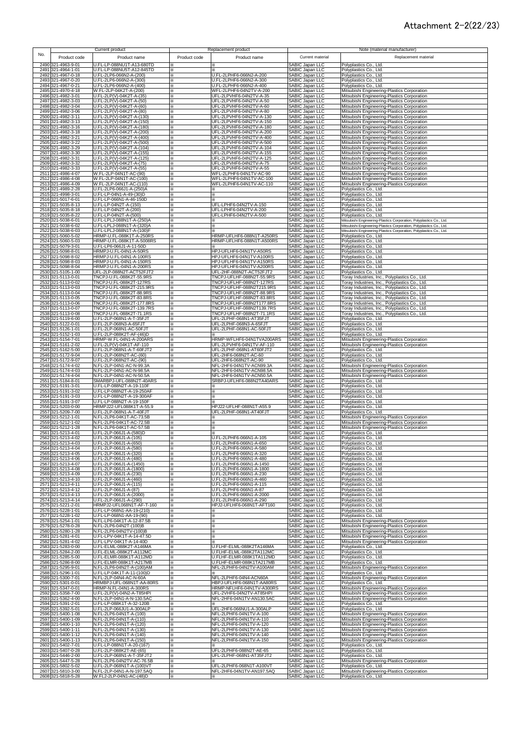### Attachment 2-2(22/23)

|              |                                          | Current product                                        |              | Replacement product                                    |                                                                          | Note (material manufacturer)                                                                                                               |
|--------------|------------------------------------------|--------------------------------------------------------|--------------|--------------------------------------------------------|--------------------------------------------------------------------------|--------------------------------------------------------------------------------------------------------------------------------------------|
| No.          | Product code                             | Product name                                           | Product code | Product name                                           | Current material                                                         | Replacement material                                                                                                                       |
|              | 2490 321-4963-9-01                       | U.FL-LP-088NU1T-A13-680TD                              |              | ⋇                                                      | SABIC Japan LLC                                                          | Polyplastics Co., Ltd.                                                                                                                     |
|              | 2491 321-4964-1-01                       | U.FL-LP-088NU5T-A12-845TD                              | ×.           | ⋇                                                      | SABIC Japan LLC                                                          | Polyplastics Co., Ltd.                                                                                                                     |
|              | 2492 321-4967-0-18<br>2493 321-4967-0-20 | U.FL-2LP6-066N2-A-(200)<br>U.FL-2LP6-066N2-A-(300)     | ⋇<br>×       | U.FL-2LPHF6-066N2-A-200<br>U.FL-2LPHF6-066N2-A-300     | SABIC Japan LLC<br>SABIC Japan LLC                                       | Polyplastics Co., Ltd.<br>Polyplastics Co., Ltd.                                                                                           |
|              | 2494 321-4967-0-21                       | U.FL-2LP6-066N2-A-(400)                                | ⋇            | U.FL-2LPHF6-066N2-A-400                                | SABIC Japan LLC                                                          | Polyplastics Co., Ltd.                                                                                                                     |
|              | 2495 321-4970-4-18<br>2496 321-4982-3-01 | W.FL-2LP-04K2T-A-(200)<br>U.FL-2LP(V)-04K2T-A-(35)     | ×<br>×       | WFL-2LPHF6-04N2TV-A-200<br>UFL-2LPVHF6-04N2TV-A-35     | SABIC Japan LLC<br>SABIC Japan LLC                                       | Mitsubishi Engineering-Plastics Corporation<br>Mitsubishi Engineering-Plastics Corporation                                                 |
|              | 2497 321-4982-3-03                       | U.FL-2LP(V)-04K2T-A-(50)                               | ⋇            | UFL-2LPVHF6-04N2TV-A-50                                | SABIC Japan LLC                                                          | Mitsubishi Engineering-Plastics Corporation                                                                                                |
|              | 2498 321-4982-3-04                       | U.FL-2LP(V)-04K2T-A-(60)                               | ⋇            | UFL-2LPVHF6-04N2TV-A-60                                | SABIC Japan LLC                                                          | Mitsubishi Engineering-Plastics Corporation                                                                                                |
|              | 2499 321-4982-3-06<br>2500 321-4982-3-11 | U.FL-2LP(V)-04K2T-A-(80)<br>U.FL-2LP(V)-04K2T-A-(130)  | ⋇<br>×.      | UFL-2LPVHF6-04N2TV-A-80<br>UFL-2LPVHF6-04N2TV-A-130    | SABIC Japan LLC<br>SABIC Japan LLC                                       | Mitsubishi Engineering-Plastics Corporation<br>Mitsubishi Engineering-Plastics Corporation                                                 |
|              | 2501 321-4982-3-13                       | U.FL-2LP(V)-04K2T-A-(150)                              | ×.           | UFL-2LPVHF6-04N2TV-A-150                               | SABIC Japan LLC                                                          | Mitsubishi Engineering-Plastics Corporation                                                                                                |
| 2503         | 2502 321-4982-3-16<br>321-4982-3-18      | U.FL-2LP(V)-04K2T-A-(180)<br>U.FL-2LP(V)-04K2T-A-(200) | ⋇<br>⋇       | UFL-2LPVHF6-04N2TV-A-180<br>UFL-2LPVHF6-04N2TV-A-200   |                                                                          | Mitsubishi Engineering-Plastics Corporation<br>Mitsubishi Engineering-Plastics Corporation                                                 |
|              | 2504 321-4982-3-21                       | U.FL-2LP(V)-04K2T-A-(400)                              | ፠            | UFL-2LPVHF6-04N2TV-A-400                               | SABIC Japan LLC<br>SABIC Japan LLC<br>SABIC Japan LLC<br>SABIC Japan LLC | Mitsubishi Engineering-Plastics Corporation                                                                                                |
|              | 2505 321-4982-3-22<br>2506 321-4982-3-29 | U.FL-2LP(V)-04K2T-A-(500)<br>U.FL-2LP(V)-04K2T-A-(104) | ⋇<br>⋇       | UFL-2LPVHF6-04N2TV-A-500<br>UFL-2LPVHF6-04N2TV-A-104   | SABIC Japan LLC                                                          | Mitsubishi Engineering-Plastics Corporation<br>Mitsubishi Engineering-Plastics Corporation                                                 |
|              | 2507 321-4982-3-30                       | U.FL-2LP(V)-04K2T-A-(155)                              | ×            | UFL-2LPVHF6-04N2TV-A-155                               | SABIC Japan LLC                                                          | Mitsubishi Engineering-Plastics Corporation                                                                                                |
| 2509         | 2508 321-4982-3-31<br>321-4982-3-32      | U.FL-2LP(V)-04K2T-A-(125)<br>U.FL-2LP(V)-04K2T-A-(75)  | ×<br>×.      | UFL-2LPVHF6-04N2TV-A-125<br>UFL-2LPVHF6-04N2TV-A-75    | SABIC Japan LLC<br>SABIC Japan LLC                                       | Mitsubishi Engineering-Plastics Corporation<br>Mitsubishi Engineering-Plastics Corporation                                                 |
|              | 2510 321-4982-3-33                       | U.FL-2LP(V)-04K2T-A-(55)                               | ⋇            | UFL-2LPVHF6-04N2TV-A-55                                | SABIC Japan LLC                                                          | Mitsubishi Engineering-Plastics Corporation                                                                                                |
| 2511         | 321-4986-4-07<br>2512 321-4986-4-08      | W.FL-2LP-04N1T-AC-(90)<br>W.FL-2LP-04N1T-AC-(100)      | ×.<br>⋇      | WFL-2LPHF6-04N1TV-AC-90<br>WFL-2LPHF6-04N1TV-AC-100    | SABIC Japan LLC<br>SABIC Japan LLC                                       | Mitsubishi Engineering-Plastics Corporation<br>Mitsubishi Engineering-Plastics Corporation                                                 |
|              | 2513 321-4986-4-09                       | W.FL-2LP-04N1T-AC-(110)                                | ⋇            | WFL-2LPHF6-04N1TV-AC-110                               | SABIC Japan LLC                                                          | Mitsubishi Engineering-Plastics Corporation                                                                                                |
|              | 2514 321-4989-2-28<br>2515 321-4998-3-01 | U.FL-2LP6-066J1-A-(250)A<br>U.FL-LP-04N1-A-49-(30)D    | ⋇<br>⋇       | ⋇<br>×                                                 | SABIC Japan LLC<br>SABIC Japan LLC                                       | Polyplastics Co., Ltd.<br>Polyplastics Co., Ltd.                                                                                           |
|              | 2516 321-5017-6-01                       | U.FL-LP-066N1-A-46-150D                                | X.           | ×                                                      | SABIC Japan LLC                                                          | Polyplastics Co., Ltd.                                                                                                                     |
|              | 2517 321-5035-8-13                       | U.FL-LP-04N2T-A-(150)                                  | ⋇            | UFL-LPHF6-04N2TV-A-150                                 | SABIC Japan LLC                                                          | Polyplastics Co., Ltd.                                                                                                                     |
|              | 2518 321-5035-8-18<br>2519 321-5035-8-22 | U.FL-LP-04N2T-A-(200)<br>U.FL-LP-04N2T-A-(500)         | ⋇<br>⋇       | UFL-LPHF6-04N2TV-A-200<br>UFL-LPHF6-04N2TV-A-500       | SABIC Japan LLC<br>SABIC Japan LLC                                       | Polyplastics Co., Ltd.<br>Polyplastics Co., Ltd.                                                                                           |
|              | 2520 321-5038-6-01                       | U.FL-LPLJ-088N1T-A-(250)A                              | ⋇            | ⋇                                                      | SABIC Japan LLC                                                          | Mitsubishi Engineering-Plastics Corporation, Polyplastics Co., Ltd.                                                                        |
| 2522         | 2521 321-5038-6-02<br>321-5038-6-03      | U.FL-LPLJ-088N1T-A-(320)A<br>U.FL-LPLJ-088N1T-A-(100)F | ×<br>⋇       | ⋇                                                      | SABIC Japan LLC<br>SABIC Japan LLC                                       | Mitsubishi Engineering-Plastics Corporation, Polyplastics Co., Ltd.<br>Mitsubishi Engineering-Plastics Corporation, Polyplastics Co., Ltd. |
|              | 2523 321-5060-5-02                       | HRMP-U.FL-088K1T-A-250RS                               | ⋇            | HRMP-UFLHF6-088N1T-A250RS                              | SABIC Japan LLC                                                          | Polyplastics Co., Ltd.                                                                                                                     |
|              | 2524 321-5060-5-03<br>2525 321-5079-3-01 | HRMP-U.FL-088K1T-A-5008RS<br>U.FL-LP6-066J1-A-11-50D   | ⋇<br>፠       | HRMP-UFLHF6-088N1T-A500RS                              | SABIC Japan LLC<br>SABIC Japan LLC                                       | Polyplastics Co., Ltd.<br>Polyplastics Co., Ltd.                                                                                           |
|              | 2526 321-5098-8-01                       | HRMPJ-U.FL-04N1-A-50RS                                 | ⋇            | HPJ-UFLHF6-04N1TV-A50RS                                | SABIC Japan LLC                                                          | Polyplastics Co., Ltd.                                                                                                                     |
| 2527<br>2528 | 321-5098-8-02<br>321-5098-8-03           | HRMPJ-U.FL-04N1-A-100RS<br>HRMPJ-U.FL-04N1-A-150RS     | ×.<br>⋇      | HPJ-UFLHF6-04N1TV-A100RS<br>HPJ-UFLHF6-04N1TV-A150RS   | SABIC Japan LLC<br>SABIC Japan LLC<br>SABIC Japan LLC                    | Polyplastics Co., Ltd.<br>Polyplastics Co., Ltd.                                                                                           |
| 2529         | 321-5098-8-04                            | HRMPJ-U.FL-04N1-A-200RS                                | ፠            | HPJ-UFLHF6-04N1TV-A200RS                               |                                                                          | Polyplastics Co., Ltd.                                                                                                                     |
| 2530         | 321-5105-1-00<br>2531 321-5113-0-01      | UFL-2LP-088N2T-ACT52FJT2<br>TNCPJ-U.FL-088K2T-55.9RS   | ⋇<br>⋇       | UFL-2HF-088N2T-ACT52FJT2<br>TNCPJ-UFLHF-088N2T-55.9RS  | SABIC Japan LLC<br>SABIC Japan LLC                                       | Polyplastics Co., Ltd.<br>Toray Industries, Inc., Polyplastics Co., Ltd.                                                                   |
|              | 2532 321-5113-0-02                       | TNCPJ-U.FL-088K2T-127RS                                | ⋇            | TNCPJ-UFLHF-088N2T-127RS                               | SABIC Japan LLC                                                          | Toray Industries, Inc., Polyplastics Co., Ltd.                                                                                             |
| 2534         | 2533 321-5113-0-03<br>321-5113-0-04      | TNCPJ-U.FL-088K2T-215.9RS<br>TNCPJ-U.FL-088K2T-88.9RS  | ×<br>×.      | TNCPJ-UFLHF-088N2T215.9RS<br>TNCPJ-UFLHF-088N2T-88.9RS | SABIC Japan LLC<br>SABIC Japan LLC                                       | Toray Industries, Inc., Polyplastics Co., Ltd.<br>Toray Industries, Inc., Polyplastics Co., Ltd.                                           |
| 2535         | 321-5113-0-05                            | TNCPJ-U.FL-088K2T-83.8RS                               | ×.           | TNCPJ-UFLHF-088N2T-83.8RS                              | SABIC Japan LLC                                                          | Toray Industries, Inc., Polyplastics Co., Ltd.                                                                                             |
| 2536         | 321-5113-0-06<br>2537 321-5113-0-07      | TNCPJ-U.FL-088K2T-177.8RS<br>TNCPJ-U.FL-088K2T-139.7RS | ×.<br>×.     | TNCPJ-UFLHF-088N2T177.8RS<br>TNCPJ-UFLHF-088N2T139.7RS | SABIC Japan LLC<br>SABIC Japan LLC                                       | Toray Industries, Inc., Polyplastics Co., Ltd.<br>Toray Industries, Inc., Polyplastics Co., Ltd.                                           |
|              | 2538 321-5113-0-08                       | TNCPJ-U.FL-088K2T-71.1RS                               | ⋇            | TNCPJ-UFLHF-088N2T-71.1RS                              | SABIC Japan LLC                                                          | Toray Industries, Inc., Polyplastics Co., Ltd.                                                                                             |
|              | 2539 321-5119-6-00<br>2540 321-5122-0-01 | U.FL-2LP-068N1-A-T-35FJT<br>U.FL-2LP-068N3-A-65FJT     | ⋇<br>×.      | UFL-2LPHF-068N1-AT35FJT<br>UFL-2LPHF-068N3-A-65FJT     | SABIC Japan LLC<br>SABIC Japan LLC                                       | Polyplastics Co., Ltd.<br>Polyplastics Co., Ltd.                                                                                           |
| 2541         | 321-5126-1-01                            | U.FL-2LP-068N1-AC-50FJT                                | ⋇            | UFL-2LPHF-068N1-AC-50FJT                               | SABIC Japan LLC                                                          | Polyplastics Co., Ltd.                                                                                                                     |
|              | 2542 321-5152-1-03<br>2543 321-5154-7-01 | U.FL-2LP-088K2T-AF-(46)D<br>HRMP-W.FL-04N1-A-200ARS    | ⋇<br>⋇       | HRMP-WFLHF6-04N1TVA200ARS                              | SABIC Japan LLC<br>SABIC Japan LLC                                       | Polyplastics Co., Ltd.<br>Mitsubishi Engineering-Plastics Corporation                                                                      |
|              | 2544 321-5161-2-02                       | U.FL-2LP(V)-04K1T-AF-110                               | ×            | UFL-2LPVHF6-04N1TV-AF-110                              | SABIC Japan LLC                                                          | Mitsubishi Engineering-Plastics Corporation                                                                                                |
|              | 2545 321-5162-5-00<br>2546 321-5172-9-04 | U.FL-2LP-068N1-A-T-60FJT2<br>U.FL-2LP-068N2T-AC-(60)   | ⋇<br>×       | UFL-2LPHF-068N1-AT60FJT2<br>UFL-2HF6-068N2T-AC-60      | SABIC Japan LLC<br>SABIC Japan LLC                                       | Polyplastics Co., Ltd.<br>Polyplastics Co., Ltd.                                                                                           |
| 2547         | 321-5172-9-07                            | U.FL-2LP-068N2T-AC-(90)                                | ×            | UFL-2HF6-068N2T-AC-90                                  | SABIC Japan LLC                                                          | Polyplastics Co., Ltd.                                                                                                                     |
|              | 2548 321-5174-4-02<br>2549 321-5174-4-03 | N.FL-2LP-04N1-AC-N-99.3A<br>N.FL-2LP-04N1-AC-N-98.5A   | ⋇            | NFL-2HF6-04N1TV-ACN99.3A<br>NFL-2HF6-04N1TV-ACN98.5A   | SABIC Japan LLC<br>SABIC Japan LLC                                       | Mitsubishi Engineering-Plastics Corporation                                                                                                |
|              | 2550 321-5174-4-04                       | N.FL-2LP-04N1-AC-N-50.5A                               | ⋇<br>×.      | NFL-2HF6-04N1TV-ACN50.5A                               | SABIC Japan LLC                                                          | Mitsubishi Engineering-Plastics Corporation<br>Mitsubishi Engineering-Plastics Corporation                                                 |
|              | 2551 321-5184-8-01<br>2552 321-5191-3-01 | SMARBPJ-UFL-088N2T-40ARS<br>U.FL-LP-088N2T-A-19-110F   | ×.<br>×.     | SRBPJ-UFLHF6-088N2TA40ARS                              | SABIC Japan LLC                                                          | Polyplastics Co., Ltd.<br>Polyplastics Co., Ltd.                                                                                           |
| 2553         | 321-5191-3-02                            | U.FL-LP-088N2T-A-19-250AF                              | ×.           | ⋇<br>×                                                 | SABIC Japan LLC<br>SABIC Japan LLC<br>SABIC Japan LLC                    | Polyplastics Co., Ltd.                                                                                                                     |
|              | 2554 321-5191-3-03                       | U.FL-LP-088N2T-A-19-300AF                              |              | ✕                                                      |                                                                          | Polyplastics Co., Ltd.                                                                                                                     |
| 2555         | 321-5191-3-07<br>2556 321-5203-0-00      | U.FL-LP-088N2T-A-19-150F<br>HRMPJ22-UFL088K1T-A-55.9   | ×            | HPJ22-UFLHF-088N1T-A55.9                               | SABIC Japan LLC<br>SABIC Japan LLC                                       | Polyplastics Co., Ltd.<br>Polyplastics Co., Ltd.                                                                                           |
| 2558         | 2557 321-5209-7-00<br>321-5212-1-01      | U.FL-2LP-068N1-A-T-40FJT<br>N.FL-2LP6-04K1T-AC-73.5B   | ×.<br>⋇      | UFL-2LPHF-068N1-AT40FJT<br>✕                           | SABIC Japan LLC<br>SABIC Japan LLC                                       | Polyplastics Co., Ltd.                                                                                                                     |
| 2559         | 321-5212-1-02                            | N.FL-2LP6-04K1T-AC-72.5B                               | ×            | ×.                                                     | SABIC Japan LLC                                                          | Mitsubishi Engineering-Plastics Corporation<br>Mitsubishi Engineering-Plastics Corporation                                                 |
| 2560<br>2561 | 321-5212-1-28                            | N.FL-2LP6-04K1T-AC-57.5B<br>U.FL-2LP-066J1-A-(580)D    | ⋇<br>×.      | ×                                                      | SABIC Japan LLC<br>SABIC Japan LLC                                       | Mitsubishi Engineering-Plastics Corporation                                                                                                |
| 2562         | 321-5213-4-01<br>321-5213-4-02           | U.FL-2LP-066J1-A-(105)                                 | ×.           | U.FL-2LPHF6-066N1-A-105                                | SABIC Japan LLC                                                          | Polyplastics Co., Ltd.<br>Polyplastics Co., Ltd.                                                                                           |
|              | 2563 321-5213-4-03                       | U.FL-2LP-066J1-A-(650)                                 |              | U.FL-2LPHF6-066N1-A-650                                | SABIC Japan LLC                                                          | Polyplastics Co., Ltd.                                                                                                                     |
|              | 2564 321-5213-4-04<br>2565 321-5213-4-05 | U.FL-2LP-066J1-A-(580)<br>U.FL-2LP-066J1-A-(320)       | ⋇<br>×.      | U.FL-2LPHF6-066N1-A-580<br>U.FL-2LPHF6-066N1-A-320     | SABIC Japan LLC<br>SABIC Japan LLC                                       | Polyplastics Co., Ltd.<br>Polyplastics Co., Ltd.                                                                                           |
|              | 2566 321-5213-4-06<br>2567 321-5213-4-07 | U.FL-2LP-066J1-A-(480)<br>U.FL-2LP-066J1-A-(1450)      | ⋇            | U.FL-2LPHF6-066N1-A-480<br>U.FL-2LPHF6-066N1-A-1450    | SABIC Japan LLC<br>SABIC Japan LLC                                       | Polyplastics Co., Ltd.<br>Polyplastics Co., Ltd.                                                                                           |
|              | 2568 321-5213-4-08                       | U.FL-2LP-066J1-A-(1800)                                | ⋇<br>X.      | U.FL-2LPHF6-066N1-A-1800                               | SABIC Japan LLC                                                          | Polyplastics Co., Ltd.                                                                                                                     |
|              | 2569 321-5213-4-09                       | U.FL-2LP-066J1-A-(230)                                 | ⋇            | U.FL-2LPHF6-066N1-A-230                                | SABIC Japan LLC                                                          | Polyplastics Co., Ltd.                                                                                                                     |
|              | 2570 321-5213-4-10<br>2571 321-5213-4-11 | U.FL-2LP-066J1-A-(460)<br>U.FL-2LP-066J1-A-(115)       | ⋇<br>×       | U.FL-2LPHF6-066N1-A-460<br>U.FL-2LPHF6-066N1-A-115     | SABIC Japan LLC<br>SABIC Japan LLC                                       | Polyplastics Co., Ltd.<br>Polyplastics Co., Ltd.                                                                                           |
| 2572         | 321-5213-4-12                            | U.FL-2LP-066J1-A-(87)                                  | ⋇            | U.FL-2LPHF6-066N1-A-87<br>U.FL-2LPHF6-066N1-A-2000     | SABIC Japan LLC                                                          | Polyplastics Co., Ltd.                                                                                                                     |
|              | 2573 321-5213-4-13<br>2574 321-5213-4-14 | U.FL-2LP-066J1-A-(2000)<br>U.FL-2LP-066J1-A-(290)      | ⋇<br>⋇       | U.FL-2LPHF6-066N1-A-290                                | SABIC Japan LLC<br>SABIC Japan LLC                                       | Polyplastics Co., Ltd.<br>Polyplastics Co., Ltd.                                                                                           |
|              | 2575 321-5221-2-01<br>2576 321-5228-1-01 | HRMPJ2-UFL068N1T-AF-T-160<br>U.FL-LP-068N1-AA-19-(210) | ⋇<br>⋇       | HPJ2-UFLHF6-068N1T-AFT160<br>⋇                         | SABIC Japan LLC                                                          | Polyplastics Co., Ltd.                                                                                                                     |
|              | 2577 321-5228-1-02                       | U.FL-LP-068N1-AA-19-(90)                               | ×.           | ×.                                                     | SABIC Japan LLC<br>SABIC Japan LLC                                       | Polyplastics Co., Ltd.<br>Polyplastics Co., Ltd.                                                                                           |
|              | 2578 321-5254-1-01<br>2579 321-5278-0-28 | N.FL-LP6-04K1T-A-12-87.5B<br>N.FL-2LP6-04N2T-(100)B    | ⋇<br>×       | ×.<br>×                                                |                                                                          | Mitsubishi Engineering-Plastics Corporation                                                                                                |
|              | 2580 321-5280-1-28                       | N.FL-2LP6-04N2TV-(100)B                                | ×            | ×                                                      | SABIC Japan LLC<br>SABIC Japan LLC<br>SABIC Japan LLC                    | Mitsubishi Engineering-Plastics Corporation<br>Mitsubishi Engineering-Plastics Corporation                                                 |
|              | 2581 321-5281-4-01<br>2582 321-5281-4-02 | U.FL-LPV-04K1T-A-14-47.5D<br>U.FL-LPV-04K1T-A-14-40D   | ፠<br>⋇       | ×.<br>✕                                                | SABIC Japan LLC<br>SABIC Japan LLC                                       | Mitsubishi Engineering-Plastics Corporation<br>Mitsubishi Engineering-Plastics Corporation                                                 |
|              | 2583 321-5283-0-00                       | U.FL-ELML-088K2T-A146MA                                | ×            | U.FLHF-ELML-088K2TA146MA                               | SABIC Japan LLC                                                          | Polyplastics Co., Ltd.                                                                                                                     |
| 2585         | 2584 321-5284-2-00<br>321-5285-5-00      | U.FL-ELML-088K2T-A112MC<br>U.FL-ELMR-088K1T-A112MD     | ×            | U.FLHF-ELML-088K2TA112MC<br>U.FLHF-ELMR-088K1TA112MD   | SABIC Japan LLC                                                          | Polyplastics Co., Ltd.                                                                                                                     |
|              | 2586 321-5286-8-00                       | U.FL-ELMR-088K1T-A217MB                                | ×<br>⋇       | U.FLHF-ELMR-088K1TA217MB                               | SABIC Japan LLC<br>SABIC Japan LLC                                       | Polyplastics Co., Ltd.<br>Polyplastics Co., Ltd.                                                                                           |
|              | 2587 321-5295-9-01<br>2588 321-5296-1-01 | N.FL-2LP6-04N2T-A-(100)AM<br>U.FL-LP-04K1T-A-11-(100)D | ×.<br>×.     | NFL-2LPHF6-04N2TV-A100AM                               | SABIC Japan LLC<br>SABIC Japan LLC                                       | Mitsubishi Engineering-Plastics Corporation<br>Polyplastics Co., Ltd.                                                                      |
|              | 2589 321-5300-7-01                       | N.FL-2LP-04N4-AC-N-60A                                 | ×.           | NFL-2LPHF6-04N4-ACN60A                                 | SABIC Japan LLC                                                          | Mitsubishi Engineering-Plastics Corporation                                                                                                |
| 2591         | 2590 321-5301-0-01                       | HRMBPJ-UFL-068N1T-AA-80RS                              | ⋇            | HBPJ-UFLHF6-068N1T-AA80RS                              | SABIC Japan LLC                                                          | Polyplastics Co., Ltd.                                                                                                                     |
|              | 321-5347-0-01<br>2592 321-5358-7-00      | HRMP-N.FL-04N1-A-300RS<br>U.FL-2LP(V)-04N2-A-T85HPI    | ⋇<br>⋇       | HRMP-NFLHF6-04N1TV-A300RS<br>UFL-2VHF6-04N2TV-AT85HPI  | SABIC Japan LLC<br>SABIC Japan LLC                                       | Mitsubishi Engineering-Plastics Corporation<br>Mitsubishi Engineering-Plastics Corporation                                                 |
|              | 2593 321-5362-4-00                       | N.FL-2LP-04N1-A-N-130.5AC                              | ⋇            | NFL-2HF6-04N1TV-AN130.5AC                              | SABIC Japan LLC                                                          | Mitsubishi Engineering-Plastics Corporation                                                                                                |
|              | 2594 321-5391-2-01<br>2595 321-5392-5-01 | U.FL-LP-088K1T-A-32-120B<br>U.FL-2LP-066JU1-A-300ALP   | ⋇<br>⋇       | UFL-2HF6-066NU1-A-300ALP                               | SABIC Japan LLC<br>SABIC Japan LLC                                       | Polyplastics Co., Ltd.<br>Polyplastics Co., Ltd.                                                                                           |
|              | 2596 321-5400-1-08                       | N.FL-2LP6-04N1T-A-(100)                                | ⋇            | NFL-2LPHF6-04N1TV-A-100                                | SABIC Japan LLC                                                          | Mitsubishi Engineering-Plastics Corporation                                                                                                |
|              | 2597 321-5400-1-09<br>2598 321-5400-1-10 | N.FL-2LP6-04N1T-A-(110)<br>N.FL-2LP6-04N1T-A-(120)     | ⋇<br>⋇       | NFL-2LPHF6-04N1TV-A-110<br>NFL-2LPHF6-04N1TV-A-120     | SABIC Japan LLC<br>SABIC Japan LLC                                       | Mitsubishi Engineering-Plastics Corporation<br>Mitsubishi Engineering-Plastics Corporation                                                 |
|              | 2599 321-5400-1-11                       | N.FL-2LP6-04N1T-A-(130)                                | ⋇            | NFL-2LPHF6-04N1TV-A-130                                | SABIC Japan LLC                                                          | Mitsubishi Engineering-Plastics Corporation                                                                                                |
|              | 2600 321-5400-1-12<br>2601 321-5400-1-13 | N.FL-2LP6-04N1T-A-(140)<br>N.FL-2LP6-04N1T-A-(150)     | ⋇<br>×.      | NFL-2LPHF6-04N1TV-A-140<br>NFL-2LPHF6-04N1TV-A-150     | SABIC Japan LLC<br>SABIC Japan LLC                                       | Mitsubishi Engineering-Plastics Corporation<br>Mitsubishi Engineering-Plastics Corporation                                                 |
|              | 2602 321-5402-7-01                       | U.FL-LP-088N1T-A-20-(167)                              | ×.           | $\times$                                               | SABIC Japan LLC                                                          | Polyplastics Co., Ltd.                                                                                                                     |
|              | 2603 321-5407-0-28<br>2604 321-5446-2-00 | U.FL-2LP-088K2T-AE-(65)<br>U.FL-2LP-068N1-A-T-35FJT2   | ×.<br>×      | UFL-2LPHF6-088N2T-AE-65<br>UFL-2LPHF-068N1-AT35FJT2    | SABIC Japan LLC<br>SABIC Japan LLC<br>SABIC Japan LLC                    | Polyplastics Co., Ltd.<br>Polyplastics Co., Ltd.                                                                                           |
|              | 2605 321-5447-5-28                       | N.FL-2LP6-04N2TV-AC-76.5B                              | ፠            |                                                        |                                                                          | Mitsubishi Engineering-Plastics Corporation                                                                                                |
|              | 2606 321-5802-5-02<br>2607 321-5810-3-00 | U.FL-2LP-068N1T-A-(100)VT<br>N.FL-2LP-04N1-A-N-197.5AQ | ⋇<br>⋇       | UFL-2LPHF6-068N1T-A100VT<br>NFL-2HF6-04N1TV-AN197.5AQ  | SABIC Japan LLC<br>SABIC Japan LLC                                       | Polyplastics Co., Ltd.<br>Mitsubishi Engineering-Plastics Corporation                                                                      |
|              | 2608 321-5818-5-28                       | W.FL2-2LP-04N1-AC-(48)D                                | ×            |                                                        | SABIC Japan LLC                                                          | Polyplastics Co., Ltd.                                                                                                                     |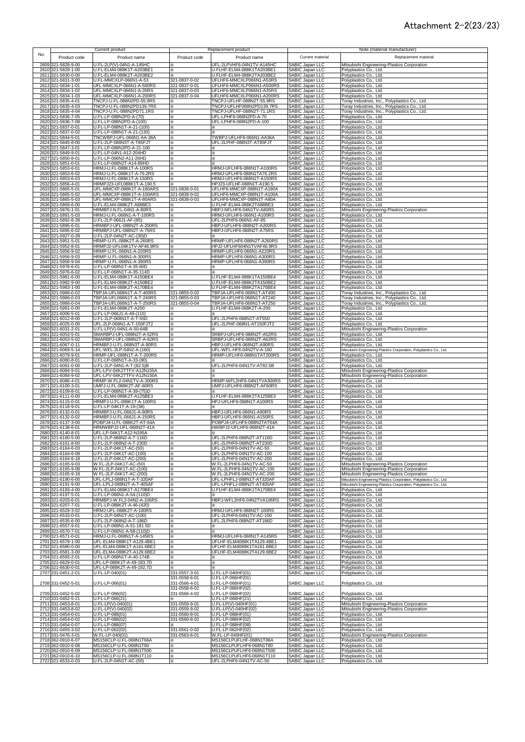## Attachment 2-2(23/23)

| No. | Product code                             | Current product<br>Product name                        | Product code                   | Replacement product<br>Product name                    | Current material                                                         | Note (material manufacturer)<br>Replacement material                                                               |
|-----|------------------------------------------|--------------------------------------------------------|--------------------------------|--------------------------------------------------------|--------------------------------------------------------------------------|--------------------------------------------------------------------------------------------------------------------|
|     | 2609 321-5828-9-00<br>2610 321-5829-1-00 | U.FL-2LP(V)-04N1-A-145HC<br>U.FL-ELM4-088K1T-A203BE1   | ×<br>⋇                         | UFL-2LPVHF6-04N1TV-A145HC<br>U.FLHF-ELM4-088K1TA203BE1 | SABIC Japan LLC<br>SABIC Japan LLC                                       | Mitsubishi Engineering-Plastics Corporation<br>Polyplastics Co., Ltd.                                              |
|     | 2611 321-5830-0-00<br>2612 321-5831-3-00 | U.FL-ELM4-088K2T-A203BE2<br>U.FL-MMCXLP-066N1-A-53     | 321-0837-0-02                  | U.FLHF-ELM4-088K2TA203BE2<br>UFLHF6-MMCXLP066N1-A53RS  | SABIC Japan LLC<br>SABIC Japan LLC<br>SABIC Japan LLC                    | Polyplastics Co., Ltd.                                                                                             |
|     | 2613 321-5834-1-01                       | UFL-MMCXLP-066N1-A-500RS                               | 321-0837-0-01                  | UFLHF6-MMCXLP066N1-A500RS                              |                                                                          | Polyplastics Co., Ltd.<br>Polyplastics Co., Ltd.                                                                   |
|     | 2614 321-5834-1-02<br>2615 321-5834-1-03 | UFL-MMCXLP-066N1-A-35RS<br>UFL-MMCXLP-066N1-A-200RS    | 321-0837-0-03<br>321-0837-0-04 | UFLHF6-MMCXLP066N1-A35RS<br>UFLHF6-MMCXLP066N1-A200RS  | SABIC Japan LLC<br>SABIC Japan LLC                                       | Polyplastics Co., Ltd.<br>Polyplastics Co., Ltd.                                                                   |
|     | 2616 321-5835-4-01<br>2617 321-5835-4-03 | TNCPJ-U.FL-088N2PD-55.9RS<br>TNCPJ-U.FL-088N2PD139.7RS | ⋇<br>×                         | TNCPJ-UFLHF-088N2T-55.9RS<br>TNCPJ-UFLHF088N2PD139.7RS | SABIC Japan LLC<br>SABIC Japan LLC                                       | Toray Industries, Inc., Polyplastics Co., Ltd.<br>Toray Industries, Inc., Polyplastics Co., Ltd.                   |
|     | 2618 321-5835-4-04<br>2619 321-5836-7-05 | TNCPJ-U.FL-088N2PD71.1RS<br>U.FL-LP-088N2PD-A-(70)     | ×<br>⋇                         | TNCPJ-UFLHF-088N2T-71.1RS<br>UFL-LPHF6-088N2PD-A-70    | SABIC Japan LLC<br>SABIC Japan LLC                                       | Toray Industries, Inc., Polyplastics Co., Ltd.<br>Polyplastics Co., Ltd.                                           |
|     | 2620 321-5836-7-08<br>2621 321-5837-0-01 | U.FL-LP-088N2PD-A-(100)<br>U.FL-LP-088N1T-A-21-(100)   | ⋇                              | UFL-LPHF6-088N2PD-A-100                                | SABIC Japan LLC<br>SABIC Japan LLC                                       | Polyplastics Co., Ltd.                                                                                             |
|     | 2622 321-5837-0-02                       | U.FL-LP-088N1T-A-21-(130)                              | X.<br>⋇                        |                                                        | SABIC Japan LLC                                                          | Polyplastics Co., Ltd.<br>Polyplastics Co., Ltd.                                                                   |
|     | 2623 321-5844-5-01<br>2624 321-5845-8-00 | TNCWBPJ-UFL-066N1-AA-36A<br>U.FL-2LP-088N3T-A-T85FJT   | ⋇<br>×.                        | TWBPJ-UFLHF6-066N1-AA36A<br>UFL-2LPHF-088N3T-AT85FJT   | SABIC Japan LLC<br>SABIC Japan LLC                                       | Polyplastics Co., Ltd.<br>Polyplastics Co., Ltd.                                                                   |
|     | 2625 321-5847-3-01<br>2626 321-5849-9-01 | U.FL-LP-088N2PD-A-21-100<br>U.FL-LP-04N1-A12-204HD     | ⋇<br>⋇                         | ⋇<br>×                                                 | SABIC Japan LLC<br>SABIC Japan LLC                                       | Polyplastics Co., Ltd.<br>Polyplastics Co., Ltd.                                                                   |
|     | 2627 321-5850-8-01<br>2628 321-5851-0-01 | U.FL-LP-066N2-A11-26HD<br>U.FL-LP-068N2T-A14-89HD      | ⋇<br>⋇                         | ×<br>×                                                 | SABIC Japan LLC<br><b>SABIC Japan LLC</b>                                | Polyplastics Co., Ltd.<br>Polyplastics Co., Ltd.                                                                   |
|     | 2629 321-5853-6-01<br>2630 321-5853-6-02 | HRMJ-U.FL-088K1T-A-100RS<br>HRMJ-U.FL-088K1T-A-76.2RS  | ⋇<br>×                         | HRMJ-UFLHF6-088N1T-A100RS<br>HRMJ-UFLHF6-088N1TA76.2RS | SABIC Japan LLC<br>SABIC Japan LLC                                       | Polyplastics Co., Ltd.<br>Polyplastics Co., Ltd.                                                                   |
|     | 2631 321-5853-6-03                       | HRMJ-U.FL-088K1T-A-150RS                               | ⋇                              | HRMJ-UFLHF6-088N1T-A150RS                              | SABIC Japan LLC                                                          | Polyplastics Co., Ltd.                                                                                             |
|     | 2632 321-5856-4-01<br>2633 321-5865-5-01 | HRMPJ23-UFL088K1T-A-190.5<br>UFL-MMCXP-088K1T-A-180ARS | ×<br>321-0838-0-01             | HPJ23-UFLHF-088N1T-A190.5<br>UFLHF6-MMCXP-088N1T-A180A | SABIC Japan LLC<br>SABIC Japan LLC                                       | Polyplastics Co., Ltd.<br>Polyplastics Co., Ltd.                                                                   |
|     | 2634 321-5865-5-02<br>2635 321-5865-5-03 | UFL-MMCXP-088K1T-A-100ARS<br>UFL-MMCXP-088K1T-A-80ARS  | 321-0838-0-02<br>321-0838-0-03 | UFLHF6-MMCXP-088N1T-A100A<br>UFLHF6-MMCXP-088N1T-A80A  | SABIC Japan LLC<br>SABIC Japan LLC                                       | Polyplastics Co., Ltd.<br>Polyplastics Co., Ltd.                                                                   |
|     | 2636 321-5869-6-00<br>2637 321-5876-1-01 | U.FL-ELM4-088K2T-A88BE3<br>HRMBPJ-N.FL-04N1-A-80RS     | X<br>⋇                         | U.FLHF-ELM4-088K2TA88BE3<br>HBPJ-NFLHF6-04N1TV-A80RS   | SABIC Japan LLC                                                          | Polyplastics Co., Ltd.<br>Mitsubishi Engineering-Plastics Corporation                                              |
|     | 2638 321-5891-5-03<br>2639 321-5892-8-28 | HRMJ-U.FL-066N1-A-T-100RS<br>U.FL-2LP-066J1-AF-(85)    | ፠<br>፠                         | HRMJ-UFLHF6-066N1-A100RS<br>UFL-2LPHF6-066N1-AF-85     | SABIC Japan LLC<br>SABIC Japan LLC<br>SABIC Japan LLC<br>SABIC Japan LLC | Polyplastics Co., Ltd.<br>Polyplastics Co., Ltd.                                                                   |
|     | 2640 321-5895-6-01<br>2641 321-5895-6-02 | HRMBPJ-UFL-088N2T-A-200RS<br>HRMBPJ-UFL-088N2T-A-75RS  | ⋇<br>×.                        | HBPJ-UFLHF6-088N2T-A200RS<br>HBPJ-UFLHF6-088N2T-A75RS  | SABIC Japan LLC                                                          | Polyplastics Co., Ltd.<br>Polyplastics Co., Ltd.                                                                   |
|     | 2642 321-5927-0-28<br>2643 321-5951-5-01 | U.FL-2LP-04N2T-AC-(30)D<br>HRMP-U.FL-088K2T-A-260RS    | ⋇<br>×                         | HRMP-UFLHF6-088N2T-A260RS                              | SABIC Japan LLC<br>SABIC Japan LLC                                       | Polyplastics Co., Ltd.<br>Polyplastics Co., Ltd.                                                                   |
|     | 2644 321-5952-8-01                       | HRMPJ2-UFL04K1TV-AF46.9RS                              | ⋇                              | HPJ2-UFLHF604N1TVAF46.9RS                              | <b>SABIC Japan LLC</b>                                                   | Polyplastics Co., Ltd.                                                                                             |
|     | 2645 321-5956-9-02<br>2646 321-5956-9-03 | HRMP-U.FL-066N1-A-220RS<br>HRMP-U.FL-066N1-A-300RS     | ×<br>×                         | HRMP-UFLHF6-066N1-A220RS<br>HRMP-UFLHF6-066N1-A300RS   | SABIC Japan LLC<br>SABIC Japan LLC                                       | Polyplastics Co., Ltd.<br>Polyplastics Co., Ltd.                                                                   |
|     | 2647 321-5956-9-04<br>2648 321-5976-6-01 | HRMP-U.FL-066N1-A-390RS<br>U.FL-LP-068N1T-A-35-60D     | ×<br>×.                        | HRMP-UFLHF6-066N1-A390RS<br>×.                         | SABIC Japan LLC<br>SABIC Japan LLC                                       | Polyplastics Co., Ltd.<br>Polyplastics Co., Ltd.                                                                   |
|     | 2649 321-5976-6-02<br>2650 321-5981-6-00 | U.FL-LP-068N1T-A-35-114D<br>U.FL-ELM4-088K1T-A150BE4   | ×.<br>×                        | ×.<br>U.FLHF-ELM4-088K1TA150BE4                        | SABIC Japan LLC<br>SABIC Japan LLC                                       | Polyplastics Co., Ltd.<br>Polyplastics Co., Ltd.                                                                   |
|     | 2651 321-5982-9-00<br>2652 321-5983-1-00 | U.FL-ELM4-088K2T-A150BE2<br>U.FL-ELM4-088K2T-A170BE4   | ⋇<br>×                         | U.FLHF-ELM4-088K2TA150BE2<br>U.FLHF-ELM4-088K2TA170BE4 | SABIC Japan LLC<br>SABIC Japan LLC                                       | Polyplastics Co., Ltd.<br>Polyplastics Co., Ltd.                                                                   |
|     | 2653 321-5986-0-02<br>2654 321-5986-0-03 | TBPJA-UFL068N1T-A-T-400RS<br>TBPJA-UFL068N1T-A-T-240RS | 321-0855-0-02<br>321-0855-0-03 | TBPJA-UFLHF6-068N1T-AT400<br>TBPJA-UFLHF6-068N1T-AT240 | SABIC Japan LLC<br>SABIC Japan LLC                                       | Toray Industries, Inc., Polyplastics Co., Ltd.<br>Toray Industries, Inc., Polyplastics Co., Ltd.                   |
|     | 2655 321-5986-0-04                       | TBPJA-UFL068N1T-A-T-250RS                              | 321-0855-0-04                  | TBPJA-UFLHF6-068N1T-AT250                              | SABIC Japan LLC                                                          | Toray Industries, Inc., Polyplastics Co., Ltd.                                                                     |
|     | 2656 321-5991-0-00<br>2657 321-6006-5-01 | U.FL-ELM4-088K2T-A200<br>U.FL-LP-066J1-A-49-(110)      | ×<br>×                         | U.FLHF-ELM4-088K2T-A-200                               | SABIC Japan LLC<br>SABIC Japan LLC                                       | Polyplastics Co., Ltd.<br>Polyplastics Co., Ltd.                                                                   |
|     | 2658 321-6012-8-00<br>2659 321-6025-0-00 | U.FL-2LP-068N1T-A-T-55D<br>UFL-2LP-068N1-A-T-150FJT2   | ×<br>X                         | UFL-2LPHF6-068N1T-AT55D<br>UFL-2LPHF-068N1-AT150FJT2   | SABIC Japan LLC<br>SABIC Japan LLC<br>SABIC Japan LLC                    | Polyplastics Co., Ltd.<br>Polyplastics Co., Ltd.                                                                   |
|     | 2660 321-6031-2-01<br>2661 321-6053-5-01 | U.FL-LP(V)-04N1-A-50-64B<br>SMARBPJ-UFL-088N2T-A-52RS  | ⋇<br>⋇                         | SRBPJ-UFLHF6-088N2T-A52RS                              | SABIC Japan LLC                                                          | Mitsubishi Engineering-Plastics Corporation<br>Polyplastics Co., Ltd.                                              |
|     | 2662 321-6053-5-02<br>2663 321-6067-0-11 | SMARBPJ-UFL-088N2T-A-62RS<br>HRMBPJ-U.FL-068N3T-A-90RS | ×.<br>፠                        | SRBPJ-UFLHF6-088N2T-A62RS<br>HBPJ-UFLHF6-068N3T-A90RS  | SABIC Japan LLC<br>SABIC Japan LLC<br>SABIC Japan LLC                    | Polyplastics Co., Ltd.<br>Polyplastics Co., Ltd.                                                                   |
|     | 2664 321-6069-5-14<br>2665 321-6079-9-01 | UFL-WFL-2LP-04N2-A-(160)<br>HRMP-UFL-088N1T-A-T-200RS  | ፠<br>×                         | UFL-WFL-HF6-04N2TV-A-160<br>HRMP-UFLHF6-088N1TAT200RS  |                                                                          | Mitsubishi Engineering-Plastics Corporation, Polyplastics Co., Ltd.<br>Polyplastics Co., Ltd.                      |
|     | 2666 321-6080-8-01<br>2667 321-6081-0-00 | U.FL-LP-068N1T-A-33-(90)<br>U.FL-2LP-04N1-A-T-(82.5)B  | ×<br>×                         | UFL-2LPHF6-04N1TV-AT82.5B                              | SABIC Japan LLC<br>SABIC Japan LLC<br>SABIC Japan LLC                    | Polyplastics Co., Ltd.<br>Polyplastics Co., Ltd.                                                                   |
|     | 2668 321-6084-9-01<br>2669 321-6084-9-02 | UFL-LPV-04K2TTFV-A12N155A<br>UFL-LPV-04K2TTFV-A12N150A | ×<br>፠                         | ⋇<br>×.                                                | SABIC Japan LLC<br>SABIC Japan LLC                                       | Mitsubishi Engineering-Plastics Corporation<br>Mitsubishi Engineering-Plastics Corporation                         |
|     | 2670 321-6086-4-01                       | HRMP-W.FL2-04N1TV-A-300RS                              | ×                              | HRMP-WFL2HF6-04N1TVA300RS                              | SABIC Japan LLC                                                          | Polyplastics Co., Ltd.                                                                                             |
|     | 2671 321-6100-3-01<br>2672 321-6109-8-01 | UMPJ-U.FL-088K2T-AF-60RS<br>U.FL-LP-068N1T-A-39-(75)D  | ⋇<br>⋇                         | UMPJ-UFLHF6-088N2T-AF60RS                              | SABIC Japan LLC<br>SABIC Japan LLC                                       | Polyplastics Co., Ltd.<br>Polyplastics Co., Ltd.                                                                   |
|     | 2673 321-6111-0-00<br>2674 321-6115-0-01 | U.FL-ELM4-088K2T-A125BE3<br>HRMPJ-U.FL-088K1T-A-100RS  | ⋇<br>×.                        | U.FLHF-ELM4-088K2TA125BE3<br>HPJ-UFLHF6-088N1T-A100RS  | SABIC Japan LLC<br>SABIC Japan LLC                                       | Polyplastics Co., Ltd.<br>Polyplastics Co., Ltd.                                                                   |
|     | 2675 321-6118-9-01<br>2676 321-6132-0-01 | U.FL-LP-04K1T-A-19-(38)<br>HRMBPJ-U.FL-066J1-A-90RS    | ×.<br>⋇                        | HBPJ-UFLHF6-066N1-A90RS                                | SABIC Japan LLC<br>SABIC Japan LLC                                       | Polyplastics Co., Ltd.<br>Polyplastics Co., Ltd.                                                                   |
|     | 2677 321-6132-0-02<br>2678 321-6137-3-00 | HRMBPJ-U.FL-066J1-A-150RS<br>POBPJ4-U.FL-088K2T-AT-64A | ⋇<br>⋇                         | HBPJ-UFLHF6-066N1-A150RS<br>POBPJ4-UFLHF6-088N2TAT64A  | SABIC Japan LLC<br>SABIC Japan LLC                                       | Polyplastics Co., Ltd.<br>Polyplastics Co., Ltd.                                                                   |
|     | 2679 321-6138-6-01<br>2680 321-6140-8-01 | HRMWBPJ2-UFL-068N2T-41A<br>UFL-LP-04K1T-A12-N195A      | ⋇<br>×                         | HWBPJ2-UFLHF6-068N2T-41A<br>⋇                          | SABIC Japan LLC<br>SABIC Japan LLC                                       | Polyplastics Co., Ltd.<br>Polyplastics Co., Ltd.                                                                   |
|     | 2681 321-6160-5-00<br>2682 321-6161-8-00 | U.FL-2LP-068N2-A-T-116D<br>U.FL-2LP-068N2-A-T-230D     | ⋇                              | UFL-2LPHF6-068N2T-AT116D<br>UFL-2LPHF6-068N2T-AT230D   | SABIC Japan LLC<br>SABIC Japan LLL                                       | Polyplastics Co., Ltd.<br>Polyplastics Co., Ltd.                                                                   |
|     | 2683 321-6164-6-03<br>2684 321-6164-6-08 | U.FL-2LP-04K1T-AC-(50)<br>U.FL-2LP-04K1T-AC-(100)      | ⋇                              | UFL-2LPHF6-04N1TV-AC-50<br>UFL-2LPHF6-04N1TV-AC-100    | SABIC Japan LLC                                                          | Polyplastics Co., Ltd.<br>Polyplastics Co., Ltd.                                                                   |
|     | 2685 321-6164-6-18                       | U.FL-2LP-04K1T-AC-(200)                                | ×<br>⋇                         | UFL-2LPHF6-04N1TV-AC-200                               | SABIC Japan LLC<br>SABIC Japan LLC                                       | Polyplastics Co., Ltd.                                                                                             |
|     | 2686 321-6165-9-03<br>2687 321-6165-9-08 | W.FL-2LP-04K1T-AC-(50)<br>W.FL-2LP-04K1T-AC-(100)      | ×<br>×                         | W.FL-2LPHF6-04N1TV-AC-50<br>W.FL-2LPHF6-04N1TV-AC-100  | SABIC Japan LLC<br>SABIC Japan LLC                                       | Mitsubishi Engineering-Plastics Corporation<br>Mitsubishi Engineering-Plastics Corporation                         |
|     | 2688 321-6165-9-18<br>2689 321-6190-6-00 | W.FL-2LP-04K1T-AC-(200)<br>UFL-LPLJ-088N1T-A-T-320AF   | ፠<br>×                         | W.FL-2LPHF6-04N1TV-AC-200<br>UFL-LPHFLJ-088N1T-AT320AF | SABIC Japan LLC<br>SABIC Japan LLC                                       | Mitsubishi Engineering-Plastics Corporation<br>Mitsubishi Engineering-Plastics Corporation, Polyplastics Co., Ltd. |
|     | 2690 321-6191-9-00<br>2691 321-6193-4-00 | UFL-LPLJ-088N2T-A-T-405AF<br>U.FL-ELM4-088K1T-A170BE4  | ⋇<br>X                         | UFL-LPHFLJ-088N2T-AT405AF<br>U.FLHF-ELM4-088K1TA170BE4 | SABIC Japan LLC<br>SABIC Japan LLC                                       | Mitsubishi Engineering-Plastics Corporation, Polyplastics Co., Ltd.<br>Polyplastics Co., Ltd.                      |
|     | 2692 321-6197-5-01<br>2693 321-6203-6-01 | U.FL-LP-066N1-A-54-(110)D<br>HRMBPJ-W.FL2-04N2-A-106RS | ×<br>×                         | HBPJ-WFL2HF6-04N2TVA106RS                              | SABIC Japan LLC<br>SABIC Japan LLC                                       | Polyplastics Co., Ltd.<br>Polyplastics Co., Ltd.                                                                   |
|     | 2694 321-6207-7-01<br>2695 321-6529-3-02 | U.FL-LP-088K2T-A-46-(420)<br>HRMJ-UFL-088K2T-A-100RS   | ×<br>⋇                         | HRMJ-UFLHF6-088N2T-100RS                               | SABIC Japan LLC<br>SABIC Japan LLC                                       | Polyplastics Co., Ltd.<br>Polyplastics Co., Ltd.                                                                   |
|     | 2696 321-6533-0-01<br>2697 321-6535-6-00 | U.FL-2LP-04N1T-AC-(100)<br>U.FL-2LP-068N2-A-T-186D     | ⋇<br>X.                        | UFL-2LPHF6-04N1TV-AC-100<br>UFL-2LPHF6-068N2T-AT186D   | SABIC Japan LLC<br>SABIC Japan LLC                                       | Polyplastics Co., Ltd.<br>Polyplastics Co., Ltd.                                                                   |
|     | 2698 321-6557-9-01                       | U.FL-LP-068N1-A-51-181.5D<br>U.FL-LP-066N1-A-58-(110)D | ×                              | ⋇                                                      | SABIC Japan LLC                                                          | Polyplastics Co., Ltd.                                                                                             |
|     | 2699 321-6570-7-01<br>2700 321-6571-0-01 | HRMJ-U.FL-068N1T-A-145RS                               | ×<br>×                         | ×.<br>HRMJ-UFLHF6-068N1T-A145RS                        | SABIC Japan LLC<br>SABIC Japan LLC                                       | Polyplastics Co., Ltd.<br>Polyplastics Co., Ltd.                                                                   |
|     | 2701 321-6579-1-00<br>2702 321-6580-0-00 | UFL-ELM4-088K1T-A129.4BE1<br>UFL-ELM4-088K1T-A161.6BE2 | ×<br>×                         | UFLHF-ELM4088K1TA129.4BE1<br>UFLHF-ELM4088K1TA161.6BE2 | SABIC Japan LLC<br>SABIC Japan LLC                                       | Polyplastics Co., Ltd.<br>Polyplastics Co., Ltd.                                                                   |
|     | 2703 321-6581-3-00<br>2704 321-6593-2-01 | UFL-ELM4-088K2T-A129.6BE2<br>U.FL-LP-068N1T-A-40-174B  | ⋇<br>×                         | UFLHF-ELM4088K2TA129.6BE2<br>Ж                         | SABIC Japan LLC<br>SABIC Japan LLC                                       | Polyplastics Co., Ltd.<br>Polyplastics Co., Ltd.                                                                   |
|     | 2705 321-6629-0-01<br>2706 321-6630-0-01 | UFL-LP-088K1T-A-49-183.7D<br>UFL-LP-088K2T-A-49-192.7D | ×<br>×                         | ×<br>×                                                 | SABIC Japan LLC<br>SABIC Japan LLC                                       | Polyplastics Co., Ltd.<br>Polyplastics Co., Ltd.                                                                   |
|     | 2707 331-0451-2-01                       | U.FL-LP-040(01)                                        | 331-0557-3-01<br>331-0558-6-01 | U.FL-LP-040HF(01)<br>U.FL-LP-066HF(01)                 | SABIC Japan LLC                                                          | Polyplastics Co., Ltd.                                                                                             |
|     | 2708 331-0452-5-01                       | U.FL-LP-066(01)                                        | 331-0566-4-01<br>331-0558-6-02 | U.FL-LP-068HF(01)<br>U.FL-LP-066HF(02)                 | SABIC Japan LLC                                                          | Polyplastics Co., Ltd.                                                                                             |
|     | 2709 331-0452-5-02                       | J.FL-LP-066(02)                                        | 331-0566-4-02                  | U.FL-LP-068HF(02)                                      | SABIC Japan LLC                                                          | Polyplastics Co., Ltd.                                                                                             |
|     | 2710 331-0452-5-21<br>2711 331-0453-8-01 | U.FL-LP-066(21)<br>U.FL-LP(V)-040(01)                  | 331-0559-9-01                  | U.FL-LP-068HF(21)<br>U.FL-LP(V)-040HF(01)              | SABIC Japan LLC<br>SABIC Japan LLC                                       | Polyplastics Co., Ltd.<br>Mitsubishi Engineering-Plastics Corporation                                              |
|     | 2712 331-0453-8-02<br>2713 331-0454-0-01 | U.FL-LP(V)-040(02)                                     | 331-0559-9-02<br>331-0560-8-01 | U.FL-LP(V)-040HF(02)<br>U.FL-LP-088HF(01)              | SABIC Japan LLC<br>SABIC Japan LLC<br>SABIC Japan LLC                    | Mitsubishi Engineering-Plastics Corporation<br>Polyplastics Co., Ltd.                                              |
|     | 2714 331-0454-0-02<br>2715 331-0454-0-07 | U.FL-LP-088(01)<br>U.FL-LP-088(02)<br>U.FL-LP-088(07)  | 331-0560-8-02                  | U.FL-LP-088HF(02)<br>U.FL-LP-088HF(08)                 | SABIC Japan LLC                                                          | Polyplastics Co., Ltd.<br>Polyplastics Co., Ltd.                                                                   |
|     | 2716 331-0455-3-02<br>2717 331-0476-3-01 | U.FL-LP-062(02)<br>W.FL-LP-040(01)                     | 331-0561-0-02<br>331-0563-6-01 | U.FL-LP-062HF(02)<br>W.FL-LP-040HF(01)                 | SABIC Japan LLC<br>SABIC Japan LLC                                       | Polyplastics Co., Ltd.<br>Mitsubishi Engineering-Plastics Corporation                                              |
|     | 2718 362-0910-6-07<br>2719 362-0910-6-08 | MS156CLP-U.FL-068N1T66A<br>MS156CLP-U.FL-068N1T80      | ×<br>×                         | MS156CLPUFLHF-068N1T86A<br>MS156CLPUFLHF6-068N1T80     | SABIC Japan LLC<br>SABIC Japan LLC                                       | Polyplastics Co., Ltd.<br>Polyplastics Co., Ltd.                                                                   |
|     | 2720 362-0910-6-09                       | MS156CLP-U.FL-068N1T500                                | ፠                              | MS156CLPUFLHF6-068N1T500<br>MS156CLPUFLHF6-068N1T110   | SABIC Japan LLC                                                          | Polyplastics Co., Ltd.                                                                                             |
|     | 2721 362-0910-6-10<br>2722 321-6533-0-03 | MS156CLP-U.FL-068N1T110<br>U.FL-2LP-04N1T-AC-(50)      | ×<br>×                         | UFL-2LPHF6-04N1TV-AC-50                                | SABIC Japan LLC<br>SABIC Japan LLC                                       | Polyplastics Co., Ltd.<br>Polyplastics Co., Ltd.                                                                   |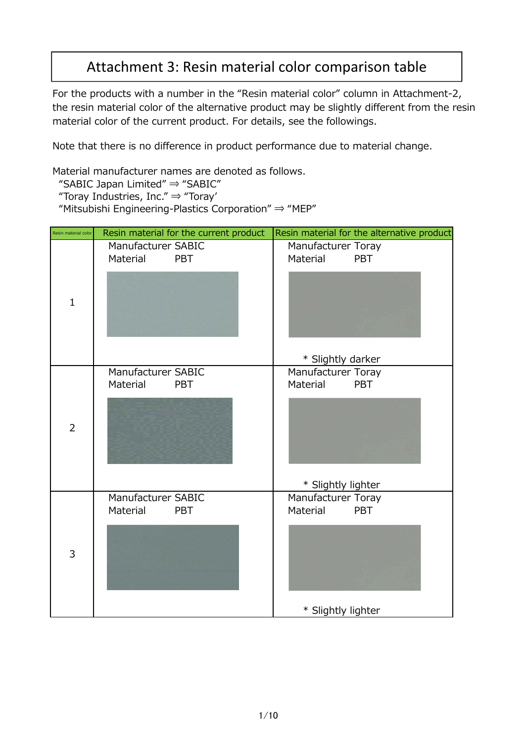# Attachment 3: Resin material color comparison table

For the products with a number in the "Resin material color" column in Attachment-2, the resin material color of the alternative product may be slightly different from the resin material color of the current product. For details, see the followings.

Note that there is no difference in product performance due to material change.

Material manufacturer names are denoted as follows.

"SABIC Japan Limited" ⇒ "SABIC"

"Toray Industries, Inc."  $\Rightarrow$  "Toray"

"Mitsubishi Engineering-Plastics Corporation" ⇒ "MEP"

| Resin material color | Resin material for the current product       | Resin material for the alternative product   |
|----------------------|----------------------------------------------|----------------------------------------------|
|                      | Manufacturer SABIC<br>Material<br><b>PBT</b> | Manufacturer Toray<br><b>PBT</b><br>Material |
| $\mathbf{1}$         |                                              |                                              |
|                      |                                              | * Slightly darker                            |
|                      | Manufacturer SABIC<br>Material<br><b>PBT</b> | Manufacturer Toray<br><b>PBT</b><br>Material |
| $\overline{2}$       |                                              |                                              |
|                      |                                              | * Slightly lighter                           |
|                      | Manufacturer SABIC<br>Material<br><b>PBT</b> | Manufacturer Toray<br>Material<br><b>PBT</b> |
| 3                    |                                              |                                              |
|                      |                                              | * Slightly lighter                           |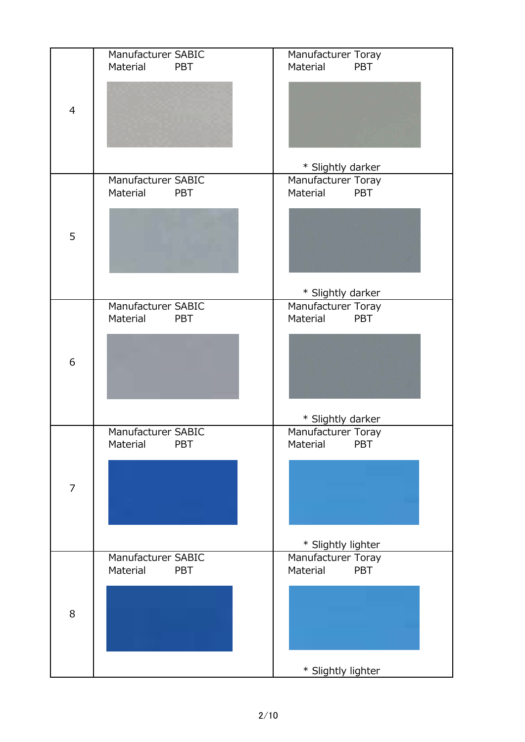|                | Manufacturer SABIC<br>Material<br><b>PBT</b> | Manufacturer Toray<br>Material<br><b>PBT</b> |
|----------------|----------------------------------------------|----------------------------------------------|
| $\overline{4}$ |                                              |                                              |
|                |                                              | * Slightly darker                            |
|                | Manufacturer SABIC<br>Material<br><b>PBT</b> | Manufacturer Toray<br>PBT<br>Material        |
| 5              |                                              |                                              |
|                |                                              | * Slightly darker                            |
|                | Manufacturer SABIC                           | Manufacturer Toray                           |
|                | Material<br><b>PBT</b>                       | Material<br><b>PBT</b>                       |
| 6              |                                              |                                              |
|                |                                              | * Slightly darker                            |
|                | Manufacturer SABIC<br>Material<br>PBT        | Manufacturer Toray<br>Material<br>PBT        |
| $\overline{7}$ |                                              |                                              |
|                |                                              |                                              |
|                | Manufacturer SABIC                           | * Slightly lighter<br>Manufacturer Toray     |
|                | Material<br><b>PBT</b>                       | Material<br><b>PBT</b>                       |
| 8              |                                              |                                              |
|                |                                              |                                              |
|                |                                              | * Slightly lighter                           |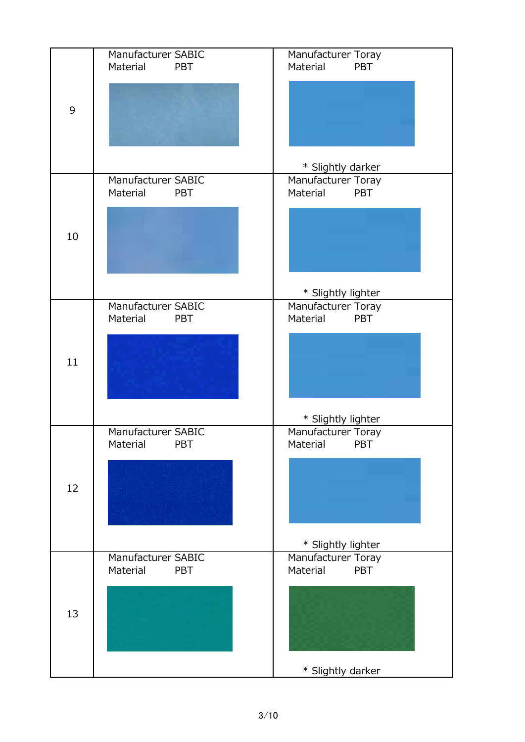|    | Manufacturer SABIC<br>Material<br><b>PBT</b> | Manufacturer Toray<br>Material<br><b>PBT</b> |
|----|----------------------------------------------|----------------------------------------------|
|    |                                              |                                              |
| 9  |                                              |                                              |
|    |                                              |                                              |
|    |                                              | * Slightly darker                            |
|    | Manufacturer SABIC<br>Material<br><b>PBT</b> | Manufacturer Toray<br>PBT<br>Material        |
| 10 |                                              |                                              |
|    |                                              |                                              |
|    |                                              | * Slightly lighter                           |
|    | Manufacturer SABIC<br>Material<br><b>PBT</b> | Manufacturer Toray<br>Material<br><b>PBT</b> |
| 11 |                                              |                                              |
|    |                                              |                                              |
|    |                                              | * Slightly lighter                           |
|    | Manufacturer SABIC<br>Material<br><b>PBT</b> | Manufacturer Toray<br>Material<br><b>PBT</b> |
|    |                                              |                                              |
| 12 |                                              |                                              |
|    |                                              | * Slightly lighter                           |
|    | Manufacturer SABIC<br>Material<br><b>PBT</b> | Manufacturer Toray<br>Material<br>PBT        |
|    |                                              |                                              |
| 13 |                                              |                                              |
|    |                                              | * Slightly darker                            |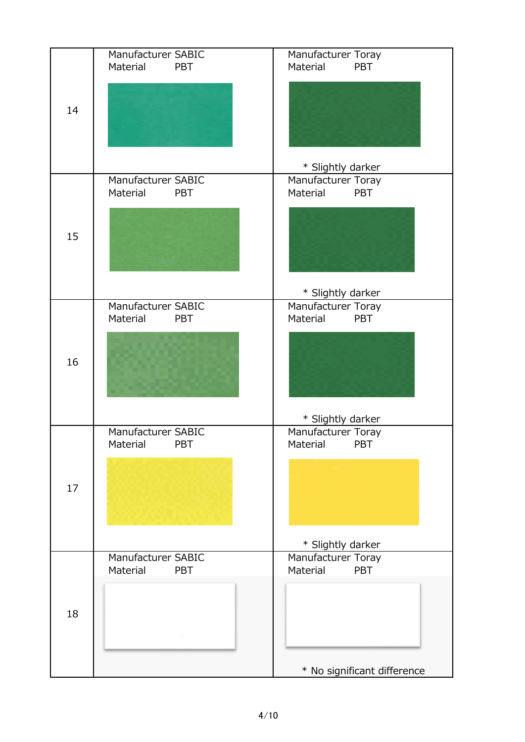|    | Manufacturer SABIC<br>Material<br><b>PBT</b> | Manufacturer Toray<br>Material<br><b>PBT</b> |
|----|----------------------------------------------|----------------------------------------------|
| 14 |                                              |                                              |
|    |                                              | * Slightly darker                            |
| 15 | Manufacturer SABIC<br>Material<br><b>PBT</b> | Manufacturer Toray<br>Material<br><b>PBT</b> |
|    |                                              |                                              |
|    |                                              | * Slightly darker                            |
| 16 | Manufacturer SABIC<br>Material<br><b>PBT</b> | Manufacturer Toray<br>Material<br><b>PBT</b> |
|    |                                              |                                              |
|    |                                              | * Slightly darker                            |
| 17 | Manufacturer SABIC<br>Material<br>PBT        | Manufacturer Toray<br>Material<br>PBT        |
|    |                                              |                                              |
|    |                                              | * Slightly darker                            |
| 18 | Manufacturer SABIC<br>Material<br><b>PBT</b> | Manufacturer Toray<br>Material<br><b>PBT</b> |
|    |                                              |                                              |
|    |                                              | * No significant difference                  |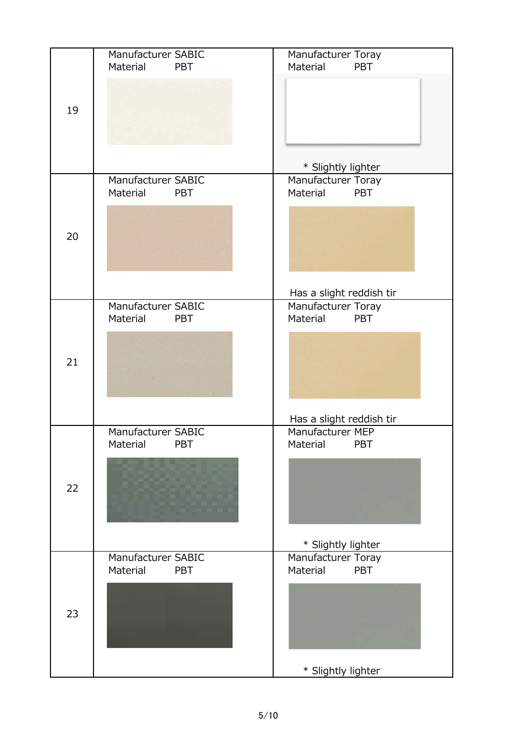|    | Manufacturer SABIC<br>Material<br><b>PBT</b> | Manufacturer Toray<br>Material<br><b>PBT</b>   |
|----|----------------------------------------------|------------------------------------------------|
|    |                                              |                                                |
| 19 |                                              |                                                |
|    |                                              |                                                |
|    |                                              | * Slightly lighter                             |
|    | Manufacturer SABIC<br>Material<br><b>PBT</b> | Manufacturer Toray<br>Material<br><b>PBT</b>   |
|    |                                              |                                                |
| 20 |                                              |                                                |
|    |                                              |                                                |
|    |                                              |                                                |
|    | Manufacturer SABIC                           | Has a slight reddish tir<br>Manufacturer Toray |
|    | Material<br><b>PBT</b>                       | Material<br><b>PBT</b>                         |
|    |                                              |                                                |
| 21 |                                              |                                                |
|    |                                              |                                                |
|    |                                              | Has a slight reddish tir                       |
|    | Manufacturer SABIC                           | Manufacturer MEP                               |
|    | Material<br>PBT                              | Material<br>PBT                                |
|    |                                              |                                                |
| 22 |                                              |                                                |
|    |                                              |                                                |
|    |                                              | * Slightly lighter                             |
| 23 | Manufacturer SABIC<br>Material<br><b>PBT</b> | Manufacturer Toray<br>Material<br>PBT          |
|    |                                              |                                                |
|    |                                              |                                                |
|    |                                              |                                                |
|    |                                              | * Slightly lighter                             |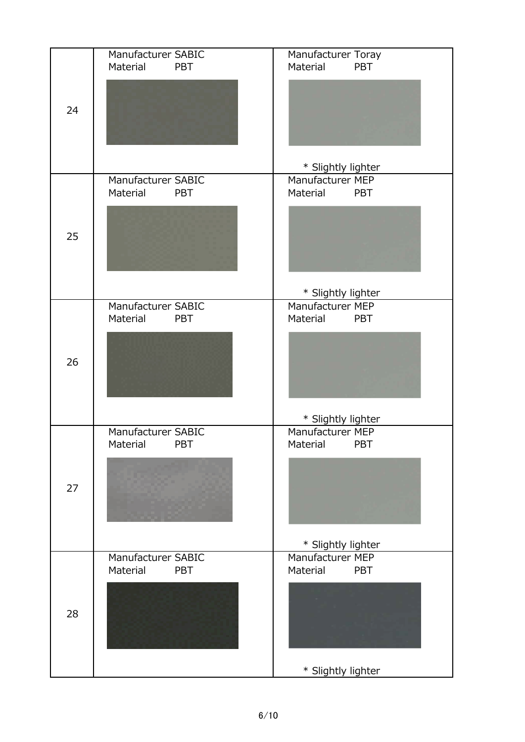|    | Manufacturer SABIC<br>Material<br><b>PBT</b> | Manufacturer Toray<br>Material<br><b>PBT</b> |
|----|----------------------------------------------|----------------------------------------------|
| 24 |                                              |                                              |
|    |                                              | * Slightly lighter                           |
|    | Manufacturer SABIC<br>Material<br><b>PBT</b> | Manufacturer MEP<br>Material<br><b>PBT</b>   |
| 25 |                                              |                                              |
|    |                                              | * Slightly lighter                           |
|    | Manufacturer SABIC<br>Material<br><b>PBT</b> | Manufacturer MEP<br>Material<br><b>PBT</b>   |
| 26 |                                              |                                              |
|    |                                              | * Slightly lighter                           |
|    | Manufacturer SABIC<br>Material<br>PBT        | Manufacturer MEP<br>Material<br>PBT          |
| 27 |                                              |                                              |
|    |                                              | * Slightly lighter                           |
|    | Manufacturer SABIC<br>Material<br><b>PBT</b> | Manufacturer MEP<br>Material<br><b>PBT</b>   |
| 28 |                                              |                                              |
|    |                                              | * Slightly lighter                           |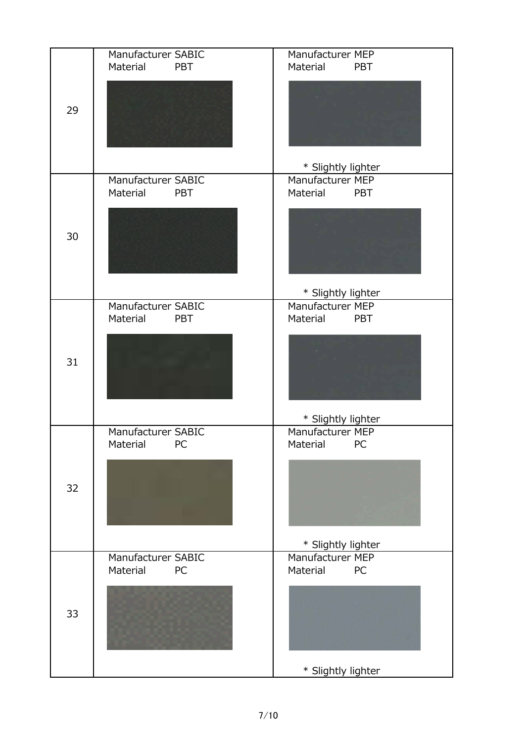|    | Manufacturer SABIC<br>Material<br><b>PBT</b> | Manufacturer MEP<br>Material<br><b>PBT</b> |
|----|----------------------------------------------|--------------------------------------------|
| 29 |                                              |                                            |
|    | Manufacturer SABIC                           | * Slightly lighter<br>Manufacturer MEP     |
|    | Material<br><b>PBT</b>                       | Material<br><b>PBT</b>                     |
| 30 |                                              |                                            |
|    |                                              | * Slightly lighter                         |
|    | Manufacturer SABIC<br>Material<br><b>PBT</b> | Manufacturer MEP<br>Material PBT           |
| 31 |                                              |                                            |
|    |                                              | * Slightly lighter                         |
|    | Manufacturer SABIC<br>Material<br>PC         | Manufacturer MEP<br>Material<br>PC         |
| 32 |                                              |                                            |
|    |                                              | * Slightly lighter                         |
|    | Manufacturer SABIC<br>Material<br>PC         | Manufacturer MEP<br>Material<br>PC         |
| 33 |                                              |                                            |
|    |                                              | * Slightly lighter                         |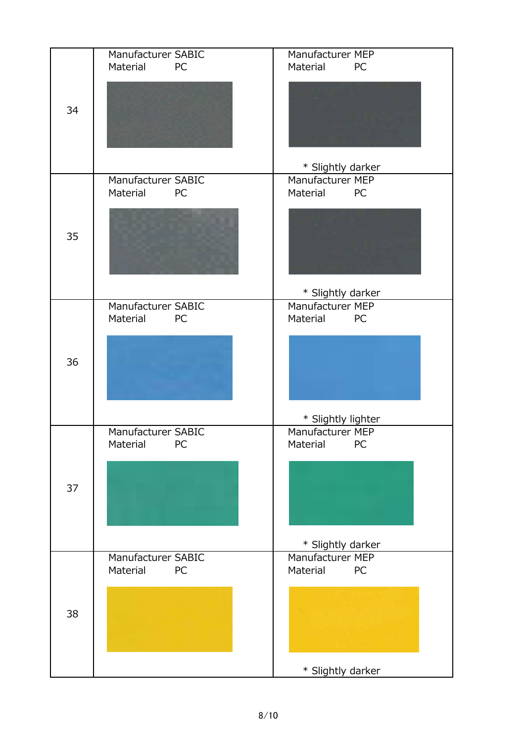|    | Manufacturer SABIC<br>Material<br><b>PC</b> | Manufacturer MEP<br>Material<br>PC |
|----|---------------------------------------------|------------------------------------|
| 34 |                                             | * Slightly darker                  |
|    | Manufacturer SABIC                          | Manufacturer MEP                   |
|    | Material<br>PC                              | Material<br>PC                     |
| 35 |                                             |                                    |
|    |                                             | * Slightly darker                  |
|    | Manufacturer SABIC<br>Material<br>PC        | Manufacturer MEP<br>Material<br>PC |
|    |                                             |                                    |
| 36 |                                             |                                    |
|    |                                             | * Slightly lighter                 |
|    | Manufacturer SABIC<br>Material<br>PC        | Manufacturer MEP<br>Material<br>PC |
|    |                                             |                                    |
| 37 |                                             |                                    |
|    |                                             |                                    |
|    |                                             |                                    |
|    |                                             | * Slightly darker                  |
| 38 | Manufacturer SABIC                          | Manufacturer MEP                   |
|    | Material<br>PC                              | Material<br>PC                     |
|    |                                             |                                    |
|    |                                             |                                    |
|    |                                             |                                    |
|    |                                             | * Slightly darker                  |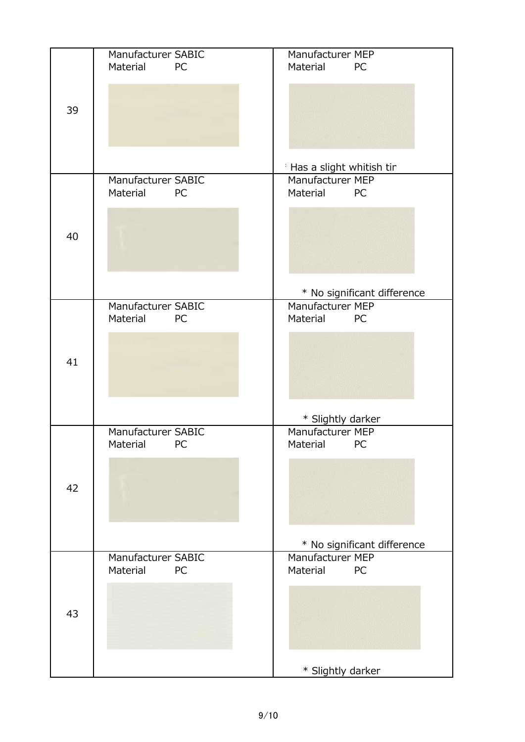|    | Manufacturer SABIC<br>Material<br><b>PC</b> | Manufacturer MEP<br>Material<br>PC |
|----|---------------------------------------------|------------------------------------|
| 39 |                                             |                                    |
|    |                                             | Has a slight whitish tir           |
| 40 | Manufacturer SABIC<br>Material<br><b>PC</b> | Manufacturer MEP<br>Material<br>PC |
|    |                                             |                                    |
|    |                                             | * No significant difference        |
|    | Manufacturer SABIC<br>Material<br>PC        | Manufacturer MEP<br>Material PC    |
| 41 |                                             |                                    |
|    |                                             | * Slightly darker                  |
|    | Manufacturer SABIC<br>Material<br>PC        | Manufacturer MEP<br>Material<br>PC |
| 42 |                                             |                                    |
|    |                                             | * No significant difference        |
| 43 | Manufacturer SABIC<br>Material<br>PC        | Manufacturer MEP<br>Material<br>PC |
|    |                                             | * Slightly darker                  |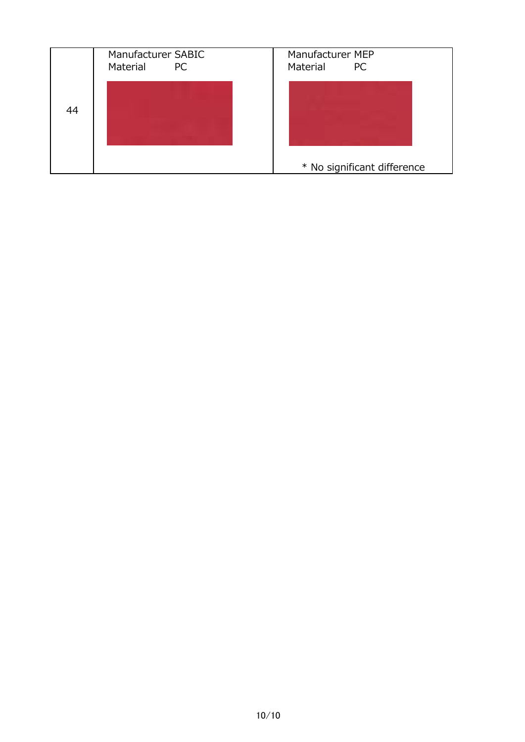|    | Manufacturer SABIC<br>Material<br><b>PC</b> | Manufacturer MEP<br>Material<br><b>PC</b> |
|----|---------------------------------------------|-------------------------------------------|
| 44 |                                             |                                           |
|    |                                             | * No significant difference               |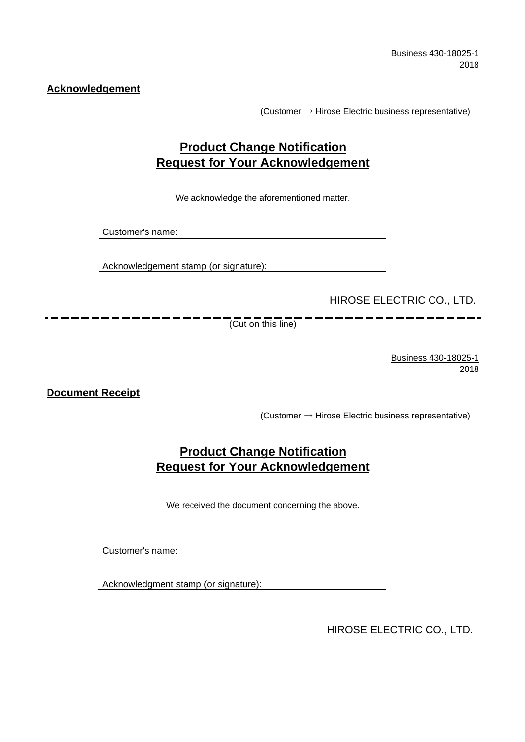**Acknowledgement**

(Customer  $\rightarrow$  Hirose Electric business representative)

## **Product Change Notification Request for Your Acknowledgement**

We acknowledge the aforementioned matter.

Customer's name:

Acknowledgement stamp (or signature):

HIROSE ELECTRIC CO., LTD.

(Cut on this line)

Business 430-18025-1 2018

. .

**Document Receipt**

(Customer  $\rightarrow$  Hirose Electric business representative)

## **Product Change Notification Request for Your Acknowledgement**

We received the document concerning the above.

Customer's name:

Acknowledgment stamp (or signature):

HIROSE ELECTRIC CO., LTD.